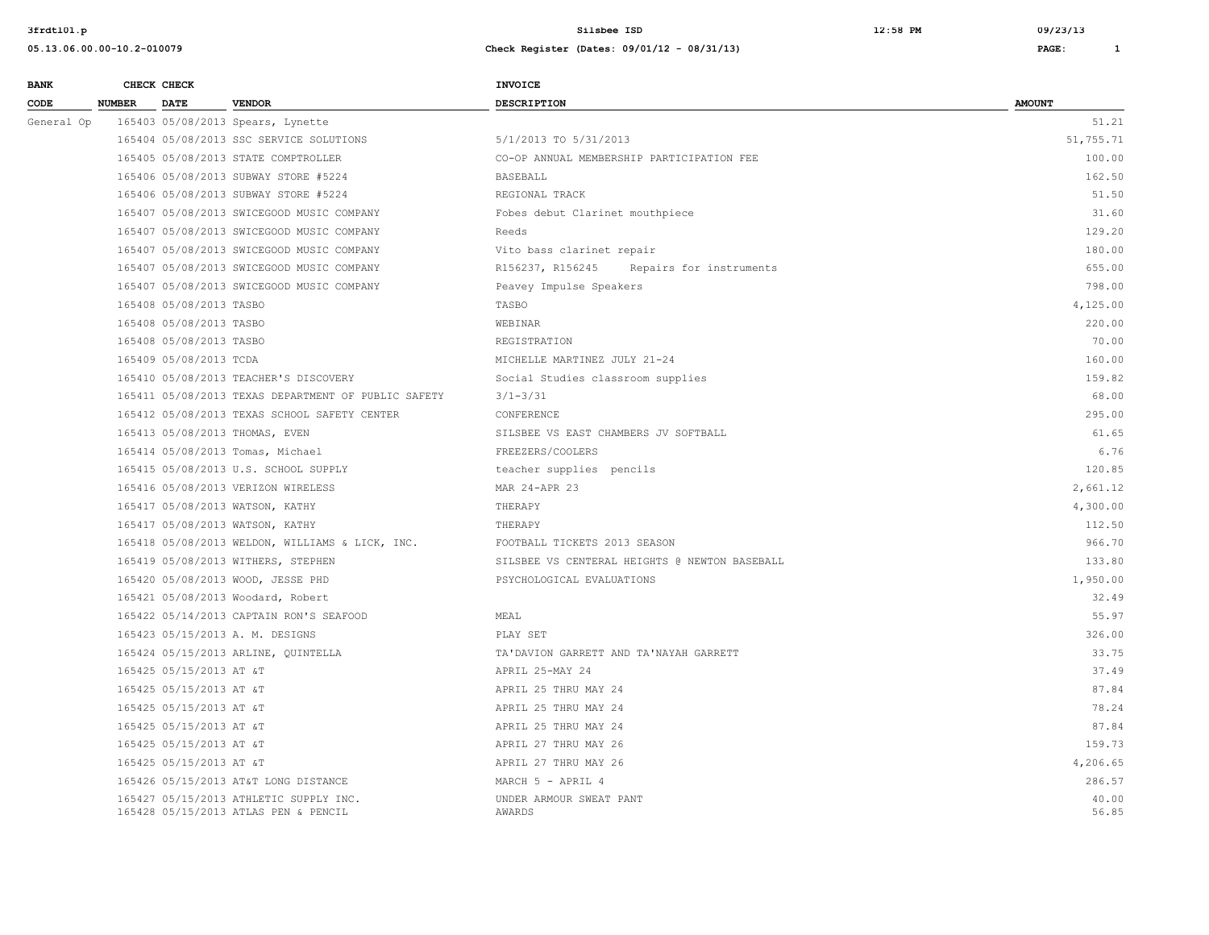165428 05/15/2013 ATLAS PEN & PENCIL

**3frdtl01.p Silsbee ISD 12:58 PM 09/23/13**

**05.13.06.00.00-10.2-010079 Check Register (Dates: 09/01/12 - 08/31/13) PAGE: 1**

| <b>BANK</b> |               | CHECK CHECK             |                                                     | <b>INVOICE</b>                                |               |
|-------------|---------------|-------------------------|-----------------------------------------------------|-----------------------------------------------|---------------|
| <b>CODE</b> | <b>NUMBER</b> | <b>DATE</b>             | <b>VENDOR</b>                                       | <b>DESCRIPTION</b>                            | <b>AMOUNT</b> |
| General Op  |               |                         | 165403 05/08/2013 Spears, Lynette                   |                                               | 51.21         |
|             |               |                         | 165404 05/08/2013 SSC SERVICE SOLUTIONS             | 5/1/2013 TO 5/31/2013                         | 51,755.71     |
|             |               |                         | 165405 05/08/2013 STATE COMPTROLLER                 | CO-OP ANNUAL MEMBERSHIP PARTICIPATION FEE     | 100.00        |
|             |               |                         | 165406 05/08/2013 SUBWAY STORE #5224                | <b>BASEBALL</b>                               | 162.50        |
|             |               |                         | 165406 05/08/2013 SUBWAY STORE #5224                | REGIONAL TRACK                                | 51.50         |
|             |               |                         | 165407 05/08/2013 SWICEGOOD MUSIC COMPANY           | Fobes debut Clarinet mouthpiece               | 31.60         |
|             |               |                         | 165407 05/08/2013 SWICEGOOD MUSIC COMPANY           | Reeds                                         | 129.20        |
|             |               |                         | 165407 05/08/2013 SWICEGOOD MUSIC COMPANY           | Vito bass clarinet repair                     | 180.00        |
|             |               |                         | 165407 05/08/2013 SWICEGOOD MUSIC COMPANY           | R156237, R156245<br>Repairs for instruments   | 655.00        |
|             |               |                         | 165407 05/08/2013 SWICEGOOD MUSIC COMPANY           | Peavey Impulse Speakers                       | 798.00        |
|             |               | 165408 05/08/2013 TASBO |                                                     | TASBO                                         | 4,125.00      |
|             |               | 165408 05/08/2013 TASBO |                                                     | WEBINAR                                       | 220.00        |
|             |               | 165408 05/08/2013 TASBO |                                                     | REGISTRATION                                  | 70.00         |
|             |               | 165409 05/08/2013 TCDA  |                                                     | MICHELLE MARTINEZ JULY 21-24                  | 160.00        |
|             |               |                         | 165410 05/08/2013 TEACHER'S DISCOVERY               | Social Studies classroom supplies             | 159.82        |
|             |               |                         | 165411 05/08/2013 TEXAS DEPARTMENT OF PUBLIC SAFETY | $3/1 - 3/31$                                  | 68.00         |
|             |               |                         | 165412 05/08/2013 TEXAS SCHOOL SAFETY CENTER        | CONFERENCE                                    | 295.00        |
|             |               |                         | 165413 05/08/2013 THOMAS, EVEN                      | SILSBEE VS EAST CHAMBERS JV SOFTBALL          | 61.65         |
|             |               |                         | 165414 05/08/2013 Tomas, Michael                    | FREEZERS/COOLERS                              | 6.76          |
|             |               |                         | 165415 05/08/2013 U.S. SCHOOL SUPPLY                | teacher supplies pencils                      | 120.85        |
|             |               |                         | 165416 05/08/2013 VERIZON WIRELESS                  | MAR 24-APR 23                                 | 2,661.12      |
|             |               |                         | 165417 05/08/2013 WATSON, KATHY                     | THERAPY                                       | 4,300.00      |
|             |               |                         | 165417 05/08/2013 WATSON, KATHY                     | THERAPY                                       | 112.50        |
|             |               |                         | 165418 05/08/2013 WELDON, WILLIAMS & LICK, INC.     | FOOTBALL TICKETS 2013 SEASON                  | 966.70        |
|             |               |                         | 165419 05/08/2013 WITHERS, STEPHEN                  | SILSBEE VS CENTERAL HEIGHTS @ NEWTON BASEBALL | 133.80        |
|             |               |                         | 165420 05/08/2013 WOOD, JESSE PHD                   | PSYCHOLOGICAL EVALUATIONS                     | 1,950.00      |
|             |               |                         | 165421 05/08/2013 Woodard, Robert                   |                                               | 32.49         |
|             |               |                         | 165422 05/14/2013 CAPTAIN RON'S SEAFOOD             | MEAL                                          | 55.97         |
|             |               |                         | 165423 05/15/2013 A. M. DESIGNS                     | PLAY SET                                      | 326.00        |
|             |               |                         | 165424 05/15/2013 ARLINE, QUINTELLA                 | TA'DAVION GARRETT AND TA'NAYAH GARRETT        | 33.75         |
|             |               | 165425 05/15/2013 AT &T |                                                     | APRIL 25-MAY 24                               | 37.49         |
|             |               | 165425 05/15/2013 AT &T |                                                     | APRIL 25 THRU MAY 24                          | 87.84         |

 165425 05/15/2013 AT &T APRIL 25 THRU MAY 24 78.24 165425 05/15/2013 AT &T APRIL 25 THRU MAY 24 87.84 165425 05/15/2013 AT &T 159.73 165425 05/15/2013 AT &T APRIL 27 THRU MAY 26 4,206.65 165426 05/15/2013 AT&T LONG DISTANCE MARCH 5 - APRIL 4 286.57 165427 05/15/2013 ATHLETIC SUPPLY INC. UNDER ARMOUR SWEAT PANT 40.00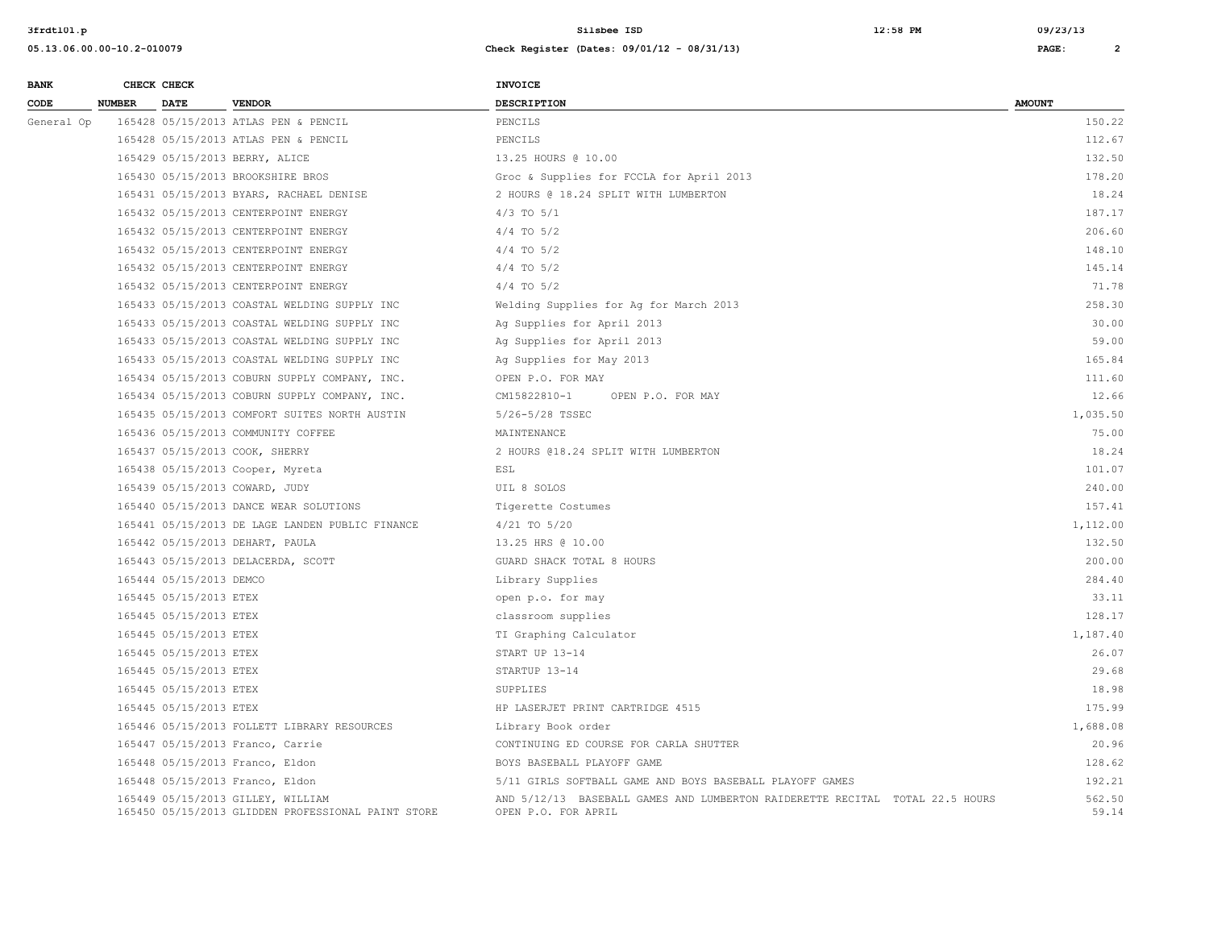| <b>BANK</b> |               | CHECK CHECK             |                                                                                         | <b>INVOICE</b>                                                                                      |                 |
|-------------|---------------|-------------------------|-----------------------------------------------------------------------------------------|-----------------------------------------------------------------------------------------------------|-----------------|
| CODE        | <b>NUMBER</b> | <b>DATE</b>             | <b>VENDOR</b>                                                                           | <b>DESCRIPTION</b>                                                                                  | <b>AMOUNT</b>   |
| General Op  |               |                         | 165428 05/15/2013 ATLAS PEN & PENCIL                                                    | PENCILS                                                                                             | 150.22          |
|             |               |                         | 165428 05/15/2013 ATLAS PEN & PENCIL                                                    | PENCILS                                                                                             | 112.67          |
|             |               |                         | 165429 05/15/2013 BERRY, ALICE                                                          | 13.25 HOURS @ 10.00                                                                                 | 132.50          |
|             |               |                         | 165430 05/15/2013 BROOKSHIRE BROS                                                       | Groc & Supplies for FCCLA for April 2013                                                            | 178.20          |
|             |               |                         | 165431 05/15/2013 BYARS, RACHAEL DENISE                                                 | 2 HOURS @ 18.24 SPLIT WITH LUMBERTON                                                                | 18.24           |
|             |               |                         | 165432 05/15/2013 CENTERPOINT ENERGY                                                    | $4/3$ TO $5/1$                                                                                      | 187.17          |
|             |               |                         | 165432 05/15/2013 CENTERPOINT ENERGY                                                    | $4/4$ TO $5/2$                                                                                      | 206.60          |
|             |               |                         | 165432 05/15/2013 CENTERPOINT ENERGY                                                    | $4/4$ TO $5/2$                                                                                      | 148.10          |
|             |               |                         | 165432 05/15/2013 CENTERPOINT ENERGY                                                    | $4/4$ TO $5/2$                                                                                      | 145.14          |
|             |               |                         | 165432 05/15/2013 CENTERPOINT ENERGY                                                    | $4/4$ TO $5/2$                                                                                      | 71.78           |
|             |               |                         | 165433 05/15/2013 COASTAL WELDING SUPPLY INC                                            | Welding Supplies for Ag for March 2013                                                              | 258.30          |
|             |               |                         | 165433 05/15/2013 COASTAL WELDING SUPPLY INC                                            | Ag Supplies for April 2013                                                                          | 30.00           |
|             |               |                         | 165433 05/15/2013 COASTAL WELDING SUPPLY INC                                            | Ag Supplies for April 2013                                                                          | 59.00           |
|             |               |                         | 165433 05/15/2013 COASTAL WELDING SUPPLY INC                                            | Ag Supplies for May 2013                                                                            | 165.84          |
|             |               |                         | 165434 05/15/2013 COBURN SUPPLY COMPANY, INC.                                           | OPEN P.O. FOR MAY                                                                                   | 111.60          |
|             |               |                         | 165434 05/15/2013 COBURN SUPPLY COMPANY, INC.                                           | CM15822810-1<br>OPEN P.O. FOR MAY                                                                   | 12.66           |
|             |               |                         | 165435 05/15/2013 COMFORT SUITES NORTH AUSTIN                                           | 5/26-5/28 TSSEC                                                                                     | 1,035.50        |
|             |               |                         | 165436 05/15/2013 COMMUNITY COFFEE                                                      | MAINTENANCE                                                                                         | 75.00           |
|             |               |                         | 165437 05/15/2013 COOK, SHERRY                                                          | 2 HOURS @18.24 SPLIT WITH LUMBERTON                                                                 | 18.24           |
|             |               |                         | 165438 05/15/2013 Cooper, Myreta                                                        | ESL                                                                                                 | 101.07          |
|             |               |                         | 165439 05/15/2013 COWARD, JUDY                                                          | UIL 8 SOLOS                                                                                         | 240.00          |
|             |               |                         | 165440 05/15/2013 DANCE WEAR SOLUTIONS                                                  | Tigerette Costumes                                                                                  | 157.41          |
|             |               |                         | 165441 05/15/2013 DE LAGE LANDEN PUBLIC FINANCE                                         | $4/21$ TO $5/20$                                                                                    | 1,112.00        |
|             |               |                         | 165442 05/15/2013 DEHART, PAULA                                                         | 13.25 HRS @ 10.00                                                                                   | 132.50          |
|             |               |                         | 165443 05/15/2013 DELACERDA, SCOTT                                                      | GUARD SHACK TOTAL 8 HOURS                                                                           | 200.00          |
|             |               | 165444 05/15/2013 DEMCO |                                                                                         | Library Supplies                                                                                    | 284.40          |
|             |               | 165445 05/15/2013 ETEX  |                                                                                         | open p.o. for may                                                                                   | 33.11           |
|             |               | 165445 05/15/2013 ETEX  |                                                                                         | classroom supplies                                                                                  | 128.17          |
|             |               | 165445 05/15/2013 ETEX  |                                                                                         | TI Graphing Calculator                                                                              | 1,187.40        |
|             |               | 165445 05/15/2013 ETEX  |                                                                                         | START UP 13-14                                                                                      | 26.07           |
|             |               | 165445 05/15/2013 ETEX  |                                                                                         | STARTUP 13-14                                                                                       | 29.68           |
|             |               | 165445 05/15/2013 ETEX  |                                                                                         | SUPPLIES                                                                                            | 18.98           |
|             |               | 165445 05/15/2013 ETEX  |                                                                                         | HP LASERJET PRINT CARTRIDGE 4515                                                                    | 175.99          |
|             |               |                         | 165446 05/15/2013 FOLLETT LIBRARY RESOURCES                                             | Library Book order                                                                                  | 1,688.08        |
|             |               |                         | 165447 05/15/2013 Franco, Carrie                                                        | CONTINUING ED COURSE FOR CARLA SHUTTER                                                              | 20.96           |
|             |               |                         | 165448 05/15/2013 Franco, Eldon                                                         | BOYS BASEBALL PLAYOFF GAME                                                                          | 128.62          |
|             |               |                         | 165448 05/15/2013 Franco, Eldon                                                         | 5/11 GIRLS SOFTBALL GAME AND BOYS BASEBALL PLAYOFF GAMES                                            | 192.21          |
|             |               |                         | 165449 05/15/2013 GILLEY, WILLIAM<br>165450 05/15/2013 GLIDDEN PROFESSIONAL PAINT STORE | AND 5/12/13 BASEBALL GAMES AND LUMBERTON RAIDERETTE RECITAL TOTAL 22.5 HOURS<br>OPEN P.O. FOR APRIL | 562.50<br>59.14 |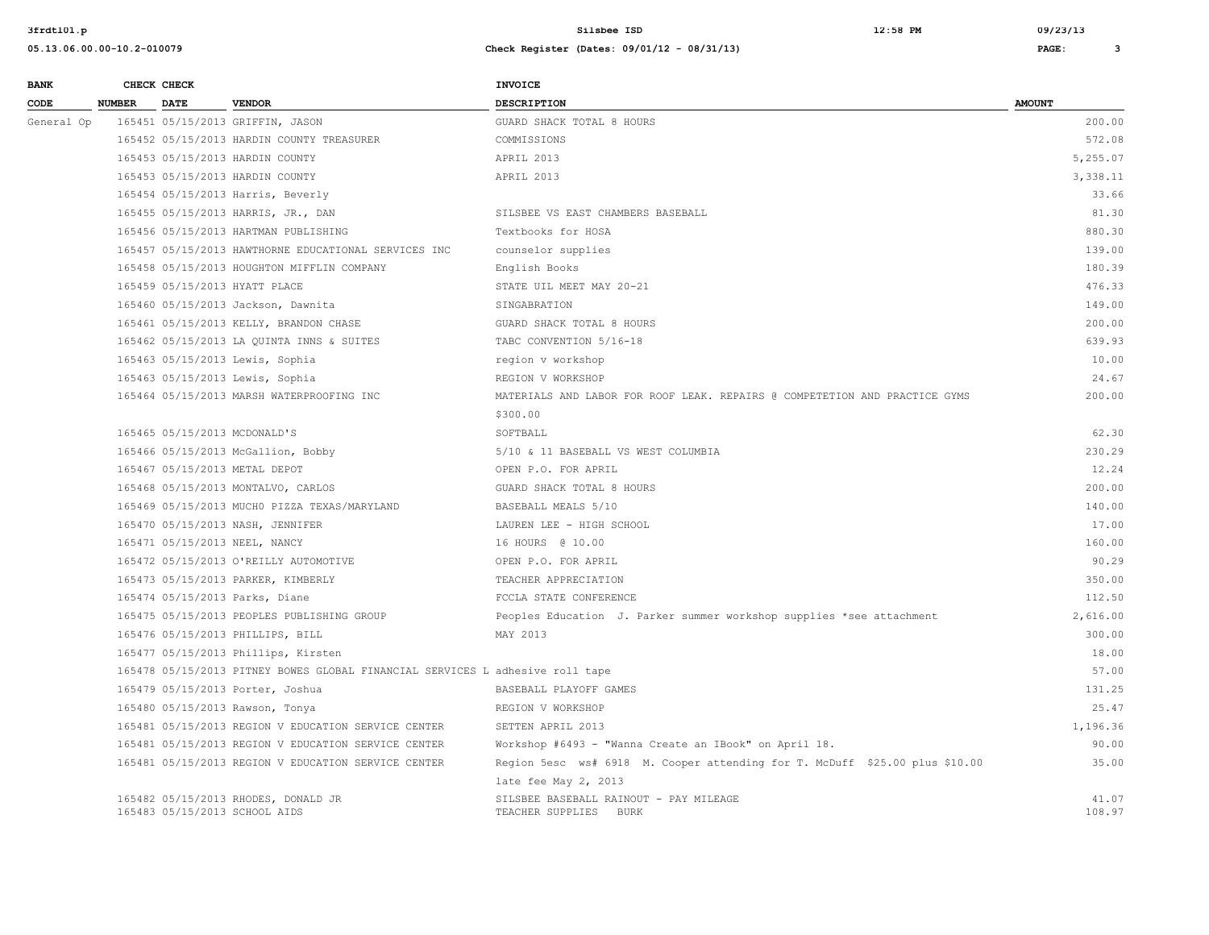| <b>BANK</b> |               | CHECK CHECK |                                                                               | <b>INVOICE</b>                                                              |                 |
|-------------|---------------|-------------|-------------------------------------------------------------------------------|-----------------------------------------------------------------------------|-----------------|
| CODE        | <b>NUMBER</b> | <b>DATE</b> | <b>VENDOR</b>                                                                 | <b>DESCRIPTION</b>                                                          | <b>AMOUNT</b>   |
| General Op  |               |             | 165451 05/15/2013 GRIFFIN, JASON                                              | GUARD SHACK TOTAL 8 HOURS                                                   | 200.00          |
|             |               |             | 165452 05/15/2013 HARDIN COUNTY TREASURER                                     | COMMISSIONS                                                                 | 572.08          |
|             |               |             | 165453 05/15/2013 HARDIN COUNTY                                               | APRIL 2013                                                                  | 5,255.07        |
|             |               |             | 165453 05/15/2013 HARDIN COUNTY                                               | APRIL 2013                                                                  | 3,338.11        |
|             |               |             | 165454 05/15/2013 Harris, Beverly                                             |                                                                             | 33.66           |
|             |               |             | 165455 05/15/2013 HARRIS, JR., DAN                                            | SILSBEE VS EAST CHAMBERS BASEBALL                                           | 81.30           |
|             |               |             | 165456 05/15/2013 HARTMAN PUBLISHING                                          | Textbooks for HOSA                                                          | 880.30          |
|             |               |             | 165457 05/15/2013 HAWTHORNE EDUCATIONAL SERVICES INC                          | counselor supplies                                                          | 139.00          |
|             |               |             | 165458 05/15/2013 HOUGHTON MIFFLIN COMPANY                                    | English Books                                                               | 180.39          |
|             |               |             | 165459 05/15/2013 HYATT PLACE                                                 | STATE UIL MEET MAY 20-21                                                    | 476.33          |
|             |               |             | 165460 05/15/2013 Jackson, Dawnita                                            | SINGABRATION                                                                | 149.00          |
|             |               |             | 165461 05/15/2013 KELLY, BRANDON CHASE                                        | GUARD SHACK TOTAL 8 HOURS                                                   | 200.00          |
|             |               |             | 165462 05/15/2013 LA QUINTA INNS & SUITES                                     | TABC CONVENTION 5/16-18                                                     | 639.93          |
|             |               |             | 165463 05/15/2013 Lewis, Sophia                                               | region v workshop                                                           | 10.00           |
|             |               |             | 165463 05/15/2013 Lewis, Sophia                                               | REGION V WORKSHOP                                                           | 24.67           |
|             |               |             | 165464 05/15/2013 MARSH WATERPROOFING INC                                     | MATERIALS AND LABOR FOR ROOF LEAK. REPAIRS @ COMPETETION AND PRACTICE GYMS  | 200.00          |
|             |               |             |                                                                               | \$300.00                                                                    |                 |
|             |               |             | 165465 05/15/2013 MCDONALD'S                                                  | SOFTBALL                                                                    | 62.30           |
|             |               |             | 165466 05/15/2013 McGallion, Bobby                                            | 5/10 & 11 BASEBALL VS WEST COLUMBIA                                         | 230.29          |
|             |               |             | 165467 05/15/2013 METAL DEPOT                                                 | OPEN P.O. FOR APRIL                                                         | 12.24           |
|             |               |             | 165468 05/15/2013 MONTALVO, CARLOS                                            | GUARD SHACK TOTAL 8 HOURS                                                   | 200.00          |
|             |               |             | 165469 05/15/2013 MUCHO PIZZA TEXAS/MARYLAND                                  | BASEBALL MEALS 5/10                                                         | 140.00          |
|             |               |             | 165470 05/15/2013 NASH, JENNIFER                                              | LAUREN LEE - HIGH SCHOOL                                                    | 17.00           |
|             |               |             | 165471 05/15/2013 NEEL, NANCY                                                 | 16 HOURS @ 10.00                                                            | 160.00          |
|             |               |             | 165472 05/15/2013 O'REILLY AUTOMOTIVE                                         | OPEN P.O. FOR APRIL                                                         | 90.29           |
|             |               |             | 165473 05/15/2013 PARKER, KIMBERLY                                            | TEACHER APPRECIATION                                                        | 350.00          |
|             |               |             | 165474 05/15/2013 Parks, Diane                                                | FCCLA STATE CONFERENCE                                                      | 112.50          |
|             |               |             | 165475 05/15/2013 PEOPLES PUBLISHING GROUP                                    | Peoples Education J. Parker summer workshop supplies *see attachment        | 2,616.00        |
|             |               |             | 165476 05/15/2013 PHILLIPS, BILL                                              | MAY 2013                                                                    | 300.00          |
|             |               |             | 165477 05/15/2013 Phillips, Kirsten                                           |                                                                             | 18.00           |
|             |               |             | 165478 05/15/2013 PITNEY BOWES GLOBAL FINANCIAL SERVICES L adhesive roll tape |                                                                             | 57.00           |
|             |               |             | 165479 05/15/2013 Porter, Joshua                                              | BASEBALL PLAYOFF GAMES                                                      | 131.25          |
|             |               |             | 165480 05/15/2013 Rawson, Tonya                                               | REGION V WORKSHOP                                                           | 25.47           |
|             |               |             | 165481 05/15/2013 REGION V EDUCATION SERVICE CENTER                           | SETTEN APRIL 2013                                                           | 1,196.36        |
|             |               |             | 165481 05/15/2013 REGION V EDUCATION SERVICE CENTER                           | Workshop #6493 - "Wanna Create an IBook" on April 18.                       | 90.00           |
|             |               |             | 165481 05/15/2013 REGION V EDUCATION SERVICE CENTER                           | Region 5esc ws# 6918 M. Cooper attending for T. McDuff \$25.00 plus \$10.00 | 35.00           |
|             |               |             |                                                                               | late fee May 2, 2013                                                        |                 |
|             |               |             | 165482 05/15/2013 RHODES, DONALD JR<br>165483 05/15/2013 SCHOOL AIDS          | SILSBEE BASEBALL RAINOUT - PAY MILEAGE<br>TEACHER SUPPLIES<br><b>BURK</b>   | 41.07<br>108.97 |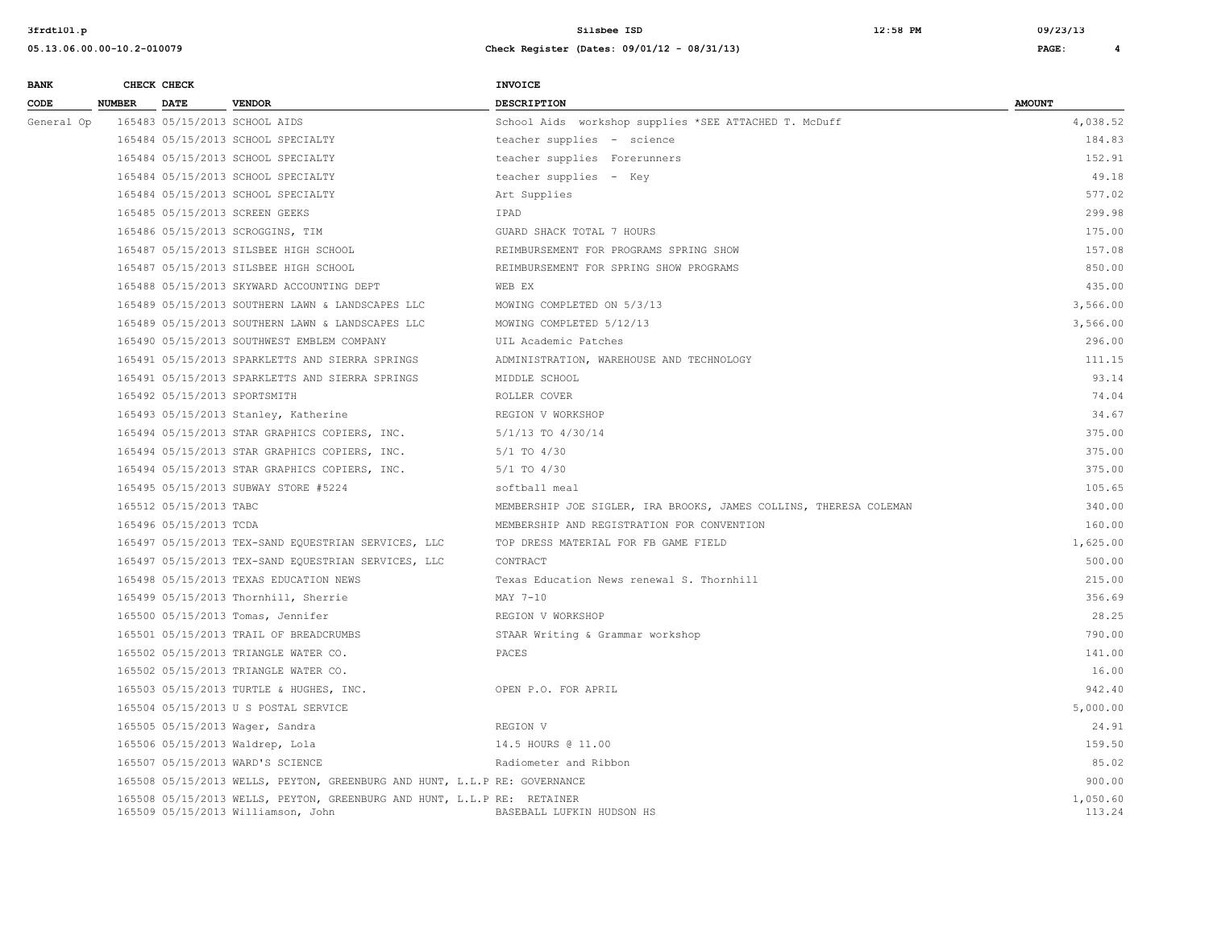| <b>BANK</b> |               | CHECK CHECK            |                                                                                                               | <b>INVOICE</b>                                                    |                    |
|-------------|---------------|------------------------|---------------------------------------------------------------------------------------------------------------|-------------------------------------------------------------------|--------------------|
| CODE        | <b>NUMBER</b> | <b>DATE</b>            | <b>VENDOR</b>                                                                                                 | DESCRIPTION                                                       | <b>AMOUNT</b>      |
| General Op  |               |                        | 165483 05/15/2013 SCHOOL AIDS                                                                                 | School Aids workshop supplies *SEE ATTACHED T. McDuff             | 4,038.52           |
|             |               |                        | 165484 05/15/2013 SCHOOL SPECIALTY                                                                            | teacher supplies - science                                        | 184.83             |
|             |               |                        | 165484 05/15/2013 SCHOOL SPECIALTY                                                                            | teacher supplies Forerunners                                      | 152.91             |
|             |               |                        | 165484 05/15/2013 SCHOOL SPECIALTY                                                                            | teacher supplies - Key                                            | 49.18              |
|             |               |                        | 165484 05/15/2013 SCHOOL SPECIALTY                                                                            | Art Supplies                                                      | 577.02             |
|             |               |                        | 165485 05/15/2013 SCREEN GEEKS                                                                                | IPAD                                                              | 299.98             |
|             |               |                        | 165486 05/15/2013 SCROGGINS, TIM                                                                              | GUARD SHACK TOTAL 7 HOURS                                         | 175.00             |
|             |               |                        | 165487 05/15/2013 SILSBEE HIGH SCHOOL                                                                         | REIMBURSEMENT FOR PROGRAMS SPRING SHOW                            | 157.08             |
|             |               |                        | 165487 05/15/2013 SILSBEE HIGH SCHOOL                                                                         | REIMBURSEMENT FOR SPRING SHOW PROGRAMS                            | 850.00             |
|             |               |                        | 165488 05/15/2013 SKYWARD ACCOUNTING DEPT                                                                     | WEB EX                                                            | 435.00             |
|             |               |                        | 165489 05/15/2013 SOUTHERN LAWN & LANDSCAPES LLC                                                              | MOWING COMPLETED ON 5/3/13                                        | 3,566.00           |
|             |               |                        | 165489 05/15/2013 SOUTHERN LAWN & LANDSCAPES LLC                                                              | MOWING COMPLETED 5/12/13                                          | 3,566.00           |
|             |               |                        | 165490 05/15/2013 SOUTHWEST EMBLEM COMPANY                                                                    | UIL Academic Patches                                              | 296.00             |
|             |               |                        | 165491 05/15/2013 SPARKLETTS AND SIERRA SPRINGS                                                               | ADMINISTRATION, WAREHOUSE AND TECHNOLOGY                          | 111.15             |
|             |               |                        | 165491 05/15/2013 SPARKLETTS AND SIERRA SPRINGS                                                               | MIDDLE SCHOOL                                                     | 93.14              |
|             |               |                        | 165492 05/15/2013 SPORTSMITH                                                                                  | ROLLER COVER                                                      | 74.04              |
|             |               |                        | 165493 05/15/2013 Stanley, Katherine                                                                          | REGION V WORKSHOP                                                 | 34.67              |
|             |               |                        | 165494 05/15/2013 STAR GRAPHICS COPIERS, INC.                                                                 | 5/1/13 TO 4/30/14                                                 | 375.00             |
|             |               |                        | 165494 05/15/2013 STAR GRAPHICS COPIERS, INC.                                                                 | $5/1$ TO $4/30$                                                   | 375.00             |
|             |               |                        | 165494 05/15/2013 STAR GRAPHICS COPIERS, INC.                                                                 | $5/1$ TO $4/30$                                                   | 375.00             |
|             |               |                        | 165495 05/15/2013 SUBWAY STORE #5224                                                                          | softball meal                                                     | 105.65             |
|             |               | 165512 05/15/2013 TABC |                                                                                                               | MEMBERSHIP JOE SIGLER, IRA BROOKS, JAMES COLLINS, THERESA COLEMAN | 340.00             |
|             |               | 165496 05/15/2013 TCDA |                                                                                                               | MEMBERSHIP AND REGISTRATION FOR CONVENTION                        | 160.00             |
|             |               |                        | 165497 05/15/2013 TEX-SAND EQUESTRIAN SERVICES, LLC                                                           | TOP DRESS MATERIAL FOR FB GAME FIELD                              | 1,625.00           |
|             |               |                        | 165497 05/15/2013 TEX-SAND EQUESTRIAN SERVICES, LLC                                                           | CONTRACT                                                          | 500.00             |
|             |               |                        | 165498 05/15/2013 TEXAS EDUCATION NEWS                                                                        | Texas Education News renewal S. Thornhill                         | 215.00             |
|             |               |                        | 165499 05/15/2013 Thornhill, Sherrie                                                                          | MAY 7-10                                                          | 356.69             |
|             |               |                        | 165500 05/15/2013 Tomas, Jennifer                                                                             | REGION V WORKSHOP                                                 | 28.25              |
|             |               |                        | 165501 05/15/2013 TRAIL OF BREADCRUMBS                                                                        | STAAR Writing & Grammar workshop                                  | 790.00             |
|             |               |                        | 165502 05/15/2013 TRIANGLE WATER CO.                                                                          | PACES                                                             | 141.00             |
|             |               |                        | 165502 05/15/2013 TRIANGLE WATER CO.                                                                          |                                                                   | 16.00              |
|             |               |                        | 165503 05/15/2013 TURTLE & HUGHES, INC.                                                                       | OPEN P.O. FOR APRIL                                               | 942.40             |
|             |               |                        | 165504 05/15/2013 U S POSTAL SERVICE                                                                          |                                                                   | 5,000.00           |
|             |               |                        | 165505 05/15/2013 Wager, Sandra                                                                               | REGION V                                                          | 24.91              |
|             |               |                        | 165506 05/15/2013 Waldrep, Lola                                                                               | 14.5 HOURS @ 11.00                                                | 159.50             |
|             |               |                        | 165507 05/15/2013 WARD'S SCIENCE                                                                              | Radiometer and Ribbon                                             | 85.02              |
|             |               |                        | 165508 05/15/2013 WELLS, PEYTON, GREENBURG AND HUNT, L.L.P RE: GOVERNANCE                                     |                                                                   | 900.00             |
|             |               |                        | 165508 05/15/2013 WELLS, PEYTON, GREENBURG AND HUNT, L.L.P RE: RETAINER<br>165509 05/15/2013 Williamson, John | BASEBALL LUFKIN HUDSON HS                                         | 1,050.60<br>113.24 |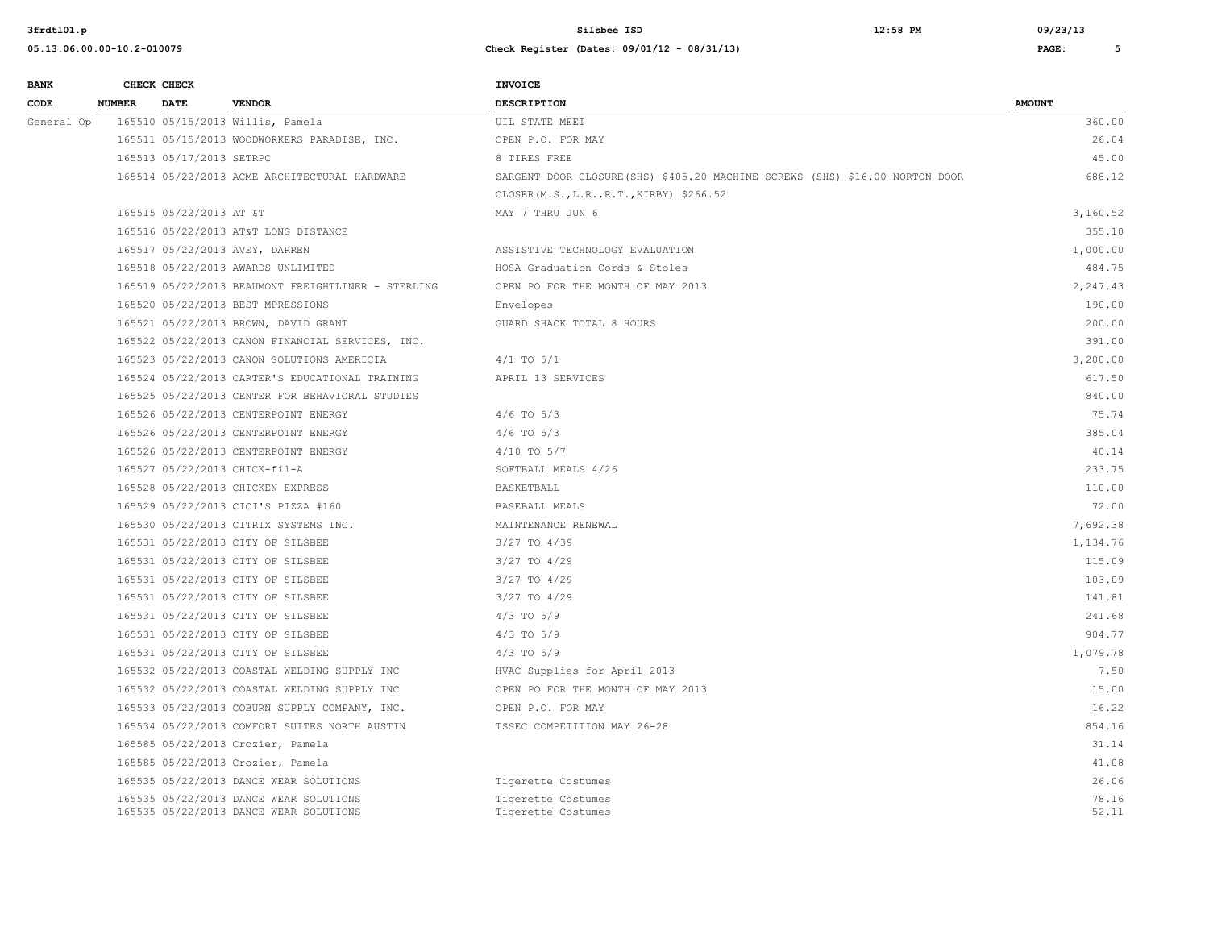| <b>BANK</b> |               | CHECK CHECK              |                                                                                  | <b>INVOICE</b>                                                               |                |
|-------------|---------------|--------------------------|----------------------------------------------------------------------------------|------------------------------------------------------------------------------|----------------|
| CODE        | <b>NUMBER</b> | <b>DATE</b>              | <b>VENDOR</b>                                                                    | <b>DESCRIPTION</b>                                                           | <b>AMOUNT</b>  |
| General Op  |               |                          | 165510 05/15/2013 Willis, Pamela                                                 | UIL STATE MEET                                                               | 360.00         |
|             |               |                          | 165511 05/15/2013 WOODWORKERS PARADISE, INC.                                     | OPEN P.O. FOR MAY                                                            | 26.04          |
|             |               | 165513 05/17/2013 SETRPC |                                                                                  | 8 TIRES FREE                                                                 | 45.00          |
|             |               |                          | 165514 05/22/2013 ACME ARCHITECTURAL HARDWARE                                    | SARGENT DOOR CLOSURE (SHS) \$405.20 MACHINE SCREWS (SHS) \$16.00 NORTON DOOR | 688.12         |
|             |               |                          |                                                                                  | CLOSER (M.S., L.R., R.T., KIRBY) \$266.52                                    |                |
|             |               | 165515 05/22/2013 AT &T  |                                                                                  | MAY 7 THRU JUN 6                                                             | 3,160.52       |
|             |               |                          | 165516 05/22/2013 AT&T LONG DISTANCE                                             |                                                                              | 355.10         |
|             |               |                          | 165517 05/22/2013 AVEY, DARREN                                                   | ASSISTIVE TECHNOLOGY EVALUATION                                              | 1,000.00       |
|             |               |                          | 165518 05/22/2013 AWARDS UNLIMITED                                               | HOSA Graduation Cords & Stoles                                               | 484.75         |
|             |               |                          | 165519 05/22/2013 BEAUMONT FREIGHTLINER - STERLING                               | OPEN PO FOR THE MONTH OF MAY 2013                                            | 2,247.43       |
|             |               |                          | 165520 05/22/2013 BEST MPRESSIONS                                                | Envelopes                                                                    | 190.00         |
|             |               |                          | 165521 05/22/2013 BROWN, DAVID GRANT                                             | GUARD SHACK TOTAL 8 HOURS                                                    | 200.00         |
|             |               |                          | 165522 05/22/2013 CANON FINANCIAL SERVICES, INC.                                 |                                                                              | 391.00         |
|             |               |                          | 165523 05/22/2013 CANON SOLUTIONS AMERICIA                                       | $4/1$ TO $5/1$                                                               | 3,200.00       |
|             |               |                          | 165524 05/22/2013 CARTER'S EDUCATIONAL TRAINING                                  | APRIL 13 SERVICES                                                            | 617.50         |
|             |               |                          | 165525 05/22/2013 CENTER FOR BEHAVIORAL STUDIES                                  |                                                                              | 840.00         |
|             |               |                          | 165526 05/22/2013 CENTERPOINT ENERGY                                             | $4/6$ TO $5/3$                                                               | 75.74          |
|             |               |                          | 165526 05/22/2013 CENTERPOINT ENERGY                                             | $4/6$ TO $5/3$                                                               | 385.04         |
|             |               |                          | 165526 05/22/2013 CENTERPOINT ENERGY                                             | $4/10$ TO $5/7$                                                              | 40.14          |
|             |               |                          | 165527 05/22/2013 CHICK-fil-A                                                    | SOFTBALL MEALS 4/26                                                          | 233.75         |
|             |               |                          | 165528 05/22/2013 CHICKEN EXPRESS                                                | BASKETBALL                                                                   | 110.00         |
|             |               |                          | 165529 05/22/2013 CICI'S PIZZA #160                                              | BASEBALL MEALS                                                               | 72.00          |
|             |               |                          | 165530 05/22/2013 CITRIX SYSTEMS INC.                                            | MAINTENANCE RENEWAL                                                          | 7,692.38       |
|             |               |                          | 165531 05/22/2013 CITY OF SILSBEE                                                | 3/27 TO 4/39                                                                 | 1,134.76       |
|             |               |                          | 165531 05/22/2013 CITY OF SILSBEE                                                | $3/27$ TO $4/29$                                                             | 115.09         |
|             |               |                          | 165531 05/22/2013 CITY OF SILSBEE                                                | $3/27$ TO $4/29$                                                             | 103.09         |
|             |               |                          | 165531 05/22/2013 CITY OF SILSBEE                                                | 3/27 TO 4/29                                                                 | 141.81         |
|             |               |                          | 165531 05/22/2013 CITY OF SILSBEE                                                | $4/3$ TO $5/9$                                                               | 241.68         |
|             |               |                          | 165531 05/22/2013 CITY OF SILSBEE                                                | $4/3$ TO $5/9$                                                               | 904.77         |
|             |               |                          | 165531 05/22/2013 CITY OF SILSBEE                                                | $4/3$ TO $5/9$                                                               | 1,079.78       |
|             |               |                          | 165532 05/22/2013 COASTAL WELDING SUPPLY INC                                     | HVAC Supplies for April 2013                                                 | 7.50           |
|             |               |                          | 165532 05/22/2013 COASTAL WELDING SUPPLY INC                                     | OPEN PO FOR THE MONTH OF MAY 2013                                            | 15.00          |
|             |               |                          | 165533 05/22/2013 COBURN SUPPLY COMPANY, INC.                                    | OPEN P.O. FOR MAY                                                            | 16.22          |
|             |               |                          | 165534 05/22/2013 COMFORT SUITES NORTH AUSTIN                                    | TSSEC COMPETITION MAY 26-28                                                  | 854.16         |
|             |               |                          | 165585 05/22/2013 Crozier, Pamela                                                |                                                                              | 31.14          |
|             |               |                          | 165585 05/22/2013 Crozier, Pamela                                                |                                                                              | 41.08          |
|             |               |                          | 165535 05/22/2013 DANCE WEAR SOLUTIONS                                           | Tigerette Costumes                                                           | 26.06          |
|             |               |                          | 165535 05/22/2013 DANCE WEAR SOLUTIONS<br>165535 05/22/2013 DANCE WEAR SOLUTIONS | Tigerette Costumes<br>Tigerette Costumes                                     | 78.16<br>52.11 |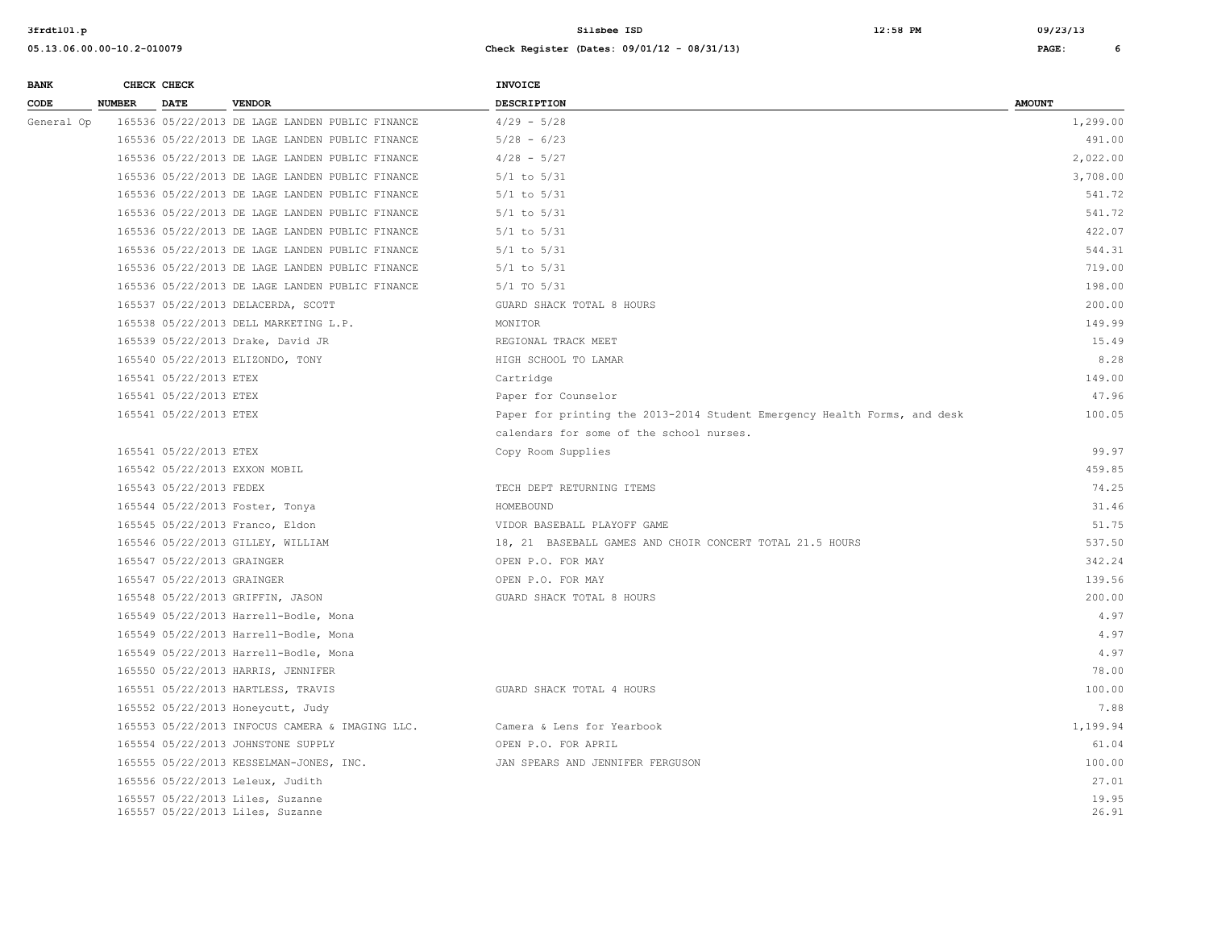| <b>BANK</b> |               | CHECK CHECK                |                                                                      | <b>INVOICE</b>                                                            |                |
|-------------|---------------|----------------------------|----------------------------------------------------------------------|---------------------------------------------------------------------------|----------------|
| CODE        | <b>NUMBER</b> | <b>DATE</b>                | <b>VENDOR</b>                                                        | <b>DESCRIPTION</b>                                                        | <b>AMOUNT</b>  |
| General Op  |               |                            | 165536 05/22/2013 DE LAGE LANDEN PUBLIC FINANCE                      | $4/29 - 5/28$                                                             | 1,299.00       |
|             |               |                            | 165536 05/22/2013 DE LAGE LANDEN PUBLIC FINANCE                      | $5/28 - 6/23$                                                             | 491.00         |
|             |               |                            | 165536 05/22/2013 DE LAGE LANDEN PUBLIC FINANCE                      | $4/28 - 5/27$                                                             | 2,022.00       |
|             |               |                            | 165536 05/22/2013 DE LAGE LANDEN PUBLIC FINANCE                      | $5/1$ to $5/31$                                                           | 3,708.00       |
|             |               |                            | 165536 05/22/2013 DE LAGE LANDEN PUBLIC FINANCE                      | $5/1$ to $5/31$                                                           | 541.72         |
|             |               |                            | 165536 05/22/2013 DE LAGE LANDEN PUBLIC FINANCE                      | $5/1$ to $5/31$                                                           | 541.72         |
|             |               |                            | 165536 05/22/2013 DE LAGE LANDEN PUBLIC FINANCE                      | $5/1$ to $5/31$                                                           | 422.07         |
|             |               |                            | 165536 05/22/2013 DE LAGE LANDEN PUBLIC FINANCE                      | $5/1$ to $5/31$                                                           | 544.31         |
|             |               |                            | 165536 05/22/2013 DE LAGE LANDEN PUBLIC FINANCE                      | $5/1$ to $5/31$                                                           | 719.00         |
|             |               |                            | 165536 05/22/2013 DE LAGE LANDEN PUBLIC FINANCE                      | $5/1$ TO $5/31$                                                           | 198.00         |
|             |               |                            | 165537 05/22/2013 DELACERDA, SCOTT                                   | GUARD SHACK TOTAL 8 HOURS                                                 | 200.00         |
|             |               |                            | 165538 05/22/2013 DELL MARKETING L.P.                                | MONITOR                                                                   | 149.99         |
|             |               |                            | 165539 05/22/2013 Drake, David JR                                    | REGIONAL TRACK MEET                                                       | 15.49          |
|             |               |                            | 165540 05/22/2013 ELIZONDO, TONY                                     | HIGH SCHOOL TO LAMAR                                                      | 8.28           |
|             |               | 165541 05/22/2013 ETEX     |                                                                      | Cartridge                                                                 | 149.00         |
|             |               | 165541 05/22/2013 ETEX     |                                                                      | Paper for Counselor                                                       | 47.96          |
|             |               | 165541 05/22/2013 ETEX     |                                                                      | Paper for printing the 2013-2014 Student Emergency Health Forms, and desk | 100.05         |
|             |               |                            |                                                                      | calendars for some of the school nurses.                                  |                |
|             |               | 165541 05/22/2013 ETEX     |                                                                      | Copy Room Supplies                                                        | 99.97          |
|             |               |                            | 165542 05/22/2013 EXXON MOBIL                                        |                                                                           | 459.85         |
|             |               | 165543 05/22/2013 FEDEX    |                                                                      | TECH DEPT RETURNING ITEMS                                                 | 74.25          |
|             |               |                            | 165544 05/22/2013 Foster, Tonya                                      | HOMEBOUND                                                                 | 31.46          |
|             |               |                            | 165545 05/22/2013 Franco, Eldon                                      | VIDOR BASEBALL PLAYOFF GAME                                               | 51.75          |
|             |               |                            | 165546 05/22/2013 GILLEY, WILLIAM                                    | 18, 21 BASEBALL GAMES AND CHOIR CONCERT TOTAL 21.5 HOURS                  | 537.50         |
|             |               | 165547 05/22/2013 GRAINGER |                                                                      | OPEN P.O. FOR MAY                                                         | 342.24         |
|             |               | 165547 05/22/2013 GRAINGER |                                                                      | OPEN P.O. FOR MAY                                                         | 139.56         |
|             |               |                            | 165548 05/22/2013 GRIFFIN, JASON                                     | GUARD SHACK TOTAL 8 HOURS                                                 | 200.00         |
|             |               |                            | 165549 05/22/2013 Harrell-Bodle, Mona                                |                                                                           | 4.97           |
|             |               |                            | 165549 05/22/2013 Harrell-Bodle, Mona                                |                                                                           | 4.97           |
|             |               |                            | 165549 05/22/2013 Harrell-Bodle, Mona                                |                                                                           | 4.97           |
|             |               |                            | 165550 05/22/2013 HARRIS, JENNIFER                                   |                                                                           | 78.00          |
|             |               |                            | 165551 05/22/2013 HARTLESS, TRAVIS                                   | GUARD SHACK TOTAL 4 HOURS                                                 | 100.00         |
|             |               |                            | 165552 05/22/2013 Honeycutt, Judy                                    |                                                                           | 7.88           |
|             |               |                            | 165553 05/22/2013 INFOCUS CAMERA & IMAGING LLC.                      | Camera & Lens for Yearbook                                                | 1,199.94       |
|             |               |                            | 165554 05/22/2013 JOHNSTONE SUPPLY                                   | OPEN P.O. FOR APRIL                                                       | 61.04          |
|             |               |                            | 165555 05/22/2013 KESSELMAN-JONES, INC.                              | JAN SPEARS AND JENNIFER FERGUSON                                          | 100.00         |
|             |               |                            | 165556 05/22/2013 Leleux, Judith                                     |                                                                           | 27.01          |
|             |               |                            | 165557 05/22/2013 Liles, Suzanne<br>165557 05/22/2013 Liles, Suzanne |                                                                           | 19.95<br>26.91 |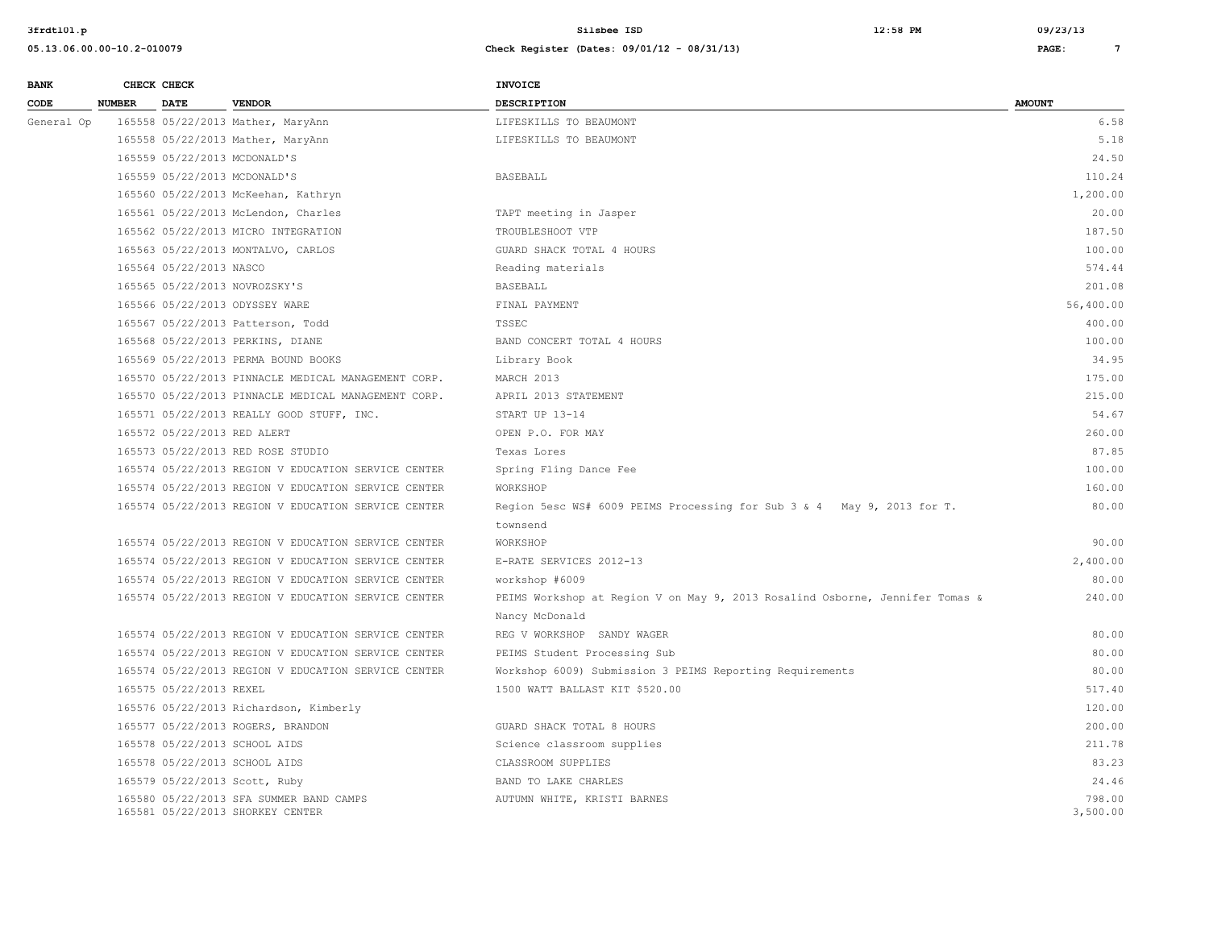| <b>BANK</b> |               | CHECK CHECK                 |                                                                             | INVOICE                                                                      |                    |
|-------------|---------------|-----------------------------|-----------------------------------------------------------------------------|------------------------------------------------------------------------------|--------------------|
| CODE        | <b>NUMBER</b> | <b>DATE</b>                 | <b>VENDOR</b>                                                               | <b>DESCRIPTION</b>                                                           | <b>AMOUNT</b>      |
| General Op  |               |                             | 165558 05/22/2013 Mather, MaryAnn                                           | LIFESKILLS TO BEAUMONT                                                       | 6.58               |
|             |               |                             | 165558 05/22/2013 Mather, MaryAnn                                           | LIFESKILLS TO BEAUMONT                                                       | 5.18               |
|             |               |                             | 165559 05/22/2013 MCDONALD'S                                                |                                                                              | 24.50              |
|             |               |                             | 165559 05/22/2013 MCDONALD'S                                                | <b>BASEBALL</b>                                                              | 110.24             |
|             |               |                             | 165560 05/22/2013 McKeehan, Kathryn                                         |                                                                              | 1,200.00           |
|             |               |                             | 165561 05/22/2013 McLendon, Charles                                         | TAPT meeting in Jasper                                                       | 20.00              |
|             |               |                             | 165562 05/22/2013 MICRO INTEGRATION                                         | TROUBLESHOOT VTP                                                             | 187.50             |
|             |               |                             | 165563 05/22/2013 MONTALVO, CARLOS                                          | GUARD SHACK TOTAL 4 HOURS                                                    | 100.00             |
|             |               | 165564 05/22/2013 NASCO     |                                                                             | Reading materials                                                            | 574.44             |
|             |               |                             | 165565 05/22/2013 NOVROZSKY'S                                               | BASEBALL                                                                     | 201.08             |
|             |               |                             | 165566 05/22/2013 ODYSSEY WARE                                              | FINAL PAYMENT                                                                | 56,400.00          |
|             |               |                             | 165567 05/22/2013 Patterson, Todd                                           | TSSEC                                                                        | 400.00             |
|             |               |                             | 165568 05/22/2013 PERKINS, DIANE                                            | BAND CONCERT TOTAL 4 HOURS                                                   | 100.00             |
|             |               |                             | 165569 05/22/2013 PERMA BOUND BOOKS                                         | Library Book                                                                 | 34.95              |
|             |               |                             | 165570 05/22/2013 PINNACLE MEDICAL MANAGEMENT CORP.                         | MARCH 2013                                                                   | 175.00             |
|             |               |                             | 165570 05/22/2013 PINNACLE MEDICAL MANAGEMENT CORP.                         | APRIL 2013 STATEMENT                                                         | 215.00             |
|             |               |                             | 165571 05/22/2013 REALLY GOOD STUFF, INC.                                   | START UP 13-14                                                               | 54.67              |
|             |               | 165572 05/22/2013 RED ALERT |                                                                             | OPEN P.O. FOR MAY                                                            | 260.00             |
|             |               |                             | 165573 05/22/2013 RED ROSE STUDIO                                           | Texas Lores                                                                  | 87.85              |
|             |               |                             | 165574 05/22/2013 REGION V EDUCATION SERVICE CENTER                         | Spring Fling Dance Fee                                                       | 100.00             |
|             |               |                             | 165574 05/22/2013 REGION V EDUCATION SERVICE CENTER                         | WORKSHOP                                                                     | 160.00             |
|             |               |                             | 165574 05/22/2013 REGION V EDUCATION SERVICE CENTER                         | Region 5esc WS# 6009 PEIMS Processing for Sub 3 & 4 May 9, 2013 for T.       | 80.00              |
|             |               |                             |                                                                             | townsend                                                                     |                    |
|             |               |                             | 165574 05/22/2013 REGION V EDUCATION SERVICE CENTER                         | WORKSHOP                                                                     | 90.00              |
|             |               |                             | 165574 05/22/2013 REGION V EDUCATION SERVICE CENTER                         | E-RATE SERVICES 2012-13                                                      | 2,400.00           |
|             |               |                             | 165574 05/22/2013 REGION V EDUCATION SERVICE CENTER                         | workshop #6009                                                               | 80.00              |
|             |               |                             | 165574 05/22/2013 REGION V EDUCATION SERVICE CENTER                         | PEIMS Workshop at Region V on May 9, 2013 Rosalind Osborne, Jennifer Tomas & | 240.00             |
|             |               |                             |                                                                             | Nancy McDonald                                                               |                    |
|             |               |                             | 165574 05/22/2013 REGION V EDUCATION SERVICE CENTER                         | REG V WORKSHOP SANDY WAGER                                                   | 80.00              |
|             |               |                             | 165574 05/22/2013 REGION V EDUCATION SERVICE CENTER                         | PEIMS Student Processing Sub                                                 | 80.00              |
|             |               |                             | 165574 05/22/2013 REGION V EDUCATION SERVICE CENTER                         | Workshop 6009) Submission 3 PEIMS Reporting Requirements                     | 80.00              |
|             |               | 165575 05/22/2013 REXEL     |                                                                             | 1500 WATT BALLAST KIT \$520.00                                               | 517.40             |
|             |               |                             | 165576 05/22/2013 Richardson, Kimberly                                      |                                                                              | 120.00             |
|             |               |                             | 165577 05/22/2013 ROGERS, BRANDON                                           | GUARD SHACK TOTAL 8 HOURS                                                    | 200.00             |
|             |               |                             | 165578 05/22/2013 SCHOOL AIDS                                               | Science classroom supplies                                                   | 211.78             |
|             |               |                             | 165578 05/22/2013 SCHOOL AIDS                                               | CLASSROOM SUPPLIES                                                           | 83.23              |
|             |               |                             | 165579 05/22/2013 Scott, Ruby                                               | BAND TO LAKE CHARLES                                                         | 24.46              |
|             |               |                             | 165580 05/22/2013 SFA SUMMER BAND CAMPS<br>165581 05/22/2013 SHORKEY CENTER | AUTUMN WHITE, KRISTI BARNES                                                  | 798.00<br>3,500.00 |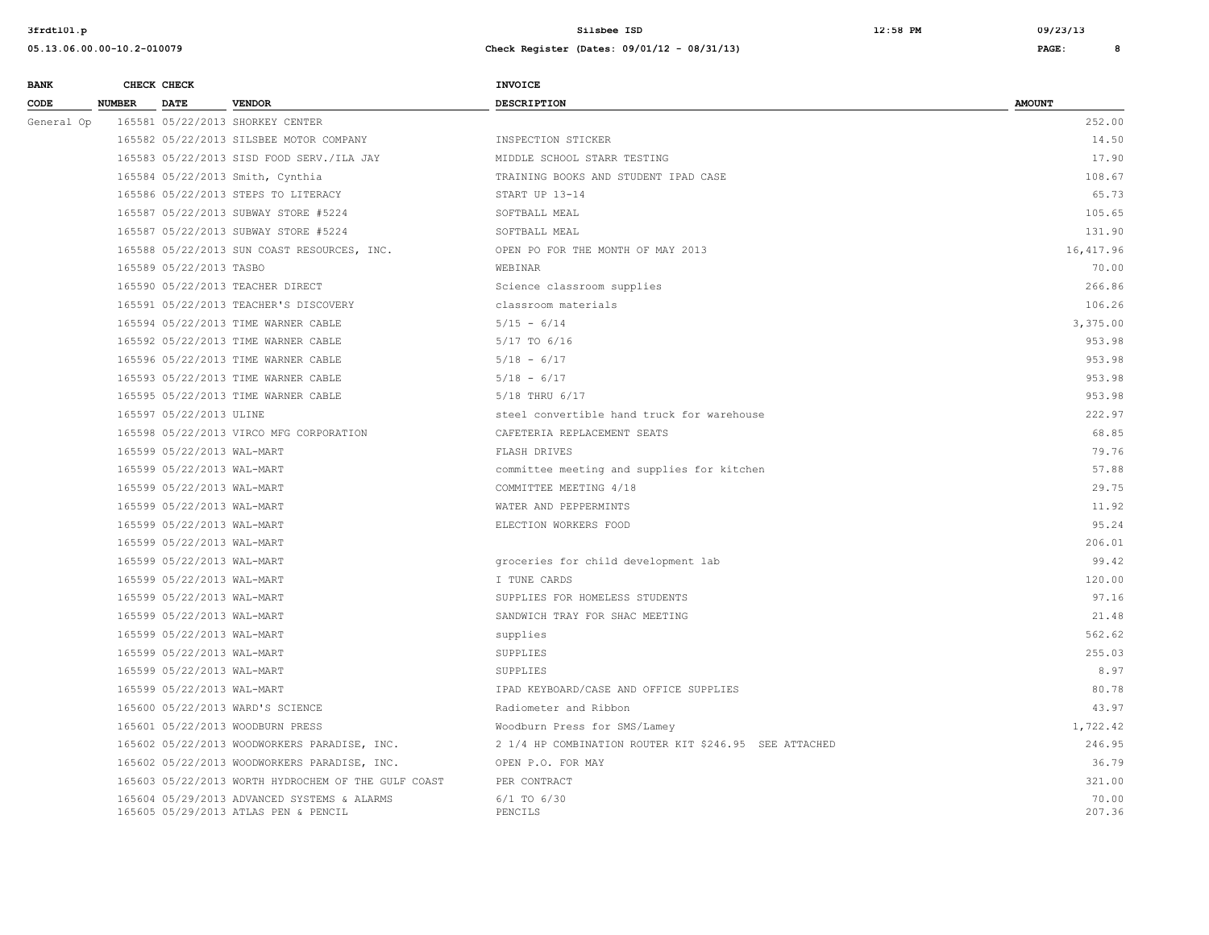| <b>BANK</b> |               | CHECK CHECK                |                                                                                     | <b>INVOICE</b>                                        |                 |
|-------------|---------------|----------------------------|-------------------------------------------------------------------------------------|-------------------------------------------------------|-----------------|
| CODE        | <b>NUMBER</b> | <b>DATE</b>                | <b>VENDOR</b>                                                                       | <b>DESCRIPTION</b>                                    | <b>AMOUNT</b>   |
| General Op  |               |                            | 165581 05/22/2013 SHORKEY CENTER                                                    |                                                       | 252.00          |
|             |               |                            | 165582 05/22/2013 SILSBEE MOTOR COMPANY                                             | INSPECTION STICKER                                    | 14.50           |
|             |               |                            | 165583 05/22/2013 SISD FOOD SERV./ILA JAY                                           | MIDDLE SCHOOL STARR TESTING                           | 17.90           |
|             |               |                            | 165584 05/22/2013 Smith, Cynthia                                                    | TRAINING BOOKS AND STUDENT IPAD CASE                  | 108.67          |
|             |               |                            | 165586 05/22/2013 STEPS TO LITERACY                                                 | START UP 13-14                                        | 65.73           |
|             |               |                            | 165587 05/22/2013 SUBWAY STORE #5224                                                | SOFTBALL MEAL                                         | 105.65          |
|             |               |                            | 165587 05/22/2013 SUBWAY STORE #5224                                                | SOFTBALL MEAL                                         | 131.90          |
|             |               |                            | 165588 05/22/2013 SUN COAST RESOURCES, INC.                                         | OPEN PO FOR THE MONTH OF MAY 2013                     | 16, 417.96      |
|             |               | 165589 05/22/2013 TASBO    |                                                                                     | WEBINAR                                               | 70.00           |
|             |               |                            | 165590 05/22/2013 TEACHER DIRECT                                                    | Science classroom supplies                            | 266.86          |
|             |               |                            | 165591 05/22/2013 TEACHER'S DISCOVERY                                               | classroom materials                                   | 106.26          |
|             |               |                            | 165594 05/22/2013 TIME WARNER CABLE                                                 | $5/15 - 6/14$                                         | 3,375.00        |
|             |               |                            | 165592 05/22/2013 TIME WARNER CABLE                                                 | 5/17 TO 6/16                                          | 953.98          |
|             |               |                            | 165596 05/22/2013 TIME WARNER CABLE                                                 | $5/18 - 6/17$                                         | 953.98          |
|             |               |                            | 165593 05/22/2013 TIME WARNER CABLE                                                 | $5/18 - 6/17$                                         | 953.98          |
|             |               |                            | 165595 05/22/2013 TIME WARNER CABLE                                                 | 5/18 THRU 6/17                                        | 953.98          |
|             |               | 165597 05/22/2013 ULINE    |                                                                                     | steel convertible hand truck for warehouse            | 222.97          |
|             |               |                            | 165598 05/22/2013 VIRCO MFG CORPORATION                                             | CAFETERIA REPLACEMENT SEATS                           | 68.85           |
|             |               | 165599 05/22/2013 WAL-MART |                                                                                     | FLASH DRIVES                                          | 79.76           |
|             |               | 165599 05/22/2013 WAL-MART |                                                                                     | committee meeting and supplies for kitchen            | 57.88           |
|             |               | 165599 05/22/2013 WAL-MART |                                                                                     | COMMITTEE MEETING 4/18                                | 29.75           |
|             |               | 165599 05/22/2013 WAL-MART |                                                                                     | WATER AND PEPPERMINTS                                 | 11.92           |
|             |               | 165599 05/22/2013 WAL-MART |                                                                                     | ELECTION WORKERS FOOD                                 | 95.24           |
|             |               | 165599 05/22/2013 WAL-MART |                                                                                     |                                                       | 206.01          |
|             |               | 165599 05/22/2013 WAL-MART |                                                                                     | groceries for child development lab                   | 99.42           |
|             |               | 165599 05/22/2013 WAL-MART |                                                                                     | I TUNE CARDS                                          | 120.00          |
|             |               | 165599 05/22/2013 WAL-MART |                                                                                     | SUPPLIES FOR HOMELESS STUDENTS                        | 97.16           |
|             |               | 165599 05/22/2013 WAL-MART |                                                                                     | SANDWICH TRAY FOR SHAC MEETING                        | 21.48           |
|             |               | 165599 05/22/2013 WAL-MART |                                                                                     | supplies                                              | 562.62          |
|             |               | 165599 05/22/2013 WAL-MART |                                                                                     | SUPPLIES                                              | 255.03          |
|             |               | 165599 05/22/2013 WAL-MART |                                                                                     | SUPPLIES                                              | 8.97            |
|             |               | 165599 05/22/2013 WAL-MART |                                                                                     | IPAD KEYBOARD/CASE AND OFFICE SUPPLIES                | 80.78           |
|             |               |                            | 165600 05/22/2013 WARD'S SCIENCE                                                    | Radiometer and Ribbon                                 | 43.97           |
|             |               |                            | 165601 05/22/2013 WOODBURN PRESS                                                    | Woodburn Press for SMS/Lamey                          | 1,722.42        |
|             |               |                            | 165602 05/22/2013 WOODWORKERS PARADISE, INC.                                        | 2 1/4 HP COMBINATION ROUTER KIT \$246.95 SEE ATTACHED | 246.95          |
|             |               |                            | 165602 05/22/2013 WOODWORKERS PARADISE, INC.                                        | OPEN P.O. FOR MAY                                     | 36.79           |
|             |               |                            | 165603 05/22/2013 WORTH HYDROCHEM OF THE GULF COAST                                 | PER CONTRACT                                          | 321.00          |
|             |               |                            | 165604 05/29/2013 ADVANCED SYSTEMS & ALARMS<br>165605 05/29/2013 ATLAS PEN & PENCIL | $6/1$ TO $6/30$<br>PENCILS                            | 70.00<br>207.36 |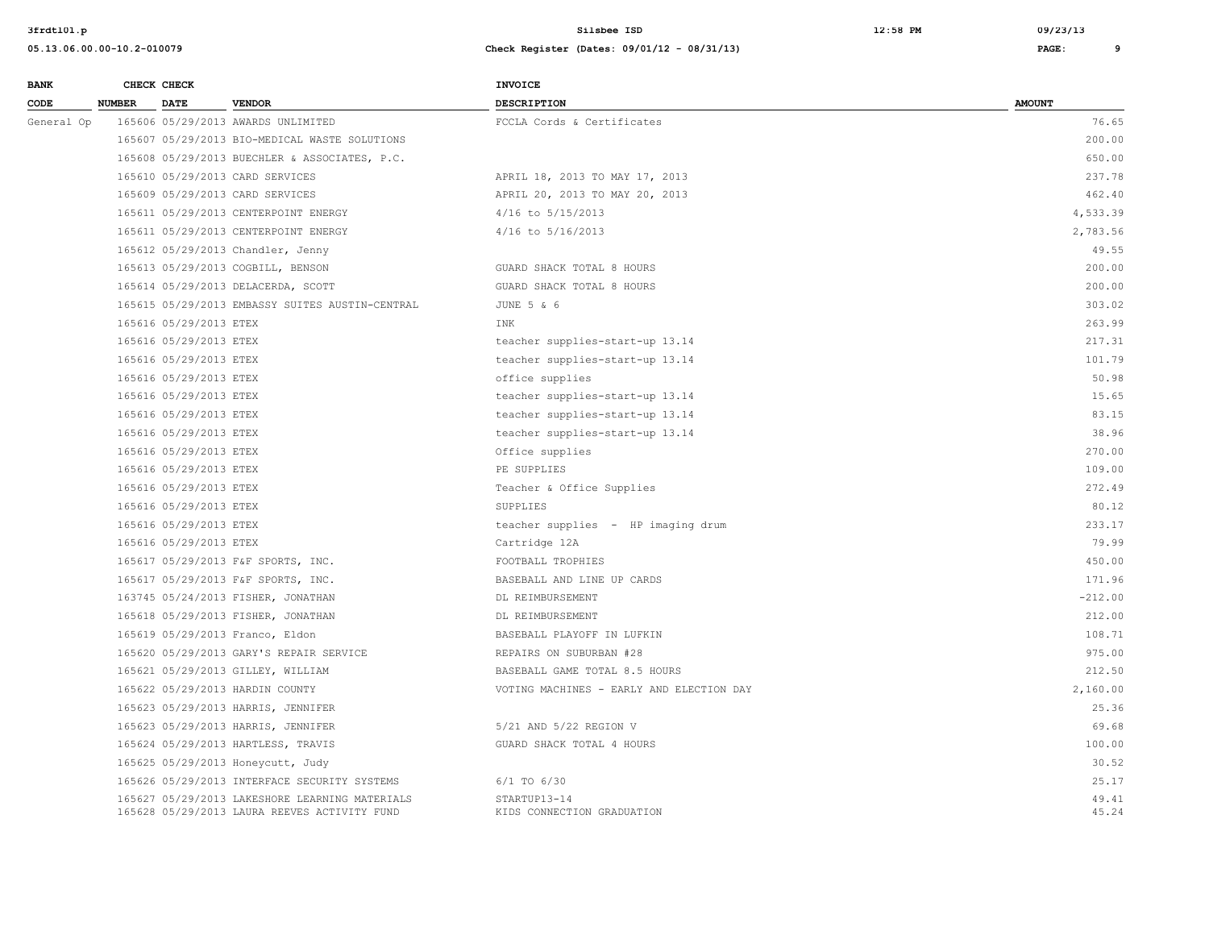| <b>BANK</b> |               | CHECK CHECK            |                                                                                                | <b>INVOICE</b>                             |                |
|-------------|---------------|------------------------|------------------------------------------------------------------------------------------------|--------------------------------------------|----------------|
| CODE        | <b>NUMBER</b> | <b>DATE</b>            | <b>VENDOR</b>                                                                                  | <b>DESCRIPTION</b>                         | <b>AMOUNT</b>  |
| General Op  |               |                        | 165606 05/29/2013 AWARDS UNLIMITED                                                             | FCCLA Cords & Certificates                 | 76.65          |
|             |               |                        | 165607 05/29/2013 BIO-MEDICAL WASTE SOLUTIONS                                                  |                                            | 200.00         |
|             |               |                        | 165608 05/29/2013 BUECHLER & ASSOCIATES, P.C.                                                  |                                            | 650.00         |
|             |               |                        | 165610 05/29/2013 CARD SERVICES                                                                | APRIL 18, 2013 TO MAY 17, 2013             | 237.78         |
|             |               |                        | 165609 05/29/2013 CARD SERVICES                                                                | APRIL 20, 2013 TO MAY 20, 2013             | 462.40         |
|             |               |                        | 165611 05/29/2013 CENTERPOINT ENERGY                                                           | 4/16 to 5/15/2013                          | 4,533.39       |
|             |               |                        | 165611 05/29/2013 CENTERPOINT ENERGY                                                           | $4/16$ to $5/16/2013$                      | 2,783.56       |
|             |               |                        | 165612 05/29/2013 Chandler, Jenny                                                              |                                            | 49.55          |
|             |               |                        | 165613 05/29/2013 COGBILL, BENSON                                                              | GUARD SHACK TOTAL 8 HOURS                  | 200.00         |
|             |               |                        | 165614 05/29/2013 DELACERDA, SCOTT                                                             | GUARD SHACK TOTAL 8 HOURS                  | 200.00         |
|             |               |                        | 165615 05/29/2013 EMBASSY SUITES AUSTIN-CENTRAL                                                | JUNE 5 & 6                                 | 303.02         |
|             |               | 165616 05/29/2013 ETEX |                                                                                                | INK                                        | 263.99         |
|             |               | 165616 05/29/2013 ETEX |                                                                                                | teacher supplies-start-up 13.14            | 217.31         |
|             |               | 165616 05/29/2013 ETEX |                                                                                                | teacher supplies-start-up 13.14            | 101.79         |
|             |               | 165616 05/29/2013 ETEX |                                                                                                | office supplies                            | 50.98          |
|             |               | 165616 05/29/2013 ETEX |                                                                                                | teacher supplies-start-up 13.14            | 15.65          |
|             |               | 165616 05/29/2013 ETEX |                                                                                                | teacher supplies-start-up 13.14            | 83.15          |
|             |               | 165616 05/29/2013 ETEX |                                                                                                | teacher supplies-start-up 13.14            | 38.96          |
|             |               | 165616 05/29/2013 ETEX |                                                                                                | Office supplies                            | 270.00         |
|             |               | 165616 05/29/2013 ETEX |                                                                                                | PE SUPPLIES                                | 109.00         |
|             |               | 165616 05/29/2013 ETEX |                                                                                                | Teacher & Office Supplies                  | 272.49         |
|             |               | 165616 05/29/2013 ETEX |                                                                                                | SUPPLIES                                   | 80.12          |
|             |               | 165616 05/29/2013 ETEX |                                                                                                | teacher supplies - HP imaging drum         | 233.17         |
|             |               | 165616 05/29/2013 ETEX |                                                                                                | Cartridge 12A                              | 79.99          |
|             |               |                        | 165617 05/29/2013 F&F SPORTS, INC.                                                             | FOOTBALL TROPHIES                          | 450.00         |
|             |               |                        | 165617 05/29/2013 F&F SPORTS, INC.                                                             | BASEBALL AND LINE UP CARDS                 | 171.96         |
|             |               |                        | 163745 05/24/2013 FISHER, JONATHAN                                                             | DL REIMBURSEMENT                           | $-212.00$      |
|             |               |                        | 165618 05/29/2013 FISHER, JONATHAN                                                             | DL REIMBURSEMENT                           | 212.00         |
|             |               |                        | 165619 05/29/2013 Franco, Eldon                                                                | BASEBALL PLAYOFF IN LUFKIN                 | 108.71         |
|             |               |                        | 165620 05/29/2013 GARY'S REPAIR SERVICE                                                        | REPAIRS ON SUBURBAN #28                    | 975.00         |
|             |               |                        | 165621 05/29/2013 GILLEY, WILLIAM                                                              | BASEBALL GAME TOTAL 8.5 HOURS              | 212.50         |
|             |               |                        | 165622 05/29/2013 HARDIN COUNTY                                                                | VOTING MACHINES - EARLY AND ELECTION DAY   | 2,160.00       |
|             |               |                        | 165623 05/29/2013 HARRIS, JENNIFER                                                             |                                            | 25.36          |
|             |               |                        | 165623 05/29/2013 HARRIS, JENNIFER                                                             | 5/21 AND 5/22 REGION V                     | 69.68          |
|             |               |                        | 165624 05/29/2013 HARTLESS, TRAVIS                                                             | GUARD SHACK TOTAL 4 HOURS                  | 100.00         |
|             |               |                        | 165625 05/29/2013 Honeycutt, Judy                                                              |                                            | 30.52          |
|             |               |                        | 165626 05/29/2013 INTERFACE SECURITY SYSTEMS                                                   | $6/1$ TO $6/30$                            | 25.17          |
|             |               |                        | 165627 05/29/2013 LAKESHORE LEARNING MATERIALS<br>165628 05/29/2013 LAURA REEVES ACTIVITY FUND | STARTUP13-14<br>KIDS CONNECTION GRADUATION | 49.41<br>45.24 |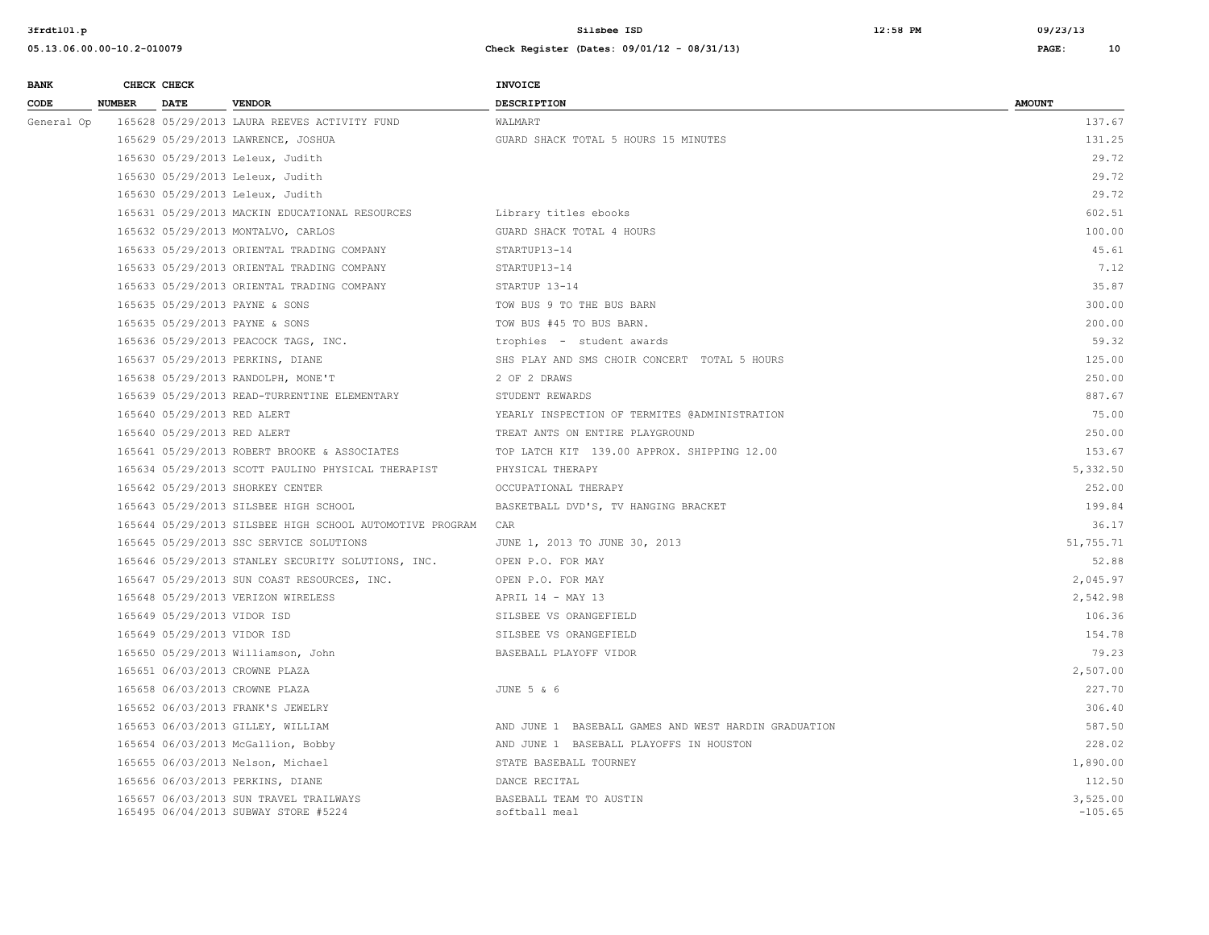| <b>BANK</b> |               | CHECK CHECK                 |                                                                                | <b>INVOICE</b>                                       |                       |
|-------------|---------------|-----------------------------|--------------------------------------------------------------------------------|------------------------------------------------------|-----------------------|
| CODE        | <b>NUMBER</b> | <b>DATE</b>                 | <b>VENDOR</b>                                                                  | <b>DESCRIPTION</b>                                   | <b>AMOUNT</b>         |
| General Op  |               |                             | 165628 05/29/2013 LAURA REEVES ACTIVITY FUND                                   | WALMART                                              | 137.67                |
|             |               |                             | 165629 05/29/2013 LAWRENCE, JOSHUA                                             | GUARD SHACK TOTAL 5 HOURS 15 MINUTES                 | 131.25                |
|             |               |                             | 165630 05/29/2013 Leleux, Judith                                               |                                                      | 29.72                 |
|             |               |                             | 165630 05/29/2013 Leleux, Judith                                               |                                                      | 29.72                 |
|             |               |                             | 165630 05/29/2013 Leleux, Judith                                               |                                                      | 29.72                 |
|             |               |                             | 165631 05/29/2013 MACKIN EDUCATIONAL RESOURCES                                 | Library titles ebooks                                | 602.51                |
|             |               |                             | 165632 05/29/2013 MONTALVO, CARLOS                                             | GUARD SHACK TOTAL 4 HOURS                            | 100.00                |
|             |               |                             | 165633 05/29/2013 ORIENTAL TRADING COMPANY                                     | STARTUP13-14                                         | 45.61                 |
|             |               |                             | 165633 05/29/2013 ORIENTAL TRADING COMPANY                                     | STARTUP13-14                                         | 7.12                  |
|             |               |                             | 165633 05/29/2013 ORIENTAL TRADING COMPANY                                     | STARTUP 13-14                                        | 35.87                 |
|             |               |                             | 165635 05/29/2013 PAYNE & SONS                                                 | TOW BUS 9 TO THE BUS BARN                            | 300.00                |
|             |               |                             | 165635 05/29/2013 PAYNE & SONS                                                 | TOW BUS #45 TO BUS BARN.                             | 200.00                |
|             |               |                             | 165636 05/29/2013 PEACOCK TAGS, INC.                                           | trophies - student awards                            | 59.32                 |
|             |               |                             | 165637 05/29/2013 PERKINS, DIANE                                               | SHS PLAY AND SMS CHOIR CONCERT TOTAL 5 HOURS         | 125.00                |
|             |               |                             | 165638 05/29/2013 RANDOLPH, MONE'T                                             | 2 OF 2 DRAWS                                         | 250.00                |
|             |               |                             | 165639 05/29/2013 READ-TURRENTINE ELEMENTARY                                   | STUDENT REWARDS                                      | 887.67                |
|             |               | 165640 05/29/2013 RED ALERT |                                                                                | YEARLY INSPECTION OF TERMITES @ADMINISTRATION        | 75.00                 |
|             |               | 165640 05/29/2013 RED ALERT |                                                                                | TREAT ANTS ON ENTIRE PLAYGROUND                      | 250.00                |
|             |               |                             | 165641 05/29/2013 ROBERT BROOKE & ASSOCIATES                                   | TOP LATCH KIT 139.00 APPROX, SHIPPING 12.00          | 153.67                |
|             |               |                             | 165634 05/29/2013 SCOTT PAULINO PHYSICAL THERAPIST                             | PHYSICAL THERAPY                                     | 5,332.50              |
|             |               |                             | 165642 05/29/2013 SHORKEY CENTER                                               | OCCUPATIONAL THERAPY                                 | 252.00                |
|             |               |                             | 165643 05/29/2013 SILSBEE HIGH SCHOOL                                          | BASKETBALL DVD'S, TV HANGING BRACKET                 | 199.84                |
|             |               |                             | 165644 05/29/2013 SILSBEE HIGH SCHOOL AUTOMOTIVE PROGRAM                       | CAR                                                  | 36.17                 |
|             |               |                             | 165645 05/29/2013 SSC SERVICE SOLUTIONS                                        | JUNE 1, 2013 TO JUNE 30, 2013                        | 51,755.71             |
|             |               |                             | 165646 05/29/2013 STANLEY SECURITY SOLUTIONS, INC.                             | OPEN P.O. FOR MAY                                    | 52.88                 |
|             |               |                             | 165647 05/29/2013 SUN COAST RESOURCES, INC.                                    | OPEN P.O. FOR MAY                                    | 2,045.97              |
|             |               |                             | 165648 05/29/2013 VERIZON WIRELESS                                             | APRIL 14 - MAY 13                                    | 2,542.98              |
|             |               | 165649 05/29/2013 VIDOR ISD |                                                                                | SILSBEE VS ORANGEFIELD                               | 106.36                |
|             |               | 165649 05/29/2013 VIDOR ISD |                                                                                | SILSBEE VS ORANGEFIELD                               | 154.78                |
|             |               |                             | 165650 05/29/2013 Williamson, John                                             | BASEBALL PLAYOFF VIDOR                               | 79.23                 |
|             |               |                             | 165651 06/03/2013 CROWNE PLAZA                                                 |                                                      | 2,507.00              |
|             |               |                             | 165658 06/03/2013 CROWNE PLAZA                                                 | JUNE 5 & 6                                           | 227.70                |
|             |               |                             | 165652 06/03/2013 FRANK'S JEWELRY                                              |                                                      | 306.40                |
|             |               |                             | 165653 06/03/2013 GILLEY, WILLIAM                                              | AND JUNE 1 BASEBALL GAMES AND WEST HARDIN GRADUATION | 587.50                |
|             |               |                             | 165654 06/03/2013 McGallion, Bobby                                             | AND JUNE 1 BASEBALL PLAYOFFS IN HOUSTON              | 228.02                |
|             |               |                             | 165655 06/03/2013 Nelson, Michael                                              | STATE BASEBALL TOURNEY                               | 1,890.00              |
|             |               |                             | 165656 06/03/2013 PERKINS, DIANE                                               | DANCE RECITAL                                        | 112.50                |
|             |               |                             | 165657 06/03/2013 SUN TRAVEL TRAILWAYS<br>165495 06/04/2013 SUBWAY STORE #5224 | BASEBALL TEAM TO AUSTIN<br>softball meal             | 3,525.00<br>$-105.65$ |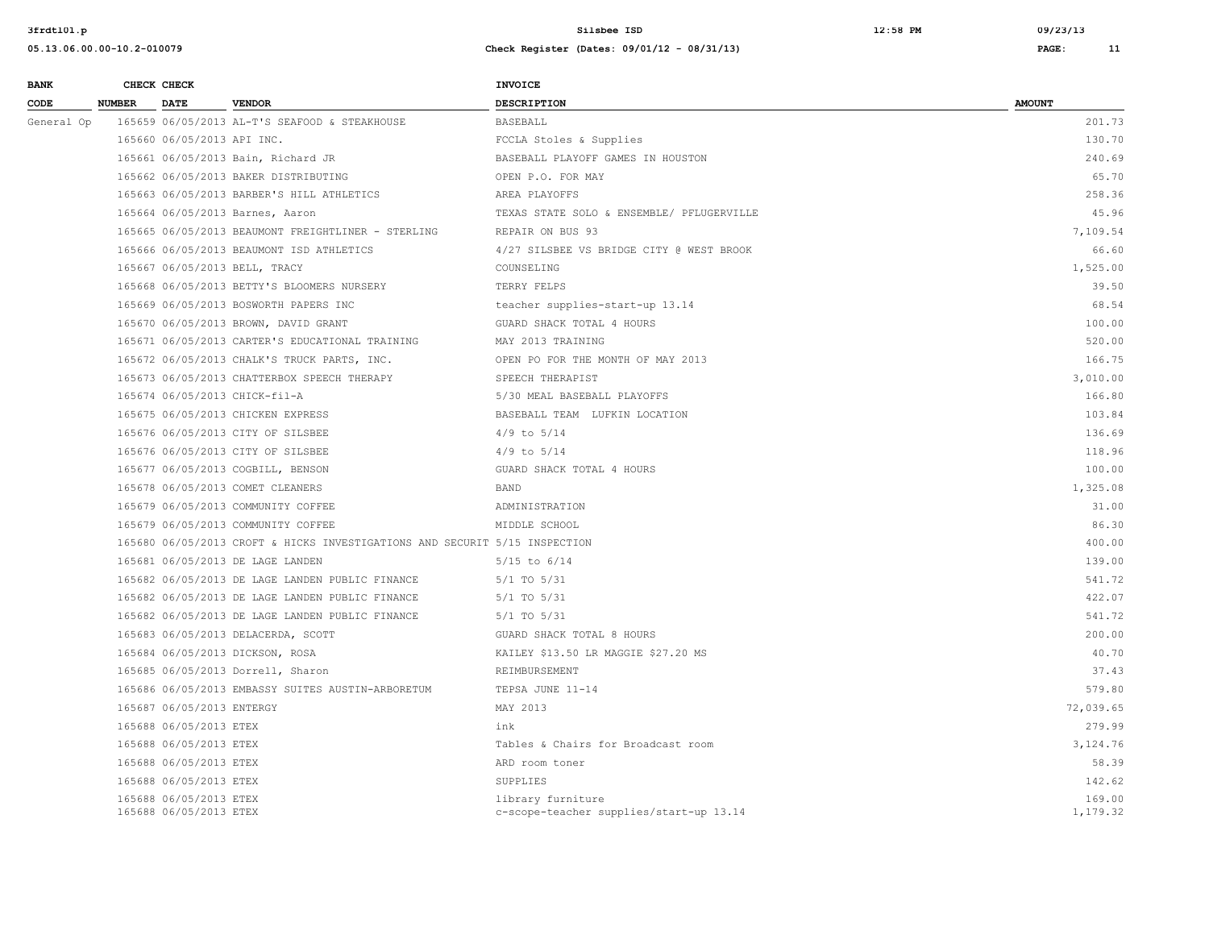| <b>BANK</b> |               | CHECK CHECK                                      |                                                                            | <b>INVOICE</b>                                               |                    |
|-------------|---------------|--------------------------------------------------|----------------------------------------------------------------------------|--------------------------------------------------------------|--------------------|
| CODE        | <b>NUMBER</b> | <b>DATE</b>                                      | <b>VENDOR</b>                                                              | <b>DESCRIPTION</b>                                           | <b>AMOUNT</b>      |
| General Op  |               |                                                  | 165659 06/05/2013 AL-T'S SEAFOOD & STEAKHOUSE                              | <b>BASEBALL</b>                                              | 201.73             |
|             |               | 165660 06/05/2013 API INC.                       |                                                                            | FCCLA Stoles & Supplies                                      | 130.70             |
|             |               |                                                  | 165661 06/05/2013 Bain, Richard JR                                         | BASEBALL PLAYOFF GAMES IN HOUSTON                            | 240.69             |
|             |               |                                                  | 165662 06/05/2013 BAKER DISTRIBUTING                                       | OPEN P.O. FOR MAY                                            | 65.70              |
|             |               |                                                  | 165663 06/05/2013 BARBER'S HILL ATHLETICS                                  | AREA PLAYOFFS                                                | 258.36             |
|             |               |                                                  | 165664 06/05/2013 Barnes, Aaron                                            | TEXAS STATE SOLO & ENSEMBLE/ PFLUGERVILLE                    | 45.96              |
|             |               |                                                  | 165665 06/05/2013 BEAUMONT FREIGHTLINER - STERLING                         | REPAIR ON BUS 93                                             | 7,109.54           |
|             |               |                                                  | 165666 06/05/2013 BEAUMONT ISD ATHLETICS                                   | 4/27 SILSBEE VS BRIDGE CITY @ WEST BROOK                     | 66.60              |
|             |               |                                                  | 165667 06/05/2013 BELL, TRACY                                              | COUNSELING                                                   | 1,525.00           |
|             |               |                                                  | 165668 06/05/2013 BETTY'S BLOOMERS NURSERY                                 | TERRY FELPS                                                  | 39.50              |
|             |               |                                                  | 165669 06/05/2013 BOSWORTH PAPERS INC                                      | teacher supplies-start-up 13.14                              | 68.54              |
|             |               |                                                  | 165670 06/05/2013 BROWN, DAVID GRANT                                       | GUARD SHACK TOTAL 4 HOURS                                    | 100.00             |
|             |               |                                                  | 165671 06/05/2013 CARTER'S EDUCATIONAL TRAINING                            | MAY 2013 TRAINING                                            | 520.00             |
|             |               |                                                  | 165672 06/05/2013 CHALK'S TRUCK PARTS, INC.                                | OPEN PO FOR THE MONTH OF MAY 2013                            | 166.75             |
|             |               |                                                  | 165673 06/05/2013 CHATTERBOX SPEECH THERAPY                                | SPEECH THERAPIST                                             | 3,010.00           |
|             |               |                                                  | 165674 06/05/2013 CHICK-fil-A                                              | 5/30 MEAL BASEBALL PLAYOFFS                                  | 166.80             |
|             |               |                                                  | 165675 06/05/2013 CHICKEN EXPRESS                                          | BASEBALL TEAM LUFKIN LOCATION                                | 103.84             |
|             |               |                                                  | 165676 06/05/2013 CITY OF SILSBEE                                          | $4/9$ to $5/14$                                              | 136.69             |
|             |               |                                                  | 165676 06/05/2013 CITY OF SILSBEE                                          | $4/9$ to $5/14$                                              | 118.96             |
|             |               |                                                  | 165677 06/05/2013 COGBILL, BENSON                                          | GUARD SHACK TOTAL 4 HOURS                                    | 100.00             |
|             |               |                                                  | 165678 06/05/2013 COMET CLEANERS                                           | BAND                                                         | 1,325.08           |
|             |               |                                                  | 165679 06/05/2013 COMMUNITY COFFEE                                         | ADMINISTRATION                                               | 31.00              |
|             |               |                                                  | 165679 06/05/2013 COMMUNITY COFFEE                                         | MIDDLE SCHOOL                                                | 86.30              |
|             |               |                                                  | 165680 06/05/2013 CROFT & HICKS INVESTIGATIONS AND SECURIT 5/15 INSPECTION |                                                              | 400.00             |
|             |               |                                                  | 165681 06/05/2013 DE LAGE LANDEN                                           | $5/15$ to $6/14$                                             | 139.00             |
|             |               |                                                  | 165682 06/05/2013 DE LAGE LANDEN PUBLIC FINANCE                            | 5/1 TO 5/31                                                  | 541.72             |
|             |               |                                                  | 165682 06/05/2013 DE LAGE LANDEN PUBLIC FINANCE                            | $5/1$ TO $5/31$                                              | 422.07             |
|             |               |                                                  | 165682 06/05/2013 DE LAGE LANDEN PUBLIC FINANCE                            | $5/1$ TO $5/31$                                              | 541.72             |
|             |               |                                                  | 165683 06/05/2013 DELACERDA, SCOTT                                         | GUARD SHACK TOTAL 8 HOURS                                    | 200.00             |
|             |               |                                                  | 165684 06/05/2013 DICKSON, ROSA                                            | KAILEY \$13.50 LR MAGGIE \$27.20 MS                          | 40.70              |
|             |               |                                                  | 165685 06/05/2013 Dorrell, Sharon                                          | REIMBURSEMENT                                                | 37.43              |
|             |               |                                                  | 165686 06/05/2013 EMBASSY SUITES AUSTIN-ARBORETUM                          | TEPSA JUNE 11-14                                             | 579.80             |
|             |               | 165687 06/05/2013 ENTERGY                        |                                                                            | MAY 2013                                                     | 72,039.65          |
|             |               | 165688 06/05/2013 ETEX                           |                                                                            | ink                                                          | 279.99             |
|             |               | 165688 06/05/2013 ETEX                           |                                                                            | Tables & Chairs for Broadcast room                           | 3,124.76           |
|             |               | 165688 06/05/2013 ETEX                           |                                                                            | ARD room toner                                               | 58.39              |
|             |               | 165688 06/05/2013 ETEX                           |                                                                            | SUPPLIES                                                     | 142.62             |
|             |               | 165688 06/05/2013 ETEX<br>165688 06/05/2013 ETEX |                                                                            | library furniture<br>c-scope-teacher supplies/start-up 13.14 | 169.00<br>1,179.32 |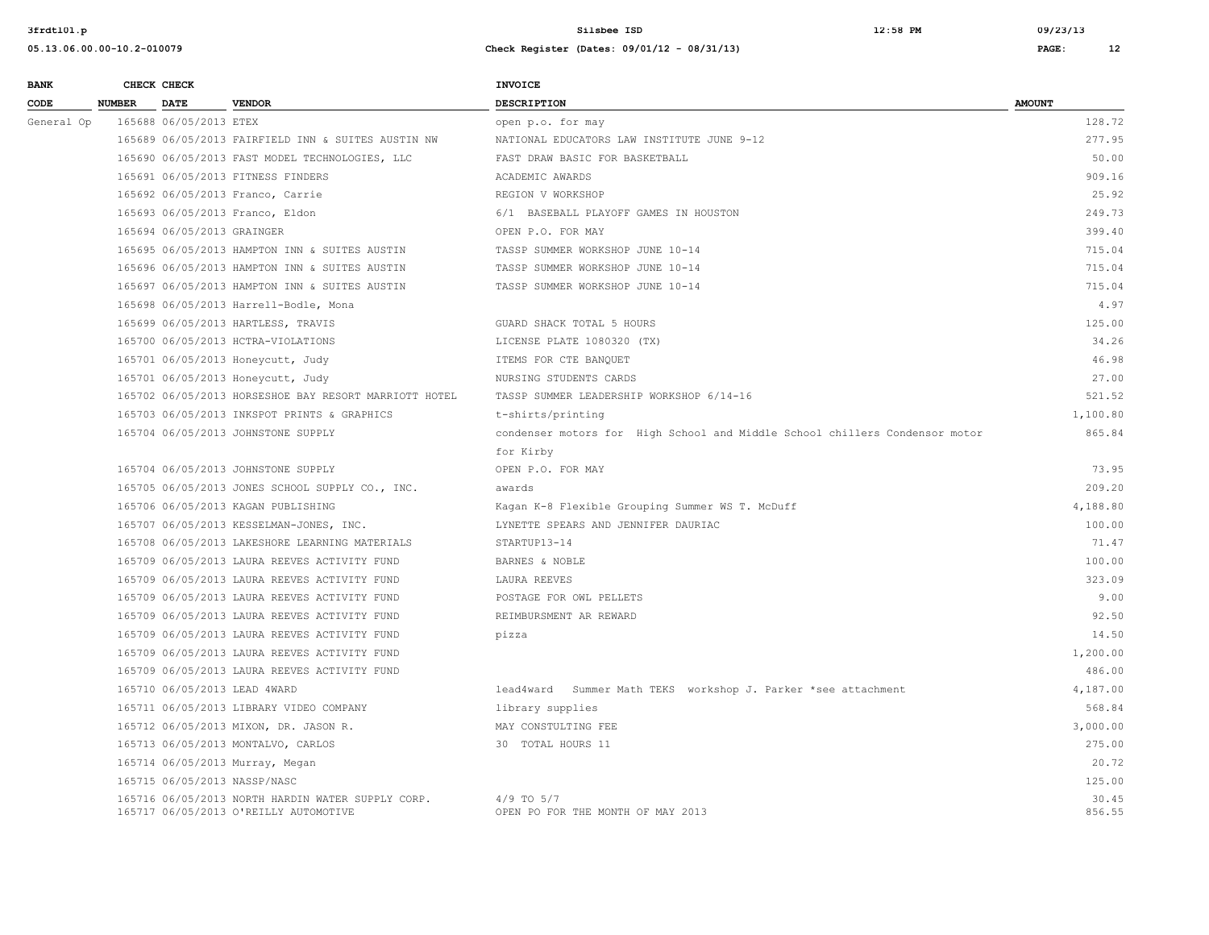**05.13.06.00.00-10.2-010079 Check Register (Dates: 09/01/12 - 08/31/13) PAGE: 12**

| <b>BANK</b> |               | CHECK CHECK                |                                                       | INVOICE                                                                     |               |
|-------------|---------------|----------------------------|-------------------------------------------------------|-----------------------------------------------------------------------------|---------------|
| CODE        | <b>NUMBER</b> | <b>DATE</b>                | <b>VENDOR</b>                                         | <b>DESCRIPTION</b>                                                          | <b>AMOUNT</b> |
| General Op  |               | 165688 06/05/2013 ETEX     |                                                       | open p.o. for may                                                           | 128.72        |
|             |               |                            | 165689 06/05/2013 FAIRFIELD INN & SUITES AUSTIN NW    | NATIONAL EDUCATORS LAW INSTITUTE JUNE 9-12                                  | 277.95        |
|             |               |                            | 165690 06/05/2013 FAST MODEL TECHNOLOGIES, LLC        | FAST DRAW BASIC FOR BASKETBALL                                              | 50.00         |
|             |               |                            | 165691 06/05/2013 FITNESS FINDERS                     | ACADEMIC AWARDS                                                             | 909.16        |
|             |               |                            | 165692 06/05/2013 Franco, Carrie                      | REGION V WORKSHOP                                                           | 25.92         |
|             |               |                            | 165693 06/05/2013 Franco, Eldon                       | 6/1 BASEBALL PLAYOFF GAMES IN HOUSTON                                       | 249.73        |
|             |               | 165694 06/05/2013 GRAINGER |                                                       | OPEN P.O. FOR MAY                                                           | 399.40        |
|             |               |                            | 165695 06/05/2013 HAMPTON INN & SUITES AUSTIN         | TASSP SUMMER WORKSHOP JUNE 10-14                                            | 715.04        |
|             |               |                            | 165696 06/05/2013 HAMPTON INN & SUITES AUSTIN         | TASSP SUMMER WORKSHOP JUNE 10-14                                            | 715.04        |
|             |               |                            | 165697 06/05/2013 HAMPTON INN & SUITES AUSTIN         | TASSP SUMMER WORKSHOP JUNE 10-14                                            | 715.04        |
|             |               |                            | 165698 06/05/2013 Harrell-Bodle, Mona                 |                                                                             | 4.97          |
|             |               |                            | 165699 06/05/2013 HARTLESS, TRAVIS                    | GUARD SHACK TOTAL 5 HOURS                                                   | 125.00        |
|             |               |                            | 165700 06/05/2013 HCTRA-VIOLATIONS                    | LICENSE PLATE 1080320 (TX)                                                  | 34.26         |
|             |               |                            | 165701 06/05/2013 Honeycutt, Judy                     | ITEMS FOR CTE BANQUET                                                       | 46.98         |
|             |               |                            | 165701 06/05/2013 Honeycutt, Judy                     | NURSING STUDENTS CARDS                                                      | 27.00         |
|             |               |                            | 165702 06/05/2013 HORSESHOE BAY RESORT MARRIOTT HOTEL | TASSP SUMMER LEADERSHIP WORKSHOP 6/14-16                                    | 521.52        |
|             |               |                            | 165703 06/05/2013 INKSPOT PRINTS & GRAPHICS           | t-shirts/printing                                                           | 1,100.80      |
|             |               |                            | 165704 06/05/2013 JOHNSTONE SUPPLY                    | condenser motors for High School and Middle School chillers Condensor motor | 865.84        |
|             |               |                            |                                                       | for Kirby                                                                   |               |
|             |               |                            | 165704 06/05/2013 JOHNSTONE SUPPLY                    | OPEN P.O. FOR MAY                                                           | 73.95         |
|             |               |                            | 165705 06/05/2013 JONES SCHOOL SUPPLY CO., INC.       | awards                                                                      | 209.20        |
|             |               |                            | 165706 06/05/2013 KAGAN PUBLISHING                    | Kagan K-8 Flexible Grouping Summer WS T. McDuff                             | 4,188.80      |
|             |               |                            | 165707 06/05/2013 KESSELMAN-JONES, INC.               | LYNETTE SPEARS AND JENNIFER DAURIAC                                         | 100.00        |
|             |               |                            | 165708 06/05/2013 LAKESHORE LEARNING MATERIALS        | STARTUP13-14                                                                | 71.47         |
|             |               |                            | 165709 06/05/2013 LAURA REEVES ACTIVITY FUND          | BARNES & NOBLE                                                              | 100.00        |
|             |               |                            | 165709 06/05/2013 LAURA REEVES ACTIVITY FUND          | LAURA REEVES                                                                | 323.09        |
|             |               |                            | 165709 06/05/2013 LAURA REEVES ACTIVITY FUND          | POSTAGE FOR OWL PELLETS                                                     | 9.00          |
|             |               |                            | 165709 06/05/2013 LAURA REEVES ACTIVITY FUND          | REIMBURSMENT AR REWARD                                                      | 92.50         |
|             |               |                            | 165709 06/05/2013 LAURA REEVES ACTIVITY FUND          | pizza                                                                       | 14.50         |
|             |               |                            | 165709 06/05/2013 LAURA REEVES ACTIVITY FUND          |                                                                             | 1,200.00      |
|             |               |                            | 165709 06/05/2013 LAURA REEVES ACTIVITY FUND          |                                                                             | 486.00        |
|             |               |                            | 165710 06/05/2013 LEAD 4WARD                          | lead4ward Summer Math TEKS workshop J. Parker *see attachment               | 4,187.00      |
|             |               |                            | 165711 06/05/2013 LIBRARY VIDEO COMPANY               | library supplies                                                            | 568.84        |
|             |               |                            | 165712 06/05/2013 MIXON, DR. JASON R.                 | MAY CONSTULTING FEE                                                         | 3,000.00      |
|             |               |                            | 165713 06/05/2013 MONTALVO, CARLOS                    | 30 TOTAL HOURS 11                                                           | 275.00        |
|             |               |                            | 165714 06/05/2013 Murray, Megan                       |                                                                             | 20.72         |

165716 06/05/2013 NORTH HARDIN WATER SUPPLY CORP.<br>165717 06/05/2013 O'REILLY AUTOMOTIVE **1698** OPEN PO FOR THE MONTH OF MAY 2013 165717 06/05/2013 O'REILLY AUTOMOTIVE

165715 06/05/2013 NASSP/NASC 125.00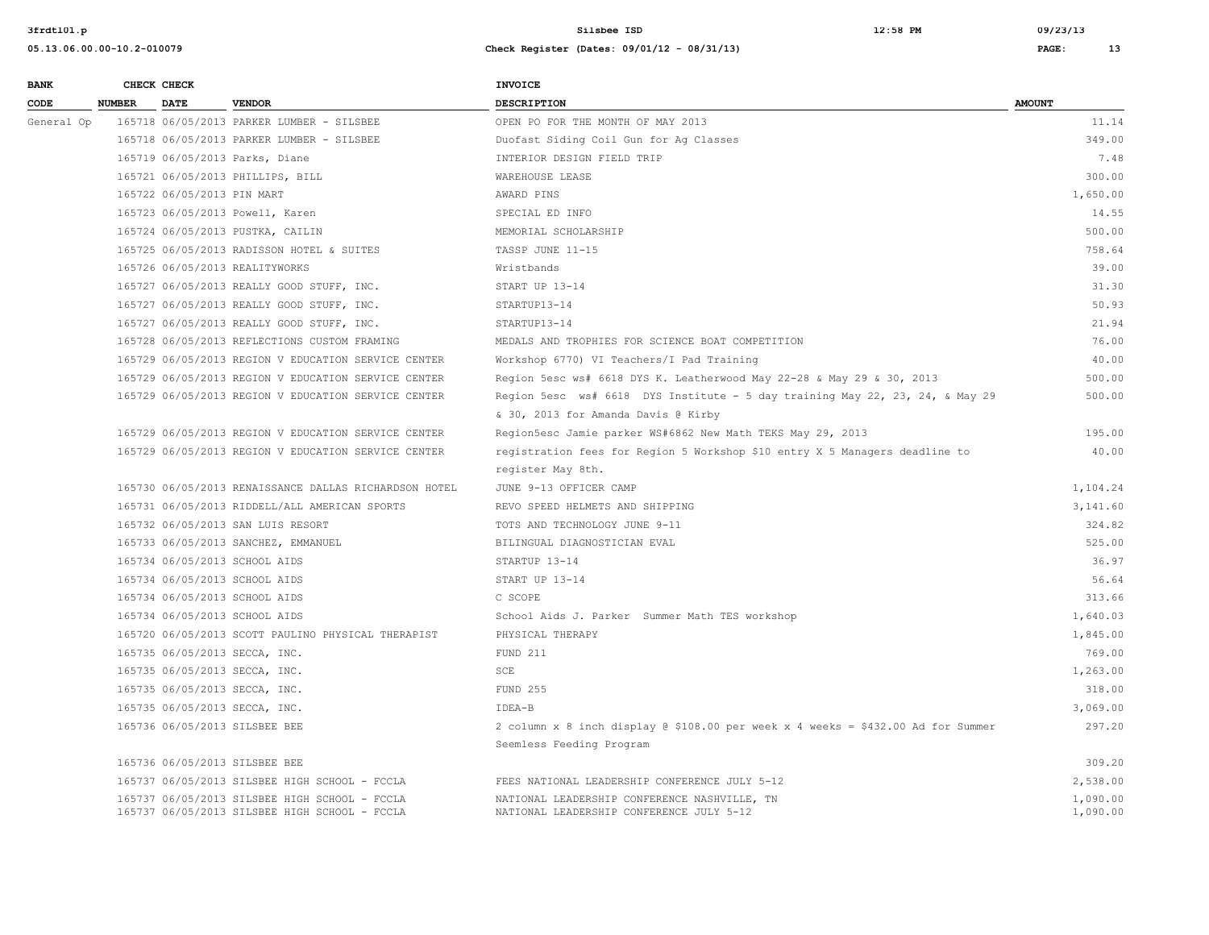| <b>BANK</b> |               | CHECK CHECK                |                                                                                                | <b>INVOICE</b>                                                                           |                      |
|-------------|---------------|----------------------------|------------------------------------------------------------------------------------------------|------------------------------------------------------------------------------------------|----------------------|
| CODE        | <b>NUMBER</b> | <b>DATE</b>                | <b>VENDOR</b>                                                                                  | <b>DESCRIPTION</b>                                                                       | <b>AMOUNT</b>        |
| General Op  |               |                            | 165718 06/05/2013 PARKER LUMBER - SILSBEE                                                      | OPEN PO FOR THE MONTH OF MAY 2013                                                        | 11.14                |
|             |               |                            | 165718 06/05/2013 PARKER LUMBER - SILSBEE                                                      | Duofast Siding Coil Gun for Ag Classes                                                   | 349.00               |
|             |               |                            | 165719 06/05/2013 Parks, Diane                                                                 | INTERIOR DESIGN FIELD TRIP                                                               | 7.48                 |
|             |               |                            | 165721 06/05/2013 PHILLIPS, BILL                                                               | WAREHOUSE LEASE                                                                          | 300.00               |
|             |               | 165722 06/05/2013 PIN MART |                                                                                                | AWARD PINS                                                                               | 1,650.00             |
|             |               |                            | 165723 06/05/2013 Powell, Karen                                                                | SPECIAL ED INFO                                                                          | 14.55                |
|             |               |                            | 165724 06/05/2013 PUSTKA, CAILIN                                                               | MEMORIAL SCHOLARSHIP                                                                     | 500.00               |
|             |               |                            | 165725 06/05/2013 RADISSON HOTEL & SUITES                                                      | TASSP JUNE 11-15                                                                         | 758.64               |
|             |               |                            | 165726 06/05/2013 REALITYWORKS                                                                 | Wristbands                                                                               | 39.00                |
|             |               |                            | 165727 06/05/2013 REALLY GOOD STUFF, INC.                                                      | START UP 13-14                                                                           | 31.30                |
|             |               |                            | 165727 06/05/2013 REALLY GOOD STUFF, INC.                                                      | STARTUP13-14                                                                             | 50.93                |
|             |               |                            | 165727 06/05/2013 REALLY GOOD STUFF, INC.                                                      | STARTUP13-14                                                                             | 21.94                |
|             |               |                            | 165728 06/05/2013 REFLECTIONS CUSTOM FRAMING                                                   | MEDALS AND TROPHIES FOR SCIENCE BOAT COMPETITION                                         | 76.00                |
|             |               |                            | 165729 06/05/2013 REGION V EDUCATION SERVICE CENTER                                            | Workshop 6770) VI Teachers/I Pad Training                                                | 40.00                |
|             |               |                            | 165729 06/05/2013 REGION V EDUCATION SERVICE CENTER                                            | Region 5esc ws# 6618 DYS K. Leatherwood May 22-28 & May 29 & 30, 2013                    | 500.00               |
|             |               |                            | 165729 06/05/2013 REGION V EDUCATION SERVICE CENTER                                            | Region 5esc ws# 6618 DYS Institute - 5 day training May 22, 23, 24, & May 29             | 500.00               |
|             |               |                            |                                                                                                | & 30, 2013 for Amanda Davis @ Kirby                                                      |                      |
|             |               |                            | 165729 06/05/2013 REGION V EDUCATION SERVICE CENTER                                            | Region5esc Jamie parker WS#6862 New Math TEKS May 29, 2013                               | 195.00               |
|             |               |                            | 165729 06/05/2013 REGION V EDUCATION SERVICE CENTER                                            | registration fees for Region 5 Workshop \$10 entry X 5 Managers deadline to              | 40.00                |
|             |               |                            |                                                                                                | register May 8th.                                                                        |                      |
|             |               |                            | 165730 06/05/2013 RENAISSANCE DALLAS RICHARDSON HOTEL                                          | JUNE 9-13 OFFICER CAMP                                                                   | 1,104.24             |
|             |               |                            | 165731 06/05/2013 RIDDELL/ALL AMERICAN SPORTS                                                  | REVO SPEED HELMETS AND SHIPPING                                                          | 3,141.60             |
|             |               |                            | 165732 06/05/2013 SAN LUIS RESORT                                                              | TOTS AND TECHNOLOGY JUNE 9-11                                                            | 324.82               |
|             |               |                            | 165733 06/05/2013 SANCHEZ, EMMANUEL                                                            | BILINGUAL DIAGNOSTICIAN EVAL                                                             | 525.00               |
|             |               |                            | 165734 06/05/2013 SCHOOL AIDS                                                                  | STARTUP 13-14                                                                            | 36.97                |
|             |               |                            | 165734 06/05/2013 SCHOOL AIDS                                                                  | START UP 13-14                                                                           | 56.64                |
|             |               |                            | 165734 06/05/2013 SCHOOL AIDS                                                                  | C SCOPE                                                                                  | 313.66               |
|             |               |                            | 165734 06/05/2013 SCHOOL AIDS                                                                  | School Aids J. Parker Summer Math TES workshop                                           | 1,640.03             |
|             |               |                            | 165720 06/05/2013 SCOTT PAULINO PHYSICAL THERAPIST                                             | PHYSICAL THERAPY                                                                         | 1,845.00             |
|             |               |                            | 165735 06/05/2013 SECCA, INC.                                                                  | FUND 211                                                                                 | 769.00               |
|             |               |                            | 165735 06/05/2013 SECCA, INC.                                                                  | SCE                                                                                      | 1,263.00             |
|             |               |                            | 165735 06/05/2013 SECCA, INC.                                                                  | FUND 255                                                                                 | 318.00               |
|             |               |                            | 165735 06/05/2013 SECCA, INC.                                                                  | IDEA-B                                                                                   | 3,069.00             |
|             |               |                            | 165736 06/05/2013 SILSBEE BEE                                                                  | 2 column x 8 inch display @ \$108.00 per week x 4 weeks = \$432.00 Ad for Summer         | 297.20               |
|             |               |                            |                                                                                                | Seemless Feeding Program                                                                 |                      |
|             |               |                            | 165736 06/05/2013 SILSBEE BEE                                                                  |                                                                                          | 309.20               |
|             |               |                            | 165737 06/05/2013 SILSBEE HIGH SCHOOL - FCCLA                                                  | FEES NATIONAL LEADERSHIP CONFERENCE JULY 5-12                                            | 2,538.00             |
|             |               |                            | 165737 06/05/2013 SILSBEE HIGH SCHOOL - FCCLA<br>165737 06/05/2013 SILSBEE HIGH SCHOOL - FCCLA | NATIONAL LEADERSHIP CONFERENCE NASHVILLE, TN<br>NATIONAL LEADERSHIP CONFERENCE JULY 5-12 | 1,090.00<br>1,090.00 |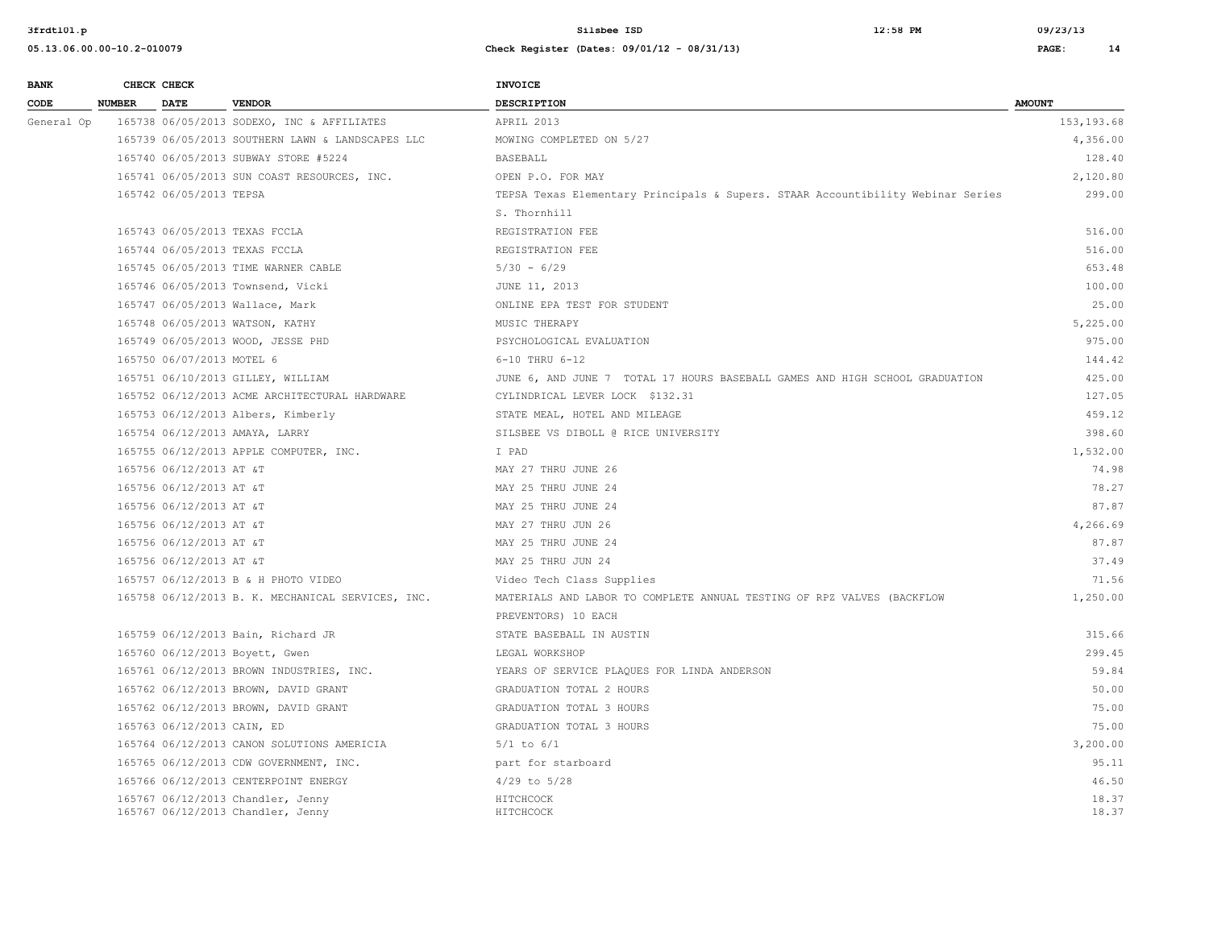| <b>BANK</b> |               | CHECK CHECK                |                                                                        | <b>INVOICE</b>                                                                  |                |
|-------------|---------------|----------------------------|------------------------------------------------------------------------|---------------------------------------------------------------------------------|----------------|
| CODE        | <b>NUMBER</b> | <b>DATE</b>                | <b>VENDOR</b>                                                          | <b>DESCRIPTION</b>                                                              | <b>AMOUNT</b>  |
| General Op  |               |                            | 165738 06/05/2013 SODEXO, INC & AFFILIATES                             | APRIL 2013                                                                      | 153, 193.68    |
|             |               |                            | 165739 06/05/2013 SOUTHERN LAWN & LANDSCAPES LLC                       | MOWING COMPLETED ON 5/27                                                        | 4,356.00       |
|             |               |                            | 165740 06/05/2013 SUBWAY STORE #5224                                   | BASEBALL                                                                        | 128.40         |
|             |               |                            | 165741 06/05/2013 SUN COAST RESOURCES, INC.                            | OPEN P.O. FOR MAY                                                               | 2,120.80       |
|             |               | 165742 06/05/2013 TEPSA    |                                                                        | TEPSA Texas Elementary Principals & Supers. STAAR Accountibility Webinar Series | 299.00         |
|             |               |                            |                                                                        | S. Thornhill                                                                    |                |
|             |               |                            | 165743 06/05/2013 TEXAS FCCLA                                          | REGISTRATION FEE                                                                | 516.00         |
|             |               |                            | 165744 06/05/2013 TEXAS FCCLA                                          | REGISTRATION FEE                                                                | 516.00         |
|             |               |                            | 165745 06/05/2013 TIME WARNER CABLE                                    | $5/30 - 6/29$                                                                   | 653.48         |
|             |               |                            | 165746 06/05/2013 Townsend, Vicki                                      | JUNE 11, 2013                                                                   | 100.00         |
|             |               |                            | 165747 06/05/2013 Wallace, Mark                                        | ONLINE EPA TEST FOR STUDENT                                                     | 25.00          |
|             |               |                            | 165748 06/05/2013 WATSON, KATHY                                        | MUSIC THERAPY                                                                   | 5,225.00       |
|             |               |                            | 165749 06/05/2013 WOOD, JESSE PHD                                      | PSYCHOLOGICAL EVALUATION                                                        | 975.00         |
|             |               | 165750 06/07/2013 MOTEL 6  |                                                                        | 6-10 THRU 6-12                                                                  | 144.42         |
|             |               |                            | 165751 06/10/2013 GILLEY, WILLIAM                                      | JUNE 6, AND JUNE 7 TOTAL 17 HOURS BASEBALL GAMES AND HIGH SCHOOL GRADUATION     | 425.00         |
|             |               |                            | 165752 06/12/2013 ACME ARCHITECTURAL HARDWARE                          | CYLINDRICAL LEVER LOCK \$132.31                                                 | 127.05         |
|             |               |                            | 165753 06/12/2013 Albers, Kimberly                                     | STATE MEAL, HOTEL AND MILEAGE                                                   | 459.12         |
|             |               |                            | 165754 06/12/2013 AMAYA, LARRY                                         | SILSBEE VS DIBOLL @ RICE UNIVERSITY                                             | 398.60         |
|             |               |                            | 165755 06/12/2013 APPLE COMPUTER, INC.                                 | I PAD                                                                           | 1,532.00       |
|             |               | 165756 06/12/2013 AT &T    |                                                                        | MAY 27 THRU JUNE 26                                                             | 74.98          |
|             |               | 165756 06/12/2013 AT &T    |                                                                        | MAY 25 THRU JUNE 24                                                             | 78.27          |
|             |               | 165756 06/12/2013 AT &T    |                                                                        | MAY 25 THRU JUNE 24                                                             | 87.87          |
|             |               | 165756 06/12/2013 AT &T    |                                                                        | MAY 27 THRU JUN 26                                                              | 4,266.69       |
|             |               | 165756 06/12/2013 AT &T    |                                                                        | MAY 25 THRU JUNE 24                                                             | 87.87          |
|             |               | 165756 06/12/2013 AT &T    |                                                                        | MAY 25 THRU JUN 24                                                              | 37.49          |
|             |               |                            | 165757 06/12/2013 B & H PHOTO VIDEO                                    | Video Tech Class Supplies                                                       | 71.56          |
|             |               |                            | 165758 06/12/2013 B. K. MECHANICAL SERVICES, INC.                      | MATERIALS AND LABOR TO COMPLETE ANNUAL TESTING OF RPZ VALVES (BACKFLOW          | 1,250.00       |
|             |               |                            |                                                                        | PREVENTORS) 10 EACH                                                             |                |
|             |               |                            | 165759 06/12/2013 Bain, Richard JR                                     | STATE BASEBALL IN AUSTIN                                                        | 315.66         |
|             |               |                            | 165760 06/12/2013 Boyett, Gwen                                         | LEGAL WORKSHOP                                                                  | 299.45         |
|             |               |                            | 165761 06/12/2013 BROWN INDUSTRIES, INC.                               | YEARS OF SERVICE PLAQUES FOR LINDA ANDERSON                                     | 59.84          |
|             |               |                            | 165762 06/12/2013 BROWN, DAVID GRANT                                   | GRADUATION TOTAL 2 HOURS                                                        | 50.00          |
|             |               |                            | 165762 06/12/2013 BROWN, DAVID GRANT                                   | GRADUATION TOTAL 3 HOURS                                                        | 75.00          |
|             |               | 165763 06/12/2013 CAIN, ED |                                                                        | GRADUATION TOTAL 3 HOURS                                                        | 75.00          |
|             |               |                            | 165764 06/12/2013 CANON SOLUTIONS AMERICIA                             | $5/1$ to $6/1$                                                                  | 3,200.00       |
|             |               |                            | 165765 06/12/2013 CDW GOVERNMENT, INC.                                 | part for starboard                                                              | 95.11          |
|             |               |                            | 165766 06/12/2013 CENTERPOINT ENERGY                                   | $4/29$ to $5/28$                                                                | 46.50          |
|             |               |                            | 165767 06/12/2013 Chandler, Jenny<br>165767 06/12/2013 Chandler, Jenny | HITCHCOCK<br>HITCHCOCK                                                          | 18.37<br>18.37 |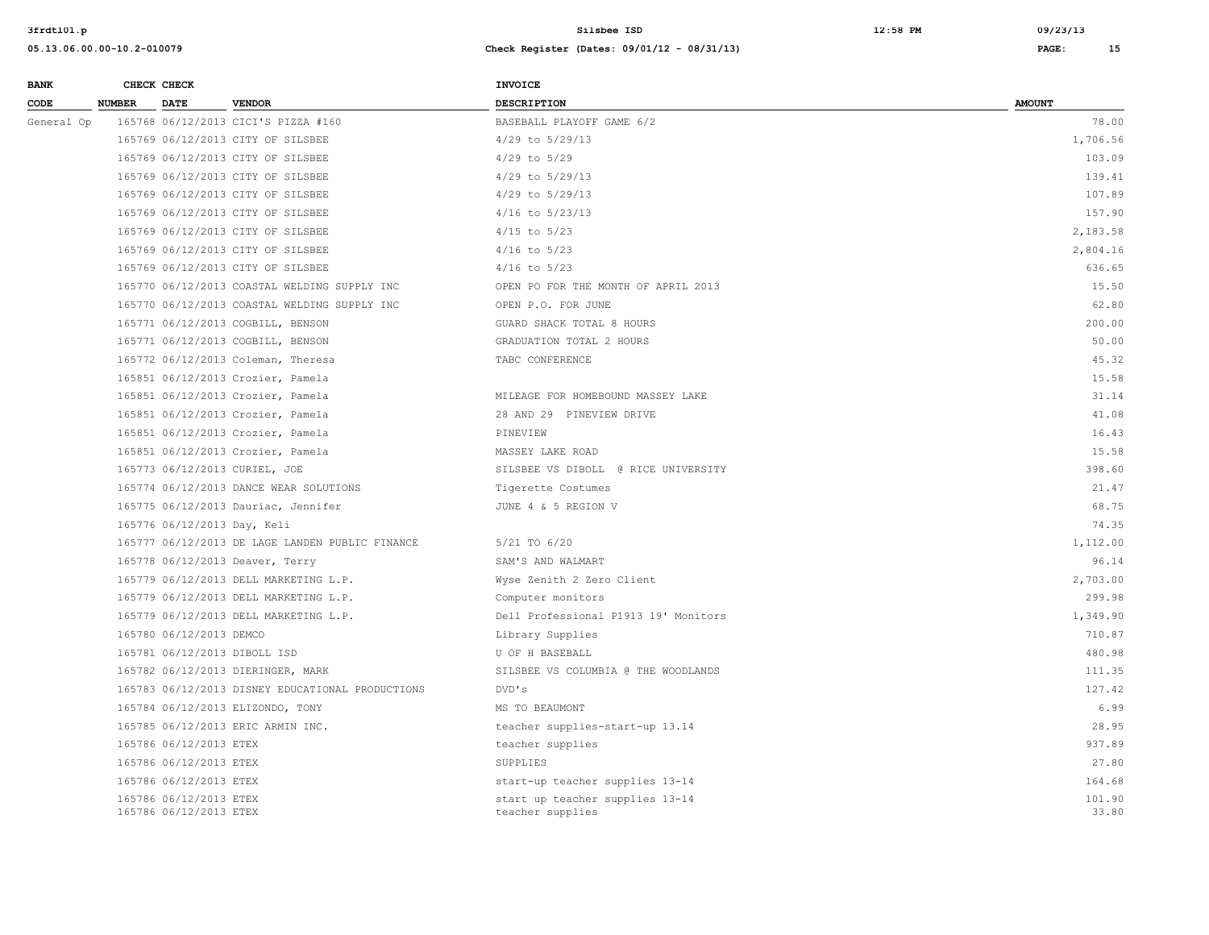| <b>BANK</b> |               | CHECK CHECK                                      |                                                  | <b>INVOICE</b>                                      |                 |
|-------------|---------------|--------------------------------------------------|--------------------------------------------------|-----------------------------------------------------|-----------------|
| CODE        | <b>NUMBER</b> | <b>DATE</b>                                      | <b>VENDOR</b>                                    | <b>DESCRIPTION</b>                                  | <b>AMOUNT</b>   |
| General Op  |               |                                                  | 165768 06/12/2013 CICI'S PIZZA #160              | BASEBALL PLAYOFF GAME 6/2                           | 78.00           |
|             |               |                                                  | 165769 06/12/2013 CITY OF SILSBEE                | 4/29 to 5/29/13                                     | 1,706.56        |
|             |               |                                                  | 165769 06/12/2013 CITY OF SILSBEE                | $4/29$ to $5/29$                                    | 103.09          |
|             |               |                                                  | 165769 06/12/2013 CITY OF SILSBEE                | 4/29 to 5/29/13                                     | 139.41          |
|             |               |                                                  | 165769 06/12/2013 CITY OF SILSBEE                | 4/29 to 5/29/13                                     | 107.89          |
|             |               |                                                  | 165769 06/12/2013 CITY OF SILSBEE                | $4/16$ to $5/23/13$                                 | 157.90          |
|             |               |                                                  | 165769 06/12/2013 CITY OF SILSBEE                | $4/15$ to $5/23$                                    | 2,183.58        |
|             |               |                                                  | 165769 06/12/2013 CITY OF SILSBEE                | $4/16$ to $5/23$                                    | 2,804.16        |
|             |               |                                                  | 165769 06/12/2013 CITY OF SILSBEE                | $4/16$ to $5/23$                                    | 636.65          |
|             |               |                                                  | 165770 06/12/2013 COASTAL WELDING SUPPLY INC     | OPEN PO FOR THE MONTH OF APRIL 2013                 | 15.50           |
|             |               |                                                  | 165770 06/12/2013 COASTAL WELDING SUPPLY INC     | OPEN P.O. FOR JUNE                                  | 62.80           |
|             |               |                                                  | 165771 06/12/2013 COGBILL, BENSON                | GUARD SHACK TOTAL 8 HOURS                           | 200.00          |
|             |               |                                                  | 165771 06/12/2013 COGBILL, BENSON                | GRADUATION TOTAL 2 HOURS                            | 50.00           |
|             |               |                                                  | 165772 06/12/2013 Coleman, Theresa               | TABC CONFERENCE                                     | 45.32           |
|             |               |                                                  | 165851 06/12/2013 Crozier, Pamela                |                                                     | 15.58           |
|             |               |                                                  | 165851 06/12/2013 Crozier, Pamela                | MILEAGE FOR HOMEBOUND MASSEY LAKE                   | 31.14           |
|             |               |                                                  | 165851 06/12/2013 Crozier, Pamela                | 28 AND 29 PINEVIEW DRIVE                            | 41.08           |
|             |               |                                                  | 165851 06/12/2013 Crozier, Pamela                | PINEVIEW                                            | 16.43           |
|             |               |                                                  | 165851 06/12/2013 Crozier, Pamela                | MASSEY LAKE ROAD                                    | 15.58           |
|             |               |                                                  | 165773 06/12/2013 CURIEL, JOE                    | SILSBEE VS DIBOLL @ RICE UNIVERSITY                 | 398.60          |
|             |               |                                                  | 165774 06/12/2013 DANCE WEAR SOLUTIONS           | Tigerette Costumes                                  | 21.47           |
|             |               |                                                  | 165775 06/12/2013 Dauriac, Jennifer              | JUNE 4 & 5 REGION V                                 | 68.75           |
|             |               | 165776 06/12/2013 Day, Keli                      |                                                  |                                                     | 74.35           |
|             |               |                                                  | 165777 06/12/2013 DE LAGE LANDEN PUBLIC FINANCE  | 5/21 TO 6/20                                        | 1,112.00        |
|             |               |                                                  | 165778 06/12/2013 Deaver, Terry                  | SAM'S AND WALMART                                   | 96.14           |
|             |               |                                                  | 165779 06/12/2013 DELL MARKETING L.P.            | Wyse Zenith 2 Zero Client                           | 2,703.00        |
|             |               |                                                  | 165779 06/12/2013 DELL MARKETING L.P.            | Computer monitors                                   | 299.98          |
|             |               |                                                  | 165779 06/12/2013 DELL MARKETING L.P.            | Dell Professional P1913 19' Monitors                | 1,349.90        |
|             |               | 165780 06/12/2013 DEMCO                          |                                                  | Library Supplies                                    | 710.87          |
|             |               |                                                  | 165781 06/12/2013 DIBOLL ISD                     | U OF H BASEBALL                                     | 480.98          |
|             |               |                                                  | 165782 06/12/2013 DIERINGER, MARK                | SILSBEE VS COLUMBIA @ THE WOODLANDS                 | 111.35          |
|             |               |                                                  | 165783 06/12/2013 DISNEY EDUCATIONAL PRODUCTIONS | DVD's                                               | 127.42          |
|             |               |                                                  | 165784 06/12/2013 ELIZONDO, TONY                 | MS TO BEAUMONT                                      | 6.99            |
|             |               |                                                  | 165785 06/12/2013 ERIC ARMIN INC.                | teacher supplies-start-up 13.14                     | 28.95           |
|             |               | 165786 06/12/2013 ETEX                           |                                                  | teacher supplies                                    | 937.89          |
|             |               | 165786 06/12/2013 ETEX                           |                                                  | SUPPLIES                                            | 27.80           |
|             |               | 165786 06/12/2013 ETEX                           |                                                  | start-up teacher supplies 13-14                     | 164.68          |
|             |               | 165786 06/12/2013 ETEX<br>165786 06/12/2013 ETEX |                                                  | start up teacher supplies 13-14<br>teacher supplies | 101.90<br>33.80 |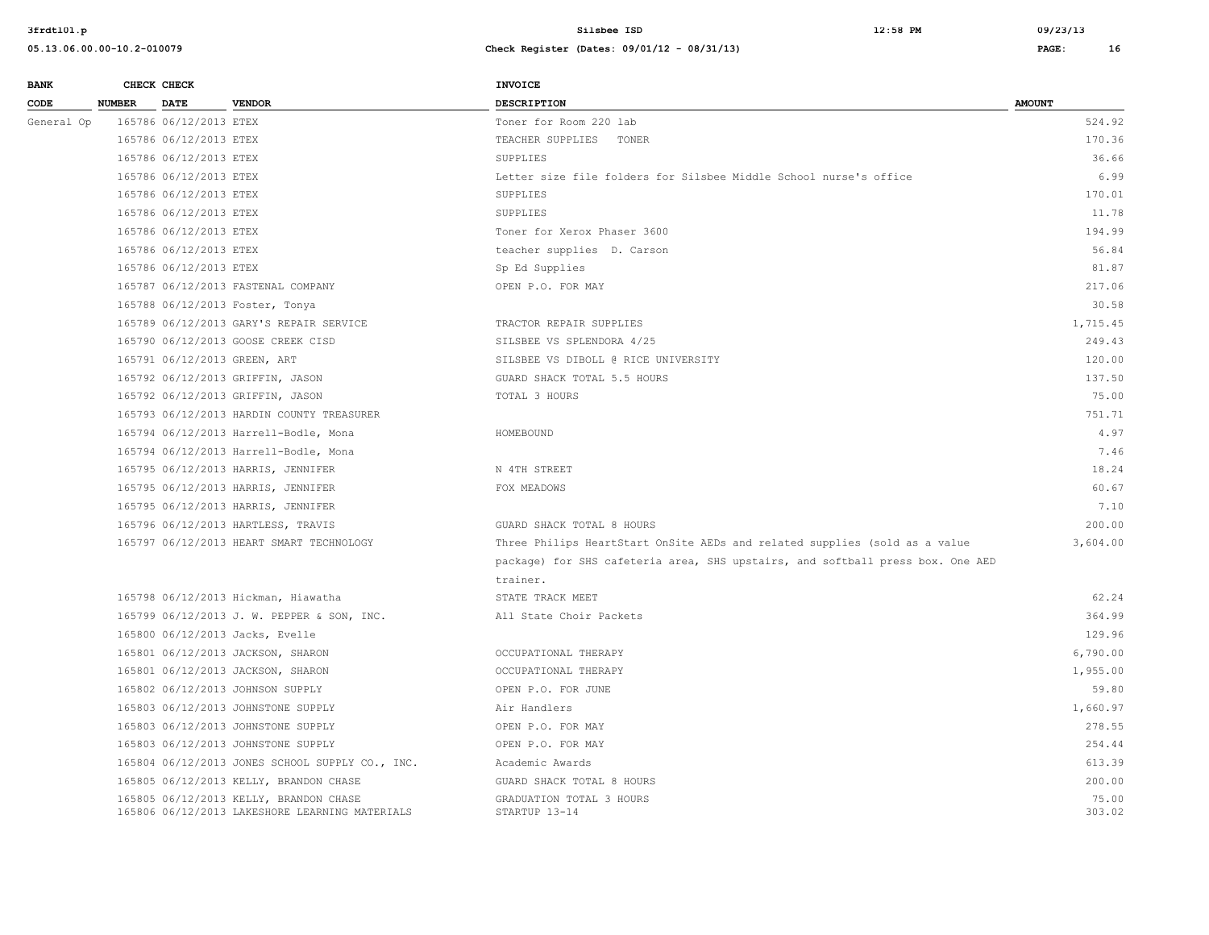| <b>BANK</b> |               | CHECK CHECK            |                                                                                          | <b>INVOICE</b>                                                                 |                 |
|-------------|---------------|------------------------|------------------------------------------------------------------------------------------|--------------------------------------------------------------------------------|-----------------|
| CODE        | <b>NUMBER</b> | <b>DATE</b>            | <b>VENDOR</b>                                                                            | DESCRIPTION                                                                    | <b>AMOUNT</b>   |
| General Op  |               | 165786 06/12/2013 ETEX |                                                                                          | Toner for Room 220 lab                                                         | 524.92          |
|             |               | 165786 06/12/2013 ETEX |                                                                                          | TEACHER SUPPLIES TONER                                                         | 170.36          |
|             |               | 165786 06/12/2013 ETEX |                                                                                          | SUPPLIES                                                                       | 36.66           |
|             |               | 165786 06/12/2013 ETEX |                                                                                          | Letter size file folders for Silsbee Middle School nurse's office              | 6.99            |
|             |               | 165786 06/12/2013 ETEX |                                                                                          | SUPPLIES                                                                       | 170.01          |
|             |               | 165786 06/12/2013 ETEX |                                                                                          | SUPPLIES                                                                       | 11.78           |
|             |               | 165786 06/12/2013 ETEX |                                                                                          | Toner for Xerox Phaser 3600                                                    | 194.99          |
|             |               | 165786 06/12/2013 ETEX |                                                                                          | teacher supplies D. Carson                                                     | 56.84           |
|             |               | 165786 06/12/2013 ETEX |                                                                                          | Sp Ed Supplies                                                                 | 81.87           |
|             |               |                        | 165787 06/12/2013 FASTENAL COMPANY                                                       | OPEN P.O. FOR MAY                                                              | 217.06          |
|             |               |                        | 165788 06/12/2013 Foster, Tonya                                                          |                                                                                | 30.58           |
|             |               |                        | 165789 06/12/2013 GARY'S REPAIR SERVICE                                                  | TRACTOR REPAIR SUPPLIES                                                        | 1,715.45        |
|             |               |                        | 165790 06/12/2013 GOOSE CREEK CISD                                                       | SILSBEE VS SPLENDORA 4/25                                                      | 249.43          |
|             |               |                        | 165791 06/12/2013 GREEN, ART                                                             | SILSBEE VS DIBOLL @ RICE UNIVERSITY                                            | 120.00          |
|             |               |                        | 165792 06/12/2013 GRIFFIN, JASON                                                         | GUARD SHACK TOTAL 5.5 HOURS                                                    | 137.50          |
|             |               |                        | 165792 06/12/2013 GRIFFIN, JASON                                                         | TOTAL 3 HOURS                                                                  | 75.00           |
|             |               |                        | 165793 06/12/2013 HARDIN COUNTY TREASURER                                                |                                                                                | 751.71          |
|             |               |                        | 165794 06/12/2013 Harrell-Bodle, Mona                                                    | HOMEBOUND                                                                      | 4.97            |
|             |               |                        | 165794 06/12/2013 Harrell-Bodle, Mona                                                    |                                                                                | 7.46            |
|             |               |                        | 165795 06/12/2013 HARRIS, JENNIFER                                                       | N 4TH STREET                                                                   | 18.24           |
|             |               |                        | 165795 06/12/2013 HARRIS, JENNIFER                                                       | FOX MEADOWS                                                                    | 60.67           |
|             |               |                        | 165795 06/12/2013 HARRIS, JENNIFER                                                       |                                                                                | 7.10            |
|             |               |                        | 165796 06/12/2013 HARTLESS, TRAVIS                                                       | GUARD SHACK TOTAL 8 HOURS                                                      | 200.00          |
|             |               |                        | 165797 06/12/2013 HEART SMART TECHNOLOGY                                                 | Three Philips HeartStart OnSite AEDs and related supplies (sold as a value     | 3,604.00        |
|             |               |                        |                                                                                          | package) for SHS cafeteria area, SHS upstairs, and softball press box. One AED |                 |
|             |               |                        |                                                                                          | trainer.                                                                       |                 |
|             |               |                        | 165798 06/12/2013 Hickman, Hiawatha                                                      | STATE TRACK MEET                                                               | 62.24           |
|             |               |                        | 165799 06/12/2013 J. W. PEPPER & SON, INC.                                               | All State Choir Packets                                                        | 364.99          |
|             |               |                        | 165800 06/12/2013 Jacks, Evelle                                                          |                                                                                | 129.96          |
|             |               |                        | 165801 06/12/2013 JACKSON, SHARON                                                        | OCCUPATIONAL THERAPY                                                           | 6,790.00        |
|             |               |                        | 165801 06/12/2013 JACKSON, SHARON                                                        | OCCUPATIONAL THERAPY                                                           | 1,955.00        |
|             |               |                        | 165802 06/12/2013 JOHNSON SUPPLY                                                         | OPEN P.O. FOR JUNE                                                             | 59.80           |
|             |               |                        | 165803 06/12/2013 JOHNSTONE SUPPLY                                                       | Air Handlers                                                                   | 1,660.97        |
|             |               |                        | 165803 06/12/2013 JOHNSTONE SUPPLY                                                       | OPEN P.O. FOR MAY                                                              | 278.55          |
|             |               |                        | 165803 06/12/2013 JOHNSTONE SUPPLY                                                       | OPEN P.O. FOR MAY                                                              | 254.44          |
|             |               |                        | 165804 06/12/2013 JONES SCHOOL SUPPLY CO., INC.                                          | Academic Awards                                                                | 613.39          |
|             |               |                        | 165805 06/12/2013 KELLY, BRANDON CHASE                                                   | GUARD SHACK TOTAL 8 HOURS                                                      | 200.00          |
|             |               |                        | 165805 06/12/2013 KELLY, BRANDON CHASE<br>165806 06/12/2013 LAKESHORE LEARNING MATERIALS | GRADUATION TOTAL 3 HOURS<br>STARTUP 13-14                                      | 75.00<br>303.02 |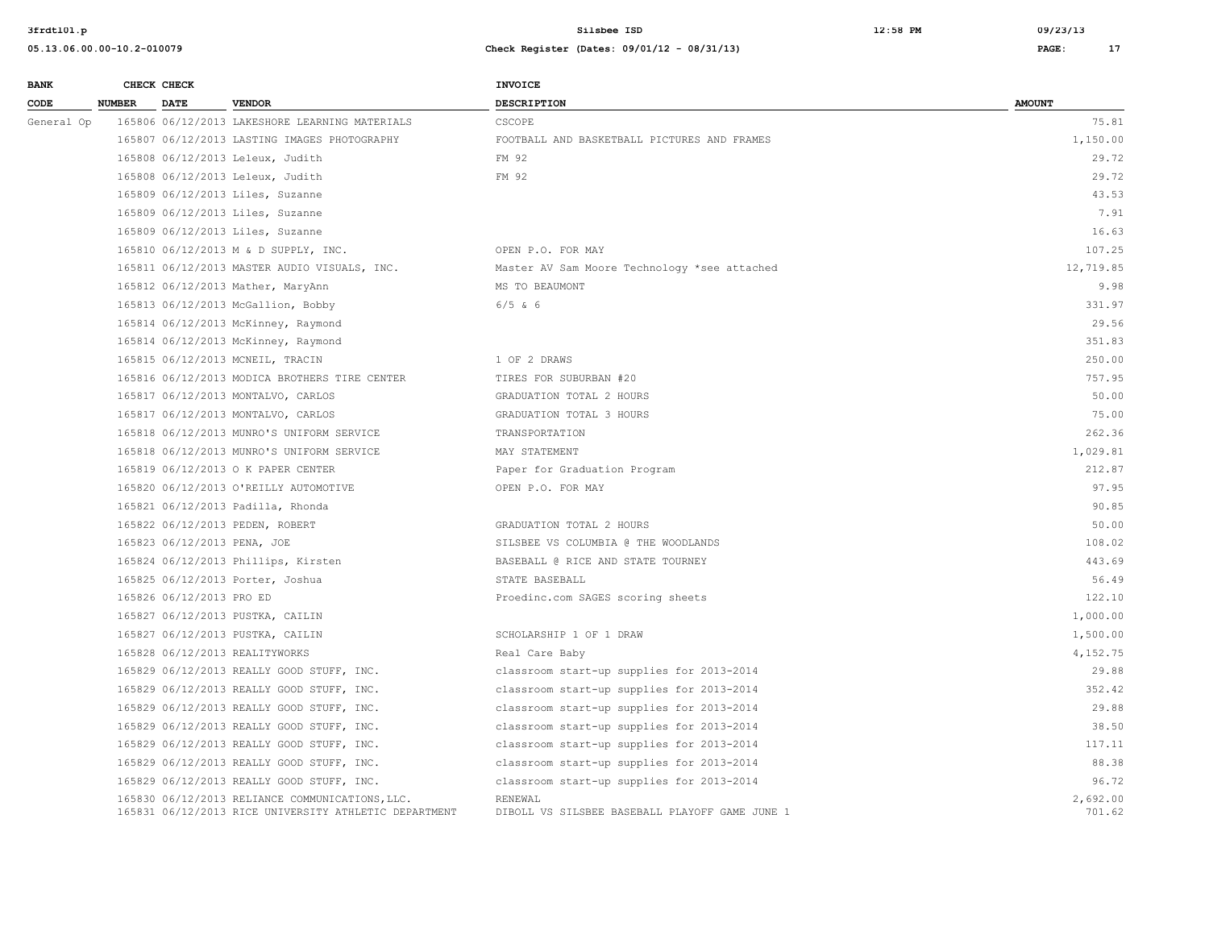| <b>BANK</b> |               | CHECK CHECK                 |                                                                                                          | <b>INVOICE</b>                                            |                    |
|-------------|---------------|-----------------------------|----------------------------------------------------------------------------------------------------------|-----------------------------------------------------------|--------------------|
| CODE        | <b>NUMBER</b> | <b>DATE</b>                 | <b>VENDOR</b>                                                                                            | <b>DESCRIPTION</b>                                        | <b>AMOUNT</b>      |
| General Op  |               |                             | 165806 06/12/2013 LAKESHORE LEARNING MATERIALS                                                           | CSCOPE                                                    | 75.81              |
|             |               |                             | 165807 06/12/2013 LASTING IMAGES PHOTOGRAPHY                                                             | FOOTBALL AND BASKETBALL PICTURES AND FRAMES               | 1,150.00           |
|             |               |                             | 165808 06/12/2013 Leleux, Judith                                                                         | FM 92                                                     | 29.72              |
|             |               |                             | 165808 06/12/2013 Leleux, Judith                                                                         | FM 92                                                     | 29.72              |
|             |               |                             | 165809 06/12/2013 Liles, Suzanne                                                                         |                                                           | 43.53              |
|             |               |                             | 165809 06/12/2013 Liles, Suzanne                                                                         |                                                           | 7.91               |
|             |               |                             | 165809 06/12/2013 Liles, Suzanne                                                                         |                                                           | 16.63              |
|             |               |                             | 165810 06/12/2013 M & D SUPPLY, INC.                                                                     | OPEN P.O. FOR MAY                                         | 107.25             |
|             |               |                             | 165811 06/12/2013 MASTER AUDIO VISUALS, INC.                                                             | Master AV Sam Moore Technology *see attached              | 12,719.85          |
|             |               |                             | 165812 06/12/2013 Mather, MaryAnn                                                                        | MS TO BEAUMONT                                            | 9.98               |
|             |               |                             | 165813 06/12/2013 McGallion, Bobby                                                                       | $6/5$ & 6                                                 | 331.97             |
|             |               |                             | 165814 06/12/2013 McKinney, Raymond                                                                      |                                                           | 29.56              |
|             |               |                             | 165814 06/12/2013 McKinney, Raymond                                                                      |                                                           | 351.83             |
|             |               |                             | 165815 06/12/2013 MCNEIL, TRACIN                                                                         | 1 OF 2 DRAWS                                              | 250.00             |
|             |               |                             | 165816 06/12/2013 MODICA BROTHERS TIRE CENTER                                                            | TIRES FOR SUBURBAN #20                                    | 757.95             |
|             |               |                             | 165817 06/12/2013 MONTALVO, CARLOS                                                                       | GRADUATION TOTAL 2 HOURS                                  | 50.00              |
|             |               |                             | 165817 06/12/2013 MONTALVO, CARLOS                                                                       | GRADUATION TOTAL 3 HOURS                                  | 75.00              |
|             |               |                             | 165818 06/12/2013 MUNRO'S UNIFORM SERVICE                                                                | TRANSPORTATION                                            | 262.36             |
|             |               |                             | 165818 06/12/2013 MUNRO'S UNIFORM SERVICE                                                                | MAY STATEMENT                                             | 1,029.81           |
|             |               |                             | 165819 06/12/2013 O K PAPER CENTER                                                                       | Paper for Graduation Program                              | 212.87             |
|             |               |                             | 165820 06/12/2013 O'REILLY AUTOMOTIVE                                                                    | OPEN P.O. FOR MAY                                         | 97.95              |
|             |               |                             | 165821 06/12/2013 Padilla, Rhonda                                                                        |                                                           | 90.85              |
|             |               |                             | 165822 06/12/2013 PEDEN, ROBERT                                                                          | GRADUATION TOTAL 2 HOURS                                  | 50.00              |
|             |               | 165823 06/12/2013 PENA, JOE |                                                                                                          | SILSBEE VS COLUMBIA @ THE WOODLANDS                       | 108.02             |
|             |               |                             | 165824 06/12/2013 Phillips, Kirsten                                                                      | BASEBALL @ RICE AND STATE TOURNEY                         | 443.69             |
|             |               |                             | 165825 06/12/2013 Porter, Joshua                                                                         | STATE BASEBALL                                            | 56.49              |
|             |               | 165826 06/12/2013 PRO ED    |                                                                                                          | Proedinc.com SAGES scoring sheets                         | 122.10             |
|             |               |                             | 165827 06/12/2013 PUSTKA, CAILIN                                                                         |                                                           | 1,000.00           |
|             |               |                             | 165827 06/12/2013 PUSTKA, CAILIN                                                                         | SCHOLARSHIP 1 OF 1 DRAW                                   | 1,500.00           |
|             |               |                             | 165828 06/12/2013 REALITYWORKS                                                                           | Real Care Baby                                            | 4,152.75           |
|             |               |                             | 165829 06/12/2013 REALLY GOOD STUFF, INC.                                                                | classroom start-up supplies for 2013-2014                 | 29.88              |
|             |               |                             | 165829 06/12/2013 REALLY GOOD STUFF, INC.                                                                | classroom start-up supplies for 2013-2014                 | 352.42             |
|             |               |                             | 165829 06/12/2013 REALLY GOOD STUFF, INC.                                                                | classroom start-up supplies for 2013-2014                 | 29.88              |
|             |               |                             | 165829 06/12/2013 REALLY GOOD STUFF, INC.                                                                | classroom start-up supplies for 2013-2014                 | 38.50              |
|             |               |                             | 165829 06/12/2013 REALLY GOOD STUFF, INC.                                                                | classroom start-up supplies for 2013-2014                 | 117.11             |
|             |               |                             | 165829 06/12/2013 REALLY GOOD STUFF, INC.                                                                | classroom start-up supplies for 2013-2014                 | 88.38              |
|             |               |                             | 165829 06/12/2013 REALLY GOOD STUFF, INC.                                                                | classroom start-up supplies for 2013-2014                 | 96.72              |
|             |               |                             | 165830 06/12/2013 RELIANCE COMMUNICATIONS, LLC.<br>165831 06/12/2013 RICE UNIVERSITY ATHLETIC DEPARTMENT | RENEWAL<br>DIBOLL VS SILSBEE BASEBALL PLAYOFF GAME JUNE 1 | 2,692.00<br>701.62 |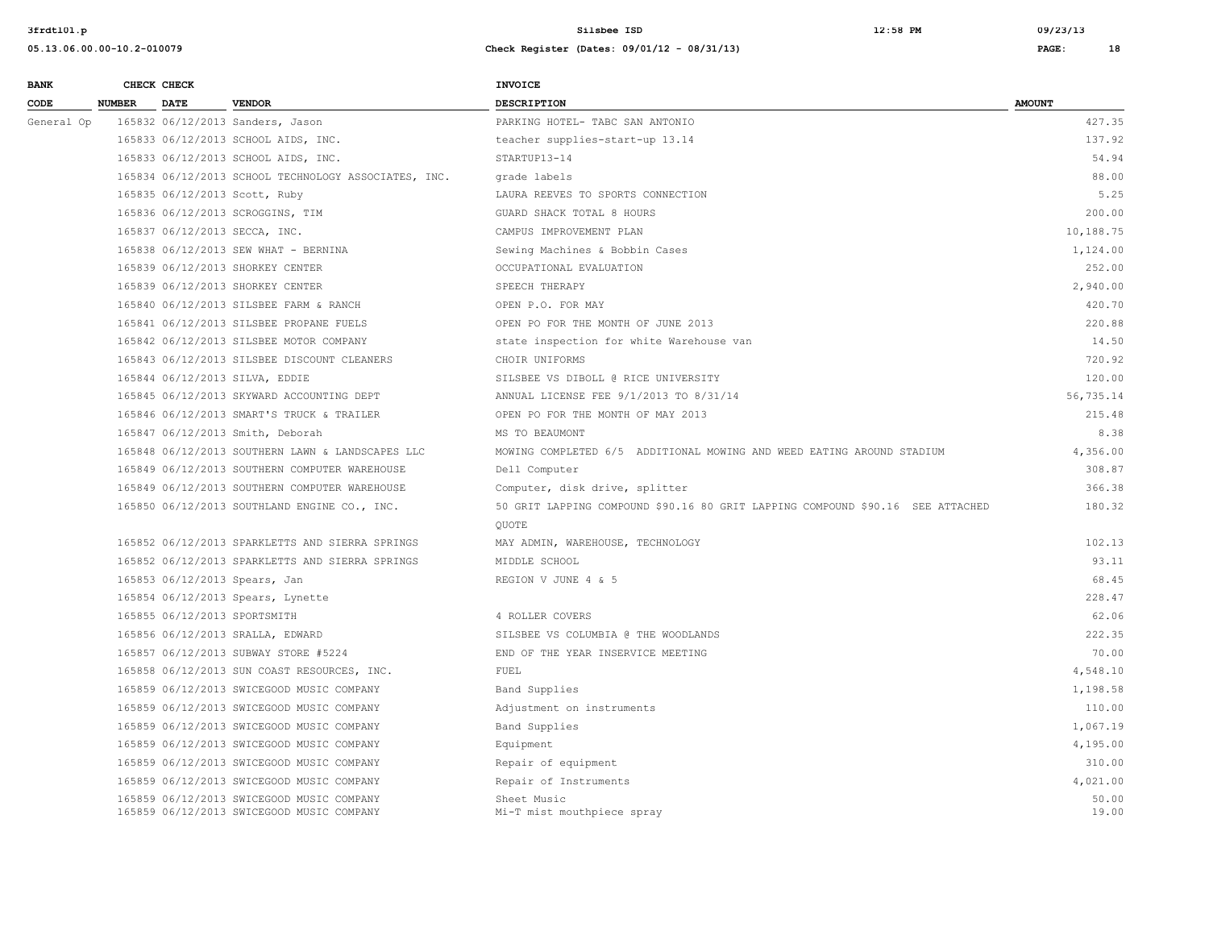| <b>BANK</b> |               | CHECK CHECK |                                                      | <b>INVOICE</b>                                                                 |               |
|-------------|---------------|-------------|------------------------------------------------------|--------------------------------------------------------------------------------|---------------|
| CODE        | <b>NUMBER</b> | <b>DATE</b> | <b>VENDOR</b>                                        | <b>DESCRIPTION</b>                                                             | <b>AMOUNT</b> |
| General Op  |               |             | 165832 06/12/2013 Sanders, Jason                     | PARKING HOTEL- TABC SAN ANTONIO                                                | 427.35        |
|             |               |             | 165833 06/12/2013 SCHOOL AIDS, INC.                  | teacher supplies-start-up 13.14                                                | 137.92        |
|             |               |             | 165833 06/12/2013 SCHOOL AIDS, INC.                  | STARTUP13-14                                                                   | 54.94         |
|             |               |             | 165834 06/12/2013 SCHOOL TECHNOLOGY ASSOCIATES, INC. | grade labels                                                                   | 88.00         |
|             |               |             | 165835 06/12/2013 Scott, Ruby                        | LAURA REEVES TO SPORTS CONNECTION                                              | 5.25          |
|             |               |             | 165836 06/12/2013 SCROGGINS, TIM                     | GUARD SHACK TOTAL 8 HOURS                                                      | 200.00        |
|             |               |             | 165837 06/12/2013 SECCA, INC.                        | CAMPUS IMPROVEMENT PLAN                                                        | 10,188.75     |
|             |               |             | 165838 06/12/2013 SEW WHAT - BERNINA                 | Sewing Machines & Bobbin Cases                                                 | 1,124.00      |
|             |               |             | 165839 06/12/2013 SHORKEY CENTER                     | OCCUPATIONAL EVALUATION                                                        | 252.00        |
|             |               |             | 165839 06/12/2013 SHORKEY CENTER                     | SPEECH THERAPY                                                                 | 2,940.00      |
|             |               |             | 165840 06/12/2013 SILSBEE FARM & RANCH               | OPEN P.O. FOR MAY                                                              | 420.70        |
|             |               |             | 165841 06/12/2013 SILSBEE PROPANE FUELS              | OPEN PO FOR THE MONTH OF JUNE 2013                                             | 220.88        |
|             |               |             | 165842 06/12/2013 SILSBEE MOTOR COMPANY              | state inspection for white Warehouse van                                       | 14.50         |
|             |               |             | 165843 06/12/2013 SILSBEE DISCOUNT CLEANERS          | CHOIR UNIFORMS                                                                 | 720.92        |
|             |               |             | 165844 06/12/2013 SILVA, EDDIE                       | SILSBEE VS DIBOLL @ RICE UNIVERSITY                                            | 120.00        |
|             |               |             | 165845 06/12/2013 SKYWARD ACCOUNTING DEPT            | ANNUAL LICENSE FEE 9/1/2013 TO 8/31/14                                         | 56,735.14     |
|             |               |             | 165846 06/12/2013 SMART'S TRUCK & TRAILER            | OPEN PO FOR THE MONTH OF MAY 2013                                              | 215.48        |
|             |               |             | 165847 06/12/2013 Smith, Deborah                     | MS TO BEAUMONT                                                                 | 8.38          |
|             |               |             | 165848 06/12/2013 SOUTHERN LAWN & LANDSCAPES LLC     | MOWING COMPLETED 6/5 ADDITIONAL MOWING AND WEED EATING AROUND STADIUM          | 4,356.00      |
|             |               |             | 165849 06/12/2013 SOUTHERN COMPUTER WAREHOUSE        | Dell Computer                                                                  | 308.87        |
|             |               |             | 165849 06/12/2013 SOUTHERN COMPUTER WAREHOUSE        | Computer, disk drive, splitter                                                 | 366.38        |
|             |               |             | 165850 06/12/2013 SOUTHLAND ENGINE CO., INC.         | 50 GRIT LAPPING COMPOUND \$90.16 80 GRIT LAPPING COMPOUND \$90.16 SEE ATTACHED | 180.32        |
|             |               |             |                                                      | <b>OUOTE</b>                                                                   |               |
|             |               |             | 165852 06/12/2013 SPARKLETTS AND SIERRA SPRINGS      | MAY ADMIN, WAREHOUSE, TECHNOLOGY                                               | 102.13        |
|             |               |             | 165852 06/12/2013 SPARKLETTS AND SIERRA SPRINGS      | MIDDLE SCHOOL                                                                  | 93.11         |
|             |               |             | 165853 06/12/2013 Spears, Jan                        | REGION V JUNE 4 & 5                                                            | 68.45         |
|             |               |             | 165854 06/12/2013 Spears, Lynette                    |                                                                                | 228.47        |
|             |               |             | 165855 06/12/2013 SPORTSMITH                         | 4 ROLLER COVERS                                                                | 62.06         |
|             |               |             | 165856 06/12/2013 SRALLA, EDWARD                     | SILSBEE VS COLUMBIA @ THE WOODLANDS                                            | 222.35        |
|             |               |             | 165857 06/12/2013 SUBWAY STORE #5224                 | END OF THE YEAR INSERVICE MEETING                                              | 70.00         |
|             |               |             | 165858 06/12/2013 SUN COAST RESOURCES, INC.          | FUEL                                                                           | 4,548.10      |
|             |               |             | 165859 06/12/2013 SWICEGOOD MUSIC COMPANY            | Band Supplies                                                                  | 1,198.58      |
|             |               |             | 165859 06/12/2013 SWICEGOOD MUSIC COMPANY            | Adjustment on instruments                                                      | 110.00        |
|             |               |             | 165859 06/12/2013 SWICEGOOD MUSIC COMPANY            | Band Supplies                                                                  | 1,067.19      |
|             |               |             | 165859 06/12/2013 SWICEGOOD MUSIC COMPANY            | Equipment                                                                      | 4,195.00      |
|             |               |             | 165859 06/12/2013 SWICEGOOD MUSIC COMPANY            | Repair of equipment                                                            | 310.00        |
|             |               |             | 165859 06/12/2013 SWICEGOOD MUSIC COMPANY            | Repair of Instruments                                                          | 4,021.00      |
|             |               |             | 165859 06/12/2013 SWICEGOOD MUSIC COMPANY            | Sheet Music                                                                    | 50.00         |
|             |               |             | 165859 06/12/2013 SWICEGOOD MUSIC COMPANY            | Mi-T mist mouthpiece spray                                                     | 19.00         |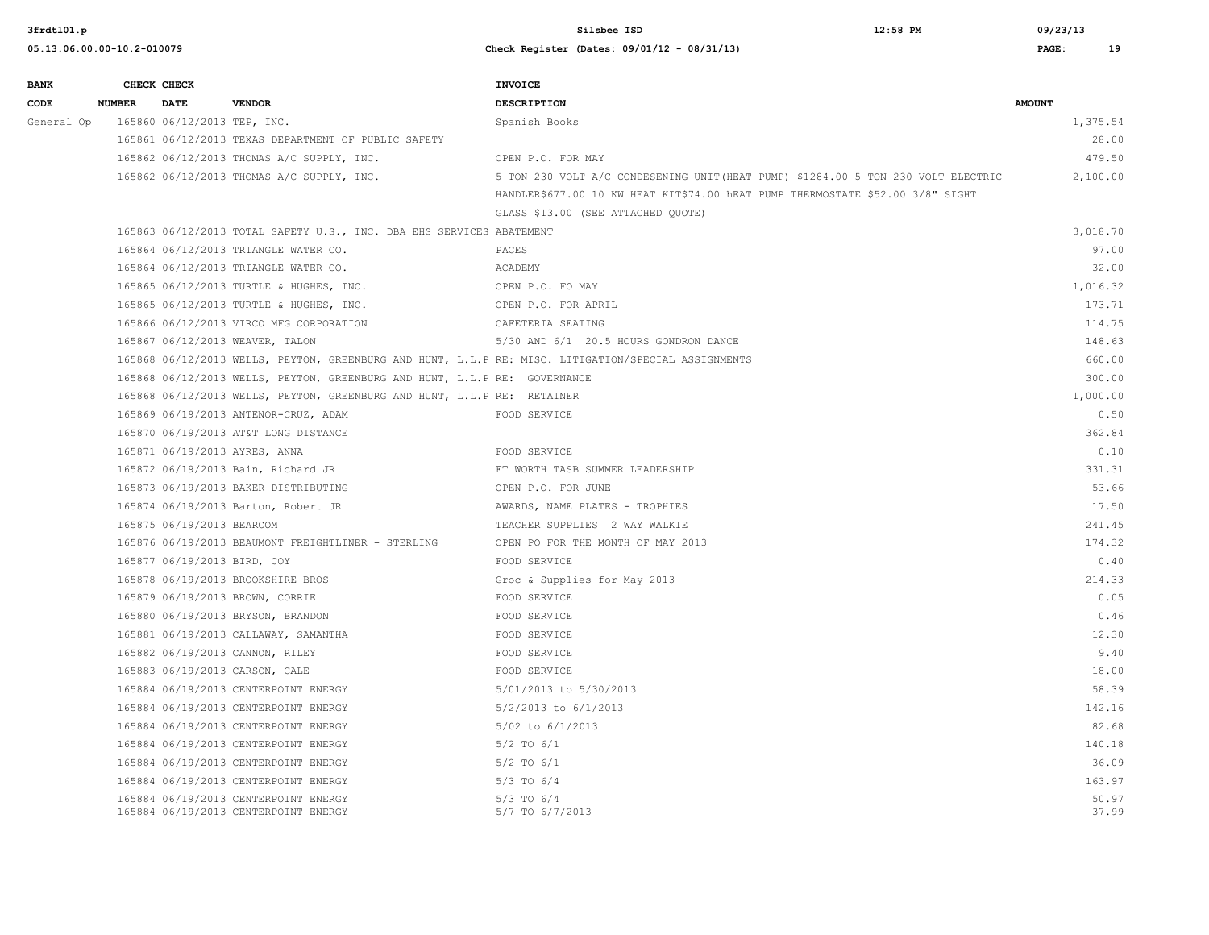| <b>BANK</b> | CHECK CHECK   |                             |                                                                              | <b>INVOICE</b>                                                                                      |                |
|-------------|---------------|-----------------------------|------------------------------------------------------------------------------|-----------------------------------------------------------------------------------------------------|----------------|
| CODE        | <b>NUMBER</b> | <b>DATE</b>                 | <b>VENDOR</b>                                                                | <b>DESCRIPTION</b>                                                                                  | <b>AMOUNT</b>  |
| General Op  |               | 165860 06/12/2013 TEP, INC. |                                                                              | Spanish Books                                                                                       | 1,375.54       |
|             |               |                             | 165861 06/12/2013 TEXAS DEPARTMENT OF PUBLIC SAFETY                          |                                                                                                     | 28.00          |
|             |               |                             | 165862 06/12/2013 THOMAS A/C SUPPLY, INC.                                    | OPEN P.O. FOR MAY                                                                                   | 479.50         |
|             |               |                             | 165862 06/12/2013 THOMAS A/C SUPPLY, INC.                                    | 5 TON 230 VOLT A/C CONDESENING UNIT (HEAT PUMP) \$1284.00 5 TON 230 VOLT ELECTRIC                   | 2,100.00       |
|             |               |                             |                                                                              | HANDLER\$677.00 10 KW HEAT KIT\$74.00 hEAT PUMP THERMOSTATE \$52.00 3/8" SIGHT                      |                |
|             |               |                             |                                                                              | GLASS \$13.00 (SEE ATTACHED QUOTE)                                                                  |                |
|             |               |                             | 165863 06/12/2013 TOTAL SAFETY U.S., INC. DBA EHS SERVICES ABATEMENT         |                                                                                                     | 3,018.70       |
|             |               |                             | 165864 06/12/2013 TRIANGLE WATER CO.                                         | PACES                                                                                               | 97.00          |
|             |               |                             | 165864 06/12/2013 TRIANGLE WATER CO.                                         | ACADEMY                                                                                             | 32.00          |
|             |               |                             | 165865 06/12/2013 TURTLE & HUGHES, INC.                                      | OPEN P.O. FO MAY                                                                                    | 1,016.32       |
|             |               |                             | 165865 06/12/2013 TURTLE & HUGHES, INC.                                      | OPEN P.O. FOR APRIL                                                                                 | 173.71         |
|             |               |                             | 165866 06/12/2013 VIRCO MFG CORPORATION                                      | CAFETERIA SEATING                                                                                   | 114.75         |
|             |               |                             | 165867 06/12/2013 WEAVER, TALON                                              | 5/30 AND 6/1 20.5 HOURS GONDRON DANCE                                                               | 148.63         |
|             |               |                             |                                                                              | 165868 06/12/2013 WELLS, PEYTON, GREENBURG AND HUNT, L.L.P RE: MISC. LITIGATION/SPECIAL ASSIGNMENTS | 660.00         |
|             |               |                             | 165868 06/12/2013 WELLS, PEYTON, GREENBURG AND HUNT, L.L.P RE: GOVERNANCE    |                                                                                                     | 300.00         |
|             |               |                             | 165868 06/12/2013 WELLS, PEYTON, GREENBURG AND HUNT, L.L.P RE: RETAINER      |                                                                                                     | 1,000.00       |
|             |               |                             | 165869 06/19/2013 ANTENOR-CRUZ, ADAM                                         | FOOD SERVICE                                                                                        | 0.50           |
|             |               |                             | 165870 06/19/2013 AT&T LONG DISTANCE                                         |                                                                                                     | 362.84         |
|             |               |                             | 165871 06/19/2013 AYRES, ANNA                                                | FOOD SERVICE                                                                                        | 0.10           |
|             |               |                             | 165872 06/19/2013 Bain, Richard JR                                           | FT WORTH TASB SUMMER LEADERSHIP                                                                     | 331.31         |
|             |               |                             | 165873 06/19/2013 BAKER DISTRIBUTING                                         | OPEN P.O. FOR JUNE                                                                                  | 53.66          |
|             |               |                             | 165874 06/19/2013 Barton, Robert JR                                          | AWARDS, NAME PLATES - TROPHIES                                                                      | 17.50          |
|             |               | 165875 06/19/2013 BEARCOM   |                                                                              | TEACHER SUPPLIES 2 WAY WALKIE                                                                       | 241.45         |
|             |               |                             | 165876 06/19/2013 BEAUMONT FREIGHTLINER - STERLING                           | OPEN PO FOR THE MONTH OF MAY 2013                                                                   | 174.32         |
|             |               | 165877 06/19/2013 BIRD, COY |                                                                              | FOOD SERVICE                                                                                        | 0.40           |
|             |               |                             | 165878 06/19/2013 BROOKSHIRE BROS                                            | Groc & Supplies for May 2013                                                                        | 214.33         |
|             |               |                             | 165879 06/19/2013 BROWN, CORRIE                                              | FOOD SERVICE                                                                                        | 0.05           |
|             |               |                             | 165880 06/19/2013 BRYSON, BRANDON                                            | FOOD SERVICE                                                                                        | 0.46           |
|             |               |                             | 165881 06/19/2013 CALLAWAY, SAMANTHA                                         | FOOD SERVICE                                                                                        | 12.30          |
|             |               |                             | 165882 06/19/2013 CANNON, RILEY                                              | FOOD SERVICE                                                                                        | 9.40           |
|             |               |                             | 165883 06/19/2013 CARSON, CALE                                               | FOOD SERVICE                                                                                        | 18.00          |
|             |               |                             | 165884 06/19/2013 CENTERPOINT ENERGY                                         | 5/01/2013 to 5/30/2013                                                                              | 58.39          |
|             |               |                             | 165884 06/19/2013 CENTERPOINT ENERGY                                         | 5/2/2013 to 6/1/2013                                                                                | 142.16         |
|             |               |                             | 165884 06/19/2013 CENTERPOINT ENERGY                                         | 5/02 to 6/1/2013                                                                                    | 82.68          |
|             |               |                             | 165884 06/19/2013 CENTERPOINT ENERGY                                         | $5/2$ TO $6/1$                                                                                      | 140.18         |
|             |               |                             | 165884 06/19/2013 CENTERPOINT ENERGY                                         | $5/2$ TO $6/1$                                                                                      | 36.09          |
|             |               |                             | 165884 06/19/2013 CENTERPOINT ENERGY                                         | $5/3$ TO $6/4$                                                                                      | 163.97         |
|             |               |                             | 165884 06/19/2013 CENTERPOINT ENERGY<br>165884 06/19/2013 CENTERPOINT ENERGY | $5/3$ TO $6/4$<br>5/7 TO 6/7/2013                                                                   | 50.97<br>37.99 |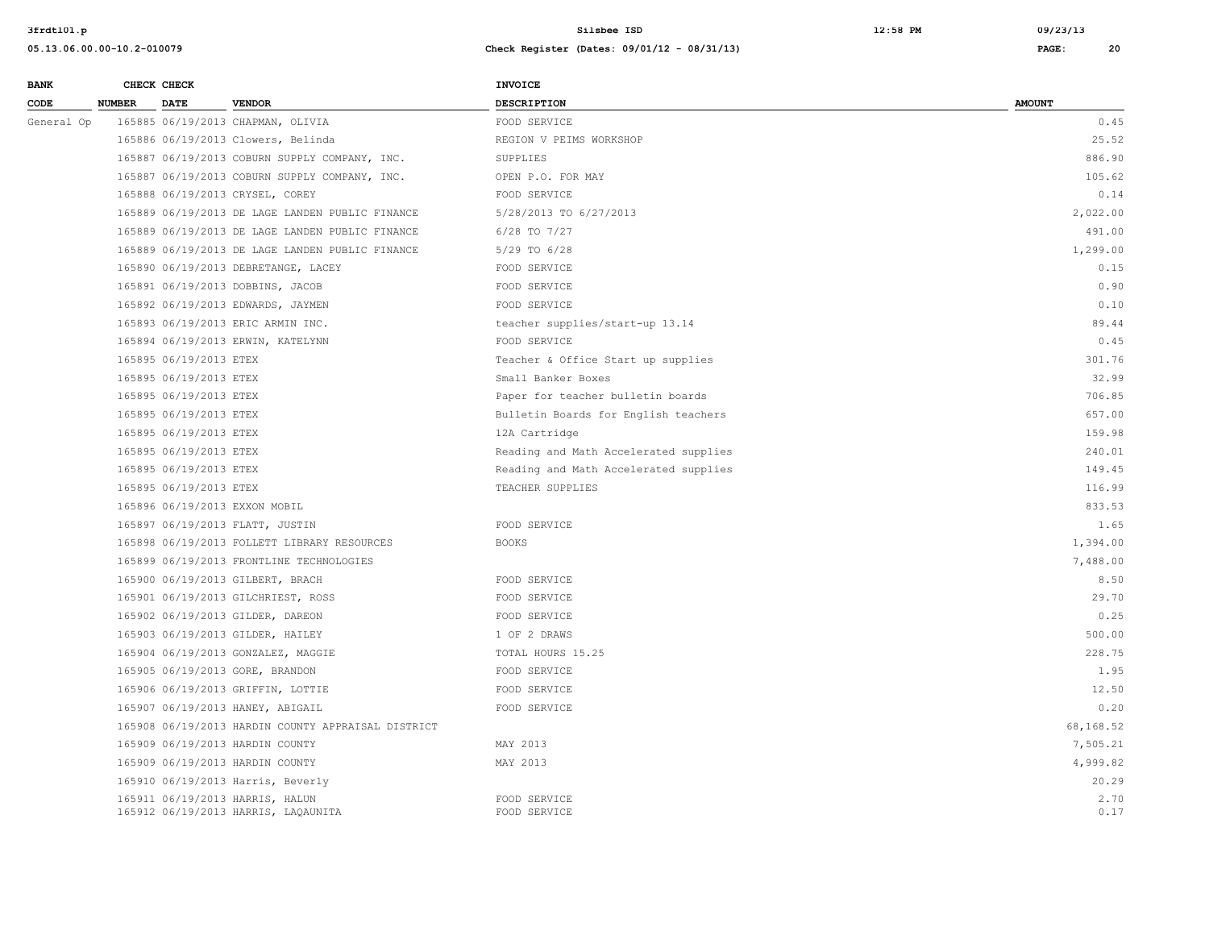| <b>BANK</b> |               | CHECK CHECK            |                                                                        | <b>INVOICE</b>                        |               |
|-------------|---------------|------------------------|------------------------------------------------------------------------|---------------------------------------|---------------|
| CODE        | <b>NUMBER</b> | <b>DATE</b>            | <b>VENDOR</b>                                                          | <b>DESCRIPTION</b>                    | <b>AMOUNT</b> |
| General Op  |               |                        | 165885 06/19/2013 CHAPMAN, OLIVIA                                      | FOOD SERVICE                          | 0.45          |
|             |               |                        | 165886 06/19/2013 Clowers, Belinda                                     | REGION V PEIMS WORKSHOP               | 25.52         |
|             |               |                        | 165887 06/19/2013 COBURN SUPPLY COMPANY, INC.                          | SUPPLIES                              | 886.90        |
|             |               |                        | 165887 06/19/2013 COBURN SUPPLY COMPANY, INC.                          | OPEN P.O. FOR MAY                     | 105.62        |
|             |               |                        | 165888 06/19/2013 CRYSEL, COREY                                        | FOOD SERVICE                          | 0.14          |
|             |               |                        | 165889 06/19/2013 DE LAGE LANDEN PUBLIC FINANCE                        | 5/28/2013 TO 6/27/2013                | 2,022.00      |
|             |               |                        | 165889 06/19/2013 DE LAGE LANDEN PUBLIC FINANCE                        | $6/28$ TO $7/27$                      | 491.00        |
|             |               |                        | 165889 06/19/2013 DE LAGE LANDEN PUBLIC FINANCE                        | $5/29$ TO $6/28$                      | 1,299.00      |
|             |               |                        | 165890 06/19/2013 DEBRETANGE, LACEY                                    | FOOD SERVICE                          | 0.15          |
|             |               |                        | 165891 06/19/2013 DOBBINS, JACOB                                       | FOOD SERVICE                          | 0.90          |
|             |               |                        | 165892 06/19/2013 EDWARDS, JAYMEN                                      | FOOD SERVICE                          | 0.10          |
|             |               |                        | 165893 06/19/2013 ERIC ARMIN INC.                                      | teacher supplies/start-up 13.14       | 89.44         |
|             |               |                        | 165894 06/19/2013 ERWIN, KATELYNN                                      | FOOD SERVICE                          | 0.45          |
|             |               | 165895 06/19/2013 ETEX |                                                                        | Teacher & Office Start up supplies    | 301.76        |
|             |               | 165895 06/19/2013 ETEX |                                                                        | Small Banker Boxes                    | 32.99         |
|             |               | 165895 06/19/2013 ETEX |                                                                        | Paper for teacher bulletin boards     | 706.85        |
|             |               | 165895 06/19/2013 ETEX |                                                                        | Bulletin Boards for English teachers  | 657.00        |
|             |               | 165895 06/19/2013 ETEX |                                                                        | 12A Cartridge                         | 159.98        |
|             |               | 165895 06/19/2013 ETEX |                                                                        | Reading and Math Accelerated supplies | 240.01        |
|             |               | 165895 06/19/2013 ETEX |                                                                        | Reading and Math Accelerated supplies | 149.45        |
|             |               | 165895 06/19/2013 ETEX |                                                                        | TEACHER SUPPLIES                      | 116.99        |
|             |               |                        | 165896 06/19/2013 EXXON MOBIL                                          |                                       | 833.53        |
|             |               |                        | 165897 06/19/2013 FLATT, JUSTIN                                        | FOOD SERVICE                          | 1.65          |
|             |               |                        | 165898 06/19/2013 FOLLETT LIBRARY RESOURCES                            | <b>BOOKS</b>                          | 1,394.00      |
|             |               |                        | 165899 06/19/2013 FRONTLINE TECHNOLOGIES                               |                                       | 7,488.00      |
|             |               |                        | 165900 06/19/2013 GILBERT, BRACH                                       | FOOD SERVICE                          | 8.50          |
|             |               |                        | 165901 06/19/2013 GILCHRIEST, ROSS                                     | FOOD SERVICE                          | 29.70         |
|             |               |                        | 165902 06/19/2013 GILDER, DAREON                                       | FOOD SERVICE                          | 0.25          |
|             |               |                        | 165903 06/19/2013 GILDER, HAILEY                                       | 1 OF 2 DRAWS                          | 500.00        |
|             |               |                        | 165904 06/19/2013 GONZALEZ, MAGGIE                                     | TOTAL HOURS 15.25                     | 228.75        |
|             |               |                        | 165905 06/19/2013 GORE, BRANDON                                        | FOOD SERVICE                          | 1.95          |
|             |               |                        | 165906 06/19/2013 GRIFFIN, LOTTIE                                      | FOOD SERVICE                          | 12.50         |
|             |               |                        | 165907 06/19/2013 HANEY, ABIGAIL                                       | FOOD SERVICE                          | 0.20          |
|             |               |                        | 165908 06/19/2013 HARDIN COUNTY APPRAISAL DISTRICT                     |                                       | 68,168.52     |
|             |               |                        | 165909 06/19/2013 HARDIN COUNTY                                        | MAY 2013                              | 7,505.21      |
|             |               |                        | 165909 06/19/2013 HARDIN COUNTY                                        | MAY 2013                              | 4,999.82      |
|             |               |                        | 165910 06/19/2013 Harris, Beverly                                      |                                       | 20.29         |
|             |               |                        | 165911 06/19/2013 HARRIS, HALUN<br>165912 06/19/2013 HARRIS, LAQAUNITA | FOOD SERVICE<br>FOOD SERVICE          | 2.70<br>0.17  |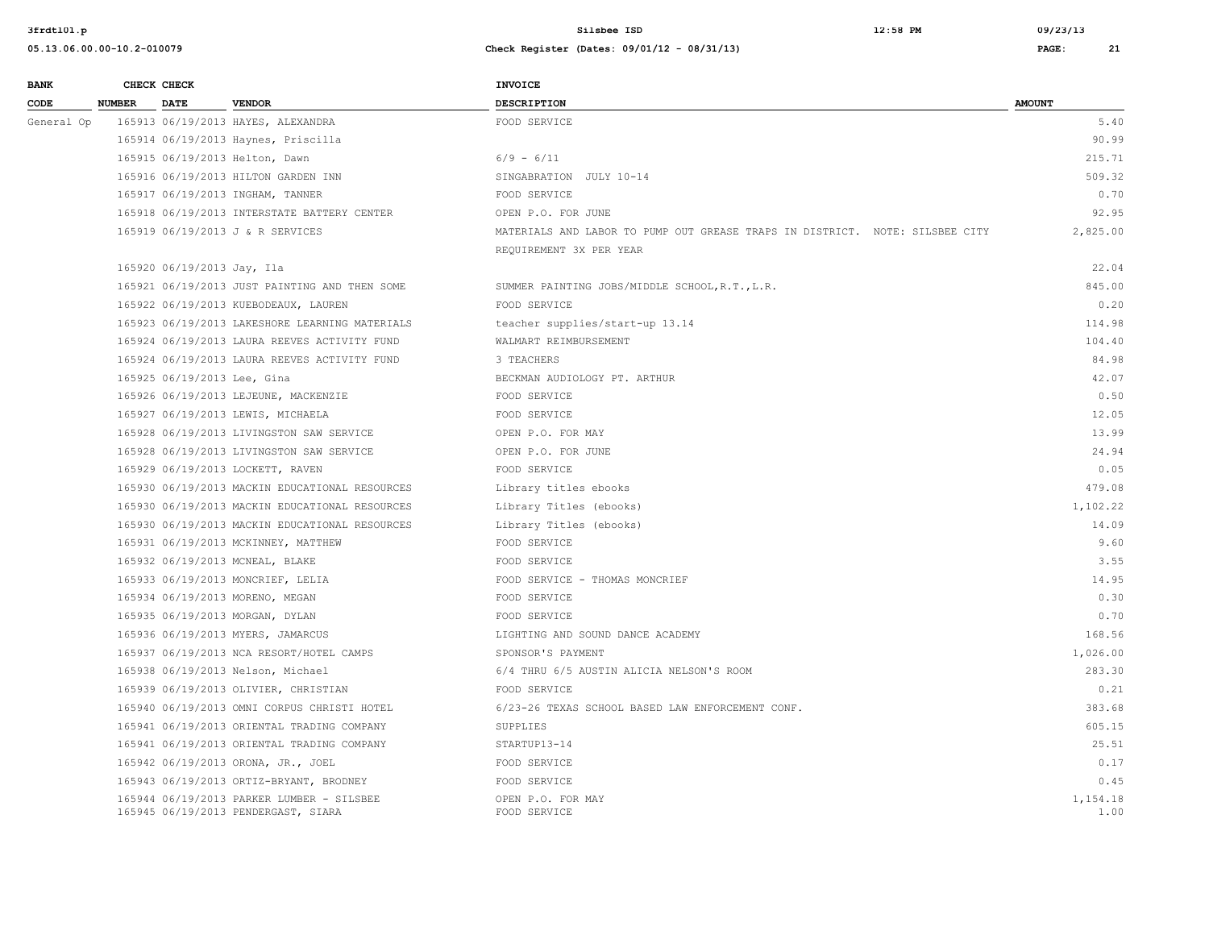**3frdtl01.p Silsbee ISD 12:58 PM 09/23/13**

| <b>BANK</b> |               | CHECK CHECK                 |                                                                                  | <b>INVOICE</b>                                                               |                  |
|-------------|---------------|-----------------------------|----------------------------------------------------------------------------------|------------------------------------------------------------------------------|------------------|
| CODE        | <b>NUMBER</b> | <b>DATE</b>                 | <b>VENDOR</b>                                                                    | <b>DESCRIPTION</b>                                                           | <b>AMOUNT</b>    |
| General Op  |               |                             | 165913 06/19/2013 HAYES, ALEXANDRA                                               | FOOD SERVICE                                                                 | 5.40             |
|             |               |                             | 165914 06/19/2013 Haynes, Priscilla                                              |                                                                              | 90.99            |
|             |               |                             | 165915 06/19/2013 Helton, Dawn                                                   | $6/9 - 6/11$                                                                 | 215.71           |
|             |               |                             | 165916 06/19/2013 HILTON GARDEN INN                                              | SINGABRATION JULY 10-14                                                      | 509.32           |
|             |               |                             | 165917 06/19/2013 INGHAM, TANNER                                                 | FOOD SERVICE                                                                 | 0.70             |
|             |               |                             | 165918 06/19/2013 INTERSTATE BATTERY CENTER                                      | OPEN P.O. FOR JUNE                                                           | 92.95            |
|             |               |                             | 165919 06/19/2013 J & R SERVICES                                                 | MATERIALS AND LABOR TO PUMP OUT GREASE TRAPS IN DISTRICT. NOTE: SILSBEE CITY | 2,825.00         |
|             |               |                             |                                                                                  | REQUIREMENT 3X PER YEAR                                                      |                  |
|             |               | 165920 06/19/2013 Jay, Ila  |                                                                                  |                                                                              | 22.04            |
|             |               |                             | 165921 06/19/2013 JUST PAINTING AND THEN SOME                                    | SUMMER PAINTING JOBS/MIDDLE SCHOOL, R.T., L.R.                               | 845.00           |
|             |               |                             | 165922 06/19/2013 KUEBODEAUX, LAUREN                                             | FOOD SERVICE                                                                 | 0.20             |
|             |               |                             | 165923 06/19/2013 LAKESHORE LEARNING MATERIALS                                   | teacher supplies/start-up 13.14                                              | 114.98           |
|             |               |                             | 165924 06/19/2013 LAURA REEVES ACTIVITY FUND                                     | WALMART REIMBURSEMENT                                                        | 104.40           |
|             |               |                             | 165924 06/19/2013 LAURA REEVES ACTIVITY FUND                                     | 3 TEACHERS                                                                   | 84.98            |
|             |               | 165925 06/19/2013 Lee, Gina |                                                                                  | BECKMAN AUDIOLOGY PT. ARTHUR                                                 | 42.07            |
|             |               |                             | 165926 06/19/2013 LEJEUNE, MACKENZIE                                             | FOOD SERVICE                                                                 | 0.50             |
|             |               |                             | 165927 06/19/2013 LEWIS, MICHAELA                                                | FOOD SERVICE                                                                 | 12.05            |
|             |               |                             | 165928 06/19/2013 LIVINGSTON SAW SERVICE                                         | OPEN P.O. FOR MAY                                                            | 13.99            |
|             |               |                             | 165928 06/19/2013 LIVINGSTON SAW SERVICE                                         | OPEN P.O. FOR JUNE                                                           | 24.94            |
|             |               |                             | 165929 06/19/2013 LOCKETT, RAVEN                                                 | FOOD SERVICE                                                                 | 0.05             |
|             |               |                             | 165930 06/19/2013 MACKIN EDUCATIONAL RESOURCES                                   | Library titles ebooks                                                        | 479.08           |
|             |               |                             | 165930 06/19/2013 MACKIN EDUCATIONAL RESOURCES                                   | Library Titles (ebooks)                                                      | 1,102.22         |
|             |               |                             | 165930 06/19/2013 MACKIN EDUCATIONAL RESOURCES                                   | Library Titles (ebooks)                                                      | 14.09            |
|             |               |                             | 165931 06/19/2013 MCKINNEY, MATTHEW                                              | FOOD SERVICE                                                                 | 9.60             |
|             |               |                             | 165932 06/19/2013 MCNEAL, BLAKE                                                  | FOOD SERVICE                                                                 | 3.55             |
|             |               |                             | 165933 06/19/2013 MONCRIEF, LELIA                                                | FOOD SERVICE - THOMAS MONCRIEF                                               | 14.95            |
|             |               |                             | 165934 06/19/2013 MORENO, MEGAN                                                  | FOOD SERVICE                                                                 | 0.30             |
|             |               |                             | 165935 06/19/2013 MORGAN, DYLAN                                                  | FOOD SERVICE                                                                 | 0.70             |
|             |               |                             | 165936 06/19/2013 MYERS, JAMARCUS                                                | LIGHTING AND SOUND DANCE ACADEMY                                             | 168.56           |
|             |               |                             | 165937 06/19/2013 NCA RESORT/HOTEL CAMPS                                         | SPONSOR'S PAYMENT                                                            | 1,026.00         |
|             |               |                             | 165938 06/19/2013 Nelson, Michael                                                | 6/4 THRU 6/5 AUSTIN ALICIA NELSON'S ROOM                                     | 283.30           |
|             |               |                             | 165939 06/19/2013 OLIVIER, CHRISTIAN                                             | FOOD SERVICE                                                                 | 0.21             |
|             |               |                             | 165940 06/19/2013 OMNI CORPUS CHRISTI HOTEL                                      | 6/23-26 TEXAS SCHOOL BASED LAW ENFORCEMENT CONF.                             | 383.68           |
|             |               |                             | 165941 06/19/2013 ORIENTAL TRADING COMPANY                                       | <b>SUPPLIES</b>                                                              | 605.15           |
|             |               |                             | 165941 06/19/2013 ORIENTAL TRADING COMPANY                                       | STARTUP13-14                                                                 | 25.51            |
|             |               |                             | 165942 06/19/2013 ORONA, JR., JOEL                                               | FOOD SERVICE                                                                 | 0.17             |
|             |               |                             | 165943 06/19/2013 ORTIZ-BRYANT, BRODNEY                                          | FOOD SERVICE                                                                 | 0.45             |
|             |               |                             | 165944 06/19/2013 PARKER LUMBER - SILSBEE<br>165945 06/19/2013 PENDERGAST, SIARA | OPEN P.O. FOR MAY<br>FOOD SERVICE                                            | 1,154.18<br>1.00 |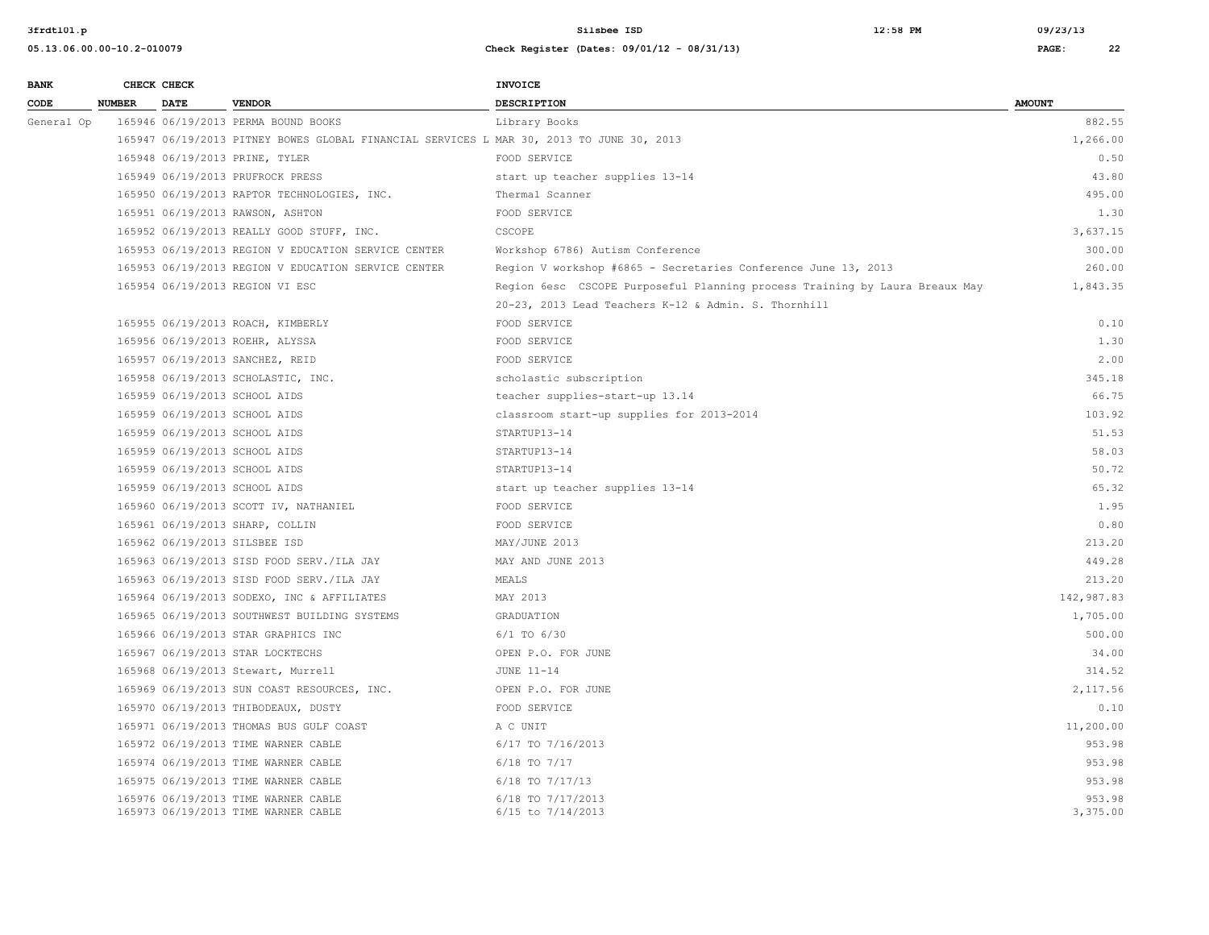| <b>BANK</b> |               | CHECK CHECK |                                                                                          | <b>INVOICE</b>                                                              |                    |
|-------------|---------------|-------------|------------------------------------------------------------------------------------------|-----------------------------------------------------------------------------|--------------------|
| CODE        | <b>NUMBER</b> | <b>DATE</b> | <b>VENDOR</b>                                                                            | <b>DESCRIPTION</b>                                                          | <b>AMOUNT</b>      |
| General Op  |               |             | 165946 06/19/2013 PERMA BOUND BOOKS                                                      | Library Books                                                               | 882.55             |
|             |               |             | 165947 06/19/2013 PITNEY BOWES GLOBAL FINANCIAL SERVICES L MAR 30, 2013 TO JUNE 30, 2013 |                                                                             | 1,266.00           |
|             |               |             | 165948 06/19/2013 PRINE, TYLER                                                           | FOOD SERVICE                                                                | 0.50               |
|             |               |             | 165949 06/19/2013 PRUFROCK PRESS                                                         | start up teacher supplies 13-14                                             | 43.80              |
|             |               |             | 165950 06/19/2013 RAPTOR TECHNOLOGIES, INC.                                              | Thermal Scanner                                                             | 495.00             |
|             |               |             | 165951 06/19/2013 RAWSON, ASHTON                                                         | FOOD SERVICE                                                                | 1.30               |
|             |               |             | 165952 06/19/2013 REALLY GOOD STUFF, INC.                                                | CSCOPE                                                                      | 3,637.15           |
|             |               |             | 165953 06/19/2013 REGION V EDUCATION SERVICE CENTER                                      | Workshop 6786) Autism Conference                                            | 300.00             |
|             |               |             | 165953 06/19/2013 REGION V EDUCATION SERVICE CENTER                                      | Region V workshop #6865 - Secretaries Conference June 13, 2013              | 260.00             |
|             |               |             | 165954 06/19/2013 REGION VI ESC                                                          | Region 6esc CSCOPE Purposeful Planning process Training by Laura Breaux May | 1,843.35           |
|             |               |             |                                                                                          | 20-23, 2013 Lead Teachers K-12 & Admin. S. Thornhill                        |                    |
|             |               |             | 165955 06/19/2013 ROACH, KIMBERLY                                                        | FOOD SERVICE                                                                | 0.10               |
|             |               |             | 165956 06/19/2013 ROEHR, ALYSSA                                                          | FOOD SERVICE                                                                | 1.30               |
|             |               |             | 165957 06/19/2013 SANCHEZ, REID                                                          | FOOD SERVICE                                                                | 2.00               |
|             |               |             | 165958 06/19/2013 SCHOLASTIC, INC.                                                       | scholastic subscription                                                     | 345.18             |
|             |               |             | 165959 06/19/2013 SCHOOL AIDS                                                            | teacher supplies-start-up 13.14                                             | 66.75              |
|             |               |             | 165959 06/19/2013 SCHOOL AIDS                                                            | classroom start-up supplies for 2013-2014                                   | 103.92             |
|             |               |             | 165959 06/19/2013 SCHOOL AIDS                                                            | STARTUP13-14                                                                | 51.53              |
|             |               |             | 165959 06/19/2013 SCHOOL AIDS                                                            | STARTUP13-14                                                                | 58.03              |
|             |               |             | 165959 06/19/2013 SCHOOL AIDS                                                            | STARTUP13-14                                                                | 50.72              |
|             |               |             | 165959 06/19/2013 SCHOOL AIDS                                                            | start up teacher supplies 13-14                                             | 65.32              |
|             |               |             | 165960 06/19/2013 SCOTT IV, NATHANIEL                                                    | FOOD SERVICE                                                                | 1.95               |
|             |               |             | 165961 06/19/2013 SHARP, COLLIN                                                          | FOOD SERVICE                                                                | 0.80               |
|             |               |             | 165962 06/19/2013 SILSBEE ISD                                                            | MAY/JUNE 2013                                                               | 213.20             |
|             |               |             | 165963 06/19/2013 SISD FOOD SERV./ILA JAY                                                | MAY AND JUNE 2013                                                           | 449.28             |
|             |               |             | 165963 06/19/2013 SISD FOOD SERV./ILA JAY                                                | MEALS                                                                       | 213.20             |
|             |               |             | 165964 06/19/2013 SODEXO, INC & AFFILIATES                                               | MAY 2013                                                                    | 142,987.83         |
|             |               |             | 165965 06/19/2013 SOUTHWEST BUILDING SYSTEMS                                             | GRADUATION                                                                  | 1,705.00           |
|             |               |             | 165966 06/19/2013 STAR GRAPHICS INC                                                      | $6/1$ TO $6/30$                                                             | 500.00             |
|             |               |             | 165967 06/19/2013 STAR LOCKTECHS                                                         | OPEN P.O. FOR JUNE                                                          | 34.00              |
|             |               |             | 165968 06/19/2013 Stewart, Murrell                                                       | JUNE 11-14                                                                  | 314.52             |
|             |               |             | 165969 06/19/2013 SUN COAST RESOURCES, INC.                                              | OPEN P.O. FOR JUNE                                                          | 2,117.56           |
|             |               |             | 165970 06/19/2013 THIBODEAUX, DUSTY                                                      | FOOD SERVICE                                                                | 0.10               |
|             |               |             | 165971 06/19/2013 THOMAS BUS GULF COAST                                                  | A C UNIT                                                                    | 11,200.00          |
|             |               |             | 165972 06/19/2013 TIME WARNER CABLE                                                      | 6/17 TO 7/16/2013                                                           | 953.98             |
|             |               |             | 165974 06/19/2013 TIME WARNER CABLE                                                      | $6/18$ TO $7/17$                                                            | 953.98             |
|             |               |             | 165975 06/19/2013 TIME WARNER CABLE                                                      | 6/18 TO 7/17/13                                                             | 953.98             |
|             |               |             | 165976 06/19/2013 TIME WARNER CABLE<br>165973 06/19/2013 TIME WARNER CABLE               | 6/18 TO 7/17/2013<br>6/15 to 7/14/2013                                      | 953.98<br>3,375.00 |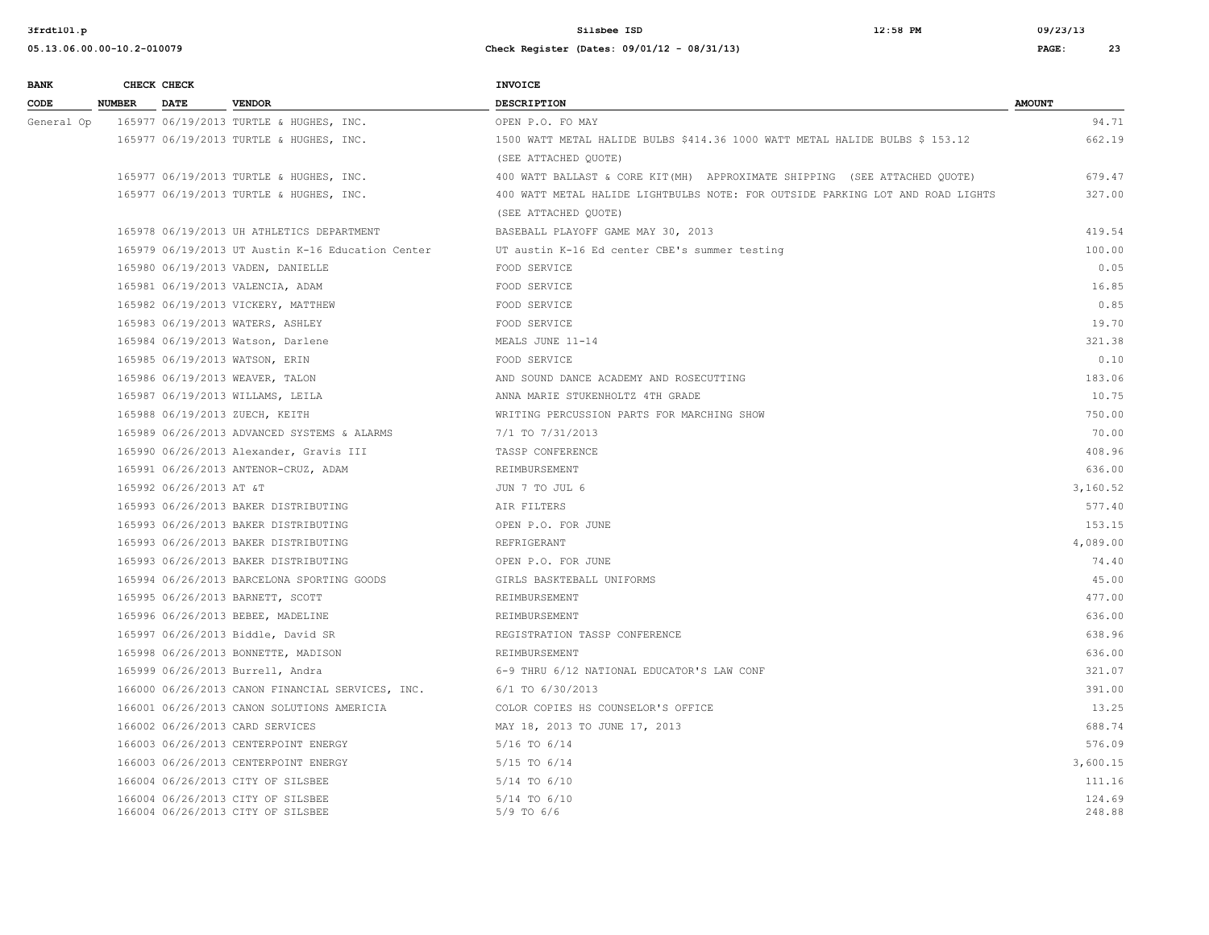| <b>BANK</b> |               | CHECK CHECK             |                                                                        | <b>INVOICE</b>                                                                 |                  |
|-------------|---------------|-------------------------|------------------------------------------------------------------------|--------------------------------------------------------------------------------|------------------|
| CODE        | <b>NUMBER</b> | <b>DATE</b>             | <b>VENDOR</b>                                                          | <b>DESCRIPTION</b>                                                             | <b>AMOUNT</b>    |
| General Op  |               |                         | 165977 06/19/2013 TURTLE & HUGHES, INC.                                | OPEN P.O. FO MAY                                                               | 94.71            |
|             |               |                         | 165977 06/19/2013 TURTLE & HUGHES, INC.                                | 1500 WATT METAL HALIDE BULBS \$414.36 1000 WATT METAL HALIDE BULBS \$ 153.12   | 662.19           |
|             |               |                         |                                                                        | (SEE ATTACHED QUOTE)                                                           |                  |
|             |               |                         | 165977 06/19/2013 TURTLE & HUGHES, INC.                                | 400 WATT BALLAST & CORE KIT (MH) APPROXIMATE SHIPPING (SEE ATTACHED QUOTE)     | 679.47           |
|             |               |                         | 165977 06/19/2013 TURTLE & HUGHES, INC.                                | 400 WATT METAL HALIDE LIGHTBULBS NOTE: FOR OUTSIDE PARKING LOT AND ROAD LIGHTS | 327.00           |
|             |               |                         |                                                                        | (SEE ATTACHED OUOTE)                                                           |                  |
|             |               |                         | 165978 06/19/2013 UH ATHLETICS DEPARTMENT                              | BASEBALL PLAYOFF GAME MAY 30, 2013                                             | 419.54           |
|             |               |                         | 165979 06/19/2013 UT Austin K-16 Education Center                      | UT austin K-16 Ed center CBE's summer testing                                  | 100.00           |
|             |               |                         | 165980 06/19/2013 VADEN, DANIELLE                                      | FOOD SERVICE                                                                   | 0.05             |
|             |               |                         | 165981 06/19/2013 VALENCIA, ADAM                                       | FOOD SERVICE                                                                   | 16.85            |
|             |               |                         | 165982 06/19/2013 VICKERY, MATTHEW                                     | FOOD SERVICE                                                                   | 0.85             |
|             |               |                         | 165983 06/19/2013 WATERS, ASHLEY                                       | FOOD SERVICE                                                                   | 19.70            |
|             |               |                         | 165984 06/19/2013 Watson, Darlene                                      | MEALS JUNE 11-14                                                               | 321.38           |
|             |               |                         | 165985 06/19/2013 WATSON, ERIN                                         | FOOD SERVICE                                                                   | 0.10             |
|             |               |                         | 165986 06/19/2013 WEAVER, TALON                                        | AND SOUND DANCE ACADEMY AND ROSECUTTING                                        | 183.06           |
|             |               |                         | 165987 06/19/2013 WILLAMS, LEILA                                       | ANNA MARIE STUKENHOLTZ 4TH GRADE                                               | 10.75            |
|             |               |                         | 165988 06/19/2013 ZUECH, KEITH                                         | WRITING PERCUSSION PARTS FOR MARCHING SHOW                                     | 750.00           |
|             |               |                         | 165989 06/26/2013 ADVANCED SYSTEMS & ALARMS                            | 7/1 TO 7/31/2013                                                               | 70.00            |
|             |               |                         | 165990 06/26/2013 Alexander, Gravis III                                | TASSP CONFERENCE                                                               | 408.96           |
|             |               |                         | 165991 06/26/2013 ANTENOR-CRUZ, ADAM                                   | REIMBURSEMENT                                                                  | 636.00           |
|             |               | 165992 06/26/2013 AT &T |                                                                        | JUN 7 TO JUL 6                                                                 | 3,160.52         |
|             |               |                         | 165993 06/26/2013 BAKER DISTRIBUTING                                   | AIR FILTERS                                                                    | 577.40           |
|             |               |                         | 165993 06/26/2013 BAKER DISTRIBUTING                                   | OPEN P.O. FOR JUNE                                                             | 153.15           |
|             |               |                         | 165993 06/26/2013 BAKER DISTRIBUTING                                   | REFRIGERANT                                                                    | 4,089.00         |
|             |               |                         | 165993 06/26/2013 BAKER DISTRIBUTING                                   | OPEN P.O. FOR JUNE                                                             | 74.40            |
|             |               |                         | 165994 06/26/2013 BARCELONA SPORTING GOODS                             | GIRLS BASKTEBALL UNIFORMS                                                      | 45.00            |
|             |               |                         | 165995 06/26/2013 BARNETT, SCOTT                                       | REIMBURSEMENT                                                                  | 477.00           |
|             |               |                         | 165996 06/26/2013 BEBEE, MADELINE                                      | REIMBURSEMENT                                                                  | 636.00           |
|             |               |                         | 165997 06/26/2013 Biddle, David SR                                     | REGISTRATION TASSP CONFERENCE                                                  | 638.96           |
|             |               |                         | 165998 06/26/2013 BONNETTE, MADISON                                    | REIMBURSEMENT                                                                  | 636.00           |
|             |               |                         | 165999 06/26/2013 Burrell, Andra                                       | 6-9 THRU 6/12 NATIONAL EDUCATOR'S LAW CONF                                     | 321.07           |
|             |               |                         | 166000 06/26/2013 CANON FINANCIAL SERVICES, INC.                       | 6/1 TO 6/30/2013                                                               | 391.00           |
|             |               |                         | 166001 06/26/2013 CANON SOLUTIONS AMERICIA                             | COLOR COPIES HS COUNSELOR'S OFFICE                                             | 13.25            |
|             |               |                         | 166002 06/26/2013 CARD SERVICES                                        | MAY 18, 2013 TO JUNE 17, 2013                                                  | 688.74           |
|             |               |                         | 166003 06/26/2013 CENTERPOINT ENERGY                                   | 5/16 TO 6/14                                                                   | 576.09           |
|             |               |                         | 166003 06/26/2013 CENTERPOINT ENERGY                                   | 5/15 TO 6/14                                                                   | 3,600.15         |
|             |               |                         | 166004 06/26/2013 CITY OF SILSBEE                                      | 5/14 TO 6/10                                                                   | 111.16           |
|             |               |                         | 166004 06/26/2013 CITY OF SILSBEE<br>166004 06/26/2013 CITY OF SILSBEE | 5/14 TO 6/10<br>$5/9$ TO $6/6$                                                 | 124.69<br>248.88 |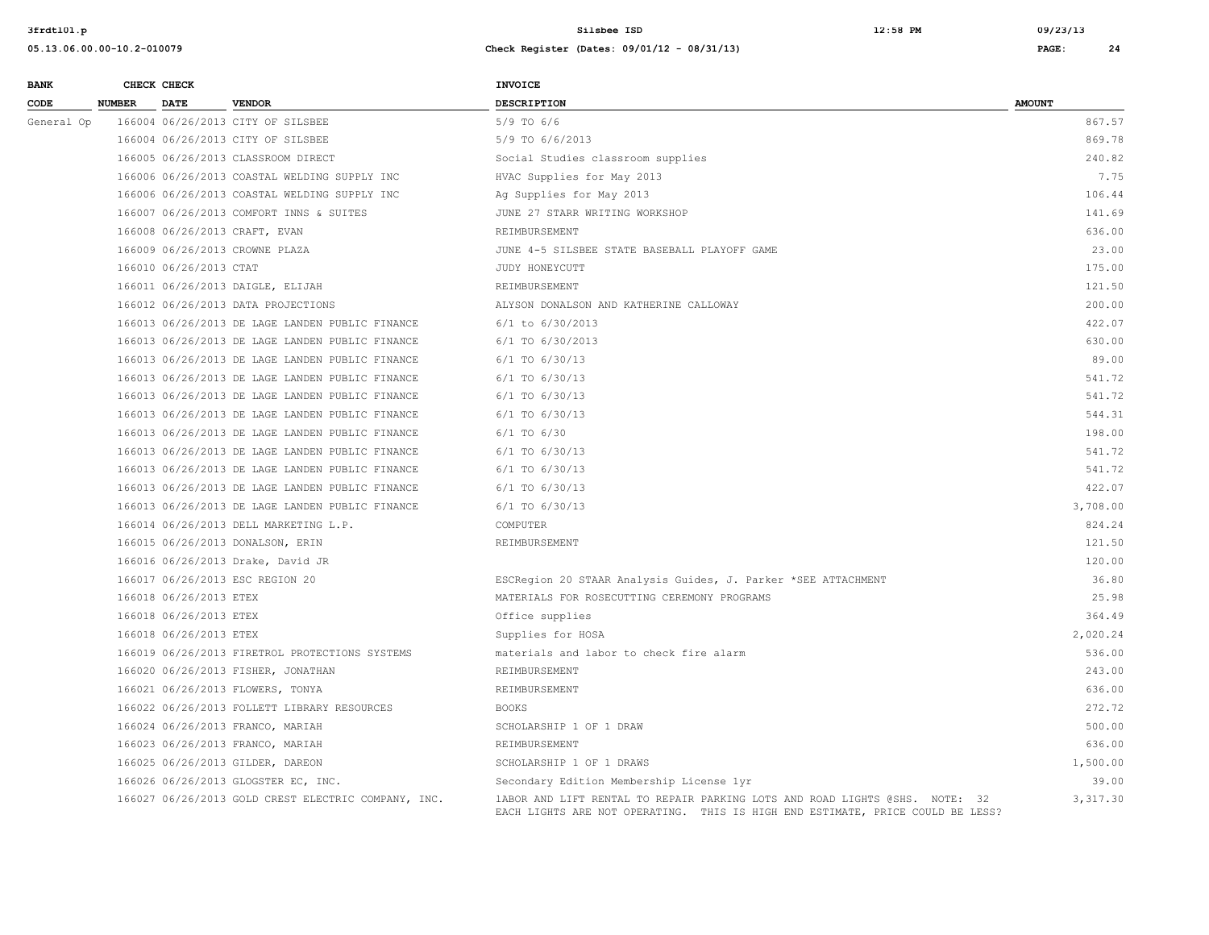| <b>BANK</b> |               | CHECK CHECK            |                                                     | <b>INVOICE</b>                                                                                                                                                |               |
|-------------|---------------|------------------------|-----------------------------------------------------|---------------------------------------------------------------------------------------------------------------------------------------------------------------|---------------|
| CODE        | <b>NUMBER</b> | <b>DATE</b>            | <b>VENDOR</b>                                       | <b>DESCRIPTION</b>                                                                                                                                            | <b>AMOUNT</b> |
| General Op  |               |                        | 166004 06/26/2013 CITY OF SILSBEE                   | $5/9$ TO $6/6$                                                                                                                                                | 867.57        |
|             |               |                        | 166004 06/26/2013 CITY OF SILSBEE                   | 5/9 TO 6/6/2013                                                                                                                                               | 869.78        |
|             |               |                        | 166005 06/26/2013 CLASSROOM DIRECT                  | Social Studies classroom supplies                                                                                                                             | 240.82        |
|             |               |                        | 166006 06/26/2013 COASTAL WELDING SUPPLY INC        | HVAC Supplies for May 2013                                                                                                                                    | 7.75          |
|             |               |                        | 166006 06/26/2013 COASTAL WELDING SUPPLY INC        | Ag Supplies for May 2013                                                                                                                                      | 106.44        |
|             |               |                        | 166007 06/26/2013 COMFORT INNS & SUITES             | JUNE 27 STARR WRITING WORKSHOP                                                                                                                                | 141.69        |
|             |               |                        | 166008 06/26/2013 CRAFT, EVAN                       | REIMBURSEMENT                                                                                                                                                 | 636.00        |
|             |               |                        | 166009 06/26/2013 CROWNE PLAZA                      | JUNE 4-5 SILSBEE STATE BASEBALL PLAYOFF GAME                                                                                                                  | 23.00         |
|             |               | 166010 06/26/2013 CTAT |                                                     | JUDY HONEYCUTT                                                                                                                                                | 175.00        |
|             |               |                        | 166011 06/26/2013 DAIGLE, ELIJAH                    | REIMBURSEMENT                                                                                                                                                 | 121.50        |
|             |               |                        | 166012 06/26/2013 DATA PROJECTIONS                  | ALYSON DONALSON AND KATHERINE CALLOWAY                                                                                                                        | 200.00        |
|             |               |                        | 166013 06/26/2013 DE LAGE LANDEN PUBLIC FINANCE     | $6/1$ to $6/30/2013$                                                                                                                                          | 422.07        |
|             |               |                        | 166013 06/26/2013 DE LAGE LANDEN PUBLIC FINANCE     | 6/1 TO 6/30/2013                                                                                                                                              | 630.00        |
|             |               |                        | 166013 06/26/2013 DE LAGE LANDEN PUBLIC FINANCE     | $6/1$ TO $6/30/13$                                                                                                                                            | 89.00         |
|             |               |                        | 166013 06/26/2013 DE LAGE LANDEN PUBLIC FINANCE     | $6/1$ TO $6/30/13$                                                                                                                                            | 541.72        |
|             |               |                        | 166013 06/26/2013 DE LAGE LANDEN PUBLIC FINANCE     | $6/1$ TO $6/30/13$                                                                                                                                            | 541.72        |
|             |               |                        | 166013 06/26/2013 DE LAGE LANDEN PUBLIC FINANCE     | 6/1 TO 6/30/13                                                                                                                                                | 544.31        |
|             |               |                        | 166013 06/26/2013 DE LAGE LANDEN PUBLIC FINANCE     | $6/1$ TO $6/30$                                                                                                                                               | 198.00        |
|             |               |                        | 166013 06/26/2013 DE LAGE LANDEN PUBLIC FINANCE     | 6/1 TO 6/30/13                                                                                                                                                | 541.72        |
|             |               |                        | 166013 06/26/2013 DE LAGE LANDEN PUBLIC FINANCE     | 6/1 TO 6/30/13                                                                                                                                                | 541.72        |
|             |               |                        | 166013 06/26/2013 DE LAGE LANDEN PUBLIC FINANCE     | $6/1$ TO $6/30/13$                                                                                                                                            | 422.07        |
|             |               |                        | 166013 06/26/2013 DE LAGE LANDEN PUBLIC FINANCE     | 6/1 TO 6/30/13                                                                                                                                                | 3,708.00      |
|             |               |                        | 166014 06/26/2013 DELL MARKETING L.P.               | COMPUTER                                                                                                                                                      | 824.24        |
|             |               |                        | 166015 06/26/2013 DONALSON, ERIN                    | REIMBURSEMENT                                                                                                                                                 | 121.50        |
|             |               |                        | 166016 06/26/2013 Drake, David JR                   |                                                                                                                                                               | 120.00        |
|             |               |                        | 166017 06/26/2013 ESC REGION 20                     | ESCRegion 20 STAAR Analysis Guides, J. Parker *SEE ATTACHMENT                                                                                                 | 36.80         |
|             |               | 166018 06/26/2013 ETEX |                                                     | MATERIALS FOR ROSECUTTING CEREMONY PROGRAMS                                                                                                                   | 25.98         |
|             |               | 166018 06/26/2013 ETEX |                                                     | Office supplies                                                                                                                                               | 364.49        |
|             |               | 166018 06/26/2013 ETEX |                                                     | Supplies for HOSA                                                                                                                                             | 2,020.24      |
|             |               |                        | 166019 06/26/2013 FIRETROL PROTECTIONS SYSTEMS      | materials and labor to check fire alarm                                                                                                                       | 536.00        |
|             |               |                        | 166020 06/26/2013 FISHER, JONATHAN                  | <b>REIMBURSEMENT</b>                                                                                                                                          | 243.00        |
|             |               |                        | 166021 06/26/2013 FLOWERS, TONYA                    | REIMBURSEMENT                                                                                                                                                 | 636.00        |
|             |               |                        | 166022 06/26/2013 FOLLETT LIBRARY RESOURCES         | <b>BOOKS</b>                                                                                                                                                  | 272.72        |
|             |               |                        | 166024 06/26/2013 FRANCO, MARIAH                    | SCHOLARSHIP 1 OF 1 DRAW                                                                                                                                       | 500.00        |
|             |               |                        | 166023 06/26/2013 FRANCO, MARIAH                    | REIMBURSEMENT                                                                                                                                                 | 636.00        |
|             |               |                        | 166025 06/26/2013 GILDER, DAREON                    | SCHOLARSHIP 1 OF 1 DRAWS                                                                                                                                      | 1,500.00      |
|             |               |                        | 166026 06/26/2013 GLOGSTER EC, INC.                 | Secondary Edition Membership License 1yr                                                                                                                      | 39.00         |
|             |               |                        | 166027 06/26/2013 GOLD CREST ELECTRIC COMPANY, INC. | lABOR AND LIFT RENTAL TO REPAIR PARKING LOTS AND ROAD LIGHTS @SHS. NOTE: 32<br>EACH LIGHTS ARE NOT OPERATING. THIS IS HIGH END ESTIMATE, PRICE COULD BE LESS? | 3,317.30      |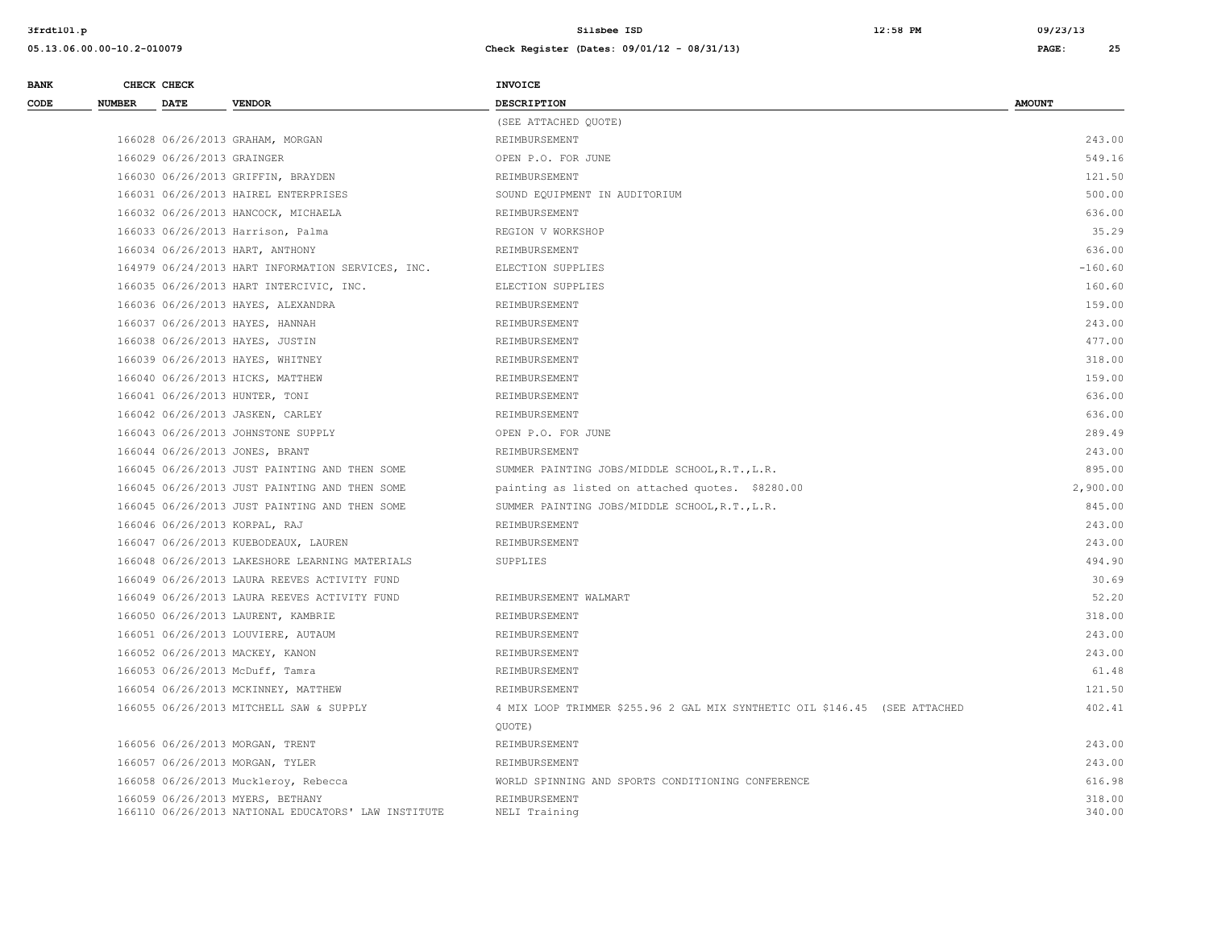| <b>BANK</b> |               | CHECK CHECK                |                                                     | <b>INVOICE</b>                                                             |               |
|-------------|---------------|----------------------------|-----------------------------------------------------|----------------------------------------------------------------------------|---------------|
| CODE        | <b>NUMBER</b> | <b>DATE</b>                | <b>VENDOR</b>                                       | <b>DESCRIPTION</b>                                                         | <b>AMOUNT</b> |
|             |               |                            |                                                     | (SEE ATTACHED QUOTE)                                                       |               |
|             |               |                            | 166028 06/26/2013 GRAHAM, MORGAN                    | REIMBURSEMENT                                                              | 243.00        |
|             |               | 166029 06/26/2013 GRAINGER |                                                     | OPEN P.O. FOR JUNE                                                         | 549.16        |
|             |               |                            | 166030 06/26/2013 GRIFFIN, BRAYDEN                  | REIMBURSEMENT                                                              | 121.50        |
|             |               |                            | 166031 06/26/2013 HAIREL ENTERPRISES                | SOUND EQUIPMENT IN AUDITORIUM                                              | 500.00        |
|             |               |                            | 166032 06/26/2013 HANCOCK, MICHAELA                 | REIMBURSEMENT                                                              | 636.00        |
|             |               |                            | 166033 06/26/2013 Harrison, Palma                   | REGION V WORKSHOP                                                          | 35.29         |
|             |               |                            | 166034 06/26/2013 HART, ANTHONY                     | REIMBURSEMENT                                                              | 636.00        |
|             |               |                            | 164979 06/24/2013 HART INFORMATION SERVICES, INC.   | ELECTION SUPPLIES                                                          | $-160.60$     |
|             |               |                            | 166035 06/26/2013 HART INTERCIVIC, INC.             | ELECTION SUPPLIES                                                          | 160.60        |
|             |               |                            | 166036 06/26/2013 HAYES, ALEXANDRA                  | REIMBURSEMENT                                                              | 159.00        |
|             |               |                            | 166037 06/26/2013 HAYES, HANNAH                     | REIMBURSEMENT                                                              | 243.00        |
|             |               |                            | 166038 06/26/2013 HAYES, JUSTIN                     | REIMBURSEMENT                                                              | 477.00        |
|             |               |                            | 166039 06/26/2013 HAYES, WHITNEY                    | REIMBURSEMENT                                                              | 318.00        |
|             |               |                            | 166040 06/26/2013 HICKS, MATTHEW                    | REIMBURSEMENT                                                              | 159.00        |
|             |               |                            | 166041 06/26/2013 HUNTER, TONI                      | REIMBURSEMENT                                                              | 636.00        |
|             |               |                            | 166042 06/26/2013 JASKEN, CARLEY                    | REIMBURSEMENT                                                              | 636.00        |
|             |               |                            | 166043 06/26/2013 JOHNSTONE SUPPLY                  | OPEN P.O. FOR JUNE                                                         | 289.49        |
|             |               |                            | 166044 06/26/2013 JONES, BRANT                      | REIMBURSEMENT                                                              | 243.00        |
|             |               |                            | 166045 06/26/2013 JUST PAINTING AND THEN SOME       | SUMMER PAINTING JOBS/MIDDLE SCHOOL, R.T., L.R.                             | 895.00        |
|             |               |                            | 166045 06/26/2013 JUST PAINTING AND THEN SOME       | painting as listed on attached quotes. \$8280.00                           | 2,900.00      |
|             |               |                            | 166045 06/26/2013 JUST PAINTING AND THEN SOME       | SUMMER PAINTING JOBS/MIDDLE SCHOOL, R.T., L.R.                             | 845.00        |
|             |               |                            | 166046 06/26/2013 KORPAL, RAJ                       | REIMBURSEMENT                                                              | 243.00        |
|             |               |                            | 166047 06/26/2013 KUEBODEAUX, LAUREN                | REIMBURSEMENT                                                              | 243.00        |
|             |               |                            | 166048 06/26/2013 LAKESHORE LEARNING MATERIALS      | SUPPLIES                                                                   | 494.90        |
|             |               |                            | 166049 06/26/2013 LAURA REEVES ACTIVITY FUND        |                                                                            | 30.69         |
|             |               |                            | 166049 06/26/2013 LAURA REEVES ACTIVITY FUND        | REIMBURSEMENT WALMART                                                      | 52.20         |
|             |               |                            | 166050 06/26/2013 LAURENT, KAMBRIE                  | REIMBURSEMENT                                                              | 318.00        |
|             |               |                            | 166051 06/26/2013 LOUVIERE, AUTAUM                  | REIMBURSEMENT                                                              | 243.00        |
|             |               |                            | 166052 06/26/2013 MACKEY, KANON                     | REIMBURSEMENT                                                              | 243.00        |
|             |               |                            | 166053 06/26/2013 McDuff, Tamra                     | REIMBURSEMENT                                                              | 61.48         |
|             |               |                            | 166054 06/26/2013 MCKINNEY, MATTHEW                 | REIMBURSEMENT                                                              | 121.50        |
|             |               |                            | 166055 06/26/2013 MITCHELL SAW & SUPPLY             | 4 MIX LOOP TRIMMER \$255.96 2 GAL MIX SYNTHETIC OIL \$146.45 (SEE ATTACHED | 402.41        |
|             |               |                            |                                                     | QUOTE)                                                                     |               |
|             |               |                            | 166056 06/26/2013 MORGAN, TRENT                     | REIMBURSEMENT                                                              | 243.00        |
|             |               |                            | 166057 06/26/2013 MORGAN, TYLER                     | REIMBURSEMENT                                                              | 243.00        |
|             |               |                            | 166058 06/26/2013 Muckleroy, Rebecca                | WORLD SPINNING AND SPORTS CONDITIONING CONFERENCE                          | 616.98        |
|             |               |                            | 166059 06/26/2013 MYERS, BETHANY                    | REIMBURSEMENT                                                              | 318.00        |
|             |               |                            | 166110 06/26/2013 NATIONAL EDUCATORS' LAW INSTITUTE | NELI Training                                                              | 340.00        |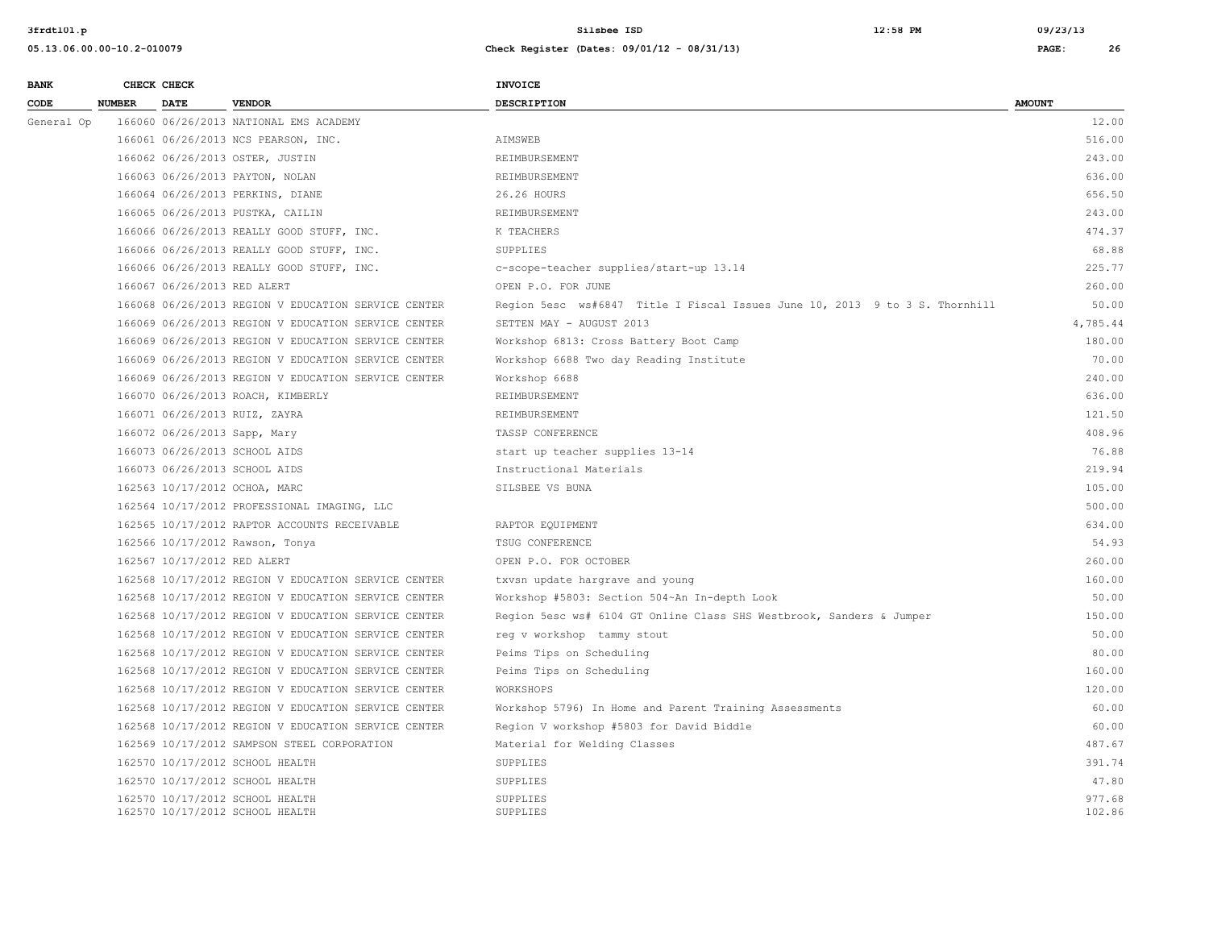| <b>BANK</b> | CHECK CHECK                   |                                                                    | <b>INVOICE</b>                                                              |                  |
|-------------|-------------------------------|--------------------------------------------------------------------|-----------------------------------------------------------------------------|------------------|
| CODE        | <b>NUMBER</b><br><b>DATE</b>  | <b>VENDOR</b>                                                      | <b>DESCRIPTION</b>                                                          | <b>AMOUNT</b>    |
| General Op  |                               | 166060 06/26/2013 NATIONAL EMS ACADEMY                             |                                                                             | 12.00            |
|             |                               | 166061 06/26/2013 NCS PEARSON, INC.                                | AIMSWEB                                                                     | 516.00           |
|             |                               | 166062 06/26/2013 OSTER, JUSTIN                                    | REIMBURSEMENT                                                               | 243.00           |
|             |                               | 166063 06/26/2013 PAYTON, NOLAN                                    | REIMBURSEMENT                                                               | 636.00           |
|             |                               | 166064 06/26/2013 PERKINS, DIANE                                   | 26.26 HOURS                                                                 | 656.50           |
|             |                               | 166065 06/26/2013 PUSTKA, CAILIN                                   | REIMBURSEMENT                                                               | 243.00           |
|             |                               | 166066 06/26/2013 REALLY GOOD STUFF, INC.                          | K TEACHERS                                                                  | 474.37           |
|             |                               | 166066 06/26/2013 REALLY GOOD STUFF, INC.                          | SUPPLIES                                                                    | 68.88            |
|             |                               | 166066 06/26/2013 REALLY GOOD STUFF, INC.                          | c-scope-teacher supplies/start-up 13.14                                     | 225.77           |
|             | 166067 06/26/2013 RED ALERT   |                                                                    | OPEN P.O. FOR JUNE                                                          | 260.00           |
|             |                               | 166068 06/26/2013 REGION V EDUCATION SERVICE CENTER                | Region 5esc ws#6847 Title I Fiscal Issues June 10, 2013 9 to 3 S. Thornhill | 50.00            |
|             |                               | 166069 06/26/2013 REGION V EDUCATION SERVICE CENTER                | SETTEN MAY - AUGUST 2013                                                    | 4,785.44         |
|             |                               | 166069 06/26/2013 REGION V EDUCATION SERVICE CENTER                | Workshop 6813: Cross Battery Boot Camp                                      | 180.00           |
|             |                               | 166069 06/26/2013 REGION V EDUCATION SERVICE CENTER                | Workshop 6688 Two day Reading Institute                                     | 70.00            |
|             |                               | 166069 06/26/2013 REGION V EDUCATION SERVICE CENTER                | Workshop 6688                                                               | 240.00           |
|             |                               | 166070 06/26/2013 ROACH, KIMBERLY                                  | REIMBURSEMENT                                                               | 636.00           |
|             | 166071 06/26/2013 RUIZ, ZAYRA |                                                                    | REIMBURSEMENT                                                               | 121.50           |
|             | 166072 06/26/2013 Sapp, Mary  |                                                                    | TASSP CONFERENCE                                                            | 408.96           |
|             | 166073 06/26/2013 SCHOOL AIDS |                                                                    | start up teacher supplies 13-14                                             | 76.88            |
|             | 166073 06/26/2013 SCHOOL AIDS |                                                                    | Instructional Materials                                                     | 219.94           |
|             | 162563 10/17/2012 OCHOA, MARC |                                                                    | SILSBEE VS BUNA                                                             | 105.00           |
|             |                               | 162564 10/17/2012 PROFESSIONAL IMAGING, LLC                        |                                                                             | 500.00           |
|             |                               | 162565 10/17/2012 RAPTOR ACCOUNTS RECEIVABLE                       | RAPTOR EQUIPMENT                                                            | 634.00           |
|             |                               | 162566 10/17/2012 Rawson, Tonya                                    | TSUG CONFERENCE                                                             | 54.93            |
|             | 162567 10/17/2012 RED ALERT   |                                                                    | OPEN P.O. FOR OCTOBER                                                       | 260.00           |
|             |                               | 162568 10/17/2012 REGION V EDUCATION SERVICE CENTER                | txvsn update hargrave and young                                             | 160.00           |
|             |                               | 162568 10/17/2012 REGION V EDUCATION SERVICE CENTER                | Workshop #5803: Section 504~An In-depth Look                                | 50.00            |
|             |                               | 162568 10/17/2012 REGION V EDUCATION SERVICE CENTER                | Region 5esc ws# 6104 GT Online Class SHS Westbrook, Sanders & Jumper        | 150.00           |
|             |                               | 162568 10/17/2012 REGION V EDUCATION SERVICE CENTER                | reg v workshop tammy stout                                                  | 50.00            |
|             |                               | 162568 10/17/2012 REGION V EDUCATION SERVICE CENTER                | Peims Tips on Scheduling                                                    | 80.00            |
|             |                               | 162568 10/17/2012 REGION V EDUCATION SERVICE CENTER                | Peims Tips on Scheduling                                                    | 160.00           |
|             |                               | 162568 10/17/2012 REGION V EDUCATION SERVICE CENTER                | WORKSHOPS                                                                   | 120.00           |
|             |                               | 162568 10/17/2012 REGION V EDUCATION SERVICE CENTER                | Workshop 5796) In Home and Parent Training Assessments                      | 60.00            |
|             |                               | 162568 10/17/2012 REGION V EDUCATION SERVICE CENTER                | Region V workshop #5803 for David Biddle                                    | 60.00            |
|             |                               | 162569 10/17/2012 SAMPSON STEEL CORPORATION                        | Material for Welding Classes                                                | 487.67           |
|             |                               | 162570 10/17/2012 SCHOOL HEALTH                                    | <b>SUPPLIES</b>                                                             | 391.74           |
|             |                               | 162570 10/17/2012 SCHOOL HEALTH                                    | SUPPLIES                                                                    | 47.80            |
|             |                               | 162570 10/17/2012 SCHOOL HEALTH<br>162570 10/17/2012 SCHOOL HEALTH | SUPPLIES<br>SUPPLIES                                                        | 977.68<br>102.86 |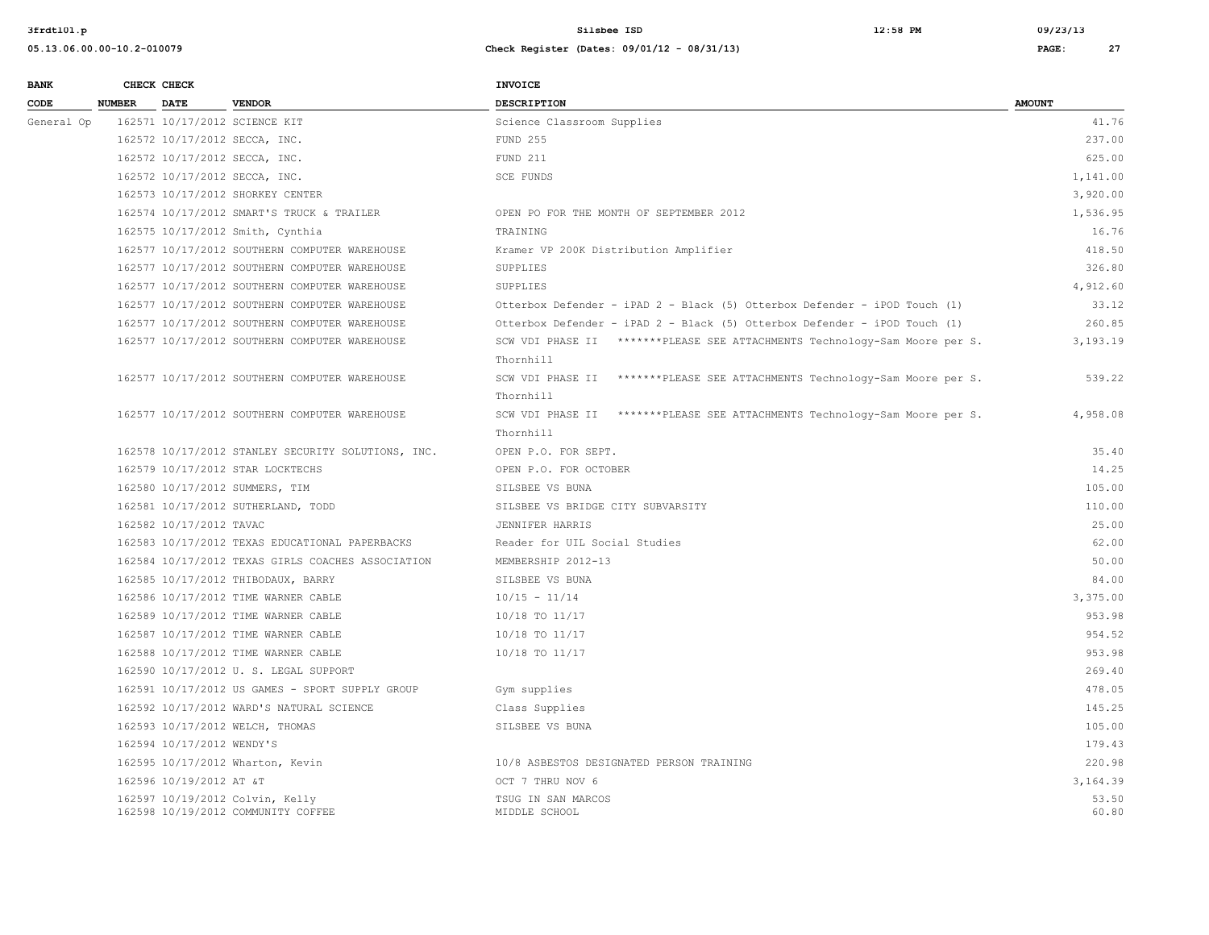### **05.13.06.00.00-10.2-010079 Check Register (Dates: 09/01/12 - 08/31/13) PAGE: 27**

**BANK CHECK CHECK CHECK** 

| CODE       | <b>NUMBER</b> | <b>DATE</b>               | <b>VENDOR</b>                                                         | <b>DESCRIPTION</b>                                                                      | <b>AMOUNT</b>  |
|------------|---------------|---------------------------|-----------------------------------------------------------------------|-----------------------------------------------------------------------------------------|----------------|
| General Op |               |                           | 162571 10/17/2012 SCIENCE KIT                                         | Science Classroom Supplies                                                              | 41.76          |
|            |               |                           | 162572 10/17/2012 SECCA, INC.                                         | FUND 255                                                                                | 237.00         |
|            |               |                           | 162572 10/17/2012 SECCA, INC.                                         | FUND 211                                                                                | 625.00         |
|            |               |                           | 162572 10/17/2012 SECCA, INC.                                         | SCE FUNDS                                                                               | 1,141.00       |
|            |               |                           | 162573 10/17/2012 SHORKEY CENTER                                      |                                                                                         | 3,920.00       |
|            |               |                           | 162574 10/17/2012 SMART'S TRUCK & TRAILER                             | OPEN PO FOR THE MONTH OF SEPTEMBER 2012                                                 | 1,536.95       |
|            |               |                           | 162575 10/17/2012 Smith, Cynthia                                      | TRAINING                                                                                | 16.76          |
|            |               |                           | 162577 10/17/2012 SOUTHERN COMPUTER WAREHOUSE                         | Kramer VP 200K Distribution Amplifier                                                   | 418.50         |
|            |               |                           | 162577 10/17/2012 SOUTHERN COMPUTER WAREHOUSE                         | SUPPLIES                                                                                | 326.80         |
|            |               |                           | 162577 10/17/2012 SOUTHERN COMPUTER WAREHOUSE                         | SUPPLIES                                                                                | 4,912.60       |
|            |               |                           | 162577 10/17/2012 SOUTHERN COMPUTER WAREHOUSE                         | Otterbox Defender - iPAD 2 - Black (5) Otterbox Defender - iPOD Touch (1)               | 33.12          |
|            |               |                           | 162577 10/17/2012 SOUTHERN COMPUTER WAREHOUSE                         | Otterbox Defender - iPAD 2 - Black (5) Otterbox Defender - iPOD Touch (1)               | 260.85         |
|            |               |                           | 162577 10/17/2012 SOUTHERN COMPUTER WAREHOUSE                         | SCW VDI PHASE II *******PLEASE SEE ATTACHMENTS Technology-Sam Moore per S.<br>Thornhill | 3,193.19       |
|            |               |                           | 162577 10/17/2012 SOUTHERN COMPUTER WAREHOUSE                         | SCW VDI PHASE II *******PLEASE SEE ATTACHMENTS Technology-Sam Moore per S.<br>Thornhill | 539.22         |
|            |               |                           | 162577 10/17/2012 SOUTHERN COMPUTER WAREHOUSE                         | SCW VDI PHASE II *******PLEASE SEE ATTACHMENTS Technology-Sam Moore per S.<br>Thornhill | 4,958.08       |
|            |               |                           | 162578 10/17/2012 STANLEY SECURITY SOLUTIONS, INC.                    | OPEN P.O. FOR SEPT.                                                                     | 35.40          |
|            |               |                           | 162579 10/17/2012 STAR LOCKTECHS                                      | OPEN P.O. FOR OCTOBER                                                                   | 14.25          |
|            |               |                           | 162580 10/17/2012 SUMMERS, TIM                                        | SILSBEE VS BUNA                                                                         | 105.00         |
|            |               |                           | 162581 10/17/2012 SUTHERLAND, TODD                                    | SILSBEE VS BRIDGE CITY SUBVARSITY                                                       | 110.00         |
|            |               | 162582 10/17/2012 TAVAC   |                                                                       | JENNIFER HARRIS                                                                         | 25.00          |
|            |               |                           | 162583 10/17/2012 TEXAS EDUCATIONAL PAPERBACKS                        | Reader for UIL Social Studies                                                           | 62.00          |
|            |               |                           | 162584 10/17/2012 TEXAS GIRLS COACHES ASSOCIATION                     | MEMBERSHIP 2012-13                                                                      | 50.00          |
|            |               |                           | 162585 10/17/2012 THIBODAUX, BARRY                                    | SILSBEE VS BUNA                                                                         | 84.00          |
|            |               |                           | 162586 10/17/2012 TIME WARNER CABLE                                   | $10/15 - 11/14$                                                                         | 3,375.00       |
|            |               |                           | 162589 10/17/2012 TIME WARNER CABLE                                   | 10/18 TO 11/17                                                                          | 953.98         |
|            |               |                           | 162587 10/17/2012 TIME WARNER CABLE                                   | 10/18 TO 11/17                                                                          | 954.52         |
|            |               |                           | 162588 10/17/2012 TIME WARNER CABLE                                   | 10/18 TO 11/17                                                                          | 953.98         |
|            |               |                           | 162590 10/17/2012 U. S. LEGAL SUPPORT                                 |                                                                                         | 269.40         |
|            |               |                           | 162591 10/17/2012 US GAMES - SPORT SUPPLY GROUP                       | Gym supplies                                                                            | 478.05         |
|            |               |                           | 162592 10/17/2012 WARD'S NATURAL SCIENCE                              | Class Supplies                                                                          | 145.25         |
|            |               |                           | 162593 10/17/2012 WELCH, THOMAS                                       | SILSBEE VS BUNA                                                                         | 105.00         |
|            |               | 162594 10/17/2012 WENDY'S |                                                                       |                                                                                         | 179.43         |
|            |               |                           | 162595 10/17/2012 Wharton, Kevin                                      | 10/8 ASBESTOS DESIGNATED PERSON TRAINING                                                | 220.98         |
|            |               | 162596 10/19/2012 AT &T   |                                                                       | OCT 7 THRU NOV 6                                                                        | 3,164.39       |
|            |               |                           | 162597 10/19/2012 Colvin, Kelly<br>162598 10/19/2012 COMMUNITY COFFEE | TSUG IN SAN MARCOS<br>MIDDLE SCHOOL                                                     | 53.50<br>60.80 |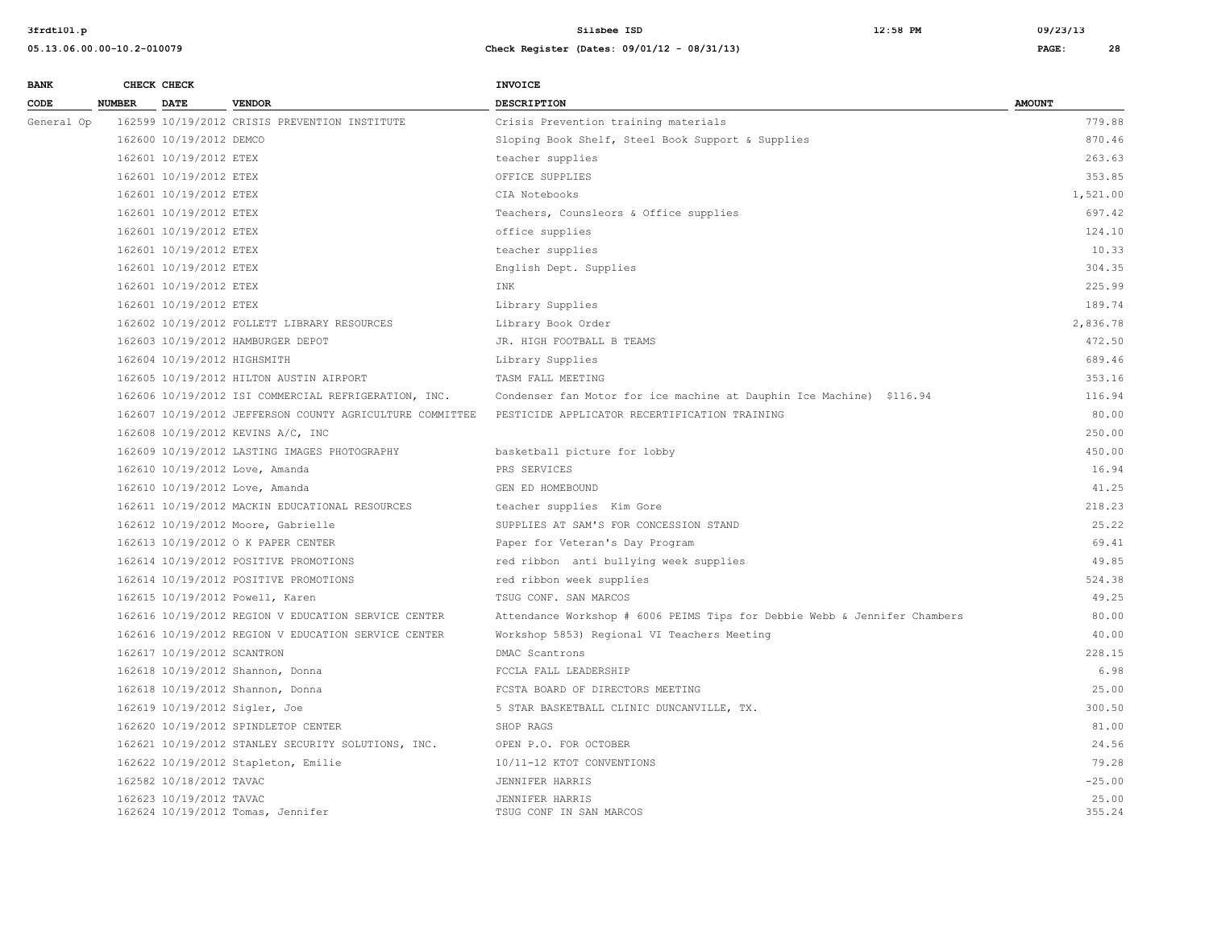| <b>BANK</b> |               | CHECK CHECK                 |                                                          | INVOICE                                                                   |                 |
|-------------|---------------|-----------------------------|----------------------------------------------------------|---------------------------------------------------------------------------|-----------------|
| CODE        | <b>NUMBER</b> | <b>DATE</b>                 | <b>VENDOR</b>                                            | <b>DESCRIPTION</b>                                                        | <b>AMOUNT</b>   |
| General Op  |               |                             | 162599 10/19/2012 CRISIS PREVENTION INSTITUTE            | Crisis Prevention training materials                                      | 779.88          |
|             |               | 162600 10/19/2012 DEMCO     |                                                          | Sloping Book Shelf, Steel Book Support & Supplies                         | 870.46          |
|             |               | 162601 10/19/2012 ETEX      |                                                          | teacher supplies                                                          | 263.63          |
|             |               | 162601 10/19/2012 ETEX      |                                                          | OFFICE SUPPLIES                                                           | 353.85          |
|             |               | 162601 10/19/2012 ETEX      |                                                          | CIA Notebooks                                                             | 1,521.00        |
|             |               | 162601 10/19/2012 ETEX      |                                                          | Teachers, Counsleors & Office supplies                                    | 697.42          |
|             |               | 162601 10/19/2012 ETEX      |                                                          | office supplies                                                           | 124.10          |
|             |               | 162601 10/19/2012 ETEX      |                                                          | teacher supplies                                                          | 10.33           |
|             |               | 162601 10/19/2012 ETEX      |                                                          | English Dept. Supplies                                                    | 304.35          |
|             |               | 162601 10/19/2012 ETEX      |                                                          | INK                                                                       | 225.99          |
|             |               | 162601 10/19/2012 ETEX      |                                                          | Library Supplies                                                          | 189.74          |
|             |               |                             | 162602 10/19/2012 FOLLETT LIBRARY RESOURCES              | Library Book Order                                                        | 2,836.78        |
|             |               |                             | 162603 10/19/2012 HAMBURGER DEPOT                        | JR. HIGH FOOTBALL B TEAMS                                                 | 472.50          |
|             |               | 162604 10/19/2012 HIGHSMITH |                                                          | Library Supplies                                                          | 689.46          |
|             |               |                             | 162605 10/19/2012 HILTON AUSTIN AIRPORT                  | TASM FALL MEETING                                                         | 353.16          |
|             |               |                             | 162606 10/19/2012 ISI COMMERCIAL REFRIGERATION, INC.     | Condenser fan Motor for ice machine at Dauphin Ice Machine) \$116.94      | 116.94          |
|             |               |                             | 162607 10/19/2012 JEFFERSON COUNTY AGRICULTURE COMMITTEE | PESTICIDE APPLICATOR RECERTIFICATION TRAINING                             | 80.00           |
|             |               |                             | 162608 10/19/2012 KEVINS A/C, INC                        |                                                                           | 250.00          |
|             |               |                             | 162609 10/19/2012 LASTING IMAGES PHOTOGRAPHY             | basketball picture for lobby                                              | 450.00          |
|             |               |                             | 162610 10/19/2012 Love, Amanda                           | PRS SERVICES                                                              | 16.94           |
|             |               |                             | 162610 10/19/2012 Love, Amanda                           | GEN ED HOMEBOUND                                                          | 41.25           |
|             |               |                             | 162611 10/19/2012 MACKIN EDUCATIONAL RESOURCES           | teacher supplies Kim Gore                                                 | 218.23          |
|             |               |                             | 162612 10/19/2012 Moore, Gabrielle                       | SUPPLIES AT SAM'S FOR CONCESSION STAND                                    | 25.22           |
|             |               |                             | 162613 10/19/2012 O K PAPER CENTER                       | Paper for Veteran's Day Program                                           | 69.41           |
|             |               |                             | 162614 10/19/2012 POSITIVE PROMOTIONS                    | red ribbon anti bullying week supplies                                    | 49.85           |
|             |               |                             | 162614 10/19/2012 POSITIVE PROMOTIONS                    | red ribbon week supplies                                                  | 524.38          |
|             |               |                             | 162615 10/19/2012 Powell, Karen                          | TSUG CONF. SAN MARCOS                                                     | 49.25           |
|             |               |                             | 162616 10/19/2012 REGION V EDUCATION SERVICE CENTER      | Attendance Workshop # 6006 PEIMS Tips for Debbie Webb & Jennifer Chambers | 80.00           |
|             |               |                             | 162616 10/19/2012 REGION V EDUCATION SERVICE CENTER      | Workshop 5853) Regional VI Teachers Meeting                               | 40.00           |
|             |               | 162617 10/19/2012 SCANTRON  |                                                          | DMAC Scantrons                                                            | 228.15          |
|             |               |                             | 162618 10/19/2012 Shannon, Donna                         | FCCLA FALL LEADERSHIP                                                     | 6.98            |
|             |               |                             | 162618 10/19/2012 Shannon, Donna                         | FCSTA BOARD OF DIRECTORS MEETING                                          | 25.00           |
|             |               |                             | 162619 10/19/2012 Sigler, Joe                            | 5 STAR BASKETBALL CLINIC DUNCANVILLE, TX.                                 | 300.50          |
|             |               |                             | 162620 10/19/2012 SPINDLETOP CENTER                      | SHOP RAGS                                                                 | 81.00           |
|             |               |                             | 162621 10/19/2012 STANLEY SECURITY SOLUTIONS, INC.       | OPEN P.O. FOR OCTOBER                                                     | 24.56           |
|             |               |                             | 162622 10/19/2012 Stapleton, Emilie                      | 10/11-12 KTOT CONVENTIONS                                                 | 79.28           |
|             |               | 162582 10/18/2012 TAVAC     |                                                          | JENNIFER HARRIS                                                           | $-25.00$        |
|             |               | 162623 10/19/2012 TAVAC     | 162624 10/19/2012 Tomas, Jennifer                        | JENNIFER HARRIS<br>TSUG CONF IN SAN MARCOS                                | 25.00<br>355.24 |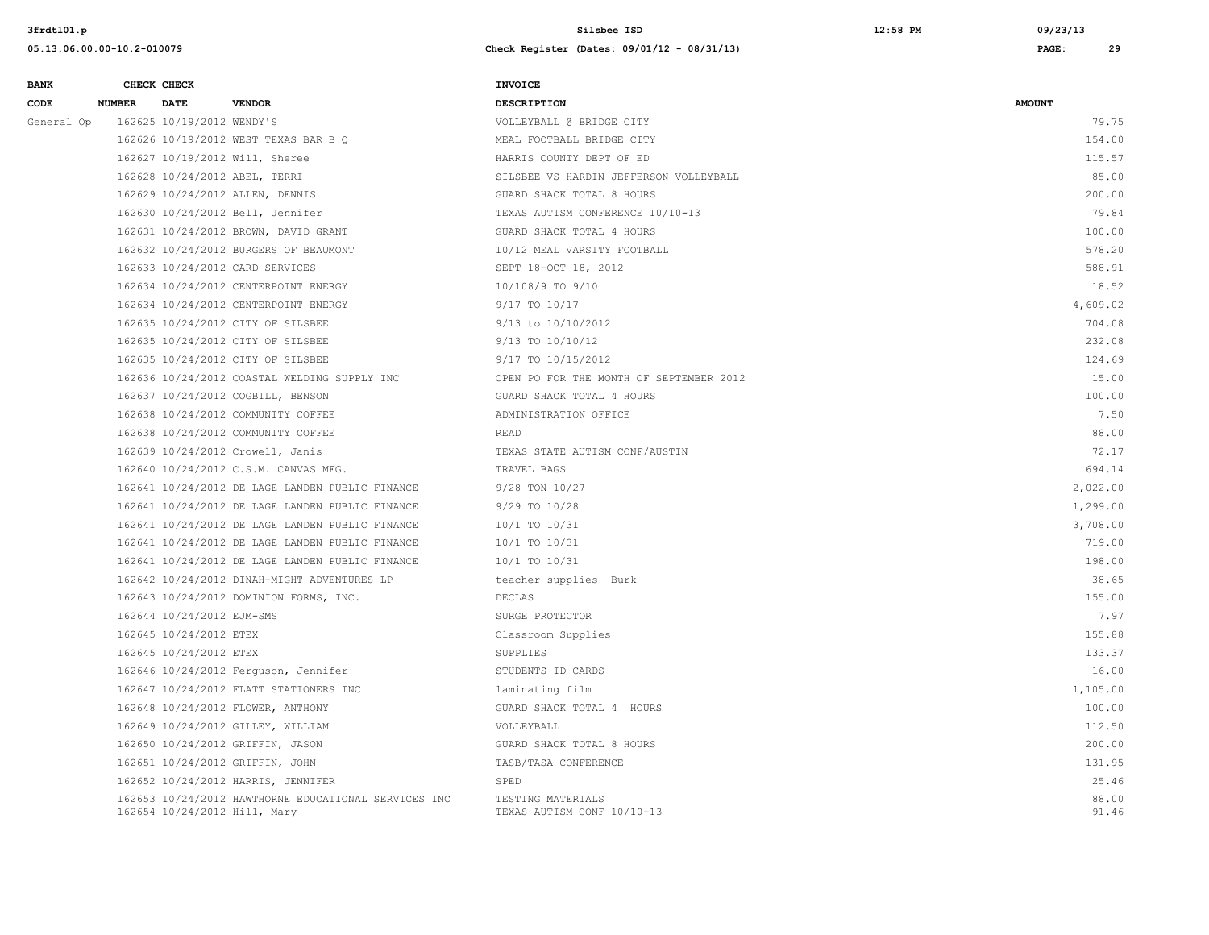| <b>BANK</b> |               | CHECK CHECK               |                                                                                      | <b>INVOICE</b>                                  |                |
|-------------|---------------|---------------------------|--------------------------------------------------------------------------------------|-------------------------------------------------|----------------|
| CODE        | <b>NUMBER</b> | <b>DATE</b>               | <b>VENDOR</b>                                                                        | <b>DESCRIPTION</b>                              | <b>AMOUNT</b>  |
| General Op  |               | 162625 10/19/2012 WENDY'S |                                                                                      | VOLLEYBALL @ BRIDGE CITY                        | 79.75          |
|             |               |                           | 162626 10/19/2012 WEST TEXAS BAR B Q                                                 | MEAL FOOTBALL BRIDGE CITY                       | 154.00         |
|             |               |                           | 162627 10/19/2012 Will, Sheree                                                       | HARRIS COUNTY DEPT OF ED                        | 115.57         |
|             |               |                           | 162628 10/24/2012 ABEL, TERRI                                                        | SILSBEE VS HARDIN JEFFERSON VOLLEYBALL          | 85.00          |
|             |               |                           | 162629 10/24/2012 ALLEN, DENNIS                                                      | GUARD SHACK TOTAL 8 HOURS                       | 200.00         |
|             |               |                           | 162630 10/24/2012 Bell, Jennifer                                                     | TEXAS AUTISM CONFERENCE 10/10-13                | 79.84          |
|             |               |                           | 162631 10/24/2012 BROWN, DAVID GRANT                                                 | GUARD SHACK TOTAL 4 HOURS                       | 100.00         |
|             |               |                           | 162632 10/24/2012 BURGERS OF BEAUMONT                                                | 10/12 MEAL VARSITY FOOTBALL                     | 578.20         |
|             |               |                           | 162633 10/24/2012 CARD SERVICES                                                      | SEPT 18-OCT 18, 2012                            | 588.91         |
|             |               |                           | 162634 10/24/2012 CENTERPOINT ENERGY                                                 | 10/108/9 TO 9/10                                | 18.52          |
|             |               |                           | 162634 10/24/2012 CENTERPOINT ENERGY                                                 | 9/17 TO 10/17                                   | 4,609.02       |
|             |               |                           | 162635 10/24/2012 CITY OF SILSBEE                                                    | 9/13 to 10/10/2012                              | 704.08         |
|             |               |                           | 162635 10/24/2012 CITY OF SILSBEE                                                    | 9/13 TO 10/10/12                                | 232.08         |
|             |               |                           | 162635 10/24/2012 CITY OF SILSBEE                                                    | 9/17 TO 10/15/2012                              | 124.69         |
|             |               |                           | 162636 10/24/2012 COASTAL WELDING SUPPLY INC                                         | OPEN PO FOR THE MONTH OF SEPTEMBER 2012         | 15.00          |
|             |               |                           | 162637 10/24/2012 COGBILL, BENSON                                                    | GUARD SHACK TOTAL 4 HOURS                       | 100.00         |
|             |               |                           | 162638 10/24/2012 COMMUNITY COFFEE                                                   | ADMINISTRATION OFFICE                           | 7.50           |
|             |               |                           | 162638 10/24/2012 COMMUNITY COFFEE                                                   | <b>READ</b>                                     | 88.00          |
|             |               |                           | 162639 10/24/2012 Crowell, Janis                                                     | TEXAS STATE AUTISM CONF/AUSTIN                  | 72.17          |
|             |               |                           | 162640 10/24/2012 C.S.M. CANVAS MFG.                                                 | TRAVEL BAGS                                     | 694.14         |
|             |               |                           | 162641 10/24/2012 DE LAGE LANDEN PUBLIC FINANCE                                      | 9/28 TON 10/27                                  | 2,022.00       |
|             |               |                           | 162641 10/24/2012 DE LAGE LANDEN PUBLIC FINANCE                                      | 9/29 TO 10/28                                   | 1,299.00       |
|             |               |                           | 162641 10/24/2012 DE LAGE LANDEN PUBLIC FINANCE                                      | 10/1 TO 10/31                                   | 3,708.00       |
|             |               |                           | 162641 10/24/2012 DE LAGE LANDEN PUBLIC FINANCE                                      | 10/1 TO 10/31                                   | 719.00         |
|             |               |                           | 162641 10/24/2012 DE LAGE LANDEN PUBLIC FINANCE                                      | 10/1 TO 10/31                                   | 198.00         |
|             |               |                           | 162642 10/24/2012 DINAH-MIGHT ADVENTURES LP                                          | teacher supplies Burk                           | 38.65          |
|             |               |                           | 162643 10/24/2012 DOMINION FORMS, INC.                                               | <b>DECLAS</b>                                   | 155.00         |
|             |               | 162644 10/24/2012 EJM-SMS |                                                                                      | SURGE PROTECTOR                                 | 7.97           |
|             |               | 162645 10/24/2012 ETEX    |                                                                                      | Classroom Supplies                              | 155.88         |
|             |               | 162645 10/24/2012 ETEX    |                                                                                      | SUPPLIES                                        | 133.37         |
|             |               |                           | 162646 10/24/2012 Ferquson, Jennifer                                                 | STUDENTS ID CARDS                               | 16.00          |
|             |               |                           | 162647 10/24/2012 FLATT STATIONERS INC                                               | laminating film                                 | 1,105.00       |
|             |               |                           | 162648 10/24/2012 FLOWER, ANTHONY                                                    | GUARD SHACK TOTAL 4 HOURS                       | 100.00         |
|             |               |                           | 162649 10/24/2012 GILLEY, WILLIAM                                                    | VOLLEYBALL                                      | 112.50         |
|             |               |                           | 162650 10/24/2012 GRIFFIN, JASON                                                     | GUARD SHACK TOTAL 8 HOURS                       | 200.00         |
|             |               |                           | 162651 10/24/2012 GRIFFIN, JOHN                                                      | TASB/TASA CONFERENCE                            | 131.95         |
|             |               |                           | 162652 10/24/2012 HARRIS, JENNIFER                                                   | SPED                                            | 25.46          |
|             |               |                           | 162653 10/24/2012 HAWTHORNE EDUCATIONAL SERVICES INC<br>162654 10/24/2012 Hill, Mary | TESTING MATERIALS<br>TEXAS AUTISM CONF 10/10-13 | 88.00<br>91.46 |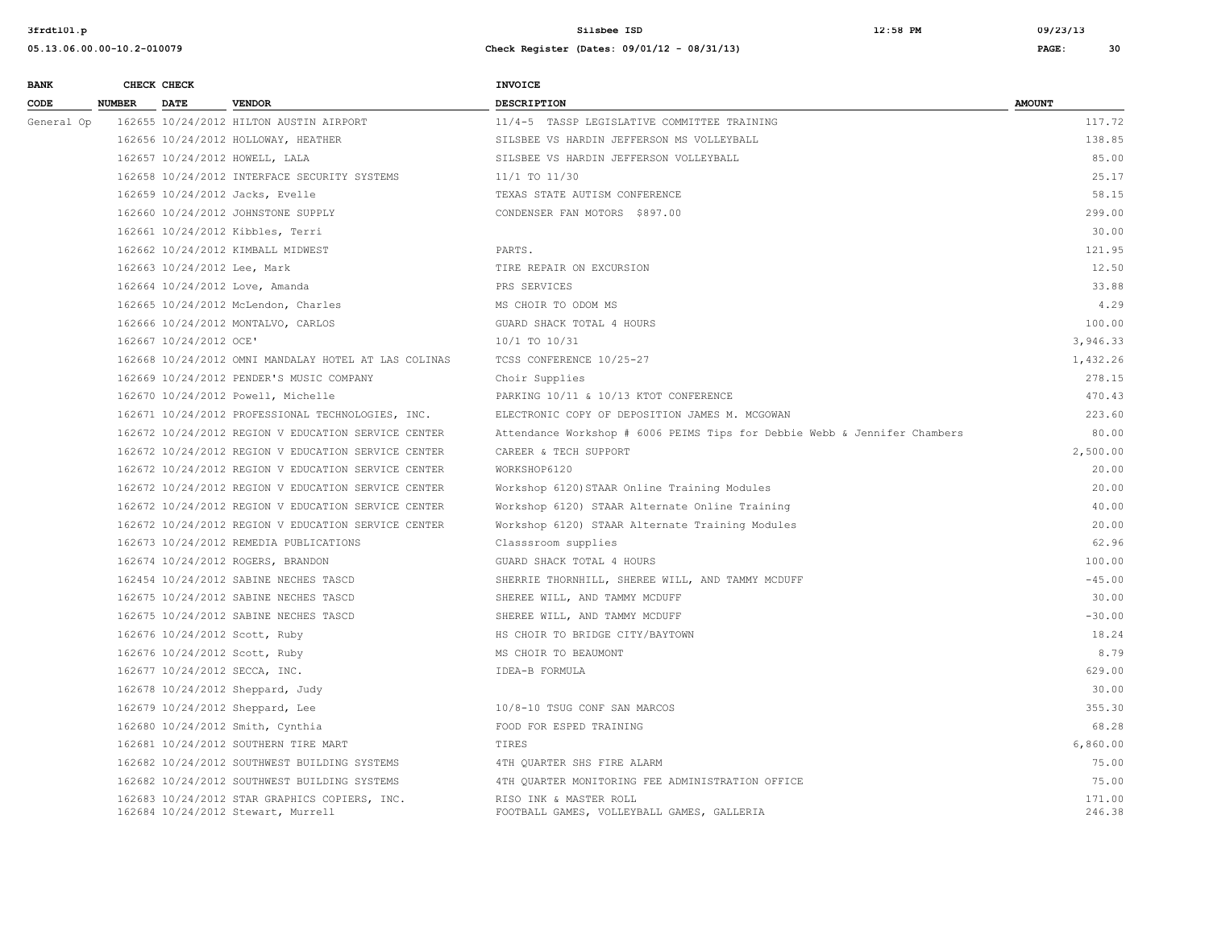| <b>BANK</b> |               | CHECK CHECK                 |                                                                                     | <b>INVOICE</b>                                                            |                  |  |
|-------------|---------------|-----------------------------|-------------------------------------------------------------------------------------|---------------------------------------------------------------------------|------------------|--|
| CODE        | <b>NUMBER</b> | <b>DATE</b>                 | <b>VENDOR</b>                                                                       | DESCRIPTION                                                               | <b>AMOUNT</b>    |  |
| General Op  |               |                             | 162655 10/24/2012 HILTON AUSTIN AIRPORT                                             | 11/4-5 TASSP LEGISLATIVE COMMITTEE TRAINING                               | 117.72           |  |
|             |               |                             | 162656 10/24/2012 HOLLOWAY, HEATHER                                                 | SILSBEE VS HARDIN JEFFERSON MS VOLLEYBALL                                 | 138.85           |  |
|             |               |                             | 162657 10/24/2012 HOWELL, LALA                                                      | SILSBEE VS HARDIN JEFFERSON VOLLEYBALL                                    | 85.00            |  |
|             |               |                             | 162658 10/24/2012 INTERFACE SECURITY SYSTEMS                                        | 11/1 TO 11/30                                                             | 25.17            |  |
|             |               |                             | 162659 10/24/2012 Jacks, Evelle                                                     | TEXAS STATE AUTISM CONFERENCE                                             | 58.15            |  |
|             |               |                             | 162660 10/24/2012 JOHNSTONE SUPPLY                                                  | CONDENSER FAN MOTORS \$897.00                                             | 299.00           |  |
|             |               |                             | 162661 10/24/2012 Kibbles, Terri                                                    |                                                                           | 30.00            |  |
|             |               |                             | 162662 10/24/2012 KIMBALL MIDWEST                                                   | PARTS.                                                                    | 121.95           |  |
|             |               | 162663 10/24/2012 Lee, Mark |                                                                                     | TIRE REPAIR ON EXCURSION                                                  | 12.50            |  |
|             |               |                             | 162664 10/24/2012 Love, Amanda                                                      | PRS SERVICES                                                              | 33.88            |  |
|             |               |                             | 162665 10/24/2012 McLendon, Charles                                                 | MS CHOIR TO ODOM MS                                                       | 4.29             |  |
|             |               |                             | 162666 10/24/2012 MONTALVO, CARLOS                                                  | GUARD SHACK TOTAL 4 HOURS                                                 | 100.00           |  |
|             |               | 162667 10/24/2012 OCE'      |                                                                                     | 10/1 TO 10/31                                                             | 3,946.33         |  |
|             |               |                             | 162668 10/24/2012 OMNI MANDALAY HOTEL AT LAS COLINAS                                | TCSS CONFERENCE 10/25-27                                                  | 1,432.26         |  |
|             |               |                             | 162669 10/24/2012 PENDER'S MUSIC COMPANY                                            | Choir Supplies                                                            | 278.15           |  |
|             |               |                             | 162670 10/24/2012 Powell, Michelle                                                  | PARKING 10/11 & 10/13 KTOT CONFERENCE                                     | 470.43           |  |
|             |               |                             | 162671 10/24/2012 PROFESSIONAL TECHNOLOGIES, INC.                                   | ELECTRONIC COPY OF DEPOSITION JAMES M. MCGOWAN                            | 223.60           |  |
|             |               |                             | 162672 10/24/2012 REGION V EDUCATION SERVICE CENTER                                 | Attendance Workshop # 6006 PEIMS Tips for Debbie Webb & Jennifer Chambers | 80.00            |  |
|             |               |                             | 162672 10/24/2012 REGION V EDUCATION SERVICE CENTER                                 | CAREER & TECH SUPPORT                                                     | 2,500.00         |  |
|             |               |                             | 162672 10/24/2012 REGION V EDUCATION SERVICE CENTER                                 | WORKSHOP6120                                                              | 20.00            |  |
|             |               |                             | 162672 10/24/2012 REGION V EDUCATION SERVICE CENTER                                 | Workshop 6120) STAAR Online Training Modules                              | 20.00            |  |
|             |               |                             | 162672 10/24/2012 REGION V EDUCATION SERVICE CENTER                                 | Workshop 6120) STAAR Alternate Online Training                            | 40.00            |  |
|             |               |                             | 162672 10/24/2012 REGION V EDUCATION SERVICE CENTER                                 | Workshop 6120) STAAR Alternate Training Modules                           | 20.00            |  |
|             |               |                             | 162673 10/24/2012 REMEDIA PUBLICATIONS                                              | Classsroom supplies                                                       | 62.96            |  |
|             |               |                             | 162674 10/24/2012 ROGERS, BRANDON                                                   | GUARD SHACK TOTAL 4 HOURS                                                 | 100.00           |  |
|             |               |                             | 162454 10/24/2012 SABINE NECHES TASCD                                               | SHERRIE THORNHILL, SHEREE WILL, AND TAMMY MCDUFF                          | $-45.00$         |  |
|             |               |                             | 162675 10/24/2012 SABINE NECHES TASCD                                               | SHEREE WILL, AND TAMMY MCDUFF                                             | 30.00            |  |
|             |               |                             | 162675 10/24/2012 SABINE NECHES TASCD                                               | SHEREE WILL, AND TAMMY MCDUFF                                             | $-30.00$         |  |
|             |               |                             | 162676 10/24/2012 Scott, Ruby                                                       | HS CHOIR TO BRIDGE CITY/BAYTOWN                                           | 18.24            |  |
|             |               |                             | 162676 10/24/2012 Scott, Ruby                                                       | MS CHOIR TO BEAUMONT                                                      | 8.79             |  |
|             |               |                             | 162677 10/24/2012 SECCA, INC.                                                       | IDEA-B FORMULA                                                            | 629.00           |  |
|             |               |                             | 162678 10/24/2012 Sheppard, Judy                                                    |                                                                           | 30.00            |  |
|             |               |                             | 162679 10/24/2012 Sheppard, Lee                                                     | 10/8-10 TSUG CONF SAN MARCOS                                              | 355.30           |  |
|             |               |                             | 162680 10/24/2012 Smith, Cynthia                                                    | FOOD FOR ESPED TRAINING                                                   | 68.28            |  |
|             |               |                             | 162681 10/24/2012 SOUTHERN TIRE MART                                                | TIRES                                                                     | 6,860.00         |  |
|             |               |                             | 162682 10/24/2012 SOUTHWEST BUILDING SYSTEMS                                        | 4TH QUARTER SHS FIRE ALARM                                                | 75.00            |  |
|             |               |                             | 162682 10/24/2012 SOUTHWEST BUILDING SYSTEMS                                        | 4TH QUARTER MONITORING FEE ADMINISTRATION OFFICE                          | 75.00            |  |
|             |               |                             | 162683 10/24/2012 STAR GRAPHICS COPIERS, INC.<br>162684 10/24/2012 Stewart, Murrell | RISO INK & MASTER ROLL<br>FOOTBALL GAMES, VOLLEYBALL GAMES, GALLERIA      | 171.00<br>246.38 |  |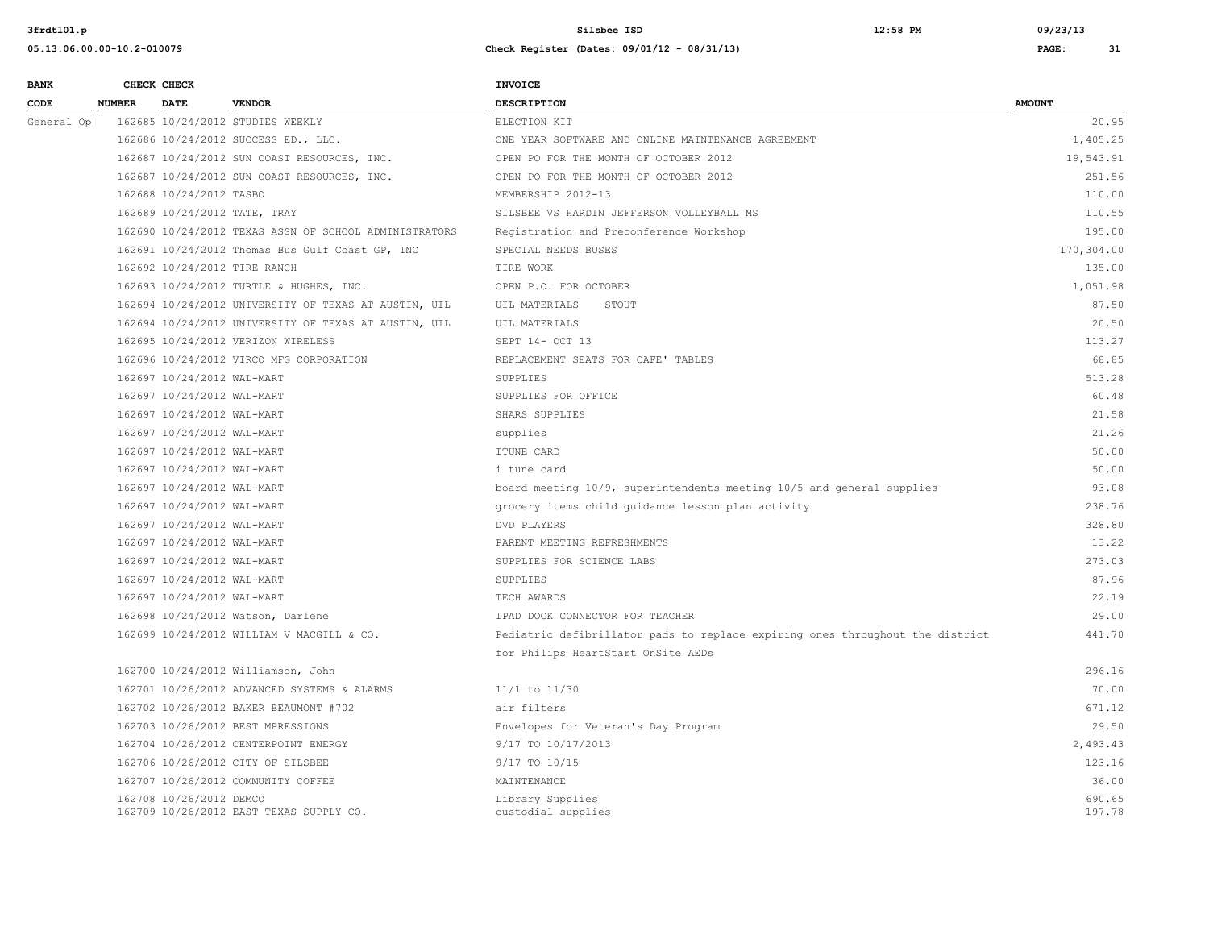**05.13.06.00.00-10.2-010079 Check Register (Dates: 09/01/12 - 08/31/13) PAGE: 31**

# **BANK** CHECK CHECK **CHECK CODE NUMBER DATE VENDOR DESCRIPTION AMOUNT**  General Op 162685 10/24/2012 STUDIES WEEKLY ELECTION KIT ELECTION KIT 20.95 162686 10/24/2012 SUCCESS ED., LLC. 162687 10/24/2012 SUN COAST RESOURCES, INC. 162687 10/24/2012 SUN COAST RESOURCES, INC. 162688 10/24/2012 TASBO 162689 10/24/2012 TATE, TRAY 162690 10/24/2012 TEXAS ASSN OF SCHOOL ADMINISTRATORS 162691 10/24/2012 Thomas Bus Gulf Coast GP, INC 162692 10/24/2012 TIRE RANCH 162693 10/24/2012 TURTLE & HUGHES, INC. 162694 10/24/2012 UNIVERSITY OF TEXAS AT AUSTIN, UIL 162694 10/24/2012 UNIVERSITY OF TEXAS AT AUSTIN, UIL

162700 10/24/2012 Williamson, John 162701 10/26/2012 ADVANCED SYSTEMS & ALARMS 162702 10/26/2012 BAKER BEAUMONT #702 162703 10/26/2012 BEST MPRESSIONS 162704 10/26/2012 CENTERPOINT ENERGY 162706 10/26/2012 CITY OF SILSBEE 9/17 TO 10/15 123.16 162707 10/26/2012 COMMUNITY COFFEE MAINTENANCE 36.00 162708 10/26/2012 DEMCO 690.65<br>162709 10/26/2012 EAST TEXAS SUPPLY CO. The custodial supplies custodial supplies 690.65 162709 10/26/2012 EAST TEXAS SUPPLY CO. custodial supplies 197.78

| General Op | T07082 T0/54/SOIS STODIES MEEKLY                      | ETECLION KIL                                                                  | 20.95      |
|------------|-------------------------------------------------------|-------------------------------------------------------------------------------|------------|
|            | 162686 10/24/2012 SUCCESS ED., LLC.                   | ONE YEAR SOFTWARE AND ONLINE MAINTENANCE AGREEMENT                            | 1,405.25   |
|            | 162687 10/24/2012 SUN COAST RESOURCES, INC.           | OPEN PO FOR THE MONTH OF OCTOBER 2012                                         | 19,543.91  |
|            | 162687 10/24/2012 SUN COAST RESOURCES, INC.           | OPEN PO FOR THE MONTH OF OCTOBER 2012                                         | 251.56     |
|            | 162688 10/24/2012 TASBO                               | MEMBERSHIP 2012-13                                                            | 110.00     |
|            | 162689 10/24/2012 TATE, TRAY                          | SILSBEE VS HARDIN JEFFERSON VOLLEYBALL MS                                     | 110.55     |
|            | 162690 10/24/2012 TEXAS ASSN OF SCHOOL ADMINISTRATORS | Registration and Preconference Workshop                                       | 195.00     |
|            | 162691 10/24/2012 Thomas Bus Gulf Coast GP, INC       | SPECIAL NEEDS BUSES                                                           | 170,304.00 |
|            | 162692 10/24/2012 TIRE RANCH                          | TIRE WORK                                                                     | 135.00     |
|            | 162693 10/24/2012 TURTLE & HUGHES, INC.               | OPEN P.O. FOR OCTOBER                                                         | 1,051.98   |
|            | 162694 10/24/2012 UNIVERSITY OF TEXAS AT AUSTIN, UIL  | UIL MATERIALS<br>STOUT                                                        | 87.50      |
|            | 162694 10/24/2012 UNIVERSITY OF TEXAS AT AUSTIN, UIL  | UIL MATERIALS                                                                 | 20.50      |
|            | 162695 10/24/2012 VERIZON WIRELESS                    | SEPT 14- OCT 13                                                               | 113.27     |
|            | 162696 10/24/2012 VIRCO MFG CORPORATION               | REPLACEMENT SEATS FOR CAFE' TABLES                                            | 68.85      |
|            | 162697 10/24/2012 WAL-MART                            | <b>SUPPLIES</b>                                                               | 513.28     |
|            | 162697 10/24/2012 WAL-MART                            | SUPPLIES FOR OFFICE                                                           | 60.48      |
|            | 162697 10/24/2012 WAL-MART                            | SHARS SUPPLIES                                                                | 21.58      |
|            | 162697 10/24/2012 WAL-MART                            | supplies                                                                      | 21.26      |
|            | 162697 10/24/2012 WAL-MART                            | ITUNE CARD                                                                    | 50.00      |
|            | 162697 10/24/2012 WAL-MART                            | i tune card                                                                   | 50.00      |
|            | 162697 10/24/2012 WAL-MART                            | board meeting 10/9, superintendents meeting 10/5 and general supplies         | 93.08      |
|            | 162697 10/24/2012 WAL-MART                            | grocery items child quidance lesson plan activity                             | 238.76     |
|            | 162697 10/24/2012 WAL-MART                            | DVD PLAYERS                                                                   | 328.80     |
|            | 162697 10/24/2012 WAL-MART                            | PARENT MEETING REFRESHMENTS                                                   | 13.22      |
|            | 162697 10/24/2012 WAL-MART                            | SUPPLIES FOR SCIENCE LABS                                                     | 273.03     |
|            | 162697 10/24/2012 WAL-MART                            | SUPPLIES                                                                      | 87.96      |
|            | 162697 10/24/2012 WAL-MART                            | TECH AWARDS                                                                   | 22.19      |
|            | 162698 10/24/2012 Watson, Darlene                     | IPAD DOCK CONNECTOR FOR TEACHER                                               | 29.00      |
|            | 162699 10/24/2012 WILLIAM V MACGILL & CO.             | Pediatric defibrillator pads to replace expiring ones throughout the district | 441.70     |
|            |                                                       | for Philips HeartStart OnSite AEDs                                            |            |
|            | 162700 10/24/2012 Williamson, John                    |                                                                               | 296.16     |
|            | 162701 10/26/2012 ADVANCED SYSTEMS & ALARMS           | $11/1$ to $11/30$                                                             | 70.00      |
|            | 162702 10/26/2012 BAKER BEAUMONT #702                 | air filters                                                                   | 671.12     |
|            | 162703 10/26/2012 BEST MPRESSIONS                     | Envelopes for Veteran's Day Program                                           | 29.50      |
|            | 162704 10/26/2012 CENTERPOINT ENERGY                  | 9/17 TO 10/17/2013                                                            | 2,493.43   |
|            |                                                       |                                                                               |            |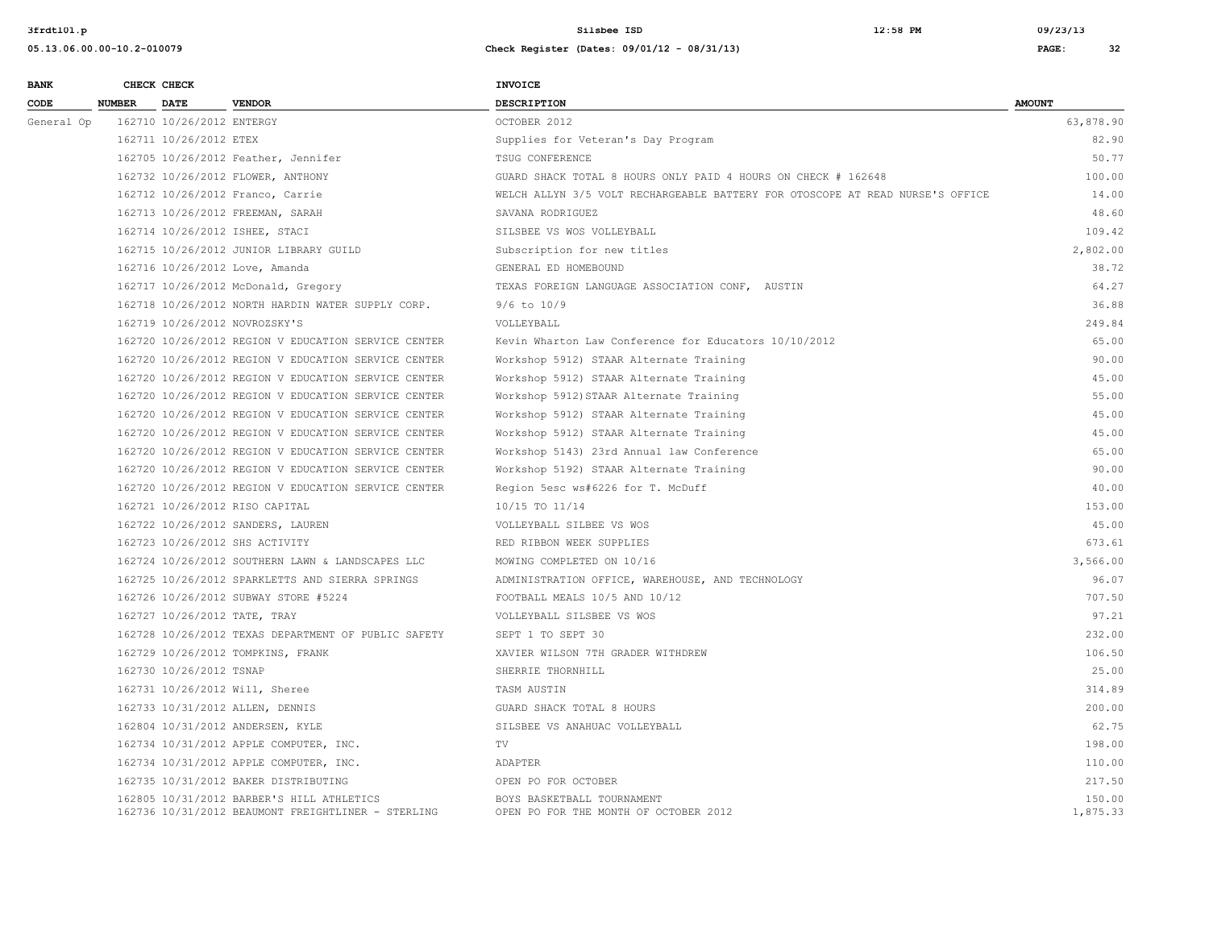| <b>BANK</b> |               | CHECK CHECK               |                                                                                                 | <b>INVOICE</b>                                                                |                    |
|-------------|---------------|---------------------------|-------------------------------------------------------------------------------------------------|-------------------------------------------------------------------------------|--------------------|
| CODE        | <b>NUMBER</b> | <b>DATE</b>               | <b>VENDOR</b>                                                                                   | <b>DESCRIPTION</b>                                                            | <b>AMOUNT</b>      |
| General Op  |               | 162710 10/26/2012 ENTERGY |                                                                                                 | OCTOBER 2012                                                                  | 63,878.90          |
|             |               | 162711 10/26/2012 ETEX    |                                                                                                 | Supplies for Veteran's Day Program                                            | 82.90              |
|             |               |                           | 162705 10/26/2012 Feather, Jennifer                                                             | TSUG CONFERENCE                                                               | 50.77              |
|             |               |                           | 162732 10/26/2012 FLOWER, ANTHONY                                                               | GUARD SHACK TOTAL 8 HOURS ONLY PAID 4 HOURS ON CHECK # 162648                 | 100.00             |
|             |               |                           | 162712 10/26/2012 Franco, Carrie                                                                | WELCH ALLYN 3/5 VOLT RECHARGEABLE BATTERY FOR OTOSCOPE AT READ NURSE'S OFFICE | 14.00              |
|             |               |                           | 162713 10/26/2012 FREEMAN, SARAH                                                                | SAVANA RODRIGUEZ                                                              | 48.60              |
|             |               |                           | 162714 10/26/2012 ISHEE, STACI                                                                  | SILSBEE VS WOS VOLLEYBALL                                                     | 109.42             |
|             |               |                           | 162715 10/26/2012 JUNIOR LIBRARY GUILD                                                          | Subscription for new titles                                                   | 2,802.00           |
|             |               |                           | 162716 10/26/2012 Love, Amanda                                                                  | GENERAL ED HOMEBOUND                                                          | 38.72              |
|             |               |                           | 162717 10/26/2012 McDonald, Gregory                                                             | TEXAS FOREIGN LANGUAGE ASSOCIATION CONF, AUSTIN                               | 64.27              |
|             |               |                           | 162718 10/26/2012 NORTH HARDIN WATER SUPPLY CORP.                                               | $9/6$ to $10/9$                                                               | 36.88              |
|             |               |                           | 162719 10/26/2012 NOVROZSKY'S                                                                   | VOLLEYBALL                                                                    | 249.84             |
|             |               |                           | 162720 10/26/2012 REGION V EDUCATION SERVICE CENTER                                             | Kevin Wharton Law Conference for Educators 10/10/2012                         | 65.00              |
|             |               |                           | 162720 10/26/2012 REGION V EDUCATION SERVICE CENTER                                             | Workshop 5912) STAAR Alternate Training                                       | 90.00              |
|             |               |                           | 162720 10/26/2012 REGION V EDUCATION SERVICE CENTER                                             | Workshop 5912) STAAR Alternate Training                                       | 45.00              |
|             |               |                           | 162720 10/26/2012 REGION V EDUCATION SERVICE CENTER                                             | Workshop 5912) STAAR Alternate Training                                       | 55.00              |
|             |               |                           | 162720 10/26/2012 REGION V EDUCATION SERVICE CENTER                                             | Workshop 5912) STAAR Alternate Training                                       | 45.00              |
|             |               |                           | 162720 10/26/2012 REGION V EDUCATION SERVICE CENTER                                             | Workshop 5912) STAAR Alternate Training                                       | 45.00              |
|             |               |                           | 162720 10/26/2012 REGION V EDUCATION SERVICE CENTER                                             | Workshop 5143) 23rd Annual law Conference                                     | 65.00              |
|             |               |                           | 162720 10/26/2012 REGION V EDUCATION SERVICE CENTER                                             | Workshop 5192) STAAR Alternate Training                                       | 90.00              |
|             |               |                           | 162720 10/26/2012 REGION V EDUCATION SERVICE CENTER                                             | Region 5esc ws#6226 for T. McDuff                                             | 40.00              |
|             |               |                           | 162721 10/26/2012 RISO CAPITAL                                                                  | 10/15 TO 11/14                                                                | 153.00             |
|             |               |                           | 162722 10/26/2012 SANDERS, LAUREN                                                               | VOLLEYBALL SILBEE VS WOS                                                      | 45.00              |
|             |               |                           | 162723 10/26/2012 SHS ACTIVITY                                                                  | RED RIBBON WEEK SUPPLIES                                                      | 673.61             |
|             |               |                           | 162724 10/26/2012 SOUTHERN LAWN & LANDSCAPES LLC                                                | MOWING COMPLETED ON 10/16                                                     | 3,566.00           |
|             |               |                           | 162725 10/26/2012 SPARKLETTS AND SIERRA SPRINGS                                                 | ADMINISTRATION OFFICE, WAREHOUSE, AND TECHNOLOGY                              | 96.07              |
|             |               |                           | 162726 10/26/2012 SUBWAY STORE #5224                                                            | FOOTBALL MEALS 10/5 AND 10/12                                                 | 707.50             |
|             |               |                           | 162727 10/26/2012 TATE, TRAY                                                                    | VOLLEYBALL SILSBEE VS WOS                                                     | 97.21              |
|             |               |                           | 162728 10/26/2012 TEXAS DEPARTMENT OF PUBLIC SAFETY                                             | SEPT 1 TO SEPT 30                                                             | 232.00             |
|             |               |                           | 162729 10/26/2012 TOMPKINS, FRANK                                                               | XAVIER WILSON 7TH GRADER WITHDREW                                             | 106.50             |
|             |               | 162730 10/26/2012 TSNAP   |                                                                                                 | SHERRIE THORNHILL                                                             | 25.00              |
|             |               |                           | 162731 10/26/2012 Will, Sheree                                                                  | TASM AUSTIN                                                                   | 314.89             |
|             |               |                           | 162733 10/31/2012 ALLEN, DENNIS                                                                 | GUARD SHACK TOTAL 8 HOURS                                                     | 200.00             |
|             |               |                           | 162804 10/31/2012 ANDERSEN, KYLE                                                                | SILSBEE VS ANAHUAC VOLLEYBALL                                                 | 62.75              |
|             |               |                           | 162734 10/31/2012 APPLE COMPUTER, INC.                                                          | TV                                                                            | 198.00             |
|             |               |                           | 162734 10/31/2012 APPLE COMPUTER, INC.                                                          | ADAPTER                                                                       | 110.00             |
|             |               |                           | 162735 10/31/2012 BAKER DISTRIBUTING                                                            | OPEN PO FOR OCTOBER                                                           | 217.50             |
|             |               |                           | 162805 10/31/2012 BARBER'S HILL ATHLETICS<br>162736 10/31/2012 BEAUMONT FREIGHTLINER - STERLING | BOYS BASKETBALL TOURNAMENT<br>OPEN PO FOR THE MONTH OF OCTOBER 2012           | 150.00<br>1,875.33 |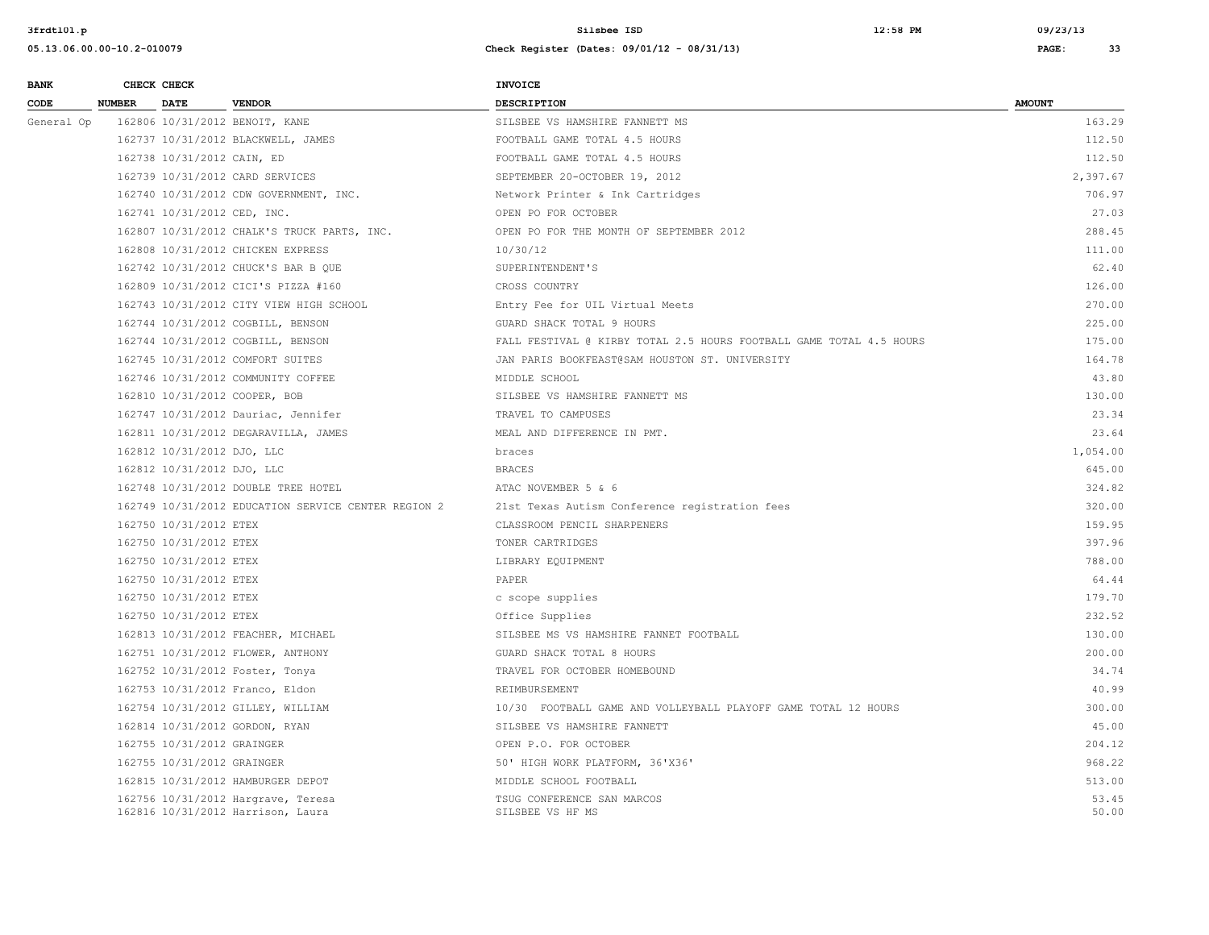| <b>BANK</b> |               | CHECK CHECK                 |                                                                         | <b>INVOICE</b>                                                      |                |
|-------------|---------------|-----------------------------|-------------------------------------------------------------------------|---------------------------------------------------------------------|----------------|
| CODE        | <b>NUMBER</b> | <b>DATE</b>                 | <b>VENDOR</b>                                                           | DESCRIPTION                                                         | <b>AMOUNT</b>  |
| General Op  |               |                             | 162806 10/31/2012 BENOIT, KANE                                          | SILSBEE VS HAMSHIRE FANNETT MS                                      | 163.29         |
|             |               |                             | 162737 10/31/2012 BLACKWELL, JAMES                                      | FOOTBALL GAME TOTAL 4.5 HOURS                                       | 112.50         |
|             |               | 162738 10/31/2012 CAIN, ED  |                                                                         | FOOTBALL GAME TOTAL 4.5 HOURS                                       | 112.50         |
|             |               |                             | 162739 10/31/2012 CARD SERVICES                                         | SEPTEMBER 20-OCTOBER 19, 2012                                       | 2,397.67       |
|             |               |                             | 162740 10/31/2012 CDW GOVERNMENT, INC.                                  | Network Printer & Ink Cartridges                                    | 706.97         |
|             |               | 162741 10/31/2012 CED, INC. |                                                                         | OPEN PO FOR OCTOBER                                                 | 27.03          |
|             |               |                             | 162807 10/31/2012 CHALK'S TRUCK PARTS, INC.                             | OPEN PO FOR THE MONTH OF SEPTEMBER 2012                             | 288.45         |
|             |               |                             | 162808 10/31/2012 CHICKEN EXPRESS                                       | 10/30/12                                                            | 111.00         |
|             |               |                             | 162742 10/31/2012 CHUCK'S BAR B OUE                                     | SUPERINTENDENT'S                                                    | 62.40          |
|             |               |                             | 162809 10/31/2012 CICI'S PIZZA #160                                     | CROSS COUNTRY                                                       | 126.00         |
|             |               |                             | 162743 10/31/2012 CITY VIEW HIGH SCHOOL                                 | Entry Fee for UIL Virtual Meets                                     | 270.00         |
|             |               |                             | 162744 10/31/2012 COGBILL, BENSON                                       | GUARD SHACK TOTAL 9 HOURS                                           | 225.00         |
|             |               |                             | 162744 10/31/2012 COGBILL, BENSON                                       | FALL FESTIVAL @ KIRBY TOTAL 2.5 HOURS FOOTBALL GAME TOTAL 4.5 HOURS | 175.00         |
|             |               |                             | 162745 10/31/2012 COMFORT SUITES                                        | JAN PARIS BOOKFEAST@SAM HOUSTON ST. UNIVERSITY                      | 164.78         |
|             |               |                             | 162746 10/31/2012 COMMUNITY COFFEE                                      | MIDDLE SCHOOL                                                       | 43.80          |
|             |               |                             | 162810 10/31/2012 COOPER, BOB                                           | SILSBEE VS HAMSHIRE FANNETT MS                                      | 130.00         |
|             |               |                             | 162747 10/31/2012 Dauriac, Jennifer                                     | TRAVEL TO CAMPUSES                                                  | 23.34          |
|             |               |                             | 162811 10/31/2012 DEGARAVILLA, JAMES                                    | MEAL AND DIFFERENCE IN PMT.                                         | 23.64          |
|             |               | 162812 10/31/2012 DJO, LLC  |                                                                         | braces                                                              | 1,054.00       |
|             |               | 162812 10/31/2012 DJO, LLC  |                                                                         | <b>BRACES</b>                                                       | 645.00         |
|             |               |                             | 162748 10/31/2012 DOUBLE TREE HOTEL                                     | ATAC NOVEMBER 5 & 6                                                 | 324.82         |
|             |               |                             | 162749 10/31/2012 EDUCATION SERVICE CENTER REGION 2                     | 21st Texas Autism Conference registration fees                      | 320.00         |
|             |               | 162750 10/31/2012 ETEX      |                                                                         | CLASSROOM PENCIL SHARPENERS                                         | 159.95         |
|             |               | 162750 10/31/2012 ETEX      |                                                                         | TONER CARTRIDGES                                                    | 397.96         |
|             |               | 162750 10/31/2012 ETEX      |                                                                         | LIBRARY EQUIPMENT                                                   | 788.00         |
|             |               | 162750 10/31/2012 ETEX      |                                                                         | PAPER                                                               | 64.44          |
|             |               | 162750 10/31/2012 ETEX      |                                                                         | c scope supplies                                                    | 179.70         |
|             |               | 162750 10/31/2012 ETEX      |                                                                         | Office Supplies                                                     | 232.52         |
|             |               |                             | 162813 10/31/2012 FEACHER, MICHAEL                                      | SILSBEE MS VS HAMSHIRE FANNET FOOTBALL                              | 130.00         |
|             |               |                             | 162751 10/31/2012 FLOWER, ANTHONY                                       | GUARD SHACK TOTAL 8 HOURS                                           | 200.00         |
|             |               |                             | 162752 10/31/2012 Foster, Tonya                                         | TRAVEL FOR OCTOBER HOMEBOUND                                        | 34.74          |
|             |               |                             | 162753 10/31/2012 Franco, Eldon                                         | REIMBURSEMENT                                                       | 40.99          |
|             |               |                             | 162754 10/31/2012 GILLEY, WILLIAM                                       | 10/30 FOOTBALL GAME AND VOLLEYBALL PLAYOFF GAME TOTAL 12 HOURS      | 300.00         |
|             |               |                             | 162814 10/31/2012 GORDON, RYAN                                          | SILSBEE VS HAMSHIRE FANNETT                                         | 45.00          |
|             |               | 162755 10/31/2012 GRAINGER  |                                                                         | OPEN P.O. FOR OCTOBER                                               | 204.12         |
|             |               | 162755 10/31/2012 GRAINGER  |                                                                         | 50' HIGH WORK PLATFORM, 36'X36'                                     | 968.22         |
|             |               |                             | 162815 10/31/2012 HAMBURGER DEPOT                                       | MIDDLE SCHOOL FOOTBALL                                              | 513.00         |
|             |               |                             | 162756 10/31/2012 Hargrave, Teresa<br>162816 10/31/2012 Harrison, Laura | TSUG CONFERENCE SAN MARCOS<br>SILSBEE VS HF MS                      | 53.45<br>50.00 |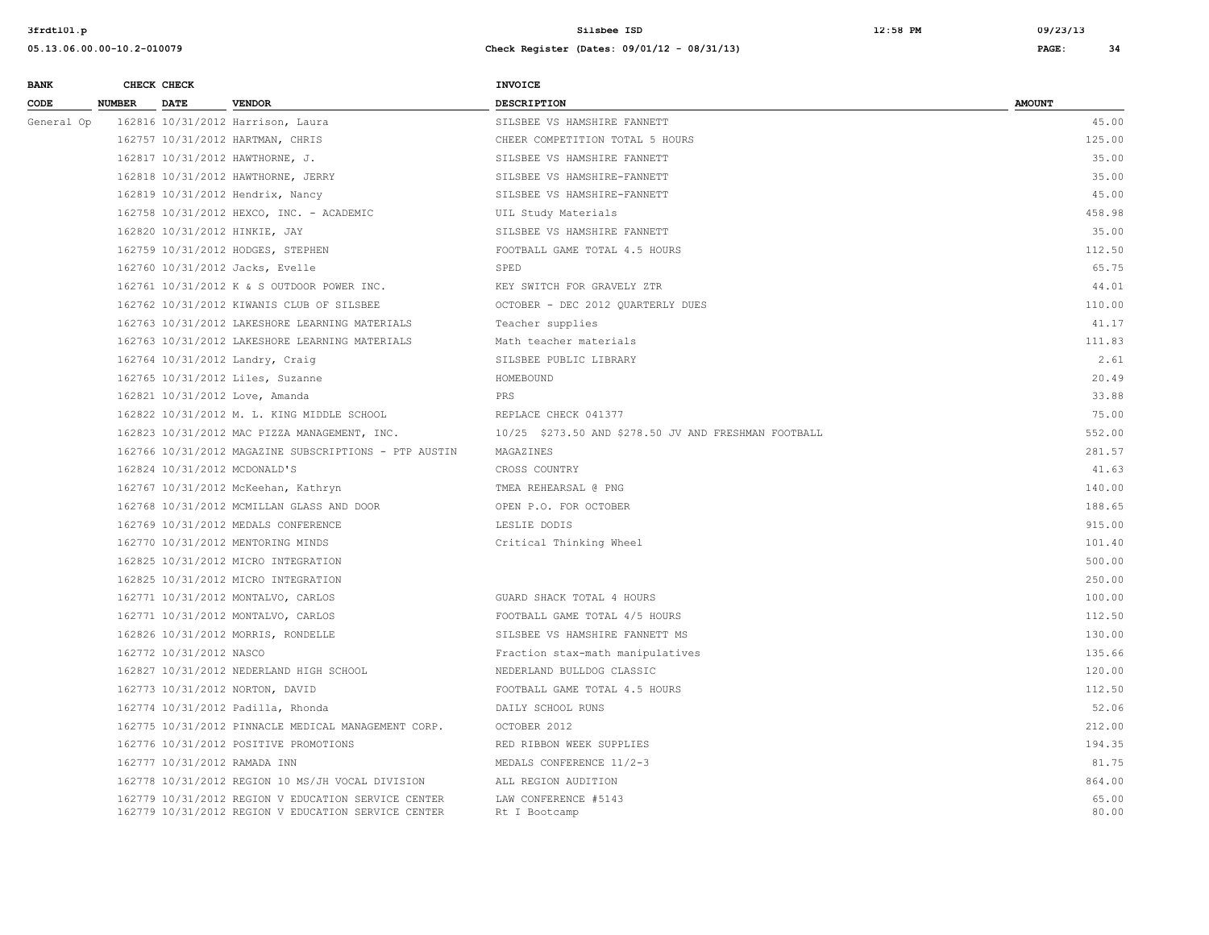| <b>BANK</b> |               | CHECK CHECK             |                                                                                                            | <b>INVOICE</b>                                       |                |
|-------------|---------------|-------------------------|------------------------------------------------------------------------------------------------------------|------------------------------------------------------|----------------|
| CODE        | <b>NUMBER</b> | <b>DATE</b>             | <b>VENDOR</b>                                                                                              | DESCRIPTION                                          | <b>AMOUNT</b>  |
| General Op  |               |                         | 162816 10/31/2012 Harrison, Laura                                                                          | SILSBEE VS HAMSHIRE FANNETT                          | 45.00          |
|             |               |                         | 162757 10/31/2012 HARTMAN, CHRIS                                                                           | CHEER COMPETITION TOTAL 5 HOURS                      | 125.00         |
|             |               |                         | 162817 10/31/2012 HAWTHORNE, J.                                                                            | SILSBEE VS HAMSHIRE FANNETT                          | 35.00          |
|             |               |                         | 162818 10/31/2012 HAWTHORNE, JERRY                                                                         | SILSBEE VS HAMSHIRE-FANNETT                          | 35.00          |
|             |               |                         | 162819 10/31/2012 Hendrix, Nancy                                                                           | SILSBEE VS HAMSHIRE-FANNETT                          | 45.00          |
|             |               |                         | 162758 10/31/2012 HEXCO, INC. - ACADEMIC                                                                   | UIL Study Materials                                  | 458.98         |
|             |               |                         | 162820 10/31/2012 HINKIE, JAY                                                                              | SILSBEE VS HAMSHIRE FANNETT                          | 35.00          |
|             |               |                         | 162759 10/31/2012 HODGES, STEPHEN                                                                          | FOOTBALL GAME TOTAL 4.5 HOURS                        | 112.50         |
|             |               |                         | 162760 10/31/2012 Jacks, Evelle                                                                            | SPED                                                 | 65.75          |
|             |               |                         | 162761 10/31/2012 K & S OUTDOOR POWER INC.                                                                 | KEY SWITCH FOR GRAVELY ZTR                           | 44.01          |
|             |               |                         | 162762 10/31/2012 KIWANIS CLUB OF SILSBEE                                                                  | OCTOBER - DEC 2012 QUARTERLY DUES                    | 110.00         |
|             |               |                         | 162763 10/31/2012 LAKESHORE LEARNING MATERIALS                                                             | Teacher supplies                                     | 41.17          |
|             |               |                         | 162763 10/31/2012 LAKESHORE LEARNING MATERIALS                                                             | Math teacher materials                               | 111.83         |
|             |               |                         | 162764 10/31/2012 Landry, Craig                                                                            | SILSBEE PUBLIC LIBRARY                               | 2.61           |
|             |               |                         | 162765 10/31/2012 Liles, Suzanne                                                                           | HOMEBOUND                                            | 20.49          |
|             |               |                         | 162821 10/31/2012 Love, Amanda                                                                             | PRS                                                  | 33.88          |
|             |               |                         | 162822 10/31/2012 M. L. KING MIDDLE SCHOOL                                                                 | REPLACE CHECK 041377                                 | 75.00          |
|             |               |                         | 162823 10/31/2012 MAC PIZZA MANAGEMENT, INC.                                                               | 10/25 \$273.50 AND \$278.50 JV AND FRESHMAN FOOTBALL | 552.00         |
|             |               |                         | 162766 10/31/2012 MAGAZINE SUBSCRIPTIONS - PTP AUSTIN                                                      | MAGAZINES                                            | 281.57         |
|             |               |                         | 162824 10/31/2012 MCDONALD'S                                                                               | CROSS COUNTRY                                        | 41.63          |
|             |               |                         | 162767 10/31/2012 McKeehan, Kathryn                                                                        | TMEA REHEARSAL @ PNG                                 | 140.00         |
|             |               |                         | 162768 10/31/2012 MCMILLAN GLASS AND DOOR                                                                  | OPEN P.O. FOR OCTOBER                                | 188.65         |
|             |               |                         | 162769 10/31/2012 MEDALS CONFERENCE                                                                        | LESLIE DODIS                                         | 915.00         |
|             |               |                         | 162770 10/31/2012 MENTORING MINDS                                                                          | Critical Thinking Wheel                              | 101.40         |
|             |               |                         | 162825 10/31/2012 MICRO INTEGRATION                                                                        |                                                      | 500.00         |
|             |               |                         | 162825 10/31/2012 MICRO INTEGRATION                                                                        |                                                      | 250.00         |
|             |               |                         | 162771 10/31/2012 MONTALVO, CARLOS                                                                         | GUARD SHACK TOTAL 4 HOURS                            | 100.00         |
|             |               |                         | 162771 10/31/2012 MONTALVO, CARLOS                                                                         | FOOTBALL GAME TOTAL 4/5 HOURS                        | 112.50         |
|             |               |                         | 162826 10/31/2012 MORRIS, RONDELLE                                                                         | SILSBEE VS HAMSHIRE FANNETT MS                       | 130.00         |
|             |               | 162772 10/31/2012 NASCO |                                                                                                            | Fraction stax-math manipulatives                     | 135.66         |
|             |               |                         | 162827 10/31/2012 NEDERLAND HIGH SCHOOL                                                                    | NEDERLAND BULLDOG CLASSIC                            | 120.00         |
|             |               |                         | 162773 10/31/2012 NORTON, DAVID                                                                            | FOOTBALL GAME TOTAL 4.5 HOURS                        | 112.50         |
|             |               |                         | 162774 10/31/2012 Padilla, Rhonda                                                                          | DAILY SCHOOL RUNS                                    | 52.06          |
|             |               |                         | 162775 10/31/2012 PINNACLE MEDICAL MANAGEMENT CORP.                                                        | OCTOBER 2012                                         | 212.00         |
|             |               |                         | 162776 10/31/2012 POSITIVE PROMOTIONS                                                                      | RED RIBBON WEEK SUPPLIES                             | 194.35         |
|             |               |                         | 162777 10/31/2012 RAMADA INN                                                                               | MEDALS CONFERENCE 11/2-3                             | 81.75          |
|             |               |                         | 162778 10/31/2012 REGION 10 MS/JH VOCAL DIVISION                                                           | ALL REGION AUDITION                                  | 864.00         |
|             |               |                         | 162779 10/31/2012 REGION V EDUCATION SERVICE CENTER<br>162779 10/31/2012 REGION V EDUCATION SERVICE CENTER | LAW CONFERENCE #5143<br>Rt I Bootcamp                | 65.00<br>80.00 |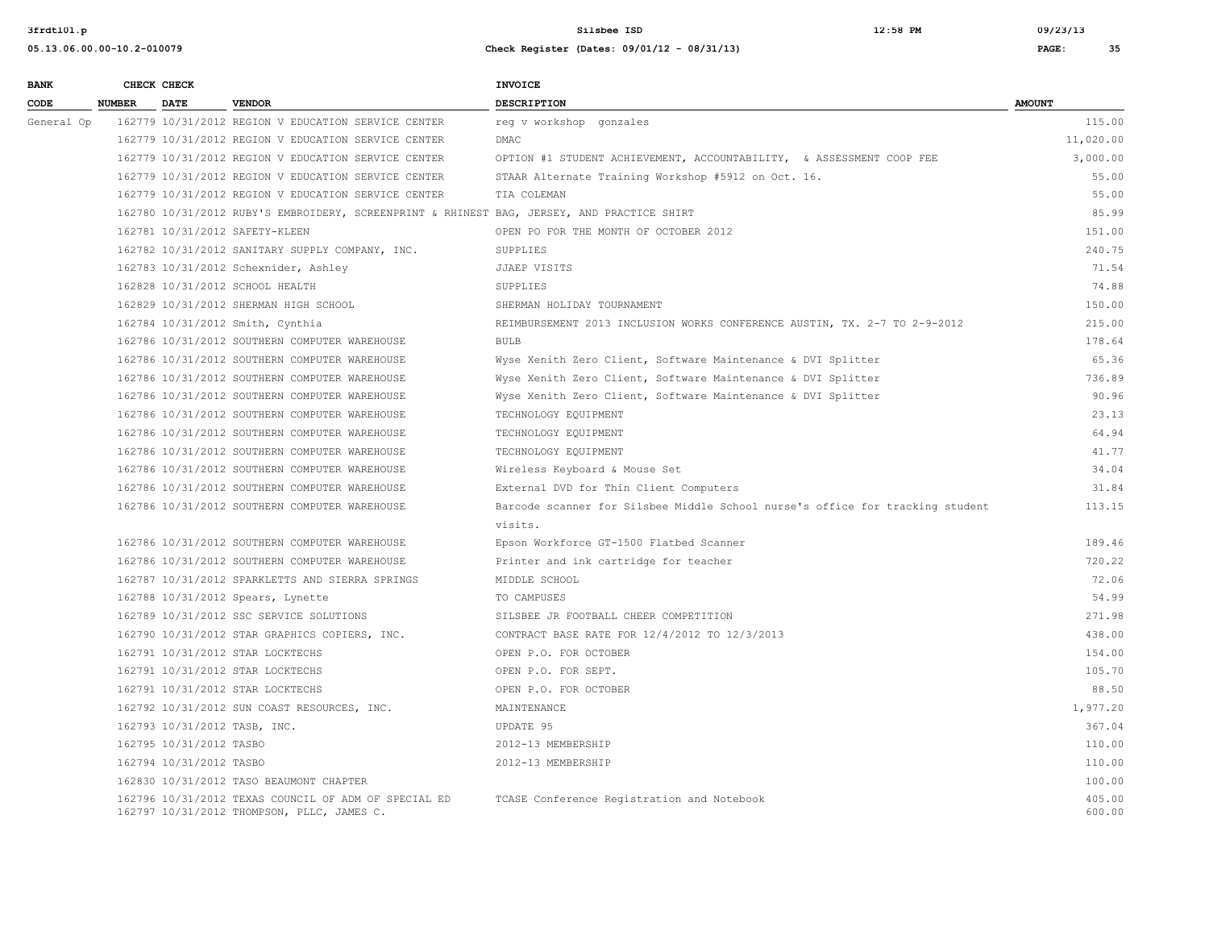| <b>BANK</b> |               | CHECK CHECK             |                                                                                                    | <b>INVOICE</b>                                                                |                  |
|-------------|---------------|-------------------------|----------------------------------------------------------------------------------------------------|-------------------------------------------------------------------------------|------------------|
| CODE        | <b>NUMBER</b> | <b>DATE</b>             | <b>VENDOR</b>                                                                                      | <b>DESCRIPTION</b>                                                            | <b>AMOUNT</b>    |
| General Op  |               |                         | 162779 10/31/2012 REGION V EDUCATION SERVICE CENTER                                                | reg v workshop gonzales                                                       | 115.00           |
|             |               |                         | 162779 10/31/2012 REGION V EDUCATION SERVICE CENTER                                                | DMAC                                                                          | 11,020.00        |
|             |               |                         | 162779 10/31/2012 REGION V EDUCATION SERVICE CENTER                                                | OPTION #1 STUDENT ACHIEVEMENT, ACCOUNTABILITY, & ASSESSMENT COOP FEE          | 3,000.00         |
|             |               |                         | 162779 10/31/2012 REGION V EDUCATION SERVICE CENTER                                                | STAAR Alternate Training Workshop #5912 on Oct. 16.                           | 55.00            |
|             |               |                         | 162779 10/31/2012 REGION V EDUCATION SERVICE CENTER                                                | TIA COLEMAN                                                                   | 55.00            |
|             |               |                         | 162780 10/31/2012 RUBY'S EMBROIDERY, SCREENPRINT & RHINEST BAG, JERSEY, AND PRACTICE SHIRT         |                                                                               | 85.99            |
|             |               |                         | 162781 10/31/2012 SAFETY-KLEEN                                                                     | OPEN PO FOR THE MONTH OF OCTOBER 2012                                         | 151.00           |
|             |               |                         | 162782 10/31/2012 SANITARY SUPPLY COMPANY, INC.                                                    | SUPPLIES                                                                      | 240.75           |
|             |               |                         | 162783 10/31/2012 Schexnider, Ashley                                                               | JJAEP VISITS                                                                  | 71.54            |
|             |               |                         | 162828 10/31/2012 SCHOOL HEALTH                                                                    | SUPPLIES                                                                      | 74.88            |
|             |               |                         | 162829 10/31/2012 SHERMAN HIGH SCHOOL                                                              | SHERMAN HOLIDAY TOURNAMENT                                                    | 150.00           |
|             |               |                         | 162784 10/31/2012 Smith, Cynthia                                                                   | REIMBURSEMENT 2013 INCLUSION WORKS CONFERENCE AUSTIN, TX. 2-7 TO 2-9-2012     | 215.00           |
|             |               |                         | 162786 10/31/2012 SOUTHERN COMPUTER WAREHOUSE                                                      | <b>BULB</b>                                                                   | 178.64           |
|             |               |                         | 162786 10/31/2012 SOUTHERN COMPUTER WAREHOUSE                                                      | Wyse Xenith Zero Client, Software Maintenance & DVI Splitter                  | 65.36            |
|             |               |                         | 162786 10/31/2012 SOUTHERN COMPUTER WAREHOUSE                                                      | Wyse Xenith Zero Client, Software Maintenance & DVI Splitter                  | 736.89           |
|             |               |                         | 162786 10/31/2012 SOUTHERN COMPUTER WAREHOUSE                                                      | Wyse Xenith Zero Client, Software Maintenance & DVI Splitter                  | 90.96            |
|             |               |                         | 162786 10/31/2012 SOUTHERN COMPUTER WAREHOUSE                                                      | TECHNOLOGY EQUIPMENT                                                          | 23.13            |
|             |               |                         | 162786 10/31/2012 SOUTHERN COMPUTER WAREHOUSE                                                      | TECHNOLOGY EQUIPMENT                                                          | 64.94            |
|             |               |                         | 162786 10/31/2012 SOUTHERN COMPUTER WAREHOUSE                                                      | TECHNOLOGY EQUIPMENT                                                          | 41.77            |
|             |               |                         | 162786 10/31/2012 SOUTHERN COMPUTER WAREHOUSE                                                      | Wireless Keyboard & Mouse Set                                                 | 34.04            |
|             |               |                         | 162786 10/31/2012 SOUTHERN COMPUTER WAREHOUSE                                                      | External DVD for Thin Client Computers                                        | 31.84            |
|             |               |                         | 162786 10/31/2012 SOUTHERN COMPUTER WAREHOUSE                                                      | Barcode scanner for Silsbee Middle School nurse's office for tracking student | 113.15           |
|             |               |                         |                                                                                                    | visits.                                                                       |                  |
|             |               |                         | 162786 10/31/2012 SOUTHERN COMPUTER WAREHOUSE                                                      | Epson Workforce GT-1500 Flatbed Scanner                                       | 189.46           |
|             |               |                         | 162786 10/31/2012 SOUTHERN COMPUTER WAREHOUSE                                                      | Printer and ink cartridge for teacher                                         | 720.22           |
|             |               |                         | 162787 10/31/2012 SPARKLETTS AND SIERRA SPRINGS                                                    | MIDDLE SCHOOL                                                                 | 72.06            |
|             |               |                         | 162788 10/31/2012 Spears, Lynette                                                                  | TO CAMPUSES                                                                   | 54.99            |
|             |               |                         | 162789 10/31/2012 SSC SERVICE SOLUTIONS                                                            | SILSBEE JR FOOTBALL CHEER COMPETITION                                         | 271.98           |
|             |               |                         | 162790 10/31/2012 STAR GRAPHICS COPIERS, INC.                                                      | CONTRACT BASE RATE FOR 12/4/2012 TO 12/3/2013                                 | 438.00           |
|             |               |                         | 162791 10/31/2012 STAR LOCKTECHS                                                                   | OPEN P.O. FOR OCTOBER                                                         | 154.00           |
|             |               |                         | 162791 10/31/2012 STAR LOCKTECHS                                                                   | OPEN P.O. FOR SEPT.                                                           | 105.70           |
|             |               |                         | 162791 10/31/2012 STAR LOCKTECHS                                                                   | OPEN P.O. FOR OCTOBER                                                         | 88.50            |
|             |               |                         | 162792 10/31/2012 SUN COAST RESOURCES, INC.                                                        | MAINTENANCE                                                                   | 1,977.20         |
|             |               |                         | 162793 10/31/2012 TASB, INC.                                                                       | UPDATE 95                                                                     | 367.04           |
|             |               | 162795 10/31/2012 TASBO |                                                                                                    | 2012-13 MEMBERSHIP                                                            | 110.00           |
|             |               | 162794 10/31/2012 TASBO |                                                                                                    | 2012-13 MEMBERSHIP                                                            | 110.00           |
|             |               |                         | 162830 10/31/2012 TASO BEAUMONT CHAPTER                                                            |                                                                               | 100.00           |
|             |               |                         | 162796 10/31/2012 TEXAS COUNCIL OF ADM OF SPECIAL ED<br>162797 10/31/2012 THOMPSON, PLLC, JAMES C. | TCASE Conference Registration and Notebook                                    | 405.00<br>600.00 |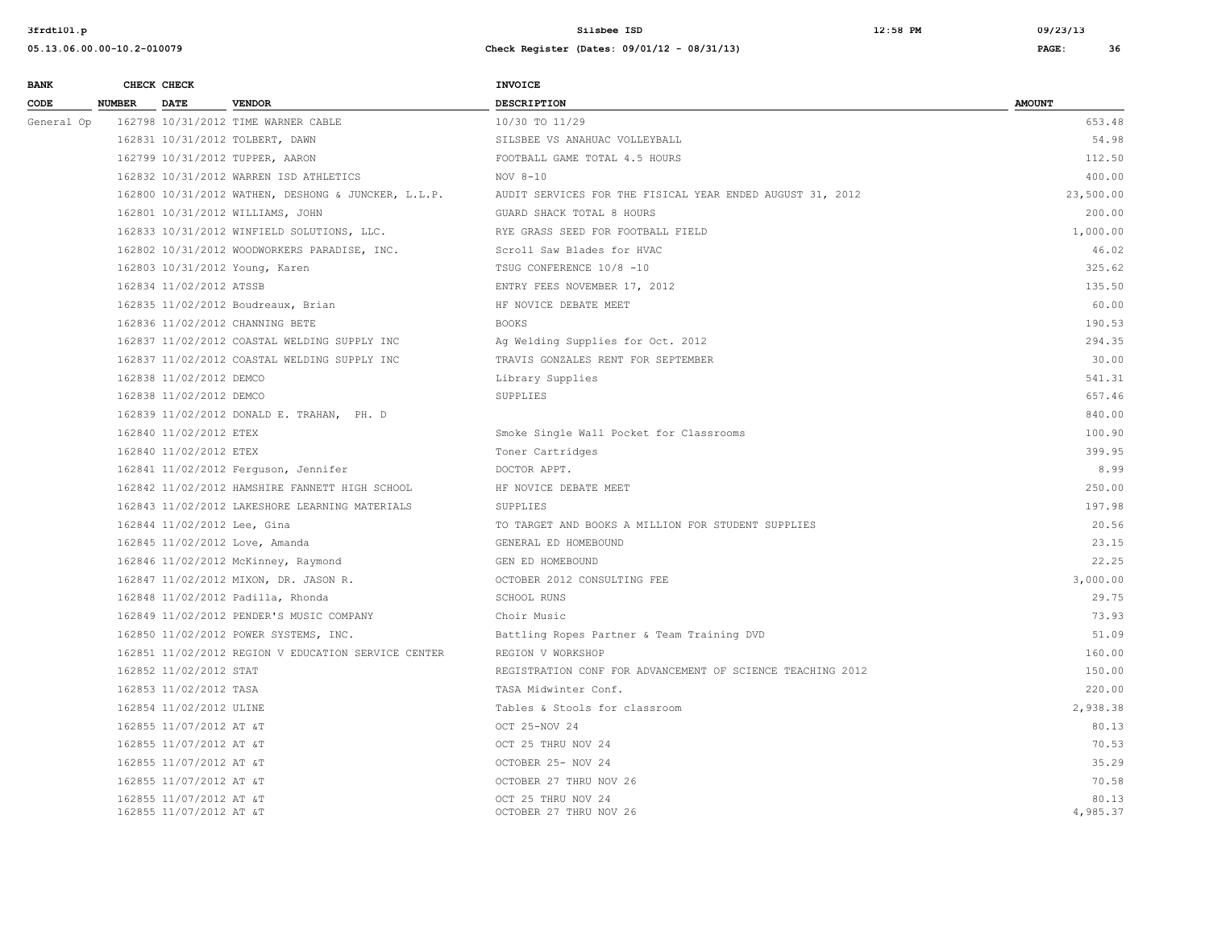| <b>BANK</b> |               | CHECK CHECK                                        |                                                     | <b>INVOICE</b>                                             |                   |
|-------------|---------------|----------------------------------------------------|-----------------------------------------------------|------------------------------------------------------------|-------------------|
| CODE        | <b>NUMBER</b> | <b>DATE</b>                                        | <b>VENDOR</b>                                       | <b>DESCRIPTION</b>                                         | <b>AMOUNT</b>     |
| General Op  |               |                                                    | 162798 10/31/2012 TIME WARNER CABLE                 | 10/30 TO 11/29                                             | 653.48            |
|             |               |                                                    | 162831 10/31/2012 TOLBERT, DAWN                     | SILSBEE VS ANAHUAC VOLLEYBALL                              | 54.98             |
|             |               |                                                    | 162799 10/31/2012 TUPPER, AARON                     | FOOTBALL GAME TOTAL 4.5 HOURS                              | 112.50            |
|             |               |                                                    | 162832 10/31/2012 WARREN ISD ATHLETICS              | NOV 8-10                                                   | 400.00            |
|             |               |                                                    | 162800 10/31/2012 WATHEN, DESHONG & JUNCKER, L.L.P. | AUDIT SERVICES FOR THE FISICAL YEAR ENDED AUGUST 31, 2012  | 23,500.00         |
|             |               |                                                    | 162801 10/31/2012 WILLIAMS, JOHN                    | GUARD SHACK TOTAL 8 HOURS                                  | 200.00            |
|             |               |                                                    | 162833 10/31/2012 WINFIELD SOLUTIONS, LLC.          | RYE GRASS SEED FOR FOOTBALL FIELD                          | 1,000.00          |
|             |               |                                                    | 162802 10/31/2012 WOODWORKERS PARADISE, INC.        | Scroll Saw Blades for HVAC                                 | 46.02             |
|             |               |                                                    | 162803 10/31/2012 Young, Karen                      | TSUG CONFERENCE 10/8 -10                                   | 325.62            |
|             |               | 162834 11/02/2012 ATSSB                            |                                                     | ENTRY FEES NOVEMBER 17, 2012                               | 135.50            |
|             |               |                                                    | 162835 11/02/2012 Boudreaux, Brian                  | HF NOVICE DEBATE MEET                                      | 60.00             |
|             |               |                                                    | 162836 11/02/2012 CHANNING BETE                     | <b>BOOKS</b>                                               | 190.53            |
|             |               |                                                    | 162837 11/02/2012 COASTAL WELDING SUPPLY INC        | Ag Welding Supplies for Oct. 2012                          | 294.35            |
|             |               |                                                    | 162837 11/02/2012 COASTAL WELDING SUPPLY INC        | TRAVIS GONZALES RENT FOR SEPTEMBER                         | 30.00             |
|             |               | 162838 11/02/2012 DEMCO                            |                                                     | Library Supplies                                           | 541.31            |
|             |               | 162838 11/02/2012 DEMCO                            |                                                     | SUPPLIES                                                   | 657.46            |
|             |               |                                                    | 162839 11/02/2012 DONALD E. TRAHAN, PH. D           |                                                            | 840.00            |
|             |               | 162840 11/02/2012 ETEX                             |                                                     | Smoke Single Wall Pocket for Classrooms                    | 100.90            |
|             |               | 162840 11/02/2012 ETEX                             |                                                     | Toner Cartridges                                           | 399.95            |
|             |               |                                                    | 162841 11/02/2012 Ferguson, Jennifer                | DOCTOR APPT.                                               | 8.99              |
|             |               |                                                    | 162842 11/02/2012 HAMSHIRE FANNETT HIGH SCHOOL      | HF NOVICE DEBATE MEET                                      | 250.00            |
|             |               |                                                    | 162843 11/02/2012 LAKESHORE LEARNING MATERIALS      | SUPPLIES                                                   | 197.98            |
|             |               | 162844 11/02/2012 Lee, Gina                        |                                                     | TO TARGET AND BOOKS A MILLION FOR STUDENT SUPPLIES         | 20.56             |
|             |               |                                                    | 162845 11/02/2012 Love, Amanda                      | GENERAL ED HOMEBOUND                                       | 23.15             |
|             |               |                                                    | 162846 11/02/2012 McKinney, Raymond                 | GEN ED HOMEBOUND                                           | 22.25             |
|             |               |                                                    | 162847 11/02/2012 MIXON, DR. JASON R.               | OCTOBER 2012 CONSULTING FEE                                | 3,000.00          |
|             |               |                                                    | 162848 11/02/2012 Padilla, Rhonda                   | SCHOOL RUNS                                                | 29.75             |
|             |               |                                                    | 162849 11/02/2012 PENDER'S MUSIC COMPANY            | Choir Music                                                | 73.93             |
|             |               |                                                    | 162850 11/02/2012 POWER SYSTEMS, INC.               | Battling Ropes Partner & Team Training DVD                 | 51.09             |
|             |               |                                                    | 162851 11/02/2012 REGION V EDUCATION SERVICE CENTER | REGION V WORKSHOP                                          | 160.00            |
|             |               | 162852 11/02/2012 STAT                             |                                                     | REGISTRATION CONF FOR ADVANCEMENT OF SCIENCE TEACHING 2012 | 150.00            |
|             |               | 162853 11/02/2012 TASA                             |                                                     | TASA Midwinter Conf.                                       | 220.00            |
|             |               | 162854 11/02/2012 ULINE                            |                                                     | Tables & Stools for classroom                              | 2,938.38          |
|             |               | 162855 11/07/2012 AT &T                            |                                                     | OCT 25-NOV 24                                              | 80.13             |
|             |               | 162855 11/07/2012 AT &T                            |                                                     | OCT 25 THRU NOV 24                                         | 70.53             |
|             |               | 162855 11/07/2012 AT &T                            |                                                     | OCTOBER 25- NOV 24                                         | 35.29             |
|             |               | 162855 11/07/2012 AT &T                            |                                                     | OCTOBER 27 THRU NOV 26                                     | 70.58             |
|             |               | 162855 11/07/2012 AT &T<br>162855 11/07/2012 AT &T |                                                     | OCT 25 THRU NOV 24<br>OCTOBER 27 THRU NOV 26               | 80.13<br>4,985.37 |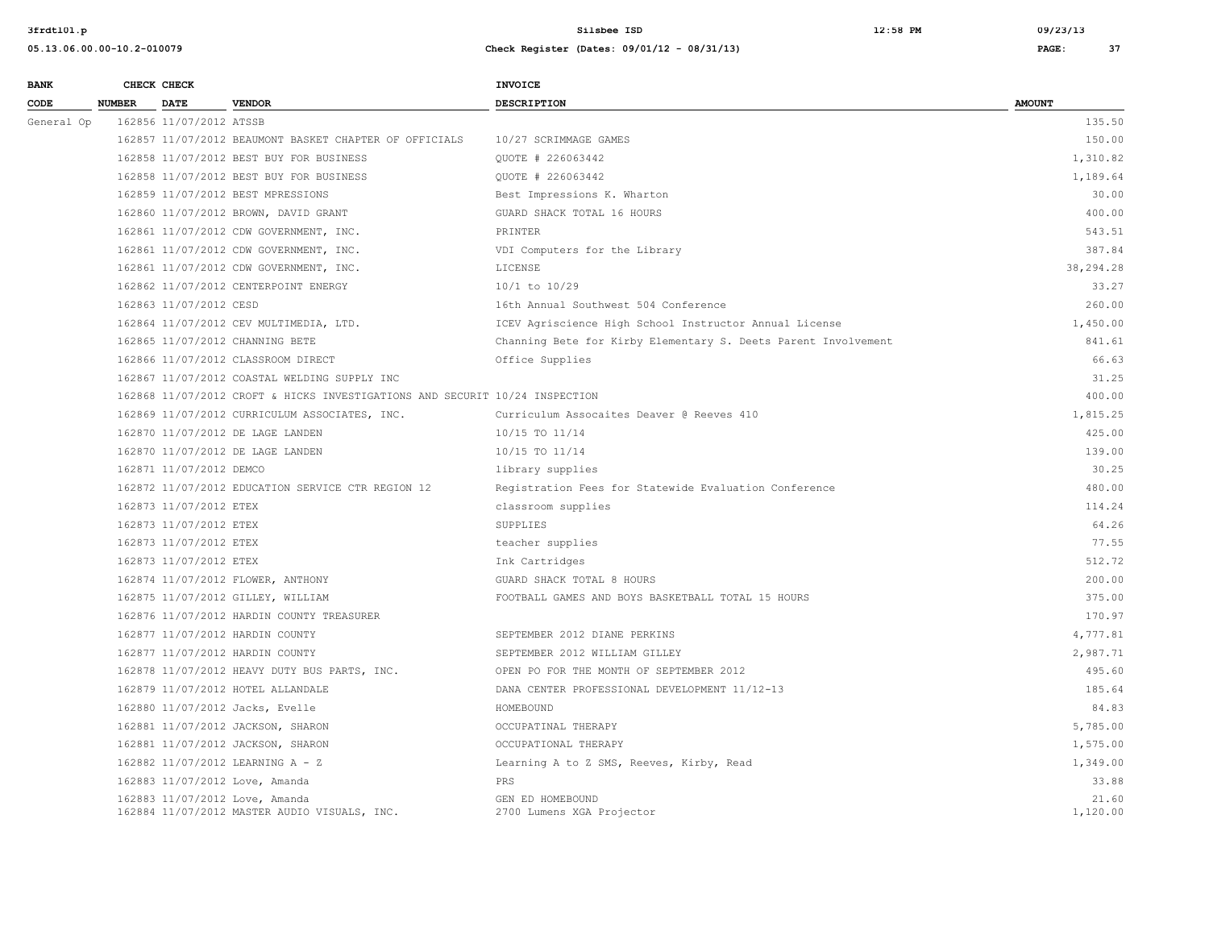| <b>BANK</b> |               | CHECK CHECK             |                                                                                | <b>INVOICE</b>                                                 |                   |
|-------------|---------------|-------------------------|--------------------------------------------------------------------------------|----------------------------------------------------------------|-------------------|
| CODE        | <b>NUMBER</b> | <b>DATE</b>             | <b>VENDOR</b>                                                                  | <b>DESCRIPTION</b>                                             | <b>AMOUNT</b>     |
| General Op  |               | 162856 11/07/2012 ATSSB |                                                                                |                                                                | 135.50            |
|             |               |                         | 162857 11/07/2012 BEAUMONT BASKET CHAPTER OF OFFICIALS                         | 10/27 SCRIMMAGE GAMES                                          | 150.00            |
|             |               |                         | 162858 11/07/2012 BEST BUY FOR BUSINESS                                        | OUOTE # 226063442                                              | 1,310.82          |
|             |               |                         | 162858 11/07/2012 BEST BUY FOR BUSINESS                                        | QUOTE # 226063442                                              | 1,189.64          |
|             |               |                         | 162859 11/07/2012 BEST MPRESSIONS                                              | Best Impressions K. Wharton                                    | 30.00             |
|             |               |                         | 162860 11/07/2012 BROWN, DAVID GRANT                                           | GUARD SHACK TOTAL 16 HOURS                                     | 400.00            |
|             |               |                         | 162861 11/07/2012 CDW GOVERNMENT, INC.                                         | PRINTER                                                        | 543.51            |
|             |               |                         | 162861 11/07/2012 CDW GOVERNMENT, INC.                                         | VDI Computers for the Library                                  | 387.84            |
|             |               |                         | 162861 11/07/2012 CDW GOVERNMENT, INC.                                         | LICENSE                                                        | 38,294.28         |
|             |               |                         | 162862 11/07/2012 CENTERPOINT ENERGY                                           | $10/1$ to $10/29$                                              | 33.27             |
|             |               | 162863 11/07/2012 CESD  |                                                                                | 16th Annual Southwest 504 Conference                           | 260.00            |
|             |               |                         | 162864 11/07/2012 CEV MULTIMEDIA, LTD.                                         | ICEV Agriscience High School Instructor Annual License         | 1,450.00          |
|             |               |                         | 162865 11/07/2012 CHANNING BETE                                                | Channing Bete for Kirby Elementary S. Deets Parent Involvement | 841.61            |
|             |               |                         | 162866 11/07/2012 CLASSROOM DIRECT                                             | Office Supplies                                                | 66.63             |
|             |               |                         | 162867 11/07/2012 COASTAL WELDING SUPPLY INC                                   |                                                                | 31.25             |
|             |               |                         | 162868 11/07/2012 CROFT & HICKS INVESTIGATIONS AND SECURIT 10/24 INSPECTION    |                                                                | 400.00            |
|             |               |                         | 162869 11/07/2012 CURRICULUM ASSOCIATES, INC.                                  | Curriculum Assocaites Deaver @ Reeves 410                      | 1,815.25          |
|             |               |                         | 162870 11/07/2012 DE LAGE LANDEN                                               | 10/15 TO 11/14                                                 | 425.00            |
|             |               |                         | 162870 11/07/2012 DE LAGE LANDEN                                               | 10/15 TO 11/14                                                 | 139.00            |
|             |               | 162871 11/07/2012 DEMCO |                                                                                | library supplies                                               | 30.25             |
|             |               |                         | 162872 11/07/2012 EDUCATION SERVICE CTR REGION 12                              | Registration Fees for Statewide Evaluation Conference          | 480.00            |
|             |               | 162873 11/07/2012 ETEX  |                                                                                | classroom supplies                                             | 114.24            |
|             |               | 162873 11/07/2012 ETEX  |                                                                                | SUPPLIES                                                       | 64.26             |
|             |               | 162873 11/07/2012 ETEX  |                                                                                | teacher supplies                                               | 77.55             |
|             |               | 162873 11/07/2012 ETEX  |                                                                                | Ink Cartridges                                                 | 512.72            |
|             |               |                         | 162874 11/07/2012 FLOWER, ANTHONY                                              | GUARD SHACK TOTAL 8 HOURS                                      | 200.00            |
|             |               |                         | 162875 11/07/2012 GILLEY, WILLIAM                                              | FOOTBALL GAMES AND BOYS BASKETBALL TOTAL 15 HOURS              | 375.00            |
|             |               |                         | 162876 11/07/2012 HARDIN COUNTY TREASURER                                      |                                                                | 170.97            |
|             |               |                         | 162877 11/07/2012 HARDIN COUNTY                                                | SEPTEMBER 2012 DIANE PERKINS                                   | 4,777.81          |
|             |               |                         | 162877 11/07/2012 HARDIN COUNTY                                                | SEPTEMBER 2012 WILLIAM GILLEY                                  | 2,987.71          |
|             |               |                         | 162878 11/07/2012 HEAVY DUTY BUS PARTS, INC.                                   | OPEN PO FOR THE MONTH OF SEPTEMBER 2012                        | 495.60            |
|             |               |                         | 162879 11/07/2012 HOTEL ALLANDALE                                              | DANA CENTER PROFESSIONAL DEVELOPMENT 11/12-13                  | 185.64            |
|             |               |                         | 162880 11/07/2012 Jacks, Evelle                                                | HOMEBOUND                                                      | 84.83             |
|             |               |                         | 162881 11/07/2012 JACKSON, SHARON                                              | OCCUPATINAL THERAPY                                            | 5,785.00          |
|             |               |                         | 162881 11/07/2012 JACKSON, SHARON                                              | OCCUPATIONAL THERAPY                                           | 1,575.00          |
|             |               |                         | 162882 11/07/2012 LEARNING A - Z                                               | Learning A to Z SMS, Reeves, Kirby, Read                       | 1,349.00          |
|             |               |                         | 162883 11/07/2012 Love, Amanda                                                 | PRS.                                                           | 33.88             |
|             |               |                         | 162883 11/07/2012 Love, Amanda<br>162884 11/07/2012 MASTER AUDIO VISUALS, INC. | GEN ED HOMEBOUND<br>2700 Lumens XGA Projector                  | 21.60<br>1,120.00 |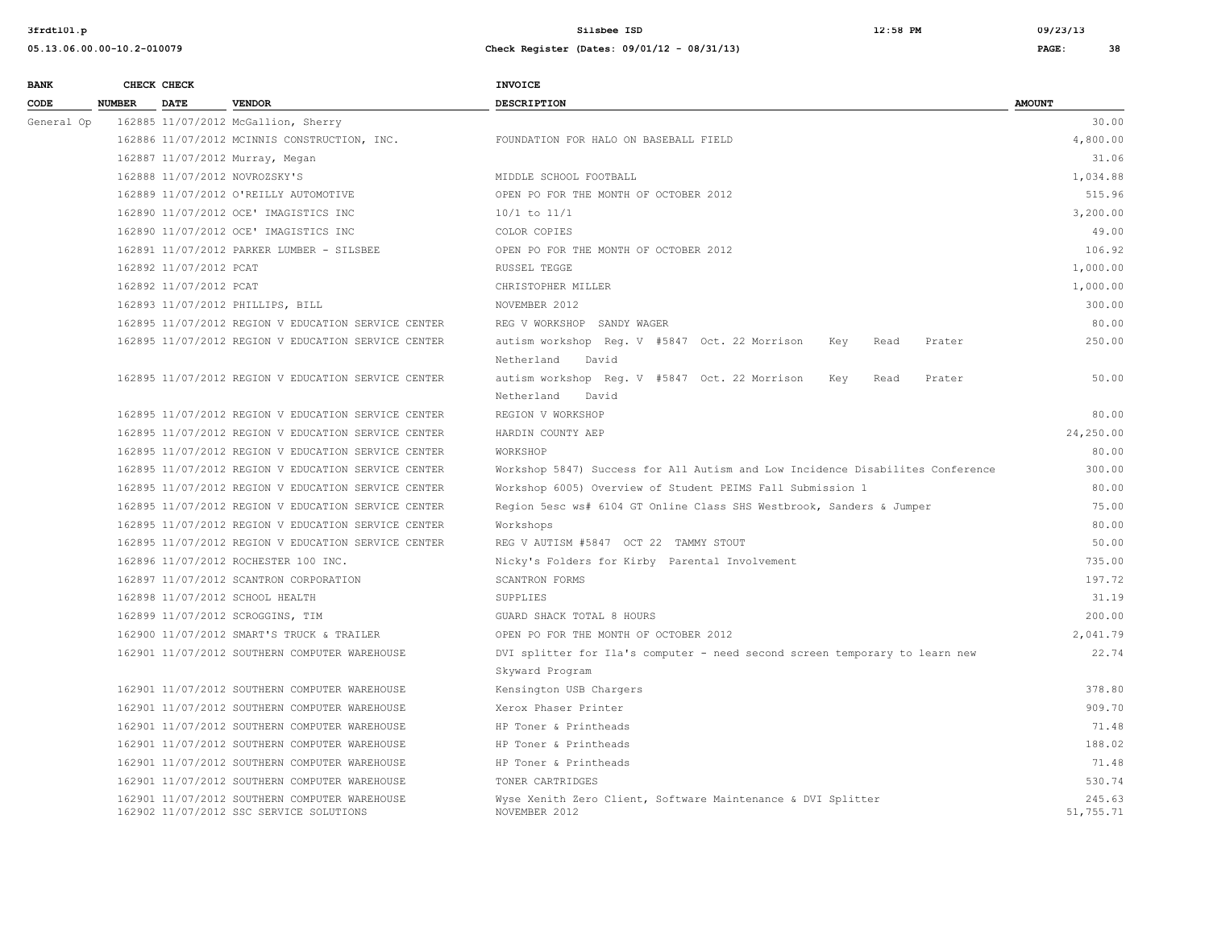| <b>BANK</b> |               | CHECK CHECK            |                                                                                          | INVOICE                                                                        |                     |
|-------------|---------------|------------------------|------------------------------------------------------------------------------------------|--------------------------------------------------------------------------------|---------------------|
| CODE        | <b>NUMBER</b> | <b>DATE</b>            | <b>VENDOR</b>                                                                            | <b>DESCRIPTION</b>                                                             | <b>AMOUNT</b>       |
| General Op  |               |                        | 162885 11/07/2012 McGallion, Sherry                                                      |                                                                                | 30.00               |
|             |               |                        | 162886 11/07/2012 MCINNIS CONSTRUCTION, INC.                                             | FOUNDATION FOR HALO ON BASEBALL FIELD                                          | 4,800.00            |
|             |               |                        | 162887 11/07/2012 Murray, Megan                                                          |                                                                                | 31.06               |
|             |               |                        | 162888 11/07/2012 NOVROZSKY'S                                                            | MIDDLE SCHOOL FOOTBALL                                                         | 1,034.88            |
|             |               |                        | 162889 11/07/2012 O'REILLY AUTOMOTIVE                                                    | OPEN PO FOR THE MONTH OF OCTOBER 2012                                          | 515.96              |
|             |               |                        | 162890 11/07/2012 OCE' IMAGISTICS INC                                                    | $10/1$ to $11/1$                                                               | 3,200.00            |
|             |               |                        | 162890 11/07/2012 OCE' IMAGISTICS INC                                                    | COLOR COPIES                                                                   | 49.00               |
|             |               |                        | 162891 11/07/2012 PARKER LUMBER - SILSBEE                                                | OPEN PO FOR THE MONTH OF OCTOBER 2012                                          | 106.92              |
|             |               | 162892 11/07/2012 PCAT |                                                                                          | RUSSEL TEGGE                                                                   | 1,000.00            |
|             |               | 162892 11/07/2012 PCAT |                                                                                          | CHRISTOPHER MILLER                                                             | 1,000.00            |
|             |               |                        | 162893 11/07/2012 PHILLIPS, BILL                                                         | NOVEMBER 2012                                                                  | 300.00              |
|             |               |                        | 162895 11/07/2012 REGION V EDUCATION SERVICE CENTER                                      | REG V WORKSHOP SANDY WAGER                                                     | 80.00               |
|             |               |                        | 162895 11/07/2012 REGION V EDUCATION SERVICE CENTER                                      | autism workshop Reg. V #5847 Oct. 22 Morrison<br>Key<br>Read<br>Prater         | 250.00              |
|             |               |                        |                                                                                          | Netherland<br>David                                                            |                     |
|             |               |                        | 162895 11/07/2012 REGION V EDUCATION SERVICE CENTER                                      | autism workshop Reg. V #5847 Oct. 22 Morrison<br>Key<br>Read<br>Prater         | 50.00               |
|             |               |                        |                                                                                          | Netherland<br>David                                                            |                     |
|             |               |                        | 162895 11/07/2012 REGION V EDUCATION SERVICE CENTER                                      | REGION V WORKSHOP                                                              | 80.00               |
|             |               |                        | 162895 11/07/2012 REGION V EDUCATION SERVICE CENTER                                      | HARDIN COUNTY AEP                                                              | 24,250.00           |
|             |               |                        | 162895 11/07/2012 REGION V EDUCATION SERVICE CENTER                                      | WORKSHOP                                                                       | 80.00               |
|             |               |                        | 162895 11/07/2012 REGION V EDUCATION SERVICE CENTER                                      | Workshop 5847) Success for All Autism and Low Incidence Disabilites Conference | 300.00              |
|             |               |                        | 162895 11/07/2012 REGION V EDUCATION SERVICE CENTER                                      | Workshop 6005) Overview of Student PEIMS Fall Submission 1                     | 80.00               |
|             |               |                        | 162895 11/07/2012 REGION V EDUCATION SERVICE CENTER                                      | Region 5esc ws# 6104 GT Online Class SHS Westbrook, Sanders & Jumper           | 75.00               |
|             |               |                        | 162895 11/07/2012 REGION V EDUCATION SERVICE CENTER                                      | Workshops                                                                      | 80.00               |
|             |               |                        | 162895 11/07/2012 REGION V EDUCATION SERVICE CENTER                                      | REG V AUTISM #5847 OCT 22 TAMMY STOUT                                          | 50.00               |
|             |               |                        | 162896 11/07/2012 ROCHESTER 100 INC.                                                     | Nicky's Folders for Kirby Parental Involvement                                 | 735.00              |
|             |               |                        | 162897 11/07/2012 SCANTRON CORPORATION                                                   | SCANTRON FORMS                                                                 | 197.72              |
|             |               |                        | 162898 11/07/2012 SCHOOL HEALTH                                                          | SUPPLIES                                                                       | 31.19               |
|             |               |                        | 162899 11/07/2012 SCROGGINS, TIM                                                         | GUARD SHACK TOTAL 8 HOURS                                                      | 200.00              |
|             |               |                        | 162900 11/07/2012 SMART'S TRUCK & TRAILER                                                | OPEN PO FOR THE MONTH OF OCTOBER 2012                                          | 2,041.79            |
|             |               |                        | 162901 11/07/2012 SOUTHERN COMPUTER WAREHOUSE                                            | DVI splitter for Ila's computer - need second screen temporary to learn new    | 22.74               |
|             |               |                        |                                                                                          | Skyward Program                                                                |                     |
|             |               |                        | 162901 11/07/2012 SOUTHERN COMPUTER WAREHOUSE                                            | Kensington USB Chargers                                                        | 378.80              |
|             |               |                        | 162901 11/07/2012 SOUTHERN COMPUTER WAREHOUSE                                            | Xerox Phaser Printer                                                           | 909.70              |
|             |               |                        | 162901 11/07/2012 SOUTHERN COMPUTER WAREHOUSE                                            | HP Toner & Printheads                                                          | 71.48               |
|             |               |                        | 162901 11/07/2012 SOUTHERN COMPUTER WAREHOUSE                                            | HP Toner & Printheads                                                          | 188.02              |
|             |               |                        | 162901 11/07/2012 SOUTHERN COMPUTER WAREHOUSE                                            | HP Toner & Printheads                                                          | 71.48               |
|             |               |                        | 162901 11/07/2012 SOUTHERN COMPUTER WAREHOUSE                                            | TONER CARTRIDGES                                                               | 530.74              |
|             |               |                        | 162901 11/07/2012 SOUTHERN COMPUTER WAREHOUSE<br>162902 11/07/2012 SSC SERVICE SOLUTIONS | Wyse Xenith Zero Client, Software Maintenance & DVI Splitter<br>NOVEMBER 2012  | 245.63<br>51,755.71 |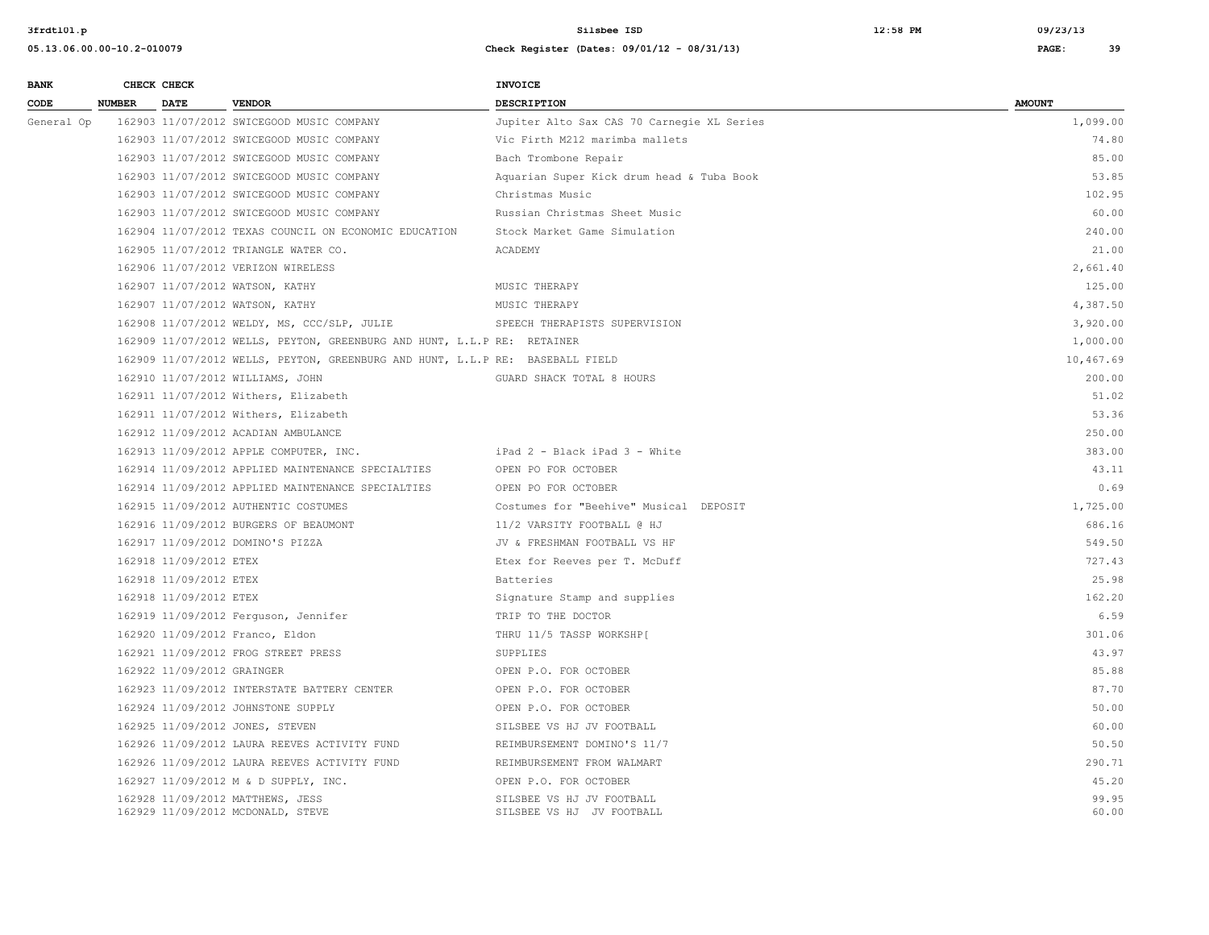| <b>BANK</b> |               | CHECK CHECK                |                                                                               | <b>INVOICE</b>                                         |                |
|-------------|---------------|----------------------------|-------------------------------------------------------------------------------|--------------------------------------------------------|----------------|
| CODE        | <b>NUMBER</b> | <b>DATE</b>                | <b>VENDOR</b>                                                                 | <b>DESCRIPTION</b>                                     | <b>AMOUNT</b>  |
| General Op  |               |                            | 162903 11/07/2012 SWICEGOOD MUSIC COMPANY                                     | Jupiter Alto Sax CAS 70 Carnegie XL Series             | 1,099.00       |
|             |               |                            | 162903 11/07/2012 SWICEGOOD MUSIC COMPANY                                     | Vic Firth M212 marimba mallets                         | 74.80          |
|             |               |                            | 162903 11/07/2012 SWICEGOOD MUSIC COMPANY                                     | Bach Trombone Repair                                   | 85.00          |
|             |               |                            | 162903 11/07/2012 SWICEGOOD MUSIC COMPANY                                     | Aquarian Super Kick drum head & Tuba Book              | 53.85          |
|             |               |                            | 162903 11/07/2012 SWICEGOOD MUSIC COMPANY                                     | Christmas Music                                        | 102.95         |
|             |               |                            | 162903 11/07/2012 SWICEGOOD MUSIC COMPANY                                     | Russian Christmas Sheet Music                          | 60.00          |
|             |               |                            | 162904 11/07/2012 TEXAS COUNCIL ON ECONOMIC EDUCATION                         | Stock Market Game Simulation                           | 240.00         |
|             |               |                            | 162905 11/07/2012 TRIANGLE WATER CO.                                          | ACADEMY                                                | 21.00          |
|             |               |                            | 162906 11/07/2012 VERIZON WIRELESS                                            |                                                        | 2,661.40       |
|             |               |                            | 162907 11/07/2012 WATSON, KATHY                                               | MUSIC THERAPY                                          | 125.00         |
|             |               |                            | 162907 11/07/2012 WATSON, KATHY                                               | MUSIC THERAPY                                          | 4,387.50       |
|             |               |                            | 162908 11/07/2012 WELDY, MS, CCC/SLP, JULIE                                   | SPEECH THERAPISTS SUPERVISION                          | 3,920.00       |
|             |               |                            | 162909 11/07/2012 WELLS, PEYTON, GREENBURG AND HUNT, L.L.P RE: RETAINER       |                                                        | 1,000.00       |
|             |               |                            | 162909 11/07/2012 WELLS, PEYTON, GREENBURG AND HUNT, L.L.P RE: BASEBALL FIELD |                                                        | 10,467.69      |
|             |               |                            | 162910 11/07/2012 WILLIAMS, JOHN                                              | GUARD SHACK TOTAL 8 HOURS                              | 200.00         |
|             |               |                            | 162911 11/07/2012 Withers, Elizabeth                                          |                                                        | 51.02          |
|             |               |                            | 162911 11/07/2012 Withers, Elizabeth                                          |                                                        | 53.36          |
|             |               |                            | 162912 11/09/2012 ACADIAN AMBULANCE                                           |                                                        | 250.00         |
|             |               |                            | 162913 11/09/2012 APPLE COMPUTER, INC.                                        | iPad 2 - Black iPad 3 - White                          | 383.00         |
|             |               |                            | 162914 11/09/2012 APPLIED MAINTENANCE SPECIALTIES                             | OPEN PO FOR OCTOBER                                    | 43.11          |
|             |               |                            | 162914 11/09/2012 APPLIED MAINTENANCE SPECIALTIES                             | OPEN PO FOR OCTOBER                                    | 0.69           |
|             |               |                            | 162915 11/09/2012 AUTHENTIC COSTUMES                                          | Costumes for "Beehive" Musical DEPOSIT                 | 1,725.00       |
|             |               |                            | 162916 11/09/2012 BURGERS OF BEAUMONT                                         | 11/2 VARSITY FOOTBALL @ HJ                             | 686.16         |
|             |               |                            | 162917 11/09/2012 DOMINO'S PIZZA                                              | JV & FRESHMAN FOOTBALL VS HF                           | 549.50         |
|             |               | 162918 11/09/2012 ETEX     |                                                                               | Etex for Reeves per T. McDuff                          | 727.43         |
|             |               | 162918 11/09/2012 ETEX     |                                                                               | Batteries                                              | 25.98          |
|             |               | 162918 11/09/2012 ETEX     |                                                                               | Signature Stamp and supplies                           | 162.20         |
|             |               |                            | 162919 11/09/2012 Ferguson, Jennifer                                          | TRIP TO THE DOCTOR                                     | 6.59           |
|             |               |                            | 162920 11/09/2012 Franco, Eldon                                               | THRU 11/5 TASSP WORKSHP[                               | 301.06         |
|             |               |                            | 162921 11/09/2012 FROG STREET PRESS                                           | SUPPLIES                                               | 43.97          |
|             |               | 162922 11/09/2012 GRAINGER |                                                                               | OPEN P.O. FOR OCTOBER                                  | 85.88          |
|             |               |                            | 162923 11/09/2012 INTERSTATE BATTERY CENTER                                   | OPEN P.O. FOR OCTOBER                                  | 87.70          |
|             |               |                            | 162924 11/09/2012 JOHNSTONE SUPPLY                                            | OPEN P.O. FOR OCTOBER                                  | 50.00          |
|             |               |                            | 162925 11/09/2012 JONES, STEVEN                                               | SILSBEE VS HJ JV FOOTBALL                              | 60.00          |
|             |               |                            | 162926 11/09/2012 LAURA REEVES ACTIVITY FUND                                  | REIMBURSEMENT DOMINO'S 11/7                            | 50.50          |
|             |               |                            | 162926 11/09/2012 LAURA REEVES ACTIVITY FUND                                  | REIMBURSEMENT FROM WALMART                             | 290.71         |
|             |               |                            | 162927 11/09/2012 M & D SUPPLY, INC.                                          | OPEN P.O. FOR OCTOBER                                  | 45.20          |
|             |               |                            | 162928 11/09/2012 MATTHEWS, JESS<br>162929 11/09/2012 MCDONALD, STEVE         | SILSBEE VS HJ JV FOOTBALL<br>SILSBEE VS HJ JV FOOTBALL | 99.95<br>60.00 |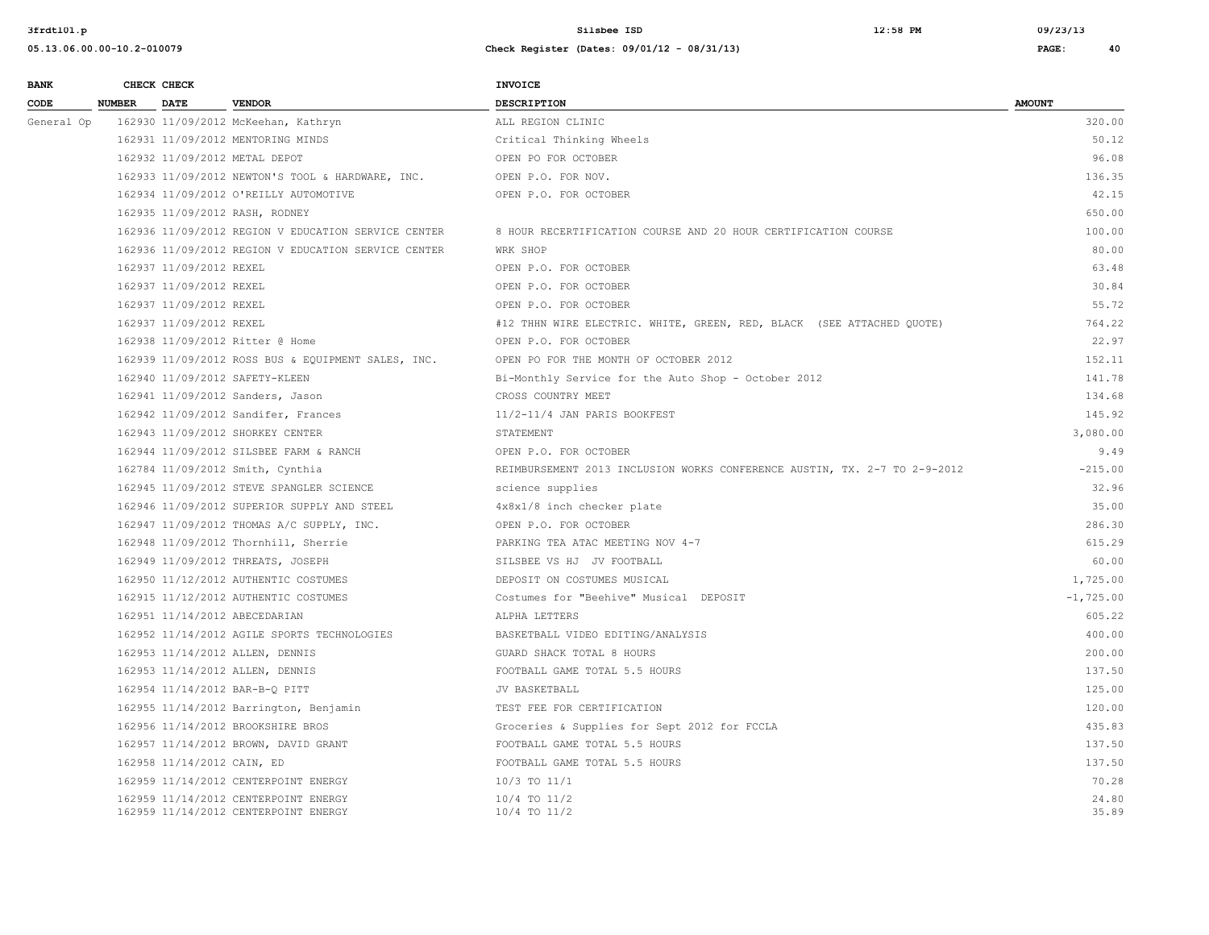**05.13.06.00.00-10.2-010079 Check Register (Dates: 09/01/12 - 08/31/13) PAGE: 40**

| <b>BANK</b> |               | CHECK CHECK                |                                                     | <b>INVOICE</b>                                                            |               |
|-------------|---------------|----------------------------|-----------------------------------------------------|---------------------------------------------------------------------------|---------------|
| CODE        | <b>NUMBER</b> | <b>DATE</b>                | <b>VENDOR</b>                                       | <b>DESCRIPTION</b>                                                        | <b>AMOUNT</b> |
| General Op  |               |                            | 162930 11/09/2012 McKeehan, Kathryn                 | ALL REGION CLINIC                                                         | 320.00        |
|             |               |                            | 162931 11/09/2012 MENTORING MINDS                   | Critical Thinking Wheels                                                  | 50.12         |
|             |               |                            | 162932 11/09/2012 METAL DEPOT                       | OPEN PO FOR OCTOBER                                                       | 96.08         |
|             |               |                            | 162933 11/09/2012 NEWTON'S TOOL & HARDWARE, INC.    | OPEN P.O. FOR NOV.                                                        | 136.35        |
|             |               |                            | 162934 11/09/2012 O'REILLY AUTOMOTIVE               | OPEN P.O. FOR OCTOBER                                                     | 42.15         |
|             |               |                            | 162935 11/09/2012 RASH, RODNEY                      |                                                                           | 650.00        |
|             |               |                            | 162936 11/09/2012 REGION V EDUCATION SERVICE CENTER | 8 HOUR RECERTIFICATION COURSE AND 20 HOUR CERTIFICATION COURSE            | 100.00        |
|             |               |                            | 162936 11/09/2012 REGION V EDUCATION SERVICE CENTER | WRK SHOP                                                                  | 80.00         |
|             |               | 162937 11/09/2012 REXEL    |                                                     | OPEN P.O. FOR OCTOBER                                                     | 63.48         |
|             |               | 162937 11/09/2012 REXEL    |                                                     | OPEN P.O. FOR OCTOBER                                                     | 30.84         |
|             |               | 162937 11/09/2012 REXEL    |                                                     | OPEN P.O. FOR OCTOBER                                                     | 55.72         |
|             |               | 162937 11/09/2012 REXEL    |                                                     | #12 THHN WIRE ELECTRIC. WHITE, GREEN, RED, BLACK (SEE ATTACHED QUOTE)     | 764.22        |
|             |               |                            | 162938 11/09/2012 Ritter @ Home                     | OPEN P.O. FOR OCTOBER                                                     | 22.97         |
|             |               |                            | 162939 11/09/2012 ROSS BUS & EQUIPMENT SALES, INC.  | OPEN PO FOR THE MONTH OF OCTOBER 2012                                     | 152.11        |
|             |               |                            | 162940 11/09/2012 SAFETY-KLEEN                      | Bi-Monthly Service for the Auto Shop - October 2012                       | 141.78        |
|             |               |                            | 162941 11/09/2012 Sanders, Jason                    | CROSS COUNTRY MEET                                                        | 134.68        |
|             |               |                            | 162942 11/09/2012 Sandifer, Frances                 | 11/2-11/4 JAN PARIS BOOKFEST                                              | 145.92        |
|             |               |                            | 162943 11/09/2012 SHORKEY CENTER                    | STATEMENT                                                                 | 3,080,00      |
|             |               |                            | 162944 11/09/2012 SILSBEE FARM & RANCH              | OPEN P.O. FOR OCTOBER                                                     | 9.49          |
|             |               |                            | 162784 11/09/2012 Smith, Cynthia                    | REIMBURSEMENT 2013 INCLUSION WORKS CONFERENCE AUSTIN, TX. 2-7 TO 2-9-2012 | $-215.00$     |
|             |               |                            | 162945 11/09/2012 STEVE SPANGLER SCIENCE            | science supplies                                                          | 32.96         |
|             |               |                            | 162946 11/09/2012 SUPERIOR SUPPLY AND STEEL         | 4x8x1/8 inch checker plate                                                | 35.00         |
|             |               |                            | 162947 11/09/2012 THOMAS A/C SUPPLY, INC.           | OPEN P.O. FOR OCTOBER                                                     | 286.30        |
|             |               |                            | 162948 11/09/2012 Thornhill, Sherrie                | PARKING TEA ATAC MEETING NOV 4-7                                          | 615.29        |
|             |               |                            | 162949 11/09/2012 THREATS, JOSEPH                   | SILSBEE VS HJ JV FOOTBALL                                                 | 60.00         |
|             |               |                            | 162950 11/12/2012 AUTHENTIC COSTUMES                | DEPOSIT ON COSTUMES MUSICAL                                               | 1,725.00      |
|             |               |                            | 162915 11/12/2012 AUTHENTIC COSTUMES                | Costumes for "Beehive" Musical DEPOSIT                                    | $-1,725.00$   |
|             |               |                            | 162951 11/14/2012 ABECEDARIAN                       | ALPHA LETTERS                                                             | 605.22        |
|             |               |                            | 162952 11/14/2012 AGILE SPORTS TECHNOLOGIES         | BASKETBALL VIDEO EDITING/ANALYSIS                                         | 400.00        |
|             |               |                            | 162953 11/14/2012 ALLEN, DENNIS                     | GUARD SHACK TOTAL 8 HOURS                                                 | 200.00        |
|             |               |                            | 162953 11/14/2012 ALLEN, DENNIS                     | FOOTBALL GAME TOTAL 5.5 HOURS                                             | 137.50        |
|             |               |                            | 162954 11/14/2012 BAR-B-Q PITT                      | JV BASKETBALL                                                             | 125.00        |
|             |               |                            | 162955 11/14/2012 Barrington, Benjamin              | TEST FEE FOR CERTIFICATION                                                | 120.00        |
|             |               |                            | 162956 11/14/2012 BROOKSHIRE BROS                   | Groceries & Supplies for Sept 2012 for FCCLA                              | 435.83        |
|             |               |                            | 162957 11/14/2012 BROWN, DAVID GRANT                | FOOTBALL GAME TOTAL 5.5 HOURS                                             | 137.50        |
|             |               | 162958 11/14/2012 CAIN, ED |                                                     | FOOTBALL GAME TOTAL 5.5 HOURS                                             | 137.50        |
|             |               |                            | 162959 11/14/2012 CENTERPOINT ENERGY                | $10/3$ TO $11/1$                                                          | 70.28         |

162959 11/14/2012 CENTERPOINT ENERGY 10/4 TO 11/2<br>162959 11/14/2012 CENTERPOINT ENERGY 10/4 TO 11/2 12 162959 11/14/2012 CENTERPOINT ENERGY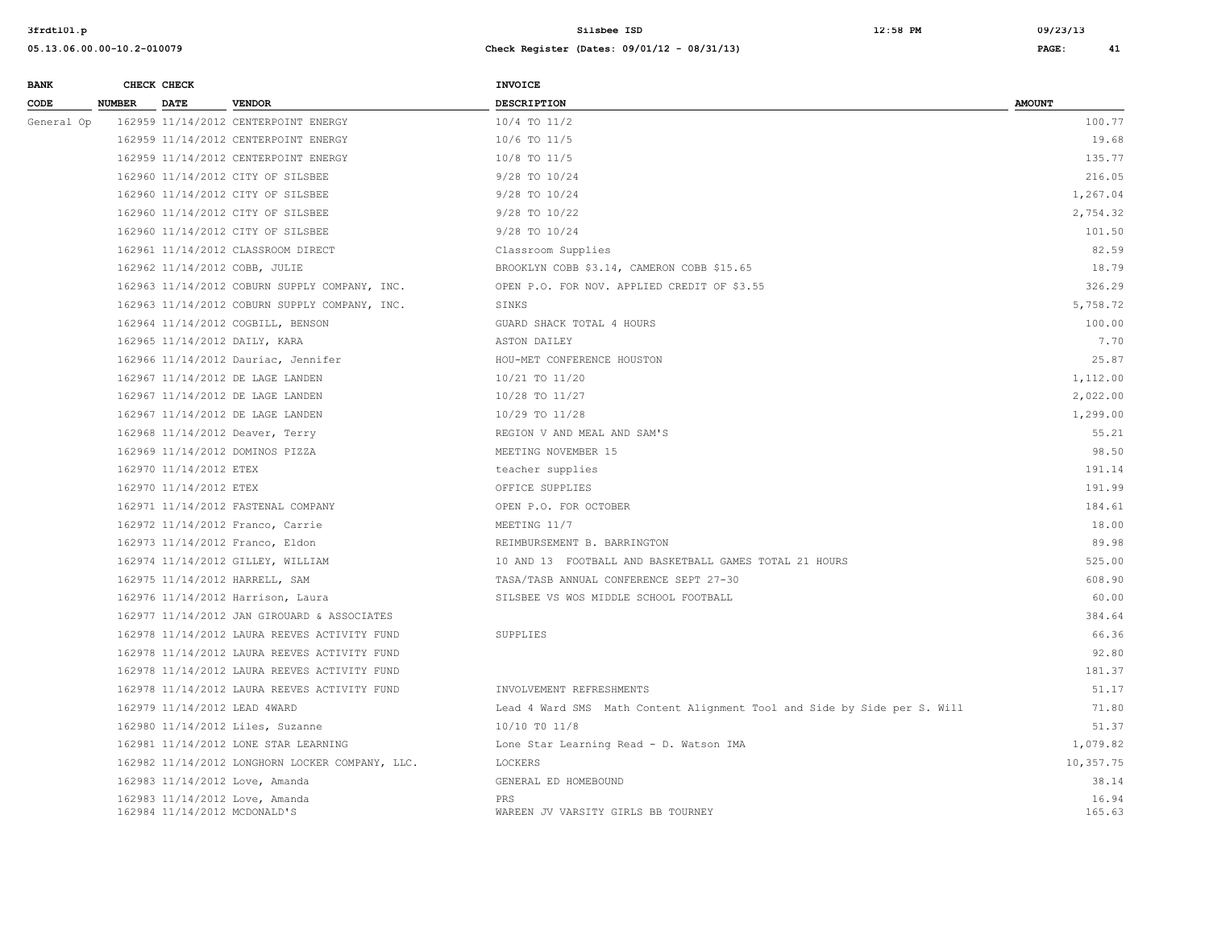| <b>BANK</b> |               | CHECK CHECK                  |                                                 | <b>INVOICE</b>                                                           |                 |
|-------------|---------------|------------------------------|-------------------------------------------------|--------------------------------------------------------------------------|-----------------|
| CODE        | <b>NUMBER</b> | <b>DATE</b>                  | <b>VENDOR</b>                                   | <b>DESCRIPTION</b>                                                       | <b>AMOUNT</b>   |
| General Op  |               |                              | 162959 11/14/2012 CENTERPOINT ENERGY            | $10/4$ TO $11/2$                                                         | 100.77          |
|             |               |                              | 162959 11/14/2012 CENTERPOINT ENERGY            | 10/6 TO 11/5                                                             | 19.68           |
|             |               |                              | 162959 11/14/2012 CENTERPOINT ENERGY            | 10/8 TO 11/5                                                             | 135.77          |
|             |               |                              | 162960 11/14/2012 CITY OF SILSBEE               | 9/28 TO 10/24                                                            | 216.05          |
|             |               |                              | 162960 11/14/2012 CITY OF SILSBEE               | 9/28 TO 10/24                                                            | 1,267.04        |
|             |               |                              | 162960 11/14/2012 CITY OF SILSBEE               | 9/28 TO 10/22                                                            | 2,754.32        |
|             |               |                              | 162960 11/14/2012 CITY OF SILSBEE               | 9/28 TO 10/24                                                            | 101.50          |
|             |               |                              | 162961 11/14/2012 CLASSROOM DIRECT              | Classroom Supplies                                                       | 82.59           |
|             |               |                              | 162962 11/14/2012 COBB, JULIE                   | BROOKLYN COBB \$3.14, CAMERON COBB \$15.65                               | 18.79           |
|             |               |                              | 162963 11/14/2012 COBURN SUPPLY COMPANY, INC.   | OPEN P.O. FOR NOV. APPLIED CREDIT OF \$3.55                              | 326.29          |
|             |               |                              | 162963 11/14/2012 COBURN SUPPLY COMPANY, INC.   | SINKS                                                                    | 5,758.72        |
|             |               |                              | 162964 11/14/2012 COGBILL, BENSON               | GUARD SHACK TOTAL 4 HOURS                                                | 100.00          |
|             |               |                              | 162965 11/14/2012 DAILY, KARA                   | ASTON DAILEY                                                             | 7.70            |
|             |               |                              | 162966 11/14/2012 Dauriac, Jennifer             | HOU-MET CONFERENCE HOUSTON                                               | 25.87           |
|             |               |                              | 162967 11/14/2012 DE LAGE LANDEN                | 10/21 TO 11/20                                                           | 1,112.00        |
|             |               |                              | 162967 11/14/2012 DE LAGE LANDEN                | 10/28 TO 11/27                                                           | 2,022.00        |
|             |               |                              | 162967 11/14/2012 DE LAGE LANDEN                | 10/29 TO 11/28                                                           | 1,299.00        |
|             |               |                              | 162968 11/14/2012 Deaver, Terry                 | REGION V AND MEAL AND SAM'S                                              | 55.21           |
|             |               |                              | 162969 11/14/2012 DOMINOS PIZZA                 | MEETING NOVEMBER 15                                                      | 98.50           |
|             |               | 162970 11/14/2012 ETEX       |                                                 | teacher supplies                                                         | 191.14          |
|             |               | 162970 11/14/2012 ETEX       |                                                 | OFFICE SUPPLIES                                                          | 191.99          |
|             |               |                              | 162971 11/14/2012 FASTENAL COMPANY              | OPEN P.O. FOR OCTOBER                                                    | 184.61          |
|             |               |                              | 162972 11/14/2012 Franco, Carrie                | MEETING 11/7                                                             | 18.00           |
|             |               |                              | 162973 11/14/2012 Franco, Eldon                 | REIMBURSEMENT B. BARRINGTON                                              | 89.98           |
|             |               |                              | 162974 11/14/2012 GILLEY, WILLIAM               | 10 AND 13 FOOTBALL AND BASKETBALL GAMES TOTAL 21 HOURS                   | 525.00          |
|             |               |                              | 162975 11/14/2012 HARRELL, SAM                  | TASA/TASB ANNUAL CONFERENCE SEPT 27-30                                   | 608.90          |
|             |               |                              | 162976 11/14/2012 Harrison, Laura               | SILSBEE VS WOS MIDDLE SCHOOL FOOTBALL                                    | 60.00           |
|             |               |                              | 162977 11/14/2012 JAN GIROUARD & ASSOCIATES     |                                                                          | 384.64          |
|             |               |                              | 162978 11/14/2012 LAURA REEVES ACTIVITY FUND    | SUPPLIES                                                                 | 66.36           |
|             |               |                              | 162978 11/14/2012 LAURA REEVES ACTIVITY FUND    |                                                                          | 92.80           |
|             |               |                              | 162978 11/14/2012 LAURA REEVES ACTIVITY FUND    |                                                                          | 181.37          |
|             |               |                              | 162978 11/14/2012 LAURA REEVES ACTIVITY FUND    | INVOLVEMENT REFRESHMENTS                                                 | 51.17           |
|             |               |                              | 162979 11/14/2012 LEAD 4WARD                    | Lead 4 Ward SMS Math Content Alignment Tool and Side by Side per S. Will | 71.80           |
|             |               |                              | 162980 11/14/2012 Liles, Suzanne                | 10/10 TO 11/8                                                            | 51.37           |
|             |               |                              | 162981 11/14/2012 LONE STAR LEARNING            | Lone Star Learning Read - D. Watson IMA                                  | 1,079.82        |
|             |               |                              | 162982 11/14/2012 LONGHORN LOCKER COMPANY, LLC. | LOCKERS                                                                  | 10,357.75       |
|             |               |                              | 162983 11/14/2012 Love, Amanda                  | GENERAL ED HOMEBOUND                                                     | 38.14           |
|             |               | 162984 11/14/2012 MCDONALD'S | 162983 11/14/2012 Love, Amanda                  | PRS<br>WAREEN JV VARSITY GIRLS BB TOURNEY                                | 16.94<br>165.63 |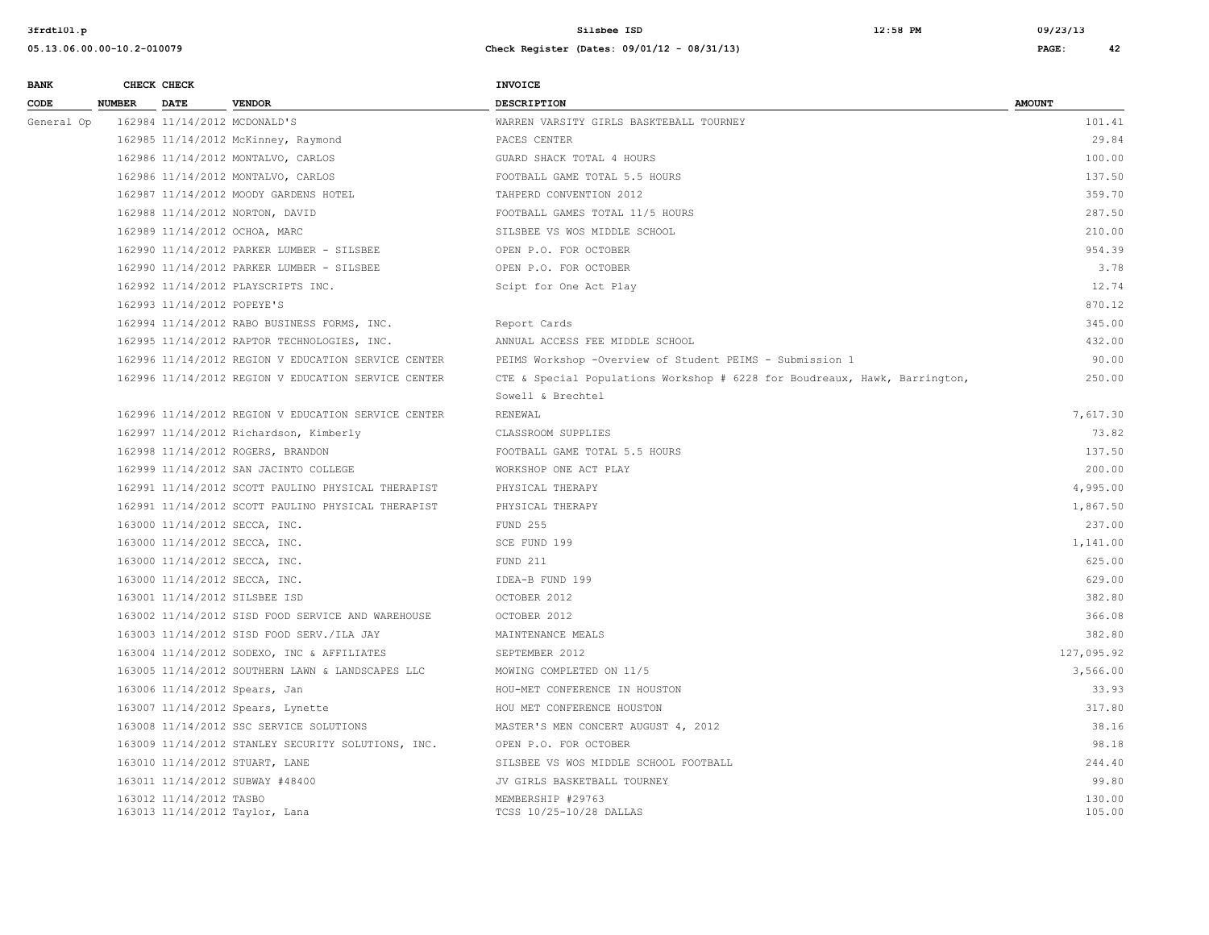| <b>BANK</b> |               | CHECK CHECK                  |                                                     | <b>INVOICE</b>                                                             |                  |
|-------------|---------------|------------------------------|-----------------------------------------------------|----------------------------------------------------------------------------|------------------|
| CODE        | <b>NUMBER</b> | <b>DATE</b>                  | <b>VENDOR</b>                                       | <b>DESCRIPTION</b>                                                         | <b>AMOUNT</b>    |
| General Op  |               | 162984 11/14/2012 MCDONALD'S |                                                     | WARREN VARSITY GIRLS BASKTEBALL TOURNEY                                    | 101.41           |
|             |               |                              | 162985 11/14/2012 McKinney, Raymond                 | PACES CENTER                                                               | 29.84            |
|             |               |                              | 162986 11/14/2012 MONTALVO, CARLOS                  | GUARD SHACK TOTAL 4 HOURS                                                  | 100.00           |
|             |               |                              | 162986 11/14/2012 MONTALVO, CARLOS                  | FOOTBALL GAME TOTAL 5.5 HOURS                                              | 137.50           |
|             |               |                              | 162987 11/14/2012 MOODY GARDENS HOTEL               | TAHPERD CONVENTION 2012                                                    | 359.70           |
|             |               |                              | 162988 11/14/2012 NORTON, DAVID                     | FOOTBALL GAMES TOTAL 11/5 HOURS                                            | 287.50           |
|             |               |                              | 162989 11/14/2012 OCHOA, MARC                       | SILSBEE VS WOS MIDDLE SCHOOL                                               | 210.00           |
|             |               |                              | 162990 11/14/2012 PARKER LUMBER - SILSBEE           | OPEN P.O. FOR OCTOBER                                                      | 954.39           |
|             |               |                              | 162990 11/14/2012 PARKER LUMBER - SILSBEE           | OPEN P.O. FOR OCTOBER                                                      | 3.78             |
|             |               |                              | 162992 11/14/2012 PLAYSCRIPTS INC.                  | Scipt for One Act Play                                                     | 12.74            |
|             |               | 162993 11/14/2012 POPEYE'S   |                                                     |                                                                            | 870.12           |
|             |               |                              | 162994 11/14/2012 RABO BUSINESS FORMS, INC.         | Report Cards                                                               | 345.00           |
|             |               |                              | 162995 11/14/2012 RAPTOR TECHNOLOGIES, INC.         | ANNUAL ACCESS FEE MIDDLE SCHOOL                                            | 432.00           |
|             |               |                              | 162996 11/14/2012 REGION V EDUCATION SERVICE CENTER | PEIMS Workshop -Overview of Student PEIMS - Submission 1                   | 90.00            |
|             |               |                              | 162996 11/14/2012 REGION V EDUCATION SERVICE CENTER | CTE & Special Populations Workshop # 6228 for Boudreaux, Hawk, Barrington, | 250.00           |
|             |               |                              |                                                     | Sowell & Brechtel                                                          |                  |
|             |               |                              | 162996 11/14/2012 REGION V EDUCATION SERVICE CENTER | RENEWAL                                                                    | 7,617.30         |
|             |               |                              | 162997 11/14/2012 Richardson, Kimberly              | CLASSROOM SUPPLIES                                                         | 73.82            |
|             |               |                              | 162998 11/14/2012 ROGERS, BRANDON                   | FOOTBALL GAME TOTAL 5.5 HOURS                                              | 137.50           |
|             |               |                              | 162999 11/14/2012 SAN JACINTO COLLEGE               | WORKSHOP ONE ACT PLAY                                                      | 200.00           |
|             |               |                              | 162991 11/14/2012 SCOTT PAULINO PHYSICAL THERAPIST  | PHYSICAL THERAPY                                                           | 4,995.00         |
|             |               |                              | 162991 11/14/2012 SCOTT PAULINO PHYSICAL THERAPIST  | PHYSICAL THERAPY                                                           | 1,867.50         |
|             |               |                              | 163000 11/14/2012 SECCA, INC.                       | FUND 255                                                                   | 237.00           |
|             |               |                              | 163000 11/14/2012 SECCA, INC.                       | SCE FUND 199                                                               | 1,141.00         |
|             |               |                              | 163000 11/14/2012 SECCA, INC.                       | FUND 211                                                                   | 625.00           |
|             |               |                              | 163000 11/14/2012 SECCA, INC.                       | IDEA-B FUND 199                                                            | 629.00           |
|             |               |                              | 163001 11/14/2012 SILSBEE ISD                       | OCTOBER 2012                                                               | 382.80           |
|             |               |                              | 163002 11/14/2012 SISD FOOD SERVICE AND WAREHOUSE   | OCTOBER 2012                                                               | 366.08           |
|             |               |                              | 163003 11/14/2012 SISD FOOD SERV./ILA JAY           | MAINTENANCE MEALS                                                          | 382.80           |
|             |               |                              | 163004 11/14/2012 SODEXO, INC & AFFILIATES          | SEPTEMBER 2012                                                             | 127,095.92       |
|             |               |                              | 163005 11/14/2012 SOUTHERN LAWN & LANDSCAPES LLC    | MOWING COMPLETED ON 11/5                                                   | 3,566.00         |
|             |               |                              | 163006 11/14/2012 Spears, Jan                       | HOU-MET CONFERENCE IN HOUSTON                                              | 33.93            |
|             |               |                              | 163007 11/14/2012 Spears, Lynette                   | HOU MET CONFERENCE HOUSTON                                                 | 317.80           |
|             |               |                              | 163008 11/14/2012 SSC SERVICE SOLUTIONS             | MASTER'S MEN CONCERT AUGUST 4, 2012                                        | 38.16            |
|             |               |                              | 163009 11/14/2012 STANLEY SECURITY SOLUTIONS, INC.  | OPEN P.O. FOR OCTOBER                                                      | 98.18            |
|             |               |                              | 163010 11/14/2012 STUART, LANE                      | SILSBEE VS WOS MIDDLE SCHOOL FOOTBALL                                      | 244.40           |
|             |               |                              | 163011 11/14/2012 SUBWAY #48400                     | JV GIRLS BASKETBALL TOURNEY                                                | 99.80            |
|             |               | 163012 11/14/2012 TASBO      | 163013 11/14/2012 Taylor, Lana                      | MEMBERSHIP #29763<br>TCSS 10/25-10/28 DALLAS                               | 130.00<br>105.00 |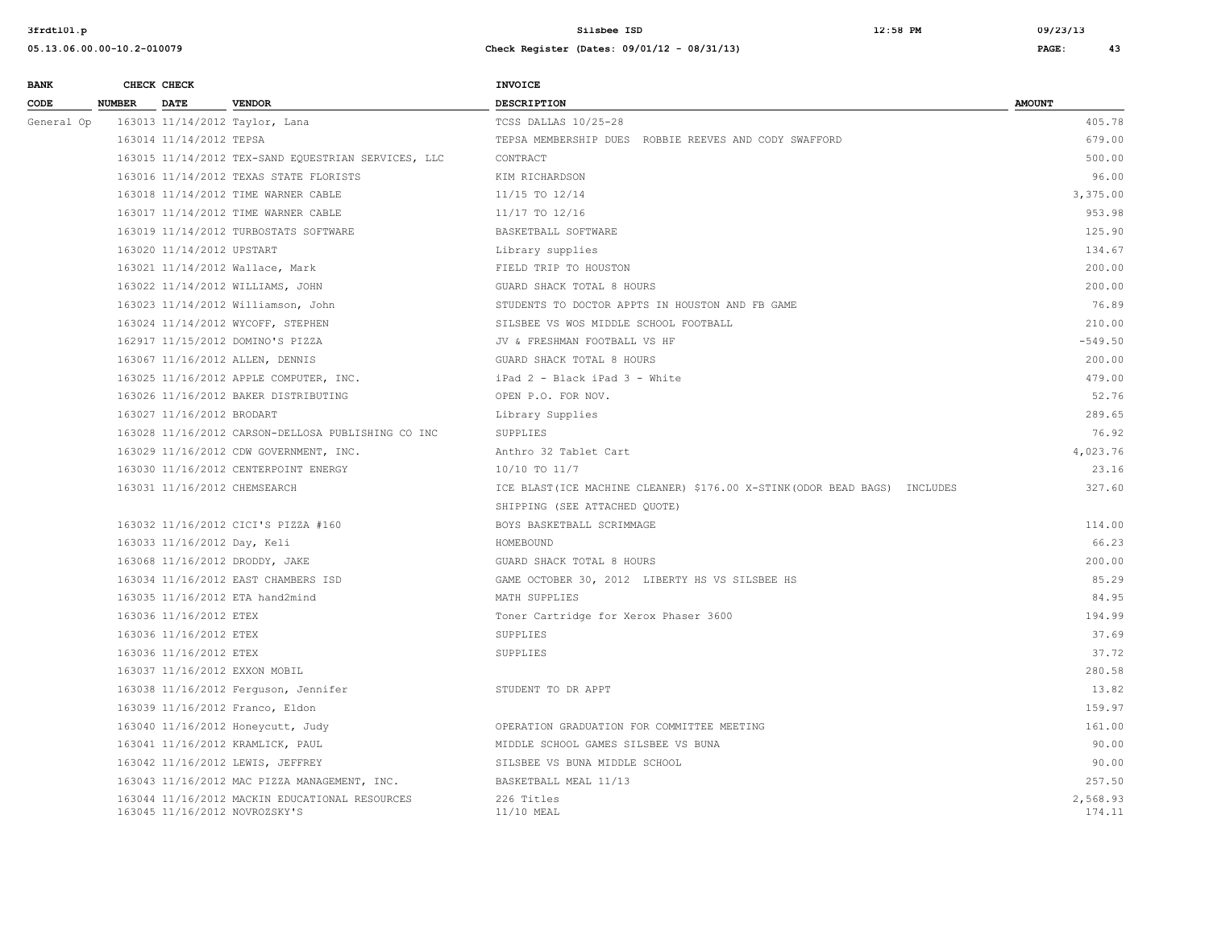| <b>BANK</b> |               | CHECK CHECK                  |                                                                                 | <b>INVOICE</b>                                                             |                    |
|-------------|---------------|------------------------------|---------------------------------------------------------------------------------|----------------------------------------------------------------------------|--------------------|
| CODE        | <b>NUMBER</b> | DATE                         | <b>VENDOR</b>                                                                   | <b>DESCRIPTION</b>                                                         | <b>AMOUNT</b>      |
| General Op  |               |                              | 163013 11/14/2012 Taylor, Lana                                                  | TCSS DALLAS 10/25-28                                                       | 405.78             |
|             |               | 163014 11/14/2012 TEPSA      |                                                                                 | TEPSA MEMBERSHIP DUES ROBBIE REEVES AND CODY SWAFFORD                      | 679.00             |
|             |               |                              | 163015 11/14/2012 TEX-SAND EQUESTRIAN SERVICES, LLC                             | CONTRACT                                                                   | 500.00             |
|             |               |                              | 163016 11/14/2012 TEXAS STATE FLORISTS                                          | KIM RICHARDSON                                                             | 96.00              |
|             |               |                              | 163018 11/14/2012 TIME WARNER CABLE                                             | 11/15 TO 12/14                                                             | 3,375.00           |
|             |               |                              | 163017 11/14/2012 TIME WARNER CABLE                                             | 11/17 TO 12/16                                                             | 953.98             |
|             |               |                              | 163019 11/14/2012 TURBOSTATS SOFTWARE                                           | BASKETBALL SOFTWARE                                                        | 125.90             |
|             |               | 163020 11/14/2012 UPSTART    |                                                                                 | Library supplies                                                           | 134.67             |
|             |               |                              | 163021 11/14/2012 Wallace, Mark                                                 | FIELD TRIP TO HOUSTON                                                      | 200.00             |
|             |               |                              | 163022 11/14/2012 WILLIAMS, JOHN                                                | GUARD SHACK TOTAL 8 HOURS                                                  | 200.00             |
|             |               |                              | 163023 11/14/2012 Williamson, John                                              | STUDENTS TO DOCTOR APPTS IN HOUSTON AND FB GAME                            | 76.89              |
|             |               |                              | 163024 11/14/2012 WYCOFF, STEPHEN                                               | SILSBEE VS WOS MIDDLE SCHOOL FOOTBALL                                      | 210.00             |
|             |               |                              | 162917 11/15/2012 DOMINO'S PIZZA                                                | JV & FRESHMAN FOOTBALL VS HF                                               | $-549.50$          |
|             |               |                              | 163067 11/16/2012 ALLEN, DENNIS                                                 | GUARD SHACK TOTAL 8 HOURS                                                  | 200.00             |
|             |               |                              | 163025 11/16/2012 APPLE COMPUTER, INC.                                          | iPad 2 - Black iPad 3 - White                                              | 479.00             |
|             |               |                              | 163026 11/16/2012 BAKER DISTRIBUTING                                            | OPEN P.O. FOR NOV.                                                         | 52.76              |
|             |               | 163027 11/16/2012 BRODART    |                                                                                 | Library Supplies                                                           | 289.65             |
|             |               |                              | 163028 11/16/2012 CARSON-DELLOSA PUBLISHING CO INC                              | SUPPLIES                                                                   | 76.92              |
|             |               |                              | 163029 11/16/2012 CDW GOVERNMENT, INC.                                          | Anthro 32 Tablet Cart                                                      | 4,023.76           |
|             |               |                              | 163030 11/16/2012 CENTERPOINT ENERGY                                            | 10/10 TO 11/7                                                              | 23.16              |
|             |               | 163031 11/16/2012 CHEMSEARCH |                                                                                 | ICE BLAST (ICE MACHINE CLEANER) \$176.00 X-STINK (ODOR BEAD BAGS) INCLUDES | 327.60             |
|             |               |                              |                                                                                 | SHIPPING (SEE ATTACHED QUOTE)                                              |                    |
|             |               |                              | 163032 11/16/2012 CICI'S PIZZA #160                                             | BOYS BASKETBALL SCRIMMAGE                                                  | 114.00             |
|             |               | 163033 11/16/2012 Day, Keli  |                                                                                 | HOMEBOUND                                                                  | 66.23              |
|             |               |                              | 163068 11/16/2012 DRODDY, JAKE                                                  | GUARD SHACK TOTAL 8 HOURS                                                  | 200.00             |
|             |               |                              | 163034 11/16/2012 EAST CHAMBERS ISD                                             | GAME OCTOBER 30, 2012 LIBERTY HS VS SILSBEE HS                             | 85.29              |
|             |               |                              | 163035 11/16/2012 ETA hand2mind                                                 | MATH SUPPLIES                                                              | 84.95              |
|             |               | 163036 11/16/2012 ETEX       |                                                                                 | Toner Cartridge for Xerox Phaser 3600                                      | 194.99             |
|             |               | 163036 11/16/2012 ETEX       |                                                                                 | SUPPLIES                                                                   | 37.69              |
|             |               | 163036 11/16/2012 ETEX       |                                                                                 | <b>SUPPLIES</b>                                                            | 37.72              |
|             |               |                              | 163037 11/16/2012 EXXON MOBIL                                                   |                                                                            | 280.58             |
|             |               |                              | 163038 11/16/2012 Ferguson, Jennifer                                            | STUDENT TO DR APPT                                                         | 13.82              |
|             |               |                              | 163039 11/16/2012 Franco, Eldon                                                 |                                                                            | 159.97             |
|             |               |                              | 163040 11/16/2012 Honeycutt, Judy                                               | OPERATION GRADUATION FOR COMMITTEE MEETING                                 | 161.00             |
|             |               |                              | 163041 11/16/2012 KRAMLICK, PAUL                                                | MIDDLE SCHOOL GAMES SILSBEE VS BUNA                                        | 90.00              |
|             |               |                              | 163042 11/16/2012 LEWIS, JEFFREY                                                | SILSBEE VS BUNA MIDDLE SCHOOL                                              | 90.00              |
|             |               |                              | 163043 11/16/2012 MAC PIZZA MANAGEMENT, INC.                                    | BASKETBALL MEAL 11/13                                                      | 257.50             |
|             |               |                              | 163044 11/16/2012 MACKIN EDUCATIONAL RESOURCES<br>163045 11/16/2012 NOVROZSKY'S | 226 Titles<br>11/10 MEAL                                                   | 2,568.93<br>174.11 |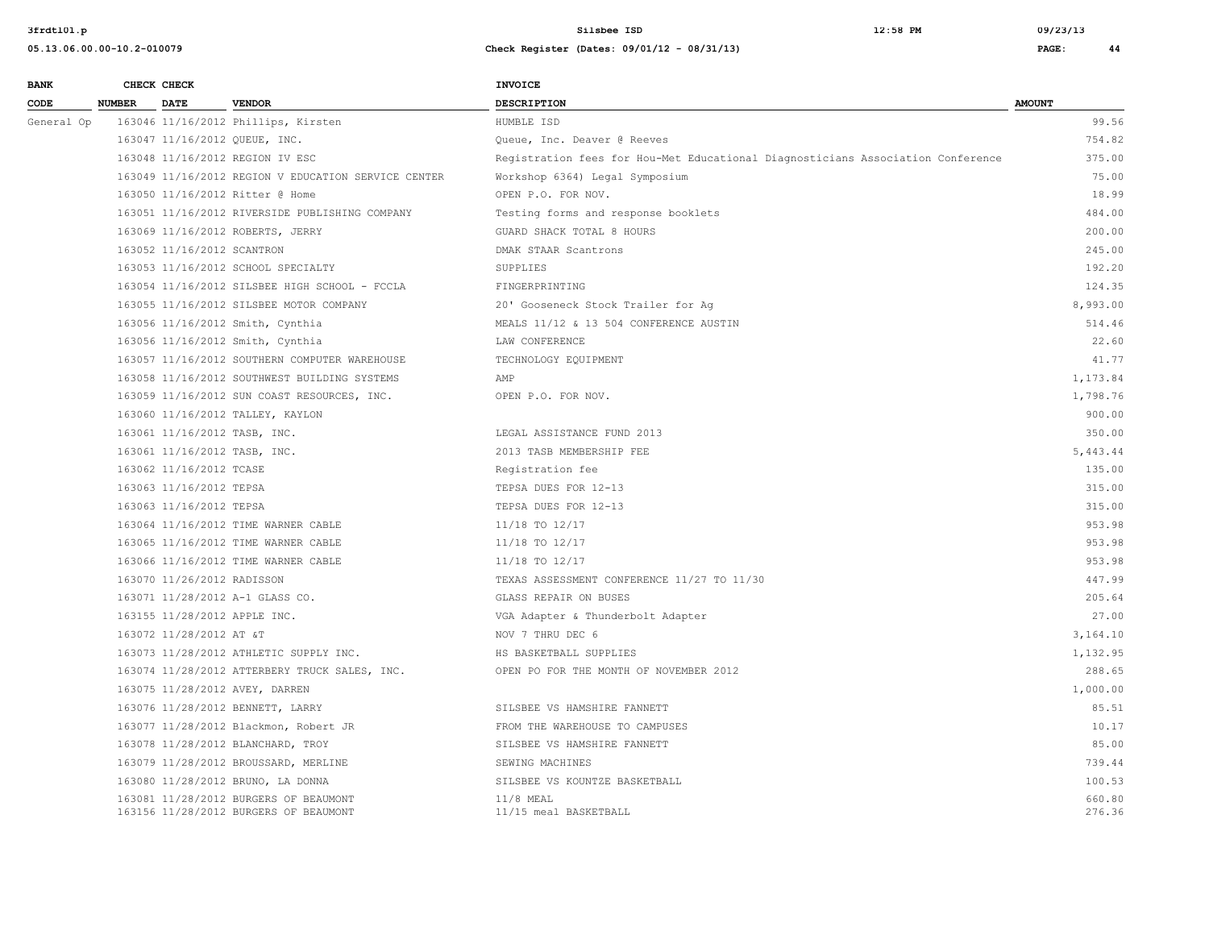**05.13.06.00.00-10.2-010079 Check Register (Dates: 09/01/12 - 08/31/13) PAGE: 44**

**3frdtl01.p Silsbee ISD 12:58 PM 09/23/13**

| <b>BANK</b> |               | CHECK CHECK                |                                                                                | <b>INVOICE</b>                                                                  |                  |
|-------------|---------------|----------------------------|--------------------------------------------------------------------------------|---------------------------------------------------------------------------------|------------------|
| CODE        | <b>NUMBER</b> | <b>DATE</b>                | <b>VENDOR</b>                                                                  | <b>DESCRIPTION</b>                                                              | <b>AMOUNT</b>    |
| General Op  |               |                            | 163046 11/16/2012 Phillips, Kirsten                                            | HUMBLE ISD                                                                      | 99.56            |
|             |               |                            | 163047 11/16/2012 QUEUE, INC.                                                  | Queue, Inc. Deaver @ Reeves                                                     | 754.82           |
|             |               |                            | 163048 11/16/2012 REGION IV ESC                                                | Registration fees for Hou-Met Educational Diagnosticians Association Conference | 375.00           |
|             |               |                            | 163049 11/16/2012 REGION V EDUCATION SERVICE CENTER                            | Workshop 6364) Legal Symposium                                                  | 75.00            |
|             |               |                            | 163050 11/16/2012 Ritter @ Home                                                | OPEN P.O. FOR NOV.                                                              | 18.99            |
|             |               |                            | 163051 11/16/2012 RIVERSIDE PUBLISHING COMPANY                                 | Testing forms and response booklets                                             | 484.00           |
|             |               |                            | 163069 11/16/2012 ROBERTS, JERRY                                               | GUARD SHACK TOTAL 8 HOURS                                                       | 200.00           |
|             |               | 163052 11/16/2012 SCANTRON |                                                                                | DMAK STAAR Scantrons                                                            | 245.00           |
|             |               |                            | 163053 11/16/2012 SCHOOL SPECIALTY                                             | SUPPLIES                                                                        | 192.20           |
|             |               |                            | 163054 11/16/2012 SILSBEE HIGH SCHOOL - FCCLA                                  | FINGERPRINTING                                                                  | 124.35           |
|             |               |                            | 163055 11/16/2012 SILSBEE MOTOR COMPANY                                        | 20' Gooseneck Stock Trailer for Aq                                              | 8,993.00         |
|             |               |                            | 163056 11/16/2012 Smith, Cynthia                                               | MEALS 11/12 & 13 504 CONFERENCE AUSTIN                                          | 514.46           |
|             |               |                            | 163056 11/16/2012 Smith, Cynthia                                               | LAW CONFERENCE                                                                  | 22.60            |
|             |               |                            | 163057 11/16/2012 SOUTHERN COMPUTER WAREHOUSE                                  | TECHNOLOGY EQUIPMENT                                                            | 41.77            |
|             |               |                            | 163058 11/16/2012 SOUTHWEST BUILDING SYSTEMS                                   | AMP                                                                             | 1,173.84         |
|             |               |                            | 163059 11/16/2012 SUN COAST RESOURCES, INC.                                    | OPEN P.O. FOR NOV.                                                              | 1,798.76         |
|             |               |                            | 163060 11/16/2012 TALLEY, KAYLON                                               |                                                                                 | 900.00           |
|             |               |                            | 163061 11/16/2012 TASB, INC.                                                   | LEGAL ASSISTANCE FUND 2013                                                      | 350.00           |
|             |               |                            | 163061 11/16/2012 TASB, INC.                                                   | 2013 TASB MEMBERSHIP FEE                                                        | 5,443.44         |
|             |               | 163062 11/16/2012 TCASE    |                                                                                | Registration fee                                                                | 135.00           |
|             |               | 163063 11/16/2012 TEPSA    |                                                                                | TEPSA DUES FOR 12-13                                                            | 315.00           |
|             |               | 163063 11/16/2012 TEPSA    |                                                                                | TEPSA DUES FOR 12-13                                                            | 315.00           |
|             |               |                            | 163064 11/16/2012 TIME WARNER CABLE                                            | 11/18 TO 12/17                                                                  | 953.98           |
|             |               |                            | 163065 11/16/2012 TIME WARNER CABLE                                            | 11/18 TO 12/17                                                                  | 953.98           |
|             |               |                            | 163066 11/16/2012 TIME WARNER CABLE                                            | 11/18 TO 12/17                                                                  | 953.98           |
|             |               | 163070 11/26/2012 RADISSON |                                                                                | TEXAS ASSESSMENT CONFERENCE 11/27 TO 11/30                                      | 447.99           |
|             |               |                            | 163071 11/28/2012 A-1 GLASS CO.                                                | GLASS REPAIR ON BUSES                                                           | 205.64           |
|             |               |                            | 163155 11/28/2012 APPLE INC.                                                   | VGA Adapter & Thunderbolt Adapter                                               | 27.00            |
|             |               | 163072 11/28/2012 AT &T    |                                                                                | NOV 7 THRU DEC 6                                                                | 3,164.10         |
|             |               |                            | 163073 11/28/2012 ATHLETIC SUPPLY INC.                                         | HS BASKETBALL SUPPLIES                                                          | 1,132.95         |
|             |               |                            | 163074 11/28/2012 ATTERBERY TRUCK SALES, INC.                                  | OPEN PO FOR THE MONTH OF NOVEMBER 2012                                          | 288.65           |
|             |               |                            | 163075 11/28/2012 AVEY, DARREN                                                 |                                                                                 | 1,000.00         |
|             |               |                            | 163076 11/28/2012 BENNETT, LARRY                                               | SILSBEE VS HAMSHIRE FANNETT                                                     | 85.51            |
|             |               |                            | 163077 11/28/2012 Blackmon, Robert JR                                          | FROM THE WAREHOUSE TO CAMPUSES                                                  | 10.17            |
|             |               |                            | 163078 11/28/2012 BLANCHARD, TROY                                              | SILSBEE VS HAMSHIRE FANNETT                                                     | 85.00            |
|             |               |                            | 163079 11/28/2012 BROUSSARD, MERLINE                                           | SEWING MACHINES                                                                 | 739.44           |
|             |               |                            | 163080 11/28/2012 BRUNO, LA DONNA                                              | SILSBEE VS KOUNTZE BASKETBALL                                                   | 100.53           |
|             |               |                            | 163081 11/28/2012 BURGERS OF BEAUMONT<br>163156 11/28/2012 BURGERS OF BEAUMONT | 11/8 MEAL<br>11/15 meal BASKETBALL                                              | 660.80<br>276.36 |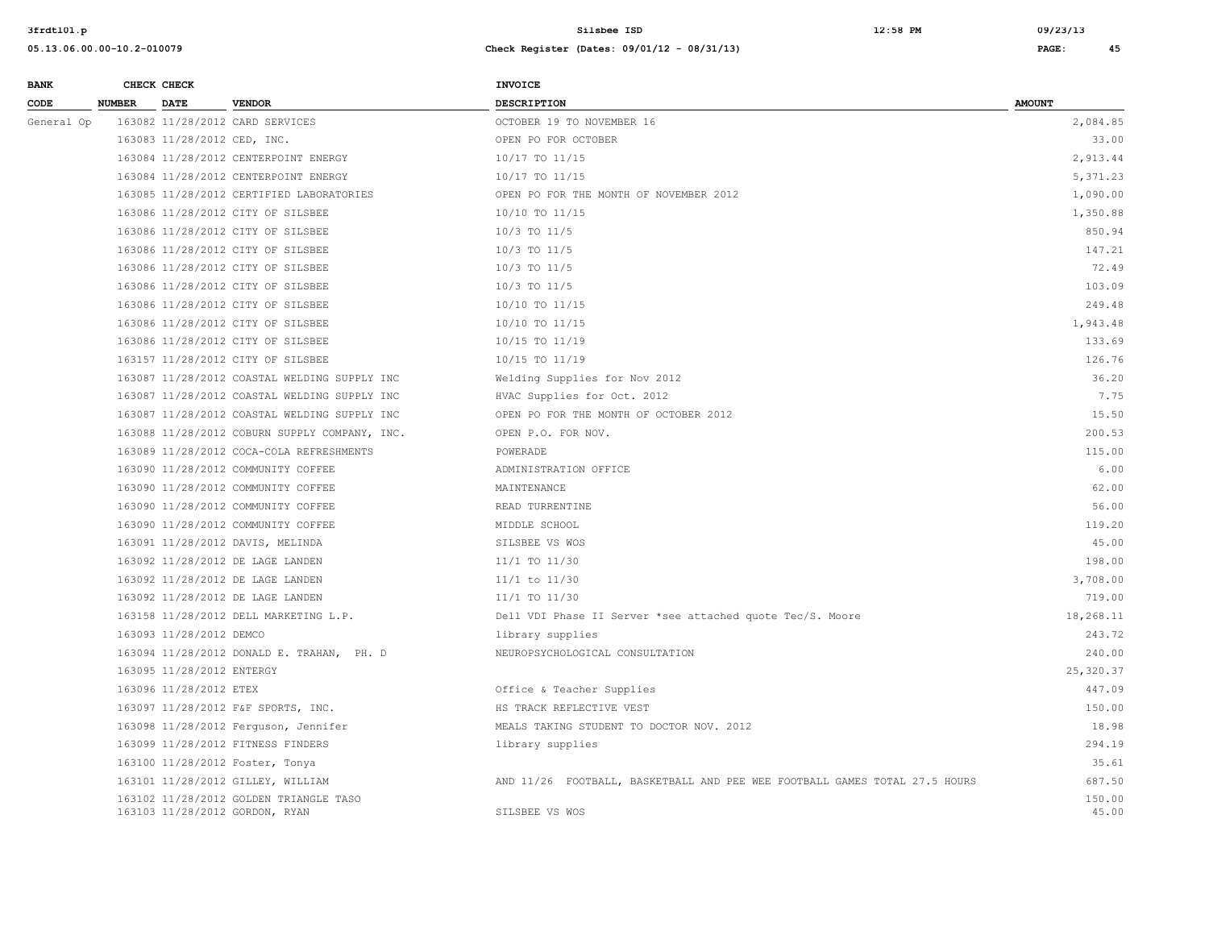| <b>BANK</b> |               | CHECK CHECK                 |                                                                          | INVOICE                                                                    |                 |
|-------------|---------------|-----------------------------|--------------------------------------------------------------------------|----------------------------------------------------------------------------|-----------------|
| CODE        | <b>NUMBER</b> | <b>DATE</b>                 | <b>VENDOR</b>                                                            | <b>DESCRIPTION</b>                                                         | <b>AMOUNT</b>   |
| General Op  |               |                             | 163082 11/28/2012 CARD SERVICES                                          | OCTOBER 19 TO NOVEMBER 16                                                  | 2,084.85        |
|             |               | 163083 11/28/2012 CED, INC. |                                                                          | OPEN PO FOR OCTOBER                                                        | 33.00           |
|             |               |                             | 163084 11/28/2012 CENTERPOINT ENERGY                                     | 10/17 TO 11/15                                                             | 2,913.44        |
|             |               |                             | 163084 11/28/2012 CENTERPOINT ENERGY                                     | 10/17 TO 11/15                                                             | 5,371.23        |
|             |               |                             | 163085 11/28/2012 CERTIFIED LABORATORIES                                 | OPEN PO FOR THE MONTH OF NOVEMBER 2012                                     | 1,090.00        |
|             |               |                             | 163086 11/28/2012 CITY OF SILSBEE                                        | 10/10 TO 11/15                                                             | 1,350.88        |
|             |               |                             | 163086 11/28/2012 CITY OF SILSBEE                                        | $10/3$ TO $11/5$                                                           | 850.94          |
|             |               |                             | 163086 11/28/2012 CITY OF SILSBEE                                        | 10/3 TO 11/5                                                               | 147.21          |
|             |               |                             | 163086 11/28/2012 CITY OF SILSBEE                                        | $10/3$ TO $11/5$                                                           | 72.49           |
|             |               |                             | 163086 11/28/2012 CITY OF SILSBEE                                        | 10/3 TO 11/5                                                               | 103.09          |
|             |               |                             | 163086 11/28/2012 CITY OF SILSBEE                                        | 10/10 TO 11/15                                                             | 249.48          |
|             |               |                             | 163086 11/28/2012 CITY OF SILSBEE                                        | 10/10 TO 11/15                                                             | 1,943.48        |
|             |               |                             | 163086 11/28/2012 CITY OF SILSBEE                                        | 10/15 TO 11/19                                                             | 133.69          |
|             |               |                             | 163157 11/28/2012 CITY OF SILSBEE                                        | 10/15 TO 11/19                                                             | 126.76          |
|             |               |                             | 163087 11/28/2012 COASTAL WELDING SUPPLY INC                             | Welding Supplies for Nov 2012                                              | 36.20           |
|             |               |                             | 163087 11/28/2012 COASTAL WELDING SUPPLY INC                             | HVAC Supplies for Oct. 2012                                                | 7.75            |
|             |               |                             | 163087 11/28/2012 COASTAL WELDING SUPPLY INC                             | OPEN PO FOR THE MONTH OF OCTOBER 2012                                      | 15.50           |
|             |               |                             | 163088 11/28/2012 COBURN SUPPLY COMPANY, INC.                            | OPEN P.O. FOR NOV.                                                         | 200.53          |
|             |               |                             | 163089 11/28/2012 COCA-COLA REFRESHMENTS                                 | POWERADE                                                                   | 115.00          |
|             |               |                             | 163090 11/28/2012 COMMUNITY COFFEE                                       | ADMINISTRATION OFFICE                                                      | 6.00            |
|             |               |                             | 163090 11/28/2012 COMMUNITY COFFEE                                       | MAINTENANCE                                                                | 62.00           |
|             |               |                             | 163090 11/28/2012 COMMUNITY COFFEE                                       | READ TURRENTINE                                                            | 56.00           |
|             |               |                             | 163090 11/28/2012 COMMUNITY COFFEE                                       | MIDDLE SCHOOL                                                              | 119.20          |
|             |               |                             | 163091 11/28/2012 DAVIS, MELINDA                                         | SILSBEE VS WOS                                                             | 45.00           |
|             |               |                             | 163092 11/28/2012 DE LAGE LANDEN                                         | 11/1 TO 11/30                                                              | 198.00          |
|             |               |                             | 163092 11/28/2012 DE LAGE LANDEN                                         | $11/1$ to $11/30$                                                          | 3,708.00        |
|             |               |                             | 163092 11/28/2012 DE LAGE LANDEN                                         | 11/1 TO 11/30                                                              | 719.00          |
|             |               |                             | 163158 11/28/2012 DELL MARKETING L.P.                                    | Dell VDI Phase II Server *see attached quote Tec/S. Moore                  | 18,268.11       |
|             |               | 163093 11/28/2012 DEMCO     |                                                                          | library supplies                                                           | 243.72          |
|             |               |                             | 163094 11/28/2012 DONALD E. TRAHAN, PH. D                                | NEUROPSYCHOLOGICAL CONSULTATION                                            | 240.00          |
|             |               | 163095 11/28/2012 ENTERGY   |                                                                          |                                                                            | 25,320.37       |
|             |               | 163096 11/28/2012 ETEX      |                                                                          | Office & Teacher Supplies                                                  | 447.09          |
|             |               |                             | 163097 11/28/2012 F&F SPORTS, INC.                                       | HS TRACK REFLECTIVE VEST                                                   | 150.00          |
|             |               |                             | 163098 11/28/2012 Ferguson, Jennifer                                     | MEALS TAKING STUDENT TO DOCTOR NOV. 2012                                   | 18.98           |
|             |               |                             | 163099 11/28/2012 FITNESS FINDERS                                        | library supplies                                                           | 294.19          |
|             |               |                             | 163100 11/28/2012 Foster, Tonya                                          |                                                                            | 35.61           |
|             |               |                             | 163101 11/28/2012 GILLEY, WILLIAM                                        | AND 11/26 FOOTBALL, BASKETBALL AND PEE WEE FOOTBALL GAMES TOTAL 27.5 HOURS | 687.50          |
|             |               |                             | 163102 11/28/2012 GOLDEN TRIANGLE TASO<br>163103 11/28/2012 GORDON, RYAN | SILSBEE VS WOS                                                             | 150.00<br>45.00 |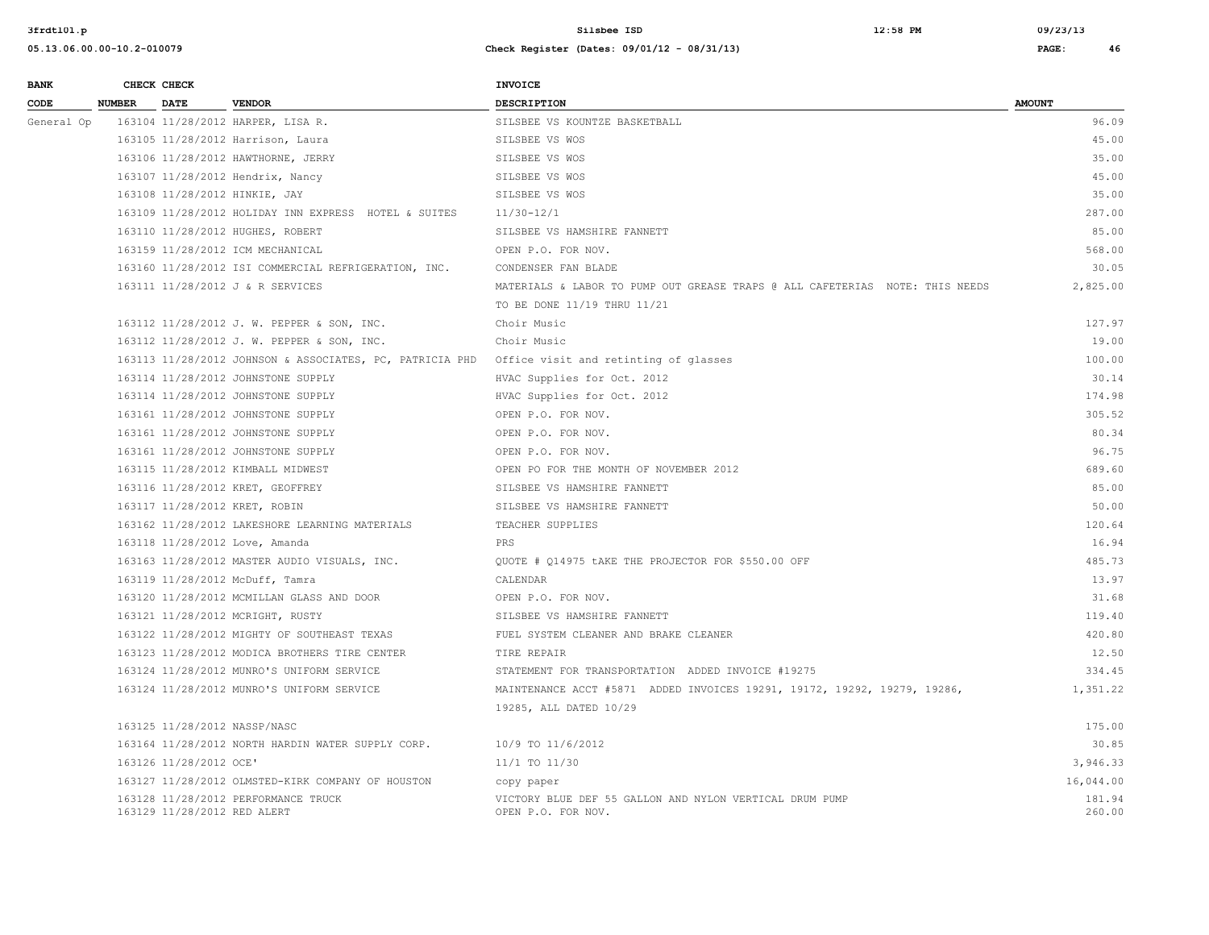| <b>BANK</b> |               | CHECK CHECK                 |                                                          | <b>INVOICE</b>                                                                                     |                  |
|-------------|---------------|-----------------------------|----------------------------------------------------------|----------------------------------------------------------------------------------------------------|------------------|
| CODE        | <b>NUMBER</b> | <b>DATE</b>                 | <b>VENDOR</b>                                            | <b>DESCRIPTION</b>                                                                                 | <b>AMOUNT</b>    |
| General Op  |               |                             | 163104 11/28/2012 HARPER, LISA R.                        | SILSBEE VS KOUNTZE BASKETBALL                                                                      | 96.09            |
|             |               |                             | 163105 11/28/2012 Harrison, Laura                        | SILSBEE VS WOS                                                                                     | 45.00            |
|             |               |                             | 163106 11/28/2012 HAWTHORNE, JERRY                       | SILSBEE VS WOS                                                                                     | 35.00            |
|             |               |                             | 163107 11/28/2012 Hendrix, Nancy                         | SILSBEE VS WOS                                                                                     | 45.00            |
|             |               |                             | 163108 11/28/2012 HINKIE, JAY                            | SILSBEE VS WOS                                                                                     | 35.00            |
|             |               |                             | 163109 11/28/2012 HOLIDAY INN EXPRESS HOTEL & SUITES     | $11/30 - 12/1$                                                                                     | 287.00           |
|             |               |                             | 163110 11/28/2012 HUGHES, ROBERT                         | SILSBEE VS HAMSHIRE FANNETT                                                                        | 85.00            |
|             |               |                             | 163159 11/28/2012 ICM MECHANICAL                         | OPEN P.O. FOR NOV.                                                                                 | 568.00           |
|             |               |                             | 163160 11/28/2012 ISI COMMERCIAL REFRIGERATION, INC.     | CONDENSER FAN BLADE                                                                                | 30.05            |
|             |               |                             | 163111 11/28/2012 J & R SERVICES                         | MATERIALS & LABOR TO PUMP OUT GREASE TRAPS @ ALL CAFETERIAS NOTE: THIS NEEDS                       | 2,825.00         |
|             |               |                             |                                                          | TO BE DONE 11/19 THRU 11/21                                                                        |                  |
|             |               |                             | 163112 11/28/2012 J. W. PEPPER & SON, INC.               | Choir Music                                                                                        | 127.97           |
|             |               |                             | 163112 11/28/2012 J. W. PEPPER & SON, INC.               | Choir Music                                                                                        | 19.00            |
|             |               |                             | 163113 11/28/2012 JOHNSON & ASSOCIATES, PC, PATRICIA PHD | Office visit and retinting of glasses                                                              | 100.00           |
|             |               |                             | 163114 11/28/2012 JOHNSTONE SUPPLY                       | HVAC Supplies for Oct. 2012                                                                        | 30.14            |
|             |               |                             | 163114 11/28/2012 JOHNSTONE SUPPLY                       | HVAC Supplies for Oct. 2012                                                                        | 174.98           |
|             |               |                             | 163161 11/28/2012 JOHNSTONE SUPPLY                       | OPEN P.O. FOR NOV.                                                                                 | 305.52           |
|             |               |                             | 163161 11/28/2012 JOHNSTONE SUPPLY                       | OPEN P.O. FOR NOV.                                                                                 | 80.34            |
|             |               |                             | 163161 11/28/2012 JOHNSTONE SUPPLY                       | OPEN P.O. FOR NOV.                                                                                 | 96.75            |
|             |               |                             | 163115 11/28/2012 KIMBALL MIDWEST                        | OPEN PO FOR THE MONTH OF NOVEMBER 2012                                                             | 689.60           |
|             |               |                             | 163116 11/28/2012 KRET, GEOFFREY                         | SILSBEE VS HAMSHIRE FANNETT                                                                        | 85.00            |
|             |               |                             | 163117 11/28/2012 KRET, ROBIN                            | SILSBEE VS HAMSHIRE FANNETT                                                                        | 50.00            |
|             |               |                             | 163162 11/28/2012 LAKESHORE LEARNING MATERIALS           | TEACHER SUPPLIES                                                                                   | 120.64           |
|             |               |                             | 163118 11/28/2012 Love, Amanda                           | PRS                                                                                                | 16.94            |
|             |               |                             | 163163 11/28/2012 MASTER AUDIO VISUALS, INC.             | OUOTE # 014975 tAKE THE PROJECTOR FOR \$550.00 OFF                                                 | 485.73           |
|             |               |                             | 163119 11/28/2012 McDuff, Tamra                          | CALENDAR                                                                                           | 13.97            |
|             |               |                             | 163120 11/28/2012 MCMILLAN GLASS AND DOOR                | OPEN P.O. FOR NOV.                                                                                 | 31.68            |
|             |               |                             | 163121 11/28/2012 MCRIGHT, RUSTY                         | SILSBEE VS HAMSHIRE FANNETT                                                                        | 119.40           |
|             |               |                             | 163122 11/28/2012 MIGHTY OF SOUTHEAST TEXAS              | FUEL SYSTEM CLEANER AND BRAKE CLEANER                                                              | 420.80           |
|             |               |                             | 163123 11/28/2012 MODICA BROTHERS TIRE CENTER            | TIRE REPAIR                                                                                        | 12.50            |
|             |               |                             | 163124 11/28/2012 MUNRO'S UNIFORM SERVICE                | STATEMENT FOR TRANSPORTATION ADDED INVOICE #19275                                                  | 334.45           |
|             |               |                             | 163124 11/28/2012 MUNRO'S UNIFORM SERVICE                | MAINTENANCE ACCT #5871 ADDED INVOICES 19291, 19172, 19292, 19279, 19286,<br>19285, ALL DATED 10/29 | 1,351.22         |
|             |               |                             | 163125 11/28/2012 NASSP/NASC                             |                                                                                                    | 175.00           |
|             |               |                             | 163164 11/28/2012 NORTH HARDIN WATER SUPPLY CORP.        | 10/9 TO 11/6/2012                                                                                  | 30.85            |
|             |               | 163126 11/28/2012 OCE'      |                                                          | 11/1 TO 11/30                                                                                      | 3,946.33         |
|             |               |                             | 163127 11/28/2012 OLMSTED-KIRK COMPANY OF HOUSTON        | copy paper                                                                                         | 16,044.00        |
|             |               | 163129 11/28/2012 RED ALERT | 163128 11/28/2012 PERFORMANCE TRUCK                      | VICTORY BLUE DEF 55 GALLON AND NYLON VERTICAL DRUM PUMP<br>OPEN P.O. FOR NOV.                      | 181.94<br>260.00 |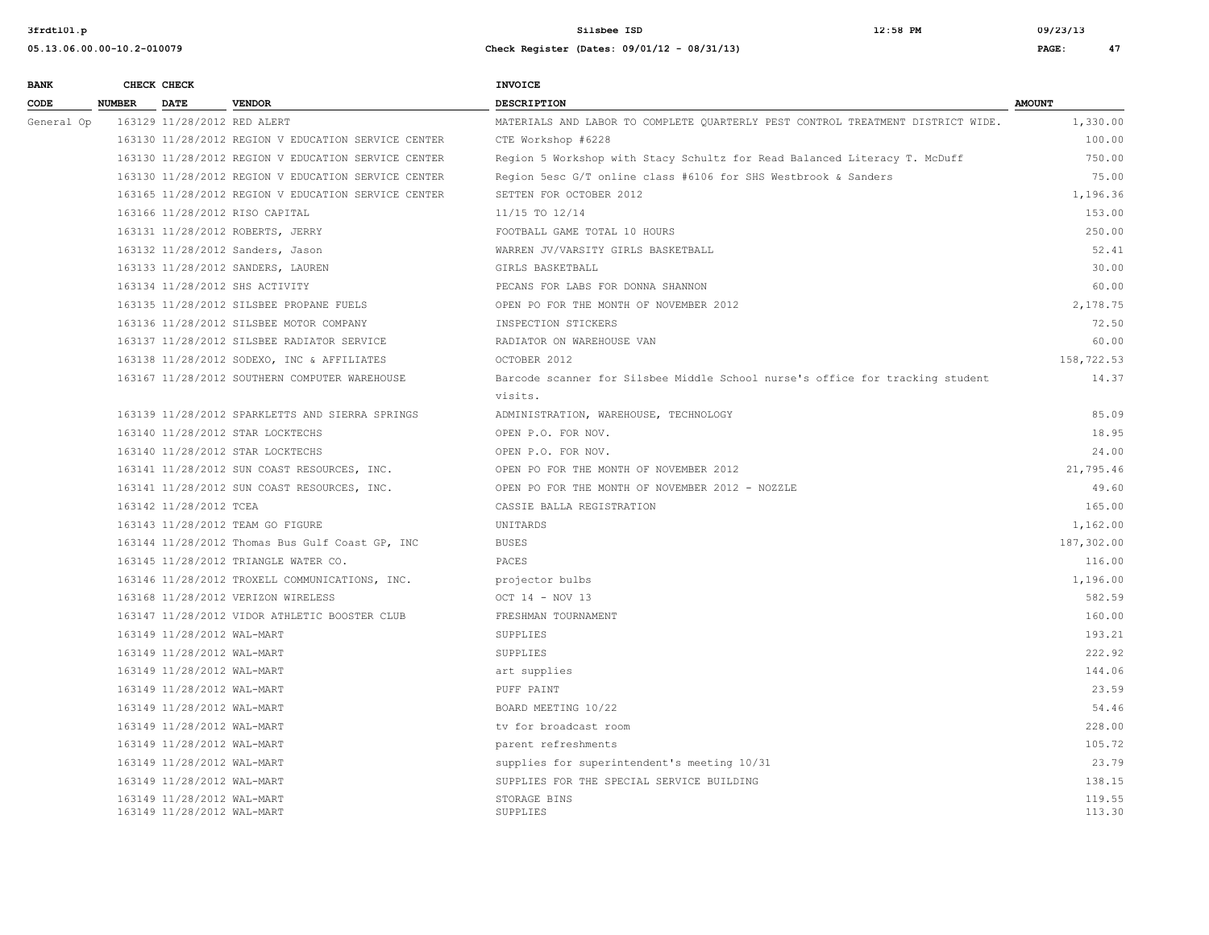**05.13.06.00.00-10.2-010079 Check Register (Dates: 09/01/12 - 08/31/13) PAGE: 47**

**3frdtl01.p Silsbee ISD 12:58 PM 09/23/13**

| <b>BANK</b> |               | CHECK CHECK                                              |                                                     | <b>INVOICE</b>                                                                  |                  |
|-------------|---------------|----------------------------------------------------------|-----------------------------------------------------|---------------------------------------------------------------------------------|------------------|
| CODE        | <b>NUMBER</b> | <b>DATE</b>                                              | <b>VENDOR</b>                                       | <b>DESCRIPTION</b>                                                              | <b>AMOUNT</b>    |
| General Op  |               | 163129 11/28/2012 RED ALERT                              |                                                     | MATERIALS AND LABOR TO COMPLETE QUARTERLY PEST CONTROL TREATMENT DISTRICT WIDE. | 1,330.00         |
|             |               |                                                          | 163130 11/28/2012 REGION V EDUCATION SERVICE CENTER | CTE Workshop #6228                                                              | 100.00           |
|             |               |                                                          | 163130 11/28/2012 REGION V EDUCATION SERVICE CENTER | Region 5 Workshop with Stacy Schultz for Read Balanced Literacy T. McDuff       | 750.00           |
|             |               |                                                          | 163130 11/28/2012 REGION V EDUCATION SERVICE CENTER | Region 5esc G/T online class #6106 for SHS Westbrook & Sanders                  | 75.00            |
|             |               |                                                          | 163165 11/28/2012 REGION V EDUCATION SERVICE CENTER | SETTEN FOR OCTOBER 2012                                                         | 1,196.36         |
|             |               |                                                          | 163166 11/28/2012 RISO CAPITAL                      | 11/15 TO 12/14                                                                  | 153.00           |
|             |               |                                                          | 163131 11/28/2012 ROBERTS, JERRY                    | FOOTBALL GAME TOTAL 10 HOURS                                                    | 250.00           |
|             |               |                                                          | 163132 11/28/2012 Sanders, Jason                    | WARREN JV/VARSITY GIRLS BASKETBALL                                              | 52.41            |
|             |               |                                                          | 163133 11/28/2012 SANDERS, LAUREN                   | GIRLS BASKETBALL                                                                | 30.00            |
|             |               |                                                          | 163134 11/28/2012 SHS ACTIVITY                      | PECANS FOR LABS FOR DONNA SHANNON                                               | 60.00            |
|             |               |                                                          | 163135 11/28/2012 SILSBEE PROPANE FUELS             | OPEN PO FOR THE MONTH OF NOVEMBER 2012                                          | 2,178.75         |
|             |               |                                                          | 163136 11/28/2012 SILSBEE MOTOR COMPANY             | INSPECTION STICKERS                                                             | 72.50            |
|             |               |                                                          | 163137 11/28/2012 SILSBEE RADIATOR SERVICE          | RADIATOR ON WAREHOUSE VAN                                                       | 60.00            |
|             |               |                                                          | 163138 11/28/2012 SODEXO, INC & AFFILIATES          | OCTOBER 2012                                                                    | 158,722.53       |
|             |               |                                                          | 163167 11/28/2012 SOUTHERN COMPUTER WAREHOUSE       | Barcode scanner for Silsbee Middle School nurse's office for tracking student   | 14.37            |
|             |               |                                                          |                                                     | visits.                                                                         |                  |
|             |               |                                                          | 163139 11/28/2012 SPARKLETTS AND SIERRA SPRINGS     | ADMINISTRATION, WAREHOUSE, TECHNOLOGY                                           | 85.09            |
|             |               |                                                          | 163140 11/28/2012 STAR LOCKTECHS                    | OPEN P.O. FOR NOV.                                                              | 18.95            |
|             |               |                                                          | 163140 11/28/2012 STAR LOCKTECHS                    | OPEN P.O. FOR NOV.                                                              | 24.00            |
|             |               |                                                          | 163141 11/28/2012 SUN COAST RESOURCES, INC.         | OPEN PO FOR THE MONTH OF NOVEMBER 2012                                          | 21,795.46        |
|             |               |                                                          | 163141 11/28/2012 SUN COAST RESOURCES, INC.         | OPEN PO FOR THE MONTH OF NOVEMBER 2012 - NOZZLE                                 | 49.60            |
|             |               | 163142 11/28/2012 TCEA                                   |                                                     | CASSIE BALLA REGISTRATION                                                       | 165.00           |
|             |               |                                                          | 163143 11/28/2012 TEAM GO FIGURE                    | UNITARDS                                                                        | 1,162.00         |
|             |               |                                                          | 163144 11/28/2012 Thomas Bus Gulf Coast GP, INC     | <b>BUSES</b>                                                                    | 187,302.00       |
|             |               |                                                          | 163145 11/28/2012 TRIANGLE WATER CO.                | PACES                                                                           | 116.00           |
|             |               |                                                          | 163146 11/28/2012 TROXELL COMMUNICATIONS, INC.      | projector bulbs                                                                 | 1,196.00         |
|             |               |                                                          | 163168 11/28/2012 VERIZON WIRELESS                  | OCT 14 - NOV 13                                                                 | 582.59           |
|             |               |                                                          | 163147 11/28/2012 VIDOR ATHLETIC BOOSTER CLUB       | FRESHMAN TOURNAMENT                                                             | 160.00           |
|             |               | 163149 11/28/2012 WAL-MART                               |                                                     | SUPPLIES                                                                        | 193.21           |
|             |               | 163149 11/28/2012 WAL-MART                               |                                                     | SUPPLIES                                                                        | 222.92           |
|             |               | 163149 11/28/2012 WAL-MART                               |                                                     | art supplies                                                                    | 144.06           |
|             |               | 163149 11/28/2012 WAL-MART                               |                                                     | PUFF PAINT                                                                      | 23.59            |
|             |               | 163149 11/28/2012 WAL-MART                               |                                                     | BOARD MEETING 10/22                                                             | 54.46            |
|             |               | 163149 11/28/2012 WAL-MART                               |                                                     | ty for broadcast room                                                           | 228.00           |
|             |               | 163149 11/28/2012 WAL-MART                               |                                                     | parent refreshments                                                             | 105.72           |
|             |               | 163149 11/28/2012 WAL-MART                               |                                                     | supplies for superintendent's meeting 10/31                                     | 23.79            |
|             |               | 163149 11/28/2012 WAL-MART                               |                                                     | SUPPLIES FOR THE SPECIAL SERVICE BUILDING                                       | 138.15           |
|             |               | 163149 11/28/2012 WAL-MART<br>163149 11/28/2012 WAL-MART |                                                     | STORAGE BINS<br>SUPPLIES                                                        | 119.55<br>113.30 |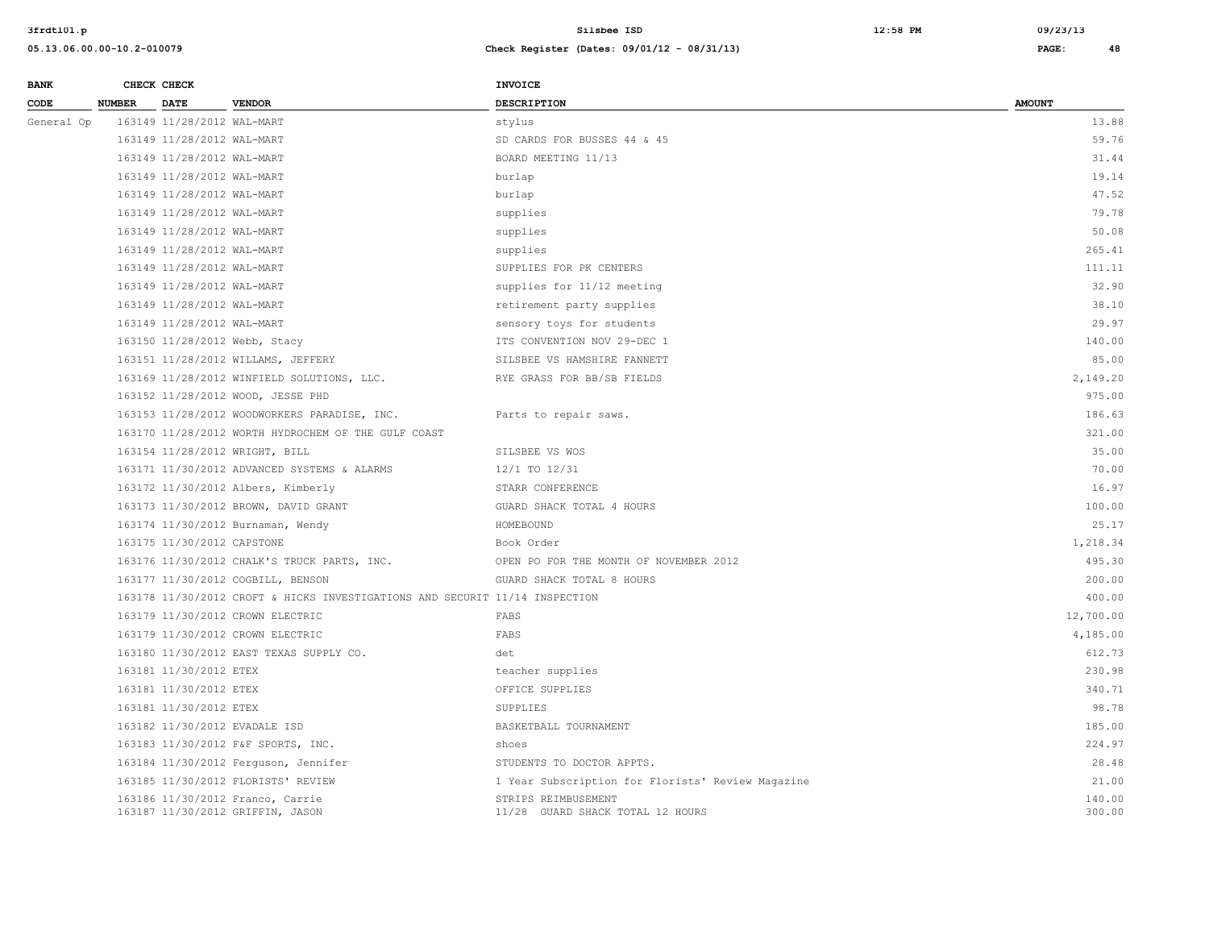| <b>BANK</b> |               | CHECK CHECK                |                                                                             | <b>INVOICE</b>                                          |                  |
|-------------|---------------|----------------------------|-----------------------------------------------------------------------------|---------------------------------------------------------|------------------|
| CODE        | <b>NUMBER</b> | <b>DATE</b>                | <b>VENDOR</b>                                                               | <b>DESCRIPTION</b>                                      | <b>AMOUNT</b>    |
| General Op  |               | 163149 11/28/2012 WAL-MART |                                                                             | stylus                                                  | 13.88            |
|             |               | 163149 11/28/2012 WAL-MART |                                                                             | SD CARDS FOR BUSSES 44 & 45                             | 59.76            |
|             |               | 163149 11/28/2012 WAL-MART |                                                                             | BOARD MEETING 11/13                                     | 31.44            |
|             |               | 163149 11/28/2012 WAL-MART |                                                                             | burlap                                                  | 19.14            |
|             |               | 163149 11/28/2012 WAL-MART |                                                                             | burlap                                                  | 47.52            |
|             |               | 163149 11/28/2012 WAL-MART |                                                                             | supplies                                                | 79.78            |
|             |               | 163149 11/28/2012 WAL-MART |                                                                             | supplies                                                | 50.08            |
|             |               | 163149 11/28/2012 WAL-MART |                                                                             | supplies                                                | 265.41           |
|             |               | 163149 11/28/2012 WAL-MART |                                                                             | SUPPLIES FOR PK CENTERS                                 | 111.11           |
|             |               | 163149 11/28/2012 WAL-MART |                                                                             | supplies for 11/12 meeting                              | 32.90            |
|             |               | 163149 11/28/2012 WAL-MART |                                                                             | retirement party supplies                               | 38.10            |
|             |               | 163149 11/28/2012 WAL-MART |                                                                             | sensory toys for students                               | 29.97            |
|             |               |                            | 163150 11/28/2012 Webb, Stacy                                               | ITS CONVENTION NOV 29-DEC 1                             | 140.00           |
|             |               |                            | 163151 11/28/2012 WILLAMS, JEFFERY                                          | SILSBEE VS HAMSHIRE FANNETT                             | 85.00            |
|             |               |                            | 163169 11/28/2012 WINFIELD SOLUTIONS, LLC.                                  | RYE GRASS FOR BB/SB FIELDS                              | 2,149.20         |
|             |               |                            | 163152 11/28/2012 WOOD, JESSE PHD                                           |                                                         | 975.00           |
|             |               |                            | 163153 11/28/2012 WOODWORKERS PARADISE, INC.                                | Parts to repair saws.                                   | 186.63           |
|             |               |                            | 163170 11/28/2012 WORTH HYDROCHEM OF THE GULF COAST                         |                                                         | 321.00           |
|             |               |                            | 163154 11/28/2012 WRIGHT, BILL                                              | SILSBEE VS WOS                                          | 35.00            |
|             |               |                            | 163171 11/30/2012 ADVANCED SYSTEMS & ALARMS                                 | 12/1 TO 12/31                                           | 70.00            |
|             |               |                            | 163172 11/30/2012 Albers, Kimberly                                          | STARR CONFERENCE                                        | 16.97            |
|             |               |                            | 163173 11/30/2012 BROWN, DAVID GRANT                                        | GUARD SHACK TOTAL 4 HOURS                               | 100.00           |
|             |               |                            | 163174 11/30/2012 Burnaman, Wendy                                           | HOMEBOUND                                               | 25.17            |
|             |               | 163175 11/30/2012 CAPSTONE |                                                                             | Book Order                                              | 1,218.34         |
|             |               |                            | 163176 11/30/2012 CHALK'S TRUCK PARTS, INC.                                 | OPEN PO FOR THE MONTH OF NOVEMBER 2012                  | 495.30           |
|             |               |                            | 163177 11/30/2012 COGBILL, BENSON                                           | GUARD SHACK TOTAL 8 HOURS                               | 200.00           |
|             |               |                            | 163178 11/30/2012 CROFT & HICKS INVESTIGATIONS AND SECURIT 11/14 INSPECTION |                                                         | 400.00           |
|             |               |                            | 163179 11/30/2012 CROWN ELECTRIC                                            | FABS                                                    | 12,700.00        |
|             |               |                            | 163179 11/30/2012 CROWN ELECTRIC                                            | FABS                                                    | 4,185.00         |
|             |               |                            | 163180 11/30/2012 EAST TEXAS SUPPLY CO.                                     | det                                                     | 612.73           |
|             |               | 163181 11/30/2012 ETEX     |                                                                             | teacher supplies                                        | 230.98           |
|             |               | 163181 11/30/2012 ETEX     |                                                                             | OFFICE SUPPLIES                                         | 340.71           |
|             |               | 163181 11/30/2012 ETEX     |                                                                             | SUPPLIES                                                | 98.78            |
|             |               |                            | 163182 11/30/2012 EVADALE ISD                                               | BASKETBALL TOURNAMENT                                   | 185.00           |
|             |               |                            | 163183 11/30/2012 F&F SPORTS, INC.                                          | shoes                                                   | 224.97           |
|             |               |                            | 163184 11/30/2012 Ferguson, Jennifer                                        | STUDENTS TO DOCTOR APPTS.                               | 28.48            |
|             |               |                            | 163185 11/30/2012 FLORISTS' REVIEW                                          | 1 Year Subscription for Florists' Review Magazine       | 21.00            |
|             |               |                            | 163186 11/30/2012 Franco, Carrie<br>163187 11/30/2012 GRIFFIN, JASON        | STRIPS REIMBUSEMENT<br>11/28 GUARD SHACK TOTAL 12 HOURS | 140.00<br>300.00 |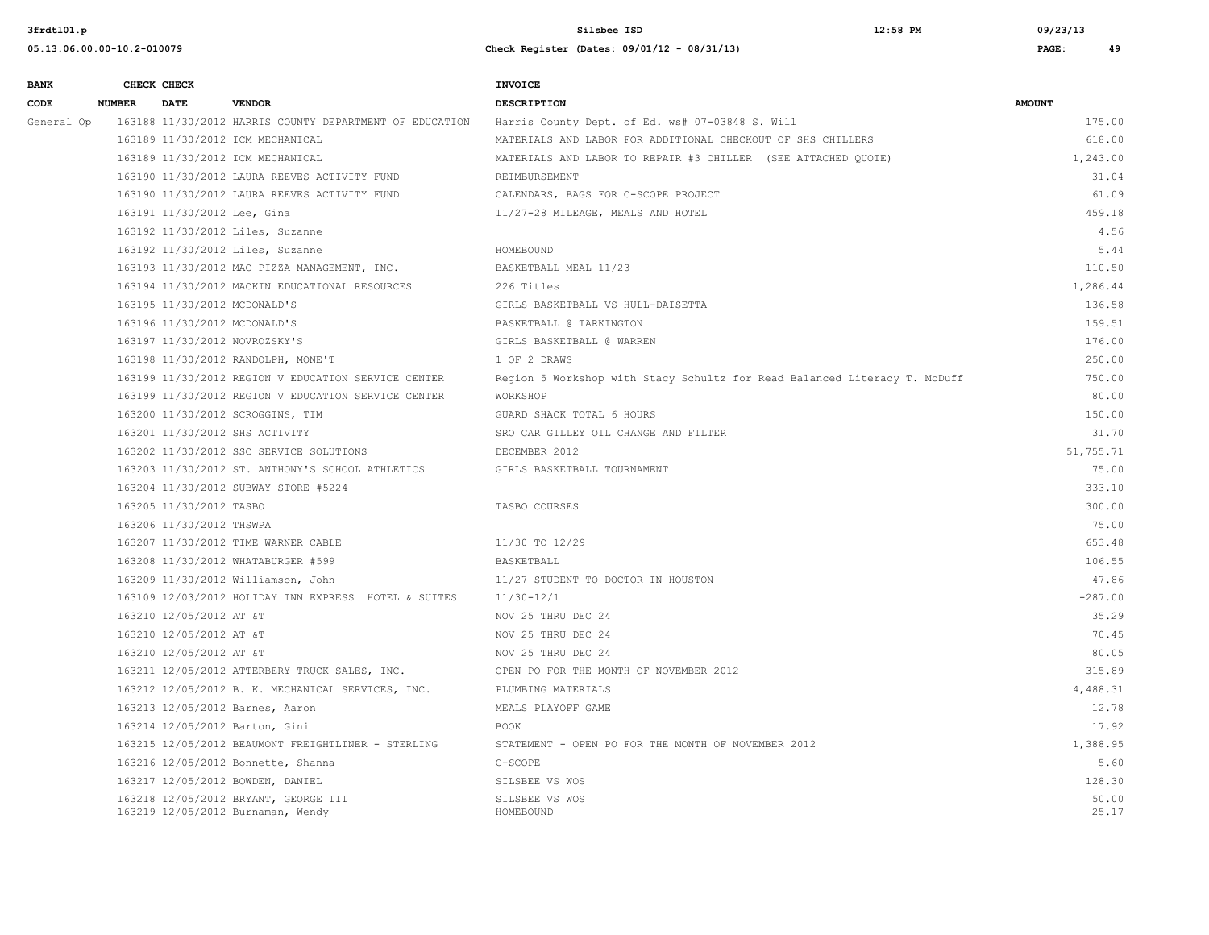**05.13.06.00.00-10.2-010079 Check Register (Dates: 09/01/12 - 08/31/13) PAGE: 49**

**3frdtl01.p Silsbee ISD 12:58 PM 09/23/13**

| <b>BANK</b> |             | CHECK CHECK                 |                                                                           | <b>INVOICE</b>                                                            |                |
|-------------|-------------|-----------------------------|---------------------------------------------------------------------------|---------------------------------------------------------------------------|----------------|
| CODE        | NUMBER DATE |                             | <b>VENDOR</b>                                                             | <b>DESCRIPTION</b>                                                        | <b>AMOUNT</b>  |
| General Op  |             |                             | 163188 11/30/2012 HARRIS COUNTY DEPARTMENT OF EDUCATION                   | Harris County Dept. of Ed. ws# 07-03848 S. Will                           | 175.00         |
|             |             |                             | 163189 11/30/2012 ICM MECHANICAL                                          | MATERIALS AND LABOR FOR ADDITIONAL CHECKOUT OF SHS CHILLERS               | 618.00         |
|             |             |                             | 163189 11/30/2012 ICM MECHANICAL                                          | MATERIALS AND LABOR TO REPAIR #3 CHILLER (SEE ATTACHED QUOTE)             | 1,243.00       |
|             |             |                             | 163190 11/30/2012 LAURA REEVES ACTIVITY FUND                              | REIMBURSEMENT                                                             | 31.04          |
|             |             |                             | 163190 11/30/2012 LAURA REEVES ACTIVITY FUND                              | CALENDARS, BAGS FOR C-SCOPE PROJECT                                       | 61.09          |
|             |             | 163191 11/30/2012 Lee, Gina |                                                                           | 11/27-28 MILEAGE, MEALS AND HOTEL                                         | 459.18         |
|             |             |                             | 163192 11/30/2012 Liles, Suzanne                                          |                                                                           | 4.56           |
|             |             |                             | 163192 11/30/2012 Liles, Suzanne                                          | HOMEBOUND                                                                 | 5.44           |
|             |             |                             | 163193 11/30/2012 MAC PIZZA MANAGEMENT, INC.                              | BASKETBALL MEAL 11/23                                                     | 110.50         |
|             |             |                             | 163194 11/30/2012 MACKIN EDUCATIONAL RESOURCES                            | 226 Titles                                                                | 1,286.44       |
|             |             |                             | 163195 11/30/2012 MCDONALD'S                                              | GIRLS BASKETBALL VS HULL-DAISETTA                                         | 136.58         |
|             |             |                             | 163196 11/30/2012 MCDONALD'S                                              | BASKETBALL @ TARKINGTON                                                   | 159.51         |
|             |             |                             | 163197 11/30/2012 NOVROZSKY'S                                             | GIRLS BASKETBALL @ WARREN                                                 | 176.00         |
|             |             |                             | 163198 11/30/2012 RANDOLPH, MONE'T                                        | 1 OF 2 DRAWS                                                              | 250.00         |
|             |             |                             | 163199 11/30/2012 REGION V EDUCATION SERVICE CENTER                       | Region 5 Workshop with Stacy Schultz for Read Balanced Literacy T. McDuff | 750.00         |
|             |             |                             | 163199 11/30/2012 REGION V EDUCATION SERVICE CENTER                       | WORKSHOP                                                                  | 80.00          |
|             |             |                             | 163200 11/30/2012 SCROGGINS, TIM                                          | GUARD SHACK TOTAL 6 HOURS                                                 | 150.00         |
|             |             |                             | 163201 11/30/2012 SHS ACTIVITY                                            | SRO CAR GILLEY OIL CHANGE AND FILTER                                      | 31.70          |
|             |             |                             | 163202 11/30/2012 SSC SERVICE SOLUTIONS                                   | DECEMBER 2012                                                             | 51,755.71      |
|             |             |                             | 163203 11/30/2012 ST. ANTHONY'S SCHOOL ATHLETICS                          | GIRLS BASKETBALL TOURNAMENT                                               | 75.00          |
|             |             |                             | 163204 11/30/2012 SUBWAY STORE #5224                                      |                                                                           | 333.10         |
|             |             | 163205 11/30/2012 TASBO     |                                                                           | TASBO COURSES                                                             | 300.00         |
|             |             | 163206 11/30/2012 THSWPA    |                                                                           |                                                                           | 75.00          |
|             |             |                             | 163207 11/30/2012 TIME WARNER CABLE                                       | 11/30 TO 12/29                                                            | 653.48         |
|             |             |                             | 163208 11/30/2012 WHATABURGER #599                                        | BASKETBALL                                                                | 106.55         |
|             |             |                             | 163209 11/30/2012 Williamson, John                                        | 11/27 STUDENT TO DOCTOR IN HOUSTON                                        | 47.86          |
|             |             |                             | 163109 12/03/2012 HOLIDAY INN EXPRESS HOTEL & SUITES                      | $11/30 - 12/1$                                                            | $-287.00$      |
|             |             | 163210 12/05/2012 AT &T     |                                                                           | NOV 25 THRU DEC 24                                                        | 35.29          |
|             |             | 163210 12/05/2012 AT &T     |                                                                           | NOV 25 THRU DEC 24                                                        | 70.45          |
|             |             | 163210 12/05/2012 AT &T     |                                                                           | NOV 25 THRU DEC 24                                                        | 80.05          |
|             |             |                             | 163211 12/05/2012 ATTERBERY TRUCK SALES, INC.                             | OPEN PO FOR THE MONTH OF NOVEMBER 2012                                    | 315.89         |
|             |             |                             | 163212 12/05/2012 B. K. MECHANICAL SERVICES, INC.                         | PLUMBING MATERIALS                                                        | 4,488.31       |
|             |             |                             | 163213 12/05/2012 Barnes, Aaron                                           | MEALS PLAYOFF GAME                                                        | 12.78          |
|             |             |                             | 163214 12/05/2012 Barton, Gini                                            | <b>BOOK</b>                                                               | 17.92          |
|             |             |                             | 163215 12/05/2012 BEAUMONT FREIGHTLINER - STERLING                        | STATEMENT - OPEN PO FOR THE MONTH OF NOVEMBER 2012                        | 1,388.95       |
|             |             |                             | 163216 12/05/2012 Bonnette, Shanna                                        | C-SCOPE                                                                   | 5.60           |
|             |             |                             | 163217 12/05/2012 BOWDEN, DANIEL                                          | SILSBEE VS WOS                                                            | 128.30         |
|             |             |                             | 163218 12/05/2012 BRYANT, GEORGE III<br>163219 12/05/2012 Burnaman, Wendy | SILSBEE VS WOS<br>HOMEBOUND                                               | 50.00<br>25.17 |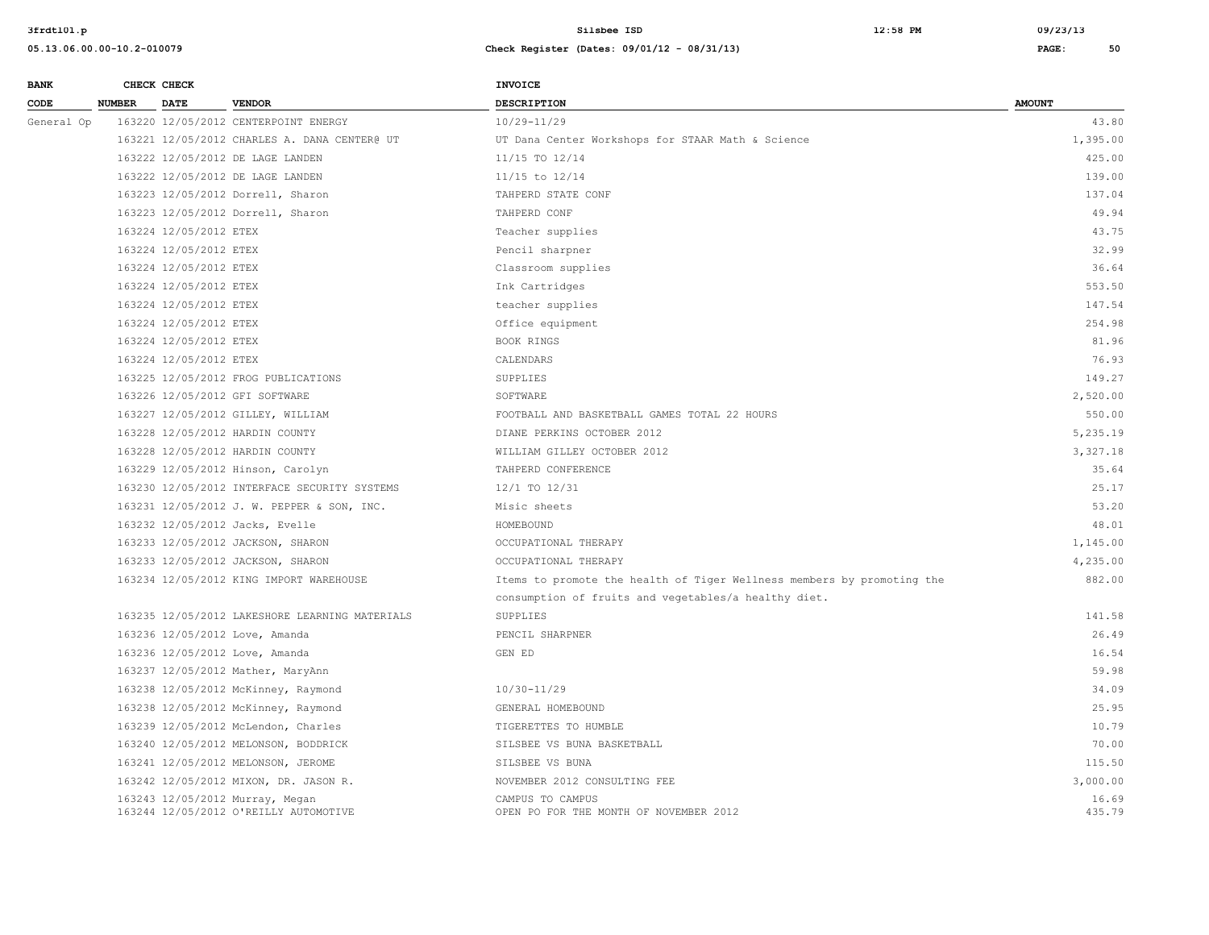| <b>BANK</b> |               | CHECK CHECK            |                                                                          | <b>INVOICE</b>                                                         |                 |
|-------------|---------------|------------------------|--------------------------------------------------------------------------|------------------------------------------------------------------------|-----------------|
| CODE        | <b>NUMBER</b> | <b>DATE</b>            | <b>VENDOR</b>                                                            | <b>DESCRIPTION</b>                                                     | <b>AMOUNT</b>   |
| General Op  |               |                        | 163220 12/05/2012 CENTERPOINT ENERGY                                     | $10/29 - 11/29$                                                        | 43.80           |
|             |               |                        | 163221 12/05/2012 CHARLES A. DANA CENTER@ UT                             | UT Dana Center Workshops for STAAR Math & Science                      | 1,395.00        |
|             |               |                        | 163222 12/05/2012 DE LAGE LANDEN                                         | 11/15 TO 12/14                                                         | 425.00          |
|             |               |                        | 163222 12/05/2012 DE LAGE LANDEN                                         | 11/15 to 12/14                                                         | 139.00          |
|             |               |                        | 163223 12/05/2012 Dorrell, Sharon                                        | TAHPERD STATE CONF                                                     | 137.04          |
|             |               |                        | 163223 12/05/2012 Dorrell, Sharon                                        | TAHPERD CONF                                                           | 49.94           |
|             |               | 163224 12/05/2012 ETEX |                                                                          | Teacher supplies                                                       | 43.75           |
|             |               | 163224 12/05/2012 ETEX |                                                                          | Pencil sharpner                                                        | 32.99           |
|             |               | 163224 12/05/2012 ETEX |                                                                          | Classroom supplies                                                     | 36.64           |
|             |               | 163224 12/05/2012 ETEX |                                                                          | Ink Cartridges                                                         | 553.50          |
|             |               | 163224 12/05/2012 ETEX |                                                                          | teacher supplies                                                       | 147.54          |
|             |               | 163224 12/05/2012 ETEX |                                                                          | Office equipment                                                       | 254.98          |
|             |               | 163224 12/05/2012 ETEX |                                                                          | BOOK RINGS                                                             | 81.96           |
|             |               | 163224 12/05/2012 ETEX |                                                                          | CALENDARS                                                              | 76.93           |
|             |               |                        | 163225 12/05/2012 FROG PUBLICATIONS                                      | SUPPLIES                                                               | 149.27          |
|             |               |                        | 163226 12/05/2012 GFI SOFTWARE                                           | SOFTWARE                                                               | 2,520.00        |
|             |               |                        | 163227 12/05/2012 GILLEY, WILLIAM                                        | FOOTBALL AND BASKETBALL GAMES TOTAL 22 HOURS                           | 550.00          |
|             |               |                        | 163228 12/05/2012 HARDIN COUNTY                                          | DIANE PERKINS OCTOBER 2012                                             | 5,235.19        |
|             |               |                        | 163228 12/05/2012 HARDIN COUNTY                                          | WILLIAM GILLEY OCTOBER 2012                                            | 3,327.18        |
|             |               |                        | 163229 12/05/2012 Hinson, Carolyn                                        | TAHPERD CONFERENCE                                                     | 35.64           |
|             |               |                        | 163230 12/05/2012 INTERFACE SECURITY SYSTEMS                             | 12/1 TO 12/31                                                          | 25.17           |
|             |               |                        | 163231 12/05/2012 J. W. PEPPER & SON, INC.                               | Misic sheets                                                           | 53.20           |
|             |               |                        | 163232 12/05/2012 Jacks, Evelle                                          | HOMEBOUND                                                              | 48.01           |
|             |               |                        | 163233 12/05/2012 JACKSON, SHARON                                        | OCCUPATIONAL THERAPY                                                   | 1,145.00        |
|             |               |                        | 163233 12/05/2012 JACKSON, SHARON                                        | OCCUPATIONAL THERAPY                                                   | 4,235.00        |
|             |               |                        | 163234 12/05/2012 KING IMPORT WAREHOUSE                                  | Items to promote the health of Tiger Wellness members by promoting the | 882.00          |
|             |               |                        |                                                                          | consumption of fruits and vegetables/a healthy diet.                   |                 |
|             |               |                        | 163235 12/05/2012 LAKESHORE LEARNING MATERIALS                           | SUPPLIES                                                               | 141.58          |
|             |               |                        | 163236 12/05/2012 Love, Amanda                                           | PENCIL SHARPNER                                                        | 26.49           |
|             |               |                        | 163236 12/05/2012 Love, Amanda                                           | GEN ED                                                                 | 16.54           |
|             |               |                        | 163237 12/05/2012 Mather, MaryAnn                                        |                                                                        | 59.98           |
|             |               |                        | 163238 12/05/2012 McKinney, Raymond                                      | 10/30-11/29                                                            | 34.09           |
|             |               |                        | 163238 12/05/2012 McKinney, Raymond                                      | GENERAL HOMEBOUND                                                      | 25.95           |
|             |               |                        | 163239 12/05/2012 McLendon, Charles                                      | TIGERETTES TO HUMBLE                                                   | 10.79           |
|             |               |                        | 163240 12/05/2012 MELONSON, BODDRICK                                     | SILSBEE VS BUNA BASKETBALL                                             | 70.00           |
|             |               |                        | 163241 12/05/2012 MELONSON, JEROME                                       | SILSBEE VS BUNA                                                        | 115.50          |
|             |               |                        | 163242 12/05/2012 MIXON, DR. JASON R.                                    | NOVEMBER 2012 CONSULTING FEE                                           | 3,000.00        |
|             |               |                        | 163243 12/05/2012 Murray, Megan<br>163244 12/05/2012 O'REILLY AUTOMOTIVE | CAMPUS TO CAMPUS<br>OPEN PO FOR THE MONTH OF NOVEMBER 2012             | 16.69<br>435.79 |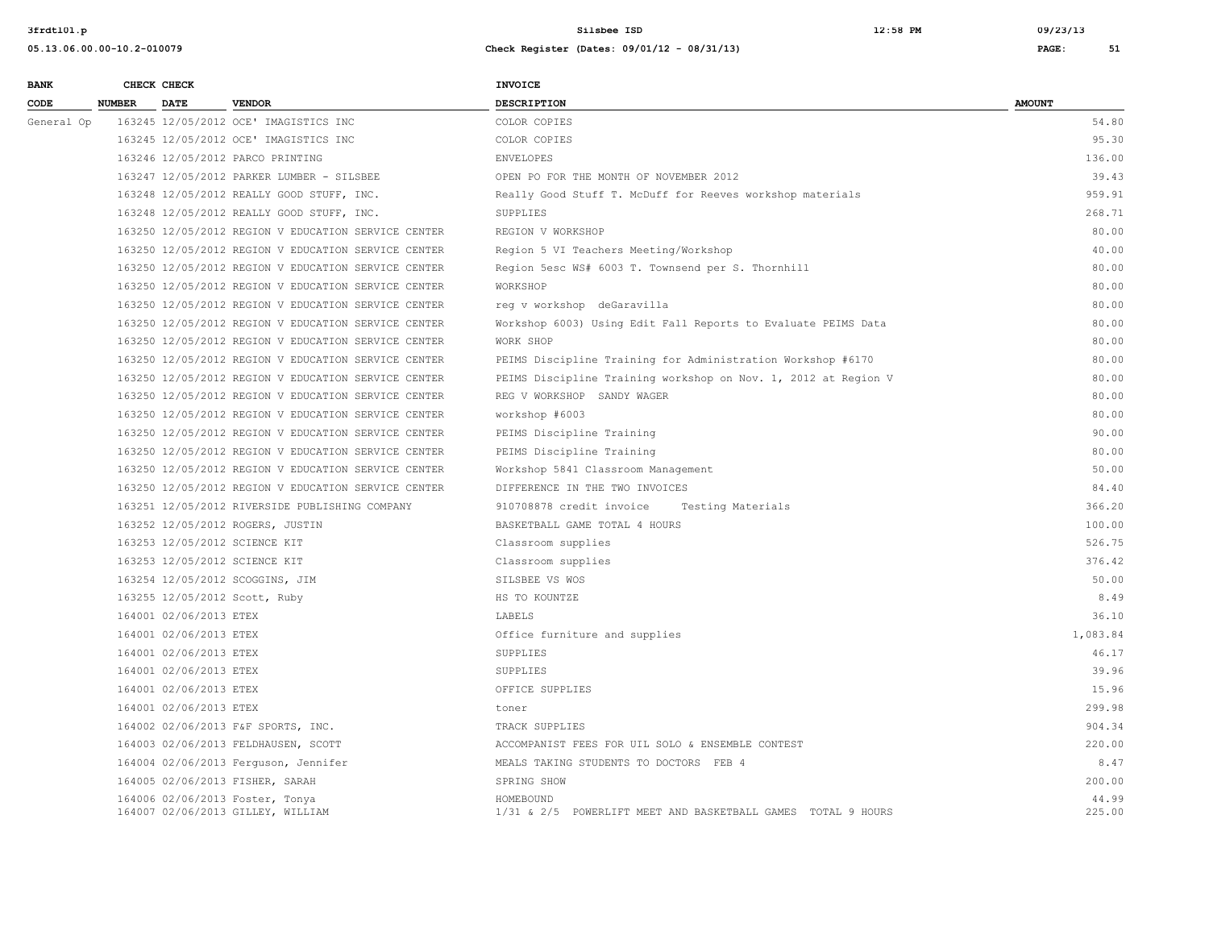| <b>BANK</b> |               | CHECK CHECK            |                                                     | <b>INVOICE</b>                                                 |               |
|-------------|---------------|------------------------|-----------------------------------------------------|----------------------------------------------------------------|---------------|
| CODE        | <b>NUMBER</b> | <b>DATE</b>            | <b>VENDOR</b>                                       | <b>DESCRIPTION</b>                                             | <b>AMOUNT</b> |
| General Op  |               |                        | 163245 12/05/2012 OCE' IMAGISTICS INC               | COLOR COPIES                                                   | 54.80         |
|             |               |                        | 163245 12/05/2012 OCE' IMAGISTICS INC               | COLOR COPIES                                                   | 95.30         |
|             |               |                        | 163246 12/05/2012 PARCO PRINTING                    | <b>ENVELOPES</b>                                               | 136.00        |
|             |               |                        | 163247 12/05/2012 PARKER LUMBER - SILSBEE           | OPEN PO FOR THE MONTH OF NOVEMBER 2012                         | 39.43         |
|             |               |                        | 163248 12/05/2012 REALLY GOOD STUFF, INC.           | Really Good Stuff T. McDuff for Reeves workshop materials      | 959.91        |
|             |               |                        | 163248 12/05/2012 REALLY GOOD STUFF, INC.           | SUPPLIES                                                       | 268.71        |
|             |               |                        | 163250 12/05/2012 REGION V EDUCATION SERVICE CENTER | REGION V WORKSHOP                                              | 80.00         |
|             |               |                        | 163250 12/05/2012 REGION V EDUCATION SERVICE CENTER | Region 5 VI Teachers Meeting/Workshop                          | 40.00         |
|             |               |                        | 163250 12/05/2012 REGION V EDUCATION SERVICE CENTER | Region 5esc WS# 6003 T. Townsend per S. Thornhill              | 80.00         |
|             |               |                        | 163250 12/05/2012 REGION V EDUCATION SERVICE CENTER | WORKSHOP                                                       | 80.00         |
|             |               |                        | 163250 12/05/2012 REGION V EDUCATION SERVICE CENTER | req v workshop deGaravilla                                     | 80.00         |
|             |               |                        | 163250 12/05/2012 REGION V EDUCATION SERVICE CENTER | Workshop 6003) Using Edit Fall Reports to Evaluate PEIMS Data  | 80.00         |
|             |               |                        | 163250 12/05/2012 REGION V EDUCATION SERVICE CENTER | WORK SHOP                                                      | 80.00         |
|             |               |                        | 163250 12/05/2012 REGION V EDUCATION SERVICE CENTER | PEIMS Discipline Training for Administration Workshop #6170    | 80.00         |
|             |               |                        | 163250 12/05/2012 REGION V EDUCATION SERVICE CENTER | PEIMS Discipline Training workshop on Nov. 1, 2012 at Region V | 80.00         |
|             |               |                        | 163250 12/05/2012 REGION V EDUCATION SERVICE CENTER | REG V WORKSHOP SANDY WAGER                                     | 80.00         |
|             |               |                        | 163250 12/05/2012 REGION V EDUCATION SERVICE CENTER | workshop #6003                                                 | 80.00         |
|             |               |                        | 163250 12/05/2012 REGION V EDUCATION SERVICE CENTER | PEIMS Discipline Training                                      | 90.00         |
|             |               |                        | 163250 12/05/2012 REGION V EDUCATION SERVICE CENTER | PEIMS Discipline Training                                      | 80.00         |
|             |               |                        | 163250 12/05/2012 REGION V EDUCATION SERVICE CENTER | Workshop 5841 Classroom Management                             | 50.00         |
|             |               |                        | 163250 12/05/2012 REGION V EDUCATION SERVICE CENTER | DIFFERENCE IN THE TWO INVOICES                                 | 84.40         |
|             |               |                        | 163251 12/05/2012 RIVERSIDE PUBLISHING COMPANY      | 910708878 credit invoice<br>Testing Materials                  | 366.20        |
|             |               |                        | 163252 12/05/2012 ROGERS, JUSTIN                    | BASKETBALL GAME TOTAL 4 HOURS                                  | 100.00        |
|             |               |                        | 163253 12/05/2012 SCIENCE KIT                       | Classroom supplies                                             | 526.75        |
|             |               |                        | 163253 12/05/2012 SCIENCE KIT                       | Classroom supplies                                             | 376.42        |
|             |               |                        | 163254 12/05/2012 SCOGGINS, JIM                     | SILSBEE VS WOS                                                 | 50.00         |
|             |               |                        | 163255 12/05/2012 Scott, Ruby                       | HS TO KOUNTZE                                                  | 8.49          |
|             |               | 164001 02/06/2013 ETEX |                                                     | LABELS                                                         | 36.10         |
|             |               | 164001 02/06/2013 ETEX |                                                     | Office furniture and supplies                                  | 1,083.84      |
|             |               | 164001 02/06/2013 ETEX |                                                     | SUPPLIES                                                       | 46.17         |
|             |               | 164001 02/06/2013 ETEX |                                                     | SUPPLIES                                                       | 39.96         |
|             |               | 164001 02/06/2013 ETEX |                                                     | OFFICE SUPPLIES                                                | 15.96         |
|             |               | 164001 02/06/2013 ETEX |                                                     | toner                                                          | 299.98        |
|             |               |                        | 164002 02/06/2013 F&F SPORTS, INC.                  | TRACK SUPPLIES                                                 | 904.34        |
|             |               |                        | 164003 02/06/2013 FELDHAUSEN, SCOTT                 | ACCOMPANIST FEES FOR UIL SOLO & ENSEMBLE CONTEST               | 220.00        |
|             |               |                        | 164004 02/06/2013 Ferguson, Jennifer                | MEALS TAKING STUDENTS TO DOCTORS FEB 4                         | 8.47          |
|             |               |                        | 164005 02/06/2013 FISHER, SARAH                     | SPRING SHOW                                                    | 200.00        |
|             |               |                        | 164006 02/06/2013 Foster, Tonya                     | HOMEBOUND                                                      | 44.99         |
|             |               |                        | 164007 02/06/2013 GILLEY, WILLIAM                   | 1/31 & 2/5 POWERLIFT MEET AND BASKETBALL GAMES TOTAL 9 HOURS   | 225.00        |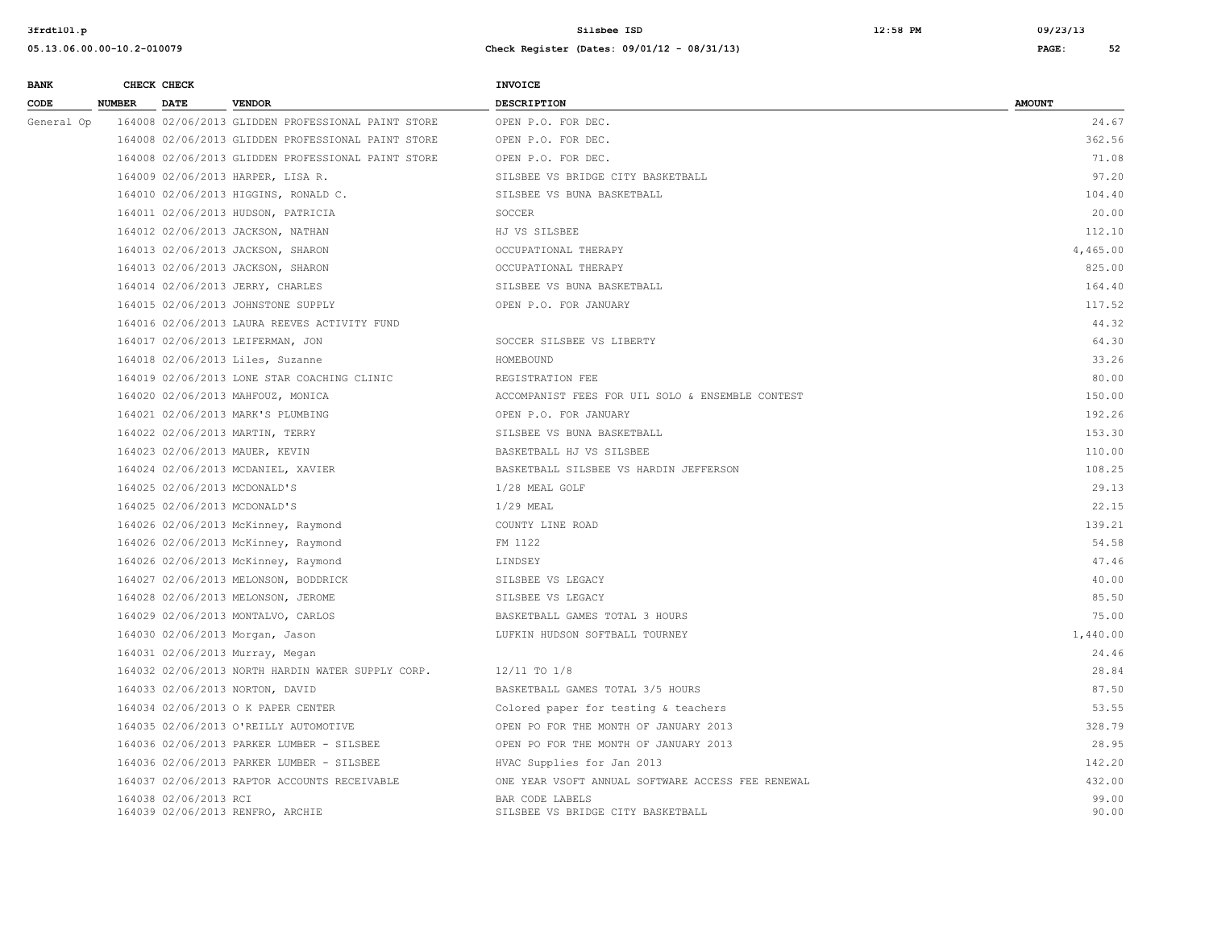| <b>BANK</b> |               | CHECK CHECK           |                                                    | <b>INVOICE</b>                                       |                |
|-------------|---------------|-----------------------|----------------------------------------------------|------------------------------------------------------|----------------|
| CODE        | <b>NUMBER</b> | <b>DATE</b>           | <b>VENDOR</b>                                      | <b>DESCRIPTION</b>                                   | <b>AMOUNT</b>  |
| General Op  |               |                       | 164008 02/06/2013 GLIDDEN PROFESSIONAL PAINT STORE | OPEN P.O. FOR DEC.                                   | 24.67          |
|             |               |                       | 164008 02/06/2013 GLIDDEN PROFESSIONAL PAINT STORE | OPEN P.O. FOR DEC.                                   | 362.56         |
|             |               |                       | 164008 02/06/2013 GLIDDEN PROFESSIONAL PAINT STORE | OPEN P.O. FOR DEC.                                   | 71.08          |
|             |               |                       | 164009 02/06/2013 HARPER, LISA R.                  | SILSBEE VS BRIDGE CITY BASKETBALL                    | 97.20          |
|             |               |                       | 164010 02/06/2013 HIGGINS, RONALD C.               | SILSBEE VS BUNA BASKETBALL                           | 104.40         |
|             |               |                       | 164011 02/06/2013 HUDSON, PATRICIA                 | SOCCER                                               | 20.00          |
|             |               |                       | 164012 02/06/2013 JACKSON, NATHAN                  | HJ VS SILSBEE                                        | 112.10         |
|             |               |                       | 164013 02/06/2013 JACKSON, SHARON                  | OCCUPATIONAL THERAPY                                 | 4,465.00       |
|             |               |                       | 164013 02/06/2013 JACKSON, SHARON                  | OCCUPATIONAL THERAPY                                 | 825.00         |
|             |               |                       | 164014 02/06/2013 JERRY, CHARLES                   | SILSBEE VS BUNA BASKETBALL                           | 164.40         |
|             |               |                       | 164015 02/06/2013 JOHNSTONE SUPPLY                 | OPEN P.O. FOR JANUARY                                | 117.52         |
|             |               |                       | 164016 02/06/2013 LAURA REEVES ACTIVITY FUND       |                                                      | 44.32          |
|             |               |                       | 164017 02/06/2013 LEIFERMAN, JON                   | SOCCER SILSBEE VS LIBERTY                            | 64.30          |
|             |               |                       | 164018 02/06/2013 Liles, Suzanne                   | HOMEBOUND                                            | 33.26          |
|             |               |                       | 164019 02/06/2013 LONE STAR COACHING CLINIC        | REGISTRATION FEE                                     | 80.00          |
|             |               |                       | 164020 02/06/2013 MAHFOUZ, MONICA                  | ACCOMPANIST FEES FOR UIL SOLO & ENSEMBLE CONTEST     | 150.00         |
|             |               |                       | 164021 02/06/2013 MARK'S PLUMBING                  | OPEN P.O. FOR JANUARY                                | 192.26         |
|             |               |                       | 164022 02/06/2013 MARTIN, TERRY                    | SILSBEE VS BUNA BASKETBALL                           | 153.30         |
|             |               |                       | 164023 02/06/2013 MAUER, KEVIN                     | BASKETBALL HJ VS SILSBEE                             | 110.00         |
|             |               |                       | 164024 02/06/2013 MCDANIEL, XAVIER                 | BASKETBALL SILSBEE VS HARDIN JEFFERSON               | 108.25         |
|             |               |                       | 164025 02/06/2013 MCDONALD'S                       | 1/28 MEAL GOLF                                       | 29.13          |
|             |               |                       | 164025 02/06/2013 MCDONALD'S                       | $1/29$ MEAL                                          | 22.15          |
|             |               |                       | 164026 02/06/2013 McKinney, Raymond                | COUNTY LINE ROAD                                     | 139.21         |
|             |               |                       | 164026 02/06/2013 McKinney, Raymond                | FM 1122                                              | 54.58          |
|             |               |                       | 164026 02/06/2013 McKinney, Raymond                | LINDSEY                                              | 47.46          |
|             |               |                       | 164027 02/06/2013 MELONSON, BODDRICK               | SILSBEE VS LEGACY                                    | 40.00          |
|             |               |                       | 164028 02/06/2013 MELONSON, JEROME                 | SILSBEE VS LEGACY                                    | 85.50          |
|             |               |                       | 164029 02/06/2013 MONTALVO, CARLOS                 | BASKETBALL GAMES TOTAL 3 HOURS                       | 75.00          |
|             |               |                       | 164030 02/06/2013 Morgan, Jason                    | LUFKIN HUDSON SOFTBALL TOURNEY                       | 1,440.00       |
|             |               |                       | 164031 02/06/2013 Murray, Megan                    |                                                      | 24.46          |
|             |               |                       | 164032 02/06/2013 NORTH HARDIN WATER SUPPLY CORP.  | 12/11 TO 1/8                                         | 28.84          |
|             |               |                       | 164033 02/06/2013 NORTON, DAVID                    | BASKETBALL GAMES TOTAL 3/5 HOURS                     | 87.50          |
|             |               |                       | 164034 02/06/2013 O K PAPER CENTER                 | Colored paper for testing & teachers                 | 53.55          |
|             |               |                       | 164035 02/06/2013 O'REILLY AUTOMOTIVE              | OPEN PO FOR THE MONTH OF JANUARY 2013                | 328.79         |
|             |               |                       | 164036 02/06/2013 PARKER LUMBER - SILSBEE          | OPEN PO FOR THE MONTH OF JANUARY 2013                | 28.95          |
|             |               |                       | 164036 02/06/2013 PARKER LUMBER - SILSBEE          | HVAC Supplies for Jan 2013                           | 142.20         |
|             |               |                       | 164037 02/06/2013 RAPTOR ACCOUNTS RECEIVABLE       | ONE YEAR VSOFT ANNUAL SOFTWARE ACCESS FEE RENEWAL    | 432.00         |
|             |               | 164038 02/06/2013 RCI | 164039 02/06/2013 RENFRO, ARCHIE                   | BAR CODE LABELS<br>SILSBEE VS BRIDGE CITY BASKETBALL | 99.00<br>90.00 |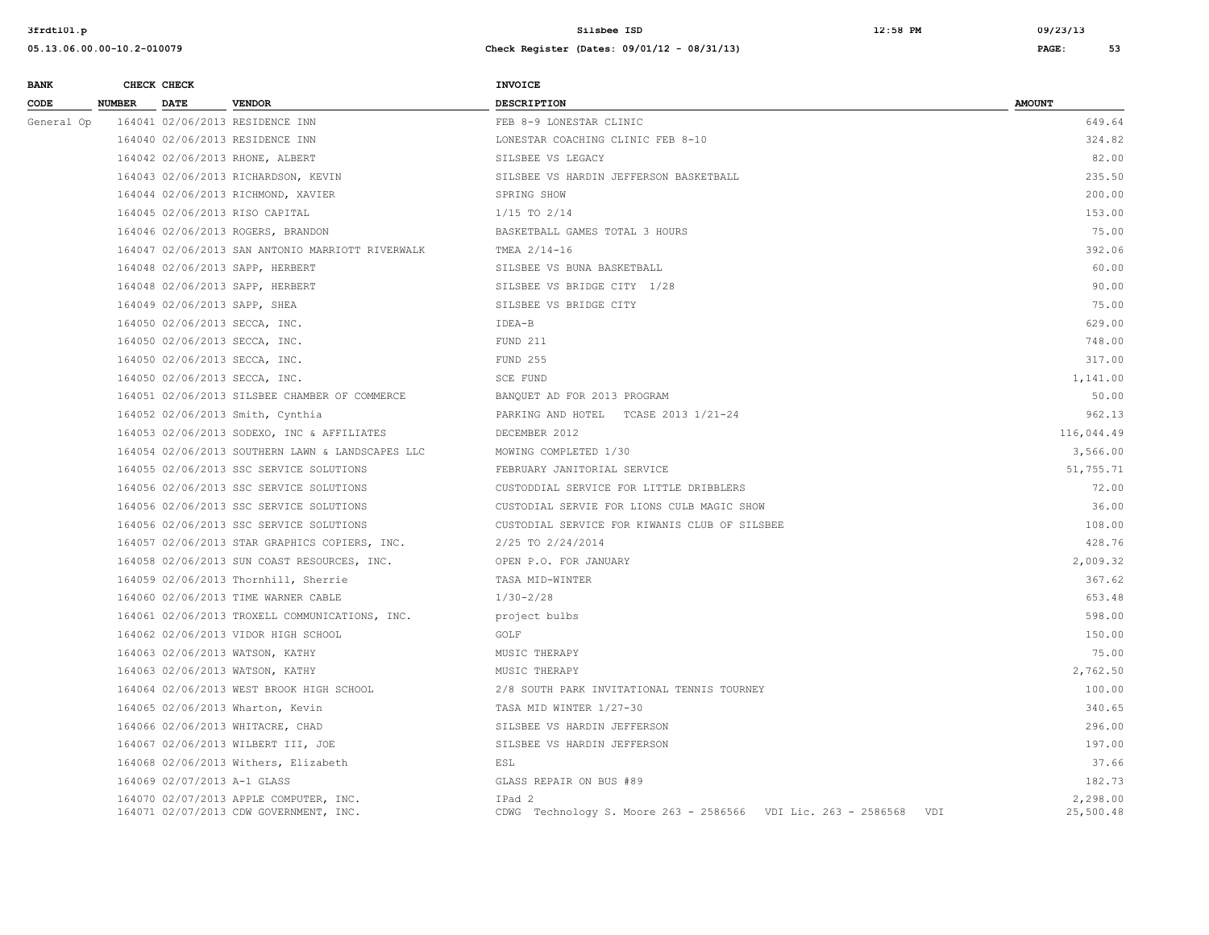| <b>BANK</b> |               | CHECK CHECK                 |                                                                                  | <b>INVOICE</b>                                                                 |                       |
|-------------|---------------|-----------------------------|----------------------------------------------------------------------------------|--------------------------------------------------------------------------------|-----------------------|
| CODE        | <b>NUMBER</b> | <b>DATE</b>                 | <b>VENDOR</b>                                                                    | <b>DESCRIPTION</b>                                                             | <b>AMOUNT</b>         |
| General Op  |               |                             | 164041 02/06/2013 RESIDENCE INN                                                  | FEB 8-9 LONESTAR CLINIC                                                        | 649.64                |
|             |               |                             | 164040 02/06/2013 RESIDENCE INN                                                  | LONESTAR COACHING CLINIC FEB 8-10                                              | 324.82                |
|             |               |                             | 164042 02/06/2013 RHONE, ALBERT                                                  | SILSBEE VS LEGACY                                                              | 82.00                 |
|             |               |                             | 164043 02/06/2013 RICHARDSON, KEVIN                                              | SILSBEE VS HARDIN JEFFERSON BASKETBALL                                         | 235.50                |
|             |               |                             | 164044 02/06/2013 RICHMOND, XAVIER                                               | SPRING SHOW                                                                    | 200.00                |
|             |               |                             | 164045 02/06/2013 RISO CAPITAL                                                   | $1/15$ TO $2/14$                                                               | 153.00                |
|             |               |                             | 164046 02/06/2013 ROGERS, BRANDON                                                | BASKETBALL GAMES TOTAL 3 HOURS                                                 | 75.00                 |
|             |               |                             | 164047 02/06/2013 SAN ANTONIO MARRIOTT RIVERWALK                                 | TMEA 2/14-16                                                                   | 392.06                |
|             |               |                             | 164048 02/06/2013 SAPP, HERBERT                                                  | SILSBEE VS BUNA BASKETBALL                                                     | 60.00                 |
|             |               |                             | 164048 02/06/2013 SAPP, HERBERT                                                  | SILSBEE VS BRIDGE CITY 1/28                                                    | 90.00                 |
|             |               |                             | 164049 02/06/2013 SAPP, SHEA                                                     | SILSBEE VS BRIDGE CITY                                                         | 75.00                 |
|             |               |                             | 164050 02/06/2013 SECCA, INC.                                                    | IDEA-B                                                                         | 629.00                |
|             |               |                             | 164050 02/06/2013 SECCA, INC.                                                    | FUND 211                                                                       | 748.00                |
|             |               |                             | 164050 02/06/2013 SECCA, INC.                                                    | <b>FUND 255</b>                                                                | 317.00                |
|             |               |                             | 164050 02/06/2013 SECCA, INC.                                                    | SCE FUND                                                                       | 1,141.00              |
|             |               |                             | 164051 02/06/2013 SILSBEE CHAMBER OF COMMERCE                                    | BANQUET AD FOR 2013 PROGRAM                                                    | 50.00                 |
|             |               |                             | 164052 02/06/2013 Smith, Cynthia                                                 | PARKING AND HOTEL TCASE 2013 1/21-24                                           | 962.13                |
|             |               |                             | 164053 02/06/2013 SODEXO, INC & AFFILIATES                                       | DECEMBER 2012                                                                  | 116,044.49            |
|             |               |                             | 164054 02/06/2013 SOUTHERN LAWN & LANDSCAPES LLC                                 | MOWING COMPLETED 1/30                                                          | 3,566.00              |
|             |               |                             | 164055 02/06/2013 SSC SERVICE SOLUTIONS                                          | FEBRUARY JANITORIAL SERVICE                                                    | 51,755.71             |
|             |               |                             | 164056 02/06/2013 SSC SERVICE SOLUTIONS                                          | CUSTODDIAL SERVICE FOR LITTLE DRIBBLERS                                        | 72.00                 |
|             |               |                             | 164056 02/06/2013 SSC SERVICE SOLUTIONS                                          | CUSTODIAL SERVIE FOR LIONS CULB MAGIC SHOW                                     | 36.00                 |
|             |               |                             | 164056 02/06/2013 SSC SERVICE SOLUTIONS                                          | CUSTODIAL SERVICE FOR KIWANIS CLUB OF SILSBEE                                  | 108.00                |
|             |               |                             | 164057 02/06/2013 STAR GRAPHICS COPIERS, INC.                                    | 2/25 TO 2/24/2014                                                              | 428.76                |
|             |               |                             | 164058 02/06/2013 SUN COAST RESOURCES, INC.                                      | OPEN P.O. FOR JANUARY                                                          | 2,009.32              |
|             |               |                             | 164059 02/06/2013 Thornhill, Sherrie                                             | TASA MID-WINTER                                                                | 367.62                |
|             |               |                             | 164060 02/06/2013 TIME WARNER CABLE                                              | $1/30 - 2/28$                                                                  | 653.48                |
|             |               |                             | 164061 02/06/2013 TROXELL COMMUNICATIONS, INC.                                   | project bulbs                                                                  | 598.00                |
|             |               |                             | 164062 02/06/2013 VIDOR HIGH SCHOOL                                              | GOLF                                                                           | 150.00                |
|             |               |                             | 164063 02/06/2013 WATSON, KATHY                                                  | MUSIC THERAPY                                                                  | 75.00                 |
|             |               |                             | 164063 02/06/2013 WATSON, KATHY                                                  | MUSIC THERAPY                                                                  | 2,762.50              |
|             |               |                             | 164064 02/06/2013 WEST BROOK HIGH SCHOOL                                         | 2/8 SOUTH PARK INVITATIONAL TENNIS TOURNEY                                     | 100.00                |
|             |               |                             | 164065 02/06/2013 Wharton, Kevin                                                 | TASA MID WINTER 1/27-30                                                        | 340.65                |
|             |               |                             | 164066 02/06/2013 WHITACRE, CHAD                                                 | SILSBEE VS HARDIN JEFFERSON                                                    | 296.00                |
|             |               |                             | 164067 02/06/2013 WILBERT III, JOE                                               | SILSBEE VS HARDIN JEFFERSON                                                    | 197.00                |
|             |               |                             | 164068 02/06/2013 Withers, Elizabeth                                             | ESL                                                                            | 37.66                 |
|             |               | 164069 02/07/2013 A-1 GLASS |                                                                                  | GLASS REPAIR ON BUS #89                                                        | 182.73                |
|             |               |                             | 164070 02/07/2013 APPLE COMPUTER, INC.<br>164071 02/07/2013 CDW GOVERNMENT, INC. | IPad 2<br>CDWG Technology S. Moore 263 - 2586566 VDI Lic. 263 - 2586568<br>VDI | 2,298.00<br>25,500.48 |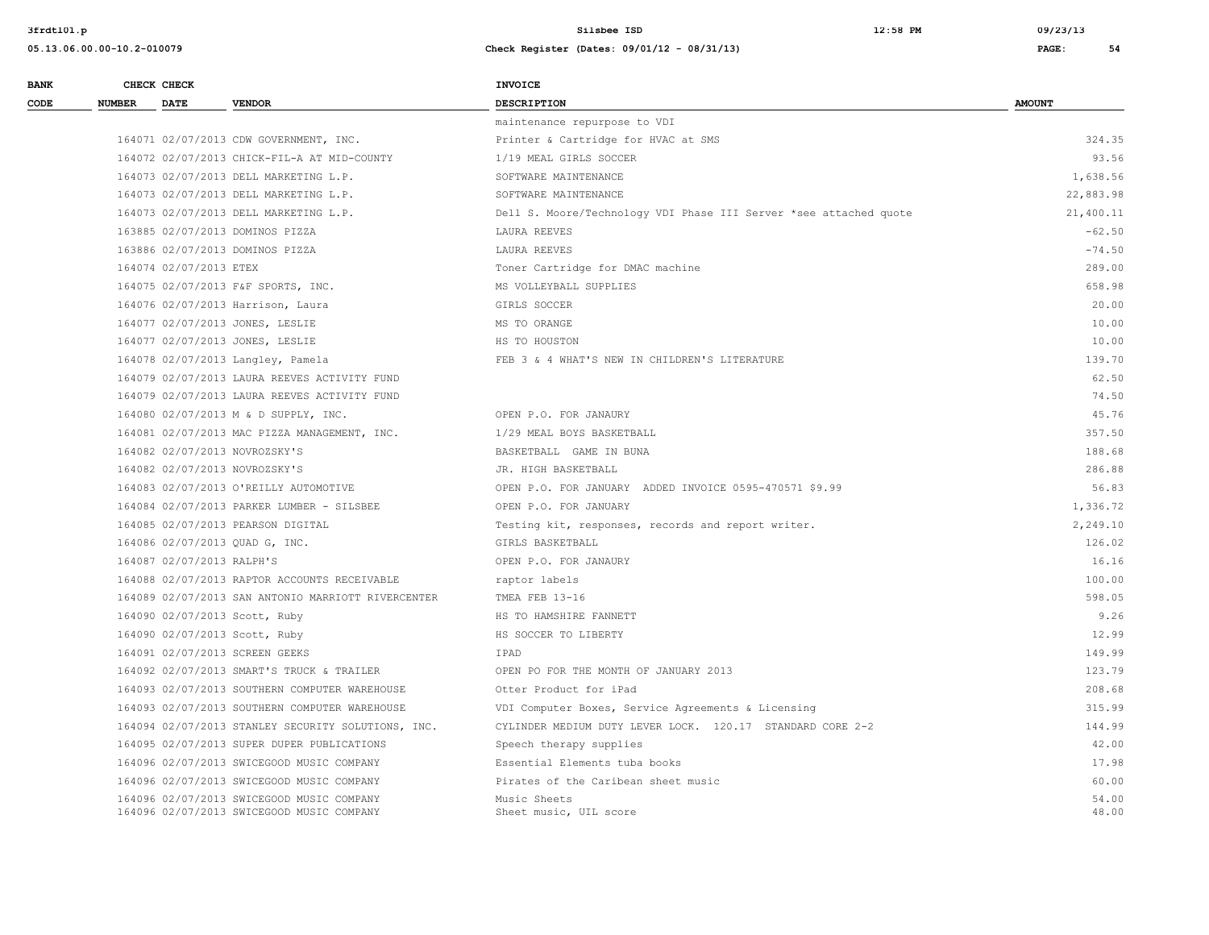**05.13.06.00.00-10.2-010079 Check Register (Dates: 09/01/12 - 08/31/13) PAGE: 54**

**3frdtl01.p Silsbee ISD 12:58 PM 09/23/13**

| <b>BANK</b> | CHECK CHECK                   |                                                                                        | <b>INVOICE</b>                                                    |                |
|-------------|-------------------------------|----------------------------------------------------------------------------------------|-------------------------------------------------------------------|----------------|
| CODE        | <b>NUMBER</b><br>DATE         | <b>VENDOR</b>                                                                          | <b>DESCRIPTION</b>                                                | <b>AMOUNT</b>  |
|             |                               |                                                                                        | maintenance repurpose to VDI                                      |                |
|             |                               | 164071 02/07/2013 CDW GOVERNMENT, INC.                                                 | Printer & Cartridge for HVAC at SMS                               | 324.35         |
|             |                               | 164072 02/07/2013 CHICK-FIL-A AT MID-COUNTY                                            | 1/19 MEAL GIRLS SOCCER                                            | 93.56          |
|             |                               | 164073 02/07/2013 DELL MARKETING L.P.                                                  | SOFTWARE MAINTENANCE                                              | 1,638.56       |
|             |                               | 164073 02/07/2013 DELL MARKETING L.P.                                                  | SOFTWARE MAINTENANCE                                              | 22,883.98      |
|             |                               | 164073 02/07/2013 DELL MARKETING L.P.                                                  | Dell S. Moore/Technology VDI Phase III Server *see attached quote | 21,400.11      |
|             |                               | 163885 02/07/2013 DOMINOS PIZZA                                                        | LAURA REEVES                                                      | $-62.50$       |
|             |                               | 163886 02/07/2013 DOMINOS PIZZA                                                        | LAURA REEVES                                                      | $-74.50$       |
|             | 164074 02/07/2013 ETEX        |                                                                                        | Toner Cartridge for DMAC machine                                  | 289.00         |
|             |                               | 164075 02/07/2013 F&F SPORTS, INC.                                                     | MS VOLLEYBALL SUPPLIES                                            | 658.98         |
|             |                               | 164076 02/07/2013 Harrison, Laura                                                      | GIRLS SOCCER                                                      | 20.00          |
|             |                               | 164077 02/07/2013 JONES, LESLIE                                                        | MS TO ORANGE                                                      | 10.00          |
|             |                               | 164077 02/07/2013 JONES, LESLIE                                                        | HS TO HOUSTON                                                     | 10.00          |
|             |                               | 164078 02/07/2013 Langley, Pamela                                                      | FEB 3 & 4 WHAT'S NEW IN CHILDREN'S LITERATURE                     | 139.70         |
|             |                               | 164079 02/07/2013 LAURA REEVES ACTIVITY FUND                                           |                                                                   | 62.50          |
|             |                               | 164079 02/07/2013 LAURA REEVES ACTIVITY FUND                                           |                                                                   | 74.50          |
|             |                               | 164080 02/07/2013 M & D SUPPLY, INC.                                                   | OPEN P.O. FOR JANAURY                                             | 45.76          |
|             |                               | 164081 02/07/2013 MAC PIZZA MANAGEMENT, INC.                                           | 1/29 MEAL BOYS BASKETBALL                                         | 357.50         |
|             | 164082 02/07/2013 NOVROZSKY'S |                                                                                        | BASKETBALL GAME IN BUNA                                           | 188.68         |
|             | 164082 02/07/2013 NOVROZSKY'S |                                                                                        | JR. HIGH BASKETBALL                                               | 286.88         |
|             |                               | 164083 02/07/2013 O'REILLY AUTOMOTIVE                                                  | OPEN P.O. FOR JANUARY ADDED INVOICE 0595-470571 \$9.99            | 56.83          |
|             |                               | 164084 02/07/2013 PARKER LUMBER - SILSBEE                                              | OPEN P.O. FOR JANUARY                                             | 1,336.72       |
|             |                               | 164085 02/07/2013 PEARSON DIGITAL                                                      | Testing kit, responses, records and report writer.                | 2,249.10       |
|             |                               | 164086 02/07/2013 QUAD G, INC.                                                         | GIRLS BASKETBALL                                                  | 126.02         |
|             | 164087 02/07/2013 RALPH'S     |                                                                                        | OPEN P.O. FOR JANAURY                                             | 16.16          |
|             |                               | 164088 02/07/2013 RAPTOR ACCOUNTS RECEIVABLE                                           | raptor labels                                                     | 100.00         |
|             |                               | 164089 02/07/2013 SAN ANTONIO MARRIOTT RIVERCENTER                                     | TMEA FEB 13-16                                                    | 598.05         |
|             | 164090 02/07/2013 Scott, Ruby |                                                                                        | HS TO HAMSHIRE FANNETT                                            | 9.26           |
|             |                               | 164090 02/07/2013 Scott, Ruby                                                          | HS SOCCER TO LIBERTY                                              | 12.99          |
|             |                               | 164091 02/07/2013 SCREEN GEEKS                                                         | IPAD                                                              | 149.99         |
|             |                               | 164092 02/07/2013 SMART'S TRUCK & TRAILER                                              | OPEN PO FOR THE MONTH OF JANUARY 2013                             | 123.79         |
|             |                               | 164093 02/07/2013 SOUTHERN COMPUTER WAREHOUSE                                          | Otter Product for iPad                                            | 208.68         |
|             |                               | 164093 02/07/2013 SOUTHERN COMPUTER WAREHOUSE                                          | VDI Computer Boxes, Service Agreements & Licensing                | 315.99         |
|             |                               | 164094 02/07/2013 STANLEY SECURITY SOLUTIONS, INC.                                     | CYLINDER MEDIUM DUTY LEVER LOCK. 120.17 STANDARD CORE 2-2         | 144.99         |
|             |                               | 164095 02/07/2013 SUPER DUPER PUBLICATIONS                                             | Speech therapy supplies                                           | 42.00          |
|             |                               | 164096 02/07/2013 SWICEGOOD MUSIC COMPANY                                              | Essential Elements tuba books                                     | 17.98          |
|             |                               | 164096 02/07/2013 SWICEGOOD MUSIC COMPANY                                              | Pirates of the Caribean sheet music                               | 60.00          |
|             |                               | 164096 02/07/2013 SWICEGOOD MUSIC COMPANY<br>164096 02/07/2013 SWICEGOOD MUSIC COMPANY | Music Sheets<br>Sheet music, UIL score                            | 54.00<br>48.00 |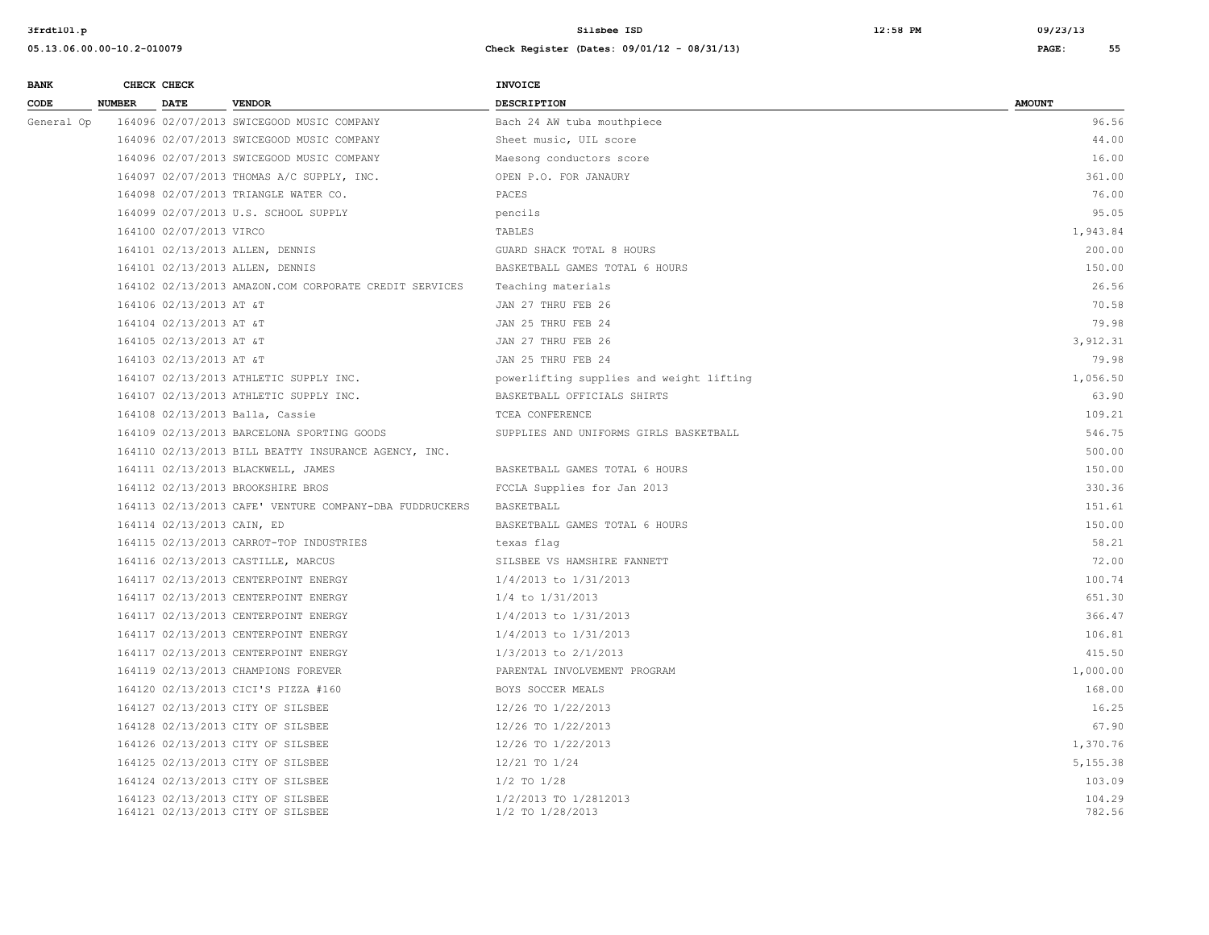| <b>BANK</b> | CHECK CHECK                  |                                                                        | <b>INVOICE</b>                            |                  |
|-------------|------------------------------|------------------------------------------------------------------------|-------------------------------------------|------------------|
| CODE        | <b>NUMBER</b><br><b>DATE</b> | <b>VENDOR</b>                                                          | <b>DESCRIPTION</b>                        | <b>AMOUNT</b>    |
| General Op  |                              | 164096 02/07/2013 SWICEGOOD MUSIC COMPANY                              | Bach 24 AW tuba mouthpiece                | 96.56            |
|             |                              | 164096 02/07/2013 SWICEGOOD MUSIC COMPANY                              | Sheet music, UIL score                    | 44.00            |
|             |                              | 164096 02/07/2013 SWICEGOOD MUSIC COMPANY                              | Maesong conductors score                  | 16.00            |
|             |                              | 164097 02/07/2013 THOMAS A/C SUPPLY, INC.                              | OPEN P.O. FOR JANAURY                     | 361.00           |
|             |                              | 164098 02/07/2013 TRIANGLE WATER CO.                                   | PACES                                     | 76.00            |
|             |                              | 164099 02/07/2013 U.S. SCHOOL SUPPLY                                   | pencils                                   | 95.05            |
|             | 164100 02/07/2013 VIRCO      |                                                                        | TABLES                                    | 1,943.84         |
|             |                              | 164101 02/13/2013 ALLEN, DENNIS                                        | GUARD SHACK TOTAL 8 HOURS                 | 200.00           |
|             |                              | 164101 02/13/2013 ALLEN, DENNIS                                        | BASKETBALL GAMES TOTAL 6 HOURS            | 150.00           |
|             |                              | 164102 02/13/2013 AMAZON.COM CORPORATE CREDIT SERVICES                 | Teaching materials                        | 26.56            |
|             | 164106 02/13/2013 AT &T      |                                                                        | JAN 27 THRU FEB 26                        | 70.58            |
|             | 164104 02/13/2013 AT &T      |                                                                        | JAN 25 THRU FEB 24                        | 79.98            |
|             | 164105 02/13/2013 AT &T      |                                                                        | JAN 27 THRU FEB 26                        | 3,912.31         |
|             | 164103 02/13/2013 AT &T      |                                                                        | JAN 25 THRU FEB 24                        | 79.98            |
|             |                              | 164107 02/13/2013 ATHLETIC SUPPLY INC.                                 | powerlifting supplies and weight lifting  | 1,056.50         |
|             |                              | 164107 02/13/2013 ATHLETIC SUPPLY INC.                                 | BASKETBALL OFFICIALS SHIRTS               | 63.90            |
|             |                              | 164108 02/13/2013 Balla, Cassie                                        | TCEA CONFERENCE                           | 109.21           |
|             |                              | 164109 02/13/2013 BARCELONA SPORTING GOODS                             | SUPPLIES AND UNIFORMS GIRLS BASKETBALL    | 546.75           |
|             |                              | 164110 02/13/2013 BILL BEATTY INSURANCE AGENCY, INC.                   |                                           | 500.00           |
|             |                              | 164111 02/13/2013 BLACKWELL, JAMES                                     | BASKETBALL GAMES TOTAL 6 HOURS            | 150.00           |
|             |                              | 164112 02/13/2013 BROOKSHIRE BROS                                      | FCCLA Supplies for Jan 2013               | 330.36           |
|             |                              | 164113 02/13/2013 CAFE' VENTURE COMPANY-DBA FUDDRUCKERS                | BASKETBALL                                | 151.61           |
|             | 164114 02/13/2013 CAIN, ED   |                                                                        | BASKETBALL GAMES TOTAL 6 HOURS            | 150.00           |
|             |                              | 164115 02/13/2013 CARROT-TOP INDUSTRIES                                | texas flaq                                | 58.21            |
|             |                              | 164116 02/13/2013 CASTILLE, MARCUS                                     | SILSBEE VS HAMSHIRE FANNETT               | 72.00            |
|             |                              | 164117 02/13/2013 CENTERPOINT ENERGY                                   | 1/4/2013 to 1/31/2013                     | 100.74           |
|             |                              | 164117 02/13/2013 CENTERPOINT ENERGY                                   | $1/4$ to $1/31/2013$                      | 651.30           |
|             |                              | 164117 02/13/2013 CENTERPOINT ENERGY                                   | 1/4/2013 to 1/31/2013                     | 366.47           |
|             |                              | 164117 02/13/2013 CENTERPOINT ENERGY                                   | 1/4/2013 to 1/31/2013                     | 106.81           |
|             |                              | 164117 02/13/2013 CENTERPOINT ENERGY                                   | 1/3/2013 to 2/1/2013                      | 415.50           |
|             |                              | 164119 02/13/2013 CHAMPIONS FOREVER                                    | PARENTAL INVOLVEMENT PROGRAM              | 1,000.00         |
|             |                              | 164120 02/13/2013 CICI'S PIZZA #160                                    | BOYS SOCCER MEALS                         | 168.00           |
|             |                              | 164127 02/13/2013 CITY OF SILSBEE                                      | 12/26 TO 1/22/2013                        | 16.25            |
|             |                              | 164128 02/13/2013 CITY OF SILSBEE                                      | 12/26 TO 1/22/2013                        | 67.90            |
|             |                              | 164126 02/13/2013 CITY OF SILSBEE                                      | 12/26 TO 1/22/2013                        | 1,370.76         |
|             |                              | 164125 02/13/2013 CITY OF SILSBEE                                      | 12/21 TO 1/24                             | 5,155.38         |
|             |                              | 164124 02/13/2013 CITY OF SILSBEE                                      | $1/2$ TO $1/28$                           | 103.09           |
|             |                              | 164123 02/13/2013 CITY OF SILSBEE<br>164121 02/13/2013 CITY OF SILSBEE | 1/2/2013 TO 1/2812013<br>1/2 TO 1/28/2013 | 104.29<br>782.56 |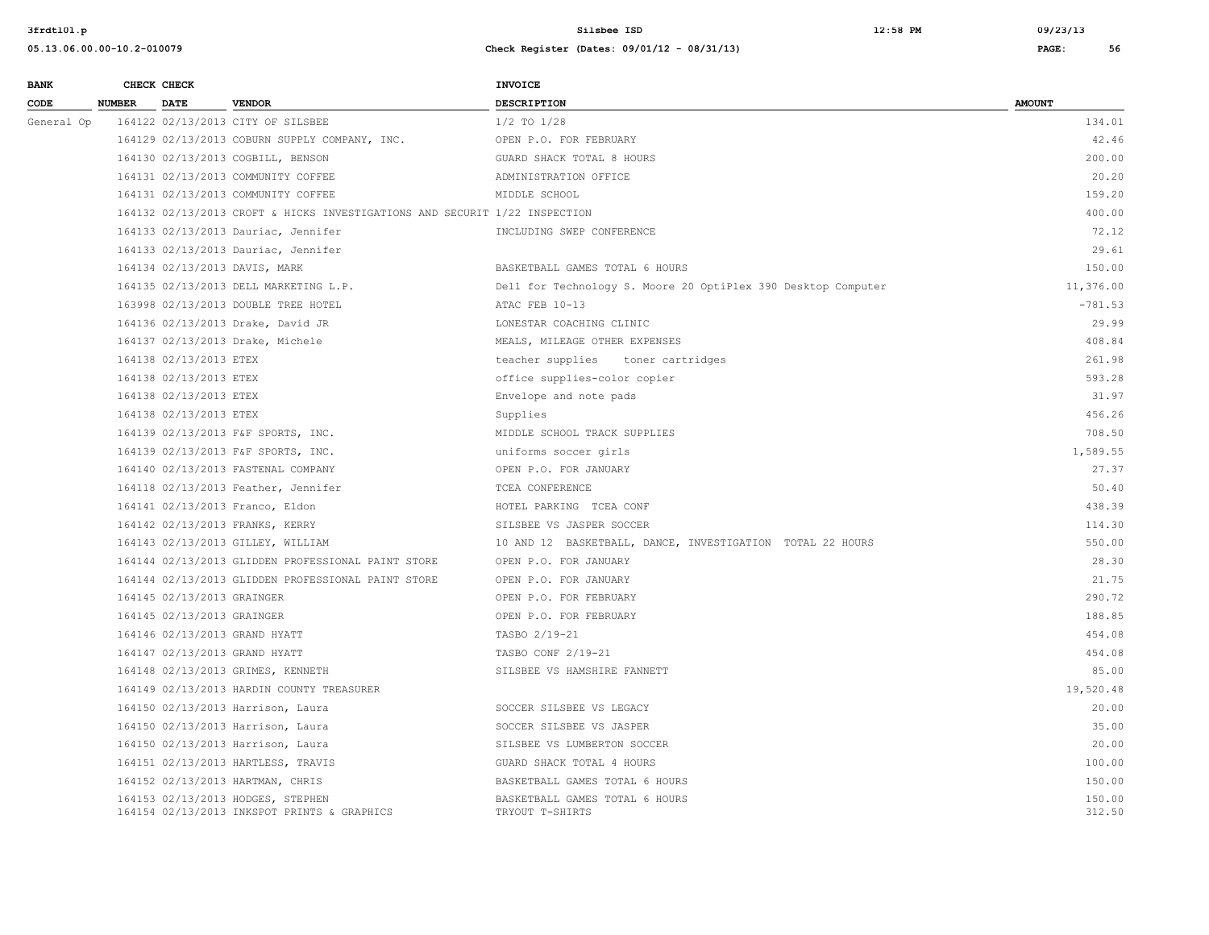| <b>BANK</b> |               | CHECK CHECK                |                                                                                  | INVOICE                                                       |                  |
|-------------|---------------|----------------------------|----------------------------------------------------------------------------------|---------------------------------------------------------------|------------------|
| CODE        | <b>NUMBER</b> | <b>DATE</b>                | <b>VENDOR</b>                                                                    | <b>DESCRIPTION</b>                                            | <b>AMOUNT</b>    |
| General Op  |               |                            | 164122 02/13/2013 CITY OF SILSBEE                                                | $1/2$ TO $1/28$                                               | 134.01           |
|             |               |                            | 164129 02/13/2013 COBURN SUPPLY COMPANY, INC.                                    | OPEN P.O. FOR FEBRUARY                                        | 42.46            |
|             |               |                            | 164130 02/13/2013 COGBILL, BENSON                                                | GUARD SHACK TOTAL 8 HOURS                                     | 200.00           |
|             |               |                            | 164131 02/13/2013 COMMUNITY COFFEE                                               | ADMINISTRATION OFFICE                                         | 20.20            |
|             |               |                            | 164131 02/13/2013 COMMUNITY COFFEE                                               | MIDDLE SCHOOL                                                 | 159.20           |
|             |               |                            | 164132 02/13/2013 CROFT & HICKS INVESTIGATIONS AND SECURIT 1/22 INSPECTION       |                                                               | 400.00           |
|             |               |                            | 164133 02/13/2013 Dauriac, Jennifer                                              | INCLUDING SWEP CONFERENCE                                     | 72.12            |
|             |               |                            | 164133 02/13/2013 Dauriac, Jennifer                                              |                                                               | 29.61            |
|             |               |                            | 164134 02/13/2013 DAVIS, MARK                                                    | BASKETBALL GAMES TOTAL 6 HOURS                                | 150.00           |
|             |               |                            | 164135 02/13/2013 DELL MARKETING L.P.                                            | Dell for Technology S. Moore 20 OptiPlex 390 Desktop Computer | 11,376.00        |
|             |               |                            | 163998 02/13/2013 DOUBLE TREE HOTEL                                              | ATAC FEB 10-13                                                | $-781.53$        |
|             |               |                            | 164136 02/13/2013 Drake, David JR                                                | LONESTAR COACHING CLINIC                                      | 29.99            |
|             |               |                            | 164137 02/13/2013 Drake, Michele                                                 | MEALS, MILEAGE OTHER EXPENSES                                 | 408.84           |
|             |               | 164138 02/13/2013 ETEX     |                                                                                  | teacher supplies toner cartridges                             | 261.98           |
|             |               | 164138 02/13/2013 ETEX     |                                                                                  | office supplies-color copier                                  | 593.28           |
|             |               | 164138 02/13/2013 ETEX     |                                                                                  | Envelope and note pads                                        | 31.97            |
|             |               | 164138 02/13/2013 ETEX     |                                                                                  | Supplies                                                      | 456.26           |
|             |               |                            | 164139 02/13/2013 F&F SPORTS, INC.                                               | MIDDLE SCHOOL TRACK SUPPLIES                                  | 708.50           |
|             |               |                            | 164139 02/13/2013 F&F SPORTS, INC.                                               | uniforms soccer girls                                         | 1,589.55         |
|             |               |                            | 164140 02/13/2013 FASTENAL COMPANY                                               | OPEN P.O. FOR JANUARY                                         | 27.37            |
|             |               |                            | 164118 02/13/2013 Feather, Jennifer                                              | TCEA CONFERENCE                                               | 50.40            |
|             |               |                            | 164141 02/13/2013 Franco, Eldon                                                  | HOTEL PARKING TCEA CONF                                       | 438.39           |
|             |               |                            | 164142 02/13/2013 FRANKS, KERRY                                                  | SILSBEE VS JASPER SOCCER                                      | 114.30           |
|             |               |                            | 164143 02/13/2013 GILLEY, WILLIAM                                                | 10 AND 12 BASKETBALL, DANCE, INVESTIGATION TOTAL 22 HOURS     | 550.00           |
|             |               |                            | 164144 02/13/2013 GLIDDEN PROFESSIONAL PAINT STORE                               | OPEN P.O. FOR JANUARY                                         | 28.30            |
|             |               |                            | 164144 02/13/2013 GLIDDEN PROFESSIONAL PAINT STORE                               | OPEN P.O. FOR JANUARY                                         | 21.75            |
|             |               | 164145 02/13/2013 GRAINGER |                                                                                  | OPEN P.O. FOR FEBRUARY                                        | 290.72           |
|             |               | 164145 02/13/2013 GRAINGER |                                                                                  | OPEN P.O. FOR FEBRUARY                                        | 188.85           |
|             |               |                            | 164146 02/13/2013 GRAND HYATT                                                    | TASBO 2/19-21                                                 | 454.08           |
|             |               |                            | 164147 02/13/2013 GRAND HYATT                                                    | TASBO CONF 2/19-21                                            | 454.08           |
|             |               |                            | 164148 02/13/2013 GRIMES, KENNETH                                                | SILSBEE VS HAMSHIRE FANNETT                                   | 85.00            |
|             |               |                            | 164149 02/13/2013 HARDIN COUNTY TREASURER                                        |                                                               | 19,520.48        |
|             |               |                            | 164150 02/13/2013 Harrison, Laura                                                | SOCCER SILSBEE VS LEGACY                                      | 20.00            |
|             |               |                            | 164150 02/13/2013 Harrison, Laura                                                | SOCCER SILSBEE VS JASPER                                      | 35.00            |
|             |               |                            | 164150 02/13/2013 Harrison, Laura                                                | SILSBEE VS LUMBERTON SOCCER                                   | 20.00            |
|             |               |                            | 164151 02/13/2013 HARTLESS, TRAVIS                                               | GUARD SHACK TOTAL 4 HOURS                                     | 100.00           |
|             |               |                            | 164152 02/13/2013 HARTMAN, CHRIS                                                 | BASKETBALL GAMES TOTAL 6 HOURS                                | 150.00           |
|             |               |                            | 164153 02/13/2013 HODGES, STEPHEN<br>164154 02/13/2013 INKSPOT PRINTS & GRAPHICS | BASKETBALL GAMES TOTAL 6 HOURS<br>TRYOUT T-SHIRTS             | 150.00<br>312.50 |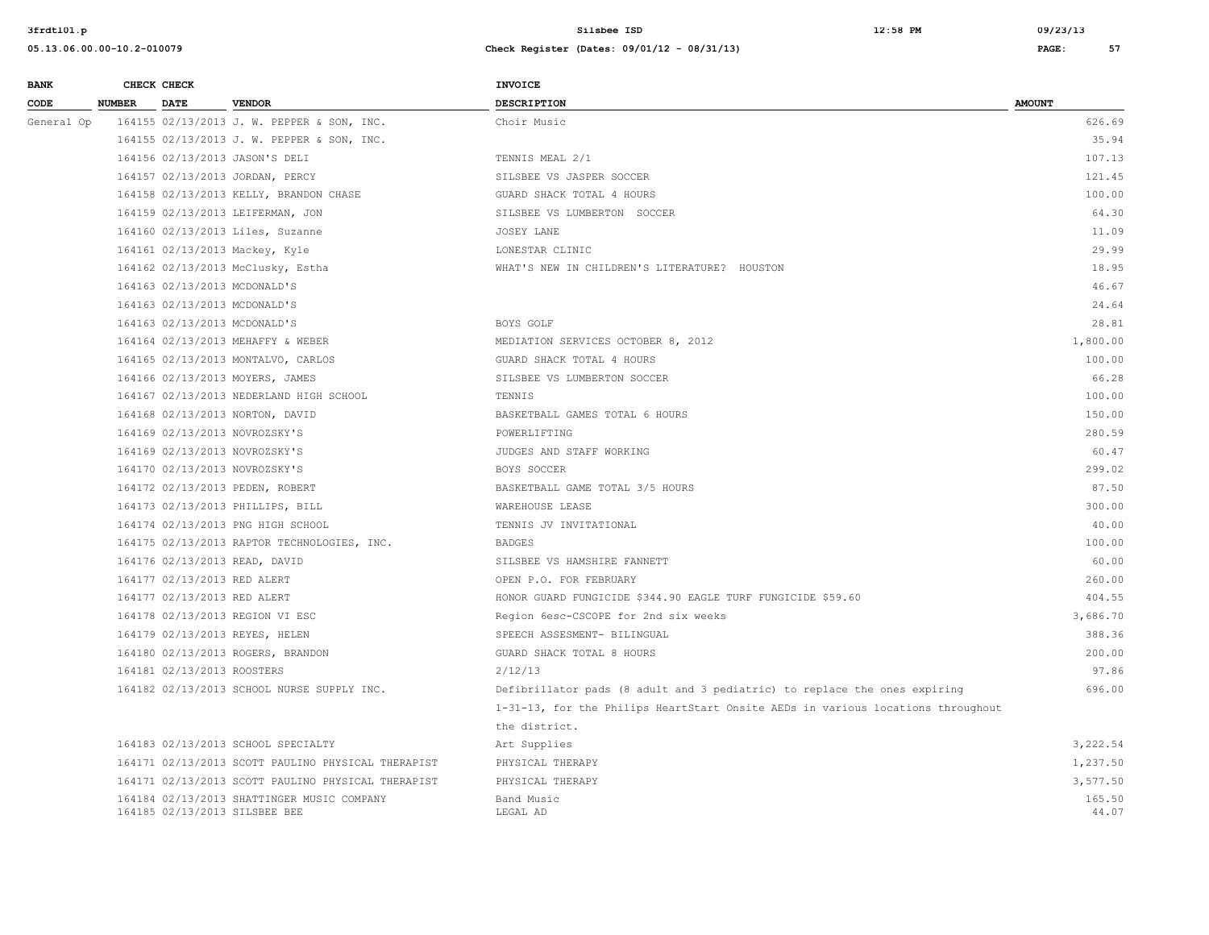| <b>BANK</b> |               | CHECK CHECK                 |                                                                             | <b>INVOICE</b>                                                                  |                 |
|-------------|---------------|-----------------------------|-----------------------------------------------------------------------------|---------------------------------------------------------------------------------|-----------------|
| CODE        | <b>NUMBER</b> | <b>DATE</b>                 | <b>VENDOR</b>                                                               | <b>DESCRIPTION</b>                                                              | <b>AMOUNT</b>   |
| General Op  |               |                             | 164155 02/13/2013 J. W. PEPPER & SON, INC.                                  | Choir Music                                                                     | 626.69          |
|             |               |                             | 164155 02/13/2013 J. W. PEPPER & SON, INC.                                  |                                                                                 | 35.94           |
|             |               |                             | 164156 02/13/2013 JASON'S DELI                                              | TENNIS MEAL 2/1                                                                 | 107.13          |
|             |               |                             | 164157 02/13/2013 JORDAN, PERCY                                             | SILSBEE VS JASPER SOCCER                                                        | 121.45          |
|             |               |                             | 164158 02/13/2013 KELLY, BRANDON CHASE                                      | GUARD SHACK TOTAL 4 HOURS                                                       | 100.00          |
|             |               |                             | 164159 02/13/2013 LEIFERMAN, JON                                            | SILSBEE VS LUMBERTON SOCCER                                                     | 64.30           |
|             |               |                             | 164160 02/13/2013 Liles, Suzanne                                            | JOSEY LANE                                                                      | 11.09           |
|             |               |                             | 164161 02/13/2013 Mackey, Kyle                                              | LONESTAR CLINIC                                                                 | 29.99           |
|             |               |                             | 164162 02/13/2013 McClusky, Estha                                           | WHAT'S NEW IN CHILDREN'S LITERATURE? HOUSTON                                    | 18.95           |
|             |               |                             | 164163 02/13/2013 MCDONALD'S                                                |                                                                                 | 46.67           |
|             |               |                             | 164163 02/13/2013 MCDONALD'S                                                |                                                                                 | 24.64           |
|             |               |                             | 164163 02/13/2013 MCDONALD'S                                                | BOYS GOLF                                                                       | 28.81           |
|             |               |                             | 164164 02/13/2013 MEHAFFY & WEBER                                           | MEDIATION SERVICES OCTOBER 8, 2012                                              | 1,800.00        |
|             |               |                             | 164165 02/13/2013 MONTALVO, CARLOS                                          | GUARD SHACK TOTAL 4 HOURS                                                       | 100.00          |
|             |               |                             | 164166 02/13/2013 MOYERS, JAMES                                             | SILSBEE VS LUMBERTON SOCCER                                                     | 66.28           |
|             |               |                             | 164167 02/13/2013 NEDERLAND HIGH SCHOOL                                     | TENNIS                                                                          | 100.00          |
|             |               |                             | 164168 02/13/2013 NORTON, DAVID                                             | BASKETBALL GAMES TOTAL 6 HOURS                                                  | 150.00          |
|             |               |                             | 164169 02/13/2013 NOVROZSKY'S                                               | POWERLIFTING                                                                    | 280.59          |
|             |               |                             | 164169 02/13/2013 NOVROZSKY'S                                               | JUDGES AND STAFF WORKING                                                        | 60.47           |
|             |               |                             | 164170 02/13/2013 NOVROZSKY'S                                               | BOYS SOCCER                                                                     | 299.02          |
|             |               |                             | 164172 02/13/2013 PEDEN, ROBERT                                             | BASKETBALL GAME TOTAL 3/5 HOURS                                                 | 87.50           |
|             |               |                             | 164173 02/13/2013 PHILLIPS, BILL                                            | WAREHOUSE LEASE                                                                 | 300.00          |
|             |               |                             | 164174 02/13/2013 PNG HIGH SCHOOL                                           | TENNIS JV INVITATIONAL                                                          | 40.00           |
|             |               |                             | 164175 02/13/2013 RAPTOR TECHNOLOGIES, INC.                                 | <b>BADGES</b>                                                                   | 100.00          |
|             |               |                             | 164176 02/13/2013 READ, DAVID                                               | SILSBEE VS HAMSHIRE FANNETT                                                     | 60.00           |
|             |               | 164177 02/13/2013 RED ALERT |                                                                             | OPEN P.O. FOR FEBRUARY                                                          | 260.00          |
|             |               | 164177 02/13/2013 RED ALERT |                                                                             | HONOR GUARD FUNGICIDE \$344.90 EAGLE TURF FUNGICIDE \$59.60                     | 404.55          |
|             |               |                             | 164178 02/13/2013 REGION VI ESC                                             | Region 6esc-CSCOPE for 2nd six weeks                                            | 3,686.70        |
|             |               |                             | 164179 02/13/2013 REYES, HELEN                                              | SPEECH ASSESMENT- BILINGUAL                                                     | 388.36          |
|             |               |                             | 164180 02/13/2013 ROGERS, BRANDON                                           | GUARD SHACK TOTAL 8 HOURS                                                       | 200.00          |
|             |               | 164181 02/13/2013 ROOSTERS  |                                                                             | 2/12/13                                                                         | 97.86           |
|             |               |                             | 164182 02/13/2013 SCHOOL NURSE SUPPLY INC.                                  | Defibrillator pads (8 adult and 3 pediatric) to replace the ones expiring       | 696.00          |
|             |               |                             |                                                                             | 1-31-13, for the Philips HeartStart Onsite AEDs in various locations throughout |                 |
|             |               |                             |                                                                             | the district.                                                                   |                 |
|             |               |                             | 164183 02/13/2013 SCHOOL SPECIALTY                                          | Art Supplies                                                                    | 3,222.54        |
|             |               |                             | 164171 02/13/2013 SCOTT PAULINO PHYSICAL THERAPIST                          | PHYSICAL THERAPY                                                                | 1,237.50        |
|             |               |                             | 164171 02/13/2013 SCOTT PAULINO PHYSICAL THERAPIST                          | PHYSICAL THERAPY                                                                | 3,577.50        |
|             |               |                             | 164184 02/13/2013 SHATTINGER MUSIC COMPANY<br>164185 02/13/2013 SILSBEE BEE | Band Music<br>LEGAL AD                                                          | 165.50<br>44.07 |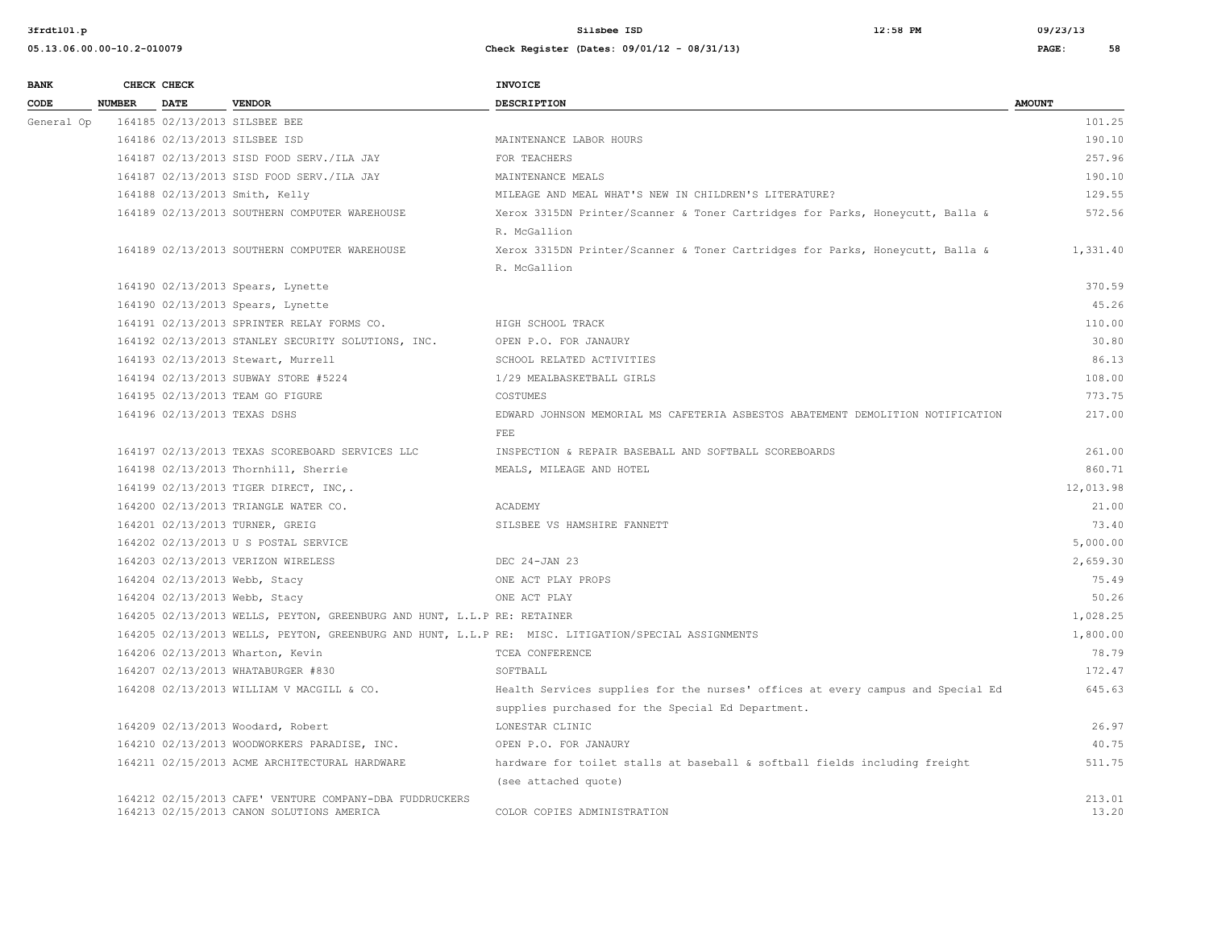| <b>BANK</b> |               | CHECK CHECK |                                                                         | <b>INVOICE</b>                                                                                      |               |
|-------------|---------------|-------------|-------------------------------------------------------------------------|-----------------------------------------------------------------------------------------------------|---------------|
| CODE        | <b>NUMBER</b> | <b>DATE</b> | <b>VENDOR</b>                                                           | <b>DESCRIPTION</b>                                                                                  | <b>AMOUNT</b> |
| General Op  |               |             | 164185 02/13/2013 SILSBEE BEE                                           |                                                                                                     | 101.25        |
|             |               |             | 164186 02/13/2013 SILSBEE ISD                                           | MAINTENANCE LABOR HOURS                                                                             | 190.10        |
|             |               |             | 164187 02/13/2013 SISD FOOD SERV./ILA JAY                               | FOR TEACHERS                                                                                        | 257.96        |
|             |               |             | 164187 02/13/2013 SISD FOOD SERV./ILA JAY                               | MAINTENANCE MEALS                                                                                   | 190.10        |
|             |               |             | 164188 02/13/2013 Smith, Kelly                                          | MILEAGE AND MEAL WHAT'S NEW IN CHILDREN'S LITERATURE?                                               | 129.55        |
|             |               |             | 164189 02/13/2013 SOUTHERN COMPUTER WAREHOUSE                           | Xerox 3315DN Printer/Scanner & Toner Cartridges for Parks, Honeycutt, Balla &                       | 572.56        |
|             |               |             |                                                                         | R. McGallion                                                                                        |               |
|             |               |             | 164189 02/13/2013 SOUTHERN COMPUTER WAREHOUSE                           | Xerox 3315DN Printer/Scanner & Toner Cartridges for Parks, Honeycutt, Balla &                       | 1,331.40      |
|             |               |             |                                                                         | R. McGallion                                                                                        |               |
|             |               |             | 164190 02/13/2013 Spears, Lynette                                       |                                                                                                     | 370.59        |
|             |               |             | 164190 02/13/2013 Spears, Lynette                                       |                                                                                                     | 45.26         |
|             |               |             | 164191 02/13/2013 SPRINTER RELAY FORMS CO.                              | HIGH SCHOOL TRACK                                                                                   | 110.00        |
|             |               |             | 164192 02/13/2013 STANLEY SECURITY SOLUTIONS, INC.                      | OPEN P.O. FOR JANAURY                                                                               | 30.80         |
|             |               |             | 164193 02/13/2013 Stewart, Murrell                                      | SCHOOL RELATED ACTIVITIES                                                                           | 86.13         |
|             |               |             | 164194 02/13/2013 SUBWAY STORE #5224                                    | 1/29 MEALBASKETBALL GIRLS                                                                           | 108.00        |
|             |               |             | 164195 02/13/2013 TEAM GO FIGURE                                        | COSTUMES                                                                                            | 773.75        |
|             |               |             | 164196 02/13/2013 TEXAS DSHS                                            | EDWARD JOHNSON MEMORIAL MS CAFETERIA ASBESTOS ABATEMENT DEMOLITION NOTIFICATION                     | 217.00        |
|             |               |             |                                                                         | FEE                                                                                                 |               |
|             |               |             | 164197 02/13/2013 TEXAS SCOREBOARD SERVICES LLC                         | INSPECTION & REPAIR BASEBALL AND SOFTBALL SCOREBOARDS                                               | 261.00        |
|             |               |             | 164198 02/13/2013 Thornhill, Sherrie                                    | MEALS, MILEAGE AND HOTEL                                                                            | 860.71        |
|             |               |             | 164199 02/13/2013 TIGER DIRECT, INC,.                                   |                                                                                                     | 12,013.98     |
|             |               |             | 164200 02/13/2013 TRIANGLE WATER CO.                                    | ACADEMY                                                                                             | 21.00         |
|             |               |             | 164201 02/13/2013 TURNER, GREIG                                         | SILSBEE VS HAMSHIRE FANNETT                                                                         | 73.40         |
|             |               |             | 164202 02/13/2013 U S POSTAL SERVICE                                    |                                                                                                     | 5,000.00      |
|             |               |             | 164203 02/13/2013 VERIZON WIRELESS                                      | DEC 24-JAN 23                                                                                       | 2,659.30      |
|             |               |             | 164204 02/13/2013 Webb, Stacy                                           | ONE ACT PLAY PROPS                                                                                  | 75.49         |
|             |               |             | 164204 02/13/2013 Webb, Stacy                                           | ONE ACT PLAY                                                                                        | 50.26         |
|             |               |             | 164205 02/13/2013 WELLS, PEYTON, GREENBURG AND HUNT, L.L.P RE: RETAINER |                                                                                                     | 1,028.25      |
|             |               |             |                                                                         | 164205 02/13/2013 WELLS, PEYTON, GREENBURG AND HUNT, L.L.P RE: MISC. LITIGATION/SPECIAL ASSIGNMENTS | 1,800.00      |
|             |               |             | 164206 02/13/2013 Wharton, Kevin                                        | TCEA CONFERENCE                                                                                     | 78.79         |
|             |               |             | 164207 02/13/2013 WHATABURGER #830                                      | SOFTBALL                                                                                            | 172.47        |
|             |               |             | 164208 02/13/2013 WILLIAM V MACGILL & CO.                               | Health Services supplies for the nurses' offices at every campus and Special Ed                     | 645.63        |
|             |               |             |                                                                         | supplies purchased for the Special Ed Department.                                                   |               |
|             |               |             | 164209 02/13/2013 Woodard, Robert                                       | LONESTAR CLINIC                                                                                     | 26.97         |
|             |               |             | 164210 02/13/2013 WOODWORKERS PARADISE, INC.                            | OPEN P.O. FOR JANAURY                                                                               | 40.75         |
|             |               |             | 164211 02/15/2013 ACME ARCHITECTURAL HARDWARE                           | hardware for toilet stalls at baseball & softball fields including freight                          | 511.75        |
|             |               |             |                                                                         | (see attached quote)                                                                                |               |
|             |               |             | 164212 02/15/2013 CAFE' VENTURE COMPANY-DBA FUDDRUCKERS                 |                                                                                                     | 213.01        |
|             |               |             | 164213 02/15/2013 CANON SOLUTIONS AMERICA                               | COLOR COPIES ADMINISTRATION                                                                         | 13.20         |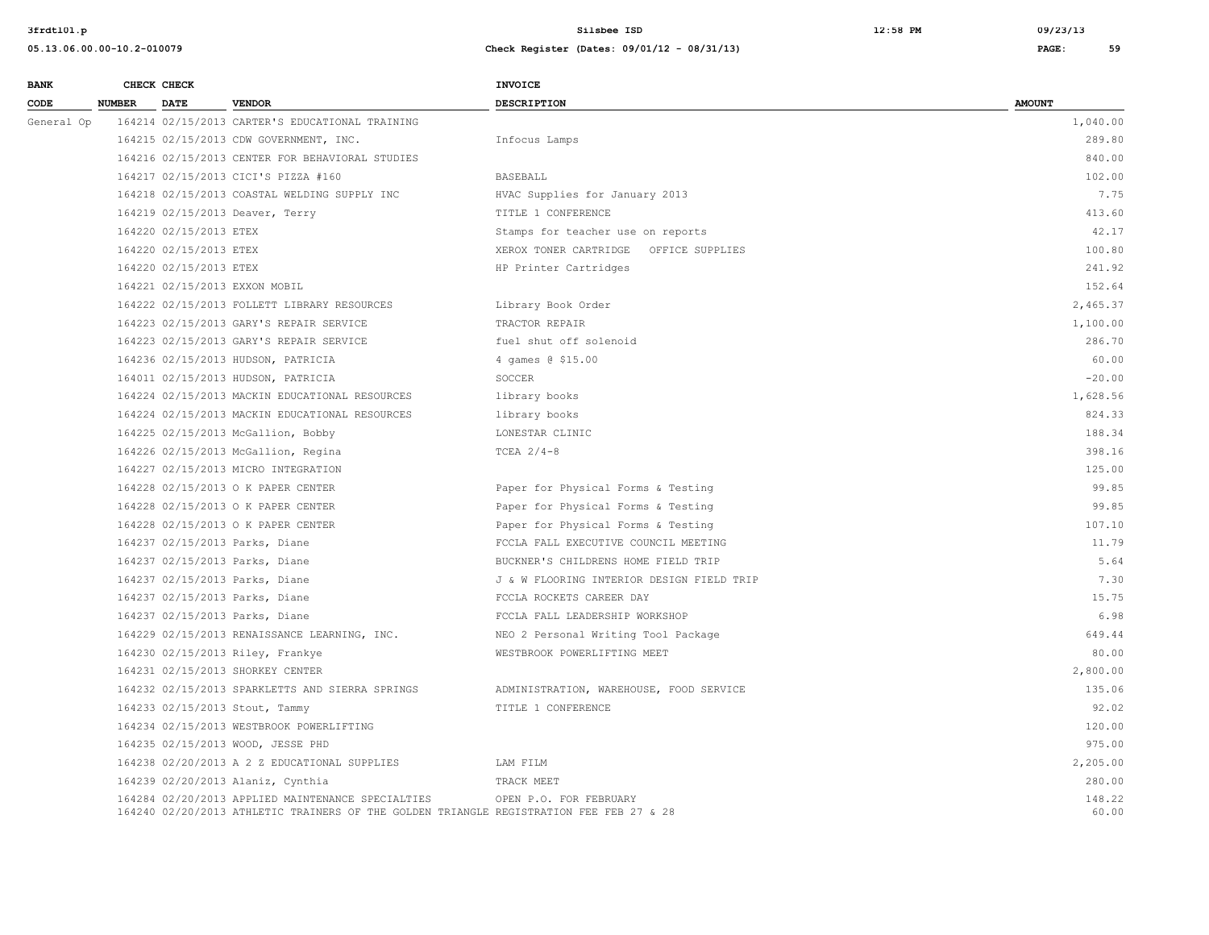| <b>BANK</b> |               | CHECK CHECK            |                                                                                                                                              | INVOICE                                   |                 |
|-------------|---------------|------------------------|----------------------------------------------------------------------------------------------------------------------------------------------|-------------------------------------------|-----------------|
| CODE        | <b>NUMBER</b> | <b>DATE</b>            | <b>VENDOR</b>                                                                                                                                | <b>DESCRIPTION</b>                        | <b>AMOUNT</b>   |
| General Op  |               |                        | 164214 02/15/2013 CARTER'S EDUCATIONAL TRAINING                                                                                              |                                           | 1,040.00        |
|             |               |                        | 164215 02/15/2013 CDW GOVERNMENT, INC.                                                                                                       | Infocus Lamps                             | 289.80          |
|             |               |                        | 164216 02/15/2013 CENTER FOR BEHAVIORAL STUDIES                                                                                              |                                           | 840.00          |
|             |               |                        | 164217 02/15/2013 CICI'S PIZZA #160                                                                                                          | <b>BASEBALL</b>                           | 102.00          |
|             |               |                        | 164218 02/15/2013 COASTAL WELDING SUPPLY INC                                                                                                 | HVAC Supplies for January 2013            | 7.75            |
|             |               |                        | 164219 02/15/2013 Deaver, Terry                                                                                                              | TITLE 1 CONFERENCE                        | 413.60          |
|             |               | 164220 02/15/2013 ETEX |                                                                                                                                              | Stamps for teacher use on reports         | 42.17           |
|             |               | 164220 02/15/2013 ETEX |                                                                                                                                              | XEROX TONER CARTRIDGE OFFICE SUPPLIES     | 100.80          |
|             |               | 164220 02/15/2013 ETEX |                                                                                                                                              | HP Printer Cartridges                     | 241.92          |
|             |               |                        | 164221 02/15/2013 EXXON MOBIL                                                                                                                |                                           | 152.64          |
|             |               |                        | 164222 02/15/2013 FOLLETT LIBRARY RESOURCES                                                                                                  | Library Book Order                        | 2,465.37        |
|             |               |                        | 164223 02/15/2013 GARY'S REPAIR SERVICE                                                                                                      | TRACTOR REPAIR                            | 1,100.00        |
|             |               |                        | 164223 02/15/2013 GARY'S REPAIR SERVICE                                                                                                      | fuel shut off solenoid                    | 286.70          |
|             |               |                        | 164236 02/15/2013 HUDSON, PATRICIA                                                                                                           | 4 games @ \$15.00                         | 60.00           |
|             |               |                        | 164011 02/15/2013 HUDSON, PATRICIA                                                                                                           | SOCCER                                    | $-20.00$        |
|             |               |                        | 164224 02/15/2013 MACKIN EDUCATIONAL RESOURCES                                                                                               | library books                             | 1,628.56        |
|             |               |                        | 164224 02/15/2013 MACKIN EDUCATIONAL RESOURCES                                                                                               | library books                             | 824.33          |
|             |               |                        | 164225 02/15/2013 McGallion, Bobby                                                                                                           | LONESTAR CLINIC                           | 188.34          |
|             |               |                        | 164226 02/15/2013 McGallion, Regina                                                                                                          | TCEA $2/4-8$                              | 398.16          |
|             |               |                        | 164227 02/15/2013 MICRO INTEGRATION                                                                                                          |                                           | 125.00          |
|             |               |                        | 164228 02/15/2013 O K PAPER CENTER                                                                                                           | Paper for Physical Forms & Testing        | 99.85           |
|             |               |                        | 164228 02/15/2013 O K PAPER CENTER                                                                                                           | Paper for Physical Forms & Testing        | 99.85           |
|             |               |                        | 164228 02/15/2013 O K PAPER CENTER                                                                                                           | Paper for Physical Forms & Testing        | 107.10          |
|             |               |                        | 164237 02/15/2013 Parks, Diane                                                                                                               | FCCLA FALL EXECUTIVE COUNCIL MEETING      | 11.79           |
|             |               |                        | 164237 02/15/2013 Parks, Diane                                                                                                               | BUCKNER'S CHILDRENS HOME FIELD TRIP       | 5.64            |
|             |               |                        | 164237 02/15/2013 Parks, Diane                                                                                                               | J & W FLOORING INTERIOR DESIGN FIELD TRIP | 7.30            |
|             |               |                        | 164237 02/15/2013 Parks, Diane                                                                                                               | FCCLA ROCKETS CAREER DAY                  | 15.75           |
|             |               |                        | 164237 02/15/2013 Parks, Diane                                                                                                               | FCCLA FALL LEADERSHIP WORKSHOP            | 6.98            |
|             |               |                        | 164229 02/15/2013 RENAISSANCE LEARNING, INC.                                                                                                 | NEO 2 Personal Writing Tool Package       | 649.44          |
|             |               |                        | 164230 02/15/2013 Riley, Frankye                                                                                                             | WESTBROOK POWERLIFTING MEET               | 80.00           |
|             |               |                        | 164231 02/15/2013 SHORKEY CENTER                                                                                                             |                                           | 2,800.00        |
|             |               |                        | 164232 02/15/2013 SPARKLETTS AND SIERRA SPRINGS                                                                                              | ADMINISTRATION, WAREHOUSE, FOOD SERVICE   | 135.06          |
|             |               |                        | 164233 02/15/2013 Stout, Tammy                                                                                                               | TITLE 1 CONFERENCE                        | 92.02           |
|             |               |                        | 164234 02/15/2013 WESTBROOK POWERLIFTING                                                                                                     |                                           | 120.00          |
|             |               |                        | 164235 02/15/2013 WOOD, JESSE PHD                                                                                                            |                                           | 975.00          |
|             |               |                        | 164238 02/20/2013 A 2 Z EDUCATIONAL SUPPLIES                                                                                                 | LAM FILM                                  | 2,205.00        |
|             |               |                        | 164239 02/20/2013 Alaniz, Cynthia                                                                                                            | TRACK MEET                                | 280.00          |
|             |               |                        | 164284 02/20/2013 APPLIED MAINTENANCE SPECIALTIES<br>164240 02/20/2013 ATHLETIC TRAINERS OF THE GOLDEN TRIANGLE REGISTRATION FEE FEB 27 & 28 | OPEN P.O. FOR FEBRUARY                    | 148.22<br>60.00 |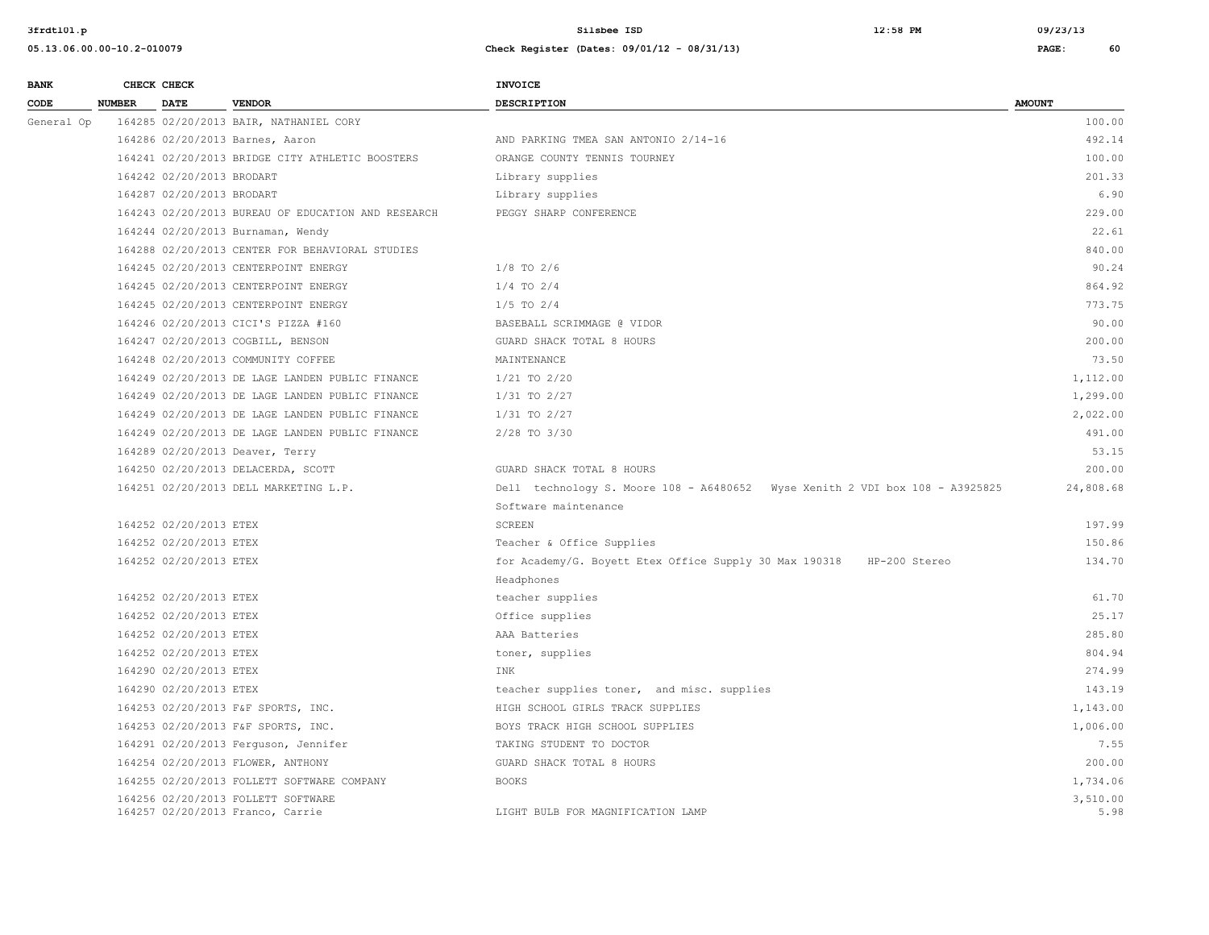| <b>BANK</b> |        | CHECK CHECK               |                                                                        | <b>INVOICE</b>                                                               |                  |
|-------------|--------|---------------------------|------------------------------------------------------------------------|------------------------------------------------------------------------------|------------------|
| CODE        | NUMBER | <b>DATE</b>               | <b>VENDOR</b>                                                          | <b>DESCRIPTION</b>                                                           | <b>AMOUNT</b>    |
| General Op  |        |                           | 164285 02/20/2013 BAIR, NATHANIEL CORY                                 |                                                                              | 100.00           |
|             |        |                           | 164286 02/20/2013 Barnes, Aaron                                        | AND PARKING TMEA SAN ANTONIO 2/14-16                                         | 492.14           |
|             |        |                           | 164241 02/20/2013 BRIDGE CITY ATHLETIC BOOSTERS                        | ORANGE COUNTY TENNIS TOURNEY                                                 | 100.00           |
|             |        | 164242 02/20/2013 BRODART |                                                                        | Library supplies                                                             | 201.33           |
|             |        | 164287 02/20/2013 BRODART |                                                                        | Library supplies                                                             | 6.90             |
|             |        |                           | 164243 02/20/2013 BUREAU OF EDUCATION AND RESEARCH                     | PEGGY SHARP CONFERENCE                                                       | 229.00           |
|             |        |                           | 164244 02/20/2013 Burnaman, Wendy                                      |                                                                              | 22.61            |
|             |        |                           | 164288 02/20/2013 CENTER FOR BEHAVIORAL STUDIES                        |                                                                              | 840.00           |
|             |        |                           | 164245 02/20/2013 CENTERPOINT ENERGY                                   | $1/8$ TO $2/6$                                                               | 90.24            |
|             |        |                           | 164245 02/20/2013 CENTERPOINT ENERGY                                   | $1/4$ TO $2/4$                                                               | 864.92           |
|             |        |                           | 164245 02/20/2013 CENTERPOINT ENERGY                                   | $1/5$ TO $2/4$                                                               | 773.75           |
|             |        |                           | 164246 02/20/2013 CICI'S PIZZA #160                                    | BASEBALL SCRIMMAGE @ VIDOR                                                   | 90.00            |
|             |        |                           | 164247 02/20/2013 COGBILL, BENSON                                      | GUARD SHACK TOTAL 8 HOURS                                                    | 200.00           |
|             |        |                           | 164248 02/20/2013 COMMUNITY COFFEE                                     | MAINTENANCE                                                                  | 73.50            |
|             |        |                           | 164249 02/20/2013 DE LAGE LANDEN PUBLIC FINANCE                        | $1/21$ TO $2/20$                                                             | 1,112.00         |
|             |        |                           | 164249 02/20/2013 DE LAGE LANDEN PUBLIC FINANCE                        | $1/31$ TO $2/27$                                                             | 1,299.00         |
|             |        |                           | 164249 02/20/2013 DE LAGE LANDEN PUBLIC FINANCE                        | $1/31$ TO $2/27$                                                             | 2,022.00         |
|             |        |                           | 164249 02/20/2013 DE LAGE LANDEN PUBLIC FINANCE                        | 2/28 TO 3/30                                                                 | 491.00           |
|             |        |                           | 164289 02/20/2013 Deaver, Terry                                        |                                                                              | 53.15            |
|             |        |                           | 164250 02/20/2013 DELACERDA, SCOTT                                     | GUARD SHACK TOTAL 8 HOURS                                                    | 200.00           |
|             |        |                           | 164251 02/20/2013 DELL MARKETING L.P.                                  | Dell technology S. Moore 108 - A6480652 Wyse Xenith 2 VDI box 108 - A3925825 | 24,808.68        |
|             |        |                           |                                                                        | Software maintenance                                                         |                  |
|             |        | 164252 02/20/2013 ETEX    |                                                                        | <b>SCREEN</b>                                                                | 197.99           |
|             |        | 164252 02/20/2013 ETEX    |                                                                        | Teacher & Office Supplies                                                    | 150.86           |
|             |        | 164252 02/20/2013 ETEX    |                                                                        | for Academy/G. Boyett Etex Office Supply 30 Max 190318 HP-200 Stereo         | 134.70           |
|             |        |                           |                                                                        | Headphones                                                                   |                  |
|             |        | 164252 02/20/2013 ETEX    |                                                                        | teacher supplies                                                             | 61.70            |
|             |        | 164252 02/20/2013 ETEX    |                                                                        | Office supplies                                                              | 25.17            |
|             |        | 164252 02/20/2013 ETEX    |                                                                        | AAA Batteries                                                                | 285.80           |
|             |        | 164252 02/20/2013 ETEX    |                                                                        | toner, supplies                                                              | 804.94           |
|             |        | 164290 02/20/2013 ETEX    |                                                                        | INK                                                                          | 274.99           |
|             |        | 164290 02/20/2013 ETEX    |                                                                        | teacher supplies toner, and misc. supplies                                   | 143.19           |
|             |        |                           | 164253 02/20/2013 F&F SPORTS, INC.                                     | HIGH SCHOOL GIRLS TRACK SUPPLIES                                             | 1,143.00         |
|             |        |                           | 164253 02/20/2013 F&F SPORTS, INC.                                     | BOYS TRACK HIGH SCHOOL SUPPLIES                                              | 1,006.00         |
|             |        |                           | 164291 02/20/2013 Ferguson, Jennifer                                   | TAKING STUDENT TO DOCTOR                                                     | 7.55             |
|             |        |                           | 164254 02/20/2013 FLOWER, ANTHONY                                      | GUARD SHACK TOTAL 8 HOURS                                                    | 200.00           |
|             |        |                           | 164255 02/20/2013 FOLLETT SOFTWARE COMPANY                             | <b>BOOKS</b>                                                                 | 1,734.06         |
|             |        |                           | 164256 02/20/2013 FOLLETT SOFTWARE<br>164257 02/20/2013 Franco, Carrie | LIGHT BULB FOR MAGNIFICATION LAMP                                            | 3,510.00<br>5.98 |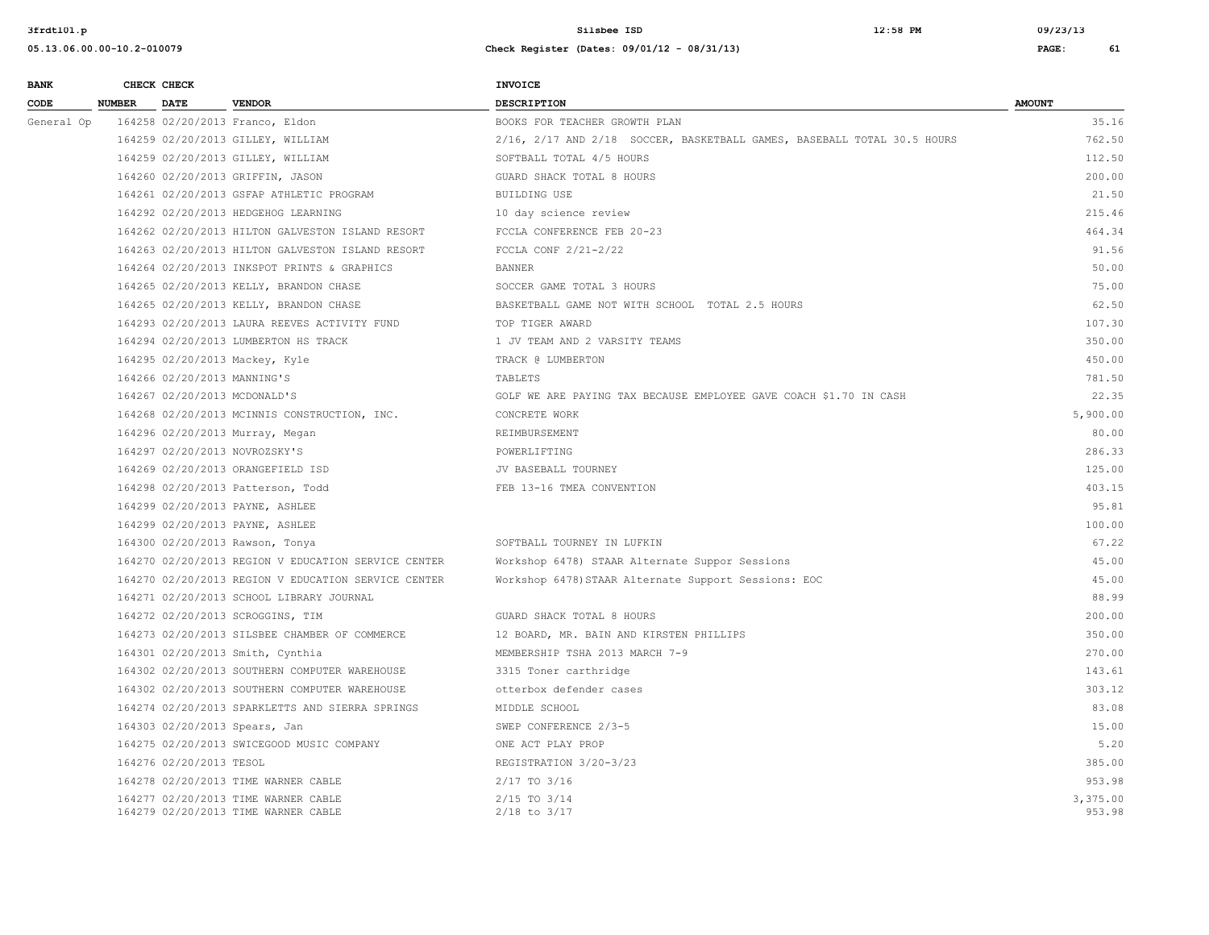| <b>BANK</b> |               | CHECK CHECK                 |                                                                            | <b>INVOICE</b>                                                          |                    |
|-------------|---------------|-----------------------------|----------------------------------------------------------------------------|-------------------------------------------------------------------------|--------------------|
| CODE        | <b>NUMBER</b> | <b>DATE</b>                 | <b>VENDOR</b>                                                              | DESCRIPTION                                                             | <b>AMOUNT</b>      |
| General Op  |               |                             | 164258 02/20/2013 Franco, Eldon                                            | BOOKS FOR TEACHER GROWTH PLAN                                           | 35.16              |
|             |               |                             | 164259 02/20/2013 GILLEY, WILLIAM                                          | 2/16, 2/17 AND 2/18 SOCCER, BASKETBALL GAMES, BASEBALL TOTAL 30.5 HOURS | 762.50             |
|             |               |                             | 164259 02/20/2013 GILLEY, WILLIAM                                          | SOFTBALL TOTAL 4/5 HOURS                                                | 112.50             |
|             |               |                             | 164260 02/20/2013 GRIFFIN, JASON                                           | GUARD SHACK TOTAL 8 HOURS                                               | 200.00             |
|             |               |                             | 164261 02/20/2013 GSFAP ATHLETIC PROGRAM                                   | <b>BUILDING USE</b>                                                     | 21.50              |
|             |               |                             | 164292 02/20/2013 HEDGEHOG LEARNING                                        | 10 day science review                                                   | 215.46             |
|             |               |                             | 164262 02/20/2013 HILTON GALVESTON ISLAND RESORT                           | FCCLA CONFERENCE FEB 20-23                                              | 464.34             |
|             |               |                             | 164263 02/20/2013 HILTON GALVESTON ISLAND RESORT                           | FCCLA CONF 2/21-2/22                                                    | 91.56              |
|             |               |                             | 164264 02/20/2013 INKSPOT PRINTS & GRAPHICS                                | <b>BANNER</b>                                                           | 50.00              |
|             |               |                             | 164265 02/20/2013 KELLY, BRANDON CHASE                                     | SOCCER GAME TOTAL 3 HOURS                                               | 75.00              |
|             |               |                             | 164265 02/20/2013 KELLY, BRANDON CHASE                                     | BASKETBALL GAME NOT WITH SCHOOL TOTAL 2.5 HOURS                         | 62.50              |
|             |               |                             | 164293 02/20/2013 LAURA REEVES ACTIVITY FUND                               | TOP TIGER AWARD                                                         | 107.30             |
|             |               |                             | 164294 02/20/2013 LUMBERTON HS TRACK                                       | 1 JV TEAM AND 2 VARSITY TEAMS                                           | 350.00             |
|             |               |                             | 164295 02/20/2013 Mackey, Kyle                                             | TRACK @ LUMBERTON                                                       | 450.00             |
|             |               | 164266 02/20/2013 MANNING'S |                                                                            | TABLETS                                                                 | 781.50             |
|             |               |                             | 164267 02/20/2013 MCDONALD'S                                               | GOLF WE ARE PAYING TAX BECAUSE EMPLOYEE GAVE COACH \$1.70 IN CASH       | 22.35              |
|             |               |                             | 164268 02/20/2013 MCINNIS CONSTRUCTION, INC.                               | CONCRETE WORK                                                           | 5,900.00           |
|             |               |                             | 164296 02/20/2013 Murray, Megan                                            | REIMBURSEMENT                                                           | 80.00              |
|             |               |                             | 164297 02/20/2013 NOVROZSKY'S                                              | POWERLIFTING                                                            | 286.33             |
|             |               |                             | 164269 02/20/2013 ORANGEFIELD ISD                                          | JV BASEBALL TOURNEY                                                     | 125.00             |
|             |               |                             | 164298 02/20/2013 Patterson, Todd                                          | FEB 13-16 TMEA CONVENTION                                               | 403.15             |
|             |               |                             | 164299 02/20/2013 PAYNE, ASHLEE                                            |                                                                         | 95.81              |
|             |               |                             | 164299 02/20/2013 PAYNE, ASHLEE                                            |                                                                         | 100.00             |
|             |               |                             | 164300 02/20/2013 Rawson, Tonya                                            | SOFTBALL TOURNEY IN LUFKIN                                              | 67.22              |
|             |               |                             | 164270 02/20/2013 REGION V EDUCATION SERVICE CENTER                        | Workshop 6478) STAAR Alternate Suppor Sessions                          | 45.00              |
|             |               |                             | 164270 02/20/2013 REGION V EDUCATION SERVICE CENTER                        | Workshop 6478) STAAR Alternate Support Sessions: EOC                    | 45.00              |
|             |               |                             | 164271 02/20/2013 SCHOOL LIBRARY JOURNAL                                   |                                                                         | 88.99              |
|             |               |                             | 164272 02/20/2013 SCROGGINS, TIM                                           | GUARD SHACK TOTAL 8 HOURS                                               | 200.00             |
|             |               |                             | 164273 02/20/2013 SILSBEE CHAMBER OF COMMERCE                              | 12 BOARD, MR. BAIN AND KIRSTEN PHILLIPS                                 | 350.00             |
|             |               |                             | 164301 02/20/2013 Smith, Cynthia                                           | MEMBERSHIP TSHA 2013 MARCH 7-9                                          | 270.00             |
|             |               |                             | 164302 02/20/2013 SOUTHERN COMPUTER WAREHOUSE                              | 3315 Toner carthridge                                                   | 143.61             |
|             |               |                             | 164302 02/20/2013 SOUTHERN COMPUTER WAREHOUSE                              | otterbox defender cases                                                 | 303.12             |
|             |               |                             | 164274 02/20/2013 SPARKLETTS AND SIERRA SPRINGS                            | MIDDLE SCHOOL                                                           | 83.08              |
|             |               |                             | 164303 02/20/2013 Spears, Jan                                              | SWEP CONFERENCE 2/3-5                                                   | 15.00              |
|             |               |                             | 164275 02/20/2013 SWICEGOOD MUSIC COMPANY                                  | ONE ACT PLAY PROP                                                       | 5.20               |
|             |               | 164276 02/20/2013 TESOL     |                                                                            | REGISTRATION 3/20-3/23                                                  | 385.00             |
|             |               |                             | 164278 02/20/2013 TIME WARNER CABLE                                        | 2/17 TO 3/16                                                            | 953.98             |
|             |               |                             | 164277 02/20/2013 TIME WARNER CABLE<br>164279 02/20/2013 TIME WARNER CABLE | 2/15 TO 3/14<br>$2/18$ to $3/17$                                        | 3,375.00<br>953.98 |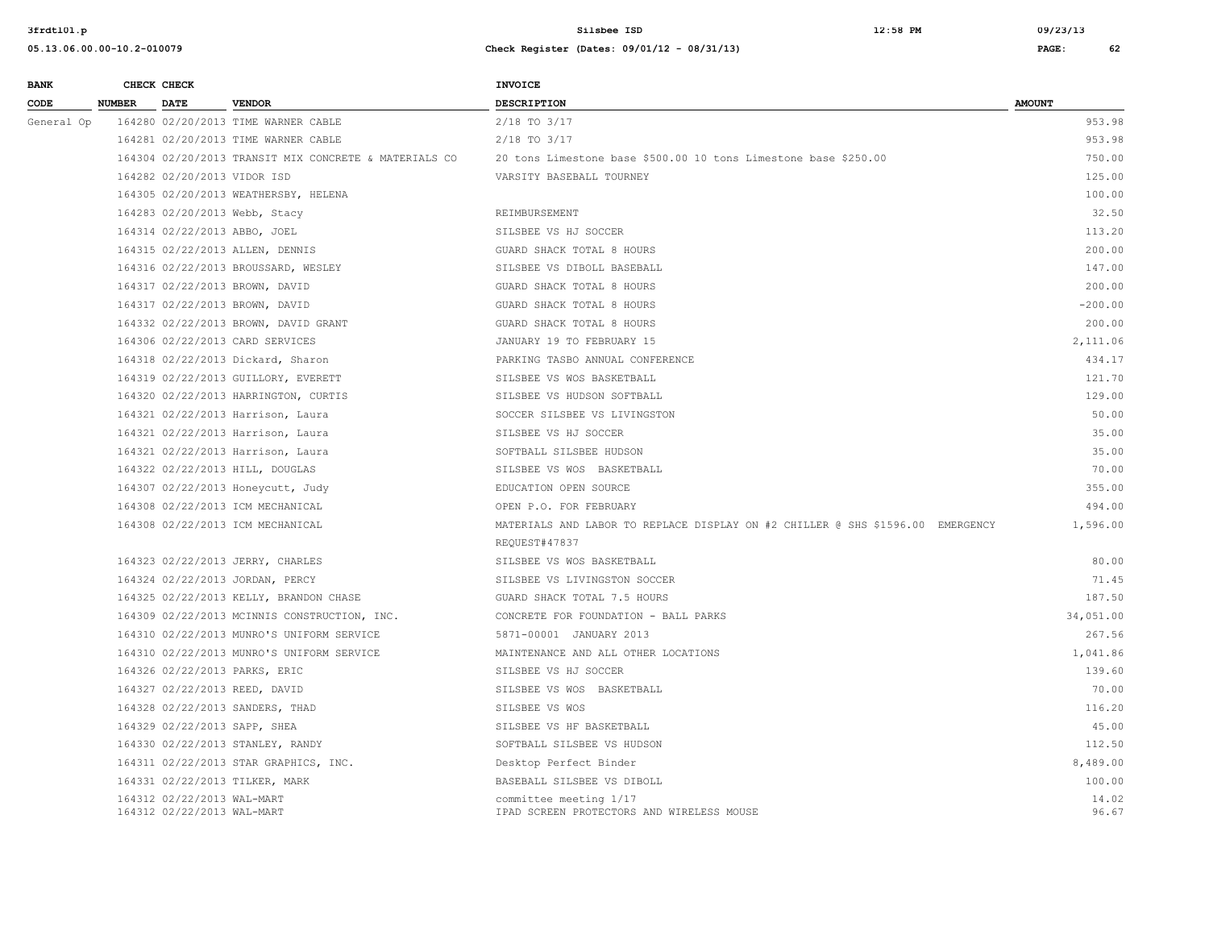| <b>BANK</b> |               | CHECK CHECK                                              |                                                       | INVOICE                                                                        |                |
|-------------|---------------|----------------------------------------------------------|-------------------------------------------------------|--------------------------------------------------------------------------------|----------------|
| CODE        | <b>NUMBER</b> | <b>DATE</b>                                              | <b>VENDOR</b>                                         | <b>DESCRIPTION</b>                                                             | <b>AMOUNT</b>  |
| General Op  |               |                                                          | 164280 02/20/2013 TIME WARNER CABLE                   | 2/18 TO 3/17                                                                   | 953.98         |
|             |               |                                                          | 164281 02/20/2013 TIME WARNER CABLE                   | $2/18$ TO $3/17$                                                               | 953.98         |
|             |               |                                                          | 164304 02/20/2013 TRANSIT MIX CONCRETE & MATERIALS CO | 20 tons Limestone base \$500.00 10 tons Limestone base \$250.00                | 750.00         |
|             |               | 164282 02/20/2013 VIDOR ISD                              |                                                       | VARSITY BASEBALL TOURNEY                                                       | 125.00         |
|             |               |                                                          | 164305 02/20/2013 WEATHERSBY, HELENA                  |                                                                                | 100.00         |
|             |               |                                                          | 164283 02/20/2013 Webb, Stacy                         | REIMBURSEMENT                                                                  | 32.50          |
|             |               |                                                          | 164314 02/22/2013 ABBO, JOEL                          | SILSBEE VS HJ SOCCER                                                           | 113.20         |
|             |               |                                                          | 164315 02/22/2013 ALLEN, DENNIS                       | GUARD SHACK TOTAL 8 HOURS                                                      | 200.00         |
|             |               |                                                          | 164316 02/22/2013 BROUSSARD, WESLEY                   | SILSBEE VS DIBOLL BASEBALL                                                     | 147.00         |
|             |               |                                                          | 164317 02/22/2013 BROWN, DAVID                        | GUARD SHACK TOTAL 8 HOURS                                                      | 200.00         |
|             |               |                                                          | 164317 02/22/2013 BROWN, DAVID                        | GUARD SHACK TOTAL 8 HOURS                                                      | $-200.00$      |
|             |               |                                                          | 164332 02/22/2013 BROWN, DAVID GRANT                  | GUARD SHACK TOTAL 8 HOURS                                                      | 200.00         |
|             |               |                                                          | 164306 02/22/2013 CARD SERVICES                       | JANUARY 19 TO FEBRUARY 15                                                      | 2,111.06       |
|             |               |                                                          | 164318 02/22/2013 Dickard, Sharon                     | PARKING TASBO ANNUAL CONFERENCE                                                | 434.17         |
|             |               |                                                          | 164319 02/22/2013 GUILLORY, EVERETT                   | SILSBEE VS WOS BASKETBALL                                                      | 121.70         |
|             |               |                                                          | 164320 02/22/2013 HARRINGTON, CURTIS                  | SILSBEE VS HUDSON SOFTBALL                                                     | 129.00         |
|             |               |                                                          | 164321 02/22/2013 Harrison, Laura                     | SOCCER SILSBEE VS LIVINGSTON                                                   | 50.00          |
|             |               |                                                          | 164321 02/22/2013 Harrison, Laura                     | SILSBEE VS HJ SOCCER                                                           | 35.00          |
|             |               |                                                          | 164321 02/22/2013 Harrison, Laura                     | SOFTBALL SILSBEE HUDSON                                                        | 35.00          |
|             |               |                                                          | 164322 02/22/2013 HILL, DOUGLAS                       | SILSBEE VS WOS BASKETBALL                                                      | 70.00          |
|             |               |                                                          | 164307 02/22/2013 Honeycutt, Judy                     | EDUCATION OPEN SOURCE                                                          | 355.00         |
|             |               |                                                          | 164308 02/22/2013 ICM MECHANICAL                      | OPEN P.O. FOR FEBRUARY                                                         | 494.00         |
|             |               |                                                          | 164308 02/22/2013 ICM MECHANICAL                      | MATERIALS AND LABOR TO REPLACE DISPLAY ON #2 CHILLER @ SHS \$1596.00 EMERGENCY | 1,596.00       |
|             |               |                                                          |                                                       | REQUEST#47837                                                                  |                |
|             |               |                                                          | 164323 02/22/2013 JERRY, CHARLES                      | SILSBEE VS WOS BASKETBALL                                                      | 80.00          |
|             |               |                                                          | 164324 02/22/2013 JORDAN, PERCY                       | SILSBEE VS LIVINGSTON SOCCER                                                   | 71.45          |
|             |               |                                                          | 164325 02/22/2013 KELLY, BRANDON CHASE                | GUARD SHACK TOTAL 7.5 HOURS                                                    | 187.50         |
|             |               |                                                          | 164309 02/22/2013 MCINNIS CONSTRUCTION, INC.          | CONCRETE FOR FOUNDATION - BALL PARKS                                           | 34,051.00      |
|             |               |                                                          | 164310 02/22/2013 MUNRO'S UNIFORM SERVICE             | 5871-00001 JANUARY 2013                                                        | 267.56         |
|             |               |                                                          | 164310 02/22/2013 MUNRO'S UNIFORM SERVICE             | MAINTENANCE AND ALL OTHER LOCATIONS                                            | 1,041.86       |
|             |               |                                                          | 164326 02/22/2013 PARKS, ERIC                         | SILSBEE VS HJ SOCCER                                                           | 139.60         |
|             |               |                                                          | 164327 02/22/2013 REED, DAVID                         | SILSBEE VS WOS BASKETBALL                                                      | 70.00          |
|             |               |                                                          | 164328 02/22/2013 SANDERS, THAD                       | SILSBEE VS WOS                                                                 | 116.20         |
|             |               |                                                          | 164329 02/22/2013 SAPP, SHEA                          | SILSBEE VS HF BASKETBALL                                                       | 45.00          |
|             |               |                                                          | 164330 02/22/2013 STANLEY, RANDY                      | SOFTBALL SILSBEE VS HUDSON                                                     | 112.50         |
|             |               |                                                          | 164311 02/22/2013 STAR GRAPHICS, INC.                 | Desktop Perfect Binder                                                         | 8,489.00       |
|             |               |                                                          | 164331 02/22/2013 TILKER, MARK                        | BASEBALL SILSBEE VS DIBOLL                                                     | 100.00         |
|             |               | 164312 02/22/2013 WAL-MART<br>164312 02/22/2013 WAL-MART |                                                       | committee meeting 1/17<br>IPAD SCREEN PROTECTORS AND WIRELESS MOUSE            | 14.02<br>96.67 |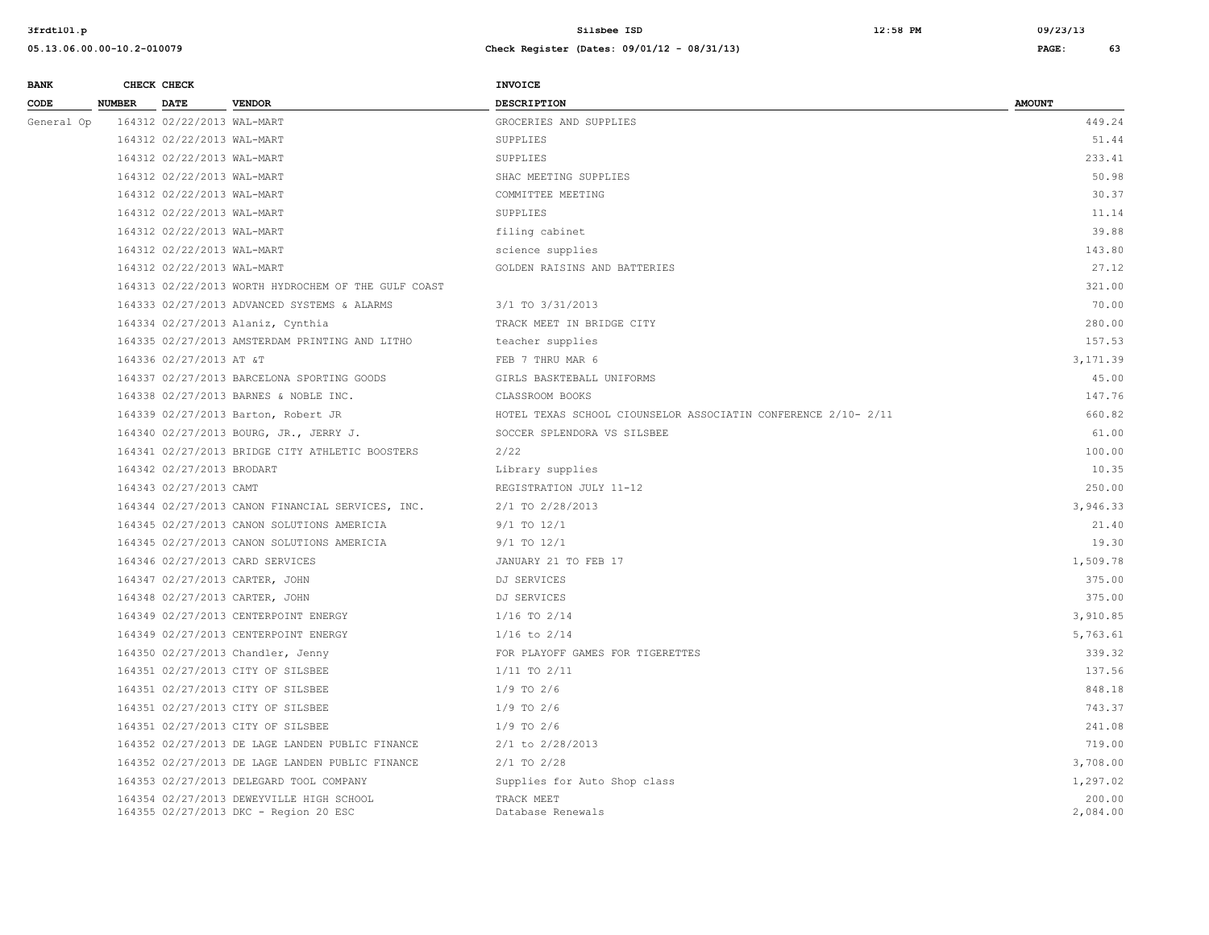| <b>BANK</b> | CHECK CHECK                  |                                                     | <b>INVOICE</b>                                                 |               |
|-------------|------------------------------|-----------------------------------------------------|----------------------------------------------------------------|---------------|
| CODE        | <b>NUMBER</b><br><b>DATE</b> | <b>VENDOR</b>                                       | <b>DESCRIPTION</b>                                             | <b>AMOUNT</b> |
| General Op  | 164312 02/22/2013 WAL-MART   |                                                     | GROCERIES AND SUPPLIES                                         | 449.24        |
|             | 164312 02/22/2013 WAL-MART   |                                                     | SUPPLIES                                                       | 51.44         |
|             | 164312 02/22/2013 WAL-MART   |                                                     | SUPPLIES                                                       | 233.41        |
|             | 164312 02/22/2013 WAL-MART   |                                                     | SHAC MEETING SUPPLIES                                          | 50.98         |
|             | 164312 02/22/2013 WAL-MART   |                                                     | COMMITTEE MEETING                                              | 30.37         |
|             | 164312 02/22/2013 WAL-MART   |                                                     | SUPPLIES                                                       | 11.14         |
|             | 164312 02/22/2013 WAL-MART   |                                                     | filing cabinet                                                 | 39.88         |
|             | 164312 02/22/2013 WAL-MART   |                                                     | science supplies                                               | 143.80        |
|             | 164312 02/22/2013 WAL-MART   |                                                     | GOLDEN RAISINS AND BATTERIES                                   | 27.12         |
|             |                              | 164313 02/22/2013 WORTH HYDROCHEM OF THE GULF COAST |                                                                | 321.00        |
|             |                              | 164333 02/27/2013 ADVANCED SYSTEMS & ALARMS         | 3/1 TO 3/31/2013                                               | 70.00         |
|             |                              | 164334 02/27/2013 Alaniz, Cynthia                   | TRACK MEET IN BRIDGE CITY                                      | 280.00        |
|             |                              | 164335 02/27/2013 AMSTERDAM PRINTING AND LITHO      | teacher supplies                                               | 157.53        |
|             | 164336 02/27/2013 AT &T      |                                                     | FEB 7 THRU MAR 6                                               | 3,171.39      |
|             |                              | 164337 02/27/2013 BARCELONA SPORTING GOODS          | GIRLS BASKTEBALL UNIFORMS                                      | 45.00         |
|             |                              | 164338 02/27/2013 BARNES & NOBLE INC.               | CLASSROOM BOOKS                                                | 147.76        |
|             |                              | 164339 02/27/2013 Barton, Robert JR                 | HOTEL TEXAS SCHOOL CIOUNSELOR ASSOCIATIN CONFERENCE 2/10- 2/11 | 660.82        |
|             |                              | 164340 02/27/2013 BOURG, JR., JERRY J.              | SOCCER SPLENDORA VS SILSBEE                                    | 61.00         |
|             |                              | 164341 02/27/2013 BRIDGE CITY ATHLETIC BOOSTERS     | 2/22                                                           | 100.00        |
|             | 164342 02/27/2013 BRODART    |                                                     | Library supplies                                               | 10.35         |
|             | 164343 02/27/2013 CAMT       |                                                     | REGISTRATION JULY 11-12                                        | 250.00        |
|             |                              | 164344 02/27/2013 CANON FINANCIAL SERVICES, INC.    | 2/1 TO 2/28/2013                                               | 3,946.33      |
|             |                              | 164345 02/27/2013 CANON SOLUTIONS AMERICIA          | $9/1$ TO $12/1$                                                | 21.40         |
|             |                              | 164345 02/27/2013 CANON SOLUTIONS AMERICIA          | 9/1 TO 12/1                                                    | 19.30         |
|             |                              | 164346 02/27/2013 CARD SERVICES                     | JANUARY 21 TO FEB 17                                           | 1,509.78      |
|             |                              | 164347 02/27/2013 CARTER, JOHN                      | DJ SERVICES                                                    | 375.00        |
|             |                              | 164348 02/27/2013 CARTER, JOHN                      | DJ SERVICES                                                    | 375.00        |
|             |                              | 164349 02/27/2013 CENTERPOINT ENERGY                | $1/16$ TO $2/14$                                               | 3,910.85      |
|             |                              | 164349 02/27/2013 CENTERPOINT ENERGY                | $1/16$ to $2/14$                                               | 5,763.61      |
|             |                              | 164350 02/27/2013 Chandler, Jenny                   | FOR PLAYOFF GAMES FOR TIGERETTES                               | 339.32        |
|             |                              | 164351 02/27/2013 CITY OF SILSBEE                   | $1/11$ TO $2/11$                                               | 137.56        |
|             |                              | 164351 02/27/2013 CITY OF SILSBEE                   | $1/9$ TO $2/6$                                                 | 848.18        |
|             |                              | 164351 02/27/2013 CITY OF SILSBEE                   | $1/9$ TO $2/6$                                                 | 743.37        |
|             |                              | 164351 02/27/2013 CITY OF SILSBEE                   | $1/9$ TO $2/6$                                                 | 241.08        |
|             |                              | 164352 02/27/2013 DE LAGE LANDEN PUBLIC FINANCE     | 2/1 to 2/28/2013                                               | 719.00        |
|             |                              | 164352 02/27/2013 DE LAGE LANDEN PUBLIC FINANCE     | $2/1$ TO $2/28$                                                | 3,708.00      |
|             |                              | 164353 02/27/2013 DELEGARD TOOL COMPANY             | Supplies for Auto Shop class                                   | 1,297.02      |
|             |                              | 164354 02/27/2013 DEWEYVILLE HIGH SCHOOL            | TRACK MEET                                                     | 200.00        |
|             |                              | 164355 02/27/2013 DKC - Region 20 ESC               | Database Renewals                                              | 2,084.00      |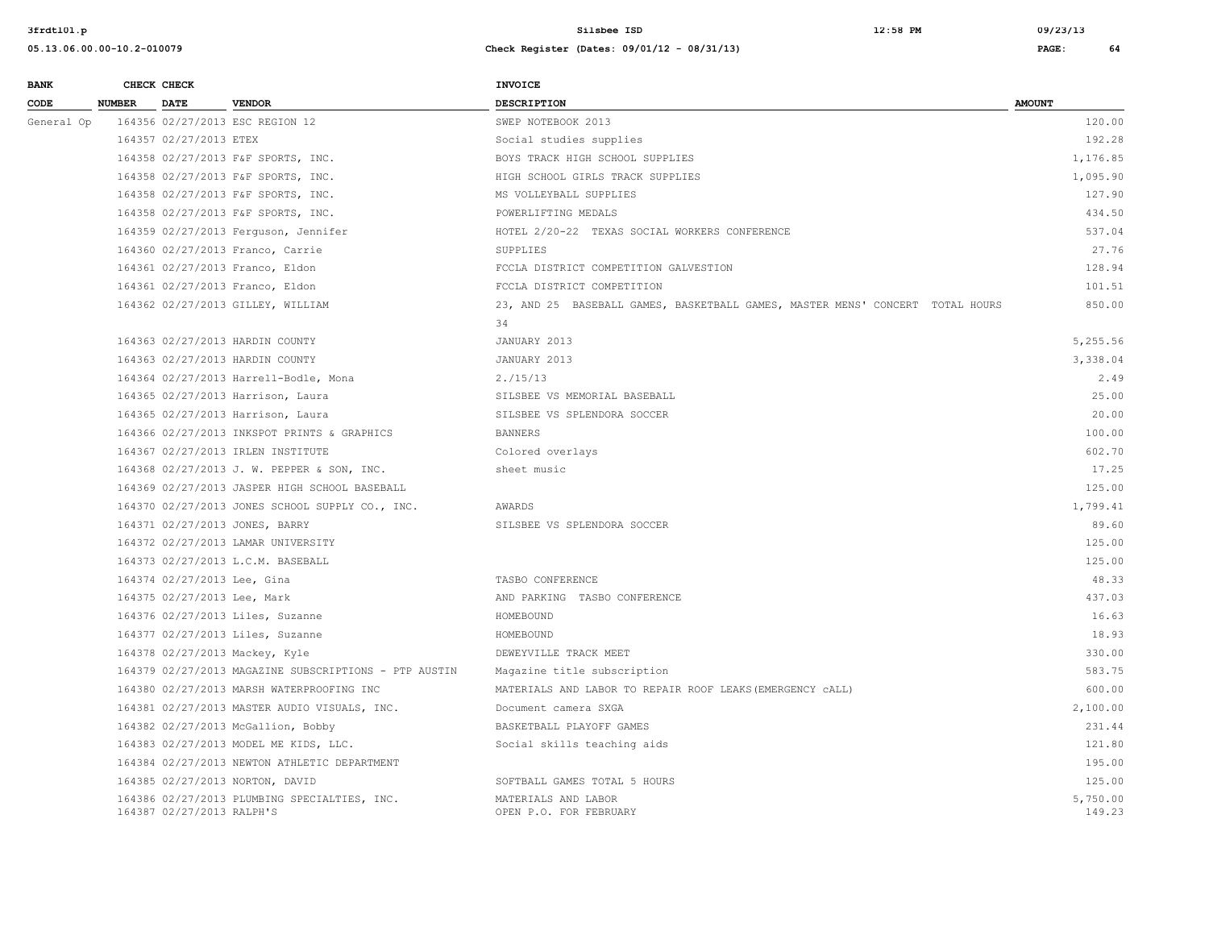| <b>BANK</b> |               | CHECK CHECK                 |                                                       | <b>INVOICE</b>                                                                |                    |
|-------------|---------------|-----------------------------|-------------------------------------------------------|-------------------------------------------------------------------------------|--------------------|
| CODE        | <b>NUMBER</b> | <b>DATE</b>                 | <b>VENDOR</b>                                         | <b>DESCRIPTION</b>                                                            | <b>AMOUNT</b>      |
| General Op  |               |                             | 164356 02/27/2013 ESC REGION 12                       | SWEP NOTEBOOK 2013                                                            | 120.00             |
|             |               | 164357 02/27/2013 ETEX      |                                                       | Social studies supplies                                                       | 192.28             |
|             |               |                             | 164358 02/27/2013 F&F SPORTS, INC.                    | BOYS TRACK HIGH SCHOOL SUPPLIES                                               | 1,176.85           |
|             |               |                             | 164358 02/27/2013 F&F SPORTS, INC.                    | HIGH SCHOOL GIRLS TRACK SUPPLIES                                              | 1,095.90           |
|             |               |                             | 164358 02/27/2013 F&F SPORTS, INC.                    | MS VOLLEYBALL SUPPLIES                                                        | 127.90             |
|             |               |                             | 164358 02/27/2013 F&F SPORTS, INC.                    | POWERLIFTING MEDALS                                                           | 434.50             |
|             |               |                             | 164359 02/27/2013 Ferguson, Jennifer                  | HOTEL 2/20-22 TEXAS SOCIAL WORKERS CONFERENCE                                 | 537.04             |
|             |               |                             | 164360 02/27/2013 Franco, Carrie                      | SUPPLIES                                                                      | 27.76              |
|             |               |                             | 164361 02/27/2013 Franco, Eldon                       | FCCLA DISTRICT COMPETITION GALVESTION                                         | 128.94             |
|             |               |                             | 164361 02/27/2013 Franco, Eldon                       | FCCLA DISTRICT COMPETITION                                                    | 101.51             |
|             |               |                             | 164362 02/27/2013 GILLEY, WILLIAM                     | 23, AND 25 BASEBALL GAMES, BASKETBALL GAMES, MASTER MENS' CONCERT TOTAL HOURS | 850.00             |
|             |               |                             |                                                       | 34                                                                            |                    |
|             |               |                             | 164363 02/27/2013 HARDIN COUNTY                       | JANUARY 2013                                                                  | 5,255.56           |
|             |               |                             | 164363 02/27/2013 HARDIN COUNTY                       | JANUARY 2013                                                                  | 3,338.04           |
|             |               |                             | 164364 02/27/2013 Harrell-Bodle, Mona                 | 2./15/13                                                                      | 2.49               |
|             |               |                             | 164365 02/27/2013 Harrison, Laura                     | SILSBEE VS MEMORIAL BASEBALL                                                  | 25.00              |
|             |               |                             | 164365 02/27/2013 Harrison, Laura                     | SILSBEE VS SPLENDORA SOCCER                                                   | 20.00              |
|             |               |                             | 164366 02/27/2013 INKSPOT PRINTS & GRAPHICS           | <b>BANNERS</b>                                                                | 100.00             |
|             |               |                             | 164367 02/27/2013 IRLEN INSTITUTE                     | Colored overlays                                                              | 602.70             |
|             |               |                             | 164368 02/27/2013 J. W. PEPPER & SON, INC.            | sheet music                                                                   | 17.25              |
|             |               |                             | 164369 02/27/2013 JASPER HIGH SCHOOL BASEBALL         |                                                                               | 125.00             |
|             |               |                             | 164370 02/27/2013 JONES SCHOOL SUPPLY CO., INC.       | AWARDS                                                                        | 1,799.41           |
|             |               |                             | 164371 02/27/2013 JONES, BARRY                        | SILSBEE VS SPLENDORA SOCCER                                                   | 89.60              |
|             |               |                             | 164372 02/27/2013 LAMAR UNIVERSITY                    |                                                                               | 125.00             |
|             |               |                             | 164373 02/27/2013 L.C.M. BASEBALL                     |                                                                               | 125.00             |
|             |               | 164374 02/27/2013 Lee, Gina |                                                       | TASBO CONFERENCE                                                              | 48.33              |
|             |               | 164375 02/27/2013 Lee, Mark |                                                       | AND PARKING TASBO CONFERENCE                                                  | 437.03             |
|             |               |                             | 164376 02/27/2013 Liles, Suzanne                      | HOMEBOUND                                                                     | 16.63              |
|             |               |                             | 164377 02/27/2013 Liles, Suzanne                      | HOMEBOUND                                                                     | 18.93              |
|             |               |                             | 164378 02/27/2013 Mackey, Kyle                        | DEWEYVILLE TRACK MEET                                                         | 330.00             |
|             |               |                             | 164379 02/27/2013 MAGAZINE SUBSCRIPTIONS - PTP AUSTIN | Magazine title subscription                                                   | 583.75             |
|             |               |                             | 164380 02/27/2013 MARSH WATERPROOFING INC             | MATERIALS AND LABOR TO REPAIR ROOF LEAKS (EMERGENCY CALL)                     | 600.00             |
|             |               |                             | 164381 02/27/2013 MASTER AUDIO VISUALS, INC.          | Document camera SXGA                                                          | 2,100.00           |
|             |               |                             | 164382 02/27/2013 McGallion, Bobby                    | BASKETBALL PLAYOFF GAMES                                                      | 231.44             |
|             |               |                             | 164383 02/27/2013 MODEL ME KIDS, LLC.                 | Social skills teaching aids                                                   | 121.80             |
|             |               |                             | 164384 02/27/2013 NEWTON ATHLETIC DEPARTMENT          |                                                                               | 195.00             |
|             |               |                             | 164385 02/27/2013 NORTON, DAVID                       | SOFTBALL GAMES TOTAL 5 HOURS                                                  | 125.00             |
|             |               | 164387 02/27/2013 RALPH'S   | 164386 02/27/2013 PLUMBING SPECIALTIES, INC.          | MATERIALS AND LABOR<br>OPEN P.O. FOR FEBRUARY                                 | 5,750.00<br>149.23 |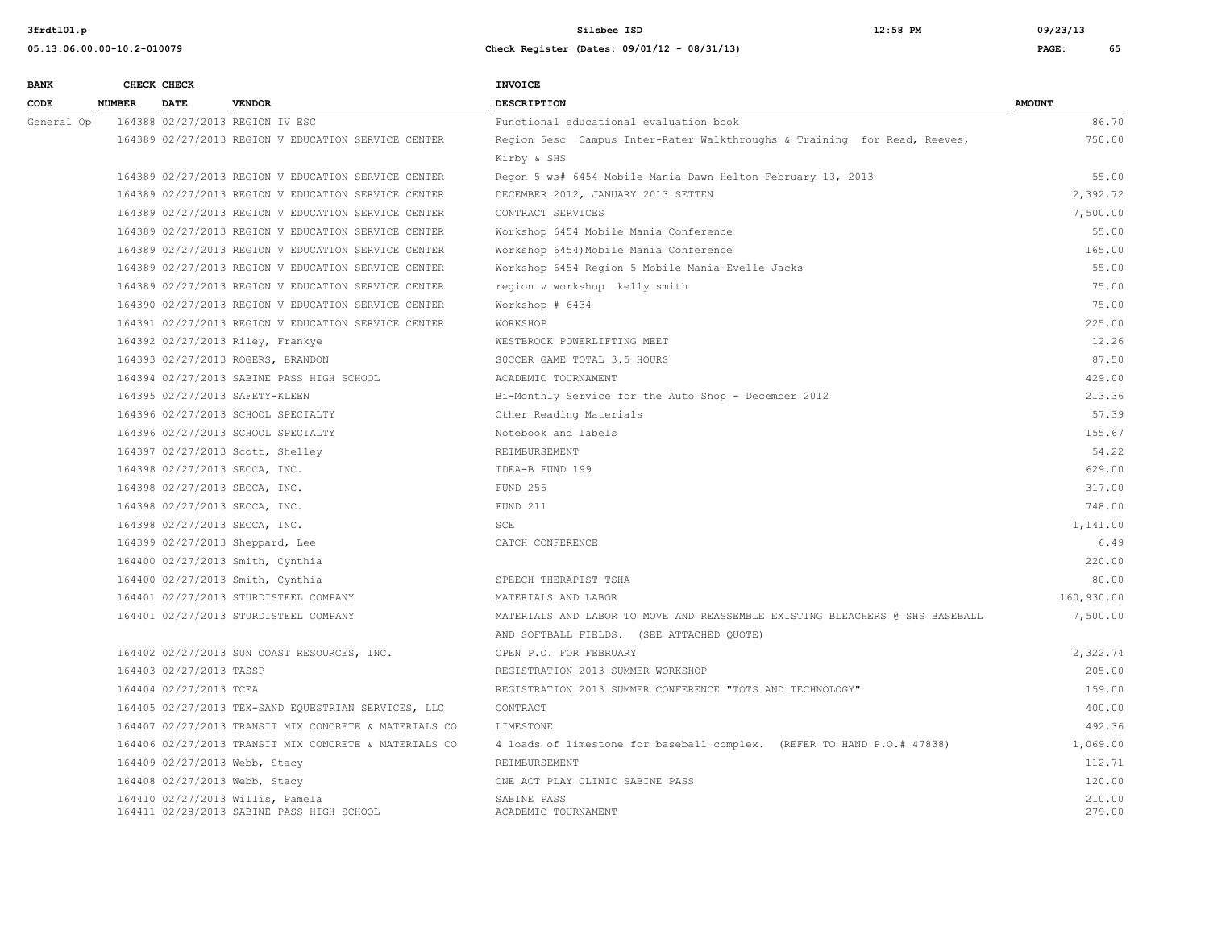**05.13.06.00.00-10.2-010079 Check Register (Dates: 09/01/12 - 08/31/13) PAGE: 65**

**3frdtl01.p Silsbee ISD 12:58 PM 09/23/13**

| <b>BANK</b> |               | CHECK CHECK             |                                                                               | <b>INVOICE</b>                                                               |                  |
|-------------|---------------|-------------------------|-------------------------------------------------------------------------------|------------------------------------------------------------------------------|------------------|
| CODE        | <b>NUMBER</b> | <b>DATE</b>             | <b>VENDOR</b>                                                                 | <b>DESCRIPTION</b>                                                           | <b>AMOUNT</b>    |
| General Op  |               |                         | 164388 02/27/2013 REGION IV ESC                                               | Functional educational evaluation book                                       | 86.70            |
|             |               |                         | 164389 02/27/2013 REGION V EDUCATION SERVICE CENTER                           | Region 5esc Campus Inter-Rater Walkthroughs & Training for Read, Reeves,     | 750.00           |
|             |               |                         |                                                                               | Kirby & SHS                                                                  |                  |
|             |               |                         | 164389 02/27/2013 REGION V EDUCATION SERVICE CENTER                           | Regon 5 ws# 6454 Mobile Mania Dawn Helton February 13, 2013                  | 55.00            |
|             |               |                         | 164389 02/27/2013 REGION V EDUCATION SERVICE CENTER                           | DECEMBER 2012, JANUARY 2013 SETTEN                                           | 2,392.72         |
|             |               |                         | 164389 02/27/2013 REGION V EDUCATION SERVICE CENTER                           | CONTRACT SERVICES                                                            | 7,500.00         |
|             |               |                         | 164389 02/27/2013 REGION V EDUCATION SERVICE CENTER                           | Workshop 6454 Mobile Mania Conference                                        | 55.00            |
|             |               |                         | 164389 02/27/2013 REGION V EDUCATION SERVICE CENTER                           | Workshop 6454) Mobile Mania Conference                                       | 165.00           |
|             |               |                         | 164389 02/27/2013 REGION V EDUCATION SERVICE CENTER                           | Workshop 6454 Region 5 Mobile Mania-Evelle Jacks                             | 55.00            |
|             |               |                         | 164389 02/27/2013 REGION V EDUCATION SERVICE CENTER                           | region v workshop kelly smith                                                | 75.00            |
|             |               |                         | 164390 02/27/2013 REGION V EDUCATION SERVICE CENTER                           | Workshop # 6434                                                              | 75.00            |
|             |               |                         | 164391 02/27/2013 REGION V EDUCATION SERVICE CENTER                           | WORKSHOP                                                                     | 225.00           |
|             |               |                         | 164392 02/27/2013 Riley, Frankye                                              | WESTBROOK POWERLIFTING MEET                                                  | 12.26            |
|             |               |                         | 164393 02/27/2013 ROGERS, BRANDON                                             | SOCCER GAME TOTAL 3.5 HOURS                                                  | 87.50            |
|             |               |                         | 164394 02/27/2013 SABINE PASS HIGH SCHOOL                                     | ACADEMIC TOURNAMENT                                                          | 429.00           |
|             |               |                         | 164395 02/27/2013 SAFETY-KLEEN                                                | Bi-Monthly Service for the Auto Shop - December 2012                         | 213.36           |
|             |               |                         | 164396 02/27/2013 SCHOOL SPECIALTY                                            | Other Reading Materials                                                      | 57.39            |
|             |               |                         | 164396 02/27/2013 SCHOOL SPECIALTY                                            | Notebook and labels                                                          | 155.67           |
|             |               |                         | 164397 02/27/2013 Scott, Shelley                                              | REIMBURSEMENT                                                                | 54.22            |
|             |               |                         | 164398 02/27/2013 SECCA, INC.                                                 | IDEA-B FUND 199                                                              | 629.00           |
|             |               |                         | 164398 02/27/2013 SECCA, INC.                                                 | <b>FUND 255</b>                                                              | 317.00           |
|             |               |                         | 164398 02/27/2013 SECCA, INC.                                                 | FUND 211                                                                     | 748.00           |
|             |               |                         | 164398 02/27/2013 SECCA, INC.                                                 | SCE                                                                          | 1,141.00         |
|             |               |                         | 164399 02/27/2013 Sheppard, Lee                                               | CATCH CONFERENCE                                                             | 6.49             |
|             |               |                         | 164400 02/27/2013 Smith, Cynthia                                              |                                                                              | 220.00           |
|             |               |                         | 164400 02/27/2013 Smith, Cynthia                                              | SPEECH THERAPIST TSHA                                                        | 80.00            |
|             |               |                         | 164401 02/27/2013 STURDISTEEL COMPANY                                         | MATERIALS AND LABOR                                                          | 160,930.00       |
|             |               |                         | 164401 02/27/2013 STURDISTEEL COMPANY                                         | MATERIALS AND LABOR TO MOVE AND REASSEMBLE EXISTING BLEACHERS @ SHS BASEBALL | 7,500.00         |
|             |               |                         |                                                                               | AND SOFTBALL FIELDS. (SEE ATTACHED QUOTE)                                    |                  |
|             |               |                         | 164402 02/27/2013 SUN COAST RESOURCES, INC.                                   | OPEN P.O. FOR FEBRUARY                                                       | 2,322.74         |
|             |               | 164403 02/27/2013 TASSP |                                                                               | REGISTRATION 2013 SUMMER WORKSHOP                                            | 205.00           |
|             |               | 164404 02/27/2013 TCEA  |                                                                               | REGISTRATION 2013 SUMMER CONFERENCE "TOTS AND TECHNOLOGY"                    | 159.00           |
|             |               |                         | 164405 02/27/2013 TEX-SAND EQUESTRIAN SERVICES, LLC                           | CONTRACT                                                                     | 400.00           |
|             |               |                         | 164407 02/27/2013 TRANSIT MIX CONCRETE & MATERIALS CO                         | LIMESTONE                                                                    | 492.36           |
|             |               |                         | 164406 02/27/2013 TRANSIT MIX CONCRETE & MATERIALS CO                         | 4 loads of limestone for baseball complex. (REFER TO HAND P.O.# 47838)       | 1,069.00         |
|             |               |                         | 164409 02/27/2013 Webb, Stacy                                                 | REIMBURSEMENT                                                                | 112.71           |
|             |               |                         | 164408 02/27/2013 Webb, Stacy                                                 | ONE ACT PLAY CLINIC SABINE PASS                                              | 120.00           |
|             |               |                         | 164410 02/27/2013 Willis, Pamela<br>164411 02/28/2013 SABINE PASS HIGH SCHOOL | SABINE PASS<br>ACADEMIC TOURNAMENT                                           | 210.00<br>279.00 |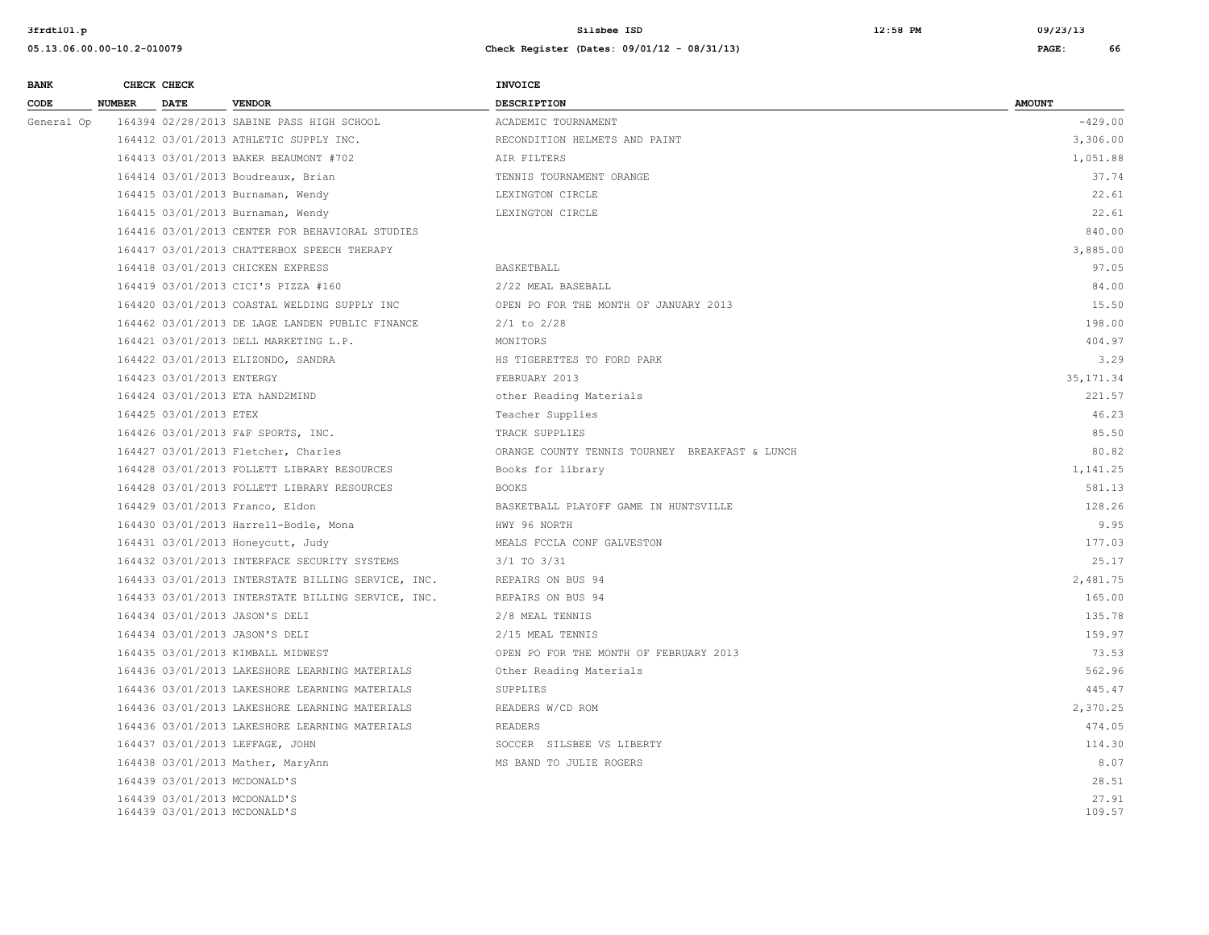| <b>BANK</b> | CHECK CHECK            |                                                              | INVOICE                                        |                 |
|-------------|------------------------|--------------------------------------------------------------|------------------------------------------------|-----------------|
| <b>CODE</b> | NUMBER DATE            | <b>VENDOR</b>                                                | <b>DESCRIPTION</b>                             | <b>AMOUNT</b>   |
| General Op  |                        | 164394 02/28/2013 SABINE PASS HIGH SCHOOL                    | ACADEMIC TOURNAMENT                            | $-429.00$       |
|             |                        | 164412 03/01/2013 ATHLETIC SUPPLY INC.                       | RECONDITION HELMETS AND PAINT                  | 3,306.00        |
|             |                        | 164413 03/01/2013 BAKER BEAUMONT #702                        | AIR FILTERS                                    | 1,051.88        |
|             |                        | 164414 03/01/2013 Boudreaux, Brian                           | TENNIS TOURNAMENT ORANGE                       | 37.74           |
|             |                        | 164415 03/01/2013 Burnaman, Wendy                            | LEXINGTON CIRCLE                               | 22.61           |
|             |                        | 164415 03/01/2013 Burnaman, Wendy                            | LEXINGTON CIRCLE                               | 22.61           |
|             |                        | 164416 03/01/2013 CENTER FOR BEHAVIORAL STUDIES              |                                                | 840.00          |
|             |                        | 164417 03/01/2013 CHATTERBOX SPEECH THERAPY                  |                                                | 3,885.00        |
|             |                        | 164418 03/01/2013 CHICKEN EXPRESS                            | BASKETBALL                                     | 97.05           |
|             |                        | 164419 03/01/2013 CICI'S PIZZA #160                          | 2/22 MEAL BASEBALL                             | 84.00           |
|             |                        | 164420 03/01/2013 COASTAL WELDING SUPPLY INC                 | OPEN PO FOR THE MONTH OF JANUARY 2013          | 15.50           |
|             |                        | 164462 03/01/2013 DE LAGE LANDEN PUBLIC FINANCE              | $2/1$ to $2/28$                                | 198.00          |
|             |                        | 164421 03/01/2013 DELL MARKETING L.P.                        | MONITORS                                       | 404.97          |
|             |                        | 164422 03/01/2013 ELIZONDO, SANDRA                           | HS TIGERETTES TO FORD PARK                     | 3.29            |
|             |                        | 164423 03/01/2013 ENTERGY                                    | FEBRUARY 2013                                  | 35, 171.34      |
|             |                        | 164424 03/01/2013 ETA hAND2MIND                              | other Reading Materials                        | 221.57          |
|             | 164425 03/01/2013 ETEX |                                                              | Teacher Supplies                               | 46.23           |
|             |                        | 164426 03/01/2013 F&F SPORTS, INC.                           | TRACK SUPPLIES                                 | 85.50           |
|             |                        | 164427 03/01/2013 Fletcher, Charles                          | ORANGE COUNTY TENNIS TOURNEY BREAKFAST & LUNCH | 80.82           |
|             |                        | 164428 03/01/2013 FOLLETT LIBRARY RESOURCES                  | Books for library                              | 1,141.25        |
|             |                        | 164428 03/01/2013 FOLLETT LIBRARY RESOURCES                  | <b>BOOKS</b>                                   | 581.13          |
|             |                        | 164429 03/01/2013 Franco, Eldon                              | BASKETBALL PLAYOFF GAME IN HUNTSVILLE          | 128.26          |
|             |                        | 164430 03/01/2013 Harrell-Bodle, Mona                        | HWY 96 NORTH                                   | 9.95            |
|             |                        | 164431 03/01/2013 Honeycutt, Judy                            | MEALS FCCLA CONF GALVESTON                     | 177.03          |
|             |                        | 164432 03/01/2013 INTERFACE SECURITY SYSTEMS                 | 3/1 TO 3/31                                    | 25.17           |
|             |                        | 164433 03/01/2013 INTERSTATE BILLING SERVICE, INC.           | REPAIRS ON BUS 94                              | 2,481.75        |
|             |                        | 164433 03/01/2013 INTERSTATE BILLING SERVICE, INC.           | REPAIRS ON BUS 94                              | 165.00          |
|             |                        | 164434 03/01/2013 JASON'S DELI                               | 2/8 MEAL TENNIS                                | 135.78          |
|             |                        | 164434 03/01/2013 JASON'S DELI                               | 2/15 MEAL TENNIS                               | 159.97          |
|             |                        | 164435 03/01/2013 KIMBALL MIDWEST                            | OPEN PO FOR THE MONTH OF FEBRUARY 2013         | 73.53           |
|             |                        | 164436 03/01/2013 LAKESHORE LEARNING MATERIALS               | Other Reading Materials                        | 562.96          |
|             |                        | 164436 03/01/2013 LAKESHORE LEARNING MATERIALS               | SUPPLIES                                       | 445.47          |
|             |                        | 164436 03/01/2013 LAKESHORE LEARNING MATERIALS               | READERS W/CD ROM                               | 2,370.25        |
|             |                        | 164436 03/01/2013 LAKESHORE LEARNING MATERIALS               | <b>READERS</b>                                 | 474.05          |
|             |                        | 164437 03/01/2013 LEFFAGE, JOHN                              | SOCCER SILSBEE VS LIBERTY                      | 114.30          |
|             |                        | 164438 03/01/2013 Mather, MaryAnn                            | MS BAND TO JULIE ROGERS                        | 8.07            |
|             |                        | 164439 03/01/2013 MCDONALD'S                                 |                                                | 28.51           |
|             |                        | 164439 03/01/2013 MCDONALD'S<br>164439 03/01/2013 MCDONALD'S |                                                | 27.91<br>109.57 |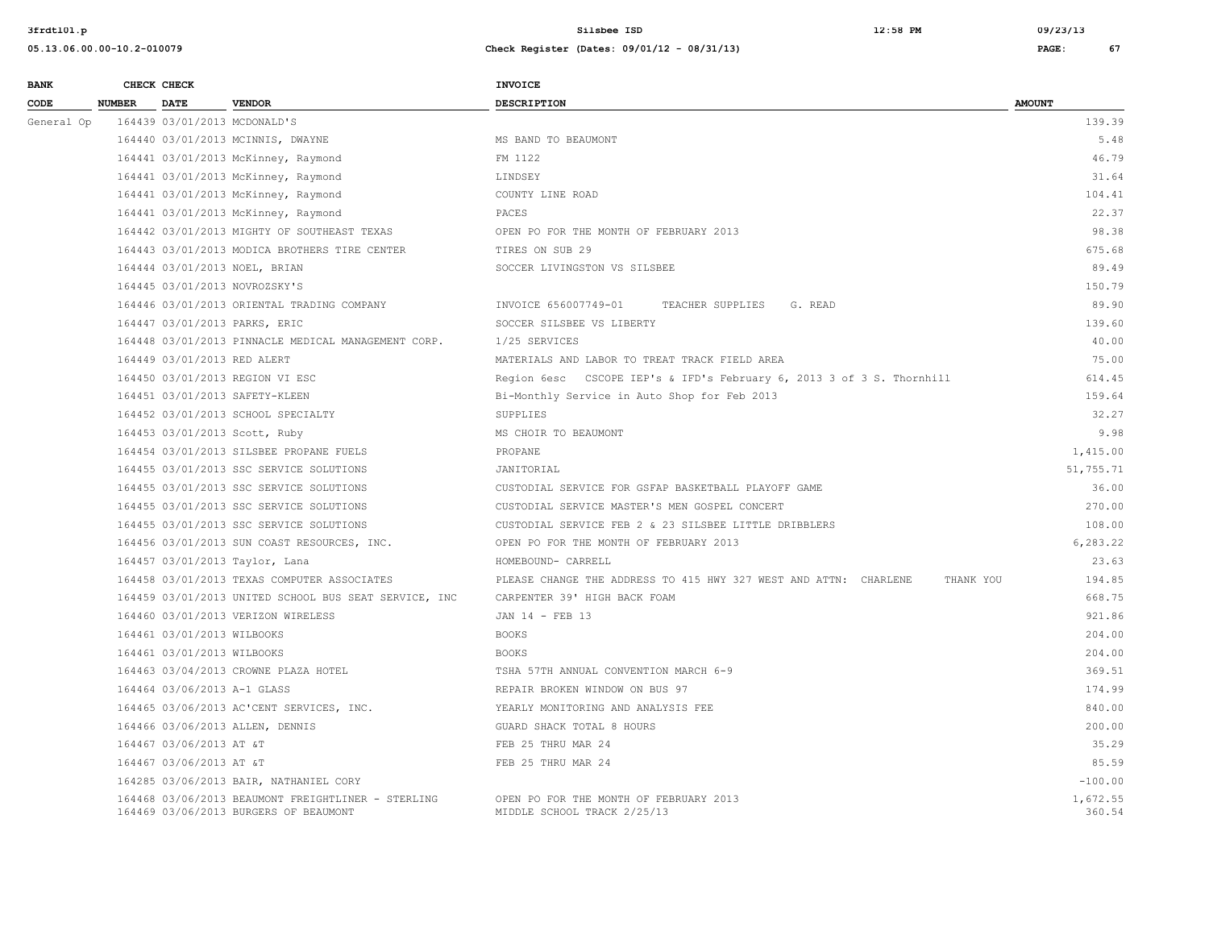| <b>BANK</b> |               | CHECK CHECK                  |                                                                                             | <b>INVOICE</b>                                                                |                    |
|-------------|---------------|------------------------------|---------------------------------------------------------------------------------------------|-------------------------------------------------------------------------------|--------------------|
| CODE        | <b>NUMBER</b> | <b>DATE</b>                  | <b>VENDOR</b>                                                                               | DESCRIPTION                                                                   | <b>AMOUNT</b>      |
| General Op  |               | 164439 03/01/2013 MCDONALD'S |                                                                                             |                                                                               | 139.39             |
|             |               |                              | 164440 03/01/2013 MCINNIS, DWAYNE                                                           | MS BAND TO BEAUMONT                                                           | 5.48               |
|             |               |                              | 164441 03/01/2013 McKinney, Raymond                                                         | FM 1122                                                                       | 46.79              |
|             |               |                              | 164441 03/01/2013 McKinney, Raymond                                                         | LINDSEY                                                                       | 31.64              |
|             |               |                              | 164441 03/01/2013 McKinney, Raymond                                                         | COUNTY LINE ROAD                                                              | 104.41             |
|             |               |                              | 164441 03/01/2013 McKinney, Raymond                                                         | PACES                                                                         | 22.37              |
|             |               |                              | 164442 03/01/2013 MIGHTY OF SOUTHEAST TEXAS                                                 | OPEN PO FOR THE MONTH OF FEBRUARY 2013                                        | 98.38              |
|             |               |                              | 164443 03/01/2013 MODICA BROTHERS TIRE CENTER                                               | TIRES ON SUB 29                                                               | 675.68             |
|             |               |                              | 164444 03/01/2013 NOEL, BRIAN                                                               | SOCCER LIVINGSTON VS SILSBEE                                                  | 89.49              |
|             |               |                              | 164445 03/01/2013 NOVROZSKY'S                                                               |                                                                               | 150.79             |
|             |               |                              | 164446 03/01/2013 ORIENTAL TRADING COMPANY                                                  | INVOICE 656007749-01<br>TEACHER SUPPLIES<br>G. READ                           | 89.90              |
|             |               |                              | 164447 03/01/2013 PARKS, ERIC                                                               | SOCCER SILSBEE VS LIBERTY                                                     | 139.60             |
|             |               |                              | 164448 03/01/2013 PINNACLE MEDICAL MANAGEMENT CORP.                                         | 1/25 SERVICES                                                                 | 40.00              |
|             |               | 164449 03/01/2013 RED ALERT  |                                                                                             | MATERIALS AND LABOR TO TREAT TRACK FIELD AREA                                 | 75.00              |
|             |               |                              | 164450 03/01/2013 REGION VI ESC                                                             | Region 6esc CSCOPE IEP's & IFD's February 6, 2013 3 of 3 S. Thornhill         | 614.45             |
|             |               |                              | 164451 03/01/2013 SAFETY-KLEEN                                                              | Bi-Monthly Service in Auto Shop for Feb 2013                                  | 159.64             |
|             |               |                              | 164452 03/01/2013 SCHOOL SPECIALTY                                                          | SUPPLIES                                                                      | 32.27              |
|             |               |                              | 164453 03/01/2013 Scott, Ruby                                                               | MS CHOIR TO BEAUMONT                                                          | 9.98               |
|             |               |                              | 164454 03/01/2013 SILSBEE PROPANE FUELS                                                     | PROPANE                                                                       | 1,415.00           |
|             |               |                              | 164455 03/01/2013 SSC SERVICE SOLUTIONS                                                     | JANITORIAL                                                                    | 51,755.71          |
|             |               |                              | 164455 03/01/2013 SSC SERVICE SOLUTIONS                                                     | CUSTODIAL SERVICE FOR GSFAP BASKETBALL PLAYOFF GAME                           | 36.00              |
|             |               |                              | 164455 03/01/2013 SSC SERVICE SOLUTIONS                                                     | CUSTODIAL SERVICE MASTER'S MEN GOSPEL CONCERT                                 | 270.00             |
|             |               |                              | 164455 03/01/2013 SSC SERVICE SOLUTIONS                                                     | CUSTODIAL SERVICE FEB 2 & 23 SILSBEE LITTLE DRIBBLERS                         | 108.00             |
|             |               |                              | 164456 03/01/2013 SUN COAST RESOURCES, INC.                                                 | OPEN PO FOR THE MONTH OF FEBRUARY 2013                                        | 6,283.22           |
|             |               |                              | 164457 03/01/2013 Taylor, Lana                                                              | HOMEBOUND- CARRELL                                                            | 23.63              |
|             |               |                              | 164458 03/01/2013 TEXAS COMPUTER ASSOCIATES                                                 | PLEASE CHANGE THE ADDRESS TO 415 HWY 327 WEST AND ATTN: CHARLENE<br>THANK YOU | 194.85             |
|             |               |                              | 164459 03/01/2013 UNITED SCHOOL BUS SEAT SERVICE, INC                                       | CARPENTER 39' HIGH BACK FOAM                                                  | 668.75             |
|             |               |                              | 164460 03/01/2013 VERIZON WIRELESS                                                          | JAN 14 - FEB 13                                                               | 921.86             |
|             |               | 164461 03/01/2013 WILBOOKS   |                                                                                             | <b>BOOKS</b>                                                                  | 204.00             |
|             |               | 164461 03/01/2013 WILBOOKS   |                                                                                             | <b>BOOKS</b>                                                                  | 204.00             |
|             |               |                              | 164463 03/04/2013 CROWNE PLAZA HOTEL                                                        | TSHA 57TH ANNUAL CONVENTION MARCH 6-9                                         | 369.51             |
|             |               | 164464 03/06/2013 A-1 GLASS  |                                                                                             | REPAIR BROKEN WINDOW ON BUS 97                                                | 174.99             |
|             |               |                              | 164465 03/06/2013 AC'CENT SERVICES, INC.                                                    | YEARLY MONITORING AND ANALYSIS FEE                                            | 840.00             |
|             |               |                              | 164466 03/06/2013 ALLEN, DENNIS                                                             | GUARD SHACK TOTAL 8 HOURS                                                     | 200.00             |
|             |               | 164467 03/06/2013 AT &T      |                                                                                             | FEB 25 THRU MAR 24                                                            | 35.29              |
|             |               | 164467 03/06/2013 AT &T      |                                                                                             | FEB 25 THRU MAR 24                                                            | 85.59              |
|             |               |                              | 164285 03/06/2013 BAIR, NATHANIEL CORY                                                      |                                                                               | $-100.00$          |
|             |               |                              | 164468 03/06/2013 BEAUMONT FREIGHTLINER - STERLING<br>164469 03/06/2013 BURGERS OF BEAUMONT | OPEN PO FOR THE MONTH OF FEBRUARY 2013<br>MIDDLE SCHOOL TRACK 2/25/13         | 1,672.55<br>360.54 |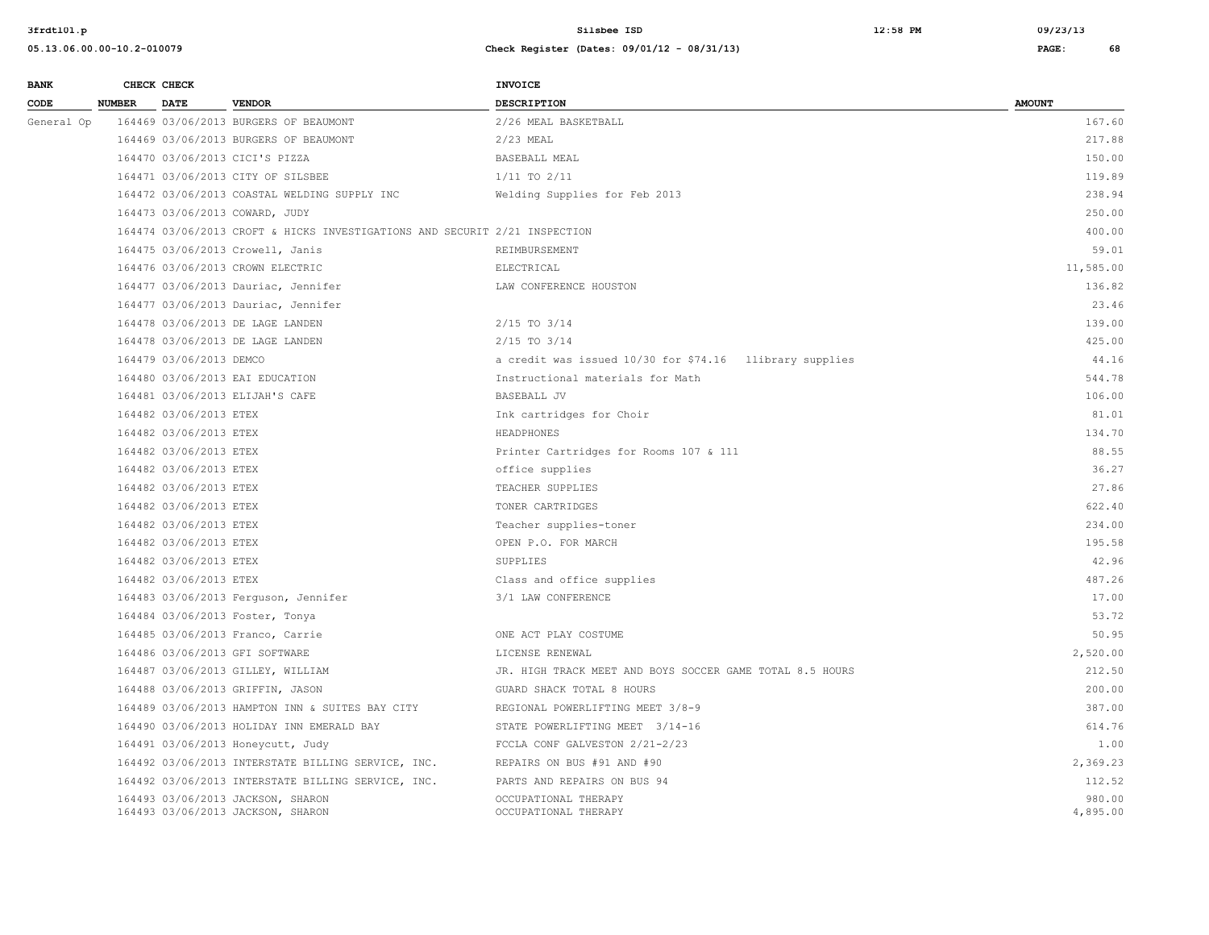| <b>BANK</b> |               | CHECK CHECK             |                                                                            | <b>INVOICE</b>                                           |                    |
|-------------|---------------|-------------------------|----------------------------------------------------------------------------|----------------------------------------------------------|--------------------|
| CODE        | <b>NUMBER</b> | <b>DATE</b>             | <b>VENDOR</b>                                                              | <b>DESCRIPTION</b>                                       | <b>AMOUNT</b>      |
| General Op  |               |                         | 164469 03/06/2013 BURGERS OF BEAUMONT                                      | 2/26 MEAL BASKETBALL                                     | 167.60             |
|             |               |                         | 164469 03/06/2013 BURGERS OF BEAUMONT                                      | $2/23$ MEAL                                              | 217.88             |
|             |               |                         | 164470 03/06/2013 CICI'S PIZZA                                             | BASEBALL MEAL                                            | 150.00             |
|             |               |                         | 164471 03/06/2013 CITY OF SILSBEE                                          | $1/11$ TO $2/11$                                         | 119.89             |
|             |               |                         | 164472 03/06/2013 COASTAL WELDING SUPPLY INC                               | Welding Supplies for Feb 2013                            | 238.94             |
|             |               |                         | 164473 03/06/2013 COWARD, JUDY                                             |                                                          | 250.00             |
|             |               |                         | 164474 03/06/2013 CROFT & HICKS INVESTIGATIONS AND SECURIT 2/21 INSPECTION |                                                          | 400.00             |
|             |               |                         | 164475 03/06/2013 Crowell, Janis                                           | REIMBURSEMENT                                            | 59.01              |
|             |               |                         | 164476 03/06/2013 CROWN ELECTRIC                                           | ELECTRICAL                                               | 11,585.00          |
|             |               |                         | 164477 03/06/2013 Dauriac, Jennifer                                        | LAW CONFERENCE HOUSTON                                   | 136.82             |
|             |               |                         | 164477 03/06/2013 Dauriac, Jennifer                                        |                                                          | 23.46              |
|             |               |                         | 164478 03/06/2013 DE LAGE LANDEN                                           | $2/15$ TO $3/14$                                         | 139.00             |
|             |               |                         | 164478 03/06/2013 DE LAGE LANDEN                                           | $2/15$ TO $3/14$                                         | 425.00             |
|             |               | 164479 03/06/2013 DEMCO |                                                                            | a credit was issued 10/30 for \$74.16 llibrary supplies  | 44.16              |
|             |               |                         | 164480 03/06/2013 EAI EDUCATION                                            | Instructional materials for Math                         | 544.78             |
|             |               |                         | 164481 03/06/2013 ELIJAH'S CAFE                                            | BASEBALL JV                                              | 106.00             |
|             |               | 164482 03/06/2013 ETEX  |                                                                            | Ink cartridges for Choir                                 | 81.01              |
|             |               | 164482 03/06/2013 ETEX  |                                                                            | HEADPHONES                                               | 134.70             |
|             |               | 164482 03/06/2013 ETEX  |                                                                            | Printer Cartridges for Rooms 107 & 111                   | 88.55              |
|             |               | 164482 03/06/2013 ETEX  |                                                                            | office supplies                                          | 36.27              |
|             |               | 164482 03/06/2013 ETEX  |                                                                            | TEACHER SUPPLIES                                         | 27.86              |
|             |               | 164482 03/06/2013 ETEX  |                                                                            | TONER CARTRIDGES                                         | 622.40             |
|             |               | 164482 03/06/2013 ETEX  |                                                                            | Teacher supplies-toner                                   | 234.00             |
|             |               | 164482 03/06/2013 ETEX  |                                                                            | OPEN P.O. FOR MARCH                                      | 195.58             |
|             |               | 164482 03/06/2013 ETEX  |                                                                            | <b>SUPPLIES</b>                                          | 42.96              |
|             |               | 164482 03/06/2013 ETEX  |                                                                            | Class and office supplies                                | 487.26             |
|             |               |                         | 164483 03/06/2013 Ferguson, Jennifer                                       | 3/1 LAW CONFERENCE                                       | 17.00              |
|             |               |                         | 164484 03/06/2013 Foster, Tonya                                            |                                                          | 53.72              |
|             |               |                         | 164485 03/06/2013 Franco, Carrie                                           | ONE ACT PLAY COSTUME                                     | 50.95              |
|             |               |                         | 164486 03/06/2013 GFI SOFTWARE                                             | LICENSE RENEWAL                                          | 2,520.00           |
|             |               |                         | 164487 03/06/2013 GILLEY, WILLIAM                                          | JR. HIGH TRACK MEET AND BOYS SOCCER GAME TOTAL 8.5 HOURS | 212.50             |
|             |               |                         | 164488 03/06/2013 GRIFFIN, JASON                                           | GUARD SHACK TOTAL 8 HOURS                                | 200.00             |
|             |               |                         | 164489 03/06/2013 HAMPTON INN & SUITES BAY CITY                            | REGIONAL POWERLIFTING MEET 3/8-9                         | 387.00             |
|             |               |                         | 164490 03/06/2013 HOLIDAY INN EMERALD BAY                                  | STATE POWERLIFTING MEET 3/14-16                          | 614.76             |
|             |               |                         | 164491 03/06/2013 Honeycutt, Judy                                          | FCCLA CONF GALVESTON 2/21-2/23                           | 1.00               |
|             |               |                         | 164492 03/06/2013 INTERSTATE BILLING SERVICE, INC.                         | REPAIRS ON BUS #91 AND #90                               | 2,369.23           |
|             |               |                         | 164492 03/06/2013 INTERSTATE BILLING SERVICE, INC.                         | PARTS AND REPAIRS ON BUS 94                              | 112.52             |
|             |               |                         | 164493 03/06/2013 JACKSON, SHARON<br>164493 03/06/2013 JACKSON, SHARON     | OCCUPATIONAL THERAPY<br>OCCUPATIONAL THERAPY             | 980.00<br>4,895.00 |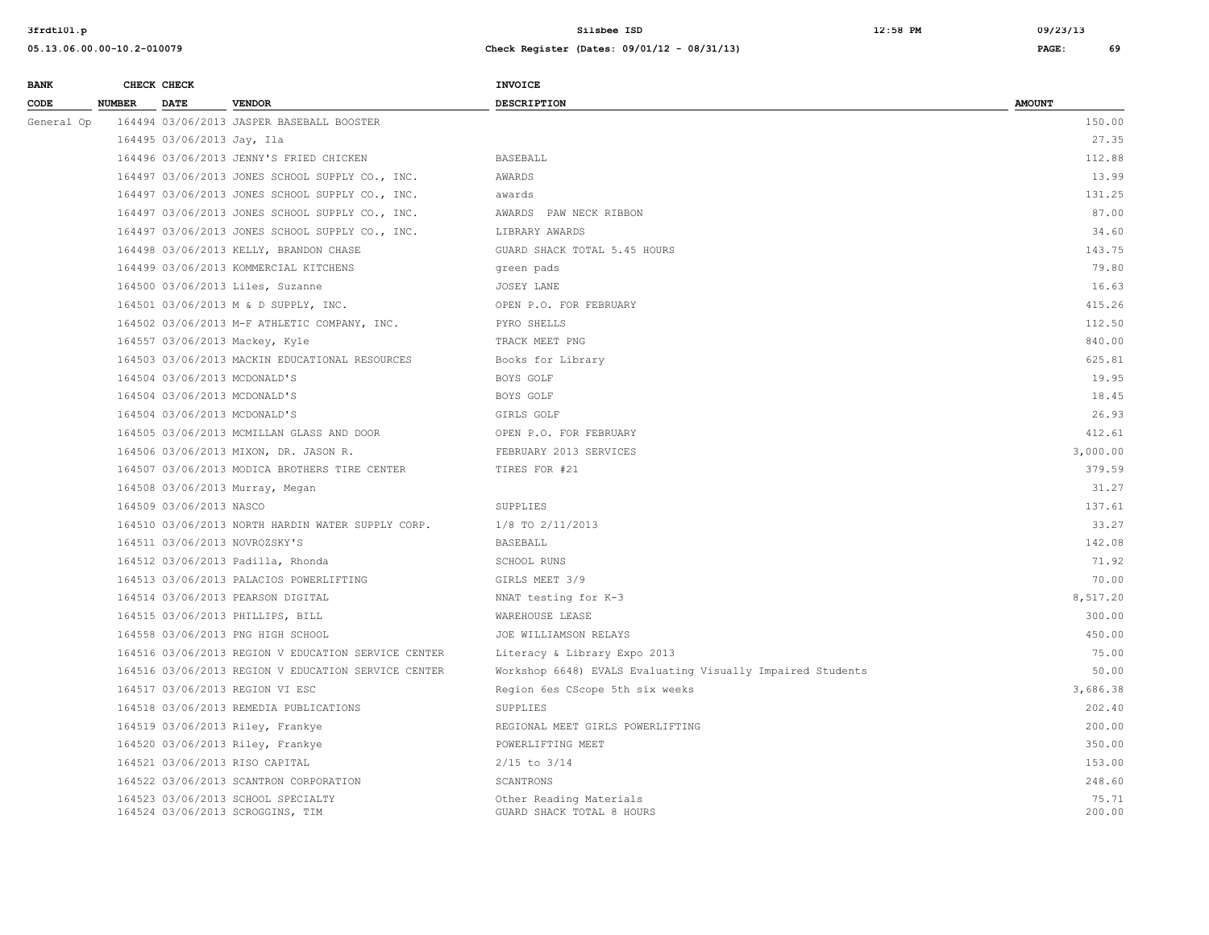| <b>BANK</b> |               | CHECK CHECK                |                                                                        | INVOICE                                                    |                 |
|-------------|---------------|----------------------------|------------------------------------------------------------------------|------------------------------------------------------------|-----------------|
| CODE        | <b>NUMBER</b> | <b>DATE</b>                | <b>VENDOR</b>                                                          | <b>DESCRIPTION</b>                                         | <b>AMOUNT</b>   |
| General Op  |               |                            | 164494 03/06/2013 JASPER BASEBALL BOOSTER                              |                                                            | 150.00          |
|             |               | 164495 03/06/2013 Jay, Ila |                                                                        |                                                            | 27.35           |
|             |               |                            | 164496 03/06/2013 JENNY'S FRIED CHICKEN                                | <b>BASEBALL</b>                                            | 112.88          |
|             |               |                            | 164497 03/06/2013 JONES SCHOOL SUPPLY CO., INC.                        | AWARDS                                                     | 13.99           |
|             |               |                            | 164497 03/06/2013 JONES SCHOOL SUPPLY CO., INC.                        | awards                                                     | 131.25          |
|             |               |                            | 164497 03/06/2013 JONES SCHOOL SUPPLY CO., INC.                        | AWARDS PAW NECK RIBBON                                     | 87.00           |
|             |               |                            | 164497 03/06/2013 JONES SCHOOL SUPPLY CO., INC.                        | LIBRARY AWARDS                                             | 34.60           |
|             |               |                            | 164498 03/06/2013 KELLY, BRANDON CHASE                                 | GUARD SHACK TOTAL 5.45 HOURS                               | 143.75          |
|             |               |                            | 164499 03/06/2013 KOMMERCIAL KITCHENS                                  | green pads                                                 | 79.80           |
|             |               |                            | 164500 03/06/2013 Liles, Suzanne                                       | JOSEY LANE                                                 | 16.63           |
|             |               |                            | 164501 03/06/2013 M & D SUPPLY, INC.                                   | OPEN P.O. FOR FEBRUARY                                     | 415.26          |
|             |               |                            | 164502 03/06/2013 M-F ATHLETIC COMPANY, INC.                           | PYRO SHELLS                                                | 112.50          |
|             |               |                            | 164557 03/06/2013 Mackey, Kyle                                         | TRACK MEET PNG                                             | 840.00          |
|             |               |                            | 164503 03/06/2013 MACKIN EDUCATIONAL RESOURCES                         | Books for Library                                          | 625.81          |
|             |               |                            | 164504 03/06/2013 MCDONALD'S                                           | BOYS GOLF                                                  | 19.95           |
|             |               |                            | 164504 03/06/2013 MCDONALD'S                                           | BOYS GOLF                                                  | 18.45           |
|             |               |                            | 164504 03/06/2013 MCDONALD'S                                           | GIRLS GOLF                                                 | 26.93           |
|             |               |                            | 164505 03/06/2013 MCMILLAN GLASS AND DOOR                              | OPEN P.O. FOR FEBRUARY                                     | 412.61          |
|             |               |                            | 164506 03/06/2013 MIXON, DR. JASON R.                                  | FEBRUARY 2013 SERVICES                                     | 3,000.00        |
|             |               |                            | 164507 03/06/2013 MODICA BROTHERS TIRE CENTER                          | TIRES FOR #21                                              | 379.59          |
|             |               |                            | 164508 03/06/2013 Murray, Megan                                        |                                                            | 31.27           |
|             |               | 164509 03/06/2013 NASCO    |                                                                        | SUPPLIES                                                   | 137.61          |
|             |               |                            | 164510 03/06/2013 NORTH HARDIN WATER SUPPLY CORP.                      | 1/8 TO 2/11/2013                                           | 33.27           |
|             |               |                            | 164511 03/06/2013 NOVROZSKY'S                                          | BASEBALL                                                   | 142.08          |
|             |               |                            | 164512 03/06/2013 Padilla, Rhonda                                      | <b>SCHOOL RUNS</b>                                         | 71.92           |
|             |               |                            | 164513 03/06/2013 PALACIOS POWERLIFTING                                | GIRLS MEET 3/9                                             | 70.00           |
|             |               |                            | 164514 03/06/2013 PEARSON DIGITAL                                      | NNAT testing for K-3                                       | 8,517.20        |
|             |               |                            | 164515 03/06/2013 PHILLIPS, BILL                                       | WAREHOUSE LEASE                                            | 300.00          |
|             |               |                            | 164558 03/06/2013 PNG HIGH SCHOOL                                      | JOE WILLIAMSON RELAYS                                      | 450.00          |
|             |               |                            | 164516 03/06/2013 REGION V EDUCATION SERVICE CENTER                    | Literacy & Library Expo 2013                               | 75.00           |
|             |               |                            | 164516 03/06/2013 REGION V EDUCATION SERVICE CENTER                    | Workshop 6648) EVALS Evaluating Visually Impaired Students | 50.00           |
|             |               |                            | 164517 03/06/2013 REGION VI ESC                                        | Region 6es CScope 5th six weeks                            | 3,686.38        |
|             |               |                            | 164518 03/06/2013 REMEDIA PUBLICATIONS                                 | SUPPLIES                                                   | 202.40          |
|             |               |                            | 164519 03/06/2013 Riley, Frankye                                       | REGIONAL MEET GIRLS POWERLIFTING                           | 200.00          |
|             |               |                            | 164520 03/06/2013 Riley, Frankye                                       | POWERLIFTING MEET                                          | 350.00          |
|             |               |                            | 164521 03/06/2013 RISO CAPITAL                                         | $2/15$ to $3/14$                                           | 153.00          |
|             |               |                            | 164522 03/06/2013 SCANTRON CORPORATION                                 | SCANTRONS                                                  | 248.60          |
|             |               |                            | 164523 03/06/2013 SCHOOL SPECIALTY<br>164524 03/06/2013 SCROGGINS, TIM | Other Reading Materials<br>GUARD SHACK TOTAL 8 HOURS       | 75.71<br>200.00 |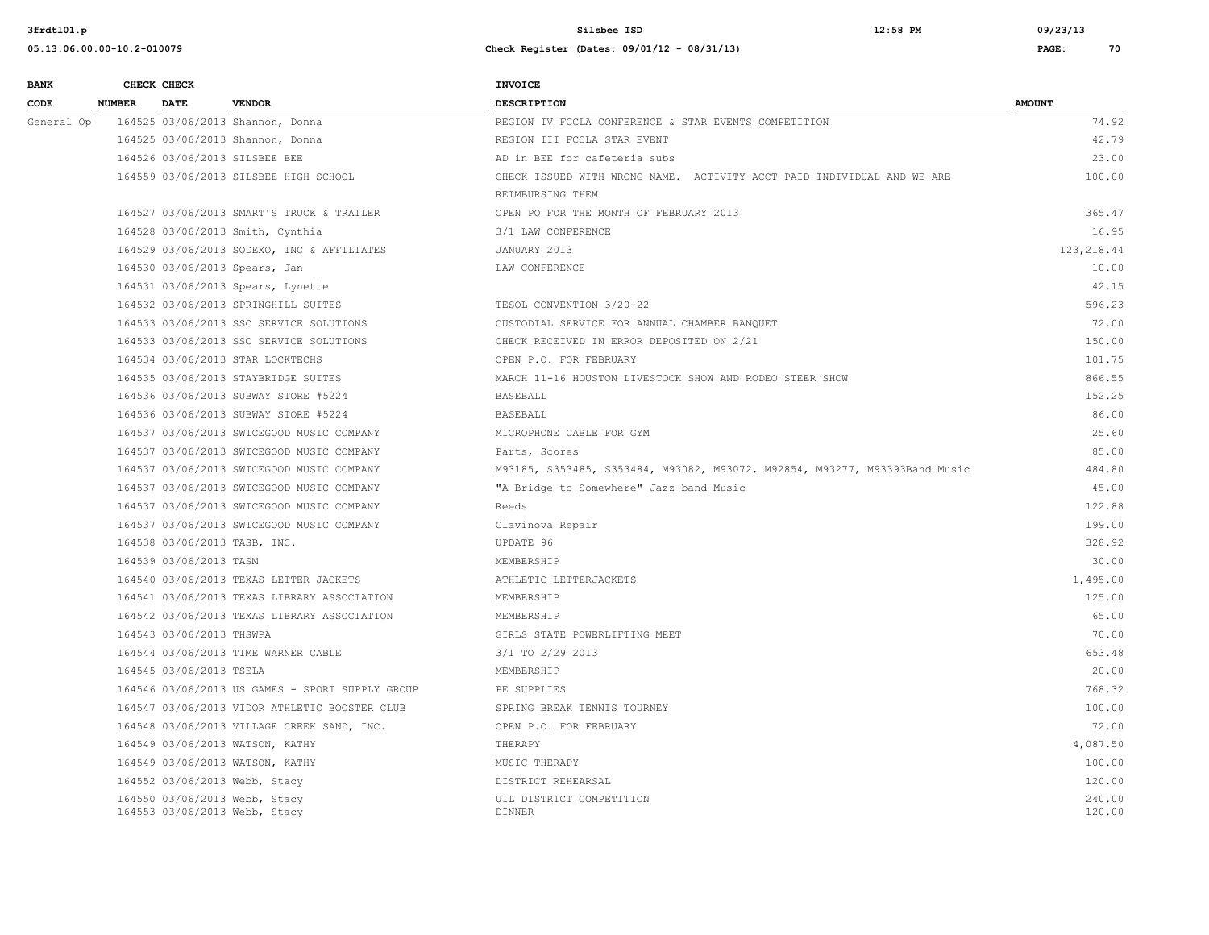| <b>BANK</b> |               | CHECK CHECK                  |                                                                | <b>INVOICE</b>                                                             |                  |
|-------------|---------------|------------------------------|----------------------------------------------------------------|----------------------------------------------------------------------------|------------------|
| CODE        | <b>NUMBER</b> | <b>DATE</b>                  | <b>VENDOR</b>                                                  | <b>DESCRIPTION</b>                                                         | <b>AMOUNT</b>    |
| General Op  |               |                              | 164525 03/06/2013 Shannon, Donna                               | REGION IV FCCLA CONFERENCE & STAR EVENTS COMPETITION                       | 74.92            |
|             |               |                              | 164525 03/06/2013 Shannon, Donna                               | REGION III FCCLA STAR EVENT                                                | 42.79            |
|             |               |                              | 164526 03/06/2013 SILSBEE BEE                                  | AD in BEE for cafeteria subs                                               | 23.00            |
|             |               |                              | 164559 03/06/2013 SILSBEE HIGH SCHOOL                          | CHECK ISSUED WITH WRONG NAME. ACTIVITY ACCT PAID INDIVIDUAL AND WE ARE     | 100.00           |
|             |               |                              |                                                                | REIMBURSING THEM                                                           |                  |
|             |               |                              | 164527 03/06/2013 SMART'S TRUCK & TRAILER                      | OPEN PO FOR THE MONTH OF FEBRUARY 2013                                     | 365.47           |
|             |               |                              | 164528 03/06/2013 Smith, Cynthia                               | 3/1 LAW CONFERENCE                                                         | 16.95            |
|             |               |                              | 164529 03/06/2013 SODEXO, INC & AFFILIATES                     | JANUARY 2013                                                               | 123, 218.44      |
|             |               |                              | 164530 03/06/2013 Spears, Jan                                  | LAW CONFERENCE                                                             | 10.00            |
|             |               |                              | 164531 03/06/2013 Spears, Lynette                              |                                                                            | 42.15            |
|             |               |                              | 164532 03/06/2013 SPRINGHILL SUITES                            | TESOL CONVENTION 3/20-22                                                   | 596.23           |
|             |               |                              | 164533 03/06/2013 SSC SERVICE SOLUTIONS                        | CUSTODIAL SERVICE FOR ANNUAL CHAMBER BANQUET                               | 72.00            |
|             |               |                              | 164533 03/06/2013 SSC SERVICE SOLUTIONS                        | CHECK RECEIVED IN ERROR DEPOSITED ON 2/21                                  | 150.00           |
|             |               |                              | 164534 03/06/2013 STAR LOCKTECHS                               | OPEN P.O. FOR FEBRUARY                                                     | 101.75           |
|             |               |                              | 164535 03/06/2013 STAYBRIDGE SUITES                            | MARCH 11-16 HOUSTON LIVESTOCK SHOW AND RODEO STEER SHOW                    | 866.55           |
|             |               |                              | 164536 03/06/2013 SUBWAY STORE #5224                           | <b>BASEBALL</b>                                                            | 152.25           |
|             |               |                              | 164536 03/06/2013 SUBWAY STORE #5224                           | BASEBALL                                                                   | 86.00            |
|             |               |                              | 164537 03/06/2013 SWICEGOOD MUSIC COMPANY                      | MICROPHONE CABLE FOR GYM                                                   | 25.60            |
|             |               |                              | 164537 03/06/2013 SWICEGOOD MUSIC COMPANY                      | Parts, Scores                                                              | 85.00            |
|             |               |                              | 164537 03/06/2013 SWICEGOOD MUSIC COMPANY                      | M93185, S353485, S353484, M93082, M93072, M92854, M93277, M93393Band Music | 484.80           |
|             |               |                              | 164537 03/06/2013 SWICEGOOD MUSIC COMPANY                      | "A Bridge to Somewhere" Jazz band Music                                    | 45.00            |
|             |               |                              | 164537 03/06/2013 SWICEGOOD MUSIC COMPANY                      | Reeds                                                                      | 122.88           |
|             |               |                              | 164537 03/06/2013 SWICEGOOD MUSIC COMPANY                      | Clavinova Repair                                                           | 199.00           |
|             |               | 164538 03/06/2013 TASB, INC. |                                                                | UPDATE 96                                                                  | 328.92           |
|             |               | 164539 03/06/2013 TASM       |                                                                | MEMBERSHIP                                                                 | 30.00            |
|             |               |                              | 164540 03/06/2013 TEXAS LETTER JACKETS                         | ATHLETIC LETTERJACKETS                                                     | 1,495.00         |
|             |               |                              | 164541 03/06/2013 TEXAS LIBRARY ASSOCIATION                    | MEMBERSHIP                                                                 | 125.00           |
|             |               |                              | 164542 03/06/2013 TEXAS LIBRARY ASSOCIATION                    | MEMBERSHIP                                                                 | 65.00            |
|             |               | 164543 03/06/2013 THSWPA     |                                                                | GIRLS STATE POWERLIFTING MEET                                              | 70.00            |
|             |               |                              | 164544 03/06/2013 TIME WARNER CABLE                            | 3/1 TO 2/29 2013                                                           | 653.48           |
|             |               | 164545 03/06/2013 TSELA      |                                                                | MEMBERSHIP                                                                 | 20.00            |
|             |               |                              | 164546 03/06/2013 US GAMES - SPORT SUPPLY GROUP                | PE SUPPLIES                                                                | 768.32           |
|             |               |                              | 164547 03/06/2013 VIDOR ATHLETIC BOOSTER CLUB                  | SPRING BREAK TENNIS TOURNEY                                                | 100.00           |
|             |               |                              | 164548 03/06/2013 VILLAGE CREEK SAND, INC.                     | OPEN P.O. FOR FEBRUARY                                                     | 72.00            |
|             |               |                              | 164549 03/06/2013 WATSON, KATHY                                | THERAPY                                                                    | 4,087.50         |
|             |               |                              | 164549 03/06/2013 WATSON, KATHY                                | MUSIC THERAPY                                                              | 100.00           |
|             |               |                              | 164552 03/06/2013 Webb, Stacy                                  | DISTRICT REHEARSAL                                                         | 120.00           |
|             |               |                              | 164550 03/06/2013 Webb, Stacy<br>164553 03/06/2013 Webb, Stacy | UIL DISTRICT COMPETITION<br><b>DINNER</b>                                  | 240.00<br>120.00 |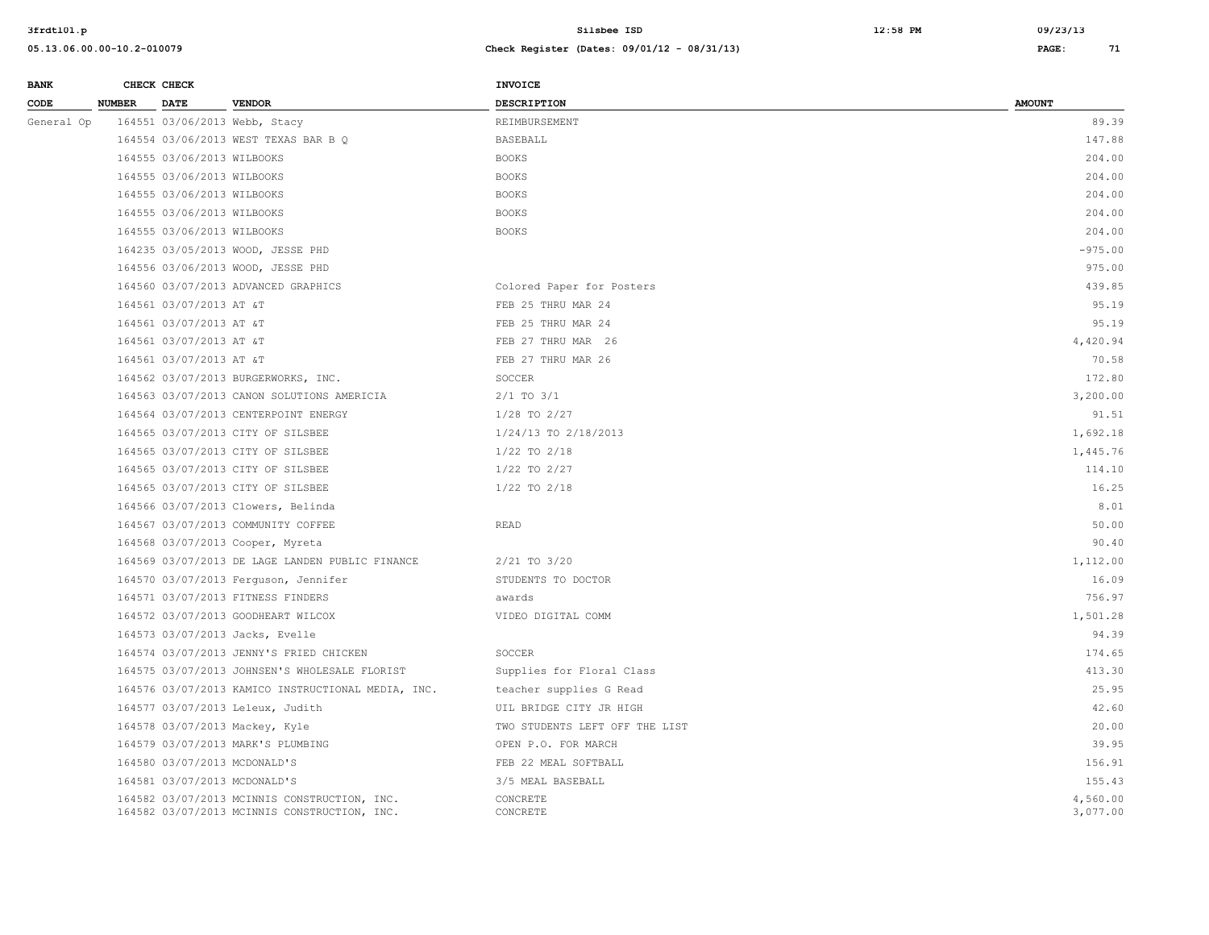| <b>BANK</b> |               | CHECK CHECK                  |                                                                                              | <b>INVOICE</b>                 |                      |
|-------------|---------------|------------------------------|----------------------------------------------------------------------------------------------|--------------------------------|----------------------|
| CODE        | <b>NUMBER</b> | <b>DATE</b>                  | <b>VENDOR</b>                                                                                | <b>DESCRIPTION</b>             | <b>AMOUNT</b>        |
| General Op  |               |                              | 164551 03/06/2013 Webb, Stacy                                                                | REIMBURSEMENT                  | 89.39                |
|             |               |                              | 164554 03/06/2013 WEST TEXAS BAR B Q                                                         | BASEBALL                       | 147.88               |
|             |               | 164555 03/06/2013 WILBOOKS   |                                                                                              | <b>BOOKS</b>                   | 204.00               |
|             |               | 164555 03/06/2013 WILBOOKS   |                                                                                              | <b>BOOKS</b>                   | 204.00               |
|             |               | 164555 03/06/2013 WILBOOKS   |                                                                                              | <b>BOOKS</b>                   | 204.00               |
|             |               | 164555 03/06/2013 WILBOOKS   |                                                                                              | <b>BOOKS</b>                   | 204.00               |
|             |               | 164555 03/06/2013 WILBOOKS   |                                                                                              | <b>BOOKS</b>                   | 204.00               |
|             |               |                              | 164235 03/05/2013 WOOD, JESSE PHD                                                            |                                | $-975.00$            |
|             |               |                              | 164556 03/06/2013 WOOD, JESSE PHD                                                            |                                | 975.00               |
|             |               |                              | 164560 03/07/2013 ADVANCED GRAPHICS                                                          | Colored Paper for Posters      | 439.85               |
|             |               | 164561 03/07/2013 AT &T      |                                                                                              | FEB 25 THRU MAR 24             | 95.19                |
|             |               | 164561 03/07/2013 AT &T      |                                                                                              | FEB 25 THRU MAR 24             | 95.19                |
|             |               | 164561 03/07/2013 AT &T      |                                                                                              | FEB 27 THRU MAR 26             | 4,420.94             |
|             |               | 164561 03/07/2013 AT &T      |                                                                                              | FEB 27 THRU MAR 26             | 70.58                |
|             |               |                              | 164562 03/07/2013 BURGERWORKS, INC.                                                          | SOCCER                         | 172.80               |
|             |               |                              | 164563 03/07/2013 CANON SOLUTIONS AMERICIA                                                   | $2/1$ TO $3/1$                 | 3,200.00             |
|             |               |                              | 164564 03/07/2013 CENTERPOINT ENERGY                                                         | 1/28 TO 2/27                   | 91.51                |
|             |               |                              | 164565 03/07/2013 CITY OF SILSBEE                                                            | 1/24/13 TO 2/18/2013           | 1,692.18             |
|             |               |                              | 164565 03/07/2013 CITY OF SILSBEE                                                            | $1/22$ TO $2/18$               | 1,445.76             |
|             |               |                              | 164565 03/07/2013 CITY OF SILSBEE                                                            | $1/22$ TO $2/27$               | 114.10               |
|             |               |                              | 164565 03/07/2013 CITY OF SILSBEE                                                            | 1/22 TO 2/18                   | 16.25                |
|             |               |                              | 164566 03/07/2013 Clowers, Belinda                                                           |                                | 8.01                 |
|             |               |                              | 164567 03/07/2013 COMMUNITY COFFEE                                                           | <b>READ</b>                    | 50.00                |
|             |               |                              | 164568 03/07/2013 Cooper, Myreta                                                             |                                | 90.40                |
|             |               |                              | 164569 03/07/2013 DE LAGE LANDEN PUBLIC FINANCE                                              | $2/21$ TO $3/20$               | 1,112.00             |
|             |               |                              | 164570 03/07/2013 Ferguson, Jennifer                                                         | STUDENTS TO DOCTOR             | 16.09                |
|             |               |                              | 164571 03/07/2013 FITNESS FINDERS                                                            | awards                         | 756.97               |
|             |               |                              | 164572 03/07/2013 GOODHEART WILCOX                                                           | VIDEO DIGITAL COMM             | 1,501.28             |
|             |               |                              | 164573 03/07/2013 Jacks, Evelle                                                              |                                | 94.39                |
|             |               |                              | 164574 03/07/2013 JENNY'S FRIED CHICKEN                                                      | SOCCER                         | 174.65               |
|             |               |                              | 164575 03/07/2013 JOHNSEN'S WHOLESALE FLORIST                                                | Supplies for Floral Class      | 413.30               |
|             |               |                              | 164576 03/07/2013 KAMICO INSTRUCTIONAL MEDIA, INC.                                           | teacher supplies G Read        | 25.95                |
|             |               |                              | 164577 03/07/2013 Leleux, Judith                                                             | UIL BRIDGE CITY JR HIGH        | 42.60                |
|             |               |                              | 164578 03/07/2013 Mackey, Kyle                                                               | TWO STUDENTS LEFT OFF THE LIST | 20.00                |
|             |               |                              | 164579 03/07/2013 MARK'S PLUMBING                                                            | OPEN P.O. FOR MARCH            | 39.95                |
|             |               | 164580 03/07/2013 MCDONALD'S |                                                                                              | FEB 22 MEAL SOFTBALL           | 156.91               |
|             |               | 164581 03/07/2013 MCDONALD'S |                                                                                              | 3/5 MEAL BASEBALL              | 155.43               |
|             |               |                              | 164582 03/07/2013 MCINNIS CONSTRUCTION, INC.<br>164582 03/07/2013 MCINNIS CONSTRUCTION, INC. | CONCRETE<br>CONCRETE           | 4,560.00<br>3,077.00 |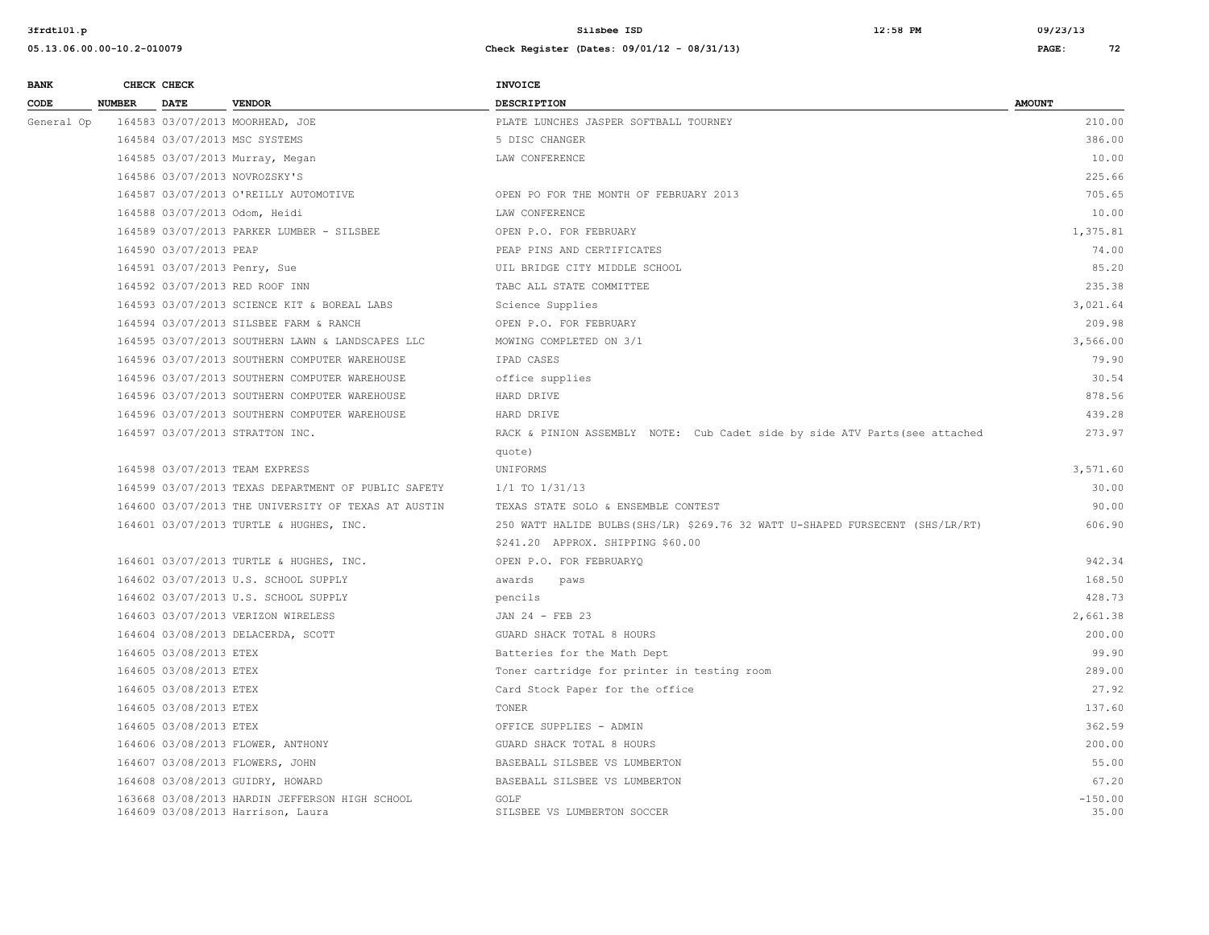| 05.13.06.00.00-10.2-010079 | Check Register (Dates: 09/01/12 - 08/31/13)                                      | PAGE: |  |
|----------------------------|----------------------------------------------------------------------------------|-------|--|
|                            | ,但是,我们的人们都会有一个人的人,但是我们的人们,我们的人们都会有一个人的人,我们的人们都会有一个人的人,我们也会有一个人的人,我们也会有一个人的人,我们也会 |       |  |

| <b>BANK</b>                    |               | CHECK CHECK                     |                                                                                     | INVOICE                                                                        |                    |
|--------------------------------|---------------|---------------------------------|-------------------------------------------------------------------------------------|--------------------------------------------------------------------------------|--------------------|
| CODE                           | <b>NUMBER</b> | <b>DATE</b>                     | <b>VENDOR</b>                                                                       | <b>DESCRIPTION</b>                                                             | <b>AMOUNT</b>      |
| General Op                     |               |                                 | 164583 03/07/2013 MOORHEAD, JOE                                                     | PLATE LUNCHES JASPER SOFTBALL TOURNEY                                          | 210.00             |
|                                |               |                                 | 164584 03/07/2013 MSC SYSTEMS                                                       | 5 DISC CHANGER                                                                 | 386.00             |
|                                |               |                                 | 164585 03/07/2013 Murray, Megan                                                     | LAW CONFERENCE                                                                 | 10.00              |
|                                |               |                                 | 164586 03/07/2013 NOVROZSKY'S                                                       |                                                                                | 225.66             |
|                                |               |                                 | 164587 03/07/2013 O'REILLY AUTOMOTIVE                                               | OPEN PO FOR THE MONTH OF FEBRUARY 2013                                         | 705.65             |
|                                |               |                                 | 164588 03/07/2013 Odom, Heidi                                                       | LAW CONFERENCE                                                                 | 10.00              |
|                                |               |                                 | 164589 03/07/2013 PARKER LUMBER - SILSBEE                                           | OPEN P.O. FOR FEBRUARY                                                         | 1,375.81           |
|                                |               | 164590 03/07/2013 PEAP          |                                                                                     | PEAP PINS AND CERTIFICATES                                                     | 74.00              |
|                                |               |                                 | 164591 03/07/2013 Penry, Sue                                                        | UIL BRIDGE CITY MIDDLE SCHOOL                                                  | 85.20              |
|                                |               |                                 | 164592 03/07/2013 RED ROOF INN                                                      | TABC ALL STATE COMMITTEE                                                       | 235.38             |
|                                |               |                                 | 164593 03/07/2013 SCIENCE KIT & BOREAL LABS                                         | Science Supplies                                                               | 3,021.64           |
|                                |               |                                 | 164594 03/07/2013 SILSBEE FARM & RANCH                                              | OPEN P.O. FOR FEBRUARY                                                         | 209.98             |
|                                |               |                                 | 164595 03/07/2013 SOUTHERN LAWN & LANDSCAPES LLC                                    | MOWING COMPLETED ON 3/1                                                        | 3,566.00           |
|                                |               |                                 | 164596 03/07/2013 SOUTHERN COMPUTER WAREHOUSE                                       | IPAD CASES                                                                     | 79.90              |
|                                |               |                                 | 164596 03/07/2013 SOUTHERN COMPUTER WAREHOUSE                                       | office supplies                                                                | 30.54              |
|                                |               |                                 | 164596 03/07/2013 SOUTHERN COMPUTER WAREHOUSE                                       | HARD DRIVE                                                                     | 878.56             |
|                                |               |                                 | 164596 03/07/2013 SOUTHERN COMPUTER WAREHOUSE                                       | HARD DRIVE                                                                     | 439.28             |
| 164598 03/07/2013 TEAM EXPRESS |               | 164597 03/07/2013 STRATTON INC. | RACK & PINION ASSEMBLY NOTE: Cub Cadet side by side ATV Parts (see attached         | 273.97                                                                         |                    |
|                                |               |                                 |                                                                                     | quote)                                                                         |                    |
|                                |               |                                 |                                                                                     | UNIFORMS                                                                       | 3,571.60           |
|                                |               |                                 | 164599 03/07/2013 TEXAS DEPARTMENT OF PUBLIC SAFETY                                 | $1/1$ TO $1/31/13$                                                             | 30.00              |
|                                |               |                                 | 164600 03/07/2013 THE UNIVERSITY OF TEXAS AT AUSTIN                                 | TEXAS STATE SOLO & ENSEMBLE CONTEST                                            | 90.00              |
|                                |               |                                 | 164601 03/07/2013 TURTLE & HUGHES, INC.                                             | 250 WATT HALIDE BULBS (SHS/LR) \$269.76 32 WATT U-SHAPED FURSECENT (SHS/LR/RT) | 606.90             |
|                                |               |                                 |                                                                                     | \$241.20 APPROX. SHIPPING \$60.00                                              |                    |
|                                |               |                                 | 164601 03/07/2013 TURTLE & HUGHES, INC.                                             | OPEN P.O. FOR FEBRUARYQ                                                        | 942.34             |
|                                |               |                                 | 164602 03/07/2013 U.S. SCHOOL SUPPLY                                                | awards<br>paws                                                                 | 168.50             |
|                                |               |                                 | 164602 03/07/2013 U.S. SCHOOL SUPPLY                                                | pencils                                                                        | 428.73             |
|                                |               |                                 | 164603 03/07/2013 VERIZON WIRELESS                                                  | JAN 24 - FEB 23                                                                | 2,661.38           |
|                                |               |                                 | 164604 03/08/2013 DELACERDA, SCOTT                                                  | GUARD SHACK TOTAL 8 HOURS                                                      | 200.00             |
|                                |               | 164605 03/08/2013 ETEX          |                                                                                     | Batteries for the Math Dept                                                    | 99.90              |
|                                |               | 164605 03/08/2013 ETEX          |                                                                                     | Toner cartridge for printer in testing room                                    | 289.00             |
|                                |               | 164605 03/08/2013 ETEX          |                                                                                     | Card Stock Paper for the office                                                | 27.92              |
|                                |               | 164605 03/08/2013 ETEX          |                                                                                     | TONER                                                                          | 137.60             |
|                                |               | 164605 03/08/2013 ETEX          |                                                                                     | OFFICE SUPPLIES - ADMIN                                                        | 362.59             |
|                                |               |                                 | 164606 03/08/2013 FLOWER, ANTHONY                                                   | GUARD SHACK TOTAL 8 HOURS                                                      | 200.00             |
|                                |               |                                 | 164607 03/08/2013 FLOWERS, JOHN                                                     | BASEBALL SILSBEE VS LUMBERTON                                                  | 55.00              |
|                                |               |                                 | 164608 03/08/2013 GUIDRY, HOWARD                                                    | BASEBALL SILSBEE VS LUMBERTON                                                  | 67.20              |
|                                |               |                                 | 163668 03/08/2013 HARDIN JEFFERSON HIGH SCHOOL<br>164609 03/08/2013 Harrison, Laura | GOLF<br>SILSBEE VS LUMBERTON SOCCER                                            | $-150.00$<br>35.00 |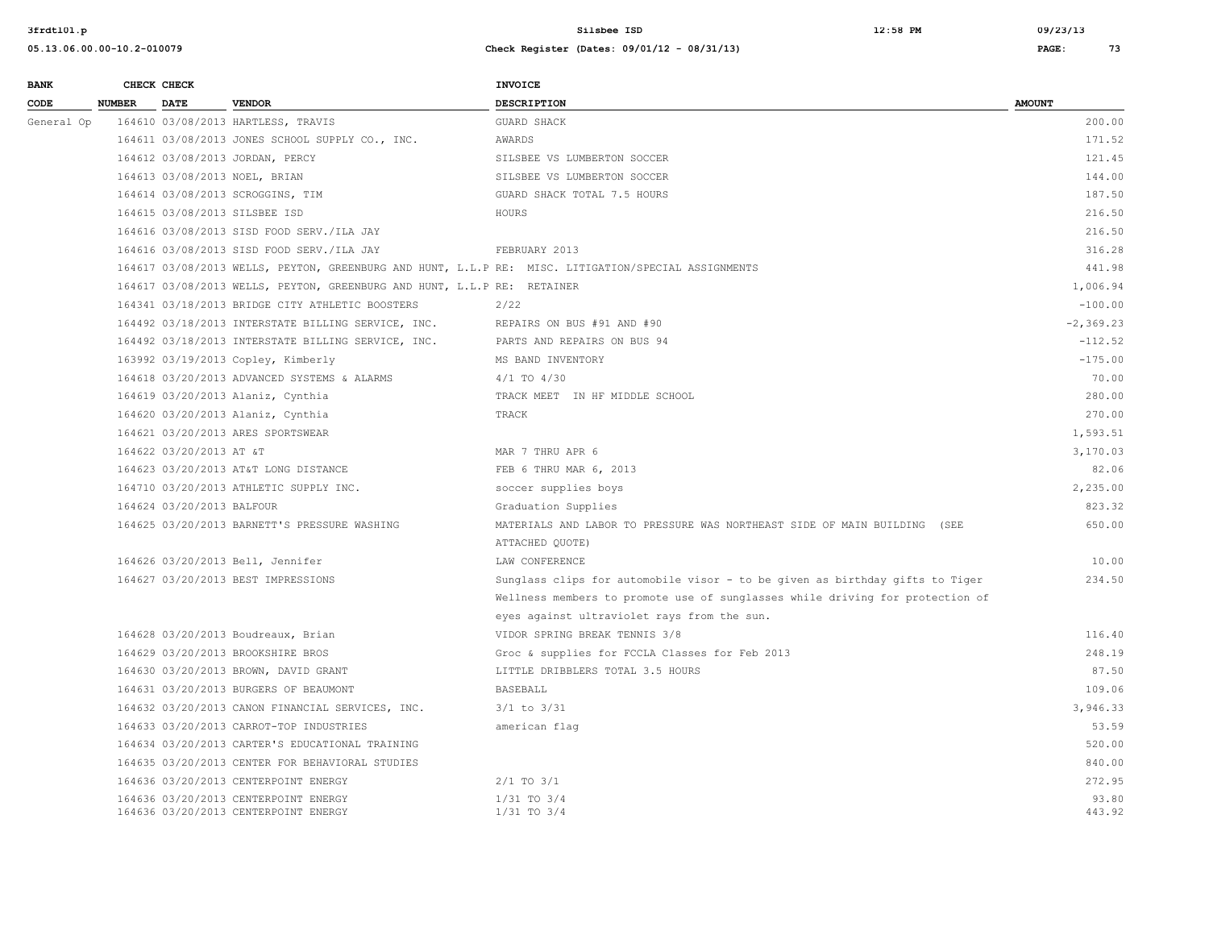| <b>BANK</b> |               | CHECK CHECK               |                                                                              | <b>INVOICE</b>                                                                                      |                 |
|-------------|---------------|---------------------------|------------------------------------------------------------------------------|-----------------------------------------------------------------------------------------------------|-----------------|
| CODE        | <b>NUMBER</b> | <b>DATE</b>               | <b>VENDOR</b>                                                                | DESCRIPTION                                                                                         | <b>AMOUNT</b>   |
| General Op  |               |                           | 164610 03/08/2013 HARTLESS, TRAVIS                                           | GUARD SHACK                                                                                         | 200.00          |
|             |               |                           | 164611 03/08/2013 JONES SCHOOL SUPPLY CO., INC.                              | AWARDS                                                                                              | 171.52          |
|             |               |                           | 164612 03/08/2013 JORDAN, PERCY                                              | SILSBEE VS LUMBERTON SOCCER                                                                         | 121.45          |
|             |               |                           | 164613 03/08/2013 NOEL, BRIAN                                                | SILSBEE VS LUMBERTON SOCCER                                                                         | 144.00          |
|             |               |                           | 164614 03/08/2013 SCROGGINS, TIM                                             | GUARD SHACK TOTAL 7.5 HOURS                                                                         | 187.50          |
|             |               |                           | 164615 03/08/2013 SILSBEE ISD                                                | HOURS                                                                                               | 216.50          |
|             |               |                           | 164616 03/08/2013 SISD FOOD SERV./ILA JAY                                    |                                                                                                     | 216.50          |
|             |               |                           | 164616 03/08/2013 SISD FOOD SERV./ILA JAY                                    | FEBRUARY 2013                                                                                       | 316.28          |
|             |               |                           |                                                                              | 164617 03/08/2013 WELLS, PEYTON, GREENBURG AND HUNT, L.L.P RE: MISC. LITIGATION/SPECIAL ASSIGNMENTS | 441.98          |
|             |               |                           | 164617 03/08/2013 WELLS, PEYTON, GREENBURG AND HUNT, L.L.P RE: RETAINER      |                                                                                                     | 1,006.94        |
|             |               |                           | 164341 03/18/2013 BRIDGE CITY ATHLETIC BOOSTERS                              | 2/22                                                                                                | $-100.00$       |
|             |               |                           | 164492 03/18/2013 INTERSTATE BILLING SERVICE, INC.                           | REPAIRS ON BUS #91 AND #90                                                                          | $-2, 369.23$    |
|             |               |                           | 164492 03/18/2013 INTERSTATE BILLING SERVICE, INC.                           | PARTS AND REPAIRS ON BUS 94                                                                         | $-112.52$       |
|             |               |                           | 163992 03/19/2013 Copley, Kimberly                                           | MS BAND INVENTORY                                                                                   | $-175.00$       |
|             |               |                           | 164618 03/20/2013 ADVANCED SYSTEMS & ALARMS                                  | $4/1$ TO $4/30$                                                                                     | 70.00           |
|             |               |                           | 164619 03/20/2013 Alaniz, Cynthia                                            | TRACK MEET IN HF MIDDLE SCHOOL                                                                      | 280.00          |
|             |               |                           | 164620 03/20/2013 Alaniz, Cynthia                                            | TRACK                                                                                               | 270.00          |
|             |               |                           | 164621 03/20/2013 ARES SPORTSWEAR                                            |                                                                                                     | 1,593.51        |
|             |               | 164622 03/20/2013 AT &T   |                                                                              | MAR 7 THRU APR 6                                                                                    | 3,170.03        |
|             |               |                           | 164623 03/20/2013 AT&T LONG DISTANCE                                         | FEB 6 THRU MAR 6, 2013                                                                              | 82.06           |
|             |               |                           | 164710 03/20/2013 ATHLETIC SUPPLY INC.                                       | soccer supplies boys                                                                                | 2,235.00        |
|             |               | 164624 03/20/2013 BALFOUR |                                                                              | Graduation Supplies                                                                                 | 823.32          |
|             |               |                           | 164625 03/20/2013 BARNETT'S PRESSURE WASHING                                 | MATERIALS AND LABOR TO PRESSURE WAS NORTHEAST SIDE OF MAIN BUILDING (SEE                            | 650.00          |
|             |               |                           |                                                                              | ATTACHED OUOTE)                                                                                     |                 |
|             |               |                           | 164626 03/20/2013 Bell, Jennifer                                             | LAW CONFERENCE                                                                                      | 10.00           |
|             |               |                           | 164627 03/20/2013 BEST IMPRESSIONS                                           | Sunglass clips for automobile visor - to be given as birthday gifts to Tiger                        | 234.50          |
|             |               |                           |                                                                              | Wellness members to promote use of sunglasses while driving for protection of                       |                 |
|             |               |                           |                                                                              | eyes against ultraviolet rays from the sun.                                                         |                 |
|             |               |                           | 164628 03/20/2013 Boudreaux, Brian                                           | VIDOR SPRING BREAK TENNIS 3/8                                                                       | 116.40          |
|             |               |                           | 164629 03/20/2013 BROOKSHIRE BROS                                            | Groc & supplies for FCCLA Classes for Feb 2013                                                      | 248.19          |
|             |               |                           | 164630 03/20/2013 BROWN, DAVID GRANT                                         | LITTLE DRIBBLERS TOTAL 3.5 HOURS                                                                    | 87.50           |
|             |               |                           | 164631 03/20/2013 BURGERS OF BEAUMONT                                        | <b>BASEBALL</b>                                                                                     | 109.06          |
|             |               |                           | 164632 03/20/2013 CANON FINANCIAL SERVICES, INC.                             | $3/1$ to $3/31$                                                                                     | 3,946.33        |
|             |               |                           | 164633 03/20/2013 CARROT-TOP INDUSTRIES                                      | american flag                                                                                       | 53.59           |
|             |               |                           | 164634 03/20/2013 CARTER'S EDUCATIONAL TRAINING                              |                                                                                                     | 520.00          |
|             |               |                           | 164635 03/20/2013 CENTER FOR BEHAVIORAL STUDIES                              |                                                                                                     | 840.00          |
|             |               |                           | 164636 03/20/2013 CENTERPOINT ENERGY                                         | $2/1$ TO $3/1$                                                                                      | 272.95          |
|             |               |                           | 164636 03/20/2013 CENTERPOINT ENERGY<br>164636 03/20/2013 CENTERPOINT ENERGY | $1/31$ TO $3/4$<br>$1/31$ TO $3/4$                                                                  | 93.80<br>443.92 |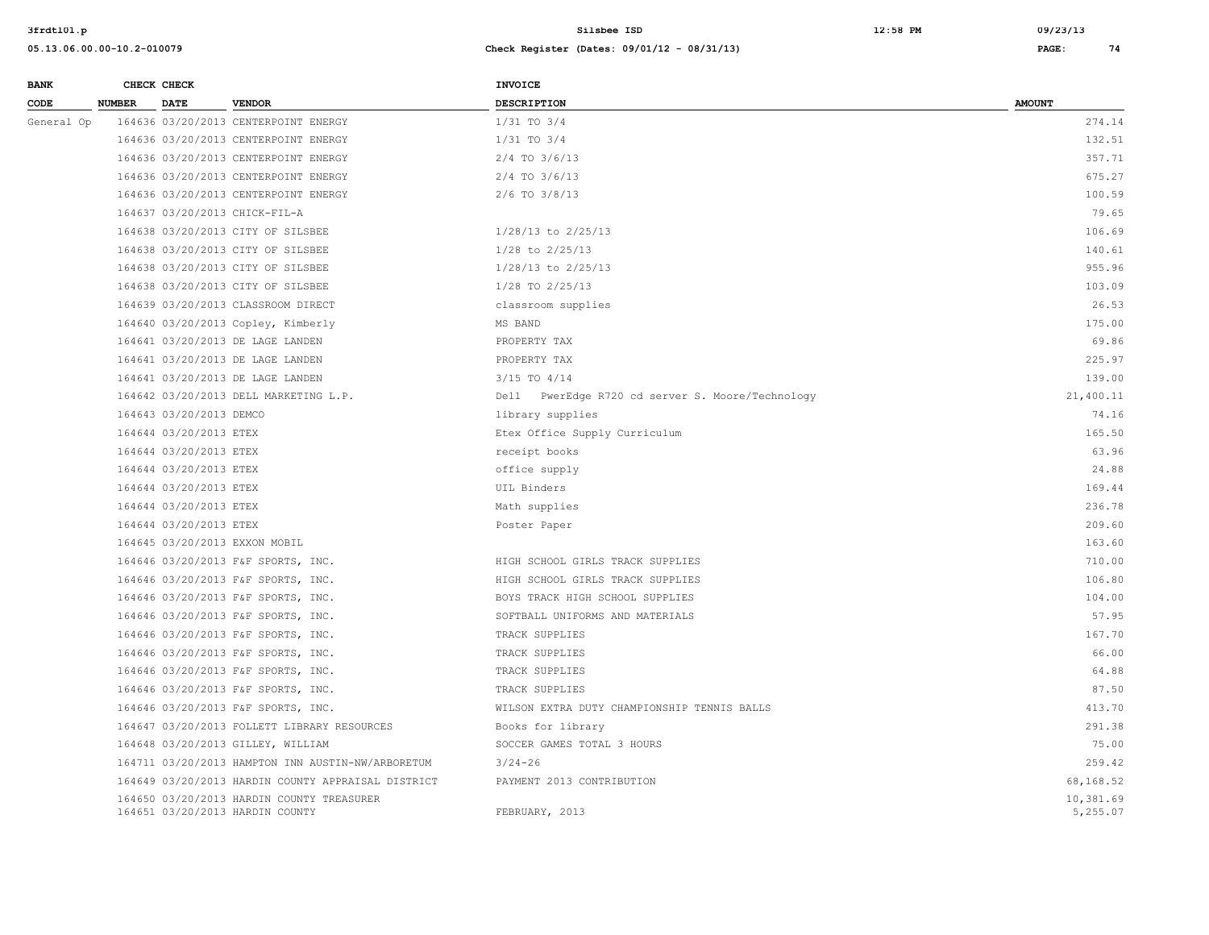| <b>BANK</b> | CHECK CHECK   |                         |                                                                              | INVOICE                                          |                       |
|-------------|---------------|-------------------------|------------------------------------------------------------------------------|--------------------------------------------------|-----------------------|
| CODE        | <b>NUMBER</b> | <b>DATE</b>             | <b>VENDOR</b>                                                                | <b>DESCRIPTION</b>                               | <b>AMOUNT</b>         |
| General Op  |               |                         | 164636 03/20/2013 CENTERPOINT ENERGY                                         | $1/31$ TO $3/4$                                  | 274.14                |
|             |               |                         | 164636 03/20/2013 CENTERPOINT ENERGY                                         | $1/31$ TO $3/4$                                  | 132.51                |
|             |               |                         | 164636 03/20/2013 CENTERPOINT ENERGY                                         | 2/4 TO 3/6/13                                    | 357.71                |
|             |               |                         | 164636 03/20/2013 CENTERPOINT ENERGY                                         | $2/4$ TO $3/6/13$                                | 675.27                |
|             |               |                         | 164636 03/20/2013 CENTERPOINT ENERGY                                         | 2/6 TO 3/8/13                                    | 100.59                |
|             |               |                         | 164637 03/20/2013 CHICK-FIL-A                                                |                                                  | 79.65                 |
|             |               |                         | 164638 03/20/2013 CITY OF SILSBEE                                            | $1/28/13$ to $2/25/13$                           | 106.69                |
|             |               |                         | 164638 03/20/2013 CITY OF SILSBEE                                            | 1/28 to 2/25/13                                  | 140.61                |
|             |               |                         | 164638 03/20/2013 CITY OF SILSBEE                                            | $1/28/13$ to $2/25/13$                           | 955.96                |
|             |               |                         | 164638 03/20/2013 CITY OF SILSBEE                                            | 1/28 TO 2/25/13                                  | 103.09                |
|             |               |                         | 164639 03/20/2013 CLASSROOM DIRECT                                           | classroom supplies                               | 26.53                 |
|             |               |                         | 164640 03/20/2013 Copley, Kimberly                                           | MS BAND                                          | 175.00                |
|             |               |                         | 164641 03/20/2013 DE LAGE LANDEN                                             | PROPERTY TAX                                     | 69.86                 |
|             |               |                         | 164641 03/20/2013 DE LAGE LANDEN                                             | PROPERTY TAX                                     | 225.97                |
|             |               |                         | 164641 03/20/2013 DE LAGE LANDEN                                             | $3/15$ TO $4/14$                                 | 139.00                |
|             |               |                         | 164642 03/20/2013 DELL MARKETING L.P.                                        | Dell PwerEdge R720 cd server S. Moore/Technology | 21,400.11             |
|             |               | 164643 03/20/2013 DEMCO |                                                                              | library supplies                                 | 74.16                 |
|             |               | 164644 03/20/2013 ETEX  |                                                                              | Etex Office Supply Curriculum                    | 165.50                |
|             |               | 164644 03/20/2013 ETEX  |                                                                              | receipt books                                    | 63.96                 |
|             |               | 164644 03/20/2013 ETEX  |                                                                              | office supply                                    | 24.88                 |
|             |               | 164644 03/20/2013 ETEX  |                                                                              | UIL Binders                                      | 169.44                |
|             |               | 164644 03/20/2013 ETEX  |                                                                              | Math supplies                                    | 236.78                |
|             |               | 164644 03/20/2013 ETEX  |                                                                              | Poster Paper                                     | 209.60                |
|             |               |                         | 164645 03/20/2013 EXXON MOBIL                                                |                                                  | 163.60                |
|             |               |                         | 164646 03/20/2013 F&F SPORTS, INC.                                           | HIGH SCHOOL GIRLS TRACK SUPPLIES                 | 710.00                |
|             |               |                         | 164646 03/20/2013 F&F SPORTS, INC.                                           | HIGH SCHOOL GIRLS TRACK SUPPLIES                 | 106.80                |
|             |               |                         | 164646 03/20/2013 F&F SPORTS, INC.                                           | BOYS TRACK HIGH SCHOOL SUPPLIES                  | 104.00                |
|             |               |                         | 164646 03/20/2013 F&F SPORTS, INC.                                           | SOFTBALL UNIFORMS AND MATERIALS                  | 57.95                 |
|             |               |                         | 164646 03/20/2013 F&F SPORTS, INC.                                           | TRACK SUPPLIES                                   | 167.70                |
|             |               |                         | 164646 03/20/2013 F&F SPORTS, INC.                                           | TRACK SUPPLIES                                   | 66.00                 |
|             |               |                         | 164646 03/20/2013 F&F SPORTS, INC.                                           | TRACK SUPPLIES                                   | 64.88                 |
|             |               |                         | 164646 03/20/2013 F&F SPORTS, INC.                                           | TRACK SUPPLIES                                   | 87.50                 |
|             |               |                         | 164646 03/20/2013 F&F SPORTS, INC.                                           | WILSON EXTRA DUTY CHAMPIONSHIP TENNIS BALLS      | 413.70                |
|             |               |                         | 164647 03/20/2013 FOLLETT LIBRARY RESOURCES                                  | Books for library                                | 291.38                |
|             |               |                         | 164648 03/20/2013 GILLEY, WILLIAM                                            | SOCCER GAMES TOTAL 3 HOURS                       | 75.00                 |
|             |               |                         | 164711 03/20/2013 HAMPTON INN AUSTIN-NW/ARBORETUM                            | $3/24 - 26$                                      | 259.42                |
|             |               |                         | 164649 03/20/2013 HARDIN COUNTY APPRAISAL DISTRICT                           | PAYMENT 2013 CONTRIBUTION                        | 68,168.52             |
|             |               |                         | 164650 03/20/2013 HARDIN COUNTY TREASURER<br>164651 03/20/2013 HARDIN COUNTY | FEBRUARY, 2013                                   | 10,381.69<br>5,255.07 |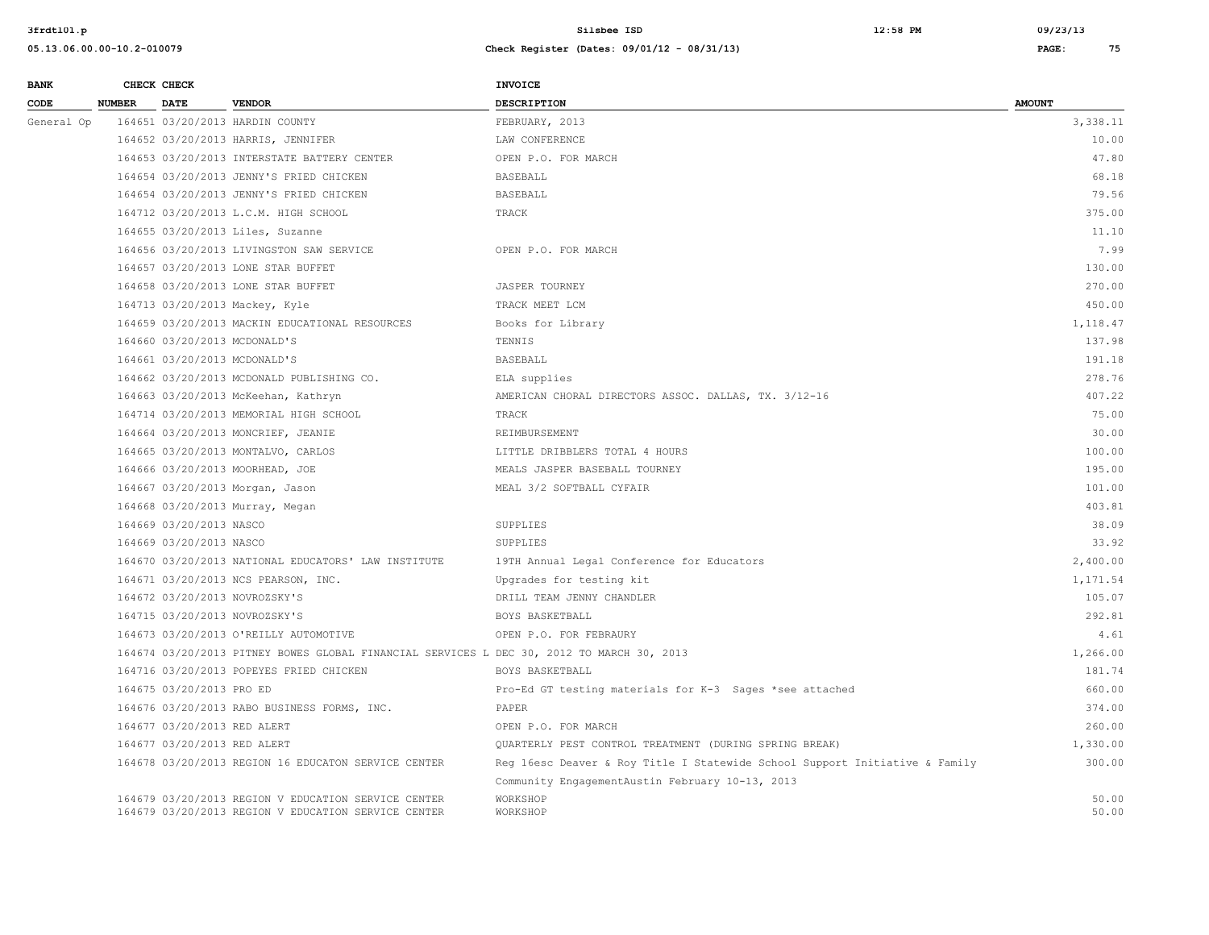| <b>BANK</b> |               | CHECK CHECK                  |                                                                                                            | <b>INVOICE</b>                                                              |                |
|-------------|---------------|------------------------------|------------------------------------------------------------------------------------------------------------|-----------------------------------------------------------------------------|----------------|
| CODE        | <b>NUMBER</b> | <b>DATE</b>                  | <b>VENDOR</b>                                                                                              | <b>DESCRIPTION</b>                                                          | <b>AMOUNT</b>  |
| General Op  |               |                              | 164651 03/20/2013 HARDIN COUNTY                                                                            | FEBRUARY, 2013                                                              | 3,338.11       |
|             |               |                              | 164652 03/20/2013 HARRIS, JENNIFER                                                                         | LAW CONFERENCE                                                              | 10.00          |
|             |               |                              | 164653 03/20/2013 INTERSTATE BATTERY CENTER                                                                | OPEN P.O. FOR MARCH                                                         | 47.80          |
|             |               |                              | 164654 03/20/2013 JENNY'S FRIED CHICKEN                                                                    | BASEBALL                                                                    | 68.18          |
|             |               |                              | 164654 03/20/2013 JENNY'S FRIED CHICKEN                                                                    | <b>BASEBALL</b>                                                             | 79.56          |
|             |               |                              | 164712 03/20/2013 L.C.M. HIGH SCHOOL                                                                       | TRACK                                                                       | 375.00         |
|             |               |                              | 164655 03/20/2013 Liles, Suzanne                                                                           |                                                                             | 11.10          |
|             |               |                              | 164656 03/20/2013 LIVINGSTON SAW SERVICE                                                                   | OPEN P.O. FOR MARCH                                                         | 7.99           |
|             |               |                              | 164657 03/20/2013 LONE STAR BUFFET                                                                         |                                                                             | 130.00         |
|             |               |                              | 164658 03/20/2013 LONE STAR BUFFET                                                                         | <b>JASPER TOURNEY</b>                                                       | 270.00         |
|             |               |                              | 164713 03/20/2013 Mackey, Kyle                                                                             | TRACK MEET LCM                                                              | 450.00         |
|             |               |                              | 164659 03/20/2013 MACKIN EDUCATIONAL RESOURCES                                                             | Books for Library                                                           | 1,118.47       |
|             |               | 164660 03/20/2013 MCDONALD'S |                                                                                                            | TENNIS                                                                      | 137.98         |
|             |               |                              | 164661 03/20/2013 MCDONALD'S                                                                               | <b>BASEBALL</b>                                                             | 191.18         |
|             |               |                              | 164662 03/20/2013 MCDONALD PUBLISHING CO.                                                                  | ELA supplies                                                                | 278.76         |
|             |               |                              | 164663 03/20/2013 McKeehan, Kathryn                                                                        | AMERICAN CHORAL DIRECTORS ASSOC. DALLAS, TX. 3/12-16                        | 407.22         |
|             |               |                              | 164714 03/20/2013 MEMORIAL HIGH SCHOOL                                                                     | TRACK                                                                       | 75.00          |
|             |               |                              | 164664 03/20/2013 MONCRIEF, JEANIE                                                                         | REIMBURSEMENT                                                               | 30.00          |
|             |               |                              | 164665 03/20/2013 MONTALVO, CARLOS                                                                         | LITTLE DRIBBLERS TOTAL 4 HOURS                                              | 100.00         |
|             |               |                              | 164666 03/20/2013 MOORHEAD, JOE                                                                            | MEALS JASPER BASEBALL TOURNEY                                               | 195.00         |
|             |               |                              | 164667 03/20/2013 Morgan, Jason                                                                            | MEAL 3/2 SOFTBALL CYFAIR                                                    | 101.00         |
|             |               |                              | 164668 03/20/2013 Murray, Megan                                                                            |                                                                             | 403.81         |
|             |               | 164669 03/20/2013 NASCO      |                                                                                                            | SUPPLIES                                                                    | 38.09          |
|             |               | 164669 03/20/2013 NASCO      |                                                                                                            | SUPPLIES                                                                    | 33.92          |
|             |               |                              | 164670 03/20/2013 NATIONAL EDUCATORS' LAW INSTITUTE                                                        | 19TH Annual Legal Conference for Educators                                  | 2,400.00       |
|             |               |                              | 164671 03/20/2013 NCS PEARSON, INC.                                                                        | Upgrades for testing kit                                                    | 1,171.54       |
|             |               |                              | 164672 03/20/2013 NOVROZSKY'S                                                                              | DRILL TEAM JENNY CHANDLER                                                   | 105.07         |
|             |               |                              | 164715 03/20/2013 NOVROZSKY'S                                                                              | BOYS BASKETBALL                                                             | 292.81         |
|             |               |                              | 164673 03/20/2013 O'REILLY AUTOMOTIVE                                                                      | OPEN P.O. FOR FEBRAURY                                                      | 4.61           |
|             |               |                              | 164674 03/20/2013 PITNEY BOWES GLOBAL FINANCIAL SERVICES L DEC 30, 2012 TO MARCH 30, 2013                  |                                                                             | 1,266.00       |
|             |               |                              | 164716 03/20/2013 POPEYES FRIED CHICKEN                                                                    | BOYS BASKETBALL                                                             | 181.74         |
|             |               | 164675 03/20/2013 PRO ED     |                                                                                                            | Pro-Ed GT testing materials for K-3 Sages *see attached                     | 660.00         |
|             |               |                              | 164676 03/20/2013 RABO BUSINESS FORMS, INC.                                                                | PAPER                                                                       | 374.00         |
|             |               | 164677 03/20/2013 RED ALERT  |                                                                                                            | OPEN P.O. FOR MARCH                                                         | 260.00         |
|             |               | 164677 03/20/2013 RED ALERT  |                                                                                                            | QUARTERLY PEST CONTROL TREATMENT (DURING SPRING BREAK)                      | 1,330.00       |
|             |               |                              | 164678 03/20/2013 REGION 16 EDUCATON SERVICE CENTER                                                        | Reg 16esc Deaver & Roy Title I Statewide School Support Initiative & Family | 300.00         |
|             |               |                              |                                                                                                            | Community EngagementAustin February 10-13, 2013                             |                |
|             |               |                              | 164679 03/20/2013 REGION V EDUCATION SERVICE CENTER<br>164679 03/20/2013 REGION V EDUCATION SERVICE CENTER | WORKSHOP<br>WORKSHOP                                                        | 50.00<br>50.00 |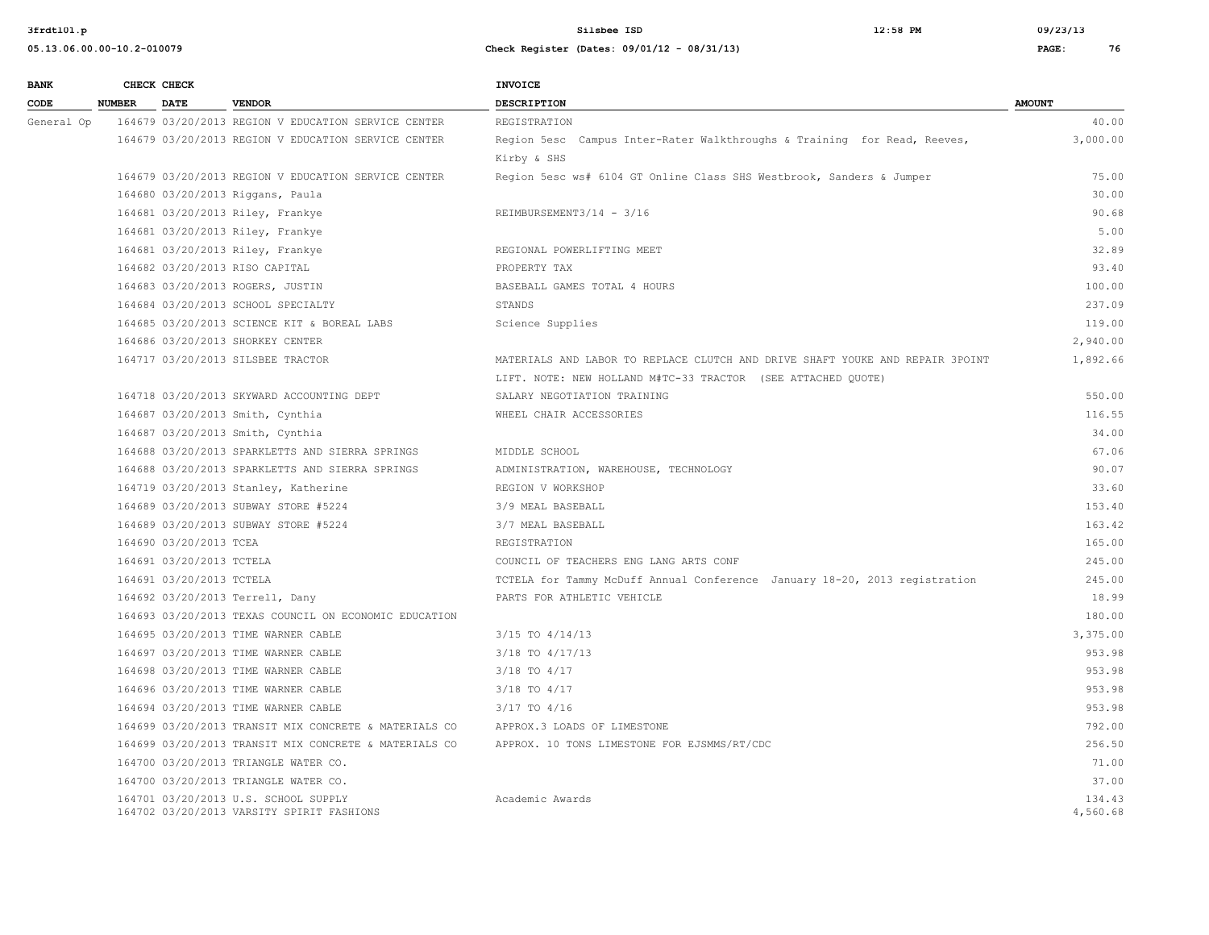| <b>BANK</b> |               | CHECK CHECK              |                                                                                   | <b>INVOICE</b>                                                                |                    |
|-------------|---------------|--------------------------|-----------------------------------------------------------------------------------|-------------------------------------------------------------------------------|--------------------|
| CODE        | <b>NUMBER</b> | <b>DATE</b>              | <b>VENDOR</b>                                                                     | <b>DESCRIPTION</b>                                                            | <b>AMOUNT</b>      |
| General Op  |               |                          | 164679 03/20/2013 REGION V EDUCATION SERVICE CENTER                               | REGISTRATION                                                                  | 40.00              |
|             |               |                          | 164679 03/20/2013 REGION V EDUCATION SERVICE CENTER                               | Region 5esc Campus Inter-Rater Walkthroughs & Training for Read, Reeves,      | 3,000.00           |
|             |               |                          |                                                                                   | Kirby & SHS                                                                   |                    |
|             |               |                          | 164679 03/20/2013 REGION V EDUCATION SERVICE CENTER                               | Region 5esc ws# 6104 GT Online Class SHS Westbrook, Sanders & Jumper          | 75.00              |
|             |               |                          | 164680 03/20/2013 Riggans, Paula                                                  |                                                                               | 30.00              |
|             |               |                          | 164681 03/20/2013 Riley, Frankye                                                  | REIMBURSEMENT3/14 - 3/16                                                      | 90.68              |
|             |               |                          | 164681 03/20/2013 Riley, Frankye                                                  |                                                                               | 5.00               |
|             |               |                          | 164681 03/20/2013 Riley, Frankye                                                  | REGIONAL POWERLIFTING MEET                                                    | 32.89              |
|             |               |                          | 164682 03/20/2013 RISO CAPITAL                                                    | PROPERTY TAX                                                                  | 93.40              |
|             |               |                          | 164683 03/20/2013 ROGERS, JUSTIN                                                  | BASEBALL GAMES TOTAL 4 HOURS                                                  | 100.00             |
|             |               |                          | 164684 03/20/2013 SCHOOL SPECIALTY                                                | STANDS                                                                        | 237.09             |
|             |               |                          | 164685 03/20/2013 SCIENCE KIT & BOREAL LABS                                       | Science Supplies                                                              | 119.00             |
|             |               |                          | 164686 03/20/2013 SHORKEY CENTER                                                  |                                                                               | 2,940.00           |
|             |               |                          | 164717 03/20/2013 SILSBEE TRACTOR                                                 | MATERIALS AND LABOR TO REPLACE CLUTCH AND DRIVE SHAFT YOUKE AND REPAIR 3POINT | 1,892.66           |
|             |               |                          |                                                                                   | LIFT. NOTE: NEW HOLLAND M#TC-33 TRACTOR (SEE ATTACHED OUOTE)                  |                    |
|             |               |                          | 164718 03/20/2013 SKYWARD ACCOUNTING DEPT                                         | SALARY NEGOTIATION TRAINING                                                   | 550.00             |
|             |               |                          | 164687 03/20/2013 Smith, Cynthia                                                  | WHEEL CHAIR ACCESSORIES                                                       | 116.55             |
|             |               |                          | 164687 03/20/2013 Smith, Cynthia                                                  |                                                                               | 34.00              |
|             |               |                          | 164688 03/20/2013 SPARKLETTS AND SIERRA SPRINGS                                   | MIDDLE SCHOOL                                                                 | 67.06              |
|             |               |                          | 164688 03/20/2013 SPARKLETTS AND SIERRA SPRINGS                                   | ADMINISTRATION, WAREHOUSE, TECHNOLOGY                                         | 90.07              |
|             |               |                          | 164719 03/20/2013 Stanley, Katherine                                              | REGION V WORKSHOP                                                             | 33.60              |
|             |               |                          | 164689 03/20/2013 SUBWAY STORE #5224                                              | 3/9 MEAL BASEBALL                                                             | 153.40             |
|             |               |                          | 164689 03/20/2013 SUBWAY STORE #5224                                              | 3/7 MEAL BASEBALL                                                             | 163.42             |
|             |               | 164690 03/20/2013 TCEA   |                                                                                   | REGISTRATION                                                                  | 165.00             |
|             |               | 164691 03/20/2013 TCTELA |                                                                                   | COUNCIL OF TEACHERS ENG LANG ARTS CONF                                        | 245.00             |
|             |               | 164691 03/20/2013 TCTELA |                                                                                   | TCTELA for Tammy McDuff Annual Conference January 18-20, 2013 registration    | 245.00             |
|             |               |                          | 164692 03/20/2013 Terrell, Dany                                                   | PARTS FOR ATHLETIC VEHICLE                                                    | 18.99              |
|             |               |                          | 164693 03/20/2013 TEXAS COUNCIL ON ECONOMIC EDUCATION                             |                                                                               | 180.00             |
|             |               |                          | 164695 03/20/2013 TIME WARNER CABLE                                               | 3/15 TO 4/14/13                                                               | 3,375.00           |
|             |               |                          | 164697 03/20/2013 TIME WARNER CABLE                                               | 3/18 TO 4/17/13                                                               | 953.98             |
|             |               |                          | 164698 03/20/2013 TIME WARNER CABLE                                               | $3/18$ TO $4/17$                                                              | 953.98             |
|             |               |                          | 164696 03/20/2013 TIME WARNER CABLE                                               | 3/18 TO 4/17                                                                  | 953.98             |
|             |               |                          | 164694 03/20/2013 TIME WARNER CABLE                                               | 3/17 TO 4/16                                                                  | 953.98             |
|             |               |                          | 164699 03/20/2013 TRANSIT MIX CONCRETE & MATERIALS CO                             | APPROX.3 LOADS OF LIMESTONE                                                   | 792.00             |
|             |               |                          | 164699 03/20/2013 TRANSIT MIX CONCRETE & MATERIALS CO                             | APPROX. 10 TONS LIMESTONE FOR EJSMMS/RT/CDC                                   | 256.50             |
|             |               |                          | 164700 03/20/2013 TRIANGLE WATER CO.                                              |                                                                               | 71.00              |
|             |               |                          | 164700 03/20/2013 TRIANGLE WATER CO.                                              |                                                                               | 37.00              |
|             |               |                          | 164701 03/20/2013 U.S. SCHOOL SUPPLY<br>164702 03/20/2013 VARSITY SPIRIT FASHIONS | Academic Awards                                                               | 134.43<br>4,560.68 |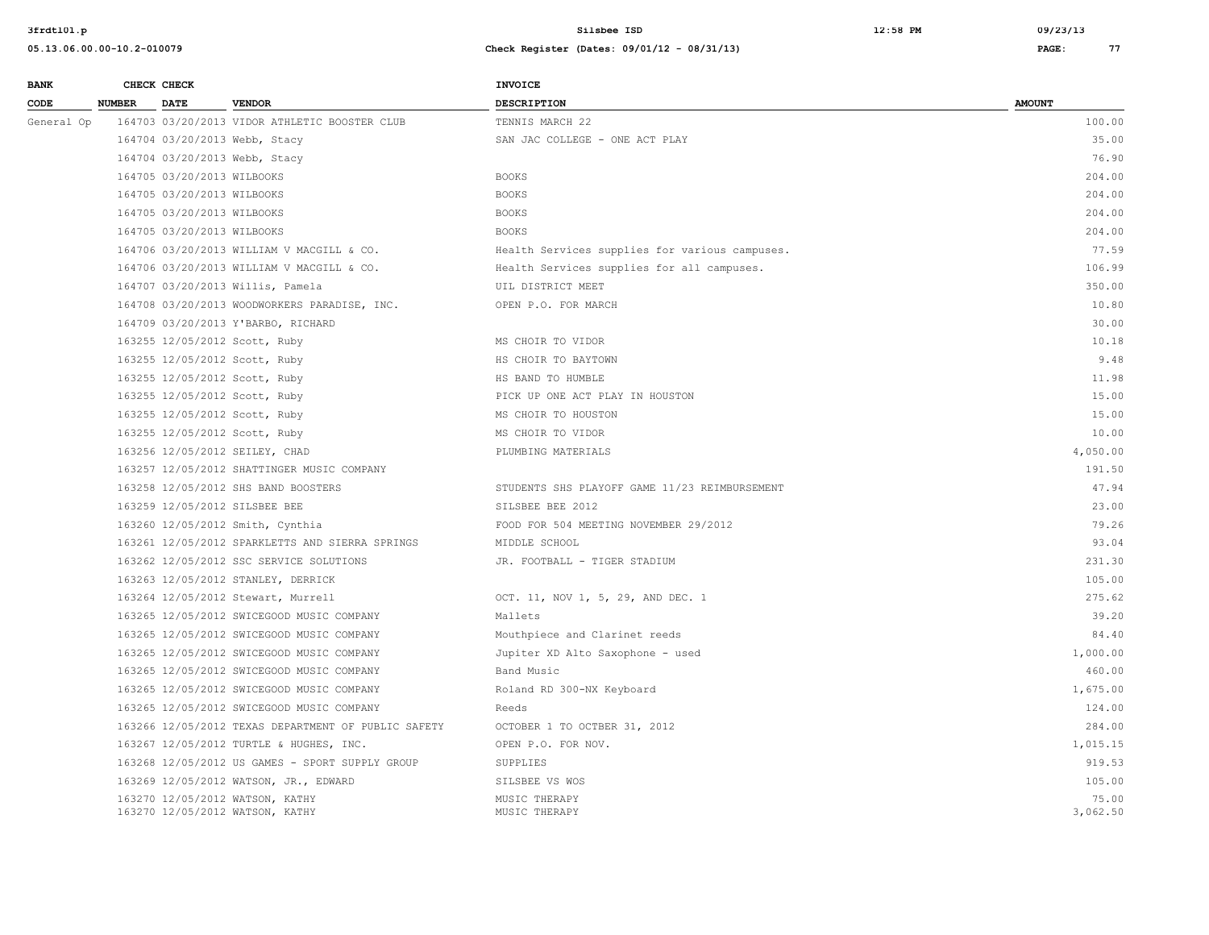| <b>BANK</b> |               | CHECK CHECK                |                                                     | INVOICE                                        |               |
|-------------|---------------|----------------------------|-----------------------------------------------------|------------------------------------------------|---------------|
| CODE        | <b>NUMBER</b> | <b>DATE</b>                | <b>VENDOR</b>                                       | <b>DESCRIPTION</b>                             | <b>AMOUNT</b> |
| General Op  |               |                            | 164703 03/20/2013 VIDOR ATHLETIC BOOSTER CLUB       | TENNIS MARCH 22                                | 100.00        |
|             |               |                            | 164704 03/20/2013 Webb, Stacy                       | SAN JAC COLLEGE - ONE ACT PLAY                 | 35.00         |
|             |               |                            | 164704 03/20/2013 Webb, Stacy                       |                                                | 76.90         |
|             |               | 164705 03/20/2013 WILBOOKS |                                                     | <b>BOOKS</b>                                   | 204.00        |
|             |               | 164705 03/20/2013 WILBOOKS |                                                     | <b>BOOKS</b>                                   | 204.00        |
|             |               | 164705 03/20/2013 WILBOOKS |                                                     | <b>BOOKS</b>                                   | 204.00        |
|             |               | 164705 03/20/2013 WILBOOKS |                                                     | <b>BOOKS</b>                                   | 204.00        |
|             |               |                            | 164706 03/20/2013 WILLIAM V MACGILL & CO.           | Health Services supplies for various campuses. | 77.59         |
|             |               |                            | 164706 03/20/2013 WILLIAM V MACGILL & CO.           | Health Services supplies for all campuses.     | 106.99        |
|             |               |                            | 164707 03/20/2013 Willis, Pamela                    | UIL DISTRICT MEET                              | 350.00        |
|             |               |                            | 164708 03/20/2013 WOODWORKERS PARADISE, INC.        | OPEN P.O. FOR MARCH                            | 10.80         |
|             |               |                            | 164709 03/20/2013 Y'BARBO, RICHARD                  |                                                | 30.00         |
|             |               |                            | 163255 12/05/2012 Scott, Ruby                       | MS CHOIR TO VIDOR                              | 10.18         |
|             |               |                            | 163255 12/05/2012 Scott, Ruby                       | HS CHOIR TO BAYTOWN                            | 9.48          |
|             |               |                            | 163255 12/05/2012 Scott, Ruby                       | HS BAND TO HUMBLE                              | 11.98         |
|             |               |                            | 163255 12/05/2012 Scott, Ruby                       | PICK UP ONE ACT PLAY IN HOUSTON                | 15.00         |
|             |               |                            | 163255 12/05/2012 Scott, Ruby                       | MS CHOIR TO HOUSTON                            | 15.00         |
|             |               |                            | 163255 12/05/2012 Scott, Ruby                       | MS CHOIR TO VIDOR                              | 10.00         |
|             |               |                            | 163256 12/05/2012 SEILEY, CHAD                      | PLUMBING MATERIALS                             | 4,050.00      |
|             |               |                            | 163257 12/05/2012 SHATTINGER MUSIC COMPANY          |                                                | 191.50        |
|             |               |                            | 163258 12/05/2012 SHS BAND BOOSTERS                 | STUDENTS SHS PLAYOFF GAME 11/23 REIMBURSEMENT  | 47.94         |
|             |               |                            | 163259 12/05/2012 SILSBEE BEE                       | SILSBEE BEE 2012                               | 23.00         |
|             |               |                            | 163260 12/05/2012 Smith, Cynthia                    | FOOD FOR 504 MEETING NOVEMBER 29/2012          | 79.26         |
|             |               |                            | 163261 12/05/2012 SPARKLETTS AND SIERRA SPRINGS     | MIDDLE SCHOOL                                  | 93.04         |
|             |               |                            | 163262 12/05/2012 SSC SERVICE SOLUTIONS             | JR. FOOTBALL - TIGER STADIUM                   | 231.30        |
|             |               |                            | 163263 12/05/2012 STANLEY, DERRICK                  |                                                | 105.00        |
|             |               |                            | 163264 12/05/2012 Stewart, Murrell                  | OCT. 11, NOV 1, 5, 29, AND DEC. 1              | 275.62        |
|             |               |                            | 163265 12/05/2012 SWICEGOOD MUSIC COMPANY           | Mallets                                        | 39.20         |
|             |               |                            | 163265 12/05/2012 SWICEGOOD MUSIC COMPANY           | Mouthpiece and Clarinet reeds                  | 84.40         |
|             |               |                            | 163265 12/05/2012 SWICEGOOD MUSIC COMPANY           | Jupiter XD Alto Saxophone - used               | 1,000.00      |
|             |               |                            | 163265 12/05/2012 SWICEGOOD MUSIC COMPANY           | Band Music                                     | 460.00        |
|             |               |                            | 163265 12/05/2012 SWICEGOOD MUSIC COMPANY           | Roland RD 300-NX Keyboard                      | 1,675.00      |
|             |               |                            | 163265 12/05/2012 SWICEGOOD MUSIC COMPANY           | Reeds                                          | 124.00        |
|             |               |                            | 163266 12/05/2012 TEXAS DEPARTMENT OF PUBLIC SAFETY | OCTOBER 1 TO OCTBER 31, 2012                   | 284.00        |
|             |               |                            | 163267 12/05/2012 TURTLE & HUGHES, INC.             | OPEN P.O. FOR NOV.                             | 1,015.15      |
|             |               |                            | 163268 12/05/2012 US GAMES - SPORT SUPPLY GROUP     | SUPPLIES                                       | 919.53        |
|             |               |                            | 163269 12/05/2012 WATSON, JR., EDWARD               | SILSBEE VS WOS                                 | 105.00        |
|             |               |                            | 163270 12/05/2012 WATSON, KATHY                     | MUSIC THERAPY                                  | 75.00         |
|             |               |                            | 163270 12/05/2012 WATSON, KATHY                     | MUSIC THERAPY                                  | 3,062.50      |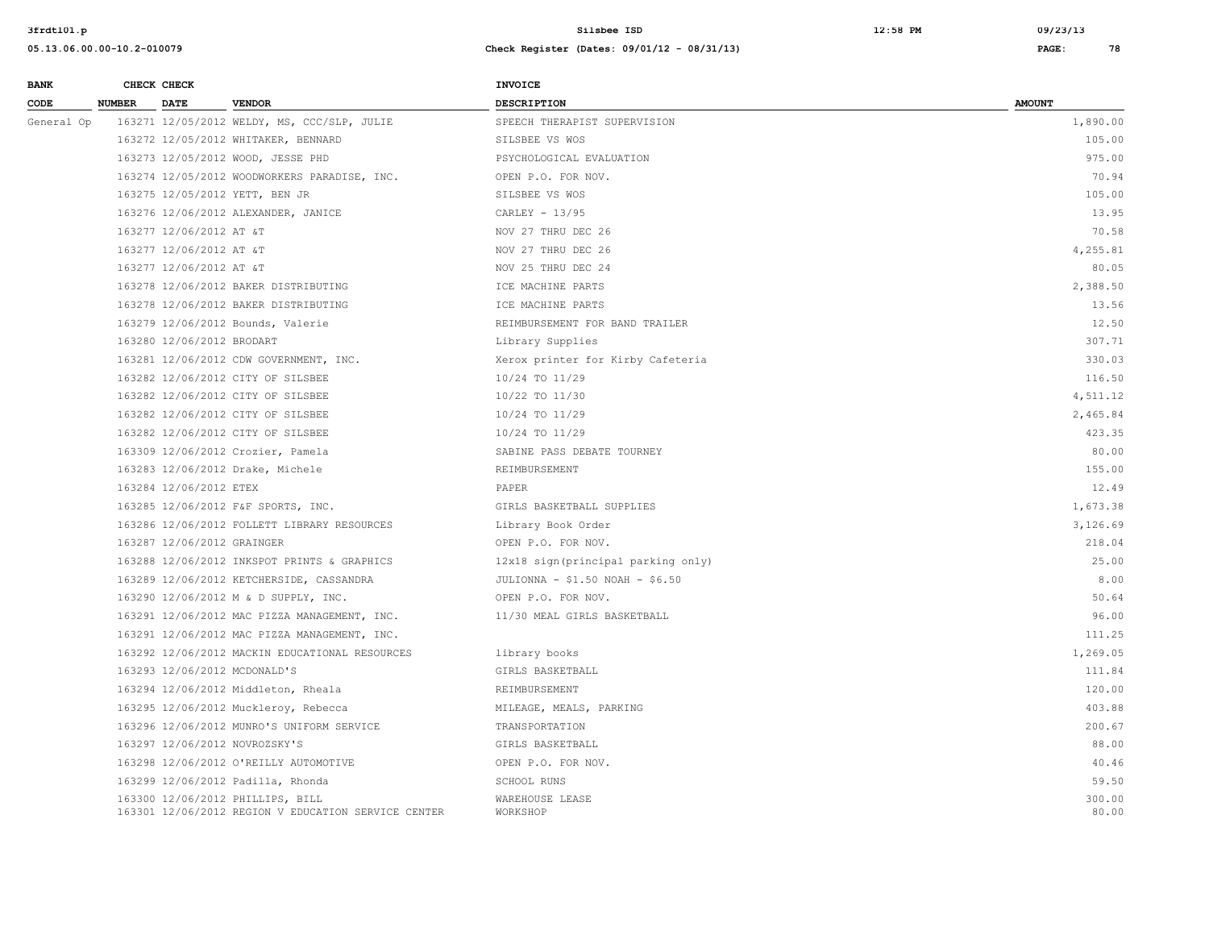| <b>BANK</b> |               | CHECK CHECK                |                                                                                         | <b>INVOICE</b>                     |                 |
|-------------|---------------|----------------------------|-----------------------------------------------------------------------------------------|------------------------------------|-----------------|
| CODE        | <b>NUMBER</b> | <b>DATE</b>                | <b>VENDOR</b>                                                                           | <b>DESCRIPTION</b>                 | <b>AMOUNT</b>   |
| General Op  |               |                            | 163271 12/05/2012 WELDY, MS, CCC/SLP, JULIE                                             | SPEECH THERAPIST SUPERVISION       | 1,890.00        |
|             |               |                            | 163272 12/05/2012 WHITAKER, BENNARD                                                     | SILSBEE VS WOS                     | 105.00          |
|             |               |                            | 163273 12/05/2012 WOOD, JESSE PHD                                                       | PSYCHOLOGICAL EVALUATION           | 975.00          |
|             |               |                            | 163274 12/05/2012 WOODWORKERS PARADISE, INC.                                            | OPEN P.O. FOR NOV.                 | 70.94           |
|             |               |                            | 163275 12/05/2012 YETT, BEN JR                                                          | SILSBEE VS WOS                     | 105.00          |
|             |               |                            | 163276 12/06/2012 ALEXANDER, JANICE                                                     | CARLEY $-13/95$                    | 13.95           |
|             |               | 163277 12/06/2012 AT &T    |                                                                                         | NOV 27 THRU DEC 26                 | 70.58           |
|             |               | 163277 12/06/2012 AT &T    |                                                                                         | NOV 27 THRU DEC 26                 | 4,255.81        |
|             |               | 163277 12/06/2012 AT &T    |                                                                                         | NOV 25 THRU DEC 24                 | 80.05           |
|             |               |                            | 163278 12/06/2012 BAKER DISTRIBUTING                                                    | ICE MACHINE PARTS                  | 2,388.50        |
|             |               |                            | 163278 12/06/2012 BAKER DISTRIBUTING                                                    | ICE MACHINE PARTS                  | 13.56           |
|             |               |                            | 163279 12/06/2012 Bounds, Valerie                                                       | REIMBURSEMENT FOR BAND TRAILER     | 12.50           |
|             |               | 163280 12/06/2012 BRODART  |                                                                                         | Library Supplies                   | 307.71          |
|             |               |                            | 163281 12/06/2012 CDW GOVERNMENT, INC.                                                  | Xerox printer for Kirby Cafeteria  | 330.03          |
|             |               |                            | 163282 12/06/2012 CITY OF SILSBEE                                                       | 10/24 TO 11/29                     | 116.50          |
|             |               |                            | 163282 12/06/2012 CITY OF SILSBEE                                                       | 10/22 TO 11/30                     | 4,511.12        |
|             |               |                            | 163282 12/06/2012 CITY OF SILSBEE                                                       | 10/24 TO 11/29                     | 2,465.84        |
|             |               |                            | 163282 12/06/2012 CITY OF SILSBEE                                                       | 10/24 TO 11/29                     | 423.35          |
|             |               |                            | 163309 12/06/2012 Crozier, Pamela                                                       | SABINE PASS DEBATE TOURNEY         | 80.00           |
|             |               |                            | 163283 12/06/2012 Drake, Michele                                                        | REIMBURSEMENT                      | 155.00          |
|             |               | 163284 12/06/2012 ETEX     |                                                                                         | PAPER                              | 12.49           |
|             |               |                            | 163285 12/06/2012 F&F SPORTS, INC.                                                      | GIRLS BASKETBALL SUPPLIES          | 1,673.38        |
|             |               |                            | 163286 12/06/2012 FOLLETT LIBRARY RESOURCES                                             | Library Book Order                 | 3,126.69        |
|             |               | 163287 12/06/2012 GRAINGER |                                                                                         | OPEN P.O. FOR NOV.                 | 218.04          |
|             |               |                            | 163288 12/06/2012 INKSPOT PRINTS & GRAPHICS                                             | 12x18 sign(principal parking only) | 25.00           |
|             |               |                            | 163289 12/06/2012 KETCHERSIDE, CASSANDRA                                                | JULIONNA - \$1.50 NOAH - \$6.50    | 8.00            |
|             |               |                            | 163290 12/06/2012 M & D SUPPLY, INC.                                                    | OPEN P.O. FOR NOV.                 | 50.64           |
|             |               |                            | 163291 12/06/2012 MAC PIZZA MANAGEMENT, INC.                                            | 11/30 MEAL GIRLS BASKETBALL        | 96.00           |
|             |               |                            | 163291 12/06/2012 MAC PIZZA MANAGEMENT, INC.                                            |                                    | 111.25          |
|             |               |                            | 163292 12/06/2012 MACKIN EDUCATIONAL RESOURCES                                          | library books                      | 1,269.05        |
|             |               |                            | 163293 12/06/2012 MCDONALD'S                                                            | GIRLS BASKETBALL                   | 111.84          |
|             |               |                            | 163294 12/06/2012 Middleton, Rheala                                                     | REIMBURSEMENT                      | 120.00          |
|             |               |                            | 163295 12/06/2012 Muckleroy, Rebecca                                                    | MILEAGE, MEALS, PARKING            | 403.88          |
|             |               |                            | 163296 12/06/2012 MUNRO'S UNIFORM SERVICE                                               | TRANSPORTATION                     | 200.67          |
|             |               |                            | 163297 12/06/2012 NOVROZSKY'S                                                           | GIRLS BASKETBALL                   | 88.00           |
|             |               |                            | 163298 12/06/2012 O'REILLY AUTOMOTIVE                                                   | OPEN P.O. FOR NOV.                 | 40.46           |
|             |               |                            | 163299 12/06/2012 Padilla, Rhonda                                                       | <b>SCHOOL RUNS</b>                 | 59.50           |
|             |               |                            | 163300 12/06/2012 PHILLIPS, BILL<br>163301 12/06/2012 REGION V EDUCATION SERVICE CENTER | WAREHOUSE LEASE<br>WORKSHOP        | 300.00<br>80.00 |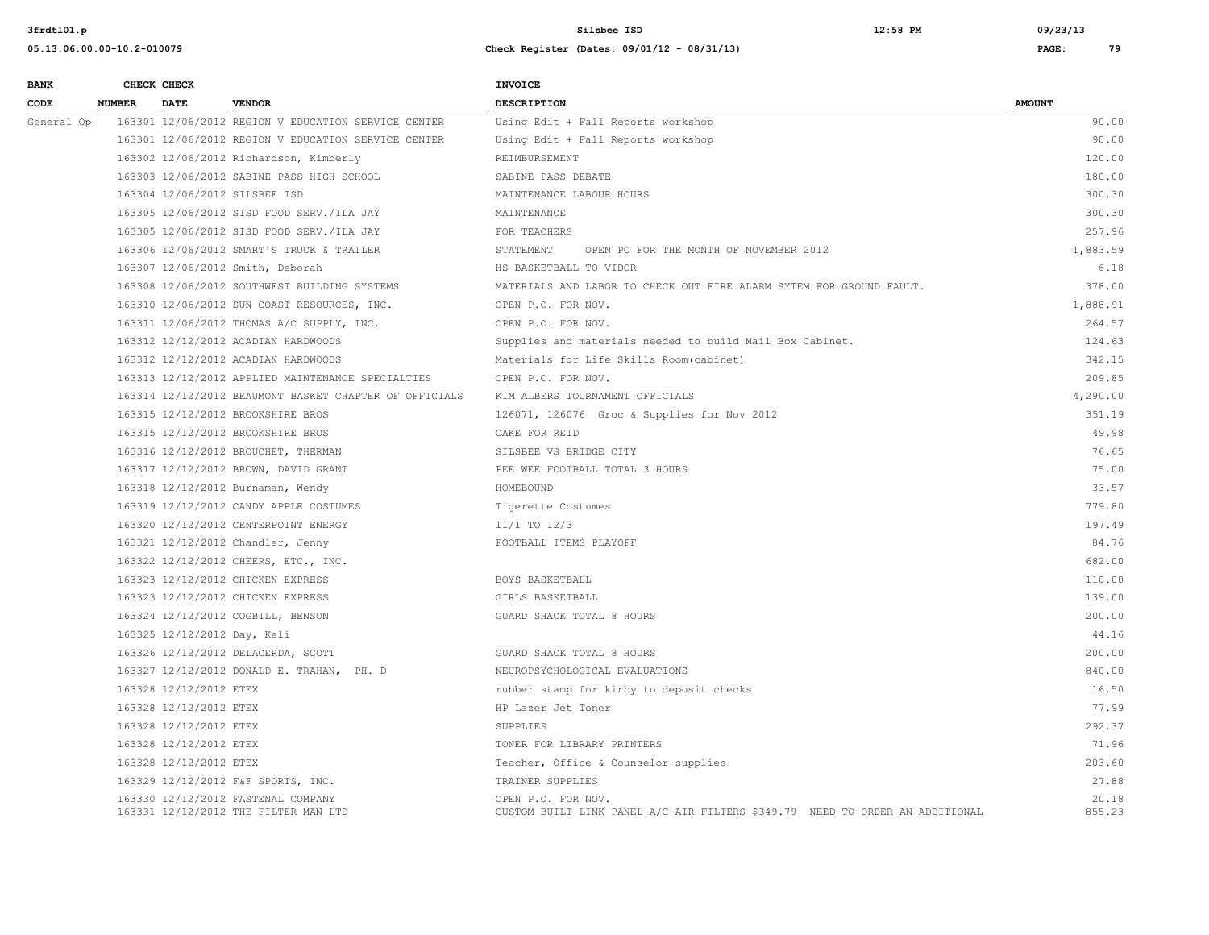| <b>BANK</b> |               | CHECK CHECK                 |                                                                            | <b>INVOICE</b>                                                                                     |                 |
|-------------|---------------|-----------------------------|----------------------------------------------------------------------------|----------------------------------------------------------------------------------------------------|-----------------|
| CODE        | <b>NUMBER</b> | <b>DATE</b>                 | <b>VENDOR</b>                                                              | <b>DESCRIPTION</b>                                                                                 | <b>AMOUNT</b>   |
| General Op  |               |                             | 163301 12/06/2012 REGION V EDUCATION SERVICE CENTER                        | Using Edit + Fall Reports workshop                                                                 | 90.00           |
|             |               |                             | 163301 12/06/2012 REGION V EDUCATION SERVICE CENTER                        | Using Edit + Fall Reports workshop                                                                 | 90.00           |
|             |               |                             | 163302 12/06/2012 Richardson, Kimberly                                     | REIMBURSEMENT                                                                                      | 120.00          |
|             |               |                             | 163303 12/06/2012 SABINE PASS HIGH SCHOOL                                  | SABINE PASS DEBATE                                                                                 | 180.00          |
|             |               |                             | 163304 12/06/2012 SILSBEE ISD                                              | MAINTENANCE LABOUR HOURS                                                                           | 300.30          |
|             |               |                             | 163305 12/06/2012 SISD FOOD SERV./ILA JAY                                  | MAINTENANCE                                                                                        | 300.30          |
|             |               |                             | 163305 12/06/2012 SISD FOOD SERV./ILA JAY                                  | FOR TEACHERS                                                                                       | 257.96          |
|             |               |                             | 163306 12/06/2012 SMART'S TRUCK & TRAILER                                  | STATEMENT<br>OPEN PO FOR THE MONTH OF NOVEMBER 2012                                                | 1,883.59        |
|             |               |                             | 163307 12/06/2012 Smith, Deborah                                           | HS BASKETBALL TO VIDOR                                                                             | 6.18            |
|             |               |                             | 163308 12/06/2012 SOUTHWEST BUILDING SYSTEMS                               | MATERIALS AND LABOR TO CHECK OUT FIRE ALARM SYTEM FOR GROUND FAULT.                                | 378.00          |
|             |               |                             | 163310 12/06/2012 SUN COAST RESOURCES, INC.                                | OPEN P.O. FOR NOV.                                                                                 | 1,888.91        |
|             |               |                             | 163311 12/06/2012 THOMAS A/C SUPPLY, INC.                                  | OPEN P.O. FOR NOV.                                                                                 | 264.57          |
|             |               |                             | 163312 12/12/2012 ACADIAN HARDWOODS                                        | Supplies and materials needed to build Mail Box Cabinet.                                           | 124.63          |
|             |               |                             | 163312 12/12/2012 ACADIAN HARDWOODS                                        | Materials for Life Skills Room (cabinet)                                                           | 342.15          |
|             |               |                             | 163313 12/12/2012 APPLIED MAINTENANCE SPECIALTIES                          | OPEN P.O. FOR NOV.                                                                                 | 209.85          |
|             |               |                             | 163314 12/12/2012 BEAUMONT BASKET CHAPTER OF OFFICIALS                     | KIM ALBERS TOURNAMENT OFFICIALS                                                                    | 4,290.00        |
|             |               |                             | 163315 12/12/2012 BROOKSHIRE BROS                                          | 126071, 126076 Groc & Supplies for Nov 2012                                                        | 351.19          |
|             |               |                             | 163315 12/12/2012 BROOKSHIRE BROS                                          | CAKE FOR REID                                                                                      | 49.98           |
|             |               |                             | 163316 12/12/2012 BROUCHET, THERMAN                                        | SILSBEE VS BRIDGE CITY                                                                             | 76.65           |
|             |               |                             | 163317 12/12/2012 BROWN, DAVID GRANT                                       | PEE WEE FOOTBALL TOTAL 3 HOURS                                                                     | 75.00           |
|             |               |                             | 163318 12/12/2012 Burnaman, Wendy                                          | HOMEBOUND                                                                                          | 33.57           |
|             |               |                             | 163319 12/12/2012 CANDY APPLE COSTUMES                                     | Tigerette Costumes                                                                                 | 779.80          |
|             |               |                             | 163320 12/12/2012 CENTERPOINT ENERGY                                       | $11/1$ TO $12/3$                                                                                   | 197.49          |
|             |               |                             | 163321 12/12/2012 Chandler, Jenny                                          | FOOTBALL ITEMS PLAYOFF                                                                             | 84.76           |
|             |               |                             | 163322 12/12/2012 CHEERS, ETC., INC.                                       |                                                                                                    | 682.00          |
|             |               |                             | 163323 12/12/2012 CHICKEN EXPRESS                                          | BOYS BASKETBALL                                                                                    | 110.00          |
|             |               |                             | 163323 12/12/2012 CHICKEN EXPRESS                                          | GIRLS BASKETBALL                                                                                   | 139.00          |
|             |               |                             | 163324 12/12/2012 COGBILL, BENSON                                          | GUARD SHACK TOTAL 8 HOURS                                                                          | 200.00          |
|             |               | 163325 12/12/2012 Day, Keli |                                                                            |                                                                                                    | 44.16           |
|             |               |                             | 163326 12/12/2012 DELACERDA, SCOTT                                         | GUARD SHACK TOTAL 8 HOURS                                                                          | 200.00          |
|             |               |                             | 163327 12/12/2012 DONALD E. TRAHAN, PH. D                                  | NEUROPSYCHOLOGICAL EVALUATIONS                                                                     | 840.00          |
|             |               | 163328 12/12/2012 ETEX      |                                                                            | rubber stamp for kirby to deposit checks                                                           | 16.50           |
|             |               | 163328 12/12/2012 ETEX      |                                                                            | HP Lazer Jet Toner                                                                                 | 77.99           |
|             |               | 163328 12/12/2012 ETEX      |                                                                            | SUPPLIES                                                                                           | 292.37          |
|             |               | 163328 12/12/2012 ETEX      |                                                                            | TONER FOR LIBRARY PRINTERS                                                                         | 71.96           |
|             |               | 163328 12/12/2012 ETEX      |                                                                            | Teacher, Office & Counselor supplies                                                               | 203.60          |
|             |               |                             | 163329 12/12/2012 F&F SPORTS, INC.                                         | TRAINER SUPPLIES                                                                                   | 27.88           |
|             |               |                             | 163330 12/12/2012 FASTENAL COMPANY<br>163331 12/12/2012 THE FILTER MAN LTD | OPEN P.O. FOR NOV.<br>CUSTOM BUILT LINK PANEL A/C AIR FILTERS \$349.79 NEED TO ORDER AN ADDITIONAL | 20.18<br>855.23 |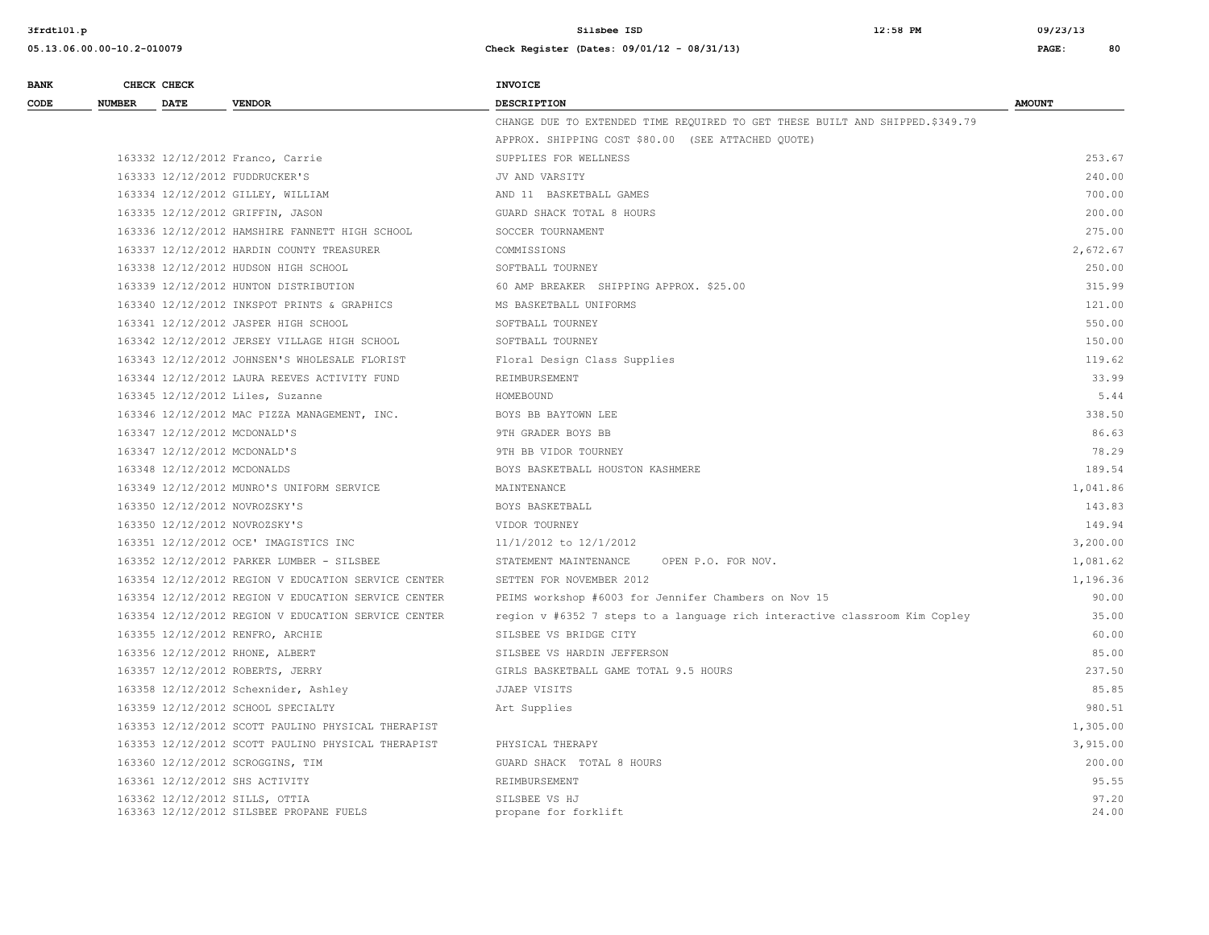| <b>BANK</b> | CHECK CHECK   |                             |                                                                           | <b>INVOICE</b>                                                                |                |
|-------------|---------------|-----------------------------|---------------------------------------------------------------------------|-------------------------------------------------------------------------------|----------------|
| CODE        | <b>NUMBER</b> | <b>DATE</b>                 | <b>VENDOR</b>                                                             | <b>DESCRIPTION</b>                                                            | <b>AMOUNT</b>  |
|             |               |                             |                                                                           | CHANGE DUE TO EXTENDED TIME REQUIRED TO GET THESE BUILT AND SHIPPED. \$349.79 |                |
|             |               |                             |                                                                           | APPROX. SHIPPING COST \$80.00 (SEE ATTACHED QUOTE)                            |                |
|             |               |                             | 163332 12/12/2012 Franco, Carrie                                          | SUPPLIES FOR WELLNESS                                                         | 253.67         |
|             |               |                             | 163333 12/12/2012 FUDDRUCKER'S                                            | JV AND VARSITY                                                                | 240.00         |
|             |               |                             | 163334 12/12/2012 GILLEY, WILLIAM                                         | AND 11 BASKETBALL GAMES                                                       | 700.00         |
|             |               |                             | 163335 12/12/2012 GRIFFIN, JASON                                          | GUARD SHACK TOTAL 8 HOURS                                                     | 200.00         |
|             |               |                             | 163336 12/12/2012 HAMSHIRE FANNETT HIGH SCHOOL                            | SOCCER TOURNAMENT                                                             | 275.00         |
|             |               |                             | 163337 12/12/2012 HARDIN COUNTY TREASURER                                 | COMMISSIONS                                                                   | 2,672.67       |
|             |               |                             | 163338 12/12/2012 HUDSON HIGH SCHOOL                                      | SOFTBALL TOURNEY                                                              | 250.00         |
|             |               |                             | 163339 12/12/2012 HUNTON DISTRIBUTION                                     | 60 AMP BREAKER SHIPPING APPROX. \$25.00                                       | 315.99         |
|             |               |                             | 163340 12/12/2012 INKSPOT PRINTS & GRAPHICS                               | MS BASKETBALL UNIFORMS                                                        | 121.00         |
|             |               |                             | 163341 12/12/2012 JASPER HIGH SCHOOL                                      | SOFTBALL TOURNEY                                                              | 550.00         |
|             |               |                             | 163342 12/12/2012 JERSEY VILLAGE HIGH SCHOOL                              | SOFTBALL TOURNEY                                                              | 150.00         |
|             |               |                             | 163343 12/12/2012 JOHNSEN'S WHOLESALE FLORIST                             | Floral Design Class Supplies                                                  | 119.62         |
|             |               |                             | 163344 12/12/2012 LAURA REEVES ACTIVITY FUND                              | REIMBURSEMENT                                                                 | 33.99          |
|             |               |                             | 163345 12/12/2012 Liles, Suzanne                                          | HOMEBOUND                                                                     | 5.44           |
|             |               |                             | 163346 12/12/2012 MAC PIZZA MANAGEMENT, INC.                              | BOYS BB BAYTOWN LEE                                                           | 338.50         |
|             |               |                             | 163347 12/12/2012 MCDONALD'S                                              | 9TH GRADER BOYS BB                                                            | 86.63          |
|             |               |                             | 163347 12/12/2012 MCDONALD'S                                              | 9TH BB VIDOR TOURNEY                                                          | 78.29          |
|             |               | 163348 12/12/2012 MCDONALDS |                                                                           | BOYS BASKETBALL HOUSTON KASHMERE                                              | 189.54         |
|             |               |                             | 163349 12/12/2012 MUNRO'S UNIFORM SERVICE                                 | MAINTENANCE                                                                   | 1,041.86       |
|             |               |                             | 163350 12/12/2012 NOVROZSKY'S                                             | BOYS BASKETBALL                                                               | 143.83         |
|             |               |                             | 163350 12/12/2012 NOVROZSKY'S                                             | VIDOR TOURNEY                                                                 | 149.94         |
|             |               |                             | 163351 12/12/2012 OCE' IMAGISTICS INC                                     | 11/1/2012 to 12/1/2012                                                        | 3,200.00       |
|             |               |                             | 163352 12/12/2012 PARKER LUMBER - SILSBEE                                 | STATEMENT MAINTENANCE<br>OPEN P.O. FOR NOV.                                   | 1,081.62       |
|             |               |                             | 163354 12/12/2012 REGION V EDUCATION SERVICE CENTER                       | SETTEN FOR NOVEMBER 2012                                                      | 1,196.36       |
|             |               |                             | 163354 12/12/2012 REGION V EDUCATION SERVICE CENTER                       | PEIMS workshop #6003 for Jennifer Chambers on Nov 15                          | 90.00          |
|             |               |                             | 163354 12/12/2012 REGION V EDUCATION SERVICE CENTER                       | region v #6352 7 steps to a language rich interactive classroom Kim Copley    | 35.00          |
|             |               |                             | 163355 12/12/2012 RENFRO, ARCHIE                                          | SILSBEE VS BRIDGE CITY                                                        | 60.00          |
|             |               |                             | 163356 12/12/2012 RHONE, ALBERT                                           | SILSBEE VS HARDIN JEFFERSON                                                   | 85.00          |
|             |               |                             | 163357 12/12/2012 ROBERTS, JERRY                                          | GIRLS BASKETBALL GAME TOTAL 9.5 HOURS                                         | 237.50         |
|             |               |                             | 163358 12/12/2012 Schexnider, Ashley                                      | JJAEP VISITS                                                                  | 85.85          |
|             |               |                             | 163359 12/12/2012 SCHOOL SPECIALTY                                        | Art Supplies                                                                  | 980.51         |
|             |               |                             | 163353 12/12/2012 SCOTT PAULINO PHYSICAL THERAPIST                        |                                                                               | 1,305.00       |
|             |               |                             | 163353 12/12/2012 SCOTT PAULINO PHYSICAL THERAPIST                        | PHYSICAL THERAPY                                                              | 3,915.00       |
|             |               |                             | 163360 12/12/2012 SCROGGINS, TIM                                          | GUARD SHACK TOTAL 8 HOURS                                                     | 200.00         |
|             |               |                             | 163361 12/12/2012 SHS ACTIVITY                                            | REIMBURSEMENT                                                                 | 95.55          |
|             |               |                             | 163362 12/12/2012 SILLS, OTTIA<br>163363 12/12/2012 SILSBEE PROPANE FUELS | SILSBEE VS HJ<br>propane for forklift                                         | 97.20<br>24.00 |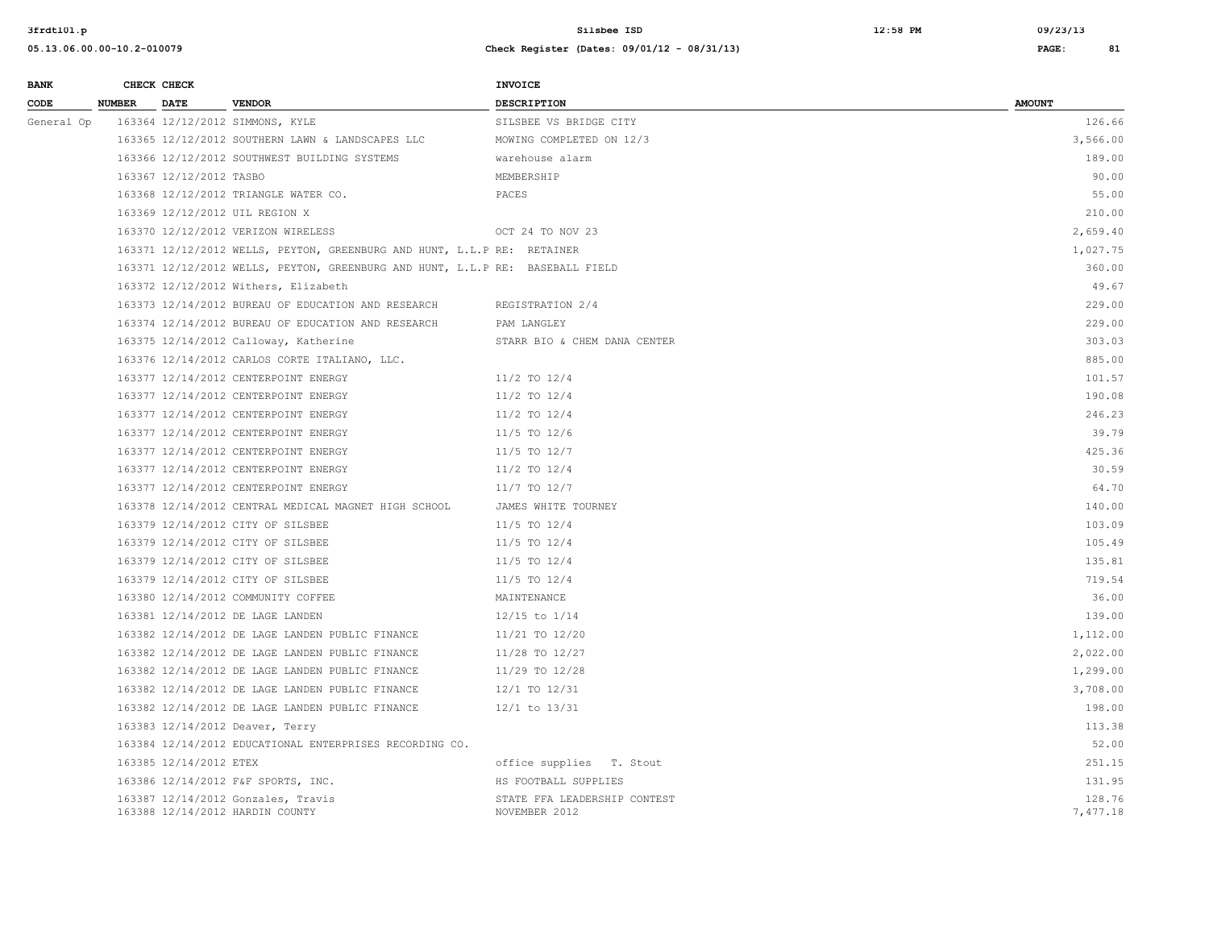| <b>BANK</b> |               | CHECK CHECK             |                                                                               | INVOICE                                       |                    |
|-------------|---------------|-------------------------|-------------------------------------------------------------------------------|-----------------------------------------------|--------------------|
| CODE        | <b>NUMBER</b> | DATE                    | <b>VENDOR</b>                                                                 | DESCRIPTION                                   | <b>AMOUNT</b>      |
| General Op  |               |                         | 163364 12/12/2012 SIMMONS, KYLE                                               | SILSBEE VS BRIDGE CITY                        | 126.66             |
|             |               |                         | 163365 12/12/2012 SOUTHERN LAWN & LANDSCAPES LLC                              | MOWING COMPLETED ON 12/3                      | 3,566.00           |
|             |               |                         | 163366 12/12/2012 SOUTHWEST BUILDING SYSTEMS                                  | warehouse alarm                               | 189.00             |
|             |               | 163367 12/12/2012 TASBO |                                                                               | MEMBERSHIP                                    | 90.00              |
|             |               |                         | 163368 12/12/2012 TRIANGLE WATER CO.                                          | PACES                                         | 55.00              |
|             |               |                         | 163369 12/12/2012 UIL REGION X                                                |                                               | 210.00             |
|             |               |                         | 163370 12/12/2012 VERIZON WIRELESS                                            | OCT 24 TO NOV 23                              | 2,659.40           |
|             |               |                         | 163371 12/12/2012 WELLS, PEYTON, GREENBURG AND HUNT, L.L.P RE: RETAINER       |                                               | 1,027.75           |
|             |               |                         | 163371 12/12/2012 WELLS, PEYTON, GREENBURG AND HUNT, L.L.P RE: BASEBALL FIELD |                                               | 360.00             |
|             |               |                         | 163372 12/12/2012 Withers, Elizabeth                                          |                                               | 49.67              |
|             |               |                         | 163373 12/14/2012 BUREAU OF EDUCATION AND RESEARCH                            | REGISTRATION 2/4                              | 229.00             |
|             |               |                         | 163374 12/14/2012 BUREAU OF EDUCATION AND RESEARCH                            | PAM LANGLEY                                   | 229.00             |
|             |               |                         | 163375 12/14/2012 Calloway, Katherine                                         | STARR BIO & CHEM DANA CENTER                  | 303.03             |
|             |               |                         | 163376 12/14/2012 CARLOS CORTE ITALIANO, LLC.                                 |                                               | 885.00             |
|             |               |                         | 163377 12/14/2012 CENTERPOINT ENERGY                                          | $11/2$ TO $12/4$                              | 101.57             |
|             |               |                         | 163377 12/14/2012 CENTERPOINT ENERGY                                          | $11/2$ TO $12/4$                              | 190.08             |
|             |               |                         | 163377 12/14/2012 CENTERPOINT ENERGY                                          | $11/2$ TO $12/4$                              | 246.23             |
|             |               |                         | 163377 12/14/2012 CENTERPOINT ENERGY                                          | $11/5$ TO $12/6$                              | 39.79              |
|             |               |                         | 163377 12/14/2012 CENTERPOINT ENERGY                                          | $11/5$ TO $12/7$                              | 425.36             |
|             |               |                         | 163377 12/14/2012 CENTERPOINT ENERGY                                          | $11/2$ TO $12/4$                              | 30.59              |
|             |               |                         | 163377 12/14/2012 CENTERPOINT ENERGY                                          | $11/7$ TO $12/7$                              | 64.70              |
|             |               |                         | 163378 12/14/2012 CENTRAL MEDICAL MAGNET HIGH SCHOOL                          | JAMES WHITE TOURNEY                           | 140.00             |
|             |               |                         | 163379 12/14/2012 CITY OF SILSBEE                                             | $11/5$ TO $12/4$                              | 103.09             |
|             |               |                         | 163379 12/14/2012 CITY OF SILSBEE                                             | $11/5$ TO $12/4$                              | 105.49             |
|             |               |                         | 163379 12/14/2012 CITY OF SILSBEE                                             | $11/5$ TO $12/4$                              | 135.81             |
|             |               |                         | 163379 12/14/2012 CITY OF SILSBEE                                             | $11/5$ TO $12/4$                              | 719.54             |
|             |               |                         | 163380 12/14/2012 COMMUNITY COFFEE                                            | MAINTENANCE                                   | 36.00              |
|             |               |                         | 163381 12/14/2012 DE LAGE LANDEN                                              | $12/15$ to $1/14$                             | 139.00             |
|             |               |                         | 163382 12/14/2012 DE LAGE LANDEN PUBLIC FINANCE                               | 11/21 TO 12/20                                | 1,112.00           |
|             |               |                         | 163382 12/14/2012 DE LAGE LANDEN PUBLIC FINANCE                               | 11/28 TO 12/27                                | 2,022.00           |
|             |               |                         | 163382 12/14/2012 DE LAGE LANDEN PUBLIC FINANCE                               | 11/29 TO 12/28                                | 1,299.00           |
|             |               |                         | 163382 12/14/2012 DE LAGE LANDEN PUBLIC FINANCE                               | 12/1 TO 12/31                                 | 3,708.00           |
|             |               |                         | 163382 12/14/2012 DE LAGE LANDEN PUBLIC FINANCE                               | 12/1 to 13/31                                 | 198.00             |
|             |               |                         | 163383 12/14/2012 Deaver, Terry                                               |                                               | 113.38             |
|             |               |                         | 163384 12/14/2012 EDUCATIONAL ENTERPRISES RECORDING CO.                       |                                               | 52.00              |
|             |               | 163385 12/14/2012 ETEX  |                                                                               | office supplies T. Stout                      | 251.15             |
|             |               |                         | 163386 12/14/2012 F&F SPORTS, INC.                                            | HS FOOTBALL SUPPLIES                          | 131.95             |
|             |               |                         | 163387 12/14/2012 Gonzales, Travis<br>163388 12/14/2012 HARDIN COUNTY         | STATE FFA LEADERSHIP CONTEST<br>NOVEMBER 2012 | 128.76<br>7,477.18 |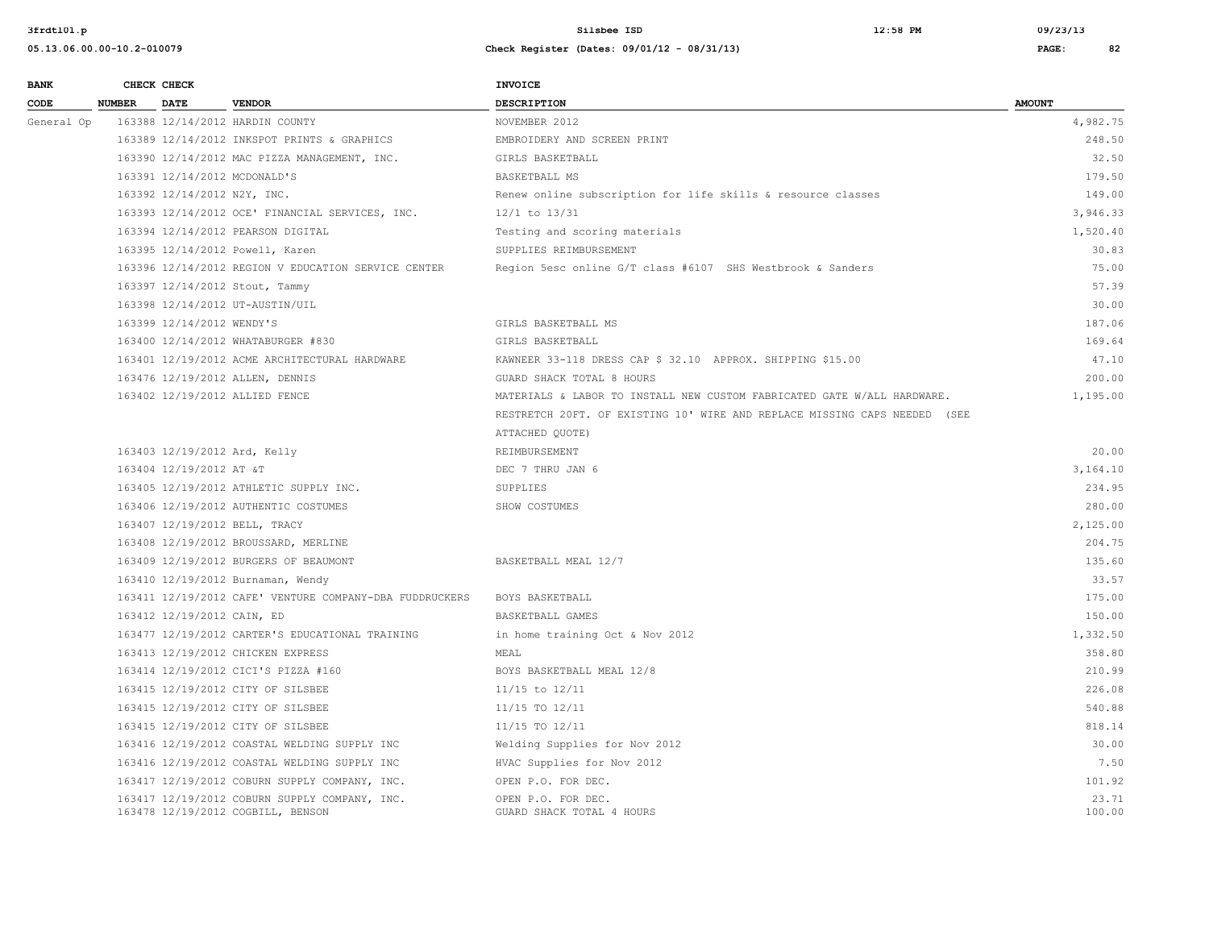| <b>BANK</b> |               | CHECK CHECK                 |                                                                                    | <b>INVOICE</b>                                                            |                 |
|-------------|---------------|-----------------------------|------------------------------------------------------------------------------------|---------------------------------------------------------------------------|-----------------|
| CODE        | <b>NUMBER</b> | <b>DATE</b>                 | <b>VENDOR</b>                                                                      | <b>DESCRIPTION</b>                                                        | <b>AMOUNT</b>   |
| General Op  |               |                             | 163388 12/14/2012 HARDIN COUNTY                                                    | NOVEMBER 2012                                                             | 4,982.75        |
|             |               |                             | 163389 12/14/2012 INKSPOT PRINTS & GRAPHICS                                        | EMBROIDERY AND SCREEN PRINT                                               | 248.50          |
|             |               |                             | 163390 12/14/2012 MAC PIZZA MANAGEMENT, INC.                                       | GIRLS BASKETBALL                                                          | 32.50           |
|             |               |                             | 163391 12/14/2012 MCDONALD'S                                                       | BASKETBALL MS                                                             | 179.50          |
|             |               | 163392 12/14/2012 N2Y, INC. |                                                                                    | Renew online subscription for life skills & resource classes              | 149.00          |
|             |               |                             | 163393 12/14/2012 OCE' FINANCIAL SERVICES, INC.                                    | 12/1 to 13/31                                                             | 3,946.33        |
|             |               |                             | 163394 12/14/2012 PEARSON DIGITAL                                                  | Testing and scoring materials                                             | 1,520.40        |
|             |               |                             | 163395 12/14/2012 Powell, Karen                                                    | SUPPLIES REIMBURSEMENT                                                    | 30.83           |
|             |               |                             | 163396 12/14/2012 REGION V EDUCATION SERVICE CENTER                                | Region 5esc online G/T class #6107 SHS Westbrook & Sanders                | 75.00           |
|             |               |                             | 163397 12/14/2012 Stout, Tammy                                                     |                                                                           | 57.39           |
|             |               |                             | 163398 12/14/2012 UT-AUSTIN/UIL                                                    |                                                                           | 30.00           |
|             |               | 163399 12/14/2012 WENDY'S   |                                                                                    | GIRLS BASKETBALL MS                                                       | 187.06          |
|             |               |                             | 163400 12/14/2012 WHATABURGER #830                                                 | GIRLS BASKETBALL                                                          | 169.64          |
|             |               |                             | 163401 12/19/2012 ACME ARCHITECTURAL HARDWARE                                      | KAWNEER 33-118 DRESS CAP \$ 32.10 APPROX. SHIPPING \$15.00                | 47.10           |
|             |               |                             | 163476 12/19/2012 ALLEN, DENNIS                                                    | GUARD SHACK TOTAL 8 HOURS                                                 | 200.00          |
|             |               |                             | 163402 12/19/2012 ALLIED FENCE                                                     | MATERIALS & LABOR TO INSTALL NEW CUSTOM FABRICATED GATE W/ALL HARDWARE.   | 1,195.00        |
|             |               |                             |                                                                                    | RESTRETCH 20FT. OF EXISTING 10' WIRE AND REPLACE MISSING CAPS NEEDED (SEE |                 |
|             |               |                             |                                                                                    | ATTACHED QUOTE)                                                           |                 |
|             |               |                             | 163403 12/19/2012 Ard, Kelly                                                       | REIMBURSEMENT                                                             | 20.00           |
|             |               | 163404 12/19/2012 AT &T     |                                                                                    | DEC 7 THRU JAN 6                                                          | 3,164.10        |
|             |               |                             | 163405 12/19/2012 ATHLETIC SUPPLY INC.                                             | SUPPLIES                                                                  | 234.95          |
|             |               |                             | 163406 12/19/2012 AUTHENTIC COSTUMES                                               | SHOW COSTUMES                                                             | 280.00          |
|             |               |                             | 163407 12/19/2012 BELL, TRACY                                                      |                                                                           | 2,125.00        |
|             |               |                             | 163408 12/19/2012 BROUSSARD, MERLINE                                               |                                                                           | 204.75          |
|             |               |                             | 163409 12/19/2012 BURGERS OF BEAUMONT                                              | BASKETBALL MEAL 12/7                                                      | 135.60          |
|             |               |                             | 163410 12/19/2012 Burnaman, Wendy                                                  |                                                                           | 33.57           |
|             |               |                             | 163411 12/19/2012 CAFE' VENTURE COMPANY-DBA FUDDRUCKERS                            | BOYS BASKETBALL                                                           | 175.00          |
|             |               | 163412 12/19/2012 CAIN, ED  |                                                                                    | BASKETBALL GAMES                                                          | 150.00          |
|             |               |                             | 163477 12/19/2012 CARTER'S EDUCATIONAL TRAINING                                    | in home training Oct & Nov 2012                                           | 1,332.50        |
|             |               |                             | 163413 12/19/2012 CHICKEN EXPRESS                                                  | MEAL                                                                      | 358.80          |
|             |               |                             | 163414 12/19/2012 CICI'S PIZZA #160                                                | BOYS BASKETBALL MEAL 12/8                                                 | 210.99          |
|             |               |                             | 163415 12/19/2012 CITY OF SILSBEE                                                  | 11/15 to 12/11                                                            | 226.08          |
|             |               |                             | 163415 12/19/2012 CITY OF SILSBEE                                                  | 11/15 TO 12/11                                                            | 540.88          |
|             |               |                             | 163415 12/19/2012 CITY OF SILSBEE                                                  | 11/15 TO 12/11                                                            | 818.14          |
|             |               |                             | 163416 12/19/2012 COASTAL WELDING SUPPLY INC                                       | Welding Supplies for Nov 2012                                             | 30.00           |
|             |               |                             | 163416 12/19/2012 COASTAL WELDING SUPPLY INC                                       | HVAC Supplies for Nov 2012                                                | 7.50            |
|             |               |                             | 163417 12/19/2012 COBURN SUPPLY COMPANY, INC.                                      | OPEN P.O. FOR DEC.                                                        | 101.92          |
|             |               |                             | 163417 12/19/2012 COBURN SUPPLY COMPANY, INC.<br>163478 12/19/2012 COGBILL, BENSON | OPEN P.O. FOR DEC.<br>GUARD SHACK TOTAL 4 HOURS                           | 23.71<br>100.00 |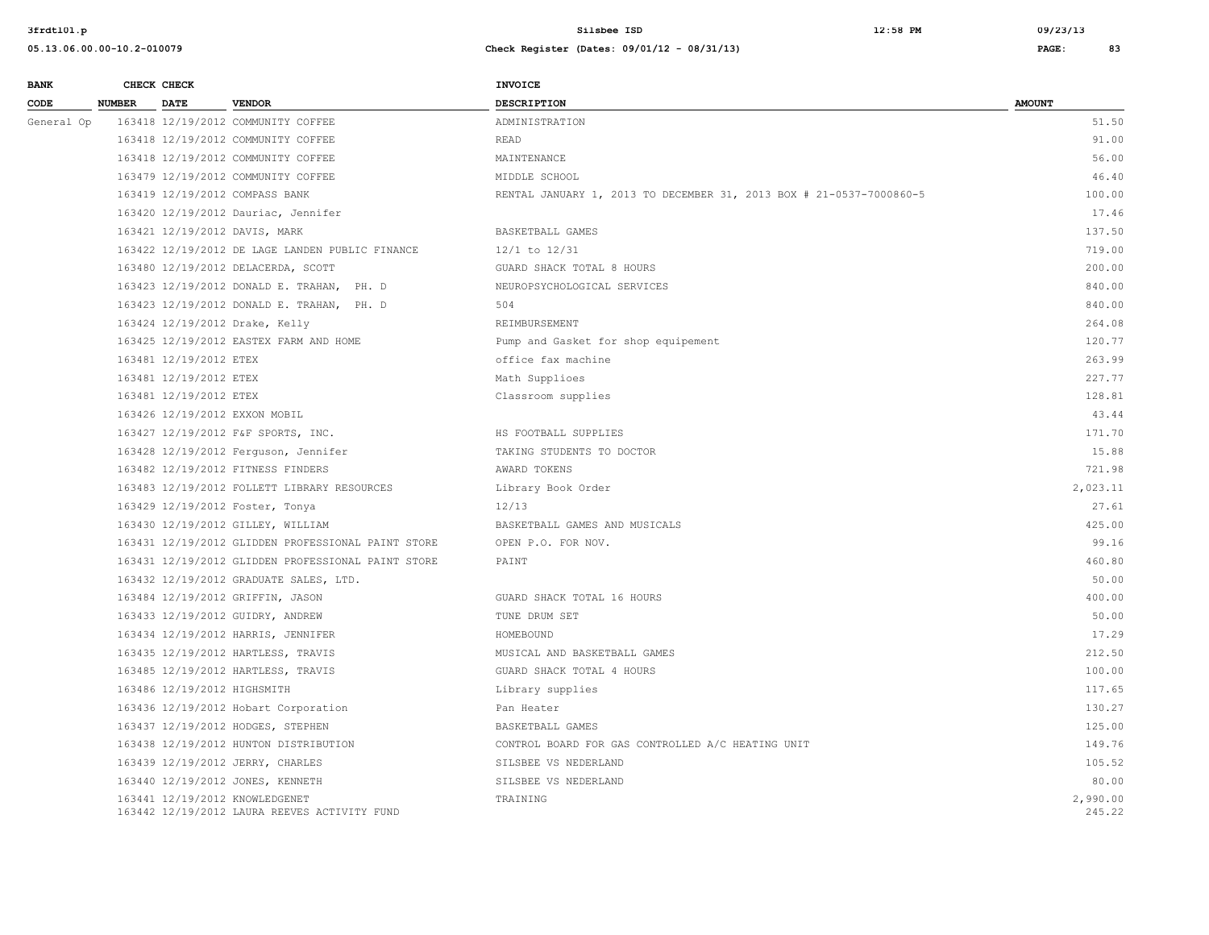| <b>BANK</b> | CHECK CHECK   |                             |                                                                                | INVOICE                                                             |                    |
|-------------|---------------|-----------------------------|--------------------------------------------------------------------------------|---------------------------------------------------------------------|--------------------|
| CODE        | <b>NUMBER</b> | <b>DATE</b>                 | <b>VENDOR</b>                                                                  | <b>DESCRIPTION</b>                                                  | <b>AMOUNT</b>      |
| General Op  |               |                             | 163418 12/19/2012 COMMUNITY COFFEE                                             | ADMINISTRATION                                                      | 51.50              |
|             |               |                             | 163418 12/19/2012 COMMUNITY COFFEE                                             | <b>READ</b>                                                         | 91.00              |
|             |               |                             | 163418 12/19/2012 COMMUNITY COFFEE                                             | MAINTENANCE                                                         | 56.00              |
|             |               |                             | 163479 12/19/2012 COMMUNITY COFFEE                                             | MIDDLE SCHOOL                                                       | 46.40              |
|             |               |                             | 163419 12/19/2012 COMPASS BANK                                                 | RENTAL JANUARY 1, 2013 TO DECEMBER 31, 2013 BOX # 21-0537-7000860-5 | 100.00             |
|             |               |                             | 163420 12/19/2012 Dauriac, Jennifer                                            |                                                                     | 17.46              |
|             |               |                             | 163421 12/19/2012 DAVIS, MARK                                                  | BASKETBALL GAMES                                                    | 137.50             |
|             |               |                             | 163422 12/19/2012 DE LAGE LANDEN PUBLIC FINANCE                                | 12/1 to 12/31                                                       | 719.00             |
|             |               |                             | 163480 12/19/2012 DELACERDA, SCOTT                                             | GUARD SHACK TOTAL 8 HOURS                                           | 200.00             |
|             |               |                             | 163423 12/19/2012 DONALD E. TRAHAN, PH. D                                      | NEUROPSYCHOLOGICAL SERVICES                                         | 840.00             |
|             |               |                             | 163423 12/19/2012 DONALD E. TRAHAN, PH. D                                      | 504                                                                 | 840.00             |
|             |               |                             | 163424 12/19/2012 Drake, Kelly                                                 | REIMBURSEMENT                                                       | 264.08             |
|             |               |                             | 163425 12/19/2012 EASTEX FARM AND HOME                                         | Pump and Gasket for shop equipement                                 | 120.77             |
|             |               | 163481 12/19/2012 ETEX      |                                                                                | office fax machine                                                  | 263.99             |
|             |               | 163481 12/19/2012 ETEX      |                                                                                | Math Supplices                                                      | 227.77             |
|             |               | 163481 12/19/2012 ETEX      |                                                                                | Classroom supplies                                                  | 128.81             |
|             |               |                             | 163426 12/19/2012 EXXON MOBIL                                                  |                                                                     | 43.44              |
|             |               |                             | 163427 12/19/2012 F&F SPORTS, INC.                                             | HS FOOTBALL SUPPLIES                                                | 171.70             |
|             |               |                             | 163428 12/19/2012 Ferguson, Jennifer                                           | TAKING STUDENTS TO DOCTOR                                           | 15.88              |
|             |               |                             | 163482 12/19/2012 FITNESS FINDERS                                              | AWARD TOKENS                                                        | 721.98             |
|             |               |                             | 163483 12/19/2012 FOLLETT LIBRARY RESOURCES                                    | Library Book Order                                                  | 2,023.11           |
|             |               |                             | 163429 12/19/2012 Foster, Tonya                                                | 12/13                                                               | 27.61              |
|             |               |                             | 163430 12/19/2012 GILLEY, WILLIAM                                              | BASKETBALL GAMES AND MUSICALS                                       | 425.00             |
|             |               |                             | 163431 12/19/2012 GLIDDEN PROFESSIONAL PAINT STORE                             | OPEN P.O. FOR NOV.                                                  | 99.16              |
|             |               |                             | 163431 12/19/2012 GLIDDEN PROFESSIONAL PAINT STORE                             | PAINT                                                               | 460.80             |
|             |               |                             | 163432 12/19/2012 GRADUATE SALES, LTD.                                         |                                                                     | 50.00              |
|             |               |                             | 163484 12/19/2012 GRIFFIN, JASON                                               | GUARD SHACK TOTAL 16 HOURS                                          | 400.00             |
|             |               |                             | 163433 12/19/2012 GUIDRY, ANDREW                                               | TUNE DRUM SET                                                       | 50.00              |
|             |               |                             | 163434 12/19/2012 HARRIS, JENNIFER                                             | HOMEBOUND                                                           | 17.29              |
|             |               |                             | 163435 12/19/2012 HARTLESS, TRAVIS                                             | MUSICAL AND BASKETBALL GAMES                                        | 212.50             |
|             |               |                             | 163485 12/19/2012 HARTLESS, TRAVIS                                             | GUARD SHACK TOTAL 4 HOURS                                           | 100.00             |
|             |               | 163486 12/19/2012 HIGHSMITH |                                                                                | Library supplies                                                    | 117.65             |
|             |               |                             | 163436 12/19/2012 Hobart Corporation                                           | Pan Heater                                                          | 130.27             |
|             |               |                             | 163437 12/19/2012 HODGES, STEPHEN                                              | BASKETBALL GAMES                                                    | 125.00             |
|             |               |                             | 163438 12/19/2012 HUNTON DISTRIBUTION                                          | CONTROL BOARD FOR GAS CONTROLLED A/C HEATING UNIT                   | 149.76             |
|             |               |                             | 163439 12/19/2012 JERRY, CHARLES                                               | SILSBEE VS NEDERLAND                                                | 105.52             |
|             |               |                             | 163440 12/19/2012 JONES, KENNETH                                               | SILSBEE VS NEDERLAND                                                | 80.00              |
|             |               |                             | 163441 12/19/2012 KNOWLEDGENET<br>163442 12/19/2012 LAURA REEVES ACTIVITY FUND | TRAINING                                                            | 2,990.00<br>245.22 |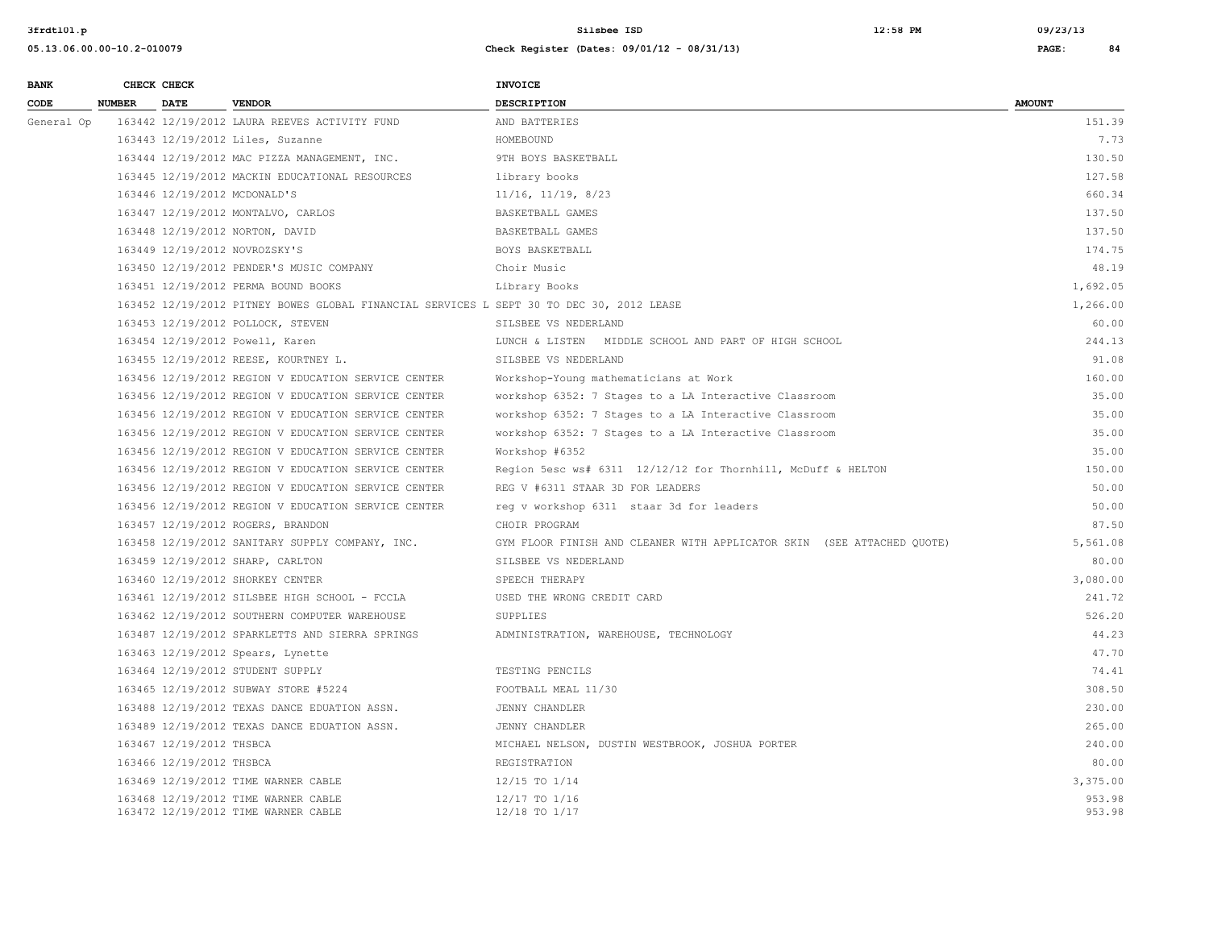| <b>BANK</b> |               | CHECK CHECK                  |                                                                                          | <b>INVOICE</b>                                                         |                  |
|-------------|---------------|------------------------------|------------------------------------------------------------------------------------------|------------------------------------------------------------------------|------------------|
| CODE        | <b>NUMBER</b> | <b>DATE</b>                  | <b>VENDOR</b>                                                                            | <b>DESCRIPTION</b>                                                     | <b>AMOUNT</b>    |
| General Op  |               |                              | 163442 12/19/2012 LAURA REEVES ACTIVITY FUND                                             | AND BATTERIES                                                          | 151.39           |
|             |               |                              | 163443 12/19/2012 Liles, Suzanne                                                         | HOMEBOUND                                                              | 7.73             |
|             |               |                              | 163444 12/19/2012 MAC PIZZA MANAGEMENT, INC.                                             | 9TH BOYS BASKETBALL                                                    | 130.50           |
|             |               |                              | 163445 12/19/2012 MACKIN EDUCATIONAL RESOURCES                                           | library books                                                          | 127.58           |
|             |               | 163446 12/19/2012 MCDONALD'S |                                                                                          | $11/16$ , $11/19$ , $8/23$                                             | 660.34           |
|             |               |                              | 163447 12/19/2012 MONTALVO, CARLOS                                                       | BASKETBALL GAMES                                                       | 137.50           |
|             |               |                              | 163448 12/19/2012 NORTON, DAVID                                                          | BASKETBALL GAMES                                                       | 137.50           |
|             |               |                              | 163449 12/19/2012 NOVROZSKY'S                                                            | BOYS BASKETBALL                                                        | 174.75           |
|             |               |                              | 163450 12/19/2012 PENDER'S MUSIC COMPANY                                                 | Choir Music                                                            | 48.19            |
|             |               |                              | 163451 12/19/2012 PERMA BOUND BOOKS                                                      | Library Books                                                          | 1,692.05         |
|             |               |                              | 163452 12/19/2012 PITNEY BOWES GLOBAL FINANCIAL SERVICES L SEPT 30 TO DEC 30, 2012 LEASE |                                                                        | 1,266.00         |
|             |               |                              | 163453 12/19/2012 POLLOCK, STEVEN                                                        | SILSBEE VS NEDERLAND                                                   | 60.00            |
|             |               |                              | 163454 12/19/2012 Powell, Karen                                                          | LUNCH & LISTEN MIDDLE SCHOOL AND PART OF HIGH SCHOOL                   | 244.13           |
|             |               |                              | 163455 12/19/2012 REESE, KOURTNEY L.                                                     | SILSBEE VS NEDERLAND                                                   | 91.08            |
|             |               |                              | 163456 12/19/2012 REGION V EDUCATION SERVICE CENTER                                      | Workshop-Young mathematicians at Work                                  | 160.00           |
|             |               |                              | 163456 12/19/2012 REGION V EDUCATION SERVICE CENTER                                      | workshop 6352: 7 Stages to a LA Interactive Classroom                  | 35.00            |
|             |               |                              | 163456 12/19/2012 REGION V EDUCATION SERVICE CENTER                                      | workshop 6352: 7 Stages to a LA Interactive Classroom                  | 35.00            |
|             |               |                              | 163456 12/19/2012 REGION V EDUCATION SERVICE CENTER                                      | workshop 6352: 7 Stages to a LA Interactive Classroom                  | 35.00            |
|             |               |                              | 163456 12/19/2012 REGION V EDUCATION SERVICE CENTER                                      | Workshop #6352                                                         | 35.00            |
|             |               |                              | 163456 12/19/2012 REGION V EDUCATION SERVICE CENTER                                      | Region 5esc ws# 6311 12/12/12 for Thornhill, McDuff & HELTON           | 150.00           |
|             |               |                              | 163456 12/19/2012 REGION V EDUCATION SERVICE CENTER                                      | REG V #6311 STAAR 3D FOR LEADERS                                       | 50.00            |
|             |               |                              | 163456 12/19/2012 REGION V EDUCATION SERVICE CENTER                                      | req v workshop 6311 staar 3d for leaders                               | 50.00            |
|             |               |                              | 163457 12/19/2012 ROGERS, BRANDON                                                        | CHOIR PROGRAM                                                          | 87.50            |
|             |               |                              | 163458 12/19/2012 SANITARY SUPPLY COMPANY, INC.                                          | GYM FLOOR FINISH AND CLEANER WITH APPLICATOR SKIN (SEE ATTACHED OUOTE) | 5,561.08         |
|             |               |                              | 163459 12/19/2012 SHARP, CARLTON                                                         | SILSBEE VS NEDERLAND                                                   | 80.00            |
|             |               |                              | 163460 12/19/2012 SHORKEY CENTER                                                         | SPEECH THERAPY                                                         | 3,080.00         |
|             |               |                              | 163461 12/19/2012 SILSBEE HIGH SCHOOL - FCCLA                                            | USED THE WRONG CREDIT CARD                                             | 241.72           |
|             |               |                              | 163462 12/19/2012 SOUTHERN COMPUTER WAREHOUSE                                            | SUPPLIES                                                               | 526.20           |
|             |               |                              | 163487 12/19/2012 SPARKLETTS AND SIERRA SPRINGS                                          | ADMINISTRATION, WAREHOUSE, TECHNOLOGY                                  | 44.23            |
|             |               |                              | 163463 12/19/2012 Spears, Lynette                                                        |                                                                        | 47.70            |
|             |               |                              | 163464 12/19/2012 STUDENT SUPPLY                                                         | TESTING PENCILS                                                        | 74.41            |
|             |               |                              | 163465 12/19/2012 SUBWAY STORE #5224                                                     | FOOTBALL MEAL 11/30                                                    | 308.50           |
|             |               |                              | 163488 12/19/2012 TEXAS DANCE EDUATION ASSN.                                             | JENNY CHANDLER                                                         | 230.00           |
|             |               |                              | 163489 12/19/2012 TEXAS DANCE EDUATION ASSN.                                             | JENNY CHANDLER                                                         | 265.00           |
|             |               | 163467 12/19/2012 THSBCA     |                                                                                          | MICHAEL NELSON, DUSTIN WESTBROOK, JOSHUA PORTER                        | 240.00           |
|             |               | 163466 12/19/2012 THSBCA     |                                                                                          | REGISTRATION                                                           | 80.00            |
|             |               |                              | 163469 12/19/2012 TIME WARNER CABLE                                                      | 12/15 TO 1/14                                                          | 3,375.00         |
|             |               |                              | 163468 12/19/2012 TIME WARNER CABLE<br>163472 12/19/2012 TIME WARNER CABLE               | 12/17 TO 1/16<br>12/18 TO 1/17                                         | 953.98<br>953.98 |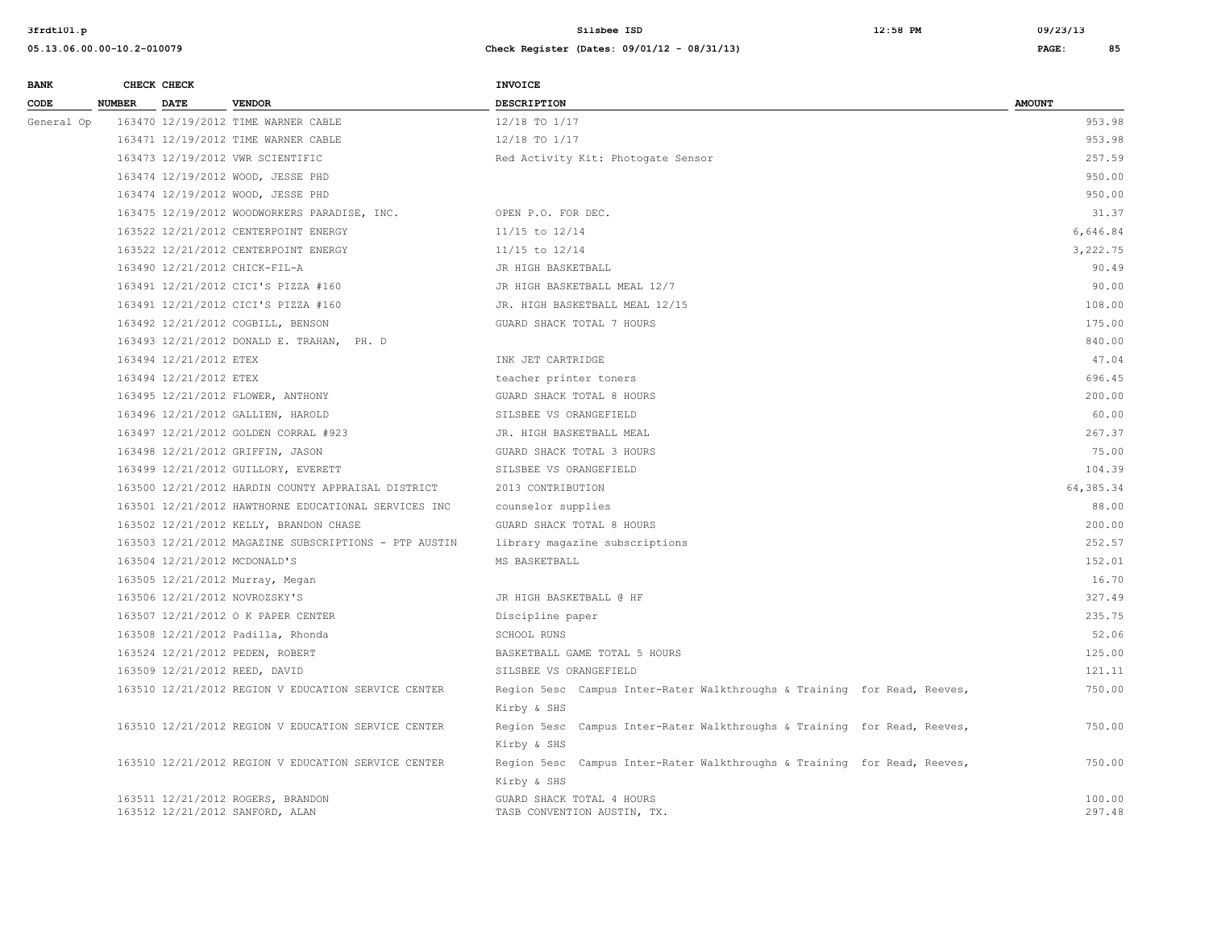| <b>BANK</b> |               | CHECK CHECK |                                              | <b>INVOICE</b>                     |               |
|-------------|---------------|-------------|----------------------------------------------|------------------------------------|---------------|
| CODE        | <b>NUMBER</b> | <b>DATE</b> | <b>VENDOR</b>                                | <b>DESCRIPTION</b>                 | <b>AMOUNT</b> |
| General Op  |               |             | 163470 12/19/2012 TIME WARNER CABLE          | 12/18 TO 1/17                      |               |
|             |               |             | 163471 12/19/2012 TIME WARNER CABLE          | 12/18 TO 1/17                      |               |
|             |               |             | 163473 12/19/2012 VWR SCIENTIFIC             | Red Activity Kit: Photogate Sensor |               |
|             |               |             | 163474 12/19/2012 WOOD, JESSE PHD            |                                    |               |
|             |               |             | 163474 12/19/2012 WOOD, JESSE PHD            |                                    |               |
|             |               |             | 163475 12/19/2012 WOODWORKERS PARADISE, INC. | OPEN P.O. FOR DEC.                 |               |
|             |               |             | 163522 12/21/2012 CENTERPOINT ENERGY         | $11/15$ to $12/14$                 |               |
|             |               |             | 163522 12/21/2012 CENTERPOINT ENERGY         | 11/15 to 12/14                     |               |
|             |               |             | 163490 12/21/2012 CHICK-FIL-A                | JR HIGH BASKETBALL                 |               |

| General Op | 163470 12/19/2012 TIME WARNER CABLE                                  | 12/18 TO 1/17                                                            | 953.98           |
|------------|----------------------------------------------------------------------|--------------------------------------------------------------------------|------------------|
|            | 163471 12/19/2012 TIME WARNER CABLE                                  | 12/18 TO 1/17                                                            | 953.98           |
|            | 163473 12/19/2012 VWR SCIENTIFIC                                     | Red Activity Kit: Photogate Sensor                                       | 257.59           |
|            | 163474 12/19/2012 WOOD, JESSE PHD                                    |                                                                          | 950.00           |
|            | 163474 12/19/2012 WOOD, JESSE PHD                                    |                                                                          | 950.00           |
|            | 163475 12/19/2012 WOODWORKERS PARADISE, INC.                         | OPEN P.O. FOR DEC.                                                       | 31.37            |
|            | 163522 12/21/2012 CENTERPOINT ENERGY                                 | 11/15 to 12/14                                                           | 6,646.84         |
|            | 163522 12/21/2012 CENTERPOINT ENERGY                                 | $11/15$ to $12/14$                                                       | 3,222.75         |
|            | 163490 12/21/2012 CHICK-FIL-A                                        | JR HIGH BASKETBALL                                                       | 90.49            |
|            | 163491 12/21/2012 CICI'S PIZZA #160                                  | JR HIGH BASKETBALL MEAL 12/7                                             | 90.00            |
|            | 163491 12/21/2012 CICI'S PIZZA #160                                  | JR. HIGH BASKETBALL MEAL 12/15                                           | 108.00           |
|            | 163492 12/21/2012 COGBILL, BENSON                                    | GUARD SHACK TOTAL 7 HOURS                                                | 175.00           |
|            | 163493 12/21/2012 DONALD E. TRAHAN, PH. D                            |                                                                          | 840.00           |
|            | 163494 12/21/2012 ETEX                                               | INK JET CARTRIDGE                                                        | 47.04            |
|            | 163494 12/21/2012 ETEX                                               | teacher printer toners                                                   | 696.45           |
|            | 163495 12/21/2012 FLOWER, ANTHONY                                    | GUARD SHACK TOTAL 8 HOURS                                                | 200.00           |
|            | 163496 12/21/2012 GALLIEN, HAROLD                                    | SILSBEE VS ORANGEFIELD                                                   | 60.00            |
|            | 163497 12/21/2012 GOLDEN CORRAL #923                                 | JR. HIGH BASKETBALL MEAL                                                 | 267.37           |
|            | 163498 12/21/2012 GRIFFIN, JASON                                     | GUARD SHACK TOTAL 3 HOURS                                                | 75.00            |
|            | 163499 12/21/2012 GUILLORY, EVERETT                                  | SILSBEE VS ORANGEFIELD                                                   | 104.39           |
|            | 163500 12/21/2012 HARDIN COUNTY APPRAISAL DISTRICT                   | 2013 CONTRIBUTION                                                        | 64,385.34        |
|            | 163501 12/21/2012 HAWTHORNE EDUCATIONAL SERVICES INC                 | counselor supplies                                                       | 88.00            |
|            | 163502 12/21/2012 KELLY, BRANDON CHASE                               | GUARD SHACK TOTAL 8 HOURS                                                | 200.00           |
|            | 163503 12/21/2012 MAGAZINE SUBSCRIPTIONS - PTP AUSTIN                | library magazine subscriptions                                           | 252.57           |
|            | 163504 12/21/2012 MCDONALD'S                                         | MS BASKETBALL                                                            | 152.01           |
|            | 163505 12/21/2012 Murray, Megan                                      |                                                                          | 16.70            |
|            | 163506 12/21/2012 NOVROZSKY'S                                        | JR HIGH BASKETBALL @ HF                                                  | 327.49           |
|            | 163507 12/21/2012 O K PAPER CENTER                                   | Discipline paper                                                         | 235.75           |
|            | 163508 12/21/2012 Padilla, Rhonda                                    | SCHOOL RUNS                                                              | 52.06            |
|            | 163524 12/21/2012 PEDEN, ROBERT                                      | BASKETBALL GAME TOTAL 5 HOURS                                            | 125.00           |
|            | 163509 12/21/2012 REED, DAVID                                        | SILSBEE VS ORANGEFIELD                                                   | 121.11           |
|            | 163510 12/21/2012 REGION V EDUCATION SERVICE CENTER                  | Region 5esc Campus Inter-Rater Walkthroughs & Training for Read, Reeves, | 750.00           |
|            |                                                                      | Kirby & SHS                                                              |                  |
|            | 163510 12/21/2012 REGION V EDUCATION SERVICE CENTER                  | Region 5esc Campus Inter-Rater Walkthroughs & Training for Read, Reeves, | 750.00           |
|            |                                                                      | Kirby & SHS                                                              |                  |
|            | 163510 12/21/2012 REGION V EDUCATION SERVICE CENTER                  | Region 5esc Campus Inter-Rater Walkthroughs & Training for Read, Reeves, | 750.00           |
|            |                                                                      | Kirby & SHS                                                              |                  |
|            | 163511 12/21/2012 ROGERS, BRANDON<br>163512 12/21/2012 SANFORD, ALAN | GUARD SHACK TOTAL 4 HOURS<br>TASB CONVENTION AUSTIN, TX.                 | 100.00<br>297.48 |
|            |                                                                      |                                                                          |                  |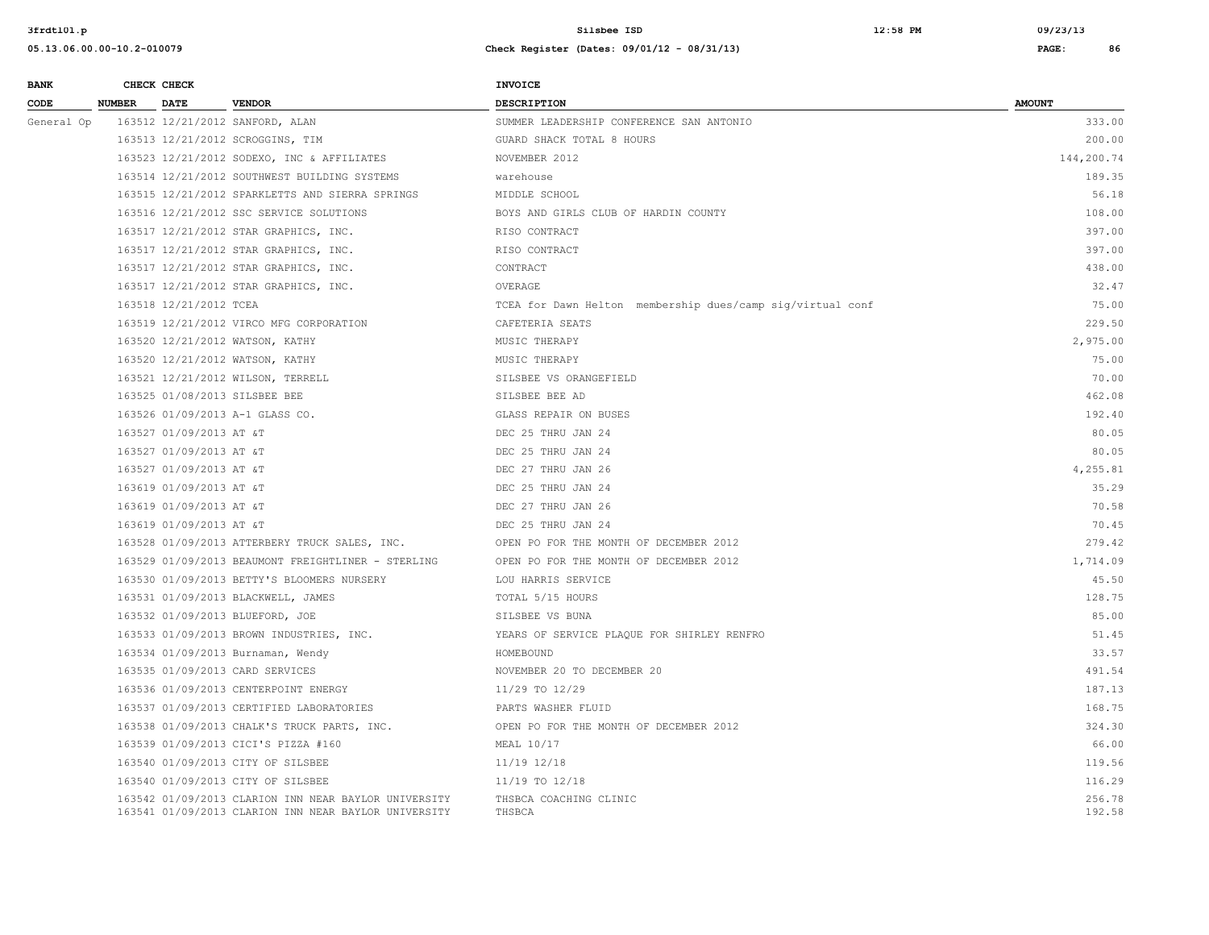| <b>BANK</b> |               | CHECK CHECK             |                                                                                                              | <b>INVOICE</b>                                             |                  |
|-------------|---------------|-------------------------|--------------------------------------------------------------------------------------------------------------|------------------------------------------------------------|------------------|
| CODE        | <b>NUMBER</b> | <b>DATE</b>             | <b>VENDOR</b>                                                                                                | <b>DESCRIPTION</b>                                         | <b>AMOUNT</b>    |
| General Op  |               |                         | 163512 12/21/2012 SANFORD, ALAN                                                                              | SUMMER LEADERSHIP CONFERENCE SAN ANTONIO                   | 333.00           |
|             |               |                         | 163513 12/21/2012 SCROGGINS, TIM                                                                             | GUARD SHACK TOTAL 8 HOURS                                  | 200.00           |
|             |               |                         | 163523 12/21/2012 SODEXO, INC & AFFILIATES                                                                   | NOVEMBER 2012                                              | 144,200.74       |
|             |               |                         | 163514 12/21/2012 SOUTHWEST BUILDING SYSTEMS                                                                 | warehouse                                                  | 189.35           |
|             |               |                         | 163515 12/21/2012 SPARKLETTS AND SIERRA SPRINGS                                                              | MIDDLE SCHOOL                                              | 56.18            |
|             |               |                         | 163516 12/21/2012 SSC SERVICE SOLUTIONS                                                                      | BOYS AND GIRLS CLUB OF HARDIN COUNTY                       | 108.00           |
|             |               |                         | 163517 12/21/2012 STAR GRAPHICS, INC.                                                                        | RISO CONTRACT                                              | 397.00           |
|             |               |                         | 163517 12/21/2012 STAR GRAPHICS, INC.                                                                        | RISO CONTRACT                                              | 397.00           |
|             |               |                         | 163517 12/21/2012 STAR GRAPHICS, INC.                                                                        | CONTRACT                                                   | 438.00           |
|             |               |                         | 163517 12/21/2012 STAR GRAPHICS, INC.                                                                        | OVERAGE                                                    | 32.47            |
|             |               | 163518 12/21/2012 TCEA  |                                                                                                              | TCEA for Dawn Helton membership dues/camp sig/virtual conf | 75.00            |
|             |               |                         | 163519 12/21/2012 VIRCO MFG CORPORATION                                                                      | CAFETERIA SEATS                                            | 229.50           |
|             |               |                         | 163520 12/21/2012 WATSON, KATHY                                                                              | MUSIC THERAPY                                              | 2,975.00         |
|             |               |                         | 163520 12/21/2012 WATSON, KATHY                                                                              | MUSIC THERAPY                                              | 75.00            |
|             |               |                         | 163521 12/21/2012 WILSON, TERRELL                                                                            | SILSBEE VS ORANGEFIELD                                     | 70.00            |
|             |               |                         | 163525 01/08/2013 SILSBEE BEE                                                                                | SILSBEE BEE AD                                             | 462.08           |
|             |               |                         | 163526 01/09/2013 A-1 GLASS CO.                                                                              | GLASS REPAIR ON BUSES                                      | 192.40           |
|             |               | 163527 01/09/2013 AT &T |                                                                                                              | DEC 25 THRU JAN 24                                         | 80.05            |
|             |               | 163527 01/09/2013 AT &T |                                                                                                              | DEC 25 THRU JAN 24                                         | 80.05            |
|             |               | 163527 01/09/2013 AT &T |                                                                                                              | DEC 27 THRU JAN 26                                         | 4,255.81         |
|             |               | 163619 01/09/2013 AT &T |                                                                                                              | DEC 25 THRU JAN 24                                         | 35.29            |
|             |               | 163619 01/09/2013 AT &T |                                                                                                              | DEC 27 THRU JAN 26                                         | 70.58            |
|             |               | 163619 01/09/2013 AT &T |                                                                                                              | DEC 25 THRU JAN 24                                         | 70.45            |
|             |               |                         | 163528 01/09/2013 ATTERBERY TRUCK SALES, INC.                                                                | OPEN PO FOR THE MONTH OF DECEMBER 2012                     | 279.42           |
|             |               |                         | 163529 01/09/2013 BEAUMONT FREIGHTLINER - STERLING                                                           | OPEN PO FOR THE MONTH OF DECEMBER 2012                     | 1,714.09         |
|             |               |                         | 163530 01/09/2013 BETTY'S BLOOMERS NURSERY                                                                   | LOU HARRIS SERVICE                                         | 45.50            |
|             |               |                         | 163531 01/09/2013 BLACKWELL, JAMES                                                                           | TOTAL 5/15 HOURS                                           | 128.75           |
|             |               |                         | 163532 01/09/2013 BLUEFORD, JOE                                                                              | SILSBEE VS BUNA                                            | 85.00            |
|             |               |                         | 163533 01/09/2013 BROWN INDUSTRIES, INC.                                                                     | YEARS OF SERVICE PLAQUE FOR SHIRLEY RENFRO                 | 51.45            |
|             |               |                         | 163534 01/09/2013 Burnaman, Wendy                                                                            | HOMEBOUND                                                  | 33.57            |
|             |               |                         | 163535 01/09/2013 CARD SERVICES                                                                              | NOVEMBER 20 TO DECEMBER 20                                 | 491.54           |
|             |               |                         | 163536 01/09/2013 CENTERPOINT ENERGY                                                                         | 11/29 TO 12/29                                             | 187.13           |
|             |               |                         | 163537 01/09/2013 CERTIFIED LABORATORIES                                                                     | PARTS WASHER FLUID                                         | 168.75           |
|             |               |                         | 163538 01/09/2013 CHALK'S TRUCK PARTS, INC.                                                                  | OPEN PO FOR THE MONTH OF DECEMBER 2012                     | 324.30           |
|             |               |                         | 163539 01/09/2013 CICI'S PIZZA #160                                                                          | MEAL 10/17                                                 | 66.00            |
|             |               |                         | 163540 01/09/2013 CITY OF SILSBEE                                                                            | 11/19 12/18                                                | 119.56           |
|             |               |                         | 163540 01/09/2013 CITY OF SILSBEE                                                                            | 11/19 TO 12/18                                             | 116.29           |
|             |               |                         | 163542 01/09/2013 CLARION INN NEAR BAYLOR UNIVERSITY<br>163541 01/09/2013 CLARION INN NEAR BAYLOR UNIVERSITY | THSBCA COACHING CLINIC<br>THSBCA                           | 256.78<br>192.58 |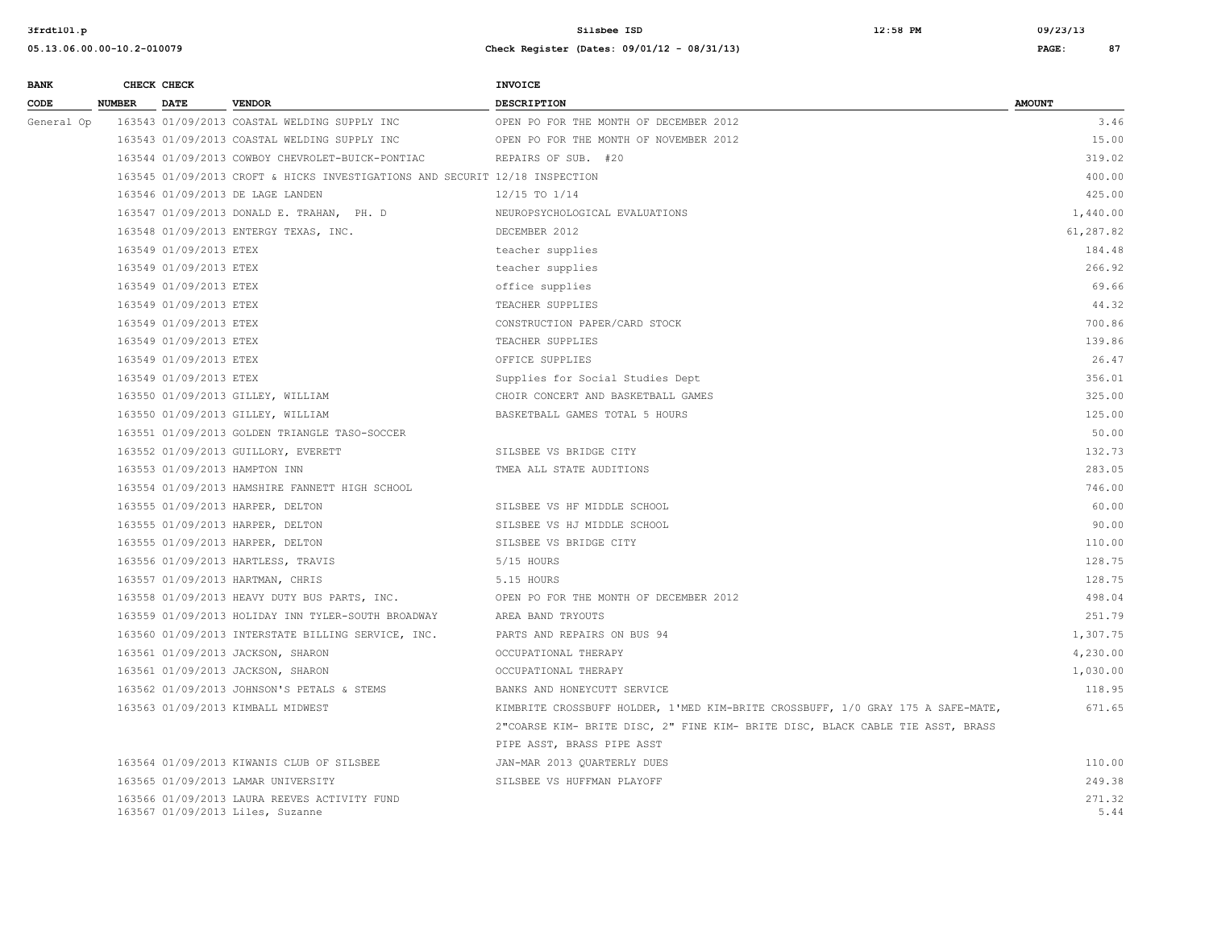| <b>BANK</b> |               | CHECK CHECK            |                                                                                  | <b>INVOICE</b>                                                                  |                |
|-------------|---------------|------------------------|----------------------------------------------------------------------------------|---------------------------------------------------------------------------------|----------------|
| CODE        | <b>NUMBER</b> | <b>DATE</b>            | <b>VENDOR</b>                                                                    | <b>DESCRIPTION</b>                                                              | <b>AMOUNT</b>  |
| General Op  |               |                        | 163543 01/09/2013 COASTAL WELDING SUPPLY INC                                     | OPEN PO FOR THE MONTH OF DECEMBER 2012                                          | 3.46           |
|             |               |                        | 163543 01/09/2013 COASTAL WELDING SUPPLY INC                                     | OPEN PO FOR THE MONTH OF NOVEMBER 2012                                          | 15.00          |
|             |               |                        | 163544 01/09/2013 COWBOY CHEVROLET-BUICK-PONTIAC                                 | REPAIRS OF SUB. #20                                                             | 319.02         |
|             |               |                        | 163545 01/09/2013 CROFT & HICKS INVESTIGATIONS AND SECURIT 12/18 INSPECTION      |                                                                                 | 400.00         |
|             |               |                        | 163546 01/09/2013 DE LAGE LANDEN                                                 | 12/15 TO 1/14                                                                   | 425.00         |
|             |               |                        | 163547 01/09/2013 DONALD E. TRAHAN, PH. D                                        | NEUROPSYCHOLOGICAL EVALUATIONS                                                  | 1,440.00       |
|             |               |                        | 163548 01/09/2013 ENTERGY TEXAS, INC.                                            | DECEMBER 2012                                                                   | 61,287.82      |
|             |               | 163549 01/09/2013 ETEX |                                                                                  | teacher supplies                                                                | 184.48         |
|             |               | 163549 01/09/2013 ETEX |                                                                                  | teacher supplies                                                                | 266.92         |
|             |               | 163549 01/09/2013 ETEX |                                                                                  | office supplies                                                                 | 69.66          |
|             |               | 163549 01/09/2013 ETEX |                                                                                  | TEACHER SUPPLIES                                                                | 44.32          |
|             |               | 163549 01/09/2013 ETEX |                                                                                  | CONSTRUCTION PAPER/CARD STOCK                                                   | 700.86         |
|             |               | 163549 01/09/2013 ETEX |                                                                                  | TEACHER SUPPLIES                                                                | 139.86         |
|             |               | 163549 01/09/2013 ETEX |                                                                                  | OFFICE SUPPLIES                                                                 | 26.47          |
|             |               | 163549 01/09/2013 ETEX |                                                                                  | Supplies for Social Studies Dept                                                | 356.01         |
|             |               |                        | 163550 01/09/2013 GILLEY, WILLIAM                                                | CHOIR CONCERT AND BASKETBALL GAMES                                              | 325.00         |
|             |               |                        | 163550 01/09/2013 GILLEY, WILLIAM                                                | BASKETBALL GAMES TOTAL 5 HOURS                                                  | 125.00         |
|             |               |                        | 163551 01/09/2013 GOLDEN TRIANGLE TASO-SOCCER                                    |                                                                                 | 50.00          |
|             |               |                        | 163552 01/09/2013 GUILLORY, EVERETT                                              | SILSBEE VS BRIDGE CITY                                                          | 132.73         |
|             |               |                        | 163553 01/09/2013 HAMPTON INN                                                    | TMEA ALL STATE AUDITIONS                                                        | 283.05         |
|             |               |                        | 163554 01/09/2013 HAMSHIRE FANNETT HIGH SCHOOL                                   |                                                                                 | 746.00         |
|             |               |                        | 163555 01/09/2013 HARPER, DELTON                                                 | SILSBEE VS HF MIDDLE SCHOOL                                                     | 60.00          |
|             |               |                        | 163555 01/09/2013 HARPER, DELTON                                                 | SILSBEE VS HJ MIDDLE SCHOOL                                                     | 90.00          |
|             |               |                        | 163555 01/09/2013 HARPER, DELTON                                                 | SILSBEE VS BRIDGE CITY                                                          | 110.00         |
|             |               |                        | 163556 01/09/2013 HARTLESS, TRAVIS                                               | 5/15 HOURS                                                                      | 128.75         |
|             |               |                        | 163557 01/09/2013 HARTMAN, CHRIS                                                 | 5.15 HOURS                                                                      | 128.75         |
|             |               |                        | 163558 01/09/2013 HEAVY DUTY BUS PARTS, INC.                                     | OPEN PO FOR THE MONTH OF DECEMBER 2012                                          | 498.04         |
|             |               |                        | 163559 01/09/2013 HOLIDAY INN TYLER-SOUTH BROADWAY                               | AREA BAND TRYOUTS                                                               | 251.79         |
|             |               |                        | 163560 01/09/2013 INTERSTATE BILLING SERVICE, INC.                               | PARTS AND REPAIRS ON BUS 94                                                     | 1,307.75       |
|             |               |                        | 163561 01/09/2013 JACKSON, SHARON                                                | OCCUPATIONAL THERAPY                                                            | 4,230.00       |
|             |               |                        | 163561 01/09/2013 JACKSON, SHARON                                                | OCCUPATIONAL THERAPY                                                            | 1,030.00       |
|             |               |                        | 163562 01/09/2013 JOHNSON'S PETALS & STEMS                                       | BANKS AND HONEYCUTT SERVICE                                                     | 118.95         |
|             |               |                        | 163563 01/09/2013 KIMBALL MIDWEST                                                | KIMBRITE CROSSBUFF HOLDER, 1'MED KIM-BRITE CROSSBUFF, 1/0 GRAY 175 A SAFE-MATE, | 671.65         |
|             |               |                        |                                                                                  | 2"COARSE KIM- BRITE DISC, 2" FINE KIM- BRITE DISC, BLACK CABLE TIE ASST, BRASS  |                |
|             |               |                        |                                                                                  | PIPE ASST, BRASS PIPE ASST                                                      |                |
|             |               |                        | 163564 01/09/2013 KIWANIS CLUB OF SILSBEE                                        | JAN-MAR 2013 QUARTERLY DUES                                                     | 110.00         |
|             |               |                        | 163565 01/09/2013 LAMAR UNIVERSITY                                               | SILSBEE VS HUFFMAN PLAYOFF                                                      | 249.38         |
|             |               |                        | 163566 01/09/2013 LAURA REEVES ACTIVITY FUND<br>163567 01/09/2013 Liles, Suzanne |                                                                                 | 271.32<br>5.44 |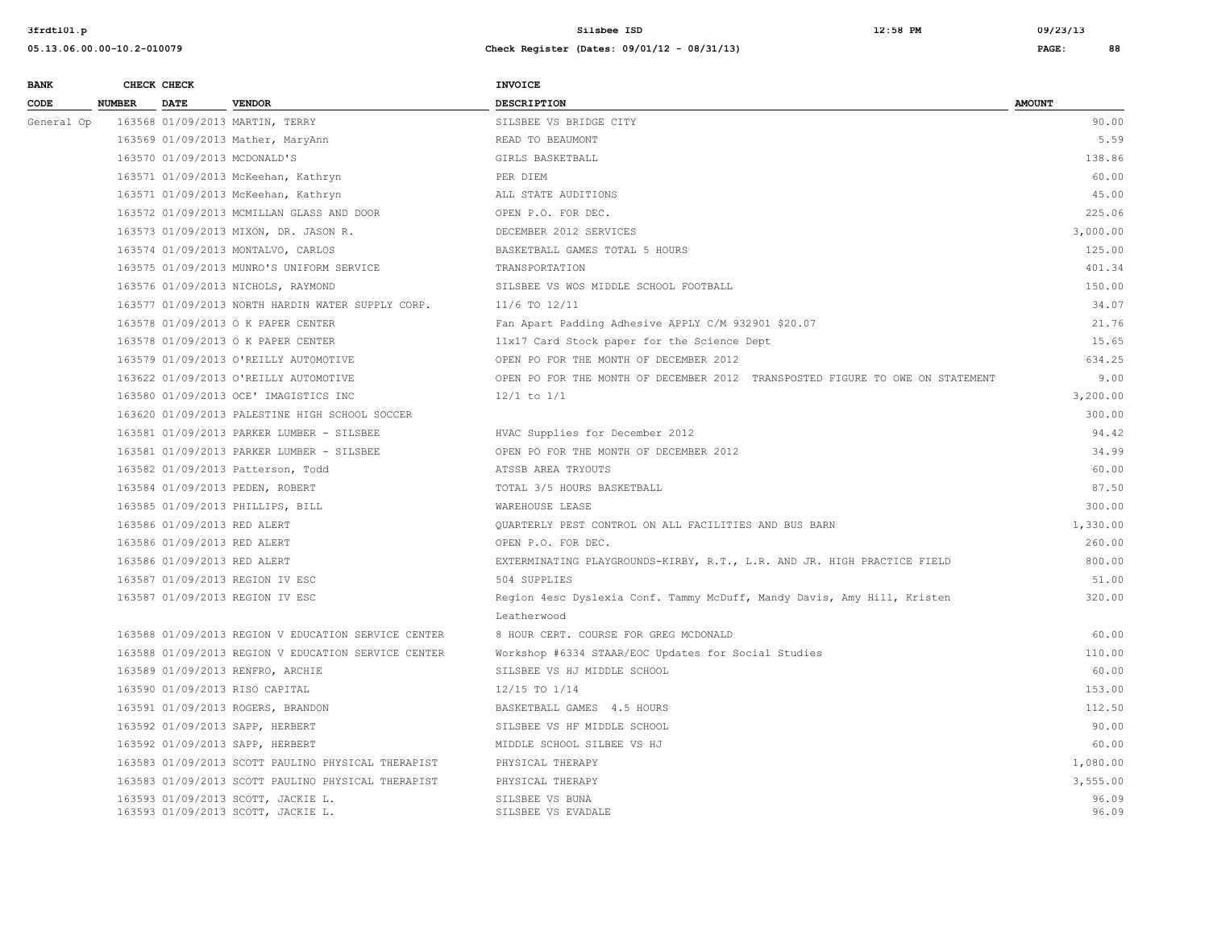| <b>BANK</b> |               | CHECK CHECK                 |                                                                          | <b>INVOICE</b>                                                                |                |
|-------------|---------------|-----------------------------|--------------------------------------------------------------------------|-------------------------------------------------------------------------------|----------------|
| CODE        | <b>NUMBER</b> | <b>DATE</b>                 | <b>VENDOR</b>                                                            | <b>DESCRIPTION</b>                                                            | <b>AMOUNT</b>  |
| General Op  |               |                             | 163568 01/09/2013 MARTIN, TERRY                                          | SILSBEE VS BRIDGE CITY                                                        | 90.00          |
|             |               |                             | 163569 01/09/2013 Mather, MaryAnn                                        | READ TO BEAUMONT                                                              | 5.59           |
|             |               |                             | 163570 01/09/2013 MCDONALD'S                                             | GIRLS BASKETBALL                                                              | 138.86         |
|             |               |                             | 163571 01/09/2013 McKeehan, Kathryn                                      | PER DIEM                                                                      | 60.00          |
|             |               |                             | 163571 01/09/2013 McKeehan, Kathryn                                      | ALL STATE AUDITIONS                                                           | 45.00          |
|             |               |                             | 163572 01/09/2013 MCMILLAN GLASS AND DOOR                                | OPEN P.O. FOR DEC.                                                            | 225.06         |
|             |               |                             | 163573 01/09/2013 MIXON, DR. JASON R.                                    | DECEMBER 2012 SERVICES                                                        | 3,000.00       |
|             |               |                             | 163574 01/09/2013 MONTALVO, CARLOS                                       | BASKETBALL GAMES TOTAL 5 HOURS                                                | 125.00         |
|             |               |                             | 163575 01/09/2013 MUNRO'S UNIFORM SERVICE                                | TRANSPORTATION                                                                | 401.34         |
|             |               |                             | 163576 01/09/2013 NICHOLS, RAYMOND                                       | SILSBEE VS WOS MIDDLE SCHOOL FOOTBALL                                         | 150.00         |
|             |               |                             | 163577 01/09/2013 NORTH HARDIN WATER SUPPLY CORP.                        | 11/6 TO 12/11                                                                 | 34.07          |
|             |               |                             | 163578 01/09/2013 O K PAPER CENTER                                       | Fan Apart Padding Adhesive APPLY C/M 932901 \$20.07                           | 21.76          |
|             |               |                             | 163578 01/09/2013 O K PAPER CENTER                                       | 11x17 Card Stock paper for the Science Dept                                   | 15.65          |
|             |               |                             | 163579 01/09/2013 O'REILLY AUTOMOTIVE                                    | OPEN PO FOR THE MONTH OF DECEMBER 2012                                        | 634.25         |
|             |               |                             | 163622 01/09/2013 O'REILLY AUTOMOTIVE                                    | OPEN PO FOR THE MONTH OF DECEMBER 2012 TRANSPOSTED FIGURE TO OWE ON STATEMENT | 9.00           |
|             |               |                             | 163580 01/09/2013 OCE' IMAGISTICS INC                                    | $12/1$ to $1/1$                                                               | 3,200.00       |
|             |               |                             | 163620 01/09/2013 PALESTINE HIGH SCHOOL SOCCER                           |                                                                               | 300.00         |
|             |               |                             | 163581 01/09/2013 PARKER LUMBER - SILSBEE                                | HVAC Supplies for December 2012                                               | 94.42          |
|             |               |                             | 163581 01/09/2013 PARKER LUMBER - SILSBEE                                | OPEN PO FOR THE MONTH OF DECEMBER 2012                                        | 34.99          |
|             |               |                             | 163582 01/09/2013 Patterson, Todd                                        | ATSSB AREA TRYOUTS                                                            | 60.00          |
|             |               |                             | 163584 01/09/2013 PEDEN, ROBERT                                          | TOTAL 3/5 HOURS BASKETBALL                                                    | 87.50          |
|             |               |                             | 163585 01/09/2013 PHILLIPS, BILL                                         | WAREHOUSE LEASE                                                               | 300.00         |
|             |               | 163586 01/09/2013 RED ALERT |                                                                          | QUARTERLY PEST CONTROL ON ALL FACILITIES AND BUS BARN                         | 1,330.00       |
|             |               | 163586 01/09/2013 RED ALERT |                                                                          | OPEN P.O. FOR DEC.                                                            | 260.00         |
|             |               | 163586 01/09/2013 RED ALERT |                                                                          | EXTERMINATING PLAYGROUNDS-KIRBY, R.T., L.R. AND JR. HIGH PRACTICE FIELD       | 800.00         |
|             |               |                             | 163587 01/09/2013 REGION IV ESC                                          | 504 SUPPLIES                                                                  | 51.00          |
|             |               |                             | 163587 01/09/2013 REGION IV ESC                                          | Region 4esc Dyslexia Conf. Tammy McDuff, Mandy Davis, Amy Hill, Kristen       | 320.00         |
|             |               |                             |                                                                          | Leatherwood                                                                   |                |
|             |               |                             | 163588 01/09/2013 REGION V EDUCATION SERVICE CENTER                      | 8 HOUR CERT. COURSE FOR GREG MCDONALD                                         | 60.00          |
|             |               |                             | 163588 01/09/2013 REGION V EDUCATION SERVICE CENTER                      | Workshop #6334 STAAR/EOC Updates for Social Studies                           | 110.00         |
|             |               |                             | 163589 01/09/2013 RENFRO, ARCHIE                                         | SILSBEE VS HJ MIDDLE SCHOOL                                                   | 60.00          |
|             |               |                             | 163590 01/09/2013 RISO CAPITAL                                           | 12/15 TO 1/14                                                                 | 153.00         |
|             |               |                             | 163591 01/09/2013 ROGERS, BRANDON                                        | BASKETBALL GAMES 4.5 HOURS                                                    | 112.50         |
|             |               |                             | 163592 01/09/2013 SAPP, HERBERT                                          | SILSBEE VS HF MIDDLE SCHOOL                                                   | 90.00          |
|             |               |                             | 163592 01/09/2013 SAPP, HERBERT                                          | MIDDLE SCHOOL SILBEE VS HJ                                                    | 60.00          |
|             |               |                             | 163583 01/09/2013 SCOTT PAULINO PHYSICAL THERAPIST                       | PHYSICAL THERAPY                                                              | 1,080.00       |
|             |               |                             | 163583 01/09/2013 SCOTT PAULINO PHYSICAL THERAPIST                       | PHYSICAL THERAPY                                                              | 3,555.00       |
|             |               |                             | 163593 01/09/2013 SCOTT, JACKIE L.<br>163593 01/09/2013 SCOTT, JACKIE L. | SILSBEE VS BUNA<br>SILSBEE VS EVADALE                                         | 96.09<br>96.09 |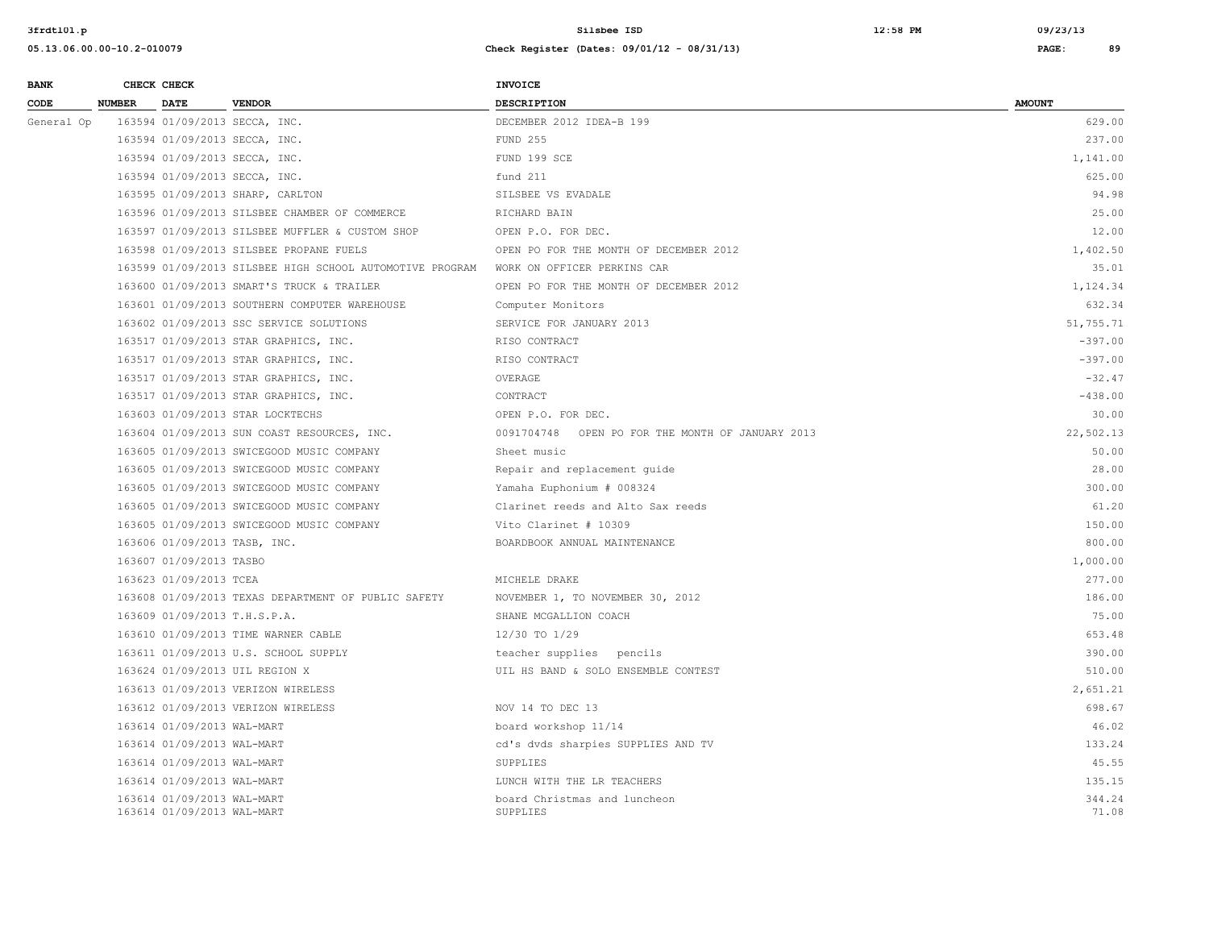| <b>BANK</b> |               | CHECK CHECK                                              |                                                          | <b>INVOICE</b>                                   |                 |
|-------------|---------------|----------------------------------------------------------|----------------------------------------------------------|--------------------------------------------------|-----------------|
| CODE        | <b>NUMBER</b> | <b>DATE</b>                                              | <b>VENDOR</b>                                            | <b>DESCRIPTION</b>                               | <b>AMOUNT</b>   |
| General Op  |               |                                                          | 163594 01/09/2013 SECCA, INC.                            | DECEMBER 2012 IDEA-B 199                         | 629.00          |
|             |               |                                                          | 163594 01/09/2013 SECCA, INC.                            | <b>FUND 255</b>                                  | 237.00          |
|             |               |                                                          | 163594 01/09/2013 SECCA, INC.                            | FUND 199 SCE                                     | 1,141.00        |
|             |               |                                                          | 163594 01/09/2013 SECCA, INC.                            | fund 211                                         | 625.00          |
|             |               |                                                          | 163595 01/09/2013 SHARP, CARLTON                         | SILSBEE VS EVADALE                               | 94.98           |
|             |               |                                                          | 163596 01/09/2013 SILSBEE CHAMBER OF COMMERCE            | RICHARD BAIN                                     | 25.00           |
|             |               |                                                          | 163597 01/09/2013 SILSBEE MUFFLER & CUSTOM SHOP          | OPEN P.O. FOR DEC.                               | 12.00           |
|             |               |                                                          | 163598 01/09/2013 SILSBEE PROPANE FUELS                  | OPEN PO FOR THE MONTH OF DECEMBER 2012           | 1,402.50        |
|             |               |                                                          | 163599 01/09/2013 SILSBEE HIGH SCHOOL AUTOMOTIVE PROGRAM | WORK ON OFFICER PERKINS CAR                      | 35.01           |
|             |               |                                                          | 163600 01/09/2013 SMART'S TRUCK & TRAILER                | OPEN PO FOR THE MONTH OF DECEMBER 2012           | 1,124.34        |
|             |               |                                                          | 163601 01/09/2013 SOUTHERN COMPUTER WAREHOUSE            | Computer Monitors                                | 632.34          |
|             |               |                                                          | 163602 01/09/2013 SSC SERVICE SOLUTIONS                  | SERVICE FOR JANUARY 2013                         | 51,755.71       |
|             |               |                                                          | 163517 01/09/2013 STAR GRAPHICS, INC.                    | RISO CONTRACT                                    | $-397.00$       |
|             |               |                                                          | 163517 01/09/2013 STAR GRAPHICS, INC.                    | RISO CONTRACT                                    | $-397.00$       |
|             |               |                                                          | 163517 01/09/2013 STAR GRAPHICS, INC.                    | OVERAGE                                          | $-32.47$        |
|             |               |                                                          | 163517 01/09/2013 STAR GRAPHICS, INC.                    | CONTRACT                                         | $-438.00$       |
|             |               |                                                          | 163603 01/09/2013 STAR LOCKTECHS                         | OPEN P.O. FOR DEC.                               | 30.00           |
|             |               |                                                          | 163604 01/09/2013 SUN COAST RESOURCES, INC.              | 0091704748 OPEN PO FOR THE MONTH OF JANUARY 2013 | 22,502.13       |
|             |               |                                                          | 163605 01/09/2013 SWICEGOOD MUSIC COMPANY                | Sheet music                                      | 50.00           |
|             |               |                                                          | 163605 01/09/2013 SWICEGOOD MUSIC COMPANY                | Repair and replacement guide                     | 28.00           |
|             |               |                                                          | 163605 01/09/2013 SWICEGOOD MUSIC COMPANY                | Yamaha Euphonium # 008324                        | 300.00          |
|             |               |                                                          | 163605 01/09/2013 SWICEGOOD MUSIC COMPANY                | Clarinet reeds and Alto Sax reeds                | 61.20           |
|             |               |                                                          | 163605 01/09/2013 SWICEGOOD MUSIC COMPANY                | Vito Clarinet # 10309                            | 150.00          |
|             |               | 163606 01/09/2013 TASB, INC.                             |                                                          | BOARDBOOK ANNUAL MAINTENANCE                     | 800.00          |
|             |               | 163607 01/09/2013 TASBO                                  |                                                          |                                                  | 1,000.00        |
|             |               | 163623 01/09/2013 TCEA                                   |                                                          | MICHELE DRAKE                                    | 277.00          |
|             |               |                                                          | 163608 01/09/2013 TEXAS DEPARTMENT OF PUBLIC SAFETY      | NOVEMBER 1, TO NOVEMBER 30, 2012                 | 186.00          |
|             |               | 163609 01/09/2013 T.H.S.P.A.                             |                                                          | SHANE MCGALLION COACH                            | 75.00           |
|             |               |                                                          | 163610 01/09/2013 TIME WARNER CABLE                      | 12/30 TO 1/29                                    | 653.48          |
|             |               |                                                          | 163611 01/09/2013 U.S. SCHOOL SUPPLY                     | teacher supplies pencils                         | 390.00          |
|             |               |                                                          | 163624 01/09/2013 UIL REGION X                           | UIL HS BAND & SOLO ENSEMBLE CONTEST              | 510.00          |
|             |               |                                                          | 163613 01/09/2013 VERIZON WIRELESS                       |                                                  | 2,651.21        |
|             |               |                                                          | 163612 01/09/2013 VERIZON WIRELESS                       | NOV 14 TO DEC 13                                 | 698.67          |
|             |               | 163614 01/09/2013 WAL-MART                               |                                                          | board workshop 11/14                             | 46.02           |
|             |               | 163614 01/09/2013 WAL-MART                               |                                                          | cd's dvds sharpies SUPPLIES AND TV               | 133.24          |
|             |               | 163614 01/09/2013 WAL-MART                               |                                                          | SUPPLIES                                         | 45.55           |
|             |               | 163614 01/09/2013 WAL-MART                               |                                                          | LUNCH WITH THE LR TEACHERS                       | 135.15          |
|             |               | 163614 01/09/2013 WAL-MART<br>163614 01/09/2013 WAL-MART |                                                          | board Christmas and luncheon<br>SUPPLIES         | 344.24<br>71.08 |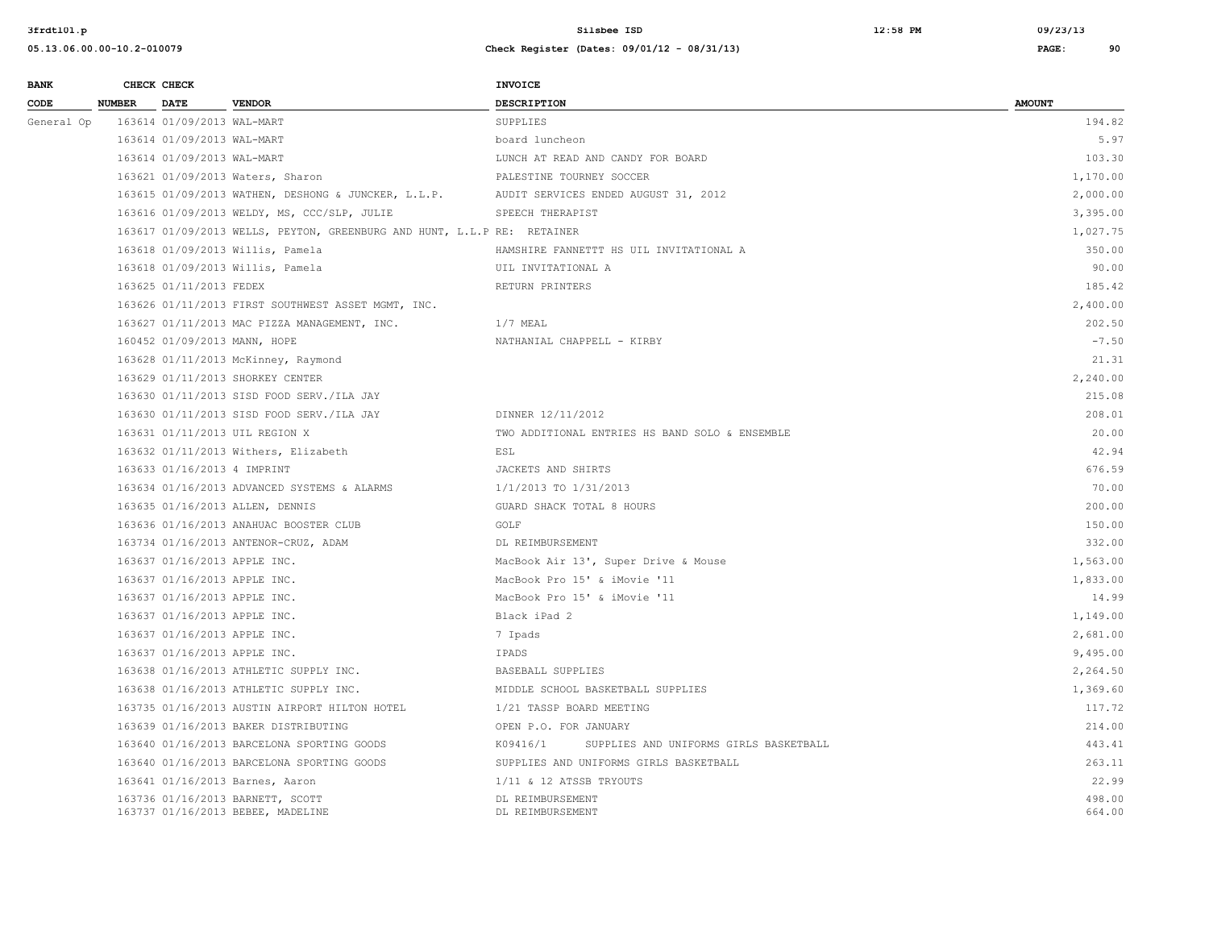| 3frdt101.p                 | Silsbee ISD                                 | $12:58$ PM | 09/23/13 |    |
|----------------------------|---------------------------------------------|------------|----------|----|
| 05.13.06.00.00-10.2-010079 | Check Register (Dates: 09/01/12 - 08/31/13) |            | PAGE:    | 90 |
|                            |                                             |            |          |    |

| <b>BANK</b> |               | CHECK CHECK                  |                                                                         | <b>INVOICE</b>                                     |                  |
|-------------|---------------|------------------------------|-------------------------------------------------------------------------|----------------------------------------------------|------------------|
| CODE        | <b>NUMBER</b> | <b>DATE</b>                  | <b>VENDOR</b>                                                           | <b>DESCRIPTION</b>                                 | <b>AMOUNT</b>    |
| General Op  |               | 163614 01/09/2013 WAL-MART   |                                                                         | SUPPLIES                                           | 194.82           |
|             |               | 163614 01/09/2013 WAL-MART   |                                                                         | board luncheon                                     | 5.97             |
|             |               | 163614 01/09/2013 WAL-MART   |                                                                         | LUNCH AT READ AND CANDY FOR BOARD                  | 103.30           |
|             |               |                              | 163621 01/09/2013 Waters, Sharon                                        | PALESTINE TOURNEY SOCCER                           | 1,170.00         |
|             |               |                              | 163615 01/09/2013 WATHEN, DESHONG & JUNCKER, L.L.P.                     | AUDIT SERVICES ENDED AUGUST 31, 2012               | 2,000.00         |
|             |               |                              | 163616 01/09/2013 WELDY, MS, CCC/SLP, JULIE                             | SPEECH THERAPIST                                   | 3,395.00         |
|             |               |                              | 163617 01/09/2013 WELLS, PEYTON, GREENBURG AND HUNT, L.L.P RE: RETAINER |                                                    | 1,027.75         |
|             |               |                              | 163618 01/09/2013 Willis, Pamela                                        | HAMSHIRE FANNETTT HS UIL INVITATIONAL A            | 350.00           |
|             |               |                              | 163618 01/09/2013 Willis, Pamela                                        | UIL INVITATIONAL A                                 | 90.00            |
|             |               | 163625 01/11/2013 FEDEX      |                                                                         | RETURN PRINTERS                                    | 185.42           |
|             |               |                              | 163626 01/11/2013 FIRST SOUTHWEST ASSET MGMT, INC.                      |                                                    | 2,400.00         |
|             |               |                              | 163627 01/11/2013 MAC PIZZA MANAGEMENT, INC.                            | $1/7$ MEAL                                         | 202.50           |
|             |               |                              | 160452 01/09/2013 MANN, HOPE                                            | NATHANIAL CHAPPELL - KIRBY                         | $-7.50$          |
|             |               |                              | 163628 01/11/2013 McKinney, Raymond                                     |                                                    | 21.31            |
|             |               |                              | 163629 01/11/2013 SHORKEY CENTER                                        |                                                    | 2,240.00         |
|             |               |                              | 163630 01/11/2013 SISD FOOD SERV./ILA JAY                               |                                                    | 215.08           |
|             |               |                              | 163630 01/11/2013 SISD FOOD SERV./ILA JAY                               | DINNER 12/11/2012                                  | 208.01           |
|             |               |                              | 163631 01/11/2013 UIL REGION X                                          | TWO ADDITIONAL ENTRIES HS BAND SOLO & ENSEMBLE     | 20.00            |
|             |               |                              | 163632 01/11/2013 Withers, Elizabeth                                    | ESL                                                | 42.94            |
|             |               | 163633 01/16/2013 4 IMPRINT  |                                                                         | JACKETS AND SHIRTS                                 | 676.59           |
|             |               |                              | 163634 01/16/2013 ADVANCED SYSTEMS & ALARMS                             | 1/1/2013 TO 1/31/2013                              | 70.00            |
|             |               |                              | 163635 01/16/2013 ALLEN, DENNIS                                         | GUARD SHACK TOTAL 8 HOURS                          | 200.00           |
|             |               |                              | 163636 01/16/2013 ANAHUAC BOOSTER CLUB                                  | GOLF                                               | 150.00           |
|             |               |                              | 163734 01/16/2013 ANTENOR-CRUZ, ADAM                                    | DL REIMBURSEMENT                                   | 332.00           |
|             |               | 163637 01/16/2013 APPLE INC. |                                                                         | MacBook Air 13', Super Drive & Mouse               | 1,563.00         |
|             |               | 163637 01/16/2013 APPLE INC. |                                                                         | MacBook Pro 15' & iMovie '11                       | 1,833.00         |
|             |               | 163637 01/16/2013 APPLE INC. |                                                                         | MacBook Pro 15' & iMovie '11                       | 14.99            |
|             |               | 163637 01/16/2013 APPLE INC. |                                                                         | Black iPad 2                                       | 1,149.00         |
|             |               | 163637 01/16/2013 APPLE INC. |                                                                         | 7 Ipads                                            | 2,681.00         |
|             |               | 163637 01/16/2013 APPLE INC. |                                                                         | IPADS                                              | 9,495.00         |
|             |               |                              | 163638 01/16/2013 ATHLETIC SUPPLY INC.                                  | BASEBALL SUPPLIES                                  | 2,264.50         |
|             |               |                              | 163638 01/16/2013 ATHLETIC SUPPLY INC.                                  | MIDDLE SCHOOL BASKETBALL SUPPLIES                  | 1,369.60         |
|             |               |                              | 163735 01/16/2013 AUSTIN AIRPORT HILTON HOTEL                           | 1/21 TASSP BOARD MEETING                           | 117.72           |
|             |               |                              | 163639 01/16/2013 BAKER DISTRIBUTING                                    | OPEN P.O. FOR JANUARY                              | 214.00           |
|             |               |                              | 163640 01/16/2013 BARCELONA SPORTING GOODS                              | K09416/1<br>SUPPLIES AND UNIFORMS GIRLS BASKETBALL | 443.41           |
|             |               |                              | 163640 01/16/2013 BARCELONA SPORTING GOODS                              | SUPPLIES AND UNIFORMS GIRLS BASKETBALL             | 263.11           |
|             |               |                              | 163641 01/16/2013 Barnes, Aaron                                         | 1/11 & 12 ATSSB TRYOUTS                            | 22.99            |
|             |               |                              | 163736 01/16/2013 BARNETT, SCOTT<br>163737 01/16/2013 BEBEE, MADELINE   | DL REIMBURSEMENT<br>DL REIMBURSEMENT               | 498.00<br>664.00 |
|             |               |                              |                                                                         |                                                    |                  |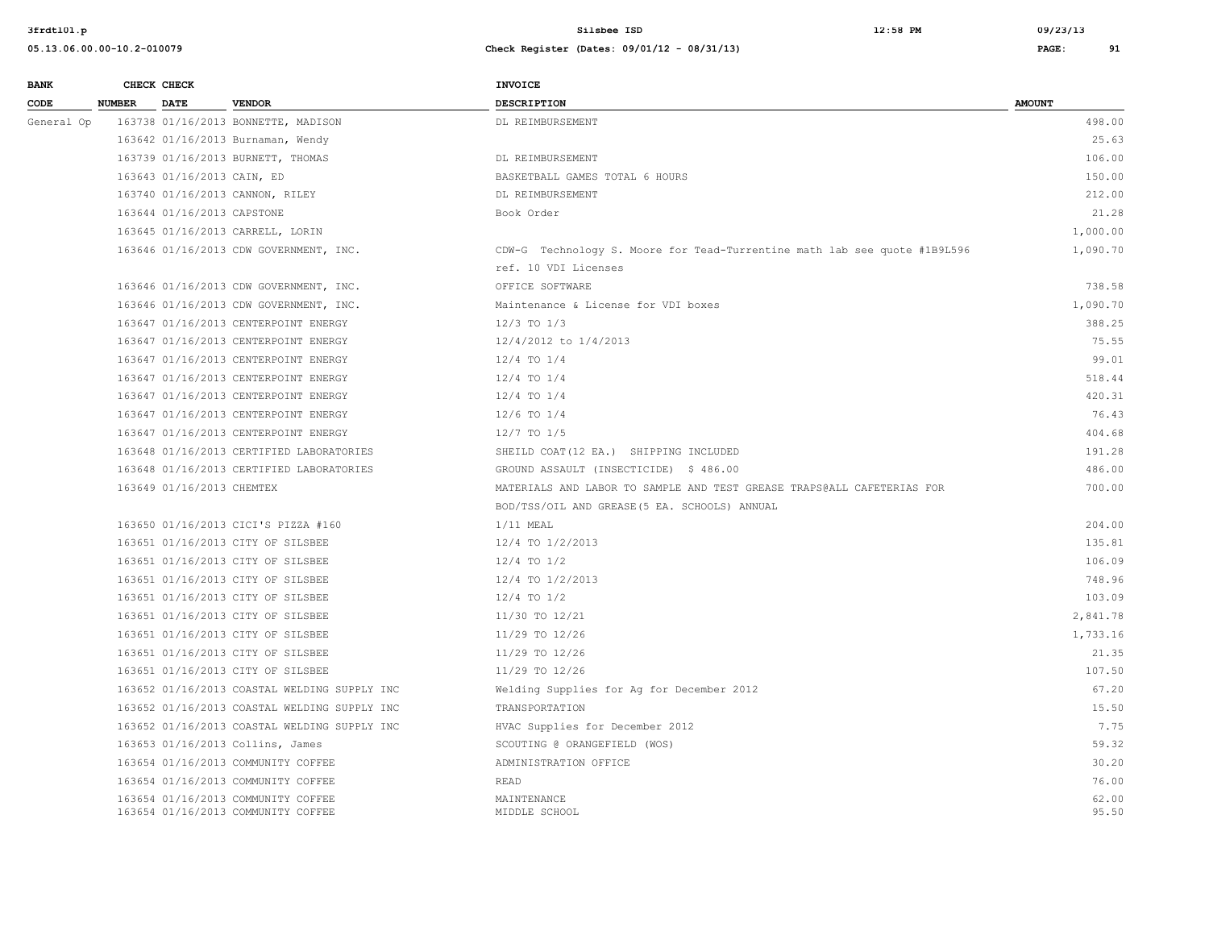**3frdtl01.p Silsbee ISD 12:58 PM 09/23/13**

| <b>BANK</b> |               | CHECK CHECK                |                                                                          | <b>INVOICE</b>                                                            |                |
|-------------|---------------|----------------------------|--------------------------------------------------------------------------|---------------------------------------------------------------------------|----------------|
| CODE        | <b>NUMBER</b> | <b>DATE</b>                | <b>VENDOR</b>                                                            | DESCRIPTION                                                               | <b>AMOUNT</b>  |
| General Op  |               |                            | 163738 01/16/2013 BONNETTE, MADISON                                      | DL REIMBURSEMENT                                                          | 498.00         |
|             |               |                            | 163642 01/16/2013 Burnaman, Wendy                                        |                                                                           | 25.63          |
|             |               |                            | 163739 01/16/2013 BURNETT, THOMAS                                        | DL REIMBURSEMENT                                                          | 106.00         |
|             |               | 163643 01/16/2013 CAIN, ED |                                                                          | BASKETBALL GAMES TOTAL 6 HOURS                                            | 150.00         |
|             |               |                            | 163740 01/16/2013 CANNON, RILEY                                          | DL REIMBURSEMENT                                                          | 212.00         |
|             |               | 163644 01/16/2013 CAPSTONE |                                                                          | Book Order                                                                | 21.28          |
|             |               |                            | 163645 01/16/2013 CARRELL, LORIN                                         |                                                                           | 1,000.00       |
|             |               |                            | 163646 01/16/2013 CDW GOVERNMENT, INC.                                   | CDW-G Technology S. Moore for Tead-Turrentine math lab see quote #1B9L596 | 1,090.70       |
|             |               |                            |                                                                          | ref. 10 VDI Licenses                                                      |                |
|             |               |                            | 163646 01/16/2013 CDW GOVERNMENT, INC.                                   | OFFICE SOFTWARE                                                           | 738.58         |
|             |               |                            | 163646 01/16/2013 CDW GOVERNMENT, INC.                                   | Maintenance & License for VDI boxes                                       | 1,090.70       |
|             |               |                            | 163647 01/16/2013 CENTERPOINT ENERGY                                     | $12/3$ TO $1/3$                                                           | 388.25         |
|             |               |                            | 163647 01/16/2013 CENTERPOINT ENERGY                                     | 12/4/2012 to 1/4/2013                                                     | 75.55          |
|             |               |                            | 163647 01/16/2013 CENTERPOINT ENERGY                                     | $12/4$ TO $1/4$                                                           | 99.01          |
|             |               |                            | 163647 01/16/2013 CENTERPOINT ENERGY                                     | $12/4$ TO $1/4$                                                           | 518.44         |
|             |               |                            | 163647 01/16/2013 CENTERPOINT ENERGY                                     | $12/4$ TO $1/4$                                                           | 420.31         |
|             |               |                            | 163647 01/16/2013 CENTERPOINT ENERGY                                     | $12/6$ TO $1/4$                                                           | 76.43          |
|             |               |                            | 163647 01/16/2013 CENTERPOINT ENERGY                                     | $12/7$ TO $1/5$                                                           | 404.68         |
|             |               |                            | 163648 01/16/2013 CERTIFIED LABORATORIES                                 | SHEILD COAT(12 EA.) SHIPPING INCLUDED                                     | 191.28         |
|             |               |                            | 163648 01/16/2013 CERTIFIED LABORATORIES                                 | GROUND ASSAULT (INSECTICIDE) \$ 486.00                                    | 486.00         |
|             |               | 163649 01/16/2013 CHEMTEX  |                                                                          | MATERIALS AND LABOR TO SAMPLE AND TEST GREASE TRAPS@ALL CAFETERIAS FOR    | 700.00         |
|             |               |                            |                                                                          | BOD/TSS/OIL AND GREASE (5 EA. SCHOOLS) ANNUAL                             |                |
|             |               |                            | 163650 01/16/2013 CICI'S PIZZA #160                                      | $1/11$ MEAL                                                               | 204.00         |
|             |               |                            | 163651 01/16/2013 CITY OF SILSBEE                                        | 12/4 TO 1/2/2013                                                          | 135.81         |
|             |               |                            | 163651 01/16/2013 CITY OF SILSBEE                                        | $12/4$ TO $1/2$                                                           | 106.09         |
|             |               |                            | 163651 01/16/2013 CITY OF SILSBEE                                        | 12/4 TO 1/2/2013                                                          | 748.96         |
|             |               |                            | 163651 01/16/2013 CITY OF SILSBEE                                        | $12/4$ TO $1/2$                                                           | 103.09         |
|             |               |                            | 163651 01/16/2013 CITY OF SILSBEE                                        | 11/30 TO 12/21                                                            | 2,841.78       |
|             |               |                            | 163651 01/16/2013 CITY OF SILSBEE                                        | 11/29 TO 12/26                                                            | 1,733.16       |
|             |               |                            | 163651 01/16/2013 CITY OF SILSBEE                                        | 11/29 TO 12/26                                                            | 21.35          |
|             |               |                            | 163651 01/16/2013 CITY OF SILSBEE                                        | 11/29 TO 12/26                                                            | 107.50         |
|             |               |                            | 163652 01/16/2013 COASTAL WELDING SUPPLY INC                             | Welding Supplies for Ag for December 2012                                 | 67.20          |
|             |               |                            | 163652 01/16/2013 COASTAL WELDING SUPPLY INC                             | TRANSPORTATION                                                            | 15.50          |
|             |               |                            | 163652 01/16/2013 COASTAL WELDING SUPPLY INC                             | HVAC Supplies for December 2012                                           | 7.75           |
|             |               |                            | 163653 01/16/2013 Collins, James                                         | SCOUTING @ ORANGEFIELD (WOS)                                              | 59.32          |
|             |               |                            | 163654 01/16/2013 COMMUNITY COFFEE                                       | ADMINISTRATION OFFICE                                                     | 30.20          |
|             |               |                            | 163654 01/16/2013 COMMUNITY COFFEE                                       | READ                                                                      | 76.00          |
|             |               |                            | 163654 01/16/2013 COMMUNITY COFFEE<br>163654 01/16/2013 COMMUNITY COFFEE | MAINTENANCE<br>MIDDLE SCHOOL                                              | 62.00<br>95.50 |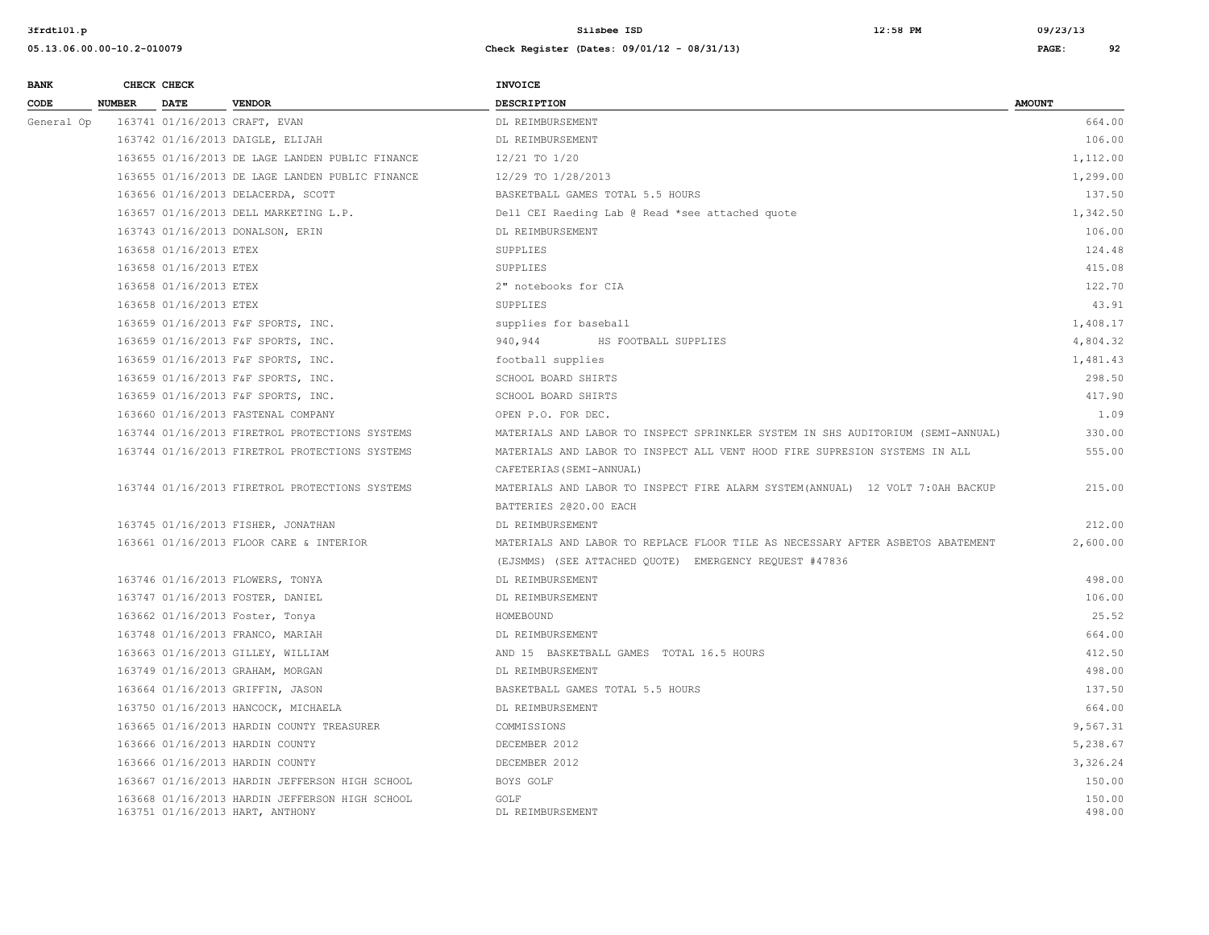| <b>BANK</b> |               | CHECK CHECK            |                                                                                   | <b>INVOICE</b>                                                                  |                  |
|-------------|---------------|------------------------|-----------------------------------------------------------------------------------|---------------------------------------------------------------------------------|------------------|
| CODE        | <b>NUMBER</b> | <b>DATE</b>            | <b>VENDOR</b>                                                                     | <b>DESCRIPTION</b>                                                              | <b>AMOUNT</b>    |
| General Op  |               |                        | 163741 01/16/2013 CRAFT, EVAN                                                     | DL REIMBURSEMENT                                                                | 664.00           |
|             |               |                        | 163742 01/16/2013 DAIGLE, ELIJAH                                                  | DL REIMBURSEMENT                                                                | 106.00           |
|             |               |                        | 163655 01/16/2013 DE LAGE LANDEN PUBLIC FINANCE                                   | 12/21 TO 1/20                                                                   | 1,112.00         |
|             |               |                        | 163655 01/16/2013 DE LAGE LANDEN PUBLIC FINANCE                                   | 12/29 TO 1/28/2013                                                              | 1,299.00         |
|             |               |                        | 163656 01/16/2013 DELACERDA, SCOTT                                                | BASKETBALL GAMES TOTAL 5.5 HOURS                                                | 137.50           |
|             |               |                        | 163657 01/16/2013 DELL MARKETING L.P.                                             | Dell CEI Raeding Lab @ Read *see attached quote                                 | 1,342.50         |
|             |               |                        | 163743 01/16/2013 DONALSON, ERIN                                                  | DL REIMBURSEMENT                                                                | 106.00           |
|             |               | 163658 01/16/2013 ETEX |                                                                                   | SUPPLIES                                                                        | 124.48           |
|             |               | 163658 01/16/2013 ETEX |                                                                                   | SUPPLIES                                                                        | 415.08           |
|             |               | 163658 01/16/2013 ETEX |                                                                                   | 2" notebooks for CIA                                                            | 122.70           |
|             |               | 163658 01/16/2013 ETEX |                                                                                   | <b>SUPPLIES</b>                                                                 | 43.91            |
|             |               |                        | 163659 01/16/2013 F&F SPORTS, INC.                                                | supplies for baseball                                                           | 1,408.17         |
|             |               |                        | 163659 01/16/2013 F&F SPORTS, INC.                                                | 940,944<br>HS FOOTBALL SUPPLIES                                                 | 4,804.32         |
|             |               |                        | 163659 01/16/2013 F&F SPORTS, INC.                                                | football supplies                                                               | 1,481.43         |
|             |               |                        | 163659 01/16/2013 F&F SPORTS, INC.                                                | SCHOOL BOARD SHIRTS                                                             | 298.50           |
|             |               |                        | 163659 01/16/2013 F&F SPORTS, INC.                                                | SCHOOL BOARD SHIRTS                                                             | 417.90           |
|             |               |                        | 163660 01/16/2013 FASTENAL COMPANY                                                | OPEN P.O. FOR DEC.                                                              | 1.09             |
|             |               |                        | 163744 01/16/2013 FIRETROL PROTECTIONS SYSTEMS                                    | MATERIALS AND LABOR TO INSPECT SPRINKLER SYSTEM IN SHS AUDITORIUM (SEMI-ANNUAL) | 330.00           |
|             |               |                        | 163744 01/16/2013 FIRETROL PROTECTIONS SYSTEMS                                    | MATERIALS AND LABOR TO INSPECT ALL VENT HOOD FIRE SUPRESION SYSTEMS IN ALL      | 555.00           |
|             |               |                        |                                                                                   | CAFETERIAS (SEMI-ANNUAL)                                                        |                  |
|             |               |                        | 163744 01/16/2013 FIRETROL PROTECTIONS SYSTEMS                                    | MATERIALS AND LABOR TO INSPECT FIRE ALARM SYSTEM (ANNUAL) 12 VOLT 7:0AH BACKUP  | 215.00           |
|             |               |                        |                                                                                   | BATTERIES 2020.00 EACH                                                          |                  |
|             |               |                        | 163745 01/16/2013 FISHER, JONATHAN                                                | DL REIMBURSEMENT                                                                | 212.00           |
|             |               |                        | 163661 01/16/2013 FLOOR CARE & INTERIOR                                           | MATERIALS AND LABOR TO REPLACE FLOOR TILE AS NECESSARY AFTER ASBETOS ABATEMENT  | 2,600.00         |
|             |               |                        |                                                                                   | (EJSMMS) (SEE ATTACHED QUOTE) EMERGENCY REQUEST #47836                          |                  |
|             |               |                        | 163746 01/16/2013 FLOWERS, TONYA                                                  | DL REIMBURSEMENT                                                                | 498.00           |
|             |               |                        | 163747 01/16/2013 FOSTER, DANIEL                                                  | DL REIMBURSEMENT                                                                | 106.00           |
|             |               |                        | 163662 01/16/2013 Foster, Tonya                                                   | HOMEBOUND                                                                       | 25.52            |
|             |               |                        | 163748 01/16/2013 FRANCO, MARIAH                                                  | DL REIMBURSEMENT                                                                | 664.00           |
|             |               |                        | 163663 01/16/2013 GILLEY, WILLIAM                                                 | AND 15 BASKETBALL GAMES TOTAL 16.5 HOURS                                        | 412.50           |
|             |               |                        | 163749 01/16/2013 GRAHAM, MORGAN                                                  | DL REIMBURSEMENT                                                                | 498.00           |
|             |               |                        | 163664 01/16/2013 GRIFFIN, JASON                                                  | BASKETBALL GAMES TOTAL 5.5 HOURS                                                | 137.50           |
|             |               |                        | 163750 01/16/2013 HANCOCK, MICHAELA                                               | DL REIMBURSEMENT                                                                | 664.00           |
|             |               |                        | 163665 01/16/2013 HARDIN COUNTY TREASURER                                         | COMMISSIONS                                                                     | 9,567.31         |
|             |               |                        | 163666 01/16/2013 HARDIN COUNTY                                                   | DECEMBER 2012                                                                   | 5,238.67         |
|             |               |                        | 163666 01/16/2013 HARDIN COUNTY                                                   | DECEMBER 2012                                                                   | 3,326.24         |
|             |               |                        | 163667 01/16/2013 HARDIN JEFFERSON HIGH SCHOOL                                    | BOYS GOLF                                                                       | 150.00           |
|             |               |                        | 163668 01/16/2013 HARDIN JEFFERSON HIGH SCHOOL<br>163751 01/16/2013 HART, ANTHONY | GOLF<br>DL REIMBURSEMENT                                                        | 150.00<br>498.00 |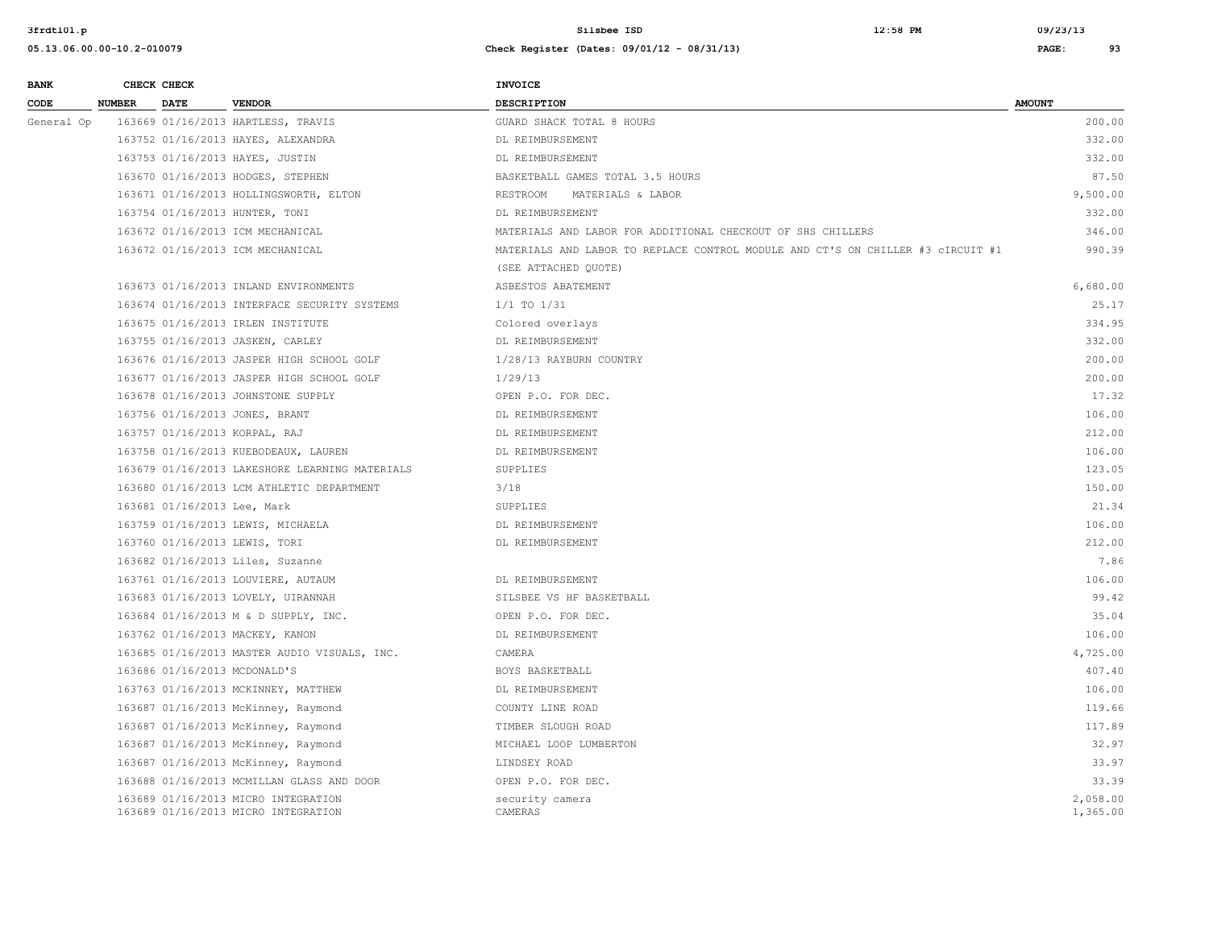### **05.13.06.00.00-10.2-010079 Check Register (Dates: 09/01/12 - 08/31/13) PAGE: 93**

**BANK** CHECK CHECK **CHECK CODE NUMBER DATE VENDOR DESCRIPTION AMOUNT**  General Op 163669 01/16/2013 HARTLESS, TRAVIS GUARD SHACK TOTAL 8 HOURS 200.00 163752 01/16/2013 HAYES, ALEXANDRA DL REIMBURSEMENT 332.00 163753 01/16/2013 HAYES, JUSTIN DL REIMBURSEMENT 332.00 163670 01/16/2013 HODGES, STEPHEN BASKETBALL GAMES TOTAL 3.5 HOURS 87.50 163671 01/16/2013 HOLLINGSWORTH, ELTON RESTROOM MATERIALS & LABOR 9,500.00 163754 01/16/2013 HUNTER, TONI DL REIMBURSEMENT 332.00 163672 01/16/2013 ICM MECHANICAL MATERIALS AND LABOR FOR ADDITIONAL CHECKOUT OF SHS CHILLERS 346.00 163672 01/16/2013 ICM MECHANICAL MATERIALS AND LABOR TO REPLACE CONTROL MODULE AND CT'S ON CHILLER #3 cIRCUIT #1 990.39 (SEE ATTACHED QUOTE) 163673 01/16/2013 INLAND ENVIRONMENTS ASBESTOS ABATEMENT 6,680.00 163674 01/16/2013 INTERFACE SECURITY SYSTEMS 1/1 TO 1/31 25.17 163675 01/16/2013 IRLEN INSTITUTE Colored overlays 334.95 163755 01/16/2013 JASKEN, CARLEY DL REIMBURSEMENT 332.00 163676 01/16/2013 JASPER HIGH SCHOOL GOLF 1/28/13 RAYBURN COUNTRY 200.00 163677 01/16/2013 JASPER HIGH SCHOOL GOLF 1/29/13 200.00 163678 01/16/2013 JOHNSTONE SUPPLY OPEN P.O. FOR DEC. 17.32 163756 01/16/2013 JONES, BRANT DL REIMBURSEMENT 106.00 163757 01/16/2013 KORPAL, RAJ DL REIMBURSEMENT 212.00 163758 01/16/2013 KUEBODEAUX, LAUREN DL REIMBURSEMENT 106.00 163679 01/16/2013 LAKESHORE LEARNING MATERIALS SUPPLIES 123.05 163680 01/16/2013 LCM ATHLETIC DEPARTMENT 3/18 150.00 163681 01/16/2013 Lee, Mark 21.34 163759 01/16/2013 LEWIS, MICHAELA DL REIMBURSEMENT 106.00 163760 01/16/2013 LEWIS, TORI DL REIMBURSEMENT 212.00 163682 01/16/2013 Liles, Suzanne 7.86 163761 01/16/2013 LOUVIERE, AUTAUM DL REIMBURSEMENT 106.00 163683 01/16/2013 LOVELY, UIRANNAH SILSBEE VS HF BASKETBALL 99.42 163684 01/16/2013 M & D SUPPLY, INC. OPEN P.O. FOR DEC. 35.04 163762 01/16/2013 MACKEY, KANON DL REIMBURSEMENT 106.00 163685 01/16/2013 MASTER AUDIO VISUALS, INC. CAMERA 4,725.00 163686 01/16/2013 MCDONALD'S BOYS BASKETBALL 407.40 163763 01/16/2013 MCKINNEY, MATTHEW DL REIMBURSEMENT 106.00 163687 01/16/2013 McKinney, Raymond COUNTY LINE ROAD 119.66 163687 01/16/2013 McKinney, Raymond TIMBER SLOUGH ROAD 117.89 163687 01/16/2013 McKinney, Raymond MICHAEL LOOP LUMBERTON 32.97 163687 01/16/2013 McKinney, Raymond LINDSEY ROAD 33.97 163688 01/16/2013 MCMILLAN GLASS AND DOOR OPEN P.O. FOR DEC. 33.39 163689 01/16/2013 MICRO INTEGRATION security camera 2,058.00 163689 01/16/2013 MICRO INTEGRATION CAMERAS 1,365.00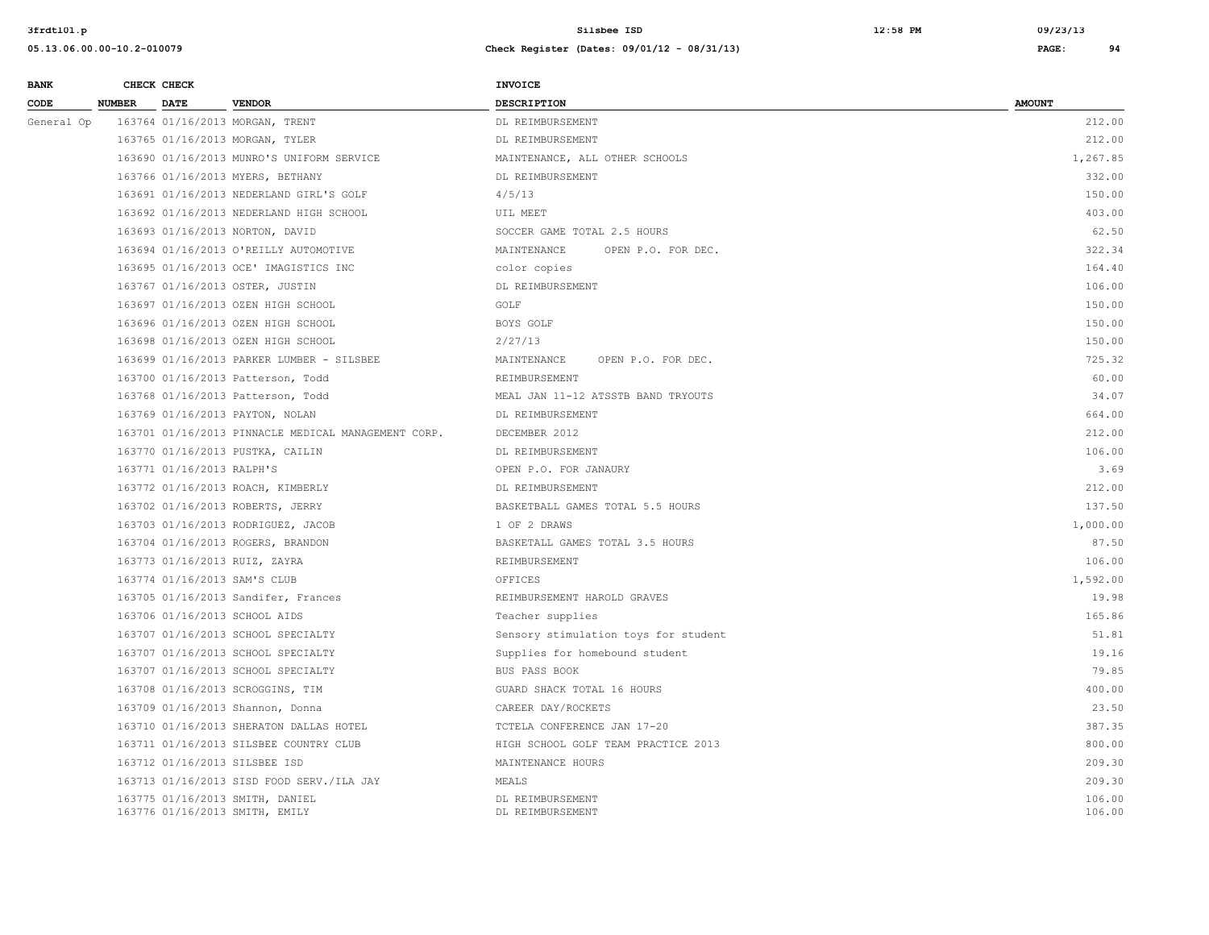| <b>BANK</b> |               | CHECK CHECK               |                                                                   | <b>INVOICE</b>                       |                  |
|-------------|---------------|---------------------------|-------------------------------------------------------------------|--------------------------------------|------------------|
| CODE        | <b>NUMBER</b> | <b>DATE</b>               | <b>VENDOR</b>                                                     | <b>DESCRIPTION</b>                   | <b>AMOUNT</b>    |
| General Op  |               |                           | 163764 01/16/2013 MORGAN, TRENT                                   | DL REIMBURSEMENT                     | 212.00           |
|             |               |                           | 163765 01/16/2013 MORGAN, TYLER                                   | DL REIMBURSEMENT                     | 212.00           |
|             |               |                           | 163690 01/16/2013 MUNRO'S UNIFORM SERVICE                         | MAINTENANCE, ALL OTHER SCHOOLS       | 1,267.85         |
|             |               |                           | 163766 01/16/2013 MYERS, BETHANY                                  | DL REIMBURSEMENT                     | 332.00           |
|             |               |                           | 163691 01/16/2013 NEDERLAND GIRL'S GOLF                           | 4/5/13                               | 150.00           |
|             |               |                           | 163692 01/16/2013 NEDERLAND HIGH SCHOOL                           | UIL MEET                             | 403.00           |
|             |               |                           | 163693 01/16/2013 NORTON, DAVID                                   | SOCCER GAME TOTAL 2.5 HOURS          | 62.50            |
|             |               |                           | 163694 01/16/2013 O'REILLY AUTOMOTIVE                             | MAINTENANCE<br>OPEN P.O. FOR DEC.    | 322.34           |
|             |               |                           | 163695 01/16/2013 OCE' IMAGISTICS INC                             | color copies                         | 164.40           |
|             |               |                           | 163767 01/16/2013 OSTER, JUSTIN                                   | DL REIMBURSEMENT                     | 106.00           |
|             |               |                           | 163697 01/16/2013 OZEN HIGH SCHOOL                                | GOLF                                 | 150.00           |
|             |               |                           | 163696 01/16/2013 OZEN HIGH SCHOOL                                | BOYS GOLF                            | 150.00           |
|             |               |                           | 163698 01/16/2013 OZEN HIGH SCHOOL                                | 2/27/13                              | 150.00           |
|             |               |                           | 163699 01/16/2013 PARKER LUMBER - SILSBEE                         | MAINTENANCE<br>OPEN P.O. FOR DEC.    | 725.32           |
|             |               |                           | 163700 01/16/2013 Patterson, Todd                                 | REIMBURSEMENT                        | 60.00            |
|             |               |                           | 163768 01/16/2013 Patterson, Todd                                 | MEAL JAN 11-12 ATSSTB BAND TRYOUTS   | 34.07            |
|             |               |                           | 163769 01/16/2013 PAYTON, NOLAN                                   | DL REIMBURSEMENT                     | 664.00           |
|             |               |                           | 163701 01/16/2013 PINNACLE MEDICAL MANAGEMENT CORP.               | DECEMBER 2012                        | 212.00           |
|             |               |                           | 163770 01/16/2013 PUSTKA, CAILIN                                  | DL REIMBURSEMENT                     | 106.00           |
|             |               | 163771 01/16/2013 RALPH'S |                                                                   | OPEN P.O. FOR JANAURY                | 3.69             |
|             |               |                           | 163772 01/16/2013 ROACH, KIMBERLY                                 | DL REIMBURSEMENT                     | 212.00           |
|             |               |                           | 163702 01/16/2013 ROBERTS, JERRY                                  | BASKETBALL GAMES TOTAL 5.5 HOURS     | 137.50           |
|             |               |                           | 163703 01/16/2013 RODRIGUEZ, JACOB                                | 1 OF 2 DRAWS                         | 1,000.00         |
|             |               |                           | 163704 01/16/2013 ROGERS, BRANDON                                 | BASKETALL GAMES TOTAL 3.5 HOURS      | 87.50            |
|             |               |                           | 163773 01/16/2013 RUIZ, ZAYRA                                     | REIMBURSEMENT                        | 106.00           |
|             |               |                           | 163774 01/16/2013 SAM'S CLUB                                      | OFFICES                              | 1,592.00         |
|             |               |                           | 163705 01/16/2013 Sandifer, Frances                               | REIMBURSEMENT HAROLD GRAVES          | 19.98            |
|             |               |                           | 163706 01/16/2013 SCHOOL AIDS                                     | Teacher supplies                     | 165.86           |
|             |               |                           | 163707 01/16/2013 SCHOOL SPECIALTY                                | Sensory stimulation toys for student | 51.81            |
|             |               |                           | 163707 01/16/2013 SCHOOL SPECIALTY                                | Supplies for homebound student       | 19.16            |
|             |               |                           | 163707 01/16/2013 SCHOOL SPECIALTY                                | BUS PASS BOOK                        | 79.85            |
|             |               |                           | 163708 01/16/2013 SCROGGINS, TIM                                  | GUARD SHACK TOTAL 16 HOURS           | 400.00           |
|             |               |                           | 163709 01/16/2013 Shannon, Donna                                  | CAREER DAY/ROCKETS                   | 23.50            |
|             |               |                           | 163710 01/16/2013 SHERATON DALLAS HOTEL                           | TCTELA CONFERENCE JAN 17-20          | 387.35           |
|             |               |                           | 163711 01/16/2013 SILSBEE COUNTRY CLUB                            | HIGH SCHOOL GOLF TEAM PRACTICE 2013  | 800.00           |
|             |               |                           | 163712 01/16/2013 SILSBEE ISD                                     | MAINTENANCE HOURS                    | 209.30           |
|             |               |                           | 163713 01/16/2013 SISD FOOD SERV./ILA JAY                         | MEALS                                | 209.30           |
|             |               |                           | 163775 01/16/2013 SMITH, DANIEL<br>163776 01/16/2013 SMITH, EMILY | DL REIMBURSEMENT<br>DL REIMBURSEMENT | 106.00<br>106.00 |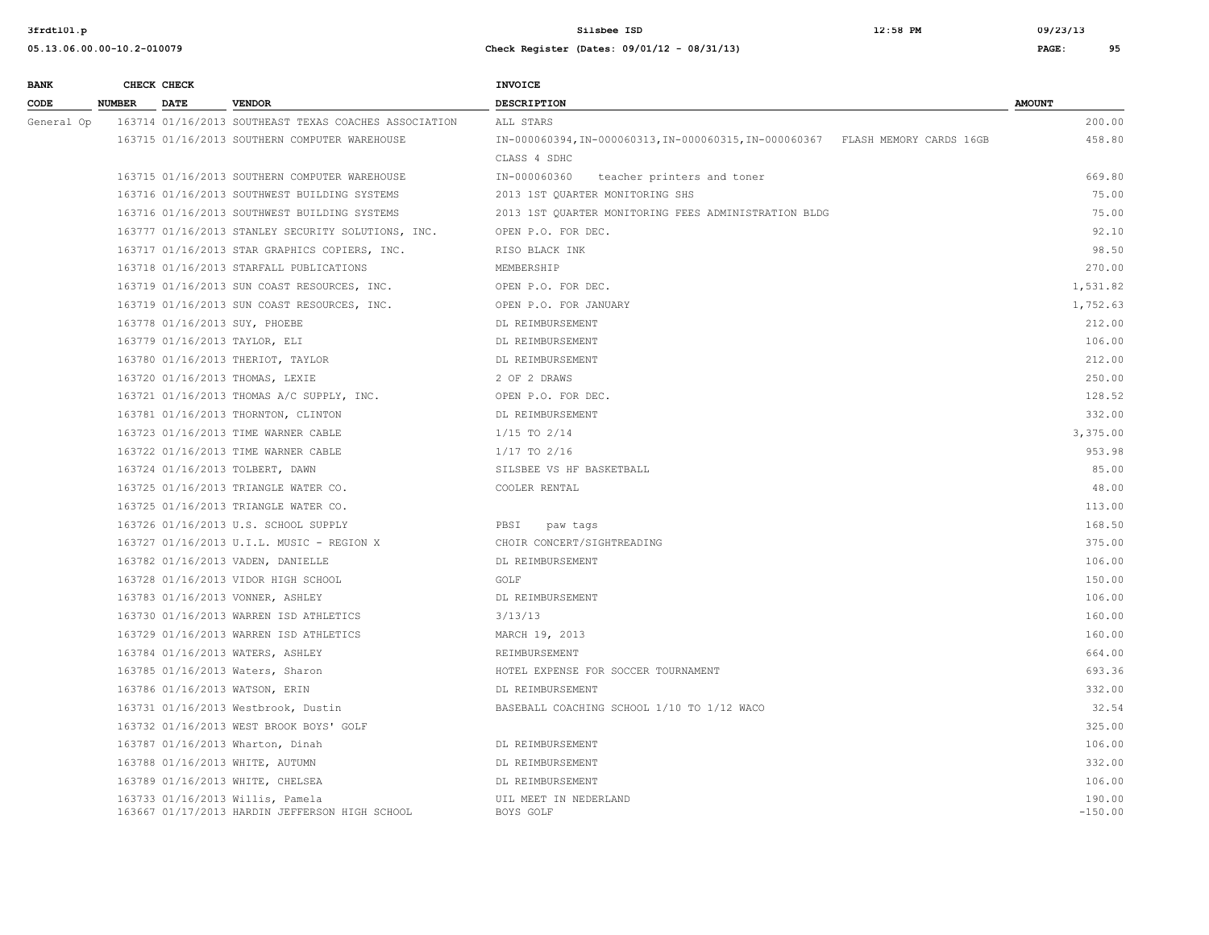| <b>BANK</b> |               | CHECK CHECK |                                                                                    | <b>INVOICE</b>                                                                 |                     |
|-------------|---------------|-------------|------------------------------------------------------------------------------------|--------------------------------------------------------------------------------|---------------------|
| CODE        | <b>NUMBER</b> | <b>DATE</b> | <b>VENDOR</b>                                                                      | DESCRIPTION                                                                    | <b>AMOUNT</b>       |
| General Op  |               |             | 163714 01/16/2013 SOUTHEAST TEXAS COACHES ASSOCIATION                              | ALL STARS                                                                      | 200.00              |
|             |               |             | 163715 01/16/2013 SOUTHERN COMPUTER WAREHOUSE                                      | IN-000060394, IN-000060313, IN-000060315, IN-000060367 FLASH MEMORY CARDS 16GB | 458.80              |
|             |               |             |                                                                                    | CLASS 4 SDHC                                                                   |                     |
|             |               |             | 163715 01/16/2013 SOUTHERN COMPUTER WAREHOUSE                                      | teacher printers and toner<br>IN-000060360                                     | 669.80              |
|             |               |             | 163716 01/16/2013 SOUTHWEST BUILDING SYSTEMS                                       | 2013 1ST QUARTER MONITORING SHS                                                | 75.00               |
|             |               |             | 163716 01/16/2013 SOUTHWEST BUILDING SYSTEMS                                       | 2013 1ST QUARTER MONITORING FEES ADMINISTRATION BLDG                           | 75.00               |
|             |               |             | 163777 01/16/2013 STANLEY SECURITY SOLUTIONS, INC.                                 | OPEN P.O. FOR DEC.                                                             | 92.10               |
|             |               |             | 163717 01/16/2013 STAR GRAPHICS COPIERS, INC.                                      | RISO BLACK INK                                                                 | 98.50               |
|             |               |             | 163718 01/16/2013 STARFALL PUBLICATIONS                                            | MEMBERSHIP                                                                     | 270.00              |
|             |               |             | 163719 01/16/2013 SUN COAST RESOURCES, INC.                                        | OPEN P.O. FOR DEC.                                                             | 1,531.82            |
|             |               |             | 163719 01/16/2013 SUN COAST RESOURCES, INC.                                        | OPEN P.O. FOR JANUARY                                                          | 1,752.63            |
|             |               |             | 163778 01/16/2013 SUY, PHOEBE                                                      | DL REIMBURSEMENT                                                               | 212.00              |
|             |               |             | 163779 01/16/2013 TAYLOR, ELI                                                      | DL REIMBURSEMENT                                                               | 106.00              |
|             |               |             | 163780 01/16/2013 THERIOT, TAYLOR                                                  | DL REIMBURSEMENT                                                               | 212.00              |
|             |               |             | 163720 01/16/2013 THOMAS, LEXIE                                                    | 2 OF 2 DRAWS                                                                   | 250.00              |
|             |               |             | 163721 01/16/2013 THOMAS A/C SUPPLY, INC.                                          | OPEN P.O. FOR DEC.                                                             | 128.52              |
|             |               |             | 163781 01/16/2013 THORNTON, CLINTON                                                | DL REIMBURSEMENT                                                               | 332.00              |
|             |               |             | 163723 01/16/2013 TIME WARNER CABLE                                                | $1/15$ TO $2/14$                                                               | 3,375.00            |
|             |               |             | 163722 01/16/2013 TIME WARNER CABLE                                                | $1/17$ TO 2/16                                                                 | 953.98              |
|             |               |             | 163724 01/16/2013 TOLBERT, DAWN                                                    | SILSBEE VS HF BASKETBALL                                                       | 85.00               |
|             |               |             | 163725 01/16/2013 TRIANGLE WATER CO.                                               | COOLER RENTAL                                                                  | 48.00               |
|             |               |             | 163725 01/16/2013 TRIANGLE WATER CO.                                               |                                                                                | 113.00              |
|             |               |             | 163726 01/16/2013 U.S. SCHOOL SUPPLY                                               | PBSI<br>paw tags                                                               | 168.50              |
|             |               |             | 163727 01/16/2013 U.I.L. MUSIC - REGION X                                          | CHOIR CONCERT/SIGHTREADING                                                     | 375.00              |
|             |               |             | 163782 01/16/2013 VADEN, DANIELLE                                                  | DL REIMBURSEMENT                                                               | 106.00              |
|             |               |             | 163728 01/16/2013 VIDOR HIGH SCHOOL                                                | GOLF                                                                           | 150.00              |
|             |               |             | 163783 01/16/2013 VONNER, ASHLEY                                                   | DL REIMBURSEMENT                                                               | 106.00              |
|             |               |             | 163730 01/16/2013 WARREN ISD ATHLETICS                                             | 3/13/13                                                                        | 160.00              |
|             |               |             | 163729 01/16/2013 WARREN ISD ATHLETICS                                             | MARCH 19, 2013                                                                 | 160.00              |
|             |               |             | 163784 01/16/2013 WATERS, ASHLEY                                                   | REIMBURSEMENT                                                                  | 664.00              |
|             |               |             | 163785 01/16/2013 Waters, Sharon                                                   | HOTEL EXPENSE FOR SOCCER TOURNAMENT                                            | 693.36              |
|             |               |             | 163786 01/16/2013 WATSON, ERIN                                                     | DL REIMBURSEMENT                                                               | 332.00              |
|             |               |             | 163731 01/16/2013 Westbrook, Dustin                                                | BASEBALL COACHING SCHOOL 1/10 TO 1/12 WACO                                     | 32.54               |
|             |               |             | 163732 01/16/2013 WEST BROOK BOYS' GOLF                                            |                                                                                | 325.00              |
|             |               |             | 163787 01/16/2013 Wharton, Dinah                                                   | DL REIMBURSEMENT                                                               | 106.00              |
|             |               |             | 163788 01/16/2013 WHITE, AUTUMN                                                    | DL REIMBURSEMENT                                                               | 332.00              |
|             |               |             | 163789 01/16/2013 WHITE, CHELSEA                                                   | DL REIMBURSEMENT                                                               | 106.00              |
|             |               |             | 163733 01/16/2013 Willis, Pamela<br>163667 01/17/2013 HARDIN JEFFERSON HIGH SCHOOL | UIL MEET IN NEDERLAND<br>BOYS GOLF                                             | 190.00<br>$-150.00$ |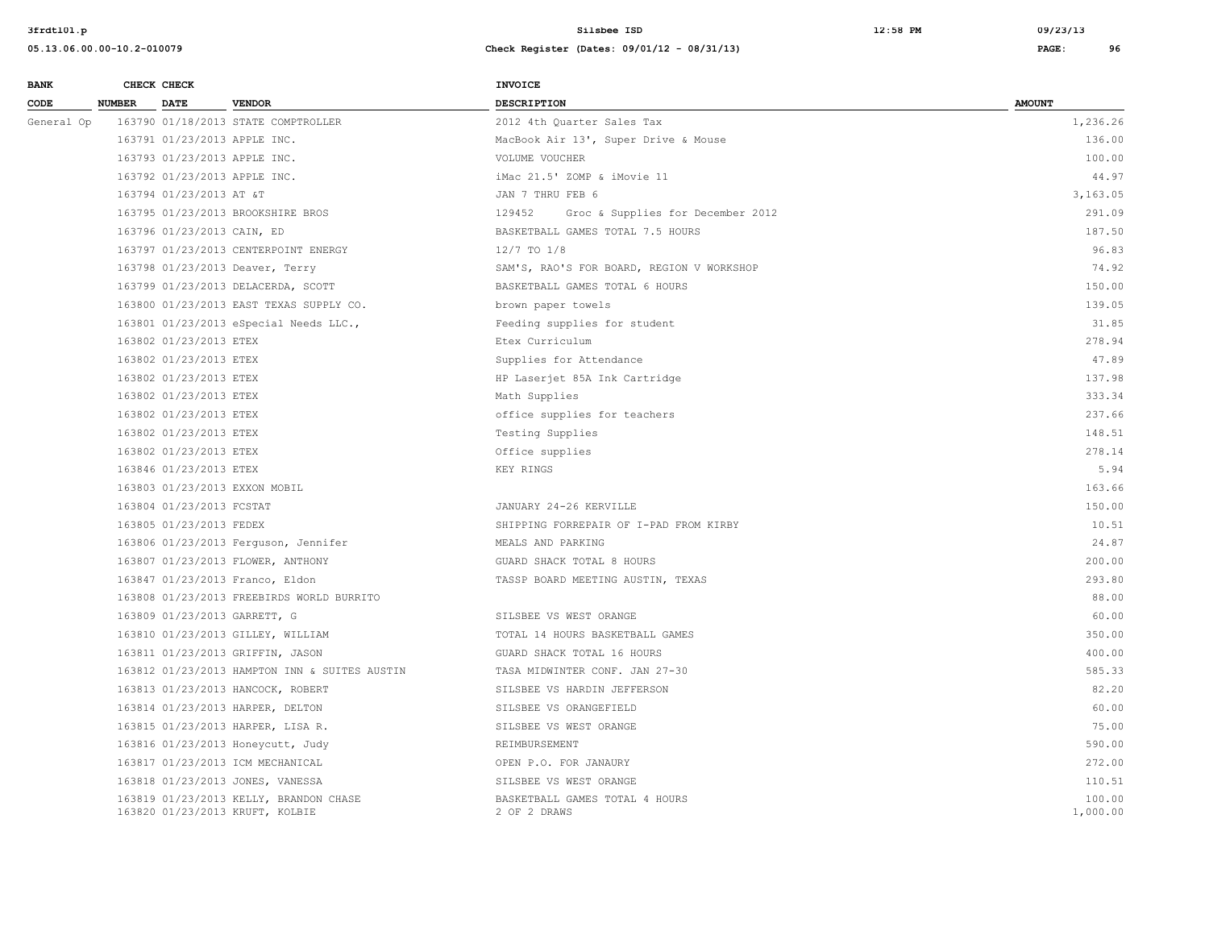| <b>BANK</b> |               | CHECK CHECK                  |                                                                           | <b>INVOICE</b>                                 |                    |
|-------------|---------------|------------------------------|---------------------------------------------------------------------------|------------------------------------------------|--------------------|
| CODE        | <b>NUMBER</b> | <b>DATE</b>                  | <b>VENDOR</b>                                                             | <b>DESCRIPTION</b>                             | <b>AMOUNT</b>      |
| General Op  |               |                              | 163790 01/18/2013 STATE COMPTROLLER                                       | 2012 4th Quarter Sales Tax                     | 1,236.26           |
|             |               | 163791 01/23/2013 APPLE INC. |                                                                           | MacBook Air 13', Super Drive & Mouse           | 136.00             |
|             |               | 163793 01/23/2013 APPLE INC. |                                                                           | VOLUME VOUCHER                                 | 100.00             |
|             |               | 163792 01/23/2013 APPLE INC. |                                                                           | iMac 21.5' ZOMP & iMovie 11                    | 44.97              |
|             |               | 163794 01/23/2013 AT &T      |                                                                           | JAN 7 THRU FEB 6                               | 3,163.05           |
|             |               |                              | 163795 01/23/2013 BROOKSHIRE BROS                                         | Groc & Supplies for December 2012<br>129452    | 291.09             |
|             |               | 163796 01/23/2013 CAIN, ED   |                                                                           | BASKETBALL GAMES TOTAL 7.5 HOURS               | 187.50             |
|             |               |                              | 163797 01/23/2013 CENTERPOINT ENERGY                                      | $12/7$ TO $1/8$                                | 96.83              |
|             |               |                              | 163798 01/23/2013 Deaver, Terry                                           | SAM'S, RAO'S FOR BOARD, REGION V WORKSHOP      | 74.92              |
|             |               |                              | 163799 01/23/2013 DELACERDA, SCOTT                                        | BASKETBALL GAMES TOTAL 6 HOURS                 | 150.00             |
|             |               |                              | 163800 01/23/2013 EAST TEXAS SUPPLY CO.                                   | brown paper towels                             | 139.05             |
|             |               |                              | 163801 01/23/2013 eSpecial Needs LLC.,                                    | Feeding supplies for student                   | 31.85              |
|             |               | 163802 01/23/2013 ETEX       |                                                                           | Etex Curriculum                                | 278.94             |
|             |               | 163802 01/23/2013 ETEX       |                                                                           | Supplies for Attendance                        | 47.89              |
|             |               | 163802 01/23/2013 ETEX       |                                                                           | HP Laserjet 85A Ink Cartridge                  | 137.98             |
|             |               | 163802 01/23/2013 ETEX       |                                                                           | Math Supplies                                  | 333.34             |
|             |               | 163802 01/23/2013 ETEX       |                                                                           | office supplies for teachers                   | 237.66             |
|             |               | 163802 01/23/2013 ETEX       |                                                                           | Testing Supplies                               | 148.51             |
|             |               | 163802 01/23/2013 ETEX       |                                                                           | Office supplies                                | 278.14             |
|             |               | 163846 01/23/2013 ETEX       |                                                                           | KEY RINGS                                      | 5.94               |
|             |               |                              | 163803 01/23/2013 EXXON MOBIL                                             |                                                | 163.66             |
|             |               | 163804 01/23/2013 FCSTAT     |                                                                           | JANUARY 24-26 KERVILLE                         | 150.00             |
|             |               | 163805 01/23/2013 FEDEX      |                                                                           | SHIPPING FORREPAIR OF I-PAD FROM KIRBY         | 10.51              |
|             |               |                              | 163806 01/23/2013 Ferguson, Jennifer                                      | MEALS AND PARKING                              | 24.87              |
|             |               |                              | 163807 01/23/2013 FLOWER, ANTHONY                                         | GUARD SHACK TOTAL 8 HOURS                      | 200.00             |
|             |               |                              | 163847 01/23/2013 Franco, Eldon                                           | TASSP BOARD MEETING AUSTIN, TEXAS              | 293.80             |
|             |               |                              | 163808 01/23/2013 FREEBIRDS WORLD BURRITO                                 |                                                | 88.00              |
|             |               |                              | 163809 01/23/2013 GARRETT, G                                              | SILSBEE VS WEST ORANGE                         | 60.00              |
|             |               |                              | 163810 01/23/2013 GILLEY, WILLIAM                                         | TOTAL 14 HOURS BASKETBALL GAMES                | 350.00             |
|             |               |                              | 163811 01/23/2013 GRIFFIN, JASON                                          | GUARD SHACK TOTAL 16 HOURS                     | 400.00             |
|             |               |                              | 163812 01/23/2013 HAMPTON INN & SUITES AUSTIN                             | TASA MIDWINTER CONF. JAN 27-30                 | 585.33             |
|             |               |                              | 163813 01/23/2013 HANCOCK, ROBERT                                         | SILSBEE VS HARDIN JEFFERSON                    | 82.20              |
|             |               |                              | 163814 01/23/2013 HARPER, DELTON                                          | SILSBEE VS ORANGEFIELD                         | 60.00              |
|             |               |                              | 163815 01/23/2013 HARPER, LISA R.                                         | SILSBEE VS WEST ORANGE                         | 75.00              |
|             |               |                              | 163816 01/23/2013 Honeycutt, Judy                                         | REIMBURSEMENT                                  | 590.00             |
|             |               |                              | 163817 01/23/2013 ICM MECHANICAL                                          | OPEN P.O. FOR JANAURY                          | 272.00             |
|             |               |                              | 163818 01/23/2013 JONES, VANESSA                                          | SILSBEE VS WEST ORANGE                         | 110.51             |
|             |               |                              | 163819 01/23/2013 KELLY, BRANDON CHASE<br>163820 01/23/2013 KRUFT, KOLBIE | BASKETBALL GAMES TOTAL 4 HOURS<br>2 OF 2 DRAWS | 100.00<br>1,000.00 |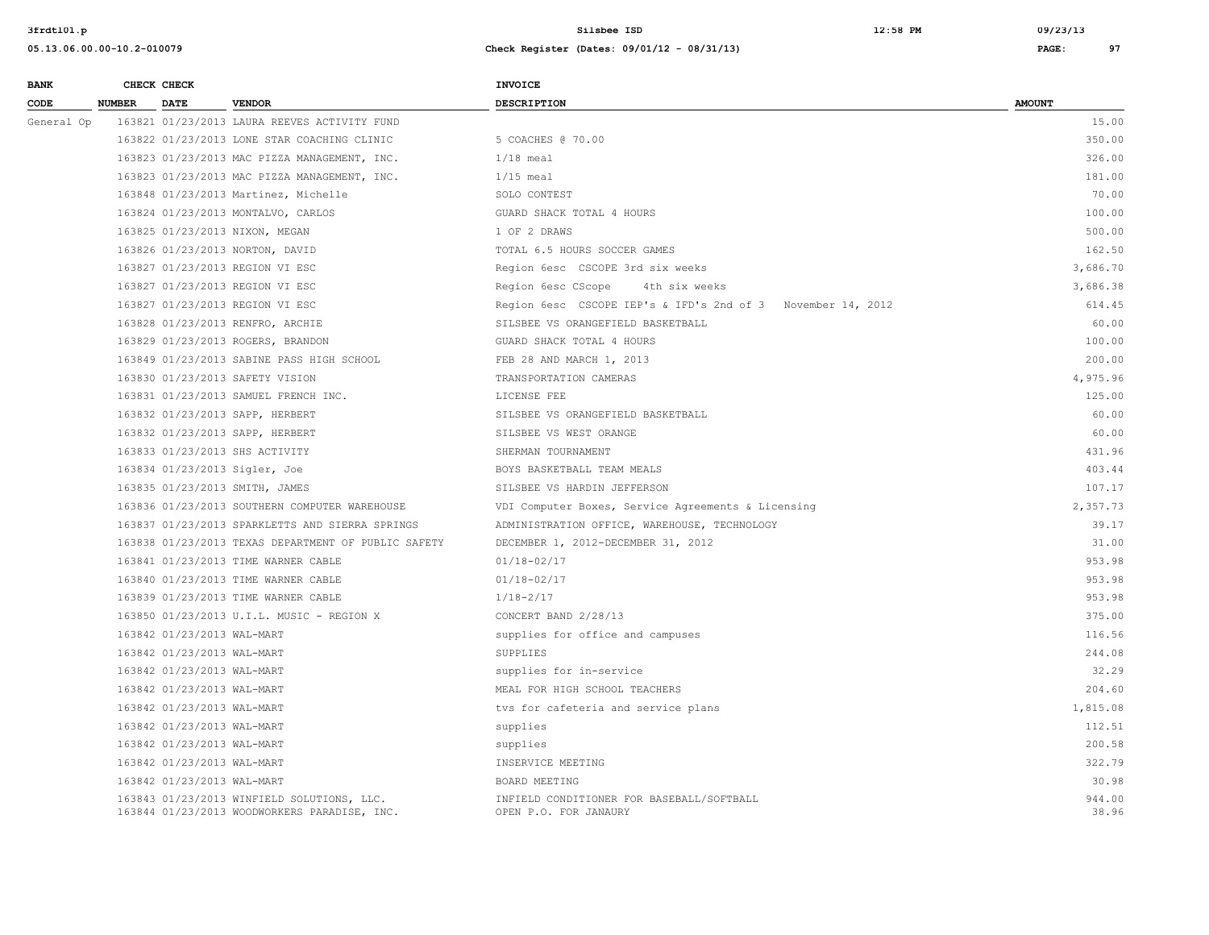| <b>BANK</b> |               | CHECK CHECK                |                                                                                            | <b>INVOICE</b>                                                     |                 |
|-------------|---------------|----------------------------|--------------------------------------------------------------------------------------------|--------------------------------------------------------------------|-----------------|
| CODE        | <b>NUMBER</b> | <b>DATE</b>                | <b>VENDOR</b>                                                                              | <b>DESCRIPTION</b>                                                 | <b>AMOUNT</b>   |
| General Op  |               |                            | 163821 01/23/2013 LAURA REEVES ACTIVITY FUND                                               |                                                                    | 15.00           |
|             |               |                            | 163822 01/23/2013 LONE STAR COACHING CLINIC                                                | 5 COACHES @ 70.00                                                  | 350.00          |
|             |               |                            | 163823 01/23/2013 MAC PIZZA MANAGEMENT, INC.                                               | $1/18$ meal                                                        | 326.00          |
|             |               |                            | 163823 01/23/2013 MAC PIZZA MANAGEMENT, INC.                                               | $1/15$ meal                                                        | 181.00          |
|             |               |                            | 163848 01/23/2013 Martinez, Michelle                                                       | SOLO CONTEST                                                       | 70.00           |
|             |               |                            | 163824 01/23/2013 MONTALVO, CARLOS                                                         | GUARD SHACK TOTAL 4 HOURS                                          | 100.00          |
|             |               |                            | 163825 01/23/2013 NIXON, MEGAN                                                             | 1 OF 2 DRAWS                                                       | 500.00          |
|             |               |                            | 163826 01/23/2013 NORTON, DAVID                                                            | TOTAL 6.5 HOURS SOCCER GAMES                                       | 162.50          |
|             |               |                            | 163827 01/23/2013 REGION VI ESC                                                            | Region 6esc CSCOPE 3rd six weeks                                   | 3,686.70        |
|             |               |                            | 163827 01/23/2013 REGION VI ESC                                                            | Region 6esc CScope<br>4th six weeks                                | 3,686.38        |
|             |               |                            | 163827 01/23/2013 REGION VI ESC                                                            | Region 6esc CSCOPE IEP's & IFD's 2nd of 3 November 14, 2012        | 614.45          |
|             |               |                            | 163828 01/23/2013 RENFRO, ARCHIE                                                           | SILSBEE VS ORANGEFIELD BASKETBALL                                  | 60.00           |
|             |               |                            | 163829 01/23/2013 ROGERS, BRANDON                                                          | GUARD SHACK TOTAL 4 HOURS                                          | 100.00          |
|             |               |                            | 163849 01/23/2013 SABINE PASS HIGH SCHOOL                                                  | FEB 28 AND MARCH 1, 2013                                           | 200.00          |
|             |               |                            | 163830 01/23/2013 SAFETY VISION                                                            | TRANSPORTATION CAMERAS                                             | 4,975.96        |
|             |               |                            | 163831 01/23/2013 SAMUEL FRENCH INC.                                                       | LICENSE FEE                                                        | 125.00          |
|             |               |                            | 163832 01/23/2013 SAPP, HERBERT                                                            | SILSBEE VS ORANGEFIELD BASKETBALL                                  | 60.00           |
|             |               |                            | 163832 01/23/2013 SAPP, HERBERT                                                            | SILSBEE VS WEST ORANGE                                             | 60.00           |
|             |               |                            | 163833 01/23/2013 SHS ACTIVITY                                                             | SHERMAN TOURNAMENT                                                 | 431.96          |
|             |               |                            | 163834 01/23/2013 Sigler, Joe                                                              | BOYS BASKETBALL TEAM MEALS                                         | 403.44          |
|             |               |                            | 163835 01/23/2013 SMITH, JAMES                                                             | SILSBEE VS HARDIN JEFFERSON                                        | 107.17          |
|             |               |                            | 163836 01/23/2013 SOUTHERN COMPUTER WAREHOUSE                                              | VDI Computer Boxes, Service Agreements & Licensing                 | 2,357.73        |
|             |               |                            | 163837 01/23/2013 SPARKLETTS AND SIERRA SPRINGS                                            | ADMINISTRATION OFFICE, WAREHOUSE, TECHNOLOGY                       | 39.17           |
|             |               |                            | 163838 01/23/2013 TEXAS DEPARTMENT OF PUBLIC SAFETY                                        | DECEMBER 1, 2012-DECEMBER 31, 2012                                 | 31.00           |
|             |               |                            | 163841 01/23/2013 TIME WARNER CABLE                                                        | 01/18-02/17                                                        | 953.98          |
|             |               |                            | 163840 01/23/2013 TIME WARNER CABLE                                                        | $01/18 - 02/17$                                                    | 953.98          |
|             |               |                            | 163839 01/23/2013 TIME WARNER CABLE                                                        | $1/18 - 2/17$                                                      | 953.98          |
|             |               |                            | 163850 01/23/2013 U.I.L. MUSIC - REGION X                                                  | CONCERT BAND 2/28/13                                               | 375.00          |
|             |               | 163842 01/23/2013 WAL-MART |                                                                                            | supplies for office and campuses                                   | 116.56          |
|             |               | 163842 01/23/2013 WAL-MART |                                                                                            | SUPPLIES                                                           | 244.08          |
|             |               | 163842 01/23/2013 WAL-MART |                                                                                            | supplies for in-service                                            | 32.29           |
|             |               | 163842 01/23/2013 WAL-MART |                                                                                            | MEAL FOR HIGH SCHOOL TEACHERS                                      | 204.60          |
|             |               | 163842 01/23/2013 WAL-MART |                                                                                            | tvs for cafeteria and service plans                                | 1,815.08        |
|             |               | 163842 01/23/2013 WAL-MART |                                                                                            | supplies                                                           | 112.51          |
|             |               | 163842 01/23/2013 WAL-MART |                                                                                            | supplies                                                           | 200.58          |
|             |               | 163842 01/23/2013 WAL-MART |                                                                                            | INSERVICE MEETING                                                  | 322.79          |
|             |               | 163842 01/23/2013 WAL-MART |                                                                                            | BOARD MEETING                                                      | 30.98           |
|             |               |                            | 163843 01/23/2013 WINFIELD SOLUTIONS, LLC.<br>163844 01/23/2013 WOODWORKERS PARADISE, INC. | INFIELD CONDITIONER FOR BASEBALL/SOFTBALL<br>OPEN P.O. FOR JANAURY | 944.00<br>38.96 |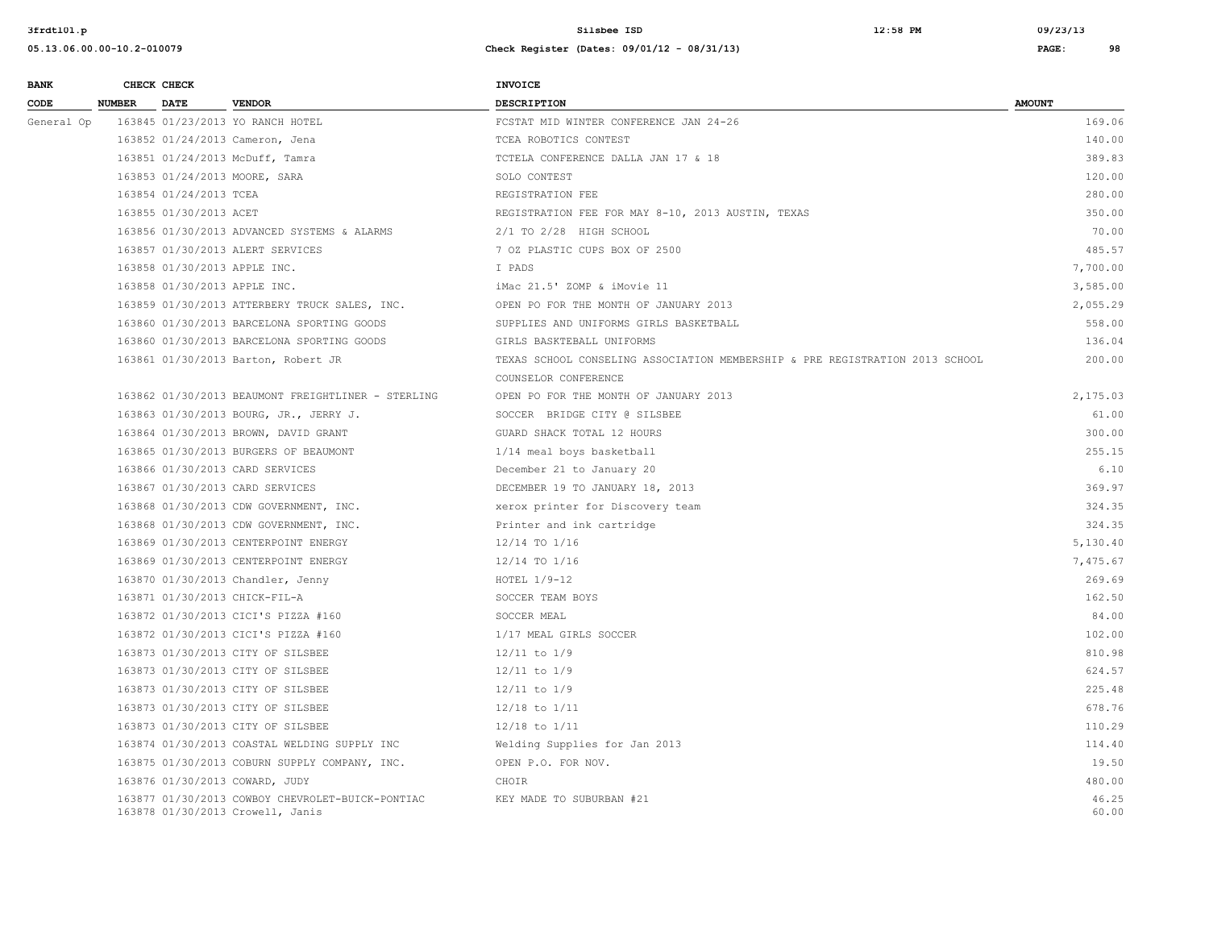**3frdtl01.p Silsbee ISD 12:58 PM 09/23/13**

| <b>BANK</b> |               | CHECK CHECK                  |                                                                                      | <b>INVOICE</b>                                                               |                |
|-------------|---------------|------------------------------|--------------------------------------------------------------------------------------|------------------------------------------------------------------------------|----------------|
| CODE        | <b>NUMBER</b> | <b>DATE</b>                  | <b>VENDOR</b>                                                                        | <b>DESCRIPTION</b>                                                           | <b>AMOUNT</b>  |
| General Op  |               |                              | 163845 01/23/2013 YO RANCH HOTEL                                                     | FCSTAT MID WINTER CONFERENCE JAN 24-26                                       | 169.06         |
|             |               |                              | 163852 01/24/2013 Cameron, Jena                                                      | TCEA ROBOTICS CONTEST                                                        | 140.00         |
|             |               |                              | 163851 01/24/2013 McDuff, Tamra                                                      | TCTELA CONFERENCE DALLA JAN 17 & 18                                          | 389.83         |
|             |               |                              | 163853 01/24/2013 MOORE, SARA                                                        | SOLO CONTEST                                                                 | 120.00         |
|             |               | 163854 01/24/2013 TCEA       |                                                                                      | REGISTRATION FEE                                                             | 280.00         |
|             |               | 163855 01/30/2013 ACET       |                                                                                      | REGISTRATION FEE FOR MAY 8-10, 2013 AUSTIN, TEXAS                            | 350.00         |
|             |               |                              | 163856 01/30/2013 ADVANCED SYSTEMS & ALARMS                                          | 2/1 TO 2/28 HIGH SCHOOL                                                      | 70.00          |
|             |               |                              | 163857 01/30/2013 ALERT SERVICES                                                     | 7 OZ PLASTIC CUPS BOX OF 2500                                                | 485.57         |
|             |               | 163858 01/30/2013 APPLE INC. |                                                                                      | I PADS                                                                       | 7,700.00       |
|             |               | 163858 01/30/2013 APPLE INC. |                                                                                      | iMac 21.5' ZOMP & iMovie 11                                                  | 3,585.00       |
|             |               |                              | 163859 01/30/2013 ATTERBERY TRUCK SALES, INC.                                        | OPEN PO FOR THE MONTH OF JANUARY 2013                                        | 2,055.29       |
|             |               |                              | 163860 01/30/2013 BARCELONA SPORTING GOODS                                           | SUPPLIES AND UNIFORMS GIRLS BASKETBALL                                       | 558.00         |
|             |               |                              | 163860 01/30/2013 BARCELONA SPORTING GOODS                                           | GIRLS BASKTEBALL UNIFORMS                                                    | 136.04         |
|             |               |                              | 163861 01/30/2013 Barton, Robert JR                                                  | TEXAS SCHOOL CONSELING ASSOCIATION MEMBERSHIP & PRE REGISTRATION 2013 SCHOOL | 200.00         |
|             |               |                              |                                                                                      | COUNSELOR CONFERENCE                                                         |                |
|             |               |                              | 163862 01/30/2013 BEAUMONT FREIGHTLINER - STERLING                                   | OPEN PO FOR THE MONTH OF JANUARY 2013                                        | 2,175.03       |
|             |               |                              | 163863 01/30/2013 BOURG, JR., JERRY J.                                               | SOCCER BRIDGE CITY @ SILSBEE                                                 | 61.00          |
|             |               |                              | 163864 01/30/2013 BROWN, DAVID GRANT                                                 | GUARD SHACK TOTAL 12 HOURS                                                   | 300.00         |
|             |               |                              | 163865 01/30/2013 BURGERS OF BEAUMONT                                                | 1/14 meal boys basketball                                                    | 255.15         |
|             |               |                              | 163866 01/30/2013 CARD SERVICES                                                      | December 21 to January 20                                                    | 6.10           |
|             |               |                              | 163867 01/30/2013 CARD SERVICES                                                      | DECEMBER 19 TO JANUARY 18, 2013                                              | 369.97         |
|             |               |                              | 163868 01/30/2013 CDW GOVERNMENT, INC.                                               | xerox printer for Discovery team                                             | 324.35         |
|             |               |                              | 163868 01/30/2013 CDW GOVERNMENT, INC.                                               | Printer and ink cartridge                                                    | 324.35         |
|             |               |                              | 163869 01/30/2013 CENTERPOINT ENERGY                                                 | 12/14 TO 1/16                                                                | 5,130.40       |
|             |               |                              | 163869 01/30/2013 CENTERPOINT ENERGY                                                 | 12/14 TO 1/16                                                                | 7,475.67       |
|             |               |                              | 163870 01/30/2013 Chandler, Jenny                                                    | HOTEL $1/9-12$                                                               | 269.69         |
|             |               |                              | 163871 01/30/2013 CHICK-FIL-A                                                        | SOCCER TEAM BOYS                                                             | 162.50         |
|             |               |                              | 163872 01/30/2013 CICI'S PIZZA #160                                                  | SOCCER MEAL                                                                  | 84.00          |
|             |               |                              | 163872 01/30/2013 CICI'S PIZZA #160                                                  | 1/17 MEAL GIRLS SOCCER                                                       | 102.00         |
|             |               |                              | 163873 01/30/2013 CITY OF SILSBEE                                                    | $12/11$ to $1/9$                                                             | 810.98         |
|             |               |                              | 163873 01/30/2013 CITY OF SILSBEE                                                    | $12/11$ to $1/9$                                                             | 624.57         |
|             |               |                              | 163873 01/30/2013 CITY OF SILSBEE                                                    | $12/11$ to $1/9$                                                             | 225.48         |
|             |               |                              | 163873 01/30/2013 CITY OF SILSBEE                                                    | 12/18 to 1/11                                                                | 678.76         |
|             |               |                              | 163873 01/30/2013 CITY OF SILSBEE                                                    | $12/18$ to $1/11$                                                            | 110.29         |
|             |               |                              | 163874 01/30/2013 COASTAL WELDING SUPPLY INC                                         | Welding Supplies for Jan 2013                                                | 114.40         |
|             |               |                              | 163875 01/30/2013 COBURN SUPPLY COMPANY, INC.                                        | OPEN P.O. FOR NOV.                                                           | 19.50          |
|             |               |                              | 163876 01/30/2013 COWARD, JUDY                                                       | CHOIR                                                                        | 480.00         |
|             |               |                              | 163877 01/30/2013 COWBOY CHEVROLET-BUICK-PONTIAC<br>163878 01/30/2013 Crowell, Janis | KEY MADE TO SUBURBAN #21                                                     | 46.25<br>60.00 |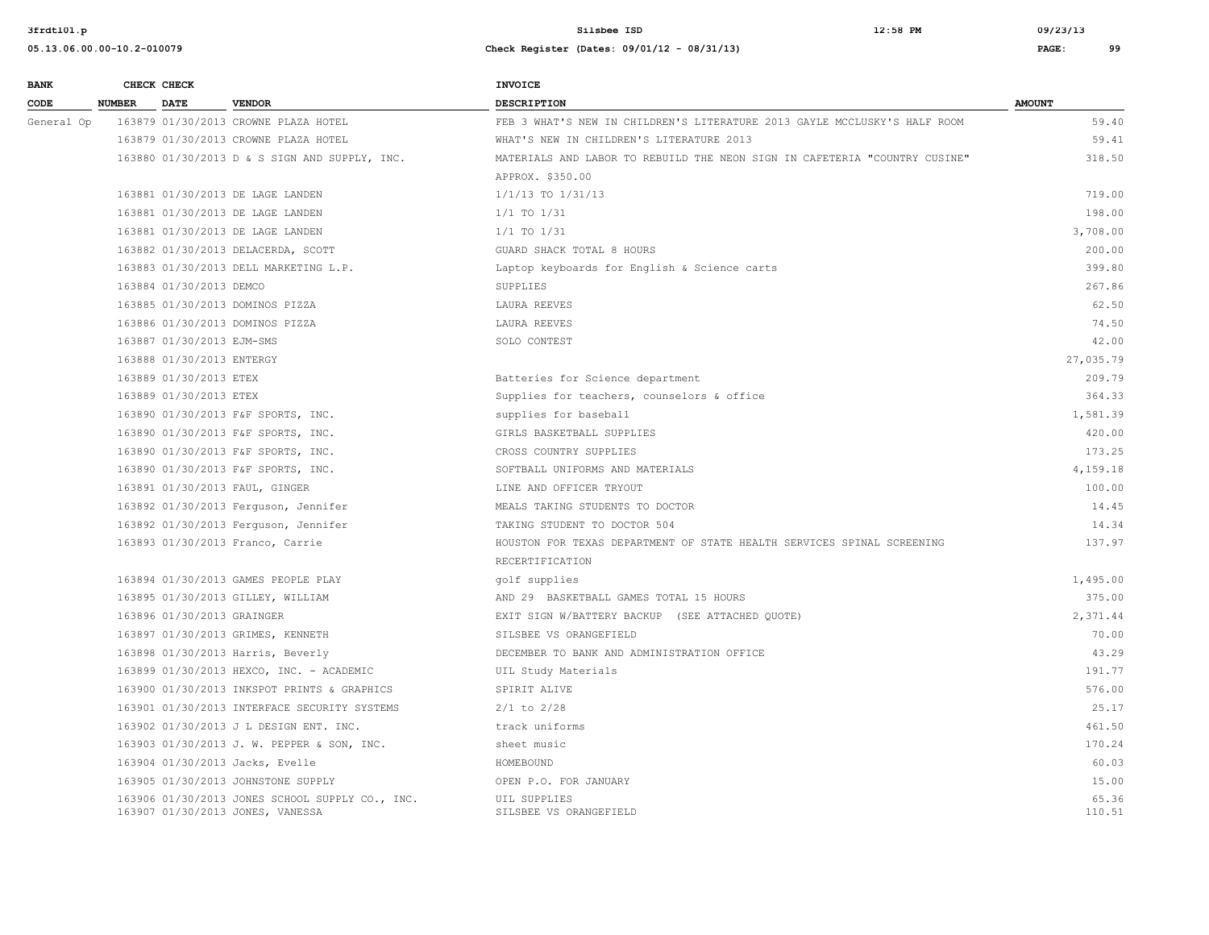| <b>BANK</b> |               | CHECK CHECK                |                                                                                     | <b>INVOICE</b>                                                             |                 |
|-------------|---------------|----------------------------|-------------------------------------------------------------------------------------|----------------------------------------------------------------------------|-----------------|
| CODE        | <b>NUMBER</b> | <b>DATE</b>                | <b>VENDOR</b>                                                                       | <b>DESCRIPTION</b>                                                         | <b>AMOUNT</b>   |
| General Op  |               |                            | 163879 01/30/2013 CROWNE PLAZA HOTEL                                                | FEB 3 WHAT'S NEW IN CHILDREN'S LITERATURE 2013 GAYLE MCCLUSKY'S HALF ROOM  | 59.40           |
|             |               |                            | 163879 01/30/2013 CROWNE PLAZA HOTEL                                                | WHAT'S NEW IN CHILDREN'S LITERATURE 2013                                   | 59.41           |
|             |               |                            | 163880 01/30/2013 D & S SIGN AND SUPPLY, INC.                                       | MATERIALS AND LABOR TO REBUILD THE NEON SIGN IN CAFETERIA "COUNTRY CUSINE" | 318.50          |
|             |               |                            |                                                                                     | APPROX, \$350.00                                                           |                 |
|             |               |                            | 163881 01/30/2013 DE LAGE LANDEN                                                    | $1/1/13$ TO $1/31/13$                                                      | 719.00          |
|             |               |                            | 163881 01/30/2013 DE LAGE LANDEN                                                    | $1/1$ TO $1/31$                                                            | 198.00          |
|             |               |                            | 163881 01/30/2013 DE LAGE LANDEN                                                    | 1/1 TO 1/31                                                                | 3,708.00        |
|             |               |                            | 163882 01/30/2013 DELACERDA, SCOTT                                                  | GUARD SHACK TOTAL 8 HOURS                                                  | 200.00          |
|             |               |                            | 163883 01/30/2013 DELL MARKETING L.P.                                               | Laptop keyboards for English & Science carts                               | 399.80          |
|             |               | 163884 01/30/2013 DEMCO    |                                                                                     | SUPPLIES                                                                   | 267.86          |
|             |               |                            | 163885 01/30/2013 DOMINOS PIZZA                                                     | LAURA REEVES                                                               | 62.50           |
|             |               |                            | 163886 01/30/2013 DOMINOS PIZZA                                                     | LAURA REEVES                                                               | 74.50           |
|             |               | 163887 01/30/2013 EJM-SMS  |                                                                                     | SOLO CONTEST                                                               | 42.00           |
|             |               | 163888 01/30/2013 ENTERGY  |                                                                                     |                                                                            | 27,035.79       |
|             |               | 163889 01/30/2013 ETEX     |                                                                                     | Batteries for Science department                                           | 209.79          |
|             |               | 163889 01/30/2013 ETEX     |                                                                                     | Supplies for teachers, counselors & office                                 | 364.33          |
|             |               |                            | 163890 01/30/2013 F&F SPORTS, INC.                                                  | supplies for baseball                                                      | 1,581.39        |
|             |               |                            | 163890 01/30/2013 F&F SPORTS, INC.                                                  | GIRLS BASKETBALL SUPPLIES                                                  | 420.00          |
|             |               |                            | 163890 01/30/2013 F&F SPORTS, INC.                                                  | CROSS COUNTRY SUPPLIES                                                     | 173.25          |
|             |               |                            | 163890 01/30/2013 F&F SPORTS, INC.                                                  | SOFTBALL UNIFORMS AND MATERIALS                                            | 4,159.18        |
|             |               |                            | 163891 01/30/2013 FAUL, GINGER                                                      | LINE AND OFFICER TRYOUT                                                    | 100.00          |
|             |               |                            | 163892 01/30/2013 Ferguson, Jennifer                                                | MEALS TAKING STUDENTS TO DOCTOR                                            | 14.45           |
|             |               |                            | 163892 01/30/2013 Ferguson, Jennifer                                                | TAKING STUDENT TO DOCTOR 504                                               | 14.34           |
|             |               |                            | 163893 01/30/2013 Franco, Carrie                                                    | HOUSTON FOR TEXAS DEPARTMENT OF STATE HEALTH SERVICES SPINAL SCREENING     | 137.97          |
|             |               |                            |                                                                                     | RECERTIFICATION                                                            |                 |
|             |               |                            | 163894 01/30/2013 GAMES PEOPLE PLAY                                                 | golf supplies                                                              | 1,495.00        |
|             |               |                            | 163895 01/30/2013 GILLEY, WILLIAM                                                   | AND 29 BASKETBALL GAMES TOTAL 15 HOURS                                     | 375.00          |
|             |               | 163896 01/30/2013 GRAINGER |                                                                                     | EXIT SIGN W/BATTERY BACKUP (SEE ATTACHED QUOTE)                            | 2,371.44        |
|             |               |                            | 163897 01/30/2013 GRIMES, KENNETH                                                   | SILSBEE VS ORANGEFIELD                                                     | 70.00           |
|             |               |                            | 163898 01/30/2013 Harris, Beverly                                                   | DECEMBER TO BANK AND ADMINISTRATION OFFICE                                 | 43.29           |
|             |               |                            | 163899 01/30/2013 HEXCO, INC. - ACADEMIC                                            | UIL Study Materials                                                        | 191.77          |
|             |               |                            | 163900 01/30/2013 INKSPOT PRINTS & GRAPHICS                                         | SPIRIT ALIVE                                                               | 576.00          |
|             |               |                            | 163901 01/30/2013 INTERFACE SECURITY SYSTEMS                                        | $2/1$ to $2/28$                                                            | 25.17           |
|             |               |                            | 163902 01/30/2013 J L DESIGN ENT. INC.                                              | track uniforms                                                             | 461.50          |
|             |               |                            | 163903 01/30/2013 J. W. PEPPER & SON, INC.                                          | sheet music                                                                | 170.24          |
|             |               |                            | 163904 01/30/2013 Jacks, Evelle                                                     | HOMEBOUND                                                                  | 60.03           |
|             |               |                            | 163905 01/30/2013 JOHNSTONE SUPPLY                                                  | OPEN P.O. FOR JANUARY                                                      | 15.00           |
|             |               |                            | 163906 01/30/2013 JONES SCHOOL SUPPLY CO., INC.<br>163907 01/30/2013 JONES, VANESSA | UIL SUPPLIES<br>SILSBEE VS ORANGEFIELD                                     | 65.36<br>110.51 |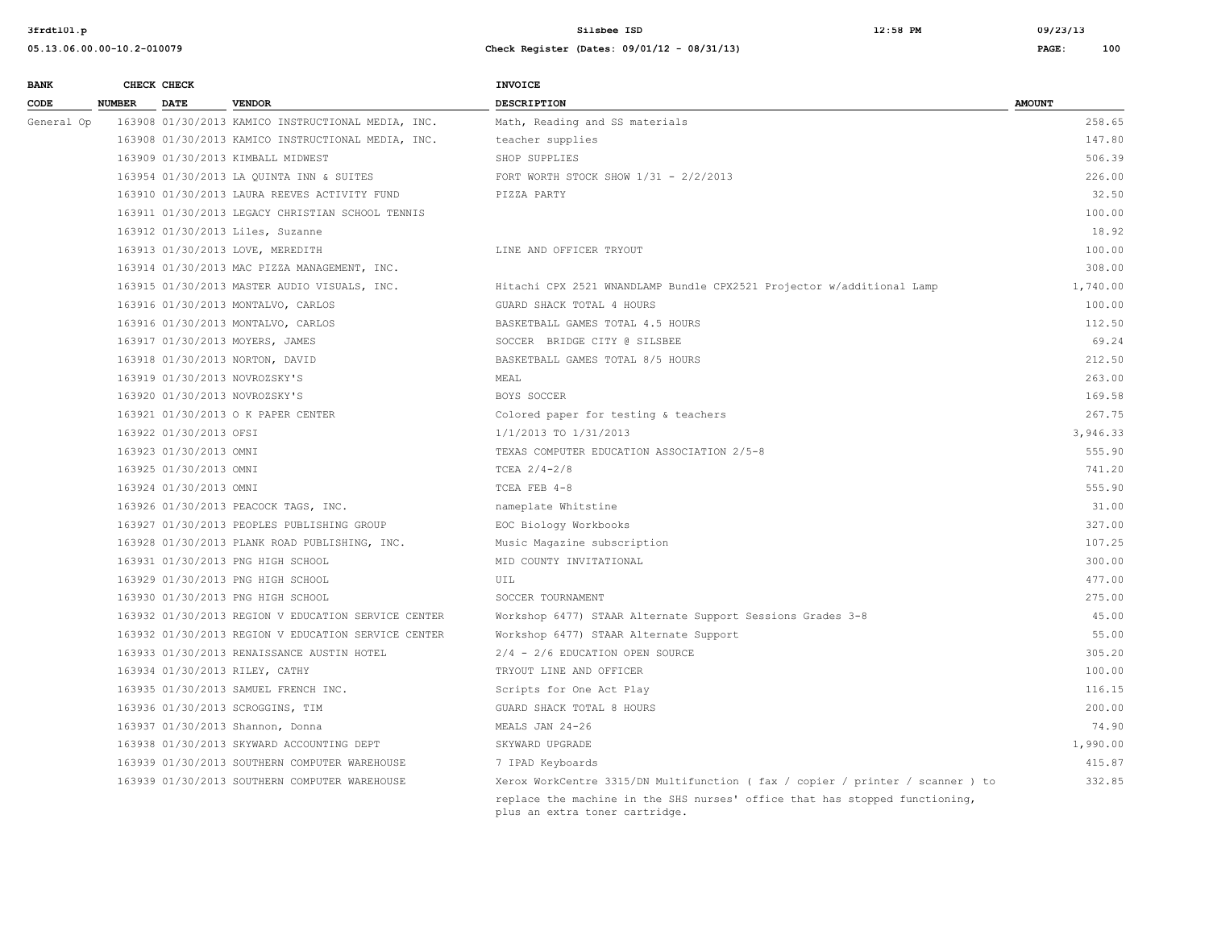**05.13.06.00.00-10.2-010079 Check Register (Dates: 09/01/12 - 08/31/13) PAGE: 100**

| <b>BANK</b> |        | CHECK CHECK            |                                                     | <b>INVOICE</b>                                                                 |               |
|-------------|--------|------------------------|-----------------------------------------------------|--------------------------------------------------------------------------------|---------------|
| CODE        | NUMBER | <b>DATE</b>            | <b>VENDOR</b>                                       | DESCRIPTION                                                                    | <b>AMOUNT</b> |
| General Op  |        |                        | 163908 01/30/2013 KAMICO INSTRUCTIONAL MEDIA, INC.  | Math, Reading and SS materials                                                 | 258.65        |
|             |        |                        | 163908 01/30/2013 KAMICO INSTRUCTIONAL MEDIA, INC.  | teacher supplies                                                               | 147.80        |
|             |        |                        | 163909 01/30/2013 KIMBALL MIDWEST                   | SHOP SUPPLIES                                                                  | 506.39        |
|             |        |                        | 163954 01/30/2013 LA QUINTA INN & SUITES            | FORT WORTH STOCK SHOW $1/31 - 2/2/2013$                                        | 226.00        |
|             |        |                        | 163910 01/30/2013 LAURA REEVES ACTIVITY FUND        | PIZZA PARTY                                                                    | 32.50         |
|             |        |                        | 163911 01/30/2013 LEGACY CHRISTIAN SCHOOL TENNIS    |                                                                                | 100.00        |
|             |        |                        | 163912 01/30/2013 Liles, Suzanne                    |                                                                                | 18.92         |
|             |        |                        | 163913 01/30/2013 LOVE, MEREDITH                    | LINE AND OFFICER TRYOUT                                                        | 100.00        |
|             |        |                        | 163914 01/30/2013 MAC PIZZA MANAGEMENT, INC.        |                                                                                | 308.00        |
|             |        |                        | 163915 01/30/2013 MASTER AUDIO VISUALS, INC.        | Hitachi CPX 2521 WNANDLAMP Bundle CPX2521 Projector w/additional Lamp          | 1,740.00      |
|             |        |                        | 163916 01/30/2013 MONTALVO, CARLOS                  | GUARD SHACK TOTAL 4 HOURS                                                      | 100.00        |
|             |        |                        | 163916 01/30/2013 MONTALVO, CARLOS                  | BASKETBALL GAMES TOTAL 4.5 HOURS                                               | 112.50        |
|             |        |                        | 163917 01/30/2013 MOYERS, JAMES                     | SOCCER BRIDGE CITY @ SILSBEE                                                   | 69.24         |
|             |        |                        | 163918 01/30/2013 NORTON, DAVID                     | BASKETBALL GAMES TOTAL 8/5 HOURS                                               | 212.50        |
|             |        |                        | 163919 01/30/2013 NOVROZSKY'S                       | MEAL                                                                           | 263.00        |
|             |        |                        | 163920 01/30/2013 NOVROZSKY'S                       | BOYS SOCCER                                                                    | 169.58        |
|             |        |                        | 163921 01/30/2013 O K PAPER CENTER                  | Colored paper for testing & teachers                                           | 267.75        |
|             |        | 163922 01/30/2013 OFSI |                                                     | 1/1/2013 TO 1/31/2013                                                          | 3,946.33      |
|             |        | 163923 01/30/2013 OMNI |                                                     | TEXAS COMPUTER EDUCATION ASSOCIATION 2/5-8                                     | 555.90        |
|             |        | 163925 01/30/2013 OMNI |                                                     | TCEA $2/4-2/8$                                                                 | 741.20        |
|             |        | 163924 01/30/2013 OMNI |                                                     | TCEA FEB 4-8                                                                   | 555.90        |
|             |        |                        | 163926 01/30/2013 PEACOCK TAGS, INC.                | nameplate Whitstine                                                            | 31.00         |
|             |        |                        | 163927 01/30/2013 PEOPLES PUBLISHING GROUP          | EOC Biology Workbooks                                                          | 327.00        |
|             |        |                        | 163928 01/30/2013 PLANK ROAD PUBLISHING, INC.       | Music Magazine subscription                                                    | 107.25        |
|             |        |                        | 163931 01/30/2013 PNG HIGH SCHOOL                   | MID COUNTY INVITATIONAL                                                        | 300.00        |
|             |        |                        | 163929 01/30/2013 PNG HIGH SCHOOL                   | UIL                                                                            | 477.00        |
|             |        |                        | 163930 01/30/2013 PNG HIGH SCHOOL                   | SOCCER TOURNAMENT                                                              | 275.00        |
|             |        |                        | 163932 01/30/2013 REGION V EDUCATION SERVICE CENTER | Workshop 6477) STAAR Alternate Support Sessions Grades 3-8                     | 45.00         |
|             |        |                        | 163932 01/30/2013 REGION V EDUCATION SERVICE CENTER | Workshop 6477) STAAR Alternate Support                                         | 55.00         |
|             |        |                        | 163933 01/30/2013 RENAISSANCE AUSTIN HOTEL          | 2/4 - 2/6 EDUCATION OPEN SOURCE                                                | 305.20        |
|             |        |                        | 163934 01/30/2013 RILEY, CATHY                      | TRYOUT LINE AND OFFICER                                                        | 100.00        |
|             |        |                        | 163935 01/30/2013 SAMUEL FRENCH INC.                | Scripts for One Act Play                                                       | 116.15        |
|             |        |                        | 163936 01/30/2013 SCROGGINS, TIM                    | GUARD SHACK TOTAL 8 HOURS                                                      | 200.00        |
|             |        |                        | 163937 01/30/2013 Shannon, Donna                    | MEALS JAN 24-26                                                                | 74.90         |
|             |        |                        | 163938 01/30/2013 SKYWARD ACCOUNTING DEPT           | SKYWARD UPGRADE                                                                | 1,990.00      |
|             |        |                        | 163939 01/30/2013 SOUTHERN COMPUTER WAREHOUSE       | 7 IPAD Keyboards                                                               | 415.87        |
|             |        |                        | 163939 01/30/2013 SOUTHERN COMPUTER WAREHOUSE       | Xerox WorkCentre 3315/DN Multifunction ( fax / copier / printer / scanner ) to | 332.85        |
|             |        |                        |                                                     | replace the machine in the SHS nurses' office that has stopped functioning,    |               |

plus an extra toner cartridge.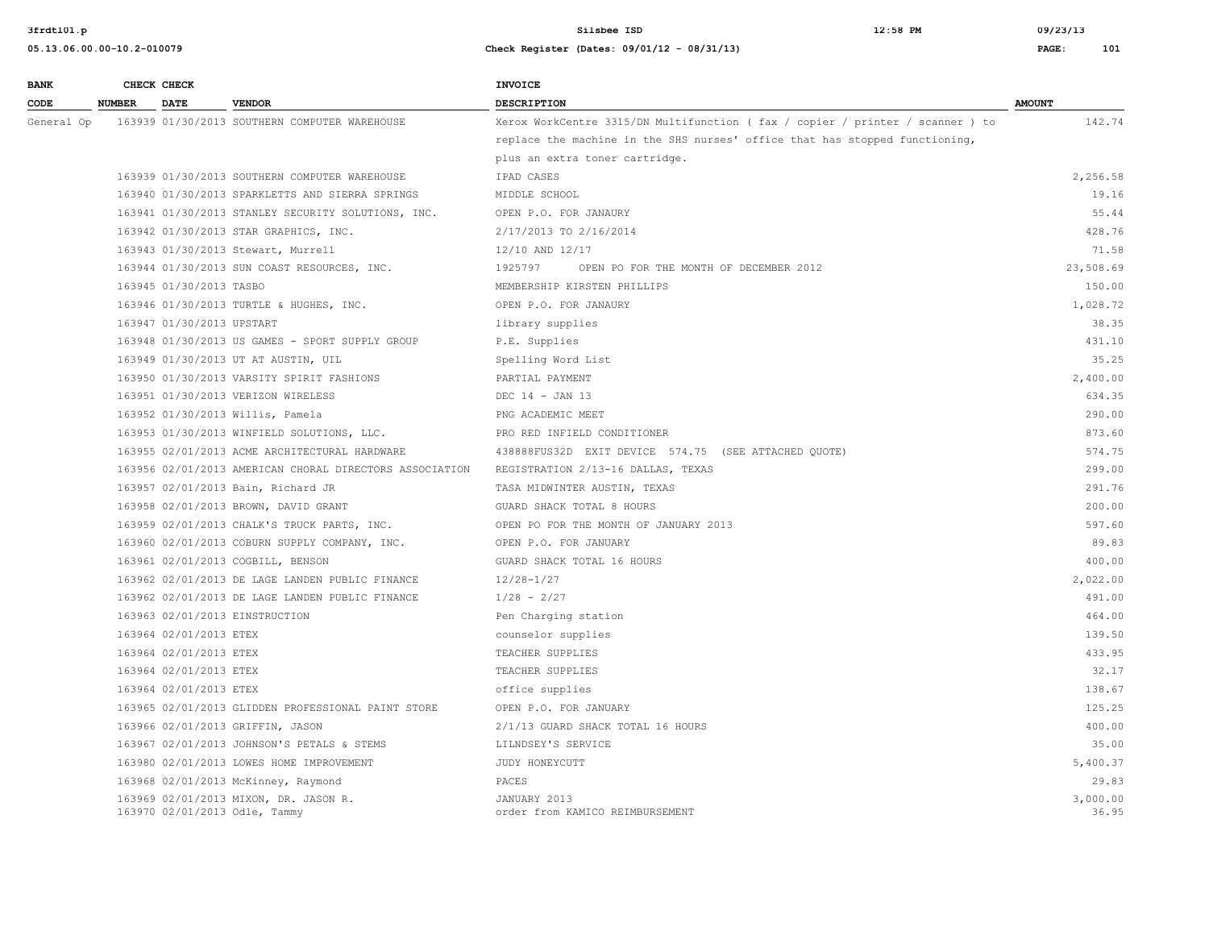| <b>BANK</b> |               | CHECK CHECK               |                                                                        | <b>INVOICE</b>                                                                 |                   |
|-------------|---------------|---------------------------|------------------------------------------------------------------------|--------------------------------------------------------------------------------|-------------------|
| CODE        | <b>NUMBER</b> | <b>DATE</b>               | <b>VENDOR</b>                                                          | <b>DESCRIPTION</b>                                                             | <b>AMOUNT</b>     |
| General Op  |               |                           | 163939 01/30/2013 SOUTHERN COMPUTER WAREHOUSE                          | Xerox WorkCentre 3315/DN Multifunction ( fax / copier / printer / scanner ) to | 142.74            |
|             |               |                           |                                                                        | replace the machine in the SHS nurses' office that has stopped functioning,    |                   |
|             |               |                           |                                                                        | plus an extra toner cartridge.                                                 |                   |
|             |               |                           | 163939 01/30/2013 SOUTHERN COMPUTER WAREHOUSE                          | IPAD CASES                                                                     | 2,256.58          |
|             |               |                           | 163940 01/30/2013 SPARKLETTS AND SIERRA SPRINGS                        | MIDDLE SCHOOL                                                                  | 19.16             |
|             |               |                           | 163941 01/30/2013 STANLEY SECURITY SOLUTIONS, INC.                     | OPEN P.O. FOR JANAURY                                                          | 55.44             |
|             |               |                           | 163942 01/30/2013 STAR GRAPHICS, INC.                                  | 2/17/2013 TO 2/16/2014                                                         | 428.76            |
|             |               |                           | 163943 01/30/2013 Stewart, Murrell                                     | 12/10 AND 12/17                                                                | 71.58             |
|             |               |                           | 163944 01/30/2013 SUN COAST RESOURCES, INC.                            | 1925797<br>OPEN PO FOR THE MONTH OF DECEMBER 2012                              | 23,508.69         |
|             |               | 163945 01/30/2013 TASBO   |                                                                        | MEMBERSHIP KIRSTEN PHILLIPS                                                    | 150.00            |
|             |               |                           | 163946 01/30/2013 TURTLE & HUGHES, INC.                                | OPEN P.O. FOR JANAURY                                                          | 1,028.72          |
|             |               | 163947 01/30/2013 UPSTART |                                                                        | library supplies                                                               | 38.35             |
|             |               |                           | 163948 01/30/2013 US GAMES - SPORT SUPPLY GROUP                        | P.E. Supplies                                                                  | 431.10            |
|             |               |                           | 163949 01/30/2013 UT AT AUSTIN, UIL                                    | Spelling Word List                                                             | 35.25             |
|             |               |                           | 163950 01/30/2013 VARSITY SPIRIT FASHIONS                              | PARTIAL PAYMENT                                                                | 2,400.00          |
|             |               |                           | 163951 01/30/2013 VERIZON WIRELESS                                     | DEC 14 - JAN 13                                                                | 634.35            |
|             |               |                           | 163952 01/30/2013 Willis, Pamela                                       | PNG ACADEMIC MEET                                                              | 290.00            |
|             |               |                           | 163953 01/30/2013 WINFIELD SOLUTIONS, LLC.                             | PRO RED INFIELD CONDITIONER                                                    | 873.60            |
|             |               |                           | 163955 02/01/2013 ACME ARCHITECTURAL HARDWARE                          | 438888FUS32D EXIT DEVICE 574.75 (SEE ATTACHED QUOTE)                           | 574.75            |
|             |               |                           | 163956 02/01/2013 AMERICAN CHORAL DIRECTORS ASSOCIATION                | REGISTRATION 2/13-16 DALLAS, TEXAS                                             | 299.00            |
|             |               |                           | 163957 02/01/2013 Bain, Richard JR                                     | TASA MIDWINTER AUSTIN, TEXAS                                                   | 291.76            |
|             |               |                           | 163958 02/01/2013 BROWN, DAVID GRANT                                   | GUARD SHACK TOTAL 8 HOURS                                                      | 200.00            |
|             |               |                           | 163959 02/01/2013 CHALK'S TRUCK PARTS, INC.                            | OPEN PO FOR THE MONTH OF JANUARY 2013                                          | 597.60            |
|             |               |                           | 163960 02/01/2013 COBURN SUPPLY COMPANY, INC.                          | OPEN P.O. FOR JANUARY                                                          | 89.83             |
|             |               |                           | 163961 02/01/2013 COGBILL, BENSON                                      | GUARD SHACK TOTAL 16 HOURS                                                     | 400.00            |
|             |               |                           | 163962 02/01/2013 DE LAGE LANDEN PUBLIC FINANCE                        | $12/28 - 1/27$                                                                 | 2,022.00          |
|             |               |                           | 163962 02/01/2013 DE LAGE LANDEN PUBLIC FINANCE                        | $1/28 - 2/27$                                                                  | 491.00            |
|             |               |                           | 163963 02/01/2013 EINSTRUCTION                                         | Pen Charging station                                                           | 464.00            |
|             |               | 163964 02/01/2013 ETEX    |                                                                        | counselor supplies                                                             | 139.50            |
|             |               | 163964 02/01/2013 ETEX    |                                                                        | TEACHER SUPPLIES                                                               | 433.95            |
|             |               | 163964 02/01/2013 ETEX    |                                                                        | TEACHER SUPPLIES                                                               | 32.17             |
|             |               | 163964 02/01/2013 ETEX    |                                                                        | office supplies                                                                | 138.67            |
|             |               |                           | 163965 02/01/2013 GLIDDEN PROFESSIONAL PAINT STORE                     | OPEN P.O. FOR JANUARY                                                          | 125.25            |
|             |               |                           | 163966 02/01/2013 GRIFFIN, JASON                                       | 2/1/13 GUARD SHACK TOTAL 16 HOURS                                              | 400.00            |
|             |               |                           | 163967 02/01/2013 JOHNSON'S PETALS & STEMS                             | LILNDSEY'S SERVICE                                                             | 35.00             |
|             |               |                           | 163980 02/01/2013 LOWES HOME IMPROVEMENT                               | JUDY HONEYCUTT                                                                 | 5,400.37          |
|             |               |                           | 163968 02/01/2013 McKinney, Raymond                                    | PACES                                                                          | 29.83             |
|             |               |                           | 163969 02/01/2013 MIXON, DR. JASON R.<br>163970 02/01/2013 Odle, Tammy | JANUARY 2013<br>order from KAMICO REIMBURSEMENT                                | 3,000.00<br>36.95 |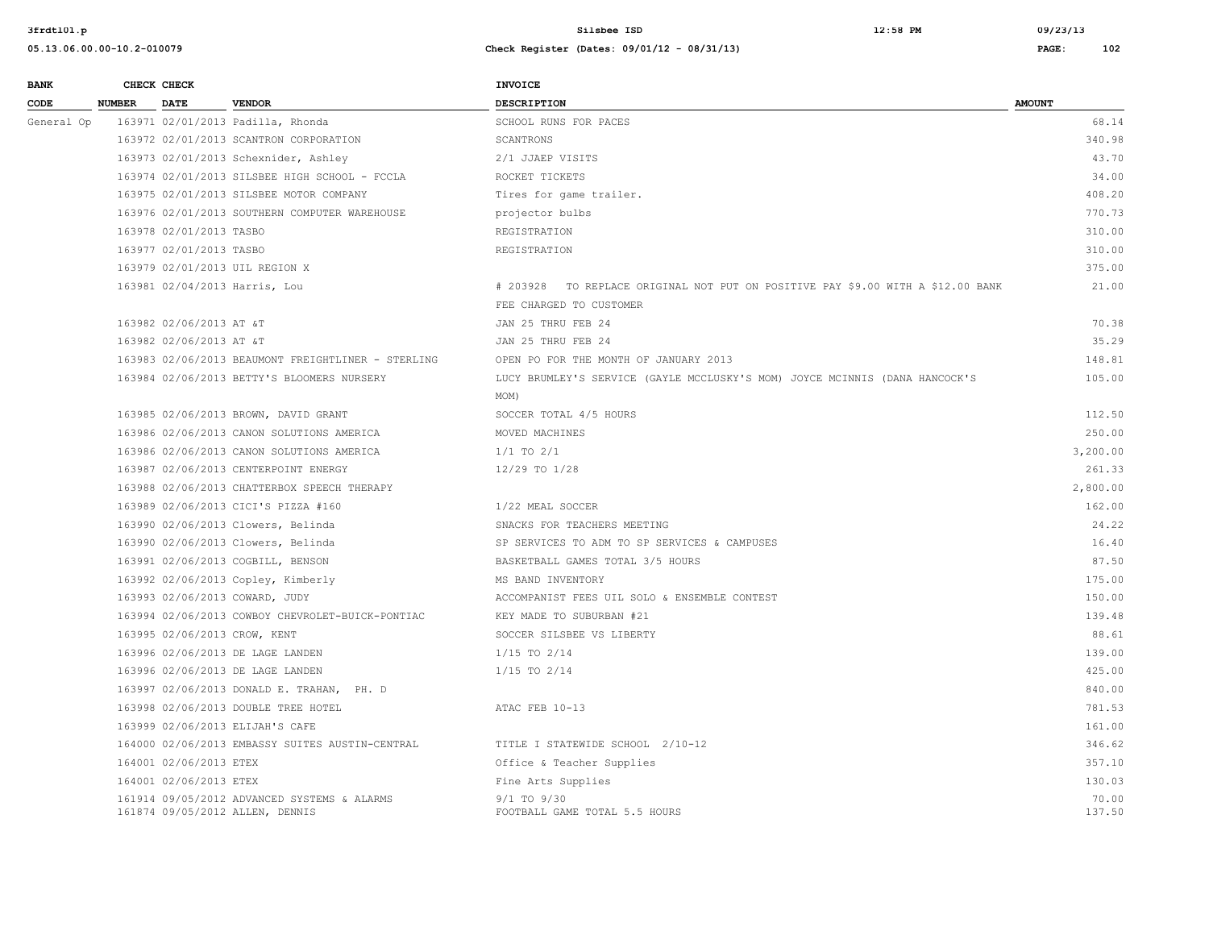| <b>BANK</b> |               | CHECK CHECK             |                                                                                | <b>INVOICE</b>                                                                  |                 |
|-------------|---------------|-------------------------|--------------------------------------------------------------------------------|---------------------------------------------------------------------------------|-----------------|
| CODE        | <b>NUMBER</b> | DATE                    | <b>VENDOR</b>                                                                  | <b>DESCRIPTION</b>                                                              | <b>AMOUNT</b>   |
| General Op  |               |                         | 163971 02/01/2013 Padilla, Rhonda                                              | SCHOOL RUNS FOR PACES                                                           | 68.14           |
|             |               |                         | 163972 02/01/2013 SCANTRON CORPORATION                                         | SCANTRONS                                                                       | 340.98          |
|             |               |                         | 163973 02/01/2013 Schexnider, Ashley                                           | 2/1 JJAEP VISITS                                                                | 43.70           |
|             |               |                         | 163974 02/01/2013 SILSBEE HIGH SCHOOL - FCCLA                                  | ROCKET TICKETS                                                                  | 34.00           |
|             |               |                         | 163975 02/01/2013 SILSBEE MOTOR COMPANY                                        | Tires for game trailer.                                                         | 408.20          |
|             |               |                         | 163976 02/01/2013 SOUTHERN COMPUTER WAREHOUSE                                  | projector bulbs                                                                 | 770.73          |
|             |               | 163978 02/01/2013 TASBO |                                                                                | REGISTRATION                                                                    | 310.00          |
|             |               | 163977 02/01/2013 TASBO |                                                                                | REGISTRATION                                                                    | 310.00          |
|             |               |                         | 163979 02/01/2013 UIL REGION X                                                 |                                                                                 | 375.00          |
|             |               |                         | 163981 02/04/2013 Harris, Lou                                                  | # 203928 TO REPLACE ORIGINAL NOT PUT ON POSITIVE PAY \$9.00 WITH A \$12.00 BANK | 21.00           |
|             |               |                         |                                                                                | FEE CHARGED TO CUSTOMER                                                         |                 |
|             |               | 163982 02/06/2013 AT &T |                                                                                | JAN 25 THRU FEB 24                                                              | 70.38           |
|             |               | 163982 02/06/2013 AT &T |                                                                                | JAN 25 THRU FEB 24                                                              | 35.29           |
|             |               |                         | 163983 02/06/2013 BEAUMONT FREIGHTLINER - STERLING                             | OPEN PO FOR THE MONTH OF JANUARY 2013                                           | 148.81          |
|             |               |                         | 163984 02/06/2013 BETTY'S BLOOMERS NURSERY                                     | LUCY BRUMLEY'S SERVICE (GAYLE MCCLUSKY'S MOM) JOYCE MCINNIS (DANA HANCOCK'S     | 105.00          |
|             |               |                         |                                                                                | MOM)                                                                            |                 |
|             |               |                         | 163985 02/06/2013 BROWN, DAVID GRANT                                           | SOCCER TOTAL 4/5 HOURS                                                          | 112.50          |
|             |               |                         | 163986 02/06/2013 CANON SOLUTIONS AMERICA                                      | MOVED MACHINES                                                                  | 250.00          |
|             |               |                         | 163986 02/06/2013 CANON SOLUTIONS AMERICA                                      | $1/1$ TO $2/1$                                                                  | 3,200.00        |
|             |               |                         | 163987 02/06/2013 CENTERPOINT ENERGY                                           | 12/29 TO 1/28                                                                   | 261.33          |
|             |               |                         | 163988 02/06/2013 CHATTERBOX SPEECH THERAPY                                    |                                                                                 | 2,800.00        |
|             |               |                         | 163989 02/06/2013 CICI'S PIZZA #160                                            | 1/22 MEAL SOCCER                                                                | 162.00          |
|             |               |                         | 163990 02/06/2013 Clowers, Belinda                                             | SNACKS FOR TEACHERS MEETING                                                     | 24.22           |
|             |               |                         | 163990 02/06/2013 Clowers, Belinda                                             | SP SERVICES TO ADM TO SP SERVICES & CAMPUSES                                    | 16.40           |
|             |               |                         | 163991 02/06/2013 COGBILL, BENSON                                              | BASKETBALL GAMES TOTAL 3/5 HOURS                                                | 87.50           |
|             |               |                         | 163992 02/06/2013 Copley, Kimberly                                             | MS BAND INVENTORY                                                               | 175.00          |
|             |               |                         | 163993 02/06/2013 COWARD, JUDY                                                 | ACCOMPANIST FEES UIL SOLO & ENSEMBLE CONTEST                                    | 150.00          |
|             |               |                         | 163994 02/06/2013 COWBOY CHEVROLET-BUICK-PONTIAC                               | KEY MADE TO SUBURBAN #21                                                        | 139.48          |
|             |               |                         | 163995 02/06/2013 CROW, KENT                                                   | SOCCER SILSBEE VS LIBERTY                                                       | 88.61           |
|             |               |                         | 163996 02/06/2013 DE LAGE LANDEN                                               | $1/15$ TO $2/14$                                                                | 139.00          |
|             |               |                         | 163996 02/06/2013 DE LAGE LANDEN                                               | $1/15$ TO $2/14$                                                                | 425.00          |
|             |               |                         | 163997 02/06/2013 DONALD E. TRAHAN, PH. D                                      |                                                                                 | 840.00          |
|             |               |                         | 163998 02/06/2013 DOUBLE TREE HOTEL                                            | ATAC FEB 10-13                                                                  | 781.53          |
|             |               |                         | 163999 02/06/2013 ELIJAH'S CAFE                                                |                                                                                 | 161.00          |
|             |               |                         | 164000 02/06/2013 EMBASSY SUITES AUSTIN-CENTRAL                                | TITLE I STATEWIDE SCHOOL 2/10-12                                                | 346.62          |
|             |               | 164001 02/06/2013 ETEX  |                                                                                | Office & Teacher Supplies                                                       | 357.10          |
|             |               | 164001 02/06/2013 ETEX  |                                                                                | Fine Arts Supplies                                                              | 130.03          |
|             |               |                         | 161914 09/05/2012 ADVANCED SYSTEMS & ALARMS<br>161874 09/05/2012 ALLEN, DENNIS | $9/1$ TO $9/30$<br>FOOTBALL GAME TOTAL 5.5 HOURS                                | 70.00<br>137.50 |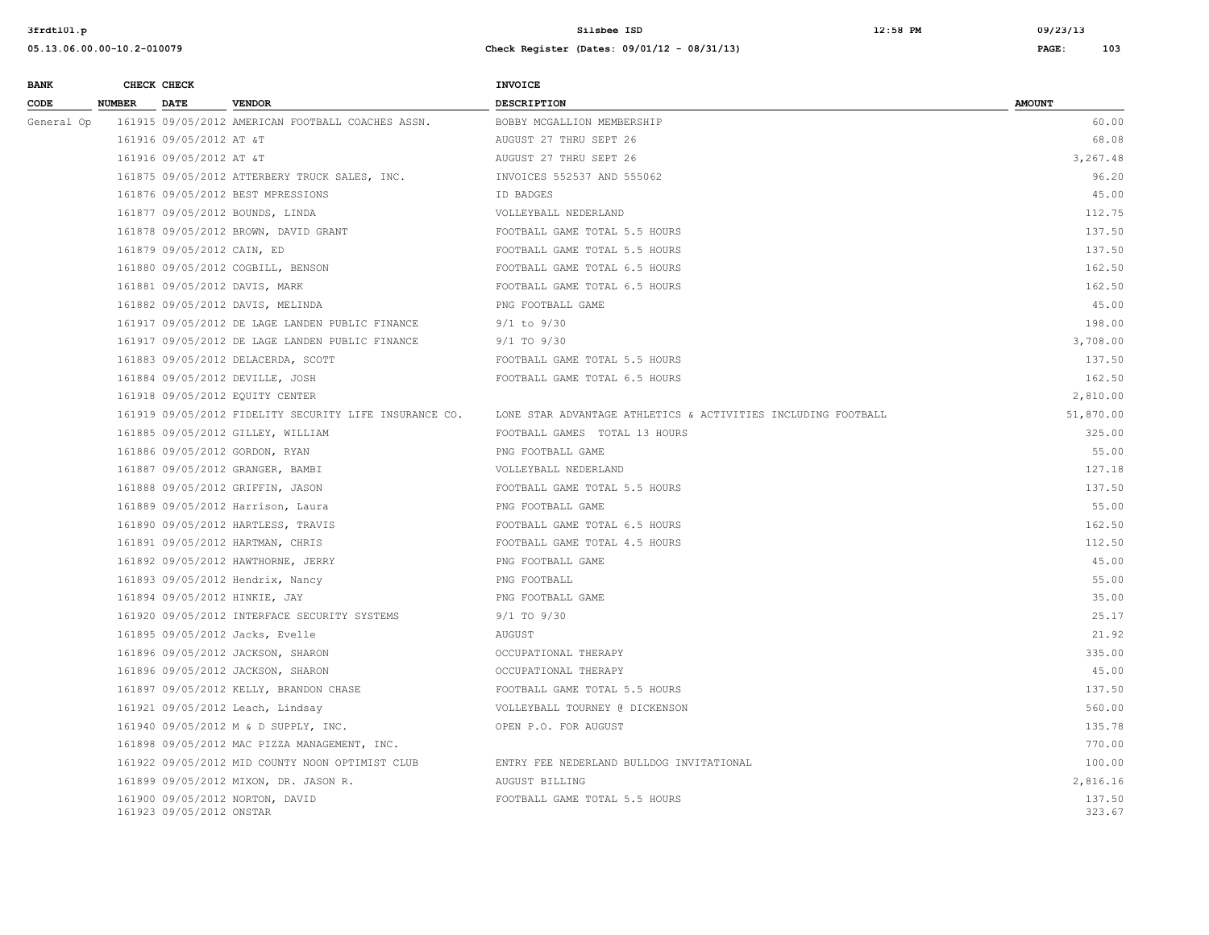| <b>BANK</b> |               | CHECK CHECK                |                                                        | <b>INVOICE</b>                                                |                  |
|-------------|---------------|----------------------------|--------------------------------------------------------|---------------------------------------------------------------|------------------|
| CODE        | <b>NUMBER</b> | DATE                       | <b>VENDOR</b>                                          | <b>DESCRIPTION</b>                                            | <b>AMOUNT</b>    |
| General Op  |               |                            | 161915 09/05/2012 AMERICAN FOOTBALL COACHES ASSN.      | BOBBY MCGALLION MEMBERSHIP                                    | 60.00            |
|             |               | 161916 09/05/2012 AT &T    |                                                        | AUGUST 27 THRU SEPT 26                                        | 68.08            |
|             |               | 161916 09/05/2012 AT &T    |                                                        | AUGUST 27 THRU SEPT 26                                        | 3,267.48         |
|             |               |                            | 161875 09/05/2012 ATTERBERY TRUCK SALES, INC.          | INVOICES 552537 AND 555062                                    | 96.20            |
|             |               |                            | 161876 09/05/2012 BEST MPRESSIONS                      | ID BADGES                                                     | 45.00            |
|             |               |                            | 161877 09/05/2012 BOUNDS, LINDA                        | VOLLEYBALL NEDERLAND                                          | 112.75           |
|             |               |                            | 161878 09/05/2012 BROWN, DAVID GRANT                   | FOOTBALL GAME TOTAL 5.5 HOURS                                 | 137.50           |
|             |               | 161879 09/05/2012 CAIN, ED |                                                        | FOOTBALL GAME TOTAL 5.5 HOURS                                 | 137.50           |
|             |               |                            | 161880 09/05/2012 COGBILL, BENSON                      | FOOTBALL GAME TOTAL 6.5 HOURS                                 | 162.50           |
|             |               |                            | 161881 09/05/2012 DAVIS, MARK                          | FOOTBALL GAME TOTAL 6.5 HOURS                                 | 162.50           |
|             |               |                            | 161882 09/05/2012 DAVIS, MELINDA                       | PNG FOOTBALL GAME                                             | 45.00            |
|             |               |                            | 161917 09/05/2012 DE LAGE LANDEN PUBLIC FINANCE        | $9/1$ to $9/30$                                               | 198.00           |
|             |               |                            | 161917 09/05/2012 DE LAGE LANDEN PUBLIC FINANCE        | 9/1 TO 9/30                                                   | 3,708.00         |
|             |               |                            | 161883 09/05/2012 DELACERDA, SCOTT                     | FOOTBALL GAME TOTAL 5.5 HOURS                                 | 137.50           |
|             |               |                            | 161884 09/05/2012 DEVILLE, JOSH                        | FOOTBALL GAME TOTAL 6.5 HOURS                                 | 162.50           |
|             |               |                            | 161918 09/05/2012 EQUITY CENTER                        |                                                               | 2,810.00         |
|             |               |                            | 161919 09/05/2012 FIDELITY SECURITY LIFE INSURANCE CO. | LONE STAR ADVANTAGE ATHLETICS & ACTIVITIES INCLUDING FOOTBALL | 51,870.00        |
|             |               |                            | 161885 09/05/2012 GILLEY, WILLIAM                      | FOOTBALL GAMES TOTAL 13 HOURS                                 | 325.00           |
|             |               |                            | 161886 09/05/2012 GORDON, RYAN                         | PNG FOOTBALL GAME                                             | 55.00            |
|             |               |                            | 161887 09/05/2012 GRANGER, BAMBI                       | VOLLEYBALL NEDERLAND                                          | 127.18           |
|             |               |                            | 161888 09/05/2012 GRIFFIN, JASON                       | FOOTBALL GAME TOTAL 5.5 HOURS                                 | 137.50           |
|             |               |                            | 161889 09/05/2012 Harrison, Laura                      | PNG FOOTBALL GAME                                             | 55.00            |
|             |               |                            | 161890 09/05/2012 HARTLESS, TRAVIS                     | FOOTBALL GAME TOTAL 6.5 HOURS                                 | 162.50           |
|             |               |                            | 161891 09/05/2012 HARTMAN, CHRIS                       | FOOTBALL GAME TOTAL 4.5 HOURS                                 | 112.50           |
|             |               |                            | 161892 09/05/2012 HAWTHORNE, JERRY                     | PNG FOOTBALL GAME                                             | 45.00            |
|             |               |                            | 161893 09/05/2012 Hendrix, Nancy                       | PNG FOOTBALL                                                  | 55.00            |
|             |               |                            | 161894 09/05/2012 HINKIE, JAY                          | PNG FOOTBALL GAME                                             | 35.00            |
|             |               |                            | 161920 09/05/2012 INTERFACE SECURITY SYSTEMS           | 9/1 TO 9/30                                                   | 25.17            |
|             |               |                            | 161895 09/05/2012 Jacks, Evelle                        | AUGUST                                                        | 21.92            |
|             |               |                            | 161896 09/05/2012 JACKSON, SHARON                      | OCCUPATIONAL THERAPY                                          | 335.00           |
|             |               |                            | 161896 09/05/2012 JACKSON, SHARON                      | OCCUPATIONAL THERAPY                                          | 45.00            |
|             |               |                            | 161897 09/05/2012 KELLY, BRANDON CHASE                 | FOOTBALL GAME TOTAL 5.5 HOURS                                 | 137.50           |
|             |               |                            | 161921 09/05/2012 Leach, Lindsay                       | VOLLEYBALL TOURNEY @ DICKENSON                                | 560.00           |
|             |               |                            | 161940 09/05/2012 M & D SUPPLY, INC.                   | OPEN P.O. FOR AUGUST                                          | 135.78           |
|             |               |                            | 161898 09/05/2012 MAC PIZZA MANAGEMENT, INC.           |                                                               | 770.00           |
|             |               |                            | 161922 09/05/2012 MID COUNTY NOON OPTIMIST CLUB        | ENTRY FEE NEDERLAND BULLDOG INVITATIONAL                      | 100.00           |
|             |               |                            | 161899 09/05/2012 MIXON, DR. JASON R.                  | AUGUST BILLING                                                | 2,816.16         |
|             |               | 161923 09/05/2012 ONSTAR   | 161900 09/05/2012 NORTON, DAVID                        | FOOTBALL GAME TOTAL 5.5 HOURS                                 | 137.50<br>323.67 |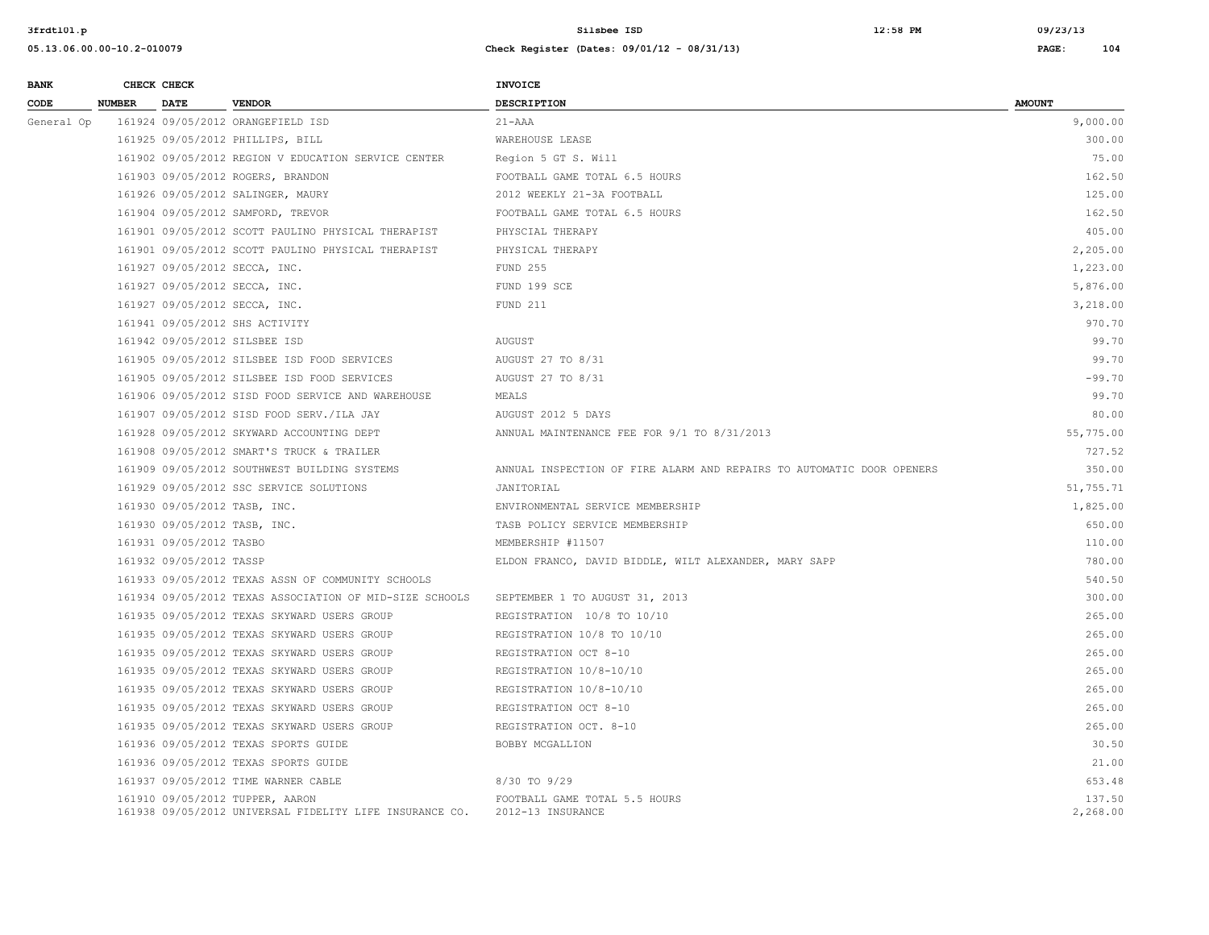| <b>BANK</b> |               | CHECK CHECK                  |                                                                                            | <b>INVOICE</b>                                                        |                    |
|-------------|---------------|------------------------------|--------------------------------------------------------------------------------------------|-----------------------------------------------------------------------|--------------------|
| CODE        | <b>NUMBER</b> | <b>DATE</b>                  | <b>VENDOR</b>                                                                              | <b>DESCRIPTION</b>                                                    | <b>AMOUNT</b>      |
| General Op  |               |                              | 161924 09/05/2012 ORANGEFIELD ISD                                                          | $21 - AAA$                                                            | 9,000.00           |
|             |               |                              | 161925 09/05/2012 PHILLIPS, BILL                                                           | WAREHOUSE LEASE                                                       | 300.00             |
|             |               |                              | 161902 09/05/2012 REGION V EDUCATION SERVICE CENTER                                        | Region 5 GT S. Will                                                   | 75.00              |
|             |               |                              | 161903 09/05/2012 ROGERS, BRANDON                                                          | FOOTBALL GAME TOTAL 6.5 HOURS                                         | 162.50             |
|             |               |                              | 161926 09/05/2012 SALINGER, MAURY                                                          | 2012 WEEKLY 21-3A FOOTBALL                                            | 125.00             |
|             |               |                              | 161904 09/05/2012 SAMFORD, TREVOR                                                          | FOOTBALL GAME TOTAL 6.5 HOURS                                         | 162.50             |
|             |               |                              | 161901 09/05/2012 SCOTT PAULINO PHYSICAL THERAPIST                                         | PHYSCIAL THERAPY                                                      | 405.00             |
|             |               |                              | 161901 09/05/2012 SCOTT PAULINO PHYSICAL THERAPIST                                         | PHYSICAL THERAPY                                                      | 2,205.00           |
|             |               |                              | 161927 09/05/2012 SECCA, INC.                                                              | FUND 255                                                              | 1,223.00           |
|             |               |                              | 161927 09/05/2012 SECCA, INC.                                                              | FUND 199 SCE                                                          | 5,876.00           |
|             |               |                              | 161927 09/05/2012 SECCA, INC.                                                              | FUND 211                                                              | 3,218.00           |
|             |               |                              | 161941 09/05/2012 SHS ACTIVITY                                                             |                                                                       | 970.70             |
|             |               |                              | 161942 09/05/2012 SILSBEE ISD                                                              | <b>AUGUST</b>                                                         | 99.70              |
|             |               |                              | 161905 09/05/2012 SILSBEE ISD FOOD SERVICES                                                | AUGUST 27 TO 8/31                                                     | 99.70              |
|             |               |                              | 161905 09/05/2012 SILSBEE ISD FOOD SERVICES                                                | AUGUST 27 TO 8/31                                                     | $-99.70$           |
|             |               |                              | 161906 09/05/2012 SISD FOOD SERVICE AND WAREHOUSE                                          | MEALS                                                                 | 99.70              |
|             |               |                              | 161907 09/05/2012 SISD FOOD SERV./ILA JAY                                                  | AUGUST 2012 5 DAYS                                                    | 80.00              |
|             |               |                              | 161928 09/05/2012 SKYWARD ACCOUNTING DEPT                                                  | ANNUAL MAINTENANCE FEE FOR 9/1 TO 8/31/2013                           | 55,775.00          |
|             |               |                              | 161908 09/05/2012 SMART'S TRUCK & TRAILER                                                  |                                                                       | 727.52             |
|             |               |                              | 161909 09/05/2012 SOUTHWEST BUILDING SYSTEMS                                               | ANNUAL INSPECTION OF FIRE ALARM AND REPAIRS TO AUTOMATIC DOOR OPENERS | 350.00             |
|             |               |                              | 161929 09/05/2012 SSC SERVICE SOLUTIONS                                                    | JANITORIAL                                                            | 51,755.71          |
|             |               | 161930 09/05/2012 TASB, INC. |                                                                                            | ENVIRONMENTAL SERVICE MEMBERSHIP                                      | 1,825.00           |
|             |               | 161930 09/05/2012 TASB, INC. |                                                                                            | TASB POLICY SERVICE MEMBERSHIP                                        | 650.00             |
|             |               | 161931 09/05/2012 TASBO      |                                                                                            | MEMBERSHIP #11507                                                     | 110.00             |
|             |               | 161932 09/05/2012 TASSP      |                                                                                            | ELDON FRANCO, DAVID BIDDLE, WILT ALEXANDER, MARY SAPP                 | 780.00             |
|             |               |                              | 161933 09/05/2012 TEXAS ASSN OF COMMUNITY SCHOOLS                                          |                                                                       | 540.50             |
|             |               |                              | 161934 09/05/2012 TEXAS ASSOCIATION OF MID-SIZE SCHOOLS                                    | SEPTEMBER 1 TO AUGUST 31, 2013                                        | 300.00             |
|             |               |                              | 161935 09/05/2012 TEXAS SKYWARD USERS GROUP                                                | REGISTRATION 10/8 TO 10/10                                            | 265.00             |
|             |               |                              | 161935 09/05/2012 TEXAS SKYWARD USERS GROUP                                                | REGISTRATION 10/8 TO 10/10                                            | 265.00             |
|             |               |                              | 161935 09/05/2012 TEXAS SKYWARD USERS GROUP                                                | REGISTRATION OCT 8-10                                                 | 265.00             |
|             |               |                              | 161935 09/05/2012 TEXAS SKYWARD USERS GROUP                                                | REGISTRATION 10/8-10/10                                               | 265.00             |
|             |               |                              | 161935 09/05/2012 TEXAS SKYWARD USERS GROUP                                                | REGISTRATION 10/8-10/10                                               | 265.00             |
|             |               |                              | 161935 09/05/2012 TEXAS SKYWARD USERS GROUP                                                | REGISTRATION OCT 8-10                                                 | 265.00             |
|             |               |                              | 161935 09/05/2012 TEXAS SKYWARD USERS GROUP                                                | REGISTRATION OCT. 8-10                                                | 265.00             |
|             |               |                              | 161936 09/05/2012 TEXAS SPORTS GUIDE                                                       | BOBBY MCGALLION                                                       | 30.50              |
|             |               |                              | 161936 09/05/2012 TEXAS SPORTS GUIDE                                                       |                                                                       | 21.00              |
|             |               |                              | 161937 09/05/2012 TIME WARNER CABLE                                                        | 8/30 TO 9/29                                                          | 653.48             |
|             |               |                              | 161910 09/05/2012 TUPPER, AARON<br>161938 09/05/2012 UNIVERSAL FIDELITY LIFE INSURANCE CO. | FOOTBALL GAME TOTAL 5.5 HOURS<br>2012-13 INSURANCE                    | 137.50<br>2,268.00 |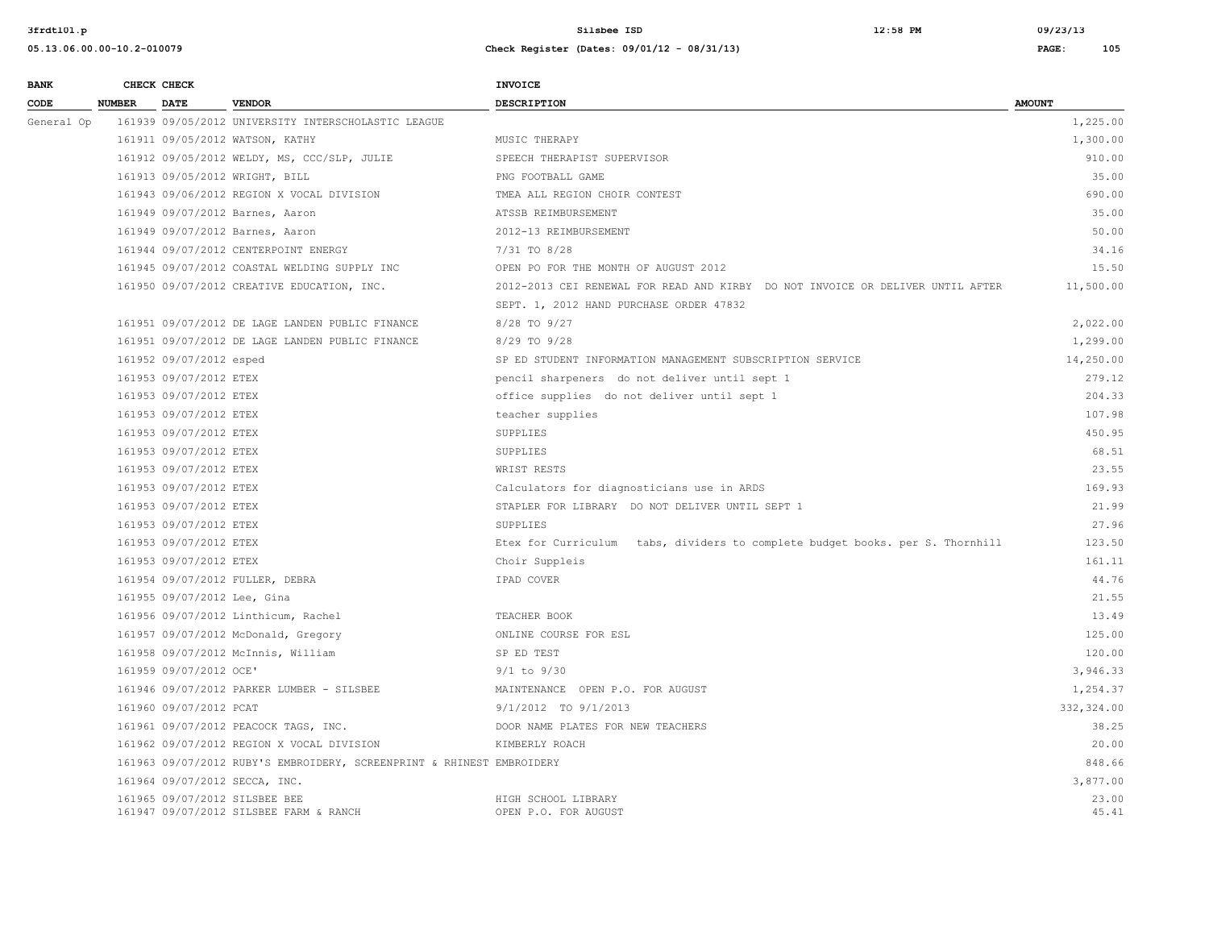| <b>BANK</b> |               | CHECK CHECK                 |                                                                         | <b>INVOICE</b>                                                                 |                |
|-------------|---------------|-----------------------------|-------------------------------------------------------------------------|--------------------------------------------------------------------------------|----------------|
| CODE        | <b>NUMBER</b> | <b>DATE</b>                 | <b>VENDOR</b>                                                           | <b>DESCRIPTION</b>                                                             | <b>AMOUNT</b>  |
| General Op  |               |                             | 161939 09/05/2012 UNIVERSITY INTERSCHOLASTIC LEAGUE                     |                                                                                | 1,225.00       |
|             |               |                             | 161911 09/05/2012 WATSON, KATHY                                         | MUSIC THERAPY                                                                  | 1,300.00       |
|             |               |                             | 161912 09/05/2012 WELDY, MS, CCC/SLP, JULIE                             | SPEECH THERAPIST SUPERVISOR                                                    | 910.00         |
|             |               |                             | 161913 09/05/2012 WRIGHT, BILL                                          | PNG FOOTBALL GAME                                                              | 35.00          |
|             |               |                             | 161943 09/06/2012 REGION X VOCAL DIVISION                               | TMEA ALL REGION CHOIR CONTEST                                                  | 690.00         |
|             |               |                             | 161949 09/07/2012 Barnes, Aaron                                         | ATSSB REIMBURSEMENT                                                            | 35.00          |
|             |               |                             | 161949 09/07/2012 Barnes, Aaron                                         | 2012-13 REIMBURSEMENT                                                          | 50.00          |
|             |               |                             | 161944 09/07/2012 CENTERPOINT ENERGY                                    | 7/31 TO 8/28                                                                   | 34.16          |
|             |               |                             | 161945 09/07/2012 COASTAL WELDING SUPPLY INC                            | OPEN PO FOR THE MONTH OF AUGUST 2012                                           | 15.50          |
|             |               |                             | 161950 09/07/2012 CREATIVE EDUCATION, INC.                              | 2012-2013 CEI RENEWAL FOR READ AND KIRBY DO NOT INVOICE OR DELIVER UNTIL AFTER | 11,500.00      |
|             |               |                             |                                                                         | SEPT. 1, 2012 HAND PURCHASE ORDER 47832                                        |                |
|             |               |                             | 161951 09/07/2012 DE LAGE LANDEN PUBLIC FINANCE                         | 8/28 TO 9/27                                                                   | 2,022.00       |
|             |               |                             | 161951 09/07/2012 DE LAGE LANDEN PUBLIC FINANCE                         | 8/29 TO 9/28                                                                   | 1,299.00       |
|             |               | 161952 09/07/2012 esped     |                                                                         | SP ED STUDENT INFORMATION MANAGEMENT SUBSCRIPTION SERVICE                      | 14,250.00      |
|             |               | 161953 09/07/2012 ETEX      |                                                                         | pencil sharpeners do not deliver until sept 1                                  | 279.12         |
|             |               | 161953 09/07/2012 ETEX      |                                                                         | office supplies do not deliver until sept 1                                    | 204.33         |
|             |               | 161953 09/07/2012 ETEX      |                                                                         | teacher supplies                                                               | 107.98         |
|             |               | 161953 09/07/2012 ETEX      |                                                                         | SUPPLIES                                                                       | 450.95         |
|             |               | 161953 09/07/2012 ETEX      |                                                                         | SUPPLIES                                                                       | 68.51          |
|             |               | 161953 09/07/2012 ETEX      |                                                                         | WRIST RESTS                                                                    | 23.55          |
|             |               | 161953 09/07/2012 ETEX      |                                                                         | Calculators for diagnosticians use in ARDS                                     | 169.93         |
|             |               | 161953 09/07/2012 ETEX      |                                                                         | STAPLER FOR LIBRARY DO NOT DELIVER UNTIL SEPT 1                                | 21.99          |
|             |               | 161953 09/07/2012 ETEX      |                                                                         | SUPPLIES                                                                       | 27.96          |
|             |               | 161953 09/07/2012 ETEX      |                                                                         | Etex for Curriculum tabs, dividers to complete budget books. per S. Thornhill  | 123.50         |
|             |               | 161953 09/07/2012 ETEX      |                                                                         | Choir Suppleis                                                                 | 161.11         |
|             |               |                             | 161954 09/07/2012 FULLER, DEBRA                                         | IPAD COVER                                                                     | 44.76          |
|             |               | 161955 09/07/2012 Lee, Gina |                                                                         |                                                                                | 21.55          |
|             |               |                             | 161956 09/07/2012 Linthicum, Rachel                                     | TEACHER BOOK                                                                   | 13.49          |
|             |               |                             | 161957 09/07/2012 McDonald, Gregory                                     | ONLINE COURSE FOR ESL                                                          | 125.00         |
|             |               |                             | 161958 09/07/2012 McInnis, William                                      | SP ED TEST                                                                     | 120.00         |
|             |               | 161959 09/07/2012 OCE'      |                                                                         | $9/1$ to $9/30$                                                                | 3,946.33       |
|             |               |                             | 161946 09/07/2012 PARKER LUMBER - SILSBEE                               | MAINTENANCE OPEN P.O. FOR AUGUST                                               | 1,254.37       |
|             |               | 161960 09/07/2012 PCAT      |                                                                         | 9/1/2012 TO 9/1/2013                                                           | 332,324.00     |
|             |               |                             | 161961 09/07/2012 PEACOCK TAGS, INC.                                    | DOOR NAME PLATES FOR NEW TEACHERS                                              | 38.25          |
|             |               |                             | 161962 09/07/2012 REGION X VOCAL DIVISION                               | KIMBERLY ROACH                                                                 | 20.00          |
|             |               |                             | 161963 09/07/2012 RUBY'S EMBROIDERY, SCREENPRINT & RHINEST EMBROIDERY   |                                                                                | 848.66         |
|             |               |                             | 161964 09/07/2012 SECCA, INC.                                           |                                                                                | 3,877.00       |
|             |               |                             | 161965 09/07/2012 SILSBEE BEE<br>161947 09/07/2012 SILSBEE FARM & RANCH | HIGH SCHOOL LIBRARY<br>OPEN P.O. FOR AUGUST                                    | 23.00<br>45.41 |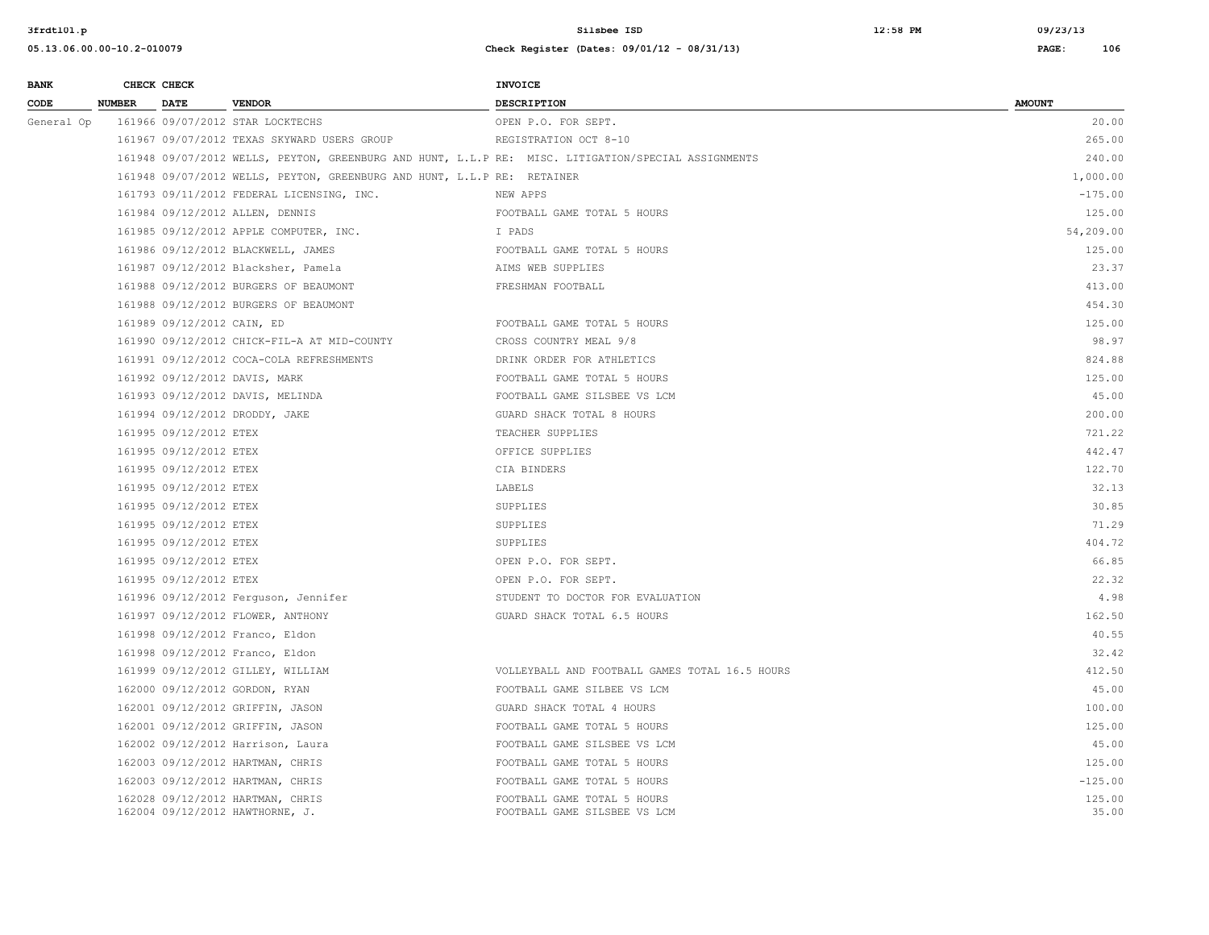| <b>BANK</b> |               | CHECK CHECK                |                                                                         | <b>INVOICE</b>                                                                                      |                 |
|-------------|---------------|----------------------------|-------------------------------------------------------------------------|-----------------------------------------------------------------------------------------------------|-----------------|
| CODE        | <b>NUMBER</b> | DATE                       | <b>VENDOR</b>                                                           | <b>DESCRIPTION</b>                                                                                  | <b>AMOUNT</b>   |
| General Op  |               |                            | 161966 09/07/2012 STAR LOCKTECHS                                        | OPEN P.O. FOR SEPT.                                                                                 | 20.00           |
|             |               |                            | 161967 09/07/2012 TEXAS SKYWARD USERS GROUP                             | REGISTRATION OCT 8-10                                                                               | 265.00          |
|             |               |                            |                                                                         | 161948 09/07/2012 WELLS, PEYTON, GREENBURG AND HUNT, L.L.P RE: MISC. LITIGATION/SPECIAL ASSIGNMENTS | 240.00          |
|             |               |                            | 161948 09/07/2012 WELLS, PEYTON, GREENBURG AND HUNT, L.L.P RE: RETAINER |                                                                                                     | 1,000.00        |
|             |               |                            | 161793 09/11/2012 FEDERAL LICENSING, INC.                               | NEW APPS                                                                                            | $-175.00$       |
|             |               |                            | 161984 09/12/2012 ALLEN, DENNIS                                         | FOOTBALL GAME TOTAL 5 HOURS                                                                         | 125.00          |
|             |               |                            | 161985 09/12/2012 APPLE COMPUTER, INC.                                  | I PADS                                                                                              | 54,209.00       |
|             |               |                            | 161986 09/12/2012 BLACKWELL, JAMES                                      | FOOTBALL GAME TOTAL 5 HOURS                                                                         | 125.00          |
|             |               |                            | 161987 09/12/2012 Blacksher, Pamela                                     | AIMS WEB SUPPLIES                                                                                   | 23.37           |
|             |               |                            | 161988 09/12/2012 BURGERS OF BEAUMONT                                   | FRESHMAN FOOTBALL                                                                                   | 413.00          |
|             |               |                            | 161988 09/12/2012 BURGERS OF BEAUMONT                                   |                                                                                                     | 454.30          |
|             |               | 161989 09/12/2012 CAIN, ED |                                                                         | FOOTBALL GAME TOTAL 5 HOURS                                                                         | 125.00          |
|             |               |                            | 161990 09/12/2012 CHICK-FIL-A AT MID-COUNTY                             | CROSS COUNTRY MEAL 9/8                                                                              | 98.97           |
|             |               |                            | 161991 09/12/2012 COCA-COLA REFRESHMENTS                                | DRINK ORDER FOR ATHLETICS                                                                           | 824.88          |
|             |               |                            | 161992 09/12/2012 DAVIS, MARK                                           | FOOTBALL GAME TOTAL 5 HOURS                                                                         | 125.00          |
|             |               |                            | 161993 09/12/2012 DAVIS, MELINDA                                        | FOOTBALL GAME SILSBEE VS LCM                                                                        | 45.00           |
|             |               |                            | 161994 09/12/2012 DRODDY, JAKE                                          | GUARD SHACK TOTAL 8 HOURS                                                                           | 200.00          |
|             |               | 161995 09/12/2012 ETEX     |                                                                         | TEACHER SUPPLIES                                                                                    | 721.22          |
|             |               | 161995 09/12/2012 ETEX     |                                                                         | OFFICE SUPPLIES                                                                                     | 442.47          |
|             |               | 161995 09/12/2012 ETEX     |                                                                         | CIA BINDERS                                                                                         | 122.70          |
|             |               | 161995 09/12/2012 ETEX     |                                                                         | LABELS                                                                                              | 32.13           |
|             |               | 161995 09/12/2012 ETEX     |                                                                         | SUPPLIES                                                                                            | 30.85           |
|             |               | 161995 09/12/2012 ETEX     |                                                                         | SUPPLIES                                                                                            | 71.29           |
|             |               | 161995 09/12/2012 ETEX     |                                                                         | SUPPLIES                                                                                            | 404.72          |
|             |               | 161995 09/12/2012 ETEX     |                                                                         | OPEN P.O. FOR SEPT.                                                                                 | 66.85           |
|             |               | 161995 09/12/2012 ETEX     |                                                                         | OPEN P.O. FOR SEPT.                                                                                 | 22.32           |
|             |               |                            | 161996 09/12/2012 Ferguson, Jennifer                                    | STUDENT TO DOCTOR FOR EVALUATION                                                                    | 4.98            |
|             |               |                            | 161997 09/12/2012 FLOWER, ANTHONY                                       | GUARD SHACK TOTAL 6.5 HOURS                                                                         | 162.50          |
|             |               |                            | 161998 09/12/2012 Franco, Eldon                                         |                                                                                                     | 40.55           |
|             |               |                            | 161998 09/12/2012 Franco, Eldon                                         |                                                                                                     | 32.42           |
|             |               |                            | 161999 09/12/2012 GILLEY, WILLIAM                                       | VOLLEYBALL AND FOOTBALL GAMES TOTAL 16.5 HOURS                                                      | 412.50          |
|             |               |                            | 162000 09/12/2012 GORDON, RYAN                                          | FOOTBALL GAME SILBEE VS LCM                                                                         | 45.00           |
|             |               |                            | 162001 09/12/2012 GRIFFIN, JASON                                        | GUARD SHACK TOTAL 4 HOURS                                                                           | 100.00          |
|             |               |                            | 162001 09/12/2012 GRIFFIN, JASON                                        | FOOTBALL GAME TOTAL 5 HOURS                                                                         | 125.00          |
|             |               |                            | 162002 09/12/2012 Harrison, Laura                                       | FOOTBALL GAME SILSBEE VS LCM                                                                        | 45.00           |
|             |               |                            | 162003 09/12/2012 HARTMAN, CHRIS                                        | FOOTBALL GAME TOTAL 5 HOURS                                                                         | 125.00          |
|             |               |                            | 162003 09/12/2012 HARTMAN, CHRIS                                        | FOOTBALL GAME TOTAL 5 HOURS                                                                         | $-125.00$       |
|             |               |                            | 162028 09/12/2012 HARTMAN, CHRIS<br>162004 09/12/2012 HAWTHORNE, J.     | FOOTBALL GAME TOTAL 5 HOURS<br>FOOTBALL GAME SILSBEE VS LCM                                         | 125.00<br>35.00 |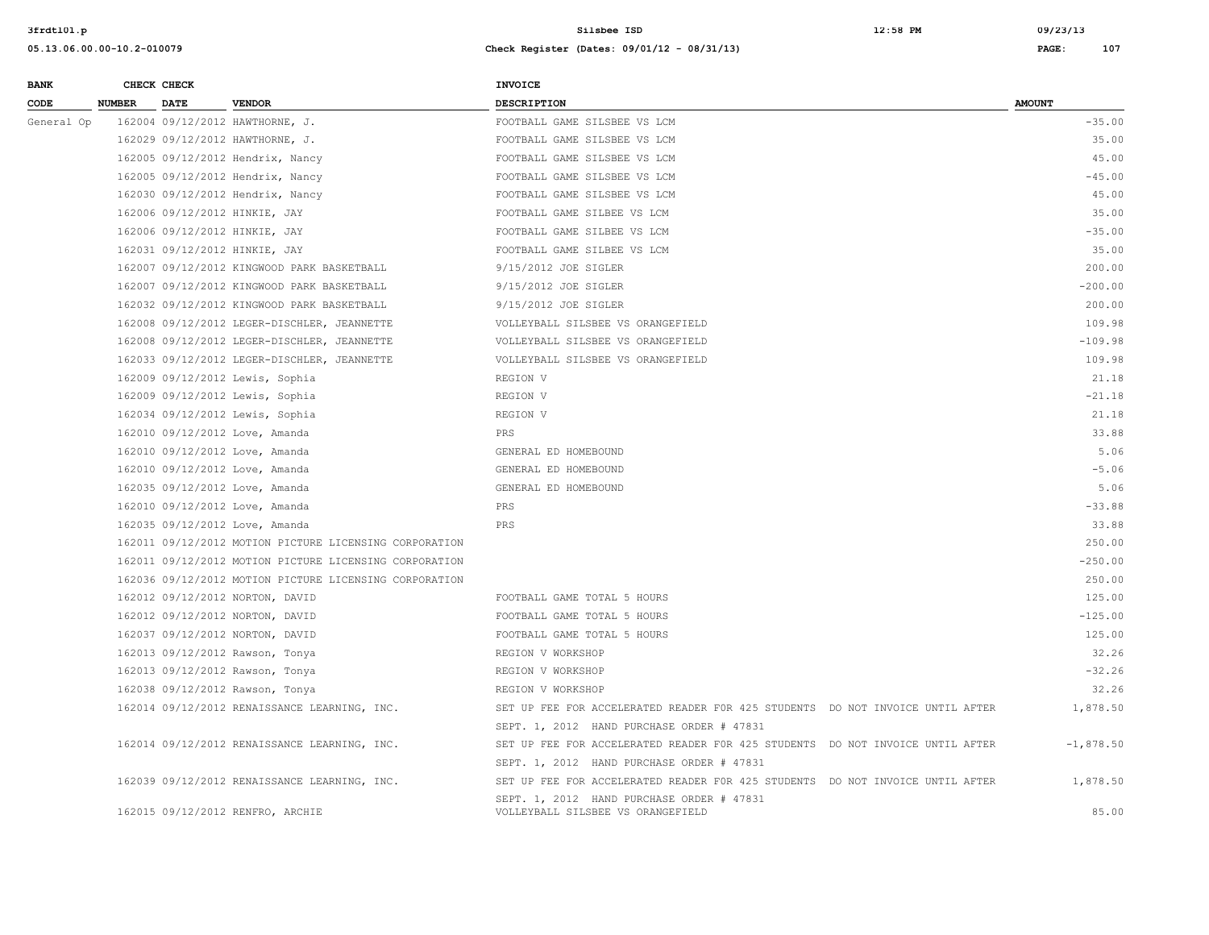| <b>BANK</b> |               | CHECK CHECK |                                                        | <b>INVOICE</b>                                                                 |               |
|-------------|---------------|-------------|--------------------------------------------------------|--------------------------------------------------------------------------------|---------------|
| CODE        | <b>NUMBER</b> | <b>DATE</b> | <b>VENDOR</b>                                          | DESCRIPTION                                                                    | <b>AMOUNT</b> |
| General Op  |               |             | 162004 09/12/2012 HAWTHORNE, J.                        | FOOTBALL GAME SILSBEE VS LCM                                                   | $-35.00$      |
|             |               |             | 162029 09/12/2012 HAWTHORNE, J.                        | FOOTBALL GAME SILSBEE VS LCM                                                   | 35.00         |
|             |               |             | 162005 09/12/2012 Hendrix, Nancy                       | FOOTBALL GAME SILSBEE VS LCM                                                   | 45.00         |
|             |               |             | 162005 09/12/2012 Hendrix, Nancy                       | FOOTBALL GAME SILSBEE VS LCM                                                   | $-45.00$      |
|             |               |             | 162030 09/12/2012 Hendrix, Nancy                       | FOOTBALL GAME SILSBEE VS LCM                                                   | 45.00         |
|             |               |             | 162006 09/12/2012 HINKIE, JAY                          | FOOTBALL GAME SILBEE VS LCM                                                    | 35.00         |
|             |               |             | 162006 09/12/2012 HINKIE, JAY                          | FOOTBALL GAME SILBEE VS LCM                                                    | $-35.00$      |
|             |               |             | 162031 09/12/2012 HINKIE, JAY                          | FOOTBALL GAME SILBEE VS LCM                                                    | 35.00         |
|             |               |             | 162007 09/12/2012 KINGWOOD PARK BASKETBALL             | 9/15/2012 JOE SIGLER                                                           | 200.00        |
|             |               |             | 162007 09/12/2012 KINGWOOD PARK BASKETBALL             | 9/15/2012 JOE SIGLER                                                           | $-200.00$     |
|             |               |             | 162032 09/12/2012 KINGWOOD PARK BASKETBALL             | 9/15/2012 JOE SIGLER                                                           | 200.00        |
|             |               |             | 162008 09/12/2012 LEGER-DISCHLER, JEANNETTE            | VOLLEYBALL SILSBEE VS ORANGEFIELD                                              | 109.98        |
|             |               |             | 162008 09/12/2012 LEGER-DISCHLER, JEANNETTE            | VOLLEYBALL SILSBEE VS ORANGEFIELD                                              | $-109.98$     |
|             |               |             | 162033 09/12/2012 LEGER-DISCHLER, JEANNETTE            | VOLLEYBALL SILSBEE VS ORANGEFIELD                                              | 109.98        |
|             |               |             | 162009 09/12/2012 Lewis, Sophia                        | REGION V                                                                       | 21.18         |
|             |               |             | 162009 09/12/2012 Lewis, Sophia                        | REGION V                                                                       | $-21.18$      |
|             |               |             | 162034 09/12/2012 Lewis, Sophia                        | REGION V                                                                       | 21.18         |
|             |               |             | 162010 09/12/2012 Love, Amanda                         | PRS                                                                            | 33.88         |
|             |               |             | 162010 09/12/2012 Love, Amanda                         | GENERAL ED HOMEBOUND                                                           | 5.06          |
|             |               |             | 162010 09/12/2012 Love, Amanda                         | GENERAL ED HOMEBOUND                                                           | $-5.06$       |
|             |               |             | 162035 09/12/2012 Love, Amanda                         | GENERAL ED HOMEBOUND                                                           | 5.06          |
|             |               |             | 162010 09/12/2012 Love, Amanda                         | PRS                                                                            | $-33.88$      |
|             |               |             | 162035 09/12/2012 Love, Amanda                         | PRS                                                                            | 33.88         |
|             |               |             | 162011 09/12/2012 MOTION PICTURE LICENSING CORPORATION |                                                                                | 250.00        |
|             |               |             | 162011 09/12/2012 MOTION PICTURE LICENSING CORPORATION |                                                                                | $-250.00$     |
|             |               |             | 162036 09/12/2012 MOTION PICTURE LICENSING CORPORATION |                                                                                | 250.00        |
|             |               |             | 162012 09/12/2012 NORTON, DAVID                        | FOOTBALL GAME TOTAL 5 HOURS                                                    | 125.00        |
|             |               |             | 162012 09/12/2012 NORTON, DAVID                        | FOOTBALL GAME TOTAL 5 HOURS                                                    | $-125.00$     |
|             |               |             | 162037 09/12/2012 NORTON, DAVID                        | FOOTBALL GAME TOTAL 5 HOURS                                                    | 125.00        |
|             |               |             | 162013 09/12/2012 Rawson, Tonya                        | REGION V WORKSHOP                                                              | 32.26         |
|             |               |             | 162013 09/12/2012 Rawson, Tonya                        | REGION V WORKSHOP                                                              | $-32.26$      |
|             |               |             | 162038 09/12/2012 Rawson, Tonya                        | REGION V WORKSHOP                                                              | 32.26         |
|             |               |             | 162014 09/12/2012 RENAISSANCE LEARNING, INC.           | SET UP FEE FOR ACCELERATED READER FOR 425 STUDENTS DO NOT INVOICE UNTIL AFTER  | 1,878.50      |
|             |               |             |                                                        | SEPT. 1, 2012 HAND PURCHASE ORDER # 47831                                      |               |
|             |               |             | 162014 09/12/2012 RENAISSANCE LEARNING, INC.           | SET UP FEE FOR ACCELERATED READER FOR 425 STUDENTS DO NOT INVOICE UNTIL AFTER  | $-1,878.50$   |
|             |               |             |                                                        | SEPT. 1, 2012 HAND PURCHASE ORDER # 47831                                      |               |
|             |               |             | 162039 09/12/2012 RENAISSANCE LEARNING, INC.           | SET UP FEE FOR ACCELERATED READER FOR 425 STUDENTS DO NOT INVOICE UNTIL AFTER  | 1,878.50      |
|             |               |             | 162015 09/12/2012 RENFRO, ARCHIE                       | SEPT. 1, 2012 HAND PURCHASE ORDER # 47831<br>VOLLEYBALL SILSBEE VS ORANGEFIELD | 85.00         |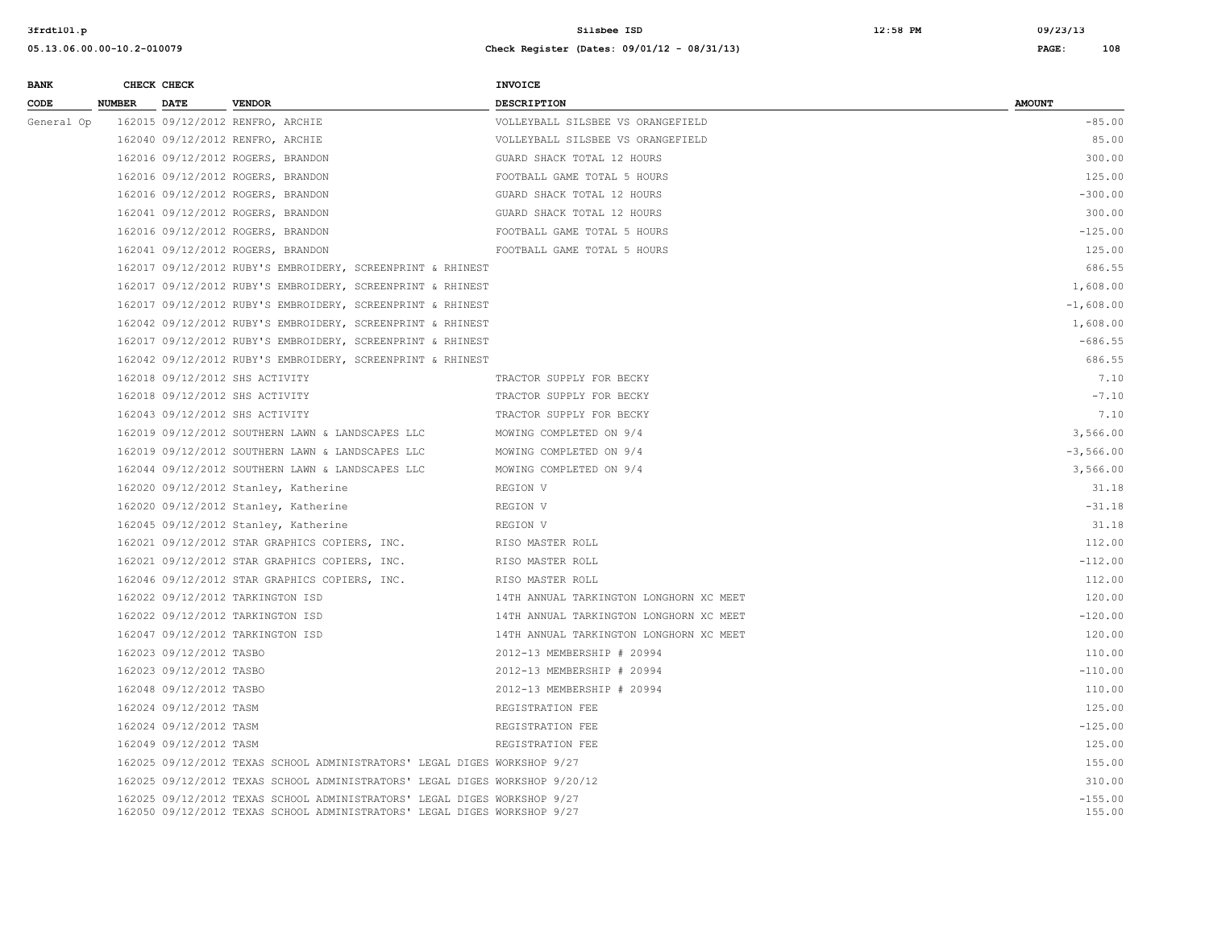| <b>BANK</b> |               | CHECK CHECK             |                                                                                                                                                      | <b>INVOICE</b>                          |                     |
|-------------|---------------|-------------------------|------------------------------------------------------------------------------------------------------------------------------------------------------|-----------------------------------------|---------------------|
| CODE        | <b>NUMBER</b> | <b>DATE</b>             | <b>VENDOR</b>                                                                                                                                        | <b>DESCRIPTION</b>                      | <b>AMOUNT</b>       |
| General Op  |               |                         | 162015 09/12/2012 RENFRO, ARCHIE                                                                                                                     | VOLLEYBALL SILSBEE VS ORANGEFIELD       | $-85.00$            |
|             |               |                         | 162040 09/12/2012 RENFRO, ARCHIE                                                                                                                     | VOLLEYBALL SILSBEE VS ORANGEFIELD       | 85.00               |
|             |               |                         | 162016 09/12/2012 ROGERS, BRANDON                                                                                                                    | GUARD SHACK TOTAL 12 HOURS              | 300.00              |
|             |               |                         | 162016 09/12/2012 ROGERS, BRANDON                                                                                                                    | FOOTBALL GAME TOTAL 5 HOURS             | 125.00              |
|             |               |                         | 162016 09/12/2012 ROGERS, BRANDON                                                                                                                    | GUARD SHACK TOTAL 12 HOURS              | $-300.00$           |
|             |               |                         | 162041 09/12/2012 ROGERS, BRANDON                                                                                                                    | GUARD SHACK TOTAL 12 HOURS              | 300.00              |
|             |               |                         | 162016 09/12/2012 ROGERS, BRANDON                                                                                                                    | FOOTBALL GAME TOTAL 5 HOURS             | $-125.00$           |
|             |               |                         | 162041 09/12/2012 ROGERS, BRANDON                                                                                                                    | FOOTBALL GAME TOTAL 5 HOURS             | 125.00              |
|             |               |                         | 162017 09/12/2012 RUBY'S EMBROIDERY, SCREENPRINT & RHINEST                                                                                           |                                         | 686.55              |
|             |               |                         | 162017 09/12/2012 RUBY'S EMBROIDERY, SCREENPRINT & RHINEST                                                                                           |                                         | 1,608.00            |
|             |               |                         | 162017 09/12/2012 RUBY'S EMBROIDERY, SCREENPRINT & RHINEST                                                                                           |                                         | $-1,608.00$         |
|             |               |                         | 162042 09/12/2012 RUBY'S EMBROIDERY, SCREENPRINT & RHINEST                                                                                           |                                         | 1,608.00            |
|             |               |                         | 162017 09/12/2012 RUBY'S EMBROIDERY, SCREENPRINT & RHINEST                                                                                           |                                         | $-686.55$           |
|             |               |                         | 162042 09/12/2012 RUBY'S EMBROIDERY, SCREENPRINT & RHINEST                                                                                           |                                         | 686.55              |
|             |               |                         | 162018 09/12/2012 SHS ACTIVITY                                                                                                                       | TRACTOR SUPPLY FOR BECKY                | 7.10                |
|             |               |                         | 162018 09/12/2012 SHS ACTIVITY                                                                                                                       | TRACTOR SUPPLY FOR BECKY                | $-7.10$             |
|             |               |                         | 162043 09/12/2012 SHS ACTIVITY                                                                                                                       | TRACTOR SUPPLY FOR BECKY                | 7.10                |
|             |               |                         | 162019 09/12/2012 SOUTHERN LAWN & LANDSCAPES LLC                                                                                                     | MOWING COMPLETED ON 9/4                 | 3,566.00            |
|             |               |                         | 162019 09/12/2012 SOUTHERN LAWN & LANDSCAPES LLC                                                                                                     | MOWING COMPLETED ON 9/4                 | $-3,566.00$         |
|             |               |                         | 162044 09/12/2012 SOUTHERN LAWN & LANDSCAPES LLC                                                                                                     | MOWING COMPLETED ON 9/4                 | 3,566.00            |
|             |               |                         | 162020 09/12/2012 Stanley, Katherine                                                                                                                 | REGION V                                | 31.18               |
|             |               |                         | 162020 09/12/2012 Stanley, Katherine                                                                                                                 | REGION V                                | $-31.18$            |
|             |               |                         | 162045 09/12/2012 Stanley, Katherine                                                                                                                 | REGION V                                | 31.18               |
|             |               |                         | 162021 09/12/2012 STAR GRAPHICS COPIERS, INC.                                                                                                        | RISO MASTER ROLL                        | 112.00              |
|             |               |                         | 162021 09/12/2012 STAR GRAPHICS COPIERS, INC.                                                                                                        | RISO MASTER ROLL                        | $-112.00$           |
|             |               |                         | 162046 09/12/2012 STAR GRAPHICS COPIERS, INC.                                                                                                        | RISO MASTER ROLL                        | 112.00              |
|             |               |                         | 162022 09/12/2012 TARKINGTON ISD                                                                                                                     | 14TH ANNUAL TARKINGTON LONGHORN XC MEET | 120.00              |
|             |               |                         | 162022 09/12/2012 TARKINGTON ISD                                                                                                                     | 14TH ANNUAL TARKINGTON LONGHORN XC MEET | $-120.00$           |
|             |               |                         | 162047 09/12/2012 TARKINGTON ISD                                                                                                                     | 14TH ANNUAL TARKINGTON LONGHORN XC MEET | 120.00              |
|             |               | 162023 09/12/2012 TASBO |                                                                                                                                                      | 2012-13 MEMBERSHIP # 20994              | 110.00              |
|             |               | 162023 09/12/2012 TASBO |                                                                                                                                                      | 2012-13 MEMBERSHIP # 20994              | $-110.00$           |
|             |               | 162048 09/12/2012 TASBO |                                                                                                                                                      | 2012-13 MEMBERSHIP # 20994              | 110.00              |
|             |               | 162024 09/12/2012 TASM  |                                                                                                                                                      | REGISTRATION FEE                        | 125.00              |
|             |               | 162024 09/12/2012 TASM  |                                                                                                                                                      | REGISTRATION FEE                        | $-125.00$           |
|             |               | 162049 09/12/2012 TASM  |                                                                                                                                                      | REGISTRATION FEE                        | 125.00              |
|             |               |                         | 162025 09/12/2012 TEXAS SCHOOL ADMINISTRATORS' LEGAL DIGES WORKSHOP 9/27                                                                             |                                         | 155.00              |
|             |               |                         | 162025 09/12/2012 TEXAS SCHOOL ADMINISTRATORS' LEGAL DIGES WORKSHOP 9/20/12                                                                          |                                         | 310.00              |
|             |               |                         | 162025 09/12/2012 TEXAS SCHOOL ADMINISTRATORS' LEGAL DIGES WORKSHOP 9/27<br>162050 09/12/2012 TEXAS SCHOOL ADMINISTRATORS' LEGAL DIGES WORKSHOP 9/27 |                                         | $-155.00$<br>155.00 |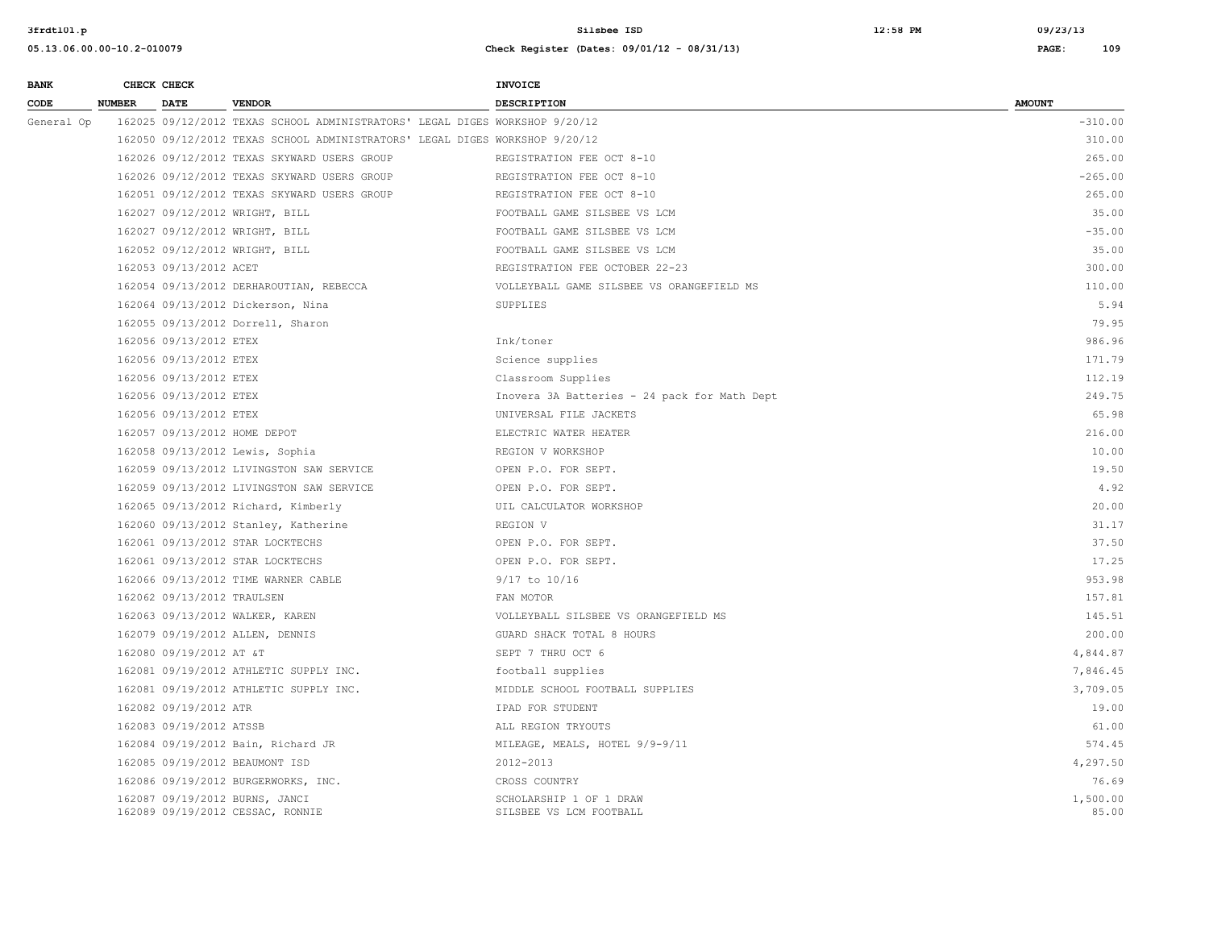| <b>BANK</b> |               | CHECK CHECK                |                                                                             | INVOICE                                            |                   |
|-------------|---------------|----------------------------|-----------------------------------------------------------------------------|----------------------------------------------------|-------------------|
| CODE        | <b>NUMBER</b> | <b>DATE</b>                | <b>VENDOR</b>                                                               | <b>DESCRIPTION</b>                                 | <b>AMOUNT</b>     |
| General Op  |               |                            | 162025 09/12/2012 TEXAS SCHOOL ADMINISTRATORS' LEGAL DIGES WORKSHOP 9/20/12 |                                                    | $-310.00$         |
|             |               |                            | 162050 09/12/2012 TEXAS SCHOOL ADMINISTRATORS' LEGAL DIGES WORKSHOP 9/20/12 |                                                    | 310.00            |
|             |               |                            | 162026 09/12/2012 TEXAS SKYWARD USERS GROUP                                 | REGISTRATION FEE OCT 8-10                          | 265.00            |
|             |               |                            | 162026 09/12/2012 TEXAS SKYWARD USERS GROUP                                 | REGISTRATION FEE OCT 8-10                          | $-265.00$         |
|             |               |                            | 162051 09/12/2012 TEXAS SKYWARD USERS GROUP                                 | REGISTRATION FEE OCT 8-10                          | 265.00            |
|             |               |                            | 162027 09/12/2012 WRIGHT, BILL                                              | FOOTBALL GAME SILSBEE VS LCM                       | 35.00             |
|             |               |                            | 162027 09/12/2012 WRIGHT, BILL                                              | FOOTBALL GAME SILSBEE VS LCM                       | $-35.00$          |
|             |               |                            | 162052 09/12/2012 WRIGHT, BILL                                              | FOOTBALL GAME SILSBEE VS LCM                       | 35.00             |
|             |               | 162053 09/13/2012 ACET     |                                                                             | REGISTRATION FEE OCTOBER 22-23                     | 300.00            |
|             |               |                            | 162054 09/13/2012 DERHAROUTIAN, REBECCA                                     | VOLLEYBALL GAME SILSBEE VS ORANGEFIELD MS          | 110.00            |
|             |               |                            | 162064 09/13/2012 Dickerson, Nina                                           | SUPPLIES                                           | 5.94              |
|             |               |                            | 162055 09/13/2012 Dorrell, Sharon                                           |                                                    | 79.95             |
|             |               | 162056 09/13/2012 ETEX     |                                                                             | Ink/toner                                          | 986.96            |
|             |               | 162056 09/13/2012 ETEX     |                                                                             | Science supplies                                   | 171.79            |
|             |               | 162056 09/13/2012 ETEX     |                                                                             | Classroom Supplies                                 | 112.19            |
|             |               | 162056 09/13/2012 ETEX     |                                                                             | Inovera 3A Batteries - 24 pack for Math Dept       | 249.75            |
|             |               | 162056 09/13/2012 ETEX     |                                                                             | UNIVERSAL FILE JACKETS                             | 65.98             |
|             |               |                            | 162057 09/13/2012 HOME DEPOT                                                | ELECTRIC WATER HEATER                              | 216.00            |
|             |               |                            | 162058 09/13/2012 Lewis, Sophia                                             | REGION V WORKSHOP                                  | 10.00             |
|             |               |                            | 162059 09/13/2012 LIVINGSTON SAW SERVICE                                    | OPEN P.O. FOR SEPT.                                | 19.50             |
|             |               |                            | 162059 09/13/2012 LIVINGSTON SAW SERVICE                                    | OPEN P.O. FOR SEPT.                                | 4.92              |
|             |               |                            | 162065 09/13/2012 Richard, Kimberly                                         | UIL CALCULATOR WORKSHOP                            | 20.00             |
|             |               |                            | 162060 09/13/2012 Stanley, Katherine                                        | REGION V                                           | 31.17             |
|             |               |                            | 162061 09/13/2012 STAR LOCKTECHS                                            | OPEN P.O. FOR SEPT.                                | 37.50             |
|             |               |                            | 162061 09/13/2012 STAR LOCKTECHS                                            | OPEN P.O. FOR SEPT.                                | 17.25             |
|             |               |                            | 162066 09/13/2012 TIME WARNER CABLE                                         | $9/17$ to $10/16$                                  | 953.98            |
|             |               | 162062 09/13/2012 TRAULSEN |                                                                             | FAN MOTOR                                          | 157.81            |
|             |               |                            | 162063 09/13/2012 WALKER, KAREN                                             | VOLLEYBALL SILSBEE VS ORANGEFIELD MS               | 145.51            |
|             |               |                            | 162079 09/19/2012 ALLEN, DENNIS                                             | GUARD SHACK TOTAL 8 HOURS                          | 200.00            |
|             |               | 162080 09/19/2012 AT &T    |                                                                             | SEPT 7 THRU OCT 6                                  | 4,844.87          |
|             |               |                            | 162081 09/19/2012 ATHLETIC SUPPLY INC.                                      | football supplies                                  | 7,846.45          |
|             |               |                            | 162081 09/19/2012 ATHLETIC SUPPLY INC.                                      | MIDDLE SCHOOL FOOTBALL SUPPLIES                    | 3,709.05          |
|             |               | 162082 09/19/2012 ATR      |                                                                             | IPAD FOR STUDENT                                   | 19.00             |
|             |               | 162083 09/19/2012 ATSSB    |                                                                             | ALL REGION TRYOUTS                                 | 61.00             |
|             |               |                            | 162084 09/19/2012 Bain, Richard JR                                          | MILEAGE, MEALS, HOTEL 9/9-9/11                     | 574.45            |
|             |               |                            | 162085 09/19/2012 BEAUMONT ISD                                              | 2012-2013                                          | 4,297.50          |
|             |               |                            | 162086 09/19/2012 BURGERWORKS, INC.                                         | CROSS COUNTRY                                      | 76.69             |
|             |               |                            | 162087 09/19/2012 BURNS, JANCI<br>162089 09/19/2012 CESSAC, RONNIE          | SCHOLARSHIP 1 OF 1 DRAW<br>SILSBEE VS LCM FOOTBALL | 1,500.00<br>85.00 |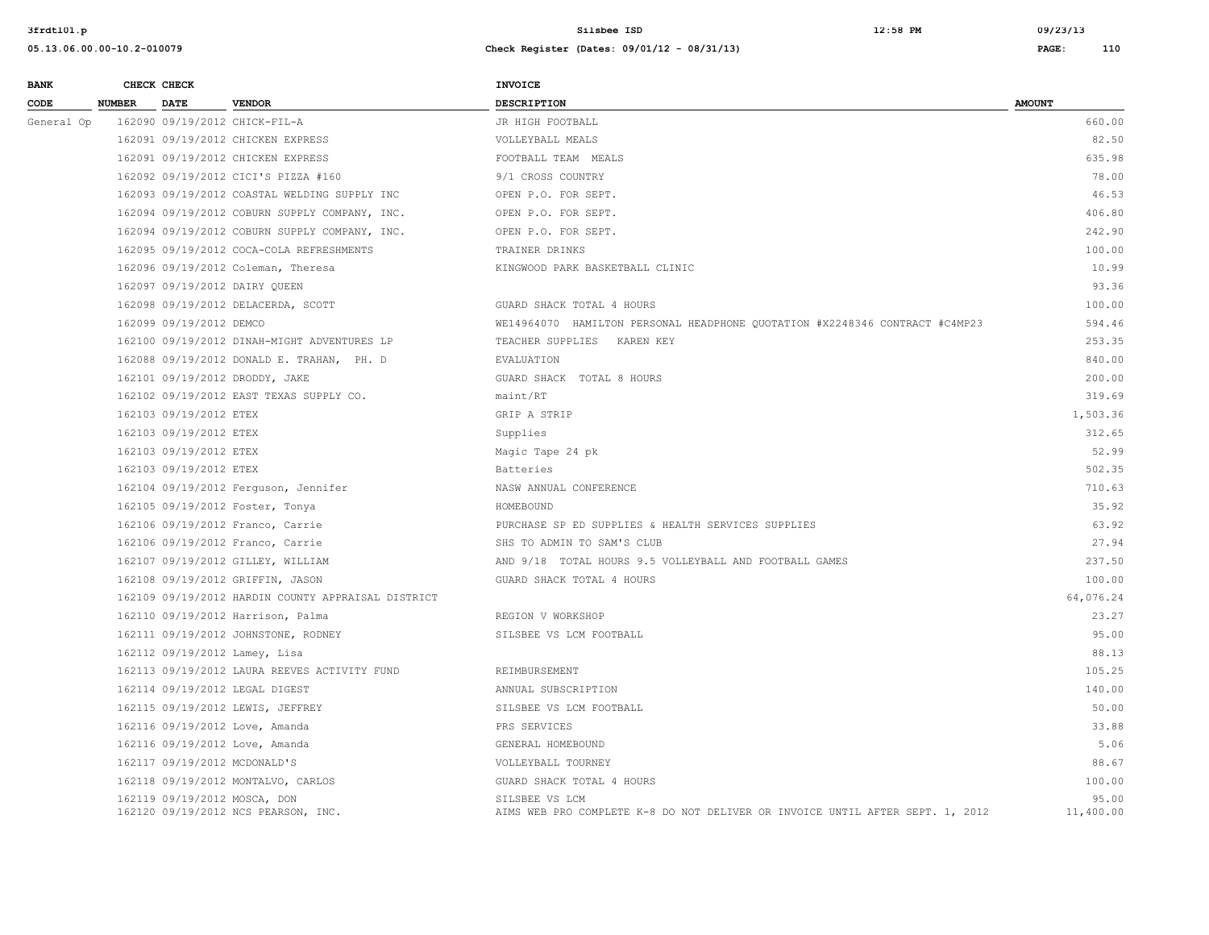| <b>BANK</b> |               | CHECK CHECK                  |                                                    | <b>INVOICE</b>                                                                                  |                    |
|-------------|---------------|------------------------------|----------------------------------------------------|-------------------------------------------------------------------------------------------------|--------------------|
| CODE        | <b>NUMBER</b> | <b>DATE</b>                  | <b>VENDOR</b>                                      | <b>DESCRIPTION</b>                                                                              | <b>AMOUNT</b>      |
| General Op  |               |                              | 162090 09/19/2012 CHICK-FIL-A                      | JR HIGH FOOTBALL                                                                                | 660.00             |
|             |               |                              | 162091 09/19/2012 CHICKEN EXPRESS                  | VOLLEYBALL MEALS                                                                                | 82.50              |
|             |               |                              | 162091 09/19/2012 CHICKEN EXPRESS                  | FOOTBALL TEAM MEALS                                                                             | 635.98             |
|             |               |                              | 162092 09/19/2012 CICI'S PIZZA #160                | 9/1 CROSS COUNTRY                                                                               | 78.00              |
|             |               |                              | 162093 09/19/2012 COASTAL WELDING SUPPLY INC       | OPEN P.O. FOR SEPT.                                                                             | 46.53              |
|             |               |                              | 162094 09/19/2012 COBURN SUPPLY COMPANY, INC.      | OPEN P.O. FOR SEPT.                                                                             | 406.80             |
|             |               |                              | 162094 09/19/2012 COBURN SUPPLY COMPANY, INC.      | OPEN P.O. FOR SEPT.                                                                             | 242.90             |
|             |               |                              | 162095 09/19/2012 COCA-COLA REFRESHMENTS           | TRAINER DRINKS                                                                                  | 100.00             |
|             |               |                              | 162096 09/19/2012 Coleman, Theresa                 | KINGWOOD PARK BASKETBALL CLINIC                                                                 | 10.99              |
|             |               |                              | 162097 09/19/2012 DAIRY QUEEN                      |                                                                                                 | 93.36              |
|             |               |                              | 162098 09/19/2012 DELACERDA, SCOTT                 | GUARD SHACK TOTAL 4 HOURS                                                                       | 100.00             |
|             |               | 162099 09/19/2012 DEMCO      |                                                    | WE14964070 HAMILTON PERSONAL HEADPHONE QUOTATION #X2248346 CONTRACT #C4MP23                     | 594.46             |
|             |               |                              | 162100 09/19/2012 DINAH-MIGHT ADVENTURES LP        | TEACHER SUPPLIES KAREN KEY                                                                      | 253.35             |
|             |               |                              | 162088 09/19/2012 DONALD E. TRAHAN, PH. D          | <b>EVALUATION</b>                                                                               | 840.00             |
|             |               |                              | 162101 09/19/2012 DRODDY, JAKE                     | GUARD SHACK TOTAL 8 HOURS                                                                       | 200.00             |
|             |               |                              | 162102 09/19/2012 EAST TEXAS SUPPLY CO.            | maint/RT                                                                                        | 319.69             |
|             |               | 162103 09/19/2012 ETEX       |                                                    | GRIP A STRIP                                                                                    | 1,503.36           |
|             |               | 162103 09/19/2012 ETEX       |                                                    | Supplies                                                                                        | 312.65             |
|             |               | 162103 09/19/2012 ETEX       |                                                    | Magic Tape 24 pk                                                                                | 52.99              |
|             |               | 162103 09/19/2012 ETEX       |                                                    | Batteries                                                                                       | 502.35             |
|             |               |                              | 162104 09/19/2012 Ferguson, Jennifer               | NASW ANNUAL CONFERENCE                                                                          | 710.63             |
|             |               |                              | 162105 09/19/2012 Foster, Tonya                    | HOMEBOUND                                                                                       | 35.92              |
|             |               |                              | 162106 09/19/2012 Franco, Carrie                   | PURCHASE SP ED SUPPLIES & HEALTH SERVICES SUPPLIES                                              | 63.92              |
|             |               |                              | 162106 09/19/2012 Franco, Carrie                   | SHS TO ADMIN TO SAM'S CLUB                                                                      | 27.94              |
|             |               |                              | 162107 09/19/2012 GILLEY, WILLIAM                  | AND 9/18 TOTAL HOURS 9.5 VOLLEYBALL AND FOOTBALL GAMES                                          | 237.50             |
|             |               |                              | 162108 09/19/2012 GRIFFIN, JASON                   | GUARD SHACK TOTAL 4 HOURS                                                                       | 100.00             |
|             |               |                              | 162109 09/19/2012 HARDIN COUNTY APPRAISAL DISTRICT |                                                                                                 | 64,076.24          |
|             |               |                              | 162110 09/19/2012 Harrison, Palma                  | REGION V WORKSHOP                                                                               | 23.27              |
|             |               |                              | 162111 09/19/2012 JOHNSTONE, RODNEY                | SILSBEE VS LCM FOOTBALL                                                                         | 95.00              |
|             |               |                              | 162112 09/19/2012 Lamey, Lisa                      |                                                                                                 | 88.13              |
|             |               |                              | 162113 09/19/2012 LAURA REEVES ACTIVITY FUND       | REIMBURSEMENT                                                                                   | 105.25             |
|             |               |                              | 162114 09/19/2012 LEGAL DIGEST                     | ANNUAL SUBSCRIPTION                                                                             | 140.00             |
|             |               |                              | 162115 09/19/2012 LEWIS, JEFFREY                   | SILSBEE VS LCM FOOTBALL                                                                         | 50.00              |
|             |               |                              | 162116 09/19/2012 Love, Amanda                     | PRS SERVICES                                                                                    | 33.88              |
|             |               |                              | 162116 09/19/2012 Love, Amanda                     | GENERAL HOMEBOUND                                                                               | 5.06               |
|             |               | 162117 09/19/2012 MCDONALD'S |                                                    | VOLLEYBALL TOURNEY                                                                              | 88.67              |
|             |               |                              | 162118 09/19/2012 MONTALVO, CARLOS                 | GUARD SHACK TOTAL 4 HOURS                                                                       | 100.00             |
|             |               | 162119 09/19/2012 MOSCA, DON | 162120 09/19/2012 NCS PEARSON, INC.                | SILSBEE VS LCM<br>AIMS WEB PRO COMPLETE K-8 DO NOT DELIVER OR INVOICE UNTIL AFTER SEPT. 1, 2012 | 95.00<br>11,400.00 |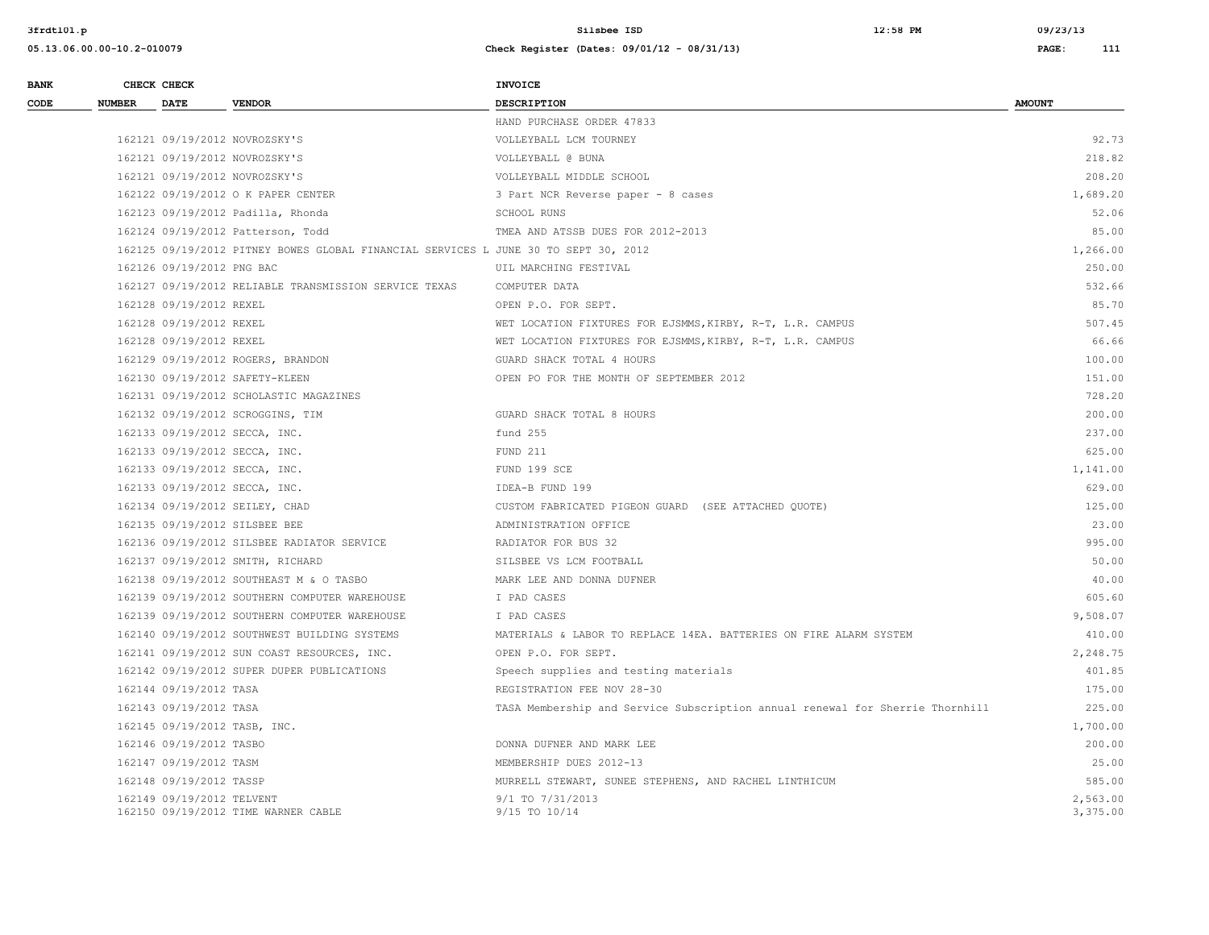**3frdtl01.p Silsbee ISD 12:58 PM 09/23/13**

| <b>BANK</b> |               | CHECK CHECK                  |                                                                                     | <b>INVOICE</b>                                                                |                      |
|-------------|---------------|------------------------------|-------------------------------------------------------------------------------------|-------------------------------------------------------------------------------|----------------------|
| CODE        | <b>NUMBER</b> | DATE                         | <b>VENDOR</b>                                                                       | <b>DESCRIPTION</b>                                                            | <b>AMOUNT</b>        |
|             |               |                              |                                                                                     | HAND PURCHASE ORDER 47833                                                     |                      |
|             |               |                              | 162121 09/19/2012 NOVROZSKY'S                                                       | VOLLEYBALL LCM TOURNEY                                                        | 92.73                |
|             |               |                              | 162121 09/19/2012 NOVROZSKY'S                                                       | VOLLEYBALL @ BUNA                                                             | 218.82               |
|             |               |                              | 162121 09/19/2012 NOVROZSKY'S                                                       | VOLLEYBALL MIDDLE SCHOOL                                                      | 208.20               |
|             |               |                              | 162122 09/19/2012 O K PAPER CENTER                                                  | 3 Part NCR Reverse paper - 8 cases                                            | 1,689.20             |
|             |               |                              | 162123 09/19/2012 Padilla, Rhonda                                                   | SCHOOL RUNS                                                                   | 52.06                |
|             |               |                              | 162124 09/19/2012 Patterson, Todd                                                   | TMEA AND ATSSB DUES FOR 2012-2013                                             | 85.00                |
|             |               |                              | 162125 09/19/2012 PITNEY BOWES GLOBAL FINANCIAL SERVICES L JUNE 30 TO SEPT 30, 2012 |                                                                               | 1,266.00             |
|             |               | 162126 09/19/2012 PNG BAC    |                                                                                     | UIL MARCHING FESTIVAL                                                         | 250.00               |
|             |               |                              | 162127 09/19/2012 RELIABLE TRANSMISSION SERVICE TEXAS                               | COMPUTER DATA                                                                 | 532.66               |
|             |               | 162128 09/19/2012 REXEL      |                                                                                     | OPEN P.O. FOR SEPT.                                                           | 85.70                |
|             |               | 162128 09/19/2012 REXEL      |                                                                                     | WET LOCATION FIXTURES FOR EJSMMS, KIRBY, R-T, L.R. CAMPUS                     | 507.45               |
|             |               | 162128 09/19/2012 REXEL      |                                                                                     | WET LOCATION FIXTURES FOR EJSMMS, KIRBY, R-T, L.R. CAMPUS                     | 66.66                |
|             |               |                              | 162129 09/19/2012 ROGERS, BRANDON                                                   | GUARD SHACK TOTAL 4 HOURS                                                     | 100.00               |
|             |               |                              | 162130 09/19/2012 SAFETY-KLEEN                                                      | OPEN PO FOR THE MONTH OF SEPTEMBER 2012                                       | 151.00               |
|             |               |                              | 162131 09/19/2012 SCHOLASTIC MAGAZINES                                              |                                                                               | 728.20               |
|             |               |                              | 162132 09/19/2012 SCROGGINS, TIM                                                    | GUARD SHACK TOTAL 8 HOURS                                                     | 200.00               |
|             |               |                              | 162133 09/19/2012 SECCA, INC.                                                       | fund 255                                                                      | 237.00               |
|             |               |                              | 162133 09/19/2012 SECCA, INC.                                                       | FUND 211                                                                      | 625.00               |
|             |               |                              | 162133 09/19/2012 SECCA, INC.                                                       | FUND 199 SCE                                                                  | 1,141.00             |
|             |               |                              | 162133 09/19/2012 SECCA, INC.                                                       | IDEA-B FUND 199                                                               | 629.00               |
|             |               |                              | 162134 09/19/2012 SEILEY, CHAD                                                      | CUSTOM FABRICATED PIGEON GUARD (SEE ATTACHED QUOTE)                           | 125.00               |
|             |               |                              | 162135 09/19/2012 SILSBEE BEE                                                       | ADMINISTRATION OFFICE                                                         | 23.00                |
|             |               |                              | 162136 09/19/2012 SILSBEE RADIATOR SERVICE                                          | RADIATOR FOR BUS 32                                                           | 995.00               |
|             |               |                              | 162137 09/19/2012 SMITH, RICHARD                                                    | SILSBEE VS LCM FOOTBALL                                                       | 50.00                |
|             |               |                              | 162138 09/19/2012 SOUTHEAST M & O TASBO                                             | MARK LEE AND DONNA DUFNER                                                     | 40.00                |
|             |               |                              | 162139 09/19/2012 SOUTHERN COMPUTER WAREHOUSE                                       | I PAD CASES                                                                   | 605.60               |
|             |               |                              | 162139 09/19/2012 SOUTHERN COMPUTER WAREHOUSE                                       | I PAD CASES                                                                   | 9,508.07             |
|             |               |                              | 162140 09/19/2012 SOUTHWEST BUILDING SYSTEMS                                        | MATERIALS & LABOR TO REPLACE 14EA. BATTERIES ON FIRE ALARM SYSTEM             | 410.00               |
|             |               |                              | 162141 09/19/2012 SUN COAST RESOURCES, INC.                                         | OPEN P.O. FOR SEPT.                                                           | 2,248.75             |
|             |               |                              | 162142 09/19/2012 SUPER DUPER PUBLICATIONS                                          | Speech supplies and testing materials                                         | 401.85               |
|             |               | 162144 09/19/2012 TASA       |                                                                                     | REGISTRATION FEE NOV 28-30                                                    | 175.00               |
|             |               | 162143 09/19/2012 TASA       |                                                                                     | TASA Membership and Service Subscription annual renewal for Sherrie Thornhill | 225.00               |
|             |               | 162145 09/19/2012 TASB, INC. |                                                                                     |                                                                               | 1,700.00             |
|             |               | 162146 09/19/2012 TASBO      |                                                                                     | DONNA DUFNER AND MARK LEE                                                     | 200.00               |
|             |               | 162147 09/19/2012 TASM       |                                                                                     | MEMBERSHIP DUES 2012-13                                                       | 25.00                |
|             |               | 162148 09/19/2012 TASSP      |                                                                                     | MURRELL STEWART, SUNEE STEPHENS, AND RACHEL LINTHICUM                         | 585.00               |
|             |               | 162149 09/19/2012 TELVENT    | 162150 09/19/2012 TIME WARNER CABLE                                                 | 9/1 TO 7/31/2013<br>9/15 TO 10/14                                             | 2,563.00<br>3,375.00 |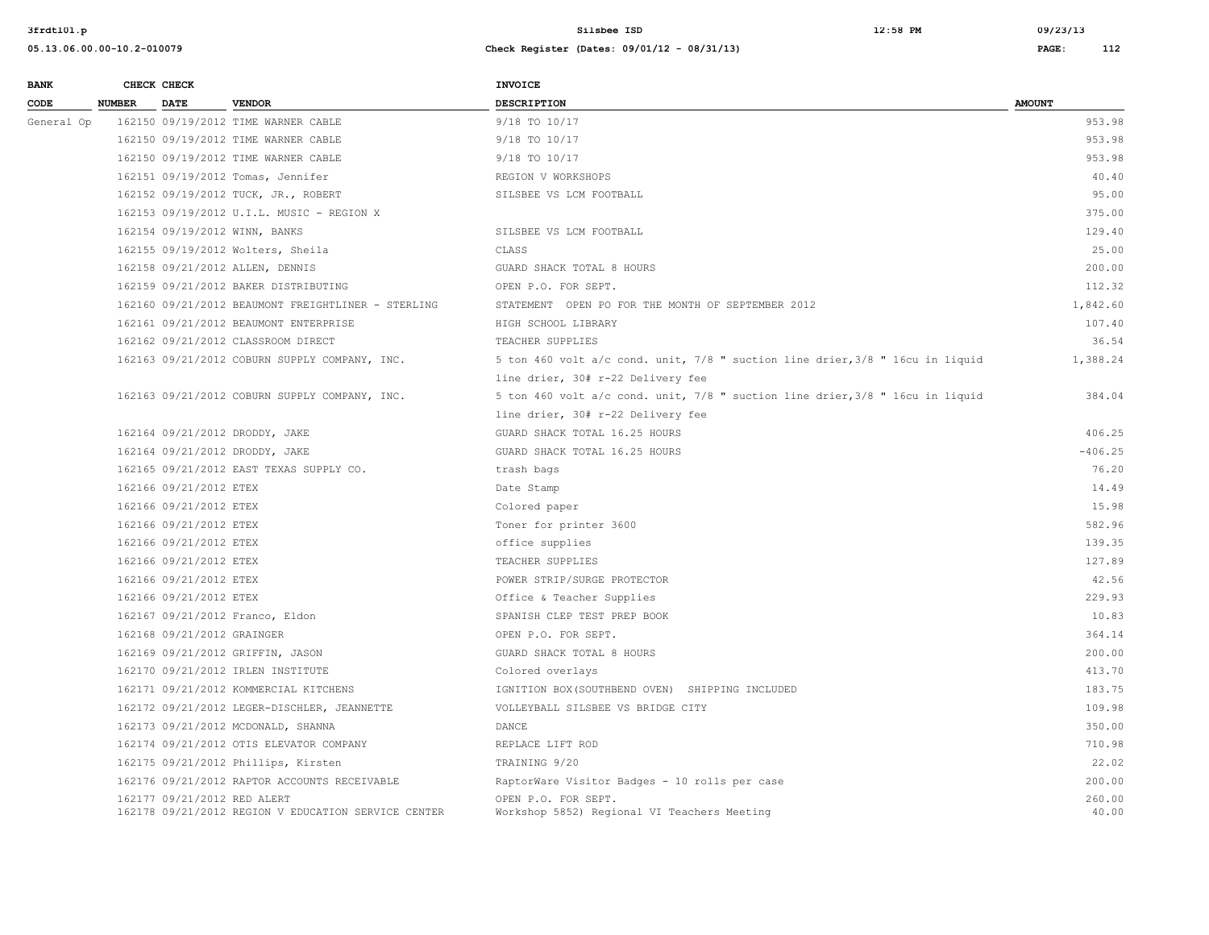| <b>BANK</b> |               | CHECK CHECK                 |                                                     | INVOICE                                                                       |                 |
|-------------|---------------|-----------------------------|-----------------------------------------------------|-------------------------------------------------------------------------------|-----------------|
| CODE        | <b>NUMBER</b> | <b>DATE</b>                 | <b>VENDOR</b>                                       | <b>DESCRIPTION</b>                                                            | <b>AMOUNT</b>   |
| General Op  |               |                             | 162150 09/19/2012 TIME WARNER CABLE                 | 9/18 TO 10/17                                                                 | 953.98          |
|             |               |                             | 162150 09/19/2012 TIME WARNER CABLE                 | 9/18 TO 10/17                                                                 | 953.98          |
|             |               |                             | 162150 09/19/2012 TIME WARNER CABLE                 | 9/18 TO 10/17                                                                 | 953.98          |
|             |               |                             | 162151 09/19/2012 Tomas, Jennifer                   | REGION V WORKSHOPS                                                            | 40.40           |
|             |               |                             | 162152 09/19/2012 TUCK, JR., ROBERT                 | SILSBEE VS LCM FOOTBALL                                                       | 95.00           |
|             |               |                             | 162153 09/19/2012 U.I.L. MUSIC - REGION X           |                                                                               | 375.00          |
|             |               |                             | 162154 09/19/2012 WINN, BANKS                       | SILSBEE VS LCM FOOTBALL                                                       | 129.40          |
|             |               |                             | 162155 09/19/2012 Wolters, Sheila                   | CLASS                                                                         | 25.00           |
|             |               |                             | 162158 09/21/2012 ALLEN, DENNIS                     | GUARD SHACK TOTAL 8 HOURS                                                     | 200.00          |
|             |               |                             | 162159 09/21/2012 BAKER DISTRIBUTING                | OPEN P.O. FOR SEPT.                                                           | 112.32          |
|             |               |                             | 162160 09/21/2012 BEAUMONT FREIGHTLINER - STERLING  | STATEMENT OPEN PO FOR THE MONTH OF SEPTEMBER 2012                             | 1,842.60        |
|             |               |                             | 162161 09/21/2012 BEAUMONT ENTERPRISE               | HIGH SCHOOL LIBRARY                                                           | 107.40          |
|             |               |                             | 162162 09/21/2012 CLASSROOM DIRECT                  | TEACHER SUPPLIES                                                              | 36.54           |
|             |               |                             | 162163 09/21/2012 COBURN SUPPLY COMPANY, INC.       | 5 ton 460 volt a/c cond. unit, 7/8 " suction line drier, 3/8 " 16cu in liquid | 1,388.24        |
|             |               |                             |                                                     | line drier, 30# r-22 Delivery fee                                             |                 |
|             |               |                             | 162163 09/21/2012 COBURN SUPPLY COMPANY, INC.       | 5 ton 460 volt a/c cond. unit, 7/8 " suction line drier, 3/8 " 16cu in liquid | 384.04          |
|             |               |                             |                                                     | line drier, 30# r-22 Delivery fee                                             |                 |
|             |               |                             | 162164 09/21/2012 DRODDY, JAKE                      | GUARD SHACK TOTAL 16.25 HOURS                                                 | 406.25          |
|             |               |                             | 162164 09/21/2012 DRODDY, JAKE                      | GUARD SHACK TOTAL 16.25 HOURS                                                 | $-406.25$       |
|             |               |                             | 162165 09/21/2012 EAST TEXAS SUPPLY CO.             | trash bags                                                                    | 76.20           |
|             |               | 162166 09/21/2012 ETEX      |                                                     | Date Stamp                                                                    | 14.49           |
|             |               | 162166 09/21/2012 ETEX      |                                                     | Colored paper                                                                 | 15.98           |
|             |               | 162166 09/21/2012 ETEX      |                                                     | Toner for printer 3600                                                        | 582.96          |
|             |               | 162166 09/21/2012 ETEX      |                                                     | office supplies                                                               | 139.35          |
|             |               | 162166 09/21/2012 ETEX      |                                                     | TEACHER SUPPLIES                                                              | 127.89          |
|             |               | 162166 09/21/2012 ETEX      |                                                     | POWER STRIP/SURGE PROTECTOR                                                   | 42.56           |
|             |               | 162166 09/21/2012 ETEX      |                                                     | Office & Teacher Supplies                                                     | 229.93          |
|             |               |                             | 162167 09/21/2012 Franco, Eldon                     | SPANISH CLEP TEST PREP BOOK                                                   | 10.83           |
|             |               | 162168 09/21/2012 GRAINGER  |                                                     | OPEN P.O. FOR SEPT.                                                           | 364.14          |
|             |               |                             | 162169 09/21/2012 GRIFFIN, JASON                    | GUARD SHACK TOTAL 8 HOURS                                                     | 200.00          |
|             |               |                             | 162170 09/21/2012 IRLEN INSTITUTE                   | Colored overlays                                                              | 413.70          |
|             |               |                             | 162171 09/21/2012 KOMMERCIAL KITCHENS               | IGNITION BOX (SOUTHBEND OVEN) SHIPPING INCLUDED                               | 183.75          |
|             |               |                             | 162172 09/21/2012 LEGER-DISCHLER, JEANNETTE         | VOLLEYBALL SILSBEE VS BRIDGE CITY                                             | 109.98          |
|             |               |                             | 162173 09/21/2012 MCDONALD, SHANNA                  | DANCE                                                                         | 350.00          |
|             |               |                             | 162174 09/21/2012 OTIS ELEVATOR COMPANY             | REPLACE LIFT ROD                                                              | 710.98          |
|             |               |                             | 162175 09/21/2012 Phillips, Kirsten                 | TRAINING 9/20                                                                 | 22.02           |
|             |               |                             | 162176 09/21/2012 RAPTOR ACCOUNTS RECEIVABLE        | RaptorWare Visitor Badges - 10 rolls per case                                 | 200.00          |
|             |               | 162177 09/21/2012 RED ALERT | 162178 09/21/2012 REGION V EDUCATION SERVICE CENTER | OPEN P.O. FOR SEPT.<br>Workshop 5852) Regional VI Teachers Meeting            | 260.00<br>40.00 |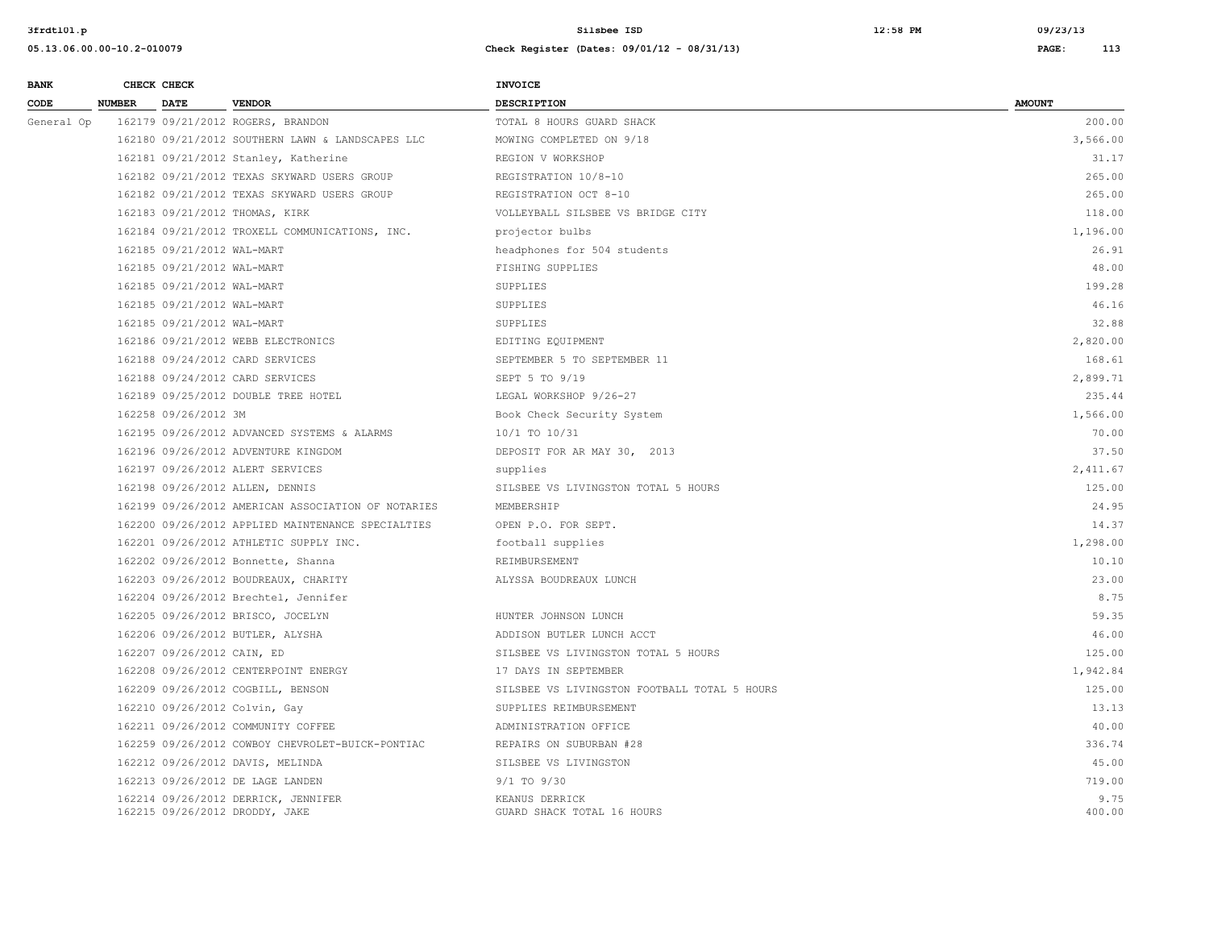**05.13.06.00.00-10.2-010079 Check Register (Dates: 09/01/12 - 08/31/13) PAGE: 113 BANK CHECK CHECK CHECK** 

| CODE       | <b>NUMBER</b> | DATE                       | <b>VENDOR</b>                                                         | <b>DESCRIPTION</b>                           | <b>AMOUNT</b>  |
|------------|---------------|----------------------------|-----------------------------------------------------------------------|----------------------------------------------|----------------|
| General Op |               |                            | 162179 09/21/2012 ROGERS, BRANDON                                     | TOTAL 8 HOURS GUARD SHACK                    | 200.00         |
|            |               |                            | 162180 09/21/2012 SOUTHERN LAWN & LANDSCAPES LLC                      | MOWING COMPLETED ON 9/18                     | 3,566.00       |
|            |               |                            | 162181 09/21/2012 Stanley, Katherine                                  | REGION V WORKSHOP                            | 31.17          |
|            |               |                            | 162182 09/21/2012 TEXAS SKYWARD USERS GROUP                           | REGISTRATION 10/8-10                         | 265.00         |
|            |               |                            | 162182 09/21/2012 TEXAS SKYWARD USERS GROUP                           | REGISTRATION OCT 8-10                        | 265.00         |
|            |               |                            | 162183 09/21/2012 THOMAS, KIRK                                        | VOLLEYBALL SILSBEE VS BRIDGE CITY            | 118.00         |
|            |               |                            | 162184 09/21/2012 TROXELL COMMUNICATIONS, INC.                        | projector bulbs                              | 1,196.00       |
|            |               | 162185 09/21/2012 WAL-MART |                                                                       | headphones for 504 students                  | 26.91          |
|            |               | 162185 09/21/2012 WAL-MART |                                                                       | FISHING SUPPLIES                             | 48.00          |
|            |               | 162185 09/21/2012 WAL-MART |                                                                       | SUPPLIES                                     | 199.28         |
|            |               | 162185 09/21/2012 WAL-MART |                                                                       | SUPPLIES                                     | 46.16          |
|            |               | 162185 09/21/2012 WAL-MART |                                                                       | SUPPLIES                                     | 32.88          |
|            |               |                            | 162186 09/21/2012 WEBB ELECTRONICS                                    | EDITING EQUIPMENT                            | 2,820.00       |
|            |               |                            | 162188 09/24/2012 CARD SERVICES                                       | SEPTEMBER 5 TO SEPTEMBER 11                  | 168.61         |
|            |               |                            | 162188 09/24/2012 CARD SERVICES                                       | SEPT 5 TO 9/19                               | 2,899.71       |
|            |               |                            | 162189 09/25/2012 DOUBLE TREE HOTEL                                   | LEGAL WORKSHOP 9/26-27                       | 235.44         |
|            |               | 162258 09/26/2012 3M       |                                                                       | Book Check Security System                   | 1,566.00       |
|            |               |                            | 162195 09/26/2012 ADVANCED SYSTEMS & ALARMS                           | 10/1 TO 10/31                                | 70.00          |
|            |               |                            | 162196 09/26/2012 ADVENTURE KINGDOM                                   | DEPOSIT FOR AR MAY 30, 2013                  | 37.50          |
|            |               |                            | 162197 09/26/2012 ALERT SERVICES                                      | supplies                                     | 2,411.67       |
|            |               |                            | 162198 09/26/2012 ALLEN, DENNIS                                       | SILSBEE VS LIVINGSTON TOTAL 5 HOURS          | 125.00         |
|            |               |                            | 162199 09/26/2012 AMERICAN ASSOCIATION OF NOTARIES                    | MEMBERSHIP                                   | 24.95          |
|            |               |                            | 162200 09/26/2012 APPLIED MAINTENANCE SPECIALTIES                     | OPEN P.O. FOR SEPT.                          | 14.37          |
|            |               |                            | 162201 09/26/2012 ATHLETIC SUPPLY INC.                                | football supplies                            | 1,298.00       |
|            |               |                            | 162202 09/26/2012 Bonnette, Shanna                                    | REIMBURSEMENT                                | 10.10          |
|            |               |                            | 162203 09/26/2012 BOUDREAUX, CHARITY                                  | ALYSSA BOUDREAUX LUNCH                       | 23.00          |
|            |               |                            | 162204 09/26/2012 Brechtel, Jennifer                                  |                                              | 8.75           |
|            |               |                            | 162205 09/26/2012 BRISCO, JOCELYN                                     | HUNTER JOHNSON LUNCH                         | 59.35          |
|            |               |                            | 162206 09/26/2012 BUTLER, ALYSHA                                      | ADDISON BUTLER LUNCH ACCT                    | 46.00          |
|            |               | 162207 09/26/2012 CAIN, ED |                                                                       | SILSBEE VS LIVINGSTON TOTAL 5 HOURS          | 125.00         |
|            |               |                            | 162208 09/26/2012 CENTERPOINT ENERGY                                  | 17 DAYS IN SEPTEMBER                         | 1,942.84       |
|            |               |                            | 162209 09/26/2012 COGBILL, BENSON                                     | SILSBEE VS LIVINGSTON FOOTBALL TOTAL 5 HOURS | 125.00         |
|            |               |                            | 162210 09/26/2012 Colvin, Gay                                         | SUPPLIES REIMBURSEMENT                       | 13.13          |
|            |               |                            | 162211 09/26/2012 COMMUNITY COFFEE                                    | ADMINISTRATION OFFICE                        | 40.00          |
|            |               |                            | 162259 09/26/2012 COWBOY CHEVROLET-BUICK-PONTIAC                      | REPAIRS ON SUBURBAN #28                      | 336.74         |
|            |               |                            | 162212 09/26/2012 DAVIS, MELINDA                                      | SILSBEE VS LIVINGSTON                        | 45.00          |
|            |               |                            | 162213 09/26/2012 DE LAGE LANDEN                                      | $9/1$ TO $9/30$                              | 719.00         |
|            |               |                            | 162214 09/26/2012 DERRICK, JENNIFER<br>162215 09/26/2012 DRODDY, JAKE | KEANUS DERRICK<br>GUARD SHACK TOTAL 16 HOURS | 9.75<br>400.00 |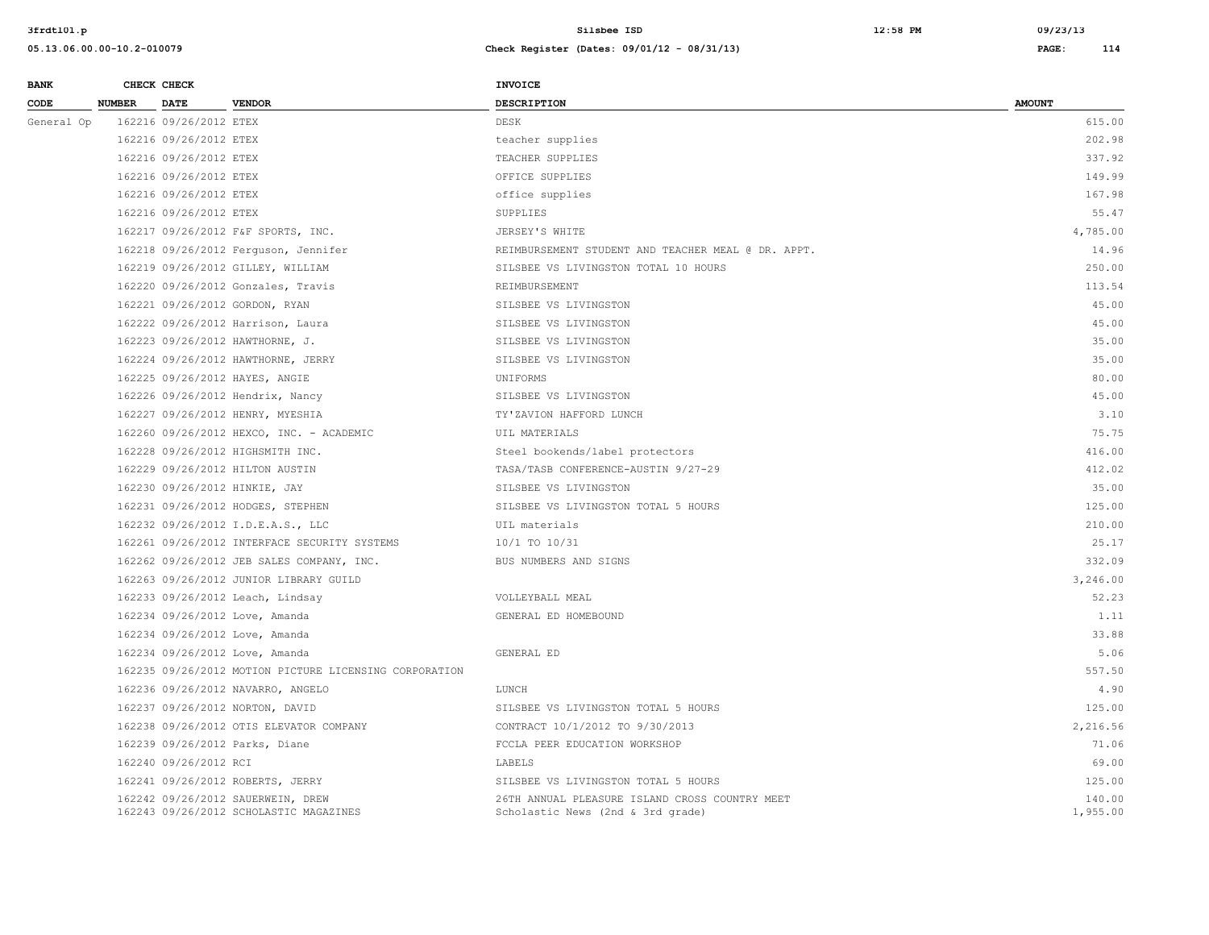**3frdtl01.p Silsbee ISD 12:58 PM 09/23/13**

| <b>BANK</b> |               | CHECK CHECK            |                                                                             | INVOICE                                                                             |                    |
|-------------|---------------|------------------------|-----------------------------------------------------------------------------|-------------------------------------------------------------------------------------|--------------------|
| CODE        | <b>NUMBER</b> | <b>DATE</b>            | <b>VENDOR</b>                                                               | <b>DESCRIPTION</b>                                                                  | <b>AMOUNT</b>      |
| General Op  |               | 162216 09/26/2012 ETEX |                                                                             | DESK                                                                                | 615.00             |
|             |               | 162216 09/26/2012 ETEX |                                                                             | teacher supplies                                                                    | 202.98             |
|             |               | 162216 09/26/2012 ETEX |                                                                             | TEACHER SUPPLIES                                                                    | 337.92             |
|             |               | 162216 09/26/2012 ETEX |                                                                             | OFFICE SUPPLIES                                                                     | 149.99             |
|             |               | 162216 09/26/2012 ETEX |                                                                             | office supplies                                                                     | 167.98             |
|             |               | 162216 09/26/2012 ETEX |                                                                             | SUPPLIES                                                                            | 55.47              |
|             |               |                        | 162217 09/26/2012 F&F SPORTS, INC.                                          | JERSEY'S WHITE                                                                      | 4,785.00           |
|             |               |                        | 162218 09/26/2012 Ferguson, Jennifer                                        | REIMBURSEMENT STUDENT AND TEACHER MEAL @ DR. APPT.                                  | 14.96              |
|             |               |                        | 162219 09/26/2012 GILLEY, WILLIAM                                           | SILSBEE VS LIVINGSTON TOTAL 10 HOURS                                                | 250.00             |
|             |               |                        | 162220 09/26/2012 Gonzales, Travis                                          | REIMBURSEMENT                                                                       | 113.54             |
|             |               |                        | 162221 09/26/2012 GORDON, RYAN                                              | SILSBEE VS LIVINGSTON                                                               | 45.00              |
|             |               |                        | 162222 09/26/2012 Harrison, Laura                                           | SILSBEE VS LIVINGSTON                                                               | 45.00              |
|             |               |                        | 162223 09/26/2012 HAWTHORNE, J.                                             | SILSBEE VS LIVINGSTON                                                               | 35.00              |
|             |               |                        | 162224 09/26/2012 HAWTHORNE, JERRY                                          | SILSBEE VS LIVINGSTON                                                               | 35.00              |
|             |               |                        | 162225 09/26/2012 HAYES, ANGIE                                              | UNIFORMS                                                                            | 80.00              |
|             |               |                        | 162226 09/26/2012 Hendrix, Nancy                                            | SILSBEE VS LIVINGSTON                                                               | 45.00              |
|             |               |                        | 162227 09/26/2012 HENRY, MYESHIA                                            | TY'ZAVION HAFFORD LUNCH                                                             | 3.10               |
|             |               |                        | 162260 09/26/2012 HEXCO, INC. - ACADEMIC                                    | UIL MATERIALS                                                                       | 75.75              |
|             |               |                        | 162228 09/26/2012 HIGHSMITH INC.                                            | Steel bookends/label protectors                                                     | 416.00             |
|             |               |                        | 162229 09/26/2012 HILTON AUSTIN                                             | TASA/TASB CONFERENCE-AUSTIN 9/27-29                                                 | 412.02             |
|             |               |                        | 162230 09/26/2012 HINKIE, JAY                                               | SILSBEE VS LIVINGSTON                                                               | 35.00              |
|             |               |                        | 162231 09/26/2012 HODGES, STEPHEN                                           | SILSBEE VS LIVINGSTON TOTAL 5 HOURS                                                 | 125.00             |
|             |               |                        | 162232 09/26/2012 I.D.E.A.S., LLC                                           | UIL materials                                                                       | 210.00             |
|             |               |                        | 162261 09/26/2012 INTERFACE SECURITY SYSTEMS                                | 10/1 TO 10/31                                                                       | 25.17              |
|             |               |                        | 162262 09/26/2012 JEB SALES COMPANY, INC.                                   | BUS NUMBERS AND SIGNS                                                               | 332.09             |
|             |               |                        | 162263 09/26/2012 JUNIOR LIBRARY GUILD                                      |                                                                                     | 3,246.00           |
|             |               |                        | 162233 09/26/2012 Leach, Lindsay                                            | VOLLEYBALL MEAL                                                                     | 52.23              |
|             |               |                        | 162234 09/26/2012 Love, Amanda                                              | GENERAL ED HOMEBOUND                                                                | 1.11               |
|             |               |                        | 162234 09/26/2012 Love, Amanda                                              |                                                                                     | 33.88              |
|             |               |                        | 162234 09/26/2012 Love, Amanda                                              | GENERAL ED                                                                          | 5.06               |
|             |               |                        | 162235 09/26/2012 MOTION PICTURE LICENSING CORPORATION                      |                                                                                     | 557.50             |
|             |               |                        | 162236 09/26/2012 NAVARRO, ANGELO                                           | LUNCH                                                                               | 4.90               |
|             |               |                        | 162237 09/26/2012 NORTON, DAVID                                             | SILSBEE VS LIVINGSTON TOTAL 5 HOURS                                                 | 125.00             |
|             |               |                        | 162238 09/26/2012 OTIS ELEVATOR COMPANY                                     | CONTRACT 10/1/2012 TO 9/30/2013                                                     | 2,216.56           |
|             |               |                        | 162239 09/26/2012 Parks, Diane                                              | FCCLA PEER EDUCATION WORKSHOP                                                       | 71.06              |
|             |               | 162240 09/26/2012 RCI  |                                                                             | LABELS                                                                              | 69.00              |
|             |               |                        | 162241 09/26/2012 ROBERTS, JERRY                                            | SILSBEE VS LIVINGSTON TOTAL 5 HOURS                                                 | 125.00             |
|             |               |                        | 162242 09/26/2012 SAUERWEIN, DREW<br>162243 09/26/2012 SCHOLASTIC MAGAZINES | 26TH ANNUAL PLEASURE ISLAND CROSS COUNTRY MEET<br>Scholastic News (2nd & 3rd grade) | 140.00<br>1,955.00 |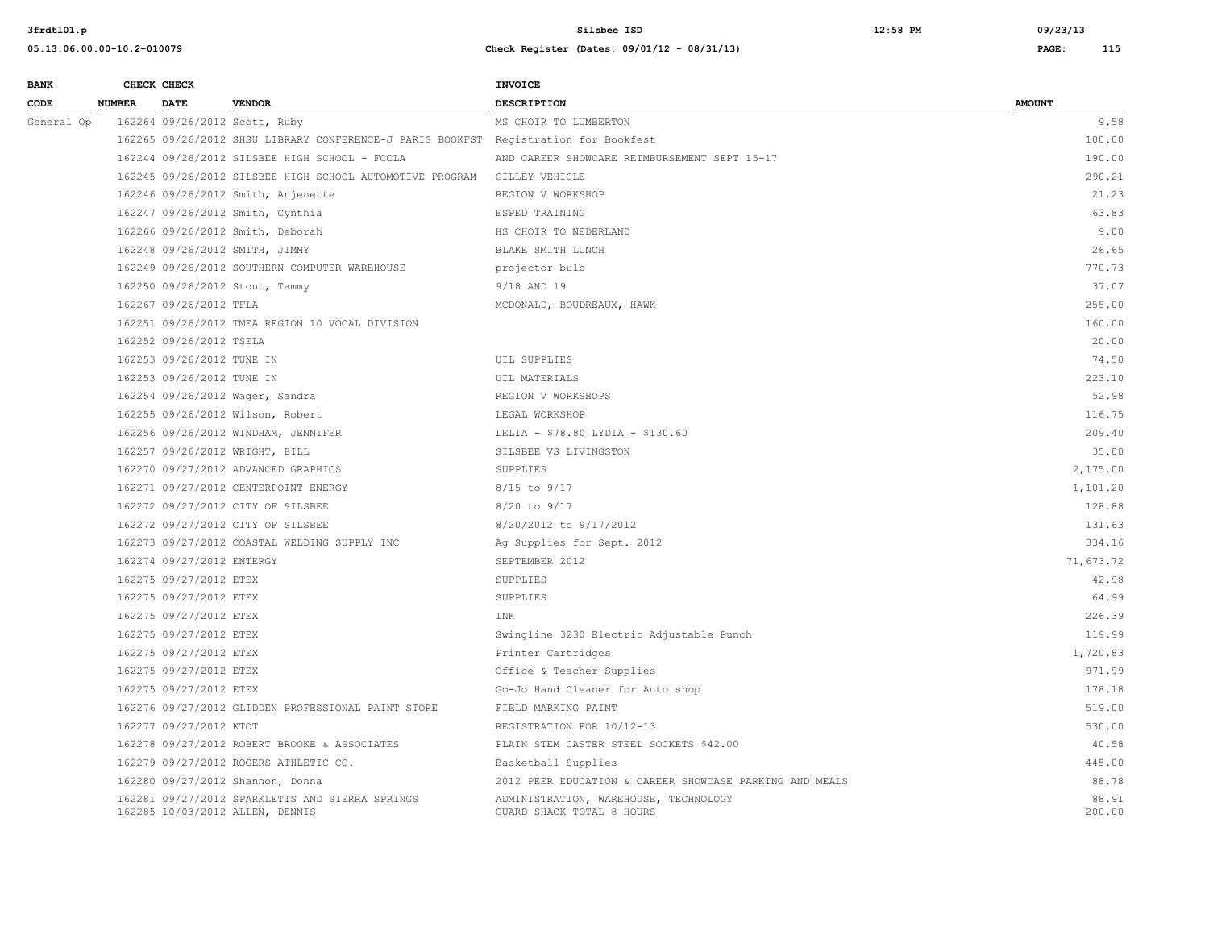| <b>BANK</b> |               | CHECK CHECK               |                                                                                     | <b>INVOICE</b>                                                     |                 |
|-------------|---------------|---------------------------|-------------------------------------------------------------------------------------|--------------------------------------------------------------------|-----------------|
| CODE        | <b>NUMBER</b> | <b>DATE</b>               | <b>VENDOR</b>                                                                       | <b>DESCRIPTION</b>                                                 | <b>AMOUNT</b>   |
| General Op  |               |                           | 162264 09/26/2012 Scott, Ruby                                                       | MS CHOIR TO LUMBERTON                                              | 9.58            |
|             |               |                           | 162265 09/26/2012 SHSU LIBRARY CONFERENCE-J PARIS BOOKFST Registration for Bookfest |                                                                    | 100.00          |
|             |               |                           | 162244 09/26/2012 SILSBEE HIGH SCHOOL - FCCLA                                       | AND CAREER SHOWCARE REIMBURSEMENT SEPT 15-17                       | 190.00          |
|             |               |                           | 162245 09/26/2012 SILSBEE HIGH SCHOOL AUTOMOTIVE PROGRAM                            | <b>GILLEY VEHICLE</b>                                              | 290.21          |
|             |               |                           | 162246 09/26/2012 Smith, Anjenette                                                  | REGION V WORKSHOP                                                  | 21.23           |
|             |               |                           | 162247 09/26/2012 Smith, Cynthia                                                    | ESPED TRAINING                                                     | 63.83           |
|             |               |                           | 162266 09/26/2012 Smith, Deborah                                                    | HS CHOIR TO NEDERLAND                                              | 9.00            |
|             |               |                           | 162248 09/26/2012 SMITH, JIMMY                                                      | BLAKE SMITH LUNCH                                                  | 26.65           |
|             |               |                           | 162249 09/26/2012 SOUTHERN COMPUTER WAREHOUSE                                       | projector bulb                                                     | 770.73          |
|             |               |                           | 162250 09/26/2012 Stout, Tammy                                                      | 9/18 AND 19                                                        | 37.07           |
|             |               | 162267 09/26/2012 TFLA    |                                                                                     | MCDONALD, BOUDREAUX, HAWK                                          | 255.00          |
|             |               |                           | 162251 09/26/2012 TMEA REGION 10 VOCAL DIVISION                                     |                                                                    | 160.00          |
|             |               | 162252 09/26/2012 TSELA   |                                                                                     |                                                                    | 20.00           |
|             |               | 162253 09/26/2012 TUNE IN |                                                                                     | UIL SUPPLIES                                                       | 74.50           |
|             |               | 162253 09/26/2012 TUNE IN |                                                                                     | UIL MATERIALS                                                      | 223.10          |
|             |               |                           | 162254 09/26/2012 Wager, Sandra                                                     | REGION V WORKSHOPS                                                 | 52.98           |
|             |               |                           | 162255 09/26/2012 Wilson, Robert                                                    | LEGAL WORKSHOP                                                     | 116.75          |
|             |               |                           | 162256 09/26/2012 WINDHAM, JENNIFER                                                 | LELIA - \$78.80 LYDIA - \$130.60                                   | 209.40          |
|             |               |                           | 162257 09/26/2012 WRIGHT, BILL                                                      | SILSBEE VS LIVINGSTON                                              | 35.00           |
|             |               |                           | 162270 09/27/2012 ADVANCED GRAPHICS                                                 | SUPPLIES                                                           | 2,175.00        |
|             |               |                           | 162271 09/27/2012 CENTERPOINT ENERGY                                                | 8/15 to 9/17                                                       | 1,101.20        |
|             |               |                           | 162272 09/27/2012 CITY OF SILSBEE                                                   | 8/20 to 9/17                                                       | 128.88          |
|             |               |                           | 162272 09/27/2012 CITY OF SILSBEE                                                   | 8/20/2012 to 9/17/2012                                             | 131.63          |
|             |               |                           | 162273 09/27/2012 COASTAL WELDING SUPPLY INC                                        | Ag Supplies for Sept. 2012                                         | 334.16          |
|             |               | 162274 09/27/2012 ENTERGY |                                                                                     | SEPTEMBER 2012                                                     | 71,673.72       |
|             |               | 162275 09/27/2012 ETEX    |                                                                                     | <b>SUPPLIES</b>                                                    | 42.98           |
|             |               | 162275 09/27/2012 ETEX    |                                                                                     | SUPPLIES                                                           | 64.99           |
|             |               | 162275 09/27/2012 ETEX    |                                                                                     | INK                                                                | 226.39          |
|             |               | 162275 09/27/2012 ETEX    |                                                                                     | Swingline 3230 Electric Adjustable Punch                           | 119.99          |
|             |               | 162275 09/27/2012 ETEX    |                                                                                     | Printer Cartridges                                                 | 1,720.83        |
|             |               | 162275 09/27/2012 ETEX    |                                                                                     | Office & Teacher Supplies                                          | 971.99          |
|             |               | 162275 09/27/2012 ETEX    |                                                                                     | Go-Jo Hand Cleaner for Auto shop                                   | 178.18          |
|             |               |                           | 162276 09/27/2012 GLIDDEN PROFESSIONAL PAINT STORE                                  | FIELD MARKING PAINT                                                | 519.00          |
|             |               | 162277 09/27/2012 KTOT    |                                                                                     | REGISTRATION FOR 10/12-13                                          | 530.00          |
|             |               |                           | 162278 09/27/2012 ROBERT BROOKE & ASSOCIATES                                        | PLAIN STEM CASTER STEEL SOCKETS \$42.00                            | 40.58           |
|             |               |                           | 162279 09/27/2012 ROGERS ATHLETIC CO.                                               | Basketball Supplies                                                | 445.00          |
|             |               |                           | 162280 09/27/2012 Shannon, Donna                                                    | 2012 PEER EDUCATION & CAREER SHOWCASE PARKING AND MEALS            | 88.78           |
|             |               |                           | 162281 09/27/2012 SPARKLETTS AND SIERRA SPRINGS<br>162285 10/03/2012 ALLEN, DENNIS  | ADMINISTRATION, WAREHOUSE, TECHNOLOGY<br>GUARD SHACK TOTAL 8 HOURS | 88.91<br>200.00 |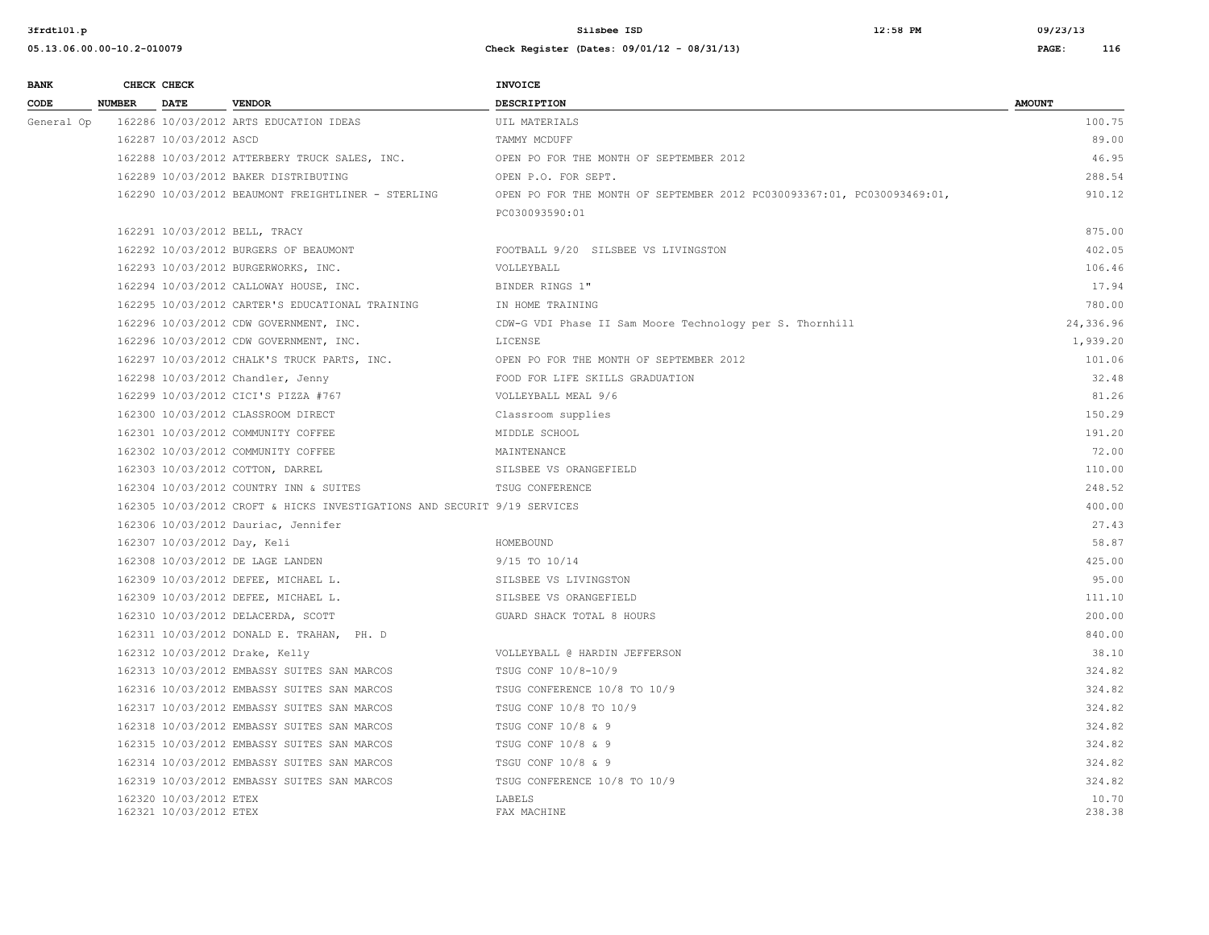**3frdtl01.p Silsbee ISD 12:58 PM 09/23/13**

| <b>BANK</b> |               | CHECK CHECK                                      |                                                                          | <b>INVOICE</b>                                                          |                 |
|-------------|---------------|--------------------------------------------------|--------------------------------------------------------------------------|-------------------------------------------------------------------------|-----------------|
| CODE        | <b>NUMBER</b> | <b>DATE</b>                                      | <b>VENDOR</b>                                                            | <b>DESCRIPTION</b>                                                      | <b>AMOUNT</b>   |
| General Op  |               |                                                  | 162286 10/03/2012 ARTS EDUCATION IDEAS                                   | UIL MATERIALS                                                           | 100.75          |
|             |               | 162287 10/03/2012 ASCD                           |                                                                          | TAMMY MCDUFF                                                            | 89.00           |
|             |               |                                                  | 162288 10/03/2012 ATTERBERY TRUCK SALES, INC.                            | OPEN PO FOR THE MONTH OF SEPTEMBER 2012                                 | 46.95           |
|             |               |                                                  | 162289 10/03/2012 BAKER DISTRIBUTING                                     | OPEN P.O. FOR SEPT.                                                     | 288.54          |
|             |               |                                                  | 162290 10/03/2012 BEAUMONT FREIGHTLINER - STERLING                       | OPEN PO FOR THE MONTH OF SEPTEMBER 2012 PC030093367:01, PC030093469:01, | 910.12          |
|             |               |                                                  |                                                                          | PC030093590:01                                                          |                 |
|             |               |                                                  | 162291 10/03/2012 BELL, TRACY                                            |                                                                         | 875.00          |
|             |               |                                                  | 162292 10/03/2012 BURGERS OF BEAUMONT                                    | FOOTBALL 9/20 SILSBEE VS LIVINGSTON                                     | 402.05          |
|             |               |                                                  | 162293 10/03/2012 BURGERWORKS, INC.                                      | VOLLEYBALL                                                              | 106.46          |
|             |               |                                                  | 162294 10/03/2012 CALLOWAY HOUSE, INC.                                   | BINDER RINGS 1"                                                         | 17.94           |
|             |               |                                                  | 162295 10/03/2012 CARTER'S EDUCATIONAL TRAINING                          | IN HOME TRAINING                                                        | 780.00          |
|             |               |                                                  | 162296 10/03/2012 CDW GOVERNMENT, INC.                                   | CDW-G VDI Phase II Sam Moore Technology per S. Thornhill                | 24,336.96       |
|             |               |                                                  | 162296 10/03/2012 CDW GOVERNMENT, INC.                                   | LICENSE                                                                 | 1,939.20        |
|             |               |                                                  | 162297 10/03/2012 CHALK'S TRUCK PARTS, INC.                              | OPEN PO FOR THE MONTH OF SEPTEMBER 2012                                 | 101.06          |
|             |               |                                                  | 162298 10/03/2012 Chandler, Jenny                                        | FOOD FOR LIFE SKILLS GRADUATION                                         | 32.48           |
|             |               |                                                  | 162299 10/03/2012 CICI'S PIZZA #767                                      | VOLLEYBALL MEAL 9/6                                                     | 81.26           |
|             |               |                                                  | 162300 10/03/2012 CLASSROOM DIRECT                                       | Classroom supplies                                                      | 150.29          |
|             |               |                                                  | 162301 10/03/2012 COMMUNITY COFFEE                                       | MIDDLE SCHOOL                                                           | 191.20          |
|             |               |                                                  | 162302 10/03/2012 COMMUNITY COFFEE                                       | MAINTENANCE                                                             | 72.00           |
|             |               |                                                  | 162303 10/03/2012 COTTON, DARREL                                         | SILSBEE VS ORANGEFIELD                                                  | 110.00          |
|             |               |                                                  | 162304 10/03/2012 COUNTRY INN & SUITES                                   | TSUG CONFERENCE                                                         | 248.52          |
|             |               |                                                  | 162305 10/03/2012 CROFT & HICKS INVESTIGATIONS AND SECURIT 9/19 SERVICES |                                                                         | 400.00          |
|             |               |                                                  | 162306 10/03/2012 Dauriac, Jennifer                                      |                                                                         | 27.43           |
|             |               | 162307 10/03/2012 Day, Keli                      |                                                                          | HOMEBOUND                                                               | 58.87           |
|             |               |                                                  | 162308 10/03/2012 DE LAGE LANDEN                                         | 9/15 TO 10/14                                                           | 425.00          |
|             |               |                                                  | 162309 10/03/2012 DEFEE, MICHAEL L.                                      | SILSBEE VS LIVINGSTON                                                   | 95.00           |
|             |               |                                                  | 162309 10/03/2012 DEFEE, MICHAEL L.                                      | SILSBEE VS ORANGEFIELD                                                  | 111.10          |
|             |               |                                                  | 162310 10/03/2012 DELACERDA, SCOTT                                       | GUARD SHACK TOTAL 8 HOURS                                               | 200.00          |
|             |               |                                                  | 162311 10/03/2012 DONALD E. TRAHAN, PH. D                                |                                                                         | 840.00          |
|             |               |                                                  | 162312 10/03/2012 Drake, Kelly                                           | VOLLEYBALL @ HARDIN JEFFERSON                                           | 38.10           |
|             |               |                                                  | 162313 10/03/2012 EMBASSY SUITES SAN MARCOS                              | TSUG CONF 10/8-10/9                                                     | 324.82          |
|             |               |                                                  | 162316 10/03/2012 EMBASSY SUITES SAN MARCOS                              | TSUG CONFERENCE 10/8 TO 10/9                                            | 324.82          |
|             |               |                                                  | 162317 10/03/2012 EMBASSY SUITES SAN MARCOS                              | TSUG CONF 10/8 TO 10/9                                                  | 324.82          |
|             |               |                                                  | 162318 10/03/2012 EMBASSY SUITES SAN MARCOS                              | TSUG CONF 10/8 & 9                                                      | 324.82          |
|             |               |                                                  | 162315 10/03/2012 EMBASSY SUITES SAN MARCOS                              | TSUG CONF 10/8 & 9                                                      | 324.82          |
|             |               |                                                  | 162314 10/03/2012 EMBASSY SUITES SAN MARCOS                              | TSGU CONF 10/8 & 9                                                      | 324.82          |
|             |               |                                                  | 162319 10/03/2012 EMBASSY SUITES SAN MARCOS                              | TSUG CONFERENCE 10/8 TO 10/9                                            | 324.82          |
|             |               | 162320 10/03/2012 ETEX<br>162321 10/03/2012 ETEX |                                                                          | LABELS<br>FAX MACHINE                                                   | 10.70<br>238.38 |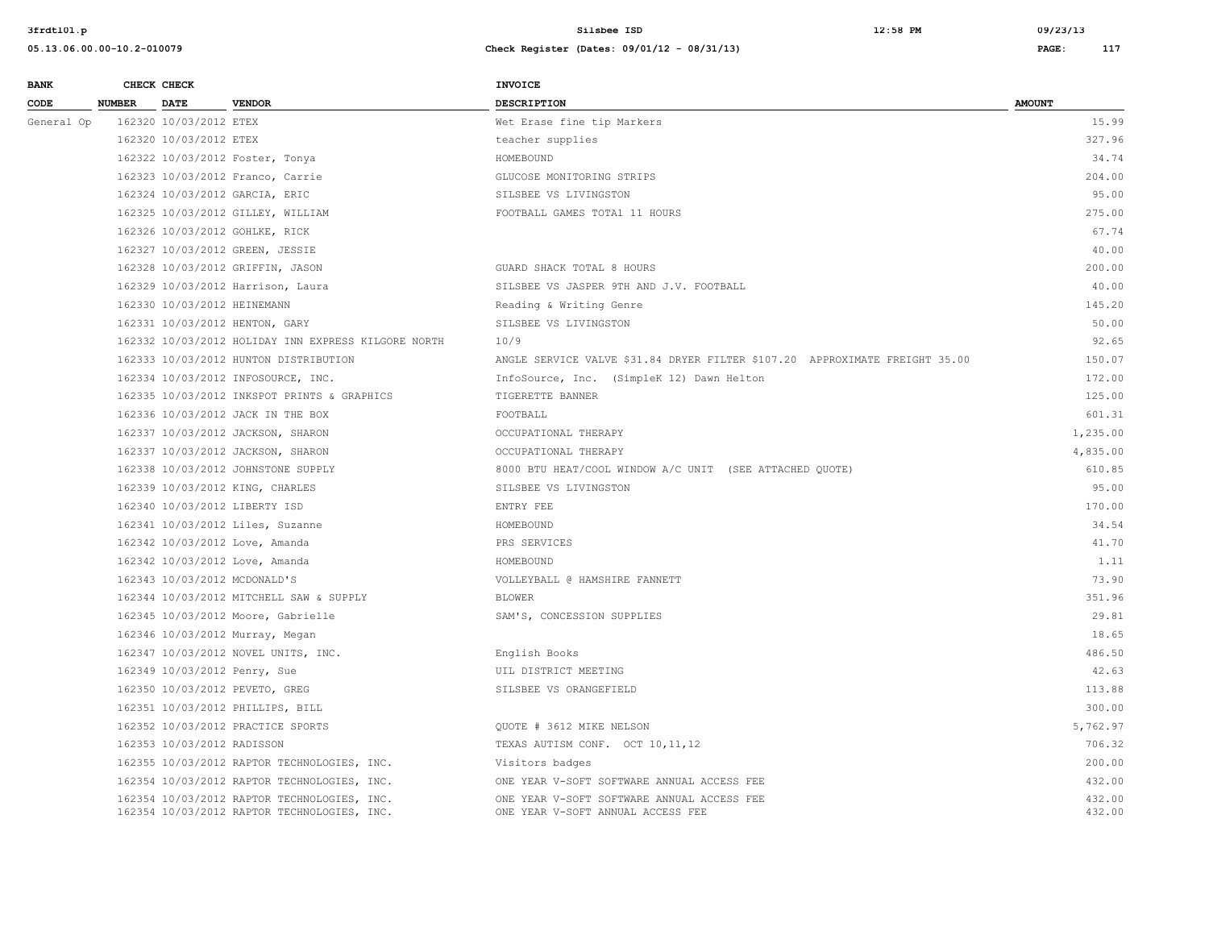#### **05.13.06.00.00-10.2-010079 Check Register (Dates: 09/01/12 - 08/31/13) PAGE: 117**

**BANK CHECK CHECK CHECK** 

| CODE       | <b>NUMBER</b> | <b>DATE</b>                 | <b>VENDOR</b>                                                                              | <b>DESCRIPTION</b>                                                              | <b>AMOUNT</b>    |
|------------|---------------|-----------------------------|--------------------------------------------------------------------------------------------|---------------------------------------------------------------------------------|------------------|
| General Op |               | 162320 10/03/2012 ETEX      |                                                                                            | Wet Erase fine tip Markers                                                      | 15.99            |
|            |               | 162320 10/03/2012 ETEX      |                                                                                            | teacher supplies                                                                | 327.96           |
|            |               |                             | 162322 10/03/2012 Foster, Tonya                                                            | HOMEBOUND                                                                       | 34.74            |
|            |               |                             | 162323 10/03/2012 Franco, Carrie                                                           | GLUCOSE MONITORING STRIPS                                                       | 204.00           |
|            |               |                             | 162324 10/03/2012 GARCIA, ERIC                                                             | SILSBEE VS LIVINGSTON                                                           | 95.00            |
|            |               |                             | 162325 10/03/2012 GILLEY, WILLIAM                                                          | FOOTBALL GAMES TOTAl 11 HOURS                                                   | 275.00           |
|            |               |                             | 162326 10/03/2012 GOHLKE, RICK                                                             |                                                                                 | 67.74            |
|            |               |                             | 162327 10/03/2012 GREEN, JESSIE                                                            |                                                                                 | 40.00            |
|            |               |                             | 162328 10/03/2012 GRIFFIN, JASON                                                           | GUARD SHACK TOTAL 8 HOURS                                                       | 200.00           |
|            |               |                             | 162329 10/03/2012 Harrison, Laura                                                          | SILSBEE VS JASPER 9TH AND J.V. FOOTBALL                                         | 40.00            |
|            |               | 162330 10/03/2012 HEINEMANN |                                                                                            | Reading & Writing Genre                                                         | 145.20           |
|            |               |                             | 162331 10/03/2012 HENTON, GARY                                                             | SILSBEE VS LIVINGSTON                                                           | 50.00            |
|            |               |                             | 162332 10/03/2012 HOLIDAY INN EXPRESS KILGORE NORTH                                        | 10/9                                                                            | 92.65            |
|            |               |                             | 162333 10/03/2012 HUNTON DISTRIBUTION                                                      | ANGLE SERVICE VALVE \$31.84 DRYER FILTER \$107.20 APPROXIMATE FREIGHT 35.00     | 150.07           |
|            |               |                             | 162334 10/03/2012 INFOSOURCE, INC.                                                         | InfoSource, Inc. (SimpleK 12) Dawn Helton                                       | 172.00           |
|            |               |                             | 162335 10/03/2012 INKSPOT PRINTS & GRAPHICS                                                | TIGERETTE BANNER                                                                | 125.00           |
|            |               |                             | 162336 10/03/2012 JACK IN THE BOX                                                          | FOOTBALL                                                                        | 601.31           |
|            |               |                             | 162337 10/03/2012 JACKSON, SHARON                                                          | OCCUPATIONAL THERAPY                                                            | 1,235.00         |
|            |               |                             | 162337 10/03/2012 JACKSON, SHARON                                                          | OCCUPATIONAL THERAPY                                                            | 4,835.00         |
|            |               |                             | 162338 10/03/2012 JOHNSTONE SUPPLY                                                         | 8000 BTU HEAT/COOL WINDOW A/C UNIT (SEE ATTACHED QUOTE)                         | 610.85           |
|            |               |                             | 162339 10/03/2012 KING, CHARLES                                                            | SILSBEE VS LIVINGSTON                                                           | 95.00            |
|            |               |                             | 162340 10/03/2012 LIBERTY ISD                                                              | ENTRY FEE                                                                       | 170.00           |
|            |               |                             | 162341 10/03/2012 Liles, Suzanne                                                           | HOMEBOUND                                                                       | 34.54            |
|            |               |                             | 162342 10/03/2012 Love, Amanda                                                             | PRS SERVICES                                                                    | 41.70            |
|            |               |                             | 162342 10/03/2012 Love, Amanda                                                             | HOMEBOUND                                                                       | 1.11             |
|            |               |                             | 162343 10/03/2012 MCDONALD'S                                                               | VOLLEYBALL @ HAMSHIRE FANNETT                                                   | 73.90            |
|            |               |                             | 162344 10/03/2012 MITCHELL SAW & SUPPLY                                                    | <b>BLOWER</b>                                                                   | 351.96           |
|            |               |                             | 162345 10/03/2012 Moore, Gabrielle                                                         | SAM'S, CONCESSION SUPPLIES                                                      | 29.81            |
|            |               |                             | 162346 10/03/2012 Murray, Megan                                                            |                                                                                 | 18.65            |
|            |               |                             | 162347 10/03/2012 NOVEL UNITS, INC.                                                        | English Books                                                                   | 486.50           |
|            |               |                             | 162349 10/03/2012 Penry, Sue                                                               | UIL DISTRICT MEETING                                                            | 42.63            |
|            |               |                             | 162350 10/03/2012 PEVETO, GREG                                                             | SILSBEE VS ORANGEFIELD                                                          | 113.88           |
|            |               |                             | 162351 10/03/2012 PHILLIPS, BILL                                                           |                                                                                 | 300.00           |
|            |               |                             | 162352 10/03/2012 PRACTICE SPORTS                                                          | OUOTE # 3612 MIKE NELSON                                                        | 5,762.97         |
|            |               | 162353 10/03/2012 RADISSON  |                                                                                            | TEXAS AUTISM CONF. OCT 10, 11, 12                                               | 706.32           |
|            |               |                             | 162355 10/03/2012 RAPTOR TECHNOLOGIES, INC.                                                | Visitors badges                                                                 | 200.00           |
|            |               |                             | 162354 10/03/2012 RAPTOR TECHNOLOGIES, INC.                                                | ONE YEAR V-SOFT SOFTWARE ANNUAL ACCESS FEE                                      | 432.00           |
|            |               |                             | 162354 10/03/2012 RAPTOR TECHNOLOGIES, INC.<br>162354 10/03/2012 RAPTOR TECHNOLOGIES, INC. | ONE YEAR V-SOFT SOFTWARE ANNUAL ACCESS FEE<br>ONE YEAR V-SOFT ANNUAL ACCESS FEE | 432.00<br>432.00 |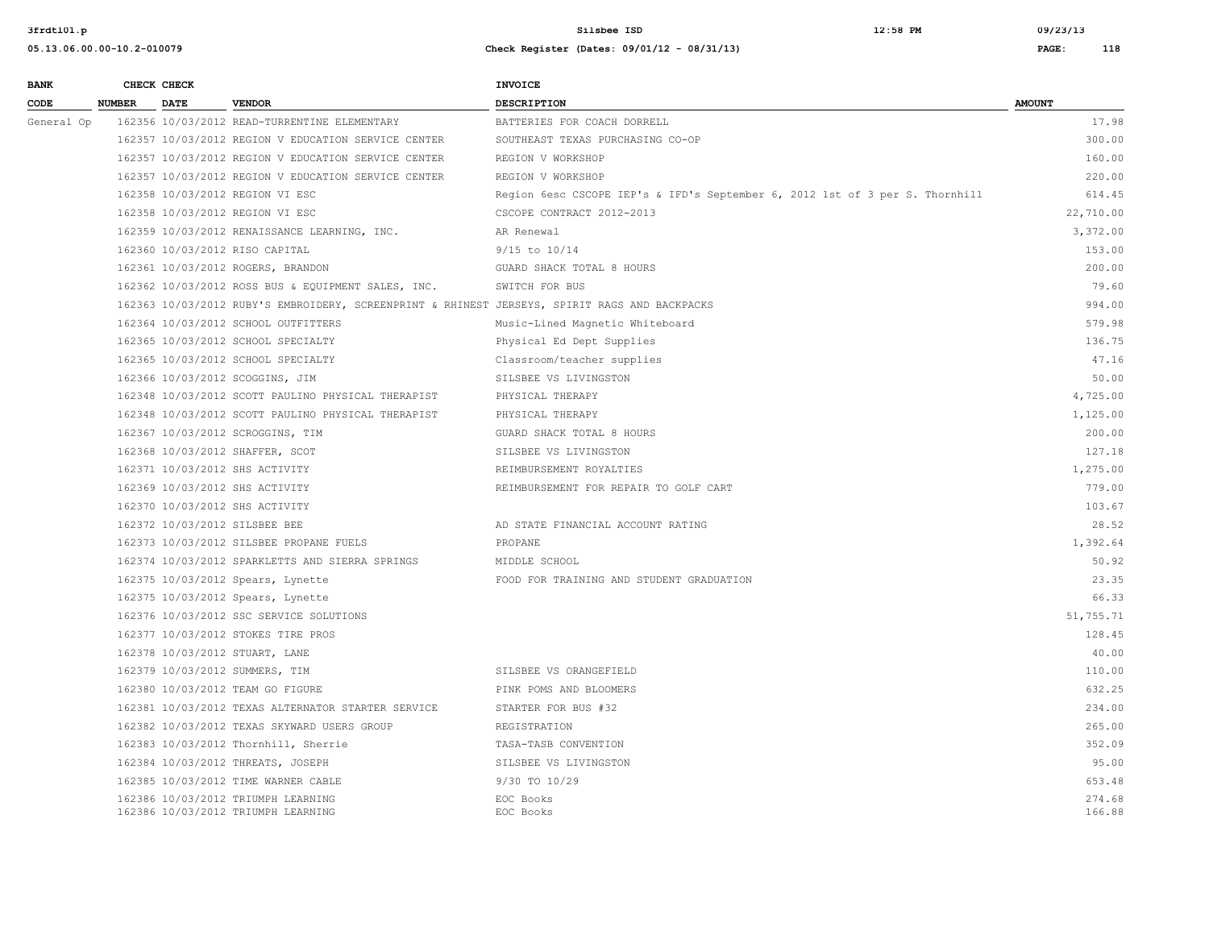**3frdtl01.p Silsbee ISD 12:58 PM 09/23/13**

| <b>BANK</b> |               | CHECK CHECK |                                                                                               | <b>INVOICE</b>                                                               |                  |
|-------------|---------------|-------------|-----------------------------------------------------------------------------------------------|------------------------------------------------------------------------------|------------------|
| CODE        | <b>NUMBER</b> | <b>DATE</b> | <b>VENDOR</b>                                                                                 | <b>DESCRIPTION</b>                                                           | <b>AMOUNT</b>    |
| General Op  |               |             | 162356 10/03/2012 READ-TURRENTINE ELEMENTARY                                                  | BATTERIES FOR COACH DORRELL                                                  | 17.98            |
|             |               |             | 162357 10/03/2012 REGION V EDUCATION SERVICE CENTER                                           | SOUTHEAST TEXAS PURCHASING CO-OP                                             | 300.00           |
|             |               |             | 162357 10/03/2012 REGION V EDUCATION SERVICE CENTER                                           | REGION V WORKSHOP                                                            | 160.00           |
|             |               |             | 162357 10/03/2012 REGION V EDUCATION SERVICE CENTER                                           | REGION V WORKSHOP                                                            | 220.00           |
|             |               |             | 162358 10/03/2012 REGION VI ESC                                                               | Region 6esc CSCOPE IEP's & IFD's September 6, 2012 1st of 3 per S. Thornhill | 614.45           |
|             |               |             | 162358 10/03/2012 REGION VI ESC                                                               | CSCOPE CONTRACT 2012-2013                                                    | 22,710.00        |
|             |               |             | 162359 10/03/2012 RENAISSANCE LEARNING, INC.                                                  | AR Renewal                                                                   | 3,372.00         |
|             |               |             | 162360 10/03/2012 RISO CAPITAL                                                                | 9/15 to 10/14                                                                | 153.00           |
|             |               |             | 162361 10/03/2012 ROGERS, BRANDON                                                             | GUARD SHACK TOTAL 8 HOURS                                                    | 200.00           |
|             |               |             | 162362 10/03/2012 ROSS BUS & EQUIPMENT SALES, INC.                                            | SWITCH FOR BUS                                                               | 79.60            |
|             |               |             | 162363 10/03/2012 RUBY'S EMBROIDERY, SCREENPRINT & RHINEST JERSEYS, SPIRIT RAGS AND BACKPACKS |                                                                              | 994.00           |
|             |               |             | 162364 10/03/2012 SCHOOL OUTFITTERS                                                           | Music-Lined Magnetic Whiteboard                                              | 579.98           |
|             |               |             | 162365 10/03/2012 SCHOOL SPECIALTY                                                            | Physical Ed Dept Supplies                                                    | 136.75           |
|             |               |             | 162365 10/03/2012 SCHOOL SPECIALTY                                                            | Classroom/teacher supplies                                                   | 47.16            |
|             |               |             | 162366 10/03/2012 SCOGGINS, JIM                                                               | SILSBEE VS LIVINGSTON                                                        | 50.00            |
|             |               |             | 162348 10/03/2012 SCOTT PAULINO PHYSICAL THERAPIST                                            | PHYSICAL THERAPY                                                             | 4,725.00         |
|             |               |             | 162348 10/03/2012 SCOTT PAULINO PHYSICAL THERAPIST                                            | PHYSICAL THERAPY                                                             | 1,125.00         |
|             |               |             | 162367 10/03/2012 SCROGGINS, TIM                                                              | GUARD SHACK TOTAL 8 HOURS                                                    | 200.00           |
|             |               |             | 162368 10/03/2012 SHAFFER, SCOT                                                               | SILSBEE VS LIVINGSTON                                                        | 127.18           |
|             |               |             | 162371 10/03/2012 SHS ACTIVITY                                                                | REIMBURSEMENT ROYALTIES                                                      | 1,275.00         |
|             |               |             | 162369 10/03/2012 SHS ACTIVITY                                                                | REIMBURSEMENT FOR REPAIR TO GOLF CART                                        | 779.00           |
|             |               |             | 162370 10/03/2012 SHS ACTIVITY                                                                |                                                                              | 103.67           |
|             |               |             | 162372 10/03/2012 SILSBEE BEE                                                                 | AD STATE FINANCIAL ACCOUNT RATING                                            | 28.52            |
|             |               |             | 162373 10/03/2012 SILSBEE PROPANE FUELS                                                       | PROPANE                                                                      | 1,392.64         |
|             |               |             | 162374 10/03/2012 SPARKLETTS AND SIERRA SPRINGS                                               | MIDDLE SCHOOL                                                                | 50.92            |
|             |               |             | 162375 10/03/2012 Spears, Lynette                                                             | FOOD FOR TRAINING AND STUDENT GRADUATION                                     | 23.35            |
|             |               |             | 162375 10/03/2012 Spears, Lynette                                                             |                                                                              | 66.33            |
|             |               |             | 162376 10/03/2012 SSC SERVICE SOLUTIONS                                                       |                                                                              | 51,755.71        |
|             |               |             | 162377 10/03/2012 STOKES TIRE PROS                                                            |                                                                              | 128.45           |
|             |               |             | 162378 10/03/2012 STUART, LANE                                                                |                                                                              | 40.00            |
|             |               |             | 162379 10/03/2012 SUMMERS, TIM                                                                | SILSBEE VS ORANGEFIELD                                                       | 110.00           |
|             |               |             | 162380 10/03/2012 TEAM GO FIGURE                                                              | PINK POMS AND BLOOMERS                                                       | 632.25           |
|             |               |             | 162381 10/03/2012 TEXAS ALTERNATOR STARTER SERVICE                                            | STARTER FOR BUS #32                                                          | 234.00           |
|             |               |             | 162382 10/03/2012 TEXAS SKYWARD USERS GROUP                                                   | REGISTRATION                                                                 | 265.00           |
|             |               |             | 162383 10/03/2012 Thornhill, Sherrie                                                          | TASA-TASB CONVENTION                                                         | 352.09           |
|             |               |             | 162384 10/03/2012 THREATS, JOSEPH                                                             | SILSBEE VS LIVINGSTON                                                        | 95.00            |
|             |               |             | 162385 10/03/2012 TIME WARNER CABLE                                                           | 9/30 TO 10/29                                                                | 653.48           |
|             |               |             | 162386 10/03/2012 TRIUMPH LEARNING<br>162386 10/03/2012 TRIUMPH LEARNING                      | EOC Books<br>EOC Books                                                       | 274.68<br>166.88 |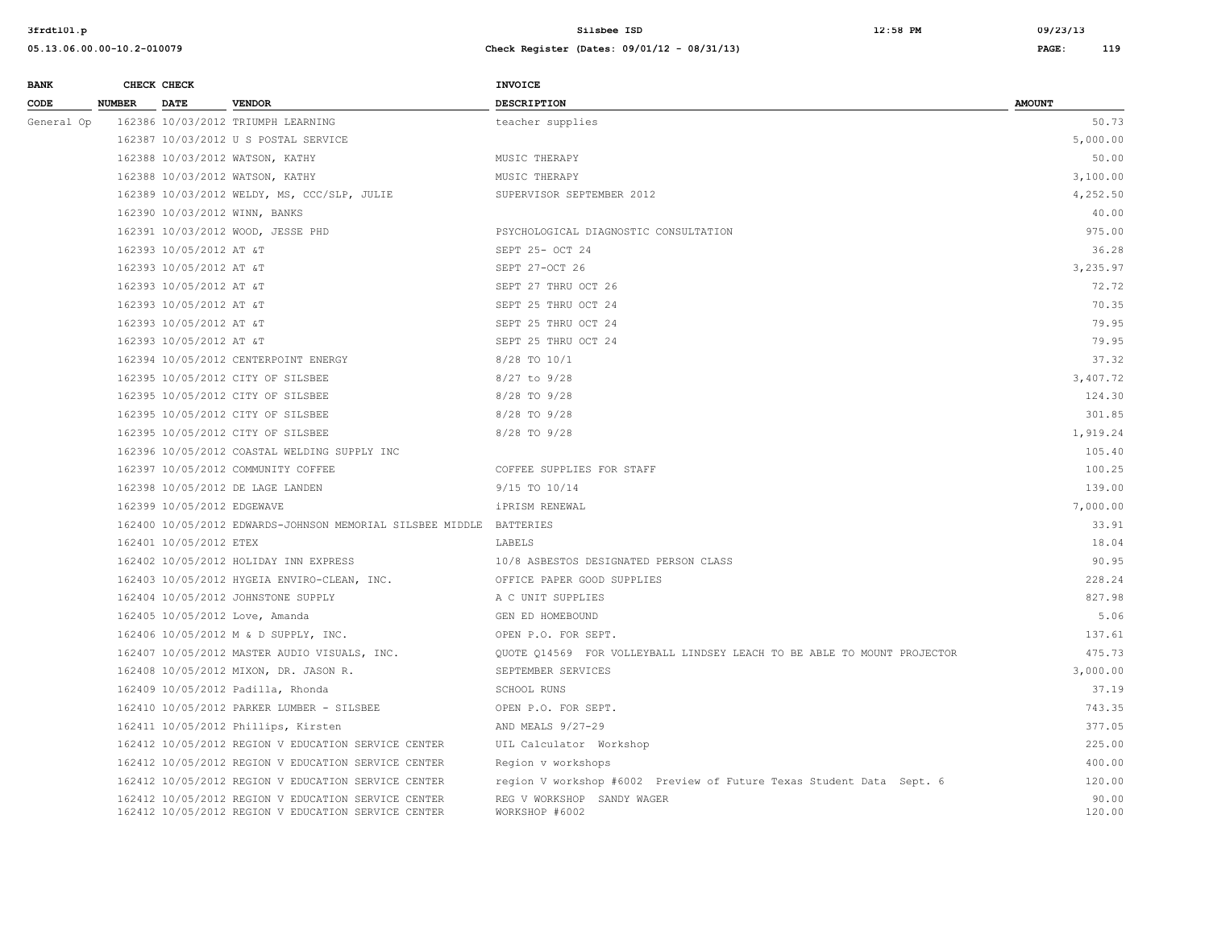**3frdtl01.p Silsbee ISD 12:58 PM 09/23/13**

| <b>BANK</b> |               | CHECK CHECK             |                                             | <b>INVOICE</b>                        |               |
|-------------|---------------|-------------------------|---------------------------------------------|---------------------------------------|---------------|
| CODE        | <b>NUMBER</b> | <b>DATE</b>             | <b>VENDOR</b>                               | <b>DESCRIPTION</b>                    | <b>AMOUNT</b> |
| General Op  |               |                         | 162386 10/03/2012 TRIUMPH LEARNING          | teacher supplies                      | 50.73         |
|             |               |                         | 162387 10/03/2012 U S POSTAL SERVICE        |                                       | 5,000.00      |
|             |               |                         | 162388 10/03/2012 WATSON, KATHY             | MUSIC THERAPY                         | 50.00         |
|             |               |                         | 162388 10/03/2012 WATSON, KATHY             | MUSIC THERAPY                         | 3,100.00      |
|             |               |                         | 162389 10/03/2012 WELDY, MS, CCC/SLP, JULIE | SUPERVISOR SEPTEMBER 2012             | 4,252.50      |
|             |               |                         | 162390 10/03/2012 WINN, BANKS               |                                       | 40.00         |
|             |               |                         | 162391 10/03/2012 WOOD, JESSE PHD           | PSYCHOLOGICAL DIAGNOSTIC CONSULTATION | 975.00        |
|             |               | 162393 10/05/2012 AT &T |                                             | SEPT 25- OCT 24                       | 36.28         |
|             |               | 162393 10/05/2012 AT &T |                                             | SEPT 27-OCT 26                        | 3,235.97      |
|             |               | 162393 10/05/2012 AT &T |                                             | SEPT 27 THRU OCT 26                   | 72.72         |
|             |               | 162393 10/05/2012 AT &T |                                             | SEPT 25 THRU OCT 24                   | 70.35         |
|             |               |                         |                                             |                                       |               |

| 162393 10/05/2012 AT &T                                             | SEPT 25 THRU OCT 24                                                     | 79.95    |
|---------------------------------------------------------------------|-------------------------------------------------------------------------|----------|
| 162393 10/05/2012 AT &T                                             | SEPT 25 THRU OCT 24                                                     | 79.95    |
| 162394 10/05/2012 CENTERPOINT ENERGY                                | 8/28 TO 10/1                                                            | 37.32    |
| 162395 10/05/2012 CITY OF SILSBEE                                   | 8/27 to 9/28                                                            | 3,407.72 |
| 162395 10/05/2012 CITY OF SILSBEE                                   | 8/28 TO 9/28                                                            | 124.30   |
| 162395 10/05/2012 CITY OF SILSBEE                                   | 8/28 TO 9/28                                                            | 301.85   |
| 162395 10/05/2012 CITY OF SILSBEE                                   | $8/28$ TO $9/28$                                                        | 1,919.24 |
| 162396 10/05/2012 COASTAL WELDING SUPPLY INC                        |                                                                         | 105.40   |
| 162397 10/05/2012 COMMUNITY COFFEE                                  | COFFEE SUPPLIES FOR STAFF                                               | 100.25   |
| 162398 10/05/2012 DE LAGE LANDEN                                    | 9/15 TO 10/14                                                           | 139.00   |
| 162399 10/05/2012 EDGEWAVE                                          | iPRISM RENEWAL                                                          | 7,000.00 |
| 162400 10/05/2012 EDWARDS-JOHNSON MEMORIAL SILSBEE MIDDLE BATTERIES |                                                                         | 33.91    |
| 162401 10/05/2012 ETEX                                              | LABELS                                                                  | 18.04    |
| 162402 10/05/2012 HOLIDAY INN EXPRESS                               | 10/8 ASBESTOS DESIGNATED PERSON CLASS                                   | 90.95    |
| 162403 10/05/2012 HYGEIA ENVIRO-CLEAN, INC.                         | OFFICE PAPER GOOD SUPPLIES                                              | 228.24   |
| 162404 10/05/2012 JOHNSTONE SUPPLY                                  | A C UNIT SUPPLIES                                                       | 827.98   |
| 162405 10/05/2012 Love, Amanda                                      | GEN ED HOMEBOUND                                                        | 5.06     |
| 162406 10/05/2012 M & D SUPPLY, INC.                                | OPEN P.O. FOR SEPT.                                                     | 137.61   |
| 162407 10/05/2012 MASTER AUDIO VISUALS, INC.                        | OUOTE 014569 FOR VOLLEYBALL LINDSEY LEACH TO BE ABLE TO MOUNT PROJECTOR | 475.73   |
| 162408 10/05/2012 MIXON, DR. JASON R.                               | SEPTEMBER SERVICES                                                      | 3,000.00 |
| 162409 10/05/2012 Padilla, Rhonda                                   | SCHOOL RUNS                                                             | 37.19    |
| 162410 10/05/2012 PARKER LUMBER - SILSBEE                           | OPEN P.O. FOR SEPT.                                                     | 743.35   |
| 162411 10/05/2012 Phillips, Kirsten                                 | AND MEALS 9/27-29                                                       | 377.05   |
| 162412 10/05/2012 REGION V EDUCATION SERVICE CENTER                 | UIL Calculator Workshop                                                 | 225.00   |
| 162412 10/05/2012 REGION V EDUCATION SERVICE CENTER                 | Region v workshops                                                      | 400.00   |
| 162412 10/05/2012 REGION V EDUCATION SERVICE CENTER                 | region V workshop #6002 Preview of Future Texas Student Data Sept. 6    | 120.00   |
| 162412 10/05/2012 REGION V EDUCATION SERVICE CENTER                 | REG V WORKSHOP SANDY WAGER                                              | 90.00    |
| 162412 10/05/2012 REGION V EDUCATION SERVICE CENTER                 | WORKSHOP #6002                                                          | 120.00   |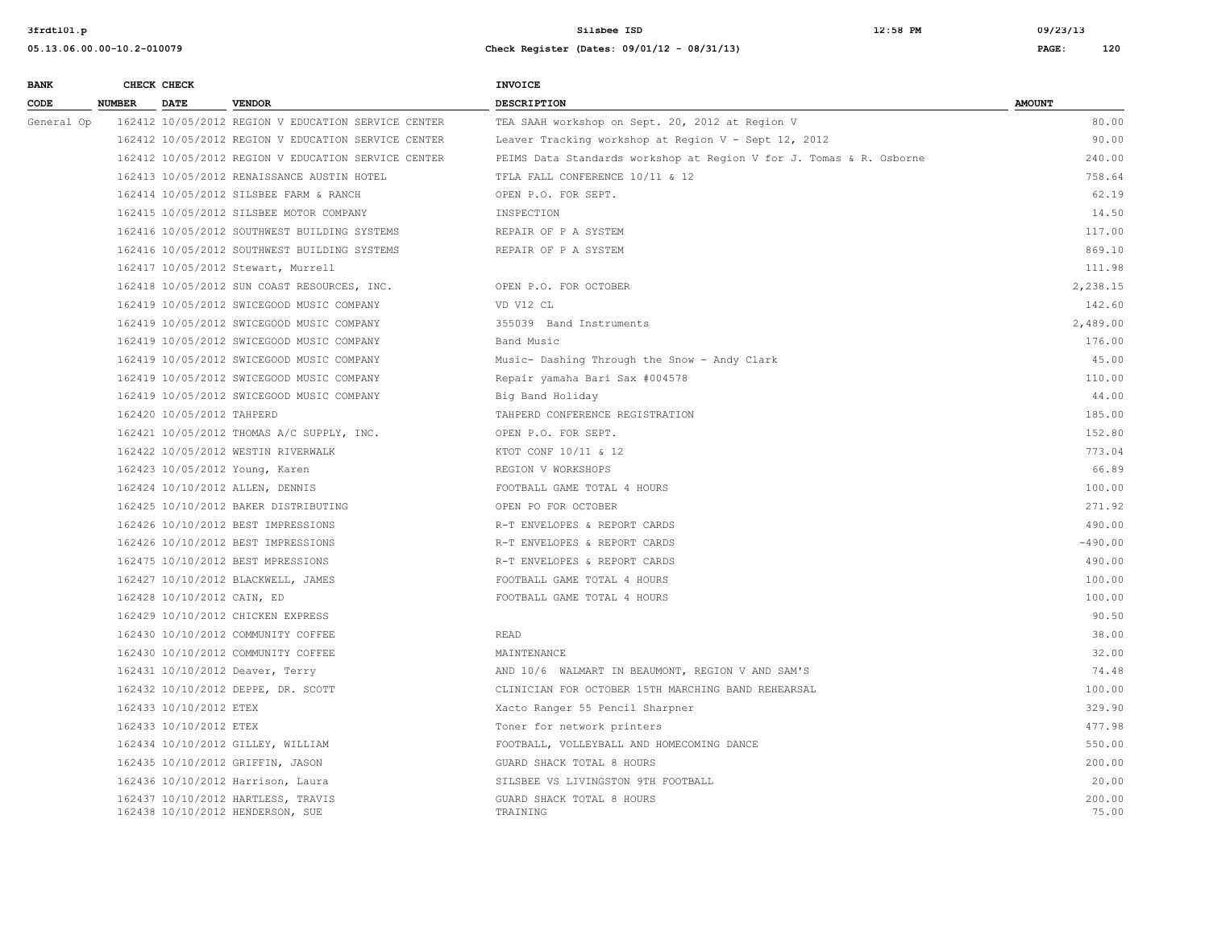**3frdtl01.p Silsbee ISD 12:58 PM 09/23/13**

| <b>BANK</b> |               | CHECK CHECK                |                                                                        | <b>INVOICE</b>                                                      |                 |
|-------------|---------------|----------------------------|------------------------------------------------------------------------|---------------------------------------------------------------------|-----------------|
| CODE        | <b>NUMBER</b> | <b>DATE</b>                | <b>VENDOR</b>                                                          | <b>DESCRIPTION</b>                                                  | <b>AMOUNT</b>   |
| General Op  |               |                            | 162412 10/05/2012 REGION V EDUCATION SERVICE CENTER                    | TEA SAAH workshop on Sept. 20, 2012 at Region V                     | 80.00           |
|             |               |                            | 162412 10/05/2012 REGION V EDUCATION SERVICE CENTER                    | Leaver Tracking workshop at Region V - Sept 12, 2012                | 90.00           |
|             |               |                            | 162412 10/05/2012 REGION V EDUCATION SERVICE CENTER                    | PEIMS Data Standards workshop at Region V for J. Tomas & R. Osborne | 240.00          |
|             |               |                            | 162413 10/05/2012 RENAISSANCE AUSTIN HOTEL                             | TFLA FALL CONFERENCE 10/11 & 12                                     | 758.64          |
|             |               |                            | 162414 10/05/2012 SILSBEE FARM & RANCH                                 | OPEN P.O. FOR SEPT.                                                 | 62.19           |
|             |               |                            | 162415 10/05/2012 SILSBEE MOTOR COMPANY                                | INSPECTION                                                          | 14.50           |
|             |               |                            | 162416 10/05/2012 SOUTHWEST BUILDING SYSTEMS                           | REPAIR OF P A SYSTEM                                                | 117.00          |
|             |               |                            | 162416 10/05/2012 SOUTHWEST BUILDING SYSTEMS                           | REPAIR OF P A SYSTEM                                                | 869.10          |
|             |               |                            | 162417 10/05/2012 Stewart, Murrell                                     |                                                                     | 111.98          |
|             |               |                            | 162418 10/05/2012 SUN COAST RESOURCES, INC.                            | OPEN P.O. FOR OCTOBER                                               | 2,238.15        |
|             |               |                            | 162419 10/05/2012 SWICEGOOD MUSIC COMPANY                              | VD V12 CL                                                           | 142.60          |
|             |               |                            | 162419 10/05/2012 SWICEGOOD MUSIC COMPANY                              | 355039 Band Instruments                                             | 2,489.00        |
|             |               |                            | 162419 10/05/2012 SWICEGOOD MUSIC COMPANY                              | Band Music                                                          | 176.00          |
|             |               |                            | 162419 10/05/2012 SWICEGOOD MUSIC COMPANY                              | Music- Dashing Through the Snow - Andy Clark                        | 45.00           |
|             |               |                            | 162419 10/05/2012 SWICEGOOD MUSIC COMPANY                              | Repair yamaha Bari Sax #004578                                      | 110.00          |
|             |               |                            | 162419 10/05/2012 SWICEGOOD MUSIC COMPANY                              | Big Band Holiday                                                    | 44.00           |
|             |               | 162420 10/05/2012 TAHPERD  |                                                                        | TAHPERD CONFERENCE REGISTRATION                                     | 185.00          |
|             |               |                            | 162421 10/05/2012 THOMAS A/C SUPPLY, INC.                              | OPEN P.O. FOR SEPT.                                                 | 152.80          |
|             |               |                            | 162422 10/05/2012 WESTIN RIVERWALK                                     | KTOT CONF 10/11 & 12                                                | 773.04          |
|             |               |                            | 162423 10/05/2012 Young, Karen                                         | REGION V WORKSHOPS                                                  | 66.89           |
|             |               |                            | 162424 10/10/2012 ALLEN, DENNIS                                        | FOOTBALL GAME TOTAL 4 HOURS                                         | 100.00          |
|             |               |                            | 162425 10/10/2012 BAKER DISTRIBUTING                                   | OPEN PO FOR OCTOBER                                                 | 271.92          |
|             |               |                            | 162426 10/10/2012 BEST IMPRESSIONS                                     | R-T ENVELOPES & REPORT CARDS                                        | 490.00          |
|             |               |                            | 162426 10/10/2012 BEST IMPRESSIONS                                     | R-T ENVELOPES & REPORT CARDS                                        | $-490.00$       |
|             |               |                            | 162475 10/10/2012 BEST MPRESSIONS                                      | R-T ENVELOPES & REPORT CARDS                                        | 490.00          |
|             |               |                            | 162427 10/10/2012 BLACKWELL, JAMES                                     | FOOTBALL GAME TOTAL 4 HOURS                                         | 100.00          |
|             |               | 162428 10/10/2012 CAIN, ED |                                                                        | FOOTBALL GAME TOTAL 4 HOURS                                         | 100.00          |
|             |               |                            | 162429 10/10/2012 CHICKEN EXPRESS                                      |                                                                     | 90.50           |
|             |               |                            | 162430 10/10/2012 COMMUNITY COFFEE                                     | <b>READ</b>                                                         | 38.00           |
|             |               |                            | 162430 10/10/2012 COMMUNITY COFFEE                                     | MAINTENANCE                                                         | 32.00           |
|             |               |                            | 162431 10/10/2012 Deaver, Terry                                        | AND 10/6 WALMART IN BEAUMONT, REGION V AND SAM'S                    | 74.48           |
|             |               |                            | 162432 10/10/2012 DEPPE, DR. SCOTT                                     | CLINICIAN FOR OCTOBER 15TH MARCHING BAND REHEARSAL                  | 100.00          |
|             |               | 162433 10/10/2012 ETEX     |                                                                        | Xacto Ranger 55 Pencil Sharpner                                     | 329.90          |
|             |               | 162433 10/10/2012 ETEX     |                                                                        | Toner for network printers                                          | 477.98          |
|             |               |                            | 162434 10/10/2012 GILLEY, WILLIAM                                      | FOOTBALL, VOLLEYBALL AND HOMECOMING DANCE                           | 550.00          |
|             |               |                            | 162435 10/10/2012 GRIFFIN, JASON                                       | GUARD SHACK TOTAL 8 HOURS                                           | 200.00          |
|             |               |                            | 162436 10/10/2012 Harrison, Laura                                      | SILSBEE VS LIVINGSTON 9TH FOOTBALL                                  | 20.00           |
|             |               |                            | 162437 10/10/2012 HARTLESS, TRAVIS<br>162438 10/10/2012 HENDERSON, SUE | GUARD SHACK TOTAL 8 HOURS<br>TRAINING                               | 200.00<br>75.00 |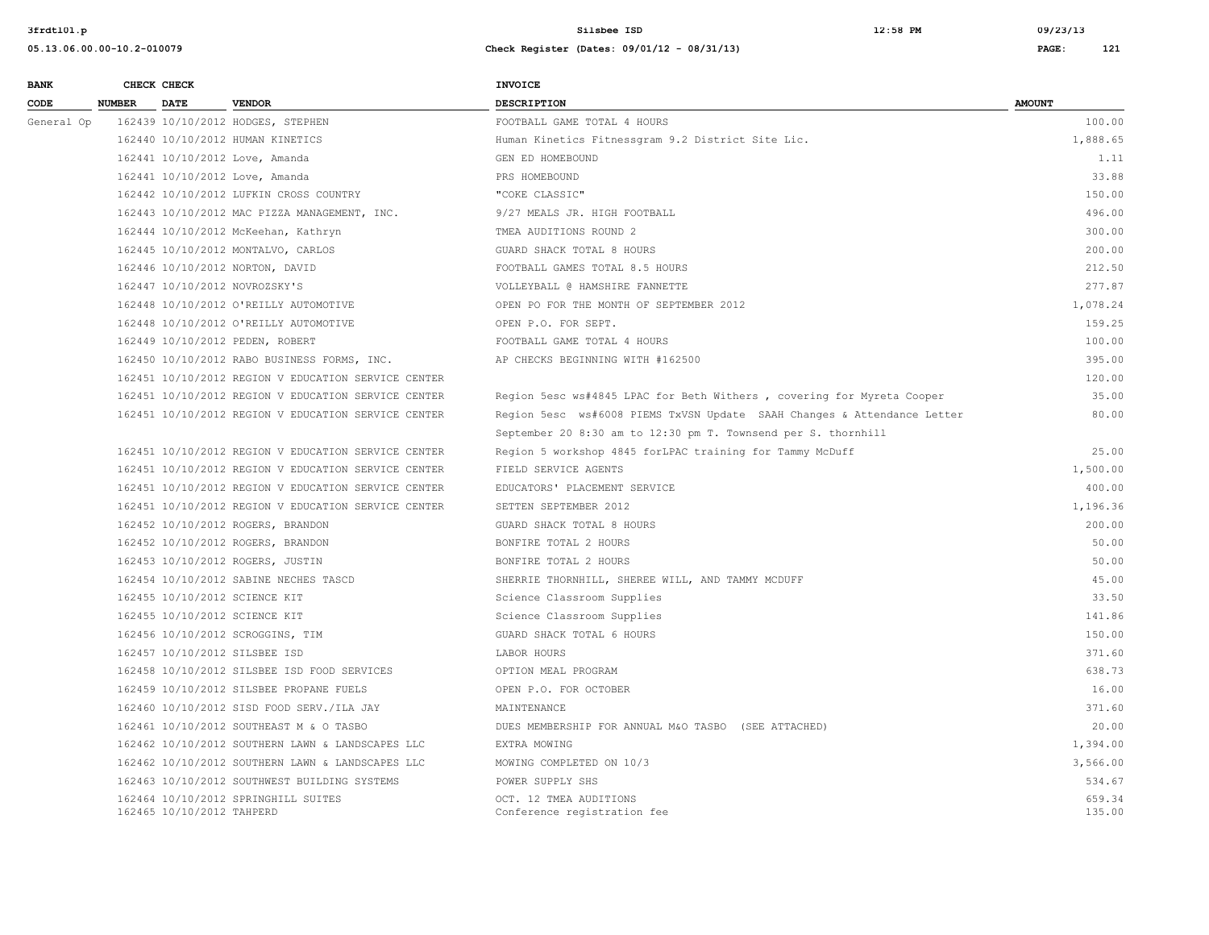**3frdtl01.p Silsbee ISD 12:58 PM 09/23/13**

| <b>BANK</b> |               | CHECK CHECK               |                                                     | <b>INVOICE</b>                                                          |                  |
|-------------|---------------|---------------------------|-----------------------------------------------------|-------------------------------------------------------------------------|------------------|
| CODE        | <b>NUMBER</b> | <b>DATE</b>               | <b>VENDOR</b>                                       | <b>DESCRIPTION</b>                                                      | <b>AMOUNT</b>    |
| General Op  |               |                           | 162439 10/10/2012 HODGES, STEPHEN                   | FOOTBALL GAME TOTAL 4 HOURS                                             | 100.00           |
|             |               |                           | 162440 10/10/2012 HUMAN KINETICS                    | Human Kinetics Fitnessgram 9.2 District Site Lic.                       | 1,888.65         |
|             |               |                           | 162441 10/10/2012 Love, Amanda                      | GEN ED HOMEBOUND                                                        | 1.11             |
|             |               |                           | 162441 10/10/2012 Love, Amanda                      | PRS HOMEBOUND                                                           | 33.88            |
|             |               |                           | 162442 10/10/2012 LUFKIN CROSS COUNTRY              | "COKE CLASSIC"                                                          | 150.00           |
|             |               |                           | 162443 10/10/2012 MAC PIZZA MANAGEMENT, INC.        | 9/27 MEALS JR. HIGH FOOTBALL                                            | 496.00           |
|             |               |                           | 162444 10/10/2012 McKeehan, Kathryn                 | TMEA AUDITIONS ROUND 2                                                  | 300.00           |
|             |               |                           | 162445 10/10/2012 MONTALVO, CARLOS                  | GUARD SHACK TOTAL 8 HOURS                                               | 200.00           |
|             |               |                           | 162446 10/10/2012 NORTON, DAVID                     | FOOTBALL GAMES TOTAL 8.5 HOURS                                          | 212.50           |
|             |               |                           | 162447 10/10/2012 NOVROZSKY'S                       | VOLLEYBALL @ HAMSHIRE FANNETTE                                          | 277.87           |
|             |               |                           | 162448 10/10/2012 O'REILLY AUTOMOTIVE               | OPEN PO FOR THE MONTH OF SEPTEMBER 2012                                 | 1,078.24         |
|             |               |                           | 162448 10/10/2012 O'REILLY AUTOMOTIVE               | OPEN P.O. FOR SEPT.                                                     | 159.25           |
|             |               |                           | 162449 10/10/2012 PEDEN, ROBERT                     | FOOTBALL GAME TOTAL 4 HOURS                                             | 100.00           |
|             |               |                           | 162450 10/10/2012 RABO BUSINESS FORMS, INC.         | AP CHECKS BEGINNING WITH #162500                                        | 395.00           |
|             |               |                           | 162451 10/10/2012 REGION V EDUCATION SERVICE CENTER |                                                                         | 120.00           |
|             |               |                           | 162451 10/10/2012 REGION V EDUCATION SERVICE CENTER | Region 5esc ws#4845 LPAC for Beth Withers, covering for Myreta Cooper   | 35.00            |
|             |               |                           | 162451 10/10/2012 REGION V EDUCATION SERVICE CENTER | Region 5esc ws#6008 PIEMS TxVSN Update SAAH Changes & Attendance Letter | 80.00            |
|             |               |                           |                                                     | September 20 8:30 am to 12:30 pm T. Townsend per S. thornhill           |                  |
|             |               |                           | 162451 10/10/2012 REGION V EDUCATION SERVICE CENTER | Region 5 workshop 4845 forLPAC training for Tammy McDuff                | 25.00            |
|             |               |                           | 162451 10/10/2012 REGION V EDUCATION SERVICE CENTER | FIELD SERVICE AGENTS                                                    | 1,500.00         |
|             |               |                           | 162451 10/10/2012 REGION V EDUCATION SERVICE CENTER | EDUCATORS' PLACEMENT SERVICE                                            | 400.00           |
|             |               |                           | 162451 10/10/2012 REGION V EDUCATION SERVICE CENTER | SETTEN SEPTEMBER 2012                                                   | 1,196.36         |
|             |               |                           | 162452 10/10/2012 ROGERS, BRANDON                   | GUARD SHACK TOTAL 8 HOURS                                               | 200.00           |
|             |               |                           | 162452 10/10/2012 ROGERS, BRANDON                   | BONFIRE TOTAL 2 HOURS                                                   | 50.00            |
|             |               |                           | 162453 10/10/2012 ROGERS, JUSTIN                    | BONFIRE TOTAL 2 HOURS                                                   | 50.00            |
|             |               |                           | 162454 10/10/2012 SABINE NECHES TASCD               | SHERRIE THORNHILL, SHEREE WILL, AND TAMMY MCDUFF                        | 45.00            |
|             |               |                           | 162455 10/10/2012 SCIENCE KIT                       | Science Classroom Supplies                                              | 33.50            |
|             |               |                           | 162455 10/10/2012 SCIENCE KIT                       | Science Classroom Supplies                                              | 141.86           |
|             |               |                           | 162456 10/10/2012 SCROGGINS, TIM                    | GUARD SHACK TOTAL 6 HOURS                                               | 150.00           |
|             |               |                           | 162457 10/10/2012 SILSBEE ISD                       | LABOR HOURS                                                             | 371.60           |
|             |               |                           | 162458 10/10/2012 SILSBEE ISD FOOD SERVICES         | OPTION MEAL PROGRAM                                                     | 638.73           |
|             |               |                           | 162459 10/10/2012 SILSBEE PROPANE FUELS             | OPEN P.O. FOR OCTOBER                                                   | 16.00            |
|             |               |                           | 162460 10/10/2012 SISD FOOD SERV./ILA JAY           | MAINTENANCE                                                             | 371.60           |
|             |               |                           | 162461 10/10/2012 SOUTHEAST M & O TASBO             | DUES MEMBERSHIP FOR ANNUAL M&O TASBO (SEE ATTACHED)                     | 20.00            |
|             |               |                           | 162462 10/10/2012 SOUTHERN LAWN & LANDSCAPES LLC    | EXTRA MOWING                                                            | 1,394.00         |
|             |               |                           | 162462 10/10/2012 SOUTHERN LAWN & LANDSCAPES LLC    | MOWING COMPLETED ON 10/3                                                | 3,566.00         |
|             |               |                           | 162463 10/10/2012 SOUTHWEST BUILDING SYSTEMS        | POWER SUPPLY SHS                                                        | 534.67           |
|             |               | 162465 10/10/2012 TAHPERD | 162464 10/10/2012 SPRINGHILL SUITES                 | OCT. 12 TMEA AUDITIONS<br>Conference registration fee                   | 659.34<br>135.00 |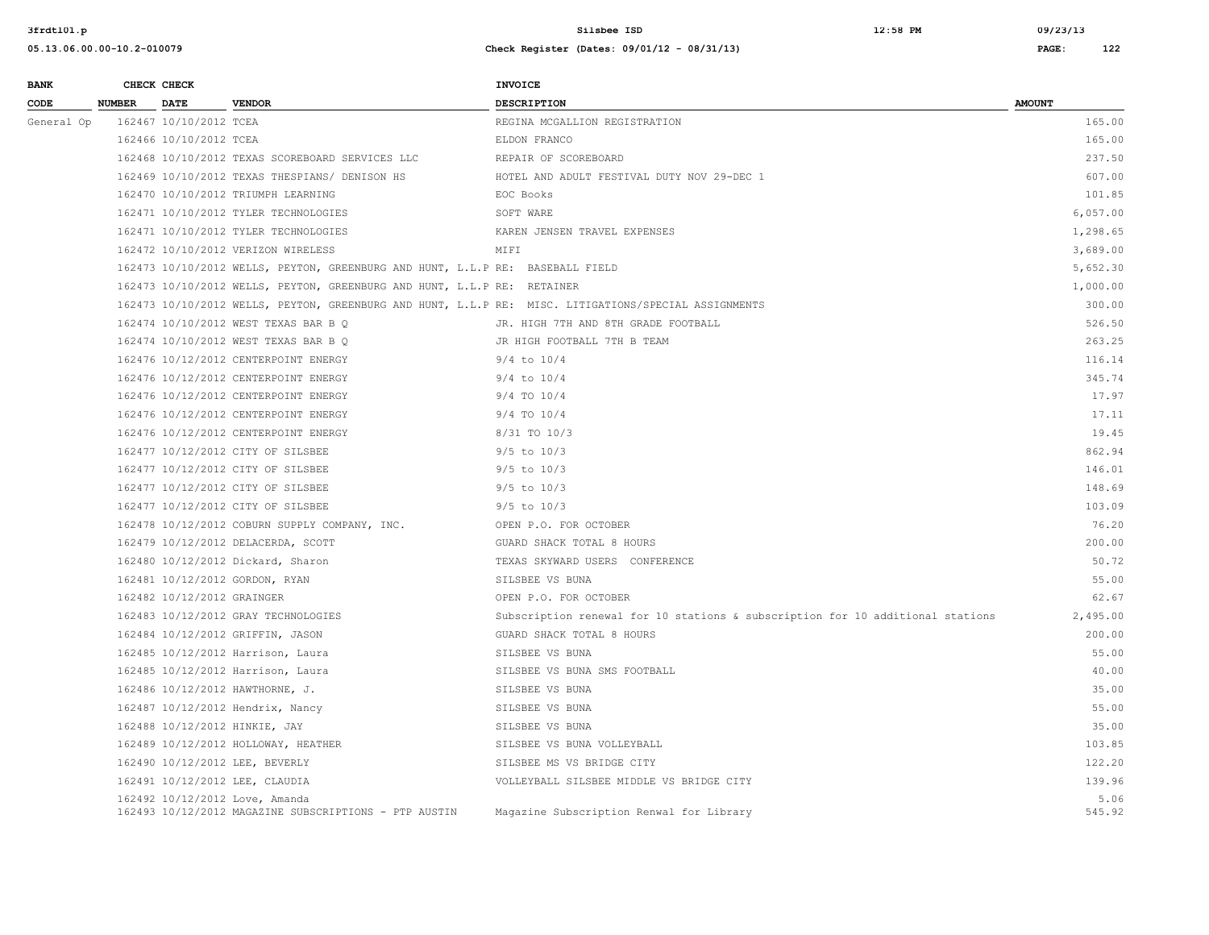| <b>BANK</b> |               | CHECK CHECK                |                                                                                         | INVOICE                                                                                              |                |
|-------------|---------------|----------------------------|-----------------------------------------------------------------------------------------|------------------------------------------------------------------------------------------------------|----------------|
| CODE        | <b>NUMBER</b> | DATE                       | <b>VENDOR</b>                                                                           | <b>DESCRIPTION</b>                                                                                   | <b>AMOUNT</b>  |
| General Op  |               | 162467 10/10/2012 TCEA     |                                                                                         | REGINA MCGALLION REGISTRATION                                                                        | 165.00         |
|             |               | 162466 10/10/2012 TCEA     |                                                                                         | ELDON FRANCO                                                                                         | 165.00         |
|             |               |                            | 162468 10/10/2012 TEXAS SCOREBOARD SERVICES LLC                                         | REPAIR OF SCOREBOARD                                                                                 | 237.50         |
|             |               |                            | 162469 10/10/2012 TEXAS THESPIANS/ DENISON HS                                           | HOTEL AND ADULT FESTIVAL DUTY NOV 29-DEC 1                                                           | 607.00         |
|             |               |                            | 162470 10/10/2012 TRIUMPH LEARNING                                                      | EOC Books                                                                                            | 101.85         |
|             |               |                            | 162471 10/10/2012 TYLER TECHNOLOGIES                                                    | SOFT WARE                                                                                            | 6,057.00       |
|             |               |                            | 162471 10/10/2012 TYLER TECHNOLOGIES                                                    | KAREN JENSEN TRAVEL EXPENSES                                                                         | 1,298.65       |
|             |               |                            | 162472 10/10/2012 VERIZON WIRELESS                                                      | MIFI                                                                                                 | 3,689.00       |
|             |               |                            | 162473 10/10/2012 WELLS, PEYTON, GREENBURG AND HUNT, L.L.P RE: BASEBALL FIELD           |                                                                                                      | 5,652.30       |
|             |               |                            | 162473 10/10/2012 WELLS, PEYTON, GREENBURG AND HUNT, L.L.P RE: RETAINER                 |                                                                                                      | 1,000.00       |
|             |               |                            |                                                                                         | 162473 10/10/2012 WELLS, PEYTON, GREENBURG AND HUNT, L.L.P RE: MISC. LITIGATIONS/SPECIAL ASSIGNMENTS | 300.00         |
|             |               |                            | 162474 10/10/2012 WEST TEXAS BAR B Q                                                    | JR. HIGH 7TH AND 8TH GRADE FOOTBALL                                                                  | 526.50         |
|             |               |                            | 162474 10/10/2012 WEST TEXAS BAR B Q                                                    | JR HIGH FOOTBALL 7TH B TEAM                                                                          | 263.25         |
|             |               |                            | 162476 10/12/2012 CENTERPOINT ENERGY                                                    | $9/4$ to $10/4$                                                                                      | 116.14         |
|             |               |                            | 162476 10/12/2012 CENTERPOINT ENERGY                                                    | $9/4$ to $10/4$                                                                                      | 345.74         |
|             |               |                            | 162476 10/12/2012 CENTERPOINT ENERGY                                                    | 9/4 TO 10/4                                                                                          | 17.97          |
|             |               |                            | 162476 10/12/2012 CENTERPOINT ENERGY                                                    | $9/4$ TO $10/4$                                                                                      | 17.11          |
|             |               |                            | 162476 10/12/2012 CENTERPOINT ENERGY                                                    | 8/31 TO 10/3                                                                                         | 19.45          |
|             |               |                            | 162477 10/12/2012 CITY OF SILSBEE                                                       | $9/5$ to $10/3$                                                                                      | 862.94         |
|             |               |                            | 162477 10/12/2012 CITY OF SILSBEE                                                       | $9/5$ to $10/3$                                                                                      | 146.01         |
|             |               |                            | 162477 10/12/2012 CITY OF SILSBEE                                                       | $9/5$ to $10/3$                                                                                      | 148.69         |
|             |               |                            | 162477 10/12/2012 CITY OF SILSBEE                                                       | $9/5$ to $10/3$                                                                                      | 103.09         |
|             |               |                            | 162478 10/12/2012 COBURN SUPPLY COMPANY, INC.                                           | OPEN P.O. FOR OCTOBER                                                                                | 76.20          |
|             |               |                            | 162479 10/12/2012 DELACERDA, SCOTT                                                      | GUARD SHACK TOTAL 8 HOURS                                                                            | 200.00         |
|             |               |                            | 162480 10/12/2012 Dickard, Sharon                                                       | TEXAS SKYWARD USERS CONFERENCE                                                                       | 50.72          |
|             |               |                            | 162481 10/12/2012 GORDON, RYAN                                                          | SILSBEE VS BUNA                                                                                      | 55.00          |
|             |               | 162482 10/12/2012 GRAINGER |                                                                                         | OPEN P.O. FOR OCTOBER                                                                                | 62.67          |
|             |               |                            | 162483 10/12/2012 GRAY TECHNOLOGIES                                                     | Subscription renewal for 10 stations & subscription for 10 additional stations                       | 2,495.00       |
|             |               |                            | 162484 10/12/2012 GRIFFIN, JASON                                                        | GUARD SHACK TOTAL 8 HOURS                                                                            | 200.00         |
|             |               |                            | 162485 10/12/2012 Harrison, Laura                                                       | SILSBEE VS BUNA                                                                                      | 55.00          |
|             |               |                            | 162485 10/12/2012 Harrison, Laura                                                       | SILSBEE VS BUNA SMS FOOTBALL                                                                         | 40.00          |
|             |               |                            | 162486 10/12/2012 HAWTHORNE, J.                                                         | SILSBEE VS BUNA                                                                                      | 35.00          |
|             |               |                            | 162487 10/12/2012 Hendrix, Nancy                                                        | SILSBEE VS BUNA                                                                                      | 55.00          |
|             |               |                            | 162488 10/12/2012 HINKIE, JAY                                                           | SILSBEE VS BUNA                                                                                      | 35.00          |
|             |               |                            | 162489 10/12/2012 HOLLOWAY, HEATHER                                                     | SILSBEE VS BUNA VOLLEYBALL                                                                           | 103.85         |
|             |               |                            | 162490 10/12/2012 LEE, BEVERLY                                                          | SILSBEE MS VS BRIDGE CITY                                                                            | 122.20         |
|             |               |                            | 162491 10/12/2012 LEE, CLAUDIA                                                          | VOLLEYBALL SILSBEE MIDDLE VS BRIDGE CITY                                                             | 139.96         |
|             |               |                            | 162492 10/12/2012 Love, Amanda<br>162493 10/12/2012 MAGAZINE SUBSCRIPTIONS - PTP AUSTIN | Magazine Subscription Renwal for Library                                                             | 5.06<br>545.92 |
|             |               |                            |                                                                                         |                                                                                                      |                |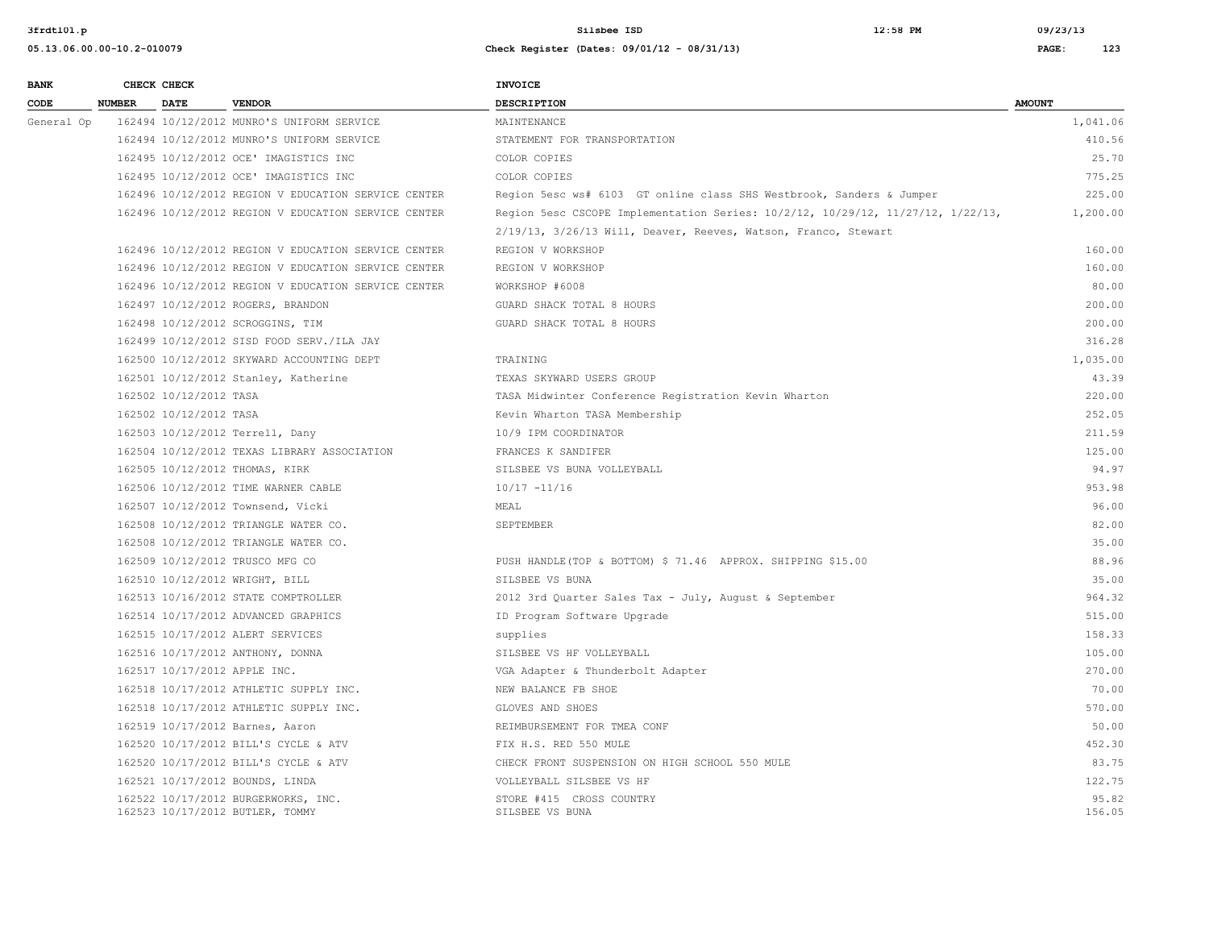| <b>BANK</b> |               | CHECK CHECK            |                                                                        | <b>INVOICE</b>                                                                  |                 |
|-------------|---------------|------------------------|------------------------------------------------------------------------|---------------------------------------------------------------------------------|-----------------|
| CODE        | <b>NUMBER</b> | <b>DATE</b>            | <b>VENDOR</b>                                                          | <b>DESCRIPTION</b>                                                              | <b>AMOUNT</b>   |
| General Op  |               |                        | 162494 10/12/2012 MUNRO'S UNIFORM SERVICE                              | MAINTENANCE                                                                     | 1,041.06        |
|             |               |                        | 162494 10/12/2012 MUNRO'S UNIFORM SERVICE                              | STATEMENT FOR TRANSPORTATION                                                    | 410.56          |
|             |               |                        | 162495 10/12/2012 OCE' IMAGISTICS INC                                  | COLOR COPIES                                                                    | 25.70           |
|             |               |                        | 162495 10/12/2012 OCE' IMAGISTICS INC                                  | COLOR COPIES                                                                    | 775.25          |
|             |               |                        | 162496 10/12/2012 REGION V EDUCATION SERVICE CENTER                    | Region 5esc ws# 6103 GT online class SHS Westbrook, Sanders & Jumper            | 225.00          |
|             |               |                        | 162496 10/12/2012 REGION V EDUCATION SERVICE CENTER                    | Region 5esc CSCOPE Implementation Series: 10/2/12, 10/29/12, 11/27/12, 1/22/13, | 1,200.00        |
|             |               |                        |                                                                        | 2/19/13, 3/26/13 Will, Deaver, Reeves, Watson, Franco, Stewart                  |                 |
|             |               |                        | 162496 10/12/2012 REGION V EDUCATION SERVICE CENTER                    | REGION V WORKSHOP                                                               | 160.00          |
|             |               |                        | 162496 10/12/2012 REGION V EDUCATION SERVICE CENTER                    | REGION V WORKSHOP                                                               | 160.00          |
|             |               |                        | 162496 10/12/2012 REGION V EDUCATION SERVICE CENTER                    | WORKSHOP #6008                                                                  | 80.00           |
|             |               |                        | 162497 10/12/2012 ROGERS, BRANDON                                      | GUARD SHACK TOTAL 8 HOURS                                                       | 200.00          |
|             |               |                        | 162498 10/12/2012 SCROGGINS, TIM                                       | GUARD SHACK TOTAL 8 HOURS                                                       | 200.00          |
|             |               |                        | 162499 10/12/2012 SISD FOOD SERV./ILA JAY                              |                                                                                 | 316.28          |
|             |               |                        | 162500 10/12/2012 SKYWARD ACCOUNTING DEPT                              | TRAINING                                                                        | 1,035.00        |
|             |               |                        | 162501 10/12/2012 Stanley, Katherine                                   | TEXAS SKYWARD USERS GROUP                                                       | 43.39           |
|             |               | 162502 10/12/2012 TASA |                                                                        | TASA Midwinter Conference Registration Kevin Wharton                            | 220.00          |
|             |               | 162502 10/12/2012 TASA |                                                                        | Kevin Wharton TASA Membership                                                   | 252.05          |
|             |               |                        | 162503 10/12/2012 Terrell, Dany                                        | 10/9 IPM COORDINATOR                                                            | 211.59          |
|             |               |                        | 162504 10/12/2012 TEXAS LIBRARY ASSOCIATION                            | FRANCES K SANDIFER                                                              | 125.00          |
|             |               |                        | 162505 10/12/2012 THOMAS, KIRK                                         | SILSBEE VS BUNA VOLLEYBALL                                                      | 94.97           |
|             |               |                        | 162506 10/12/2012 TIME WARNER CABLE                                    | $10/17 - 11/16$                                                                 | 953.98          |
|             |               |                        | 162507 10/12/2012 Townsend, Vicki                                      | MEAL                                                                            | 96.00           |
|             |               |                        | 162508 10/12/2012 TRIANGLE WATER CO.                                   | SEPTEMBER                                                                       | 82.00           |
|             |               |                        | 162508 10/12/2012 TRIANGLE WATER CO.                                   |                                                                                 | 35.00           |
|             |               |                        | 162509 10/12/2012 TRUSCO MFG CO                                        | PUSH HANDLE (TOP & BOTTOM) \$ 71.46 APPROX. SHIPPING \$15.00                    | 88.96           |
|             |               |                        | 162510 10/12/2012 WRIGHT, BILL                                         | SILSBEE VS BUNA                                                                 | 35.00           |
|             |               |                        | 162513 10/16/2012 STATE COMPTROLLER                                    | 2012 3rd Quarter Sales Tax - July, August & September                           | 964.32          |
|             |               |                        | 162514 10/17/2012 ADVANCED GRAPHICS                                    | ID Program Software Upgrade                                                     | 515.00          |
|             |               |                        | 162515 10/17/2012 ALERT SERVICES                                       | supplies                                                                        | 158.33          |
|             |               |                        | 162516 10/17/2012 ANTHONY, DONNA                                       | SILSBEE VS HF VOLLEYBALL                                                        | 105.00          |
|             |               |                        | 162517 10/17/2012 APPLE INC.                                           | VGA Adapter & Thunderbolt Adapter                                               | 270.00          |
|             |               |                        | 162518 10/17/2012 ATHLETIC SUPPLY INC.                                 | NEW BALANCE FB SHOE                                                             | 70.00           |
|             |               |                        | 162518 10/17/2012 ATHLETIC SUPPLY INC.                                 | GLOVES AND SHOES                                                                | 570.00          |
|             |               |                        | 162519 10/17/2012 Barnes, Aaron                                        | REIMBURSEMENT FOR TMEA CONF                                                     | 50.00           |
|             |               |                        | 162520 10/17/2012 BILL'S CYCLE & ATV                                   | FIX H.S. RED 550 MULE                                                           | 452.30          |
|             |               |                        | 162520 10/17/2012 BILL'S CYCLE & ATV                                   | CHECK FRONT SUSPENSION ON HIGH SCHOOL 550 MULE                                  | 83.75           |
|             |               |                        | 162521 10/17/2012 BOUNDS, LINDA                                        | VOLLEYBALL SILSBEE VS HF                                                        | 122.75          |
|             |               |                        | 162522 10/17/2012 BURGERWORKS, INC.<br>162523 10/17/2012 BUTLER, TOMMY | STORE #415 CROSS COUNTRY<br>SILSBEE VS BUNA                                     | 95.82<br>156.05 |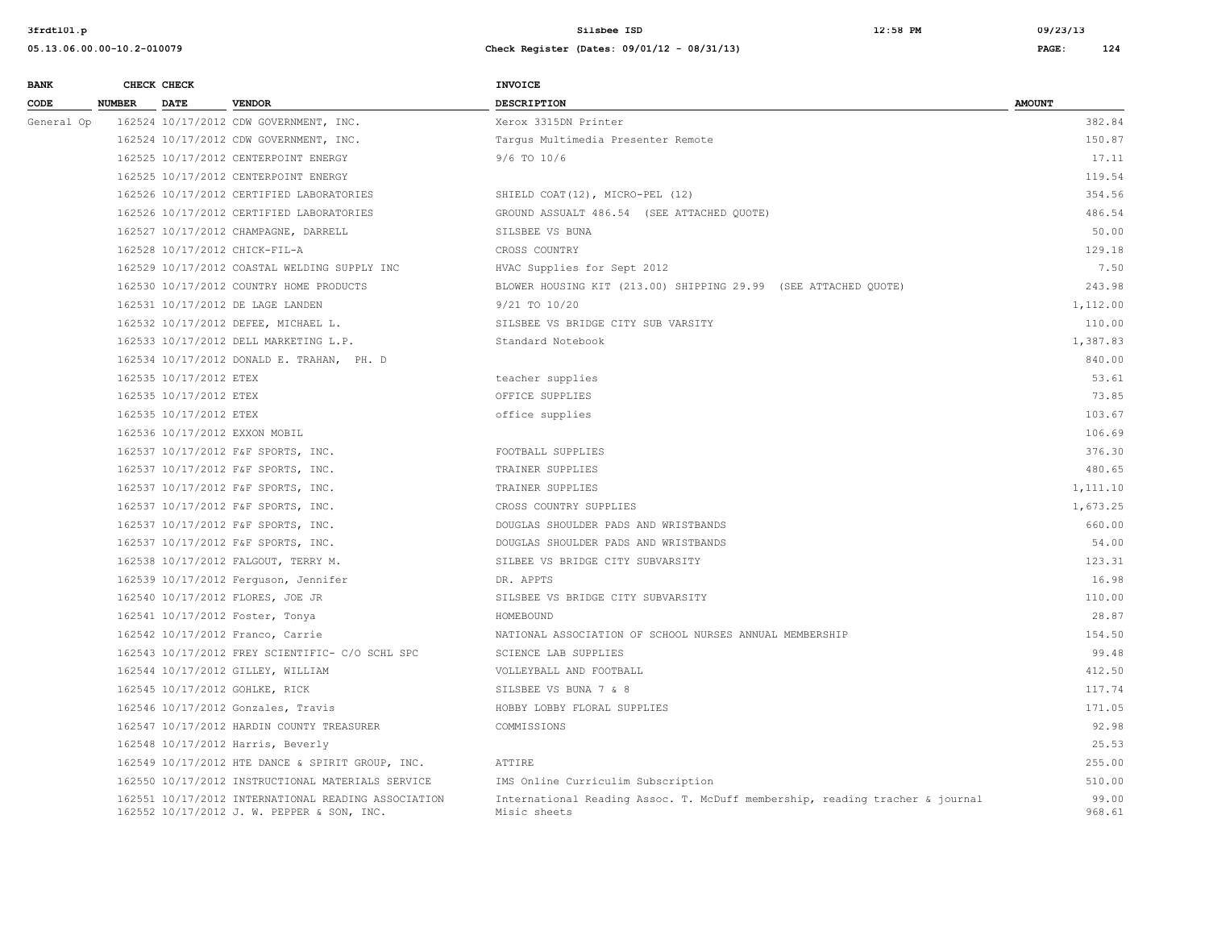| <b>BANK</b> |               | CHECK CHECK            |                                                                                                   | <b>INVOICE</b>                                                                               |                 |
|-------------|---------------|------------------------|---------------------------------------------------------------------------------------------------|----------------------------------------------------------------------------------------------|-----------------|
| CODE        | <b>NUMBER</b> | <b>DATE</b>            | <b>VENDOR</b>                                                                                     | <b>DESCRIPTION</b>                                                                           | <b>AMOUNT</b>   |
| General Op  |               |                        | 162524 10/17/2012 CDW GOVERNMENT, INC.                                                            | Xerox 3315DN Printer                                                                         | 382.84          |
|             |               |                        | 162524 10/17/2012 CDW GOVERNMENT, INC.                                                            | Tarqus Multimedia Presenter Remote                                                           | 150.87          |
|             |               |                        | 162525 10/17/2012 CENTERPOINT ENERGY                                                              | $9/6$ TO $10/6$                                                                              | 17.11           |
|             |               |                        | 162525 10/17/2012 CENTERPOINT ENERGY                                                              |                                                                                              | 119.54          |
|             |               |                        | 162526 10/17/2012 CERTIFIED LABORATORIES                                                          | SHIELD COAT(12), MICRO-PEL (12)                                                              | 354.56          |
|             |               |                        | 162526 10/17/2012 CERTIFIED LABORATORIES                                                          | GROUND ASSUALT 486.54 (SEE ATTACHED QUOTE)                                                   | 486.54          |
|             |               |                        | 162527 10/17/2012 CHAMPAGNE, DARRELL                                                              | SILSBEE VS BUNA                                                                              | 50.00           |
|             |               |                        | 162528 10/17/2012 CHICK-FIL-A                                                                     | CROSS COUNTRY                                                                                | 129.18          |
|             |               |                        | 162529 10/17/2012 COASTAL WELDING SUPPLY INC                                                      | HVAC Supplies for Sept 2012                                                                  | 7.50            |
|             |               |                        | 162530 10/17/2012 COUNTRY HOME PRODUCTS                                                           | BLOWER HOUSING KIT (213.00) SHIPPING 29.99 (SEE ATTACHED QUOTE)                              | 243.98          |
|             |               |                        | 162531 10/17/2012 DE LAGE LANDEN                                                                  | 9/21 TO 10/20                                                                                | 1,112.00        |
|             |               |                        | 162532 10/17/2012 DEFEE, MICHAEL L.                                                               | SILSBEE VS BRIDGE CITY SUB VARSITY                                                           | 110.00          |
|             |               |                        | 162533 10/17/2012 DELL MARKETING L.P.                                                             | Standard Notebook                                                                            | 1,387.83        |
|             |               |                        | 162534 10/17/2012 DONALD E. TRAHAN, PH. D                                                         |                                                                                              | 840.00          |
|             |               | 162535 10/17/2012 ETEX |                                                                                                   | teacher supplies                                                                             | 53.61           |
|             |               | 162535 10/17/2012 ETEX |                                                                                                   | OFFICE SUPPLIES                                                                              | 73.85           |
|             |               | 162535 10/17/2012 ETEX |                                                                                                   | office supplies                                                                              | 103.67          |
|             |               |                        | 162536 10/17/2012 EXXON MOBIL                                                                     |                                                                                              | 106.69          |
|             |               |                        | 162537 10/17/2012 F&F SPORTS, INC.                                                                | FOOTBALL SUPPLIES                                                                            | 376.30          |
|             |               |                        | 162537 10/17/2012 F&F SPORTS, INC.                                                                | TRAINER SUPPLIES                                                                             | 480.65          |
|             |               |                        | 162537 10/17/2012 F&F SPORTS, INC.                                                                | TRAINER SUPPLIES                                                                             | 1,111.10        |
|             |               |                        | 162537 10/17/2012 F&F SPORTS, INC.                                                                | CROSS COUNTRY SUPPLIES                                                                       | 1,673.25        |
|             |               |                        | 162537 10/17/2012 F&F SPORTS, INC.                                                                | DOUGLAS SHOULDER PADS AND WRISTBANDS                                                         | 660.00          |
|             |               |                        | 162537 10/17/2012 F&F SPORTS, INC.                                                                | DOUGLAS SHOULDER PADS AND WRISTBANDS                                                         | 54.00           |
|             |               |                        | 162538 10/17/2012 FALGOUT, TERRY M.                                                               | SILBEE VS BRIDGE CITY SUBVARSITY                                                             | 123.31          |
|             |               |                        | 162539 10/17/2012 Ferguson, Jennifer                                                              | DR. APPTS                                                                                    | 16.98           |
|             |               |                        | 162540 10/17/2012 FLORES, JOE JR                                                                  | SILSBEE VS BRIDGE CITY SUBVARSITY                                                            | 110.00          |
|             |               |                        | 162541 10/17/2012 Foster, Tonya                                                                   | HOMEBOUND                                                                                    | 28.87           |
|             |               |                        | 162542 10/17/2012 Franco, Carrie                                                                  | NATIONAL ASSOCIATION OF SCHOOL NURSES ANNUAL MEMBERSHIP                                      | 154.50          |
|             |               |                        | 162543 10/17/2012 FREY SCIENTIFIC- C/O SCHL SPC                                                   | SCIENCE LAB SUPPLIES                                                                         | 99.48           |
|             |               |                        | 162544 10/17/2012 GILLEY, WILLIAM                                                                 | VOLLEYBALL AND FOOTBALL                                                                      | 412.50          |
|             |               |                        | 162545 10/17/2012 GOHLKE, RICK                                                                    | SILSBEE VS BUNA 7 & 8                                                                        | 117.74          |
|             |               |                        | 162546 10/17/2012 Gonzales, Travis                                                                | HOBBY LOBBY FLORAL SUPPLIES                                                                  | 171.05          |
|             |               |                        | 162547 10/17/2012 HARDIN COUNTY TREASURER                                                         | COMMISSIONS                                                                                  | 92.98           |
|             |               |                        | 162548 10/17/2012 Harris, Beverly                                                                 |                                                                                              | 25.53           |
|             |               |                        | 162549 10/17/2012 HTE DANCE & SPIRIT GROUP, INC.                                                  | ATTIRE                                                                                       | 255.00          |
|             |               |                        | 162550 10/17/2012 INSTRUCTIONAL MATERIALS SERVICE                                                 | IMS Online Curriculim Subscription                                                           | 510.00          |
|             |               |                        | 162551 10/17/2012 INTERNATIONAL READING ASSOCIATION<br>162552 10/17/2012 J. W. PEPPER & SON, INC. | International Reading Assoc. T. McDuff membership, reading tracher & journal<br>Misic sheets | 99.00<br>968.61 |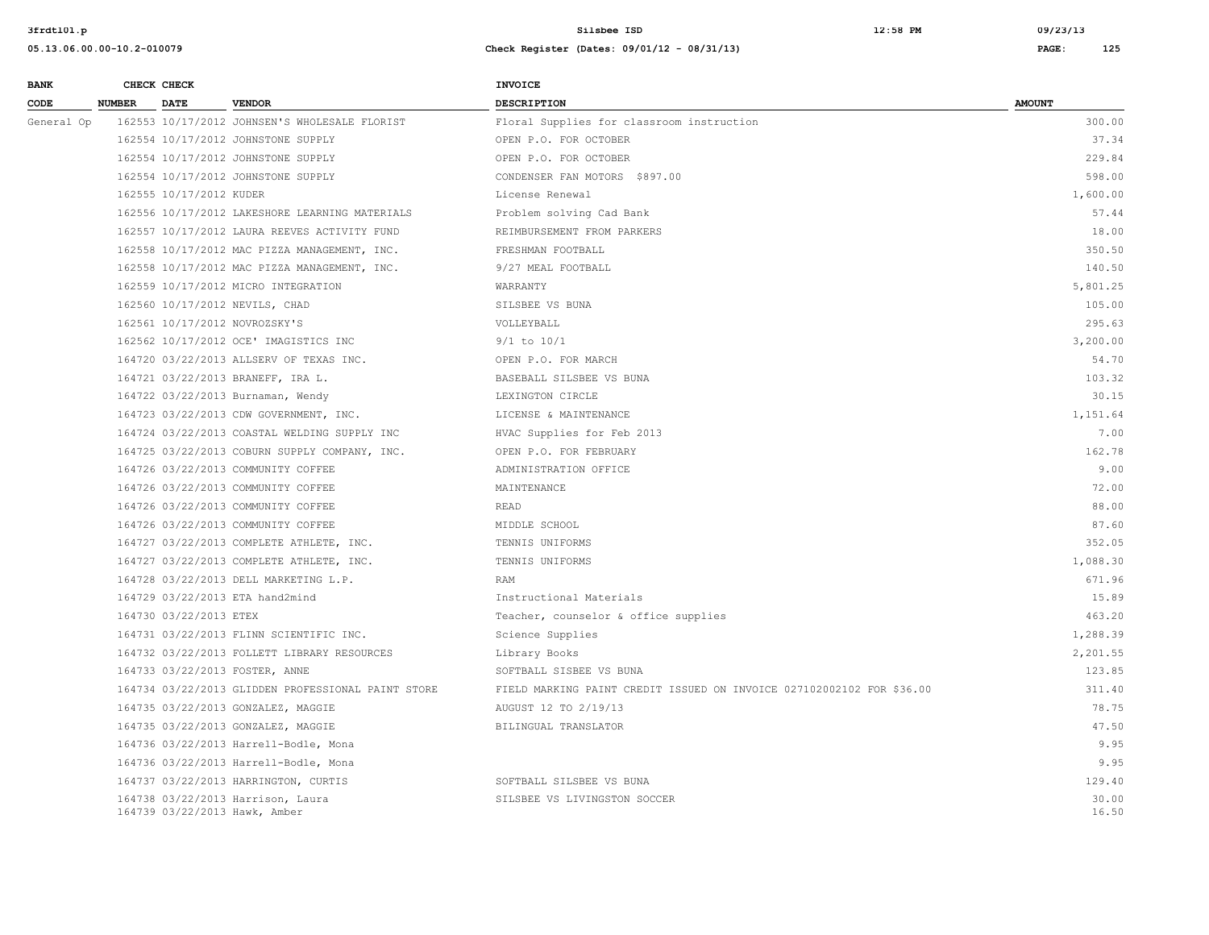| <b>BANK</b> | CHECK CHECK        |                         |                                                                    | INVOICE                                                               |                |
|-------------|--------------------|-------------------------|--------------------------------------------------------------------|-----------------------------------------------------------------------|----------------|
| CODE        | <b>NUMBER DATE</b> |                         | <b>VENDOR</b>                                                      | <b>DESCRIPTION</b>                                                    | <b>AMOUNT</b>  |
| General Op  |                    |                         | 162553 10/17/2012 JOHNSEN'S WHOLESALE FLORIST                      | Floral Supplies for classroom instruction                             | 300.00         |
|             |                    |                         | 162554 10/17/2012 JOHNSTONE SUPPLY                                 | OPEN P.O. FOR OCTOBER                                                 | 37.34          |
|             |                    |                         | 162554 10/17/2012 JOHNSTONE SUPPLY                                 | OPEN P.O. FOR OCTOBER                                                 | 229.84         |
|             |                    |                         | 162554 10/17/2012 JOHNSTONE SUPPLY                                 | CONDENSER FAN MOTORS \$897.00                                         | 598.00         |
|             |                    | 162555 10/17/2012 KUDER |                                                                    | License Renewal                                                       | 1,600.00       |
|             |                    |                         | 162556 10/17/2012 LAKESHORE LEARNING MATERIALS                     | Problem solving Cad Bank                                              | 57.44          |
|             |                    |                         | 162557 10/17/2012 LAURA REEVES ACTIVITY FUND                       | REIMBURSEMENT FROM PARKERS                                            | 18.00          |
|             |                    |                         | 162558 10/17/2012 MAC PIZZA MANAGEMENT, INC.                       | FRESHMAN FOOTBALL                                                     | 350.50         |
|             |                    |                         | 162558 10/17/2012 MAC PIZZA MANAGEMENT, INC.                       | 9/27 MEAL FOOTBALL                                                    | 140.50         |
|             |                    |                         | 162559 10/17/2012 MICRO INTEGRATION                                | WARRANTY                                                              | 5,801.25       |
|             |                    |                         | 162560 10/17/2012 NEVILS, CHAD                                     | SILSBEE VS BUNA                                                       | 105.00         |
|             |                    |                         | 162561 10/17/2012 NOVROZSKY'S                                      | VOLLEYBALL                                                            | 295.63         |
|             |                    |                         | 162562 10/17/2012 OCE' IMAGISTICS INC                              | $9/1$ to $10/1$                                                       | 3,200.00       |
|             |                    |                         | 164720 03/22/2013 ALLSERV OF TEXAS INC.                            | OPEN P.O. FOR MARCH                                                   | 54.70          |
|             |                    |                         | 164721 03/22/2013 BRANEFF, IRA L.                                  | BASEBALL SILSBEE VS BUNA                                              | 103.32         |
|             |                    |                         | 164722 03/22/2013 Burnaman, Wendy                                  | LEXINGTON CIRCLE                                                      | 30.15          |
|             |                    |                         | 164723 03/22/2013 CDW GOVERNMENT, INC.                             | LICENSE & MAINTENANCE                                                 | 1,151.64       |
|             |                    |                         | 164724 03/22/2013 COASTAL WELDING SUPPLY INC                       | HVAC Supplies for Feb 2013                                            | 7.00           |
|             |                    |                         | 164725 03/22/2013 COBURN SUPPLY COMPANY, INC.                      | OPEN P.O. FOR FEBRUARY                                                | 162.78         |
|             |                    |                         | 164726 03/22/2013 COMMUNITY COFFEE                                 | ADMINISTRATION OFFICE                                                 | 9.00           |
|             |                    |                         | 164726 03/22/2013 COMMUNITY COFFEE                                 | MAINTENANCE                                                           | 72.00          |
|             |                    |                         | 164726 03/22/2013 COMMUNITY COFFEE                                 | READ                                                                  | 88.00          |
|             |                    |                         | 164726 03/22/2013 COMMUNITY COFFEE                                 | MIDDLE SCHOOL                                                         | 87.60          |
|             |                    |                         | 164727 03/22/2013 COMPLETE ATHLETE, INC.                           | TENNIS UNIFORMS                                                       | 352.05         |
|             |                    |                         | 164727 03/22/2013 COMPLETE ATHLETE, INC.                           | TENNIS UNIFORMS                                                       | 1,088.30       |
|             |                    |                         | 164728 03/22/2013 DELL MARKETING L.P.                              | RAM                                                                   | 671.96         |
|             |                    |                         | 164729 03/22/2013 ETA hand2mind                                    | Instructional Materials                                               | 15.89          |
|             |                    | 164730 03/22/2013 ETEX  |                                                                    | Teacher, counselor & office supplies                                  | 463.20         |
|             |                    |                         | 164731 03/22/2013 FLINN SCIENTIFIC INC.                            | Science Supplies                                                      | 1,288.39       |
|             |                    |                         | 164732 03/22/2013 FOLLETT LIBRARY RESOURCES                        | Library Books                                                         | 2,201.55       |
|             |                    |                         | 164733 03/22/2013 FOSTER, ANNE                                     | SOFTBALL SISBEE VS BUNA                                               | 123.85         |
|             |                    |                         | 164734 03/22/2013 GLIDDEN PROFESSIONAL PAINT STORE                 | FIELD MARKING PAINT CREDIT ISSUED ON INVOICE 027102002102 FOR \$36.00 | 311.40         |
|             |                    |                         | 164735 03/22/2013 GONZALEZ, MAGGIE                                 | AUGUST 12 TO 2/19/13                                                  | 78.75          |
|             |                    |                         | 164735 03/22/2013 GONZALEZ, MAGGIE                                 | BILINGUAL TRANSLATOR                                                  | 47.50          |
|             |                    |                         | 164736 03/22/2013 Harrell-Bodle, Mona                              |                                                                       | 9.95           |
|             |                    |                         | 164736 03/22/2013 Harrell-Bodle, Mona                              |                                                                       | 9.95           |
|             |                    |                         | 164737 03/22/2013 HARRINGTON, CURTIS                               | SOFTBALL SILSBEE VS BUNA                                              | 129.40         |
|             |                    |                         | 164738 03/22/2013 Harrison, Laura<br>164739 03/22/2013 Hawk, Amber | SILSBEE VS LIVINGSTON SOCCER                                          | 30.00<br>16.50 |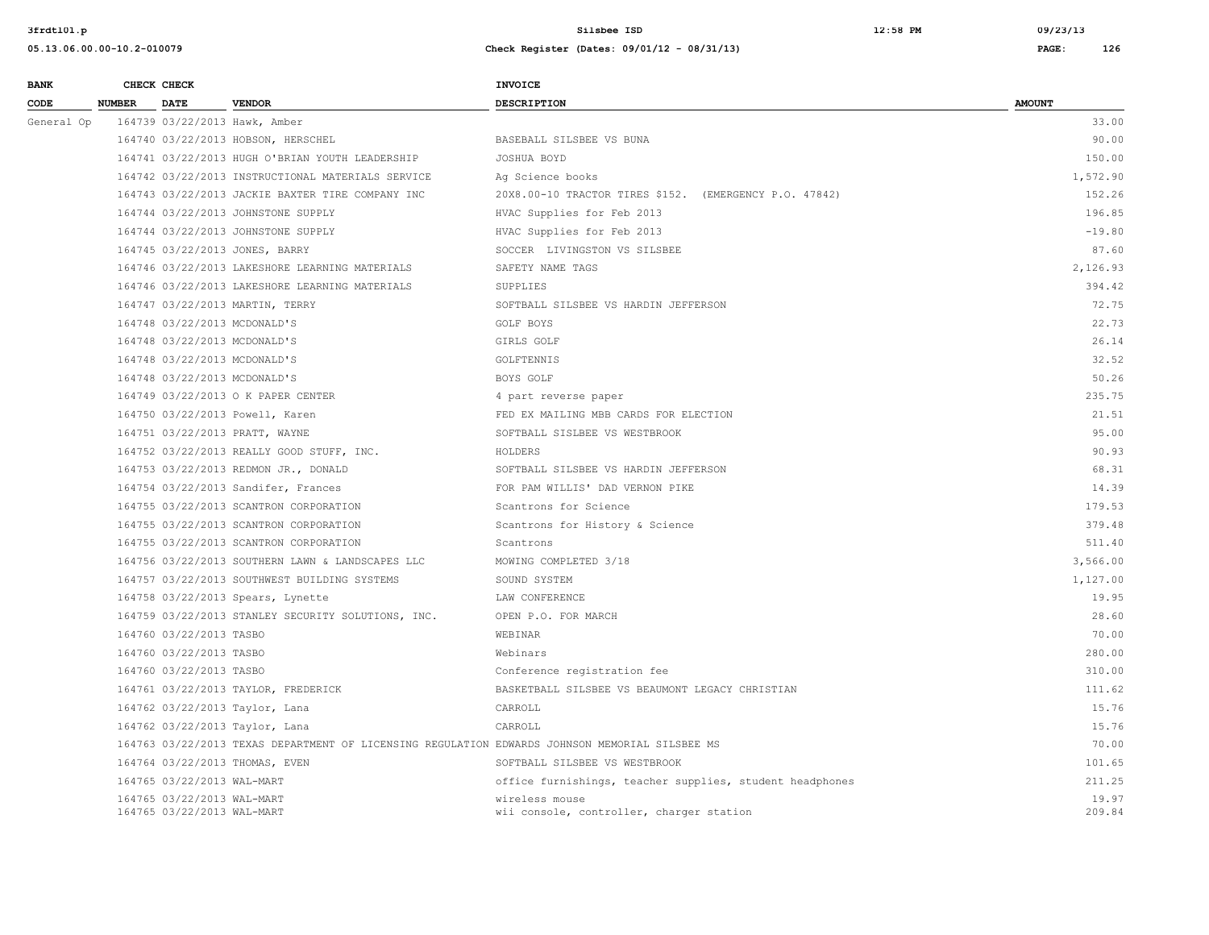| <b>BANK</b> |               | CHECK CHECK                                              |                                                                                                | INVOICE                                                    |                 |
|-------------|---------------|----------------------------------------------------------|------------------------------------------------------------------------------------------------|------------------------------------------------------------|-----------------|
| CODE        | <b>NUMBER</b> | <b>DATE</b>                                              | <b>VENDOR</b>                                                                                  | <b>DESCRIPTION</b>                                         | <b>AMOUNT</b>   |
| General Op  |               |                                                          | 164739 03/22/2013 Hawk, Amber                                                                  |                                                            | 33.00           |
|             |               |                                                          | 164740 03/22/2013 HOBSON, HERSCHEL                                                             | BASEBALL SILSBEE VS BUNA                                   | 90.00           |
|             |               |                                                          | 164741 03/22/2013 HUGH O'BRIAN YOUTH LEADERSHIP                                                | JOSHUA BOYD                                                | 150.00          |
|             |               |                                                          | 164742 03/22/2013 INSTRUCTIONAL MATERIALS SERVICE                                              | Ag Science books                                           | 1,572.90        |
|             |               |                                                          | 164743 03/22/2013 JACKIE BAXTER TIRE COMPANY INC                                               | 20X8.00-10 TRACTOR TIRES \$152. (EMERGENCY P.O. 47842)     | 152.26          |
|             |               |                                                          | 164744 03/22/2013 JOHNSTONE SUPPLY                                                             | HVAC Supplies for Feb 2013                                 | 196.85          |
|             |               |                                                          | 164744 03/22/2013 JOHNSTONE SUPPLY                                                             | HVAC Supplies for Feb 2013                                 | $-19.80$        |
|             |               |                                                          | 164745 03/22/2013 JONES, BARRY                                                                 | SOCCER LIVINGSTON VS SILSBEE                               | 87.60           |
|             |               |                                                          | 164746 03/22/2013 LAKESHORE LEARNING MATERIALS                                                 | SAFETY NAME TAGS                                           | 2,126.93        |
|             |               |                                                          | 164746 03/22/2013 LAKESHORE LEARNING MATERIALS                                                 | SUPPLIES                                                   | 394.42          |
|             |               |                                                          | 164747 03/22/2013 MARTIN, TERRY                                                                | SOFTBALL SILSBEE VS HARDIN JEFFERSON                       | 72.75           |
|             |               | 164748 03/22/2013 MCDONALD'S                             |                                                                                                | GOLF BOYS                                                  | 22.73           |
|             |               | 164748 03/22/2013 MCDONALD'S                             |                                                                                                | GIRLS GOLF                                                 | 26.14           |
|             |               | 164748 03/22/2013 MCDONALD'S                             |                                                                                                | GOLFTENNIS                                                 | 32.52           |
|             |               | 164748 03/22/2013 MCDONALD'S                             |                                                                                                | BOYS GOLF                                                  | 50.26           |
|             |               |                                                          | 164749 03/22/2013 O K PAPER CENTER                                                             | 4 part reverse paper                                       | 235.75          |
|             |               |                                                          | 164750 03/22/2013 Powell, Karen                                                                | FED EX MAILING MBB CARDS FOR ELECTION                      | 21.51           |
|             |               |                                                          | 164751 03/22/2013 PRATT, WAYNE                                                                 | SOFTBALL SISLBEE VS WESTBROOK                              | 95.00           |
|             |               |                                                          | 164752 03/22/2013 REALLY GOOD STUFF, INC.                                                      | HOLDERS                                                    | 90.93           |
|             |               |                                                          | 164753 03/22/2013 REDMON JR., DONALD                                                           | SOFTBALL SILSBEE VS HARDIN JEFFERSON                       | 68.31           |
|             |               |                                                          | 164754 03/22/2013 Sandifer, Frances                                                            | FOR PAM WILLIS' DAD VERNON PIKE                            | 14.39           |
|             |               |                                                          | 164755 03/22/2013 SCANTRON CORPORATION                                                         | Scantrons for Science                                      | 179.53          |
|             |               |                                                          | 164755 03/22/2013 SCANTRON CORPORATION                                                         | Scantrons for History & Science                            | 379.48          |
|             |               |                                                          | 164755 03/22/2013 SCANTRON CORPORATION                                                         | Scantrons                                                  | 511.40          |
|             |               |                                                          | 164756 03/22/2013 SOUTHERN LAWN & LANDSCAPES LLC                                               | MOWING COMPLETED 3/18                                      | 3,566.00        |
|             |               |                                                          | 164757 03/22/2013 SOUTHWEST BUILDING SYSTEMS                                                   | SOUND SYSTEM                                               | 1,127.00        |
|             |               |                                                          | 164758 03/22/2013 Spears, Lynette                                                              | LAW CONFERENCE                                             | 19.95           |
|             |               |                                                          | 164759 03/22/2013 STANLEY SECURITY SOLUTIONS, INC.                                             | OPEN P.O. FOR MARCH                                        | 28.60           |
|             |               | 164760 03/22/2013 TASBO                                  |                                                                                                | WEBINAR                                                    | 70.00           |
|             |               | 164760 03/22/2013 TASBO                                  |                                                                                                | Webinars                                                   | 280.00          |
|             |               | 164760 03/22/2013 TASBO                                  |                                                                                                | Conference registration fee                                | 310.00          |
|             |               |                                                          | 164761 03/22/2013 TAYLOR, FREDERICK                                                            | BASKETBALL SILSBEE VS BEAUMONT LEGACY CHRISTIAN            | 111.62          |
|             |               |                                                          | 164762 03/22/2013 Taylor, Lana                                                                 | CARROLL                                                    | 15.76           |
|             |               |                                                          | 164762 03/22/2013 Taylor, Lana                                                                 | CARROLL                                                    | 15.76           |
|             |               |                                                          | 164763 03/22/2013 TEXAS DEPARTMENT OF LICENSING REGULATION EDWARDS JOHNSON MEMORIAL SILSBEE MS |                                                            | 70.00           |
|             |               |                                                          | 164764 03/22/2013 THOMAS, EVEN                                                                 | SOFTBALL SILSBEE VS WESTBROOK                              | 101.65          |
|             |               | 164765 03/22/2013 WAL-MART                               |                                                                                                | office furnishings, teacher supplies, student headphones   | 211.25          |
|             |               | 164765 03/22/2013 WAL-MART<br>164765 03/22/2013 WAL-MART |                                                                                                | wireless mouse<br>wii console, controller, charger station | 19.97<br>209.84 |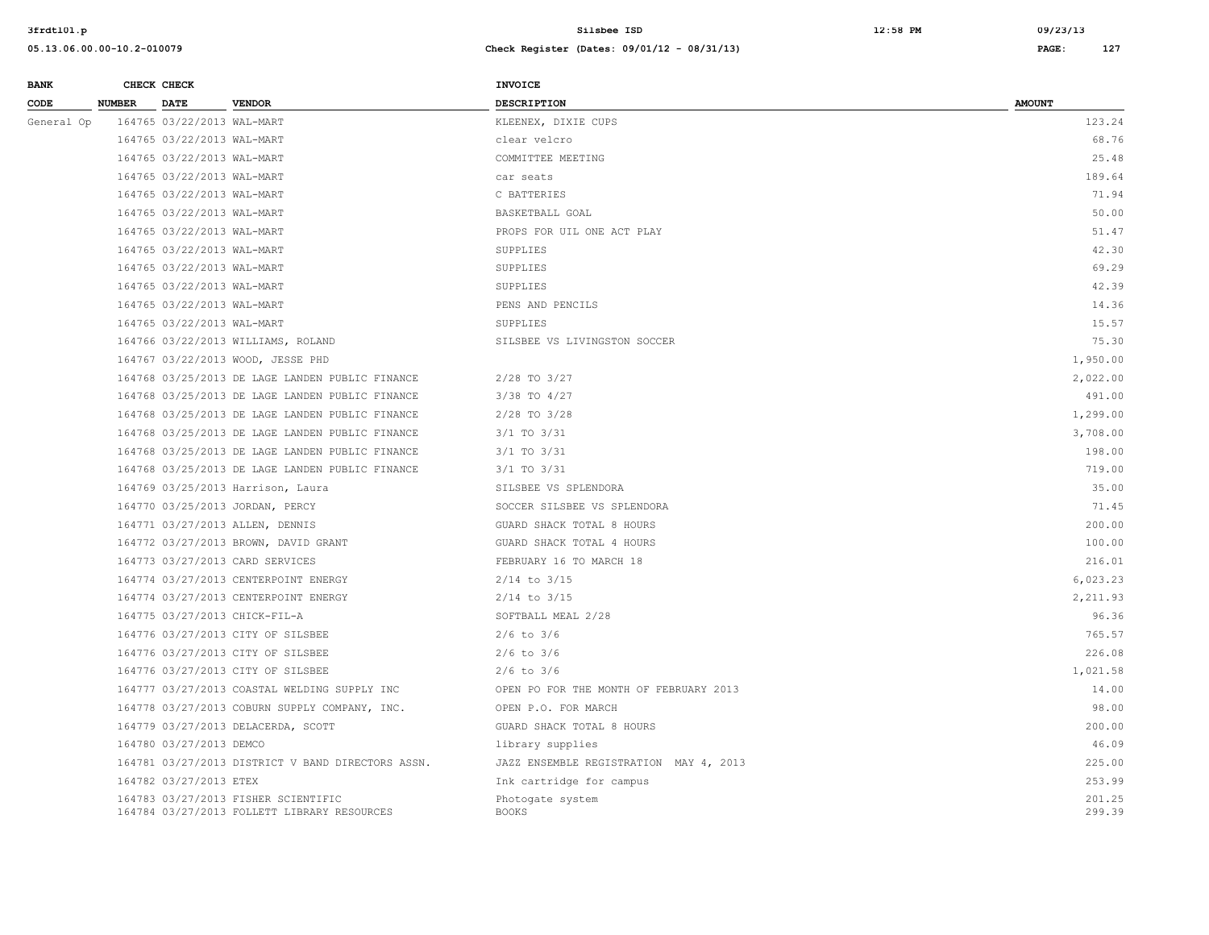| <b>BANK</b> |               | CHECK CHECK                |                                                                                    | INVOICE                                |                  |
|-------------|---------------|----------------------------|------------------------------------------------------------------------------------|----------------------------------------|------------------|
| CODE        | <b>NUMBER</b> | <b>DATE</b>                | <b>VENDOR</b>                                                                      | <b>DESCRIPTION</b>                     | <b>AMOUNT</b>    |
| General Op  |               | 164765 03/22/2013 WAL-MART |                                                                                    | KLEENEX, DIXIE CUPS                    | 123.24           |
|             |               | 164765 03/22/2013 WAL-MART |                                                                                    | clear velcro                           | 68.76            |
|             |               | 164765 03/22/2013 WAL-MART |                                                                                    | COMMITTEE MEETING                      | 25.48            |
|             |               | 164765 03/22/2013 WAL-MART |                                                                                    | car seats                              | 189.64           |
|             |               | 164765 03/22/2013 WAL-MART |                                                                                    | C BATTERIES                            | 71.94            |
|             |               | 164765 03/22/2013 WAL-MART |                                                                                    | BASKETBALL GOAL                        | 50.00            |
|             |               | 164765 03/22/2013 WAL-MART |                                                                                    | PROPS FOR UIL ONE ACT PLAY             | 51.47            |
|             |               | 164765 03/22/2013 WAL-MART |                                                                                    | SUPPLIES                               | 42.30            |
|             |               | 164765 03/22/2013 WAL-MART |                                                                                    | SUPPLIES                               | 69.29            |
|             |               | 164765 03/22/2013 WAL-MART |                                                                                    | SUPPLIES                               | 42.39            |
|             |               | 164765 03/22/2013 WAL-MART |                                                                                    | PENS AND PENCILS                       | 14.36            |
|             |               | 164765 03/22/2013 WAL-MART |                                                                                    | SUPPLIES                               | 15.57            |
|             |               |                            | 164766 03/22/2013 WILLIAMS, ROLAND                                                 | SILSBEE VS LIVINGSTON SOCCER           | 75.30            |
|             |               |                            | 164767 03/22/2013 WOOD, JESSE PHD                                                  |                                        | 1,950.00         |
|             |               |                            | 164768 03/25/2013 DE LAGE LANDEN PUBLIC FINANCE                                    | $2/28$ TO $3/27$                       | 2,022.00         |
|             |               |                            | 164768 03/25/2013 DE LAGE LANDEN PUBLIC FINANCE                                    | $3/38$ TO $4/27$                       | 491.00           |
|             |               |                            | 164768 03/25/2013 DE LAGE LANDEN PUBLIC FINANCE                                    | $2/28$ TO $3/28$                       | 1,299.00         |
|             |               |                            | 164768 03/25/2013 DE LAGE LANDEN PUBLIC FINANCE                                    | 3/1 TO 3/31                            | 3,708.00         |
|             |               |                            | 164768 03/25/2013 DE LAGE LANDEN PUBLIC FINANCE                                    | 3/1 TO 3/31                            | 198.00           |
|             |               |                            | 164768 03/25/2013 DE LAGE LANDEN PUBLIC FINANCE                                    | $3/1$ TO $3/31$                        | 719.00           |
|             |               |                            | 164769 03/25/2013 Harrison, Laura                                                  | SILSBEE VS SPLENDORA                   | 35.00            |
|             |               |                            | 164770 03/25/2013 JORDAN, PERCY                                                    | SOCCER SILSBEE VS SPLENDORA            | 71.45            |
|             |               |                            | 164771 03/27/2013 ALLEN, DENNIS                                                    | GUARD SHACK TOTAL 8 HOURS              | 200.00           |
|             |               |                            | 164772 03/27/2013 BROWN, DAVID GRANT                                               | GUARD SHACK TOTAL 4 HOURS              | 100.00           |
|             |               |                            | 164773 03/27/2013 CARD SERVICES                                                    | FEBRUARY 16 TO MARCH 18                | 216.01           |
|             |               |                            | 164774 03/27/2013 CENTERPOINT ENERGY                                               | $2/14$ to $3/15$                       | 6,023.23         |
|             |               |                            | 164774 03/27/2013 CENTERPOINT ENERGY                                               | $2/14$ to $3/15$                       | 2,211.93         |
|             |               |                            | 164775 03/27/2013 CHICK-FIL-A                                                      | SOFTBALL MEAL 2/28                     | 96.36            |
|             |               |                            | 164776 03/27/2013 CITY OF SILSBEE                                                  | $2/6$ to $3/6$                         | 765.57           |
|             |               |                            | 164776 03/27/2013 CITY OF SILSBEE                                                  | $2/6$ to $3/6$                         | 226.08           |
|             |               |                            | 164776 03/27/2013 CITY OF SILSBEE                                                  | $2/6$ to $3/6$                         | 1,021.58         |
|             |               |                            | 164777 03/27/2013 COASTAL WELDING SUPPLY INC                                       | OPEN PO FOR THE MONTH OF FEBRUARY 2013 | 14.00            |
|             |               |                            | 164778 03/27/2013 COBURN SUPPLY COMPANY, INC.                                      | OPEN P.O. FOR MARCH                    | 98.00            |
|             |               |                            | 164779 03/27/2013 DELACERDA, SCOTT                                                 | GUARD SHACK TOTAL 8 HOURS              | 200.00           |
|             |               | 164780 03/27/2013 DEMCO    |                                                                                    | library supplies                       | 46.09            |
|             |               |                            | 164781 03/27/2013 DISTRICT V BAND DIRECTORS ASSN.                                  | JAZZ ENSEMBLE REGISTRATION MAY 4, 2013 | 225.00           |
|             |               | 164782 03/27/2013 ETEX     |                                                                                    | Ink cartridge for campus               | 253.99           |
|             |               |                            | 164783 03/27/2013 FISHER SCIENTIFIC<br>164784 03/27/2013 FOLLETT LIBRARY RESOURCES | Photogate system<br><b>BOOKS</b>       | 201.25<br>299.39 |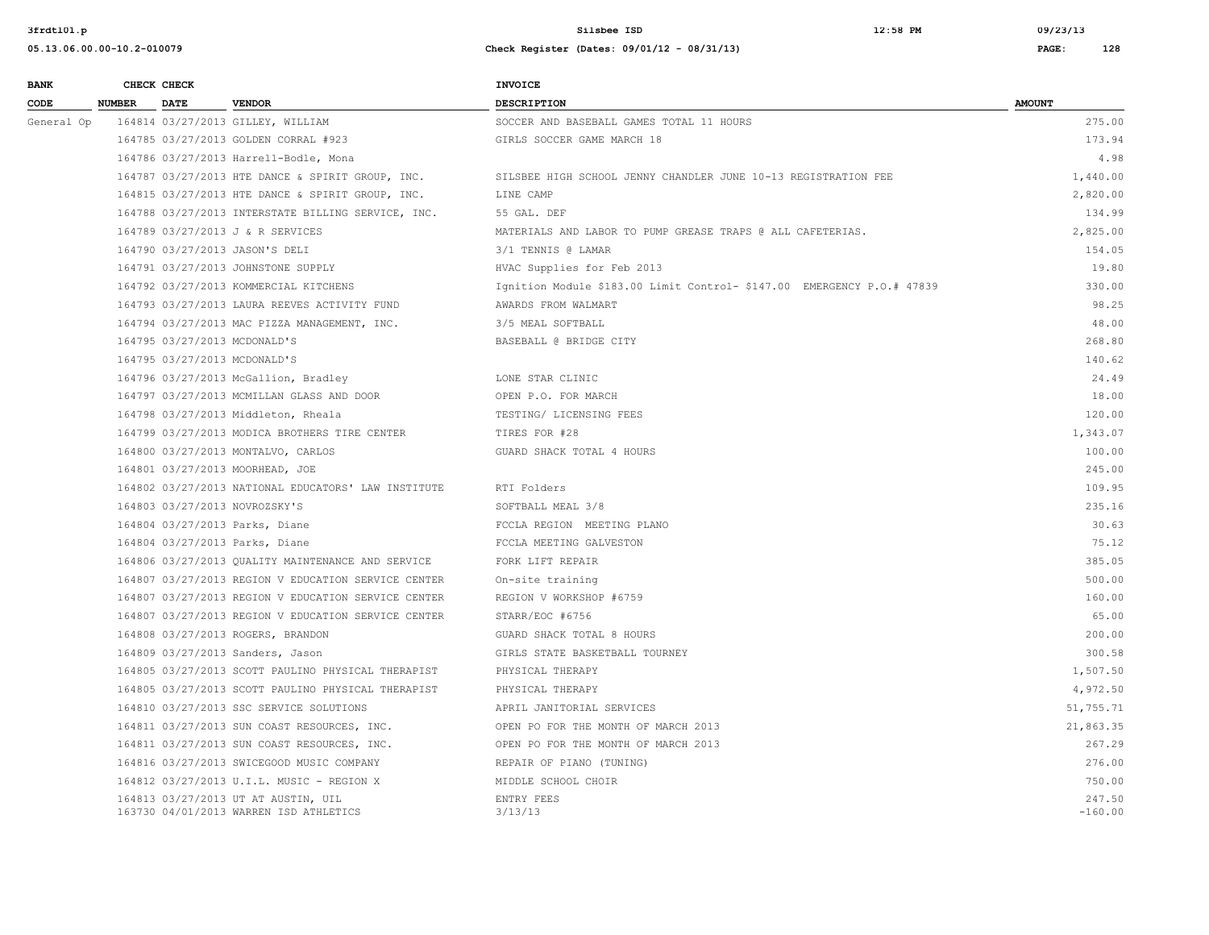**3frdtl01.p Silsbee ISD 12:58 PM 09/23/13**

| <b>BANK</b> |               | CHECK CHECK |                                                                               | <b>INVOICE</b>                                                         |                     |
|-------------|---------------|-------------|-------------------------------------------------------------------------------|------------------------------------------------------------------------|---------------------|
| CODE        | <b>NUMBER</b> | <b>DATE</b> | <b>VENDOR</b>                                                                 | <b>DESCRIPTION</b>                                                     | <b>AMOUNT</b>       |
| General Op  |               |             | 164814 03/27/2013 GILLEY, WILLIAM                                             | SOCCER AND BASEBALL GAMES TOTAL 11 HOURS                               | 275.00              |
|             |               |             | 164785 03/27/2013 GOLDEN CORRAL #923                                          | GIRLS SOCCER GAME MARCH 18                                             | 173.94              |
|             |               |             | 164786 03/27/2013 Harrell-Bodle, Mona                                         |                                                                        | 4.98                |
|             |               |             | 164787 03/27/2013 HTE DANCE & SPIRIT GROUP, INC.                              | SILSBEE HIGH SCHOOL JENNY CHANDLER JUNE 10-13 REGISTRATION FEE         | 1,440.00            |
|             |               |             | 164815 03/27/2013 HTE DANCE & SPIRIT GROUP, INC.                              | LINE CAMP                                                              | 2,820.00            |
|             |               |             | 164788 03/27/2013 INTERSTATE BILLING SERVICE, INC.                            | 55 GAL. DEF                                                            | 134.99              |
|             |               |             | 164789 03/27/2013 J & R SERVICES                                              | MATERIALS AND LABOR TO PUMP GREASE TRAPS @ ALL CAFETERIAS.             | 2,825.00            |
|             |               |             | 164790 03/27/2013 JASON'S DELI                                                | 3/1 TENNIS @ LAMAR                                                     | 154.05              |
|             |               |             | 164791 03/27/2013 JOHNSTONE SUPPLY                                            | HVAC Supplies for Feb 2013                                             | 19.80               |
|             |               |             | 164792 03/27/2013 KOMMERCIAL KITCHENS                                         | Ignition Module \$183.00 Limit Control- \$147.00 EMERGENCY P.O.# 47839 | 330.00              |
|             |               |             | 164793 03/27/2013 LAURA REEVES ACTIVITY FUND                                  | AWARDS FROM WALMART                                                    | 98.25               |
|             |               |             | 164794 03/27/2013 MAC PIZZA MANAGEMENT, INC.                                  | 3/5 MEAL SOFTBALL                                                      | 48.00               |
|             |               |             | 164795 03/27/2013 MCDONALD'S                                                  | BASEBALL @ BRIDGE CITY                                                 | 268.80              |
|             |               |             | 164795 03/27/2013 MCDONALD'S                                                  |                                                                        | 140.62              |
|             |               |             | 164796 03/27/2013 McGallion, Bradley                                          | LONE STAR CLINIC                                                       | 24.49               |
|             |               |             | 164797 03/27/2013 MCMILLAN GLASS AND DOOR                                     | OPEN P.O. FOR MARCH                                                    | 18.00               |
|             |               |             | 164798 03/27/2013 Middleton, Rheala                                           | TESTING/ LICENSING FEES                                                | 120.00              |
|             |               |             | 164799 03/27/2013 MODICA BROTHERS TIRE CENTER                                 | TIRES FOR #28                                                          | 1,343.07            |
|             |               |             | 164800 03/27/2013 MONTALVO, CARLOS                                            | GUARD SHACK TOTAL 4 HOURS                                              | 100.00              |
|             |               |             | 164801 03/27/2013 MOORHEAD, JOE                                               |                                                                        | 245.00              |
|             |               |             | 164802 03/27/2013 NATIONAL EDUCATORS' LAW INSTITUTE                           | RTI Folders                                                            | 109.95              |
|             |               |             | 164803 03/27/2013 NOVROZSKY'S                                                 | SOFTBALL MEAL 3/8                                                      | 235.16              |
|             |               |             | 164804 03/27/2013 Parks, Diane                                                | FCCLA REGION MEETING PLANO                                             | 30.63               |
|             |               |             | 164804 03/27/2013 Parks, Diane                                                | FCCLA MEETING GALVESTON                                                | 75.12               |
|             |               |             | 164806 03/27/2013 QUALITY MAINTENANCE AND SERVICE                             | FORK LIFT REPAIR                                                       | 385.05              |
|             |               |             | 164807 03/27/2013 REGION V EDUCATION SERVICE CENTER                           | On-site training                                                       | 500.00              |
|             |               |             | 164807 03/27/2013 REGION V EDUCATION SERVICE CENTER                           | REGION V WORKSHOP #6759                                                | 160.00              |
|             |               |             | 164807 03/27/2013 REGION V EDUCATION SERVICE CENTER                           | STARR/EOC #6756                                                        | 65.00               |
|             |               |             | 164808 03/27/2013 ROGERS, BRANDON                                             | GUARD SHACK TOTAL 8 HOURS                                              | 200.00              |
|             |               |             | 164809 03/27/2013 Sanders, Jason                                              | GIRLS STATE BASKETBALL TOURNEY                                         | 300.58              |
|             |               |             | 164805 03/27/2013 SCOTT PAULINO PHYSICAL THERAPIST                            | PHYSICAL THERAPY                                                       | 1,507.50            |
|             |               |             | 164805 03/27/2013 SCOTT PAULINO PHYSICAL THERAPIST                            | PHYSICAL THERAPY                                                       | 4,972.50            |
|             |               |             | 164810 03/27/2013 SSC SERVICE SOLUTIONS                                       | APRIL JANITORIAL SERVICES                                              | 51,755.71           |
|             |               |             | 164811 03/27/2013 SUN COAST RESOURCES, INC.                                   | OPEN PO FOR THE MONTH OF MARCH 2013                                    | 21,863.35           |
|             |               |             | 164811 03/27/2013 SUN COAST RESOURCES, INC.                                   | OPEN PO FOR THE MONTH OF MARCH 2013                                    | 267.29              |
|             |               |             | 164816 03/27/2013 SWICEGOOD MUSIC COMPANY                                     | REPAIR OF PIANO (TUNING)                                               | 276.00              |
|             |               |             | 164812 03/27/2013 U.I.L. MUSIC - REGION X                                     | MIDDLE SCHOOL CHOIR                                                    | 750.00              |
|             |               |             | 164813 03/27/2013 UT AT AUSTIN, UIL<br>163730 04/01/2013 WARREN ISD ATHLETICS | ENTRY FEES<br>3/13/13                                                  | 247.50<br>$-160.00$ |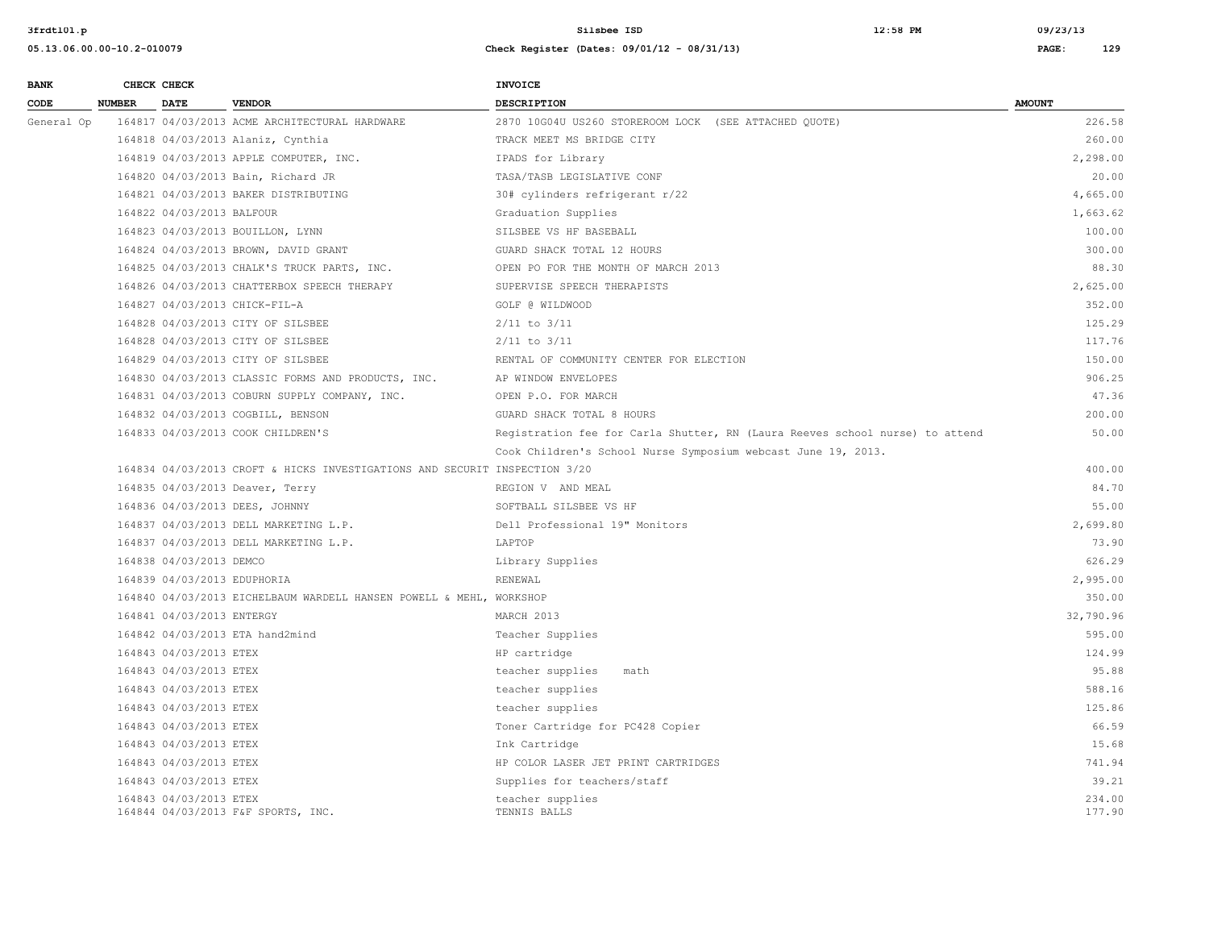| <b>BANK</b> |               | CHECK CHECK                 |                                                                            | INVOICE                                                                      |                  |
|-------------|---------------|-----------------------------|----------------------------------------------------------------------------|------------------------------------------------------------------------------|------------------|
| CODE        | <b>NUMBER</b> | <b>DATE</b>                 | <b>VENDOR</b>                                                              | <b>DESCRIPTION</b>                                                           | <b>AMOUNT</b>    |
| General Op  |               |                             | 164817 04/03/2013 ACME ARCHITECTURAL HARDWARE                              | 2870 10G04U US260 STOREROOM LOCK (SEE ATTACHED OUOTE)                        | 226.58           |
|             |               |                             | 164818 04/03/2013 Alaniz, Cynthia                                          | TRACK MEET MS BRIDGE CITY                                                    | 260.00           |
|             |               |                             | 164819 04/03/2013 APPLE COMPUTER, INC.                                     | IPADS for Library                                                            | 2,298.00         |
|             |               |                             | 164820 04/03/2013 Bain, Richard JR                                         | TASA/TASB LEGISLATIVE CONF                                                   | 20.00            |
|             |               |                             | 164821 04/03/2013 BAKER DISTRIBUTING                                       | 30# cylinders refrigerant r/22                                               | 4,665.00         |
|             |               | 164822 04/03/2013 BALFOUR   |                                                                            | Graduation Supplies                                                          | 1,663.62         |
|             |               |                             | 164823 04/03/2013 BOUILLON, LYNN                                           | SILSBEE VS HF BASEBALL                                                       | 100.00           |
|             |               |                             | 164824 04/03/2013 BROWN, DAVID GRANT                                       | GUARD SHACK TOTAL 12 HOURS                                                   | 300.00           |
|             |               |                             | 164825 04/03/2013 CHALK'S TRUCK PARTS, INC.                                | OPEN PO FOR THE MONTH OF MARCH 2013                                          | 88.30            |
|             |               |                             | 164826 04/03/2013 CHATTERBOX SPEECH THERAPY                                | SUPERVISE SPEECH THERAPISTS                                                  | 2,625.00         |
|             |               |                             | 164827 04/03/2013 CHICK-FIL-A                                              | GOLF @ WILDWOOD                                                              | 352.00           |
|             |               |                             | 164828 04/03/2013 CITY OF SILSBEE                                          | $2/11$ to $3/11$                                                             | 125.29           |
|             |               |                             | 164828 04/03/2013 CITY OF SILSBEE                                          | $2/11$ to $3/11$                                                             | 117.76           |
|             |               |                             | 164829 04/03/2013 CITY OF SILSBEE                                          | RENTAL OF COMMUNITY CENTER FOR ELECTION                                      | 150.00           |
|             |               |                             | 164830 04/03/2013 CLASSIC FORMS AND PRODUCTS, INC.                         | AP WINDOW ENVELOPES                                                          | 906.25           |
|             |               |                             | 164831 04/03/2013 COBURN SUPPLY COMPANY, INC.                              | OPEN P.O. FOR MARCH                                                          | 47.36            |
|             |               |                             | 164832 04/03/2013 COGBILL, BENSON                                          | GUARD SHACK TOTAL 8 HOURS                                                    | 200.00           |
|             |               |                             | 164833 04/03/2013 COOK CHILDREN'S                                          | Registration fee for Carla Shutter, RN (Laura Reeves school nurse) to attend | 50.00            |
|             |               |                             |                                                                            | Cook Children's School Nurse Symposium webcast June 19, 2013.                |                  |
|             |               |                             | 164834 04/03/2013 CROFT & HICKS INVESTIGATIONS AND SECURIT INSPECTION 3/20 |                                                                              | 400.00           |
|             |               |                             | 164835 04/03/2013 Deaver, Terry                                            | REGION V AND MEAL                                                            | 84.70            |
|             |               |                             | 164836 04/03/2013 DEES, JOHNNY                                             | SOFTBALL SILSBEE VS HF                                                       | 55.00            |
|             |               |                             | 164837 04/03/2013 DELL MARKETING L.P.                                      | Dell Professional 19" Monitors                                               | 2,699.80         |
|             |               |                             | 164837 04/03/2013 DELL MARKETING L.P.                                      | LAPTOP                                                                       | 73.90            |
|             |               | 164838 04/03/2013 DEMCO     |                                                                            | Library Supplies                                                             | 626.29           |
|             |               | 164839 04/03/2013 EDUPHORIA |                                                                            | RENEWAL                                                                      | 2,995.00         |
|             |               |                             | 164840 04/03/2013 EICHELBAUM WARDELL HANSEN POWELL & MEHL, WORKSHOP        |                                                                              | 350.00           |
|             |               | 164841 04/03/2013 ENTERGY   |                                                                            | MARCH 2013                                                                   | 32,790.96        |
|             |               |                             | 164842 04/03/2013 ETA hand2mind                                            | Teacher Supplies                                                             | 595.00           |
|             |               | 164843 04/03/2013 ETEX      |                                                                            | HP cartridge                                                                 | 124.99           |
|             |               | 164843 04/03/2013 ETEX      |                                                                            | teacher supplies<br>math                                                     | 95.88            |
|             |               | 164843 04/03/2013 ETEX      |                                                                            | teacher supplies                                                             | 588.16           |
|             |               | 164843 04/03/2013 ETEX      |                                                                            | teacher supplies                                                             | 125.86           |
|             |               | 164843 04/03/2013 ETEX      |                                                                            | Toner Cartridge for PC428 Copier                                             | 66.59            |
|             |               | 164843 04/03/2013 ETEX      |                                                                            | Ink Cartridge                                                                | 15.68            |
|             |               | 164843 04/03/2013 ETEX      |                                                                            | HP COLOR LASER JET PRINT CARTRIDGES                                          | 741.94           |
|             |               | 164843 04/03/2013 ETEX      |                                                                            | Supplies for teachers/staff                                                  | 39.21            |
|             |               | 164843 04/03/2013 ETEX      | 164844 04/03/2013 F&F SPORTS, INC.                                         | teacher supplies<br>TENNIS BALLS                                             | 234.00<br>177.90 |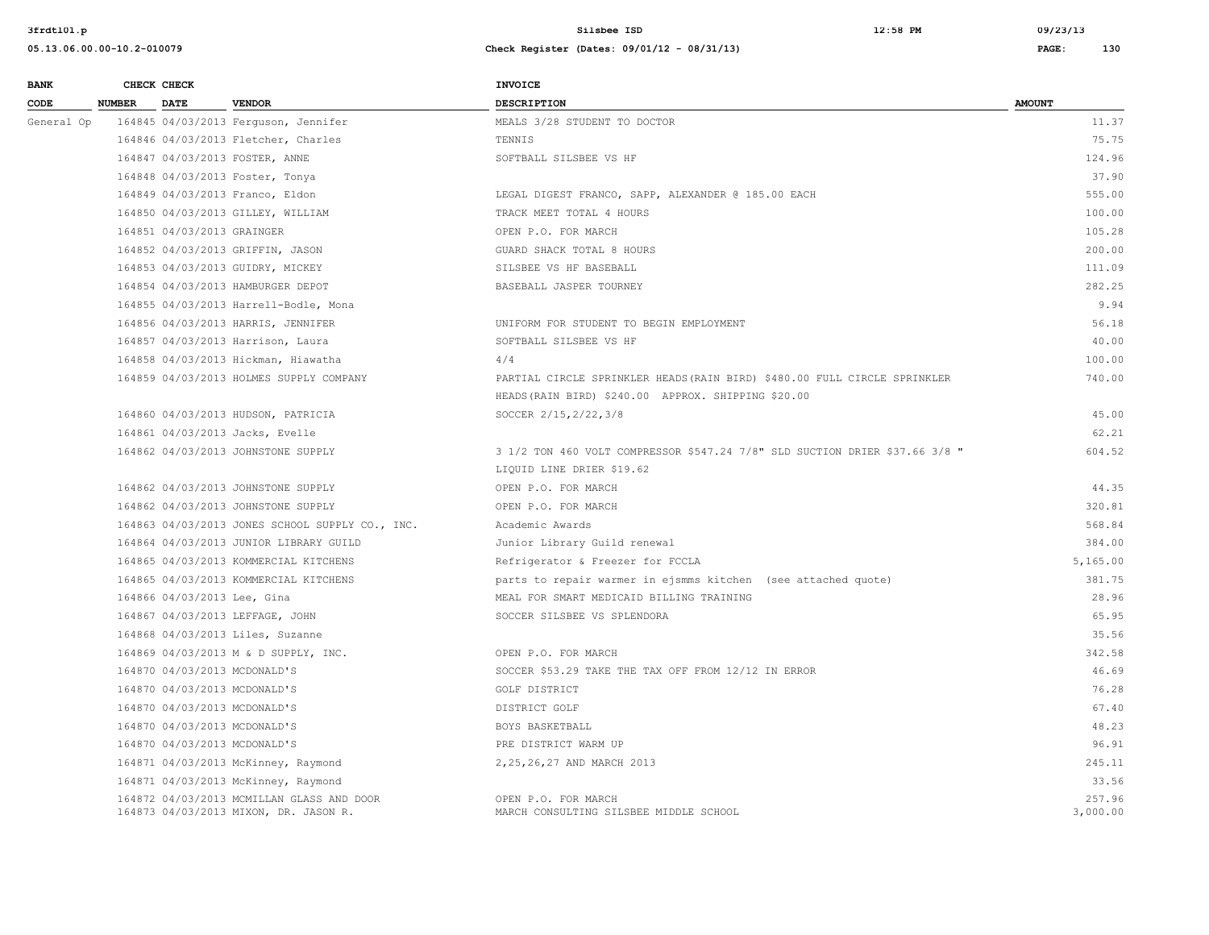| <b>BANK</b> |               | CHECK CHECK                  |                                                                                    | <b>INVOICE</b>                                                              |                    |
|-------------|---------------|------------------------------|------------------------------------------------------------------------------------|-----------------------------------------------------------------------------|--------------------|
| CODE        | <b>NUMBER</b> | <b>DATE</b>                  | <b>VENDOR</b>                                                                      | <b>DESCRIPTION</b>                                                          | <b>AMOUNT</b>      |
| General Op  |               |                              | 164845 04/03/2013 Ferguson, Jennifer                                               | MEALS 3/28 STUDENT TO DOCTOR                                                | 11.37              |
|             |               |                              | 164846 04/03/2013 Fletcher, Charles                                                | TENNIS                                                                      | 75.75              |
|             |               |                              | 164847 04/03/2013 FOSTER, ANNE                                                     | SOFTBALL SILSBEE VS HF                                                      | 124.96             |
|             |               |                              | 164848 04/03/2013 Foster, Tonya                                                    |                                                                             | 37.90              |
|             |               |                              | 164849 04/03/2013 Franco, Eldon                                                    | LEGAL DIGEST FRANCO, SAPP, ALEXANDER @ 185.00 EACH                          | 555.00             |
|             |               |                              | 164850 04/03/2013 GILLEY, WILLIAM                                                  | TRACK MEET TOTAL 4 HOURS                                                    | 100.00             |
|             |               | 164851 04/03/2013 GRAINGER   |                                                                                    | OPEN P.O. FOR MARCH                                                         | 105.28             |
|             |               |                              | 164852 04/03/2013 GRIFFIN, JASON                                                   | GUARD SHACK TOTAL 8 HOURS                                                   | 200.00             |
|             |               |                              | 164853 04/03/2013 GUIDRY, MICKEY                                                   | SILSBEE VS HF BASEBALL                                                      | 111.09             |
|             |               |                              | 164854 04/03/2013 HAMBURGER DEPOT                                                  | BASEBALL JASPER TOURNEY                                                     | 282.25             |
|             |               |                              | 164855 04/03/2013 Harrell-Bodle, Mona                                              |                                                                             | 9.94               |
|             |               |                              | 164856 04/03/2013 HARRIS, JENNIFER                                                 | UNIFORM FOR STUDENT TO BEGIN EMPLOYMENT                                     | 56.18              |
|             |               |                              | 164857 04/03/2013 Harrison, Laura                                                  | SOFTBALL SILSBEE VS HF                                                      | 40.00              |
|             |               |                              | 164858 04/03/2013 Hickman, Hiawatha                                                | 4/4                                                                         | 100.00             |
|             |               |                              | 164859 04/03/2013 HOLMES SUPPLY COMPANY                                            | PARTIAL CIRCLE SPRINKLER HEADS (RAIN BIRD) \$480.00 FULL CIRCLE SPRINKLER   | 740.00             |
|             |               |                              |                                                                                    | HEADS (RAIN BIRD) \$240.00 APPROX. SHIPPING \$20.00                         |                    |
|             |               |                              | 164860 04/03/2013 HUDSON, PATRICIA                                                 | SOCCER 2/15, 2/22, 3/8                                                      | 45.00              |
|             |               |                              | 164861 04/03/2013 Jacks, Evelle                                                    |                                                                             | 62.21              |
|             |               |                              | 164862 04/03/2013 JOHNSTONE SUPPLY                                                 | 3 1/2 TON 460 VOLT COMPRESSOR \$547.24 7/8" SLD SUCTION DRIER \$37.66 3/8 " | 604.52             |
|             |               |                              |                                                                                    | LIQUID LINE DRIER \$19.62                                                   |                    |
|             |               |                              | 164862 04/03/2013 JOHNSTONE SUPPLY                                                 | OPEN P.O. FOR MARCH                                                         | 44.35              |
|             |               |                              | 164862 04/03/2013 JOHNSTONE SUPPLY                                                 | OPEN P.O. FOR MARCH                                                         | 320.81             |
|             |               |                              | 164863 04/03/2013 JONES SCHOOL SUPPLY CO., INC.                                    | Academic Awards                                                             | 568.84             |
|             |               |                              | 164864 04/03/2013 JUNIOR LIBRARY GUILD                                             | Junior Library Guild renewal                                                | 384.00             |
|             |               |                              | 164865 04/03/2013 KOMMERCIAL KITCHENS                                              | Refrigerator & Freezer for FCCLA                                            | 5,165.00           |
|             |               |                              | 164865 04/03/2013 KOMMERCIAL KITCHENS                                              | parts to repair warmer in ejsmms kitchen (see attached quote)               | 381.75             |
|             |               | 164866 04/03/2013 Lee, Gina  |                                                                                    | MEAL FOR SMART MEDICAID BILLING TRAINING                                    | 28.96              |
|             |               |                              | 164867 04/03/2013 LEFFAGE, JOHN                                                    | SOCCER SILSBEE VS SPLENDORA                                                 | 65.95              |
|             |               |                              | 164868 04/03/2013 Liles, Suzanne                                                   |                                                                             | 35.56              |
|             |               |                              | 164869 04/03/2013 M & D SUPPLY, INC.                                               | OPEN P.O. FOR MARCH                                                         | 342.58             |
|             |               | 164870 04/03/2013 MCDONALD'S |                                                                                    | SOCCER \$53.29 TAKE THE TAX OFF FROM 12/12 IN ERROR                         | 46.69              |
|             |               |                              | 164870 04/03/2013 MCDONALD'S                                                       | GOLF DISTRICT                                                               | 76.28              |
|             |               | 164870 04/03/2013 MCDONALD'S |                                                                                    | DISTRICT GOLF                                                               | 67.40              |
|             |               |                              | 164870 04/03/2013 MCDONALD'S                                                       | BOYS BASKETBALL                                                             | 48.23              |
|             |               |                              | 164870 04/03/2013 MCDONALD'S                                                       | PRE DISTRICT WARM UP                                                        | 96.91              |
|             |               |                              | 164871 04/03/2013 McKinney, Raymond                                                | 2, 25, 26, 27 AND MARCH 2013                                                | 245.11             |
|             |               |                              | 164871 04/03/2013 McKinney, Raymond                                                |                                                                             | 33.56              |
|             |               |                              | 164872 04/03/2013 MCMILLAN GLASS AND DOOR<br>164873 04/03/2013 MIXON, DR. JASON R. | OPEN P.O. FOR MARCH<br>MARCH CONSULTING SILSBEE MIDDLE SCHOOL               | 257.96<br>3,000.00 |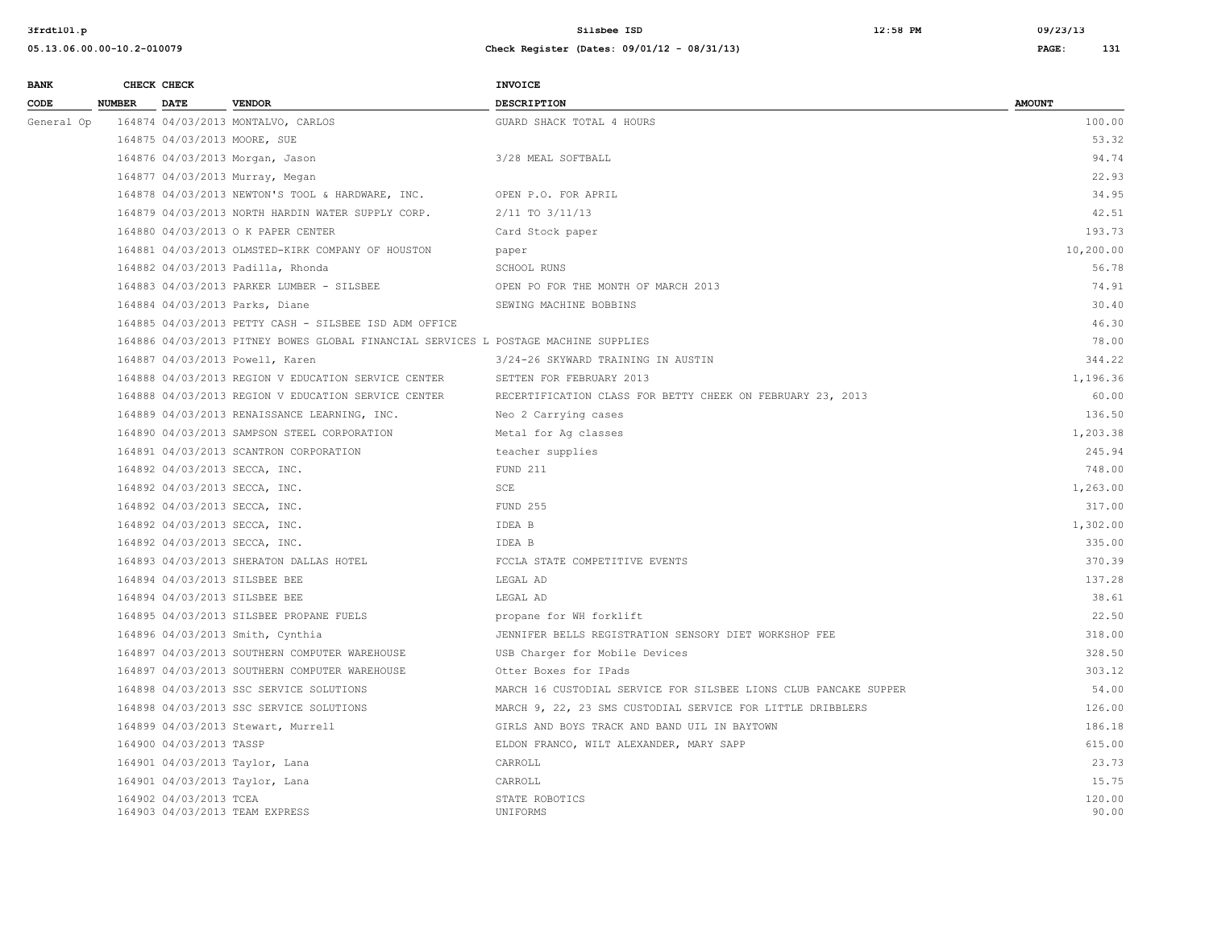| <b>BANK</b> |               | CHECK CHECK             |                                                                                     | <b>INVOICE</b>                                                   |                 |
|-------------|---------------|-------------------------|-------------------------------------------------------------------------------------|------------------------------------------------------------------|-----------------|
| CODE        | <b>NUMBER</b> | <b>DATE</b>             | <b>VENDOR</b>                                                                       | <b>DESCRIPTION</b>                                               | <b>AMOUNT</b>   |
| General Op  |               |                         | 164874 04/03/2013 MONTALVO, CARLOS                                                  | GUARD SHACK TOTAL 4 HOURS                                        | 100.00          |
|             |               |                         | 164875 04/03/2013 MOORE, SUE                                                        |                                                                  | 53.32           |
|             |               |                         | 164876 04/03/2013 Morgan, Jason                                                     | 3/28 MEAL SOFTBALL                                               | 94.74           |
|             |               |                         | 164877 04/03/2013 Murray, Megan                                                     |                                                                  | 22.93           |
|             |               |                         | 164878 04/03/2013 NEWTON'S TOOL & HARDWARE, INC.                                    | OPEN P.O. FOR APRIL                                              | 34.95           |
|             |               |                         | 164879 04/03/2013 NORTH HARDIN WATER SUPPLY CORP.                                   | 2/11 TO 3/11/13                                                  | 42.51           |
|             |               |                         | 164880 04/03/2013 O K PAPER CENTER                                                  | Card Stock paper                                                 | 193.73          |
|             |               |                         | 164881 04/03/2013 OLMSTED-KIRK COMPANY OF HOUSTON                                   | paper                                                            | 10,200.00       |
|             |               |                         | 164882 04/03/2013 Padilla, Rhonda                                                   | SCHOOL RUNS                                                      | 56.78           |
|             |               |                         | 164883 04/03/2013 PARKER LUMBER - SILSBEE                                           | OPEN PO FOR THE MONTH OF MARCH 2013                              | 74.91           |
|             |               |                         | 164884 04/03/2013 Parks, Diane                                                      | SEWING MACHINE BOBBINS                                           | 30.40           |
|             |               |                         | 164885 04/03/2013 PETTY CASH - SILSBEE ISD ADM OFFICE                               |                                                                  | 46.30           |
|             |               |                         | 164886 04/03/2013 PITNEY BOWES GLOBAL FINANCIAL SERVICES L POSTAGE MACHINE SUPPLIES |                                                                  | 78.00           |
|             |               |                         | 164887 04/03/2013 Powell, Karen                                                     | 3/24-26 SKYWARD TRAINING IN AUSTIN                               | 344.22          |
|             |               |                         | 164888 04/03/2013 REGION V EDUCATION SERVICE CENTER                                 | SETTEN FOR FEBRUARY 2013                                         | 1,196.36        |
|             |               |                         | 164888 04/03/2013 REGION V EDUCATION SERVICE CENTER                                 | RECERTIFICATION CLASS FOR BETTY CHEEK ON FEBRUARY 23, 2013       | 60.00           |
|             |               |                         | 164889 04/03/2013 RENAISSANCE LEARNING, INC.                                        | Neo 2 Carrying cases                                             | 136.50          |
|             |               |                         | 164890 04/03/2013 SAMPSON STEEL CORPORATION                                         | Metal for Ag classes                                             | 1,203.38        |
|             |               |                         | 164891 04/03/2013 SCANTRON CORPORATION                                              | teacher supplies                                                 | 245.94          |
|             |               |                         | 164892 04/03/2013 SECCA, INC.                                                       | FUND 211                                                         | 748.00          |
|             |               |                         | 164892 04/03/2013 SECCA, INC.                                                       | SCE                                                              | 1,263.00        |
|             |               |                         | 164892 04/03/2013 SECCA, INC.                                                       | <b>FUND 255</b>                                                  | 317.00          |
|             |               |                         | 164892 04/03/2013 SECCA, INC.                                                       | IDEA B                                                           | 1,302.00        |
|             |               |                         | 164892 04/03/2013 SECCA, INC.                                                       | IDEA B                                                           | 335.00          |
|             |               |                         | 164893 04/03/2013 SHERATON DALLAS HOTEL                                             | FCCLA STATE COMPETITIVE EVENTS                                   | 370.39          |
|             |               |                         | 164894 04/03/2013 SILSBEE BEE                                                       | LEGAL AD                                                         | 137.28          |
|             |               |                         | 164894 04/03/2013 SILSBEE BEE                                                       | LEGAL AD                                                         | 38.61           |
|             |               |                         | 164895 04/03/2013 SILSBEE PROPANE FUELS                                             | propane for WH forklift                                          | 22.50           |
|             |               |                         | 164896 04/03/2013 Smith, Cynthia                                                    | JENNIFER BELLS REGISTRATION SENSORY DIET WORKSHOP FEE            | 318.00          |
|             |               |                         | 164897 04/03/2013 SOUTHERN COMPUTER WAREHOUSE                                       | USB Charger for Mobile Devices                                   | 328.50          |
|             |               |                         | 164897 04/03/2013 SOUTHERN COMPUTER WAREHOUSE                                       | Otter Boxes for IPads                                            | 303.12          |
|             |               |                         | 164898 04/03/2013 SSC SERVICE SOLUTIONS                                             | MARCH 16 CUSTODIAL SERVICE FOR SILSBEE LIONS CLUB PANCAKE SUPPER | 54.00           |
|             |               |                         | 164898 04/03/2013 SSC SERVICE SOLUTIONS                                             | MARCH 9, 22, 23 SMS CUSTODIAL SERVICE FOR LITTLE DRIBBLERS       | 126.00          |
|             |               |                         | 164899 04/03/2013 Stewart, Murrell                                                  | GIRLS AND BOYS TRACK AND BAND UIL IN BAYTOWN                     | 186.18          |
|             |               | 164900 04/03/2013 TASSP |                                                                                     | ELDON FRANCO, WILT ALEXANDER, MARY SAPP                          | 615.00          |
|             |               |                         | 164901 04/03/2013 Taylor, Lana                                                      | CARROLL                                                          | 23.73           |
|             |               |                         | 164901 04/03/2013 Taylor, Lana                                                      | CARROLL                                                          | 15.75           |
|             |               | 164902 04/03/2013 TCEA  | 164903 04/03/2013 TEAM EXPRESS                                                      | STATE ROBOTICS<br>UNIFORMS                                       | 120.00<br>90.00 |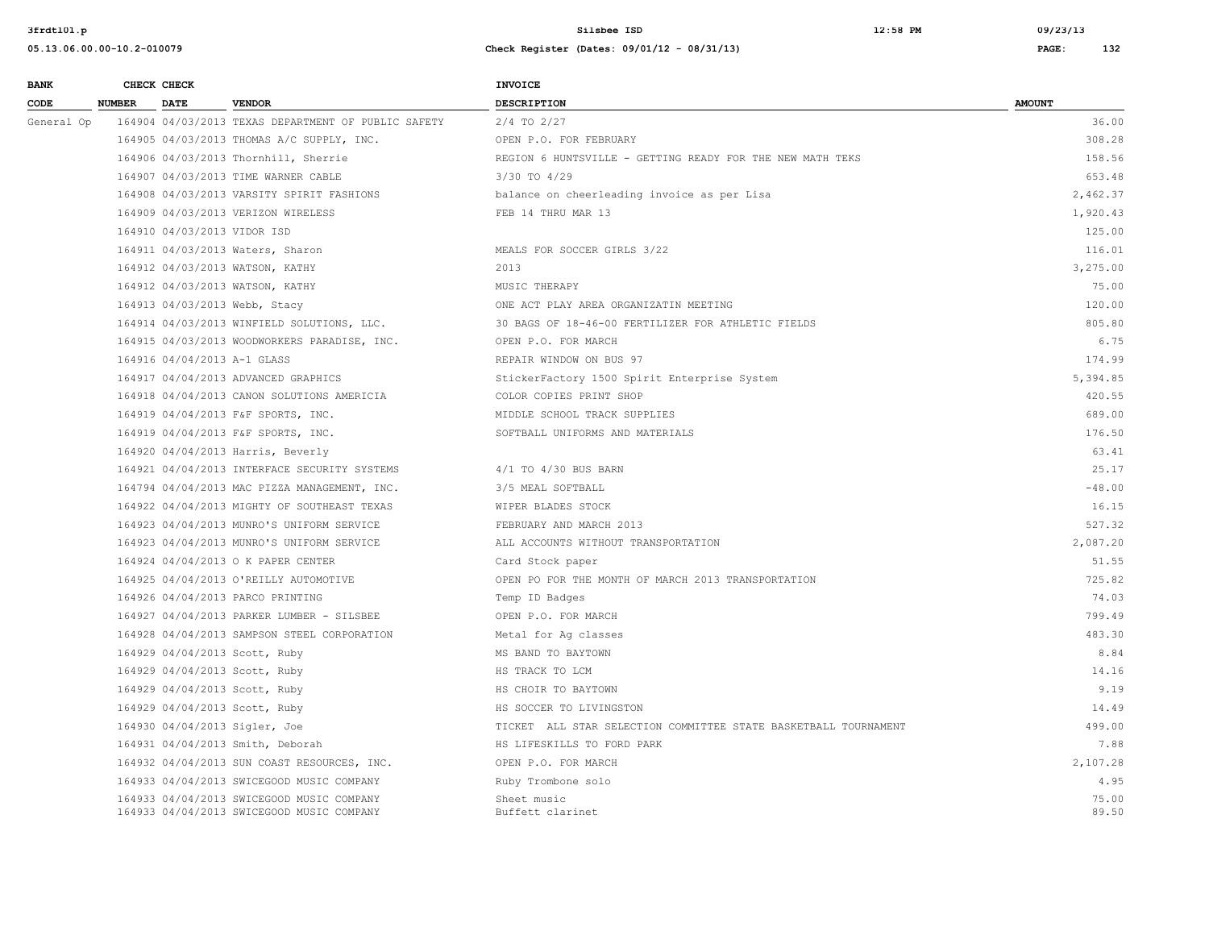| <b>BANK</b> |               | CHECK CHECK                 |                                                                                        | <b>INVOICE</b>                                                  |                |
|-------------|---------------|-----------------------------|----------------------------------------------------------------------------------------|-----------------------------------------------------------------|----------------|
| CODE        | <b>NUMBER</b> | <b>DATE</b>                 | <b>VENDOR</b>                                                                          | <b>DESCRIPTION</b>                                              | <b>AMOUNT</b>  |
| General Op  |               |                             | 164904 04/03/2013 TEXAS DEPARTMENT OF PUBLIC SAFETY                                    | $2/4$ TO $2/27$                                                 | 36.00          |
|             |               |                             | 164905 04/03/2013 THOMAS A/C SUPPLY, INC.                                              | OPEN P.O. FOR FEBRUARY                                          | 308.28         |
|             |               |                             | 164906 04/03/2013 Thornhill, Sherrie                                                   | REGION 6 HUNTSVILLE - GETTING READY FOR THE NEW MATH TEKS       | 158.56         |
|             |               |                             | 164907 04/03/2013 TIME WARNER CABLE                                                    | $3/30$ TO $4/29$                                                | 653.48         |
|             |               |                             | 164908 04/03/2013 VARSITY SPIRIT FASHIONS                                              | balance on cheerleading invoice as per Lisa                     | 2,462.37       |
|             |               |                             | 164909 04/03/2013 VERIZON WIRELESS                                                     | FEB 14 THRU MAR 13                                              | 1,920.43       |
|             |               | 164910 04/03/2013 VIDOR ISD |                                                                                        |                                                                 | 125.00         |
|             |               |                             | 164911 04/03/2013 Waters, Sharon                                                       | MEALS FOR SOCCER GIRLS 3/22                                     | 116.01         |
|             |               |                             | 164912 04/03/2013 WATSON, KATHY                                                        | 2013                                                            | 3,275.00       |
|             |               |                             | 164912 04/03/2013 WATSON, KATHY                                                        | MUSIC THERAPY                                                   | 75.00          |
|             |               |                             | 164913 04/03/2013 Webb, Stacy                                                          | ONE ACT PLAY AREA ORGANIZATIN MEETING                           | 120.00         |
|             |               |                             | 164914 04/03/2013 WINFIELD SOLUTIONS, LLC.                                             | 30 BAGS OF 18-46-00 FERTILIZER FOR ATHLETIC FIELDS              | 805.80         |
|             |               |                             | 164915 04/03/2013 WOODWORKERS PARADISE, INC.                                           | OPEN P.O. FOR MARCH                                             | 6.75           |
|             |               | 164916 04/04/2013 A-1 GLASS |                                                                                        | REPAIR WINDOW ON BUS 97                                         | 174.99         |
|             |               |                             | 164917 04/04/2013 ADVANCED GRAPHICS                                                    | StickerFactory 1500 Spirit Enterprise System                    | 5,394.85       |
|             |               |                             | 164918 04/04/2013 CANON SOLUTIONS AMERICIA                                             | COLOR COPIES PRINT SHOP                                         | 420.55         |
|             |               |                             | 164919 04/04/2013 F&F SPORTS, INC.                                                     | MIDDLE SCHOOL TRACK SUPPLIES                                    | 689.00         |
|             |               |                             | 164919 04/04/2013 F&F SPORTS, INC.                                                     | SOFTBALL UNIFORMS AND MATERIALS                                 | 176.50         |
|             |               |                             | 164920 04/04/2013 Harris, Beverly                                                      |                                                                 | 63.41          |
|             |               |                             | 164921 04/04/2013 INTERFACE SECURITY SYSTEMS                                           | 4/1 TO 4/30 BUS BARN                                            | 25.17          |
|             |               |                             | 164794 04/04/2013 MAC PIZZA MANAGEMENT, INC.                                           | 3/5 MEAL SOFTBALL                                               | $-48.00$       |
|             |               |                             | 164922 04/04/2013 MIGHTY OF SOUTHEAST TEXAS                                            | WIPER BLADES STOCK                                              | 16.15          |
|             |               |                             | 164923 04/04/2013 MUNRO'S UNIFORM SERVICE                                              | FEBRUARY AND MARCH 2013                                         | 527.32         |
|             |               |                             | 164923 04/04/2013 MUNRO'S UNIFORM SERVICE                                              | ALL ACCOUNTS WITHOUT TRANSPORTATION                             | 2,087.20       |
|             |               |                             | 164924 04/04/2013 O K PAPER CENTER                                                     | Card Stock paper                                                | 51.55          |
|             |               |                             | 164925 04/04/2013 O'REILLY AUTOMOTIVE                                                  | OPEN PO FOR THE MONTH OF MARCH 2013 TRANSPORTATION              | 725.82         |
|             |               |                             | 164926 04/04/2013 PARCO PRINTING                                                       | Temp ID Badges                                                  | 74.03          |
|             |               |                             | 164927 04/04/2013 PARKER LUMBER - SILSBEE                                              | OPEN P.O. FOR MARCH                                             | 799.49         |
|             |               |                             | 164928 04/04/2013 SAMPSON STEEL CORPORATION                                            | Metal for Aq classes                                            | 483.30         |
|             |               |                             | 164929 04/04/2013 Scott, Ruby                                                          | MS BAND TO BAYTOWN                                              | 8.84           |
|             |               |                             | 164929 04/04/2013 Scott, Ruby                                                          | HS TRACK TO LCM                                                 | 14.16          |
|             |               |                             | 164929 04/04/2013 Scott, Ruby                                                          | HS CHOIR TO BAYTOWN                                             | 9.19           |
|             |               |                             | 164929 04/04/2013 Scott, Ruby                                                          | HS SOCCER TO LIVINGSTON                                         | 14.49          |
|             |               |                             | 164930 04/04/2013 Sigler, Joe                                                          | TICKET ALL STAR SELECTION COMMITTEE STATE BASKETBALL TOURNAMENT | 499.00         |
|             |               |                             | 164931 04/04/2013 Smith, Deborah                                                       | HS LIFESKILLS TO FORD PARK                                      | 7.88           |
|             |               |                             | 164932 04/04/2013 SUN COAST RESOURCES, INC.                                            | OPEN P.O. FOR MARCH                                             | 2,107.28       |
|             |               |                             | 164933 04/04/2013 SWICEGOOD MUSIC COMPANY                                              | Ruby Trombone solo                                              | 4.95           |
|             |               |                             | 164933 04/04/2013 SWICEGOOD MUSIC COMPANY<br>164933 04/04/2013 SWICEGOOD MUSIC COMPANY | Sheet music<br>Buffett clarinet                                 | 75.00<br>89.50 |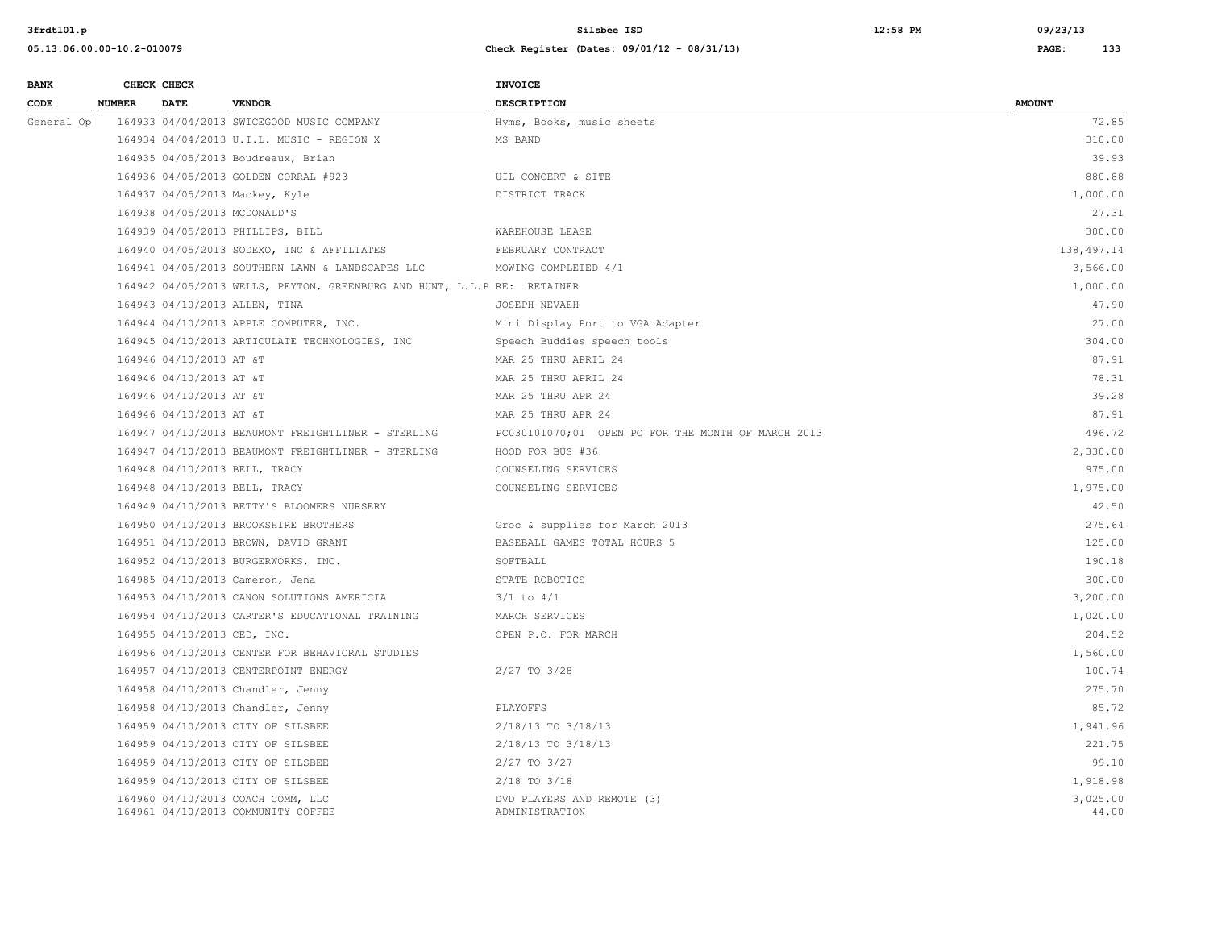| <b>BANK</b> |               | CHECK CHECK                 |                                                                         | INVOICE                                            |                   |
|-------------|---------------|-----------------------------|-------------------------------------------------------------------------|----------------------------------------------------|-------------------|
| CODE        | <b>NUMBER</b> | <b>DATE</b>                 | <b>VENDOR</b>                                                           | <b>DESCRIPTION</b>                                 | <b>AMOUNT</b>     |
| General Op  |               |                             | 164933 04/04/2013 SWICEGOOD MUSIC COMPANY                               | Hyms, Books, music sheets                          | 72.85             |
|             |               |                             | 164934 04/04/2013 U.I.L. MUSIC - REGION X                               | MS BAND                                            | 310.00            |
|             |               |                             | 164935 04/05/2013 Boudreaux, Brian                                      |                                                    | 39.93             |
|             |               |                             | 164936 04/05/2013 GOLDEN CORRAL #923                                    | UIL CONCERT & SITE                                 | 880.88            |
|             |               |                             | 164937 04/05/2013 Mackey, Kyle                                          | DISTRICT TRACK                                     | 1,000.00          |
|             |               |                             | 164938 04/05/2013 MCDONALD'S                                            |                                                    | 27.31             |
|             |               |                             | 164939 04/05/2013 PHILLIPS, BILL                                        | WAREHOUSE LEASE                                    | 300.00            |
|             |               |                             | 164940 04/05/2013 SODEXO, INC & AFFILIATES                              | FEBRUARY CONTRACT                                  | 138,497.14        |
|             |               |                             | 164941 04/05/2013 SOUTHERN LAWN & LANDSCAPES LLC                        | MOWING COMPLETED 4/1                               | 3,566.00          |
|             |               |                             | 164942 04/05/2013 WELLS, PEYTON, GREENBURG AND HUNT, L.L.P RE: RETAINER |                                                    | 1,000.00          |
|             |               |                             | 164943 04/10/2013 ALLEN, TINA                                           | JOSEPH NEVAEH                                      | 47.90             |
|             |               |                             | 164944 04/10/2013 APPLE COMPUTER, INC.                                  | Mini Display Port to VGA Adapter                   | 27.00             |
|             |               |                             | 164945 04/10/2013 ARTICULATE TECHNOLOGIES, INC                          | Speech Buddies speech tools                        | 304.00            |
|             |               | 164946 04/10/2013 AT &T     |                                                                         | MAR 25 THRU APRIL 24                               | 87.91             |
|             |               | 164946 04/10/2013 AT &T     |                                                                         | MAR 25 THRU APRIL 24                               | 78.31             |
|             |               | 164946 04/10/2013 AT &T     |                                                                         | MAR 25 THRU APR 24                                 | 39.28             |
|             |               | 164946 04/10/2013 AT &T     |                                                                         | MAR 25 THRU APR 24                                 | 87.91             |
|             |               |                             | 164947 04/10/2013 BEAUMONT FREIGHTLINER - STERLING                      | PC030101070;01 OPEN PO FOR THE MONTH OF MARCH 2013 | 496.72            |
|             |               |                             | 164947 04/10/2013 BEAUMONT FREIGHTLINER - STERLING                      | HOOD FOR BUS #36                                   | 2,330.00          |
|             |               |                             | 164948 04/10/2013 BELL, TRACY                                           | COUNSELING SERVICES                                | 975.00            |
|             |               |                             | 164948 04/10/2013 BELL, TRACY                                           | COUNSELING SERVICES                                | 1,975.00          |
|             |               |                             | 164949 04/10/2013 BETTY'S BLOOMERS NURSERY                              |                                                    | 42.50             |
|             |               |                             | 164950 04/10/2013 BROOKSHIRE BROTHERS                                   | Groc & supplies for March 2013                     | 275.64            |
|             |               |                             | 164951 04/10/2013 BROWN, DAVID GRANT                                    | BASEBALL GAMES TOTAL HOURS 5                       | 125.00            |
|             |               |                             | 164952 04/10/2013 BURGERWORKS, INC.                                     | SOFTBALL                                           | 190.18            |
|             |               |                             | 164985 04/10/2013 Cameron, Jena                                         | STATE ROBOTICS                                     | 300.00            |
|             |               |                             | 164953 04/10/2013 CANON SOLUTIONS AMERICIA                              | $3/1$ to $4/1$                                     | 3,200.00          |
|             |               |                             | 164954 04/10/2013 CARTER'S EDUCATIONAL TRAINING                         | MARCH SERVICES                                     | 1,020.00          |
|             |               | 164955 04/10/2013 CED, INC. |                                                                         | OPEN P.O. FOR MARCH                                | 204.52            |
|             |               |                             | 164956 04/10/2013 CENTER FOR BEHAVIORAL STUDIES                         |                                                    | 1,560.00          |
|             |               |                             | 164957 04/10/2013 CENTERPOINT ENERGY                                    | 2/27 TO 3/28                                       | 100.74            |
|             |               |                             | 164958 04/10/2013 Chandler, Jenny                                       |                                                    | 275.70            |
|             |               |                             | 164958 04/10/2013 Chandler, Jenny                                       | PLAYOFFS                                           | 85.72             |
|             |               |                             | 164959 04/10/2013 CITY OF SILSBEE                                       | 2/18/13 TO 3/18/13                                 | 1,941.96          |
|             |               |                             | 164959 04/10/2013 CITY OF SILSBEE                                       | 2/18/13 TO 3/18/13                                 | 221.75            |
|             |               |                             | 164959 04/10/2013 CITY OF SILSBEE                                       | 2/27 TO 3/27                                       | 99.10             |
|             |               |                             | 164959 04/10/2013 CITY OF SILSBEE                                       | $2/18$ TO $3/18$                                   | 1,918.98          |
|             |               |                             | 164960 04/10/2013 COACH COMM, LLC<br>164961 04/10/2013 COMMUNITY COFFEE | DVD PLAYERS AND REMOTE (3)<br>ADMINISTRATION       | 3,025.00<br>44.00 |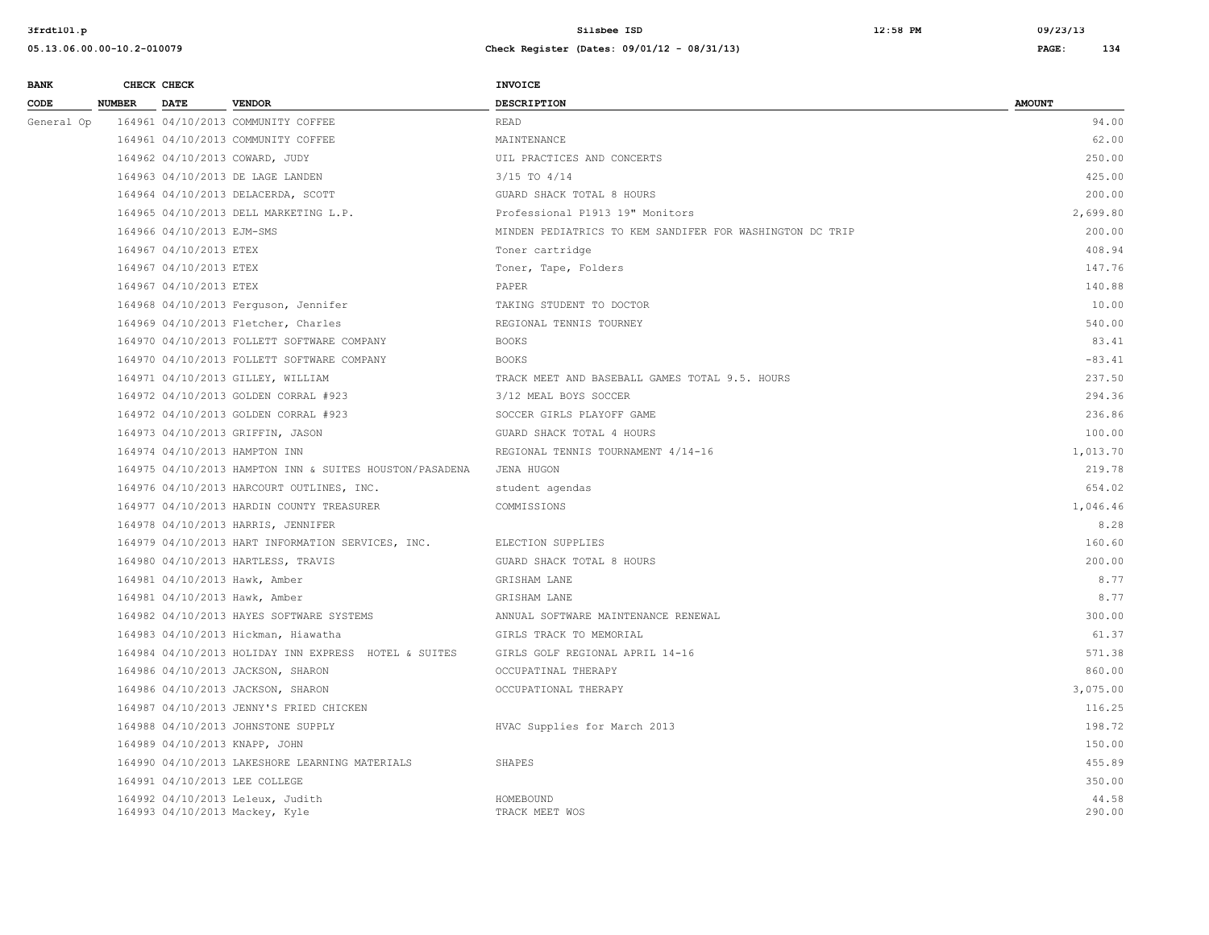| <b>BANK</b> |               | CHECK CHECK               |                                                                    | <b>INVOICE</b>                                           |                 |
|-------------|---------------|---------------------------|--------------------------------------------------------------------|----------------------------------------------------------|-----------------|
| <b>CODE</b> | <b>NUMBER</b> | <b>DATE</b>               | <b>VENDOR</b>                                                      | <b>DESCRIPTION</b>                                       | <b>AMOUNT</b>   |
| General Op  |               |                           | 164961 04/10/2013 COMMUNITY COFFEE                                 | <b>READ</b>                                              | 94.00           |
|             |               |                           | 164961 04/10/2013 COMMUNITY COFFEE                                 | MAINTENANCE                                              | 62.00           |
|             |               |                           | 164962 04/10/2013 COWARD, JUDY                                     | UIL PRACTICES AND CONCERTS                               | 250.00          |
|             |               |                           | 164963 04/10/2013 DE LAGE LANDEN                                   | $3/15$ TO $4/14$                                         | 425.00          |
|             |               |                           | 164964 04/10/2013 DELACERDA, SCOTT                                 | GUARD SHACK TOTAL 8 HOURS                                | 200.00          |
|             |               |                           | 164965 04/10/2013 DELL MARKETING L.P.                              | Professional P1913 19" Monitors                          | 2,699.80        |
|             |               | 164966 04/10/2013 EJM-SMS |                                                                    | MINDEN PEDIATRICS TO KEM SANDIFER FOR WASHINGTON DC TRIP | 200.00          |
|             |               | 164967 04/10/2013 ETEX    |                                                                    | Toner cartridge                                          | 408.94          |
|             |               | 164967 04/10/2013 ETEX    |                                                                    | Toner, Tape, Folders                                     | 147.76          |
|             |               | 164967 04/10/2013 ETEX    |                                                                    | PAPER                                                    | 140.88          |
|             |               |                           | 164968 04/10/2013 Ferguson, Jennifer                               | TAKING STUDENT TO DOCTOR                                 | 10.00           |
|             |               |                           | 164969 04/10/2013 Fletcher, Charles                                | REGIONAL TENNIS TOURNEY                                  | 540.00          |
|             |               |                           | 164970 04/10/2013 FOLLETT SOFTWARE COMPANY                         | <b>BOOKS</b>                                             | 83.41           |
|             |               |                           | 164970 04/10/2013 FOLLETT SOFTWARE COMPANY                         | <b>BOOKS</b>                                             | $-83.41$        |
|             |               |                           | 164971 04/10/2013 GILLEY, WILLIAM                                  | TRACK MEET AND BASEBALL GAMES TOTAL 9.5. HOURS           | 237.50          |
|             |               |                           | 164972 04/10/2013 GOLDEN CORRAL #923                               | 3/12 MEAL BOYS SOCCER                                    | 294.36          |
|             |               |                           | 164972 04/10/2013 GOLDEN CORRAL #923                               | SOCCER GIRLS PLAYOFF GAME                                | 236.86          |
|             |               |                           | 164973 04/10/2013 GRIFFIN, JASON                                   | GUARD SHACK TOTAL 4 HOURS                                | 100.00          |
|             |               |                           | 164974 04/10/2013 HAMPTON INN                                      | REGIONAL TENNIS TOURNAMENT 4/14-16                       | 1,013.70        |
|             |               |                           | 164975 04/10/2013 HAMPTON INN & SUITES HOUSTON/PASADENA            | JENA HUGON                                               | 219.78          |
|             |               |                           | 164976 04/10/2013 HARCOURT OUTLINES, INC.                          | student agendas                                          | 654.02          |
|             |               |                           | 164977 04/10/2013 HARDIN COUNTY TREASURER                          | COMMISSIONS                                              | 1,046.46        |
|             |               |                           | 164978 04/10/2013 HARRIS, JENNIFER                                 |                                                          | 8.28            |
|             |               |                           | 164979 04/10/2013 HART INFORMATION SERVICES, INC.                  | ELECTION SUPPLIES                                        | 160.60          |
|             |               |                           | 164980 04/10/2013 HARTLESS, TRAVIS                                 | GUARD SHACK TOTAL 8 HOURS                                | 200.00          |
|             |               |                           | 164981 04/10/2013 Hawk, Amber                                      | GRISHAM LANE                                             | 8.77            |
|             |               |                           | 164981 04/10/2013 Hawk, Amber                                      | GRISHAM LANE                                             | 8.77            |
|             |               |                           | 164982 04/10/2013 HAYES SOFTWARE SYSTEMS                           | ANNUAL SOFTWARE MAINTENANCE RENEWAL                      | 300.00          |
|             |               |                           | 164983 04/10/2013 Hickman, Hiawatha                                | GIRLS TRACK TO MEMORIAL                                  | 61.37           |
|             |               |                           | 164984 04/10/2013 HOLIDAY INN EXPRESS HOTEL & SUITES               | GIRLS GOLF REGIONAL APRIL 14-16                          | 571.38          |
|             |               |                           | 164986 04/10/2013 JACKSON, SHARON                                  | OCCUPATINAL THERAPY                                      | 860.00          |
|             |               |                           | 164986 04/10/2013 JACKSON, SHARON                                  | OCCUPATIONAL THERAPY                                     | 3,075.00        |
|             |               |                           | 164987 04/10/2013 JENNY'S FRIED CHICKEN                            |                                                          | 116.25          |
|             |               |                           | 164988 04/10/2013 JOHNSTONE SUPPLY                                 | HVAC Supplies for March 2013                             | 198.72          |
|             |               |                           | 164989 04/10/2013 KNAPP, JOHN                                      |                                                          | 150.00          |
|             |               |                           | 164990 04/10/2013 LAKESHORE LEARNING MATERIALS                     | <b>SHAPES</b>                                            | 455.89          |
|             |               |                           | 164991 04/10/2013 LEE COLLEGE                                      |                                                          | 350.00          |
|             |               |                           | 164992 04/10/2013 Leleux, Judith<br>164993 04/10/2013 Mackey, Kyle | HOMEBOUND<br>TRACK MEET WOS                              | 44.58<br>290.00 |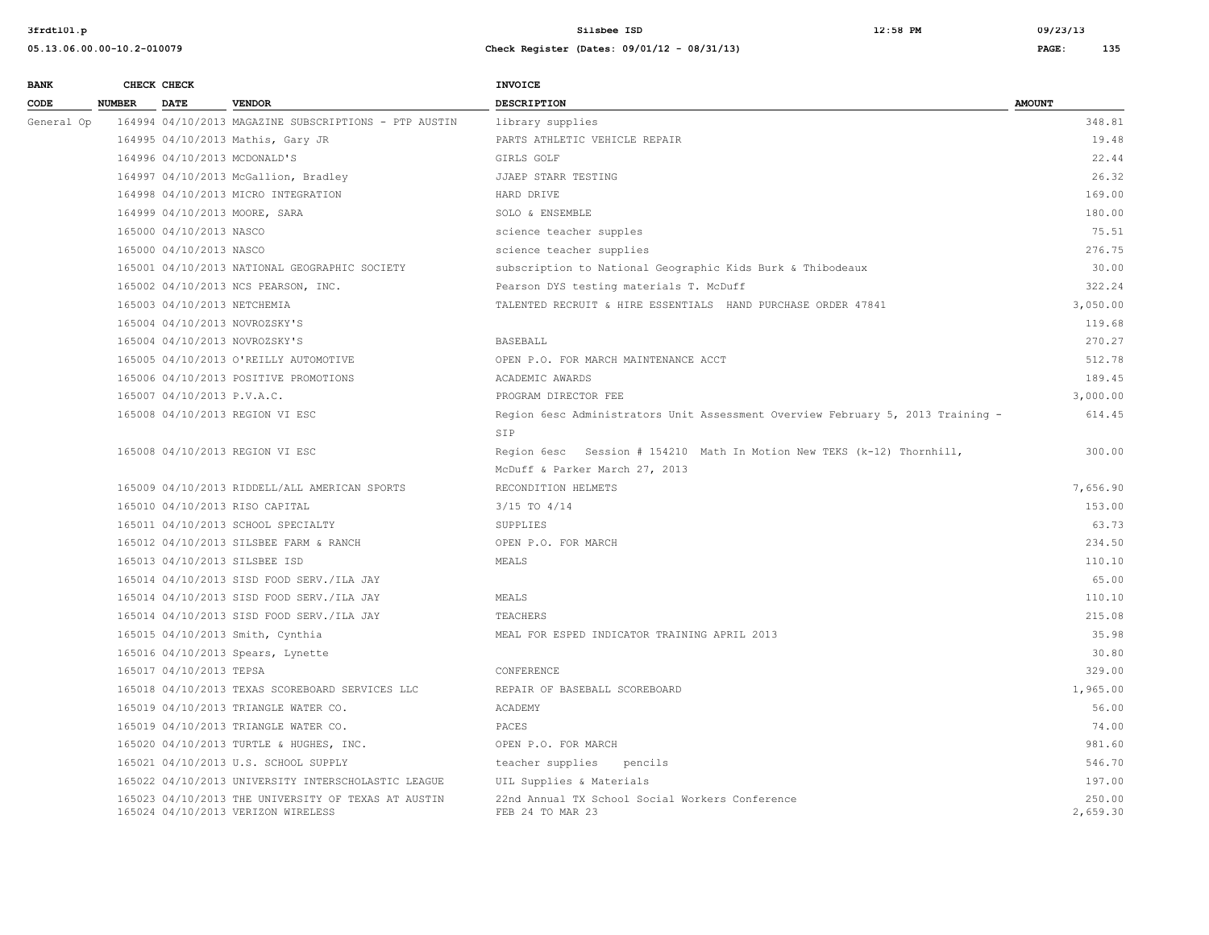| 3frdt101.p                 |               |                                               |                                                       | Silsbee ISD<br>12:58 PM                                      | 09/23/13      |
|----------------------------|---------------|-----------------------------------------------|-------------------------------------------------------|--------------------------------------------------------------|---------------|
| 05.13.06.00.00-10.2-010079 |               |                                               | Check Register (Dates: 09/01/12 - 08/31/13)           | 135<br>PAGE:                                                 |               |
| <b>BANK</b>                |               | CHECK CHECK                                   |                                                       | <b>INVOICE</b>                                               |               |
| CODE                       | <b>NUMBER</b> | <b>DATE</b>                                   | <b>VENDOR</b>                                         | <b>DESCRIPTION</b>                                           | <b>AMOUNT</b> |
| General Op                 |               |                                               | 164994 04/10/2013 MAGAZINE SUBSCRIPTIONS - PTP AUSTIN | library supplies                                             | 348.81        |
|                            |               |                                               | 164995 04/10/2013 Mathis, Gary JR                     | PARTS ATHLETIC VEHICLE REPAIR                                | 19.48         |
|                            |               |                                               | 164996 04/10/2013 MCDONALD'S                          | GIRLS GOLF                                                   | 22.44         |
|                            |               |                                               | 164997 04/10/2013 McGallion, Bradley                  | JJAEP STARR TESTING                                          | 26.32         |
|                            |               |                                               | 164998 04/10/2013 MICRO INTEGRATION                   | HARD DRIVE                                                   | 169.00        |
|                            |               |                                               | 164999 04/10/2013 MOORE, SARA                         | SOLO & ENSEMBLE                                              | 180.00        |
|                            |               | 165000 04/10/2013 NASCO                       |                                                       | science teacher supples                                      | 75.51         |
|                            |               | 165000 04/10/2013 NASCO                       |                                                       | science teacher supplies                                     | 276.75        |
|                            |               |                                               | 165001 04/10/2013 NATIONAL GEOGRAPHIC SOCIETY         | subscription to National Geographic Kids Burk & Thibodeaux   | 30.00         |
|                            |               |                                               | 165002 04/10/2013 NCS PEARSON, INC.                   | Pearson DYS testing materials T. McDuff                      | 322.24        |
|                            |               | 165003 04/10/2013 NETCHEMIA                   |                                                       | TALENTED RECRUIT & HIRE ESSENTIALS HAND PURCHASE ORDER 47841 | 3,050.00      |
|                            |               |                                               | 165004 04/10/2013 NOVROZSKY'S                         |                                                              | 119.68        |
|                            |               |                                               | 165004 04/10/2013 NOVROZSKY'S                         | <b>BASEBALL</b>                                              | 270.27        |
|                            |               | 그 사람들은 아이들의 사람들은 아이들의 사람들은 아이들의 사람들을 지르는 것이다. |                                                       |                                                              |               |

|                                                                                           | MCDUIL & FALACL MALCH $\angle$ // $\angle$ 010                      |                    |
|-------------------------------------------------------------------------------------------|---------------------------------------------------------------------|--------------------|
| 165009 04/10/2013 RIDDELL/ALL AMERICAN SPORTS                                             | RECONDITION HELMETS                                                 | 7,656.90           |
| 165010 04/10/2013 RISO CAPITAL                                                            | $3/15$ TO $4/14$                                                    | 153.00             |
| 165011 04/10/2013 SCHOOL SPECIALTY                                                        | SUPPLIES                                                            | 63.73              |
| 165012 04/10/2013 SILSBEE FARM & RANCH                                                    | OPEN P.O. FOR MARCH                                                 | 234.50             |
| 165013 04/10/2013 SILSBEE ISD                                                             | MEALS                                                               | 110.10             |
| 165014 04/10/2013 SISD FOOD SERV./ILA JAY                                                 |                                                                     | 65.00              |
| 165014 04/10/2013 SISD FOOD SERV./ILA JAY                                                 | MEALS                                                               | 110.10             |
| 165014 04/10/2013 SISD FOOD SERV./ILA JAY                                                 | TEACHERS                                                            | 215.08             |
| 165015 04/10/2013 Smith, Cynthia                                                          | MEAL FOR ESPED INDICATOR TRAINING APRIL 2013                        | 35.98              |
| 165016 04/10/2013 Spears, Lynette                                                         |                                                                     | 30.80              |
| 165017 04/10/2013 TEPSA                                                                   | CONFERENCE                                                          | 329.00             |
| 165018 04/10/2013 TEXAS SCOREBOARD SERVICES LLC                                           | REPAIR OF BASEBALL SCOREBOARD                                       | 1,965.00           |
| 165019 04/10/2013 TRIANGLE WATER CO.                                                      | ACADEMY                                                             | 56.00              |
| 165019 04/10/2013 TRIANGLE WATER CO.                                                      | PACES                                                               | 74.00              |
| 165020 04/10/2013 TURTLE & HUGHES, INC.                                                   | OPEN P.O. FOR MARCH                                                 | 981.60             |
| 165021 04/10/2013 U.S. SCHOOL SUPPLY                                                      | teacher supplies pencils                                            | 546.70             |
| 165022 04/10/2013 UNIVERSITY INTERSCHOLASTIC LEAGUE                                       | UIL Supplies & Materials                                            | 197.00             |
| 165023 04/10/2013 THE UNIVERSITY OF TEXAS AT AUSTIN<br>165024 04/10/2013 VERIZON WIRELESS | 22nd Annual TX School Social Workers Conference<br>FEB 24 TO MAR 23 | 250.00<br>2,659.30 |
|                                                                                           |                                                                     |                    |

| 165004 04/10/2013 NOVROZSKY'S                       |                                                                                 | 119.68   |
|-----------------------------------------------------|---------------------------------------------------------------------------------|----------|
| 165004 04/10/2013 NOVROZSKY'S                       | BASEBALL                                                                        | 270.27   |
| 165005 04/10/2013 O'REILLY AUTOMOTIVE               | OPEN P.O. FOR MARCH MAINTENANCE ACCT                                            | 512.78   |
| 165006 04/10/2013 POSITIVE PROMOTIONS               | ACADEMIC AWARDS                                                                 | 189.45   |
| 165007 04/10/2013 P.V.A.C.                          | PROGRAM DIRECTOR FEE                                                            | 3,000.00 |
| 165008 04/10/2013 REGION VI ESC                     | Region 6esc Administrators Unit Assessment Overview February 5, 2013 Training - | 614.45   |
|                                                     | SIP                                                                             |          |
| 165008 04/10/2013 REGION VI ESC                     | Region 6esc Session # 154210 Math In Motion New TEKS (k-12) Thornhill,          | 300.00   |
|                                                     | McDuff & Parker March 27, 2013                                                  |          |
| 165009 04/10/2013 RIDDELL/ALL AMERICAN SPORTS       | RECONDITION HELMETS                                                             | 7,656.90 |
| 165010 04/10/2013 RISO CAPITAL                      | $3/15$ TO $4/14$                                                                | 153.00   |
| 165011 04/10/2013 SCHOOL SPECIALTY                  | SUPPLIES                                                                        | 63.73    |
| 165012 04/10/2013 SILSBEE FARM & RANCH              | OPEN P.O. FOR MARCH                                                             | 234.50   |
| 165013 04/10/2013 SILSBEE ISD                       | MEALS                                                                           | 110.10   |
| 165014 04/10/2013 SISD FOOD SERV./ILA JAY           |                                                                                 | 65.00    |
| 165014 04/10/2013 SISD FOOD SERV./ILA JAY           | MEALS                                                                           | 110.10   |
| 165014 04/10/2013 SISD FOOD SERV./ILA JAY           | TEACHERS                                                                        | 215.08   |
| 165015 04/10/2013 Smith, Cynthia                    | MEAL FOR ESPED INDICATOR TRAINING APRIL 2013                                    | 35.98    |
| 165016 04/10/2013 Spears, Lynette                   |                                                                                 | 30.80    |
| 165017 04/10/2013 TEPSA                             | CONFERENCE                                                                      | 329.00   |
| 165018 04/10/2013 TEXAS SCOREBOARD SERVICES LLC     | REPAIR OF BASEBALL SCOREBOARD                                                   | 1,965.00 |
| 165019 04/10/2013 TRIANGLE WATER CO.                | ACADEMY                                                                         | 56.00    |
| 165019 04/10/2013 TRIANGLE WATER CO.                | PACES                                                                           | 74.00    |
| 165020 04/10/2013 TURTLE & HUGHES, INC.             | OPEN P.O. FOR MARCH                                                             | 981.60   |
| 165021 04/10/2013 U.S. SCHOOL SUPPLY                | teacher supplies<br>pencils                                                     | 546.70   |
| 165022 04/10/2013 UNIVERSITY INTERSCHOLASTIC LEAGUE | UIL Supplies & Materials                                                        | 197.00   |
| 165023 04/10/2013 THE UNIVERSITY OF TEXAS AT AUSTIN | 22nd Annual TX School Social Workers Conference                                 | 250.00   |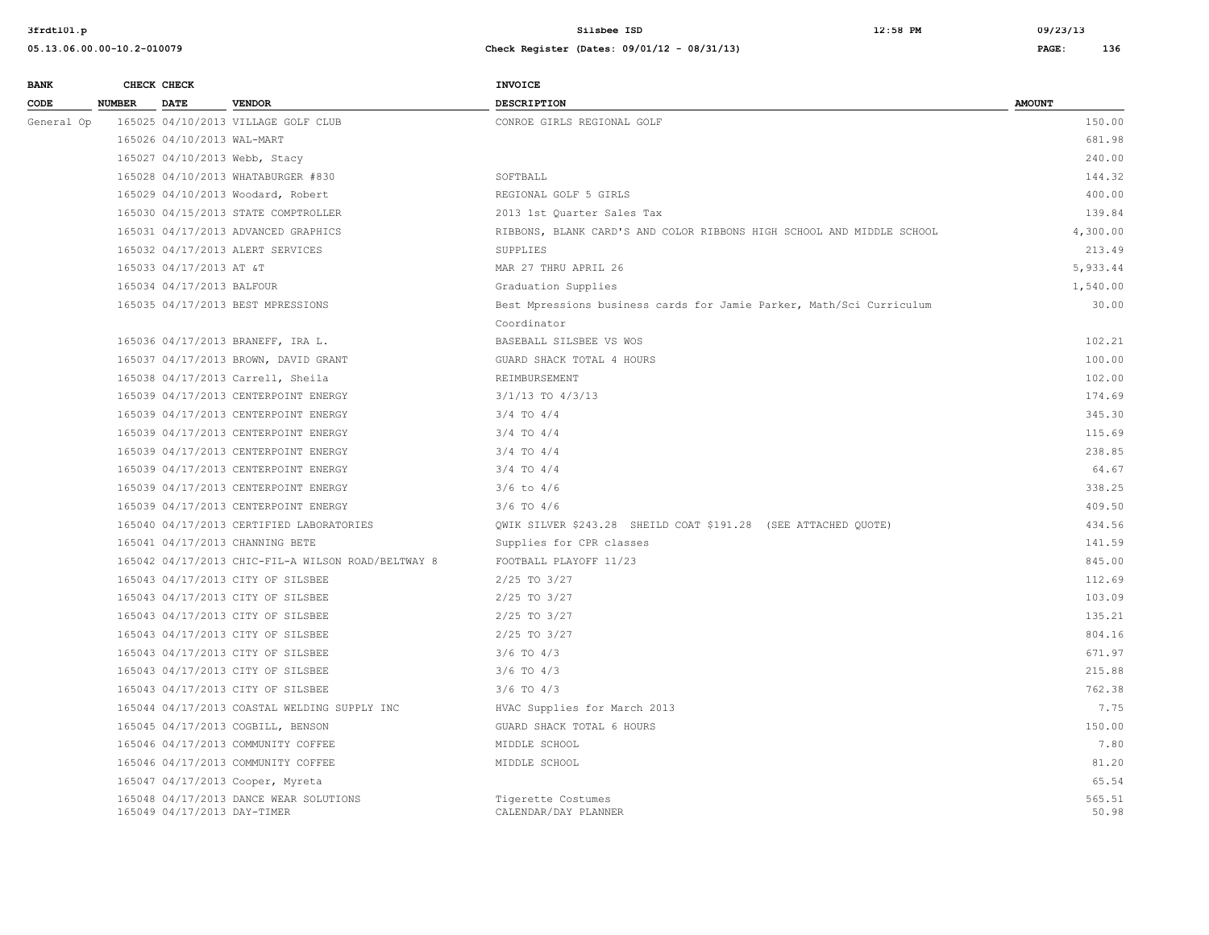| <b>BANK</b> |               | CHECK CHECK                 |                                                    | <b>INVOICE</b>                                                        |                 |
|-------------|---------------|-----------------------------|----------------------------------------------------|-----------------------------------------------------------------------|-----------------|
| CODE        | <b>NUMBER</b> | <b>DATE</b>                 | <b>VENDOR</b>                                      | <b>DESCRIPTION</b>                                                    | <b>AMOUNT</b>   |
| General Op  |               |                             | 165025 04/10/2013 VILLAGE GOLF CLUB                | CONROE GIRLS REGIONAL GOLF                                            | 150.00          |
|             |               | 165026 04/10/2013 WAL-MART  |                                                    |                                                                       | 681.98          |
|             |               |                             | 165027 04/10/2013 Webb, Stacy                      |                                                                       | 240.00          |
|             |               |                             | 165028 04/10/2013 WHATABURGER #830                 | SOFTBALL                                                              | 144.32          |
|             |               |                             | 165029 04/10/2013 Woodard, Robert                  | REGIONAL GOLF 5 GIRLS                                                 | 400.00          |
|             |               |                             | 165030 04/15/2013 STATE COMPTROLLER                | 2013 1st Quarter Sales Tax                                            | 139.84          |
|             |               |                             | 165031 04/17/2013 ADVANCED GRAPHICS                | RIBBONS, BLANK CARD'S AND COLOR RIBBONS HIGH SCHOOL AND MIDDLE SCHOOL | 4,300.00        |
|             |               |                             | 165032 04/17/2013 ALERT SERVICES                   | SUPPLIES                                                              | 213.49          |
|             |               | 165033 04/17/2013 AT &T     |                                                    | MAR 27 THRU APRIL 26                                                  | 5,933.44        |
|             |               | 165034 04/17/2013 BALFOUR   |                                                    | Graduation Supplies                                                   | 1,540.00        |
|             |               |                             | 165035 04/17/2013 BEST MPRESSIONS                  | Best Mpressions business cards for Jamie Parker, Math/Sci Curriculum  | 30.00           |
|             |               |                             |                                                    | Coordinator                                                           |                 |
|             |               |                             | 165036 04/17/2013 BRANEFF, IRA L.                  | BASEBALL SILSBEE VS WOS                                               | 102.21          |
|             |               |                             | 165037 04/17/2013 BROWN, DAVID GRANT               | GUARD SHACK TOTAL 4 HOURS                                             | 100.00          |
|             |               |                             | 165038 04/17/2013 Carrell, Sheila                  | REIMBURSEMENT                                                         | 102.00          |
|             |               |                             | 165039 04/17/2013 CENTERPOINT ENERGY               | $3/1/13$ TO $4/3/13$                                                  | 174.69          |
|             |               |                             | 165039 04/17/2013 CENTERPOINT ENERGY               | $3/4$ TO $4/4$                                                        | 345.30          |
|             |               |                             | 165039 04/17/2013 CENTERPOINT ENERGY               | $3/4$ TO $4/4$                                                        | 115.69          |
|             |               |                             | 165039 04/17/2013 CENTERPOINT ENERGY               | $3/4$ TO $4/4$                                                        | 238.85          |
|             |               |                             | 165039 04/17/2013 CENTERPOINT ENERGY               | $3/4$ TO $4/4$                                                        | 64.67           |
|             |               |                             | 165039 04/17/2013 CENTERPOINT ENERGY               | $3/6$ to $4/6$                                                        | 338.25          |
|             |               |                             | 165039 04/17/2013 CENTERPOINT ENERGY               | $3/6$ TO $4/6$                                                        | 409.50          |
|             |               |                             | 165040 04/17/2013 CERTIFIED LABORATORIES           | QWIK SILVER \$243.28 SHEILD COAT \$191.28 (SEE ATTACHED QUOTE)        | 434.56          |
|             |               |                             | 165041 04/17/2013 CHANNING BETE                    | Supplies for CPR classes                                              | 141.59          |
|             |               |                             | 165042 04/17/2013 CHIC-FIL-A WILSON ROAD/BELTWAY 8 | FOOTBALL PLAYOFF 11/23                                                | 845.00          |
|             |               |                             | 165043 04/17/2013 CITY OF SILSBEE                  | $2/25$ TO $3/27$                                                      | 112.69          |
|             |               |                             | 165043 04/17/2013 CITY OF SILSBEE                  | $2/25$ TO $3/27$                                                      | 103.09          |
|             |               |                             | 165043 04/17/2013 CITY OF SILSBEE                  | $2/25$ TO $3/27$                                                      | 135.21          |
|             |               |                             | 165043 04/17/2013 CITY OF SILSBEE                  | $2/25$ TO $3/27$                                                      | 804.16          |
|             |               |                             | 165043 04/17/2013 CITY OF SILSBEE                  | $3/6$ TO $4/3$                                                        | 671.97          |
|             |               |                             | 165043 04/17/2013 CITY OF SILSBEE                  | $3/6$ TO $4/3$                                                        | 215.88          |
|             |               |                             | 165043 04/17/2013 CITY OF SILSBEE                  | $3/6$ TO $4/3$                                                        | 762.38          |
|             |               |                             | 165044 04/17/2013 COASTAL WELDING SUPPLY INC       | HVAC Supplies for March 2013                                          | 7.75            |
|             |               |                             | 165045 04/17/2013 COGBILL, BENSON                  | GUARD SHACK TOTAL 6 HOURS                                             | 150.00          |
|             |               |                             | 165046 04/17/2013 COMMUNITY COFFEE                 | MIDDLE SCHOOL                                                         | 7.80            |
|             |               |                             | 165046 04/17/2013 COMMUNITY COFFEE                 | MIDDLE SCHOOL                                                         | 81.20           |
|             |               |                             | 165047 04/17/2013 Cooper, Myreta                   |                                                                       | 65.54           |
|             |               | 165049 04/17/2013 DAY-TIMER | 165048 04/17/2013 DANCE WEAR SOLUTIONS             | Tigerette Costumes<br>CALENDAR/DAY PLANNER                            | 565.51<br>50.98 |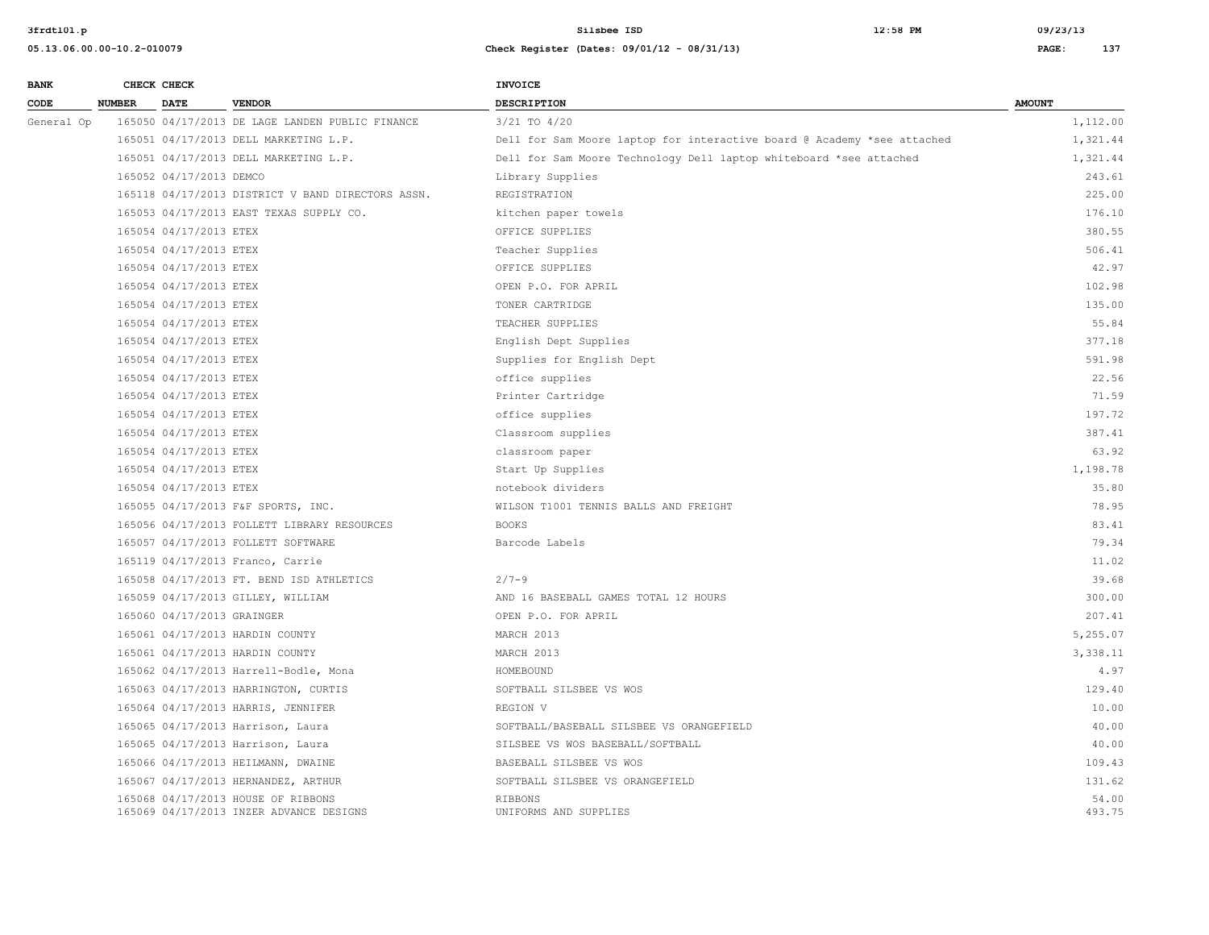| <b>BANK</b> |               | CHECK CHECK                |                                                                               | INVOICE                                                                 |                 |
|-------------|---------------|----------------------------|-------------------------------------------------------------------------------|-------------------------------------------------------------------------|-----------------|
| CODE        | <b>NUMBER</b> | <b>DATE</b>                | <b>VENDOR</b>                                                                 | <b>DESCRIPTION</b>                                                      | <b>AMOUNT</b>   |
| General Op  |               |                            | 165050 04/17/2013 DE LAGE LANDEN PUBLIC FINANCE                               | $3/21$ TO $4/20$                                                        | 1,112.00        |
|             |               |                            | 165051 04/17/2013 DELL MARKETING L.P.                                         | Dell for Sam Moore laptop for interactive board @ Academy *see attached | 1,321.44        |
|             |               |                            | 165051 04/17/2013 DELL MARKETING L.P.                                         | Dell for Sam Moore Technology Dell laptop whiteboard *see attached      | 1,321.44        |
|             |               | 165052 04/17/2013 DEMCO    |                                                                               | Library Supplies                                                        | 243.61          |
|             |               |                            | 165118 04/17/2013 DISTRICT V BAND DIRECTORS ASSN.                             | REGISTRATION                                                            | 225.00          |
|             |               |                            | 165053 04/17/2013 EAST TEXAS SUPPLY CO.                                       | kitchen paper towels                                                    | 176.10          |
|             |               | 165054 04/17/2013 ETEX     |                                                                               | OFFICE SUPPLIES                                                         | 380.55          |
|             |               | 165054 04/17/2013 ETEX     |                                                                               | Teacher Supplies                                                        | 506.41          |
|             |               | 165054 04/17/2013 ETEX     |                                                                               | OFFICE SUPPLIES                                                         | 42.97           |
|             |               | 165054 04/17/2013 ETEX     |                                                                               | OPEN P.O. FOR APRIL                                                     | 102.98          |
|             |               | 165054 04/17/2013 ETEX     |                                                                               | TONER CARTRIDGE                                                         | 135.00          |
|             |               | 165054 04/17/2013 ETEX     |                                                                               | TEACHER SUPPLIES                                                        | 55.84           |
|             |               | 165054 04/17/2013 ETEX     |                                                                               | English Dept Supplies                                                   | 377.18          |
|             |               | 165054 04/17/2013 ETEX     |                                                                               | Supplies for English Dept                                               | 591.98          |
|             |               | 165054 04/17/2013 ETEX     |                                                                               | office supplies                                                         | 22.56           |
|             |               | 165054 04/17/2013 ETEX     |                                                                               | Printer Cartridge                                                       | 71.59           |
|             |               | 165054 04/17/2013 ETEX     |                                                                               | office supplies                                                         | 197.72          |
|             |               | 165054 04/17/2013 ETEX     |                                                                               | Classroom supplies                                                      | 387.41          |
|             |               | 165054 04/17/2013 ETEX     |                                                                               | classroom paper                                                         | 63.92           |
|             |               | 165054 04/17/2013 ETEX     |                                                                               | Start Up Supplies                                                       | 1,198.78        |
|             |               | 165054 04/17/2013 ETEX     |                                                                               | notebook dividers                                                       | 35.80           |
|             |               |                            | 165055 04/17/2013 F&F SPORTS, INC.                                            | WILSON T1001 TENNIS BALLS AND FREIGHT                                   | 78.95           |
|             |               |                            | 165056 04/17/2013 FOLLETT LIBRARY RESOURCES                                   | <b>BOOKS</b>                                                            | 83.41           |
|             |               |                            | 165057 04/17/2013 FOLLETT SOFTWARE                                            | Barcode Labels                                                          | 79.34           |
|             |               |                            | 165119 04/17/2013 Franco, Carrie                                              |                                                                         | 11.02           |
|             |               |                            | 165058 04/17/2013 FT. BEND ISD ATHLETICS                                      | $2/7 - 9$                                                               | 39.68           |
|             |               |                            | 165059 04/17/2013 GILLEY, WILLIAM                                             | AND 16 BASEBALL GAMES TOTAL 12 HOURS                                    | 300.00          |
|             |               | 165060 04/17/2013 GRAINGER |                                                                               | OPEN P.O. FOR APRIL                                                     | 207.41          |
|             |               |                            | 165061 04/17/2013 HARDIN COUNTY                                               | MARCH 2013                                                              | 5,255.07        |
|             |               |                            | 165061 04/17/2013 HARDIN COUNTY                                               | MARCH 2013                                                              | 3,338.11        |
|             |               |                            | 165062 04/17/2013 Harrell-Bodle, Mona                                         | HOMEBOUND                                                               | 4.97            |
|             |               |                            | 165063 04/17/2013 HARRINGTON, CURTIS                                          | SOFTBALL SILSBEE VS WOS                                                 | 129.40          |
|             |               |                            | 165064 04/17/2013 HARRIS, JENNIFER                                            | REGION V                                                                | 10.00           |
|             |               |                            | 165065 04/17/2013 Harrison, Laura                                             | SOFTBALL/BASEBALL SILSBEE VS ORANGEFIELD                                | 40.00           |
|             |               |                            | 165065 04/17/2013 Harrison, Laura                                             | SILSBEE VS WOS BASEBALL/SOFTBALL                                        | 40.00           |
|             |               |                            | 165066 04/17/2013 HEILMANN, DWAINE                                            | BASEBALL SILSBEE VS WOS                                                 | 109.43          |
|             |               |                            | 165067 04/17/2013 HERNANDEZ, ARTHUR                                           | SOFTBALL SILSBEE VS ORANGEFIELD                                         | 131.62          |
|             |               |                            | 165068 04/17/2013 HOUSE OF RIBBONS<br>165069 04/17/2013 INZER ADVANCE DESIGNS | <b>RIBBONS</b><br>UNIFORMS AND SUPPLIES                                 | 54.00<br>493.75 |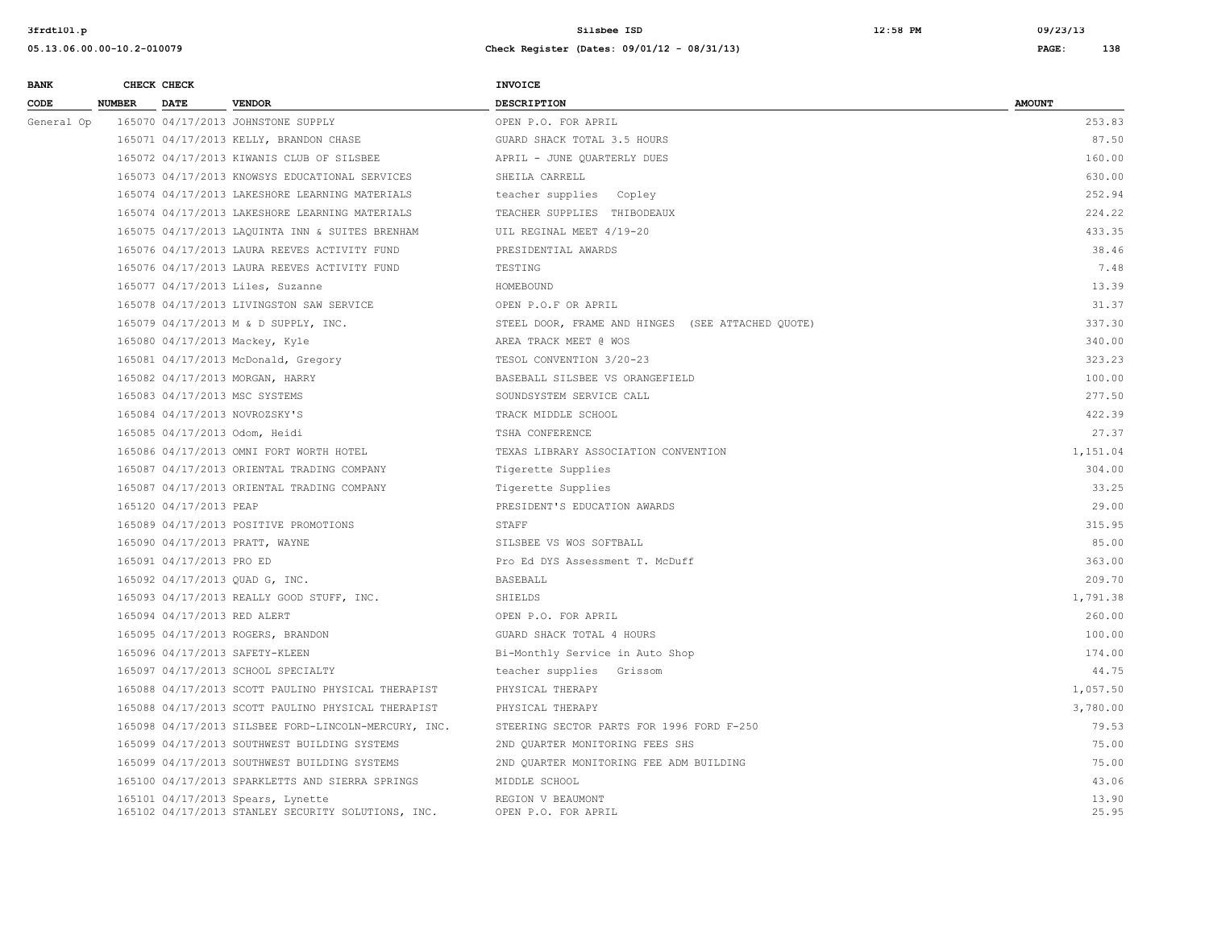| <b>BANK</b> |               | CHECK CHECK                 |                                                                                         | INVOICE                                           |                |
|-------------|---------------|-----------------------------|-----------------------------------------------------------------------------------------|---------------------------------------------------|----------------|
| CODE        | <b>NUMBER</b> | <b>DATE</b>                 | <b>VENDOR</b>                                                                           | <b>DESCRIPTION</b>                                | <b>AMOUNT</b>  |
| General Op  |               |                             | 165070 04/17/2013 JOHNSTONE SUPPLY                                                      | OPEN P.O. FOR APRIL                               | 253.83         |
|             |               |                             | 165071 04/17/2013 KELLY, BRANDON CHASE                                                  | GUARD SHACK TOTAL 3.5 HOURS                       | 87.50          |
|             |               |                             | 165072 04/17/2013 KIWANIS CLUB OF SILSBEE                                               | APRIL - JUNE QUARTERLY DUES                       | 160.00         |
|             |               |                             | 165073 04/17/2013 KNOWSYS EDUCATIONAL SERVICES                                          | SHEILA CARRELL                                    | 630.00         |
|             |               |                             | 165074 04/17/2013 LAKESHORE LEARNING MATERIALS                                          | teacher supplies Copley                           | 252.94         |
|             |               |                             | 165074 04/17/2013 LAKESHORE LEARNING MATERIALS                                          | TEACHER SUPPLIES THIBODEAUX                       | 224.22         |
|             |               |                             | 165075 04/17/2013 LAQUINTA INN & SUITES BRENHAM                                         | UIL REGINAL MEET 4/19-20                          | 433.35         |
|             |               |                             | 165076 04/17/2013 LAURA REEVES ACTIVITY FUND                                            | PRESIDENTIAL AWARDS                               | 38.46          |
|             |               |                             | 165076 04/17/2013 LAURA REEVES ACTIVITY FUND                                            | TESTING                                           | 7.48           |
|             |               |                             | 165077 04/17/2013 Liles, Suzanne                                                        | HOMEBOUND                                         | 13.39          |
|             |               |                             | 165078 04/17/2013 LIVINGSTON SAW SERVICE                                                | OPEN P.O.F OR APRIL                               | 31.37          |
|             |               |                             | 165079 04/17/2013 M & D SUPPLY, INC.                                                    | STEEL DOOR, FRAME AND HINGES (SEE ATTACHED QUOTE) | 337.30         |
|             |               |                             | 165080 04/17/2013 Mackey, Kyle                                                          | AREA TRACK MEET @ WOS                             | 340.00         |
|             |               |                             | 165081 04/17/2013 McDonald, Gregory                                                     | TESOL CONVENTION 3/20-23                          | 323.23         |
|             |               |                             | 165082 04/17/2013 MORGAN, HARRY                                                         | BASEBALL SILSBEE VS ORANGEFIELD                   | 100.00         |
|             |               |                             | 165083 04/17/2013 MSC SYSTEMS                                                           | SOUNDSYSTEM SERVICE CALL                          | 277.50         |
|             |               |                             | 165084 04/17/2013 NOVROZSKY'S                                                           | TRACK MIDDLE SCHOOL                               | 422.39         |
|             |               |                             | 165085 04/17/2013 Odom, Heidi                                                           | TSHA CONFERENCE                                   | 27.37          |
|             |               |                             | 165086 04/17/2013 OMNI FORT WORTH HOTEL                                                 | TEXAS LIBRARY ASSOCIATION CONVENTION              | 1,151.04       |
|             |               |                             | 165087 04/17/2013 ORIENTAL TRADING COMPANY                                              | Tigerette Supplies                                | 304.00         |
|             |               |                             | 165087 04/17/2013 ORIENTAL TRADING COMPANY                                              | Tigerette Supplies                                | 33.25          |
|             |               | 165120 04/17/2013 PEAP      |                                                                                         | PRESIDENT'S EDUCATION AWARDS                      | 29.00          |
|             |               |                             | 165089 04/17/2013 POSITIVE PROMOTIONS                                                   | STAFF                                             | 315.95         |
|             |               |                             | 165090 04/17/2013 PRATT, WAYNE                                                          | SILSBEE VS WOS SOFTBALL                           | 85.00          |
|             |               | 165091 04/17/2013 PRO ED    |                                                                                         | Pro Ed DYS Assessment T. McDuff                   | 363.00         |
|             |               |                             | 165092 04/17/2013 QUAD G, INC.                                                          | <b>BASEBALL</b>                                   | 209.70         |
|             |               |                             | 165093 04/17/2013 REALLY GOOD STUFF, INC.                                               | SHIELDS                                           | 1,791.38       |
|             |               | 165094 04/17/2013 RED ALERT |                                                                                         | OPEN P.O. FOR APRIL                               | 260.00         |
|             |               |                             | 165095 04/17/2013 ROGERS, BRANDON                                                       | GUARD SHACK TOTAL 4 HOURS                         | 100.00         |
|             |               |                             | 165096 04/17/2013 SAFETY-KLEEN                                                          | Bi-Monthly Service in Auto Shop                   | 174.00         |
|             |               |                             | 165097 04/17/2013 SCHOOL SPECIALTY                                                      | teacher supplies Grissom                          | 44.75          |
|             |               |                             | 165088 04/17/2013 SCOTT PAULINO PHYSICAL THERAPIST                                      | PHYSICAL THERAPY                                  | 1,057.50       |
|             |               |                             | 165088 04/17/2013 SCOTT PAULINO PHYSICAL THERAPIST                                      | PHYSICAL THERAPY                                  | 3,780.00       |
|             |               |                             | 165098 04/17/2013 SILSBEE FORD-LINCOLN-MERCURY, INC.                                    | STEERING SECTOR PARTS FOR 1996 FORD F-250         | 79.53          |
|             |               |                             | 165099 04/17/2013 SOUTHWEST BUILDING SYSTEMS                                            | 2ND QUARTER MONITORING FEES SHS                   | 75.00          |
|             |               |                             | 165099 04/17/2013 SOUTHWEST BUILDING SYSTEMS                                            | 2ND QUARTER MONITORING FEE ADM BUILDING           | 75.00          |
|             |               |                             | 165100 04/17/2013 SPARKLETTS AND SIERRA SPRINGS                                         | MIDDLE SCHOOL                                     | 43.06          |
|             |               |                             | 165101 04/17/2013 Spears, Lynette<br>165102 04/17/2013 STANLEY SECURITY SOLUTIONS, INC. | REGION V BEAUMONT<br>OPEN P.O. FOR APRIL          | 13.90<br>25.95 |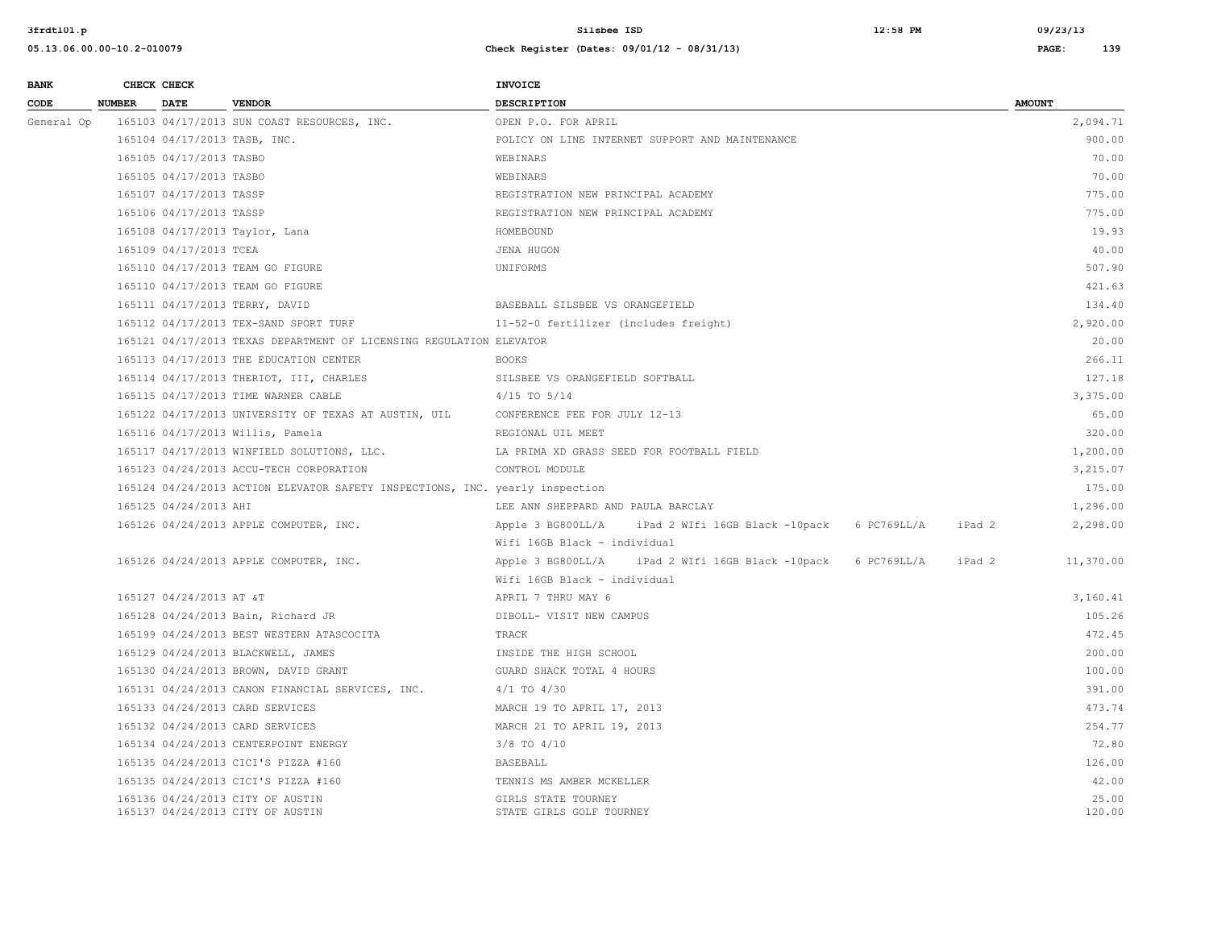| <b>BANK</b> |               | CHECK CHECK                  |                                                                              | <b>INVOICE</b>                                                            |                 |
|-------------|---------------|------------------------------|------------------------------------------------------------------------------|---------------------------------------------------------------------------|-----------------|
| CODE        | <b>NUMBER</b> | <b>DATE</b>                  | <b>VENDOR</b>                                                                | <b>DESCRIPTION</b>                                                        | <b>AMOUNT</b>   |
| General Op  |               |                              | 165103 04/17/2013 SUN COAST RESOURCES, INC.                                  | OPEN P.O. FOR APRIL                                                       | 2,094.71        |
|             |               | 165104 04/17/2013 TASB, INC. |                                                                              | POLICY ON LINE INTERNET SUPPORT AND MAINTENANCE                           | 900.00          |
|             |               | 165105 04/17/2013 TASBO      |                                                                              | WEBINARS                                                                  | 70.00           |
|             |               | 165105 04/17/2013 TASBO      |                                                                              | WEBINARS                                                                  | 70.00           |
|             |               | 165107 04/17/2013 TASSP      |                                                                              | REGISTRATION NEW PRINCIPAL ACADEMY                                        | 775.00          |
|             |               | 165106 04/17/2013 TASSP      |                                                                              | REGISTRATION NEW PRINCIPAL ACADEMY                                        | 775.00          |
|             |               |                              | 165108 04/17/2013 Taylor, Lana                                               | HOMEBOUND                                                                 | 19.93           |
|             |               | 165109 04/17/2013 TCEA       |                                                                              | JENA HUGON                                                                | 40.00           |
|             |               |                              | 165110 04/17/2013 TEAM GO FIGURE                                             | UNIFORMS                                                                  | 507.90          |
|             |               |                              | 165110 04/17/2013 TEAM GO FIGURE                                             |                                                                           | 421.63          |
|             |               |                              | 165111 04/17/2013 TERRY, DAVID                                               | BASEBALL SILSBEE VS ORANGEFIELD                                           | 134.40          |
|             |               |                              | 165112 04/17/2013 TEX-SAND SPORT TURF                                        | 11-52-0 fertilizer (includes freight)                                     | 2,920.00        |
|             |               |                              | 165121 04/17/2013 TEXAS DEPARTMENT OF LICENSING REGULATION ELEVATOR          |                                                                           | 20.00           |
|             |               |                              | 165113 04/17/2013 THE EDUCATION CENTER                                       | <b>BOOKS</b>                                                              | 266.11          |
|             |               |                              | 165114 04/17/2013 THERIOT, III, CHARLES                                      | SILSBEE VS ORANGEFIELD SOFTBALL                                           | 127.18          |
|             |               |                              | 165115 04/17/2013 TIME WARNER CABLE                                          | $4/15$ TO $5/14$                                                          | 3,375.00        |
|             |               |                              | 165122 04/17/2013 UNIVERSITY OF TEXAS AT AUSTIN, UIL                         | CONFERENCE FEE FOR JULY 12-13                                             | 65.00           |
|             |               |                              | 165116 04/17/2013 Willis, Pamela                                             | REGIONAL UIL MEET                                                         | 320.00          |
|             |               |                              | 165117 04/17/2013 WINFIELD SOLUTIONS, LLC.                                   | LA PRIMA XD GRASS SEED FOR FOOTBALL FIELD                                 | 1,200.00        |
|             |               |                              | 165123 04/24/2013 ACCU-TECH CORPORATION                                      | CONTROL MODULE                                                            | 3,215.07        |
|             |               |                              | 165124 04/24/2013 ACTION ELEVATOR SAFETY INSPECTIONS, INC. yearly inspection |                                                                           | 175.00          |
|             |               | 165125 04/24/2013 AHI        |                                                                              | LEE ANN SHEPPARD AND PAULA BARCLAY                                        | 1,296.00        |
|             |               |                              | 165126 04/24/2013 APPLE COMPUTER, INC.                                       | Apple 3 BG800LL/A<br>iPad 2 WIfi 16GB Black -10pack 6 PC769LL/A<br>iPad 2 | 2,298.00        |
|             |               |                              |                                                                              | Wifi 16GB Black - individual                                              |                 |
|             |               |                              | 165126 04/24/2013 APPLE COMPUTER, INC.                                       | Apple 3 BG800LL/A iPad 2 WIfi 16GB Black -10pack 6 PC769LL/A<br>iPad 2    | 11,370.00       |
|             |               |                              |                                                                              | Wifi 16GB Black - individual                                              |                 |
|             |               | 165127 04/24/2013 AT &T      |                                                                              | APRIL 7 THRU MAY 6                                                        | 3,160.41        |
|             |               |                              | 165128 04/24/2013 Bain, Richard JR                                           | DIBOLL- VISIT NEW CAMPUS                                                  | 105.26          |
|             |               |                              | 165199 04/24/2013 BEST WESTERN ATASCOCITA                                    | TRACK                                                                     | 472.45          |
|             |               |                              | 165129 04/24/2013 BLACKWELL, JAMES                                           | INSIDE THE HIGH SCHOOL                                                    | 200.00          |
|             |               |                              | 165130 04/24/2013 BROWN, DAVID GRANT                                         | GUARD SHACK TOTAL 4 HOURS                                                 | 100.00          |
|             |               |                              | 165131 04/24/2013 CANON FINANCIAL SERVICES, INC.                             | $4/1$ TO $4/30$                                                           | 391.00          |
|             |               |                              | 165133 04/24/2013 CARD SERVICES                                              | MARCH 19 TO APRIL 17, 2013                                                | 473.74          |
|             |               |                              | 165132 04/24/2013 CARD SERVICES                                              | MARCH 21 TO APRIL 19, 2013                                                | 254.77          |
|             |               |                              | 165134 04/24/2013 CENTERPOINT ENERGY                                         | $3/8$ TO $4/10$                                                           | 72.80           |
|             |               |                              | 165135 04/24/2013 CICI'S PIZZA #160                                          | BASEBALL                                                                  | 126.00          |
|             |               |                              | 165135 04/24/2013 CICI'S PIZZA #160                                          | TENNIS MS AMBER MCKELLER                                                  | 42.00           |
|             |               |                              | 165136 04/24/2013 CITY OF AUSTIN<br>165137 04/24/2013 CITY OF AUSTIN         | GIRLS STATE TOURNEY<br>STATE GIRLS GOLF TOURNEY                           | 25.00<br>120.00 |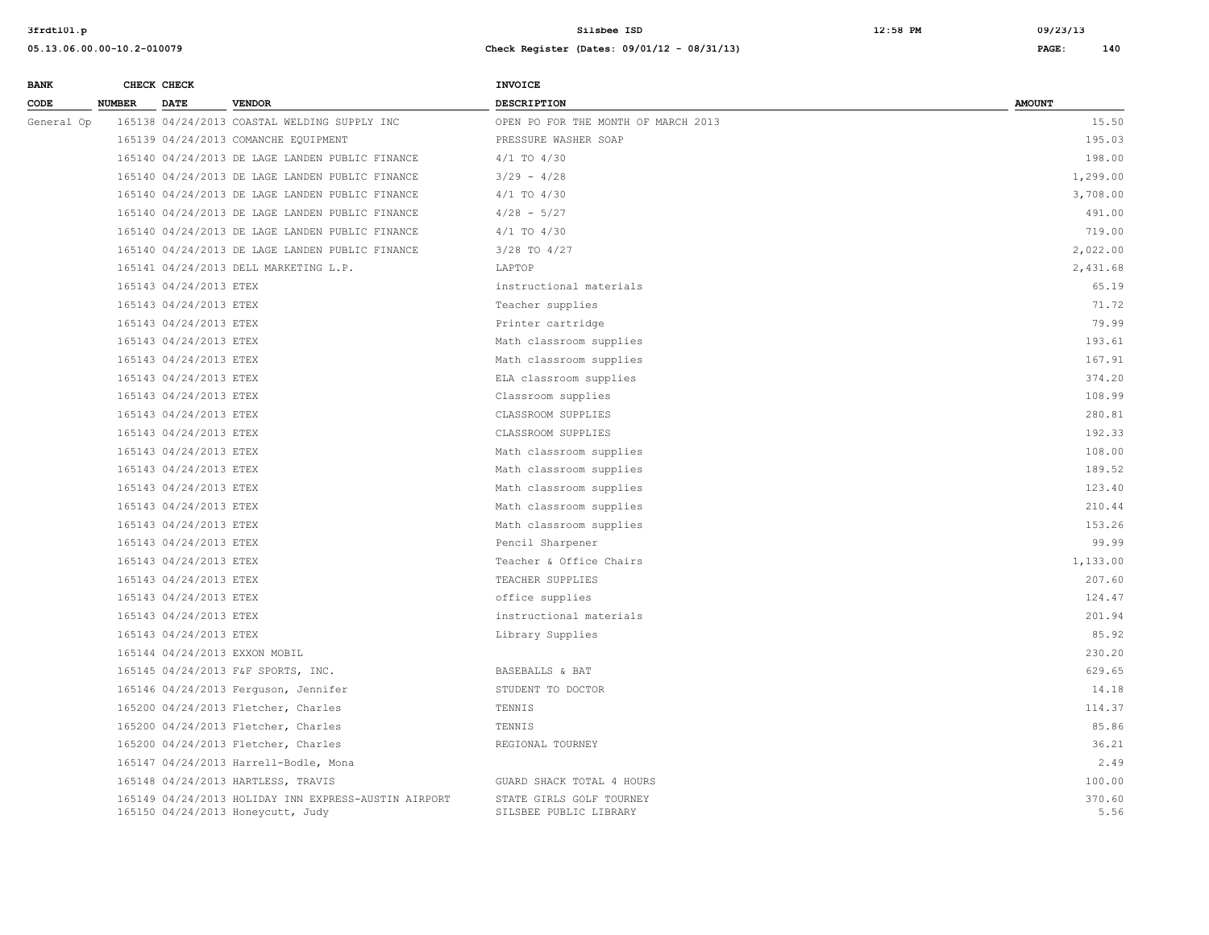| <b>BANK</b> | CHECK CHECK                   |                                                                                           | INVOICE                                            |                |
|-------------|-------------------------------|-------------------------------------------------------------------------------------------|----------------------------------------------------|----------------|
| CODE        | <b>DATE</b><br><b>NUMBER</b>  | <b>VENDOR</b>                                                                             | <b>DESCRIPTION</b>                                 | <b>AMOUNT</b>  |
| General Op  |                               | 165138 04/24/2013 COASTAL WELDING SUPPLY INC                                              | OPEN PO FOR THE MONTH OF MARCH 2013                | 15.50          |
|             |                               | 165139 04/24/2013 COMANCHE EQUIPMENT                                                      | PRESSURE WASHER SOAP                               | 195.03         |
|             |                               | 165140 04/24/2013 DE LAGE LANDEN PUBLIC FINANCE                                           | 4/1 TO 4/30                                        | 198.00         |
|             |                               | 165140 04/24/2013 DE LAGE LANDEN PUBLIC FINANCE                                           | $3/29 - 4/28$                                      | 1,299.00       |
|             |                               | 165140 04/24/2013 DE LAGE LANDEN PUBLIC FINANCE                                           | 4/1 TO 4/30                                        | 3,708.00       |
|             |                               | 165140 04/24/2013 DE LAGE LANDEN PUBLIC FINANCE                                           | $4/28 - 5/27$                                      | 491.00         |
|             |                               | 165140 04/24/2013 DE LAGE LANDEN PUBLIC FINANCE                                           | 4/1 TO 4/30                                        | 719.00         |
|             |                               | 165140 04/24/2013 DE LAGE LANDEN PUBLIC FINANCE                                           | 3/28 TO 4/27                                       | 2,022.00       |
|             |                               | 165141 04/24/2013 DELL MARKETING L.P.                                                     | LAPTOP                                             | 2,431.68       |
|             | 165143 04/24/2013 ETEX        |                                                                                           | instructional materials                            | 65.19          |
|             | 165143 04/24/2013 ETEX        |                                                                                           | Teacher supplies                                   | 71.72          |
|             | 165143 04/24/2013 ETEX        |                                                                                           | Printer cartridge                                  | 79.99          |
|             | 165143 04/24/2013 ETEX        |                                                                                           | Math classroom supplies                            | 193.61         |
|             | 165143 04/24/2013 ETEX        |                                                                                           | Math classroom supplies                            | 167.91         |
|             | 165143 04/24/2013 ETEX        |                                                                                           | ELA classroom supplies                             | 374.20         |
|             | 165143 04/24/2013 ETEX        |                                                                                           | Classroom supplies                                 | 108.99         |
|             | 165143 04/24/2013 ETEX        |                                                                                           | CLASSROOM SUPPLIES                                 | 280.81         |
|             | 165143 04/24/2013 ETEX        |                                                                                           | CLASSROOM SUPPLIES                                 | 192.33         |
|             | 165143 04/24/2013 ETEX        |                                                                                           | Math classroom supplies                            | 108.00         |
|             | 165143 04/24/2013 ETEX        |                                                                                           | Math classroom supplies                            | 189.52         |
|             | 165143 04/24/2013 ETEX        |                                                                                           | Math classroom supplies                            | 123.40         |
|             | 165143 04/24/2013 ETEX        |                                                                                           | Math classroom supplies                            | 210.44         |
|             | 165143 04/24/2013 ETEX        |                                                                                           | Math classroom supplies                            | 153.26         |
|             | 165143 04/24/2013 ETEX        |                                                                                           | Pencil Sharpener                                   | 99.99          |
|             | 165143 04/24/2013 ETEX        |                                                                                           | Teacher & Office Chairs                            | 1,133.00       |
|             | 165143 04/24/2013 ETEX        |                                                                                           | TEACHER SUPPLIES                                   | 207.60         |
|             | 165143 04/24/2013 ETEX        |                                                                                           | office supplies                                    | 124.47         |
|             | 165143 04/24/2013 ETEX        |                                                                                           | instructional materials                            | 201.94         |
|             | 165143 04/24/2013 ETEX        |                                                                                           | Library Supplies                                   | 85.92          |
|             | 165144 04/24/2013 EXXON MOBIL |                                                                                           |                                                    | 230.20         |
|             |                               | 165145 04/24/2013 F&F SPORTS, INC.                                                        | BASEBALLS & BAT                                    | 629.65         |
|             |                               | 165146 04/24/2013 Ferguson, Jennifer                                                      | STUDENT TO DOCTOR                                  | 14.18          |
|             |                               | 165200 04/24/2013 Fletcher, Charles                                                       | TENNIS                                             | 114.37         |
|             |                               | 165200 04/24/2013 Fletcher, Charles                                                       | TENNIS                                             | 85.86          |
|             |                               | 165200 04/24/2013 Fletcher, Charles                                                       | REGIONAL TOURNEY                                   | 36.21          |
|             |                               | 165147 04/24/2013 Harrell-Bodle, Mona                                                     |                                                    | 2.49           |
|             |                               | 165148 04/24/2013 HARTLESS, TRAVIS                                                        | GUARD SHACK TOTAL 4 HOURS                          | 100.00         |
|             |                               | 165149 04/24/2013 HOLIDAY INN EXPRESS-AUSTIN AIRPORT<br>165150 04/24/2013 Honeycutt, Judy | STATE GIRLS GOLF TOURNEY<br>SILSBEE PUBLIC LIBRARY | 370.60<br>5.56 |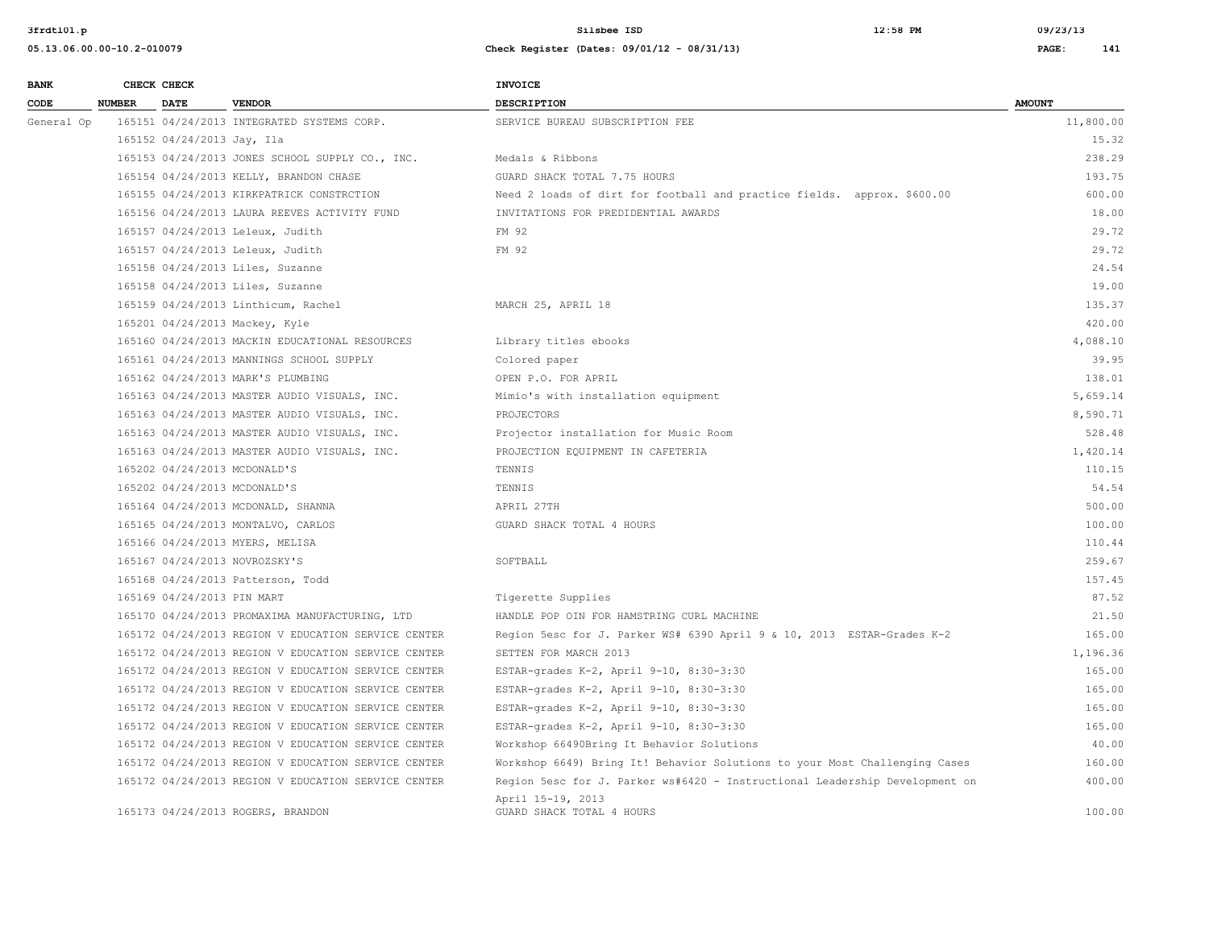| <b>BANK</b> |               | CHECK CHECK                |                                                     | <b>INVOICE</b>                                                              |               |
|-------------|---------------|----------------------------|-----------------------------------------------------|-----------------------------------------------------------------------------|---------------|
| CODE        | <b>NUMBER</b> | <b>DATE</b>                | <b>VENDOR</b>                                       | <b>DESCRIPTION</b>                                                          | <b>AMOUNT</b> |
| General Op  |               |                            | 165151 04/24/2013 INTEGRATED SYSTEMS CORP.          | SERVICE BUREAU SUBSCRIPTION FEE                                             | 11,800.00     |
|             |               | 165152 04/24/2013 Jay, Ila |                                                     |                                                                             | 15.32         |
|             |               |                            | 165153 04/24/2013 JONES SCHOOL SUPPLY CO., INC.     | Medals & Ribbons                                                            | 238.29        |
|             |               |                            | 165154 04/24/2013 KELLY, BRANDON CHASE              | GUARD SHACK TOTAL 7.75 HOURS                                                | 193.75        |
|             |               |                            | 165155 04/24/2013 KIRKPATRICK CONSTRCTION           | Need 2 loads of dirt for football and practice fields. approx. \$600.00     | 600.00        |
|             |               |                            | 165156 04/24/2013 LAURA REEVES ACTIVITY FUND        | INVITATIONS FOR PREDIDENTIAL AWARDS                                         | 18.00         |
|             |               |                            | 165157 04/24/2013 Leleux, Judith                    | FM 92                                                                       | 29.72         |
|             |               |                            | 165157 04/24/2013 Leleux, Judith                    | FM 92                                                                       | 29.72         |
|             |               |                            | 165158 04/24/2013 Liles, Suzanne                    |                                                                             | 24.54         |
|             |               |                            | 165158 04/24/2013 Liles, Suzanne                    |                                                                             | 19.00         |
|             |               |                            | 165159 04/24/2013 Linthicum, Rachel                 | MARCH 25, APRIL 18                                                          | 135.37        |
|             |               |                            | 165201 04/24/2013 Mackey, Kyle                      |                                                                             | 420.00        |
|             |               |                            | 165160 04/24/2013 MACKIN EDUCATIONAL RESOURCES      | Library titles ebooks                                                       | 4,088.10      |
|             |               |                            | 165161 04/24/2013 MANNINGS SCHOOL SUPPLY            | Colored paper                                                               | 39.95         |
|             |               |                            | 165162 04/24/2013 MARK'S PLUMBING                   | OPEN P.O. FOR APRIL                                                         | 138.01        |
|             |               |                            | 165163 04/24/2013 MASTER AUDIO VISUALS, INC.        | Mimio's with installation equipment                                         | 5,659.14      |
|             |               |                            | 165163 04/24/2013 MASTER AUDIO VISUALS, INC.        | PROJECTORS                                                                  | 8,590.71      |
|             |               |                            | 165163 04/24/2013 MASTER AUDIO VISUALS, INC.        | Projector installation for Music Room                                       | 528.48        |
|             |               |                            | 165163 04/24/2013 MASTER AUDIO VISUALS, INC.        | PROJECTION EQUIPMENT IN CAFETERIA                                           | 1,420.14      |
|             |               |                            | 165202 04/24/2013 MCDONALD'S                        | TENNIS                                                                      | 110.15        |
|             |               |                            | 165202 04/24/2013 MCDONALD'S                        | TENNIS                                                                      | 54.54         |
|             |               |                            | 165164 04/24/2013 MCDONALD, SHANNA                  | APRIL 27TH                                                                  | 500.00        |
|             |               |                            | 165165 04/24/2013 MONTALVO, CARLOS                  | GUARD SHACK TOTAL 4 HOURS                                                   | 100.00        |
|             |               |                            | 165166 04/24/2013 MYERS, MELISA                     |                                                                             | 110.44        |
|             |               |                            | 165167 04/24/2013 NOVROZSKY'S                       | SOFTBALL                                                                    | 259.67        |
|             |               |                            | 165168 04/24/2013 Patterson, Todd                   |                                                                             | 157.45        |
|             |               | 165169 04/24/2013 PIN MART |                                                     | Tigerette Supplies                                                          | 87.52         |
|             |               |                            | 165170 04/24/2013 PROMAXIMA MANUFACTURING, LTD      | HANDLE POP OIN FOR HAMSTRING CURL MACHINE                                   | 21.50         |
|             |               |                            | 165172 04/24/2013 REGION V EDUCATION SERVICE CENTER | Region 5esc for J. Parker WS# 6390 April 9 & 10, 2013 ESTAR-Grades K-2      | 165.00        |
|             |               |                            | 165172 04/24/2013 REGION V EDUCATION SERVICE CENTER | SETTEN FOR MARCH 2013                                                       | 1,196.36      |
|             |               |                            | 165172 04/24/2013 REGION V EDUCATION SERVICE CENTER | ESTAR-grades K-2, April 9-10, 8:30-3:30                                     | 165.00        |
|             |               |                            | 165172 04/24/2013 REGION V EDUCATION SERVICE CENTER | ESTAR-grades K-2, April 9-10, 8:30-3:30                                     | 165.00        |
|             |               |                            | 165172 04/24/2013 REGION V EDUCATION SERVICE CENTER | ESTAR-grades K-2, April 9-10, 8:30-3:30                                     | 165.00        |
|             |               |                            | 165172 04/24/2013 REGION V EDUCATION SERVICE CENTER | ESTAR-grades K-2, April 9-10, 8:30-3:30                                     | 165.00        |
|             |               |                            | 165172 04/24/2013 REGION V EDUCATION SERVICE CENTER | Workshop 66490Bring It Behavior Solutions                                   | 40.00         |
|             |               |                            | 165172 04/24/2013 REGION V EDUCATION SERVICE CENTER | Workshop 6649) Bring It! Behavior Solutions to your Most Challenging Cases  | 160.00        |
|             |               |                            | 165172 04/24/2013 REGION V EDUCATION SERVICE CENTER | Region 5esc for J. Parker ws#6420 - Instructional Leadership Development on | 400.00        |
|             |               |                            | 165173 04/24/2013 ROGERS, BRANDON                   | April 15-19, 2013<br>GUARD SHACK TOTAL 4 HOURS                              | 100.00        |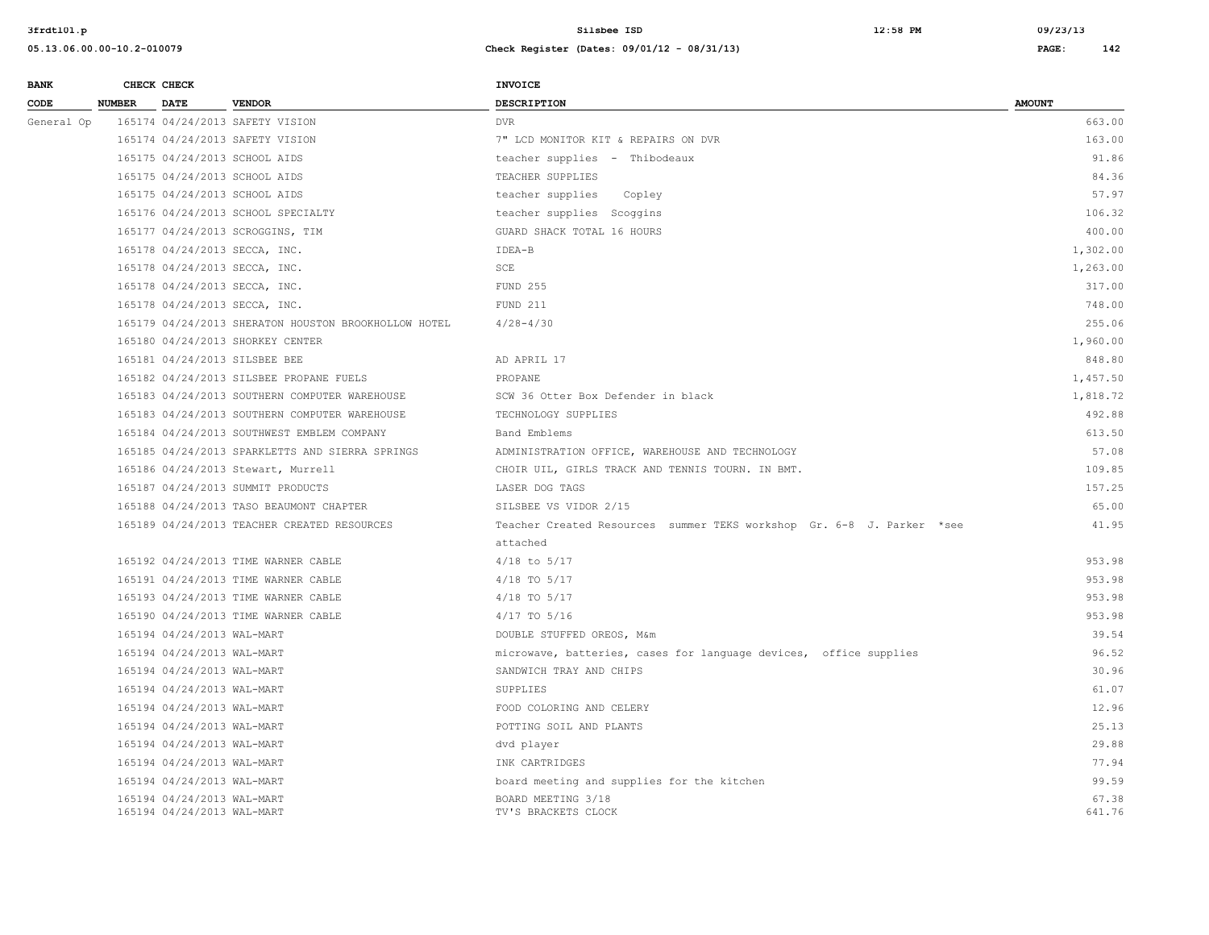| <b>BANK</b> |               | CHECK CHECK                                              |                                                      | <b>INVOICE</b>                                                        |                 |
|-------------|---------------|----------------------------------------------------------|------------------------------------------------------|-----------------------------------------------------------------------|-----------------|
| CODE        | <b>NUMBER</b> | <b>DATE</b>                                              | <b>VENDOR</b>                                        | <b>DESCRIPTION</b>                                                    | <b>AMOUNT</b>   |
| General Op  |               |                                                          | 165174 04/24/2013 SAFETY VISION                      | <b>DVR</b>                                                            | 663.00          |
|             |               |                                                          | 165174 04/24/2013 SAFETY VISION                      | 7" LCD MONITOR KIT & REPAIRS ON DVR                                   | 163.00          |
|             |               |                                                          | 165175 04/24/2013 SCHOOL AIDS                        | teacher supplies - Thibodeaux                                         | 91.86           |
|             |               |                                                          | 165175 04/24/2013 SCHOOL AIDS                        | TEACHER SUPPLIES                                                      | 84.36           |
|             |               |                                                          | 165175 04/24/2013 SCHOOL AIDS                        | teacher supplies<br>Copley                                            | 57.97           |
|             |               |                                                          | 165176 04/24/2013 SCHOOL SPECIALTY                   | teacher supplies Scoggins                                             | 106.32          |
|             |               |                                                          | 165177 04/24/2013 SCROGGINS, TIM                     | GUARD SHACK TOTAL 16 HOURS                                            | 400.00          |
|             |               |                                                          | 165178 04/24/2013 SECCA, INC.                        | IDEA-B                                                                | 1,302.00        |
|             |               |                                                          | 165178 04/24/2013 SECCA, INC.                        | SCE                                                                   | 1,263.00        |
|             |               |                                                          | 165178 04/24/2013 SECCA, INC.                        | FUND 255                                                              | 317.00          |
|             |               |                                                          | 165178 04/24/2013 SECCA, INC.                        | FUND 211                                                              | 748.00          |
|             |               |                                                          | 165179 04/24/2013 SHERATON HOUSTON BROOKHOLLOW HOTEL | $4/28 - 4/30$                                                         | 255.06          |
|             |               |                                                          | 165180 04/24/2013 SHORKEY CENTER                     |                                                                       | 1,960.00        |
|             |               |                                                          | 165181 04/24/2013 SILSBEE BEE                        | AD APRIL 17                                                           | 848.80          |
|             |               |                                                          | 165182 04/24/2013 SILSBEE PROPANE FUELS              | PROPANE                                                               | 1,457.50        |
|             |               |                                                          | 165183 04/24/2013 SOUTHERN COMPUTER WAREHOUSE        | SCW 36 Otter Box Defender in black                                    | 1,818.72        |
|             |               |                                                          | 165183 04/24/2013 SOUTHERN COMPUTER WAREHOUSE        | TECHNOLOGY SUPPLIES                                                   | 492.88          |
|             |               |                                                          | 165184 04/24/2013 SOUTHWEST EMBLEM COMPANY           | Band Emblems                                                          | 613.50          |
|             |               |                                                          | 165185 04/24/2013 SPARKLETTS AND SIERRA SPRINGS      | ADMINISTRATION OFFICE, WAREHOUSE AND TECHNOLOGY                       | 57.08           |
|             |               |                                                          | 165186 04/24/2013 Stewart, Murrell                   | CHOIR UIL, GIRLS TRACK AND TENNIS TOURN. IN BMT.                      | 109.85          |
|             |               |                                                          | 165187 04/24/2013 SUMMIT PRODUCTS                    | LASER DOG TAGS                                                        | 157.25          |
|             |               |                                                          | 165188 04/24/2013 TASO BEAUMONT CHAPTER              | SILSBEE VS VIDOR 2/15                                                 | 65.00           |
|             |               |                                                          | 165189 04/24/2013 TEACHER CREATED RESOURCES          | Teacher Created Resources summer TEKS workshop Gr. 6-8 J. Parker *see | 41.95           |
|             |               |                                                          |                                                      | attached                                                              |                 |
|             |               |                                                          | 165192 04/24/2013 TIME WARNER CABLE                  | $4/18$ to $5/17$                                                      | 953.98          |
|             |               |                                                          | 165191 04/24/2013 TIME WARNER CABLE                  | $4/18$ TO $5/17$                                                      | 953.98          |
|             |               |                                                          | 165193 04/24/2013 TIME WARNER CABLE                  | $4/18$ TO $5/17$                                                      | 953.98          |
|             |               |                                                          | 165190 04/24/2013 TIME WARNER CABLE                  | $4/17$ TO $5/16$                                                      | 953.98          |
|             |               | 165194 04/24/2013 WAL-MART                               |                                                      | DOUBLE STUFFED OREOS, M&m                                             | 39.54           |
|             |               | 165194 04/24/2013 WAL-MART                               |                                                      | microwave, batteries, cases for language devices, office supplies     | 96.52           |
|             |               | 165194 04/24/2013 WAL-MART                               |                                                      | SANDWICH TRAY AND CHIPS                                               | 30.96           |
|             |               | 165194 04/24/2013 WAL-MART                               |                                                      | SUPPLIES                                                              | 61.07           |
|             |               | 165194 04/24/2013 WAL-MART                               |                                                      | FOOD COLORING AND CELERY                                              | 12.96           |
|             |               | 165194 04/24/2013 WAL-MART                               |                                                      | POTTING SOIL AND PLANTS                                               | 25.13           |
|             |               | 165194 04/24/2013 WAL-MART                               |                                                      | dvd player                                                            | 29.88           |
|             |               | 165194 04/24/2013 WAL-MART                               |                                                      | INK CARTRIDGES                                                        | 77.94           |
|             |               | 165194 04/24/2013 WAL-MART                               |                                                      | board meeting and supplies for the kitchen                            | 99.59           |
|             |               | 165194 04/24/2013 WAL-MART<br>165194 04/24/2013 WAL-MART |                                                      | BOARD MEETING 3/18<br>TV'S BRACKETS CLOCK                             | 67.38<br>641.76 |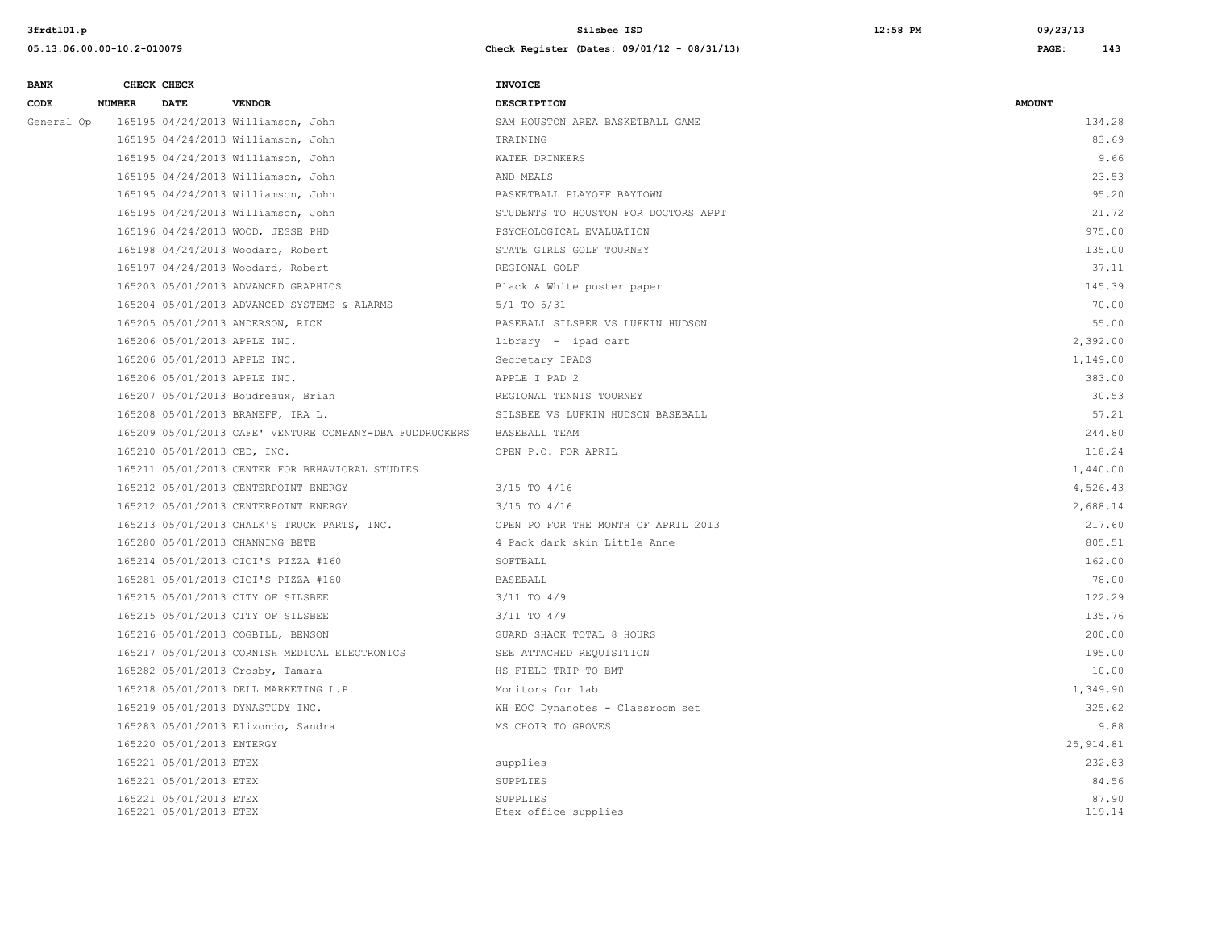**05.13.06.00.00-10.2-010079 Check Register (Dates: 09/01/12 - 08/31/13) PAGE: 143**

## **BANK** CHECK CHECK **CHECK CODE NUMBER DATE VENDOR DESCRIPTION AMOUNT**  General Op 165195 04/24/2013 Williamson, John SAM HOUSTON AREA BASKETBALL GAME 134.28 165195 04/24/2013 Williamson, John TRAINING 83.69 165195 04/24/2013 Williamson, John WATER DRINKERS 9.66 165195 04/24/2013 Williamson, John AND MEALS 23.53 165195 04/24/2013 Williamson, John BASKETBALL PLAYOFF BAYTOWN 95.20 165195 04/24/2013 Williamson, John STUDENTS TO HOUSTON FOR DOCTORS APPT 21.72 165196 04/24/2013 WOOD, JESSE PHD PSYCHOLOGICAL EVALUATION 975.00 165198 04/24/2013 Woodard, Robert STATE GIRLS GOLF TOURNEY 135.00 165197 04/24/2013 Woodard, Robert REGIONAL GOLF 37.11 165203 05/01/2013 ADVANCED GRAPHICS Black & White poster paper 145.39 165204 05/01/2013 ADVANCED SYSTEMS & ALARMS 5/1 TO 5/31 70.00 165205 05/01/2013 ANDERSON, RICK BASEBALL SILSBEE VS LUFKIN HUDSON 55.00 165206 05/01/2013 APPLE INC. library - ipad cart 2,392.00 165206 05/01/2013 APPLE INC. Secretary IPADS 1,149.00 165206 05/01/2013 APPLE INC. APPLE I PAD 2 383.00 165207 05/01/2013 Boudreaux, Brian REGIONAL TENNIS TOURNEY 30.53 165208 05/01/2013 BRANEFF, IRA L. STLSBEE VS LUFKIN HUDSON BASEBALL STLONE STLONE STLONE STLONE STLONE STLONE 165209 05/01/2013 CAFE' VENTURE COMPANY-DBA FUDDRUCKERS BASEBALL TEAM 244.80 165210 05/01/2013 CED, INC. OPEN P.O. FOR APRIL 118.24 165211 05/01/2013 CENTER FOR BEHAVIORAL STUDIES 1,440.00 165212 05/01/2013 CENTERPOINT ENERGY 3/15 TO 4/16 4,526.43 165212 05/01/2013 CENTERPOINT ENERGY 3/15 TO 4/16 2,688.14 165213 05/01/2013 CHALK'S TRUCK PARTS, INC. OPEN PO FOR THE MONTH OF APRIL 2013 217.60 165280 05/01/2013 CHANNING BETE 4 Pack dark skin Little Anne 805.51 165214 05/01/2013 CICI'S PIZZA #160 SOFTBALL 162.00 165281 05/01/2013 CICI'S PIZZA #160 BASEBALL 78.00 165215 05/01/2013 CITY OF SILSBEE 3/11 TO 4/9 3/11 TO 4/9 122.29 165215 05/01/2013 CITY OF SILSBEE 3/11 TO 4/9 3/11 TO 4/9 135.76 165216 05/01/2013 COGBILL, BENSON GUARD SHACK TOTAL 8 HOURS 200.00 165217 05/01/2013 CORNISH MEDICAL ELECTRONICS SEE ATTACHED REQUISITION 195.00 165282 05/01/2013 Crosby, Tamara HS FIELD TRIP TO BMT 10.00 165218 05/01/2013 DELL MARKETING L.P. Monitors for lab 1,349.90 165219 05/01/2013 DYNASTUDY INC. WH EOC Dynanotes - Classroom set 325.62 165283 05/01/2013 Elizondo, Sandra **MS CHOIR TO GROVES** 88 and the set of the set of the set of the set of the set of the set of the set of the set of the set of the set of the set of the set of the set of the set of the s 165220 05/01/2013 ENTERGY 25,914.81 165221 05/01/2013 ETEX supplies 232.83 165221 05/01/2013 ETEX 84.56 (SUPPLIES 84.56 (SUPPLIES 84.56 (SUPPLIES 84.56 (SUPPLIES 84.56 (SUPPLIES 84.56 (SUPPLIES 84.56 (SUPPLIES 84.56 (SUPPLIES 85 (SUPPLIES 85 (SUPPLIES 85 (SUPPLIES 85 (SUPPLIES 85 (SUPPLIES 85 (SU 165221 05/01/2013 ETEX 87.90 SUPPLIES 87.90 SUPPLIES 87.90 SUPPLIES 165221 05/01/2013 ETEX Etex office supplies 119.14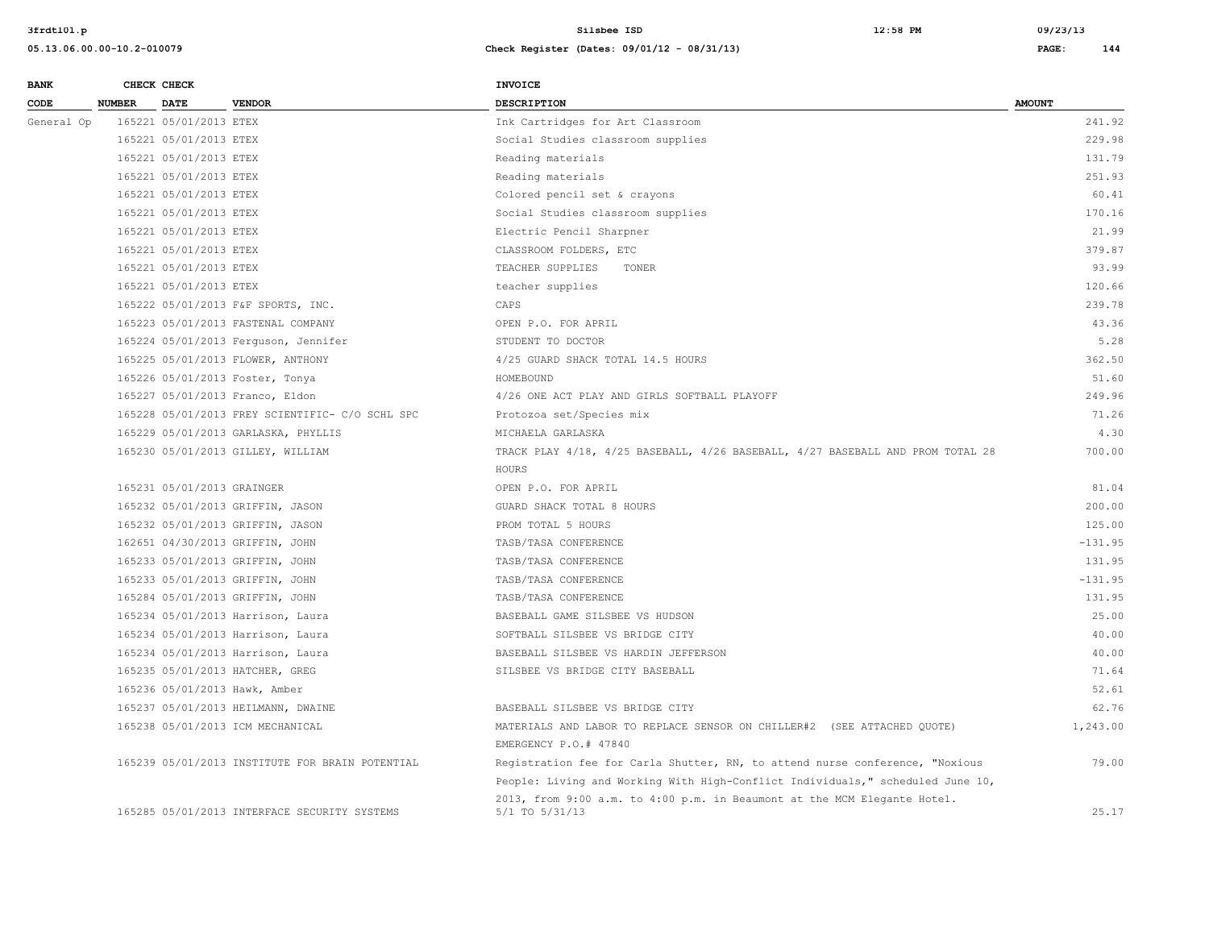| <b>BANK</b> |               | CHECK CHECK                | <b>VENDOR</b>                                   | <b>INVOICE</b>                                                                 |               |
|-------------|---------------|----------------------------|-------------------------------------------------|--------------------------------------------------------------------------------|---------------|
| CODE        | <b>NUMBER</b> | <b>DATE</b>                |                                                 | <b>DESCRIPTION</b>                                                             | <b>AMOUNT</b> |
| General Op  |               | 165221 05/01/2013 ETEX     |                                                 | Ink Cartridges for Art Classroom                                               | 241.92        |
|             |               | 165221 05/01/2013 ETEX     |                                                 | Social Studies classroom supplies                                              | 229.98        |
|             |               | 165221 05/01/2013 ETEX     |                                                 | Reading materials                                                              | 131.79        |
|             |               | 165221 05/01/2013 ETEX     |                                                 | Reading materials                                                              | 251.93        |
|             |               | 165221 05/01/2013 ETEX     |                                                 | Colored pencil set & crayons                                                   | 60.41         |
|             |               | 165221 05/01/2013 ETEX     |                                                 | Social Studies classroom supplies                                              | 170.16        |
|             |               | 165221 05/01/2013 ETEX     |                                                 | Electric Pencil Sharpner                                                       | 21.99         |
|             |               | 165221 05/01/2013 ETEX     |                                                 | CLASSROOM FOLDERS, ETC                                                         | 379.87        |
|             |               | 165221 05/01/2013 ETEX     |                                                 | TEACHER SUPPLIES<br>TONER                                                      | 93.99         |
|             |               | 165221 05/01/2013 ETEX     |                                                 | teacher supplies                                                               | 120.66        |
|             |               |                            | 165222 05/01/2013 F&F SPORTS, INC.              | CAPS                                                                           | 239.78        |
|             |               |                            | 165223 05/01/2013 FASTENAL COMPANY              | OPEN P.O. FOR APRIL                                                            | 43.36         |
|             |               |                            | 165224 05/01/2013 Ferguson, Jennifer            | STUDENT TO DOCTOR                                                              | 5.28          |
|             |               |                            | 165225 05/01/2013 FLOWER, ANTHONY               | 4/25 GUARD SHACK TOTAL 14.5 HOURS                                              | 362.50        |
|             |               |                            | 165226 05/01/2013 Foster, Tonya                 | HOMEBOUND                                                                      | 51.60         |
|             |               |                            | 165227 05/01/2013 Franco, Eldon                 | 4/26 ONE ACT PLAY AND GIRLS SOFTBALL PLAYOFF                                   | 249.96        |
|             |               |                            | 165228 05/01/2013 FREY SCIENTIFIC- C/O SCHL SPC | Protozoa set/Species mix                                                       | 71.26         |
|             |               |                            | 165229 05/01/2013 GARLASKA, PHYLLIS             | MICHAELA GARLASKA                                                              | 4.30          |
|             |               |                            | 165230 05/01/2013 GILLEY, WILLIAM               | TRACK PLAY 4/18, 4/25 BASEBALL, 4/26 BASEBALL, 4/27 BASEBALL AND PROM TOTAL 28 | 700.00        |
|             |               |                            |                                                 | HOURS                                                                          |               |
|             |               | 165231 05/01/2013 GRAINGER |                                                 | OPEN P.O. FOR APRIL                                                            | 81.04         |
|             |               |                            | 165232 05/01/2013 GRIFFIN, JASON                | GUARD SHACK TOTAL 8 HOURS                                                      | 200.00        |
|             |               |                            | 165232 05/01/2013 GRIFFIN, JASON                | PROM TOTAL 5 HOURS                                                             | 125.00        |
|             |               |                            | 162651 04/30/2013 GRIFFIN, JOHN                 | TASB/TASA CONFERENCE                                                           | $-131.95$     |
|             |               |                            | 165233 05/01/2013 GRIFFIN, JOHN                 | TASB/TASA CONFERENCE                                                           | 131.95        |
|             |               |                            | 165233 05/01/2013 GRIFFIN, JOHN                 | TASB/TASA CONFERENCE                                                           | $-131.95$     |
|             |               |                            | 165284 05/01/2013 GRIFFIN, JOHN                 | TASB/TASA CONFERENCE                                                           | 131.95        |
|             |               |                            | 165234 05/01/2013 Harrison, Laura               | BASEBALL GAME SILSBEE VS HUDSON                                                | 25.00         |
|             |               |                            | 165234 05/01/2013 Harrison, Laura               | SOFTBALL SILSBEE VS BRIDGE CITY                                                | 40.00         |
|             |               |                            | 165234 05/01/2013 Harrison, Laura               | BASEBALL SILSBEE VS HARDIN JEFFERSON                                           | 40.00         |
|             |               |                            | 165235 05/01/2013 HATCHER, GREG                 | SILSBEE VS BRIDGE CITY BASEBALL                                                | 71.64         |
|             |               |                            | 165236 05/01/2013 Hawk, Amber                   |                                                                                | 52.61         |
|             |               |                            | 165237 05/01/2013 HEILMANN, DWAINE              | BASEBALL SILSBEE VS BRIDGE CITY                                                | 62.76         |
|             |               |                            | 165238 05/01/2013 ICM MECHANICAL                | MATERIALS AND LABOR TO REPLACE SENSOR ON CHILLER#2 (SEE ATTACHED QUOTE)        | 1,243.00      |
|             |               |                            |                                                 | EMERGENCY P.O.# 47840                                                          |               |
|             |               |                            | 165239 05/01/2013 INSTITUTE FOR BRAIN POTENTIAL | Registration fee for Carla Shutter, RN, to attend nurse conference, "Noxious   | 79.00         |
|             |               |                            |                                                 | People: Living and Working With High-Conflict Individuals," scheduled June 10, |               |
|             |               |                            |                                                 | 2013, from 9:00 a.m. to 4:00 p.m. in Beaumont at the MCM Elegante Hotel.       |               |
|             |               |                            | 165285 05/01/2013 INTERFACE SECURITY SYSTEMS    | 5/1 TO 5/31/13                                                                 | 25.17         |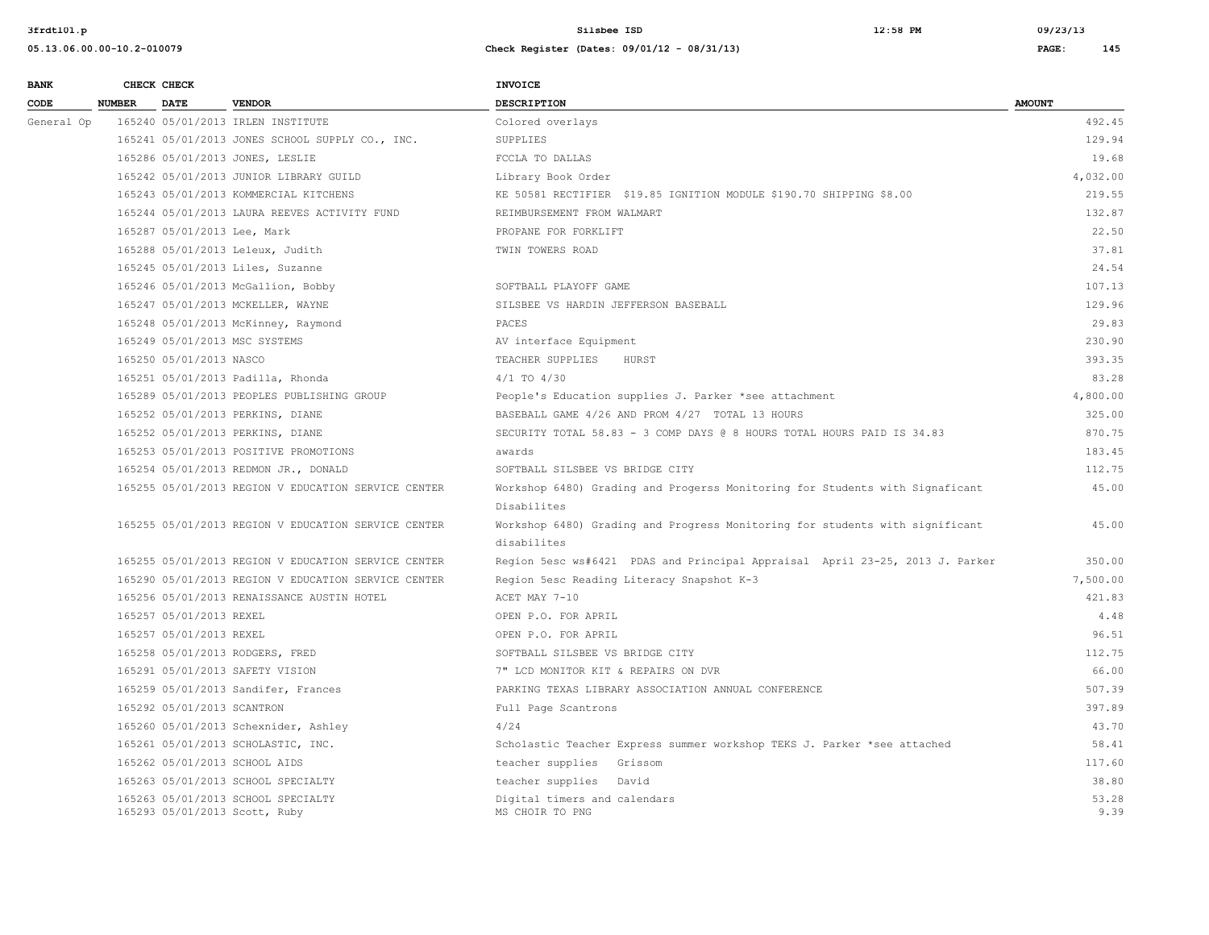| <b>BANK</b> |               | CHECK CHECK                 |                                                                     | INVOICE                                                                      |               |
|-------------|---------------|-----------------------------|---------------------------------------------------------------------|------------------------------------------------------------------------------|---------------|
| CODE        | <b>NUMBER</b> | <b>DATE</b>                 | <b>VENDOR</b>                                                       | <b>DESCRIPTION</b>                                                           | <b>AMOUNT</b> |
| General Op  |               |                             | 165240 05/01/2013 IRLEN INSTITUTE                                   | Colored overlays                                                             | 492.45        |
|             |               |                             | 165241 05/01/2013 JONES SCHOOL SUPPLY CO., INC.                     | SUPPLIES                                                                     | 129.94        |
|             |               |                             | 165286 05/01/2013 JONES, LESLIE                                     | FCCLA TO DALLAS                                                              | 19.68         |
|             |               |                             | 165242 05/01/2013 JUNIOR LIBRARY GUILD                              | Library Book Order                                                           | 4,032.00      |
|             |               |                             | 165243 05/01/2013 KOMMERCIAL KITCHENS                               | KE 50581 RECTIFIER \$19.85 IGNITION MODULE \$190.70 SHIPPING \$8.00          | 219.55        |
|             |               |                             | 165244 05/01/2013 LAURA REEVES ACTIVITY FUND                        | REIMBURSEMENT FROM WALMART                                                   | 132.87        |
|             |               | 165287 05/01/2013 Lee, Mark |                                                                     | PROPANE FOR FORKLIFT                                                         | 22.50         |
|             |               |                             | 165288 05/01/2013 Leleux, Judith                                    | TWIN TOWERS ROAD                                                             | 37.81         |
|             |               |                             | 165245 05/01/2013 Liles, Suzanne                                    |                                                                              | 24.54         |
|             |               |                             | 165246 05/01/2013 McGallion, Bobby                                  | SOFTBALL PLAYOFF GAME                                                        | 107.13        |
|             |               |                             | 165247 05/01/2013 MCKELLER, WAYNE                                   | SILSBEE VS HARDIN JEFFERSON BASEBALL                                         | 129.96        |
|             |               |                             | 165248 05/01/2013 McKinney, Raymond                                 | PACES                                                                        | 29.83         |
|             |               |                             | 165249 05/01/2013 MSC SYSTEMS                                       | AV interface Equipment                                                       | 230.90        |
|             |               | 165250 05/01/2013 NASCO     |                                                                     | TEACHER SUPPLIES<br>HURST                                                    | 393.35        |
|             |               |                             | 165251 05/01/2013 Padilla, Rhonda                                   | $4/1$ TO $4/30$                                                              | 83.28         |
|             |               |                             | 165289 05/01/2013 PEOPLES PUBLISHING GROUP                          | People's Education supplies J. Parker *see attachment                        | 4,800.00      |
|             |               |                             | 165252 05/01/2013 PERKINS, DIANE                                    | BASEBALL GAME 4/26 AND PROM 4/27 TOTAL 13 HOURS                              | 325.00        |
|             |               |                             | 165252 05/01/2013 PERKINS, DIANE                                    | SECURITY TOTAL 58.83 - 3 COMP DAYS @ 8 HOURS TOTAL HOURS PAID IS 34.83       | 870.75        |
|             |               |                             | 165253 05/01/2013 POSITIVE PROMOTIONS                               | awards                                                                       | 183.45        |
|             |               |                             | 165254 05/01/2013 REDMON JR., DONALD                                | SOFTBALL SILSBEE VS BRIDGE CITY                                              | 112.75        |
|             |               |                             | 165255 05/01/2013 REGION V EDUCATION SERVICE CENTER                 | Workshop 6480) Grading and Progerss Monitoring for Students with Signaficant | 45.00         |
|             |               |                             |                                                                     | Disabilites                                                                  |               |
|             |               |                             | 165255 05/01/2013 REGION V EDUCATION SERVICE CENTER                 | Workshop 6480) Grading and Progress Monitoring for students with significant | 45.00         |
|             |               |                             |                                                                     | disabilites                                                                  |               |
|             |               |                             | 165255 05/01/2013 REGION V EDUCATION SERVICE CENTER                 | Region 5esc ws#6421 PDAS and Principal Appraisal April 23-25, 2013 J. Parker | 350.00        |
|             |               |                             | 165290 05/01/2013 REGION V EDUCATION SERVICE CENTER                 | Region 5esc Reading Literacy Snapshot K-3                                    | 7,500.00      |
|             |               |                             | 165256 05/01/2013 RENAISSANCE AUSTIN HOTEL                          | ACET MAY 7-10                                                                | 421.83        |
|             |               | 165257 05/01/2013 REXEL     |                                                                     | OPEN P.O. FOR APRIL                                                          | 4.48          |
|             |               | 165257 05/01/2013 REXEL     |                                                                     | OPEN P.O. FOR APRIL                                                          | 96.51         |
|             |               |                             | 165258 05/01/2013 RODGERS, FRED                                     | SOFTBALL SILSBEE VS BRIDGE CITY                                              | 112.75        |
|             |               |                             | 165291 05/01/2013 SAFETY VISION                                     | 7" LCD MONITOR KIT & REPAIRS ON DVR                                          | 66.00         |
|             |               |                             | 165259 05/01/2013 Sandifer, Frances                                 | PARKING TEXAS LIBRARY ASSOCIATION ANNUAL CONFERENCE                          | 507.39        |
|             |               | 165292 05/01/2013 SCANTRON  |                                                                     | Full Page Scantrons                                                          | 397.89        |
|             |               |                             | 165260 05/01/2013 Schexnider, Ashley                                | 4/24                                                                         | 43.70         |
|             |               |                             | 165261 05/01/2013 SCHOLASTIC, INC.                                  | Scholastic Teacher Express summer workshop TEKS J. Parker *see attached      | 58.41         |
|             |               |                             | 165262 05/01/2013 SCHOOL AIDS                                       | teacher supplies Grissom                                                     | 117.60        |
|             |               |                             | 165263 05/01/2013 SCHOOL SPECIALTY                                  | teacher supplies David                                                       | 38.80         |
|             |               |                             | 165263 05/01/2013 SCHOOL SPECIALTY<br>165293 05/01/2013 Scott, Ruby | Digital timers and calendars<br>MS CHOIR TO PNG                              | 53.28<br>9.39 |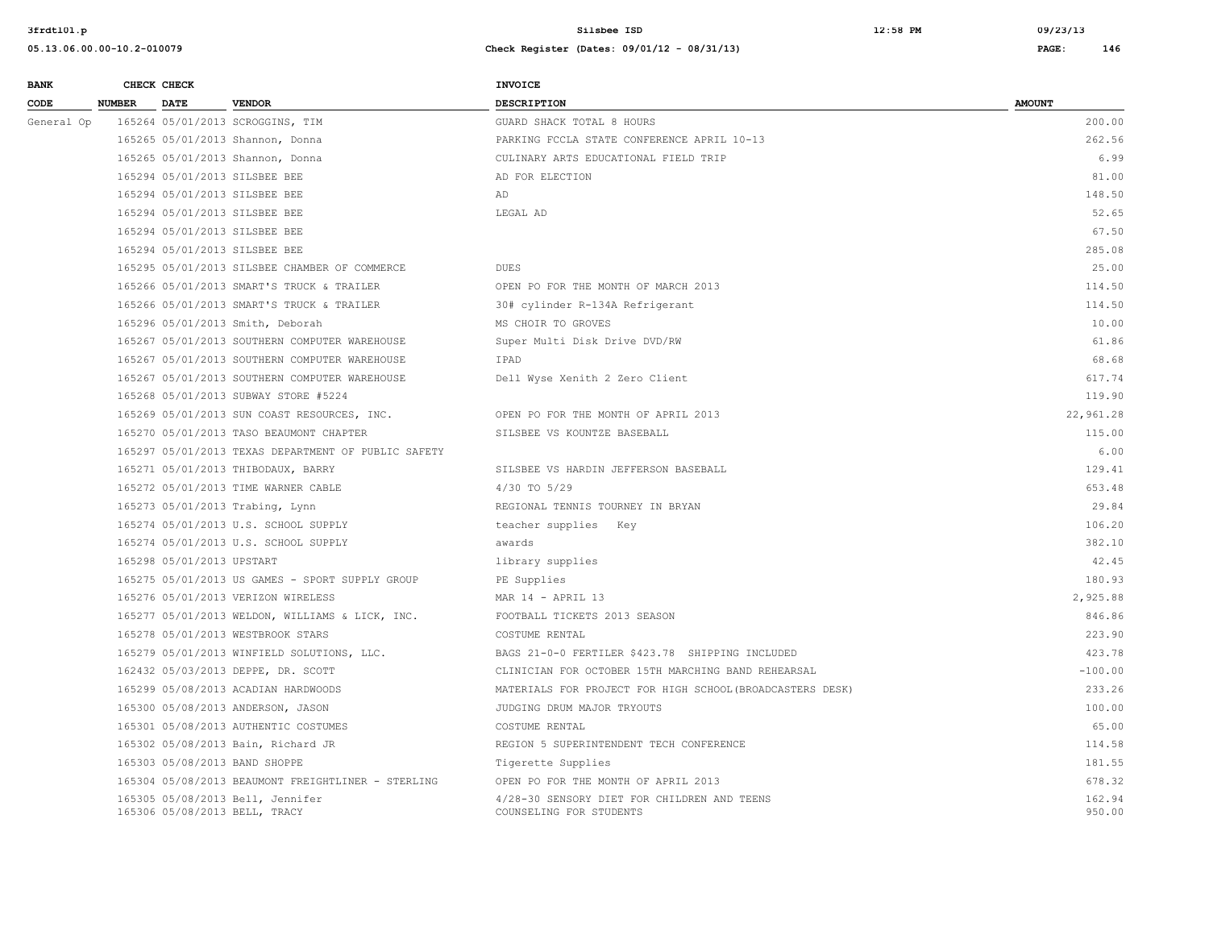| <b>BANK</b> |               | CHECK CHECK               |                                                                   | INVOICE                                                                |                  |
|-------------|---------------|---------------------------|-------------------------------------------------------------------|------------------------------------------------------------------------|------------------|
| CODE        | <b>NUMBER</b> | <b>DATE</b>               | <b>VENDOR</b>                                                     | <b>DESCRIPTION</b>                                                     | <b>AMOUNT</b>    |
| General Op  |               |                           | 165264 05/01/2013 SCROGGINS, TIM                                  | GUARD SHACK TOTAL 8 HOURS                                              | 200.00           |
|             |               |                           | 165265 05/01/2013 Shannon, Donna                                  | PARKING FCCLA STATE CONFERENCE APRIL 10-13                             | 262.56           |
|             |               |                           | 165265 05/01/2013 Shannon, Donna                                  | CULINARY ARTS EDUCATIONAL FIELD TRIP                                   | 6.99             |
|             |               |                           | 165294 05/01/2013 SILSBEE BEE                                     | AD FOR ELECTION                                                        | 81.00            |
|             |               |                           | 165294 05/01/2013 SILSBEE BEE                                     | AD                                                                     | 148.50           |
|             |               |                           | 165294 05/01/2013 SILSBEE BEE                                     | LEGAL AD                                                               | 52.65            |
|             |               |                           | 165294 05/01/2013 SILSBEE BEE                                     |                                                                        | 67.50            |
|             |               |                           | 165294 05/01/2013 SILSBEE BEE                                     |                                                                        | 285.08           |
|             |               |                           | 165295 05/01/2013 SILSBEE CHAMBER OF COMMERCE                     | <b>DUES</b>                                                            | 25.00            |
|             |               |                           | 165266 05/01/2013 SMART'S TRUCK & TRAILER                         | OPEN PO FOR THE MONTH OF MARCH 2013                                    | 114.50           |
|             |               |                           | 165266 05/01/2013 SMART'S TRUCK & TRAILER                         | 30# cylinder R-134A Refrigerant                                        | 114.50           |
|             |               |                           | 165296 05/01/2013 Smith, Deborah                                  | MS CHOIR TO GROVES                                                     | 10.00            |
|             |               |                           | 165267 05/01/2013 SOUTHERN COMPUTER WAREHOUSE                     | Super Multi Disk Drive DVD/RW                                          | 61.86            |
|             |               |                           | 165267 05/01/2013 SOUTHERN COMPUTER WAREHOUSE                     | IPAD                                                                   | 68.68            |
|             |               |                           | 165267 05/01/2013 SOUTHERN COMPUTER WAREHOUSE                     | Dell Wyse Xenith 2 Zero Client                                         | 617.74           |
|             |               |                           | 165268 05/01/2013 SUBWAY STORE #5224                              |                                                                        | 119.90           |
|             |               |                           | 165269 05/01/2013 SUN COAST RESOURCES, INC.                       | OPEN PO FOR THE MONTH OF APRIL 2013                                    | 22,961.28        |
|             |               |                           | 165270 05/01/2013 TASO BEAUMONT CHAPTER                           | SILSBEE VS KOUNTZE BASEBALL                                            | 115.00           |
|             |               |                           | 165297 05/01/2013 TEXAS DEPARTMENT OF PUBLIC SAFETY               |                                                                        | 6.00             |
|             |               |                           | 165271 05/01/2013 THIBODAUX, BARRY                                | SILSBEE VS HARDIN JEFFERSON BASEBALL                                   | 129.41           |
|             |               |                           | 165272 05/01/2013 TIME WARNER CABLE                               | 4/30 TO 5/29                                                           | 653.48           |
|             |               |                           | 165273 05/01/2013 Trabing, Lynn                                   | REGIONAL TENNIS TOURNEY IN BRYAN                                       | 29.84            |
|             |               |                           | 165274 05/01/2013 U.S. SCHOOL SUPPLY                              | teacher supplies Key                                                   | 106.20           |
|             |               |                           | 165274 05/01/2013 U.S. SCHOOL SUPPLY                              | awards                                                                 | 382.10           |
|             |               | 165298 05/01/2013 UPSTART |                                                                   | library supplies                                                       | 42.45            |
|             |               |                           | 165275 05/01/2013 US GAMES - SPORT SUPPLY GROUP                   | PE Supplies                                                            | 180.93           |
|             |               |                           | 165276 05/01/2013 VERIZON WIRELESS                                | MAR $14$ - APRIL 13                                                    | 2,925.88         |
|             |               |                           | 165277 05/01/2013 WELDON, WILLIAMS & LICK, INC.                   | FOOTBALL TICKETS 2013 SEASON                                           | 846.86           |
|             |               |                           | 165278 05/01/2013 WESTBROOK STARS                                 | COSTUME RENTAL                                                         | 223.90           |
|             |               |                           | 165279 05/01/2013 WINFIELD SOLUTIONS, LLC.                        | BAGS 21-0-0 FERTILER \$423.78 SHIPPING INCLUDED                        | 423.78           |
|             |               |                           | 162432 05/03/2013 DEPPE, DR. SCOTT                                | CLINICIAN FOR OCTOBER 15TH MARCHING BAND REHEARSAL                     | $-100.00$        |
|             |               |                           | 165299 05/08/2013 ACADIAN HARDWOODS                               | MATERIALS FOR PROJECT FOR HIGH SCHOOL (BROADCASTERS DESK)              | 233.26           |
|             |               |                           | 165300 05/08/2013 ANDERSON, JASON                                 | JUDGING DRUM MAJOR TRYOUTS                                             | 100.00           |
|             |               |                           | 165301 05/08/2013 AUTHENTIC COSTUMES                              | COSTUME RENTAL                                                         | 65.00            |
|             |               |                           | 165302 05/08/2013 Bain, Richard JR                                | REGION 5 SUPERINTENDENT TECH CONFERENCE                                | 114.58           |
|             |               |                           | 165303 05/08/2013 BAND SHOPPE                                     | Tigerette Supplies                                                     | 181.55           |
|             |               |                           | 165304 05/08/2013 BEAUMONT FREIGHTLINER - STERLING                | OPEN PO FOR THE MONTH OF APRIL 2013                                    | 678.32           |
|             |               |                           | 165305 05/08/2013 Bell, Jennifer<br>165306 05/08/2013 BELL, TRACY | 4/28-30 SENSORY DIET FOR CHILDREN AND TEENS<br>COUNSELING FOR STUDENTS | 162.94<br>950.00 |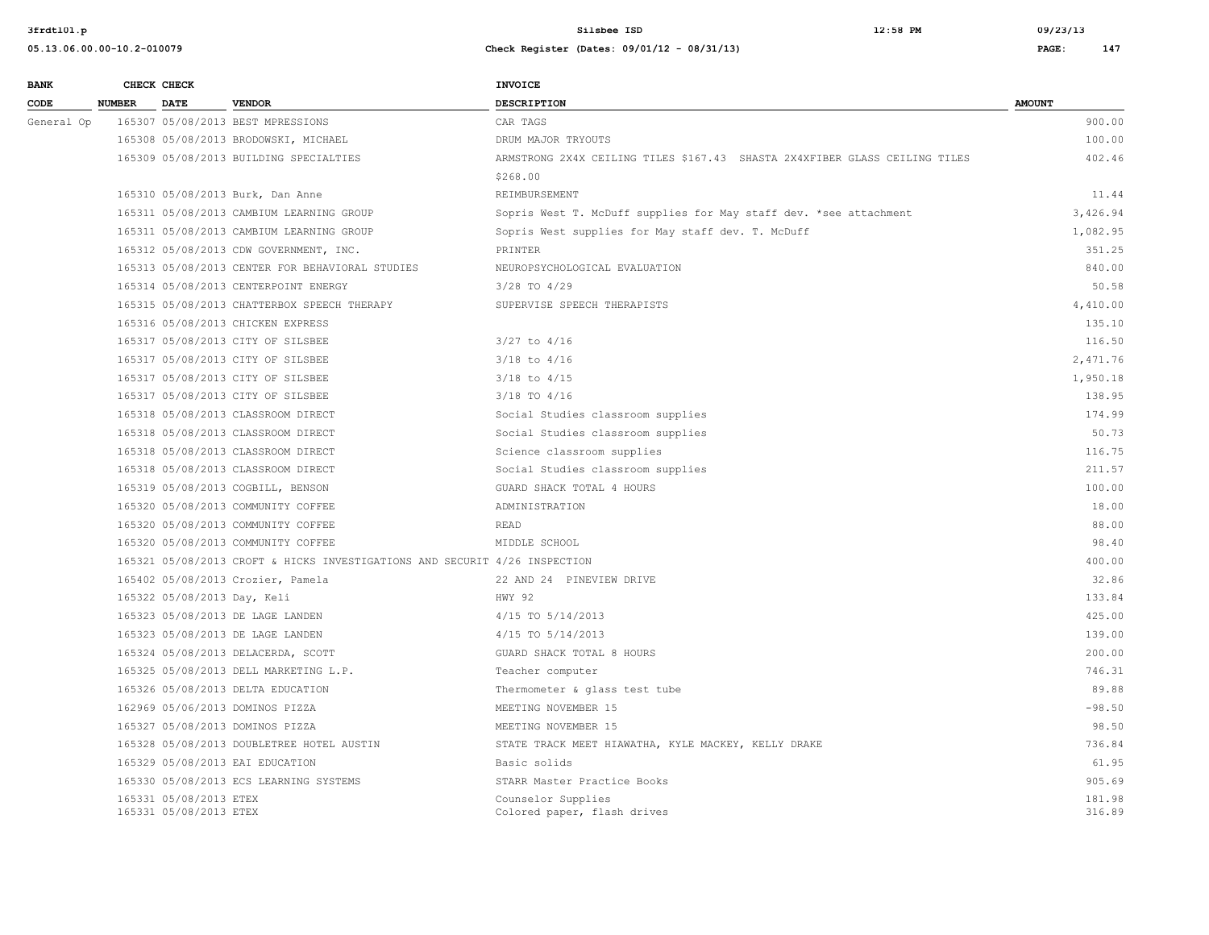| <b>BANK</b> |               | CHECK CHECK                                      |                                                                            | <b>INVOICE</b>                                                             |                  |
|-------------|---------------|--------------------------------------------------|----------------------------------------------------------------------------|----------------------------------------------------------------------------|------------------|
| CODE        | <b>NUMBER</b> | <b>DATE</b>                                      | <b>VENDOR</b>                                                              | <b>DESCRIPTION</b>                                                         | <b>AMOUNT</b>    |
| General Op  |               |                                                  | 165307 05/08/2013 BEST MPRESSIONS                                          | CAR TAGS                                                                   | 900.00           |
|             |               |                                                  | 165308 05/08/2013 BRODOWSKI, MICHAEL                                       | DRUM MAJOR TRYOUTS                                                         | 100.00           |
|             |               |                                                  | 165309 05/08/2013 BUILDING SPECIALTIES                                     | ARMSTRONG 2X4X CEILING TILES \$167.43 SHASTA 2X4XFIBER GLASS CEILING TILES | 402.46           |
|             |               |                                                  |                                                                            | \$268.00                                                                   |                  |
|             |               |                                                  | 165310 05/08/2013 Burk, Dan Anne                                           | <b>REIMBURSEMENT</b>                                                       | 11.44            |
|             |               |                                                  | 165311 05/08/2013 CAMBIUM LEARNING GROUP                                   | Sopris West T. McDuff supplies for May staff dev. *see attachment          | 3,426.94         |
|             |               |                                                  | 165311 05/08/2013 CAMBIUM LEARNING GROUP                                   | Sopris West supplies for May staff dev. T. McDuff                          | 1,082.95         |
|             |               |                                                  | 165312 05/08/2013 CDW GOVERNMENT, INC.                                     | PRINTER                                                                    | 351.25           |
|             |               |                                                  | 165313 05/08/2013 CENTER FOR BEHAVIORAL STUDIES                            | NEUROPSYCHOLOGICAL EVALUATION                                              | 840.00           |
|             |               |                                                  | 165314 05/08/2013 CENTERPOINT ENERGY                                       | 3/28 TO 4/29                                                               | 50.58            |
|             |               |                                                  | 165315 05/08/2013 CHATTERBOX SPEECH THERAPY                                | SUPERVISE SPEECH THERAPISTS                                                | 4,410.00         |
|             |               |                                                  | 165316 05/08/2013 CHICKEN EXPRESS                                          |                                                                            | 135.10           |
|             |               |                                                  | 165317 05/08/2013 CITY OF SILSBEE                                          | $3/27$ to $4/16$                                                           | 116.50           |
|             |               |                                                  | 165317 05/08/2013 CITY OF SILSBEE                                          | $3/18$ to $4/16$                                                           | 2,471.76         |
|             |               |                                                  | 165317 05/08/2013 CITY OF SILSBEE                                          | $3/18$ to $4/15$                                                           | 1,950.18         |
|             |               |                                                  | 165317 05/08/2013 CITY OF SILSBEE                                          | 3/18 TO 4/16                                                               | 138.95           |
|             |               |                                                  | 165318 05/08/2013 CLASSROOM DIRECT                                         | Social Studies classroom supplies                                          | 174.99           |
|             |               |                                                  | 165318 05/08/2013 CLASSROOM DIRECT                                         | Social Studies classroom supplies                                          | 50.73            |
|             |               |                                                  | 165318 05/08/2013 CLASSROOM DIRECT                                         | Science classroom supplies                                                 | 116.75           |
|             |               |                                                  | 165318 05/08/2013 CLASSROOM DIRECT                                         | Social Studies classroom supplies                                          | 211.57           |
|             |               |                                                  | 165319 05/08/2013 COGBILL, BENSON                                          | GUARD SHACK TOTAL 4 HOURS                                                  | 100.00           |
|             |               |                                                  | 165320 05/08/2013 COMMUNITY COFFEE                                         | ADMINISTRATION                                                             | 18.00            |
|             |               |                                                  | 165320 05/08/2013 COMMUNITY COFFEE                                         | <b>READ</b>                                                                | 88.00            |
|             |               |                                                  | 165320 05/08/2013 COMMUNITY COFFEE                                         | MIDDLE SCHOOL                                                              | 98.40            |
|             |               |                                                  | 165321 05/08/2013 CROFT & HICKS INVESTIGATIONS AND SECURIT 4/26 INSPECTION |                                                                            | 400.00           |
|             |               |                                                  | 165402 05/08/2013 Crozier, Pamela                                          | 22 AND 24 PINEVIEW DRIVE                                                   | 32.86            |
|             |               | 165322 05/08/2013 Day, Keli                      |                                                                            | HWY 92                                                                     | 133.84           |
|             |               |                                                  | 165323 05/08/2013 DE LAGE LANDEN                                           | 4/15 TO 5/14/2013                                                          | 425.00           |
|             |               |                                                  | 165323 05/08/2013 DE LAGE LANDEN                                           | 4/15 TO 5/14/2013                                                          | 139.00           |
|             |               |                                                  | 165324 05/08/2013 DELACERDA, SCOTT                                         | GUARD SHACK TOTAL 8 HOURS                                                  | 200.00           |
|             |               |                                                  | 165325 05/08/2013 DELL MARKETING L.P.                                      | Teacher computer                                                           | 746.31           |
|             |               |                                                  | 165326 05/08/2013 DELTA EDUCATION                                          | Thermometer & glass test tube                                              | 89.88            |
|             |               |                                                  | 162969 05/06/2013 DOMINOS PIZZA                                            | MEETING NOVEMBER 15                                                        | $-98.50$         |
|             |               |                                                  | 165327 05/08/2013 DOMINOS PIZZA                                            | MEETING NOVEMBER 15                                                        | 98.50            |
|             |               |                                                  | 165328 05/08/2013 DOUBLETREE HOTEL AUSTIN                                  | STATE TRACK MEET HIAWATHA, KYLE MACKEY, KELLY DRAKE                        | 736.84           |
|             |               |                                                  | 165329 05/08/2013 EAI EDUCATION                                            | Basic solids                                                               | 61.95            |
|             |               |                                                  | 165330 05/08/2013 ECS LEARNING SYSTEMS                                     | STARR Master Practice Books                                                | 905.69           |
|             |               | 165331 05/08/2013 ETEX<br>165331 05/08/2013 ETEX |                                                                            | Counselor Supplies<br>Colored paper, flash drives                          | 181.98<br>316.89 |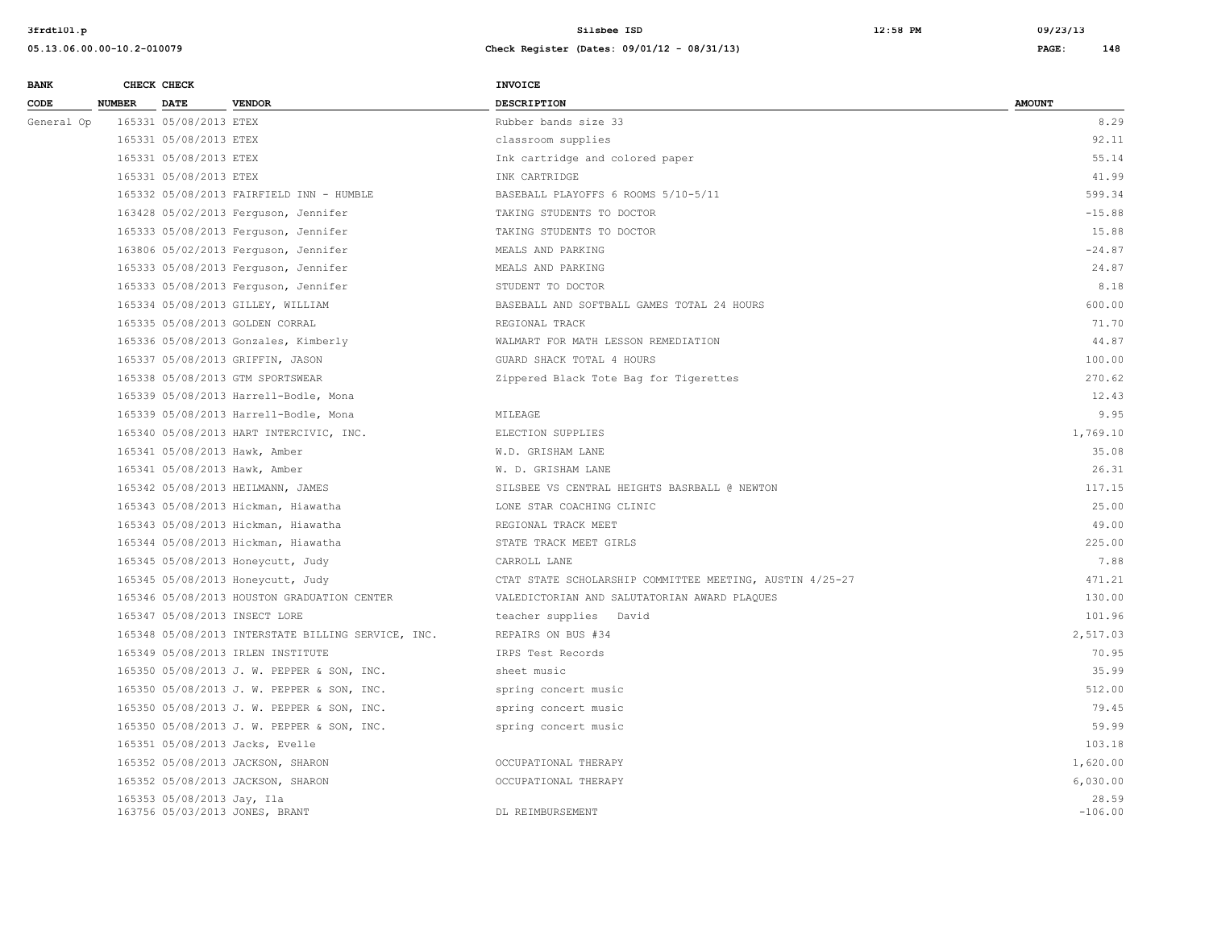| <b>BANK</b> |        | CHECK CHECK                |                                                    | <b>INVOICE</b>                                           |                    |
|-------------|--------|----------------------------|----------------------------------------------------|----------------------------------------------------------|--------------------|
| CODE        | NUMBER | <b>DATE</b>                | <b>VENDOR</b>                                      | <b>DESCRIPTION</b>                                       | <b>AMOUNT</b>      |
| General Op  |        | 165331 05/08/2013 ETEX     |                                                    | Rubber bands size 33                                     | 8.29               |
|             |        | 165331 05/08/2013 ETEX     |                                                    | classroom supplies                                       | 92.11              |
|             |        | 165331 05/08/2013 ETEX     |                                                    | Ink cartridge and colored paper                          | 55.14              |
|             |        | 165331 05/08/2013 ETEX     |                                                    | INK CARTRIDGE                                            | 41.99              |
|             |        |                            | 165332 05/08/2013 FAIRFIELD INN - HUMBLE           | BASEBALL PLAYOFFS 6 ROOMS 5/10-5/11                      | 599.34             |
|             |        |                            | 163428 05/02/2013 Ferguson, Jennifer               | TAKING STUDENTS TO DOCTOR                                | $-15.88$           |
|             |        |                            | 165333 05/08/2013 Ferguson, Jennifer               | TAKING STUDENTS TO DOCTOR                                | 15.88              |
|             |        |                            | 163806 05/02/2013 Ferguson, Jennifer               | MEALS AND PARKING                                        | $-24.87$           |
|             |        |                            | 165333 05/08/2013 Ferguson, Jennifer               | MEALS AND PARKING                                        | 24.87              |
|             |        |                            | 165333 05/08/2013 Ferguson, Jennifer               | STUDENT TO DOCTOR                                        | 8.18               |
|             |        |                            | 165334 05/08/2013 GILLEY, WILLIAM                  | BASEBALL AND SOFTBALL GAMES TOTAL 24 HOURS               | 600.00             |
|             |        |                            | 165335 05/08/2013 GOLDEN CORRAL                    | REGIONAL TRACK                                           | 71.70              |
|             |        |                            | 165336 05/08/2013 Gonzales, Kimberly               | WALMART FOR MATH LESSON REMEDIATION                      | 44.87              |
|             |        |                            | 165337 05/08/2013 GRIFFIN, JASON                   | GUARD SHACK TOTAL 4 HOURS                                | 100.00             |
|             |        |                            | 165338 05/08/2013 GTM SPORTSWEAR                   | Zippered Black Tote Bag for Tigerettes                   | 270.62             |
|             |        |                            | 165339 05/08/2013 Harrell-Bodle, Mona              |                                                          | 12.43              |
|             |        |                            | 165339 05/08/2013 Harrell-Bodle, Mona              | MILEAGE                                                  | 9.95               |
|             |        |                            | 165340 05/08/2013 HART INTERCIVIC, INC.            | ELECTION SUPPLIES                                        | 1,769.10           |
|             |        |                            | 165341 05/08/2013 Hawk, Amber                      | W.D. GRISHAM LANE                                        | 35.08              |
|             |        |                            | 165341 05/08/2013 Hawk, Amber                      | W. D. GRISHAM LANE                                       | 26.31              |
|             |        |                            | 165342 05/08/2013 HEILMANN, JAMES                  | SILSBEE VS CENTRAL HEIGHTS BASRBALL @ NEWTON             | 117.15             |
|             |        |                            | 165343 05/08/2013 Hickman, Hiawatha                | LONE STAR COACHING CLINIC                                | 25.00              |
|             |        |                            | 165343 05/08/2013 Hickman, Hiawatha                | REGIONAL TRACK MEET                                      | 49.00              |
|             |        |                            | 165344 05/08/2013 Hickman, Hiawatha                | STATE TRACK MEET GIRLS                                   | 225.00             |
|             |        |                            | 165345 05/08/2013 Honeycutt, Judy                  | CARROLL LANE                                             | 7.88               |
|             |        |                            | 165345 05/08/2013 Honeycutt, Judy                  | CTAT STATE SCHOLARSHIP COMMITTEE MEETING, AUSTIN 4/25-27 | 471.21             |
|             |        |                            | 165346 05/08/2013 HOUSTON GRADUATION CENTER        | VALEDICTORIAN AND SALUTATORIAN AWARD PLAQUES             | 130.00             |
|             |        |                            | 165347 05/08/2013 INSECT LORE                      | teacher supplies David                                   | 101.96             |
|             |        |                            | 165348 05/08/2013 INTERSTATE BILLING SERVICE, INC. | REPAIRS ON BUS #34                                       | 2,517.03           |
|             |        |                            | 165349 05/08/2013 IRLEN INSTITUTE                  | IRPS Test Records                                        | 70.95              |
|             |        |                            | 165350 05/08/2013 J. W. PEPPER & SON, INC.         | sheet music                                              | 35.99              |
|             |        |                            | 165350 05/08/2013 J. W. PEPPER & SON, INC.         | spring concert music                                     | 512.00             |
|             |        |                            | 165350 05/08/2013 J. W. PEPPER & SON, INC.         | spring concert music                                     | 79.45              |
|             |        |                            | 165350 05/08/2013 J. W. PEPPER & SON, INC.         | spring concert music                                     | 59.99              |
|             |        |                            | 165351 05/08/2013 Jacks, Evelle                    |                                                          | 103.18             |
|             |        |                            | 165352 05/08/2013 JACKSON, SHARON                  | OCCUPATIONAL THERAPY                                     | 1,620.00           |
|             |        |                            | 165352 05/08/2013 JACKSON, SHARON                  | OCCUPATIONAL THERAPY                                     | 6,030.00           |
|             |        | 165353 05/08/2013 Jay, Ila | 163756 05/03/2013 JONES, BRANT                     | DL REIMBURSEMENT                                         | 28.59<br>$-106.00$ |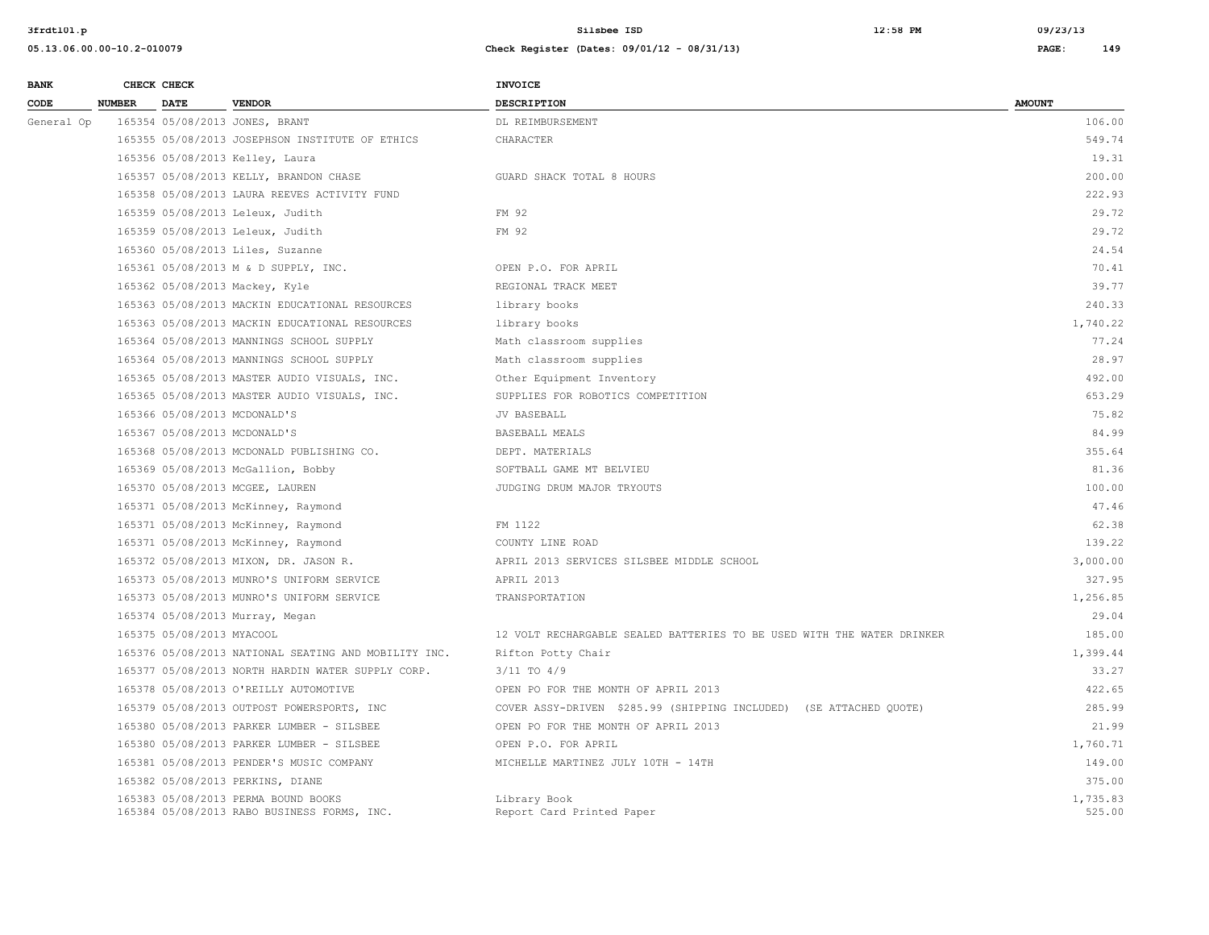| <b>BANK</b> |               | CHECK CHECK               |                                                                                    | INVOICE                                                                |                    |
|-------------|---------------|---------------------------|------------------------------------------------------------------------------------|------------------------------------------------------------------------|--------------------|
| CODE        | <b>NUMBER</b> | <b>DATE</b>               | <b>VENDOR</b>                                                                      | <b>DESCRIPTION</b>                                                     | <b>AMOUNT</b>      |
| General Op  |               |                           | 165354 05/08/2013 JONES, BRANT                                                     | DL REIMBURSEMENT                                                       | 106.00             |
|             |               |                           | 165355 05/08/2013 JOSEPHSON INSTITUTE OF ETHICS                                    | CHARACTER                                                              | 549.74             |
|             |               |                           | 165356 05/08/2013 Kelley, Laura                                                    |                                                                        | 19.31              |
|             |               |                           | 165357 05/08/2013 KELLY, BRANDON CHASE                                             | GUARD SHACK TOTAL 8 HOURS                                              | 200.00             |
|             |               |                           | 165358 05/08/2013 LAURA REEVES ACTIVITY FUND                                       |                                                                        | 222.93             |
|             |               |                           | 165359 05/08/2013 Leleux, Judith                                                   | FM 92                                                                  | 29.72              |
|             |               |                           | 165359 05/08/2013 Leleux, Judith                                                   | FM 92                                                                  | 29.72              |
|             |               |                           | 165360 05/08/2013 Liles, Suzanne                                                   |                                                                        | 24.54              |
|             |               |                           | 165361 05/08/2013 M & D SUPPLY, INC.                                               | OPEN P.O. FOR APRIL                                                    | 70.41              |
|             |               |                           | 165362 05/08/2013 Mackey, Kyle                                                     | REGIONAL TRACK MEET                                                    | 39.77              |
|             |               |                           | 165363 05/08/2013 MACKIN EDUCATIONAL RESOURCES                                     | library books                                                          | 240.33             |
|             |               |                           | 165363 05/08/2013 MACKIN EDUCATIONAL RESOURCES                                     | library books                                                          | 1,740.22           |
|             |               |                           | 165364 05/08/2013 MANNINGS SCHOOL SUPPLY                                           | Math classroom supplies                                                | 77.24              |
|             |               |                           | 165364 05/08/2013 MANNINGS SCHOOL SUPPLY                                           | Math classroom supplies                                                | 28.97              |
|             |               |                           | 165365 05/08/2013 MASTER AUDIO VISUALS, INC.                                       | Other Equipment Inventory                                              | 492.00             |
|             |               |                           | 165365 05/08/2013 MASTER AUDIO VISUALS, INC.                                       | SUPPLIES FOR ROBOTICS COMPETITION                                      | 653.29             |
|             |               |                           | 165366 05/08/2013 MCDONALD'S                                                       | JV BASEBALL                                                            | 75.82              |
|             |               |                           | 165367 05/08/2013 MCDONALD'S                                                       | BASEBALL MEALS                                                         | 84.99              |
|             |               |                           | 165368 05/08/2013 MCDONALD PUBLISHING CO.                                          | DEPT. MATERIALS                                                        | 355.64             |
|             |               |                           | 165369 05/08/2013 McGallion, Bobby                                                 | SOFTBALL GAME MT BELVIEU                                               | 81.36              |
|             |               |                           | 165370 05/08/2013 MCGEE, LAUREN                                                    | JUDGING DRUM MAJOR TRYOUTS                                             | 100.00             |
|             |               |                           | 165371 05/08/2013 McKinney, Raymond                                                |                                                                        | 47.46              |
|             |               |                           | 165371 05/08/2013 McKinney, Raymond                                                | FM 1122                                                                | 62.38              |
|             |               |                           | 165371 05/08/2013 McKinney, Raymond                                                | COUNTY LINE ROAD                                                       | 139.22             |
|             |               |                           | 165372 05/08/2013 MIXON, DR. JASON R.                                              | APRIL 2013 SERVICES SILSBEE MIDDLE SCHOOL                              | 3,000.00           |
|             |               |                           | 165373 05/08/2013 MUNRO'S UNIFORM SERVICE                                          | APRIL 2013                                                             | 327.95             |
|             |               |                           | 165373 05/08/2013 MUNRO'S UNIFORM SERVICE                                          | TRANSPORTATION                                                         | 1,256.85           |
|             |               |                           | 165374 05/08/2013 Murray, Megan                                                    |                                                                        | 29.04              |
|             |               | 165375 05/08/2013 MYACOOL |                                                                                    | 12 VOLT RECHARGABLE SEALED BATTERIES TO BE USED WITH THE WATER DRINKER | 185.00             |
|             |               |                           | 165376 05/08/2013 NATIONAL SEATING AND MOBILITY INC.                               | Rifton Potty Chair                                                     | 1,399.44           |
|             |               |                           | 165377 05/08/2013 NORTH HARDIN WATER SUPPLY CORP.                                  | 3/11 TO 4/9                                                            | 33.27              |
|             |               |                           | 165378 05/08/2013 O'REILLY AUTOMOTIVE                                              | OPEN PO FOR THE MONTH OF APRIL 2013                                    | 422.65             |
|             |               |                           | 165379 05/08/2013 OUTPOST POWERSPORTS, INC                                         | COVER ASSY-DRIVEN \$285.99 (SHIPPING INCLUDED) (SE ATTACHED QUOTE)     | 285.99             |
|             |               |                           | 165380 05/08/2013 PARKER LUMBER - SILSBEE                                          | OPEN PO FOR THE MONTH OF APRIL 2013                                    | 21.99              |
|             |               |                           | 165380 05/08/2013 PARKER LUMBER - SILSBEE                                          | OPEN P.O. FOR APRIL                                                    | 1,760.71           |
|             |               |                           | 165381 05/08/2013 PENDER'S MUSIC COMPANY                                           | MICHELLE MARTINEZ JULY 10TH - 14TH                                     | 149.00             |
|             |               |                           | 165382 05/08/2013 PERKINS, DIANE                                                   |                                                                        | 375.00             |
|             |               |                           | 165383 05/08/2013 PERMA BOUND BOOKS<br>165384 05/08/2013 RABO BUSINESS FORMS, INC. | Library Book<br>Report Card Printed Paper                              | 1,735.83<br>525.00 |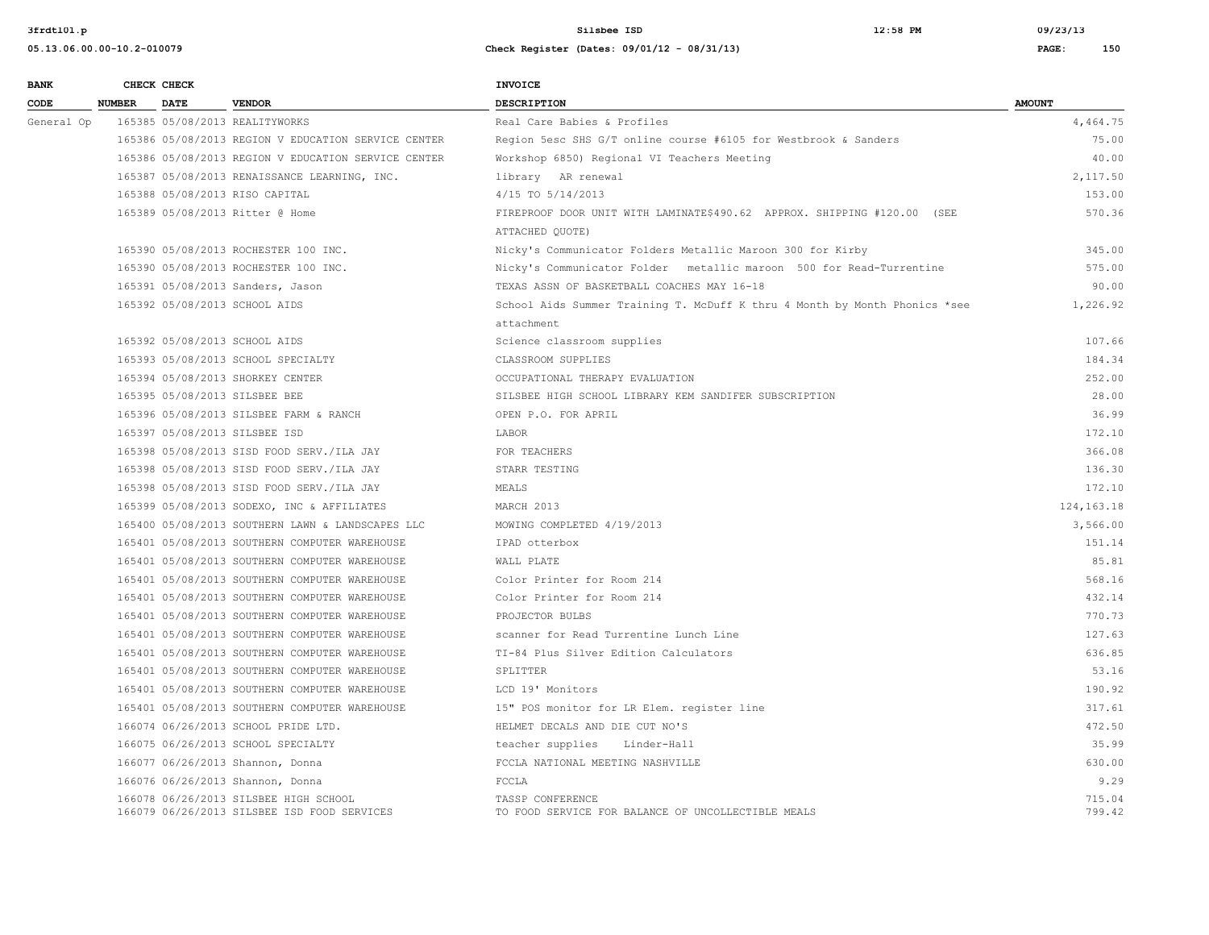**3frdtl01.p Silsbee ISD 12:58 PM 09/23/13**

| <b>BANK</b> |               | CHECK CHECK |                                                                                      | <b>INVOICE</b>                                                                             |                  |
|-------------|---------------|-------------|--------------------------------------------------------------------------------------|--------------------------------------------------------------------------------------------|------------------|
| CODE        | <b>NUMBER</b> | <b>DATE</b> | <b>VENDOR</b>                                                                        | <b>DESCRIPTION</b>                                                                         | <b>AMOUNT</b>    |
| General Op  |               |             | 165385 05/08/2013 REALITYWORKS                                                       | Real Care Babies & Profiles                                                                | 4,464.75         |
|             |               |             | 165386 05/08/2013 REGION V EDUCATION SERVICE CENTER                                  | Region 5esc SHS G/T online course #6105 for Westbrook & Sanders                            | 75.00            |
|             |               |             | 165386 05/08/2013 REGION V EDUCATION SERVICE CENTER                                  | Workshop 6850) Regional VI Teachers Meeting                                                | 40.00            |
|             |               |             | 165387 05/08/2013 RENAISSANCE LEARNING, INC.                                         | library AR renewal                                                                         | 2,117.50         |
|             |               |             | 165388 05/08/2013 RISO CAPITAL                                                       | 4/15 TO 5/14/2013                                                                          | 153.00           |
|             |               |             | 165389 05/08/2013 Ritter @ Home                                                      | FIREPROOF DOOR UNIT WITH LAMINATE\$490.62 APPROX. SHIPPING #120.00 (SEE<br>ATTACHED QUOTE) | 570.36           |
|             |               |             | 165390 05/08/2013 ROCHESTER 100 INC.                                                 | Nicky's Communicator Folders Metallic Maroon 300 for Kirby                                 | 345.00           |
|             |               |             | 165390 05/08/2013 ROCHESTER 100 INC.                                                 | Nicky's Communicator Folder metallic maroon 500 for Read-Turrentine                        | 575.00           |
|             |               |             | 165391 05/08/2013 Sanders, Jason                                                     | TEXAS ASSN OF BASKETBALL COACHES MAY 16-18                                                 | 90.00            |
|             |               |             | 165392 05/08/2013 SCHOOL AIDS                                                        | School Aids Summer Training T. McDuff K thru 4 Month by Month Phonics *see<br>attachment   | 1,226.92         |
|             |               |             | 165392 05/08/2013 SCHOOL AIDS                                                        | Science classroom supplies                                                                 | 107.66           |
|             |               |             | 165393 05/08/2013 SCHOOL SPECIALTY                                                   | CLASSROOM SUPPLIES                                                                         | 184.34           |
|             |               |             | 165394 05/08/2013 SHORKEY CENTER                                                     | OCCUPATIONAL THERAPY EVALUATION                                                            | 252.00           |
|             |               |             | 165395 05/08/2013 SILSBEE BEE                                                        | SILSBEE HIGH SCHOOL LIBRARY KEM SANDIFER SUBSCRIPTION                                      | 28.00            |
|             |               |             | 165396 05/08/2013 SILSBEE FARM & RANCH                                               | OPEN P.O. FOR APRIL                                                                        | 36.99            |
|             |               |             | 165397 05/08/2013 SILSBEE ISD                                                        | LABOR                                                                                      | 172.10           |
|             |               |             | 165398 05/08/2013 SISD FOOD SERV./ILA JAY                                            | FOR TEACHERS                                                                               | 366.08           |
|             |               |             | 165398 05/08/2013 SISD FOOD SERV./ILA JAY                                            | STARR TESTING                                                                              | 136.30           |
|             |               |             | 165398 05/08/2013 SISD FOOD SERV./ILA JAY                                            | MEALS                                                                                      | 172.10           |
|             |               |             | 165399 05/08/2013 SODEXO, INC & AFFILIATES                                           | MARCH 2013                                                                                 | 124, 163. 18     |
|             |               |             | 165400 05/08/2013 SOUTHERN LAWN & LANDSCAPES LLC                                     | MOWING COMPLETED 4/19/2013                                                                 | 3,566.00         |
|             |               |             | 165401 05/08/2013 SOUTHERN COMPUTER WAREHOUSE                                        | IPAD otterbox                                                                              | 151.14           |
|             |               |             | 165401 05/08/2013 SOUTHERN COMPUTER WAREHOUSE                                        | WALL PLATE                                                                                 | 85.81            |
|             |               |             | 165401 05/08/2013 SOUTHERN COMPUTER WAREHOUSE                                        | Color Printer for Room 214                                                                 | 568.16           |
|             |               |             | 165401 05/08/2013 SOUTHERN COMPUTER WAREHOUSE                                        | Color Printer for Room 214                                                                 | 432.14           |
|             |               |             | 165401 05/08/2013 SOUTHERN COMPUTER WAREHOUSE                                        | PROJECTOR BULBS                                                                            | 770.73           |
|             |               |             | 165401 05/08/2013 SOUTHERN COMPUTER WAREHOUSE                                        | scanner for Read Turrentine Lunch Line                                                     | 127.63           |
|             |               |             | 165401 05/08/2013 SOUTHERN COMPUTER WAREHOUSE                                        | TI-84 Plus Silver Edition Calculators                                                      | 636.85           |
|             |               |             | 165401 05/08/2013 SOUTHERN COMPUTER WAREHOUSE                                        | SPLITTER                                                                                   | 53.16            |
|             |               |             | 165401 05/08/2013 SOUTHERN COMPUTER WAREHOUSE                                        | LCD 19' Monitors                                                                           | 190.92           |
|             |               |             | 165401 05/08/2013 SOUTHERN COMPUTER WAREHOUSE                                        | 15" POS monitor for LR Elem. register line                                                 | 317.61           |
|             |               |             | 166074 06/26/2013 SCHOOL PRIDE LTD.                                                  | HELMET DECALS AND DIE CUT NO'S                                                             | 472.50           |
|             |               |             | 166075 06/26/2013 SCHOOL SPECIALTY                                                   | teacher supplies Linder-Hall                                                               | 35.99            |
|             |               |             | 166077 06/26/2013 Shannon, Donna                                                     | FCCLA NATIONAL MEETING NASHVILLE                                                           | 630.00           |
|             |               |             | 166076 06/26/2013 Shannon, Donna                                                     | FCCLA                                                                                      | 9.29             |
|             |               |             | 166078 06/26/2013 SILSBEE HIGH SCHOOL<br>166079 06/26/2013 SILSBEE ISD FOOD SERVICES | TASSP CONFERENCE<br>TO FOOD SERVICE FOR BALANCE OF UNCOLLECTIBLE MEALS                     | 715.04<br>799.42 |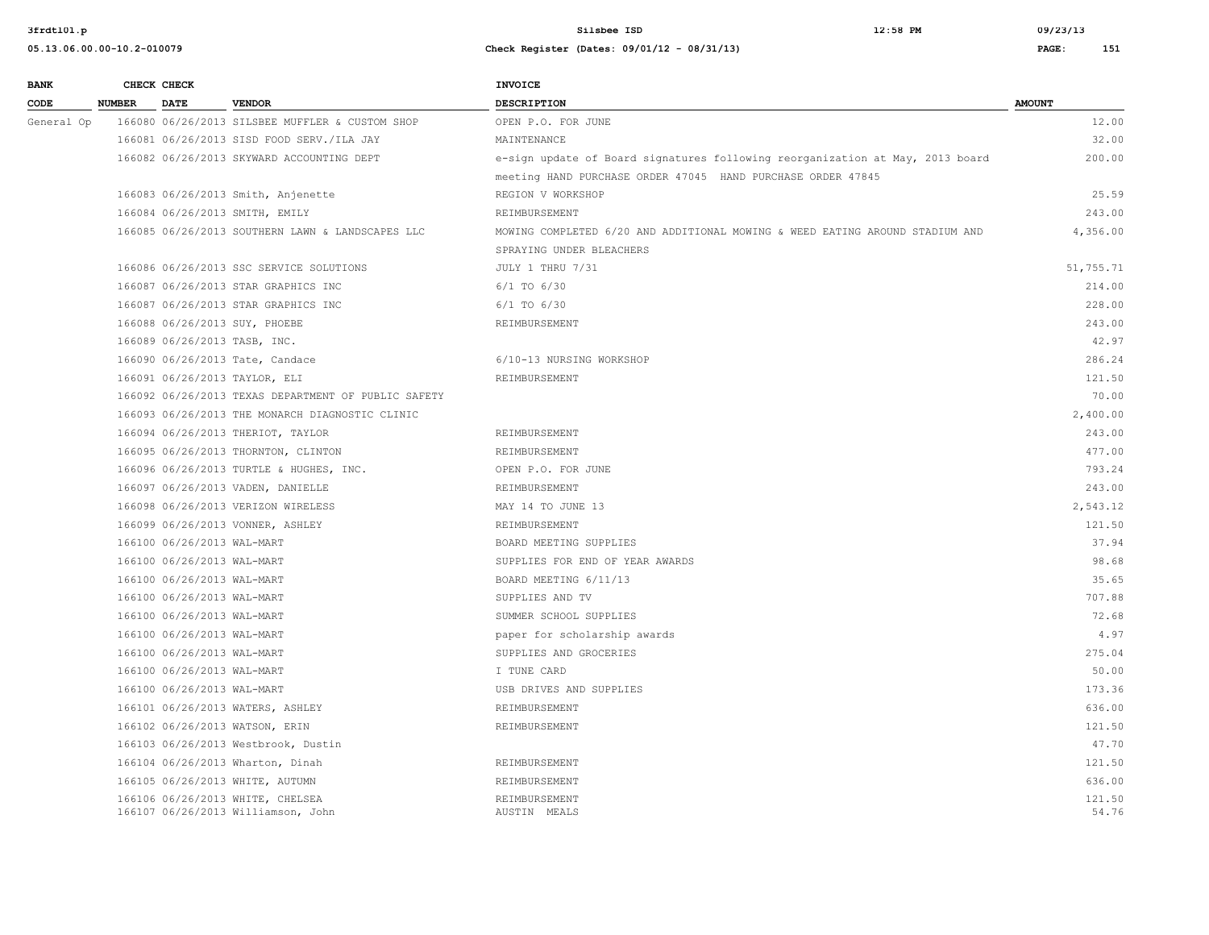| <b>BANK</b> |               | CHECK CHECK                |                                                                        | <b>INVOICE</b>                                                                                           |                 |
|-------------|---------------|----------------------------|------------------------------------------------------------------------|----------------------------------------------------------------------------------------------------------|-----------------|
| CODE        | <b>NUMBER</b> | <b>DATE</b>                | <b>VENDOR</b>                                                          | DESCRIPTION                                                                                              | <b>AMOUNT</b>   |
| General Op  |               |                            | 166080 06/26/2013 SILSBEE MUFFLER & CUSTOM SHOP                        | OPEN P.O. FOR JUNE                                                                                       | 12.00           |
|             |               |                            | 166081 06/26/2013 SISD FOOD SERV./ILA JAY                              | MAINTENANCE                                                                                              | 32.00           |
|             |               |                            | 166082 06/26/2013 SKYWARD ACCOUNTING DEPT                              | e-sign update of Board signatures following reorganization at May, 2013 board                            | 200.00          |
|             |               |                            |                                                                        | meeting HAND PURCHASE ORDER 47045 HAND PURCHASE ORDER 47845                                              |                 |
|             |               |                            | 166083 06/26/2013 Smith, Anjenette                                     | REGION V WORKSHOP                                                                                        | 25.59           |
|             |               |                            | 166084 06/26/2013 SMITH, EMILY                                         | REIMBURSEMENT                                                                                            | 243.00          |
|             |               |                            | 166085 06/26/2013 SOUTHERN LAWN & LANDSCAPES LLC                       | MOWING COMPLETED 6/20 AND ADDITIONAL MOWING & WEED EATING AROUND STADIUM AND<br>SPRAYING UNDER BLEACHERS | 4,356.00        |
|             |               |                            | 166086 06/26/2013 SSC SERVICE SOLUTIONS                                | JULY 1 THRU 7/31                                                                                         | 51,755.71       |
|             |               |                            | 166087 06/26/2013 STAR GRAPHICS INC                                    | $6/1$ TO $6/30$                                                                                          | 214.00          |
|             |               |                            | 166087 06/26/2013 STAR GRAPHICS INC                                    | $6/1$ TO $6/30$                                                                                          | 228.00          |
|             |               |                            | 166088 06/26/2013 SUY, PHOEBE                                          | REIMBURSEMENT                                                                                            | 243.00          |
|             |               |                            | 166089 06/26/2013 TASB, INC.                                           |                                                                                                          | 42.97           |
|             |               |                            | 166090 06/26/2013 Tate, Candace                                        | 6/10-13 NURSING WORKSHOP                                                                                 | 286.24          |
|             |               |                            | 166091 06/26/2013 TAYLOR, ELI                                          | REIMBURSEMENT                                                                                            | 121.50          |
|             |               |                            | 166092 06/26/2013 TEXAS DEPARTMENT OF PUBLIC SAFETY                    |                                                                                                          | 70.00           |
|             |               |                            | 166093 06/26/2013 THE MONARCH DIAGNOSTIC CLINIC                        |                                                                                                          | 2,400.00        |
|             |               |                            | 166094 06/26/2013 THERIOT, TAYLOR                                      | REIMBURSEMENT                                                                                            | 243.00          |
|             |               |                            | 166095 06/26/2013 THORNTON, CLINTON                                    | REIMBURSEMENT                                                                                            | 477.00          |
|             |               |                            | 166096 06/26/2013 TURTLE & HUGHES, INC.                                | OPEN P.O. FOR JUNE                                                                                       | 793.24          |
|             |               |                            | 166097 06/26/2013 VADEN, DANIELLE                                      | REIMBURSEMENT                                                                                            | 243.00          |
|             |               |                            | 166098 06/26/2013 VERIZON WIRELESS                                     | MAY 14 TO JUNE 13                                                                                        | 2,543.12        |
|             |               |                            | 166099 06/26/2013 VONNER, ASHLEY                                       | REIMBURSEMENT                                                                                            | 121.50          |
|             |               | 166100 06/26/2013 WAL-MART |                                                                        | BOARD MEETING SUPPLIES                                                                                   | 37.94           |
|             |               | 166100 06/26/2013 WAL-MART |                                                                        | SUPPLIES FOR END OF YEAR AWARDS                                                                          | 98.68           |
|             |               | 166100 06/26/2013 WAL-MART |                                                                        | BOARD MEETING 6/11/13                                                                                    | 35.65           |
|             |               | 166100 06/26/2013 WAL-MART |                                                                        | SUPPLIES AND TV                                                                                          | 707.88          |
|             |               | 166100 06/26/2013 WAL-MART |                                                                        | SUMMER SCHOOL SUPPLIES                                                                                   | 72.68           |
|             |               | 166100 06/26/2013 WAL-MART |                                                                        | paper for scholarship awards                                                                             | 4.97            |
|             |               | 166100 06/26/2013 WAL-MART |                                                                        | SUPPLIES AND GROCERIES                                                                                   | 275.04          |
|             |               | 166100 06/26/2013 WAL-MART |                                                                        | I TUNE CARD                                                                                              | 50.00           |
|             |               | 166100 06/26/2013 WAL-MART |                                                                        | USB DRIVES AND SUPPLIES                                                                                  | 173.36          |
|             |               |                            | 166101 06/26/2013 WATERS, ASHLEY                                       | REIMBURSEMENT                                                                                            | 636.00          |
|             |               |                            | 166102 06/26/2013 WATSON, ERIN                                         | REIMBURSEMENT                                                                                            | 121.50          |
|             |               |                            | 166103 06/26/2013 Westbrook, Dustin                                    |                                                                                                          | 47.70           |
|             |               |                            | 166104 06/26/2013 Wharton, Dinah                                       | REIMBURSEMENT                                                                                            | 121.50          |
|             |               |                            | 166105 06/26/2013 WHITE, AUTUMN                                        | REIMBURSEMENT                                                                                            | 636.00          |
|             |               |                            | 166106 06/26/2013 WHITE, CHELSEA<br>166107 06/26/2013 Williamson, John | REIMBURSEMENT<br>AUSTIN MEALS                                                                            | 121.50<br>54.76 |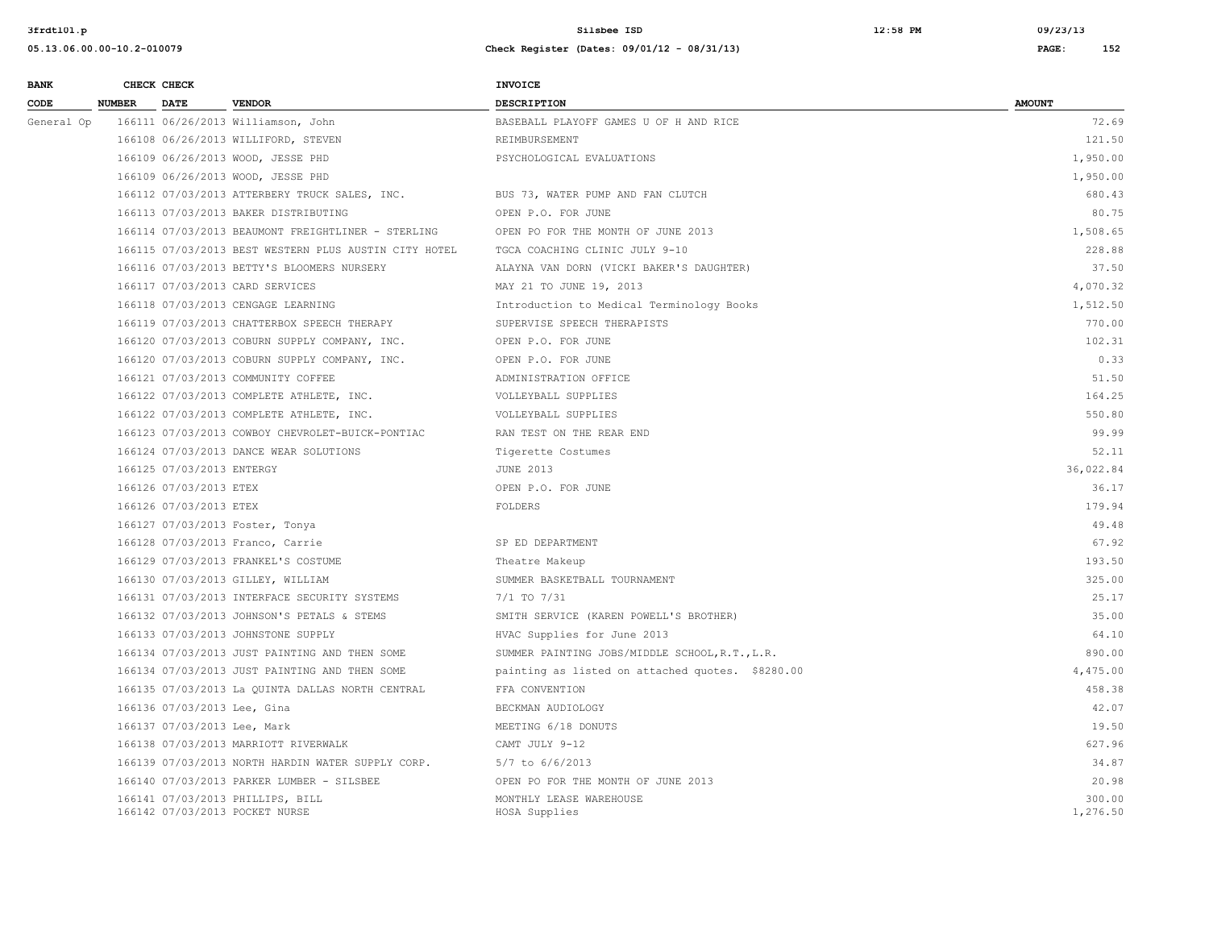| <b>BANK</b> | CHECK CHECK                  |                                                                    | <b>INVOICE</b>                                   |                    |
|-------------|------------------------------|--------------------------------------------------------------------|--------------------------------------------------|--------------------|
| CODE        | <b>NUMBER</b><br><b>DATE</b> | <b>VENDOR</b>                                                      | DESCRIPTION                                      | <b>AMOUNT</b>      |
| General Op  |                              | 166111 06/26/2013 Williamson, John                                 | BASEBALL PLAYOFF GAMES U OF H AND RICE           | 72.69              |
|             |                              | 166108 06/26/2013 WILLIFORD, STEVEN                                | REIMBURSEMENT                                    | 121.50             |
|             |                              | 166109 06/26/2013 WOOD, JESSE PHD                                  | PSYCHOLOGICAL EVALUATIONS                        | 1,950.00           |
|             |                              | 166109 06/26/2013 WOOD, JESSE PHD                                  |                                                  | 1,950.00           |
|             |                              | 166112 07/03/2013 ATTERBERY TRUCK SALES, INC.                      | BUS 73, WATER PUMP AND FAN CLUTCH                | 680.43             |
|             |                              | 166113 07/03/2013 BAKER DISTRIBUTING                               | OPEN P.O. FOR JUNE                               | 80.75              |
|             |                              | 166114 07/03/2013 BEAUMONT FREIGHTLINER - STERLING                 | OPEN PO FOR THE MONTH OF JUNE 2013               | 1,508.65           |
|             |                              | 166115 07/03/2013 BEST WESTERN PLUS AUSTIN CITY HOTEL              | TGCA COACHING CLINIC JULY 9-10                   | 228.88             |
|             |                              | 166116 07/03/2013 BETTY'S BLOOMERS NURSERY                         | ALAYNA VAN DORN (VICKI BAKER'S DAUGHTER)         | 37.50              |
|             |                              | 166117 07/03/2013 CARD SERVICES                                    | MAY 21 TO JUNE 19, 2013                          | 4,070.32           |
|             |                              | 166118 07/03/2013 CENGAGE LEARNING                                 | Introduction to Medical Terminology Books        | 1,512.50           |
|             |                              | 166119 07/03/2013 CHATTERBOX SPEECH THERAPY                        | SUPERVISE SPEECH THERAPISTS                      | 770.00             |
|             |                              | 166120 07/03/2013 COBURN SUPPLY COMPANY, INC.                      | OPEN P.O. FOR JUNE                               | 102.31             |
|             |                              | 166120 07/03/2013 COBURN SUPPLY COMPANY, INC.                      | OPEN P.O. FOR JUNE                               | 0.33               |
|             |                              | 166121 07/03/2013 COMMUNITY COFFEE                                 | ADMINISTRATION OFFICE                            | 51.50              |
|             |                              | 166122 07/03/2013 COMPLETE ATHLETE, INC.                           | VOLLEYBALL SUPPLIES                              | 164.25             |
|             |                              | 166122 07/03/2013 COMPLETE ATHLETE, INC.                           | VOLLEYBALL SUPPLIES                              | 550.80             |
|             |                              | 166123 07/03/2013 COWBOY CHEVROLET-BUICK-PONTIAC                   | RAN TEST ON THE REAR END                         | 99.99              |
|             |                              | 166124 07/03/2013 DANCE WEAR SOLUTIONS                             | Tigerette Costumes                               | 52.11              |
|             | 166125 07/03/2013 ENTERGY    |                                                                    | <b>JUNE 2013</b>                                 | 36,022.84          |
|             | 166126 07/03/2013 ETEX       |                                                                    | OPEN P.O. FOR JUNE                               | 36.17              |
|             | 166126 07/03/2013 ETEX       |                                                                    | FOLDERS                                          | 179.94             |
|             |                              | 166127 07/03/2013 Foster, Tonya                                    |                                                  | 49.48              |
|             |                              | 166128 07/03/2013 Franco, Carrie                                   | SP ED DEPARTMENT                                 | 67.92              |
|             |                              | 166129 07/03/2013 FRANKEL'S COSTUME                                | Theatre Makeup                                   | 193.50             |
|             |                              | 166130 07/03/2013 GILLEY, WILLIAM                                  | SUMMER BASKETBALL TOURNAMENT                     | 325.00             |
|             |                              | 166131 07/03/2013 INTERFACE SECURITY SYSTEMS                       | $7/1$ TO $7/31$                                  | 25.17              |
|             |                              | 166132 07/03/2013 JOHNSON'S PETALS & STEMS                         | SMITH SERVICE (KAREN POWELL'S BROTHER)           | 35.00              |
|             |                              | 166133 07/03/2013 JOHNSTONE SUPPLY                                 | HVAC Supplies for June 2013                      | 64.10              |
|             |                              | 166134 07/03/2013 JUST PAINTING AND THEN SOME                      | SUMMER PAINTING JOBS/MIDDLE SCHOOL, R.T., L.R.   | 890.00             |
|             |                              | 166134 07/03/2013 JUST PAINTING AND THEN SOME                      | painting as listed on attached quotes. \$8280.00 | 4,475.00           |
|             |                              | 166135 07/03/2013 La QUINTA DALLAS NORTH CENTRAL                   | FFA CONVENTION                                   | 458.38             |
|             | 166136 07/03/2013 Lee, Gina  |                                                                    | BECKMAN AUDIOLOGY                                | 42.07              |
|             | 166137 07/03/2013 Lee, Mark  |                                                                    | MEETING 6/18 DONUTS                              | 19.50              |
|             |                              | 166138 07/03/2013 MARRIOTT RIVERWALK                               | CAMT JULY 9-12                                   | 627.96             |
|             |                              | 166139 07/03/2013 NORTH HARDIN WATER SUPPLY CORP.                  | 5/7 to 6/6/2013                                  | 34.87              |
|             |                              | 166140 07/03/2013 PARKER LUMBER - SILSBEE                          | OPEN PO FOR THE MONTH OF JUNE 2013               | 20.98              |
|             |                              | 166141 07/03/2013 PHILLIPS, BILL<br>166142 07/03/2013 POCKET NURSE | MONTHLY LEASE WAREHOUSE<br>HOSA Supplies         | 300.00<br>1,276.50 |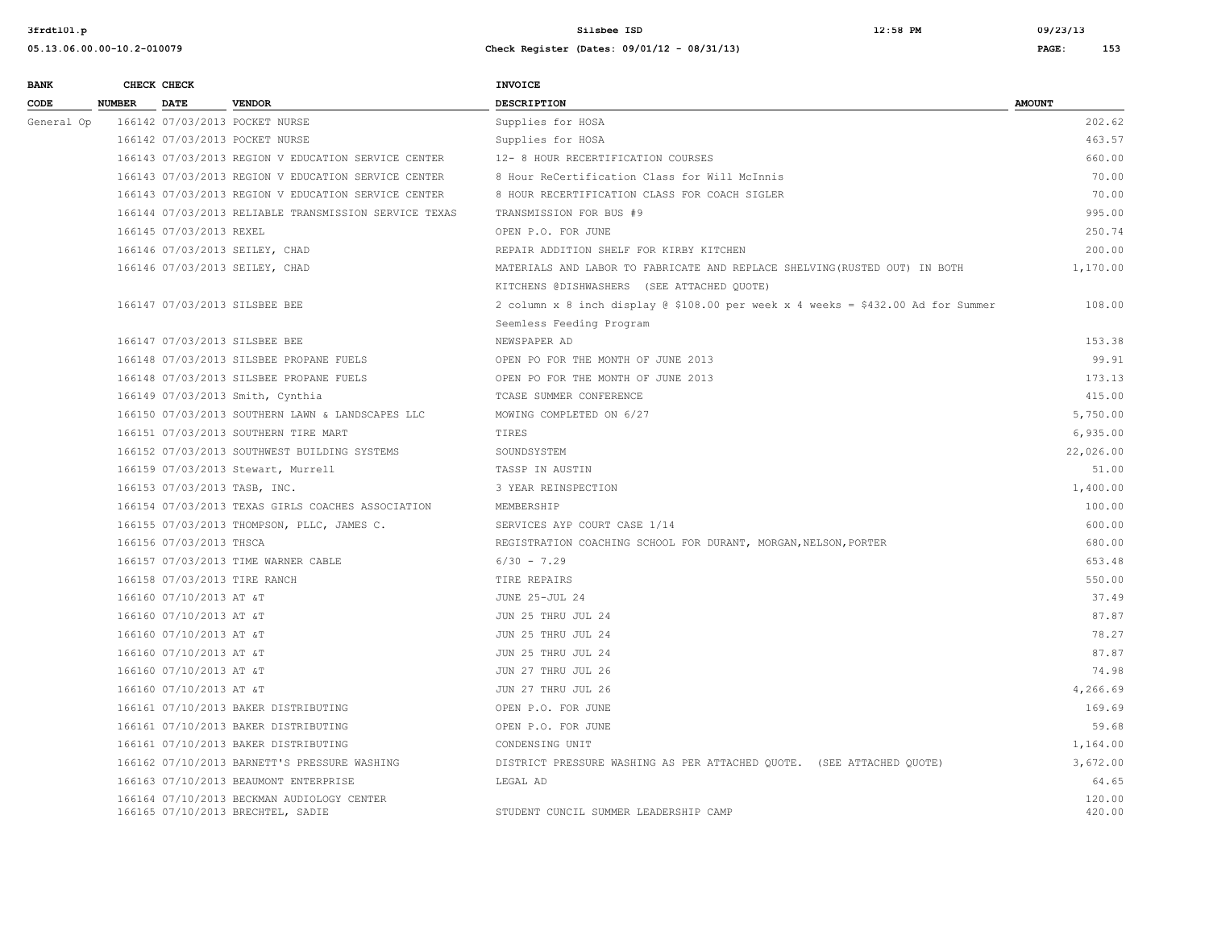| <b>BANK</b> |                    | CHECK CHECK             |                                                                                 | <b>INVOICE</b>                                                                   |                  |
|-------------|--------------------|-------------------------|---------------------------------------------------------------------------------|----------------------------------------------------------------------------------|------------------|
| CODE        | <b>NUMBER DATE</b> |                         | <b>VENDOR</b>                                                                   | <b>DESCRIPTION</b>                                                               | <b>AMOUNT</b>    |
| General Op  |                    |                         | 166142 07/03/2013 POCKET NURSE                                                  | Supplies for HOSA                                                                | 202.62           |
|             |                    |                         | 166142 07/03/2013 POCKET NURSE                                                  | Supplies for HOSA                                                                | 463.57           |
|             |                    |                         | 166143 07/03/2013 REGION V EDUCATION SERVICE CENTER                             | 12- 8 HOUR RECERTIFICATION COURSES                                               | 660.00           |
|             |                    |                         | 166143 07/03/2013 REGION V EDUCATION SERVICE CENTER                             | 8 Hour ReCertification Class for Will McInnis                                    | 70.00            |
|             |                    |                         | 166143 07/03/2013 REGION V EDUCATION SERVICE CENTER                             | 8 HOUR RECERTIFICATION CLASS FOR COACH SIGLER                                    | 70.00            |
|             |                    |                         | 166144 07/03/2013 RELIABLE TRANSMISSION SERVICE TEXAS                           | TRANSMISSION FOR BUS #9                                                          | 995.00           |
|             |                    | 166145 07/03/2013 REXEL |                                                                                 | OPEN P.O. FOR JUNE                                                               | 250.74           |
|             |                    |                         | 166146 07/03/2013 SEILEY, CHAD                                                  | REPAIR ADDITION SHELF FOR KIRBY KITCHEN                                          | 200.00           |
|             |                    |                         | 166146 07/03/2013 SEILEY, CHAD                                                  | MATERIALS AND LABOR TO FABRICATE AND REPLACE SHELVING (RUSTED OUT) IN BOTH       | 1,170.00         |
|             |                    |                         |                                                                                 | KITCHENS @DISHWASHERS (SEE ATTACHED QUOTE)                                       |                  |
|             |                    |                         | 166147 07/03/2013 SILSBEE BEE                                                   | 2 column x 8 inch display @ \$108.00 per week x 4 weeks = \$432.00 Ad for Summer | 108.00           |
|             |                    |                         |                                                                                 | Seemless Feeding Program                                                         |                  |
|             |                    |                         | 166147 07/03/2013 SILSBEE BEE                                                   | NEWSPAPER AD                                                                     | 153.38           |
|             |                    |                         | 166148 07/03/2013 SILSBEE PROPANE FUELS                                         | OPEN PO FOR THE MONTH OF JUNE 2013                                               | 99.91            |
|             |                    |                         | 166148 07/03/2013 SILSBEE PROPANE FUELS                                         | OPEN PO FOR THE MONTH OF JUNE 2013                                               | 173.13           |
|             |                    |                         | 166149 07/03/2013 Smith, Cynthia                                                | TCASE SUMMER CONFERENCE                                                          | 415.00           |
|             |                    |                         | 166150 07/03/2013 SOUTHERN LAWN & LANDSCAPES LLC                                | MOWING COMPLETED ON 6/27                                                         | 5,750.00         |
|             |                    |                         | 166151 07/03/2013 SOUTHERN TIRE MART                                            | TIRES                                                                            | 6,935.00         |
|             |                    |                         | 166152 07/03/2013 SOUTHWEST BUILDING SYSTEMS                                    | SOUNDSYSTEM                                                                      | 22,026.00        |
|             |                    |                         | 166159 07/03/2013 Stewart, Murrell                                              | TASSP IN AUSTIN                                                                  | 51.00            |
|             |                    |                         | 166153 07/03/2013 TASB, INC.                                                    | 3 YEAR REINSPECTION                                                              | 1,400.00         |
|             |                    |                         | 166154 07/03/2013 TEXAS GIRLS COACHES ASSOCIATION                               | MEMBERSHIP                                                                       | 100.00           |
|             |                    |                         | 166155 07/03/2013 THOMPSON, PLLC, JAMES C.                                      | SERVICES AYP COURT CASE 1/14                                                     | 600.00           |
|             |                    | 166156 07/03/2013 THSCA |                                                                                 | REGISTRATION COACHING SCHOOL FOR DURANT, MORGAN, NELSON, PORTER                  | 680.00           |
|             |                    |                         | 166157 07/03/2013 TIME WARNER CABLE                                             | $6/30 - 7.29$                                                                    | 653.48           |
|             |                    |                         | 166158 07/03/2013 TIRE RANCH                                                    | TIRE REPAIRS                                                                     | 550.00           |
|             |                    | 166160 07/10/2013 AT &T |                                                                                 | <b>JUNE 25-JUL 24</b>                                                            | 37.49            |
|             |                    | 166160 07/10/2013 AT &T |                                                                                 | JUN 25 THRU JUL 24                                                               | 87.87            |
|             |                    | 166160 07/10/2013 AT &T |                                                                                 | JUN 25 THRU JUL 24                                                               | 78.27            |
|             |                    | 166160 07/10/2013 AT &T |                                                                                 | JUN 25 THRU JUL 24                                                               | 87.87            |
|             |                    | 166160 07/10/2013 AT &T |                                                                                 | JUN 27 THRU JUL 26                                                               | 74.98            |
|             |                    | 166160 07/10/2013 AT &T |                                                                                 | JUN 27 THRU JUL 26                                                               | 4,266.69         |
|             |                    |                         | 166161 07/10/2013 BAKER DISTRIBUTING                                            | OPEN P.O. FOR JUNE                                                               | 169.69           |
|             |                    |                         | 166161 07/10/2013 BAKER DISTRIBUTING                                            | OPEN P.O. FOR JUNE                                                               | 59.68            |
|             |                    |                         | 166161 07/10/2013 BAKER DISTRIBUTING                                            | CONDENSING UNIT                                                                  | 1,164.00         |
|             |                    |                         | 166162 07/10/2013 BARNETT'S PRESSURE WASHING                                    | DISTRICT PRESSURE WASHING AS PER ATTACHED QUOTE. (SEE ATTACHED QUOTE)            | 3,672.00         |
|             |                    |                         | 166163 07/10/2013 BEAUMONT ENTERPRISE                                           | LEGAL AD                                                                         | 64.65            |
|             |                    |                         | 166164 07/10/2013 BECKMAN AUDIOLOGY CENTER<br>166165 07/10/2013 BRECHTEL, SADIE | STUDENT CUNCIL SUMMER LEADERSHIP CAMP                                            | 120.00<br>420.00 |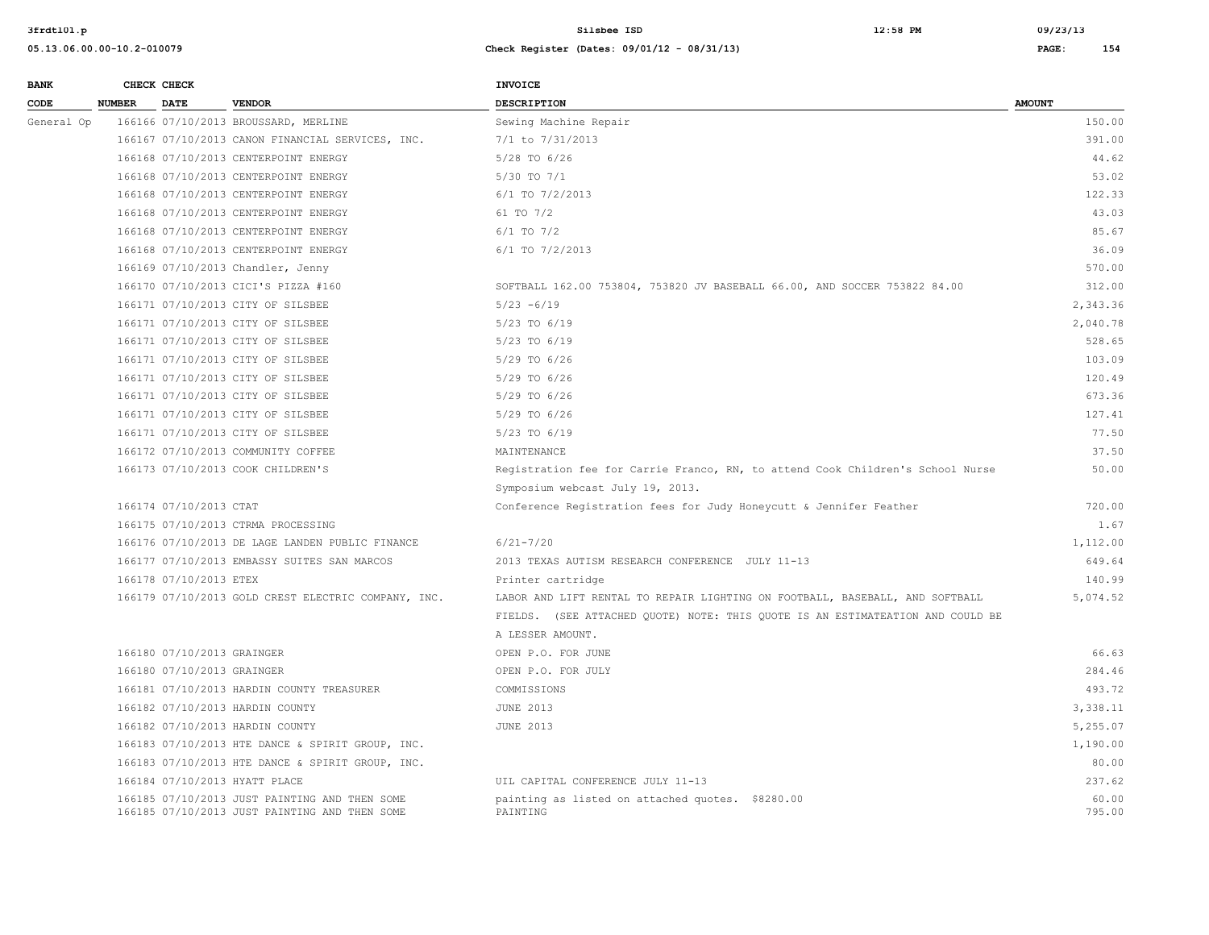| <b>BANK</b> |               | CHECK CHECK                |                                                                                                | <b>INVOICE</b>                                                                 |                 |
|-------------|---------------|----------------------------|------------------------------------------------------------------------------------------------|--------------------------------------------------------------------------------|-----------------|
| CODE        | <b>NUMBER</b> | <b>DATE</b>                | <b>VENDOR</b>                                                                                  | <b>DESCRIPTION</b>                                                             | <b>AMOUNT</b>   |
| General Op  |               |                            | 166166 07/10/2013 BROUSSARD, MERLINE                                                           | Sewing Machine Repair                                                          | 150.00          |
|             |               |                            | 166167 07/10/2013 CANON FINANCIAL SERVICES, INC.                                               | 7/1 to 7/31/2013                                                               | 391.00          |
|             |               |                            | 166168 07/10/2013 CENTERPOINT ENERGY                                                           | 5/28 TO 6/26                                                                   | 44.62           |
|             |               |                            | 166168 07/10/2013 CENTERPOINT ENERGY                                                           | $5/30$ TO $7/1$                                                                | 53.02           |
|             |               |                            | 166168 07/10/2013 CENTERPOINT ENERGY                                                           | 6/1 TO 7/2/2013                                                                | 122.33          |
|             |               |                            | 166168 07/10/2013 CENTERPOINT ENERGY                                                           | 61 TO 7/2                                                                      | 43.03           |
|             |               |                            | 166168 07/10/2013 CENTERPOINT ENERGY                                                           | $6/1$ TO $7/2$                                                                 | 85.67           |
|             |               |                            | 166168 07/10/2013 CENTERPOINT ENERGY                                                           | $6/1$ TO $7/2/2013$                                                            | 36.09           |
|             |               |                            | 166169 07/10/2013 Chandler, Jenny                                                              |                                                                                | 570.00          |
|             |               |                            | 166170 07/10/2013 CICI'S PIZZA #160                                                            | SOFTBALL 162.00 753804, 753820 JV BASEBALL 66.00, AND SOCCER 753822 84.00      | 312.00          |
|             |               |                            | 166171 07/10/2013 CITY OF SILSBEE                                                              | $5/23 - 6/19$                                                                  | 2,343.36        |
|             |               |                            | 166171 07/10/2013 CITY OF SILSBEE                                                              | 5/23 TO 6/19                                                                   | 2,040.78        |
|             |               |                            | 166171 07/10/2013 CITY OF SILSBEE                                                              | 5/23 TO 6/19                                                                   | 528.65          |
|             |               |                            | 166171 07/10/2013 CITY OF SILSBEE                                                              | 5/29 TO 6/26                                                                   | 103.09          |
|             |               |                            | 166171 07/10/2013 CITY OF SILSBEE                                                              | $5/29$ TO $6/26$                                                               | 120.49          |
|             |               |                            | 166171 07/10/2013 CITY OF SILSBEE                                                              | 5/29 TO 6/26                                                                   | 673.36          |
|             |               |                            | 166171 07/10/2013 CITY OF SILSBEE                                                              | 5/29 TO 6/26                                                                   | 127.41          |
|             |               |                            | 166171 07/10/2013 CITY OF SILSBEE                                                              | 5/23 TO 6/19                                                                   | 77.50           |
|             |               |                            | 166172 07/10/2013 COMMUNITY COFFEE                                                             | MAINTENANCE                                                                    | 37.50           |
|             |               |                            | 166173 07/10/2013 COOK CHILDREN'S                                                              | Registration fee for Carrie Franco, RN, to attend Cook Children's School Nurse | 50.00           |
|             |               |                            |                                                                                                | Symposium webcast July 19, 2013.                                               |                 |
|             |               | 166174 07/10/2013 CTAT     |                                                                                                | Conference Registration fees for Judy Honeycutt & Jennifer Feather             | 720.00          |
|             |               |                            | 166175 07/10/2013 CTRMA PROCESSING                                                             |                                                                                | 1.67            |
|             |               |                            | 166176 07/10/2013 DE LAGE LANDEN PUBLIC FINANCE                                                | $6/21 - 7/20$                                                                  | 1,112.00        |
|             |               |                            | 166177 07/10/2013 EMBASSY SUITES SAN MARCOS                                                    | 2013 TEXAS AUTISM RESEARCH CONFERENCE JULY 11-13                               | 649.64          |
|             |               | 166178 07/10/2013 ETEX     |                                                                                                | Printer cartridge                                                              | 140.99          |
|             |               |                            | 166179 07/10/2013 GOLD CREST ELECTRIC COMPANY, INC.                                            | LABOR AND LIFT RENTAL TO REPAIR LIGHTING ON FOOTBALL, BASEBALL, AND SOFTBALL   | 5,074.52        |
|             |               |                            |                                                                                                | FIELDS. (SEE ATTACHED QUOTE) NOTE: THIS QUOTE IS AN ESTIMATEATION AND COULD BE |                 |
|             |               |                            |                                                                                                | A LESSER AMOUNT.                                                               |                 |
|             |               | 166180 07/10/2013 GRAINGER |                                                                                                | OPEN P.O. FOR JUNE                                                             | 66.63           |
|             |               | 166180 07/10/2013 GRAINGER |                                                                                                | OPEN P.O. FOR JULY                                                             | 284.46          |
|             |               |                            | 166181 07/10/2013 HARDIN COUNTY TREASURER                                                      | COMMISSIONS                                                                    | 493.72          |
|             |               |                            | 166182 07/10/2013 HARDIN COUNTY                                                                | <b>JUNE 2013</b>                                                               | 3,338.11        |
|             |               |                            | 166182 07/10/2013 HARDIN COUNTY                                                                | <b>JUNE 2013</b>                                                               | 5,255.07        |
|             |               |                            | 166183 07/10/2013 HTE DANCE & SPIRIT GROUP, INC.                                               |                                                                                | 1,190.00        |
|             |               |                            | 166183 07/10/2013 HTE DANCE & SPIRIT GROUP, INC.                                               |                                                                                | 80.00           |
|             |               |                            | 166184 07/10/2013 HYATT PLACE                                                                  | UIL CAPITAL CONFERENCE JULY 11-13                                              | 237.62          |
|             |               |                            | 166185 07/10/2013 JUST PAINTING AND THEN SOME<br>166185 07/10/2013 JUST PAINTING AND THEN SOME | painting as listed on attached quotes. \$8280.00<br>PAINTING                   | 60.00<br>795.00 |
|             |               |                            |                                                                                                |                                                                                |                 |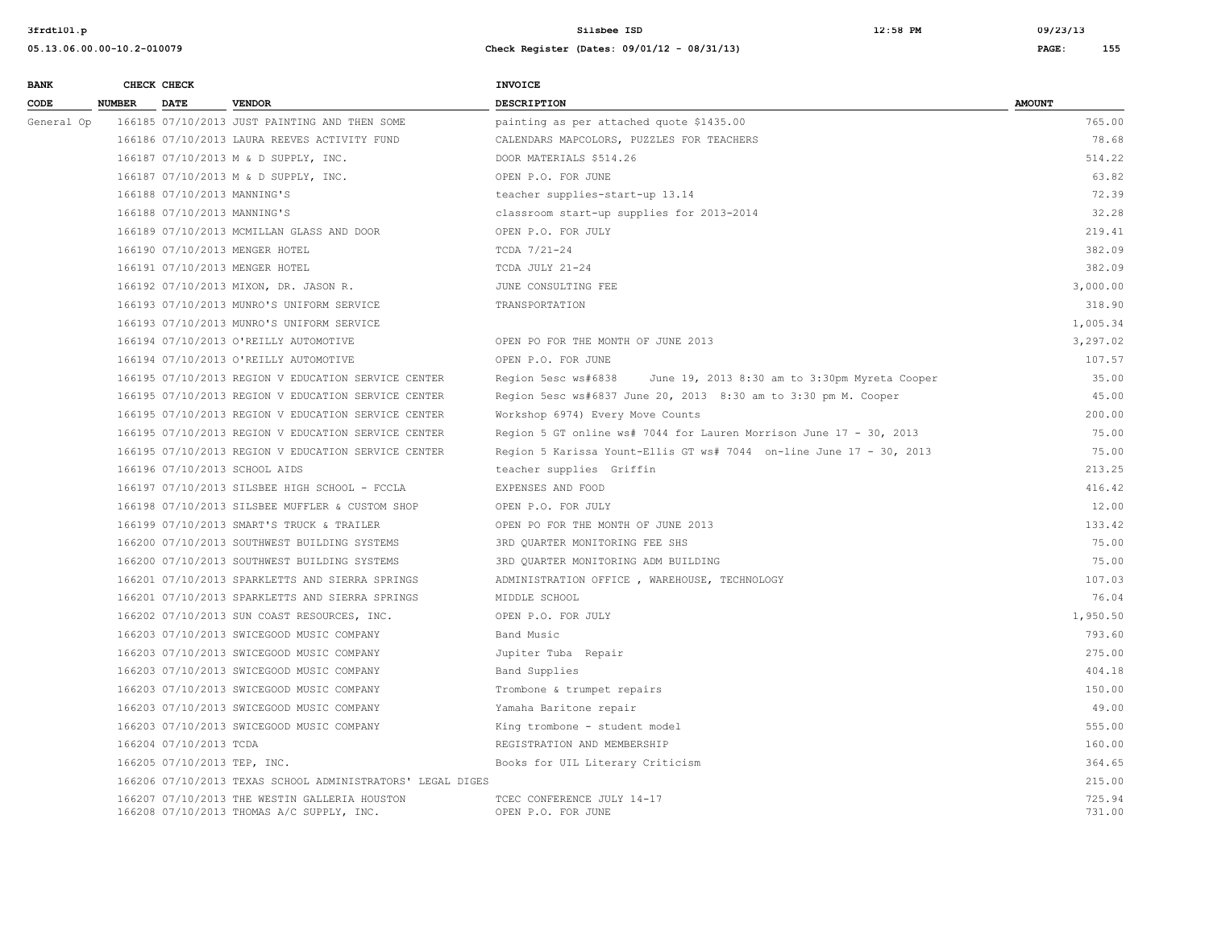| <b>BANK</b> |        | CHECK CHECK                 |                                                                                            | INVOICE                                                              |                  |
|-------------|--------|-----------------------------|--------------------------------------------------------------------------------------------|----------------------------------------------------------------------|------------------|
| CODE        | NUMBER | DATE                        | <b>VENDOR</b>                                                                              | <b>DESCRIPTION</b>                                                   | <b>AMOUNT</b>    |
| General Op  |        |                             | 166185 07/10/2013 JUST PAINTING AND THEN SOME                                              | painting as per attached quote \$1435.00                             | 765.00           |
|             |        |                             | 166186 07/10/2013 LAURA REEVES ACTIVITY FUND                                               | CALENDARS MAPCOLORS, PUZZLES FOR TEACHERS                            | 78.68            |
|             |        |                             | 166187 07/10/2013 M & D SUPPLY, INC.                                                       | DOOR MATERIALS \$514.26                                              | 514.22           |
|             |        |                             | 166187 07/10/2013 M & D SUPPLY, INC.                                                       | OPEN P.O. FOR JUNE                                                   | 63.82            |
|             |        | 166188 07/10/2013 MANNING'S |                                                                                            | teacher supplies-start-up 13.14                                      | 72.39            |
|             |        | 166188 07/10/2013 MANNING'S |                                                                                            | classroom start-up supplies for 2013-2014                            | 32.28            |
|             |        |                             | 166189 07/10/2013 MCMILLAN GLASS AND DOOR                                                  | OPEN P.O. FOR JULY                                                   | 219.41           |
|             |        |                             | 166190 07/10/2013 MENGER HOTEL                                                             | TCDA 7/21-24                                                         | 382.09           |
|             |        |                             | 166191 07/10/2013 MENGER HOTEL                                                             | TCDA JULY 21-24                                                      | 382.09           |
|             |        |                             | 166192 07/10/2013 MIXON, DR. JASON R.                                                      | JUNE CONSULTING FEE                                                  | 3,000.00         |
|             |        |                             | 166193 07/10/2013 MUNRO'S UNIFORM SERVICE                                                  | TRANSPORTATION                                                       | 318.90           |
|             |        |                             | 166193 07/10/2013 MUNRO'S UNIFORM SERVICE                                                  |                                                                      | 1,005.34         |
|             |        |                             | 166194 07/10/2013 O'REILLY AUTOMOTIVE                                                      | OPEN PO FOR THE MONTH OF JUNE 2013                                   | 3,297.02         |
|             |        |                             | 166194 07/10/2013 O'REILLY AUTOMOTIVE                                                      | OPEN P.O. FOR JUNE                                                   | 107.57           |
|             |        |                             | 166195 07/10/2013 REGION V EDUCATION SERVICE CENTER                                        | June 19, 2013 8:30 am to 3:30pm Myreta Cooper<br>Region 5esc ws#6838 | 35.00            |
|             |        |                             | 166195 07/10/2013 REGION V EDUCATION SERVICE CENTER                                        | Region 5esc ws#6837 June 20, 2013 8:30 am to 3:30 pm M. Cooper       | 45.00            |
|             |        |                             | 166195 07/10/2013 REGION V EDUCATION SERVICE CENTER                                        | Workshop 6974) Every Move Counts                                     | 200.00           |
|             |        |                             | 166195 07/10/2013 REGION V EDUCATION SERVICE CENTER                                        | Region 5 GT online ws# 7044 for Lauren Morrison June 17 - 30, 2013   | 75.00            |
|             |        |                             | 166195 07/10/2013 REGION V EDUCATION SERVICE CENTER                                        | Region 5 Karissa Yount-Ellis GT ws# 7044 on-line June 17 - 30, 2013  | 75.00            |
|             |        |                             | 166196 07/10/2013 SCHOOL AIDS                                                              | teacher supplies Griffin                                             | 213.25           |
|             |        |                             | 166197 07/10/2013 SILSBEE HIGH SCHOOL - FCCLA                                              | EXPENSES AND FOOD                                                    | 416.42           |
|             |        |                             | 166198 07/10/2013 SILSBEE MUFFLER & CUSTOM SHOP                                            | OPEN P.O. FOR JULY                                                   | 12.00            |
|             |        |                             | 166199 07/10/2013 SMART'S TRUCK & TRAILER                                                  | OPEN PO FOR THE MONTH OF JUNE 2013                                   | 133.42           |
|             |        |                             | 166200 07/10/2013 SOUTHWEST BUILDING SYSTEMS                                               | 3RD QUARTER MONITORING FEE SHS                                       | 75.00            |
|             |        |                             | 166200 07/10/2013 SOUTHWEST BUILDING SYSTEMS                                               | 3RD QUARTER MONITORING ADM BUILDING                                  | 75.00            |
|             |        |                             | 166201 07/10/2013 SPARKLETTS AND SIERRA SPRINGS                                            | ADMINISTRATION OFFICE , WAREHOUSE, TECHNOLOGY                        | 107.03           |
|             |        |                             | 166201 07/10/2013 SPARKLETTS AND SIERRA SPRINGS                                            | MIDDLE SCHOOL                                                        | 76.04            |
|             |        |                             | 166202 07/10/2013 SUN COAST RESOURCES, INC.                                                | OPEN P.O. FOR JULY                                                   | 1,950.50         |
|             |        |                             | 166203 07/10/2013 SWICEGOOD MUSIC COMPANY                                                  | Band Music                                                           | 793.60           |
|             |        |                             | 166203 07/10/2013 SWICEGOOD MUSIC COMPANY                                                  | Jupiter Tuba Repair                                                  | 275.00           |
|             |        |                             | 166203 07/10/2013 SWICEGOOD MUSIC COMPANY                                                  | Band Supplies                                                        | 404.18           |
|             |        |                             | 166203 07/10/2013 SWICEGOOD MUSIC COMPANY                                                  | Trombone & trumpet repairs                                           | 150.00           |
|             |        |                             | 166203 07/10/2013 SWICEGOOD MUSIC COMPANY                                                  | Yamaha Baritone repair                                               | 49.00            |
|             |        |                             | 166203 07/10/2013 SWICEGOOD MUSIC COMPANY                                                  | King trombone - student model                                        | 555.00           |
|             |        | 166204 07/10/2013 TCDA      |                                                                                            | REGISTRATION AND MEMBERSHIP                                          | 160.00           |
|             |        | 166205 07/10/2013 TEP, INC. |                                                                                            | Books for UIL Literary Criticism                                     | 364.65           |
|             |        |                             | 166206 07/10/2013 TEXAS SCHOOL ADMINISTRATORS' LEGAL DIGES                                 |                                                                      | 215.00           |
|             |        |                             | 166207 07/10/2013 THE WESTIN GALLERIA HOUSTON<br>166208 07/10/2013 THOMAS A/C SUPPLY, INC. | TCEC CONFERENCE JULY 14-17<br>OPEN P.O. FOR JUNE                     | 725.94<br>731.00 |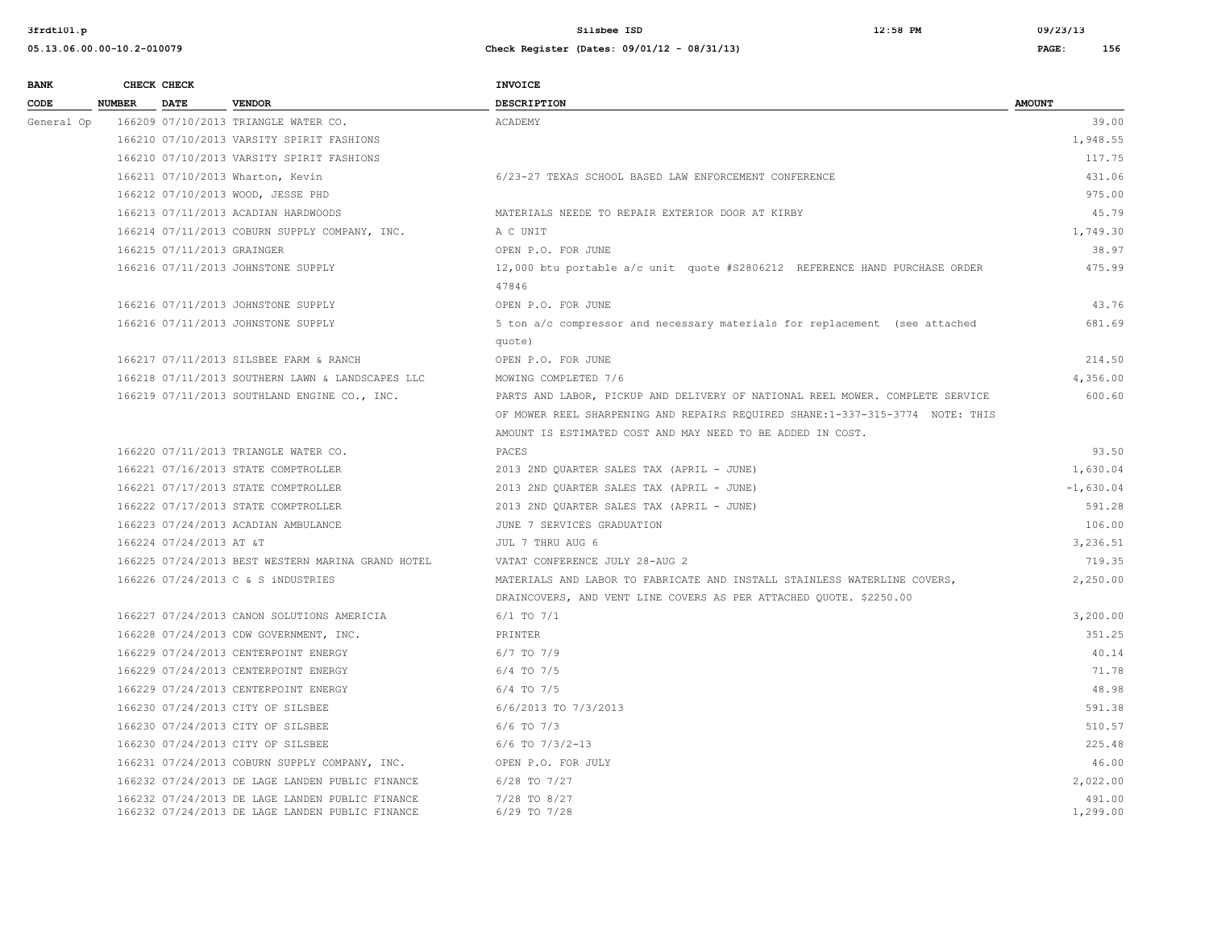| <b>BANK</b> |             | CHECK CHECK                |                                                                                                    | INVOICE                                                                             |                    |
|-------------|-------------|----------------------------|----------------------------------------------------------------------------------------------------|-------------------------------------------------------------------------------------|--------------------|
| CODE        | NUMBER DATE |                            | <b>VENDOR</b>                                                                                      | <b>DESCRIPTION</b>                                                                  | <b>AMOUNT</b>      |
| General Op  |             |                            | 166209 07/10/2013 TRIANGLE WATER CO.                                                               | ACADEMY                                                                             | 39.00              |
|             |             |                            | 166210 07/10/2013 VARSITY SPIRIT FASHIONS                                                          |                                                                                     | 1,948.55           |
|             |             |                            | 166210 07/10/2013 VARSITY SPIRIT FASHIONS                                                          |                                                                                     | 117.75             |
|             |             |                            | 166211 07/10/2013 Wharton, Kevin                                                                   | 6/23-27 TEXAS SCHOOL BASED LAW ENFORCEMENT CONFERENCE                               | 431.06             |
|             |             |                            | 166212 07/10/2013 WOOD, JESSE PHD                                                                  |                                                                                     | 975.00             |
|             |             |                            | 166213 07/11/2013 ACADIAN HARDWOODS                                                                | MATERIALS NEEDE TO REPAIR EXTERIOR DOOR AT KIRBY                                    | 45.79              |
|             |             |                            | 166214 07/11/2013 COBURN SUPPLY COMPANY, INC.                                                      | A C UNIT                                                                            | 1,749.30           |
|             |             | 166215 07/11/2013 GRAINGER |                                                                                                    | OPEN P.O. FOR JUNE                                                                  | 38.97              |
|             |             |                            | 166216 07/11/2013 JOHNSTONE SUPPLY                                                                 | 12,000 btu portable a/c unit quote #S2806212 REFERENCE HAND PURCHASE ORDER<br>47846 | 475.99             |
|             |             |                            | 166216 07/11/2013 JOHNSTONE SUPPLY                                                                 | OPEN P.O. FOR JUNE                                                                  | 43.76              |
|             |             |                            | 166216 07/11/2013 JOHNSTONE SUPPLY                                                                 | 5 ton a/c compressor and necessary materials for replacement (see attached          | 681.69             |
|             |             |                            |                                                                                                    | quote)                                                                              |                    |
|             |             |                            | 166217 07/11/2013 SILSBEE FARM & RANCH                                                             | OPEN P.O. FOR JUNE                                                                  | 214.50             |
|             |             |                            | 166218 07/11/2013 SOUTHERN LAWN & LANDSCAPES LLC                                                   | MOWING COMPLETED 7/6                                                                | 4,356.00           |
|             |             |                            | 166219 07/11/2013 SOUTHLAND ENGINE CO., INC.                                                       | PARTS AND LABOR, PICKUP AND DELIVERY OF NATIONAL REEL MOWER. COMPLETE SERVICE       | 600.60             |
|             |             |                            |                                                                                                    | OF MOWER REEL SHARPENING AND REPAIRS REOUIRED SHANE:1-337-315-3774 NOTE: THIS       |                    |
|             |             |                            |                                                                                                    | AMOUNT IS ESTIMATED COST AND MAY NEED TO BE ADDED IN COST.                          |                    |
|             |             |                            | 166220 07/11/2013 TRIANGLE WATER CO.                                                               | PACES                                                                               | 93.50              |
|             |             |                            | 166221 07/16/2013 STATE COMPTROLLER                                                                | 2013 2ND QUARTER SALES TAX (APRIL - JUNE)                                           | 1,630.04           |
|             |             |                            | 166221 07/17/2013 STATE COMPTROLLER                                                                | 2013 2ND QUARTER SALES TAX (APRIL - JUNE)                                           | $-1,630.04$        |
|             |             |                            | 166222 07/17/2013 STATE COMPTROLLER                                                                | 2013 2ND QUARTER SALES TAX (APRIL - JUNE)                                           | 591.28             |
|             |             |                            | 166223 07/24/2013 ACADIAN AMBULANCE                                                                | JUNE 7 SERVICES GRADUATION                                                          | 106.00             |
|             |             | 166224 07/24/2013 AT &T    |                                                                                                    | JUL 7 THRU AUG 6                                                                    | 3,236.51           |
|             |             |                            | 166225 07/24/2013 BEST WESTERN MARINA GRAND HOTEL                                                  | VATAT CONFERENCE JULY 28-AUG 2                                                      | 719.35             |
|             |             |                            | 166226 07/24/2013 C & S iNDUSTRIES                                                                 | MATERIALS AND LABOR TO FABRICATE AND INSTALL STAINLESS WATERLINE COVERS,            | 2,250.00           |
|             |             |                            |                                                                                                    | DRAINCOVERS, AND VENT LINE COVERS AS PER ATTACHED QUOTE. \$2250.00                  |                    |
|             |             |                            | 166227 07/24/2013 CANON SOLUTIONS AMERICIA                                                         | $6/1$ TO $7/1$                                                                      | 3,200.00           |
|             |             |                            | 166228 07/24/2013 CDW GOVERNMENT, INC.                                                             | PRINTER                                                                             | 351.25             |
|             |             |                            | 166229 07/24/2013 CENTERPOINT ENERGY                                                               | $6/7$ TO $7/9$                                                                      | 40.14              |
|             |             |                            | 166229 07/24/2013 CENTERPOINT ENERGY                                                               | $6/4$ TO $7/5$                                                                      | 71.78              |
|             |             |                            | 166229 07/24/2013 CENTERPOINT ENERGY                                                               | $6/4$ TO $7/5$                                                                      | 48.98              |
|             |             |                            | 166230 07/24/2013 CITY OF SILSBEE                                                                  | 6/6/2013 TO 7/3/2013                                                                | 591.38             |
|             |             |                            | 166230 07/24/2013 CITY OF SILSBEE                                                                  | $6/6$ TO $7/3$                                                                      | 510.57             |
|             |             |                            | 166230 07/24/2013 CITY OF SILSBEE                                                                  | $6/6$ TO $7/3/2-13$                                                                 | 225.48             |
|             |             |                            | 166231 07/24/2013 COBURN SUPPLY COMPANY, INC.                                                      | OPEN P.O. FOR JULY                                                                  | 46.00              |
|             |             |                            | 166232 07/24/2013 DE LAGE LANDEN PUBLIC FINANCE                                                    | 6/28 TO 7/27                                                                        | 2,022.00           |
|             |             |                            | 166232 07/24/2013 DE LAGE LANDEN PUBLIC FINANCE<br>166232 07/24/2013 DE LAGE LANDEN PUBLIC FINANCE | 7/28 TO 8/27<br>$6/29$ TO $7/28$                                                    | 491.00<br>1,299.00 |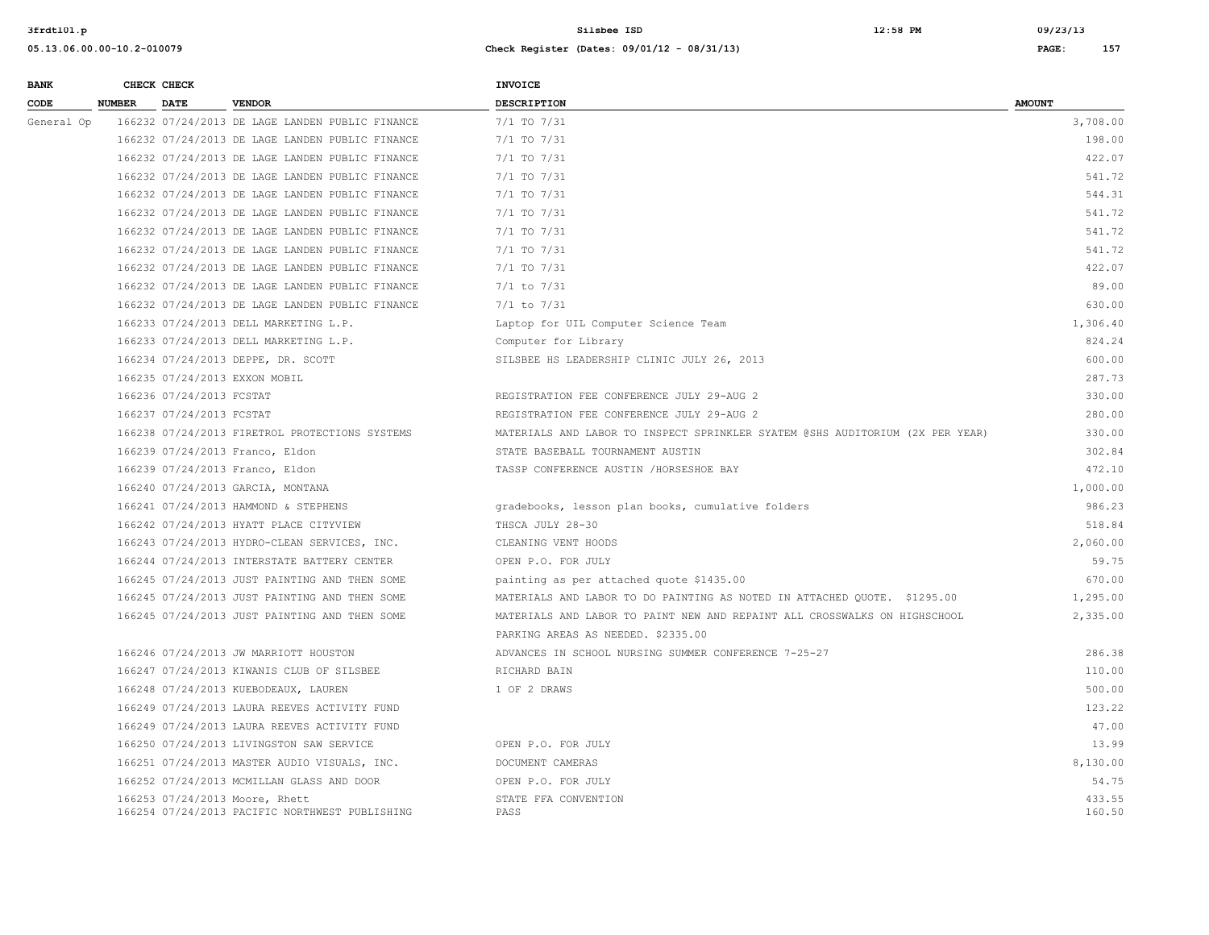| <b>BANK</b> |               | CHECK CHECK              |                                                                                  | <b>INVOICE</b>                                                                |                  |
|-------------|---------------|--------------------------|----------------------------------------------------------------------------------|-------------------------------------------------------------------------------|------------------|
| CODE        | <b>NUMBER</b> | DATE                     | <b>VENDOR</b>                                                                    | <b>DESCRIPTION</b>                                                            | <b>AMOUNT</b>    |
| General Op  |               |                          | 166232 07/24/2013 DE LAGE LANDEN PUBLIC FINANCE                                  | $7/1$ TO $7/31$                                                               | 3,708.00         |
|             |               |                          | 166232 07/24/2013 DE LAGE LANDEN PUBLIC FINANCE                                  | 7/1 TO 7/31                                                                   | 198.00           |
|             |               |                          | 166232 07/24/2013 DE LAGE LANDEN PUBLIC FINANCE                                  | $7/1$ TO $7/31$                                                               | 422.07           |
|             |               |                          | 166232 07/24/2013 DE LAGE LANDEN PUBLIC FINANCE                                  | $7/1$ TO $7/31$                                                               | 541.72           |
|             |               |                          | 166232 07/24/2013 DE LAGE LANDEN PUBLIC FINANCE                                  | $7/1$ TO $7/31$                                                               | 544.31           |
|             |               |                          | 166232 07/24/2013 DE LAGE LANDEN PUBLIC FINANCE                                  | 7/1 TO 7/31                                                                   | 541.72           |
|             |               |                          | 166232 07/24/2013 DE LAGE LANDEN PUBLIC FINANCE                                  | 7/1 TO 7/31                                                                   | 541.72           |
|             |               |                          | 166232 07/24/2013 DE LAGE LANDEN PUBLIC FINANCE                                  | $7/1$ TO $7/31$                                                               | 541.72           |
|             |               |                          | 166232 07/24/2013 DE LAGE LANDEN PUBLIC FINANCE                                  | 7/1 TO 7/31                                                                   | 422.07           |
|             |               |                          | 166232 07/24/2013 DE LAGE LANDEN PUBLIC FINANCE                                  | $7/1$ to $7/31$                                                               | 89.00            |
|             |               |                          | 166232 07/24/2013 DE LAGE LANDEN PUBLIC FINANCE                                  | $7/1$ to $7/31$                                                               | 630.00           |
|             |               |                          | 166233 07/24/2013 DELL MARKETING L.P.                                            | Laptop for UIL Computer Science Team                                          | 1,306.40         |
|             |               |                          | 166233 07/24/2013 DELL MARKETING L.P.                                            | Computer for Library                                                          | 824.24           |
|             |               |                          | 166234 07/24/2013 DEPPE, DR. SCOTT                                               | SILSBEE HS LEADERSHIP CLINIC JULY 26, 2013                                    | 600.00           |
|             |               |                          | 166235 07/24/2013 EXXON MOBIL                                                    |                                                                               | 287.73           |
|             |               | 166236 07/24/2013 FCSTAT |                                                                                  | REGISTRATION FEE CONFERENCE JULY 29-AUG 2                                     | 330.00           |
|             |               | 166237 07/24/2013 FCSTAT |                                                                                  | REGISTRATION FEE CONFERENCE JULY 29-AUG 2                                     | 280.00           |
|             |               |                          | 166238 07/24/2013 FIRETROL PROTECTIONS SYSTEMS                                   | MATERIALS AND LABOR TO INSPECT SPRINKLER SYATEM @SHS AUDITORIUM (2X PER YEAR) | 330.00           |
|             |               |                          | 166239 07/24/2013 Franco, Eldon                                                  | STATE BASEBALL TOURNAMENT AUSTIN                                              | 302.84           |
|             |               |                          | 166239 07/24/2013 Franco, Eldon                                                  | TASSP CONFERENCE AUSTIN /HORSESHOE BAY                                        | 472.10           |
|             |               |                          | 166240 07/24/2013 GARCIA, MONTANA                                                |                                                                               | 1,000.00         |
|             |               |                          | 166241 07/24/2013 HAMMOND & STEPHENS                                             | gradebooks, lesson plan books, cumulative folders                             | 986.23           |
|             |               |                          | 166242 07/24/2013 HYATT PLACE CITYVIEW                                           | THSCA JULY 28-30                                                              | 518.84           |
|             |               |                          | 166243 07/24/2013 HYDRO-CLEAN SERVICES, INC.                                     | CLEANING VENT HOODS                                                           | 2,060.00         |
|             |               |                          | 166244 07/24/2013 INTERSTATE BATTERY CENTER                                      | OPEN P.O. FOR JULY                                                            | 59.75            |
|             |               |                          | 166245 07/24/2013 JUST PAINTING AND THEN SOME                                    | painting as per attached quote \$1435.00                                      | 670.00           |
|             |               |                          | 166245 07/24/2013 JUST PAINTING AND THEN SOME                                    | MATERIALS AND LABOR TO DO PAINTING AS NOTED IN ATTACHED QUOTE. \$1295.00      | 1,295.00         |
|             |               |                          | 166245 07/24/2013 JUST PAINTING AND THEN SOME                                    | MATERIALS AND LABOR TO PAINT NEW AND REPAINT ALL CROSSWALKS ON HIGHSCHOOL     | 2,335.00         |
|             |               |                          |                                                                                  | PARKING AREAS AS NEEDED. \$2335.00                                            |                  |
|             |               |                          | 166246 07/24/2013 JW MARRIOTT HOUSTON                                            | ADVANCES IN SCHOOL NURSING SUMMER CONFERENCE 7-25-27                          | 286.38           |
|             |               |                          | 166247 07/24/2013 KIWANIS CLUB OF SILSBEE                                        | RICHARD BAIN                                                                  | 110.00           |
|             |               |                          | 166248 07/24/2013 KUEBODEAUX, LAUREN                                             | 1 OF 2 DRAWS                                                                  | 500.00           |
|             |               |                          | 166249 07/24/2013 LAURA REEVES ACTIVITY FUND                                     |                                                                               | 123.22           |
|             |               |                          | 166249 07/24/2013 LAURA REEVES ACTIVITY FUND                                     |                                                                               | 47.00            |
|             |               |                          | 166250 07/24/2013 LIVINGSTON SAW SERVICE                                         | OPEN P.O. FOR JULY                                                            | 13.99            |
|             |               |                          | 166251 07/24/2013 MASTER AUDIO VISUALS, INC.                                     | DOCUMENT CAMERAS                                                              | 8,130.00         |
|             |               |                          | 166252 07/24/2013 MCMILLAN GLASS AND DOOR                                        | OPEN P.O. FOR JULY                                                            | 54.75            |
|             |               |                          | 166253 07/24/2013 Moore, Rhett<br>166254 07/24/2013 PACIFIC NORTHWEST PUBLISHING | STATE FFA CONVENTION<br>PASS                                                  | 433.55<br>160.50 |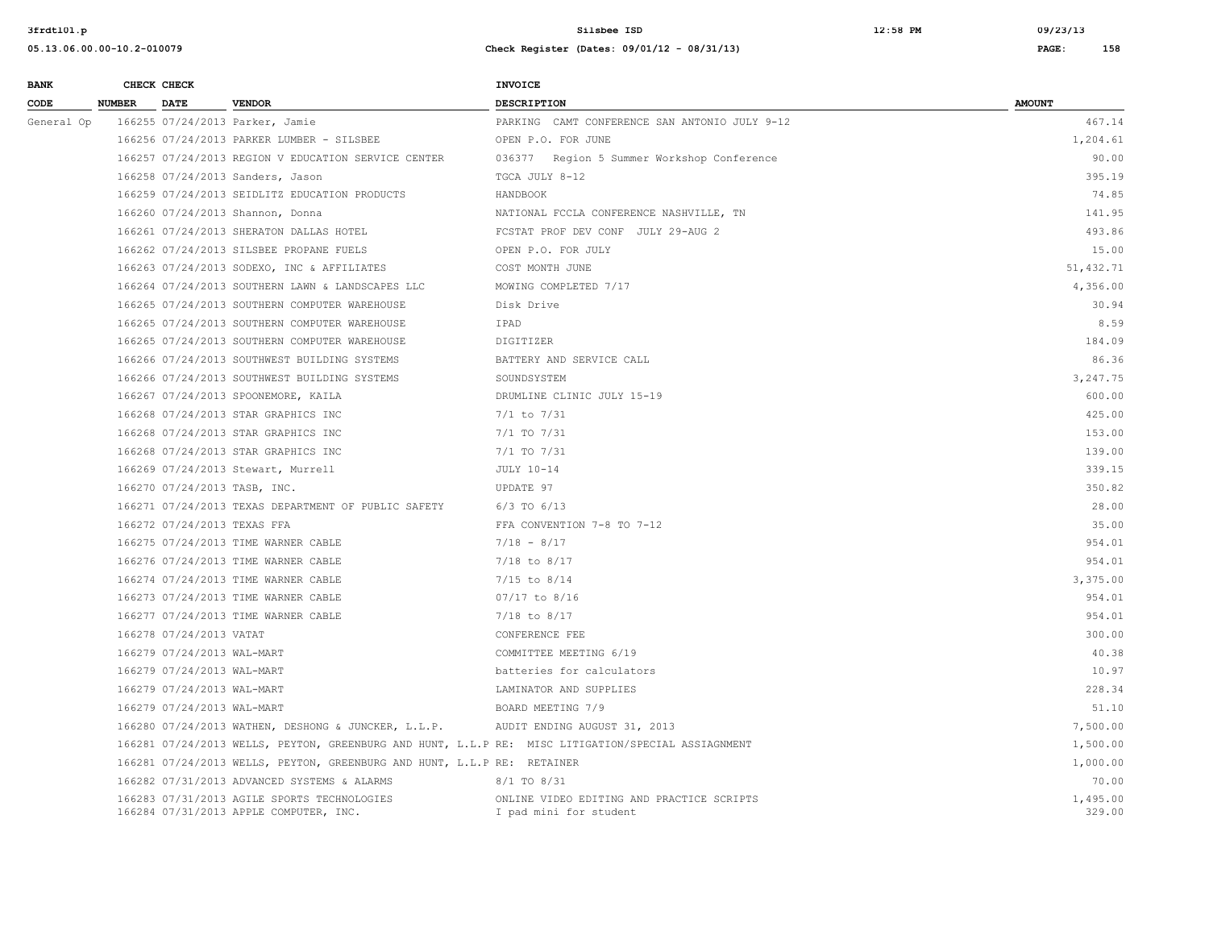| <b>BANK</b> |        | CHECK CHECK                 |                                                                                       | <b>INVOICE</b>                                                                                     |                    |
|-------------|--------|-----------------------------|---------------------------------------------------------------------------------------|----------------------------------------------------------------------------------------------------|--------------------|
| CODE        | NUMBER | <b>DATE</b>                 | <b>VENDOR</b>                                                                         | <b>DESCRIPTION</b>                                                                                 | <b>AMOUNT</b>      |
| General Op  |        |                             | 166255 07/24/2013 Parker, Jamie                                                       | PARKING CAMT CONFERENCE SAN ANTONIO JULY 9-12                                                      | 467.14             |
|             |        |                             | 166256 07/24/2013 PARKER LUMBER - SILSBEE                                             | OPEN P.O. FOR JUNE                                                                                 | 1,204.61           |
|             |        |                             | 166257 07/24/2013 REGION V EDUCATION SERVICE CENTER                                   | 036377 Region 5 Summer Workshop Conference                                                         | 90.00              |
|             |        |                             | 166258 07/24/2013 Sanders, Jason                                                      | TGCA JULY 8-12                                                                                     | 395.19             |
|             |        |                             | 166259 07/24/2013 SEIDLITZ EDUCATION PRODUCTS                                         | HANDBOOK                                                                                           | 74.85              |
|             |        |                             | 166260 07/24/2013 Shannon, Donna                                                      | NATIONAL FCCLA CONFERENCE NASHVILLE, TN                                                            | 141.95             |
|             |        |                             | 166261 07/24/2013 SHERATON DALLAS HOTEL                                               | FCSTAT PROF DEV CONF JULY 29-AUG 2                                                                 | 493.86             |
|             |        |                             | 166262 07/24/2013 SILSBEE PROPANE FUELS                                               | OPEN P.O. FOR JULY                                                                                 | 15.00              |
|             |        |                             | 166263 07/24/2013 SODEXO, INC & AFFILIATES                                            | COST MONTH JUNE                                                                                    | 51, 432.71         |
|             |        |                             | 166264 07/24/2013 SOUTHERN LAWN & LANDSCAPES LLC                                      | MOWING COMPLETED 7/17                                                                              | 4,356.00           |
|             |        |                             | 166265 07/24/2013 SOUTHERN COMPUTER WAREHOUSE                                         | Disk Drive                                                                                         | 30.94              |
|             |        |                             | 166265 07/24/2013 SOUTHERN COMPUTER WAREHOUSE                                         | IPAD                                                                                               | 8.59               |
|             |        |                             | 166265 07/24/2013 SOUTHERN COMPUTER WAREHOUSE                                         | DIGITIZER                                                                                          | 184.09             |
|             |        |                             | 166266 07/24/2013 SOUTHWEST BUILDING SYSTEMS                                          | BATTERY AND SERVICE CALL                                                                           | 86.36              |
|             |        |                             | 166266 07/24/2013 SOUTHWEST BUILDING SYSTEMS                                          | SOUNDSYSTEM                                                                                        | 3,247.75           |
|             |        |                             | 166267 07/24/2013 SPOONEMORE, KAILA                                                   | DRUMLINE CLINIC JULY 15-19                                                                         | 600.00             |
|             |        |                             | 166268 07/24/2013 STAR GRAPHICS INC                                                   | $7/1$ to $7/31$                                                                                    | 425.00             |
|             |        |                             | 166268 07/24/2013 STAR GRAPHICS INC                                                   | 7/1 TO 7/31                                                                                        | 153.00             |
|             |        |                             | 166268 07/24/2013 STAR GRAPHICS INC                                                   | 7/1 TO 7/31                                                                                        | 139.00             |
|             |        |                             | 166269 07/24/2013 Stewart, Murrell                                                    | JULY 10-14                                                                                         | 339.15             |
|             |        |                             | 166270 07/24/2013 TASB, INC.                                                          | UPDATE 97                                                                                          | 350.82             |
|             |        |                             | 166271 07/24/2013 TEXAS DEPARTMENT OF PUBLIC SAFETY                                   | $6/3$ TO $6/13$                                                                                    | 28.00              |
|             |        | 166272 07/24/2013 TEXAS FFA |                                                                                       | FFA CONVENTION 7-8 TO 7-12                                                                         | 35.00              |
|             |        |                             | 166275 07/24/2013 TIME WARNER CABLE                                                   | $7/18 - 8/17$                                                                                      | 954.01             |
|             |        |                             | 166276 07/24/2013 TIME WARNER CABLE                                                   | $7/18$ to $8/17$                                                                                   | 954.01             |
|             |        |                             | 166274 07/24/2013 TIME WARNER CABLE                                                   | $7/15$ to $8/14$                                                                                   | 3,375.00           |
|             |        |                             | 166273 07/24/2013 TIME WARNER CABLE                                                   | 07/17 to 8/16                                                                                      | 954.01             |
|             |        |                             | 166277 07/24/2013 TIME WARNER CABLE                                                   | $7/18$ to $8/17$                                                                                   | 954.01             |
|             |        | 166278 07/24/2013 VATAT     |                                                                                       | CONFERENCE FEE                                                                                     | 300.00             |
|             |        | 166279 07/24/2013 WAL-MART  |                                                                                       | COMMITTEE MEETING 6/19                                                                             | 40.38              |
|             |        | 166279 07/24/2013 WAL-MART  |                                                                                       | batteries for calculators                                                                          | 10.97              |
|             |        | 166279 07/24/2013 WAL-MART  |                                                                                       | LAMINATOR AND SUPPLIES                                                                             | 228.34             |
|             |        | 166279 07/24/2013 WAL-MART  |                                                                                       | BOARD MEETING 7/9                                                                                  | 51.10              |
|             |        |                             | 166280 07/24/2013 WATHEN, DESHONG & JUNCKER, L.L.P.                                   | AUDIT ENDING AUGUST 31, 2013                                                                       | 7,500.00           |
|             |        |                             |                                                                                       | 166281 07/24/2013 WELLS, PEYTON, GREENBURG AND HUNT, L.L.P RE: MISC LITIGATION/SPECIAL ASSIAGNMENT | 1,500.00           |
|             |        |                             | 166281 07/24/2013 WELLS, PEYTON, GREENBURG AND HUNT, L.L.P RE: RETAINER               |                                                                                                    | 1,000.00           |
|             |        |                             | 166282 07/31/2013 ADVANCED SYSTEMS & ALARMS                                           | 8/1 TO 8/31                                                                                        | 70.00              |
|             |        |                             | 166283 07/31/2013 AGILE SPORTS TECHNOLOGIES<br>166284 07/31/2013 APPLE COMPUTER, INC. | ONLINE VIDEO EDITING AND PRACTICE SCRIPTS<br>I pad mini for student                                | 1,495.00<br>329.00 |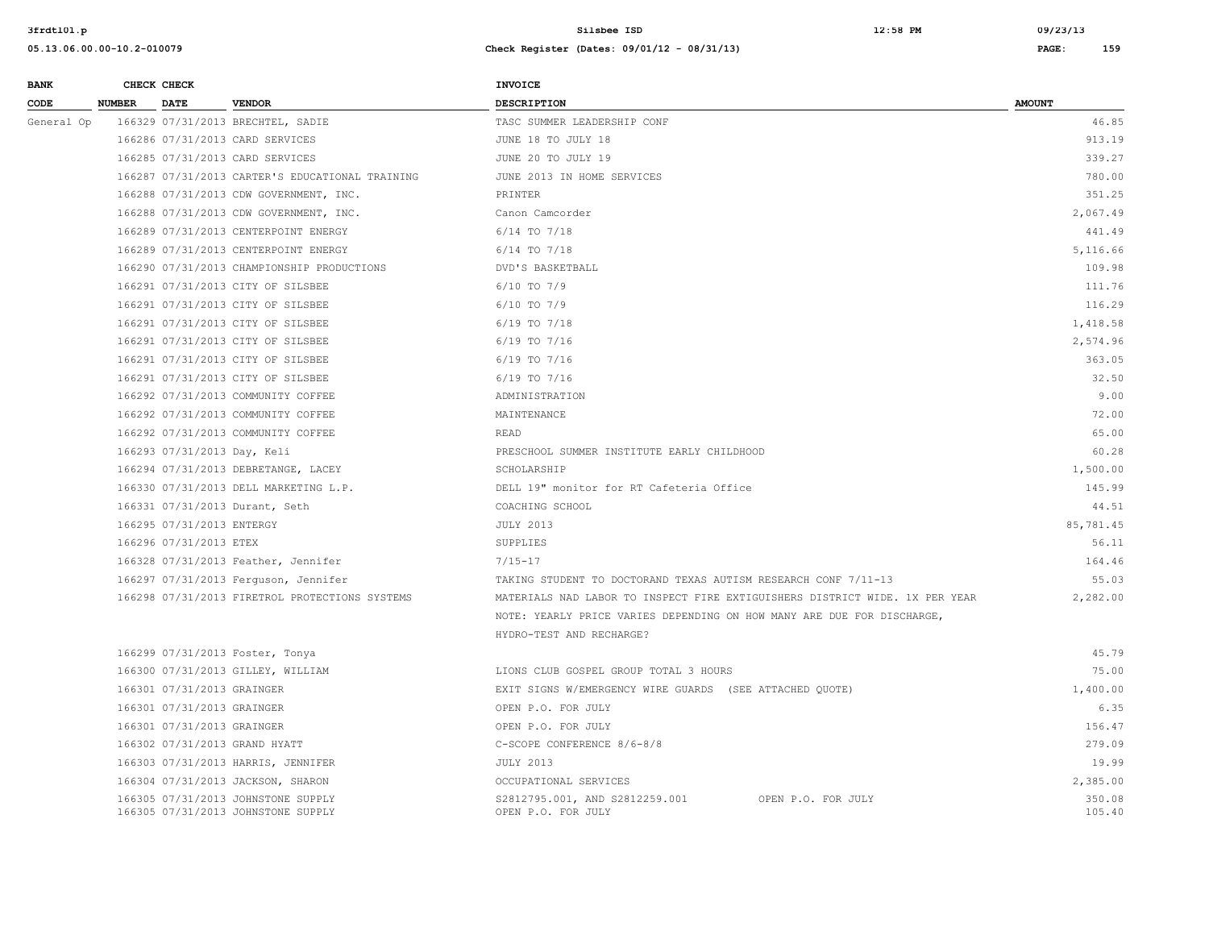| <b>BANK</b> |               | CHECK CHECK                 |                                                                          | <b>INVOICE</b>                                                              |                  |
|-------------|---------------|-----------------------------|--------------------------------------------------------------------------|-----------------------------------------------------------------------------|------------------|
| CODE        | <b>NUMBER</b> | <b>DATE</b>                 | <b>VENDOR</b>                                                            | <b>DESCRIPTION</b>                                                          | <b>AMOUNT</b>    |
| General Op  |               |                             | 166329 07/31/2013 BRECHTEL, SADIE                                        | TASC SUMMER LEADERSHIP CONF                                                 | 46.85            |
|             |               |                             | 166286 07/31/2013 CARD SERVICES                                          | JUNE 18 TO JULY 18                                                          | 913.19           |
|             |               |                             | 166285 07/31/2013 CARD SERVICES                                          | JUNE 20 TO JULY 19                                                          | 339.27           |
|             |               |                             | 166287 07/31/2013 CARTER'S EDUCATIONAL TRAINING                          | JUNE 2013 IN HOME SERVICES                                                  | 780.00           |
|             |               |                             | 166288 07/31/2013 CDW GOVERNMENT, INC.                                   | PRINTER                                                                     | 351.25           |
|             |               |                             | 166288 07/31/2013 CDW GOVERNMENT, INC.                                   | Canon Camcorder                                                             | 2,067.49         |
|             |               |                             | 166289 07/31/2013 CENTERPOINT ENERGY                                     | $6/14$ TO $7/18$                                                            | 441.49           |
|             |               |                             | 166289 07/31/2013 CENTERPOINT ENERGY                                     | $6/14$ TO $7/18$                                                            | 5,116.66         |
|             |               |                             | 166290 07/31/2013 CHAMPIONSHIP PRODUCTIONS                               | DVD'S BASKETBALL                                                            | 109.98           |
|             |               |                             | 166291 07/31/2013 CITY OF SILSBEE                                        | $6/10$ TO $7/9$                                                             | 111.76           |
|             |               |                             | 166291 07/31/2013 CITY OF SILSBEE                                        | $6/10$ TO $7/9$                                                             | 116.29           |
|             |               |                             | 166291 07/31/2013 CITY OF SILSBEE                                        | $6/19$ TO $7/18$                                                            | 1,418.58         |
|             |               |                             | 166291 07/31/2013 CITY OF SILSBEE                                        | $6/19$ TO $7/16$                                                            | 2,574.96         |
|             |               |                             | 166291 07/31/2013 CITY OF SILSBEE                                        | $6/19$ TO $7/16$                                                            | 363.05           |
|             |               |                             | 166291 07/31/2013 CITY OF SILSBEE                                        | $6/19$ TO $7/16$                                                            | 32.50            |
|             |               |                             | 166292 07/31/2013 COMMUNITY COFFEE                                       | ADMINISTRATION                                                              | 9.00             |
|             |               |                             | 166292 07/31/2013 COMMUNITY COFFEE                                       | MAINTENANCE                                                                 | 72.00            |
|             |               |                             | 166292 07/31/2013 COMMUNITY COFFEE                                       | READ                                                                        | 65.00            |
|             |               | 166293 07/31/2013 Day, Keli |                                                                          | PRESCHOOL SUMMER INSTITUTE EARLY CHILDHOOD                                  | 60.28            |
|             |               |                             | 166294 07/31/2013 DEBRETANGE, LACEY                                      | SCHOLARSHIP                                                                 | 1,500.00         |
|             |               |                             | 166330 07/31/2013 DELL MARKETING L.P.                                    | DELL 19" monitor for RT Cafeteria Office                                    | 145.99           |
|             |               |                             | 166331 07/31/2013 Durant, Seth                                           | COACHING SCHOOL                                                             | 44.51            |
|             |               | 166295 07/31/2013 ENTERGY   |                                                                          | <b>JULY 2013</b>                                                            | 85,781.45        |
|             |               | 166296 07/31/2013 ETEX      |                                                                          | SUPPLIES                                                                    | 56.11            |
|             |               |                             | 166328 07/31/2013 Feather, Jennifer                                      | $7/15 - 17$                                                                 | 164.46           |
|             |               |                             | 166297 07/31/2013 Ferguson, Jennifer                                     | TAKING STUDENT TO DOCTORAND TEXAS AUTISM RESEARCH CONF 7/11-13              | 55.03            |
|             |               |                             | 166298 07/31/2013 FIRETROL PROTECTIONS SYSTEMS                           | MATERIALS NAD LABOR TO INSPECT FIRE EXTIGUISHERS DISTRICT WIDE. 1X PER YEAR | 2,282.00         |
|             |               |                             |                                                                          | NOTE: YEARLY PRICE VARIES DEPENDING ON HOW MANY ARE DUE FOR DISCHARGE,      |                  |
|             |               |                             |                                                                          | HYDRO-TEST AND RECHARGE?                                                    |                  |
|             |               |                             | 166299 07/31/2013 Foster, Tonya                                          |                                                                             | 45.79            |
|             |               |                             | 166300 07/31/2013 GILLEY, WILLIAM                                        | LIONS CLUB GOSPEL GROUP TOTAL 3 HOURS                                       | 75.00            |
|             |               | 166301 07/31/2013 GRAINGER  |                                                                          | EXIT SIGNS W/EMERGENCY WIRE GUARDS (SEE ATTACHED QUOTE)                     | 1,400.00         |
|             |               | 166301 07/31/2013 GRAINGER  |                                                                          | OPEN P.O. FOR JULY                                                          | 6.35             |
|             |               | 166301 07/31/2013 GRAINGER  |                                                                          | OPEN P.O. FOR JULY                                                          | 156.47           |
|             |               |                             | 166302 07/31/2013 GRAND HYATT                                            | C-SCOPE CONFERENCE 8/6-8/8                                                  | 279.09           |
|             |               |                             | 166303 07/31/2013 HARRIS, JENNIFER                                       | <b>JULY 2013</b>                                                            | 19.99            |
|             |               |                             | 166304 07/31/2013 JACKSON, SHARON                                        | OCCUPATIONAL SERVICES                                                       | 2,385.00         |
|             |               |                             | 166305 07/31/2013 JOHNSTONE SUPPLY<br>166305 07/31/2013 JOHNSTONE SUPPLY | S2812795.001, AND S2812259.001<br>OPEN P.O. FOR JULY<br>OPEN P.O. FOR JULY  | 350.08<br>105.40 |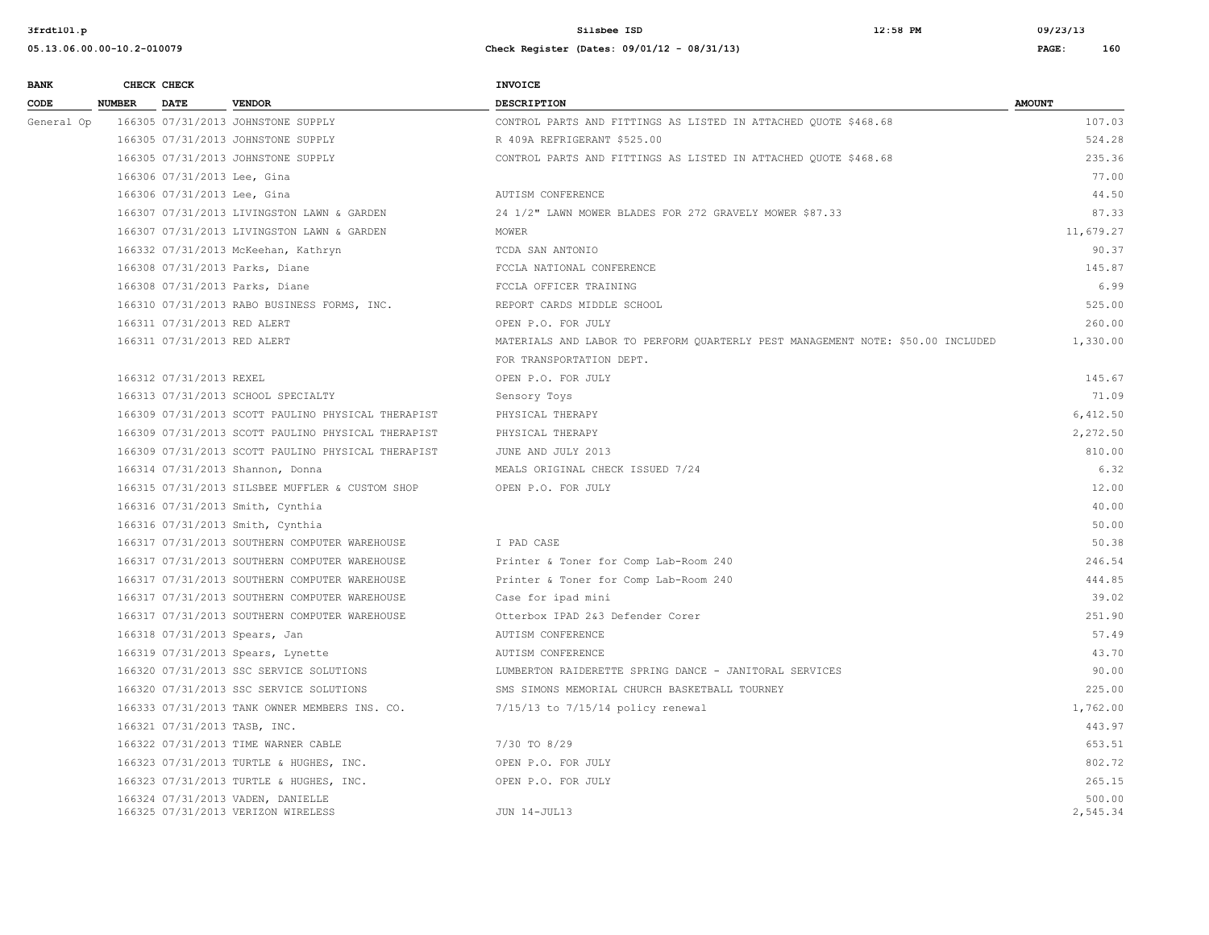| 05.13.06.00.00-10.2-01007 |
|---------------------------|
|---------------------------|

| <b>BANK</b> |               | CHECK CHECK                  |                                                    | INVOICE                                                                         |               |
|-------------|---------------|------------------------------|----------------------------------------------------|---------------------------------------------------------------------------------|---------------|
| CODE        | <b>NUMBER</b> | <b>DATE</b>                  | <b>VENDOR</b>                                      | <b>DESCRIPTION</b>                                                              | <b>AMOUNT</b> |
| General Op  |               |                              | 166305 07/31/2013 JOHNSTONE SUPPLY                 | CONTROL PARTS AND FITTINGS AS LISTED IN ATTACHED QUOTE \$468.68                 | 107.03        |
|             |               |                              | 166305 07/31/2013 JOHNSTONE SUPPLY                 | R 409A REFRIGERANT \$525.00                                                     | 524.28        |
|             |               |                              | 166305 07/31/2013 JOHNSTONE SUPPLY                 | CONTROL PARTS AND FITTINGS AS LISTED IN ATTACHED QUOTE \$468.68                 | 235.36        |
|             |               | 166306 07/31/2013 Lee, Gina  |                                                    |                                                                                 | 77.00         |
|             |               | 166306 07/31/2013 Lee, Gina  |                                                    | AUTISM CONFERENCE                                                               | 44.50         |
|             |               |                              | 166307 07/31/2013 LIVINGSTON LAWN & GARDEN         | 24 1/2" LAWN MOWER BLADES FOR 272 GRAVELY MOWER \$87.33                         | 87.33         |
|             |               |                              | 166307 07/31/2013 LIVINGSTON LAWN & GARDEN         | MOWER                                                                           | 11,679.27     |
|             |               |                              | 166332 07/31/2013 McKeehan, Kathryn                | TCDA SAN ANTONIO                                                                | 90.37         |
|             |               |                              | 166308 07/31/2013 Parks, Diane                     | FCCLA NATIONAL CONFERENCE                                                       | 145.87        |
|             |               |                              | 166308 07/31/2013 Parks, Diane                     | FCCLA OFFICER TRAINING                                                          | 6.99          |
|             |               |                              | 166310 07/31/2013 RABO BUSINESS FORMS, INC.        | REPORT CARDS MIDDLE SCHOOL                                                      | 525.00        |
|             |               | 166311 07/31/2013 RED ALERT  |                                                    | OPEN P.O. FOR JULY                                                              | 260.00        |
|             |               | 166311 07/31/2013 RED ALERT  |                                                    | MATERIALS AND LABOR TO PERFORM QUARTERLY PEST MANAGEMENT NOTE: \$50.00 INCLUDED | 1,330.00      |
|             |               |                              |                                                    | FOR TRANSPORTATION DEPT.                                                        |               |
|             |               | 166312 07/31/2013 REXEL      |                                                    | OPEN P.O. FOR JULY                                                              | 145.67        |
|             |               |                              | 166313 07/31/2013 SCHOOL SPECIALTY                 | Sensory Toys                                                                    | 71.09         |
|             |               |                              | 166309 07/31/2013 SCOTT PAULINO PHYSICAL THERAPIST | PHYSICAL THERAPY                                                                | 6,412.50      |
|             |               |                              | 166309 07/31/2013 SCOTT PAULINO PHYSICAL THERAPIST | PHYSICAL THERAPY                                                                | 2,272.50      |
|             |               |                              | 166309 07/31/2013 SCOTT PAULINO PHYSICAL THERAPIST | JUNE AND JULY 2013                                                              | 810.00        |
|             |               |                              | 166314 07/31/2013 Shannon, Donna                   | MEALS ORIGINAL CHECK ISSUED 7/24                                                | 6.32          |
|             |               |                              | 166315 07/31/2013 SILSBEE MUFFLER & CUSTOM SHOP    | OPEN P.O. FOR JULY                                                              | 12.00         |
|             |               |                              | 166316 07/31/2013 Smith, Cynthia                   |                                                                                 | 40.00         |
|             |               |                              | 166316 07/31/2013 Smith, Cynthia                   |                                                                                 | 50.00         |
|             |               |                              | 166317 07/31/2013 SOUTHERN COMPUTER WAREHOUSE      | I PAD CASE                                                                      | 50.38         |
|             |               |                              | 166317 07/31/2013 SOUTHERN COMPUTER WAREHOUSE      | Printer & Toner for Comp Lab-Room 240                                           | 246.54        |
|             |               |                              | 166317 07/31/2013 SOUTHERN COMPUTER WAREHOUSE      | Printer & Toner for Comp Lab-Room 240                                           | 444.85        |
|             |               |                              | 166317 07/31/2013 SOUTHERN COMPUTER WAREHOUSE      | Case for ipad mini                                                              | 39.02         |
|             |               |                              | 166317 07/31/2013 SOUTHERN COMPUTER WAREHOUSE      | Otterbox IPAD 2&3 Defender Corer                                                | 251.90        |
|             |               |                              | 166318 07/31/2013 Spears, Jan                      | AUTISM CONFERENCE                                                               | 57.49         |
|             |               |                              | 166319 07/31/2013 Spears, Lynette                  | AUTISM CONFERENCE                                                               | 43.70         |
|             |               |                              | 166320 07/31/2013 SSC SERVICE SOLUTIONS            | LUMBERTON RAIDERETTE SPRING DANCE - JANITORAL SERVICES                          | 90.00         |
|             |               |                              | 166320 07/31/2013 SSC SERVICE SOLUTIONS            | SMS SIMONS MEMORIAL CHURCH BASKETBALL TOURNEY                                   | 225.00        |
|             |               |                              | 166333 07/31/2013 TANK OWNER MEMBERS INS. CO.      | 7/15/13 to 7/15/14 policy renewal                                               | 1,762.00      |
|             |               | 166321 07/31/2013 TASB, INC. |                                                    |                                                                                 | 443.97        |
|             |               |                              | 166322 07/31/2013 TIME WARNER CABLE                | 7/30 TO 8/29                                                                    | 653.51        |
|             |               |                              | 166323 07/31/2013 TURTLE & HUGHES, INC.            | OPEN P.O. FOR JULY                                                              | 802.72        |
|             |               |                              | 166323 07/31/2013 TURTLE & HUGHES, INC.            | OPEN P.O. FOR JULY                                                              | 265.15        |
|             |               |                              | 166324 07/31/2013 VADEN, DANIELLE                  |                                                                                 | 500.00        |
|             |               |                              | 166325 07/31/2013 VERIZON WIRELESS                 | JUN 14-JUL13                                                                    | 2,545.34      |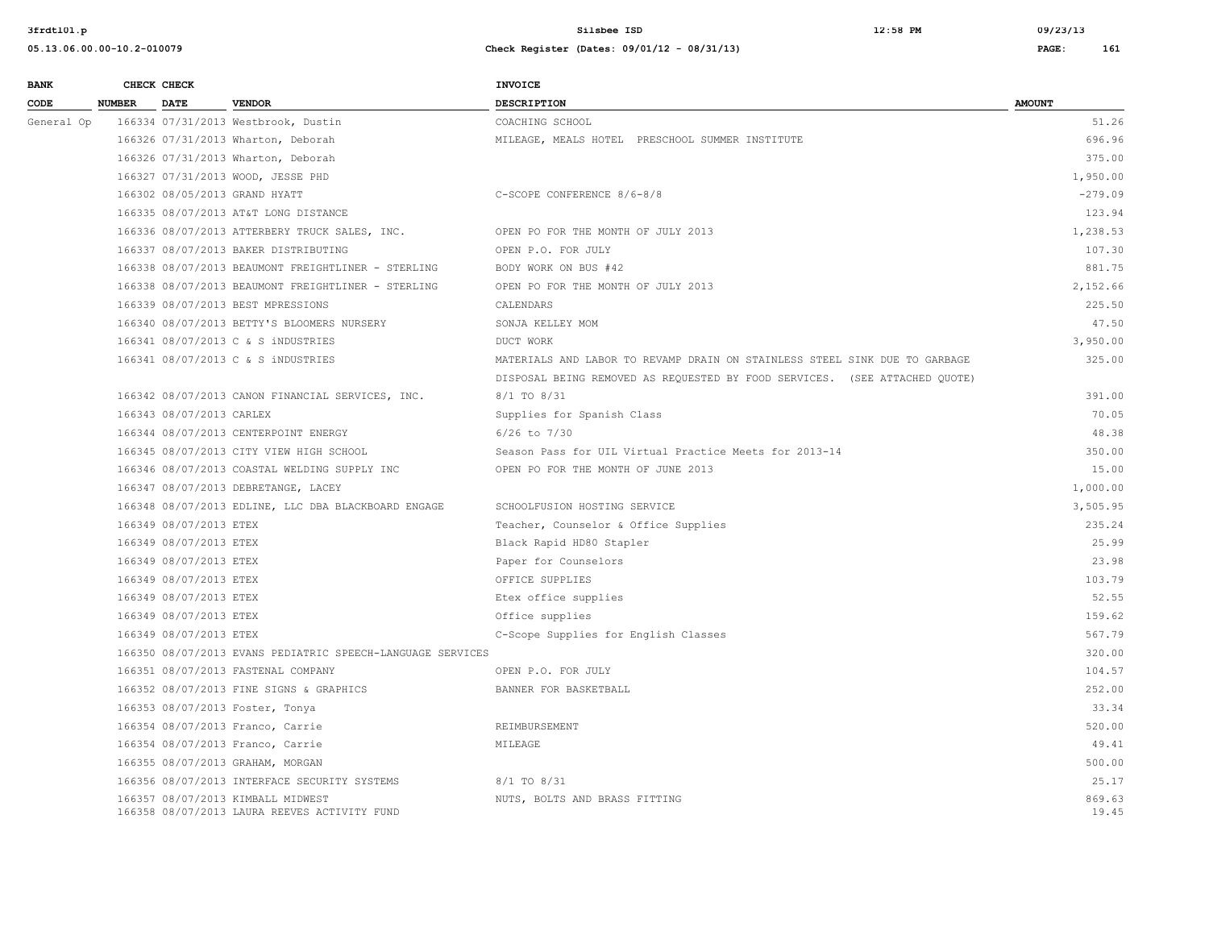#### **05.13.06.00.00-10.2-010079 Check Register (Dates: 09/01/12 - 08/31/13) PAGE: 161**

**BANK** CHECK CHECK **CHECK CODE NUMBER DATE VENDOR DESCRIPTION AMOUNT**  General Op 166334 07/31/2013 Westbrook, Dustin COACHING SCHOOL COACHING SCHOOL 51.26 166326 07/31/2013 Wharton, Deborah MILEAGE, MEALS HOTEL PRESCHOOL SUMMER INSTITUTE 696.96 166326 07/31/2013 Wharton, Deborah 375.00 166327 07/31/2013 WOOD, JESSE PHD 1,950.00 166302 08/05/2013 GRAND HYATT C-SCOPE CONFERENCE 8/6-8/8 -279.09 166335 08/07/2013 AT&T LONG DISTANCE 123.94 166336 08/07/2013 ATTERBERY TRUCK SALES, INC. OPEN PO FOR THE MONTH OF JULY 2013 1,238.53 166337 08/07/2013 BAKER DISTRIBUTING OPEN P.O. FOR JULY 107.30 166338 08/07/2013 BEAUMONT FREIGHTLINER - STERLING BODY WORK ON BUS #42 881.75 166338 08/07/2013 BEAUMONT FREIGHTLINER - STERLING OPEN PO FOR THE MONTH OF JULY 2013 2,152.66 166339 08/07/2013 BEST MPRESSIONS CALENDARS 225.50 166340 08/07/2013 BETTY'S BLOOMERS NURSERY SONJA KELLEY MOM 47.50 166341 08/07/2013 C & S iNDUSTRIES DUCT WORK 3,950.00 166341 08/07/2013 C & S iNDUSTRIES THE SECOND MATERIALS AND LABOR TO REVAMP DRAIN ON STAINLESS STEEL SINK DUE TO GARBAGE 325.00 DISPOSAL BEING REMOVED AS REQUESTED BY FOOD SERVICES. (SEE ATTACHED QUOTE) 166342 08/07/2013 CANON FINANCIAL SERVICES, INC. 8/1 TO 8/31 391.00 166343 08/07/2013 CARLEX 30 CONSULTER Supplies for Spanish Class 30 CONSULTER SUPPLIES 166343 08/07/2013 CARLEX 166344 08/07/2013 CENTERPOINT ENERGY 6/26 to 7/30 48.38 166345 08/07/2013 CITY VIEW HIGH SCHOOL Season Pass for UIL Virtual Practice Meets for 2013-14 350.00 166346 08/07/2013 COASTAL WELDING SUPPLY INC OPEN PO FOR THE MONTH OF JUNE 2013 15.00 166347 08/07/2013 DEBRETANGE, LACEY 1,000.00 166348 08/07/2013 EDLINE, LLC DBA BLACKBOARD ENGAGE SCHOOLFUSION HOSTING SERVICE 3,505.95 166349 08/07/2013 ETEX Teacher, Counselor & Office Supplies 235.24 166349 08/07/2013 ETEX Black Rapid HD80 Stapler 25.99 166349 08/07/2013 ETEX Paper for Counselors 23.98 166349 08/07/2013 ETEX OFFICE SUPPLIES 103.79 166349 08/07/2013 ETEX Etex office supplies 52.55 166349 08/07/2013 ETEX Office supplies 159.62 166349 08/07/2013 ETEX C-Scope Supplies for English Classes 567.79 166350 08/07/2013 EVANS PEDIATRIC SPEECH-LANGUAGE SERVICES 320.00 166351 08/07/2013 FASTENAL COMPANY OPEN P.O. FOR JULY 104.57 166352 08/07/2013 FINE SIGNS & GRAPHICS BANNER FOR BASKETBALL 252.00 166353 08/07/2013 Foster, Tonya 33.34 166354 08/07/2013 Franco, Carrie REIMBURSEMENT 520.00 166354 08/07/2013 Franco, Carrie MILEAGE 49.41 166355 08/07/2013 GRAHAM, MORGAN 500.00 166356 08/07/2013 INTERFACE SECURITY SYSTEMS 8/1 TO 8/31 25.17 166357 08/07/2013 KIMBALL MIDWEST NUTS, BOLTS AND BRASS FITTING 869.63 166358 08/07/2013 LAURA REEVES ACTIVITY FUND 19.45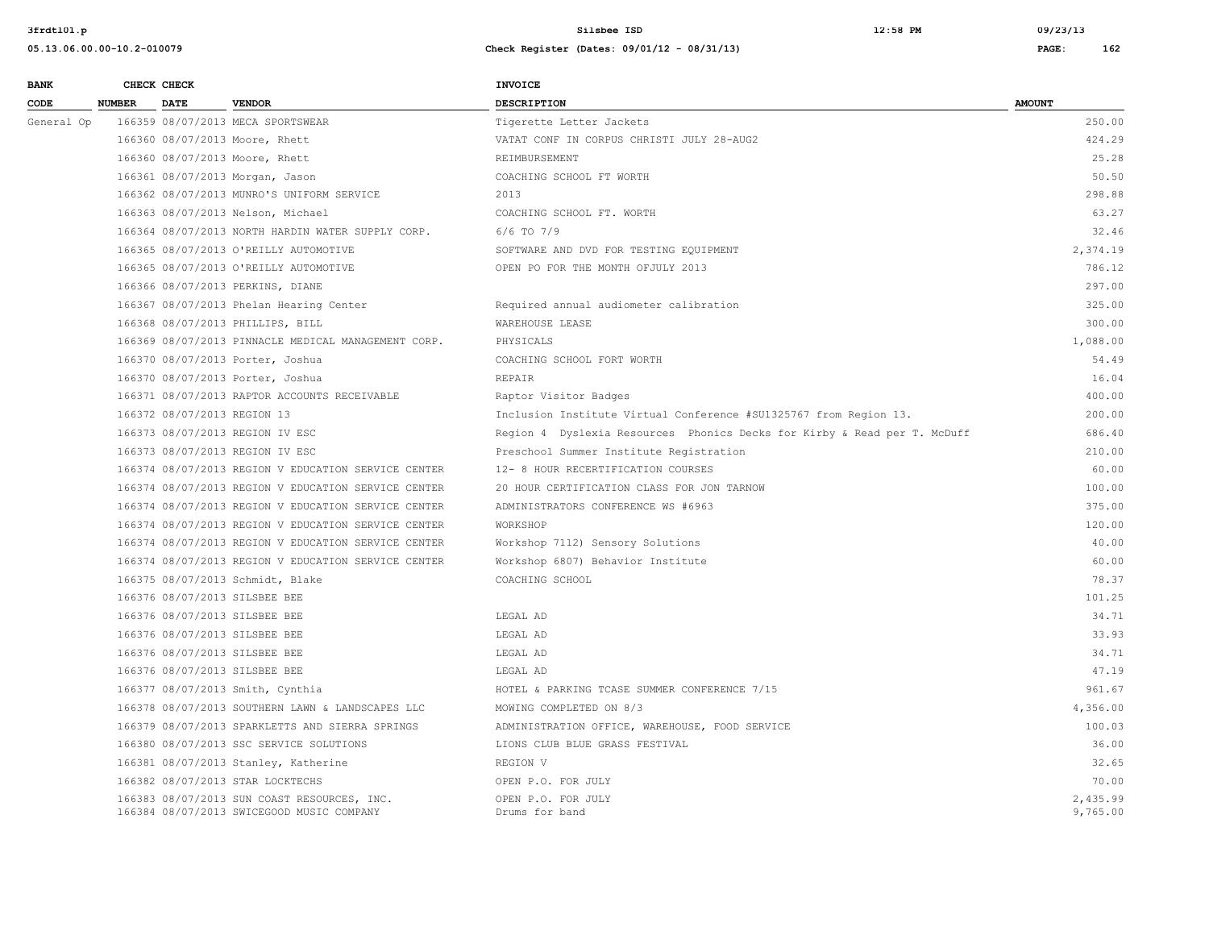| <b>BANK</b> |               | CHECK CHECK                 |                                                                                          | <b>INVOICE</b>                                                           |                      |
|-------------|---------------|-----------------------------|------------------------------------------------------------------------------------------|--------------------------------------------------------------------------|----------------------|
| CODE        | <b>NUMBER</b> | <b>DATE</b>                 | <b>VENDOR</b>                                                                            | <b>DESCRIPTION</b>                                                       | <b>AMOUNT</b>        |
| General Op  |               |                             | 166359 08/07/2013 MECA SPORTSWEAR                                                        | Tigerette Letter Jackets                                                 | 250.00               |
|             |               |                             | 166360 08/07/2013 Moore, Rhett                                                           | VATAT CONF IN CORPUS CHRISTI JULY 28-AUG2                                | 424.29               |
|             |               |                             | 166360 08/07/2013 Moore, Rhett                                                           | REIMBURSEMENT                                                            | 25.28                |
|             |               |                             | 166361 08/07/2013 Morgan, Jason                                                          | COACHING SCHOOL FT WORTH                                                 | 50.50                |
|             |               |                             | 166362 08/07/2013 MUNRO'S UNIFORM SERVICE                                                | 2013                                                                     | 298.88               |
|             |               |                             | 166363 08/07/2013 Nelson, Michael                                                        | COACHING SCHOOL FT. WORTH                                                | 63.27                |
|             |               |                             | 166364 08/07/2013 NORTH HARDIN WATER SUPPLY CORP.                                        | 6/6 TO 7/9                                                               | 32.46                |
|             |               |                             | 166365 08/07/2013 O'REILLY AUTOMOTIVE                                                    | SOFTWARE AND DVD FOR TESTING EQUIPMENT                                   | 2,374.19             |
|             |               |                             | 166365 08/07/2013 O'REILLY AUTOMOTIVE                                                    | OPEN PO FOR THE MONTH OFJULY 2013                                        | 786.12               |
|             |               |                             | 166366 08/07/2013 PERKINS, DIANE                                                         |                                                                          | 297.00               |
|             |               |                             | 166367 08/07/2013 Phelan Hearing Center                                                  | Required annual audiometer calibration                                   | 325.00               |
|             |               |                             | 166368 08/07/2013 PHILLIPS, BILL                                                         | WAREHOUSE LEASE                                                          | 300.00               |
|             |               |                             | 166369 08/07/2013 PINNACLE MEDICAL MANAGEMENT CORP.                                      | PHYSICALS                                                                | 1,088.00             |
|             |               |                             | 166370 08/07/2013 Porter, Joshua                                                         | COACHING SCHOOL FORT WORTH                                               | 54.49                |
|             |               |                             | 166370 08/07/2013 Porter, Joshua                                                         | REPAIR                                                                   | 16.04                |
|             |               |                             | 166371 08/07/2013 RAPTOR ACCOUNTS RECEIVABLE                                             | Raptor Visitor Badges                                                    | 400.00               |
|             |               | 166372 08/07/2013 REGION 13 |                                                                                          | Inclusion Institute Virtual Conference #SU1325767 from Region 13.        | 200.00               |
|             |               |                             | 166373 08/07/2013 REGION IV ESC                                                          | Region 4 Dyslexia Resources Phonics Decks for Kirby & Read per T. McDuff | 686.40               |
|             |               |                             | 166373 08/07/2013 REGION IV ESC                                                          | Preschool Summer Institute Registration                                  | 210.00               |
|             |               |                             | 166374 08/07/2013 REGION V EDUCATION SERVICE CENTER                                      | 12- 8 HOUR RECERTIFICATION COURSES                                       | 60.00                |
|             |               |                             | 166374 08/07/2013 REGION V EDUCATION SERVICE CENTER                                      | 20 HOUR CERTIFICATION CLASS FOR JON TARNOW                               | 100.00               |
|             |               |                             | 166374 08/07/2013 REGION V EDUCATION SERVICE CENTER                                      | ADMINISTRATORS CONFERENCE WS #6963                                       | 375.00               |
|             |               |                             | 166374 08/07/2013 REGION V EDUCATION SERVICE CENTER                                      | WORKSHOP                                                                 | 120.00               |
|             |               |                             | 166374 08/07/2013 REGION V EDUCATION SERVICE CENTER                                      | Workshop 7112) Sensory Solutions                                         | 40.00                |
|             |               |                             | 166374 08/07/2013 REGION V EDUCATION SERVICE CENTER                                      | Workshop 6807) Behavior Institute                                        | 60.00                |
|             |               |                             | 166375 08/07/2013 Schmidt, Blake                                                         | COACHING SCHOOL                                                          | 78.37                |
|             |               |                             | 166376 08/07/2013 SILSBEE BEE                                                            |                                                                          | 101.25               |
|             |               |                             | 166376 08/07/2013 SILSBEE BEE                                                            | LEGAL AD                                                                 | 34.71                |
|             |               |                             | 166376 08/07/2013 SILSBEE BEE                                                            | LEGAL AD                                                                 | 33.93                |
|             |               |                             | 166376 08/07/2013 SILSBEE BEE                                                            | LEGAL AD                                                                 | 34.71                |
|             |               |                             | 166376 08/07/2013 SILSBEE BEE                                                            | LEGAL AD                                                                 | 47.19                |
|             |               |                             | 166377 08/07/2013 Smith, Cynthia                                                         | HOTEL & PARKING TCASE SUMMER CONFERENCE 7/15                             | 961.67               |
|             |               |                             | 166378 08/07/2013 SOUTHERN LAWN & LANDSCAPES LLC                                         | MOWING COMPLETED ON 8/3                                                  | 4,356.00             |
|             |               |                             | 166379 08/07/2013 SPARKLETTS AND SIERRA SPRINGS                                          | ADMINISTRATION OFFICE, WAREHOUSE, FOOD SERVICE                           | 100.03               |
|             |               |                             | 166380 08/07/2013 SSC SERVICE SOLUTIONS                                                  | LIONS CLUB BLUE GRASS FESTIVAL                                           | 36.00                |
|             |               |                             | 166381 08/07/2013 Stanley, Katherine                                                     | REGION V                                                                 | 32.65                |
|             |               |                             | 166382 08/07/2013 STAR LOCKTECHS                                                         | OPEN P.O. FOR JULY                                                       | 70.00                |
|             |               |                             | 166383 08/07/2013 SUN COAST RESOURCES, INC.<br>166384 08/07/2013 SWICEGOOD MUSIC COMPANY | OPEN P.O. FOR JULY<br>Drums for band                                     | 2,435.99<br>9,765.00 |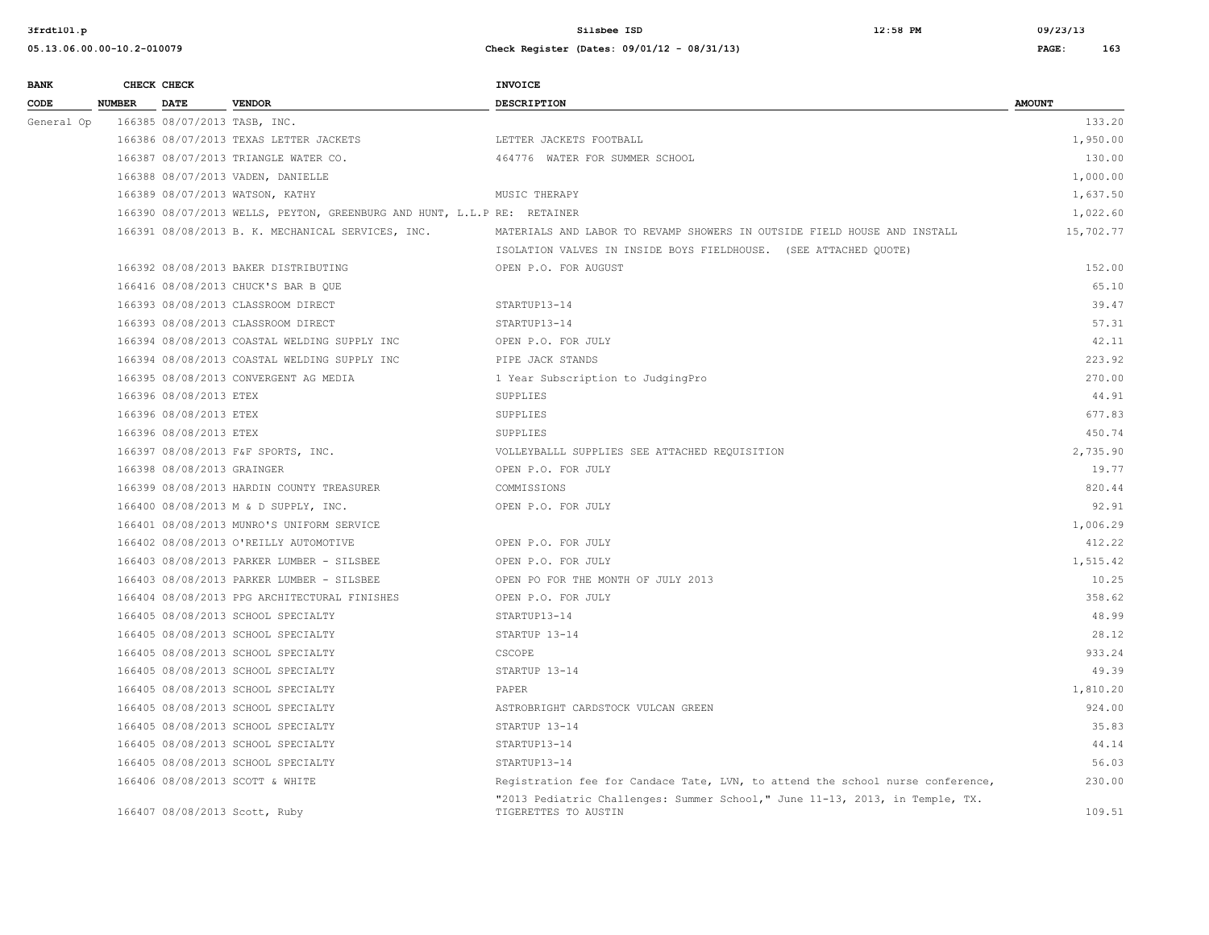| <b>BANK</b> |               | CHECK CHECK                |                                                                         | <b>INVOICE</b>                                                                                       |               |
|-------------|---------------|----------------------------|-------------------------------------------------------------------------|------------------------------------------------------------------------------------------------------|---------------|
| CODE        | <b>NUMBER</b> | <b>DATE</b>                | <b>VENDOR</b>                                                           | <b>DESCRIPTION</b>                                                                                   | <b>AMOUNT</b> |
| General Op  |               |                            | 166385 08/07/2013 TASB, INC.                                            |                                                                                                      | 133.20        |
|             |               |                            | 166386 08/07/2013 TEXAS LETTER JACKETS                                  | LETTER JACKETS FOOTBALL                                                                              | 1,950.00      |
|             |               |                            | 166387 08/07/2013 TRIANGLE WATER CO.                                    | 464776 WATER FOR SUMMER SCHOOL                                                                       | 130.00        |
|             |               |                            | 166388 08/07/2013 VADEN, DANIELLE                                       |                                                                                                      | 1,000.00      |
|             |               |                            | 166389 08/07/2013 WATSON, KATHY                                         | MUSIC THERAPY                                                                                        | 1,637.50      |
|             |               |                            | 166390 08/07/2013 WELLS, PEYTON, GREENBURG AND HUNT, L.L.P RE: RETAINER |                                                                                                      | 1,022.60      |
|             |               |                            | 166391 08/08/2013 B. K. MECHANICAL SERVICES, INC.                       | MATERIALS AND LABOR TO REVAMP SHOWERS IN OUTSIDE FIELD HOUSE AND INSTALL                             | 15,702.77     |
|             |               |                            |                                                                         | ISOLATION VALVES IN INSIDE BOYS FIELDHOUSE. (SEE ATTACHED QUOTE)                                     |               |
|             |               |                            | 166392 08/08/2013 BAKER DISTRIBUTING                                    | OPEN P.O. FOR AUGUST                                                                                 | 152.00        |
|             |               |                            | 166416 08/08/2013 CHUCK'S BAR B QUE                                     |                                                                                                      | 65.10         |
|             |               |                            | 166393 08/08/2013 CLASSROOM DIRECT                                      | STARTUP13-14                                                                                         | 39.47         |
|             |               |                            | 166393 08/08/2013 CLASSROOM DIRECT                                      | STARTUP13-14                                                                                         | 57.31         |
|             |               |                            | 166394 08/08/2013 COASTAL WELDING SUPPLY INC                            | OPEN P.O. FOR JULY                                                                                   | 42.11         |
|             |               |                            | 166394 08/08/2013 COASTAL WELDING SUPPLY INC                            | PIPE JACK STANDS                                                                                     | 223.92        |
|             |               |                            | 166395 08/08/2013 CONVERGENT AG MEDIA                                   | 1 Year Subscription to JudgingPro                                                                    | 270.00        |
|             |               | 166396 08/08/2013 ETEX     |                                                                         | SUPPLIES                                                                                             | 44.91         |
|             |               | 166396 08/08/2013 ETEX     |                                                                         | SUPPLIES                                                                                             | 677.83        |
|             |               | 166396 08/08/2013 ETEX     |                                                                         | SUPPLIES                                                                                             | 450.74        |
|             |               |                            | 166397 08/08/2013 F&F SPORTS, INC.                                      | VOLLEYBALLL SUPPLIES SEE ATTACHED REQUISITION                                                        | 2,735.90      |
|             |               | 166398 08/08/2013 GRAINGER |                                                                         | OPEN P.O. FOR JULY                                                                                   | 19.77         |
|             |               |                            | 166399 08/08/2013 HARDIN COUNTY TREASURER                               | COMMISSIONS                                                                                          | 820.44        |
|             |               |                            | 166400 08/08/2013 M & D SUPPLY, INC.                                    | OPEN P.O. FOR JULY                                                                                   | 92.91         |
|             |               |                            | 166401 08/08/2013 MUNRO'S UNIFORM SERVICE                               |                                                                                                      | 1,006.29      |
|             |               |                            | 166402 08/08/2013 O'REILLY AUTOMOTIVE                                   | OPEN P.O. FOR JULY                                                                                   | 412.22        |
|             |               |                            | 166403 08/08/2013 PARKER LUMBER - SILSBEE                               | OPEN P.O. FOR JULY                                                                                   | 1,515.42      |
|             |               |                            | 166403 08/08/2013 PARKER LUMBER - SILSBEE                               | OPEN PO FOR THE MONTH OF JULY 2013                                                                   | 10.25         |
|             |               |                            | 166404 08/08/2013 PPG ARCHITECTURAL FINISHES                            | OPEN P.O. FOR JULY                                                                                   | 358.62        |
|             |               |                            | 166405 08/08/2013 SCHOOL SPECIALTY                                      | STARTUP13-14                                                                                         | 48.99         |
|             |               |                            | 166405 08/08/2013 SCHOOL SPECIALTY                                      | STARTUP 13-14                                                                                        | 28.12         |
|             |               |                            | 166405 08/08/2013 SCHOOL SPECIALTY                                      | CSCOPE                                                                                               | 933.24        |
|             |               |                            | 166405 08/08/2013 SCHOOL SPECIALTY                                      | STARTUP 13-14                                                                                        | 49.39         |
|             |               |                            | 166405 08/08/2013 SCHOOL SPECIALTY                                      | PAPER                                                                                                | 1,810.20      |
|             |               |                            | 166405 08/08/2013 SCHOOL SPECIALTY                                      | ASTROBRIGHT CARDSTOCK VULCAN GREEN                                                                   | 924.00        |
|             |               |                            | 166405 08/08/2013 SCHOOL SPECIALTY                                      | STARTUP 13-14                                                                                        | 35.83         |
|             |               |                            | 166405 08/08/2013 SCHOOL SPECIALTY                                      | STARTUP13-14                                                                                         | 44.14         |
|             |               |                            | 166405 08/08/2013 SCHOOL SPECIALTY                                      | STARTUP13-14                                                                                         | 56.03         |
|             |               |                            | 166406 08/08/2013 SCOTT & WHITE                                         | Registration fee for Candace Tate, LVN, to attend the school nurse conference,                       | 230.00        |
|             |               |                            | 166407 08/08/2013 Scott, Ruby                                           | "2013 Pediatric Challenges: Summer School," June 11-13, 2013, in Temple, TX.<br>TIGERETTES TO AUSTIN | 109.51        |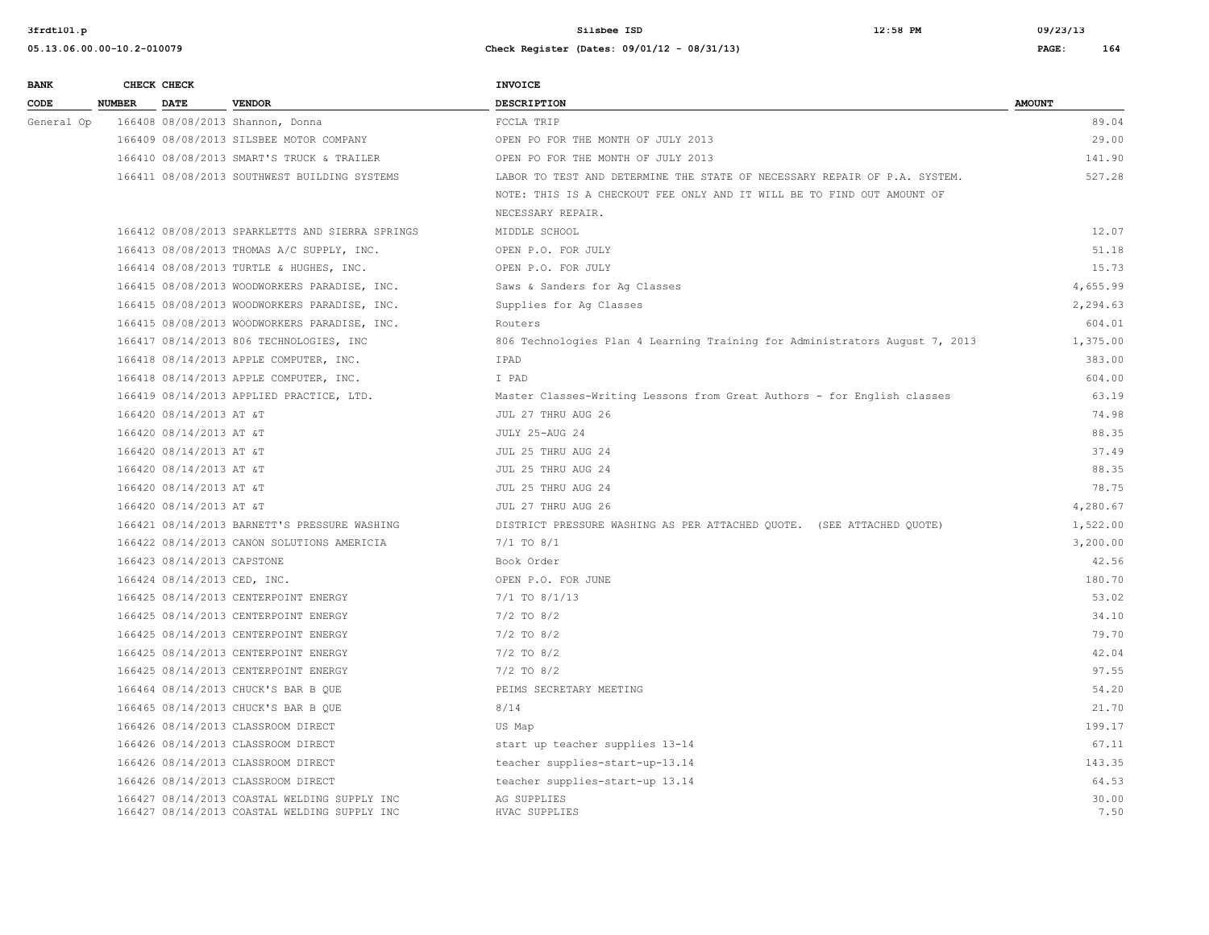| <b>BANK</b> |               | CHECK CHECK                 |                                                                                              | <b>INVOICE</b>                                                              |               |
|-------------|---------------|-----------------------------|----------------------------------------------------------------------------------------------|-----------------------------------------------------------------------------|---------------|
| CODE        | <b>NUMBER</b> | <b>DATE</b>                 | <b>VENDOR</b>                                                                                | <b>DESCRIPTION</b>                                                          | <b>AMOUNT</b> |
| General Op  |               |                             | 166408 08/08/2013 Shannon, Donna                                                             | FCCLA TRIP                                                                  | 89.04         |
|             |               |                             | 166409 08/08/2013 SILSBEE MOTOR COMPANY                                                      | OPEN PO FOR THE MONTH OF JULY 2013                                          | 29.00         |
|             |               |                             | 166410 08/08/2013 SMART'S TRUCK & TRAILER                                                    | OPEN PO FOR THE MONTH OF JULY 2013                                          | 141.90        |
|             |               |                             | 166411 08/08/2013 SOUTHWEST BUILDING SYSTEMS                                                 | LABOR TO TEST AND DETERMINE THE STATE OF NECESSARY REPAIR OF P.A. SYSTEM.   | 527.28        |
|             |               |                             |                                                                                              | NOTE: THIS IS A CHECKOUT FEE ONLY AND IT WILL BE TO FIND OUT AMOUNT OF      |               |
|             |               |                             |                                                                                              | NECESSARY REPAIR.                                                           |               |
|             |               |                             | 166412 08/08/2013 SPARKLETTS AND SIERRA SPRINGS                                              | MIDDLE SCHOOL                                                               | 12.07         |
|             |               |                             | 166413 08/08/2013 THOMAS A/C SUPPLY, INC.                                                    | OPEN P.O. FOR JULY                                                          | 51.18         |
|             |               |                             | 166414 08/08/2013 TURTLE & HUGHES, INC.                                                      | OPEN P.O. FOR JULY                                                          | 15.73         |
|             |               |                             | 166415 08/08/2013 WOODWORKERS PARADISE, INC.                                                 | Saws & Sanders for Aq Classes                                               | 4,655.99      |
|             |               |                             | 166415 08/08/2013 WOODWORKERS PARADISE, INC.                                                 | Supplies for Ag Classes                                                     | 2,294.63      |
|             |               |                             | 166415 08/08/2013 WOODWORKERS PARADISE, INC.                                                 | Routers                                                                     | 604.01        |
|             |               |                             | 166417 08/14/2013 806 TECHNOLOGIES, INC                                                      | 806 Technologies Plan 4 Learning Training for Administrators August 7, 2013 | 1,375.00      |
|             |               |                             | 166418 08/14/2013 APPLE COMPUTER, INC.                                                       | IPAD                                                                        | 383.00        |
|             |               |                             | 166418 08/14/2013 APPLE COMPUTER, INC.                                                       | I PAD                                                                       | 604.00        |
|             |               |                             | 166419 08/14/2013 APPLIED PRACTICE, LTD.                                                     | Master Classes-Writing Lessons from Great Authors - for English classes     | 63.19         |
|             |               | 166420 08/14/2013 AT &T     |                                                                                              | JUL 27 THRU AUG 26                                                          | 74.98         |
|             |               | 166420 08/14/2013 AT &T     |                                                                                              | JULY 25-AUG 24                                                              | 88.35         |
|             |               | 166420 08/14/2013 AT &T     |                                                                                              | JUL 25 THRU AUG 24                                                          | 37.49         |
|             |               | 166420 08/14/2013 AT &T     |                                                                                              | JUL 25 THRU AUG 24                                                          | 88.35         |
|             |               | 166420 08/14/2013 AT &T     |                                                                                              | JUL 25 THRU AUG 24                                                          | 78.75         |
|             |               | 166420 08/14/2013 AT &T     |                                                                                              | JUL 27 THRU AUG 26                                                          | 4,280.67      |
|             |               |                             | 166421 08/14/2013 BARNETT'S PRESSURE WASHING                                                 | DISTRICT PRESSURE WASHING AS PER ATTACHED QUOTE. (SEE ATTACHED QUOTE)       | 1,522.00      |
|             |               |                             | 166422 08/14/2013 CANON SOLUTIONS AMERICIA                                                   | $7/1$ TO $8/1$                                                              | 3,200.00      |
|             |               | 166423 08/14/2013 CAPSTONE  |                                                                                              | Book Order                                                                  | 42.56         |
|             |               | 166424 08/14/2013 CED, INC. |                                                                                              | OPEN P.O. FOR JUNE                                                          | 180.70        |
|             |               |                             | 166425 08/14/2013 CENTERPOINT ENERGY                                                         | $7/1$ TO $8/1/13$                                                           | 53.02         |
|             |               |                             | 166425 08/14/2013 CENTERPOINT ENERGY                                                         | $7/2$ TO $8/2$                                                              | 34.10         |
|             |               |                             | 166425 08/14/2013 CENTERPOINT ENERGY                                                         | $7/2$ TO $8/2$                                                              | 79.70         |
|             |               |                             | 166425 08/14/2013 CENTERPOINT ENERGY                                                         | $7/2$ TO 8/2                                                                | 42.04         |
|             |               |                             | 166425 08/14/2013 CENTERPOINT ENERGY                                                         | $7/2$ TO 8/2                                                                | 97.55         |
|             |               |                             | 166464 08/14/2013 CHUCK'S BAR B QUE                                                          | PEIMS SECRETARY MEETING                                                     | 54.20         |
|             |               |                             | 166465 08/14/2013 CHUCK'S BAR B QUE                                                          | 8/14                                                                        | 21.70         |
|             |               |                             | 166426 08/14/2013 CLASSROOM DIRECT                                                           | US Map                                                                      | 199.17        |
|             |               |                             | 166426 08/14/2013 CLASSROOM DIRECT                                                           | start up teacher supplies 13-14                                             | 67.11         |
|             |               |                             | 166426 08/14/2013 CLASSROOM DIRECT                                                           | teacher supplies-start-up-13.14                                             | 143.35        |
|             |               |                             | 166426 08/14/2013 CLASSROOM DIRECT                                                           | teacher supplies-start-up 13.14                                             | 64.53         |
|             |               |                             | 166427 08/14/2013 COASTAL WELDING SUPPLY INC<br>166427 08/14/2013 COASTAL WELDING SUPPLY INC | AG SUPPLIES<br>HVAC SUPPLIES                                                | 30.00<br>7.50 |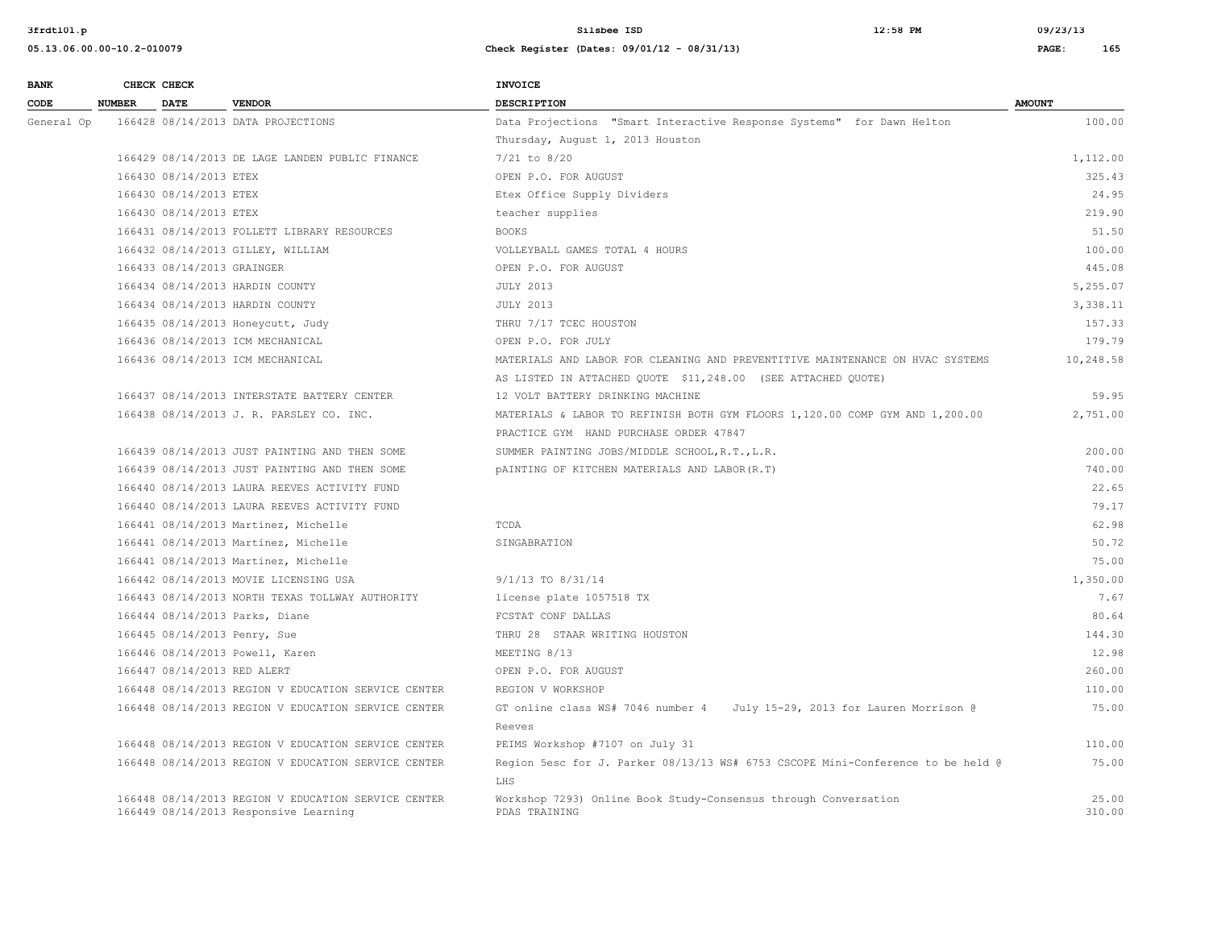| <b>BANK</b> |               | CHECK CHECK                 |                                                     | <b>INVOICE</b>                                                                        |               |
|-------------|---------------|-----------------------------|-----------------------------------------------------|---------------------------------------------------------------------------------------|---------------|
| CODE        | <b>NUMBER</b> | <b>DATE</b>                 | <b>VENDOR</b>                                       | <b>DESCRIPTION</b>                                                                    | <b>AMOUNT</b> |
| General Op  |               |                             | 166428 08/14/2013 DATA PROJECTIONS                  | Data Projections "Smart Interactive Response Systems" for Dawn Helton                 | 100.00        |
|             |               |                             |                                                     | Thursday, August 1, 2013 Houston                                                      |               |
|             |               |                             | 166429 08/14/2013 DE LAGE LANDEN PUBLIC FINANCE     | $7/21$ to $8/20$                                                                      | 1,112.00      |
|             |               | 166430 08/14/2013 ETEX      |                                                     | OPEN P.O. FOR AUGUST                                                                  | 325.43        |
|             |               | 166430 08/14/2013 ETEX      |                                                     | Etex Office Supply Dividers                                                           | 24.95         |
|             |               | 166430 08/14/2013 ETEX      |                                                     | teacher supplies                                                                      | 219.90        |
|             |               |                             | 166431 08/14/2013 FOLLETT LIBRARY RESOURCES         | <b>BOOKS</b>                                                                          | 51.50         |
|             |               |                             | 166432 08/14/2013 GILLEY, WILLIAM                   | VOLLEYBALL GAMES TOTAL 4 HOURS                                                        | 100.00        |
|             |               | 166433 08/14/2013 GRAINGER  |                                                     | OPEN P.O. FOR AUGUST                                                                  | 445.08        |
|             |               |                             | 166434 08/14/2013 HARDIN COUNTY                     | <b>JULY 2013</b>                                                                      | 5,255.07      |
|             |               |                             | 166434 08/14/2013 HARDIN COUNTY                     | <b>JULY 2013</b>                                                                      | 3,338.11      |
|             |               |                             | 166435 08/14/2013 Honeycutt, Judy                   | THRU 7/17 TCEC HOUSTON                                                                | 157.33        |
|             |               |                             | 166436 08/14/2013 ICM MECHANICAL                    | OPEN P.O. FOR JULY                                                                    | 179.79        |
|             |               |                             | 166436 08/14/2013 ICM MECHANICAL                    | MATERIALS AND LABOR FOR CLEANING AND PREVENTITIVE MAINTENANCE ON HVAC SYSTEMS         | 10,248.58     |
|             |               |                             |                                                     | AS LISTED IN ATTACHED QUOTE \$11,248.00 (SEE ATTACHED QUOTE)                          |               |
|             |               |                             | 166437 08/14/2013 INTERSTATE BATTERY CENTER         | 12 VOLT BATTERY DRINKING MACHINE                                                      | 59.95         |
|             |               |                             | 166438 08/14/2013 J. R. PARSLEY CO. INC.            | MATERIALS & LABOR TO REFINISH BOTH GYM FLOORS 1,120.00 COMP GYM AND 1,200.00          | 2,751.00      |
|             |               |                             |                                                     | PRACTICE GYM HAND PURCHASE ORDER 47847                                                |               |
|             |               |                             | 166439 08/14/2013 JUST PAINTING AND THEN SOME       | SUMMER PAINTING JOBS/MIDDLE SCHOOL, R.T., L.R.                                        | 200.00        |
|             |               |                             | 166439 08/14/2013 JUST PAINTING AND THEN SOME       | PAINTING OF KITCHEN MATERIALS AND LABOR (R.T)                                         | 740.00        |
|             |               |                             | 166440 08/14/2013 LAURA REEVES ACTIVITY FUND        |                                                                                       | 22.65         |
|             |               |                             | 166440 08/14/2013 LAURA REEVES ACTIVITY FUND        |                                                                                       | 79.17         |
|             |               |                             | 166441 08/14/2013 Martinez, Michelle                | TCDA                                                                                  | 62.98         |
|             |               |                             | 166441 08/14/2013 Martinez, Michelle                | SINGABRATION                                                                          | 50.72         |
|             |               |                             | 166441 08/14/2013 Martinez, Michelle                |                                                                                       | 75.00         |
|             |               |                             | 166442 08/14/2013 MOVIE LICENSING USA               | 9/1/13 TO 8/31/14                                                                     | 1,350.00      |
|             |               |                             | 166443 08/14/2013 NORTH TEXAS TOLLWAY AUTHORITY     | license plate 1057518 TX                                                              | 7.67          |
|             |               |                             | 166444 08/14/2013 Parks, Diane                      | FCSTAT CONF DALLAS                                                                    | 80.64         |
|             |               |                             | 166445 08/14/2013 Penry, Sue                        | THRU 28 STAAR WRITING HOUSTON                                                         | 144.30        |
|             |               |                             | 166446 08/14/2013 Powell, Karen                     | MEETING 8/13                                                                          | 12.98         |
|             |               | 166447 08/14/2013 RED ALERT |                                                     | OPEN P.O. FOR AUGUST                                                                  | 260.00        |
|             |               |                             | 166448 08/14/2013 REGION V EDUCATION SERVICE CENTER | REGION V WORKSHOP                                                                     | 110.00        |
|             |               |                             | 166448 08/14/2013 REGION V EDUCATION SERVICE CENTER | GT online class WS# 7046 number 4<br>July 15-29, 2013 for Lauren Morrison @<br>Reeves | 75.00         |
|             |               |                             | 166448 08/14/2013 REGION V EDUCATION SERVICE CENTER | PEIMS Workshop #7107 on July 31                                                       | 110.00        |
|             |               |                             | 166448 08/14/2013 REGION V EDUCATION SERVICE CENTER | Region 5esc for J. Parker 08/13/13 WS# 6753 CSCOPE Mini-Conference to be held @       | 75.00         |
|             |               |                             |                                                     | LHS                                                                                   |               |
|             |               |                             | 166448 08/14/2013 REGION V EDUCATION SERVICE CENTER | Workshop 7293) Online Book Study-Consensus through Conversation                       | 25.00         |
|             |               |                             | 166449 08/14/2013 Responsive Learning               | PDAS TRAINING                                                                         | 310.00        |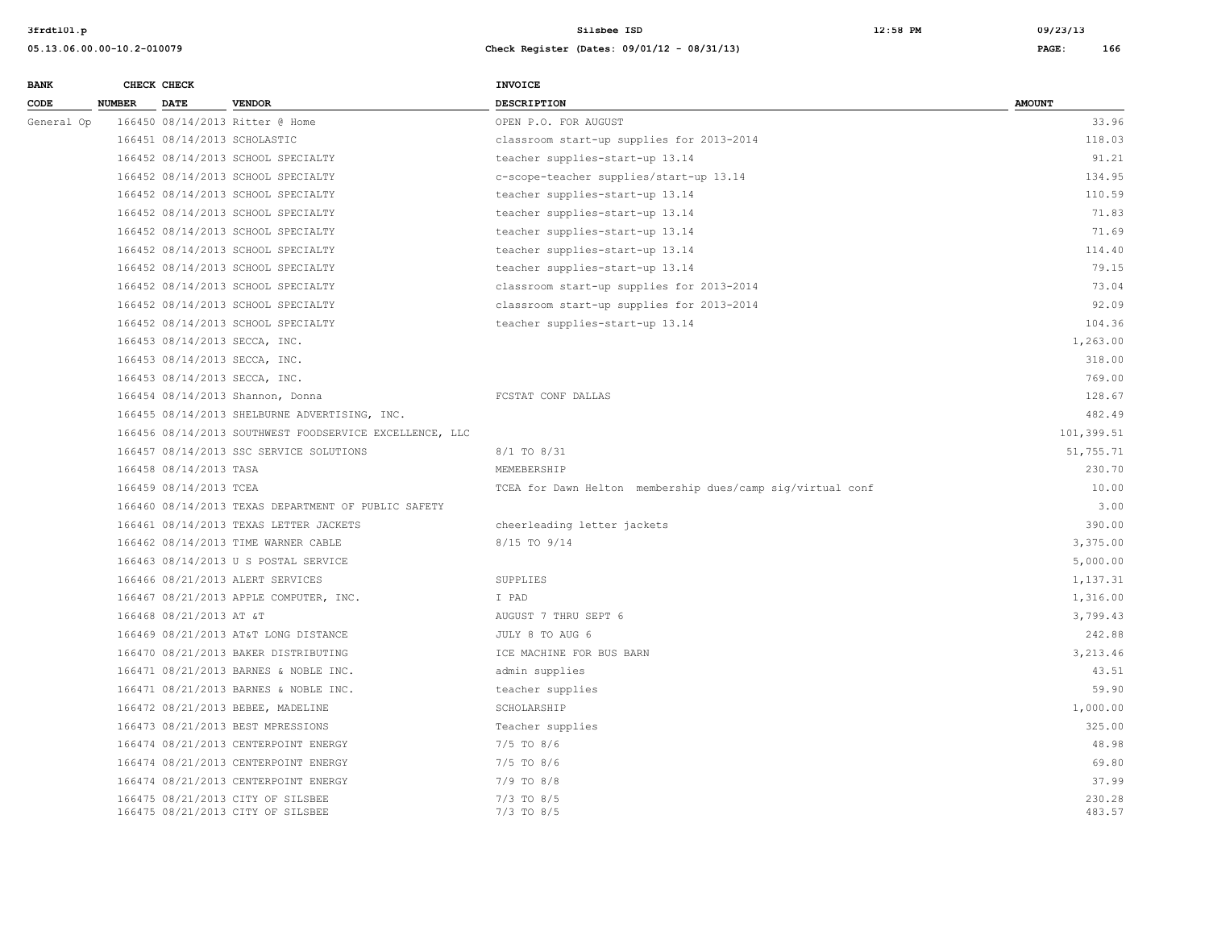| <b>BANK</b> |        | CHECK CHECK             |                                                                        | <b>INVOICE</b>                                             |                  |
|-------------|--------|-------------------------|------------------------------------------------------------------------|------------------------------------------------------------|------------------|
| CODE        | NUMBER | <b>DATE</b>             | <b>VENDOR</b>                                                          | <b>DESCRIPTION</b>                                         | <b>AMOUNT</b>    |
| General Op  |        |                         | 166450 08/14/2013 Ritter @ Home                                        | OPEN P.O. FOR AUGUST                                       | 33.96            |
|             |        |                         | 166451 08/14/2013 SCHOLASTIC                                           | classroom start-up supplies for 2013-2014                  | 118.03           |
|             |        |                         | 166452 08/14/2013 SCHOOL SPECIALTY                                     | teacher supplies-start-up 13.14                            | 91.21            |
|             |        |                         | 166452 08/14/2013 SCHOOL SPECIALTY                                     | c-scope-teacher supplies/start-up 13.14                    | 134.95           |
|             |        |                         | 166452 08/14/2013 SCHOOL SPECIALTY                                     | teacher supplies-start-up 13.14                            | 110.59           |
|             |        |                         | 166452 08/14/2013 SCHOOL SPECIALTY                                     | teacher supplies-start-up 13.14                            | 71.83            |
|             |        |                         | 166452 08/14/2013 SCHOOL SPECIALTY                                     | teacher supplies-start-up 13.14                            | 71.69            |
|             |        |                         | 166452 08/14/2013 SCHOOL SPECIALTY                                     | teacher supplies-start-up 13.14                            | 114.40           |
|             |        |                         | 166452 08/14/2013 SCHOOL SPECIALTY                                     | teacher supplies-start-up 13.14                            | 79.15            |
|             |        |                         | 166452 08/14/2013 SCHOOL SPECIALTY                                     | classroom start-up supplies for 2013-2014                  | 73.04            |
|             |        |                         | 166452 08/14/2013 SCHOOL SPECIALTY                                     | classroom start-up supplies for 2013-2014                  | 92.09            |
|             |        |                         | 166452 08/14/2013 SCHOOL SPECIALTY                                     | teacher supplies-start-up 13.14                            | 104.36           |
|             |        |                         | 166453 08/14/2013 SECCA, INC.                                          |                                                            | 1,263.00         |
|             |        |                         | 166453 08/14/2013 SECCA, INC.                                          |                                                            | 318.00           |
|             |        |                         | 166453 08/14/2013 SECCA, INC.                                          |                                                            | 769.00           |
|             |        |                         | 166454 08/14/2013 Shannon, Donna                                       | FCSTAT CONF DALLAS                                         | 128.67           |
|             |        |                         | 166455 08/14/2013 SHELBURNE ADVERTISING, INC.                          |                                                            | 482.49           |
|             |        |                         | 166456 08/14/2013 SOUTHWEST FOODSERVICE EXCELLENCE, LLC                |                                                            | 101,399.51       |
|             |        |                         | 166457 08/14/2013 SSC SERVICE SOLUTIONS                                | 8/1 TO 8/31                                                | 51,755.71        |
|             |        | 166458 08/14/2013 TASA  |                                                                        | MEMEBERSHIP                                                | 230.70           |
|             |        | 166459 08/14/2013 TCEA  |                                                                        | TCEA for Dawn Helton membership dues/camp sig/virtual conf | 10.00            |
|             |        |                         | 166460 08/14/2013 TEXAS DEPARTMENT OF PUBLIC SAFETY                    |                                                            | 3.00             |
|             |        |                         | 166461 08/14/2013 TEXAS LETTER JACKETS                                 | cheerleading letter jackets                                | 390.00           |
|             |        |                         | 166462 08/14/2013 TIME WARNER CABLE                                    | 8/15 TO 9/14                                               | 3,375.00         |
|             |        |                         | 166463 08/14/2013 U S POSTAL SERVICE                                   |                                                            | 5,000.00         |
|             |        |                         | 166466 08/21/2013 ALERT SERVICES                                       | SUPPLIES                                                   | 1,137.31         |
|             |        |                         | 166467 08/21/2013 APPLE COMPUTER, INC.                                 | I PAD                                                      | 1,316.00         |
|             |        | 166468 08/21/2013 AT &T |                                                                        | AUGUST 7 THRU SEPT 6                                       | 3,799.43         |
|             |        |                         | 166469 08/21/2013 AT&T LONG DISTANCE                                   | JULY 8 TO AUG 6                                            | 242.88           |
|             |        |                         | 166470 08/21/2013 BAKER DISTRIBUTING                                   | ICE MACHINE FOR BUS BARN                                   | 3,213.46         |
|             |        |                         | 166471 08/21/2013 BARNES & NOBLE INC.                                  | admin supplies                                             | 43.51            |
|             |        |                         | 166471 08/21/2013 BARNES & NOBLE INC.                                  | teacher supplies                                           | 59.90            |
|             |        |                         | 166472 08/21/2013 BEBEE, MADELINE                                      | SCHOLARSHIP                                                | 1,000.00         |
|             |        |                         | 166473 08/21/2013 BEST MPRESSIONS                                      | Teacher supplies                                           | 325.00           |
|             |        |                         | 166474 08/21/2013 CENTERPOINT ENERGY                                   | $7/5$ TO $8/6$                                             | 48.98            |
|             |        |                         | 166474 08/21/2013 CENTERPOINT ENERGY                                   | $7/5$ TO $8/6$                                             | 69.80            |
|             |        |                         | 166474 08/21/2013 CENTERPOINT ENERGY                                   | $7/9$ TO $8/8$                                             | 37.99            |
|             |        |                         | 166475 08/21/2013 CITY OF SILSBEE<br>166475 08/21/2013 CITY OF SILSBEE | $7/3$ TO $8/5$<br>$7/3$ TO $8/5$                           | 230.28<br>483.57 |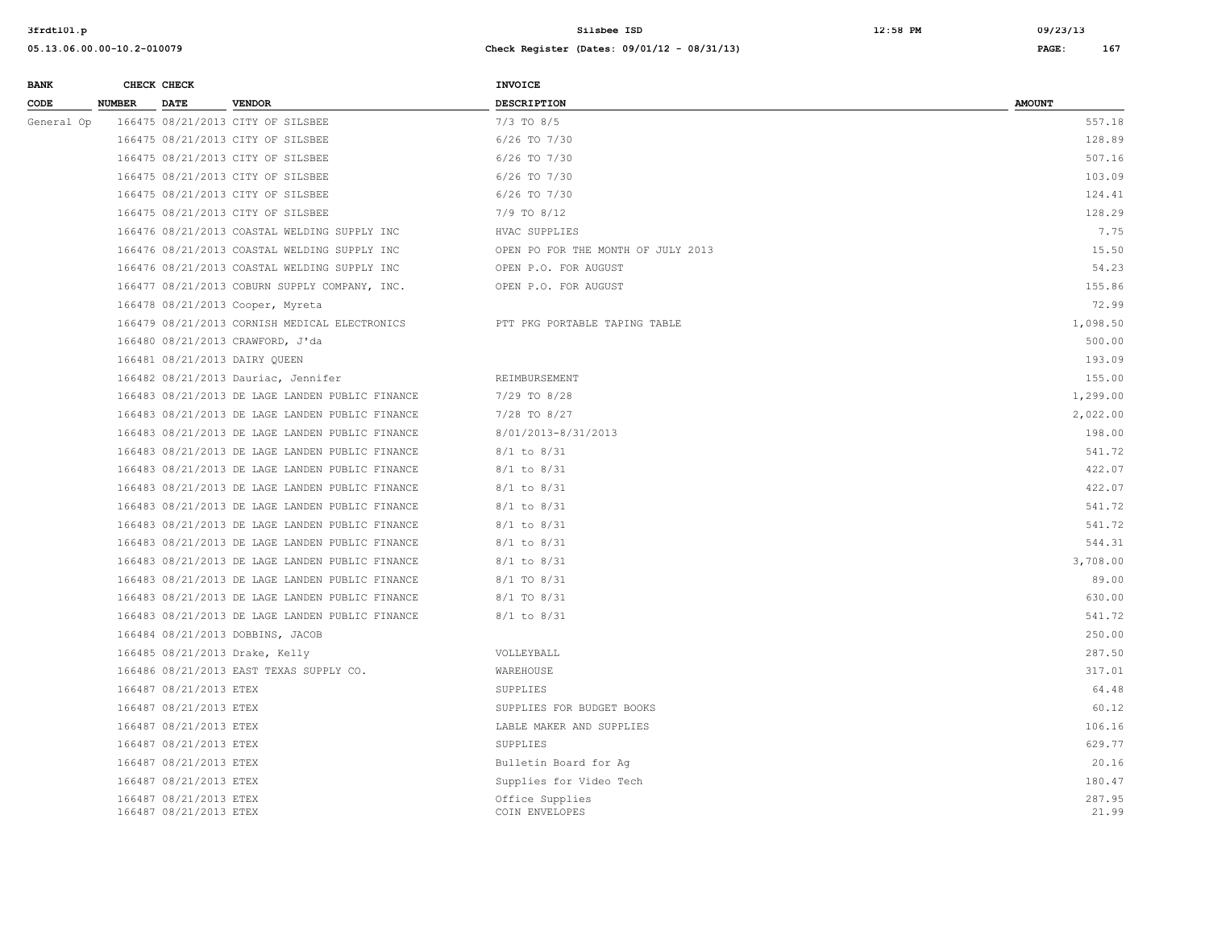| <b>BANK</b> |               | CHECK CHECK                                      |                                                 | <b>INVOICE</b>                     |                 |
|-------------|---------------|--------------------------------------------------|-------------------------------------------------|------------------------------------|-----------------|
| CODE        | <b>NUMBER</b> | <b>DATE</b>                                      | <b>VENDOR</b>                                   | <b>DESCRIPTION</b>                 | <b>AMOUNT</b>   |
| General Op  |               |                                                  | 166475 08/21/2013 CITY OF SILSBEE               | $7/3$ TO $8/5$                     | 557.18          |
|             |               |                                                  | 166475 08/21/2013 CITY OF SILSBEE               | $6/26$ TO $7/30$                   | 128.89          |
|             |               |                                                  | 166475 08/21/2013 CITY OF SILSBEE               | 6/26 TO 7/30                       | 507.16          |
|             |               |                                                  | 166475 08/21/2013 CITY OF SILSBEE               | 6/26 TO 7/30                       | 103.09          |
|             |               |                                                  | 166475 08/21/2013 CITY OF SILSBEE               | 6/26 TO 7/30                       | 124.41          |
|             |               |                                                  | 166475 08/21/2013 CITY OF SILSBEE               | 7/9 TO 8/12                        | 128.29          |
|             |               |                                                  | 166476 08/21/2013 COASTAL WELDING SUPPLY INC    | HVAC SUPPLIES                      | 7.75            |
|             |               |                                                  | 166476 08/21/2013 COASTAL WELDING SUPPLY INC    | OPEN PO FOR THE MONTH OF JULY 2013 | 15.50           |
|             |               |                                                  | 166476 08/21/2013 COASTAL WELDING SUPPLY INC    | OPEN P.O. FOR AUGUST               | 54.23           |
|             |               |                                                  | 166477 08/21/2013 COBURN SUPPLY COMPANY, INC.   | OPEN P.O. FOR AUGUST               | 155.86          |
|             |               |                                                  | 166478 08/21/2013 Cooper, Myreta                |                                    | 72.99           |
|             |               |                                                  | 166479 08/21/2013 CORNISH MEDICAL ELECTRONICS   | PTT PKG PORTABLE TAPING TABLE      | 1,098.50        |
|             |               |                                                  | 166480 08/21/2013 CRAWFORD, J'da                |                                    | 500.00          |
|             |               |                                                  | 166481 08/21/2013 DAIRY QUEEN                   |                                    | 193.09          |
|             |               |                                                  | 166482 08/21/2013 Dauriac, Jennifer             | REIMBURSEMENT                      | 155.00          |
|             |               |                                                  | 166483 08/21/2013 DE LAGE LANDEN PUBLIC FINANCE | $7/29$ TO $8/28$                   | 1,299.00        |
|             |               |                                                  | 166483 08/21/2013 DE LAGE LANDEN PUBLIC FINANCE | 7/28 TO 8/27                       | 2,022.00        |
|             |               |                                                  | 166483 08/21/2013 DE LAGE LANDEN PUBLIC FINANCE | 8/01/2013-8/31/2013                | 198.00          |
|             |               |                                                  | 166483 08/21/2013 DE LAGE LANDEN PUBLIC FINANCE | $8/1$ to $8/31$                    | 541.72          |
|             |               |                                                  | 166483 08/21/2013 DE LAGE LANDEN PUBLIC FINANCE | $8/1$ to $8/31$                    | 422.07          |
|             |               |                                                  | 166483 08/21/2013 DE LAGE LANDEN PUBLIC FINANCE | $8/1$ to $8/31$                    | 422.07          |
|             |               |                                                  | 166483 08/21/2013 DE LAGE LANDEN PUBLIC FINANCE | $8/1$ to $8/31$                    | 541.72          |
|             |               |                                                  | 166483 08/21/2013 DE LAGE LANDEN PUBLIC FINANCE | $8/1$ to $8/31$                    | 541.72          |
|             |               |                                                  | 166483 08/21/2013 DE LAGE LANDEN PUBLIC FINANCE | $8/1$ to $8/31$                    | 544.31          |
|             |               |                                                  | 166483 08/21/2013 DE LAGE LANDEN PUBLIC FINANCE | $8/1$ to $8/31$                    | 3,708.00        |
|             |               |                                                  | 166483 08/21/2013 DE LAGE LANDEN PUBLIC FINANCE | 8/1 TO 8/31                        | 89.00           |
|             |               |                                                  | 166483 08/21/2013 DE LAGE LANDEN PUBLIC FINANCE | 8/1 TO 8/31                        | 630.00          |
|             |               |                                                  | 166483 08/21/2013 DE LAGE LANDEN PUBLIC FINANCE | $8/1$ to $8/31$                    | 541.72          |
|             |               |                                                  | 166484 08/21/2013 DOBBINS, JACOB                |                                    | 250.00          |
|             |               |                                                  | 166485 08/21/2013 Drake, Kelly                  | VOLLEYBALL                         | 287.50          |
|             |               |                                                  | 166486 08/21/2013 EAST TEXAS SUPPLY CO.         | WAREHOUSE                          | 317.01          |
|             |               | 166487 08/21/2013 ETEX                           |                                                 | SUPPLIES                           | 64.48           |
|             |               | 166487 08/21/2013 ETEX                           |                                                 | SUPPLIES FOR BUDGET BOOKS          | 60.12           |
|             |               | 166487 08/21/2013 ETEX                           |                                                 | LABLE MAKER AND SUPPLIES           | 106.16          |
|             |               | 166487 08/21/2013 ETEX                           |                                                 | SUPPLIES                           | 629.77          |
|             |               | 166487 08/21/2013 ETEX                           |                                                 | Bulletin Board for Aq              | 20.16           |
|             |               | 166487 08/21/2013 ETEX                           |                                                 | Supplies for Video Tech            | 180.47          |
|             |               | 166487 08/21/2013 ETEX<br>166487 08/21/2013 ETEX |                                                 | Office Supplies<br>COIN ENVELOPES  | 287.95<br>21.99 |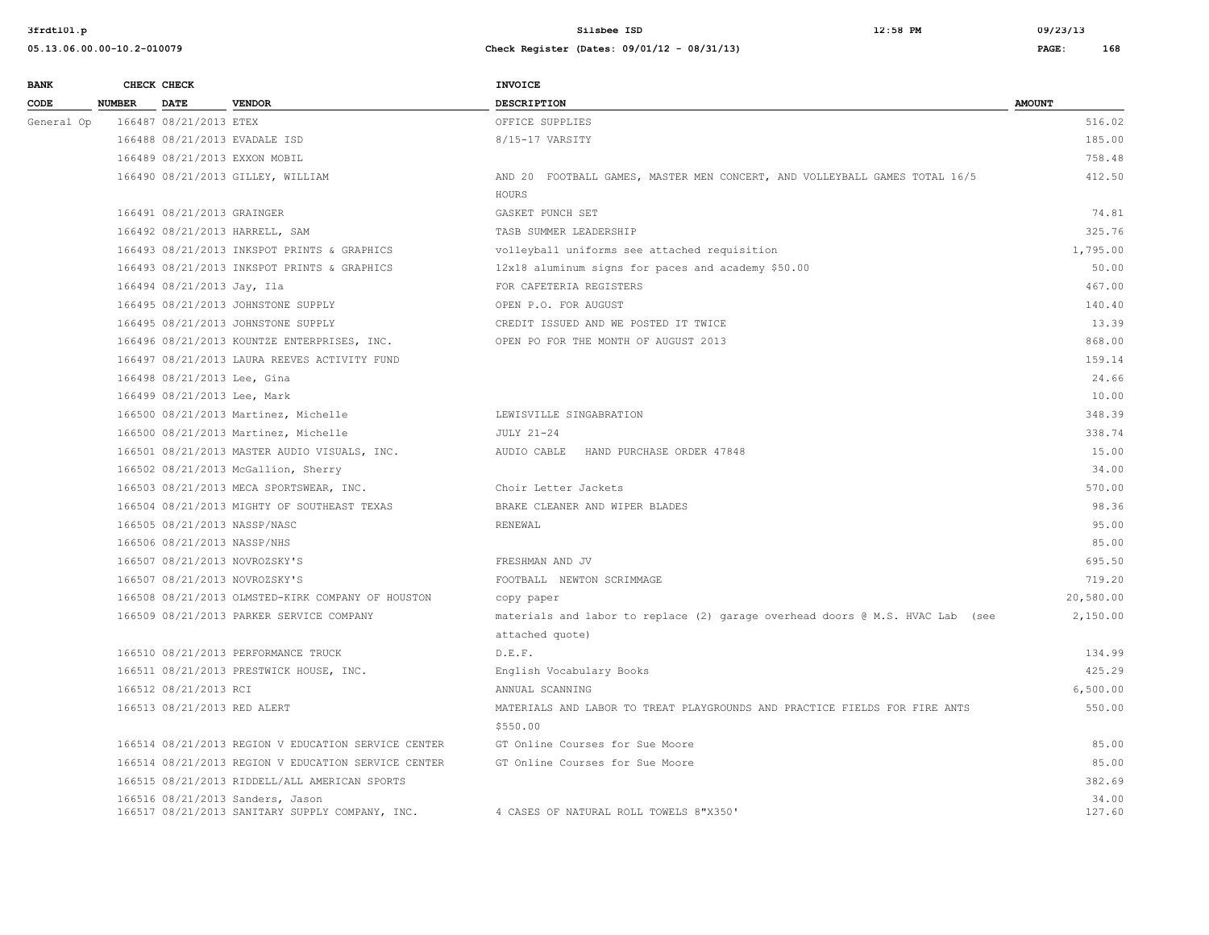| <b>RANK</b> | CHECK CHECK |  |
|-------------|-------------|--|

| <b>BANK</b> |               | CHECK CHECK                  |                                                                                     | INVOICE                                                                                          |                 |
|-------------|---------------|------------------------------|-------------------------------------------------------------------------------------|--------------------------------------------------------------------------------------------------|-----------------|
| CODE        | <b>NUMBER</b> | <b>DATE</b>                  | <b>VENDOR</b>                                                                       | <b>DESCRIPTION</b>                                                                               | <b>AMOUNT</b>   |
| General Op  |               | 166487 08/21/2013 ETEX       |                                                                                     | OFFICE SUPPLIES                                                                                  | 516.02          |
|             |               |                              | 166488 08/21/2013 EVADALE ISD                                                       | 8/15-17 VARSITY                                                                                  | 185.00          |
|             |               |                              | 166489 08/21/2013 EXXON MOBIL                                                       |                                                                                                  | 758.48          |
|             |               |                              | 166490 08/21/2013 GILLEY, WILLIAM                                                   | AND 20 FOOTBALL GAMES, MASTER MEN CONCERT, AND VOLLEYBALL GAMES TOTAL 16/5                       | 412.50          |
|             |               |                              |                                                                                     | HOURS                                                                                            |                 |
|             |               | 166491 08/21/2013 GRAINGER   |                                                                                     | GASKET PUNCH SET                                                                                 | 74.81           |
|             |               |                              | 166492 08/21/2013 HARRELL, SAM                                                      | TASB SUMMER LEADERSHIP                                                                           | 325.76          |
|             |               |                              | 166493 08/21/2013 INKSPOT PRINTS & GRAPHICS                                         | volleyball uniforms see attached requisition                                                     | 1,795.00        |
|             |               |                              | 166493 08/21/2013 INKSPOT PRINTS & GRAPHICS                                         | 12x18 aluminum signs for paces and academy \$50.00                                               | 50.00           |
|             |               | 166494 08/21/2013 Jay, Ila   |                                                                                     | FOR CAFETERIA REGISTERS                                                                          | 467.00          |
|             |               |                              | 166495 08/21/2013 JOHNSTONE SUPPLY                                                  | OPEN P.O. FOR AUGUST                                                                             | 140.40          |
|             |               |                              | 166495 08/21/2013 JOHNSTONE SUPPLY                                                  | CREDIT ISSUED AND WE POSTED IT TWICE                                                             | 13.39           |
|             |               |                              | 166496 08/21/2013 KOUNTZE ENTERPRISES, INC.                                         | OPEN PO FOR THE MONTH OF AUGUST 2013                                                             | 868.00          |
|             |               |                              | 166497 08/21/2013 LAURA REEVES ACTIVITY FUND                                        |                                                                                                  | 159.14          |
|             |               | 166498 08/21/2013 Lee, Gina  |                                                                                     |                                                                                                  | 24.66           |
|             |               | 166499 08/21/2013 Lee, Mark  |                                                                                     |                                                                                                  | 10.00           |
|             |               |                              | 166500 08/21/2013 Martinez, Michelle                                                | LEWISVILLE SINGABRATION                                                                          | 348.39          |
|             |               |                              | 166500 08/21/2013 Martinez, Michelle                                                | JULY 21-24                                                                                       | 338.74          |
|             |               |                              | 166501 08/21/2013 MASTER AUDIO VISUALS, INC.                                        | AUDIO CABLE HAND PURCHASE ORDER 47848                                                            | 15.00           |
|             |               |                              | 166502 08/21/2013 McGallion, Sherry                                                 |                                                                                                  | 34.00           |
|             |               |                              | 166503 08/21/2013 MECA SPORTSWEAR, INC.                                             | Choir Letter Jackets                                                                             | 570.00          |
|             |               |                              | 166504 08/21/2013 MIGHTY OF SOUTHEAST TEXAS                                         | BRAKE CLEANER AND WIPER BLADES                                                                   | 98.36           |
|             |               | 166505 08/21/2013 NASSP/NASC |                                                                                     | RENEWAL.                                                                                         | 95.00           |
|             |               | 166506 08/21/2013 NASSP/NHS  |                                                                                     |                                                                                                  | 85.00           |
|             |               |                              | 166507 08/21/2013 NOVROZSKY'S                                                       | FRESHMAN AND JV                                                                                  | 695.50          |
|             |               |                              | 166507 08/21/2013 NOVROZSKY'S                                                       | FOOTBALL NEWTON SCRIMMAGE                                                                        | 719.20          |
|             |               |                              | 166508 08/21/2013 OLMSTED-KIRK COMPANY OF HOUSTON                                   | copy paper                                                                                       | 20,580.00       |
|             |               |                              | 166509 08/21/2013 PARKER SERVICE COMPANY                                            | materials and labor to replace (2) garage overhead doors @ M.S. HVAC Lab (see<br>attached quote) | 2,150.00        |
|             |               |                              | 166510 08/21/2013 PERFORMANCE TRUCK                                                 | D.E.F.                                                                                           | 134.99          |
|             |               |                              | 166511 08/21/2013 PRESTWICK HOUSE, INC.                                             | English Vocabulary Books                                                                         | 425.29          |
|             |               | 166512 08/21/2013 RCI        |                                                                                     | ANNUAL SCANNING                                                                                  | 6,500.00        |
|             |               |                              |                                                                                     | MATERIALS AND LABOR TO TREAT PLAYGROUNDS AND PRACTICE FIELDS FOR FIRE ANTS                       | 550.00          |
|             |               | 166513 08/21/2013 RED ALERT  |                                                                                     | \$550.00                                                                                         |                 |
|             |               |                              | 166514 08/21/2013 REGION V EDUCATION SERVICE CENTER                                 | GT Online Courses for Sue Moore                                                                  | 85.00           |
|             |               |                              | 166514 08/21/2013 REGION V EDUCATION SERVICE CENTER                                 | GT Online Courses for Sue Moore                                                                  | 85.00           |
|             |               |                              | 166515 08/21/2013 RIDDELL/ALL AMERICAN SPORTS                                       |                                                                                                  | 382.69          |
|             |               |                              | 166516 08/21/2013 Sanders, Jason<br>166517 08/21/2013 SANITARY SUPPLY COMPANY, INC. | 4 CASES OF NATURAL ROLL TOWELS 8"X350"                                                           | 34.00<br>127.60 |
|             |               |                              |                                                                                     |                                                                                                  |                 |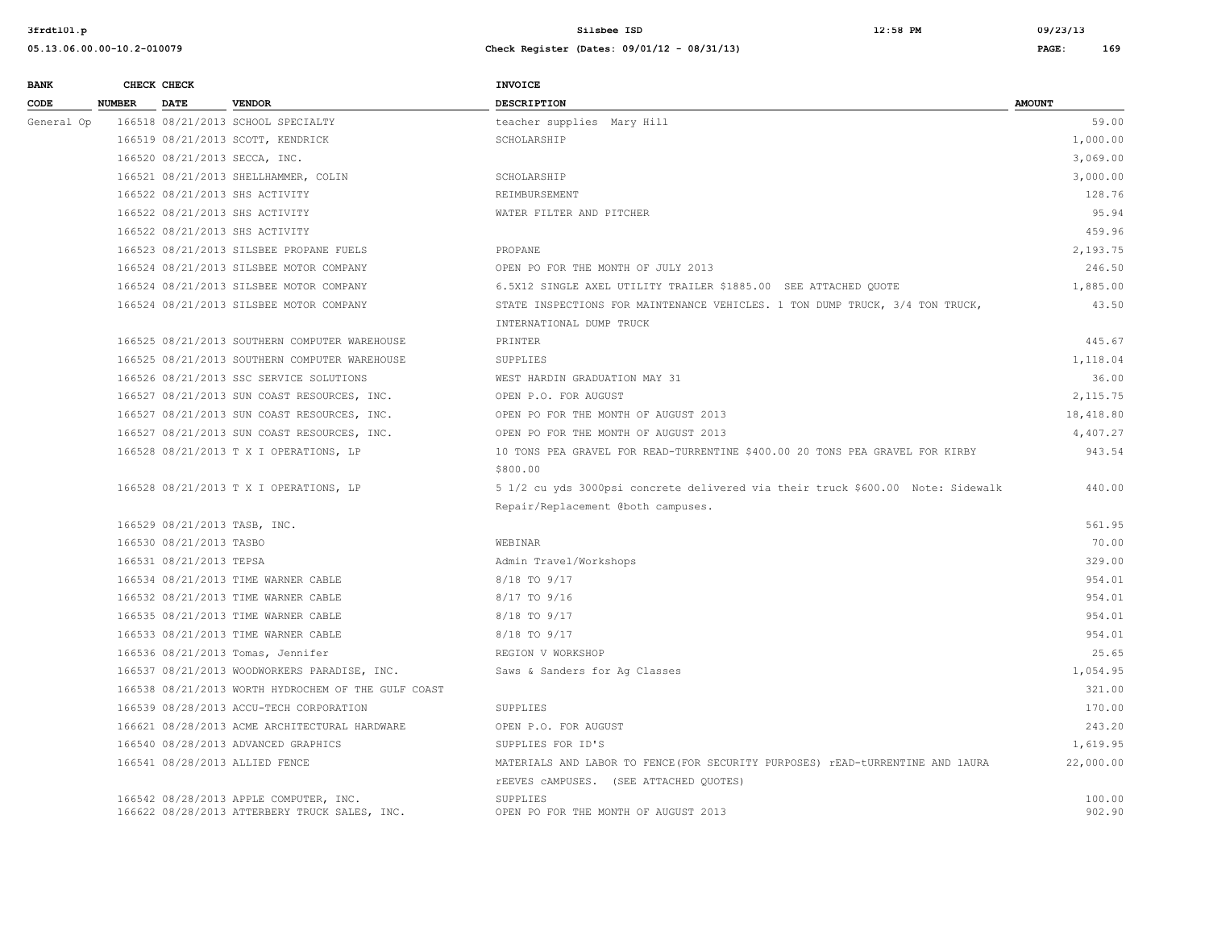| <b>BANK</b> |               | CHECK CHECK                  |                                                     | <b>INVOICE</b>                                                                  |               |
|-------------|---------------|------------------------------|-----------------------------------------------------|---------------------------------------------------------------------------------|---------------|
| <b>CODE</b> | <b>NUMBER</b> | <b>DATE</b>                  | <b>VENDOR</b>                                       | <b>DESCRIPTION</b>                                                              | <b>AMOUNT</b> |
| General Op  |               |                              | 166518 08/21/2013 SCHOOL SPECIALTY                  | teacher supplies Mary Hill                                                      | 59.00         |
|             |               |                              | 166519 08/21/2013 SCOTT, KENDRICK                   | SCHOLARSHIP                                                                     | 1,000.00      |
|             |               |                              | 166520 08/21/2013 SECCA, INC.                       |                                                                                 | 3,069.00      |
|             |               |                              | 166521 08/21/2013 SHELLHAMMER, COLIN                | SCHOLARSHIP                                                                     | 3,000.00      |
|             |               |                              | 166522 08/21/2013 SHS ACTIVITY                      | REIMBURSEMENT                                                                   | 128.76        |
|             |               |                              | 166522 08/21/2013 SHS ACTIVITY                      | WATER FILTER AND PITCHER                                                        | 95.94         |
|             |               |                              | 166522 08/21/2013 SHS ACTIVITY                      |                                                                                 | 459.96        |
|             |               |                              | 166523 08/21/2013 SILSBEE PROPANE FUELS             | PROPANE                                                                         | 2,193.75      |
|             |               |                              | 166524 08/21/2013 SILSBEE MOTOR COMPANY             | OPEN PO FOR THE MONTH OF JULY 2013                                              | 246.50        |
|             |               |                              | 166524 08/21/2013 SILSBEE MOTOR COMPANY             | 6.5X12 SINGLE AXEL UTILITY TRAILER \$1885.00 SEE ATTACHED QUOTE                 | 1,885.00      |
|             |               |                              | 166524 08/21/2013 SILSBEE MOTOR COMPANY             | STATE INSPECTIONS FOR MAINTENANCE VEHICLES. 1 TON DUMP TRUCK, 3/4 TON TRUCK,    | 43.50         |
|             |               |                              |                                                     | INTERNATIONAL DUMP TRUCK                                                        |               |
|             |               |                              | 166525 08/21/2013 SOUTHERN COMPUTER WAREHOUSE       | PRINTER                                                                         | 445.67        |
|             |               |                              | 166525 08/21/2013 SOUTHERN COMPUTER WAREHOUSE       | SUPPLIES                                                                        | 1,118.04      |
|             |               |                              | 166526 08/21/2013 SSC SERVICE SOLUTIONS             | WEST HARDIN GRADUATION MAY 31                                                   | 36.00         |
|             |               |                              | 166527 08/21/2013 SUN COAST RESOURCES, INC.         | OPEN P.O. FOR AUGUST                                                            | 2,115.75      |
|             |               |                              | 166527 08/21/2013 SUN COAST RESOURCES, INC.         | OPEN PO FOR THE MONTH OF AUGUST 2013                                            | 18,418.80     |
|             |               |                              | 166527 08/21/2013 SUN COAST RESOURCES, INC.         | OPEN PO FOR THE MONTH OF AUGUST 2013                                            | 4,407.27      |
|             |               |                              | 166528 08/21/2013 T X I OPERATIONS, LP              | 10 TONS PEA GRAVEL FOR READ-TURRENTINE \$400.00 20 TONS PEA GRAVEL FOR KIRBY    | 943.54        |
|             |               |                              |                                                     | \$800.00                                                                        |               |
|             |               |                              | 166528 08/21/2013 T X I OPERATIONS, LP              | 5 1/2 cu yds 3000psi concrete delivered via their truck \$600.00 Note: Sidewalk | 440.00        |
|             |               |                              |                                                     | Repair/Replacement @both campuses.                                              |               |
|             |               | 166529 08/21/2013 TASB, INC. |                                                     |                                                                                 | 561.95        |
|             |               | 166530 08/21/2013 TASBO      |                                                     | WEBINAR                                                                         | 70.00         |
|             |               | 166531 08/21/2013 TEPSA      |                                                     | Admin Travel/Workshops                                                          | 329.00        |
|             |               |                              | 166534 08/21/2013 TIME WARNER CABLE                 | 8/18 TO 9/17                                                                    | 954.01        |
|             |               |                              | 166532 08/21/2013 TIME WARNER CABLE                 | 8/17 TO 9/16                                                                    | 954.01        |
|             |               |                              | 166535 08/21/2013 TIME WARNER CABLE                 | 8/18 TO 9/17                                                                    | 954.01        |
|             |               |                              | 166533 08/21/2013 TIME WARNER CABLE                 | 8/18 TO 9/17                                                                    | 954.01        |
|             |               |                              | 166536 08/21/2013 Tomas, Jennifer                   | REGION V WORKSHOP                                                               | 25.65         |
|             |               |                              | 166537 08/21/2013 WOODWORKERS PARADISE, INC.        | Saws & Sanders for Ag Classes                                                   | 1,054.95      |
|             |               |                              | 166538 08/21/2013 WORTH HYDROCHEM OF THE GULF COAST |                                                                                 | 321.00        |
|             |               |                              | 166539 08/28/2013 ACCU-TECH CORPORATION             | SUPPLIES                                                                        | 170.00        |
|             |               |                              | 166621 08/28/2013 ACME ARCHITECTURAL HARDWARE       | OPEN P.O. FOR AUGUST                                                            | 243.20        |
|             |               |                              | 166540 08/28/2013 ADVANCED GRAPHICS                 | SUPPLIES FOR ID'S                                                               | 1,619.95      |
|             |               |                              | 166541 08/28/2013 ALLIED FENCE                      | MATERIALS AND LABOR TO FENCE (FOR SECURITY PURPOSES) rEAD-tURRENTINE AND lAURA  | 22,000.00     |
|             |               |                              |                                                     | TEEVES CAMPUSES. (SEE ATTACHED QUOTES)                                          |               |
|             |               |                              | 166542 08/28/2013 APPLE COMPUTER, INC.              | <b>SUPPLIES</b>                                                                 | 100.00        |
|             |               |                              | 166622 08/28/2013 ATTERBERY TRUCK SALES, INC.       | OPEN PO FOR THE MONTH OF AUGUST 2013                                            | 902.90        |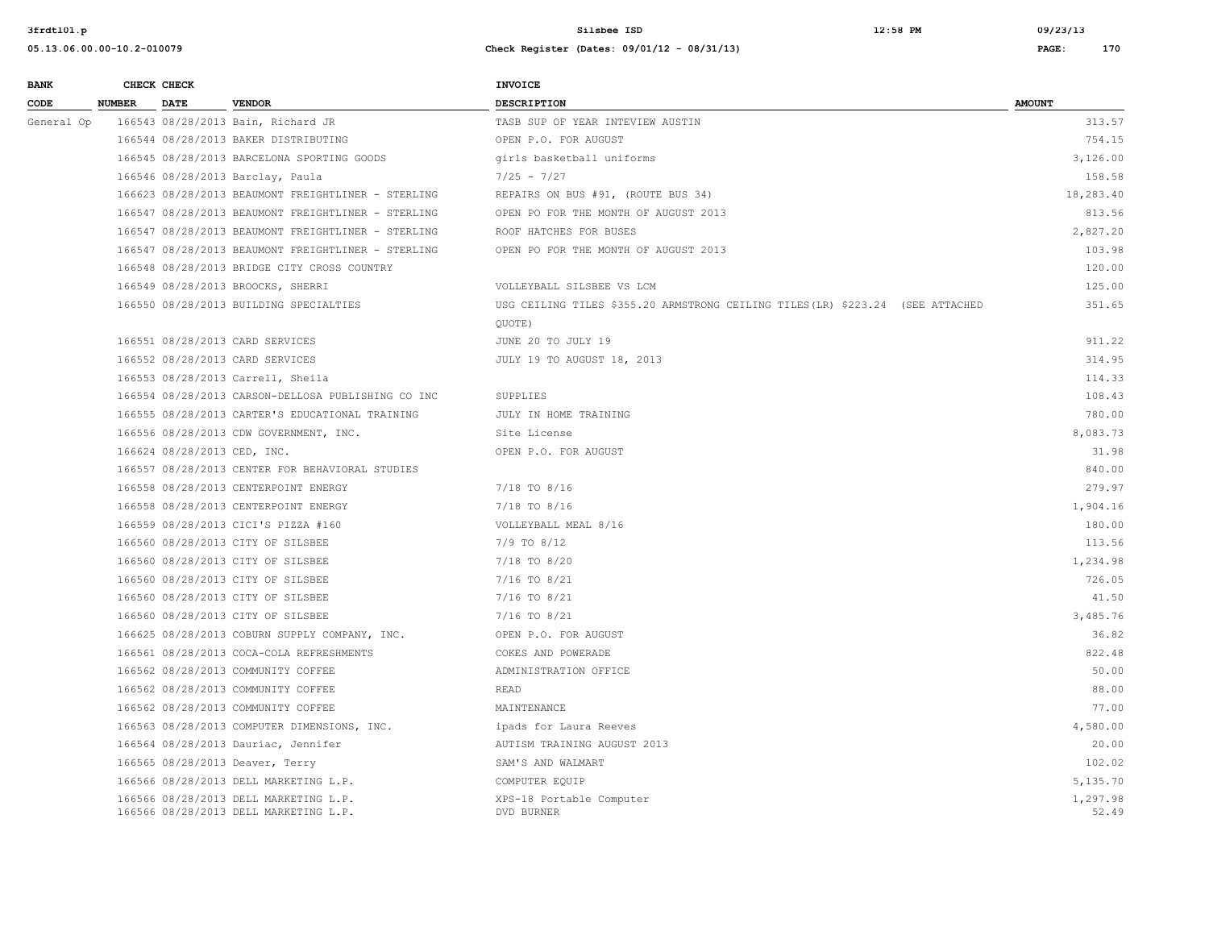| <b>BANK</b> |               | CHECK CHECK                 |                                                                                | INVOICE                                                                        |                   |
|-------------|---------------|-----------------------------|--------------------------------------------------------------------------------|--------------------------------------------------------------------------------|-------------------|
| CODE        | <b>NUMBER</b> | <b>DATE</b>                 | <b>VENDOR</b>                                                                  | <b>DESCRIPTION</b>                                                             | <b>AMOUNT</b>     |
| General Op  |               |                             | 166543 08/28/2013 Bain, Richard JR                                             | TASB SUP OF YEAR INTEVIEW AUSTIN                                               | 313.57            |
|             |               |                             | 166544 08/28/2013 BAKER DISTRIBUTING                                           | OPEN P.O. FOR AUGUST                                                           | 754.15            |
|             |               |                             | 166545 08/28/2013 BARCELONA SPORTING GOODS                                     | girls basketball uniforms                                                      | 3,126.00          |
|             |               |                             | 166546 08/28/2013 Barclay, Paula                                               | $7/25 - 7/27$                                                                  | 158.58            |
|             |               |                             | 166623 08/28/2013 BEAUMONT FREIGHTLINER - STERLING                             | REPAIRS ON BUS #91, (ROUTE BUS 34)                                             | 18,283.40         |
|             |               |                             | 166547 08/28/2013 BEAUMONT FREIGHTLINER - STERLING                             | OPEN PO FOR THE MONTH OF AUGUST 2013                                           | 813.56            |
|             |               |                             | 166547 08/28/2013 BEAUMONT FREIGHTLINER - STERLING                             | ROOF HATCHES FOR BUSES                                                         | 2,827.20          |
|             |               |                             | 166547 08/28/2013 BEAUMONT FREIGHTLINER - STERLING                             | OPEN PO FOR THE MONTH OF AUGUST 2013                                           | 103.98            |
|             |               |                             | 166548 08/28/2013 BRIDGE CITY CROSS COUNTRY                                    |                                                                                | 120.00            |
|             |               |                             | 166549 08/28/2013 BROOCKS, SHERRI                                              | VOLLEYBALL SILSBEE VS LCM                                                      | 125.00            |
|             |               |                             | 166550 08/28/2013 BUILDING SPECIALTIES                                         | USG CEILING TILES \$355.20 ARMSTRONG CEILING TILES (LR) \$223.24 (SEE ATTACHED | 351.65            |
|             |               |                             |                                                                                | QUOTE)                                                                         |                   |
|             |               |                             | 166551 08/28/2013 CARD SERVICES                                                | JUNE 20 TO JULY 19                                                             | 911.22            |
|             |               |                             | 166552 08/28/2013 CARD SERVICES                                                | JULY 19 TO AUGUST 18, 2013                                                     | 314.95            |
|             |               |                             | 166553 08/28/2013 Carrell, Sheila                                              |                                                                                | 114.33            |
|             |               |                             | 166554 08/28/2013 CARSON-DELLOSA PUBLISHING CO INC                             | SUPPLIES                                                                       | 108.43            |
|             |               |                             | 166555 08/28/2013 CARTER'S EDUCATIONAL TRAINING                                | JULY IN HOME TRAINING                                                          | 780.00            |
|             |               |                             | 166556 08/28/2013 CDW GOVERNMENT, INC.                                         | Site License                                                                   | 8,083.73          |
|             |               | 166624 08/28/2013 CED, INC. |                                                                                | OPEN P.O. FOR AUGUST                                                           | 31.98             |
|             |               |                             | 166557 08/28/2013 CENTER FOR BEHAVIORAL STUDIES                                |                                                                                | 840.00            |
|             |               |                             | 166558 08/28/2013 CENTERPOINT ENERGY                                           | $7/18$ TO $8/16$                                                               | 279.97            |
|             |               |                             | 166558 08/28/2013 CENTERPOINT ENERGY                                           | $7/18$ TO $8/16$                                                               | 1,904.16          |
|             |               |                             | 166559 08/28/2013 CICI'S PIZZA #160                                            | VOLLEYBALL MEAL 8/16                                                           | 180.00            |
|             |               |                             | 166560 08/28/2013 CITY OF SILSBEE                                              | $7/9$ TO $8/12$                                                                | 113.56            |
|             |               |                             | 166560 08/28/2013 CITY OF SILSBEE                                              | 7/18 TO 8/20                                                                   | 1,234.98          |
|             |               |                             | 166560 08/28/2013 CITY OF SILSBEE                                              | 7/16 TO 8/21                                                                   | 726.05            |
|             |               |                             | 166560 08/28/2013 CITY OF SILSBEE                                              | 7/16 TO 8/21                                                                   | 41.50             |
|             |               |                             | 166560 08/28/2013 CITY OF SILSBEE                                              | $7/16$ TO $8/21$                                                               | 3,485.76          |
|             |               |                             | 166625 08/28/2013 COBURN SUPPLY COMPANY, INC.                                  | OPEN P.O. FOR AUGUST                                                           | 36.82             |
|             |               |                             | 166561 08/28/2013 COCA-COLA REFRESHMENTS                                       | COKES AND POWERADE                                                             | 822.48            |
|             |               |                             | 166562 08/28/2013 COMMUNITY COFFEE                                             | ADMINISTRATION OFFICE                                                          | 50.00             |
|             |               |                             | 166562 08/28/2013 COMMUNITY COFFEE                                             | READ                                                                           | 88.00             |
|             |               |                             | 166562 08/28/2013 COMMUNITY COFFEE                                             | MAINTENANCE                                                                    | 77.00             |
|             |               |                             | 166563 08/28/2013 COMPUTER DIMENSIONS, INC.                                    | ipads for Laura Reeves                                                         | 4,580.00          |
|             |               |                             | 166564 08/28/2013 Dauriac, Jennifer                                            | AUTISM TRAINING AUGUST 2013                                                    | 20.00             |
|             |               |                             | 166565 08/28/2013 Deaver, Terry                                                | SAM'S AND WALMART                                                              | 102.02            |
|             |               |                             | 166566 08/28/2013 DELL MARKETING L.P.                                          | COMPUTER EQUIP                                                                 | 5,135.70          |
|             |               |                             | 166566 08/28/2013 DELL MARKETING L.P.<br>166566 08/28/2013 DELL MARKETING L.P. | XPS-18 Portable Computer<br>DVD BURNER                                         | 1,297.98<br>52.49 |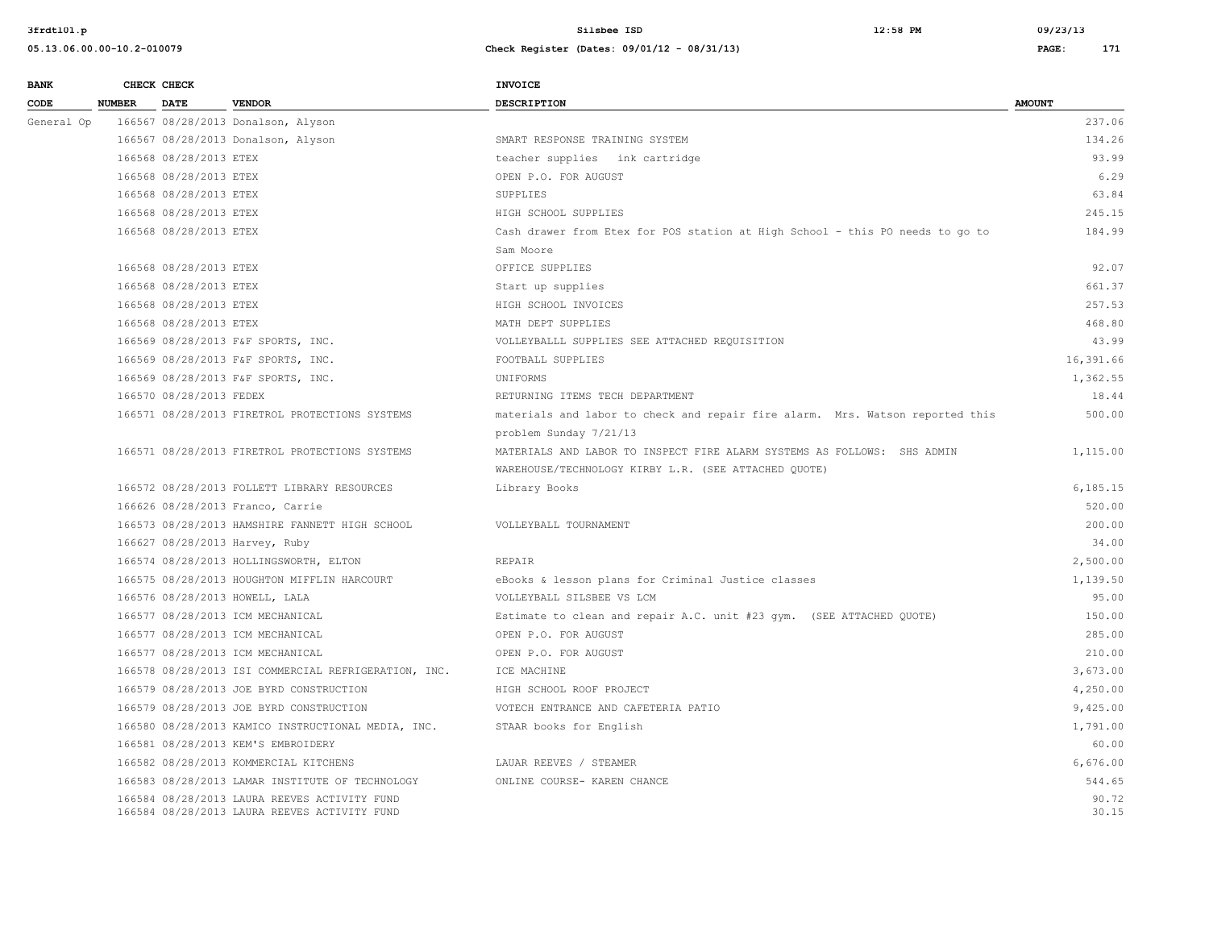| <b>BANK</b> |               | CHECK CHECK             |                                                                                              | <b>INVOICE</b>                                                                |                |
|-------------|---------------|-------------------------|----------------------------------------------------------------------------------------------|-------------------------------------------------------------------------------|----------------|
| CODE        | <b>NUMBER</b> | <b>DATE</b>             | <b>VENDOR</b>                                                                                | <b>DESCRIPTION</b>                                                            | <b>AMOUNT</b>  |
| General Op  |               |                         | 166567 08/28/2013 Donalson, Alyson                                                           |                                                                               | 237.06         |
|             |               |                         | 166567 08/28/2013 Donalson, Alyson                                                           | SMART RESPONSE TRAINING SYSTEM                                                | 134.26         |
|             |               | 166568 08/28/2013 ETEX  |                                                                                              | teacher supplies ink cartridge                                                | 93.99          |
|             |               | 166568 08/28/2013 ETEX  |                                                                                              | OPEN P.O. FOR AUGUST                                                          | 6.29           |
|             |               | 166568 08/28/2013 ETEX  |                                                                                              | SUPPLIES                                                                      | 63.84          |
|             |               | 166568 08/28/2013 ETEX  |                                                                                              | HIGH SCHOOL SUPPLIES                                                          | 245.15         |
|             |               | 166568 08/28/2013 ETEX  |                                                                                              | Cash drawer from Etex for POS station at High School - this PO needs to go to | 184.99         |
|             |               |                         |                                                                                              | Sam Moore                                                                     |                |
|             |               | 166568 08/28/2013 ETEX  |                                                                                              | OFFICE SUPPLIES                                                               | 92.07          |
|             |               | 166568 08/28/2013 ETEX  |                                                                                              | Start up supplies                                                             | 661.37         |
|             |               | 166568 08/28/2013 ETEX  |                                                                                              | HIGH SCHOOL INVOICES                                                          | 257.53         |
|             |               | 166568 08/28/2013 ETEX  |                                                                                              | MATH DEPT SUPPLIES                                                            | 468.80         |
|             |               |                         | 166569 08/28/2013 F&F SPORTS, INC.                                                           | VOLLEYBALLL SUPPLIES SEE ATTACHED REQUISITION                                 | 43.99          |
|             |               |                         | 166569 08/28/2013 F&F SPORTS, INC.                                                           | FOOTBALL SUPPLIES                                                             | 16,391.66      |
|             |               |                         | 166569 08/28/2013 F&F SPORTS, INC.                                                           | UNIFORMS                                                                      | 1,362.55       |
|             |               | 166570 08/28/2013 FEDEX |                                                                                              | RETURNING ITEMS TECH DEPARTMENT                                               | 18.44          |
|             |               |                         | 166571 08/28/2013 FIRETROL PROTECTIONS SYSTEMS                                               | materials and labor to check and repair fire alarm. Mrs. Watson reported this | 500.00         |
|             |               |                         |                                                                                              | problem Sunday 7/21/13                                                        |                |
|             |               |                         | 166571 08/28/2013 FIRETROL PROTECTIONS SYSTEMS                                               | MATERIALS AND LABOR TO INSPECT FIRE ALARM SYSTEMS AS FOLLOWS: SHS ADMIN       | 1,115.00       |
|             |               |                         |                                                                                              | WAREHOUSE/TECHNOLOGY KIRBY L.R. (SEE ATTACHED QUOTE)                          |                |
|             |               |                         | 166572 08/28/2013 FOLLETT LIBRARY RESOURCES                                                  | Library Books                                                                 | 6,185.15       |
|             |               |                         | 166626 08/28/2013 Franco, Carrie                                                             |                                                                               | 520.00         |
|             |               |                         | 166573 08/28/2013 HAMSHIRE FANNETT HIGH SCHOOL                                               | VOLLEYBALL TOURNAMENT                                                         | 200.00         |
|             |               |                         | 166627 08/28/2013 Harvey, Ruby                                                               |                                                                               | 34.00          |
|             |               |                         | 166574 08/28/2013 HOLLINGSWORTH, ELTON                                                       | <b>REPAIR</b>                                                                 | 2,500.00       |
|             |               |                         | 166575 08/28/2013 HOUGHTON MIFFLIN HARCOURT                                                  | eBooks & lesson plans for Criminal Justice classes                            | 1,139.50       |
|             |               |                         | 166576 08/28/2013 HOWELL, LALA                                                               | VOLLEYBALL SILSBEE VS LCM                                                     | 95.00          |
|             |               |                         | 166577 08/28/2013 ICM MECHANICAL                                                             | Estimate to clean and repair A.C. unit #23 gym. (SEE ATTACHED QUOTE)          | 150.00         |
|             |               |                         | 166577 08/28/2013 ICM MECHANICAL                                                             | OPEN P.O. FOR AUGUST                                                          | 285.00         |
|             |               |                         | 166577 08/28/2013 ICM MECHANICAL                                                             | OPEN P.O. FOR AUGUST                                                          | 210.00         |
|             |               |                         | 166578 08/28/2013 ISI COMMERCIAL REFRIGERATION, INC.                                         | ICE MACHINE                                                                   | 3,673.00       |
|             |               |                         | 166579 08/28/2013 JOE BYRD CONSTRUCTION                                                      | HIGH SCHOOL ROOF PROJECT                                                      | 4,250.00       |
|             |               |                         | 166579 08/28/2013 JOE BYRD CONSTRUCTION                                                      | VOTECH ENTRANCE AND CAFETERIA PATIO                                           | 9,425.00       |
|             |               |                         | 166580 08/28/2013 KAMICO INSTRUCTIONAL MEDIA, INC.                                           | STAAR books for English                                                       | 1,791.00       |
|             |               |                         | 166581 08/28/2013 KEM'S EMBROIDERY                                                           |                                                                               | 60.00          |
|             |               |                         | 166582 08/28/2013 KOMMERCIAL KITCHENS                                                        | LAUAR REEVES / STEAMER                                                        | 6,676.00       |
|             |               |                         | 166583 08/28/2013 LAMAR INSTITUTE OF TECHNOLOGY                                              | ONLINE COURSE- KAREN CHANCE                                                   | 544.65         |
|             |               |                         | 166584 08/28/2013 LAURA REEVES ACTIVITY FUND<br>166584 08/28/2013 LAURA REEVES ACTIVITY FUND |                                                                               | 90.72<br>30.15 |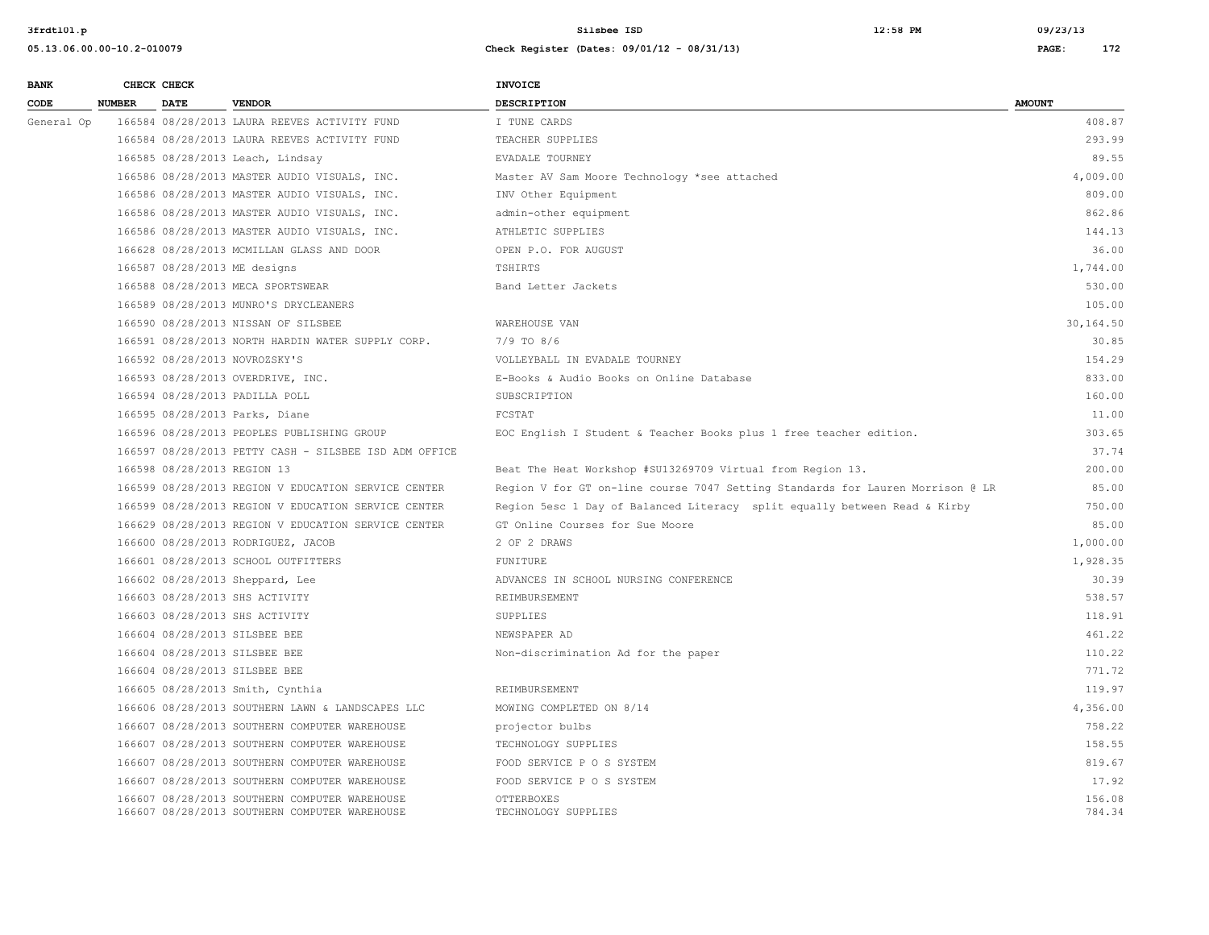| <b>BANK</b> |               | CHECK CHECK                 |                                                                                                | INVOICE                                                                        |                  |
|-------------|---------------|-----------------------------|------------------------------------------------------------------------------------------------|--------------------------------------------------------------------------------|------------------|
| CODE        | <b>NUMBER</b> | <b>DATE</b>                 | <b>VENDOR</b>                                                                                  | <b>DESCRIPTION</b>                                                             | <b>AMOUNT</b>    |
| General Op  |               |                             | 166584 08/28/2013 LAURA REEVES ACTIVITY FUND                                                   | I TUNE CARDS                                                                   | 408.87           |
|             |               |                             | 166584 08/28/2013 LAURA REEVES ACTIVITY FUND                                                   | TEACHER SUPPLIES                                                               | 293.99           |
|             |               |                             | 166585 08/28/2013 Leach, Lindsay                                                               | EVADALE TOURNEY                                                                | 89.55            |
|             |               |                             | 166586 08/28/2013 MASTER AUDIO VISUALS, INC.                                                   | Master AV Sam Moore Technology *see attached                                   | 4,009.00         |
|             |               |                             | 166586 08/28/2013 MASTER AUDIO VISUALS, INC.                                                   | INV Other Equipment                                                            | 809.00           |
|             |               |                             | 166586 08/28/2013 MASTER AUDIO VISUALS, INC.                                                   | admin-other equipment                                                          | 862.86           |
|             |               |                             | 166586 08/28/2013 MASTER AUDIO VISUALS, INC.                                                   | ATHLETIC SUPPLIES                                                              | 144.13           |
|             |               |                             | 166628 08/28/2013 MCMILLAN GLASS AND DOOR                                                      | OPEN P.O. FOR AUGUST                                                           | 36.00            |
|             |               |                             | 166587 08/28/2013 ME designs                                                                   | TSHIRTS                                                                        | 1,744.00         |
|             |               |                             | 166588 08/28/2013 MECA SPORTSWEAR                                                              | Band Letter Jackets                                                            | 530.00           |
|             |               |                             | 166589 08/28/2013 MUNRO'S DRYCLEANERS                                                          |                                                                                | 105.00           |
|             |               |                             | 166590 08/28/2013 NISSAN OF SILSBEE                                                            | WAREHOUSE VAN                                                                  | 30,164.50        |
|             |               |                             | 166591 08/28/2013 NORTH HARDIN WATER SUPPLY CORP.                                              | $7/9$ TO $8/6$                                                                 | 30.85            |
|             |               |                             | 166592 08/28/2013 NOVROZSKY'S                                                                  | VOLLEYBALL IN EVADALE TOURNEY                                                  | 154.29           |
|             |               |                             | 166593 08/28/2013 OVERDRIVE, INC.                                                              | E-Books & Audio Books on Online Database                                       | 833.00           |
|             |               |                             | 166594 08/28/2013 PADILLA POLL                                                                 | SUBSCRIPTION                                                                   | 160.00           |
|             |               |                             | 166595 08/28/2013 Parks, Diane                                                                 | FCSTAT                                                                         | 11.00            |
|             |               |                             | 166596 08/28/2013 PEOPLES PUBLISHING GROUP                                                     | EOC English I Student & Teacher Books plus 1 free teacher edition.             | 303.65           |
|             |               |                             | 166597 08/28/2013 PETTY CASH - SILSBEE ISD ADM OFFICE                                          |                                                                                | 37.74            |
|             |               | 166598 08/28/2013 REGION 13 |                                                                                                | Beat The Heat Workshop #SU13269709 Virtual from Region 13.                     | 200.00           |
|             |               |                             | 166599 08/28/2013 REGION V EDUCATION SERVICE CENTER                                            | Region V for GT on-line course 7047 Setting Standards for Lauren Morrison @ LR | 85.00            |
|             |               |                             | 166599 08/28/2013 REGION V EDUCATION SERVICE CENTER                                            | Region 5esc 1 Day of Balanced Literacy split equally between Read & Kirby      | 750.00           |
|             |               |                             | 166629 08/28/2013 REGION V EDUCATION SERVICE CENTER                                            | GT Online Courses for Sue Moore                                                | 85.00            |
|             |               |                             | 166600 08/28/2013 RODRIGUEZ, JACOB                                                             | 2 OF 2 DRAWS                                                                   | 1,000.00         |
|             |               |                             | 166601 08/28/2013 SCHOOL OUTFITTERS                                                            | <b>FUNITURE</b>                                                                | 1,928.35         |
|             |               |                             | 166602 08/28/2013 Sheppard, Lee                                                                | ADVANCES IN SCHOOL NURSING CONFERENCE                                          | 30.39            |
|             |               |                             | 166603 08/28/2013 SHS ACTIVITY                                                                 | REIMBURSEMENT                                                                  | 538.57           |
|             |               |                             | 166603 08/28/2013 SHS ACTIVITY                                                                 | SUPPLIES                                                                       | 118.91           |
|             |               |                             | 166604 08/28/2013 SILSBEE BEE                                                                  | NEWSPAPER AD                                                                   | 461.22           |
|             |               |                             | 166604 08/28/2013 SILSBEE BEE                                                                  | Non-discrimination Ad for the paper                                            | 110.22           |
|             |               |                             | 166604 08/28/2013 SILSBEE BEE                                                                  |                                                                                | 771.72           |
|             |               |                             | 166605 08/28/2013 Smith, Cynthia                                                               | REIMBURSEMENT                                                                  | 119.97           |
|             |               |                             | 166606 08/28/2013 SOUTHERN LAWN & LANDSCAPES LLC                                               | MOWING COMPLETED ON 8/14                                                       | 4,356.00         |
|             |               |                             | 166607 08/28/2013 SOUTHERN COMPUTER WAREHOUSE                                                  | projector bulbs                                                                | 758.22           |
|             |               |                             | 166607 08/28/2013 SOUTHERN COMPUTER WAREHOUSE                                                  | TECHNOLOGY SUPPLIES                                                            | 158.55           |
|             |               |                             | 166607 08/28/2013 SOUTHERN COMPUTER WAREHOUSE                                                  | FOOD SERVICE P O S SYSTEM                                                      | 819.67           |
|             |               |                             | 166607 08/28/2013 SOUTHERN COMPUTER WAREHOUSE                                                  | FOOD SERVICE P O S SYSTEM                                                      | 17.92            |
|             |               |                             | 166607 08/28/2013 SOUTHERN COMPUTER WAREHOUSE<br>166607 08/28/2013 SOUTHERN COMPUTER WAREHOUSE | OTTERBOXES<br>TECHNOLOGY SUPPLIES                                              | 156.08<br>784.34 |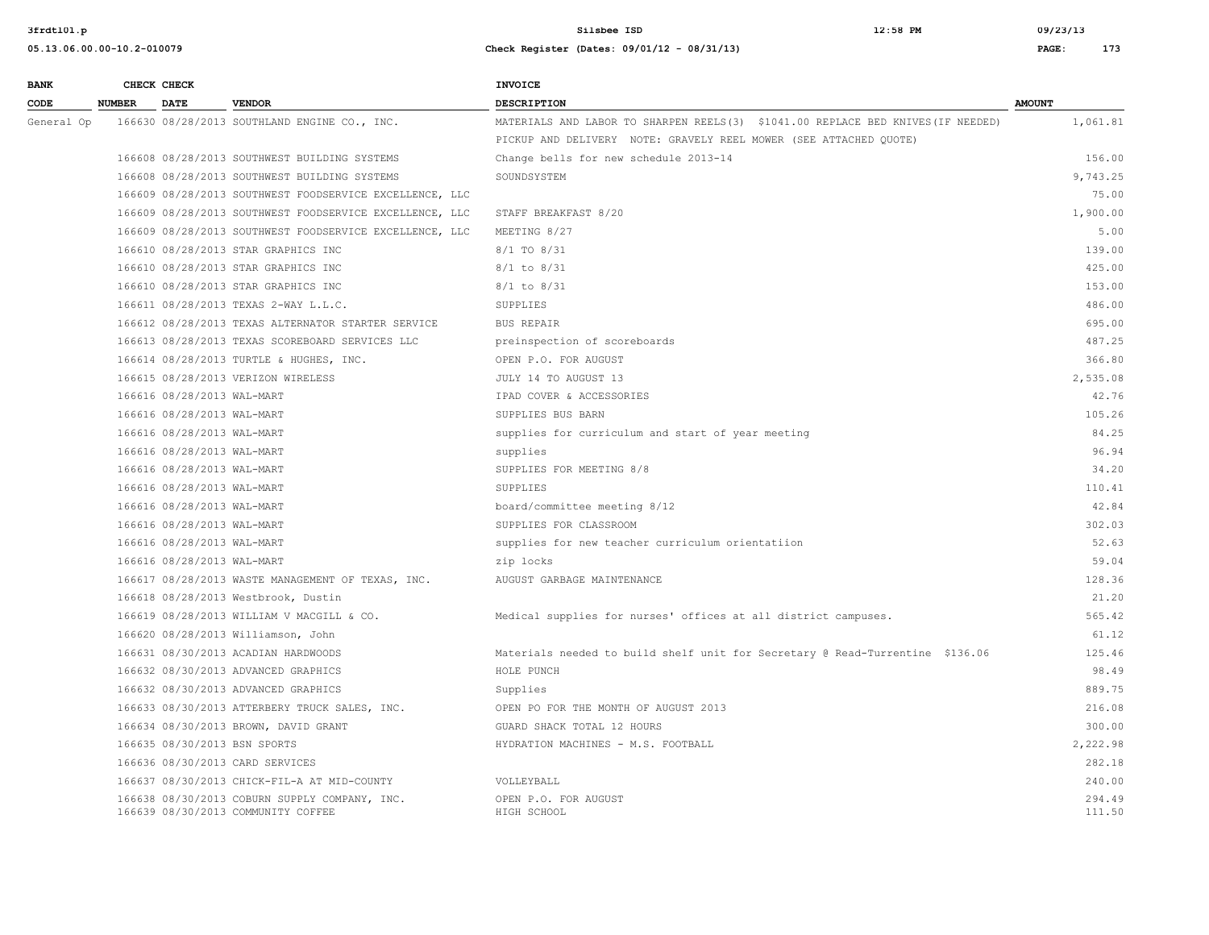| <b>BANK</b> |               | CHECK CHECK                |                                                                                     | <b>INVOICE</b>                                                                  |                  |
|-------------|---------------|----------------------------|-------------------------------------------------------------------------------------|---------------------------------------------------------------------------------|------------------|
| CODE        | <b>NUMBER</b> | <b>DATE</b>                | <b>VENDOR</b>                                                                       | <b>DESCRIPTION</b>                                                              | <b>AMOUNT</b>    |
| General Op  |               |                            | 166630 08/28/2013 SOUTHLAND ENGINE CO., INC.                                        | MATERIALS AND LABOR TO SHARPEN REELS(3) \$1041.00 REPLACE BED KNIVES(IF NEEDED) | 1,061.81         |
|             |               |                            |                                                                                     | PICKUP AND DELIVERY NOTE: GRAVELY REEL MOWER (SEE ATTACHED QUOTE)               |                  |
|             |               |                            | 166608 08/28/2013 SOUTHWEST BUILDING SYSTEMS                                        | Change bells for new schedule 2013-14                                           | 156.00           |
|             |               |                            | 166608 08/28/2013 SOUTHWEST BUILDING SYSTEMS                                        | SOUNDSYSTEM                                                                     | 9,743.25         |
|             |               |                            | 166609 08/28/2013 SOUTHWEST FOODSERVICE EXCELLENCE, LLC                             |                                                                                 | 75.00            |
|             |               |                            | 166609 08/28/2013 SOUTHWEST FOODSERVICE EXCELLENCE, LLC                             | STAFF BREAKFAST 8/20                                                            | 1,900.00         |
|             |               |                            | 166609 08/28/2013 SOUTHWEST FOODSERVICE EXCELLENCE, LLC                             | MEETING 8/27                                                                    | 5.00             |
|             |               |                            | 166610 08/28/2013 STAR GRAPHICS INC                                                 | 8/1 TO 8/31                                                                     | 139.00           |
|             |               |                            | 166610 08/28/2013 STAR GRAPHICS INC                                                 | $8/1$ to $8/31$                                                                 | 425.00           |
|             |               |                            | 166610 08/28/2013 STAR GRAPHICS INC                                                 | $8/1$ to $8/31$                                                                 | 153.00           |
|             |               |                            | 166611 08/28/2013 TEXAS 2-WAY L.L.C.                                                | SUPPLIES                                                                        | 486.00           |
|             |               |                            | 166612 08/28/2013 TEXAS ALTERNATOR STARTER SERVICE                                  | BUS REPAIR                                                                      | 695.00           |
|             |               |                            | 166613 08/28/2013 TEXAS SCOREBOARD SERVICES LLC                                     | preinspection of scoreboards                                                    | 487.25           |
|             |               |                            | 166614 08/28/2013 TURTLE & HUGHES, INC.                                             | OPEN P.O. FOR AUGUST                                                            | 366.80           |
|             |               |                            | 166615 08/28/2013 VERIZON WIRELESS                                                  | JULY 14 TO AUGUST 13                                                            | 2,535.08         |
|             |               | 166616 08/28/2013 WAL-MART |                                                                                     | IPAD COVER & ACCESSORIES                                                        | 42.76            |
|             |               | 166616 08/28/2013 WAL-MART |                                                                                     | SUPPLIES BUS BARN                                                               | 105.26           |
|             |               | 166616 08/28/2013 WAL-MART |                                                                                     | supplies for curriculum and start of year meeting                               | 84.25            |
|             |               | 166616 08/28/2013 WAL-MART |                                                                                     | supplies                                                                        | 96.94            |
|             |               | 166616 08/28/2013 WAL-MART |                                                                                     | SUPPLIES FOR MEETING 8/8                                                        | 34.20            |
|             |               | 166616 08/28/2013 WAL-MART |                                                                                     | SUPPLIES                                                                        | 110.41           |
|             |               | 166616 08/28/2013 WAL-MART |                                                                                     | board/committee meeting 8/12                                                    | 42.84            |
|             |               | 166616 08/28/2013 WAL-MART |                                                                                     | SUPPLIES FOR CLASSROOM                                                          | 302.03           |
|             |               | 166616 08/28/2013 WAL-MART |                                                                                     | supplies for new teacher curriculum orientatiion                                | 52.63            |
|             |               | 166616 08/28/2013 WAL-MART |                                                                                     | zip locks                                                                       | 59.04            |
|             |               |                            | 166617 08/28/2013 WASTE MANAGEMENT OF TEXAS, INC.                                   | AUGUST GARBAGE MAINTENANCE                                                      | 128.36           |
|             |               |                            | 166618 08/28/2013 Westbrook, Dustin                                                 |                                                                                 | 21.20            |
|             |               |                            | 166619 08/28/2013 WILLIAM V MACGILL & CO.                                           | Medical supplies for nurses' offices at all district campuses.                  | 565.42           |
|             |               |                            | 166620 08/28/2013 Williamson, John                                                  |                                                                                 | 61.12            |
|             |               |                            | 166631 08/30/2013 ACADIAN HARDWOODS                                                 | Materials needed to build shelf unit for Secretary @ Read-Turrentine \$136.06   | 125.46           |
|             |               |                            | 166632 08/30/2013 ADVANCED GRAPHICS                                                 | HOLE PUNCH                                                                      | 98.49            |
|             |               |                            | 166632 08/30/2013 ADVANCED GRAPHICS                                                 | Supplies                                                                        | 889.75           |
|             |               |                            | 166633 08/30/2013 ATTERBERY TRUCK SALES, INC.                                       | OPEN PO FOR THE MONTH OF AUGUST 2013                                            | 216.08           |
|             |               |                            | 166634 08/30/2013 BROWN, DAVID GRANT                                                | GUARD SHACK TOTAL 12 HOURS                                                      | 300.00           |
|             |               |                            | 166635 08/30/2013 BSN SPORTS                                                        | HYDRATION MACHINES - M.S. FOOTBALL                                              | 2,222.98         |
|             |               |                            | 166636 08/30/2013 CARD SERVICES                                                     |                                                                                 | 282.18           |
|             |               |                            | 166637 08/30/2013 CHICK-FIL-A AT MID-COUNTY                                         | VOLLEYBALL                                                                      | 240.00           |
|             |               |                            | 166638 08/30/2013 COBURN SUPPLY COMPANY, INC.<br>166639 08/30/2013 COMMUNITY COFFEE | OPEN P.O. FOR AUGUST<br>HIGH SCHOOL                                             | 294.49<br>111.50 |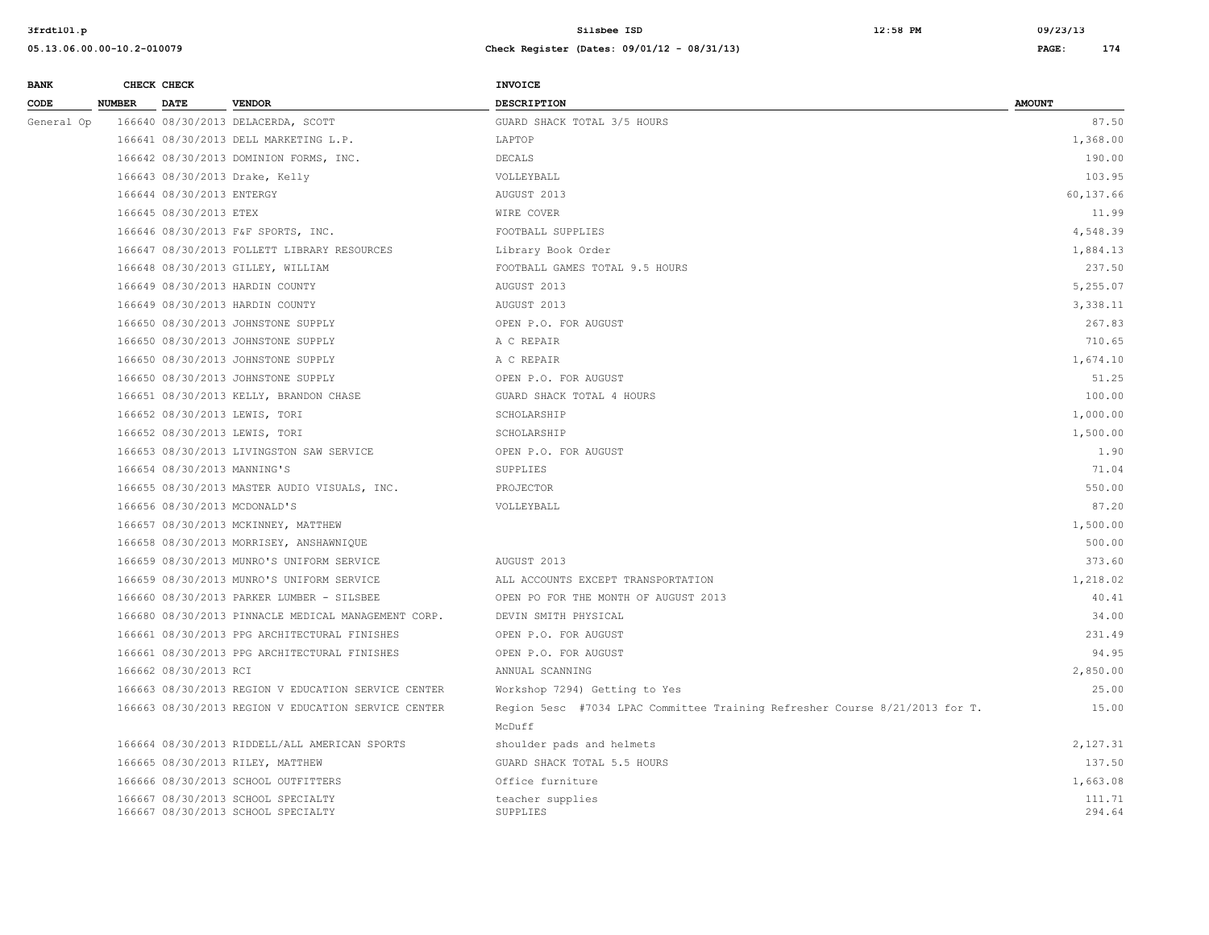| <b>BANK</b> |               | CHECK CHECK                 |                                                     | <b>INVOICE</b>                                                              |               |
|-------------|---------------|-----------------------------|-----------------------------------------------------|-----------------------------------------------------------------------------|---------------|
| CODE        | <b>NUMBER</b> | <b>DATE</b>                 | <b>VENDOR</b>                                       | <b>DESCRIPTION</b>                                                          | <b>AMOUNT</b> |
| General Op  |               |                             | 166640 08/30/2013 DELACERDA, SCOTT                  | GUARD SHACK TOTAL 3/5 HOURS                                                 | 87.50         |
|             |               |                             | 166641 08/30/2013 DELL MARKETING L.P.               | LAPTOP                                                                      | 1,368.00      |
|             |               |                             | 166642 08/30/2013 DOMINION FORMS, INC.              | DECALS                                                                      | 190.00        |
|             |               |                             | 166643 08/30/2013 Drake, Kelly                      | VOLLEYBALL                                                                  | 103.95        |
|             |               | 166644 08/30/2013 ENTERGY   |                                                     | AUGUST 2013                                                                 | 60,137.66     |
|             |               | 166645 08/30/2013 ETEX      |                                                     | WIRE COVER                                                                  | 11.99         |
|             |               |                             | 166646 08/30/2013 F&F SPORTS, INC.                  | FOOTBALL SUPPLIES                                                           | 4,548.39      |
|             |               |                             | 166647 08/30/2013 FOLLETT LIBRARY RESOURCES         | Library Book Order                                                          | 1,884.13      |
|             |               |                             | 166648 08/30/2013 GILLEY, WILLIAM                   | FOOTBALL GAMES TOTAL 9.5 HOURS                                              | 237.50        |
|             |               |                             | 166649 08/30/2013 HARDIN COUNTY                     | AUGUST 2013                                                                 | 5,255.07      |
|             |               |                             | 166649 08/30/2013 HARDIN COUNTY                     | AUGUST 2013                                                                 | 3,338.11      |
|             |               |                             | 166650 08/30/2013 JOHNSTONE SUPPLY                  | OPEN P.O. FOR AUGUST                                                        | 267.83        |
|             |               |                             | 166650 08/30/2013 JOHNSTONE SUPPLY                  | A C REPAIR                                                                  | 710.65        |
|             |               |                             | 166650 08/30/2013 JOHNSTONE SUPPLY                  | A C REPAIR                                                                  | 1,674.10      |
|             |               |                             | 166650 08/30/2013 JOHNSTONE SUPPLY                  | OPEN P.O. FOR AUGUST                                                        | 51.25         |
|             |               |                             | 166651 08/30/2013 KELLY, BRANDON CHASE              | GUARD SHACK TOTAL 4 HOURS                                                   | 100.00        |
|             |               |                             | 166652 08/30/2013 LEWIS, TORI                       | SCHOLARSHIP                                                                 | 1,000.00      |
|             |               |                             | 166652 08/30/2013 LEWIS, TORI                       | SCHOLARSHIP                                                                 | 1,500.00      |
|             |               |                             | 166653 08/30/2013 LIVINGSTON SAW SERVICE            | OPEN P.O. FOR AUGUST                                                        | 1.90          |
|             |               | 166654 08/30/2013 MANNING'S |                                                     | SUPPLIES                                                                    | 71.04         |
|             |               |                             | 166655 08/30/2013 MASTER AUDIO VISUALS, INC.        | PROJECTOR                                                                   | 550.00        |
|             |               |                             | 166656 08/30/2013 MCDONALD'S                        | VOLLEYBALL                                                                  | 87.20         |
|             |               |                             | 166657 08/30/2013 MCKINNEY, MATTHEW                 |                                                                             | 1,500.00      |
|             |               |                             | 166658 08/30/2013 MORRISEY, ANSHAWNIQUE             |                                                                             | 500.00        |
|             |               |                             | 166659 08/30/2013 MUNRO'S UNIFORM SERVICE           | AUGUST 2013                                                                 | 373.60        |
|             |               |                             | 166659 08/30/2013 MUNRO'S UNIFORM SERVICE           | ALL ACCOUNTS EXCEPT TRANSPORTATION                                          | 1,218.02      |
|             |               |                             | 166660 08/30/2013 PARKER LUMBER - SILSBEE           | OPEN PO FOR THE MONTH OF AUGUST 2013                                        | 40.41         |
|             |               |                             | 166680 08/30/2013 PINNACLE MEDICAL MANAGEMENT CORP. | DEVIN SMITH PHYSICAL                                                        | 34.00         |
|             |               |                             | 166661 08/30/2013 PPG ARCHITECTURAL FINISHES        | OPEN P.O. FOR AUGUST                                                        | 231.49        |
|             |               |                             | 166661 08/30/2013 PPG ARCHITECTURAL FINISHES        | OPEN P.O. FOR AUGUST                                                        | 94.95         |
|             |               | 166662 08/30/2013 RCI       |                                                     | ANNUAL SCANNING                                                             | 2,850.00      |
|             |               |                             | 166663 08/30/2013 REGION V EDUCATION SERVICE CENTER | Workshop 7294) Getting to Yes                                               | 25.00         |
|             |               |                             | 166663 08/30/2013 REGION V EDUCATION SERVICE CENTER | Region 5esc #7034 LPAC Committee Training Refresher Course 8/21/2013 for T. | 15.00         |
|             |               |                             |                                                     | McDuff                                                                      |               |
|             |               |                             | 166664 08/30/2013 RIDDELL/ALL AMERICAN SPORTS       | shoulder pads and helmets                                                   | 2,127.31      |
|             |               |                             | 166665 08/30/2013 RILEY, MATTHEW                    | GUARD SHACK TOTAL 5.5 HOURS                                                 | 137.50        |
|             |               |                             | 166666 08/30/2013 SCHOOL OUTFITTERS                 | Office furniture                                                            | 1,663.08      |
|             |               |                             | 166667 08/30/2013 SCHOOL SPECIALTY                  | teacher supplies                                                            | 111.71        |
|             |               |                             | 166667 08/30/2013 SCHOOL SPECIALTY                  | SUPPLIES                                                                    | 294.64        |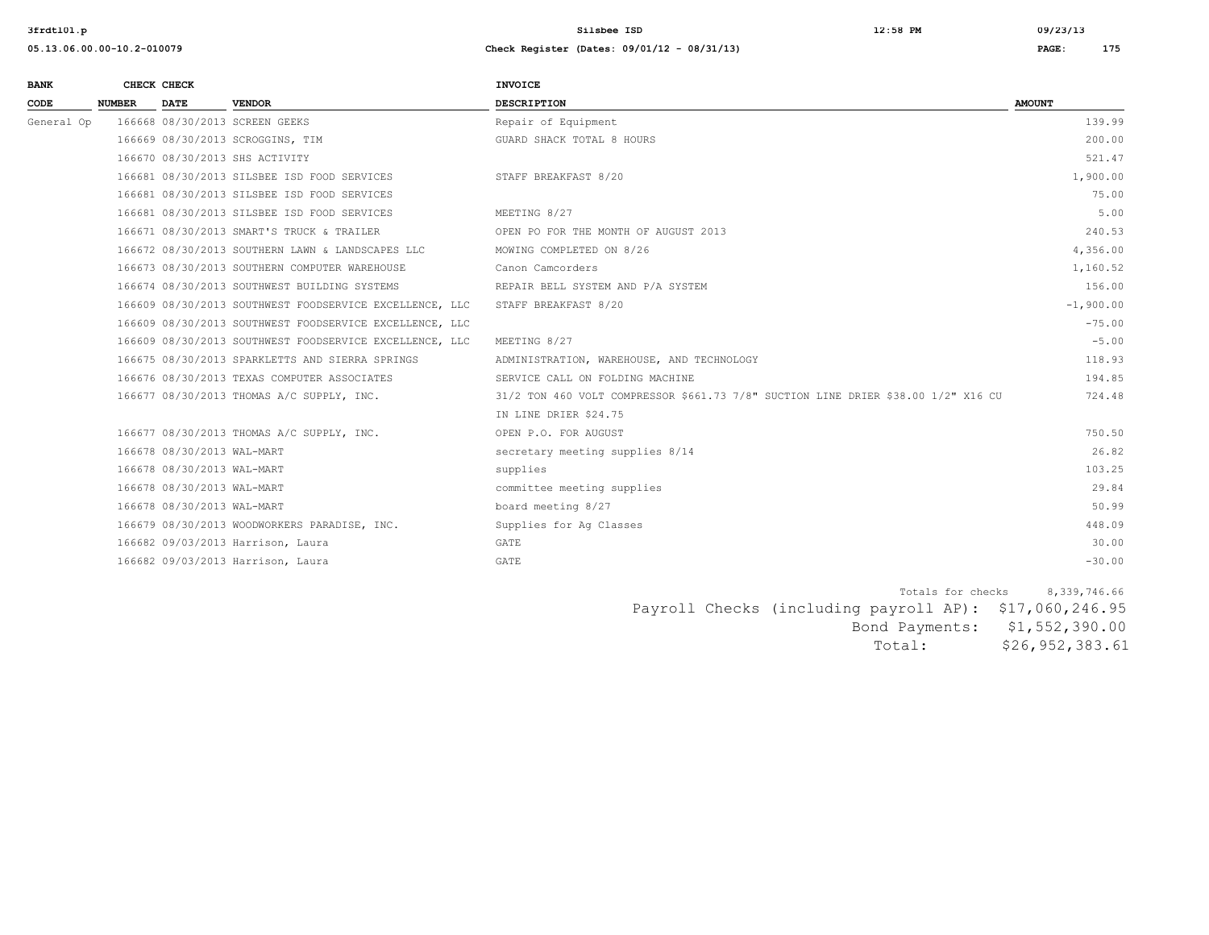## **05.13.06.00.00-10.2-010079 Check Register (Dates: 09/01/12 - 08/31/13) PAGE: 175**

| <b>BANK</b> | CHECK CHECK   |                            |                                                         | <b>INVOICE</b>                                                                    |               |
|-------------|---------------|----------------------------|---------------------------------------------------------|-----------------------------------------------------------------------------------|---------------|
| CODE        | <b>NUMBER</b> | <b>DATE</b>                | <b>VENDOR</b>                                           | <b>DESCRIPTION</b>                                                                | <b>AMOUNT</b> |
| General Op  |               |                            | 166668 08/30/2013 SCREEN GEEKS                          | Repair of Equipment                                                               | 139.99        |
|             |               |                            | 166669 08/30/2013 SCROGGINS, TIM                        | GUARD SHACK TOTAL 8 HOURS                                                         | 200.00        |
|             |               |                            | 166670 08/30/2013 SHS ACTIVITY                          |                                                                                   | 521.47        |
|             |               |                            | 166681 08/30/2013 SILSBEE ISD FOOD SERVICES             | STAFF BREAKFAST 8/20                                                              | 1,900.00      |
|             |               |                            | 166681 08/30/2013 SILSBEE ISD FOOD SERVICES             |                                                                                   | 75.00         |
|             |               |                            | 166681 08/30/2013 SILSBEE ISD FOOD SERVICES             | MEETING 8/27                                                                      | 5.00          |
|             |               |                            | 166671 08/30/2013 SMART'S TRUCK & TRAILER               | OPEN PO FOR THE MONTH OF AUGUST 2013                                              | 240.53        |
|             |               |                            | 166672 08/30/2013 SOUTHERN LAWN & LANDSCAPES LLC        | MOWING COMPLETED ON 8/26                                                          | 4,356.00      |
|             |               |                            | 166673 08/30/2013 SOUTHERN COMPUTER WAREHOUSE           | Canon Camcorders                                                                  | 1,160.52      |
|             |               |                            | 166674 08/30/2013 SOUTHWEST BUILDING SYSTEMS            | REPAIR BELL SYSTEM AND P/A SYSTEM                                                 | 156.00        |
|             |               |                            | 166609 08/30/2013 SOUTHWEST FOODSERVICE EXCELLENCE, LLC | STAFF BREAKFAST 8/20                                                              | $-1,900.00$   |
|             |               |                            | 166609 08/30/2013 SOUTHWEST FOODSERVICE EXCELLENCE, LLC |                                                                                   | $-75.00$      |
|             |               |                            | 166609 08/30/2013 SOUTHWEST FOODSERVICE EXCELLENCE, LLC | MEETING 8/27                                                                      | $-5.00$       |
|             |               |                            | 166675 08/30/2013 SPARKLETTS AND SIERRA SPRINGS         | ADMINISTRATION, WAREHOUSE, AND TECHNOLOGY                                         | 118.93        |
|             |               |                            | 166676 08/30/2013 TEXAS COMPUTER ASSOCIATES             | SERVICE CALL ON FOLDING MACHINE                                                   | 194.85        |
|             |               |                            | 166677 08/30/2013 THOMAS A/C SUPPLY, INC.               | 31/2 TON 460 VOLT COMPRESSOR \$661.73 7/8" SUCTION LINE DRIER \$38.00 1/2" X16 CU | 724.48        |
|             |               |                            |                                                         | IN LINE DRIER \$24.75                                                             |               |
|             |               |                            | 166677 08/30/2013 THOMAS A/C SUPPLY, INC.               | OPEN P.O. FOR AUGUST                                                              | 750.50        |
|             |               | 166678 08/30/2013 WAL-MART |                                                         | secretary meeting supplies 8/14                                                   | 26.82         |
|             |               | 166678 08/30/2013 WAL-MART |                                                         | supplies                                                                          | 103.25        |
|             |               | 166678 08/30/2013 WAL-MART |                                                         | committee meeting supplies                                                        | 29.84         |
|             |               | 166678 08/30/2013 WAL-MART |                                                         | board meeting 8/27                                                                | 50.99         |
|             |               |                            | 166679 08/30/2013 WOODWORKERS PARADISE, INC.            | Supplies for Aq Classes                                                           | 448.09        |
|             |               |                            | 166682 09/03/2013 Harrison, Laura                       | GATE                                                                              | 30.00         |
|             |               |                            | 166682 09/03/2013 Harrison, Laura                       | GATE                                                                              | $-30.00$      |

Totals for checks 8,339,746.66 Payroll Checks (including payroll AP): \$17,060,246.95 Bond Payments: \$1,552,390.00 Total: \$26,952,383.61